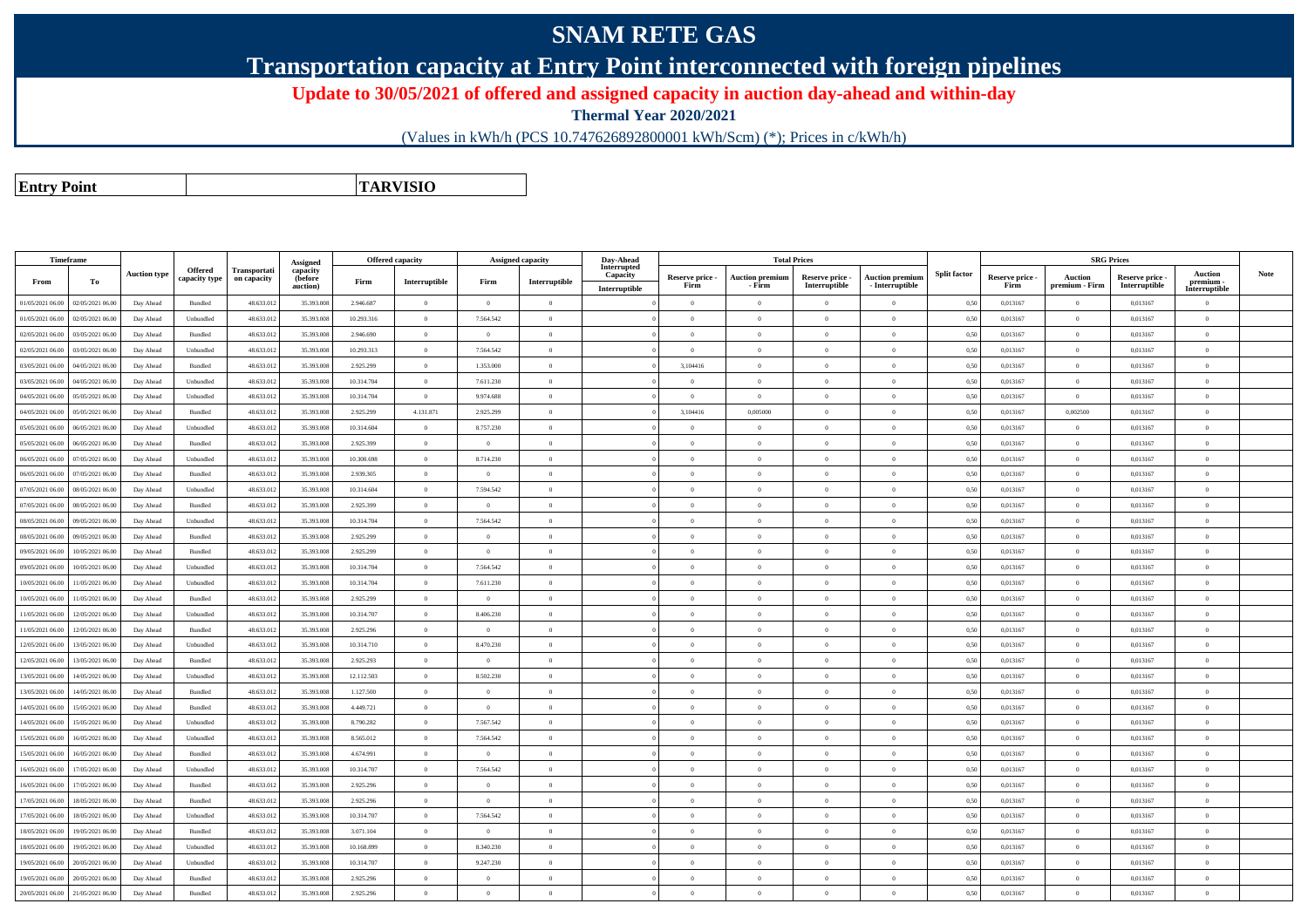## **SNAM RETE GAS**

**Transportation capacity at Entry Point interconnected with foreign pipelines**

**Update to 30/05/2021 of offered and assigned capacity in auction day-ahead and within-day**

**Thermal Year 2020/2021**

(Values in kWh/h (PCS 10.747626892800001 kWh/Scm) (\*); Prices in c/kWh/h)

**Entry PointTARVISIO**

| Timeframe        |                  |                     |                          |                             | Assigned                        | <b>Offered capacity</b> |                |                | Assigned capacity | Day-Ahead                                |                         | <b>Total Prices</b>              |                                  |                                           |                     |                         | <b>SRG Prices</b>                |                                  |                                              |             |
|------------------|------------------|---------------------|--------------------------|-----------------------------|---------------------------------|-------------------------|----------------|----------------|-------------------|------------------------------------------|-------------------------|----------------------------------|----------------------------------|-------------------------------------------|---------------------|-------------------------|----------------------------------|----------------------------------|----------------------------------------------|-------------|
| From             | To               | <b>Auction type</b> | Offered<br>capacity type | Transportati<br>on capacity | capacity<br>(before<br>auction) | Firm                    | Interruptible  | Firm           | Interruptible     | Interrupted<br>Capacity<br>Interruptible | Reserve price -<br>Firm | <b>Auction premiun</b><br>- Firm | Reserve price -<br>Interruptible | <b>Auction premium</b><br>- Interruptible | <b>Split factor</b> | Reserve price -<br>Firm | <b>Auction</b><br>premium - Firm | Reserve price -<br>Interruptible | <b>Auction</b><br>premium -<br>Interruptible | <b>Note</b> |
| 01/05/2021 06:00 | 02/05/2021 06:00 | Day Ahead           | Bundled                  | 48.633.01                   | 35.393.008                      | 2.946.687               | $\overline{0}$ | $\overline{0}$ | $\overline{0}$    |                                          | $\overline{0}$          | $\theta$                         | $\overline{0}$                   | $\overline{0}$                            | 0.5(                | 0,013167                | $\Omega$                         | 0.013167                         | $\mathbf{a}$                                 |             |
| 01/05/2021 06:00 | 02/05/2021 06:00 | Day Ahead           | Unbundled                | 48.633.013                  | 35.393.008                      | 10.293.316              | $\overline{0}$ | 7.564.542      | $\overline{0}$    |                                          | $\overline{0}$          | $\theta$                         | $\overline{0}$                   | $\overline{0}$                            | 0,50                | 0,013167                | $\overline{0}$                   | 0,013167                         | $\bf{0}$                                     |             |
| 02/05/2021 06:00 | 03/05/2021 06:00 | Day Ahead           | Bundled                  | 48.633.01                   | 35.393.008                      | 2.946.690               | $\,$ 0 $\,$    | $\overline{0}$ | $\overline{0}$    |                                          | $\overline{0}$          | $\overline{0}$                   | $\overline{0}$                   | $\bf{0}$                                  | 0.5                 | 0,013167                | $\overline{0}$                   | 0,013167                         | $\theta$                                     |             |
| 02/05/2021 06:00 | 03/05/2021 06:00 | Day Ahead           | Unbundled                | 48.633.012                  | 35.393.008                      | 10.293.313              | $\overline{0}$ | 7.564.542      | $\overline{0}$    |                                          | $\overline{0}$          | $\bf{0}$                         | $\overline{0}$                   | $\overline{0}$                            | 0,50                | 0,013167                | $\overline{0}$                   | 0,013167                         | $\theta$                                     |             |
| 03/05/2021 06:00 | 04/05/2021 06.00 | Day Ahead           | Bundled                  | 48.633.01                   | 35.393.008                      | 2.925.299               | $\overline{0}$ | 1.353.000      | $\overline{0}$    |                                          | 3,104416                |                                  | $\overline{0}$                   | $\bf{0}$                                  | 0.5(                | 0,013167                | $\overline{0}$                   | 0,013167                         | $\theta$                                     |             |
| 03/05/2021 06:00 | 04/05/2021 06:00 | Day Ahead           | Unbundled                | 48.633.012                  | 35.393.008                      | 10.314.704              | $\overline{0}$ | 7.611.230      | $\theta$          |                                          | $\Omega$                | $\Omega$                         | $\overline{0}$                   | $\overline{0}$                            | 0,50                | 0,013167                | $\Omega$                         | 0,013167                         | $\theta$                                     |             |
| 04/05/2021 06:00 | 05/05/2021 06.0  | Day Ahead           | Unbundled                | 48.633.01                   | 35.393.008                      | 10.314.704              | $\overline{0}$ | 9.974.688      | $\overline{0}$    |                                          | $\overline{0}$          | $\overline{0}$                   | $\overline{0}$                   | $\bf{0}$                                  | 0,50                | 0,013167                | $\overline{0}$                   | 0,013167                         | $\theta$                                     |             |
| 04/05/2021 06:00 | 05/05/2021 06:00 | Day Ahead           | Bundled                  | 48.633.012                  | 35.393.008                      | 2.925.299               | 4.131.871      | 2.925.299      | $\Omega$          |                                          | 3,104416                | 0,005000                         | $\theta$                         | $\overline{0}$                            | 0.50                | 0,013167                | 0,002500                         | 0,013167                         | $\theta$                                     |             |
| 05/05/2021 06:00 | 06/05/2021 06:00 | Day Ahead           | Unbundled                | 48.633.013                  | 35.393.008                      | 10.314.604              | $\overline{0}$ | 8.757.230      | $\Omega$          |                                          | $\theta$                | $\theta$                         | $\theta$                         | $\theta$                                  | 0,50                | 0,013167                | $\Omega$                         | 0,013167                         |                                              |             |
| 05/05/2021 06:00 | 06/05/2021 06.0  | Day Ahead           | Bundled                  | 48.633.012                  | 35.393.008                      | 2.925.399               | $\overline{0}$ | $\overline{0}$ | $\Omega$          |                                          | $\overline{0}$          | $\Omega$                         | $\overline{0}$                   | $\overline{0}$                            | 0.50                | 0,013167                | $\overline{0}$                   | 0.013167                         | $\theta$                                     |             |
| 06/05/2021 06:00 | 07/05/2021 06:00 | Day Ahead           | Unbundled                | 48.633.012                  | 35.393.008                      | 10.300.698              | $\overline{0}$ | 8.714.230      | $\overline{0}$    |                                          | $\overline{0}$          | $\theta$                         | $\overline{0}$                   | $\overline{0}$                            | 0,50                | 0,013167                | $\Omega$                         | 0,013167                         | $\theta$                                     |             |
| 06/05/2021 06:00 | 07/05/2021 06:00 | Day Ahead           | Bundled                  | 48.633.013                  | 35,393,008                      | 2.939.305               | $\overline{0}$ | $\overline{0}$ | $\overline{0}$    |                                          | $\overline{0}$          | $\theta$                         | $\overline{0}$                   | $\overline{0}$                            | 0.50                | 0.013167                | $\overline{0}$                   | 0.013167                         | $\theta$                                     |             |
| 07/05/2021 06:00 | 08/05/2021 06:00 | Day Ahead           | Unbundled                | 48.633.013                  | 35,393,008                      | 10.314.604              | $\overline{0}$ | 7.594.542      | $\Omega$          |                                          | $\Omega$                | $\Omega$                         | $\Omega$                         | $\Omega$                                  | 0.50                | 0.013167                | $\Omega$                         | 0.013167                         | $\Omega$                                     |             |
| 07/05/2021 06:00 | 08/05/2021 06:00 | Day Ahead           | Bundled                  | 48.633.012                  | 35.393.008                      | 2.925.399               | $\overline{0}$ | $\overline{0}$ | $\overline{0}$    |                                          | $\overline{0}$          | $\mathbf{0}$                     | $\overline{0}$                   | $\bf{0}$                                  | 0,50                | 0,013167                | $\overline{0}$                   | 0,013167                         | $\theta$                                     |             |
| 08/05/2021 06:00 | 09/05/2021 06:00 | Day Ahead           | Unbundled                | 48.633.013                  | 35,393,008                      | 10.314.704              | $\overline{0}$ | 7.564.542      | $\Omega$          |                                          | $\overline{0}$          | $\theta$                         | $\theta$                         | $\overline{0}$                            | 0.50                | 0.013167                | $\Omega$                         | 0.013167                         | $\theta$                                     |             |
| 08/05/2021 06:00 | 09/05/2021 06:00 | Day Ahead           | Bundled                  | 48.633.013                  | 35.393.008                      | 2.925.299               | $\,$ 0 $\,$    | $\overline{0}$ | $\,$ 0 $\,$       |                                          | $\overline{0}$          | $\Omega$                         | $\overline{0}$                   | $\overline{0}$                            | 0.5(                | 0,013167                | $\overline{0}$                   | 0,013167                         | $\theta$                                     |             |
| 09/05/2021 06:00 | 10/05/2021 06:00 | Day Ahead           | Bundled                  | 48.633.013                  | 35,393,008                      | 2.925.299               | $\Omega$       | $\theta$       | $\Omega$          |                                          | $\Omega$                | $\Omega$                         | $\Omega$                         | $\overline{0}$                            | 0.50                | 0.013167                | $\Omega$                         | 0.013167                         |                                              |             |
| 09/05/2021 06:00 | 10/05/2021 06:00 | Day Ahead           | Unbundled                | 48.633.012                  | 35.393.008                      | 10.314.704              | $\,$ 0 $\,$    | 7.564.542      | $\overline{0}$    |                                          | $\overline{0}$          | $\Omega$                         | $\overline{0}$                   | $\overline{0}$                            | 0,50                | 0,013167                | $\overline{0}$                   | 0,013167                         | $\theta$                                     |             |
| 10/05/2021 06:00 | 11/05/2021 06:00 | Day Ahead           | Unbundled                | 48.633.012                  | 35,393,008                      | 10 314 704              | $\overline{0}$ | 7.611.230      | $\overline{0}$    |                                          | $\overline{0}$          | $\theta$                         | $\overline{0}$                   | $\overline{0}$                            | 0.50                | 0.013167                | $\overline{0}$                   | 0.013167                         | $\mathbf{a}$                                 |             |
| 10/05/2021 06:00 | 11/05/2021 06:00 | Day Ahead           | <b>Bundled</b>           | 48.633.012                  | 35,393,008                      | 2.925.299               | $\overline{0}$ | $\Omega$       | $\overline{0}$    |                                          | $\Omega$                | $\Omega$                         | $\theta$                         | $\overline{0}$                            | 0.50                | 0.013167                | $\overline{0}$                   | 0.013167                         | $\sqrt{2}$                                   |             |
| 11/05/2021 06:00 | 12/05/2021 06:00 | Day Ahead           | Unbundled                | 48.633.012                  | 35,393,008                      | 10.314.707              | $\overline{0}$ | 8.406.230      | $\theta$          |                                          | $\Omega$                | $\Omega$                         | $\Omega$                         | $\overline{0}$                            | 0.50                | 0.013167                | $\Omega$                         | 0.013167                         | $\theta$                                     |             |
| 11/05/2021 06:00 | 12/05/2021 06:00 | Day Ahead           | Bundled                  | 48.633.013                  | 35.393.008                      | 2.925.296               | $\overline{0}$ | $\overline{0}$ | $\overline{0}$    |                                          | $\theta$                | $\Omega$                         | $\overline{0}$                   | $\bf{0}$                                  | 0.5(                | 0,013167                | $\Omega$                         | 0,013167                         | $\sqrt{2}$                                   |             |
| 12/05/2021 06:00 | 13/05/2021 06:00 | Day Ahead           | Unbundled                | 48.633.013                  | 35.393.008                      | 10.314.710              | $\overline{0}$ | 8.470.230      | $\overline{0}$    |                                          | $\overline{0}$          | $\theta$                         | $\overline{0}$                   | $\overline{0}$                            | 0.50                | 0,013167                | $\overline{0}$                   | 0,013167                         | $\theta$                                     |             |
| 12/05/2021 06:00 | 13/05/2021 06.00 | Day Ahead           | Bundled                  | 48.633.01                   | 35.393.008                      | 2.925.293               | $\overline{0}$ | $\overline{0}$ | $\overline{0}$    |                                          | $\Omega$                | $\Omega$                         | $\Omega$                         | $\overline{0}$                            | 0.50                | 0.013167                | $\Omega$                         | 0.013167                         | $\mathbf{a}$                                 |             |
| 13/05/2021 06:00 | 14/05/2021 06:00 | Day Ahead           | Unbundled                | 48.633.01                   | 35.393.008                      | 12.112.503              | $\overline{0}$ | 8.502.230      | $\overline{0}$    |                                          | $\overline{0}$          | $\theta$                         | $\overline{0}$                   | $\overline{0}$                            | 0.5(                | 0.013167                | $\overline{0}$                   | 0.013167                         | $\theta$                                     |             |
| 13/05/2021 06:00 | 14/05/2021 06:00 | Day Ahead           | Bundled                  | 48.633.013                  | 35.393.008                      | 1.127.500               | $\overline{0}$ | $\overline{0}$ | $\overline{0}$    |                                          | $\overline{0}$          | $\Omega$                         | $\overline{0}$                   | $\overline{0}$                            | 0.50                | 0,013167                | $\Omega$                         | 0,013167                         | $\theta$                                     |             |
| 14/05/2021 06:00 | 15/05/2021 06:0  | Day Ahead           | Bundled                  | 48.633.012                  | 35.393.008                      | 4.449.721               | $\overline{0}$ | $\overline{0}$ | $\overline{0}$    |                                          | $\overline{0}$          | $\bf{0}$                         | $\overline{0}$                   | $\overline{0}$                            | 0.5(                | 0,013167                | $\overline{0}$                   | 0,013167                         | $\theta$                                     |             |
| 14/05/2021 06:00 | 15/05/2021 06.0  | Day Ahead           | Unbundled                | 48.633.01                   | 35.393.008                      | 8.790.282               | $\overline{0}$ | 7.567.542      | $\overline{0}$    |                                          | $\Omega$                | $\Omega$                         | $\overline{0}$                   | $\overline{0}$                            | 0,50                | 0,013167                | $\Omega$                         | 0,013167                         | $\mathbf{a}$                                 |             |
| 15/05/2021 06:00 | 16/05/2021 06:00 | Day Ahead           | Unbundled                | 48.633.012                  | 35.393.008                      | 8.565.012               | $\overline{0}$ | 7.564.542      | $\overline{0}$    |                                          | $\overline{0}$          | $\Omega$                         | $\overline{0}$                   | $\overline{0}$                            | 0.50                | 0,013167                | $\overline{0}$                   | 0,013167                         | $\sqrt{2}$                                   |             |
| 15/05/2021 06:00 | 16/05/2021 06.0  | Day Ahead           | Bundled                  | 48.633.01                   | 35.393.008                      | 4.674.991               | $\overline{0}$ | $\overline{0}$ | $\overline{0}$    |                                          | $\Omega$                | $\Omega$                         | $\overline{0}$                   | $\overline{0}$                            | 0,50                | 0,013167                | $\Omega$                         | 0,013167                         | $\mathbf{a}$                                 |             |
| 16/05/2021 06:00 | 17/05/2021 06.0  | Day Ahead           | Unbundled                | 48.633.013                  | 35.393.008                      | 10.314.707              | $\overline{0}$ | 7.564.542      | $\overline{0}$    |                                          | $\overline{0}$          | $\theta$                         | $\overline{0}$                   | $\overline{0}$                            | 0,50                | 0,013167                | $\overline{0}$                   | 0,013167                         | $\overline{0}$                               |             |
| 16/05/2021 06:00 | 17/05/2021 06.0  | Day Ahead           | Bundled                  | 48.633.01                   | 35.393.008                      | 2.925.296               | $\overline{0}$ | $\overline{0}$ | $\overline{0}$    |                                          | $\overline{0}$          | $\theta$                         | $\overline{0}$                   | $\overline{0}$                            | 0,50                | 0,013167                | $\overline{0}$                   | 0,013167                         | $\theta$                                     |             |
| 17/05/2021 06:00 | 18/05/2021 06:00 | Day Ahead           | Bundled                  | 48.633.012                  | 35.393.008                      | 2.925.296               | $\overline{0}$ | $\overline{0}$ | $\overline{0}$    |                                          | $\overline{0}$          | $\theta$                         | $\overline{0}$                   | $\overline{0}$                            | 0,50                | 0,013167                | $\overline{0}$                   | 0,013167                         | $\overline{0}$                               |             |
| 17/05/2021 06:00 | 18/05/2021 06.0  | Day Ahead           | Unbundled                | 48.633.013                  | 35.393.008                      | 10.314.707              | $\overline{0}$ | 7.564.542      | $\overline{0}$    |                                          | $\overline{0}$          | $\overline{0}$                   | $\overline{0}$                   | $\overline{0}$                            | 0.5(                | 0,013167                | $\overline{0}$                   | 0,013167                         | $\theta$                                     |             |
| 18/05/2021 06:00 | 19/05/2021 06:00 | Day Ahead           | Bundled                  | 48.633.012                  | 35.393.008                      | 3.071.104               | $\overline{0}$ | $\overline{0}$ | $\overline{0}$    |                                          | $\overline{0}$          | $\bf{0}$                         | $\overline{0}$                   | $\overline{0}$                            | 0,50                | 0,013167                | $\overline{0}$                   | 0,013167                         | $\bf{0}$                                     |             |
| 18/05/2021 06:00 | 19/05/2021 06.0  | Day Ahead           | Unbundled                | 48.633.013                  | 35.393.008                      | 10.168.899              | $\overline{0}$ | 8.340.230      | $\overline{0}$    |                                          | $\overline{0}$          | $\theta$                         | $\overline{0}$                   | $\overline{0}$                            | 0.5(                | 0,013167                | $\overline{0}$                   | 0,013167                         | $\theta$                                     |             |
| 19/05/2021 06:00 | 20/05/2021 06:00 | Day Ahead           | Unbundled                | 48.633.012                  | 35.393.008                      | 10.314.707              | $\overline{0}$ | 9.247.230      | $\theta$          |                                          | $\Omega$                | $\Omega$                         | $\Omega$                         | $\overline{0}$                            | 0,50                | 0,013167                | $\Omega$                         | 0,013167                         | $\theta$                                     |             |
| 19/05/2021 06:00 | 20/05/2021 06.0  | Day Ahead           | Bundled                  | 48.633.01                   | 35.393.008                      | 2.925.296               | $\overline{0}$ | $\overline{0}$ | $\overline{0}$    |                                          | $\overline{0}$          | $\overline{0}$                   | $\overline{0}$                   | $\overline{0}$                            | 0,50                | 0,013167                | $\overline{0}$                   | 0,013167                         | $\overline{0}$                               |             |
| 20/05/2021 06:00 | 21/05/2021 06:00 | Day Ahead           | Bundled                  | 48.633.012                  | 35.393.008                      | 2.925.296               | $\Omega$       | $\Omega$       | $\Omega$          |                                          | $\Omega$                |                                  | $\Omega$                         | $\theta$                                  | 0,50                | 0.013167                | $\Omega$                         | 0.013167                         | $\theta$                                     |             |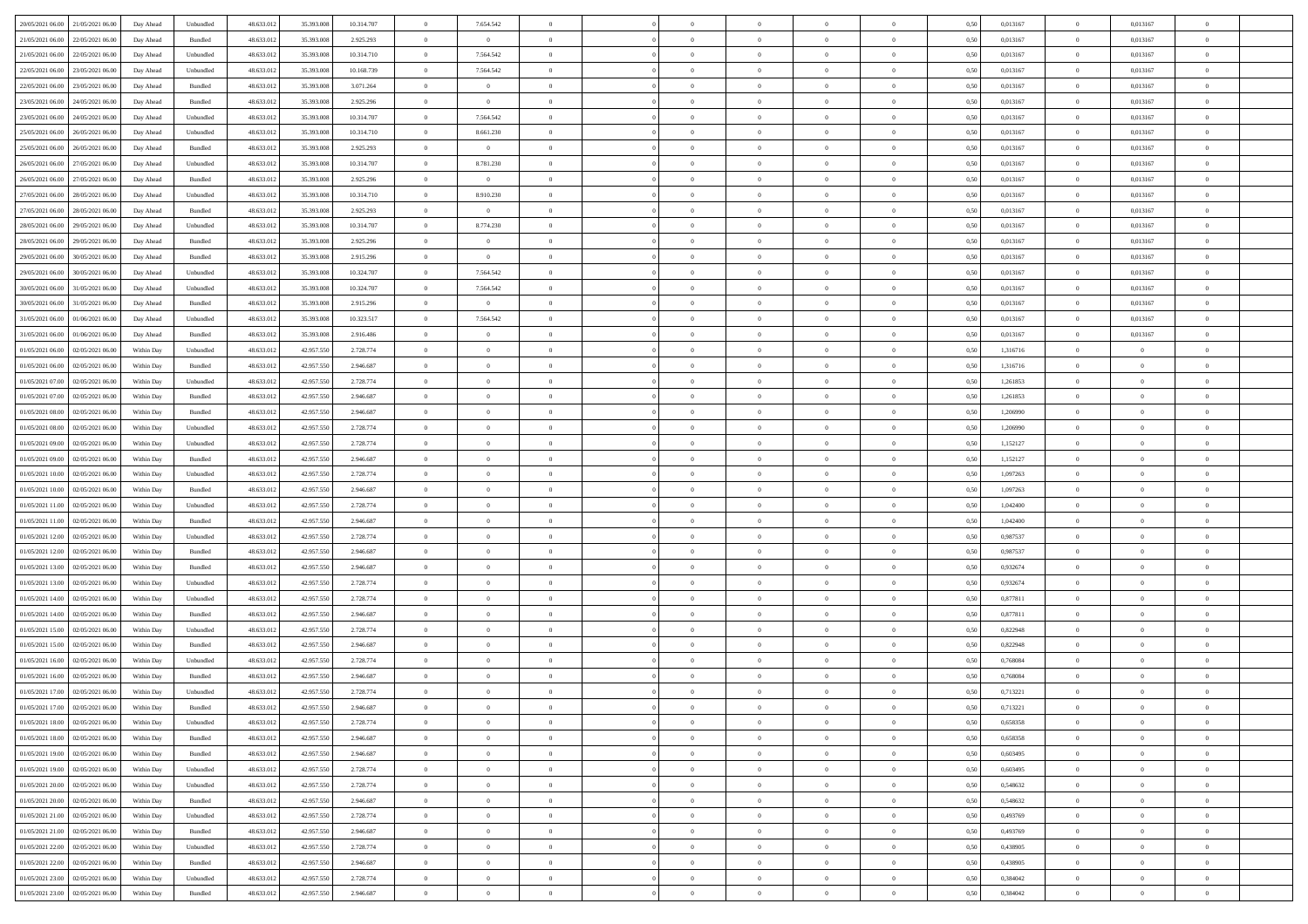| 20/05/2021 06:00 21/05/2021 06:00            | Day Ahead  | Unbundled | 48.633.01  | 35.393.008 | 10.314.707 | $\overline{0}$ | 7.654.542      |                | $\overline{0}$ | $\theta$       |                | $\theta$       | 0,50 | 0,013167 | $\theta$       | 0,013167       | $\overline{0}$ |  |
|----------------------------------------------|------------|-----------|------------|------------|------------|----------------|----------------|----------------|----------------|----------------|----------------|----------------|------|----------|----------------|----------------|----------------|--|
| 21/05/2021 06:00<br>22/05/2021 06:00         | Day Ahead  | Bundled   | 48.633.01  | 35.393.00  | 2.925.293  | $\bf{0}$       | $\bf{0}$       | $\bf{0}$       | $\overline{0}$ | $\overline{0}$ | $\overline{0}$ | $\bf{0}$       | 0,50 | 0,013167 | $\,$ 0 $\,$    | 0,013167       | $\overline{0}$ |  |
| 21/05/2021 06:00<br>22/05/2021 06:00         | Day Ahead  | Unbundled | 48.633.012 | 35.393.008 | 10.314.710 | $\overline{0}$ | 7.564.542      | $\overline{0}$ | $\bf{0}$       | $\bf{0}$       | $\overline{0}$ | $\bf{0}$       | 0.50 | 0.013167 | $\overline{0}$ | 0.013167       | $\overline{0}$ |  |
| 22/05/2021 06:00<br>23/05/2021 06:00         | Day Ahead  | Unbundled | 48.633.013 | 35.393.008 | 10.168.739 | $\bf{0}$       | 7.564.542      | $\overline{0}$ | $\theta$       | $\theta$       | $\overline{0}$ | $\overline{0}$ | 0,50 | 0,013167 | $\,$ 0 $\,$    | 0,013167       | $\overline{0}$ |  |
| 22/05/2021 06:00<br>23/05/2021 06.00         | Day Ahead  | Bundled   | 48.633.01  | 35.393.00  | 3.071.264  | $\bf{0}$       | $\overline{0}$ | $\bf{0}$       | $\overline{0}$ | $\theta$       | $\overline{0}$ | $\bf{0}$       | 0,50 | 0,013167 | $\,$ 0 $\,$    | 0,013167       | $\overline{0}$ |  |
| 23/05/2021 06:00<br>24/05/2021 06:00         | Day Ahead  | Bundled   | 48.633.013 | 35,393,008 | 2.925.296  | $\overline{0}$ | $\overline{0}$ | $\overline{0}$ | $\bf{0}$       | $\overline{0}$ | $\theta$       | $\bf{0}$       | 0.50 | 0.013167 | $\bf{0}$       | 0.013167       | $\overline{0}$ |  |
| 23/05/2021 06:00<br>24/05/2021 06:00         | Day Ahead  | Unbundled | 48.633.013 | 35.393.008 | 10.314.707 | $\overline{0}$ | 7.564.542      | $\overline{0}$ | $\overline{0}$ | $\theta$       | $\overline{0}$ | $\bf{0}$       | 0,50 | 0,013167 | $\,$ 0 $\,$    | 0,013167       | $\overline{0}$ |  |
| 25/05/2021 06:00<br>26/05/2021 06.00         | Day Ahead  | Unbundled | 48.633.01  | 35.393.00  | 10.314.710 | $\bf{0}$       | 8.661.230      | $\overline{0}$ | $\overline{0}$ | $\theta$       | $\overline{0}$ | $\bf{0}$       | 0,50 | 0,013167 | $\,$ 0 $\,$    | 0,013167       | $\overline{0}$ |  |
| 25/05/2021 06:00<br>26/05/2021 06:00         | Day Ahead  | Bundled   | 48.633.013 | 35,393,008 | 2.925.293  | $\overline{0}$ | $\overline{0}$ | $\overline{0}$ | $\bf{0}$       | $\overline{0}$ | $\overline{0}$ | $\bf{0}$       | 0.50 | 0.013167 | $\bf{0}$       | 0.013167       | $\overline{0}$ |  |
|                                              |            |           |            |            |            |                |                | $\overline{0}$ | $\overline{0}$ | $\theta$       | $\overline{0}$ |                |      |          | $\bf{0}$       |                |                |  |
| 26/05/2021 06:00<br>27/05/2021 06:00         | Day Ahead  | Unbundled | 48.633.012 | 35.393.008 | 10.314.707 | $\bf{0}$       | 8.781.230      |                |                |                |                | $\bf{0}$       | 0,50 | 0,013167 |                | 0,013167       | $\overline{0}$ |  |
| 26/05/2021 06:00<br>27/05/2021 06.00         | Day Ahead  | Bundled   | 48.633.01  | 35.393.00  | 2.925.296  | $\bf{0}$       | $\bf{0}$       | $\bf{0}$       | $\overline{0}$ | $\bf{0}$       | $\overline{0}$ | $\bf{0}$       | 0,50 | 0,013167 | $\,$ 0 $\,$    | 0,013167       | $\overline{0}$ |  |
| 27/05/2021 06:00<br>28/05/2021 06:00         | Day Ahead  | Unbundled | 48.633.013 | 35,393,008 | 10.314.710 | $\overline{0}$ | 8.910.230      | $\overline{0}$ | $\bf{0}$       | $\bf{0}$       | $\overline{0}$ | $\bf{0}$       | 0.50 | 0.013167 | $\overline{0}$ | 0.013167       | $\overline{0}$ |  |
| 27/05/2021 06:00<br>28/05/2021 06:00         | Day Ahead  | Bundled   | 48.633.01  | 35.393.008 | 2.925.293  | $\overline{0}$ | $\overline{0}$ | $\overline{0}$ | $\theta$       | $\theta$       | $\overline{0}$ | $\overline{0}$ | 0,50 | 0,013167 | $\,$ 0 $\,$    | 0,013167       | $\overline{0}$ |  |
| 28/05/2021 06:00<br>29/05/2021 06.00         | Day Ahead  | Unbundled | 48.633.01  | 35.393.00  | 10.314.707 | $\bf{0}$       | 8.774.230      | $\overline{0}$ | $\overline{0}$ | $\theta$       | $\overline{0}$ | $\bf{0}$       | 0,50 | 0,013167 | $\,$ 0 $\,$    | 0,013167       | $\overline{0}$ |  |
| 28/05/2021 06:00<br>29/05/2021 06:00         | Day Ahead  | Bundled   | 48.633.013 | 35,393,008 | 2.925.296  | $\overline{0}$ | $\overline{0}$ | $\overline{0}$ | $\bf{0}$       | $\overline{0}$ | $\Omega$       | $\bf{0}$       | 0.50 | 0.013167 | $\bf{0}$       | 0.013167       | $\overline{0}$ |  |
| 29/05/2021 06:00<br>30/05/2021 06:00         | Day Ahead  | Bundled   | 48.633.013 | 35.393.008 | 2.915.296  | $\overline{0}$ | $\overline{0}$ | $\overline{0}$ | $\overline{0}$ | $\overline{0}$ | $\overline{0}$ | $\bf{0}$       | 0,50 | 0,013167 | $\bf{0}$       | 0,013167       | $\overline{0}$ |  |
| 29/05/2021 06:00<br>30/05/2021 06.00         | Day Ahead  | Unbundled | 48.633.01  | 35.393.00  | 10.324.707 | $\bf{0}$       | 7.564.542      | $\overline{0}$ | $\overline{0}$ | $\theta$       | $\overline{0}$ | $\bf{0}$       | 0,50 | 0,013167 | $\,$ 0 $\,$    | 0,013167       | $\overline{0}$ |  |
| 30/05/2021 06:00<br>31/05/2021 06:00         | Day Ahead  | Unbundled | 48.633.013 | 35,393,008 | 10.324.707 | $\overline{0}$ | 7.564.542      | $\overline{0}$ | $\bf{0}$       | $\overline{0}$ | $\overline{0}$ | $\bf{0}$       | 0.50 | 0.013167 | $\bf{0}$       | 0.013167       | $\overline{0}$ |  |
| 30/05/2021 06:00<br>31/05/2021 06:00         | Day Ahead  | Bundled   | 48.633.013 | 35.393.008 | 2.915.296  | $\overline{0}$ | $\overline{0}$ | $\overline{0}$ | $\overline{0}$ | $\overline{0}$ | $\overline{0}$ | $\bf{0}$       | 0,50 | 0,013167 | $\,$ 0 $\,$    | 0,013167       | $\overline{0}$ |  |
| 31/05/2021 06:00<br>01/06/2021 06.00         | Day Ahead  | Unbundled | 48.633.01  | 35.393.00  | 10.323.517 | $\bf{0}$       | 7.564.542      | $\bf{0}$       | $\bf{0}$       | $\overline{0}$ | $\overline{0}$ | $\bf{0}$       | 0,50 | 0,013167 | $\,$ 0 $\,$    | 0,013167       | $\overline{0}$ |  |
| 31/05/2021 06:00<br>01/06/2021 06:00         | Day Ahead  | Bundled   | 48.633.013 | 35,393,008 | 2.916.486  | $\overline{0}$ | $\overline{0}$ | $\overline{0}$ | $\bf{0}$       | $\bf{0}$       | $\overline{0}$ | $\bf{0}$       | 0.50 | 0.013167 | $\overline{0}$ | 0.013167       | $\overline{0}$ |  |
| 01/05/2021 06:00<br>02/05/2021 06:00         | Within Day | Unbundled | 48.633.01  | 42.957.550 | 2.728.774  | $\overline{0}$ | $\overline{0}$ | $\overline{0}$ | $\theta$       | $\theta$       | $\overline{0}$ | $\bf{0}$       | 0,50 | 1,316716 | $\theta$       | $\overline{0}$ | $\overline{0}$ |  |
|                                              |            |           |            |            |            |                |                |                |                |                |                |                |      |          |                |                |                |  |
| 01/05/2021 06:00<br>02/05/2021 06.00         | Within Day | Bundled   | 48.633.01  | 42.957.55  | 2.946.687  | $\bf{0}$       | $\overline{0}$ | $\bf{0}$       | $\overline{0}$ | $\bf{0}$       | $\overline{0}$ | $\bf{0}$       | 0,50 | 1,316716 | $\,$ 0 $\,$    | $\bf{0}$       | $\overline{0}$ |  |
| 01/05/2021 07:00<br>02/05/2021 06:00         | Within Day | Unbundled | 48.633.013 | 42.957.55  | 2.728.774  | $\overline{0}$ | $\overline{0}$ | $\overline{0}$ | $\overline{0}$ | $\overline{0}$ | $\theta$       | $\bf{0}$       | 0.50 | 1.261853 | $\,$ 0 $\,$    | $\theta$       | $\overline{0}$ |  |
| 01/05/2021 07:00<br>02/05/2021 06:00         | Within Day | Bundled   | 48.633.013 | 42.957.550 | 2.946.687  | $\overline{0}$ | $\overline{0}$ | $\overline{0}$ | $\overline{0}$ | $\theta$       | $\overline{0}$ | $\bf{0}$       | 0,50 | 1,261853 | $\theta$       | $\theta$       | $\overline{0}$ |  |
| 01/05/2021 08:00<br>02/05/2021 06.00         | Within Day | Bundled   | 48.633.01  | 42.957.55  | 2.946.687  | $\bf{0}$       | $\overline{0}$ | $\bf{0}$       | $\overline{0}$ | $\theta$       | $\overline{0}$ | $\bf{0}$       | 0,50 | 1,206990 | $\,$ 0 $\,$    | $\bf{0}$       | $\overline{0}$ |  |
| 01/05/2021 08:00<br>02/05/2021 06:00         | Within Day | Unbundled | 48.633.013 | 42.957.55  | 2.728.774  | $\overline{0}$ | $\bf{0}$       | $\overline{0}$ | $\bf{0}$       | $\overline{0}$ | $\overline{0}$ | $\bf{0}$       | 0.50 | 1.206990 | $\bf{0}$       | $\overline{0}$ | $\overline{0}$ |  |
| 01/05/2021 09:00<br>02/05/2021 06:00         | Within Day | Unbundled | 48.633.013 | 42.957.550 | 2.728.774  | $\overline{0}$ | $\overline{0}$ | $\overline{0}$ | $\overline{0}$ | $\overline{0}$ | $\overline{0}$ | $\bf{0}$       | 0,50 | 1,152127 | $\theta$       | $\theta$       | $\overline{0}$ |  |
| 01/05/2021 09:00<br>02/05/2021 06.00         | Within Day | Bundled   | 48.633.01  | 42.957.55  | 2.946.687  | $\bf{0}$       | $\bf{0}$       | $\bf{0}$       | $\bf{0}$       | $\overline{0}$ | $\overline{0}$ | $\bf{0}$       | 0,50 | 1,152127 | $\,$ 0 $\,$    | $\bf{0}$       | $\overline{0}$ |  |
| 01/05/2021 10:00<br>02/05/2021 06:00         | Within Day | Unbundled | 48.633.013 | 42.957.55  | 2.728.774  | $\overline{0}$ | $\bf{0}$       | $\overline{0}$ | $\bf{0}$       | $\bf{0}$       | $\overline{0}$ | $\bf{0}$       | 0.50 | 1.097263 | $\bf{0}$       | $\overline{0}$ | $\bf{0}$       |  |
| 01/05/2021 10:00<br>02/05/2021 06:00         | Within Day | Bundled   | 48.633.013 | 42.957.550 | 2.946.687  | $\overline{0}$ | $\overline{0}$ | $\overline{0}$ | $\overline{0}$ | $\overline{0}$ | $\overline{0}$ | $\bf{0}$       | 0.5( | 1,097263 | $\theta$       | $\theta$       | $\overline{0}$ |  |
| 01/05/2021 11:00<br>02/05/2021 06.00         | Within Day | Unbundled | 48.633.01  | 42.957.55  | 2.728.774  | $\bf{0}$       | $\overline{0}$ | $\bf{0}$       | $\overline{0}$ | $\overline{0}$ | $\overline{0}$ | $\bf{0}$       | 0,50 | 1,042400 | $\,$ 0 $\,$    | $\bf{0}$       | $\overline{0}$ |  |
| 01/05/2021 11:00<br>02/05/2021 06:00         | Within Day | Bundled   | 48.633.013 | 42.957.55  | 2.946.687  | $\overline{0}$ | $\bf{0}$       | $\overline{0}$ | $\bf{0}$       | $\overline{0}$ | $\Omega$       | $\bf{0}$       | 0.50 | 1.042400 | $\,$ 0 $\,$    | $\theta$       | $\overline{0}$ |  |
| 01/05/2021 12:00<br>02/05/2021 06:00         | Within Dav | Unbundled | 48.633.013 | 42.957.550 | 2.728.774  | $\overline{0}$ | $\overline{0}$ | $\overline{0}$ | $\overline{0}$ | $\overline{0}$ | $\overline{0}$ | $\bf{0}$       | 0.5( | 0,987537 | $\theta$       | $\theta$       | $\overline{0}$ |  |
| 02/05/2021 06.00                             | Within Day | Bundled   | 48.633.01  | 42.957.55  | 2.946.687  | $\bf{0}$       | $\bf{0}$       | $\bf{0}$       | $\overline{0}$ | $\bf{0}$       | $\overline{0}$ | $\bf{0}$       | 0,50 | 0,987537 | $\,$ 0 $\,$    | $\bf{0}$       | $\overline{0}$ |  |
| 01/05/2021 12:00                             |            |           |            |            |            |                |                |                |                |                |                |                |      |          |                |                |                |  |
| 01/05/2021 13:00<br>02/05/2021 06:00         | Within Day | Bundled   | 48.633.013 | 42.957.55  | 2.946.687  | $\overline{0}$ | $\bf{0}$       | $\overline{0}$ | $\bf{0}$       | $\overline{0}$ | $\overline{0}$ | $\bf{0}$       | 0.50 | 0.932674 | $\bf{0}$       | $\overline{0}$ | $\overline{0}$ |  |
| 01/05/2021 13:00<br>02/05/2021 06:00         | Within Dav | Unbundled | 48.633.013 | 42.957.550 | 2.728.774  | $\overline{0}$ | $\overline{0}$ | $\overline{0}$ | $\overline{0}$ | $\overline{0}$ | $\overline{0}$ | $\bf{0}$       | 0.50 | 0,932674 | $\theta$       | $\theta$       | $\overline{0}$ |  |
| 01/05/2021 14:00<br>02/05/2021 06.00         | Within Day | Unbundled | 48.633.01  | 42.957.55  | 2.728.774  | $\bf{0}$       | $\bf{0}$       | $\bf{0}$       | $\bf{0}$       | $\overline{0}$ | $\overline{0}$ | $\bf{0}$       | 0,50 | 0,877811 | $\,$ 0 $\,$    | $\bf{0}$       | $\overline{0}$ |  |
| 01/05/2021 14:00<br>02/05/2021 06:00         | Within Day | Bundled   | 48.633.013 | 42.957.550 | 2.946.687  | $\overline{0}$ | $\bf{0}$       | $\overline{0}$ | $\bf{0}$       | $\bf{0}$       | $\overline{0}$ | $\bf{0}$       | 0.50 | 0.877811 | $\bf{0}$       | $\overline{0}$ | $\overline{0}$ |  |
| 01/05/2021 15:00<br>02/05/2021 06:00         | Within Day | Unbundled | 48.633.013 | 42.957.550 | 2.728.774  | $\overline{0}$ | $\overline{0}$ | $\overline{0}$ | $\overline{0}$ | $\overline{0}$ | $\overline{0}$ | $\bf{0}$       | 0.5( | 0,822948 | $\theta$       | $\theta$       | $\overline{0}$ |  |
| 01/05/2021 15:00<br>02/05/2021 06.00         | Within Day | Bundled   | 48.633.01  | 42.957.55  | 2.946.687  | $\bf{0}$       | $\bf{0}$       | $\bf{0}$       | $\overline{0}$ | $\overline{0}$ | $\overline{0}$ | $\bf{0}$       | 0,50 | 0,822948 | $\,$ 0 $\,$    | $\bf{0}$       | $\overline{0}$ |  |
| 01/05/2021 16:00<br>02/05/2021 06:00         | Within Day | Unbundled | 48.633.013 | 42.957.55  | 2.728.774  | $\overline{0}$ | $\overline{0}$ | $\overline{0}$ | $\bf{0}$       | $\overline{0}$ | $\Omega$       | $\bf{0}$       | 0.50 | 0.768084 | $\bf{0}$       | $\theta$       | $\overline{0}$ |  |
| 01/05/2021 16:00<br>02/05/2021 06:00         | Within Dav | Bundled   | 48.633.013 | 42.957.550 | 2.946.687  | $\overline{0}$ | $\overline{0}$ | $\Omega$       | $\Omega$       | $\theta$       | $\Omega$       | $\overline{0}$ | 0.5( | 0,768084 | $\theta$       | $\theta$       | $\overline{0}$ |  |
| 01/05/2021 17:00<br>02/05/2021 06:00         | Within Day | Unbundled | 48.633.01  | 42.957.550 | 2.728.774  | $\bf{0}$       | $\bf{0}$       | $\overline{0}$ | $\bf{0}$       | $\bf{0}$       | $\overline{0}$ | $\bf{0}$       | 0,50 | 0,713221 | $\,$ 0 $\,$    | $\bf{0}$       | $\overline{0}$ |  |
| $01/05/2021\ 17.00 \qquad 02/05/2021\ 06.00$ | Within Day | Bundled   | 48.633.012 | 42.957.550 | 2.946.687  | $\overline{0}$ |                |                | $\Omega$       |                |                |                | 0,50 | 0,713221 | $\bf{0}$       | $\overline{0}$ |                |  |
| 01/05/2021 18:00 02/05/2021 06:00            | Within Day | Unbundled | 48.633.012 | 42.957.550 | 2.728.774  | $\overline{0}$ | $\overline{0}$ | $\Omega$       | $\theta$       | $\overline{0}$ | $\overline{0}$ | $\bf{0}$       | 0,50 | 0,658358 | $\theta$       | $\theta$       | $\overline{0}$ |  |
| 01/05/2021 18:00<br>02/05/2021 06:00         | Within Day | Bundled   | 48.633.013 | 42.957.550 | 2.946.687  | $\overline{0}$ | $\bf{0}$       | $\overline{0}$ | $\overline{0}$ | $\bf{0}$       | $\overline{0}$ | $\bf{0}$       | 0,50 | 0,658358 | $\bf{0}$       | $\overline{0}$ | $\bf{0}$       |  |
| 01/05/2021 19:00 02/05/2021 06:00            | Within Day | Bundled   | 48.633.012 | 42.957.550 | 2.946.687  | $\overline{0}$ | $\bf{0}$       | $\overline{0}$ | $\overline{0}$ | $\mathbf{0}$   | $\overline{0}$ | $\,$ 0 $\,$    | 0.50 | 0.603495 | $\overline{0}$ | $\bf{0}$       | $\,$ 0 $\,$    |  |
| 01/05/2021 19:00 02/05/2021 06:00            | Within Day | Unbundled | 48.633.012 | 42.957.550 | 2.728.774  | $\overline{0}$ | $\overline{0}$ | $\overline{0}$ | $\overline{0}$ | $\overline{0}$ | $\overline{0}$ | $\bf{0}$       | 0,50 | 0,603495 | $\overline{0}$ | $\theta$       | $\overline{0}$ |  |
|                                              |            |           |            |            |            |                |                |                |                |                |                |                |      |          |                |                |                |  |
| 01/05/2021 20:00<br>02/05/2021 06:00         | Within Day | Unbundled | 48.633.012 | 42.957.550 | 2.728.774  | $\overline{0}$ | $\bf{0}$       | $\overline{0}$ | $\overline{0}$ | $\overline{0}$ | $\overline{0}$ | $\bf{0}$       | 0,50 | 0,548632 | $\bf{0}$       | $\overline{0}$ | $\overline{0}$ |  |
| 01/05/2021 20:00 02/05/2021 06:00            | Within Day | Bundled   | 48.633.012 | 42.957.550 | 2.946.687  | $\overline{0}$ | $\bf{0}$       | $\overline{0}$ | $\overline{0}$ | $\bf{0}$       | $\overline{0}$ | $\bf{0}$       | 0.50 | 0.548632 | $\,$ 0 $\,$    | $\overline{0}$ | $\,$ 0         |  |
| 01/05/2021 21:00<br>02/05/2021 06:00         | Within Dav | Unbundled | 48.633.012 | 42.957.550 | 2.728.774  | $\overline{0}$ | $\overline{0}$ | $\overline{0}$ | $\overline{0}$ | $\overline{0}$ | $\overline{0}$ | $\bf{0}$       | 0.50 | 0,493769 | $\overline{0}$ | $\theta$       | $\overline{0}$ |  |
| 01/05/2021 21:00<br>02/05/2021 06:00         | Within Day | Bundled   | 48.633.013 | 42.957.550 | 2.946.687  | $\overline{0}$ | $\overline{0}$ | $\overline{0}$ | $\overline{0}$ | $\overline{0}$ | $\overline{0}$ | $\bf{0}$       | 0,50 | 0,493769 | $\bf{0}$       | $\overline{0}$ | $\overline{0}$ |  |
| 01/05/2021 22:00 02/05/2021 06:00            | Within Day | Unbundled | 48.633.012 | 42.957.550 | 2.728.774  | $\overline{0}$ | $\overline{0}$ | $\overline{0}$ | $\overline{0}$ | $\overline{0}$ | $\overline{0}$ | $\bf{0}$       | 0.50 | 0.438905 | $\mathbf{0}$   | $\bf{0}$       | $\,$ 0         |  |
| 01/05/2021 22:00 02/05/2021 06:00            | Within Dav | Bundled   | 48.633.012 | 42.957.550 | 2.946.687  | $\overline{0}$ | $\overline{0}$ | $\overline{0}$ | $\overline{0}$ | $\overline{0}$ | $\overline{0}$ | $\bf{0}$       | 0,50 | 0,438905 | $\overline{0}$ | $\theta$       | $\overline{0}$ |  |
| 01/05/2021 23:00<br>02/05/2021 06:00         | Within Day | Unbundled | 48.633.013 | 42.957.550 | 2.728.774  | $\overline{0}$ | $\bf{0}$       | $\overline{0}$ | $\bf{0}$       | $\overline{0}$ | $\overline{0}$ | $\bf{0}$       | 0,50 | 0,384042 | $\bf{0}$       | $\,$ 0 $\,$    | $\bf{0}$       |  |
| $01/05/2021\ 23.00 \qquad 02/05/2021\ 06.00$ | Within Day | Bundled   | 48.633.012 | 42.957.550 | 2.946.687  | $\overline{0}$ | $\bf{0}$       | $\overline{0}$ | $\overline{0}$ | $\,$ 0 $\,$    | $\overline{0}$ | $\bf{0}$       | 0,50 | 0,384042 | $\overline{0}$ | $\,$ 0 $\,$    | $\,$ 0 $\,$    |  |
|                                              |            |           |            |            |            |                |                |                |                |                |                |                |      |          |                |                |                |  |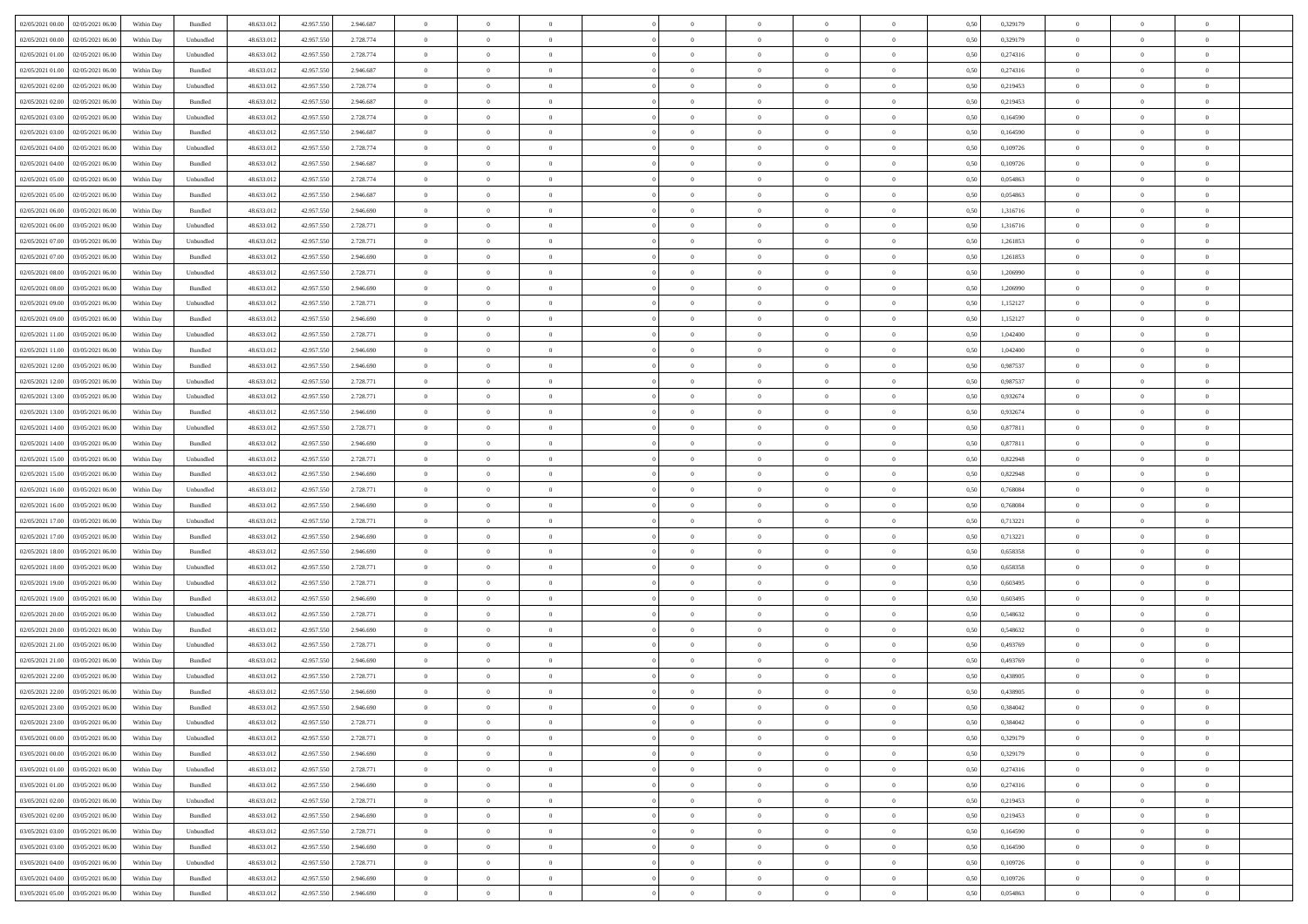| 02/05/2021 00:00 02/05/2021 06:00            | Within Day | Bundled   | 48.633.01  | 42.957.550 | 2.946.687 | $\overline{0}$ | $\overline{0}$ |                | $\overline{0}$ | $\theta$       |                | $\theta$       | 0,50 | 0,329179 | $\theta$       | $\theta$       | $\overline{0}$ |  |
|----------------------------------------------|------------|-----------|------------|------------|-----------|----------------|----------------|----------------|----------------|----------------|----------------|----------------|------|----------|----------------|----------------|----------------|--|
| 02/05/2021 00:00<br>02/05/2021 06:00         | Within Day | Unbundled | 48.633.01  | 42.957.55  | 2.728.774 | $\bf{0}$       | $\bf{0}$       | $\bf{0}$       | $\bf{0}$       | $\overline{0}$ | $\overline{0}$ | $\bf{0}$       | 0,50 | 0,329179 | $\,$ 0 $\,$    | $\bf{0}$       | $\overline{0}$ |  |
| 02/05/2021 01:00<br>02/05/2021 06:00         | Within Day | Unbundled | 48.633.012 | 42.957.550 | 2.728.774 | $\overline{0}$ | $\bf{0}$       | $\overline{0}$ | $\bf{0}$       | $\bf{0}$       | $\overline{0}$ | $\bf{0}$       | 0.50 | 0,274316 | $\bf{0}$       | $\overline{0}$ | $\overline{0}$ |  |
| 02/05/2021 01:00<br>02/05/2021 06:00         | Within Day | Bundled   | 48.633.01  | 42.957.550 | 2.946.687 | $\overline{0}$ | $\overline{0}$ | $\overline{0}$ | $\theta$       | $\theta$       | $\overline{0}$ | $\bf{0}$       | 0,50 | 0,274316 | $\theta$       | $\theta$       | $\overline{0}$ |  |
| 02/05/2021 02:00<br>02/05/2021 06.00         | Within Day | Unbundled | 48.633.01  | 42.957.55  | 2.728.774 | $\bf{0}$       | $\overline{0}$ | $\bf{0}$       | $\overline{0}$ | $\theta$       | $\overline{0}$ | $\bf{0}$       | 0,50 | 0,219453 | $\,$ 0 $\,$    | $\bf{0}$       | $\overline{0}$ |  |
|                                              |            |           |            |            |           |                |                |                |                |                | $\theta$       |                |      |          |                |                |                |  |
| 02/05/2021 02:00<br>02/05/2021 06:00         | Within Day | Bundled   | 48.633.013 | 42.957.55  | 2.946.687 | $\overline{0}$ | $\overline{0}$ | $\overline{0}$ | $\bf{0}$       | $\overline{0}$ |                | $\bf{0}$       | 0.50 | 0,219453 | $\,$ 0 $\,$    | $\theta$       | $\overline{0}$ |  |
| 02/05/2021 03:00<br>02/05/2021 06:00         | Within Day | Unbundled | 48.633.013 | 42.957.550 | 2.728.774 | $\overline{0}$ | $\overline{0}$ | $\overline{0}$ | $\overline{0}$ | $\overline{0}$ | $\overline{0}$ | $\bf{0}$       | 0,50 | 0,164590 | $\theta$       | $\theta$       | $\overline{0}$ |  |
| 02/05/2021 03:00<br>02/05/2021 06.00         | Within Day | Bundled   | 48.633.01  | 42.957.55  | 2.946.687 | $\bf{0}$       | $\bf{0}$       | $\bf{0}$       | $\overline{0}$ | $\overline{0}$ | $\overline{0}$ | $\bf{0}$       | 0,50 | 0,164590 | $\,$ 0 $\,$    | $\bf{0}$       | $\overline{0}$ |  |
| 02/05/2021 04:00<br>02/05/2021 06:00         | Within Day | Unbundled | 48.633.013 | 42.957.55  | 2.728.774 | $\overline{0}$ | $\bf{0}$       | $\overline{0}$ | $\bf{0}$       | $\overline{0}$ | $\overline{0}$ | $\bf{0}$       | 0.50 | 0.109726 | $\bf{0}$       | $\overline{0}$ | $\overline{0}$ |  |
| 02/05/2021 04:00<br>02/05/2021 06:00         | Within Day | Bundled   | 48.633.013 | 42.957.550 | 2.946.687 | $\bf{0}$       | $\bf{0}$       | $\overline{0}$ | $\overline{0}$ | $\overline{0}$ | $\overline{0}$ | $\bf{0}$       | 0,50 | 0,109726 | $\,$ 0 $\,$    | $\,$ 0 $\,$    | $\overline{0}$ |  |
| 02/05/2021 05:00<br>02/05/2021 06.00         | Within Day | Unbundled | 48.633.01  | 42.957.550 | 2.728.774 | $\bf{0}$       | $\bf{0}$       | $\bf{0}$       | $\bf{0}$       | $\bf{0}$       | $\overline{0}$ | $\bf{0}$       | 0,50 | 0,054863 | $\,$ 0 $\,$    | $\bf{0}$       | $\overline{0}$ |  |
| 02/05/2021 05:00<br>02/05/2021 06:00         | Within Day | Bundled   | 48.633.013 | 42.957.55  | 2.946.687 | $\overline{0}$ | $\bf{0}$       | $\overline{0}$ | $\overline{0}$ | $\bf{0}$       | $\overline{0}$ | $\bf{0}$       | 0.50 | 0.054863 | $\bf{0}$       | $\overline{0}$ | $\,$ 0         |  |
|                                              |            |           |            |            |           | $\overline{0}$ | $\overline{0}$ | $\overline{0}$ | $\theta$       | $\theta$       | $\overline{0}$ |                |      |          | $\,$ 0 $\,$    | $\theta$       |                |  |
| 02/05/2021 06:00<br>03/05/2021 06:00         | Within Day | Bundled   | 48.633.01  | 42.957.550 | 2.946.690 |                |                |                |                |                |                | $\bf{0}$       | 0,50 | 1,316716 |                |                | $\overline{0}$ |  |
| 02/05/2021 06:00<br>03/05/2021 06.00         | Within Day | Unbundled | 48.633.01  | 42.957.55  | 2.728.771 | $\bf{0}$       | $\overline{0}$ | $\bf{0}$       | $\overline{0}$ | $\bf{0}$       | $\overline{0}$ | $\bf{0}$       | 0,50 | 1,316716 | $\,$ 0 $\,$    | $\bf{0}$       | $\overline{0}$ |  |
| 02/05/2021 07:00<br>03/05/2021 06:00         | Within Day | Unbundled | 48.633.013 | 42.957.55  | 2.728.771 | $\overline{0}$ | $\bf{0}$       | $\overline{0}$ | $\bf{0}$       | $\overline{0}$ | $\theta$       | $\bf{0}$       | 0.50 | 1.261853 | $\,$ 0 $\,$    | $\theta$       | $\overline{0}$ |  |
| 02/05/2021 07:00<br>03/05/2021 06:00         | Within Day | Bundled   | 48.633.013 | 42.957.550 | 2.946.690 | $\overline{0}$ | $\overline{0}$ | $\overline{0}$ | $\overline{0}$ | $\overline{0}$ | $\overline{0}$ | $\bf{0}$       | 0,50 | 1,261853 | $\theta$       | $\theta$       | $\overline{0}$ |  |
| 02/05/2021 08:00<br>03/05/2021 06.00         | Within Day | Unbundled | 48.633.01  | 42.957.55  | 2.728.771 | $\bf{0}$       | $\bf{0}$       | $\bf{0}$       | $\overline{0}$ | $\bf{0}$       | $\overline{0}$ | $\bf{0}$       | 0,50 | 1,206990 | $\,$ 0 $\,$    | $\bf{0}$       | $\overline{0}$ |  |
| 02/05/2021 08:00<br>03/05/2021 06:00         | Within Day | Bundled   | 48.633.013 | 42.957.55  | 2.946.690 | $\overline{0}$ | $\bf{0}$       | $\overline{0}$ | $\bf{0}$       | $\overline{0}$ | $\overline{0}$ | $\bf{0}$       | 0.50 | 1.206990 | $\bf{0}$       | $\overline{0}$ | $\overline{0}$ |  |
| 02/05/2021 09:00<br>03/05/2021 06:00         | Within Day | Unbundled | 48.633.013 | 42.957.550 | 2.728.771 | $\bf{0}$       | $\bf{0}$       | $\overline{0}$ | $\overline{0}$ | $\overline{0}$ | $\overline{0}$ | $\bf{0}$       | 0,50 | 1,152127 | $\,$ 0 $\,$    | $\bf{0}$       | $\overline{0}$ |  |
| 03/05/2021 06.00                             | Within Day | Bundled   | 48.633.01  | 42.957.55  | 2.946.690 | $\bf{0}$       | $\bf{0}$       | $\bf{0}$       | $\bf{0}$       | $\overline{0}$ | $\overline{0}$ | $\bf{0}$       | 0,50 | 1,152127 | $\,$ 0 $\,$    | $\bf{0}$       | $\overline{0}$ |  |
| 02/05/2021 09:00                             |            |           |            |            |           |                |                |                |                |                |                |                |      |          |                |                |                |  |
| 02/05/2021 11:00<br>03/05/2021 06:00         | Within Day | Unbundled | 48.633.012 | 42.957.550 | 2.728.771 | $\overline{0}$ | $\bf{0}$       | $\overline{0}$ | $\overline{0}$ | $\bf{0}$       | $\overline{0}$ | $\bf{0}$       | 0.50 | 1.042400 | $\bf{0}$       | $\overline{0}$ | $\,$ 0         |  |
| 02/05/2021 11:00<br>03/05/2021 06:00         | Within Day | Bundled   | 48.633.01  | 42.957.550 | 2.946.690 | $\overline{0}$ | $\overline{0}$ | $\overline{0}$ | $\theta$       | $\theta$       | $\overline{0}$ | $\bf{0}$       | 0,50 | 1,042400 | $\theta$       | $\theta$       | $\overline{0}$ |  |
| 02/05/2021 12:00<br>03/05/2021 06.00         | Within Day | Bundled   | 48.633.01  | 42.957.550 | 2.946.690 | $\bf{0}$       | $\bf{0}$       | $\bf{0}$       | $\bf{0}$       | $\overline{0}$ | $\overline{0}$ | $\bf{0}$       | 0,50 | 0,987537 | $\,$ 0 $\,$    | $\bf{0}$       | $\overline{0}$ |  |
| 02/05/2021 12:00<br>03/05/2021 06:00         | Within Day | Unbundled | 48.633.013 | 42.957.55  | 2.728.771 | $\overline{0}$ | $\bf{0}$       | $\overline{0}$ | $\bf{0}$       | $\overline{0}$ | $\theta$       | $\bf{0}$       | 0.50 | 0.987537 | $\,$ 0 $\,$    | $\theta$       | $\overline{0}$ |  |
| 02/05/2021 13:00<br>03/05/2021 06:00         | Within Day | Unbundled | 48.633.013 | 42.957.550 | 2.728.771 | $\overline{0}$ | $\overline{0}$ | $\overline{0}$ | $\overline{0}$ | $\overline{0}$ | $\overline{0}$ | $\bf{0}$       | 0,50 | 0,932674 | $\theta$       | $\theta$       | $\overline{0}$ |  |
| 02/05/2021 13:00<br>03/05/2021 06.00         | Within Day | Bundled   | 48.633.01  | 42.957.55  | 2.946.690 | $\bf{0}$       | $\overline{0}$ | $\bf{0}$       | $\overline{0}$ | $\bf{0}$       | $\overline{0}$ | $\bf{0}$       | 0,50 | 0,932674 | $\,$ 0 $\,$    | $\bf{0}$       | $\overline{0}$ |  |
| 02/05/2021 14:00<br>03/05/2021 06:00         | Within Day | Unbundled | 48.633.013 | 42.957.55  | 2.728.771 | $\overline{0}$ | $\bf{0}$       | $\overline{0}$ | $\bf{0}$       | $\overline{0}$ | $\overline{0}$ | $\bf{0}$       | 0.50 | 0.877811 | $\bf{0}$       | $\overline{0}$ | $\overline{0}$ |  |
| 02/05/2021 14:00<br>03/05/2021 06:00         | Within Day | Bundled   | 48.633.01  | 42.957.550 | 2.946.690 | $\overline{0}$ | $\bf{0}$       | $\overline{0}$ | $\overline{0}$ | $\overline{0}$ | $\overline{0}$ | $\bf{0}$       | 0,50 | 0,877811 | $\theta$       | $\theta$       | $\overline{0}$ |  |
|                                              |            |           |            |            |           |                |                |                |                |                |                |                |      |          |                |                |                |  |
| 02/05/2021 15:00<br>03/05/2021 06.00         | Within Day | Unbundled | 48.633.01  | 42.957.55  | 2.728.771 | $\bf{0}$       | $\bf{0}$       | $\bf{0}$       | $\bf{0}$       | $\overline{0}$ | $\overline{0}$ | $\bf{0}$       | 0,50 | 0,822948 | $\,$ 0 $\,$    | $\bf{0}$       | $\overline{0}$ |  |
| 02/05/2021 15:00<br>03/05/2021 06:00         | Within Day | Bundled   | 48.633.013 | 42.957.55  | 2.946.690 | $\overline{0}$ | $\bf{0}$       | $\overline{0}$ | $\overline{0}$ | $\bf{0}$       | $\overline{0}$ | $\bf{0}$       | 0.50 | 0.822948 | $\bf{0}$       | $\overline{0}$ | $\,$ 0         |  |
| 02/05/2021 16:00<br>03/05/2021 06:00         | Within Day | Unbundled | 48.633.013 | 42.957.550 | 2.728.771 | $\overline{0}$ | $\overline{0}$ | $\overline{0}$ | $\overline{0}$ | $\overline{0}$ | $\overline{0}$ | $\bf{0}$       | 0.50 | 0.768084 | $\theta$       | $\theta$       | $\overline{0}$ |  |
| 02/05/2021 16:00<br>03/05/2021 06.00         | Within Day | Bundled   | 48.633.01  | 42.957.55  | 2.946.690 | $\bf{0}$       | $\overline{0}$ | $\bf{0}$       | $\bf{0}$       | $\overline{0}$ | $\overline{0}$ | $\bf{0}$       | 0,50 | 0,768084 | $\,$ 0 $\,$    | $\bf{0}$       | $\overline{0}$ |  |
| 02/05/2021 17:00<br>03/05/2021 06:00         | Within Day | Unbundled | 48.633.013 | 42.957.55  | 2.728.771 | $\overline{0}$ | $\bf{0}$       | $\overline{0}$ | $\bf{0}$       | $\overline{0}$ | $\overline{0}$ | $\bf{0}$       | 0.50 | 0,713221 | $\,$ 0 $\,$    | $\bf{0}$       | $\overline{0}$ |  |
| 02/05/2021 17:00<br>03/05/2021 06:00         | Within Dav | Bundled   | 48.633.013 | 42.957.550 | 2.946.690 | $\overline{0}$ | $\overline{0}$ | $\overline{0}$ | $\overline{0}$ | $\theta$       | $\overline{0}$ | $\bf{0}$       | 0.5( | 0,713221 | $\theta$       | $\theta$       | $\overline{0}$ |  |
| 02/05/2021 18:00<br>03/05/2021 06.00         | Within Day | Bundled   | 48.633.01  | 42.957.55  | 2.946.690 | $\bf{0}$       | $\bf{0}$       | $\bf{0}$       | $\bf{0}$       | $\bf{0}$       | $\overline{0}$ | $\bf{0}$       | 0,50 | 0,658358 | $\,$ 0 $\,$    | $\bf{0}$       | $\overline{0}$ |  |
| 02/05/2021 18:00<br>03/05/2021 06:00         | Within Day | Unbundled | 48.633.013 | 42.957.55  | 2.728.771 | $\overline{0}$ | $\bf{0}$       | $\overline{0}$ | $\bf{0}$       | $\overline{0}$ | $\overline{0}$ | $\bf{0}$       | 0.50 | 0.658358 | $\bf{0}$       | $\overline{0}$ | $\overline{0}$ |  |
|                                              |            |           |            |            |           |                |                |                |                |                |                |                |      |          |                |                |                |  |
| 02/05/2021 19:00<br>03/05/2021 06:00         | Within Day | Unbundled | 48.633.013 | 42.957.550 | 2.728.771 | $\overline{0}$ | $\overline{0}$ | $\overline{0}$ | $\overline{0}$ | $\overline{0}$ | $\overline{0}$ | $\bf{0}$       | 0.50 | 0,603495 | $\theta$       | $\theta$       | $\overline{0}$ |  |
| 02/05/2021 19:00<br>03/05/2021 06.00         | Within Day | Bundled   | 48.633.01  | 42.957.55  | 2.946.690 | $\bf{0}$       | $\bf{0}$       | $\bf{0}$       | $\bf{0}$       | $\overline{0}$ | $\overline{0}$ | $\bf{0}$       | 0,50 | 0,603495 | $\,$ 0 $\,$    | $\bf{0}$       | $\overline{0}$ |  |
| 02/05/2021 20:00<br>03/05/2021 06:00         | Within Day | Unbundled | 48.633.013 | 42.957.550 | 2.728.771 | $\overline{0}$ | $\bf{0}$       | $\overline{0}$ | $\overline{0}$ | $\bf{0}$       | $\overline{0}$ | $\bf{0}$       | 0.50 | 0.548632 | $\bf{0}$       | $\overline{0}$ | $\overline{0}$ |  |
| 02/05/2021 20:00<br>03/05/2021 06:00         | Within Day | Bundled   | 48.633.013 | 42.957.550 | 2.946.690 | $\overline{0}$ | $\overline{0}$ | $\overline{0}$ | $\overline{0}$ | $\overline{0}$ | $\overline{0}$ | $\bf{0}$       | 0.50 | 0,548632 | $\theta$       | $\theta$       | $\overline{0}$ |  |
| 02/05/2021 21:00<br>03/05/2021 06.00         | Within Day | Unbundled | 48.633.01  | 42.957.55  | 2.728.771 | $\bf{0}$       | $\bf{0}$       | $\bf{0}$       | $\bf{0}$       | $\overline{0}$ | $\overline{0}$ | $\bf{0}$       | 0,50 | 0,493769 | $\,$ 0 $\,$    | $\bf{0}$       | $\overline{0}$ |  |
| 02/05/2021 21:00<br>03/05/2021 06:00         | Within Day | Bundled   | 48.633.013 | 42.957.55  | 2.946.690 | $\overline{0}$ | $\overline{0}$ | $\overline{0}$ | $\bf{0}$       | $\overline{0}$ | $\Omega$       | $\bf{0}$       | 0.50 | 0.493769 | $\bf{0}$       | $\theta$       | $\overline{0}$ |  |
| 02/05/2021 22:00<br>03/05/2021 06:00         | Within Dav | Unbundled | 48.633.013 | 42.957.550 | 2.728.771 | $\overline{0}$ | $\overline{0}$ | $\Omega$       | $\overline{0}$ | $\theta$       | $\overline{0}$ | $\overline{0}$ | 0.5( | 0,438905 | $\theta$       | $\theta$       | $\overline{0}$ |  |
| 02/05/2021 22:00<br>03/05/2021 06:00         | Within Day | Bundled   | 48.633.01  | 42.957.550 | 2.946.690 | $\bf{0}$       | $\bf{0}$       | $\bf{0}$       | $\bf{0}$       | $\bf{0}$       | $\overline{0}$ | $\bf{0}$       | 0,50 | 0,438905 | $\,$ 0 $\,$    | $\bf{0}$       | $\overline{0}$ |  |
| $02/05/2021$ 23.00 $03/05/2021$ 06.00        | Within Day | Bundled   | 48.633.012 | 42.957.550 | 2.946.690 | $\overline{0}$ | $\Omega$       |                | $\Omega$       |                |                |                | 0,50 | 0.384042 | $\theta$       | $\overline{0}$ |                |  |
|                                              |            |           |            |            |           |                |                |                |                |                |                |                |      |          |                |                |                |  |
| 02/05/2021 23:00 03/05/2021 06:00            | Within Day | Unbundled | 48.633.012 | 42.957.550 | 2.728.771 | $\overline{0}$ | $\overline{0}$ | $\Omega$       | $\theta$       | $\overline{0}$ | $\overline{0}$ | $\bf{0}$       | 0,50 | 0,384042 | $\theta$       | $\overline{0}$ | $\overline{0}$ |  |
| 03/05/2021 00:00<br>03/05/2021 06:00         | Within Day | Unbundled | 48.633.013 | 42.957.550 | 2.728.771 | $\overline{0}$ | $\bf{0}$       | $\overline{0}$ | $\overline{0}$ | $\bf{0}$       | $\overline{0}$ | $\bf{0}$       | 0,50 | 0,329179 | $\bf{0}$       | $\overline{0}$ | $\bf{0}$       |  |
| 03/05/2021 00:00 03/05/2021 06:00            | Within Day | Bundled   | 48.633.012 | 42.957.550 | 2.946.690 | $\overline{0}$ | $\bf{0}$       | $\overline{0}$ | $\overline{0}$ | $\mathbf{0}$   | $\overline{0}$ | $\,$ 0 $\,$    | 0.50 | 0,329179 | $\overline{0}$ | $\bf{0}$       | $\,$ 0 $\,$    |  |
| 03/05/2021 01:00 03/05/2021 06:00            | Within Day | Unbundled | 48.633.012 | 42.957.550 | 2.728.771 | $\overline{0}$ | $\overline{0}$ | $\overline{0}$ | $\overline{0}$ | $\overline{0}$ | $\overline{0}$ | $\bf{0}$       | 0,50 | 0,274316 | $\overline{0}$ | $\theta$       | $\overline{0}$ |  |
| 03/05/2021 01:00<br>03/05/2021 06:00         | Within Day | Bundled   | 48.633.012 | 42.957.550 | 2.946.690 | $\overline{0}$ | $\bf{0}$       | $\overline{0}$ | $\overline{0}$ | $\overline{0}$ | $\overline{0}$ | $\bf{0}$       | 0,50 | 0,274316 | $\bf{0}$       | $\overline{0}$ | $\overline{0}$ |  |
| 03/05/2021 02:00 03/05/2021 06:00            | Within Day | Unbundled | 48.633.012 | 42.957.550 | 2.728.771 | $\overline{0}$ | $\bf{0}$       | $\overline{0}$ | $\overline{0}$ | $\bf{0}$       | $\overline{0}$ | $\bf{0}$       | 0.50 | 0,219453 | $\,$ 0 $\,$    | $\overline{0}$ | $\,$ 0         |  |
| 03/05/2021 02:00<br>03/05/2021 06:00         | Within Dav | Bundled   | 48.633.012 | 42.957.550 | 2.946.690 | $\overline{0}$ | $\overline{0}$ | $\overline{0}$ | $\overline{0}$ | $\overline{0}$ | $\overline{0}$ | $\bf{0}$       | 0.50 | 0,219453 | $\overline{0}$ | $\theta$       | $\overline{0}$ |  |
|                                              |            |           |            |            |           |                |                |                |                |                |                |                |      |          |                |                |                |  |
| 03/05/2021 06:00<br>03/05/2021 03:00         | Within Day | Unbundled | 48.633.013 | 42.957.550 | 2.728.771 | $\overline{0}$ | $\overline{0}$ | $\overline{0}$ | $\overline{0}$ | $\overline{0}$ | $\overline{0}$ | $\bf{0}$       | 0,50 | 0,164590 | $\bf{0}$       | $\overline{0}$ | $\overline{0}$ |  |
| 03/05/2021 03:00 03/05/2021 06:00            | Within Day | Bundled   | 48.633.012 | 42.957.550 | 2.946.690 | $\overline{0}$ | $\overline{0}$ | $\overline{0}$ | $\overline{0}$ | $\overline{0}$ | $\overline{0}$ | $\bf{0}$       | 0.50 | 0.164590 | $\mathbf{0}$   | $\bf{0}$       | $\,$ 0         |  |
| 03/05/2021 04:00 03/05/2021 06:00            | Within Dav | Unbundled | 48.633.012 | 42.957.550 | 2.728.771 | $\overline{0}$ | $\overline{0}$ | $\overline{0}$ | $\overline{0}$ | $\overline{0}$ | $\overline{0}$ | $\bf{0}$       | 0,50 | 0,109726 | $\overline{0}$ | $\theta$       | $\overline{0}$ |  |
| 03/05/2021 04:00<br>03/05/2021 06:00         | Within Day | Bundled   | 48.633.013 | 42.957.550 | 2.946.690 | $\overline{0}$ | $\bf{0}$       | $\overline{0}$ | $\bf{0}$       | $\overline{0}$ | $\bf{0}$       | $\bf{0}$       | 0,50 | 0,109726 | $\bf{0}$       | $\,$ 0 $\,$    | $\bf{0}$       |  |
| $03/05/2021\ 05.00 \qquad 03/05/2021\ 06.00$ | Within Day | Bundled   | 48.633.012 | 42.957.550 | 2.946.690 | $\overline{0}$ | $\bf{0}$       | $\overline{0}$ | $\overline{0}$ | $\,$ 0 $\,$    | $\overline{0}$ | $\bf{0}$       | 0,50 | 0,054863 | $\overline{0}$ | $\,$ 0 $\,$    | $\,$ 0 $\,$    |  |
|                                              |            |           |            |            |           |                |                |                |                |                |                |                |      |          |                |                |                |  |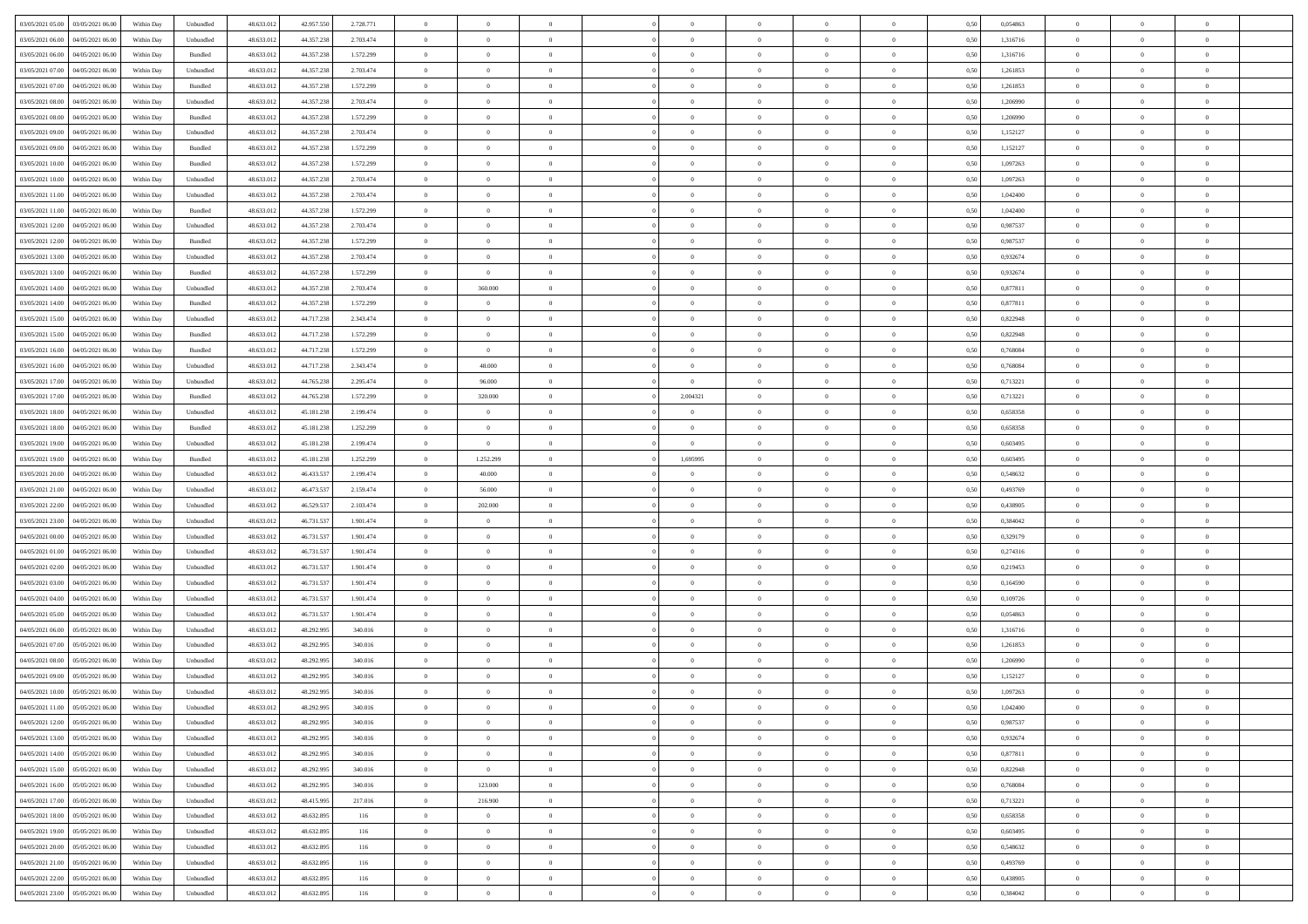|                                              |            |                             |            |            |           | $\overline{0}$ | $\theta$       |                | $\overline{0}$ | $\theta$       |                | $\theta$       |      |          | $\theta$       | $\theta$       | $\theta$       |  |
|----------------------------------------------|------------|-----------------------------|------------|------------|-----------|----------------|----------------|----------------|----------------|----------------|----------------|----------------|------|----------|----------------|----------------|----------------|--|
| 03/05/2021 05:00 03/05/2021 06:00            | Within Day | Unbundled                   | 48.633.01  | 42.957.550 | 2.728.771 |                |                |                |                |                |                |                | 0,50 | 0,054863 |                |                |                |  |
| 03/05/2021 06:00<br>04/05/2021 06.00         | Within Day | Unbundled                   | 48.633.01  | 44.357.23  | 2.703.474 | $\bf{0}$       | $\bf{0}$       | $\bf{0}$       | $\overline{0}$ | $\overline{0}$ | $\overline{0}$ | $\bf{0}$       | 0,50 | 1,316716 | $\,$ 0 $\,$    | $\bf{0}$       | $\overline{0}$ |  |
| 03/05/2021 06:00<br>04/05/2021 06:00         | Within Day | Bundled                     | 48.633.013 | 44.357.238 | 1.572.299 | $\overline{0}$ | $\bf{0}$       | $\overline{0}$ | $\bf{0}$       | $\bf{0}$       | $\overline{0}$ | $\bf{0}$       | 0.50 | 1.316716 | $\bf{0}$       | $\overline{0}$ | $\overline{0}$ |  |
| 03/05/2021 07:00<br>04/05/2021 06:00         | Within Day | Unbundled                   | 48.633.01  | 44.357.238 | 2.703.474 | $\overline{0}$ | $\bf{0}$       | $\overline{0}$ | $\theta$       | $\theta$       | $\overline{0}$ | $\bf{0}$       | 0,50 | 1,261853 | $\theta$       | $\theta$       | $\overline{0}$ |  |
| 03/05/2021 07:00<br>04/05/2021 06.00         | Within Day | Bundled                     | 48.633.01  | 44.357.23  | 1.572.299 | $\bf{0}$       | $\overline{0}$ | $\bf{0}$       | $\overline{0}$ | $\theta$       | $\overline{0}$ | $\bf{0}$       | 0,50 | 1,261853 | $\,$ 0 $\,$    | $\bf{0}$       | $\overline{0}$ |  |
| 03/05/2021 08:00<br>04/05/2021 06:00         |            | Unbundled                   | 48.633.013 | 44.357.23  | 2.703.474 | $\overline{0}$ | $\overline{0}$ | $\overline{0}$ | $\bf{0}$       | $\overline{0}$ | $\theta$       | $\bf{0}$       | 0.50 | 1.206990 | $\,$ 0 $\,$    | $\theta$       | $\overline{0}$ |  |
|                                              | Within Day |                             |            |            |           |                |                |                |                |                |                |                |      |          |                |                |                |  |
| 03/05/2021 08:00<br>04/05/2021 06:00         | Within Day | Bundled                     | 48.633.013 | 44.357.238 | 1.572.299 | $\overline{0}$ | $\overline{0}$ | $\overline{0}$ | $\overline{0}$ | $\overline{0}$ | $\overline{0}$ | $\bf{0}$       | 0,50 | 1,206990 | $\theta$       | $\theta$       | $\overline{0}$ |  |
| 03/05/2021 09:00<br>04/05/2021 06.00         | Within Day | Unbundled                   | 48.633.01  | 44.357.23  | 2.703.474 | $\overline{0}$ | $\overline{0}$ | $\bf{0}$       | $\overline{0}$ | $\bf{0}$       | $\overline{0}$ | $\bf{0}$       | 0,50 | 1,152127 | $\,$ 0 $\,$    | $\bf{0}$       | $\overline{0}$ |  |
| 03/05/2021 09:00<br>04/05/2021 06:00         | Within Day | Bundled                     | 48.633.013 | 44.357.23  | 1.572.299 | $\overline{0}$ | $\bf{0}$       | $\overline{0}$ | $\bf{0}$       | $\overline{0}$ | $\overline{0}$ | $\bf{0}$       | 0.50 | 1.152127 | $\bf{0}$       | $\overline{0}$ | $\overline{0}$ |  |
| 03/05/2021 10:00<br>04/05/2021 06:00         | Within Day | Bundled                     | 48.633.013 | 44.357.238 | 1.572.299 | $\overline{0}$ | $\bf{0}$       | $\overline{0}$ | $\overline{0}$ | $\overline{0}$ | $\overline{0}$ | $\bf{0}$       | 0,50 | 1,097263 | $\,$ 0 $\,$    | $\bf{0}$       | $\overline{0}$ |  |
| 03/05/2021 10:00<br>04/05/2021 06.00         | Within Day | Unbundled                   | 48.633.01  | 44.357.238 | 2.703.474 | $\bf{0}$       | $\overline{0}$ | $\bf{0}$       | $\bf{0}$       | $\bf{0}$       | $\overline{0}$ | $\bf{0}$       | 0,50 | 1,097263 | $\,$ 0 $\,$    | $\bf{0}$       | $\overline{0}$ |  |
| 03/05/2021 11:00<br>04/05/2021 06:00         | Within Day | Unbundled                   | 48.633.013 | 44.357.238 | 2.703.474 | $\overline{0}$ | $\bf{0}$       | $\overline{0}$ | $\overline{0}$ | $\bf{0}$       | $\overline{0}$ | $\bf{0}$       | 0.50 | 1.042400 | $\bf{0}$       | $\overline{0}$ | $\bf{0}$       |  |
|                                              |            |                             |            |            |           | $\overline{0}$ | $\overline{0}$ | $\overline{0}$ | $\theta$       | $\theta$       | $\overline{0}$ |                |      |          | $\,$ 0 $\,$    | $\theta$       | $\overline{0}$ |  |
| 03/05/2021 11:00<br>04/05/2021 06:00         | Within Day | Bundled                     | 48.633.01  | 44.357.238 | 1.572.299 |                |                |                |                |                |                | $\bf{0}$       | 0,50 | 1,042400 |                |                |                |  |
| 03/05/2021 12:00<br>04/05/2021 06.00         | Within Day | Unbundled                   | 48.633.01  | 44.357.23  | 2.703.474 | $\bf{0}$       | $\overline{0}$ | $\bf{0}$       | $\overline{0}$ | $\theta$       | $\overline{0}$ | $\bf{0}$       | 0,50 | 0,987537 | $\,$ 0 $\,$    | $\bf{0}$       | $\overline{0}$ |  |
| 03/05/2021 12:00<br>04/05/2021 06:00         | Within Day | Bundled                     | 48.633.013 | 44.357.23  | 1.572.299 | $\overline{0}$ | $\overline{0}$ | $\overline{0}$ | $\bf{0}$       | $\overline{0}$ | $\Omega$       | $\bf{0}$       | 0.50 | 0.987537 | $\,$ 0 $\,$    | $\theta$       | $\overline{0}$ |  |
| 03/05/2021 13:00<br>04/05/2021 06:00         | Within Day | Unbundled                   | 48.633.01  | 44.357.238 | 2.703.474 | $\overline{0}$ | $\overline{0}$ | $\overline{0}$ | $\overline{0}$ | $\overline{0}$ | $\overline{0}$ | $\bf{0}$       | 0,50 | 0,932674 | $\theta$       | $\theta$       | $\overline{0}$ |  |
| 03/05/2021 13:00<br>04/05/2021 06.00         | Within Day | Bundled                     | 48.633.01  | 44.357.238 | 1.572.299 | $\bf{0}$       | $\overline{0}$ | $\bf{0}$       | $\overline{0}$ | $\bf{0}$       | $\overline{0}$ | $\bf{0}$       | 0,50 | 0,932674 | $\,$ 0 $\,$    | $\bf{0}$       | $\overline{0}$ |  |
| 03/05/2021 14:00<br>04/05/2021 06:00         | Within Day | Unbundled                   | 48.633.013 | 44.357.23  | 2.703.474 | $\overline{0}$ | 360,000        | $\overline{0}$ | $\bf{0}$       | $\overline{0}$ | $\overline{0}$ | $\bf{0}$       | 0.50 | 0.877811 | $\bf{0}$       | $\overline{0}$ | $\overline{0}$ |  |
| 03/05/2021 14:00<br>04/05/2021 06:00         | Within Day | Bundled                     | 48.633.013 | 44.357.238 | 1.572.299 | $\overline{0}$ | $\overline{0}$ | $\overline{0}$ | $\overline{0}$ | $\overline{0}$ | $\overline{0}$ | $\bf{0}$       | 0,50 | 0,877811 | $\,$ 0 $\,$    | $\bf{0}$       | $\overline{0}$ |  |
|                                              |            |                             |            |            |           |                |                |                |                |                |                |                |      |          |                |                |                |  |
| 03/05/2021 15:00<br>04/05/2021 06.00         | Within Day | Unbundled                   | 48.633.01  | 44.717.238 | 2.343.474 | $\bf{0}$       | $\overline{0}$ | $\bf{0}$       | $\bf{0}$       | $\overline{0}$ | $\overline{0}$ | $\bf{0}$       | 0,50 | 0,822948 | $\,$ 0 $\,$    | $\bf{0}$       | $\overline{0}$ |  |
| 03/05/2021 15:00<br>04/05/2021 06:00         | Within Day | Bundled                     | 48.633.013 | 44.717.238 | 1.572.299 | $\overline{0}$ | $\bf{0}$       | $\overline{0}$ | $\overline{0}$ | $\bf{0}$       | $\overline{0}$ | $\bf{0}$       | 0.50 | 0.822948 | $\bf{0}$       | $\overline{0}$ | $\overline{0}$ |  |
| 03/05/2021 16:00<br>04/05/2021 06:00         | Within Day | Bundled                     | 48.633.01  | 44.717.238 | 1.572.299 | $\overline{0}$ | $\overline{0}$ | $\overline{0}$ | $\overline{0}$ | $\theta$       | $\overline{0}$ | $\bf{0}$       | 0,50 | 0,768084 | $\theta$       | $\theta$       | $\overline{0}$ |  |
| 03/05/2021 16:00<br>04/05/2021 06.00         | Within Day | Unbundled                   | 48.633.01  | 44.717.238 | 2.343.474 | $\bf{0}$       | 48.000         | $\bf{0}$       | $\overline{0}$ | $\theta$       | $\overline{0}$ | $\bf{0}$       | 0,50 | 0,768084 | $\,$ 0 $\,$    | $\bf{0}$       | $\overline{0}$ |  |
| 03/05/2021 17:00<br>04/05/2021 06:00         | Within Day | Unbundled                   | 48.633.013 | 44.765.23  | 2.295.474 | $\overline{0}$ | 96,000         | $\overline{0}$ | $\overline{0}$ | $\overline{0}$ | $\theta$       | $\bf{0}$       | 0.50 | 0,713221 | $\,$ 0 $\,$    | $\theta$       | $\overline{0}$ |  |
| 03/05/2021 17:00<br>04/05/2021 06:00         | Within Day | Bundled                     | 48.633.013 | 44.765.238 | 1.572.299 | $\overline{0}$ | 320.000        | $\overline{0}$ | 2,004321       | $\overline{0}$ | $\overline{0}$ | $\bf{0}$       | 0,50 | 0,713221 | $\,$ 0 $\,$    | $\theta$       | $\overline{0}$ |  |
| 03/05/2021 18:00<br>04/05/2021 06.00         | Within Day | Unbundled                   | 48.633.01  | 45.181.238 | 2.199.474 | $\bf{0}$       | $\theta$       | $\bf{0}$       |                | $\overline{0}$ | $\overline{0}$ | $\bf{0}$       | 0,50 | 0,658358 | $\,$ 0 $\,$    | $\bf{0}$       | $\overline{0}$ |  |
| 03/05/2021 18:00<br>04/05/2021 06:00         | Within Day | Bundled                     | 48.633.013 | 45.181.238 | 1.252.299 | $\overline{0}$ | $\bf{0}$       | $\overline{0}$ | $\bf{0}$       | $\overline{0}$ | $\overline{0}$ | $\bf{0}$       | 0.50 | 0.658358 | $\bf{0}$       | $\overline{0}$ | $\overline{0}$ |  |
|                                              |            |                             |            |            |           |                |                |                |                |                |                |                |      |          |                |                |                |  |
| 03/05/2021 19:00<br>04/05/2021 06:00         | Within Day | Unbundled                   | 48.633.01  | 45.181.238 | 2.199.474 | $\overline{0}$ | $\bf{0}$       | $\overline{0}$ | $\overline{0}$ | $\overline{0}$ | $\overline{0}$ | $\bf{0}$       | 0,50 | 0,603495 | $\theta$       | $\theta$       | $\overline{0}$ |  |
| 03/05/2021 19:00<br>04/05/2021 06.00         | Within Day | Bundled                     | 48.633.01  | 45.181.238 | 1.252.299 | $\bf{0}$       | 1.252.299      | $\bf{0}$       | 1,695995       | $\overline{0}$ | $\overline{0}$ | $\bf{0}$       | 0,50 | 0,603495 | $\,$ 0 $\,$    | $\bf{0}$       | $\overline{0}$ |  |
| 03/05/2021 20:00<br>04/05/2021 06:00         | Within Day | Unbundled                   | 48.633.013 | 46.433.53  | 2.199.474 | $\overline{0}$ | 40,000         | $\overline{0}$ | $\bf{0}$       | $\bf{0}$       | $\overline{0}$ | $\bf{0}$       | 0.50 | 0.548632 | $\bf{0}$       | $\overline{0}$ | $\bf{0}$       |  |
| 03/05/2021 21:00<br>04/05/2021 06:00         | Within Day | Unbundled                   | 48.633.013 | 46.473.537 | 2.159.474 | $\overline{0}$ | 56,000         | $\overline{0}$ | $\overline{0}$ | $\overline{0}$ | $\overline{0}$ | $\bf{0}$       | 0.5( | 0,493769 | $\theta$       | $\theta$       | $\overline{0}$ |  |
| 03/05/2021 22:00<br>04/05/2021 06.00         | Within Day | Unbundled                   | 48.633.01  | 46.529.53  | 2.103.474 | $\bf{0}$       | 202.000        | $\bf{0}$       | $\bf{0}$       | $\overline{0}$ | $\overline{0}$ | $\bf{0}$       | 0,50 | 0,438905 | $\,$ 0 $\,$    | $\bf{0}$       | $\overline{0}$ |  |
| 03/05/2021 23:00<br>04/05/2021 06:00         | Within Day | Unbundled                   | 48.633.013 | 46.731.537 | 1.901.474 | $\overline{0}$ | $\overline{0}$ | $\overline{0}$ | $\bf{0}$       | $\overline{0}$ | $\Omega$       | $\bf{0}$       | 0.50 | 0.384042 | $\,$ 0 $\,$    | $\theta$       | $\overline{0}$ |  |
| 04/05/2021 00:00<br>04/05/2021 06:00         | Within Dav | Unbundled                   | 48.633.013 | 46.731.537 | 1.901.474 | $\overline{0}$ | $\overline{0}$ | $\overline{0}$ | $\overline{0}$ | $\overline{0}$ | $\overline{0}$ | $\bf{0}$       | 0.50 | 0,329179 | $\theta$       | $\theta$       | $\overline{0}$ |  |
| 04/05/2021 01:00<br>04/05/2021 06.00         | Within Day | Unbundled                   | 48.633.01  | 46.731.537 | 1.901.474 | $\bf{0}$       | $\bf{0}$       | $\bf{0}$       | $\overline{0}$ | $\bf{0}$       | $\overline{0}$ | $\bf{0}$       | 0,50 | 0,274316 | $\,$ 0 $\,$    | $\bf{0}$       | $\overline{0}$ |  |
|                                              |            |                             |            |            |           |                |                |                |                |                |                |                |      |          |                |                |                |  |
| 04/05/2021 02:00<br>04/05/2021 06:00         | Within Day | Unbundled                   | 48.633.013 | 46.731.537 | 1.901.474 | $\overline{0}$ | $\bf{0}$       | $\overline{0}$ | $\bf{0}$       | $\overline{0}$ | $\overline{0}$ | $\bf{0}$       | 0.50 | 0.219453 | $\bf{0}$       | $\overline{0}$ | $\overline{0}$ |  |
| 04/05/2021 03:00<br>04/05/2021 06:00         | Within Day | Unbundled                   | 48.633.013 | 46.731.537 | 1.901.474 | $\overline{0}$ | $\overline{0}$ | $\overline{0}$ | $\overline{0}$ | $\overline{0}$ | $\overline{0}$ | $\bf{0}$       | 0.50 | 0,164590 | $\theta$       | $\theta$       | $\overline{0}$ |  |
| 04/05/2021 04:00<br>04/05/2021 06.00         | Within Day | Unbundled                   | 48.633.01  | 46.731.53  | 1.901.474 | $\bf{0}$       | $\bf{0}$       | $\bf{0}$       | $\bf{0}$       | $\overline{0}$ | $\overline{0}$ | $\bf{0}$       | 0,50 | 0,109726 | $\,$ 0 $\,$    | $\bf{0}$       | $\overline{0}$ |  |
| 04/05/2021 05:00<br>04/05/2021 06:00         | Within Day | Unbundled                   | 48.633.013 | 46.731.537 | 1.901.474 | $\overline{0}$ | $\bf{0}$       | $\overline{0}$ | $\bf{0}$       | $\bf{0}$       | $\overline{0}$ | $\bf{0}$       | 0.50 | 0.054863 | $\bf{0}$       | $\overline{0}$ | $\overline{0}$ |  |
| 04/05/2021 06:00<br>05/05/2021 06:00         | Within Day | Unbundled                   | 48.633.013 | 48.292.995 | 340,016   | $\overline{0}$ | $\overline{0}$ | $\overline{0}$ | $\overline{0}$ | $\overline{0}$ | $\overline{0}$ | $\bf{0}$       | 0.5( | 1,316716 | $\theta$       | $\theta$       | $\overline{0}$ |  |
| 04/05/2021 07:00<br>05/05/2021 06.00         | Within Day | Unbundled                   | 48.633.01  | 48.292.99  | 340.016   | $\bf{0}$       | $\bf{0}$       | $\bf{0}$       | $\bf{0}$       | $\overline{0}$ | $\overline{0}$ | $\bf{0}$       | 0,50 | 1,261853 | $\,$ 0 $\,$    | $\bf{0}$       | $\overline{0}$ |  |
| 04/05/2021 08:00<br>05/05/2021 06:00         | Within Day | Unbundled                   | 48.633.013 | 48.292.99  | 340,016   | $\overline{0}$ | $\overline{0}$ | $\overline{0}$ | $\bf{0}$       | $\overline{0}$ | $\Omega$       | $\bf{0}$       | 0.50 | 1.206990 | $\bf{0}$       | $\theta$       | $\overline{0}$ |  |
| 04/05/2021 09:00<br>05/05/2021 06:00         | Within Dav | Unbundled                   | 48.633.013 | 48.292.995 | 340,016   | $\overline{0}$ | $\overline{0}$ | $\Omega$       | $\overline{0}$ | $\theta$       | $\Omega$       | $\overline{0}$ | 0.5( | 1,152127 | $\theta$       | $\theta$       | $\overline{0}$ |  |
|                                              |            |                             |            |            |           |                |                |                |                |                |                |                |      |          |                |                |                |  |
| 04/05/2021 10:00<br>05/05/2021 06:00         | Within Day | Unbundled                   | 48.633.01  | 48.292.995 | 340.016   | $\bf{0}$       | $\bf{0}$       | $\overline{0}$ | $\bf{0}$       | $\bf{0}$       | $\overline{0}$ | $\bf{0}$       | 0,50 | 1,097263 | $\,$ 0 $\,$    | $\bf{0}$       | $\overline{0}$ |  |
| $04/05/2021\ 11.00 \qquad 05/05/2021\ 06.00$ | Within Day | $\ensuremath{\mathsf{Unb}}$ | 48.633.012 | 48.292.995 | 340 016   | $\overline{0}$ |                |                | $\Omega$       |                |                |                | 0,50 | 1,042400 | $\theta$       | $\overline{0}$ |                |  |
| 04/05/2021 12:00 05/05/2021 06:00            | Within Day | Unbundled                   | 48.633.012 | 48.292.995 | 340.016   | $\overline{0}$ | $\overline{0}$ | $\overline{0}$ | $\theta$       | $\overline{0}$ | $\overline{0}$ | $\bf{0}$       | 0,50 | 0,987537 | $\theta$       | $\theta$       | $\overline{0}$ |  |
| 04/05/2021 13:00<br>05/05/2021 06:00         | Within Day | Unbundled                   | 48.633.013 | 48.292.995 | 340.016   | $\overline{0}$ | $\bf{0}$       | $\overline{0}$ | $\overline{0}$ | $\bf{0}$       | $\overline{0}$ | $\bf{0}$       | 0,50 | 0,932674 | $\overline{0}$ | $\overline{0}$ | $\bf{0}$       |  |
| 04/05/2021 14:00  05/05/2021 06:00           | Within Day | Unbundled                   | 48.633.012 | 48.292.995 | 340,016   | $\overline{0}$ | $\overline{0}$ | $\overline{0}$ | $\overline{0}$ | $\mathbf{0}$   | $\overline{0}$ | $\,$ 0 $\,$    | 0.50 | 0.877811 | $\overline{0}$ | $\overline{0}$ | $\bf{0}$       |  |
| 04/05/2021 15:00  05/05/2021 06:00           | Within Day | Unbundled                   | 48.633.012 | 48.292.995 | 340,016   | $\overline{0}$ | $\overline{0}$ | $\overline{0}$ | $\overline{0}$ | $\overline{0}$ | $\overline{0}$ | $\bf{0}$       | 0,50 | 0,822948 | $\overline{0}$ | $\theta$       | $\overline{0}$ |  |
| 04/05/2021 16:00<br>05/05/2021 06:00         | Within Day | Unbundled                   | 48.633.012 | 48.292.995 | 340.016   | $\overline{0}$ | 123.000        | $\overline{0}$ | $\overline{0}$ | $\bf{0}$       | $\overline{0}$ | $\bf{0}$       | 0,50 | 0,768084 | $\bf{0}$       | $\overline{0}$ | $\overline{0}$ |  |
|                                              |            |                             | 48.633.012 |            |           |                | 216,900        | $\overline{0}$ |                | $\,$ 0 $\,$    | $\overline{0}$ |                | 0.50 |          | $\,$ 0 $\,$    | $\overline{0}$ | $\,$ 0         |  |
| 04/05/2021 17:00  05/05/2021 06:00           | Within Day | Unbundled                   |            | 48.415.995 | 217.016   | $\overline{0}$ |                |                | $\overline{0}$ |                |                | $\bf{0}$       |      | 0,713221 |                |                |                |  |
| 04/05/2021 18:00 05/05/2021 06:00            | Within Day | Unbundled                   | 48.633.012 | 48.632.895 | 116       | $\overline{0}$ | $\overline{0}$ | $\overline{0}$ | $\overline{0}$ | $\overline{0}$ | $\overline{0}$ | $\bf{0}$       | 0,50 | 0,658358 | $\overline{0}$ | $\theta$       | $\overline{0}$ |  |
| 05/05/2021 06:00<br>04/05/2021 19:00         | Within Day | Unbundled                   | 48.633.013 | 48.632.895 | 116       | $\overline{0}$ | $\overline{0}$ | $\overline{0}$ | $\overline{0}$ | $\overline{0}$ | $\overline{0}$ | $\bf{0}$       | 0,50 | 0,603495 | $\bf{0}$       | $\overline{0}$ | $\,$ 0         |  |
| 04/05/2021 20:00 05/05/2021 06:00            | Within Day | Unbundled                   | 48.633.012 | 48.632.895 | 116       | $\overline{0}$ | $\overline{0}$ | $\overline{0}$ | $\overline{0}$ | $\overline{0}$ | $\overline{0}$ | $\bf{0}$       | 0.50 | 0.548632 | $\mathbf{0}$   | $\bf{0}$       | $\,$ 0         |  |
| 04/05/2021 21:00 05/05/2021 06:00            | Within Dav | Unbundled                   | 48.633.012 | 48.632.895 | 116       | $\overline{0}$ | $\overline{0}$ | $\overline{0}$ | $\overline{0}$ | $\overline{0}$ | $\overline{0}$ | $\bf{0}$       | 0,50 | 0,493769 | $\overline{0}$ | $\theta$       | $\overline{0}$ |  |
| 04/05/2021 22:00<br>05/05/2021 06:00         | Within Day | Unbundled                   | 48.633.013 | 48.632.895 | 116       | $\overline{0}$ | $\bf{0}$       | $\overline{0}$ | $\overline{0}$ | $\overline{0}$ | $\overline{0}$ | $\bf{0}$       | 0,50 | 0,438905 | $\bf{0}$       | $\overline{0}$ | $\bf{0}$       |  |
| $04/05/2021\ 23.00 \qquad 05/05/2021\ 06.00$ | Within Day | Unbundled                   | 48.633.012 | 48.632.895 | 116       | $\overline{0}$ | $\bf{0}$       | $\overline{0}$ | $\overline{0}$ | $\,$ 0 $\,$    | $\overline{0}$ | $\,$ 0 $\,$    | 0,50 | 0,384042 | $\overline{0}$ | $\,$ 0 $\,$    | $\,$ 0 $\,$    |  |
|                                              |            |                             |            |            |           |                |                |                |                |                |                |                |      |          |                |                |                |  |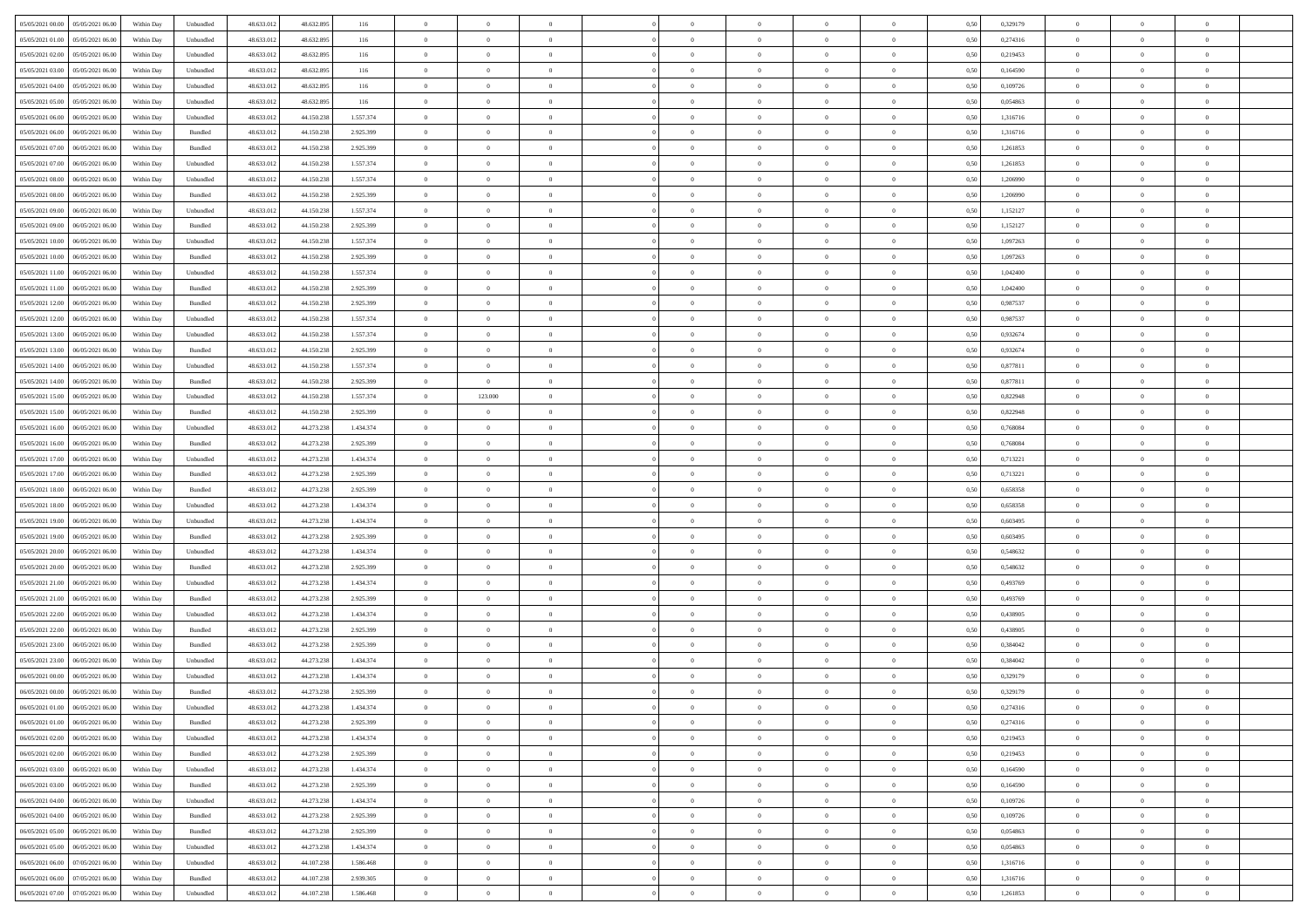| 05/05/2021 00:00 05/05/2021 06:00            | Within Day | Unbundled                   | 48.633.01  | 48.632.895 | 116       | $\overline{0}$ | $\theta$       |                | $\overline{0}$ | $\theta$       |                | $\theta$       | 0,50 | 0,329179 | $\theta$       | $\theta$       | $\theta$       |  |
|----------------------------------------------|------------|-----------------------------|------------|------------|-----------|----------------|----------------|----------------|----------------|----------------|----------------|----------------|------|----------|----------------|----------------|----------------|--|
| 05/05/2021 01:00<br>05/05/2021 06:00         | Within Day | Unbundled                   | 48.633.01  | 48.632.895 | 116       | $\bf{0}$       | $\bf{0}$       | $\bf{0}$       | $\overline{0}$ | $\overline{0}$ | $\overline{0}$ | $\bf{0}$       | 0,50 | 0,274316 | $\,$ 0 $\,$    | $\bf{0}$       | $\overline{0}$ |  |
| 05/05/2021 02:00<br>05/05/2021 06:00         | Within Day | Unbundled                   | 48.633.013 | 48.632.895 | 116       | $\overline{0}$ | $\bf{0}$       | $\overline{0}$ | $\bf{0}$       | $\bf{0}$       | $\overline{0}$ | $\bf{0}$       | 0.50 | 0,219453 | $\bf{0}$       | $\overline{0}$ | $\overline{0}$ |  |
| 05/05/2021 03:00<br>05/05/2021 06:00         | Within Day | Unbundled                   | 48.633.01  | 48.632.895 | 116       | $\overline{0}$ | $\bf{0}$       | $\overline{0}$ | $\theta$       | $\theta$       | $\overline{0}$ | $\bf{0}$       | 0,50 | 0,164590 | $\theta$       | $\theta$       | $\overline{0}$ |  |
| 05/05/2021 04:00<br>05/05/2021 06.00         | Within Day | Unbundled                   | 48.633.01  | 48.632.895 | 116       | $\overline{0}$ | $\overline{0}$ | $\bf{0}$       | $\overline{0}$ | $\theta$       | $\overline{0}$ | $\bf{0}$       | 0,50 | 0,109726 | $\,$ 0 $\,$    | $\bf{0}$       | $\overline{0}$ |  |
|                                              |            |                             |            |            |           |                |                |                |                |                | $\theta$       |                |      |          |                |                |                |  |
| 05/05/2021 05:00<br>05/05/2021 06:00         | Within Day | Unbundled                   | 48.633.013 | 48.632.895 | 116       | $\overline{0}$ | $\overline{0}$ | $\overline{0}$ | $\bf{0}$       | $\overline{0}$ |                | $\bf{0}$       | 0.50 | 0.054863 | $\,$ 0 $\,$    | $\theta$       | $\overline{0}$ |  |
| 05/05/2021 06:00<br>06/05/2021 06:00         | Within Day | Unbundled                   | 48.633.013 | 44.150.238 | 1.557.374 | $\overline{0}$ | $\overline{0}$ | $\overline{0}$ | $\overline{0}$ | $\overline{0}$ | $\overline{0}$ | $\bf{0}$       | 0,50 | 1,316716 | $\theta$       | $\theta$       | $\overline{0}$ |  |
| 05/05/2021 06:00<br>06/05/2021 06.00         | Within Day | Bundled                     | 48.633.01  | 44.150.23  | 2.925.399 | $\bf{0}$       | $\overline{0}$ | $\overline{0}$ | $\overline{0}$ | $\theta$       | $\overline{0}$ | $\bf{0}$       | 0,50 | 1,316716 | $\,$ 0 $\,$    | $\bf{0}$       | $\overline{0}$ |  |
| 05/05/2021 07:00<br>06/05/2021 06:00         | Within Day | Bundled                     | 48.633.013 | 44.150.23  | 2.925.399 | $\overline{0}$ | $\bf{0}$       | $\overline{0}$ | $\bf{0}$       | $\overline{0}$ | $\overline{0}$ | $\bf{0}$       | 0.50 | 1.261853 | $\bf{0}$       | $\overline{0}$ | $\overline{0}$ |  |
| 05/05/2021 07:00<br>06/05/2021 06:00         | Within Day | Unbundled                   | 48.633.013 | 44.150.238 | 1.557.374 | $\overline{0}$ | $\bf{0}$       | $\overline{0}$ | $\overline{0}$ | $\overline{0}$ | $\overline{0}$ | $\bf{0}$       | 0,50 | 1,261853 | $\,$ 0 $\,$    | $\bf{0}$       | $\overline{0}$ |  |
| 05/05/2021 08:00<br>06/05/2021 06.00         | Within Day | Unbundled                   | 48.633.01  | 44.150.238 | 1.557.374 | $\bf{0}$       | $\overline{0}$ | $\bf{0}$       | $\bf{0}$       | $\bf{0}$       | $\overline{0}$ | $\bf{0}$       | 0,50 | 1,206990 | $\,$ 0 $\,$    | $\bf{0}$       | $\overline{0}$ |  |
| 05/05/2021 08:00<br>06/05/2021 06:00         | Within Day | Bundled                     | 48.633.013 | 44.150.238 | 2.925.399 | $\overline{0}$ | $\bf{0}$       | $\overline{0}$ | $\overline{0}$ | $\bf{0}$       | $\overline{0}$ | $\bf{0}$       | 0.50 | 1.206990 | $\bf{0}$       | $\overline{0}$ | $\bf{0}$       |  |
| 05/05/2021 09:00<br>06/05/2021 06:00         | Within Day | Unbundled                   | 48.633.01  | 44.150.238 | 1.557.374 | $\overline{0}$ | $\overline{0}$ | $\overline{0}$ | $\theta$       | $\theta$       | $\overline{0}$ | $\bf{0}$       | 0,50 | 1,152127 | $\,$ 0 $\,$    | $\theta$       | $\overline{0}$ |  |
|                                              |            |                             |            |            |           |                |                |                |                |                |                |                |      |          |                |                |                |  |
| 05/05/2021 09:00<br>06/05/2021 06.00         | Within Day | Bundled                     | 48.633.01  | 44.150.23  | 2.925.399 | $\bf{0}$       | $\overline{0}$ | $\bf{0}$       | $\overline{0}$ | $\theta$       | $\overline{0}$ | $\bf{0}$       | 0,50 | 1,152127 | $\,$ 0 $\,$    | $\bf{0}$       | $\overline{0}$ |  |
| 05/05/2021 10:00<br>06/05/2021 06:00         | Within Day | Unbundled                   | 48.633.013 | 44.150.238 | 1.557.374 | $\overline{0}$ | $\overline{0}$ | $\overline{0}$ | $\bf{0}$       | $\overline{0}$ | $\Omega$       | $\bf{0}$       | 0.50 | 1.097263 | $\,$ 0 $\,$    | $\theta$       | $\overline{0}$ |  |
| 05/05/2021 10:00<br>06/05/2021 06:00         | Within Day | Bundled                     | 48.633.013 | 44.150.238 | 2.925.399 | $\overline{0}$ | $\overline{0}$ | $\overline{0}$ | $\overline{0}$ | $\overline{0}$ | $\overline{0}$ | $\bf{0}$       | 0,50 | 1,097263 | $\theta$       | $\theta$       | $\overline{0}$ |  |
| 05/05/2021 11:00<br>06/05/2021 06.00         | Within Day | Unbundled                   | 48.633.01  | 44.150.23  | 1.557.374 | $\bf{0}$       | $\overline{0}$ | $\bf{0}$       | $\overline{0}$ | $\theta$       | $\overline{0}$ | $\bf{0}$       | 0,50 | 1,042400 | $\,$ 0 $\,$    | $\bf{0}$       | $\overline{0}$ |  |
| 05/05/2021 11:00<br>06/05/2021 06:00         | Within Day | Bundled                     | 48.633.013 | 44.150.23  | 2.925.399 | $\overline{0}$ | $\bf{0}$       | $\overline{0}$ | $\bf{0}$       | $\overline{0}$ | $\overline{0}$ | $\bf{0}$       | 0.50 | 1.042400 | $\bf{0}$       | $\overline{0}$ | $\overline{0}$ |  |
| 05/05/2021 12:00<br>06/05/2021 06:00         | Within Day | Bundled                     | 48.633.013 | 44.150.238 | 2.925.399 | $\overline{0}$ | $\bf{0}$       | $\overline{0}$ | $\overline{0}$ | $\overline{0}$ | $\overline{0}$ | $\bf{0}$       | 0,50 | 0,987537 | $\,$ 0 $\,$    | $\theta$       | $\overline{0}$ |  |
| 05/05/2021 12:00<br>06/05/2021 06.00         | Within Day | Unbundled                   | 48.633.01  | 44.150.238 | 1.557.374 | $\bf{0}$       | $\bf{0}$       | $\bf{0}$       | $\bf{0}$       | $\overline{0}$ | $\overline{0}$ | $\bf{0}$       | 0,50 | 0,987537 | $\,$ 0 $\,$    | $\bf{0}$       | $\overline{0}$ |  |
|                                              |            |                             |            |            |           |                |                |                |                |                |                |                |      |          |                |                |                |  |
| 05/05/2021 13:00<br>06/05/2021 06:00         | Within Day | Unbundled                   | 48.633.013 | 44.150.238 | 1.557.374 | $\overline{0}$ | $\bf{0}$       | $\overline{0}$ | $\bf{0}$       | $\bf{0}$       | $\overline{0}$ | $\bf{0}$       | 0.50 | 0.932674 | $\bf{0}$       | $\overline{0}$ | $\overline{0}$ |  |
| 05/05/2021 13:00<br>06/05/2021 06:00         | Within Day | Bundled                     | 48.633.01  | 44.150.238 | 2.925.399 | $\overline{0}$ | $\overline{0}$ | $\overline{0}$ | $\theta$       | $\theta$       | $\overline{0}$ | $\bf{0}$       | 0,50 | 0,932674 | $\theta$       | $\theta$       | $\overline{0}$ |  |
| 05/05/2021 14:00<br>06/05/2021 06.00         | Within Day | Unbundled                   | 48.633.01  | 44.150.238 | 1.557.374 | $\bf{0}$       | $\overline{0}$ | $\bf{0}$       | $\bf{0}$       | $\,$ 0 $\,$    | $\overline{0}$ | $\bf{0}$       | 0,50 | 0,877811 | $\,$ 0 $\,$    | $\bf{0}$       | $\overline{0}$ |  |
| 05/05/2021 14:00<br>06/05/2021 06:00         | Within Day | Bundled                     | 48.633.013 | 44.150.238 | 2.925.399 | $\overline{0}$ | $\overline{0}$ | $\overline{0}$ | $\bf{0}$       | $\overline{0}$ | $\theta$       | $\bf{0}$       | 0.50 | 0.877811 | $\,$ 0 $\,$    | $\theta$       | $\overline{0}$ |  |
| 05/05/2021 15:00<br>06/05/2021 06:00         | Within Day | Unbundled                   | 48.633.013 | 44.150.238 | 1.557.374 | $\overline{0}$ | 123.000        | $\overline{0}$ | $\overline{0}$ | $\theta$       | $\overline{0}$ | $\bf{0}$       | 0,50 | 0,822948 | $\,$ 0 $\,$    | $\theta$       | $\overline{0}$ |  |
| 05/05/2021 15:00<br>06/05/2021 06.00         | Within Day | Bundled                     | 48.633.01  | 44.150.23  | 2.925.399 | $\bf{0}$       | $\theta$       | $\bf{0}$       | $\overline{0}$ | $\theta$       | $\overline{0}$ | $\bf{0}$       | 0,50 | 0,822948 | $\,$ 0 $\,$    | $\bf{0}$       | $\overline{0}$ |  |
| 05/05/2021 16:00<br>06/05/2021 06:00         | Within Day | Unbundled                   | 48.633.013 | 44.273.238 | 1.434.374 | $\overline{0}$ | $\bf{0}$       | $\overline{0}$ | $\bf{0}$       | $\overline{0}$ | $\overline{0}$ | $\bf{0}$       | 0.50 | 0.768084 | $\bf{0}$       | $\overline{0}$ | $\overline{0}$ |  |
| 05/05/2021 16:00<br>06/05/2021 06:00         | Within Day | Bundled                     | 48.633.01  | 44.273.238 | 2.925.399 | $\overline{0}$ | $\bf{0}$       | $\overline{0}$ | $\overline{0}$ | $\overline{0}$ | $\overline{0}$ | $\bf{0}$       | 0,50 | 0,768084 | $\theta$       | $\theta$       | $\overline{0}$ |  |
|                                              |            |                             |            |            |           |                |                |                |                |                |                |                |      |          |                |                |                |  |
| 05/05/2021 17:00<br>06/05/2021 06.00         | Within Day | Unbundled                   | 48.633.01  | 44.273.238 | 1.434.374 | $\bf{0}$       | $\bf{0}$       | $\bf{0}$       | $\bf{0}$       | $\overline{0}$ | $\overline{0}$ | $\bf{0}$       | 0,50 | 0,713221 | $\,$ 0 $\,$    | $\bf{0}$       | $\overline{0}$ |  |
| 05/05/2021 17:00<br>06/05/2021 06:00         | Within Day | Bundled                     | 48.633.013 | 44.273.238 | 2.925.399 | $\overline{0}$ | $\bf{0}$       | $\overline{0}$ | $\bf{0}$       | $\bf{0}$       | $\overline{0}$ | $\bf{0}$       | 0.50 | 0,713221 | $\bf{0}$       | $\overline{0}$ | $\bf{0}$       |  |
| 05/05/2021 18:00<br>06/05/2021 06:00         | Within Day | Bundled                     | 48.633.013 | 44.273.238 | 2.925.399 | $\overline{0}$ | $\overline{0}$ | $\overline{0}$ | $\overline{0}$ | $\overline{0}$ | $\overline{0}$ | $\bf{0}$       | 0.5( | 0,658358 | $\theta$       | $\theta$       | $\overline{0}$ |  |
| 05/05/2021 18:00<br>06/05/2021 06.00         | Within Day | Unbundled                   | 48.633.01  | 44.273.238 | 1.434.374 | $\bf{0}$       | $\overline{0}$ | $\bf{0}$       | $\bf{0}$       | $\overline{0}$ | $\overline{0}$ | $\bf{0}$       | 0,50 | 0,658358 | $\,$ 0 $\,$    | $\bf{0}$       | $\overline{0}$ |  |
| 05/05/2021 19:00<br>06/05/2021 06:00         | Within Day | Unbundled                   | 48.633.013 | 44.273.238 | 1.434.374 | $\overline{0}$ | $\bf{0}$       | $\overline{0}$ | $\bf{0}$       | $\overline{0}$ | $\Omega$       | $\bf{0}$       | 0.50 | 0.603495 | $\,$ 0 $\,$    | $\theta$       | $\overline{0}$ |  |
| 05/05/2021 19:00<br>06/05/2021 06:00         | Within Dav | Bundled                     | 48.633.013 | 44.273.238 | 2.925.399 | $\overline{0}$ | $\overline{0}$ | $\overline{0}$ | $\overline{0}$ | $\overline{0}$ | $\overline{0}$ | $\bf{0}$       | 0.50 | 0,603495 | $\theta$       | $\theta$       | $\overline{0}$ |  |
| 05/05/2021 20:00<br>06/05/2021 06.00         | Within Day | Unbundled                   | 48.633.01  | 44.273.238 | 1.434.374 | $\bf{0}$       | $\bf{0}$       | $\bf{0}$       | $\overline{0}$ | $\bf{0}$       | $\overline{0}$ | $\bf{0}$       | 0,50 | 0,548632 | $\,$ 0 $\,$    | $\bf{0}$       | $\overline{0}$ |  |
| 05/05/2021 20:00<br>06/05/2021 06:00         | Within Day | Bundled                     | 48.633.013 | 44.273.23  | 2.925.399 | $\overline{0}$ | $\bf{0}$       | $\overline{0}$ | $\bf{0}$       | $\overline{0}$ | $\overline{0}$ | $\bf{0}$       | 0.50 | 0.548632 | $\bf{0}$       | $\overline{0}$ | $\overline{0}$ |  |
| 05/05/2021 21:00<br>06/05/2021 06:00         | Within Dav | Unbundled                   | 48.633.013 | 44.273.238 | 1.434.374 | $\overline{0}$ | $\overline{0}$ | $\overline{0}$ | $\overline{0}$ | $\overline{0}$ | $\overline{0}$ | $\bf{0}$       | 0.50 | 0,493769 | $\theta$       | $\theta$       | $\overline{0}$ |  |
|                                              |            |                             |            |            |           |                |                |                |                |                |                |                |      |          |                |                |                |  |
| 05/05/2021 21:00<br>06/05/2021 06.00         | Within Day | Bundled                     | 48.633.01  | 44.273.238 | 2.925.399 | $\bf{0}$       | $\bf{0}$       | $\bf{0}$       | $\bf{0}$       | $\overline{0}$ | $\overline{0}$ | $\bf{0}$       | 0,50 | 0,493769 | $\,$ 0 $\,$    | $\bf{0}$       | $\overline{0}$ |  |
| 05/05/2021 22:00<br>06/05/2021 06:00         | Within Day | Unbundled                   | 48.633.013 | 44.273.238 | 1.434.374 | $\overline{0}$ | $\bf{0}$       | $\overline{0}$ | $\bf{0}$       | $\bf{0}$       | $\overline{0}$ | $\bf{0}$       | 0.50 | 0.438905 | $\bf{0}$       | $\overline{0}$ | $\overline{0}$ |  |
| 05/05/2021 22:00<br>06/05/2021 06:00         | Within Dav | Bundled                     | 48.633.013 | 44.273.238 | 2.925.399 | $\overline{0}$ | $\overline{0}$ | $\overline{0}$ | $\overline{0}$ | $\theta$       | $\overline{0}$ | $\bf{0}$       | 0.5( | 0,438905 | $\theta$       | $\theta$       | $\overline{0}$ |  |
| 05/05/2021 23:00<br>06/05/2021 06.00         | Within Day | Bundled                     | 48.633.013 | 44.273.238 | 2.925.399 | $\bf{0}$       | $\bf{0}$       | $\bf{0}$       | $\bf{0}$       | $\overline{0}$ | $\overline{0}$ | $\bf{0}$       | 0,50 | 0,384042 | $\,$ 0 $\,$    | $\bf{0}$       | $\overline{0}$ |  |
| 05/05/2021 23:00<br>06/05/2021 06:00         | Within Day | Unbundled                   | 48.633.013 | 44.273.238 | 1.434.374 | $\overline{0}$ | $\overline{0}$ | $\overline{0}$ | $\bf{0}$       | $\overline{0}$ | $\Omega$       | $\bf{0}$       | 0.50 | 0.384042 | $\bf{0}$       | $\theta$       | $\overline{0}$ |  |
| 06/05/2021 00:00<br>06/05/2021 06:00         | Within Dav | Unbundled                   | 48.633.013 | 44.273.238 | 1.434.374 | $\overline{0}$ | $\overline{0}$ | $\Omega$       | $\overline{0}$ | $\theta$       | $\Omega$       | $\overline{0}$ | 0.5( | 0,329179 | $\theta$       | $\theta$       | $\overline{0}$ |  |
| 06/05/2021 00:00<br>06/05/2021 06:00         | Within Day | Bundled                     | 48.633.01  | 44.273.238 | 2.925.399 | $\bf{0}$       | $\bf{0}$       | $\overline{0}$ | $\bf{0}$       | $\bf{0}$       | $\overline{0}$ | $\bf{0}$       | 0,50 | 0,329179 | $\overline{0}$ | $\bf{0}$       | $\overline{0}$ |  |
| $06/05/2021\ 01.00 \qquad 06/05/2021\ 06.00$ | Within Day | $\ensuremath{\mathsf{Unb}}$ | 48.633.012 | 44.273.238 | 1.434.374 | $\overline{0}$ |                |                | $\Omega$       |                |                |                | 0,50 | 0,274316 | $\theta$       | $\overline{0}$ |                |  |
| 06/05/2021 01:00 06/05/2021 06:00            | Within Day | Bundled                     | 48.633.012 | 44.273.238 | 2.925.399 | $\overline{0}$ | $\overline{0}$ | $\Omega$       | $\theta$       | $\overline{0}$ | $\overline{0}$ | $\bf{0}$       | 0,50 | 0,274316 | $\theta$       | $\overline{0}$ | $\overline{0}$ |  |
|                                              |            |                             |            |            |           |                |                |                |                |                |                |                |      |          |                |                |                |  |
| 06/05/2021 02:00<br>06/05/2021 06:00         | Within Day | Unbundled                   | 48.633.013 | 44.273.238 | 1.434.374 | $\overline{0}$ | $\bf{0}$       | $\overline{0}$ | $\overline{0}$ | $\bf{0}$       | $\overline{0}$ | $\bf{0}$       | 0,50 | 0,219453 | $\bf{0}$       | $\overline{0}$ | $\bf{0}$       |  |
| 06/05/2021 02:00   06/05/2021 06:00          | Within Day | Bundled                     | 48.633.012 | 44.273.238 | 2.925.399 | $\overline{0}$ | $\bf{0}$       | $\overline{0}$ | $\overline{0}$ | $\mathbf{0}$   | $\overline{0}$ | $\,$ 0 $\,$    | 0.50 | 0,219453 | $\overline{0}$ | $\bf{0}$       | $\,$ 0 $\,$    |  |
| 06/05/2021 03:00   06/05/2021 06:00          | Within Dav | Unbundled                   | 48.633.012 | 44.273.238 | 1.434.374 | $\overline{0}$ | $\overline{0}$ | $\overline{0}$ | $\overline{0}$ | $\overline{0}$ | $\overline{0}$ | $\bf{0}$       | 0,50 | 0,164590 | $\overline{0}$ | $\theta$       | $\overline{0}$ |  |
| 06/05/2021 03:00<br>06/05/2021 06:00         | Within Day | Bundled                     | 48.633.012 | 44.273.238 | 2.925.399 | $\overline{0}$ | $\bf{0}$       | $\overline{0}$ | $\overline{0}$ | $\overline{0}$ | $\overline{0}$ | $\bf{0}$       | 0,50 | 0,164590 | $\bf{0}$       | $\overline{0}$ | $\overline{0}$ |  |
| 06/05/2021 04:00<br>06/05/2021 06:00         | Within Day | Unbundled                   | 48.633.012 | 44.273.238 | 1.434.374 | $\overline{0}$ | $\bf{0}$       | $\overline{0}$ | $\overline{0}$ | $\overline{0}$ | $\overline{0}$ | $\bf{0}$       | 0.50 | 0.109726 | $\,$ 0 $\,$    | $\theta$       | $\,$ 0         |  |
| 06/05/2021 04:00<br>06/05/2021 06:00         | Within Dav | Bundled                     | 48.633.012 | 44.273.238 | 2.925.399 | $\overline{0}$ | $\overline{0}$ | $\overline{0}$ | $\overline{0}$ | $\overline{0}$ | $\overline{0}$ | $\bf{0}$       | 0.50 | 0,109726 | $\overline{0}$ | $\theta$       | $\overline{0}$ |  |
| 06/05/2021 05:00<br>06/05/2021 06:00         | Within Day | Bundled                     | 48.633.013 | 44.273.238 | 2.925.399 | $\overline{0}$ | $\overline{0}$ | $\overline{0}$ | $\overline{0}$ | $\overline{0}$ | $\overline{0}$ | $\bf{0}$       | 0,50 | 0,054863 | $\bf{0}$       | $\overline{0}$ | $\overline{0}$ |  |
|                                              |            |                             |            |            |           |                |                |                |                |                |                |                |      |          |                |                |                |  |
| 06/05/2021 05:00<br>06/05/2021 06:00         | Within Day | Unbundled                   | 48.633.012 | 44.273.238 | 1.434.374 | $\overline{0}$ | $\overline{0}$ | $\overline{0}$ | $\overline{0}$ | $\overline{0}$ | $\overline{0}$ | $\bf{0}$       | 0.50 | 0.054863 | $\mathbf{0}$   | $\bf{0}$       | $\,$ 0         |  |
| 06/05/2021 06:00 07/05/2021 06:00            | Within Dav | Unbundled                   | 48.633.012 | 44.107.238 | 1.586.468 | $\overline{0}$ | $\overline{0}$ | $\overline{0}$ | $\overline{0}$ | $\overline{0}$ | $\overline{0}$ | $\bf{0}$       | 0,50 | 1,316716 | $\overline{0}$ | $\theta$       | $\overline{0}$ |  |
| 06/05/2021 06:00<br>07/05/2021 06.00         | Within Day | Bundled                     | 48.633.013 | 44.107.238 | 2.939.305 | $\overline{0}$ | $\bf{0}$       | $\overline{0}$ | $\bf{0}$       | $\overline{0}$ | $\overline{0}$ | $\bf{0}$       | 0,50 | 1,316716 | $\bf{0}$       | $\,$ 0 $\,$    | $\bf{0}$       |  |
| 06/05/2021 07:00 07/05/2021 06:00            | Within Day | Unbundled                   | 48.633.012 | 44.107.238 | 1.586.468 | $\overline{0}$ | $\bf{0}$       | $\overline{0}$ | $\overline{0}$ | $\,$ 0 $\,$    | $\overline{0}$ | $\bf{0}$       | 0,50 | 1,261853 | $\overline{0}$ | $\,$ 0 $\,$    | $\,$ 0 $\,$    |  |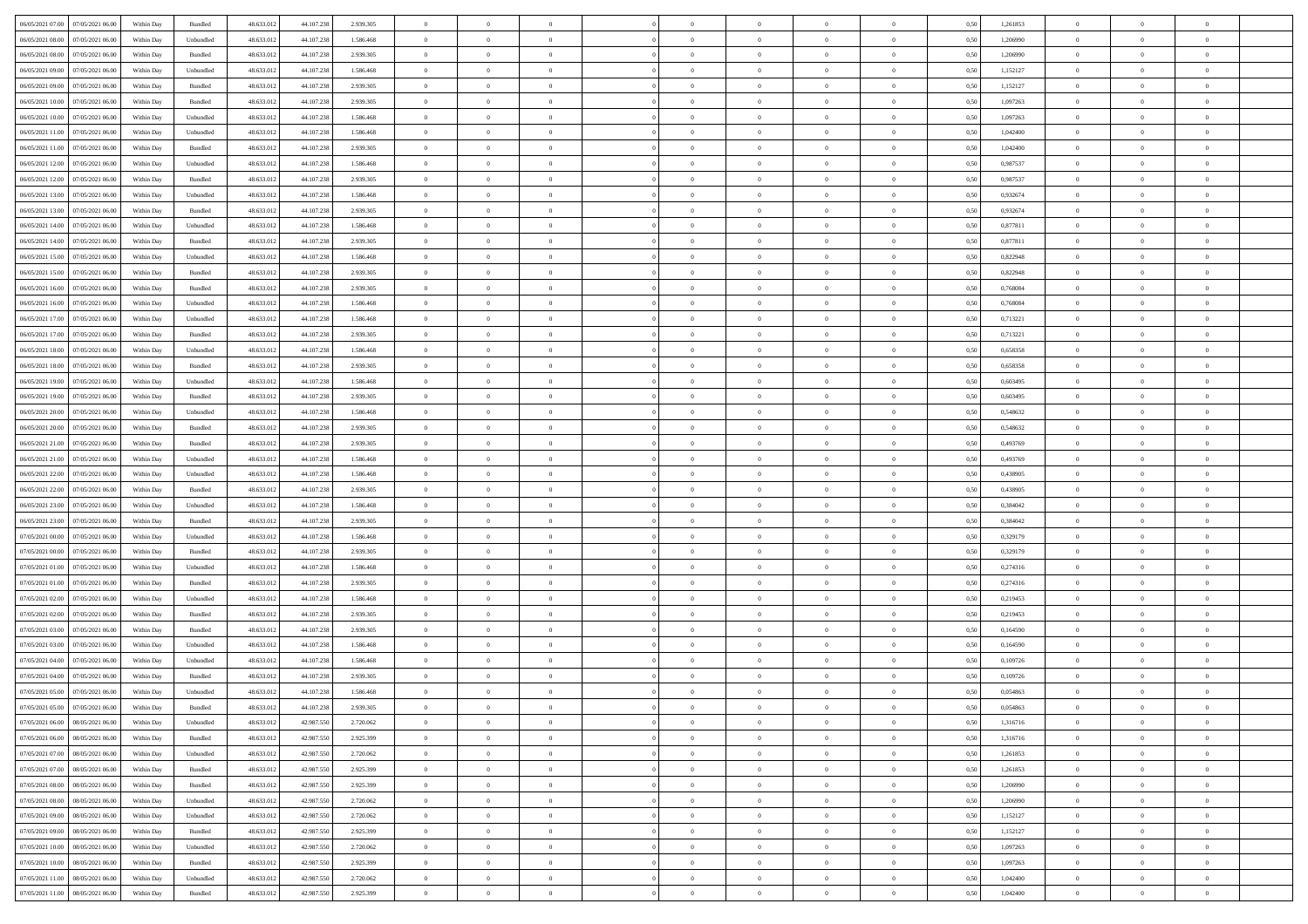| 06/05/2021 07:00 07/05/2021 06:00                                                                 | Within Day | Bundled            | 48.633.01  | 44.107.238 | 2.939.305 | $\overline{0}$ | $\theta$       |                | $\overline{0}$ | $\bf{0}$       |                | $\bf{0}$       | 0,50 | 1,261853 | $\theta$       | $\theta$       | $\theta$       |  |
|---------------------------------------------------------------------------------------------------|------------|--------------------|------------|------------|-----------|----------------|----------------|----------------|----------------|----------------|----------------|----------------|------|----------|----------------|----------------|----------------|--|
|                                                                                                   |            |                    |            |            |           |                |                |                |                |                |                |                |      |          |                |                |                |  |
| 06/05/2021 08:00<br>07/05/2021 06.00                                                              | Within Day | Unbundled          | 48.633.01  | 44.107.23  | 1.586.468 | $\bf{0}$       | $\overline{0}$ | $\bf{0}$       | $\overline{0}$ | $\overline{0}$ | $\overline{0}$ | $\bf{0}$       | 0,50 | 1,206990 | $\,$ 0 $\,$    | $\bf{0}$       | $\overline{0}$ |  |
| 06/05/2021 08:00<br>07/05/2021 06:00                                                              | Within Day | Bundled            | 48.633.013 | 44.107.238 | 2.939.305 | $\overline{0}$ | $\bf{0}$       | $\overline{0}$ | $\bf{0}$       | $\bf{0}$       | $\overline{0}$ | $\bf{0}$       | 0.50 | 1,206990 | $\bf{0}$       | $\overline{0}$ | $\overline{0}$ |  |
| 06/05/2021 09:00<br>07/05/2021 06:00                                                              | Within Day | Unbundled          | 48.633.01  | 44.107.238 | 1.586.468 | $\overline{0}$ | $\bf{0}$       | $\overline{0}$ | $\theta$       | $\theta$       | $\overline{0}$ | $\bf{0}$       | 0,50 | 1,152127 | $\theta$       | $\theta$       | $\overline{0}$ |  |
| 06/05/2021 09:00<br>07/05/2021 06.00                                                              | Within Day | Bundled            | 48.633.01  | 44.107.23  | 2.939.305 | $\overline{0}$ | $\overline{0}$ | $\bf{0}$       | $\overline{0}$ | $\theta$       | $\overline{0}$ | $\bf{0}$       | 0,50 | 1,152127 | $\,$ 0 $\,$    | $\bf{0}$       | $\overline{0}$ |  |
| 06/05/2021 10:00<br>07/05/2021 06:00                                                              |            | Bundled            | 48.633.013 | 44.107.238 | 2.939.305 | $\overline{0}$ | $\overline{0}$ | $\overline{0}$ | $\bf{0}$       | $\overline{0}$ | $\theta$       | $\bf{0}$       | 0.50 | 1.097263 | $\,$ 0 $\,$    | $\theta$       | $\overline{0}$ |  |
|                                                                                                   | Within Day |                    |            |            |           |                |                |                |                |                |                |                |      |          |                |                |                |  |
| 06/05/2021 10:00<br>07/05/2021 06:00                                                              | Within Day | Unbundled          | 48.633.013 | 44.107.238 | 1.586.468 | $\overline{0}$ | $\overline{0}$ | $\overline{0}$ | $\overline{0}$ | $\overline{0}$ | $\overline{0}$ | $\bf{0}$       | 0,50 | 1,097263 | $\theta$       | $\theta$       | $\overline{0}$ |  |
| 06/05/2021 11:00<br>07/05/2021 06.00                                                              | Within Day | Unbundled          | 48.633.01  | 44.107.23  | 1.586.468 | $\overline{0}$ | $\overline{0}$ | $\bf{0}$       | $\overline{0}$ | $\bf{0}$       | $\overline{0}$ | $\bf{0}$       | 0,50 | 1,042400 | $\,$ 0 $\,$    | $\bf{0}$       | $\overline{0}$ |  |
| 06/05/2021 11:00<br>07/05/2021 06:00                                                              | Within Day | Bundled            | 48.633.013 | 44.107.238 | 2.939.305 | $\overline{0}$ | $\bf{0}$       | $\overline{0}$ | $\bf{0}$       | $\overline{0}$ | $\overline{0}$ | $\bf{0}$       | 0.50 | 1.042400 | $\bf{0}$       | $\overline{0}$ | $\overline{0}$ |  |
| 06/05/2021 12:00<br>07/05/2021 06:00                                                              | Within Day | Unbundled          | 48.633.013 | 44.107.238 | 1.586.468 | $\overline{0}$ | $\bf{0}$       | $\overline{0}$ | $\overline{0}$ | $\overline{0}$ | $\overline{0}$ | $\bf{0}$       | 0,50 | 0,987537 | $\,$ 0 $\,$    | $\bf{0}$       | $\overline{0}$ |  |
| 06/05/2021 12:00<br>07/05/2021 06.00                                                              | Within Day | Bundled            | 48.633.01  | 44.107.238 | 2.939.305 | $\bf{0}$       | $\overline{0}$ | $\bf{0}$       | $\bf{0}$       | $\bf{0}$       | $\overline{0}$ | $\bf{0}$       | 0,50 | 0,987537 | $\,$ 0 $\,$    | $\bf{0}$       | $\overline{0}$ |  |
| 06/05/2021 13:00<br>07/05/2021 06:00                                                              | Within Day | Unbundled          | 48.633.013 | 44.107.238 | 1.586.468 | $\overline{0}$ | $\bf{0}$       | $\overline{0}$ | $\bf{0}$       | $\bf{0}$       | $\overline{0}$ | $\bf{0}$       | 0.50 | 0.932674 | $\bf{0}$       | $\overline{0}$ | $\bf{0}$       |  |
| 06/05/2021 13:00<br>07/05/2021 06:00                                                              | Within Day | Bundled            | 48.633.01  | 44.107.238 | 2.939.305 | $\overline{0}$ | $\overline{0}$ | $\overline{0}$ | $\theta$       | $\theta$       | $\overline{0}$ | $\bf{0}$       | 0,50 | 0,932674 | $\,$ 0 $\,$    | $\theta$       | $\overline{0}$ |  |
|                                                                                                   |            |                    |            |            |           |                |                |                |                |                |                |                |      |          |                |                | $\overline{0}$ |  |
| 06/05/2021 14:00<br>07/05/2021 06.00                                                              | Within Day | Unbundled          | 48.633.01  | 44.107.23  | 1.586.468 | $\bf{0}$       | $\theta$       | $\bf{0}$       | $\overline{0}$ | $\theta$       | $\overline{0}$ | $\bf{0}$       | 0,50 | 0,877811 | $\,$ 0 $\,$    | $\bf{0}$       |                |  |
| 06/05/2021 14:00<br>07/05/2021 06:00                                                              | Within Day | Bundled            | 48.633.013 | 44.107.238 | 2.939.305 | $\overline{0}$ | $\overline{0}$ | $\overline{0}$ | $\bf{0}$       | $\overline{0}$ | $\Omega$       | $\bf{0}$       | 0.50 | 0.877811 | $\,$ 0 $\,$    | $\theta$       | $\overline{0}$ |  |
| 06/05/2021 15:00<br>07/05/2021 06:00                                                              | Within Day | Unbundled          | 48.633.013 | 44.107.238 | 1.586.468 | $\overline{0}$ | $\overline{0}$ | $\overline{0}$ | $\overline{0}$ | $\overline{0}$ | $\overline{0}$ | $\bf{0}$       | 0,50 | 0,822948 | $\theta$       | $\theta$       | $\overline{0}$ |  |
| 06/05/2021 15:00<br>07/05/2021 06.00                                                              | Within Day | Bundled            | 48.633.01  | 44.107.23  | 2.939.305 | $\bf{0}$       | $\overline{0}$ | $\bf{0}$       | $\overline{0}$ | $\bf{0}$       | $\overline{0}$ | $\bf{0}$       | 0,50 | 0,822948 | $\,$ 0 $\,$    | $\bf{0}$       | $\overline{0}$ |  |
| 06/05/2021 16:00<br>07/05/2021 06:00                                                              | Within Day | Bundled            | 48.633.013 | 44.107.238 | 2.939.305 | $\overline{0}$ | $\bf{0}$       | $\overline{0}$ | $\bf{0}$       | $\overline{0}$ | $\overline{0}$ | $\bf{0}$       | 0.50 | 0.768084 | $\bf{0}$       | $\overline{0}$ | $\overline{0}$ |  |
| 06/05/2021 16:00<br>07/05/2021 06:00                                                              | Within Day | Unbundled          | 48.633.013 | 44.107.238 | 1.586.468 | $\overline{0}$ | $\bf{0}$       | $\overline{0}$ | $\overline{0}$ | $\overline{0}$ | $\overline{0}$ | $\bf{0}$       | 0,50 | 0,768084 | $\,$ 0 $\,$    | $\bf{0}$       | $\overline{0}$ |  |
| 06/05/2021 17:00<br>07/05/2021 06.00                                                              | Within Day | Unbundled          | 48.633.01  | 44.107.238 | 1.586.468 | $\bf{0}$       | $\bf{0}$       | $\bf{0}$       | $\bf{0}$       | $\overline{0}$ | $\overline{0}$ | $\bf{0}$       | 0,50 | 0,713221 | $\,$ 0 $\,$    | $\bf{0}$       | $\overline{0}$ |  |
| 06/05/2021 17:00<br>07/05/2021 06:00                                                              | Within Day | Bundled            | 48.633.013 | 44.107.238 | 2.939.305 | $\overline{0}$ | $\bf{0}$       | $\overline{0}$ | $\bf{0}$       | $\bf{0}$       | $\overline{0}$ | $\bf{0}$       | 0.50 | 0,713221 | $\bf{0}$       | $\overline{0}$ | $\overline{0}$ |  |
|                                                                                                   |            |                    |            |            |           |                |                |                |                |                |                |                |      |          |                |                |                |  |
| 06/05/2021 18:00<br>07/05/2021 06:00                                                              | Within Day | Unbundled          | 48.633.01  | 44.107.238 | 1.586.468 | $\overline{0}$ | $\overline{0}$ | $\overline{0}$ | $\theta$       | $\theta$       | $\overline{0}$ | $\bf{0}$       | 0,50 | 0,658358 | $\theta$       | $\theta$       | $\overline{0}$ |  |
| 06/05/2021 18:00<br>07/05/2021 06.00                                                              | Within Day | Bundled            | 48.633.01  | 44.107.238 | 2.939.305 | $\bf{0}$       | $\overline{0}$ | $\bf{0}$       | $\bf{0}$       | $\bf{0}$       | $\overline{0}$ | $\bf{0}$       | 0,50 | 0,658358 | $\,$ 0 $\,$    | $\bf{0}$       | $\overline{0}$ |  |
| 06/05/2021 19:00<br>07/05/2021 06:00                                                              | Within Day | Unbundled          | 48.633.013 | 44.107.238 | 1.586.468 | $\overline{0}$ | $\overline{0}$ | $\overline{0}$ | $\bf{0}$       | $\overline{0}$ | $\theta$       | $\bf{0}$       | 0.50 | 0.603495 | $\bf{0}$       | $\theta$       | $\overline{0}$ |  |
| 06/05/2021 19:00<br>07/05/2021 06:00                                                              | Within Day | Bundled            | 48.633.013 | 44.107.238 | 2.939.305 | $\overline{0}$ | $\overline{0}$ | $\overline{0}$ | $\overline{0}$ | $\theta$       | $\overline{0}$ | $\bf{0}$       | 0,50 | 0,603495 | $\theta$       | $\theta$       | $\overline{0}$ |  |
| 06/05/2021 20:00<br>07/05/2021 06.00                                                              | Within Day | Unbundled          | 48.633.01  | 44.107.23  | 1.586.468 | $\bf{0}$       | $\overline{0}$ | $\bf{0}$       | $\overline{0}$ | $\bf{0}$       | $\overline{0}$ | $\bf{0}$       | 0,50 | 0,548632 | $\,$ 0 $\,$    | $\bf{0}$       | $\overline{0}$ |  |
| 06/05/2021 20:00<br>07/05/2021 06:00                                                              | Within Day | Bundled            | 48.633.013 | 44.107.238 | 2.939.305 | $\overline{0}$ | $\bf{0}$       | $\overline{0}$ | $\bf{0}$       | $\overline{0}$ | $\overline{0}$ | $\bf{0}$       | 0.50 | 0.548632 | $\bf{0}$       | $\overline{0}$ | $\overline{0}$ |  |
| 06/05/2021 21:00<br>07/05/2021 06:00                                                              | Within Day | Bundled            | 48.633.01  | 44.107.238 | 2.939.305 | $\overline{0}$ | $\overline{0}$ | $\overline{0}$ | $\overline{0}$ | $\overline{0}$ | $\overline{0}$ | $\bf{0}$       | 0,50 | 0,493769 | $\theta$       | $\theta$       | $\overline{0}$ |  |
| 06/05/2021 21:00<br>07/05/2021 06.00                                                              | Within Day | Unbundled          | 48.633.01  | 44.107.238 | 1.586.468 | $\bf{0}$       | $\bf{0}$       | $\bf{0}$       | $\bf{0}$       | $\overline{0}$ | $\overline{0}$ | $\bf{0}$       | 0,50 | 0,493769 | $\,$ 0 $\,$    | $\bf{0}$       | $\overline{0}$ |  |
| 06/05/2021 22:00<br>07/05/2021 06:00                                                              | Within Day | Unbundled          | 48.633.013 | 44.107.238 | 1.586.468 | $\overline{0}$ | $\bf{0}$       | $\overline{0}$ | $\bf{0}$       | $\bf{0}$       | $\overline{0}$ | $\bf{0}$       | 0.50 | 0.438905 | $\bf{0}$       | $\overline{0}$ | $\bf{0}$       |  |
|                                                                                                   |            |                    |            |            |           |                |                |                |                |                |                |                |      |          |                |                |                |  |
| 06/05/2021 22:00<br>07/05/2021 06:00                                                              | Within Day | Bundled            | 48.633.013 | 44.107.238 | 2.939.305 | $\overline{0}$ | $\overline{0}$ | $\overline{0}$ | $\overline{0}$ | $\overline{0}$ | $\overline{0}$ | $\bf{0}$       | 0.5( | 0,438905 | $\theta$       | $\theta$       | $\overline{0}$ |  |
| 06/05/2021 23:00<br>07/05/2021 06.00                                                              | Within Day | Unbundled          | 48.633.01  | 44.107.23  | 1.586.468 | $\bf{0}$       | $\overline{0}$ | $\bf{0}$       | $\bf{0}$       | $\overline{0}$ | $\overline{0}$ | $\bf{0}$       | 0,50 | 0,384042 | $\,$ 0 $\,$    | $\bf{0}$       | $\overline{0}$ |  |
| 06/05/2021 23:00<br>07/05/2021 06.00                                                              | Within Day | Bundled            | 48.633.013 | 44.107.238 | 2.939.305 | $\overline{0}$ | $\bf{0}$       | $\overline{0}$ | $\bf{0}$       | $\overline{0}$ | $\Omega$       | $\bf{0}$       | 0.50 | 0.384042 | $\,$ 0 $\,$    | $\theta$       | $\overline{0}$ |  |
| 07/05/2021 00:00<br>07/05/2021 06:00                                                              | Within Dav | Unbundled          | 48.633.013 | 44.107.238 | 1.586.468 | $\overline{0}$ | $\overline{0}$ | $\overline{0}$ | $\overline{0}$ | $\overline{0}$ | $\overline{0}$ | $\bf{0}$       | 0.50 | 0,329179 | $\theta$       | $\theta$       | $\overline{0}$ |  |
| 07/05/2021 00:00<br>07/05/2021 06.00                                                              | Within Day | Bundled            | 48.633.01  | 44.107.238 | 2.939.305 | $\bf{0}$       | $\bf{0}$       | $\bf{0}$       | $\overline{0}$ | $\bf{0}$       | $\overline{0}$ | $\bf{0}$       | 0,50 | 0,329179 | $\,$ 0 $\,$    | $\bf{0}$       | $\overline{0}$ |  |
| 07/05/2021 01:00<br>07/05/2021 06:00                                                              | Within Day | Unbundled          | 48.633.013 | 44.107.23  | 1.586.468 | $\overline{0}$ | $\bf{0}$       | $\overline{0}$ | $\bf{0}$       | $\overline{0}$ | $\overline{0}$ | $\bf{0}$       | 0.50 | 0,274316 | $\bf{0}$       | $\overline{0}$ | $\overline{0}$ |  |
| 07/05/2021 01:00<br>07/05/2021 06:00                                                              | Within Dav | Bundled            | 48.633.013 | 44.107.238 | 2.939.305 | $\overline{0}$ | $\overline{0}$ | $\overline{0}$ | $\overline{0}$ | $\overline{0}$ | $\overline{0}$ | $\bf{0}$       | 0.50 | 0,274316 | $\theta$       | $\theta$       | $\overline{0}$ |  |
| 07/05/2021 02:00<br>07/05/2021 06.00                                                              | Within Day | Unbundled          | 48.633.01  | 44.107.238 | 1.586.468 | $\bf{0}$       | $\bf{0}$       | $\bf{0}$       | $\bf{0}$       | $\overline{0}$ | $\overline{0}$ | $\bf{0}$       | 0,50 | 0,219453 | $\,$ 0 $\,$    | $\bf{0}$       | $\overline{0}$ |  |
|                                                                                                   |            | Bundled            | 48.633.013 | 44.107.238 |           |                |                |                |                |                | $\overline{0}$ |                | 0.50 |          |                |                |                |  |
| 07/05/2021 02:00<br>07/05/2021 06:00                                                              | Within Day |                    |            |            | 2.939.305 | $\overline{0}$ | $\bf{0}$       | $\overline{0}$ | $\bf{0}$       | $\bf{0}$       |                | $\bf{0}$       |      | 0,219453 | $\bf{0}$       | $\overline{0}$ | $\overline{0}$ |  |
| 07/05/2021 03:00<br>07/05/2021 06:00                                                              | Within Dav | Bundled            | 48.633.013 | 44.107.238 | 2.939.305 | $\overline{0}$ | $\overline{0}$ | $\overline{0}$ | $\overline{0}$ | $\theta$       | $\overline{0}$ | $\bf{0}$       | 0.50 | 0,164590 | $\theta$       | $\theta$       | $\overline{0}$ |  |
| 07/05/2021 03:00<br>07/05/2021 06.00                                                              | Within Day | Unbundled          | 48.633.01  | 44.107.238 | 1.586.468 | $\bf{0}$       | $\bf{0}$       | $\bf{0}$       | $\bf{0}$       | $\,$ 0 $\,$    | $\overline{0}$ | $\bf{0}$       | 0,50 | 0,164590 | $\,$ 0 $\,$    | $\bf{0}$       | $\overline{0}$ |  |
| 07/05/2021 04:00<br>07/05/2021 06.00                                                              | Within Day | Unbundled          | 48.633.013 | 44.107.23  | 1.586.468 | $\overline{0}$ | $\overline{0}$ | $\overline{0}$ | $\bf{0}$       | $\overline{0}$ | $\Omega$       | $\bf{0}$       | 0.50 | 0.109726 | $\,$ 0 $\,$    | $\theta$       | $\overline{0}$ |  |
| 07/05/2021 04:00<br>07/05/2021 06:00                                                              | Within Dav | Bundled            | 48.633.013 | 44.107.238 | 2.939.305 | $\overline{0}$ | $\overline{0}$ | $\Omega$       | $\overline{0}$ | $\theta$       | $\overline{0}$ | $\overline{0}$ | 0.5( | 0,109726 | $\theta$       | $\theta$       | $\overline{0}$ |  |
| 07/05/2021 05:00<br>07/05/2021 06:00                                                              | Within Day | Unbundled          | 48.633.01  | 44.107.238 | 1.586.468 | $\bf{0}$       | $\bf{0}$       | $\overline{0}$ | $\bf{0}$       | $\bf{0}$       | $\overline{0}$ | $\bf{0}$       | 0,50 | 0,054863 | $\,$ 0 $\,$    | $\bf{0}$       | $\overline{0}$ |  |
| $\begin{array}{ c c c c c } \hline 07/05/2021 & 05.00 & 07/05/2021 & 06.00 \\ \hline \end{array}$ | Within Day | $\mathbf B$ undled | 48.633.012 | 44.107.238 | 2.939.305 | $\overline{0}$ |                |                | $\Omega$       |                |                |                | 0,50 | 0.054863 | $\theta$       | $\overline{0}$ |                |  |
| 07/05/2021 06:00 08/05/2021 06:00                                                                 | Within Day | Unbundled          | 48.633.012 | 42.987.550 | 2.720.062 | $\overline{0}$ | $\overline{0}$ | $\overline{0}$ | $\theta$       | $\overline{0}$ | $\overline{0}$ | $\bf{0}$       | 0,50 | 1,316716 | $\theta$       | $\overline{0}$ | $\overline{0}$ |  |
| 07/05/2021 06:00<br>08/05/2021 06:00                                                              | Within Day | Bundled            | 48.633.013 | 42.987.550 | 2.925.399 | $\overline{0}$ | $\bf{0}$       | $\overline{0}$ | $\overline{0}$ | $\bf{0}$       | $\overline{0}$ |                | 0,50 | 1,316716 | $\bf{0}$       | $\overline{0}$ | $\bf{0}$       |  |
|                                                                                                   |            |                    |            |            |           |                |                |                |                |                |                | $\bf{0}$       |      |          |                |                |                |  |
| 07/05/2021 07:00   08/05/2021 06:00                                                               | Within Day | Unbundled          | 48.633.012 | 42,987,550 | 2.720.062 | $\overline{0}$ | $\bf{0}$       | $\overline{0}$ | $\overline{0}$ | $\mathbf{0}$   | $\overline{0}$ | $\,$ 0 $\,$    | 0.50 | 1,261853 | $\overline{0}$ | $\bf{0}$       | $\,$ 0 $\,$    |  |
| 07/05/2021 07:00  08/05/2021 06:00                                                                | Within Dav | Bundled            | 48.633.012 | 42.987.550 | 2.925.399 | $\overline{0}$ | $\overline{0}$ | $\overline{0}$ | $\overline{0}$ | $\overline{0}$ | $\overline{0}$ | $\bf{0}$       | 0,50 | 1,261853 | $\overline{0}$ | $\theta$       | $\overline{0}$ |  |
| 07/05/2021 08:00<br>08/05/2021 06:00                                                              | Within Day | Bundled            | 48.633.012 | 42.987.550 | 2.925.399 | $\overline{0}$ | $\bf{0}$       | $\overline{0}$ | $\overline{0}$ | $\bf{0}$       | $\overline{0}$ | $\bf{0}$       | 0,50 | 1,206990 | $\bf{0}$       | $\overline{0}$ | $\overline{0}$ |  |
| 07/05/2021 08:00<br>08/05/2021 06:00                                                              | Within Day | Unbundled          | 48.633.012 | 42,987,550 | 2.720.062 | $\overline{0}$ | $\bf{0}$       | $\overline{0}$ | $\overline{0}$ | $\bf{0}$       | $\overline{0}$ | $\bf{0}$       | 0.50 | 1.206990 | $\,$ 0 $\,$    | $\overline{0}$ | $\,$ 0         |  |
| 07/05/2021 09:00<br>08/05/2021 06:00                                                              | Within Dav | Unbundled          | 48.633.012 | 42.987.550 | 2.720.062 | $\overline{0}$ | $\overline{0}$ | $\overline{0}$ | $\overline{0}$ | $\overline{0}$ | $\overline{0}$ | $\bf{0}$       | 0,50 | 1,152127 | $\overline{0}$ | $\theta$       | $\overline{0}$ |  |
| 07/05/2021 09:00<br>08/05/2021 06:00                                                              | Within Day | Bundled            | 48.633.013 | 42.987.550 | 2.925.399 | $\overline{0}$ | $\overline{0}$ | $\overline{0}$ | $\overline{0}$ | $\overline{0}$ | $\overline{0}$ | $\bf{0}$       | 0,50 | 1,152127 | $\bf{0}$       | $\overline{0}$ | $\overline{0}$ |  |
| 07/05/2021 10:00<br>08/05/2021 06:00                                                              | Within Day | Unbundled          | 48.633.012 | 42,987,550 | 2.720.062 | $\overline{0}$ | $\overline{0}$ | $\overline{0}$ | $\overline{0}$ | $\overline{0}$ | $\overline{0}$ | $\bf{0}$       | 0.50 | 1.097263 | $\mathbf{0}$   | $\bf{0}$       | $\,$ 0         |  |
|                                                                                                   |            |                    |            |            |           |                | $\overline{0}$ |                |                | $\overline{0}$ |                |                |      |          |                | $\theta$       | $\overline{0}$ |  |
| 07/05/2021 10:00  08/05/2021 06:00                                                                | Within Dav | Bundled            | 48.633.012 | 42.987.550 | 2.925.399 | $\overline{0}$ |                | $\overline{0}$ | $\overline{0}$ |                | $\overline{0}$ | $\bf{0}$       | 0,50 | 1,097263 | $\overline{0}$ |                |                |  |
| 07/05/2021 11:00<br>08/05/2021 06:00                                                              | Within Day | Unbundled          | 48.633.013 | 42.987.550 | 2.720.062 | $\overline{0}$ | $\bf{0}$       | $\overline{0}$ | $\overline{0}$ | $\overline{0}$ | $\overline{0}$ | $\bf{0}$       | 0,50 | 1,042400 | $\bf{0}$       | $\overline{0}$ | $\bf{0}$       |  |
| 07/05/2021 11:00 08/05/2021 06:00                                                                 | Within Day | Bundled            | 48.633.012 | 42.987.550 | 2.925.399 | $\overline{0}$ | $\bf{0}$       | $\overline{0}$ | $\overline{0}$ | $\,$ 0 $\,$    | $\overline{0}$ | $\bf{0}$       | 0,50 | 1,042400 | $\overline{0}$ | $\,$ 0 $\,$    | $\,$ 0 $\,$    |  |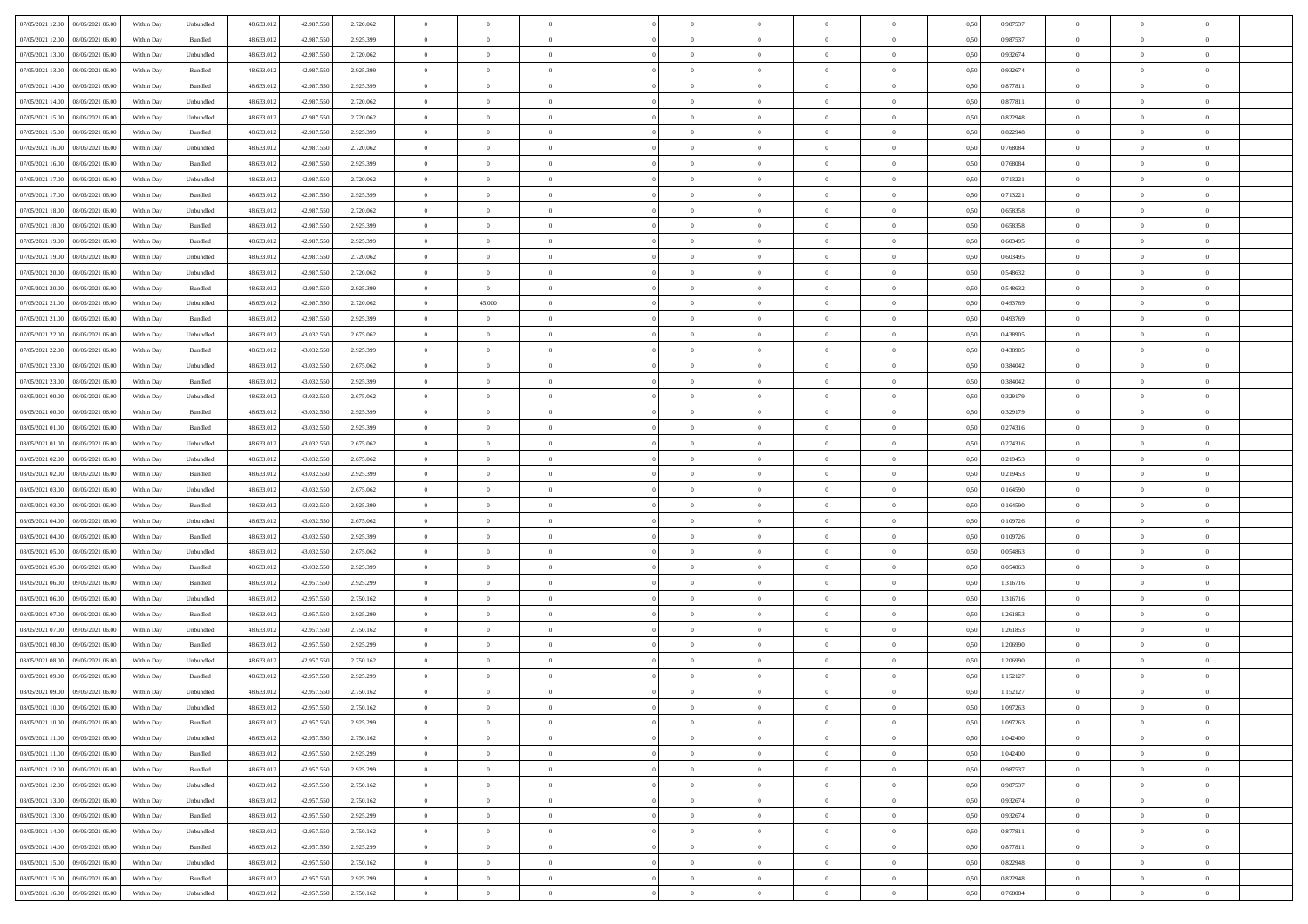|                                              |            |                   |            |            |           | $\overline{0}$ | $\overline{0}$ |                | $\overline{0}$ | $\theta$       |                | $\theta$       |      |          | $\theta$       | $\theta$       | $\theta$       |  |
|----------------------------------------------|------------|-------------------|------------|------------|-----------|----------------|----------------|----------------|----------------|----------------|----------------|----------------|------|----------|----------------|----------------|----------------|--|
| 07/05/2021 12:00   08/05/2021 06:00          | Within Day | Unbundled         | 48.633.01  | 42.987.550 | 2.720.062 |                |                |                |                |                |                |                | 0,50 | 0,987537 |                |                |                |  |
| 07/05/2021 12:00<br>08/05/2021 06:00         | Within Day | Bundled           | 48.633.01  | 42.987.55  | 2.925.399 | $\bf{0}$       | $\bf{0}$       | $\bf{0}$       | $\overline{0}$ | $\overline{0}$ | $\overline{0}$ | $\bf{0}$       | 0,50 | 0,987537 | $\,$ 0 $\,$    | $\bf{0}$       | $\overline{0}$ |  |
| 07/05/2021 13:00<br>08/05/2021 06:00         | Within Day | Unbundled         | 48.633.012 | 42.987.55  | 2.720.062 | $\overline{0}$ | $\bf{0}$       | $\overline{0}$ | $\bf{0}$       | $\bf{0}$       | $\overline{0}$ | $\bf{0}$       | 0.50 | 0.932674 | $\bf{0}$       | $\overline{0}$ | $\overline{0}$ |  |
| 07/05/2021 13:00<br>08/05/2021 06:00         | Within Day | Bundled           | 48.633.01  | 42.987.550 | 2.925.399 | $\overline{0}$ | $\bf{0}$       | $\overline{0}$ | $\theta$       | $\theta$       | $\overline{0}$ | $\bf{0}$       | 0,50 | 0,932674 | $\theta$       | $\theta$       | $\overline{0}$ |  |
| 07/05/2021 14:00<br>08/05/2021 06:00         | Within Day | Bundled           | 48.633.01  | 42.987.55  | 2.925.399 | $\bf{0}$       | $\overline{0}$ | $\bf{0}$       | $\overline{0}$ | $\theta$       | $\overline{0}$ | $\bf{0}$       | 0,50 | 0,877811 | $\,$ 0 $\,$    | $\bf{0}$       | $\overline{0}$ |  |
|                                              |            |                   |            |            |           |                |                |                |                |                | $\theta$       |                |      |          |                |                |                |  |
| 07/05/2021 14:00<br>08/05/2021 06:00         | Within Day | Unbundled         | 48.633.013 | 42.987.55  | 2.720.062 | $\overline{0}$ | $\overline{0}$ | $\overline{0}$ | $\bf{0}$       | $\overline{0}$ |                | $\bf{0}$       | 0.50 | 0.877811 | $\,$ 0 $\,$    | $\theta$       | $\overline{0}$ |  |
| 07/05/2021 15:00<br>08/05/2021 06:00         | Within Day | Unbundled         | 48.633.013 | 42.987.550 | 2.720.062 | $\overline{0}$ | $\overline{0}$ | $\overline{0}$ | $\overline{0}$ | $\overline{0}$ | $\overline{0}$ | $\bf{0}$       | 0,50 | 0,822948 | $\theta$       | $\theta$       | $\overline{0}$ |  |
| 07/05/2021 15:00<br>08/05/2021 06:00         | Within Day | Bundled           | 48.633.01  | 42.987.55  | 2.925.399 | $\bf{0}$       | $\overline{0}$ | $\bf{0}$       | $\overline{0}$ | $\bf{0}$       | $\overline{0}$ | $\bf{0}$       | 0,50 | 0,822948 | $\,$ 0 $\,$    | $\bf{0}$       | $\overline{0}$ |  |
| 07/05/2021 16:00<br>08/05/2021 06:00         | Within Day | Unbundled         | 48.633.013 | 42.987.55  | 2.720.062 | $\overline{0}$ | $\bf{0}$       | $\overline{0}$ | $\bf{0}$       | $\overline{0}$ | $\overline{0}$ | $\bf{0}$       | 0.50 | 0.768084 | $\bf{0}$       | $\overline{0}$ | $\overline{0}$ |  |
| 07/05/2021 16:00<br>08/05/2021 06:00         | Within Day | Bundled           | 48.633.013 | 42.987.550 | 2.925.399 | $\bf{0}$       | $\bf{0}$       | $\overline{0}$ | $\overline{0}$ | $\overline{0}$ | $\overline{0}$ | $\bf{0}$       | 0,50 | 0,768084 | $\,$ 0 $\,$    | $\bf{0}$       | $\overline{0}$ |  |
| 07/05/2021 17:00<br>08/05/2021 06:00         | Within Day | Unbundled         | 48.633.01  | 42.987.55  | 2.720.062 | $\bf{0}$       | $\overline{0}$ | $\bf{0}$       | $\bf{0}$       | $\bf{0}$       | $\overline{0}$ | $\bf{0}$       | 0,50 | 0,713221 | $\,$ 0 $\,$    | $\bf{0}$       | $\overline{0}$ |  |
| 07/05/2021 17:00<br>08/05/2021 06:00         | Within Day | Bundled           | 48.633.013 | 42.987.550 | 2.925.399 | $\overline{0}$ | $\bf{0}$       | $\overline{0}$ | $\overline{0}$ | $\bf{0}$       | $\overline{0}$ | $\bf{0}$       | 0.50 | 0,713221 | $\bf{0}$       | $\overline{0}$ | $\overline{0}$ |  |
| 07/05/2021 18:00<br>08/05/2021 06:00         | Within Day | Unbundled         | 48.633.01  | 42.987.550 | 2.720.062 | $\overline{0}$ | $\overline{0}$ | $\overline{0}$ | $\theta$       | $\theta$       | $\overline{0}$ | $\bf{0}$       | 0,50 | 0,658358 | $\,$ 0 $\,$    | $\theta$       | $\overline{0}$ |  |
|                                              |            |                   |            |            |           |                |                |                |                |                |                |                |      |          |                |                |                |  |
| 07/05/2021 18:00<br>08/05/2021 06:00         | Within Day | Bundled           | 48.633.01  | 42.987.55  | 2.925.399 | $\bf{0}$       | $\overline{0}$ | $\bf{0}$       | $\overline{0}$ | $\theta$       | $\overline{0}$ | $\bf{0}$       | 0,50 | 0,658358 | $\bf{0}$       | $\bf{0}$       | $\overline{0}$ |  |
| 07/05/2021 19:00<br>08/05/2021 06:00         | Within Day | Bundled           | 48.633.013 | 42.987.55  | 2.925.399 | $\overline{0}$ | $\overline{0}$ | $\overline{0}$ | $\bf{0}$       | $\overline{0}$ | $\Omega$       | $\bf{0}$       | 0.50 | 0.603495 | $\,$ 0 $\,$    | $\theta$       | $\overline{0}$ |  |
| 07/05/2021 19:00<br>08/05/2021 06:00         | Within Day | Unbundled         | 48.633.013 | 42.987.550 | 2.720.062 | $\overline{0}$ | $\overline{0}$ | $\overline{0}$ | $\overline{0}$ | $\theta$       | $\overline{0}$ | $\bf{0}$       | 0,50 | 0,603495 | $\theta$       | $\theta$       | $\overline{0}$ |  |
| 07/05/2021 20:00<br>08/05/2021 06:00         | Within Day | Unbundled         | 48.633.01  | 42.987.55  | 2.720.062 | $\bf{0}$       | $\overline{0}$ | $\bf{0}$       | $\overline{0}$ | $\theta$       | $\overline{0}$ | $\bf{0}$       | 0,50 | 0,548632 | $\,$ 0 $\,$    | $\bf{0}$       | $\overline{0}$ |  |
| 07/05/2021 20:00<br>08/05/2021 06:00         | Within Day | Bundled           | 48.633.013 | 42.987.55  | 2.925.399 | $\overline{0}$ | $\overline{0}$ | $\overline{0}$ | $\bf{0}$       | $\overline{0}$ | $\overline{0}$ | $\bf{0}$       | 0.50 | 0.548632 | $\bf{0}$       | $\overline{0}$ | $\overline{0}$ |  |
| 07/05/2021 21:00<br>08/05/2021 06:00         | Within Day | Unbundled         | 48.633.013 | 42.987.550 | 2.720.062 | $\bf{0}$       | 45.000         | $\overline{0}$ | $\overline{0}$ | $\overline{0}$ | $\overline{0}$ | $\bf{0}$       | 0,50 | 0,493769 | $\,$ 0 $\,$    | $\bf{0}$       | $\overline{0}$ |  |
| 07/05/2021 21:00<br>08/05/2021 06:00         | Within Day | Bundled           | 48.633.01  | 42.987.55  | 2.925.399 | $\bf{0}$       | $\bf{0}$       | $\bf{0}$       | $\bf{0}$       | $\overline{0}$ | $\overline{0}$ | $\bf{0}$       | 0,50 | 0,493769 | $\,$ 0 $\,$    | $\bf{0}$       | $\overline{0}$ |  |
|                                              |            |                   |            |            |           |                |                |                |                |                |                |                |      |          |                |                |                |  |
| 07/05/2021 22:00<br>08/05/2021 06:00         | Within Day | Unbundled         | 48.633.013 | 43,032,550 | 2.675.062 | $\overline{0}$ | $\bf{0}$       | $\overline{0}$ | $\overline{0}$ | $\bf{0}$       | $\overline{0}$ | $\bf{0}$       | 0.50 | 0.438905 | $\bf{0}$       | $\overline{0}$ | $\overline{0}$ |  |
| 07/05/2021 22:00<br>08/05/2021 06:00         | Within Day | Bundled           | 48.633.01  | 43.032.550 | 2.925.399 | $\overline{0}$ | $\overline{0}$ | $\overline{0}$ | $\theta$       | $\theta$       | $\overline{0}$ | $\bf{0}$       | 0,50 | 0,438905 | $\theta$       | $\theta$       | $\overline{0}$ |  |
| 07/05/2021 23:00<br>08/05/2021 06:00         | Within Day | Unbundled         | 48.633.01  | 43.032.550 | 2.675.062 | $\bf{0}$       | $\overline{0}$ | $\bf{0}$       | $\bf{0}$       | $\bf{0}$       | $\overline{0}$ | $\bf{0}$       | 0,50 | 0,384042 | $\,$ 0 $\,$    | $\bf{0}$       | $\overline{0}$ |  |
| 07/05/2021 23:00<br>08/05/2021 06:00         | Within Day | Bundled           | 48.633.013 | 43.032.55  | 2.925.399 | $\overline{0}$ | $\overline{0}$ | $\overline{0}$ | $\bf{0}$       | $\overline{0}$ | $\theta$       | $\bf{0}$       | 0.50 | 0.384042 | $\,$ 0 $\,$    | $\theta$       | $\overline{0}$ |  |
| 08/05/2021 00:00<br>08/05/2021 06:00         | Within Day | Unbundled         | 48.633.013 | 43.032.550 | 2.675.062 | $\overline{0}$ | $\overline{0}$ | $\overline{0}$ | $\overline{0}$ | $\theta$       | $\overline{0}$ | $\bf{0}$       | 0,50 | 0,329179 | $\,$ 0 $\,$    | $\theta$       | $\overline{0}$ |  |
| 08/05/2021 00:00<br>08/05/2021 06:00         | Within Day | Bundled           | 48.633.01  | 43.032.55  | 2.925.399 | $\bf{0}$       | $\overline{0}$ | $\bf{0}$       | $\overline{0}$ | $\theta$       | $\overline{0}$ | $\bf{0}$       | 0,50 | 0,329179 | $\,$ 0 $\,$    | $\bf{0}$       | $\overline{0}$ |  |
| 08/05/2021 01:00<br>08/05/2021 06:00         | Within Day | Bundled           | 48.633.013 | 43.032.55  | 2.925.399 | $\overline{0}$ | $\bf{0}$       | $\overline{0}$ | $\bf{0}$       | $\overline{0}$ | $\overline{0}$ | $\bf{0}$       | 0.50 | 0,274316 | $\bf{0}$       | $\overline{0}$ | $\overline{0}$ |  |
| 08/05/2021 01:00<br>08/05/2021 06:00         | Within Day | Unbundled         | 48.633.01  | 43.032.550 | 2.675.062 | $\overline{0}$ | $\overline{0}$ | $\overline{0}$ | $\overline{0}$ | $\overline{0}$ | $\overline{0}$ | $\bf{0}$       | 0,50 | 0,274316 | $\theta$       | $\theta$       | $\overline{0}$ |  |
|                                              |            |                   |            |            |           |                |                |                |                |                |                |                |      |          |                |                |                |  |
| 08/05/2021 02:00<br>08/05/2021 06:00         | Within Day | Unbundled         | 48.633.01  | 43.032.550 | 2.675.062 | $\bf{0}$       | $\bf{0}$       | $\bf{0}$       | $\bf{0}$       | $\overline{0}$ | $\overline{0}$ | $\bf{0}$       | 0,50 | 0,219453 | $\,$ 0 $\,$    | $\bf{0}$       | $\overline{0}$ |  |
| 08/05/2021 02:00<br>08/05/2021 06:00         | Within Day | Bundled           | 48.633.013 | 43,032,550 | 2.925.399 | $\overline{0}$ | $\bf{0}$       | $\overline{0}$ | $\bf{0}$       | $\bf{0}$       | $\overline{0}$ | $\bf{0}$       | 0.50 | 0,219453 | $\bf{0}$       | $\overline{0}$ | $\overline{0}$ |  |
| 08/05/2021 03:00<br>08/05/2021 06:00         | Within Day | Unbundled         | 48.633.013 | 43.032.550 | 2.675.062 | $\overline{0}$ | $\overline{0}$ | $\overline{0}$ | $\overline{0}$ | $\overline{0}$ | $\overline{0}$ | $\bf{0}$       | 0.5( | 0.164590 | $\theta$       | $\theta$       | $\overline{0}$ |  |
| 08/05/2021 03:00<br>08/05/2021 06:00         | Within Day | Bundled           | 48.633.01  | 43.032.55  | 2.925.399 | $\bf{0}$       | $\overline{0}$ | $\bf{0}$       | $\bf{0}$       | $\overline{0}$ | $\overline{0}$ | $\bf{0}$       | 0,50 | 0,164590 | $\,$ 0 $\,$    | $\bf{0}$       | $\overline{0}$ |  |
| 08/05/2021 04:00<br>08/05/2021 06:00         | Within Day | Unbundled         | 48.633.013 | 43,032,550 | 2.675.062 | $\overline{0}$ | $\bf{0}$       | $\overline{0}$ | $\bf{0}$       | $\overline{0}$ | $\Omega$       | $\bf{0}$       | 0.50 | 0.109726 | $\,$ 0 $\,$    | $\theta$       | $\overline{0}$ |  |
| 08/05/2021 04:00<br>08/05/2021 06:00         | Within Dav | Bundled           | 48.633.013 | 43.032.550 | 2.925.399 | $\overline{0}$ | $\overline{0}$ | $\overline{0}$ | $\overline{0}$ | $\theta$       | $\overline{0}$ | $\bf{0}$       | 0.50 | 0,109726 | $\theta$       | $\theta$       | $\overline{0}$ |  |
| 08/05/2021 05:00<br>08/05/2021 06:00         | Within Day | Unbundled         | 48.633.01  | 43.032.55  | 2.675.062 | $\bf{0}$       | $\bf{0}$       | $\bf{0}$       | $\overline{0}$ | $\bf{0}$       | $\overline{0}$ | $\bf{0}$       | 0,50 | 0,054863 | $\,$ 0 $\,$    | $\bf{0}$       | $\overline{0}$ |  |
| 08/05/2021 05:00<br>08/05/2021 06:00         | Within Day | Bundled           | 48.633.013 | 43.032.55  | 2.925.399 | $\overline{0}$ | $\bf{0}$       | $\overline{0}$ | $\bf{0}$       | $\overline{0}$ | $\overline{0}$ | $\bf{0}$       | 0.50 | 0.054863 | $\bf{0}$       | $\overline{0}$ | $\overline{0}$ |  |
| 08/05/2021 06:00<br>09/05/2021 06:00         | Within Dav | Bundled           | 48.633.013 | 42.957.550 | 2.925.299 | $\overline{0}$ | $\overline{0}$ | $\overline{0}$ | $\overline{0}$ | $\overline{0}$ | $\overline{0}$ | $\bf{0}$       | 0.50 | 1,316716 | $\theta$       | $\theta$       | $\overline{0}$ |  |
|                                              |            |                   |            |            |           |                |                |                |                |                |                |                |      |          |                |                |                |  |
| 08/05/2021 06:00<br>09/05/2021 06.00         | Within Day | Unbundled         | 48.633.01  | 42.957.55  | 2.750.162 | $\bf{0}$       | $\bf{0}$       | $\bf{0}$       | $\bf{0}$       | $\overline{0}$ | $\overline{0}$ | $\bf{0}$       | 0,50 | 1,316716 | $\,$ 0 $\,$    | $\bf{0}$       | $\overline{0}$ |  |
| 08/05/2021 07:00<br>09/05/2021 06:00         | Within Day | Bundled           | 48.633.013 | 42.957.550 | 2.925.299 | $\overline{0}$ | $\bf{0}$       | $\overline{0}$ | $\overline{0}$ | $\bf{0}$       | $\overline{0}$ | $\bf{0}$       | 0.50 | 1,261853 | $\bf{0}$       | $\overline{0}$ | $\overline{0}$ |  |
| 08/05/2021 07:00<br>09/05/2021 06:00         | Within Dav | Unbundled         | 48.633.013 | 42.957.550 | 2.750.162 | $\overline{0}$ | $\overline{0}$ | $\overline{0}$ | $\overline{0}$ | $\theta$       | $\overline{0}$ | $\bf{0}$       | 0.50 | 1,261853 | $\theta$       | $\theta$       | $\overline{0}$ |  |
| 08/05/2021 08:00<br>09/05/2021 06.00         | Within Day | Bundled           | 48.633.013 | 42.957.550 | 2.925.299 | $\bf{0}$       | $\bf{0}$       | $\bf{0}$       | $\bf{0}$       | $\overline{0}$ | $\overline{0}$ | $\bf{0}$       | 0,50 | 1,206990 | $\,$ 0 $\,$    | $\bf{0}$       | $\overline{0}$ |  |
| 08/05/2021 08:00<br>09/05/2021 06:00         | Within Day | Unbundled         | 48.633.013 | 42.957.55  | 2.750.162 | $\overline{0}$ | $\overline{0}$ | $\overline{0}$ | $\bf{0}$       | $\overline{0}$ | $\Omega$       | $\bf{0}$       | 0.50 | 1.206990 | $\bf{0}$       | $\theta$       | $\overline{0}$ |  |
| 08/05/2021 09:00<br>09/05/2021 06:00         | Within Dav | Bundled           | 48.633.013 | 42.957.550 | 2.925.299 | $\overline{0}$ | $\overline{0}$ | $\Omega$       | $\overline{0}$ | $\theta$       | $\Omega$       | $\overline{0}$ | 0.5( | 1,152127 | $\theta$       | $\theta$       | $\overline{0}$ |  |
| 08/05/2021 09:00<br>09/05/2021 06:00         | Within Day | Unbundled         | 48.633.01  | 42.957.550 | 2.750.162 | $\bf{0}$       | $\bf{0}$       | $\overline{0}$ | $\bf{0}$       | $\bf{0}$       | $\overline{0}$ | $\bf{0}$       | 0,50 | 1,152127 | $\,$ 0 $\,$    | $\bf{0}$       | $\overline{0}$ |  |
| $08/05/2021\ 10.00 \qquad 09/05/2021\ 06.00$ | Within Day | ${\sf Unbundred}$ | 48.633.012 | 42.957.550 | 2.750.162 | $\overline{0}$ |                |                | $\Omega$       |                |                |                | 0,50 | 1,097263 | $\theta$       | $\overline{0}$ |                |  |
|                                              |            |                   |            |            |           |                |                |                |                |                |                |                |      |          |                |                |                |  |
| 08/05/2021 10:00 09/05/2021 06:00            | Within Day | Bundled           | 48.633.012 | 42.957.550 | 2.925.299 | $\overline{0}$ | $\overline{0}$ | $\overline{0}$ | $\theta$       | $\overline{0}$ | $\overline{0}$ | $\bf{0}$       | 0,50 | 1,097263 | $\theta$       | $\overline{0}$ | $\overline{0}$ |  |
| 08/05/2021 11:00<br>09/05/2021 06:00         | Within Day | Unbundled         | 48.633.013 | 42.957.550 | 2.750.162 | $\overline{0}$ | $\bf{0}$       | $\overline{0}$ | $\overline{0}$ | $\bf{0}$       | $\overline{0}$ | $\bf{0}$       | 0,50 | 1,042400 | $\bf{0}$       | $\overline{0}$ | $\bf{0}$       |  |
| 08/05/2021 11:00 09/05/2021 06:00            | Within Day | Bundled           | 48.633.012 | 42.957.550 | 2.925.299 | $\overline{0}$ | $\bf{0}$       | $\overline{0}$ | $\overline{0}$ | $\mathbf{0}$   | $\overline{0}$ | $\,$ 0 $\,$    | 0.50 | 1.042400 | $\overline{0}$ | $\bf{0}$       | $\,$ 0 $\,$    |  |
| 08/05/2021 12:00 09/05/2021 06:00            | Within Dav | Bundled           | 48.633.012 | 42.957.550 | 2.925.299 | $\overline{0}$ | $\overline{0}$ | $\overline{0}$ | $\overline{0}$ | $\overline{0}$ | $\overline{0}$ | $\bf{0}$       | 0,50 | 0,987537 | $\overline{0}$ | $\theta$       | $\overline{0}$ |  |
| 08/05/2021 12:00<br>09/05/2021 06:00         | Within Day | Unbundled         | 48.633.012 | 42.957.550 | 2.750.162 | $\overline{0}$ | $\bf{0}$       | $\overline{0}$ | $\overline{0}$ | $\overline{0}$ | $\overline{0}$ | $\bf{0}$       | 0,50 | 0,987537 | $\bf{0}$       | $\overline{0}$ | $\overline{0}$ |  |
| 08/05/2021 13:00<br>09/05/2021 06:00         | Within Day | Unbundled         | 48.633.012 | 42.957.550 | 2.750.162 | $\overline{0}$ | $\bf{0}$       | $\overline{0}$ | $\overline{0}$ | $\bf{0}$       | $\overline{0}$ | $\bf{0}$       | 0.50 | 0.932674 | $\,$ 0 $\,$    | $\overline{0}$ | $\,$ 0         |  |
| 08/05/2021 13:00<br>09/05/2021 06:00         | Within Dav | Bundled           | 48.633.012 | 42.957.550 | 2.925.299 | $\overline{0}$ | $\overline{0}$ | $\overline{0}$ | $\overline{0}$ | $\overline{0}$ | $\overline{0}$ | $\bf{0}$       | 0.50 | 0,932674 | $\overline{0}$ | $\theta$       | $\overline{0}$ |  |
| 08/05/2021 14:00<br>09/05/2021 06:00         | Within Day | Unbundled         | 48.633.013 | 42.957.550 | 2.750.162 | $\overline{0}$ | $\overline{0}$ | $\overline{0}$ | $\overline{0}$ | $\overline{0}$ | $\overline{0}$ | $\bf{0}$       | 0,50 | 0,877811 | $\bf{0}$       | $\overline{0}$ | $\overline{0}$ |  |
|                                              |            |                   |            |            |           |                |                |                |                |                |                |                |      |          |                |                |                |  |
| 08/05/2021 14:00<br>09/05/2021 06:00         | Within Day | Bundled           | 48.633.012 | 42.957.550 | 2.925.299 | $\overline{0}$ | $\overline{0}$ | $\overline{0}$ | $\overline{0}$ | $\overline{0}$ | $\overline{0}$ | $\bf{0}$       | 0.50 | 0.877811 | $\mathbf{0}$   | $\bf{0}$       | $\,$ 0         |  |
| 08/05/2021 15:00<br>09/05/2021 06:00         | Within Dav | Unbundled         | 48.633.012 | 42.957.550 | 2.750.162 | $\overline{0}$ | $\overline{0}$ | $\overline{0}$ | $\overline{0}$ | $\overline{0}$ | $\overline{0}$ | $\bf{0}$       | 0,50 | 0,822948 | $\overline{0}$ | $\theta$       | $\overline{0}$ |  |
| 08/05/2021 15:00<br>09/05/2021 06.00         | Within Day | Bundled           | 48.633.013 | 42.957.550 | 2.925.299 | $\overline{0}$ | $\bf{0}$       | $\overline{0}$ | $\overline{0}$ | $\overline{0}$ | $\overline{0}$ | $\bf{0}$       | 0,50 | 0,822948 | $\bf{0}$       | $\,$ 0 $\,$    | $\bf{0}$       |  |
| 08/05/2021 16:00 09/05/2021 06:00            | Within Day | Unbundled         | 48.633.012 | 42.957.550 | 2.750.162 | $\,$ 0 $\,$    | $\bf{0}$       | $\overline{0}$ | $\overline{0}$ | $\,$ 0 $\,$    | $\overline{0}$ | $\bf{0}$       | 0,50 | 0,768084 | $\overline{0}$ | $\,$ 0 $\,$    | $\,$ 0 $\,$    |  |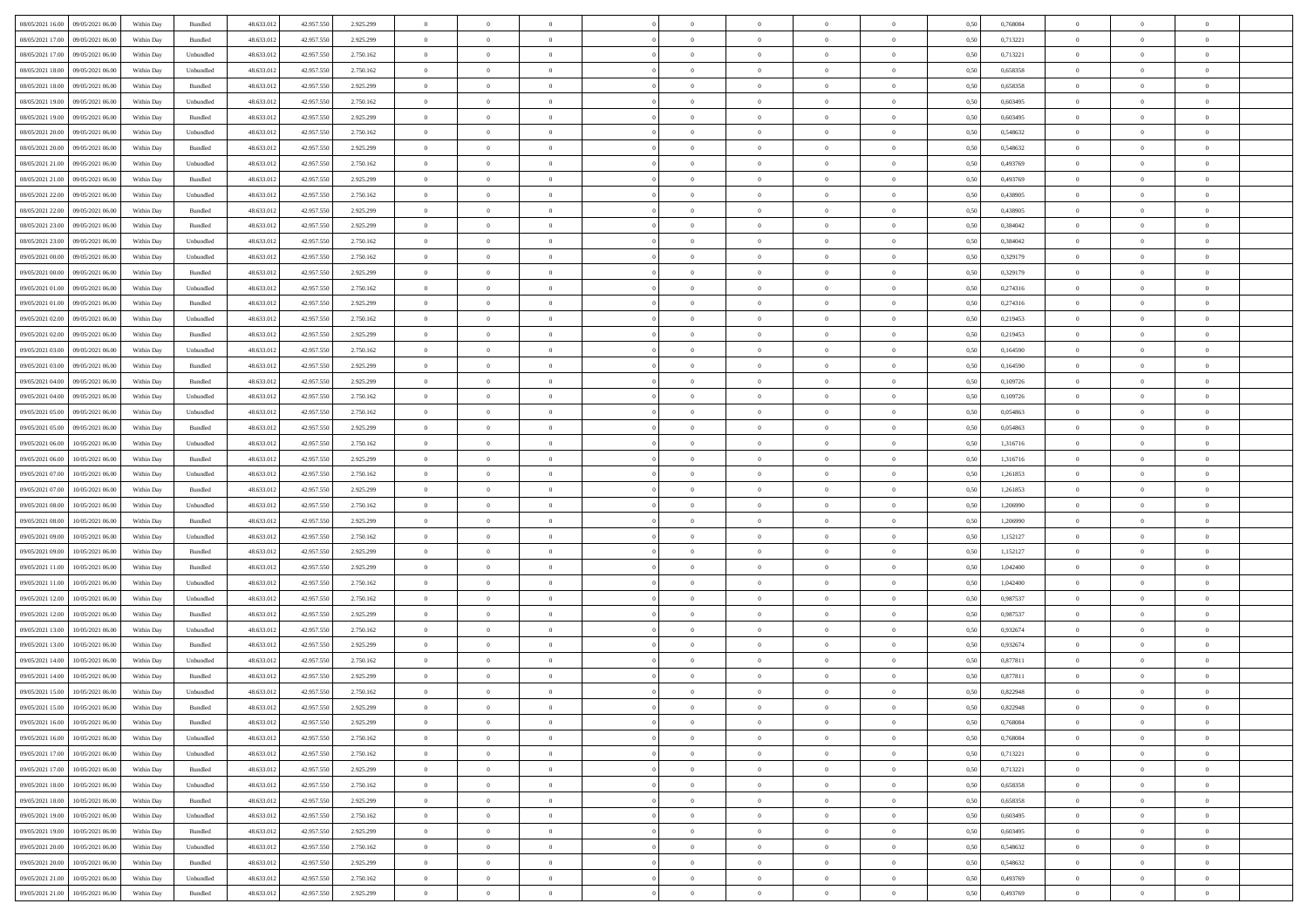|                                              |            |           |            |            |           | $\overline{0}$ | $\overline{0}$ |                | $\overline{0}$ | $\theta$       |                | $\theta$       |      |          | $\theta$       | $\theta$       | $\overline{0}$ |  |
|----------------------------------------------|------------|-----------|------------|------------|-----------|----------------|----------------|----------------|----------------|----------------|----------------|----------------|------|----------|----------------|----------------|----------------|--|
| 08/05/2021 16:00 09/05/2021 06:00            | Within Day | Bundled   | 48.633.01  | 42.957.550 | 2.925.299 |                |                |                |                |                |                |                | 0,50 | 0,768084 |                |                |                |  |
| 08/05/2021 17:00<br>09/05/2021 06.00         | Within Day | Bundled   | 48.633.01  | 42.957.55  | 2.925.299 | $\bf{0}$       | $\bf{0}$       | $\bf{0}$       | $\overline{0}$ | $\overline{0}$ | $\overline{0}$ | $\bf{0}$       | 0,50 | 0,713221 | $\,$ 0 $\,$    | $\bf{0}$       | $\overline{0}$ |  |
| 08/05/2021 17:00<br>09/05/2021 06:00         | Within Day | Unbundled | 48.633.013 | 42.957.550 | 2.750.162 | $\overline{0}$ | $\bf{0}$       | $\overline{0}$ | $\bf{0}$       | $\bf{0}$       | $\overline{0}$ | $\bf{0}$       | 0.50 | 0,713221 | $\bf{0}$       | $\overline{0}$ | $\overline{0}$ |  |
| 08/05/2021 18:00<br>09/05/2021 06:00         | Within Day | Unbundled | 48.633.01  | 42.957.550 | 2.750.162 | $\overline{0}$ | $\overline{0}$ | $\overline{0}$ | $\theta$       | $\theta$       | $\overline{0}$ | $\bf{0}$       | 0,50 | 0,658358 | $\theta$       | $\theta$       | $\overline{0}$ |  |
| 08/05/2021 18:00<br>09/05/2021 06.00         | Within Day | Bundled   | 48.633.01  | 42.957.55  | 2.925.299 | $\bf{0}$       | $\overline{0}$ | $\bf{0}$       | $\overline{0}$ | $\theta$       | $\overline{0}$ | $\bf{0}$       | 0,50 | 0,658358 | $\,$ 0 $\,$    | $\bf{0}$       | $\overline{0}$ |  |
|                                              |            |           |            |            |           |                |                |                |                |                | $\theta$       |                |      |          |                |                |                |  |
| 08/05/2021 19:00<br>09/05/2021 06:00         | Within Day | Unbundled | 48.633.013 | 42.957.55  | 2.750.162 | $\overline{0}$ | $\overline{0}$ | $\overline{0}$ | $\bf{0}$       | $\overline{0}$ |                | $\bf{0}$       | 0.50 | 0.603495 | $\,$ 0 $\,$    | $\theta$       | $\overline{0}$ |  |
| 08/05/2021 19:00<br>09/05/2021 06:00         | Within Day | Bundled   | 48.633.013 | 42.957.550 | 2.925.299 | $\overline{0}$ | $\overline{0}$ | $\overline{0}$ | $\overline{0}$ | $\theta$       | $\overline{0}$ | $\bf{0}$       | 0,50 | 0,603495 | $\theta$       | $\theta$       | $\overline{0}$ |  |
| 08/05/2021 20:00<br>09/05/2021 06.00         | Within Day | Unbundled | 48.633.01  | 42.957.55  | 2.750.162 | $\bf{0}$       | $\overline{0}$ | $\overline{0}$ | $\overline{0}$ | $\theta$       | $\overline{0}$ | $\bf{0}$       | 0,50 | 0,548632 | $\,$ 0 $\,$    | $\bf{0}$       | $\overline{0}$ |  |
| 08/05/2021 20:00<br>09/05/2021 06:00         | Within Day | Bundled   | 48.633.013 | 42.957.55  | 2.925.299 | $\overline{0}$ | $\bf{0}$       | $\overline{0}$ | $\bf{0}$       | $\overline{0}$ | $\overline{0}$ | $\bf{0}$       | 0.50 | 0.548632 | $\bf{0}$       | $\overline{0}$ | $\overline{0}$ |  |
| 08/05/2021 21:00<br>09/05/2021 06:00         | Within Day | Unbundled | 48.633.012 | 42.957.550 | 2.750.162 | $\overline{0}$ | $\bf{0}$       | $\overline{0}$ | $\overline{0}$ | $\theta$       | $\overline{0}$ | $\bf{0}$       | 0,50 | 0,493769 | $\,$ 0 $\,$    | $\bf{0}$       | $\overline{0}$ |  |
| 08/05/2021 21:00<br>09/05/2021 06.00         | Within Day | Bundled   | 48.633.01  | 42.957.550 | 2.925.299 | $\bf{0}$       | $\overline{0}$ | $\bf{0}$       | $\overline{0}$ | $\bf{0}$       | $\overline{0}$ | $\bf{0}$       | 0,50 | 0,493769 | $\,$ 0 $\,$    | $\bf{0}$       | $\overline{0}$ |  |
| 08/05/2021 22:00<br>09/05/2021 06:00         | Within Day | Unbundled | 48.633.013 | 42.957.55  | 2.750.162 | $\overline{0}$ | $\bf{0}$       | $\overline{0}$ | $\overline{0}$ | $\bf{0}$       | $\overline{0}$ | $\bf{0}$       | 0.50 | 0.438905 | $\bf{0}$       | $\overline{0}$ | $\overline{0}$ |  |
| 08/05/2021 22:00<br>09/05/2021 06:00         |            |           | 48.633.01  |            |           | $\overline{0}$ | $\overline{0}$ | $\overline{0}$ | $\theta$       | $\theta$       | $\overline{0}$ | $\bf{0}$       |      | 0,438905 | $\,$ 0 $\,$    | $\theta$       | $\overline{0}$ |  |
|                                              | Within Day | Bundled   |            | 42.957.550 | 2.925.299 |                |                |                |                |                |                |                | 0,50 |          |                |                |                |  |
| 08/05/2021 23:00<br>09/05/2021 06.00         | Within Day | Bundled   | 48.633.01  | 42.957.55  | 2.925.299 | $\bf{0}$       | $\overline{0}$ | $\bf{0}$       | $\overline{0}$ | $\theta$       | $\overline{0}$ | $\bf{0}$       | 0,50 | 0,384042 | $\,$ 0 $\,$    | $\bf{0}$       | $\overline{0}$ |  |
| 08/05/2021 23:00<br>09/05/2021 06:00         | Within Day | Unbundled | 48.633.013 | 42.957.55  | 2.750.162 | $\overline{0}$ | $\overline{0}$ | $\overline{0}$ | $\bf{0}$       | $\theta$       | $\Omega$       | $\bf{0}$       | 0.50 | 0.384042 | $\,$ 0 $\,$    | $\theta$       | $\overline{0}$ |  |
| 09/05/2021 00:00<br>09/05/2021 06:00         | Within Day | Unbundled | 48.633.013 | 42.957.550 | 2.750.162 | $\overline{0}$ | $\overline{0}$ | $\overline{0}$ | $\overline{0}$ | $\overline{0}$ | $\overline{0}$ | $\bf{0}$       | 0,50 | 0,329179 | $\theta$       | $\theta$       | $\overline{0}$ |  |
| 09/05/2021 00:00<br>09/05/2021 06.00         | Within Day | Bundled   | 48.633.01  | 42.957.55  | 2.925.299 | $\bf{0}$       | $\overline{0}$ | $\bf{0}$       | $\overline{0}$ | $\theta$       | $\overline{0}$ | $\bf{0}$       | 0,50 | 0,329179 | $\,$ 0 $\,$    | $\bf{0}$       | $\overline{0}$ |  |
| 09/05/2021 01:00<br>09/05/2021 06:00         | Within Day | Unbundled | 48.633.013 | 42.957.55  | 2.750.162 | $\overline{0}$ | $\bf{0}$       | $\overline{0}$ | $\bf{0}$       | $\overline{0}$ | $\overline{0}$ | $\bf{0}$       | 0.50 | 0,274316 | $\bf{0}$       | $\overline{0}$ | $\overline{0}$ |  |
| 09/05/2021 01:00<br>09/05/2021 06:00         | Within Day | Bundled   | 48.633.013 | 42.957.550 | 2.925.299 | $\overline{0}$ | $\bf{0}$       | $\overline{0}$ | $\overline{0}$ | $\overline{0}$ | $\overline{0}$ | $\bf{0}$       | 0,50 | 0,274316 | $\,$ 0 $\,$    | $\theta$       | $\overline{0}$ |  |
|                                              |            |           |            |            |           |                |                |                |                |                |                |                |      |          |                |                |                |  |
| 09/05/2021 02:00<br>09/05/2021 06.00         | Within Day | Unbundled | 48.633.01  | 42.957.55  | 2.750.162 | $\bf{0}$       | $\bf{0}$       | $\bf{0}$       | $\bf{0}$       | $\overline{0}$ | $\overline{0}$ | $\bf{0}$       | 0,50 | 0,219453 | $\,$ 0 $\,$    | $\bf{0}$       | $\overline{0}$ |  |
| 09/05/2021 02:00<br>09/05/2021 06:00         | Within Day | Bundled   | 48.633.013 | 42.957.550 | 2.925.299 | $\overline{0}$ | $\bf{0}$       | $\overline{0}$ | $\bf{0}$       | $\bf{0}$       | $\overline{0}$ | $\bf{0}$       | 0.50 | 0,219453 | $\bf{0}$       | $\overline{0}$ | $\overline{0}$ |  |
| 09/05/2021 03:00<br>09/05/2021 06:00         | Within Day | Unbundled | 48.633.01  | 42.957.550 | 2.750.162 | $\overline{0}$ | $\overline{0}$ | $\overline{0}$ | $\theta$       | $\theta$       | $\overline{0}$ | $\bf{0}$       | 0,50 | 0,164590 | $\theta$       | $\theta$       | $\overline{0}$ |  |
| 09/05/2021 03:00<br>09/05/2021 06.00         | Within Day | Bundled   | 48.633.01  | 42.957.55  | 2.925.299 | $\bf{0}$       | $\overline{0}$ | $\bf{0}$       | $\overline{0}$ | $\theta$       | $\overline{0}$ | $\bf{0}$       | 0,50 | 0,164590 | $\,$ 0 $\,$    | $\bf{0}$       | $\overline{0}$ |  |
| 09/05/2021 04:00<br>09/05/2021 06:00         | Within Day | Bundled   | 48.633.013 | 42.957.55  | 2.925.299 | $\overline{0}$ | $\overline{0}$ | $\overline{0}$ | $\overline{0}$ | $\overline{0}$ | $\Omega$       | $\bf{0}$       | 0.50 | 0.109726 | $\,$ 0 $\,$    | $\theta$       | $\overline{0}$ |  |
| 09/05/2021 04:00<br>09/05/2021 06:00         | Within Day | Unbundled | 48.633.013 | 42.957.550 | 2.750.162 | $\overline{0}$ | $\overline{0}$ | $\overline{0}$ | $\overline{0}$ | $\theta$       | $\overline{0}$ | $\bf{0}$       | 0,50 | 0,109726 | $\theta$       | $\theta$       | $\overline{0}$ |  |
| 09/05/2021 05:00<br>09/05/2021 06.00         | Within Day | Unbundled | 48.633.01  | 42.957.55  | 2.750.162 | $\bf{0}$       | $\overline{0}$ | $\bf{0}$       | $\overline{0}$ | $\theta$       | $\overline{0}$ | $\bf{0}$       | 0,50 | 0,054863 | $\,$ 0 $\,$    | $\bf{0}$       | $\overline{0}$ |  |
| 09/05/2021 05:00<br>09/05/2021 06:00         | Within Day | Bundled   | 48.633.013 | 42.957.55  | 2.925.299 | $\overline{0}$ | $\bf{0}$       | $\overline{0}$ | $\bf{0}$       | $\overline{0}$ | $\overline{0}$ | $\bf{0}$       | 0.50 | 0.054863 | $\bf{0}$       | $\overline{0}$ | $\overline{0}$ |  |
| 09/05/2021 06:00<br>10/05/2021 06:00         |            |           | 48.633.01  |            |           | $\overline{0}$ | $\overline{0}$ | $\overline{0}$ | $\overline{0}$ | $\overline{0}$ | $\overline{0}$ |                |      | 1,316716 | $\theta$       | $\theta$       | $\overline{0}$ |  |
|                                              | Within Day | Unbundled |            | 42.957.550 | 2.750.162 |                |                |                |                |                |                | $\bf{0}$       | 0,50 |          |                |                |                |  |
| 09/05/2021 06:00<br>10/05/2021 06:00         | Within Day | Bundled   | 48.633.01  | 42.957.55  | 2.925.299 | $\bf{0}$       | $\bf{0}$       | $\bf{0}$       | $\bf{0}$       | $\overline{0}$ | $\overline{0}$ | $\bf{0}$       | 0,50 | 1,316716 | $\,$ 0 $\,$    | $\bf{0}$       | $\overline{0}$ |  |
| 09/05/2021 07:00<br>10/05/2021 06:00         | Within Day | Unbundled | 48.633.013 | 42.957.55  | 2.750.162 | $\overline{0}$ | $\bf{0}$       | $\overline{0}$ | $\bf{0}$       | $\bf{0}$       | $\overline{0}$ | $\bf{0}$       | 0.50 | 1.261853 | $\bf{0}$       | $\overline{0}$ | $\overline{0}$ |  |
| 09/05/2021 07:00<br>10/05/2021 06:00         | Within Day | Bundled   | 48.633.013 | 42.957.550 | 2.925.299 | $\overline{0}$ | $\overline{0}$ | $\overline{0}$ | $\overline{0}$ | $\overline{0}$ | $\overline{0}$ | $\bf{0}$       | 0.50 | 1,261853 | $\theta$       | $\theta$       | $\overline{0}$ |  |
| 09/05/2021 08:00<br>10/05/2021 06:00         | Within Day | Unbundled | 48.633.01  | 42.957.55  | 2.750.162 | $\bf{0}$       | $\overline{0}$ | $\bf{0}$       | $\overline{0}$ | $\overline{0}$ | $\overline{0}$ | $\bf{0}$       | 0,50 | 1,206990 | $\,$ 0 $\,$    | $\bf{0}$       | $\overline{0}$ |  |
| 09/05/2021 08:00<br>10/05/2021 06:00         | Within Day | Bundled   | 48.633.013 | 42.957.55  | 2.925.299 | $\overline{0}$ | $\bf{0}$       | $\overline{0}$ | $\bf{0}$       | $\bf{0}$       | $\Omega$       | $\bf{0}$       | 0.50 | 1.206990 | $\,$ 0 $\,$    | $\theta$       | $\overline{0}$ |  |
| 09/05/2021 09:00<br>10/05/2021 06:00         | Within Dav | Unbundled | 48.633.013 | 42.957.550 | 2.750.162 | $\overline{0}$ | $\overline{0}$ | $\overline{0}$ | $\overline{0}$ | $\theta$       | $\overline{0}$ | $\bf{0}$       | 0.50 | 1,152127 | $\theta$       | $\theta$       | $\overline{0}$ |  |
| 09/05/2021 09:00<br>10/05/2021 06:00         | Within Day | Bundled   | 48.633.01  | 42.957.55  | 2.925.299 | $\bf{0}$       | $\bf{0}$       | $\bf{0}$       | $\overline{0}$ | $\bf{0}$       | $\overline{0}$ | $\bf{0}$       | 0,50 | 1,152127 | $\,$ 0 $\,$    | $\bf{0}$       | $\overline{0}$ |  |
| 09/05/2021 11:00<br>10/05/2021 06:00         | Within Day | Bundled   | 48.633.013 | 42.957.55  | 2.925.299 | $\overline{0}$ | $\bf{0}$       | $\overline{0}$ | $\bf{0}$       | $\overline{0}$ | $\overline{0}$ | $\bf{0}$       | 0.50 | 1.042400 | $\bf{0}$       | $\overline{0}$ | $\overline{0}$ |  |
|                                              |            |           |            |            |           |                |                |                |                |                |                |                |      |          |                |                |                |  |
| 09/05/2021 11:00<br>10/05/2021 06:00         | Within Dav | Unbundled | 48.633.013 | 42.957.550 | 2.750.162 | $\overline{0}$ | $\overline{0}$ | $\overline{0}$ | $\overline{0}$ | $\overline{0}$ | $\overline{0}$ | $\overline{0}$ | 0.50 | 1,042400 | $\theta$       | $\theta$       | $\overline{0}$ |  |
| 09/05/2021 12:00<br>10/05/2021 06:00         | Within Day | Unbundled | 48.633.01  | 42.957.55  | 2.750.162 | $\bf{0}$       | $\bf{0}$       | $\bf{0}$       | $\bf{0}$       | $\overline{0}$ | $\overline{0}$ | $\bf{0}$       | 0,50 | 0,987537 | $\,$ 0 $\,$    | $\bf{0}$       | $\overline{0}$ |  |
| 09/05/2021 12:00<br>10/05/2021 06:00         | Within Day | Bundled   | 48.633.013 | 42.957.550 | 2.925.299 | $\overline{0}$ | $\bf{0}$       | $\overline{0}$ | $\bf{0}$       | $\bf{0}$       | $\overline{0}$ | $\bf{0}$       | 0.50 | 0.987537 | $\bf{0}$       | $\overline{0}$ | $\overline{0}$ |  |
| 09/05/2021 13:00<br>10/05/2021 06:00         | Within Dav | Unbundled | 48.633.013 | 42.957.550 | 2.750.162 | $\overline{0}$ | $\overline{0}$ | $\overline{0}$ | $\overline{0}$ | $\theta$       | $\overline{0}$ | $\bf{0}$       | 0.50 | 0,932674 | $\theta$       | $\theta$       | $\overline{0}$ |  |
| 09/05/2021 13:00<br>10/05/2021 06:00         | Within Day | Bundled   | 48.633.01  | 42.957.550 | 2.925.299 | $\bf{0}$       | $\bf{0}$       | $\bf{0}$       | $\bf{0}$       | $\overline{0}$ | $\overline{0}$ | $\bf{0}$       | 0,50 | 0,932674 | $\,$ 0 $\,$    | $\bf{0}$       | $\overline{0}$ |  |
| 09/05/2021 14:00<br>10/05/2021 06:00         | Within Day | Unbundled | 48.633.013 | 42.957.55  | 2.750.162 | $\overline{0}$ | $\overline{0}$ | $\overline{0}$ | $\bf{0}$       | $\overline{0}$ | $\Omega$       | $\bf{0}$       | 0.50 | 0.877811 | $\,$ 0 $\,$    | $\theta$       | $\overline{0}$ |  |
| 09/05/2021 14:00<br>10/05/2021 06:00         | Within Dav | Bundled   | 48.633.013 | 42.957.550 | 2.925.299 | $\overline{0}$ | $\overline{0}$ | $\Omega$       | $\overline{0}$ | $\theta$       | $\Omega$       | $\overline{0}$ | 0.5( | 0,877811 | $\theta$       | $\theta$       | $\overline{0}$ |  |
| 09/05/2021 15:00<br>10/05/2021 06:00         | Within Day | Unbundled | 48.633.01  | 42.957.550 | 2.750.162 | $\bf{0}$       | $\,$ 0 $\,$    | $\overline{0}$ | $\bf{0}$       | $\bf{0}$       | $\overline{0}$ | $\bf{0}$       | 0,50 | 0,822948 | $\,$ 0 $\,$    | $\bf{0}$       | $\overline{0}$ |  |
| $09/05/2021\ 15.00 \qquad 10/05/2021\ 06.00$ | Within Day | Bundled   | 48.633.012 | 42.957.550 | 2.925.299 | $\overline{0}$ |                |                | $\Omega$       |                |                |                | 0,50 | 0,822948 | $\theta$       | $\overline{0}$ |                |  |
|                                              |            |           |            |            |           |                |                |                |                |                |                |                |      |          |                |                |                |  |
| 09/05/2021 16:00 10/05/2021 06:00            | Within Day | Bundled   | 48.633.012 | 42.957.550 | 2.925.299 | $\overline{0}$ | $\overline{0}$ | $\overline{0}$ | $\theta$       | $\overline{0}$ | $\overline{0}$ | $\bf{0}$       | 0,50 | 0,768084 | $\theta$       | $\overline{0}$ | $\overline{0}$ |  |
| 09/05/2021 16:00<br>10/05/2021 06:00         | Within Day | Unbundled | 48.633.013 | 42.957.550 | 2.750.162 | $\overline{0}$ | $\bf{0}$       | $\overline{0}$ | $\overline{0}$ | $\bf{0}$       | $\overline{0}$ | $\bf{0}$       | 0,50 | 0,768084 | $\bf{0}$       | $\overline{0}$ | $\bf{0}$       |  |
| 09/05/2021 17:00 10/05/2021 06:00            | Within Day | Unbundled | 48.633.012 | 42.957.550 | 2.750.162 | $\overline{0}$ | $\bf{0}$       | $\overline{0}$ | $\overline{0}$ | $\mathbf{0}$   | $\overline{0}$ | $\,$ 0 $\,$    | 0.50 | 0,713221 | $\overline{0}$ | $\bf{0}$       | $\,$ 0 $\,$    |  |
| 09/05/2021 17:00 10/05/2021 06:00            | Within Dav | Bundled   | 48.633.012 | 42.957.550 | 2.925.299 | $\overline{0}$ | $\overline{0}$ | $\overline{0}$ | $\overline{0}$ | $\overline{0}$ | $\overline{0}$ | $\bf{0}$       | 0,50 | 0,713221 | $\overline{0}$ | $\theta$       | $\overline{0}$ |  |
| 09/05/2021 18:00<br>10/05/2021 06:00         | Within Day | Unbundled | 48.633.012 | 42.957.550 | 2.750.162 | $\overline{0}$ | $\bf{0}$       | $\overline{0}$ | $\overline{0}$ | $\bf{0}$       | $\overline{0}$ | $\bf{0}$       | 0,50 | 0,658358 | $\bf{0}$       | $\overline{0}$ | $\overline{0}$ |  |
| 09/05/2021 18:00<br>10/05/2021 06:00         | Within Day | Bundled   | 48.633.012 | 42.957.550 | 2.925.299 | $\overline{0}$ | $\bf{0}$       | $\overline{0}$ | $\overline{0}$ | $\bf{0}$       | $\overline{0}$ | $\bf{0}$       | 0.50 | 0.658358 | $\,$ 0 $\,$    | $\overline{0}$ | $\,$ 0         |  |
| 09/05/2021 19:00<br>10/05/2021 06:00         | Within Dav | Unbundled | 48.633.012 | 42.957.550 | 2.750.162 | $\overline{0}$ | $\overline{0}$ | $\overline{0}$ | $\overline{0}$ | $\overline{0}$ | $\overline{0}$ | $\bf{0}$       | 0,50 | 0,603495 | $\overline{0}$ | $\theta$       | $\overline{0}$ |  |
|                                              |            |           |            |            |           |                |                |                |                |                |                |                |      |          |                |                |                |  |
| 09/05/2021 19:00<br>10/05/2021 06:00         | Within Day | Bundled   | 48.633.013 | 42.957.550 | 2.925.299 | $\overline{0}$ | $\overline{0}$ | $\overline{0}$ | $\overline{0}$ | $\overline{0}$ | $\overline{0}$ | $\bf{0}$       | 0,50 | 0,603495 | $\bf{0}$       | $\overline{0}$ | $\overline{0}$ |  |
| 09/05/2021 20:00<br>10/05/2021 06:00         | Within Day | Unbundled | 48.633.012 | 42.957.550 | 2.750.162 | $\overline{0}$ | $\overline{0}$ | $\overline{0}$ | $\overline{0}$ | $\overline{0}$ | $\overline{0}$ | $\bf{0}$       | 0.50 | 0.548632 | $\mathbf{0}$   | $\bf{0}$       | $\,$ 0         |  |
| 09/05/2021 20:00<br>10/05/2021 06:00         | Within Dav | Bundled   | 48.633.012 | 42.957.550 | 2.925.299 | $\overline{0}$ | $\overline{0}$ | $\overline{0}$ | $\overline{0}$ | $\overline{0}$ | $\overline{0}$ | $\bf{0}$       | 0,50 | 0,548632 | $\overline{0}$ | $\theta$       | $\overline{0}$ |  |
| 09/05/2021 21:00<br>10/05/2021 06:00         | Within Day | Unbundled | 48.633.013 | 42.957.550 | 2.750.162 | $\overline{0}$ | $\bf{0}$       | $\overline{0}$ | $\overline{0}$ | $\overline{0}$ | $\overline{0}$ | $\bf{0}$       | 0,50 | 0,493769 | $\bf{0}$       | $\overline{0}$ | $\bf{0}$       |  |
| 09/05/2021 21:00 10/05/2021 06:00            | Within Day | Bundled   | 48.633.012 | 42.957.550 | 2.925.299 | $\,$ 0 $\,$    | $\bf{0}$       | $\overline{0}$ | $\overline{0}$ | $\,$ 0 $\,$    | $\overline{0}$ | $\bf{0}$       | 0,50 | 0,493769 | $\overline{0}$ | $\,$ 0 $\,$    | $\,$ 0 $\,$    |  |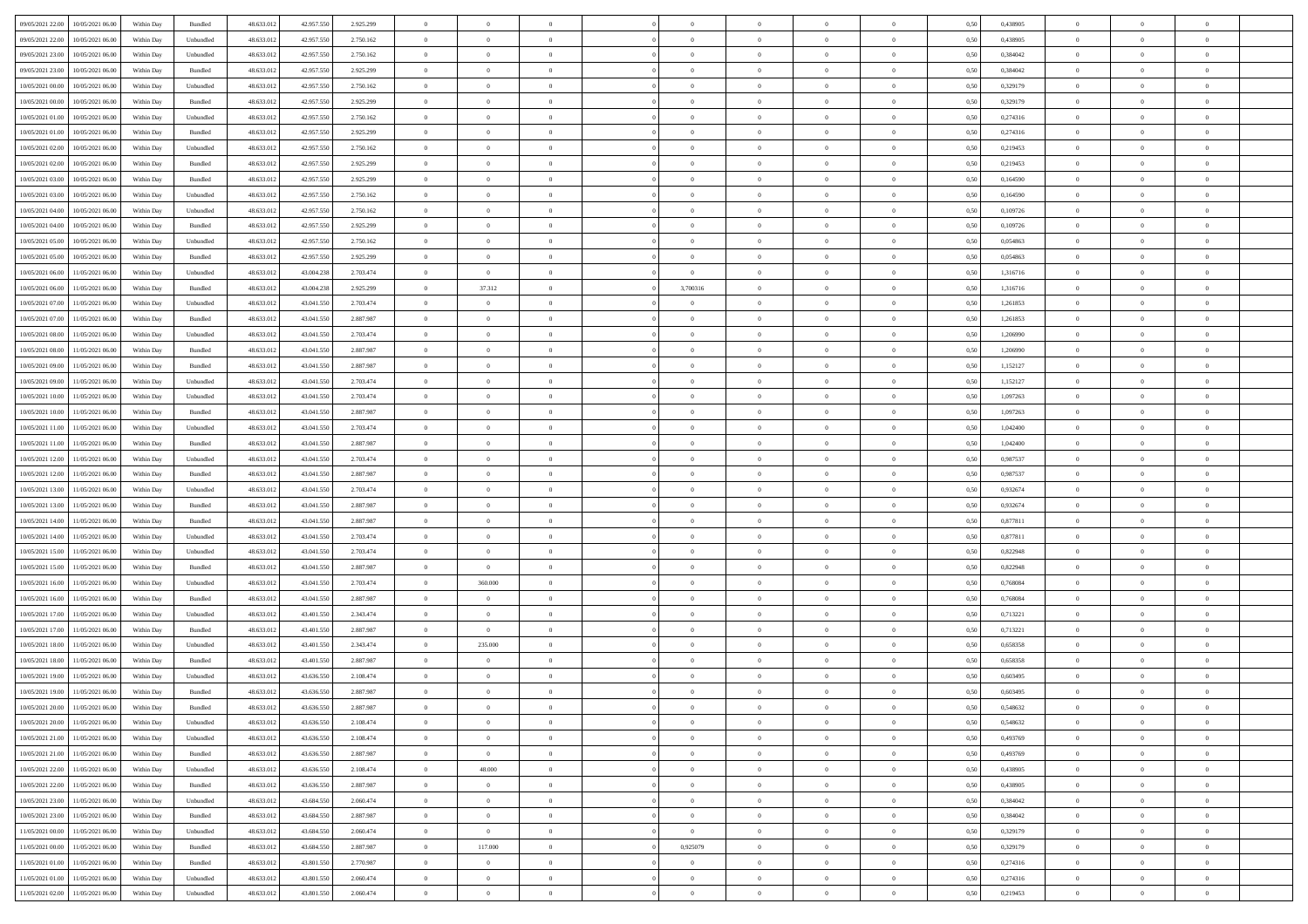| 09/05/2021 22:00<br>10/05/2021 06:00         |            |           | 48.633.01  |            |           | $\overline{0}$ | $\overline{0}$ |                | $\overline{0}$ | $\theta$       |                | $\theta$       |      | 0,438905 | $\theta$       | $\theta$       | $\overline{0}$ |  |
|----------------------------------------------|------------|-----------|------------|------------|-----------|----------------|----------------|----------------|----------------|----------------|----------------|----------------|------|----------|----------------|----------------|----------------|--|
|                                              | Within Day | Bundled   |            | 42.957.550 | 2.925.299 |                |                |                |                |                |                |                | 0,50 |          |                |                |                |  |
| 09/05/2021 22.00<br>10/05/2021 06:00         | Within Day | Unbundled | 48.633.01  | 42.957.55  | 2.750.162 | $\bf{0}$       | $\bf{0}$       | $\bf{0}$       | $\overline{0}$ | $\overline{0}$ | $\overline{0}$ | $\bf{0}$       | 0,50 | 0,438905 | $\,$ 0 $\,$    | $\bf{0}$       | $\overline{0}$ |  |
| 09/05/2021 23:00<br>10/05/2021 06:00         | Within Day | Unbundled | 48.633.012 | 42.957.550 | 2.750.162 | $\overline{0}$ | $\bf{0}$       | $\overline{0}$ | $\bf{0}$       | $\bf{0}$       | $\overline{0}$ | $\bf{0}$       | 0.50 | 0.384042 | $\bf{0}$       | $\overline{0}$ | $\overline{0}$ |  |
| 09/05/2021 23:00<br>10/05/2021 06:00         | Within Day | Bundled   | 48.633.01  | 42.957.550 | 2.925.299 | $\overline{0}$ | $\bf{0}$       | $\overline{0}$ | $\theta$       | $\theta$       | $\overline{0}$ | $\bf{0}$       | 0,50 | 0,384042 | $\theta$       | $\theta$       | $\overline{0}$ |  |
| 10/05/2021 00:00<br>10/05/2021 06:00         | Within Day | Unbundled | 48.633.01  | 42.957.55  | 2.750.162 | $\bf{0}$       | $\overline{0}$ | $\bf{0}$       | $\overline{0}$ | $\theta$       | $\overline{0}$ | $\bf{0}$       | 0,50 | 0,329179 | $\,$ 0 $\,$    | $\bf{0}$       | $\overline{0}$ |  |
| 10/05/2021 00:00<br>10/05/2021 06:00         |            | Bundled   | 48.633.013 | 42.957.55  | 2.925.299 | $\overline{0}$ | $\overline{0}$ | $\overline{0}$ | $\bf{0}$       | $\overline{0}$ | $\theta$       | $\bf{0}$       | 0.50 | 0,329179 | $\,$ 0 $\,$    | $\theta$       | $\overline{0}$ |  |
|                                              | Within Day |           |            |            |           |                |                |                |                |                |                |                |      |          |                |                |                |  |
| 10/05/2021 01:00<br>10/05/2021 06:00         | Within Day | Unbundled | 48.633.013 | 42.957.550 | 2.750.162 | $\overline{0}$ | $\overline{0}$ | $\overline{0}$ | $\overline{0}$ | $\overline{0}$ | $\overline{0}$ | $\bf{0}$       | 0,50 | 0,274316 | $\,$ 0 $\,$    | $\theta$       | $\overline{0}$ |  |
| 10/05/2021 01:00<br>10/05/2021 06:00         | Within Day | Bundled   | 48.633.01  | 42.957.55  | 2.925.299 | $\bf{0}$       | $\overline{0}$ | $\bf{0}$       | $\overline{0}$ | $\overline{0}$ | $\overline{0}$ | $\bf{0}$       | 0,50 | 0,274316 | $\,$ 0 $\,$    | $\bf{0}$       | $\overline{0}$ |  |
| 10/05/2021 02:00<br>10/05/2021 06:00         | Within Day | Unbundled | 48.633.013 | 42.957.55  | 2.750.162 | $\overline{0}$ | $\bf{0}$       | $\overline{0}$ | $\bf{0}$       | $\overline{0}$ | $\overline{0}$ | $\bf{0}$       | 0.50 | 0.219453 | $\bf{0}$       | $\overline{0}$ | $\overline{0}$ |  |
| 10/05/2021 02:00<br>10/05/2021 06:00         | Within Day | Bundled   | 48.633.012 | 42.957.550 | 2.925.299 | $\bf{0}$       | $\bf{0}$       | $\overline{0}$ | $\overline{0}$ | $\overline{0}$ | $\overline{0}$ | $\bf{0}$       | 0,50 | 0,219453 | $\,$ 0 $\,$    | $\bf{0}$       | $\overline{0}$ |  |
| 10/05/2021 03:00<br>10/05/2021 06:00         | Within Day | Bundled   | 48.633.01  | 42.957.550 | 2.925.299 | $\bf{0}$       | $\overline{0}$ | $\bf{0}$       | $\bf{0}$       | $\bf{0}$       | $\overline{0}$ | $\bf{0}$       | 0,50 | 0,164590 | $\,$ 0 $\,$    | $\bf{0}$       | $\overline{0}$ |  |
| 10/05/2021 03:00<br>10/05/2021 06:00         | Within Day | Unbundled | 48.633.013 | 42.957.55  | 2.750.162 | $\overline{0}$ | $\bf{0}$       | $\overline{0}$ | $\overline{0}$ | $\bf{0}$       | $\overline{0}$ | $\bf{0}$       | 0.50 | 0.164590 | $\bf{0}$       | $\overline{0}$ | $\bf{0}$       |  |
| 10/05/2021 04:00<br>10/05/2021 06:00         | Within Day | Unbundled | 48.633.01  | 42.957.550 | 2.750.162 | $\overline{0}$ | $\overline{0}$ | $\overline{0}$ | $\theta$       | $\theta$       | $\overline{0}$ | $\bf{0}$       | 0,50 | 0,109726 | $\,$ 0 $\,$    | $\theta$       | $\overline{0}$ |  |
|                                              |            |           |            |            |           |                |                |                |                |                |                |                |      |          |                |                |                |  |
| 10/05/2021 04:00<br>10/05/2021 06:00         | Within Day | Bundled   | 48.633.01  | 42.957.55  | 2.925.299 | $\bf{0}$       | $\overline{0}$ | $\bf{0}$       | $\overline{0}$ | $\theta$       | $\overline{0}$ | $\bf{0}$       | 0,50 | 0,109726 | $\,$ 0 $\,$    | $\bf{0}$       | $\overline{0}$ |  |
| 10/05/2021 05:00<br>10/05/2021 06:00         | Within Day | Unbundled | 48.633.013 | 42.957.55  | 2.750.162 | $\overline{0}$ | $\overline{0}$ | $\overline{0}$ | $\bf{0}$       | $\overline{0}$ | $\Omega$       | $\bf{0}$       | 0.50 | 0.054863 | $\,$ 0 $\,$    | $\theta$       | $\overline{0}$ |  |
| 10/05/2021 05:00<br>10/05/2021 06:00         | Within Day | Bundled   | 48.633.013 | 42.957.550 | 2.925.299 | $\overline{0}$ | $\overline{0}$ | $\overline{0}$ | $\overline{0}$ | $\theta$       | $\overline{0}$ | $\bf{0}$       | 0,50 | 0,054863 | $\theta$       | $\theta$       | $\overline{0}$ |  |
| 10/05/2021 06:00<br>11/05/2021 06:00         | Within Day | Unbundled | 48.633.01  | 43.004.23  | 2.703.474 | $\bf{0}$       | $\bf{0}$       | $\bf{0}$       | $\overline{0}$ | $\theta$       | $\overline{0}$ | $\bf{0}$       | 0,50 | 1,316716 | $\,$ 0 $\,$    | $\bf{0}$       | $\overline{0}$ |  |
| 10/05/2021 06:00<br>11/05/2021 06:00         | Within Day | Bundled   | 48.633.013 | 43,004.23  | 2.925.299 | $\overline{0}$ | 37.312         | $\overline{0}$ | 3,700316       | $\overline{0}$ | $\overline{0}$ | $\bf{0}$       | 0.50 | 1.316716 | $\bf{0}$       | $\overline{0}$ | $\overline{0}$ |  |
| 10/05/2021 07:00<br>11/05/2021 06:00         | Within Day | Unbundled | 48.633.013 | 43.041.550 | 2.703.474 | $\bf{0}$       | $\overline{0}$ | $\overline{0}$ | $\overline{0}$ | $\overline{0}$ | $\overline{0}$ | $\bf{0}$       | 0,50 | 1,261853 | $\,$ 0 $\,$    | $\bf{0}$       | $\overline{0}$ |  |
| 10/05/2021 07:00<br>11/05/2021 06:00         | Within Day | Bundled   | 48.633.01  | 43.041.55  | 2.887.987 | $\bf{0}$       | $\overline{0}$ | $\bf{0}$       | $\bf{0}$       | $\overline{0}$ | $\overline{0}$ | $\bf{0}$       | 0,50 | 1,261853 | $\,$ 0 $\,$    | $\bf{0}$       | $\overline{0}$ |  |
| 10/05/2021 08:00<br>11/05/2021 06:00         | Within Day | Unbundled | 48.633.013 | 43,041,550 | 2.703.474 | $\overline{0}$ | $\bf{0}$       | $\overline{0}$ | $\bf{0}$       | $\bf{0}$       | $\overline{0}$ | $\bf{0}$       | 0.50 | 1.206990 | $\bf{0}$       | $\overline{0}$ | $\overline{0}$ |  |
|                                              |            |           |            |            |           |                |                |                |                |                |                |                |      |          |                |                |                |  |
| 10/05/2021 08:00<br>11/05/2021 06:00         | Within Day | Bundled   | 48.633.01  | 43.041.550 | 2.887.987 | $\overline{0}$ | $\overline{0}$ | $\overline{0}$ | $\theta$       | $\theta$       | $\overline{0}$ | $\bf{0}$       | 0,50 | 1,206990 | $\theta$       | $\theta$       | $\overline{0}$ |  |
| 10/05/2021 09:00<br>11/05/2021 06:00         | Within Day | Bundled   | 48.633.01  | 43.041.550 | 2.887.987 | $\bf{0}$       | $\overline{0}$ | $\bf{0}$       | $\bf{0}$       | $\bf{0}$       | $\overline{0}$ | $\bf{0}$       | 0,50 | 1,152127 | $\,$ 0 $\,$    | $\bf{0}$       | $\overline{0}$ |  |
| 10/05/2021 09:00<br>11/05/2021 06:00         | Within Day | Unbundled | 48.633.013 | 43.041.55  | 2.703.474 | $\overline{0}$ | $\overline{0}$ | $\overline{0}$ | $\bf{0}$       | $\overline{0}$ | $\theta$       | $\bf{0}$       | 0.50 | 1,152127 | $\,$ 0 $\,$    | $\theta$       | $\overline{0}$ |  |
| 10/05/2021 10:00<br>11/05/2021 06:00         | Within Day | Unbundled | 48.633.013 | 43.041.550 | 2.703.474 | $\overline{0}$ | $\overline{0}$ | $\overline{0}$ | $\overline{0}$ | $\overline{0}$ | $\overline{0}$ | $\bf{0}$       | 0,50 | 1,097263 | $\,$ 0 $\,$    | $\theta$       | $\overline{0}$ |  |
| 10/05/2021 10:00<br>11/05/2021 06:00         | Within Day | Bundled   | 48.633.01  | 43.041.55  | 2.887.987 | $\bf{0}$       | $\overline{0}$ | $\bf{0}$       | $\overline{0}$ | $\bf{0}$       | $\overline{0}$ | $\bf{0}$       | 0,50 | 1,097263 | $\,$ 0 $\,$    | $\bf{0}$       | $\overline{0}$ |  |
| 10/05/2021 11:00<br>11/05/2021 06:00         | Within Day | Unbundled | 48.633.013 | 43.041.55  | 2.703.474 | $\overline{0}$ | $\bf{0}$       | $\overline{0}$ | $\bf{0}$       | $\overline{0}$ | $\overline{0}$ | $\bf{0}$       | 0.50 | 1.042400 | $\bf{0}$       | $\overline{0}$ | $\overline{0}$ |  |
| 10/05/2021 11:00<br>11/05/2021 06:00         | Within Day | Bundled   | 48.633.013 | 43.041.550 | 2.887.987 | $\overline{0}$ | $\overline{0}$ | $\overline{0}$ | $\overline{0}$ | $\overline{0}$ | $\overline{0}$ | $\bf{0}$       | 0,50 | 1,042400 | $\theta$       | $\theta$       | $\overline{0}$ |  |
| 10/05/2021 12:00<br>11/05/2021 06:00         | Within Day | Unbundled | 48.633.01  | 43.041.55  | 2.703.474 | $\bf{0}$       | $\bf{0}$       | $\bf{0}$       | $\bf{0}$       | $\overline{0}$ | $\overline{0}$ | $\bf{0}$       | 0,50 | 0,987537 | $\,$ 0 $\,$    | $\bf{0}$       | $\overline{0}$ |  |
|                                              |            |           |            |            |           |                |                |                |                |                |                |                |      |          |                |                |                |  |
| 10/05/2021 12:00<br>11/05/2021 06:00         | Within Day | Bundled   | 48.633.013 | 43,041,550 | 2.887.987 | $\overline{0}$ | $\bf{0}$       | $\overline{0}$ | $\bf{0}$       | $\bf{0}$       | $\overline{0}$ | $\bf{0}$       | 0.50 | 0.987537 | $\bf{0}$       | $\overline{0}$ | $\bf{0}$       |  |
| 10/05/2021 13:00<br>11/05/2021 06:00         | Within Day | Unbundled | 48.633.013 | 43,041,550 | 2.703.474 | $\overline{0}$ | $\overline{0}$ | $\overline{0}$ | $\overline{0}$ | $\overline{0}$ | $\overline{0}$ | $\bf{0}$       | 0.5( | 0,932674 | $\theta$       | $\theta$       | $\overline{0}$ |  |
| 10/05/2021 13:00<br>11/05/2021 06:00         | Within Day | Bundled   | 48.633.01  | 43.041.55  | 2.887.987 | $\bf{0}$       | $\overline{0}$ | $\bf{0}$       | $\bf{0}$       | $\,$ 0 $\,$    | $\overline{0}$ | $\bf{0}$       | 0,50 | 0,932674 | $\,$ 0 $\,$    | $\bf{0}$       | $\overline{0}$ |  |
| 10/05/2021 14:00<br>11/05/2021 06:00         | Within Day | Bundled   | 48.633.013 | 43,041,550 | 2.887.987 | $\overline{0}$ | $\bf{0}$       | $\overline{0}$ | $\bf{0}$       | $\overline{0}$ | $\Omega$       | $\bf{0}$       | 0.50 | 0.877811 | $\,$ 0 $\,$    | $\bf{0}$       | $\overline{0}$ |  |
| 10/05/2021 14:00<br>11/05/2021 06:00         | Within Dav | Unbundled | 48.633.013 | 43.041.550 | 2.703.474 | $\overline{0}$ | $\overline{0}$ | $\overline{0}$ | $\overline{0}$ | $\theta$       | $\overline{0}$ | $\bf{0}$       | 0.5( | 0,877811 | $\theta$       | $\theta$       | $\overline{0}$ |  |
| 10/05/2021 15:00<br>11/05/2021 06:00         | Within Day | Unbundled | 48.633.01  | 43.041.55  | 2.703.474 | $\bf{0}$       | $\overline{0}$ | $\bf{0}$       | $\bf{0}$       | $\bf{0}$       | $\overline{0}$ | $\bf{0}$       | 0,50 | 0,822948 | $\,$ 0 $\,$    | $\bf{0}$       | $\overline{0}$ |  |
| 10/05/2021 15:00<br>11/05/2021 06:00         | Within Day | Bundled   | 48.633.013 | 43.041.55  | 2.887.987 | $\overline{0}$ | $\overline{0}$ | $\overline{0}$ | $\bf{0}$       | $\overline{0}$ | $\overline{0}$ | $\bf{0}$       | 0.50 | 0.822948 | $\bf{0}$       | $\overline{0}$ | $\overline{0}$ |  |
| 10/05/2021 16:00<br>11/05/2021 06:00         | Within Dav | Unbundled | 48.633.013 | 43,041,550 | 2.703.474 | $\overline{0}$ | 360.000        | $\overline{0}$ | $\overline{0}$ | $\overline{0}$ | $\overline{0}$ | $\bf{0}$       | 0.50 | 0.768084 | $\theta$       | $\theta$       | $\overline{0}$ |  |
| 11/05/2021 06:00                             | Within Day | Bundled   | 48.633.01  | 43.041.55  | 2.887.987 | $\bf{0}$       | $\bf{0}$       | $\bf{0}$       | $\bf{0}$       | $\overline{0}$ | $\overline{0}$ | $\bf{0}$       | 0,50 | 0,768084 | $\,$ 0 $\,$    | $\bf{0}$       | $\overline{0}$ |  |
| 10/05/2021 16:00                             |            |           |            |            |           |                |                |                |                |                |                |                |      |          |                |                |                |  |
| 10/05/2021 17:00<br>11/05/2021 06:00         | Within Day | Unbundled | 48.633.013 | 43,401,550 | 2.343.474 | $\overline{0}$ | $\bf{0}$       | $\overline{0}$ | $\overline{0}$ | $\bf{0}$       | $\overline{0}$ | $\bf{0}$       | 0.50 | 0,713221 | $\bf{0}$       | $\overline{0}$ | $\overline{0}$ |  |
| 10/05/2021 17:00<br>11/05/2021 06:00         | Within Dav | Bundled   | 48.633.013 | 43.401.550 | 2.887.987 | $\overline{0}$ | $\overline{0}$ | $\overline{0}$ | $\overline{0}$ | $\theta$       | $\overline{0}$ | $\bf{0}$       | 0.5( | 0,713221 | $\theta$       | $\theta$       | $\overline{0}$ |  |
| 10/05/2021 18:00<br>11/05/2021 06:00         | Within Day | Unbundled | 48.633.01  | 43.401.55  | 2.343.474 | $\bf{0}$       | 235.000        | $\bf{0}$       | $\bf{0}$       | $\overline{0}$ | $\overline{0}$ | $\bf{0}$       | 0,50 | 0,658358 | $\,$ 0 $\,$    | $\bf{0}$       | $\overline{0}$ |  |
| 10/05/2021 18:00<br>11/05/2021 06:00         | Within Day | Bundled   | 48.633.013 | 43.401.55  | 2.887.987 | $\overline{0}$ | $\overline{0}$ | $\overline{0}$ | $\bf{0}$       | $\overline{0}$ | $\Omega$       | $\bf{0}$       | 0.50 | 0.658358 | $\bf{0}$       | $\theta$       | $\overline{0}$ |  |
| 10/05/2021 19:00<br>11/05/2021 06:00         | Within Dav | Unbundled | 48.633.013 | 43.636.550 | 2.108.474 | $\overline{0}$ | $\overline{0}$ | $\Omega$       | $\overline{0}$ | $\theta$       | $\Omega$       | $\overline{0}$ | 0.5( | 0,603495 | $\theta$       | $\theta$       | $\overline{0}$ |  |
| 10/05/2021 19:00<br>11/05/2021 06:00         | Within Day | Bundled   | 48.633.01  | 43.636.550 | 2.887.987 | $\bf{0}$       | $\bf{0}$       | $\overline{0}$ | $\bf{0}$       | $\bf{0}$       | $\overline{0}$ | $\bf{0}$       | 0,50 | 0,603495 | $\,$ 0 $\,$    | $\bf{0}$       | $\overline{0}$ |  |
| $10/05/2021\ 20.00 \qquad 11/05/2021\ 06.00$ | Within Day | Bundled   | 48.633.012 | 43.636.550 | 2.887.987 | $\overline{0}$ | $\Omega$       |                | $\Omega$       |                |                |                | 0,50 | 0.548632 | $\theta$       | $\overline{0}$ |                |  |
| 10/05/2021 20:00 11/05/2021 06:00            | Within Day | Unbundled | 48.633.012 | 43.636.550 | 2.108.474 | $\overline{0}$ | $\overline{0}$ | $\Omega$       | $\theta$       | $\overline{0}$ | $\overline{0}$ | $\bf{0}$       | 0,50 | 0,548632 | $\theta$       | $\overline{0}$ | $\overline{0}$ |  |
|                                              |            |           |            |            |           |                |                |                |                |                |                |                |      |          |                |                |                |  |
| 10/05/2021 21:00<br>11/05/2021 06:00         | Within Day | Unbundled | 48.633.013 | 43.636.550 | 2.108.474 | $\overline{0}$ | $\bf{0}$       | $\overline{0}$ | $\overline{0}$ | $\bf{0}$       | $\overline{0}$ | $\bf{0}$       | 0,50 | 0,493769 | $\bf{0}$       | $\overline{0}$ | $\bf{0}$       |  |
| 10/05/2021 21:00 11/05/2021 06:00            | Within Day | Bundled   | 48.633.012 | 43.636.550 | 2.887.987 | $\overline{0}$ | $\overline{0}$ | $\overline{0}$ | $\overline{0}$ | $\mathbf{0}$   | $\overline{0}$ | $\,$ 0 $\,$    | 0.50 | 0,493769 | $\overline{0}$ | $\bf{0}$       | $\,$ 0 $\,$    |  |
| 10/05/2021 22:00 11/05/2021 06:00            | Within Dav | Unbundled | 48.633.012 | 43.636.550 | 2.108.474 | $\overline{0}$ | 48.000         | $\overline{0}$ | $\overline{0}$ | $\overline{0}$ | $\overline{0}$ | $\bf{0}$       | 0,50 | 0,438905 | $\overline{0}$ | $\theta$       | $\overline{0}$ |  |
| 10/05/2021 22:00<br>11/05/2021 06:00         | Within Day | Bundled   | 48.633.012 | 43.636.550 | 2.887.987 | $\overline{0}$ | $\bf{0}$       | $\overline{0}$ | $\overline{0}$ | $\overline{0}$ | $\overline{0}$ | $\bf{0}$       | 0,50 | 0,438905 | $\bf{0}$       | $\overline{0}$ | $\overline{0}$ |  |
| 10/05/2021 23:00<br>11/05/2021 06:00         | Within Day | Unbundled | 48.633.012 | 43,684,550 | 2.060.474 | $\overline{0}$ | $\bf{0}$       | $\overline{0}$ | $\overline{0}$ | $\overline{0}$ | $\overline{0}$ | $\bf{0}$       | 0.50 | 0.384042 | $\,$ 0 $\,$    | $\theta$       | $\,$ 0         |  |
| 10/05/2021 23:00<br>11/05/2021 06:00         | Within Dav | Bundled   | 48.633.012 | 43.684.550 | 2.887.987 | $\overline{0}$ | $\overline{0}$ | $\overline{0}$ | $\overline{0}$ | $\overline{0}$ | $\overline{0}$ | $\bf{0}$       | 0.50 | 0,384042 | $\overline{0}$ | $\theta$       | $\overline{0}$ |  |
| 11/05/2021 00:00<br>11/05/2021 06:00         | Within Day | Unbundled | 48.633.013 | 43.684.550 | 2.060.474 | $\overline{0}$ | $\overline{0}$ | $\overline{0}$ | $\overline{0}$ | $\overline{0}$ | $\overline{0}$ | $\bf{0}$       | 0,50 | 0,329179 | $\bf{0}$       | $\overline{0}$ | $\overline{0}$ |  |
|                                              |            | Bundled   | 48.633.012 | 43,684,550 | 2.887.987 |                | 117.000        | $\overline{0}$ | 0,925079       |                | $\overline{0}$ |                | 0.50 | 0.329179 |                |                | $\,$ 0         |  |
| 11/05/2021 00:00<br>11/05/2021 06:00         | Within Day |           |            |            |           | $\overline{0}$ |                |                |                | $\bf{0}$       |                | $\bf{0}$       |      |          | $\mathbf{0}$   | $\bf{0}$       |                |  |
| 11/05/2021 01:00<br>11/05/2021 06:00         | Within Dav | Bundled   | 48.633.012 | 43.801.550 | 2.770.987 | $\overline{0}$ | $\overline{0}$ | $\overline{0}$ | $\overline{0}$ | $\overline{0}$ | $\overline{0}$ | $\bf{0}$       | 0,50 | 0,274316 | $\overline{0}$ | $\theta$       | $\overline{0}$ |  |
| 11/05/2021 01:00<br>11/05/2021 06:00         | Within Day | Unbundled | 48.633.013 | 43.801.550 | 2.060.474 | $\overline{0}$ | $\bf{0}$       | $\overline{0}$ | $\overline{0}$ | $\overline{0}$ | $\bf{0}$       | $\bf{0}$       | 0,50 | 0,274316 | $\bf{0}$       | $\bf{0}$       | $\bf{0}$       |  |
| 11/05/2021 02:00 11/05/2021 06:00            | Within Day | Unbundled | 48.633.012 | 43.801.550 | 2.060.474 | $\overline{0}$ | $\bf{0}$       | $\overline{0}$ | $\overline{0}$ | $\,$ 0 $\,$    | $\overline{0}$ | $\bf{0}$       | 0,50 | 0,219453 | $\overline{0}$ | $\,$ 0 $\,$    | $\,$ 0 $\,$    |  |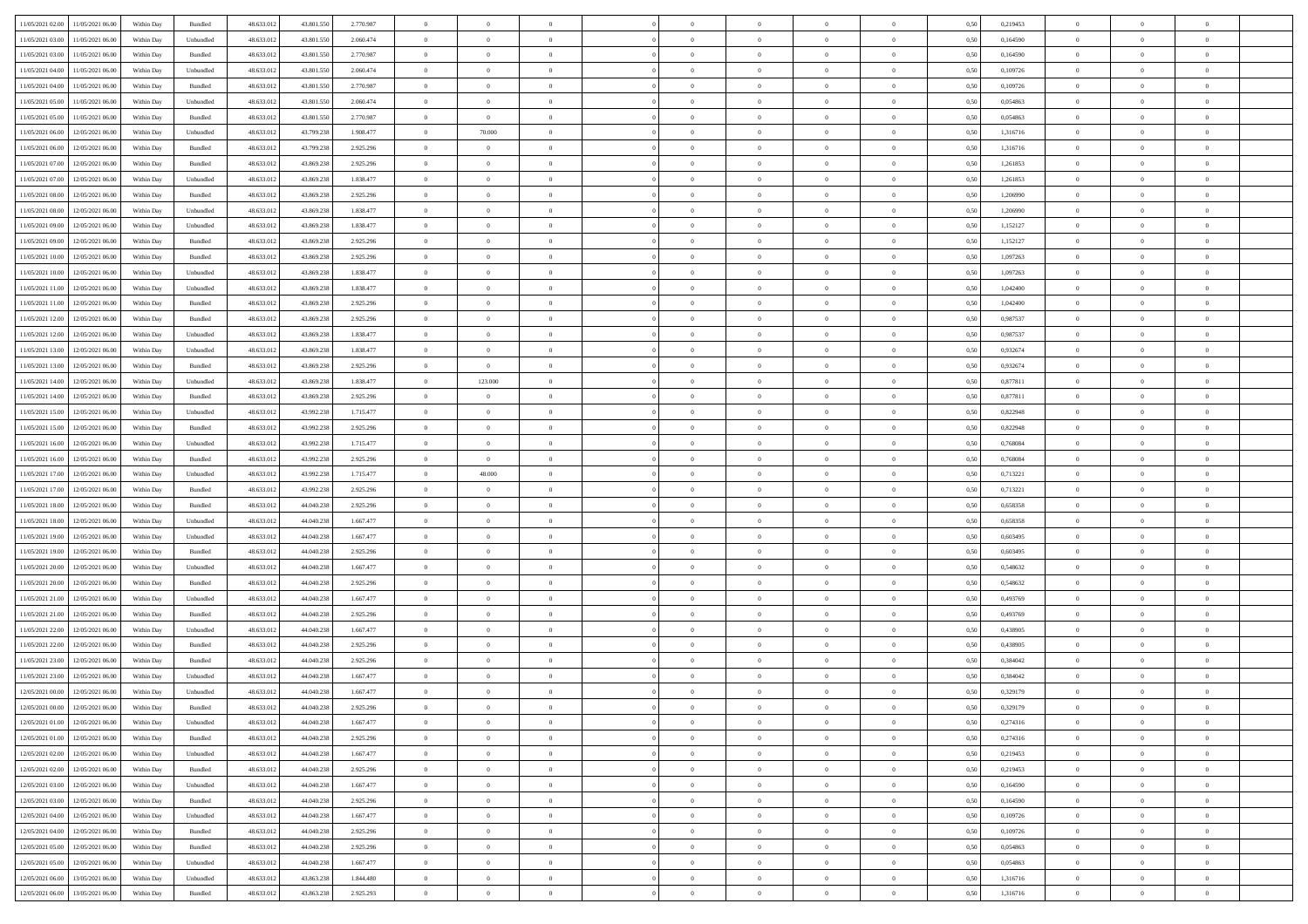| 11/05/2021 02:00 | 11/05/2021 06:00                  | Within Day | Bundled            | 48.633.012 | 43.801.550 | 2.770.987 | $\overline{0}$ | $\theta$       |                | $\overline{0}$ | $\bf{0}$       | $\overline{0}$ | $\theta$       | 0,50 | 0,219453 | $\theta$       | $\theta$       | $\overline{0}$           |  |
|------------------|-----------------------------------|------------|--------------------|------------|------------|-----------|----------------|----------------|----------------|----------------|----------------|----------------|----------------|------|----------|----------------|----------------|--------------------------|--|
| 11/05/2021 03:00 | 11/05/2021 06.00                  | Within Day | Unbundled          | 48.633.01  | 43.801.550 | 2.060.474 | $\overline{0}$ | $\overline{0}$ | $\overline{0}$ | $\overline{0}$ | $\,$ 0         | $\bf{0}$       | $\bf{0}$       | 0,50 | 0,164590 | $\,$ 0 $\,$    | $\overline{0}$ | $\overline{0}$           |  |
|                  |                                   |            |                    |            |            |           |                |                |                |                |                |                |                |      |          |                |                |                          |  |
| 11/05/2021 03:00 | 11/05/2021 06:00                  | Within Day | Bundled            | 48.633.012 | 43.801.550 | 2.770.987 | $\overline{0}$ | $\overline{0}$ | $\overline{0}$ | $\overline{0}$ | $\bf{0}$       | $\overline{0}$ | $\mathbf{0}$   | 0.50 | 0.164590 | $\bf{0}$       | $\overline{0}$ | $\overline{0}$           |  |
| 11/05/2021 04:00 | 11/05/2021 06:00                  | Within Day | Unbundled          | 48.633.012 | 43.801.550 | 2.060.474 | $\overline{0}$ | $\overline{0}$ | $\overline{0}$ | $\overline{0}$ | $\bf{0}$       | $\overline{0}$ | $\overline{0}$ | 0,50 | 0,109726 | $\,$ 0 $\,$    | $\overline{0}$ | $\overline{0}$           |  |
| 11/05/2021 04:00 | 11/05/2021 06.00                  | Within Day | Bundled            | 48.633.01  | 43.801.550 | 2.770.987 | $\overline{0}$ | $\theta$       | $\overline{0}$ |                | $\overline{0}$ | $\overline{0}$ | $\bf{0}$       | 0,50 | 0,109726 | $\,$ 0 $\,$    | $\overline{0}$ | $\overline{0}$           |  |
| 11/05/2021 05:00 | 11/05/2021 06:00                  | Within Day | Unbundled          | 48.633.012 | 43,801.550 | 2.060.474 | $\overline{0}$ | $\overline{0}$ | $\overline{0}$ | $\overline{0}$ | $\bf{0}$       | $\overline{0}$ | $\bf{0}$       | 0.50 | 0.054863 | $\,0\,$        | $\theta$       | $\overline{0}$           |  |
| 11/05/2021 05:00 | 11/05/2021 06:00                  | Within Day | Bundled            | 48.633.012 | 43.801.550 | 2.770.987 | $\overline{0}$ | $\overline{0}$ | $\overline{0}$ | $\overline{0}$ | $\,$ 0         | $\overline{0}$ | $\overline{0}$ | 0,50 | 0,054863 | $\,$ 0 $\,$    | $\theta$       | $\overline{0}$           |  |
| 11/05/2021 06:00 | 12/05/2021 06.00                  | Within Day | Unbundled          | 48.633.01  | 43.799.238 | 1.908.477 | $\overline{0}$ | 70.000         | $\overline{0}$ |                | $\,$ 0         | $\bf{0}$       | $\bf{0}$       | 0,50 | 1,316716 | $\,$ 0 $\,$    | $\overline{0}$ | $\overline{0}$           |  |
| 11/05/2021 06:00 | 12/05/2021 06:00                  | Within Day | Bundled            | 48.633.012 | 43.799.238 | 2.925.296 | $\overline{0}$ | $\overline{0}$ | $\overline{0}$ | $\overline{0}$ | $\bf{0}$       | $\overline{0}$ | $\bf{0}$       | 0.50 | 1.316716 | $\,0\,$        | $\overline{0}$ | $\overline{0}$           |  |
| 11/05/2021 07:00 | 12/05/2021 06:00                  | Within Day | Bundled            | 48.633.012 | 43.869.238 | 2.925.296 | $\overline{0}$ | $\overline{0}$ | $\overline{0}$ | $\overline{0}$ | $\bf{0}$       | $\overline{0}$ | $\bf{0}$       | 0,50 | 1,261853 | $\,$ 0 $\,$    | $\overline{0}$ | $\overline{0}$           |  |
| 11/05/2021 07:00 | 12/05/2021 06:00                  | Within Day | Unbundled          | 48.633.01  | 43.869.238 | 1.838.477 | $\bf{0}$       | $\theta$       | $\overline{0}$ | $\overline{0}$ | $\,$ 0         | $\bf{0}$       | $\bf{0}$       | 0,50 | 1,261853 | $\,$ 0 $\,$    | $\overline{0}$ | $\overline{0}$           |  |
|                  |                                   |            |                    |            |            |           |                |                |                |                |                |                |                |      |          |                |                |                          |  |
| 11/05/2021 08:00 | 12/05/2021 06:00                  | Within Day | Bundled            | 48.633.012 | 43,869,238 | 2.925.296 | $\overline{0}$ | $\overline{0}$ | $\overline{0}$ | $\overline{0}$ | $\bf{0}$       | $\overline{0}$ | $\mathbf{0}$   | 0.50 | 1.206990 | $\bf{0}$       | $\overline{0}$ | $\bf{0}$                 |  |
| 11/05/2021 08:00 | 12/05/2021 06:00                  | Within Day | Unbundled          | 48.633.012 | 43.869.238 | 1.838.477 | $\overline{0}$ | $\overline{0}$ | $\overline{0}$ | $\overline{0}$ | $\bf{0}$       | $\overline{0}$ | $\overline{0}$ | 0,50 | 1,206990 | $\,$ 0 $\,$    | $\overline{0}$ | $\overline{0}$           |  |
| 11/05/2021 09:00 | 12/05/2021 06:00                  | Within Day | Unbundled          | 48.633.01  | 43.869.238 | 1.838.477 | $\overline{0}$ | $\theta$       | $\overline{0}$ |                | $\bf{0}$       | $\overline{0}$ | $\bf{0}$       | 0,50 | 1,152127 | $\,$ 0 $\,$    | $\overline{0}$ | $\overline{0}$           |  |
| 11/05/2021 09:00 | 12/05/2021 06:00                  | Within Day | Bundled            | 48.633.012 | 43,869,238 | 2.925.296 | $\overline{0}$ | $\overline{0}$ | $\overline{0}$ | $\overline{0}$ | $\bf{0}$       | $\overline{0}$ | $\bf{0}$       | 0.50 | 1,152127 | $\,0\,$        | $\theta$       | $\overline{0}$           |  |
| 11/05/2021 10:00 | 12/05/2021 06:00                  | Within Day | Bundled            | 48.633.012 | 43.869.238 | 2.925.296 | $\overline{0}$ | $\overline{0}$ | $\overline{0}$ | $\overline{0}$ | $\bf{0}$       | $\overline{0}$ | $\overline{0}$ | 0,50 | 1,097263 | $\theta$       | $\theta$       | $\overline{0}$           |  |
| 11/05/2021 10:00 | 12/05/2021 06.00                  | Within Day | Unbundled          | 48.633.01  | 43.869.238 | 1.838.477 | $\overline{0}$ | $\theta$       | $\overline{0}$ |                | $\,$ 0         | $\overline{0}$ | $\bf{0}$       | 0,50 | 1,097263 | $\,$ 0 $\,$    | $\overline{0}$ | $\overline{0}$           |  |
| 11/05/2021 11:00 | 12/05/2021 06:00                  | Within Day | Unbundled          | 48.633.012 | 43,869,238 | 1.838.477 | $\overline{0}$ | $\overline{0}$ | $\overline{0}$ | $\overline{0}$ | $\bf{0}$       | $\overline{0}$ | $\bf{0}$       | 0.50 | 1.042400 | $\,0\,$        | $\overline{0}$ | $\overline{\phantom{a}}$ |  |
| 11/05/2021 11:00 | 12/05/2021 06:00                  | Within Day | Bundled            | 48.633.012 | 43.869.238 | 2.925.296 | $\overline{0}$ | $\overline{0}$ | $\overline{0}$ | $\overline{0}$ | $\,$ 0         | $\overline{0}$ | $\bf{0}$       | 0,50 | 1,042400 | $\,$ 0 $\,$    | $\theta$       | $\overline{0}$           |  |
| 11/05/2021 12:00 | 12/05/2021 06:00                  | Within Day | Bundled            | 48.633.01  | 43.869.238 | 2.925.296 | $\bf{0}$       | $\,$ 0 $\,$    | $\overline{0}$ | $\overline{0}$ | $\,$ 0         | $\bf{0}$       | $\bf{0}$       | 0,50 | 0,987537 | $\,$ 0 $\,$    | $\overline{0}$ | $\overline{0}$           |  |
|                  |                                   |            |                    |            |            |           |                |                |                |                |                |                |                |      |          |                |                |                          |  |
| 11/05/2021 12:00 | 12/05/2021 06:00                  | Within Day | Unbundled          | 48.633.012 | 43.869.238 | 1.838.477 | $\overline{0}$ | $\overline{0}$ | $\overline{0}$ | $\overline{0}$ | $\bf{0}$       | $\overline{0}$ | $\mathbf{0}$   | 0.50 | 0.987537 | $\,$ 0 $\,$    | $\overline{0}$ | $\overline{\phantom{a}}$ |  |
| 11/05/2021 13:00 | 12/05/2021 06:00                  | Within Day | Unbundled          | 48.633.012 | 43.869.238 | 1.838.477 | $\overline{0}$ | $\overline{0}$ | $\overline{0}$ | $\overline{0}$ | $\bf{0}$       | $\overline{0}$ | $\overline{0}$ | 0,50 | 0,932674 | $\theta$       | $\overline{0}$ | $\overline{0}$           |  |
| 11/05/2021 13:00 | 12/05/2021 06:00                  | Within Day | Bundled            | 48.633.01  | 43.869.238 | 2.925.296 | $\overline{0}$ | $\overline{0}$ | $\overline{0}$ | $\overline{0}$ | $\,$ 0         | $\overline{0}$ | $\bf{0}$       | 0,50 | 0,932674 | $\,$ 0 $\,$    | $\overline{0}$ | $\overline{0}$           |  |
| 11/05/2021 14:00 | 12/05/2021 06:00                  | Within Day | Unbundled          | 48.633.012 | 43,869,238 | 1.838.477 | $\overline{0}$ | 123.000        | $\overline{0}$ | $\overline{0}$ | $\bf{0}$       | $\overline{0}$ | $\bf{0}$       | 0.50 | 0.877811 | $\,0\,$        | $\theta$       | $\overline{0}$           |  |
| 11/05/2021 14:00 | 12/05/2021 06:00                  | Within Day | Bundled            | 48.633.012 | 43.869.238 | 2.925.296 | $\overline{0}$ | $\overline{0}$ | $\overline{0}$ | $\overline{0}$ | $\,$ 0         | $\overline{0}$ | $\overline{0}$ | 0,50 | 0,877811 | $\,$ 0 $\,$    | $\theta$       | $\overline{0}$           |  |
| 11/05/2021 15:00 | 12/05/2021 06.00                  | Within Day | Unbundled          | 48.633.01  | 43.992.238 | 1.715.477 | $\overline{0}$ | $\theta$       | $\overline{0}$ |                | $\,$ 0         | $\overline{0}$ | $\bf{0}$       | 0,50 | 0,822948 | $\,$ 0 $\,$    | $\overline{0}$ | $\overline{0}$           |  |
| 11/05/2021 15:00 | 12/05/2021 06:00                  | Within Day | Bundled            | 48.633.012 | 43.992.238 | 2.925.296 | $\overline{0}$ | $\overline{0}$ | $\overline{0}$ | $\overline{0}$ | $\bf{0}$       | $\overline{0}$ | $\bf{0}$       | 0.50 | 0.822948 | $\,0\,$        | $\overline{0}$ | $\overline{0}$           |  |
| 11/05/2021 16:00 | 12/05/2021 06:00                  | Within Day | Unbundled          | 48.633.012 | 43.992.238 | 1.715.477 | $\overline{0}$ | $\overline{0}$ | $\overline{0}$ | $\overline{0}$ | $\bf{0}$       | $\overline{0}$ | $\bf{0}$       | 0,50 | 0,768084 | $\theta$       | $\theta$       | $\overline{0}$           |  |
| 11/05/2021 16:00 | 12/05/2021 06:00                  | Within Day | Bundled            | 48.633.01  | 43.992.238 | 2.925.296 | $\bf{0}$       | $\overline{0}$ | $\overline{0}$ | $\overline{0}$ | $\bf{0}$       | $\bf{0}$       | $\bf{0}$       | 0,50 | 0,768084 | $\,$ 0 $\,$    | $\overline{0}$ | $\overline{0}$           |  |
|                  |                                   |            |                    |            |            |           |                |                |                |                |                |                |                |      |          |                |                |                          |  |
| 11/05/2021 17:00 | 12/05/2021 06:00                  | Within Day | Unbundled          | 48.633.012 | 43.992.238 | 1.715.477 | $\overline{0}$ | 48.000         | $\overline{0}$ | $\overline{0}$ | $\bf{0}$       | $\overline{0}$ | $\mathbf{0}$   | 0.50 | 0,713221 | $\,$ 0 $\,$    | $\overline{0}$ | $\bf{0}$                 |  |
| 11/05/2021 17:00 | 12/05/2021 06:00                  | Within Dav | Bundled            | 48.633.012 | 43.992.238 | 2.925.296 | $\overline{0}$ | $\overline{0}$ | $\theta$       | $\overline{0}$ | $\overline{0}$ | $\overline{0}$ | $\overline{0}$ | 0.50 | 0,713221 | $\theta$       | $\overline{0}$ | $\overline{0}$           |  |
| 11/05/2021 18:00 | 12/05/2021 06:00                  | Within Day | Bundled            | 48.633.01  | 44.040.238 | 2.925.296 | $\overline{0}$ | $\theta$       | $\overline{0}$ |                | $\,$ 0         | $\overline{0}$ | $\bf{0}$       | 0,50 | 0,658358 | $\,$ 0 $\,$    | $\overline{0}$ | $\overline{0}$           |  |
| 11/05/2021 18:00 | 12/05/2021 06:00                  | Within Day | Unbundled          | 48.633.012 | 44.040.238 | 1.667.477 | $\overline{0}$ | $\overline{0}$ | $\overline{0}$ | $\overline{0}$ | $\bf{0}$       | $\overline{0}$ | $\bf{0}$       | 0.50 | 0.658358 | $\,0\,$        | $\theta$       | $\overline{0}$           |  |
| 11/05/2021 19:00 | 12/05/2021 06:00                  | Within Dav | Unbundled          | 48.633.012 | 44.040.238 | 1.667.477 | $\overline{0}$ | $\theta$       | $\Omega$       | $\Omega$       | $\mathbf{0}$   | $\overline{0}$ | $\overline{0}$ | 0.50 | 0,603495 | $\theta$       | $\overline{0}$ | $\overline{0}$           |  |
| 11/05/2021 19:00 | 12/05/2021 06:00                  | Within Day | Bundled            | 48.633.01  | 44.040.238 | 2.925.296 | $\overline{0}$ | $\theta$       | $\overline{0}$ |                | $\,$ 0         | $\overline{0}$ | $\bf{0}$       | 0,50 | 0,603495 | $\,$ 0 $\,$    | $\overline{0}$ | $\overline{0}$           |  |
| 11/05/2021 20:00 | 12/05/2021 06:00                  | Within Day | Unbundled          | 48.633.012 | 44.040.238 | 1.667.477 | $\overline{0}$ | $\overline{0}$ | $\overline{0}$ | $\overline{0}$ | $\bf{0}$       | $\overline{0}$ | $\bf{0}$       | 0.50 | 0.548632 | $\,0\,$        | $\overline{0}$ | $\overline{0}$           |  |
| 11/05/2021 20:00 | 12/05/2021 06:00                  | Within Dav | Bundled            | 48.633.012 | 44.040.238 | 2.925.296 | $\overline{0}$ | $\overline{0}$ | $\overline{0}$ | $\overline{0}$ | $\mathbf{0}$   | $\overline{0}$ | $\overline{0}$ | 0.50 | 0,548632 | $\theta$       | $\overline{0}$ | $\overline{0}$           |  |
| 11/05/2021 21:00 | 12/05/2021 06:00                  | Within Day | Unbundled          | 48.633.01  | 44.040.238 | 1.667.477 | $\bf{0}$       | $\overline{0}$ | $\overline{0}$ | $\overline{0}$ | $\bf{0}$       | $\bf{0}$       | $\bf{0}$       | 0,50 | 0,493769 | $\,$ 0 $\,$    | $\overline{0}$ | $\overline{0}$           |  |
| 11/05/2021 21:00 | 12/05/2021 06:00                  | Within Day | Bundled            | 48.633.012 | 44.040.238 | 2.925.296 | $\overline{0}$ | $\overline{0}$ | $\overline{0}$ | $\overline{0}$ | $\bf{0}$       | $\overline{0}$ | $\mathbf{0}$   | 0.50 | 0.493769 | $\,$ 0 $\,$    | $\overline{0}$ | $\overline{0}$           |  |
|                  |                                   |            |                    |            |            |           |                |                |                |                |                |                |                |      |          |                |                |                          |  |
| 11/05/2021 22:00 | 12/05/2021 06:00                  | Within Dav | Unbundled          | 48.633.012 | 44.040.238 | 1.667.477 | $\overline{0}$ | $\overline{0}$ | $\Omega$       | $\Omega$       | $\mathbf{0}$   | $\overline{0}$ | $\overline{0}$ | 0.50 | 0,438905 | $\theta$       | $\overline{0}$ | $\overline{0}$           |  |
| 11/05/2021 22:00 | 12/05/2021 06:00                  | Within Day | Bundled            | 48.633.01  | 44.040.238 | 2.925.296 | $\overline{0}$ | $\theta$       | $\overline{0}$ | $\overline{0}$ | $\,$ 0         | $\overline{0}$ | $\bf{0}$       | 0,50 | 0,438905 | $\,$ 0 $\,$    | $\overline{0}$ | $\overline{0}$           |  |
| 11/05/2021 23:00 | 12/05/2021 06:00                  | Within Day | Bundled            | 48.633.012 | 44.040.238 | 2.925.296 | $\overline{0}$ | $\overline{0}$ | $\overline{0}$ | $\overline{0}$ | $\bf{0}$       | $\overline{0}$ | $\overline{0}$ | 0.50 | 0.384042 | $\,0\,$        | $\theta$       | $\overline{0}$           |  |
| 11/05/2021 23:00 | 12/05/2021 06:00                  | Within Dav | Unbundled          | 48.633.012 | 44.040.238 | 1.667.477 | $\overline{0}$ | $\Omega$       | $\Omega$       | $\Omega$       | $\bf{0}$       | $\overline{0}$ | $\Omega$       | 0.50 | 0,384042 | $\theta$       | $\overline{0}$ | $\overline{0}$           |  |
| 12/05/2021 00:00 | 12/05/2021 06:00                  | Within Day | Unbundled          | 48.633.012 | 44.040.238 | 1.667.477 | $\bf{0}$       | $\,$ 0 $\,$    | $\overline{0}$ | $\overline{0}$ | $\,$ 0         | $\bf{0}$       | $\bf{0}$       | 0,50 | 0,329179 | $\,$ 0 $\,$    | $\overline{0}$ | $\overline{0}$           |  |
| 12/05/2021 00:00 | 12/05/2021 06:00                  | Within Day | $\mathbf B$ undled | 48.633.012 | 44.040.238 | 2.925.296 | $\bf{0}$       | $\theta$       |                |                |                |                |                | 0,50 | 0,329179 | $\bf{0}$       | $\theta$       |                          |  |
| 12/05/2021 01:00 | 12/05/2021 06:00                  | Within Day | Unbundled          | 48.633.012 | 44.040.238 | 1.667.477 | $\Omega$       | $\overline{0}$ | $\overline{0}$ | $\Omega$       | $\mathbf{0}$   | $\overline{0}$ | $\mathbf{0}$   | 0,50 | 0,274316 | $\theta$       | $\theta$       | $\overline{0}$           |  |
| 12/05/2021 01:00 | 12/05/2021 06:00                  | Within Day | Bundled            | 48.633.012 | 44.040.238 | 2.925.296 | $\bf{0}$       | $\bf{0}$       | $\overline{0}$ | $\bf{0}$       | $\overline{0}$ | $\overline{0}$ | $\mathbf{0}$   | 0,50 | 0,274316 | $\bf{0}$       | $\overline{0}$ | $\bf{0}$                 |  |
| 12/05/2021 02:00 | 12/05/2021 06:00                  | Within Day | Unbundled          | 48.633.012 | 44.040.238 | 1.667.477 | $\,$ 0 $\,$    | $\overline{0}$ | $\overline{0}$ | $\overline{0}$ | $\overline{0}$ | $\overline{0}$ | $\mathbf{0}$   | 0.50 | 0,219453 | $\overline{0}$ | $\bf{0}$       | $\bf{0}$                 |  |
|                  |                                   |            |                    |            |            |           |                |                |                |                |                |                |                |      |          |                |                |                          |  |
| 12/05/2021 02:00 | 12/05/2021 06:00                  | Within Day | Bundled            | 48.633.012 | 44.040.238 | 2.925.296 | $\overline{0}$ | $\overline{0}$ | $\overline{0}$ | $\overline{0}$ | $\overline{0}$ | $\overline{0}$ | $\mathbf{0}$   | 0.50 | 0,219453 | $\overline{0}$ | $\theta$       | $\overline{0}$           |  |
| 12/05/2021 03:00 | 12/05/2021 06:00                  | Within Day | Unbundled          | 48.633.012 | 44.040.238 | 1.667.477 | $\bf{0}$       | $\overline{0}$ | $\overline{0}$ | $\overline{0}$ | $\bf{0}$       | $\bf{0}$       | $\bf{0}$       | 0,50 | 0,164590 | $\bf{0}$       | $\overline{0}$ | $\overline{0}$           |  |
| 12/05/2021 03:00 | 12/05/2021 06:00                  | Within Day | Bundled            | 48.633.012 | 44.040.238 | 2.925.296 | $\overline{0}$ | $\overline{0}$ | $\overline{0}$ | $\overline{0}$ | $\bf{0}$       | $\overline{0}$ | $\mathbf{0}$   | 0.50 | 0.164590 | $\,$ 0 $\,$    | $\overline{0}$ | $\overline{0}$           |  |
| 12/05/2021 04:00 | 12/05/2021 06:00                  | Within Day | Unbundled          | 48.633.012 | 44.040.238 | 1.667.477 | $\overline{0}$ | $\overline{0}$ | $\overline{0}$ | $\overline{0}$ | $\overline{0}$ | $\overline{0}$ | $\overline{0}$ | 0.50 | 0,109726 | $\overline{0}$ | $\theta$       | $\overline{0}$           |  |
| 12/05/2021 04:00 | 12/05/2021 06:00                  | Within Day | Bundled            | 48.633.01  | 44.040.238 | 2.925.296 | $\overline{0}$ | $\,$ 0         | $\overline{0}$ | $\bf{0}$       | $\,$ 0 $\,$    | $\overline{0}$ | $\bf{0}$       | 0,50 | 0,109726 | $\,$ 0 $\,$    | $\overline{0}$ | $\overline{0}$           |  |
| 12/05/2021 05:00 | 12/05/2021 06:00                  | Within Day | Bundled            | 48.633.012 | 44.040.238 | 2.925.296 | $\overline{0}$ | $\overline{0}$ | $\overline{0}$ | $\overline{0}$ | $\bf{0}$       | $\overline{0}$ | $\mathbf{0}$   | 0.50 | 0.054863 | $\mathbf{0}$   | $\bf{0}$       | $\overline{0}$           |  |
| 12/05/2021 05:00 | 12/05/2021 06:00                  | Within Day | Unbundled          | 48.633.012 | 44.040.238 | 1.667.477 | $\overline{0}$ | $\overline{0}$ | $\overline{0}$ | $\overline{0}$ | $\overline{0}$ | $\overline{0}$ | $\overline{0}$ | 0,50 | 0,054863 | $\overline{0}$ | $\theta$       | $\overline{0}$           |  |
| 12/05/2021 06:00 | 13/05/2021 06:00                  | Within Day | Unbundled          | 48.633.01  | 43.863.238 | 1.844.480 | $\overline{0}$ | $\overline{0}$ | $\overline{0}$ | $\bf{0}$       | $\bf{0}$       | $\bf{0}$       | $\bf{0}$       | 0,50 | 1,316716 | $\overline{0}$ | $\overline{0}$ | $\bf{0}$                 |  |
|                  |                                   |            |                    |            |            |           |                |                |                |                |                |                |                |      |          |                |                |                          |  |
|                  | 12/05/2021 06:00 13/05/2021 06:00 | Within Day | Bundled            | 48.633.012 | 43.863.238 | 2.925.293 | $\overline{0}$ | $\,$ 0 $\,$    | $\overline{0}$ | $\overline{0}$ | $\bf{0}$       | $\overline{0}$ | $\,$ 0 $\,$    | 0,50 | 1,316716 | $\overline{0}$ | $\,$ 0 $\,$    | $\,$ 0 $\,$              |  |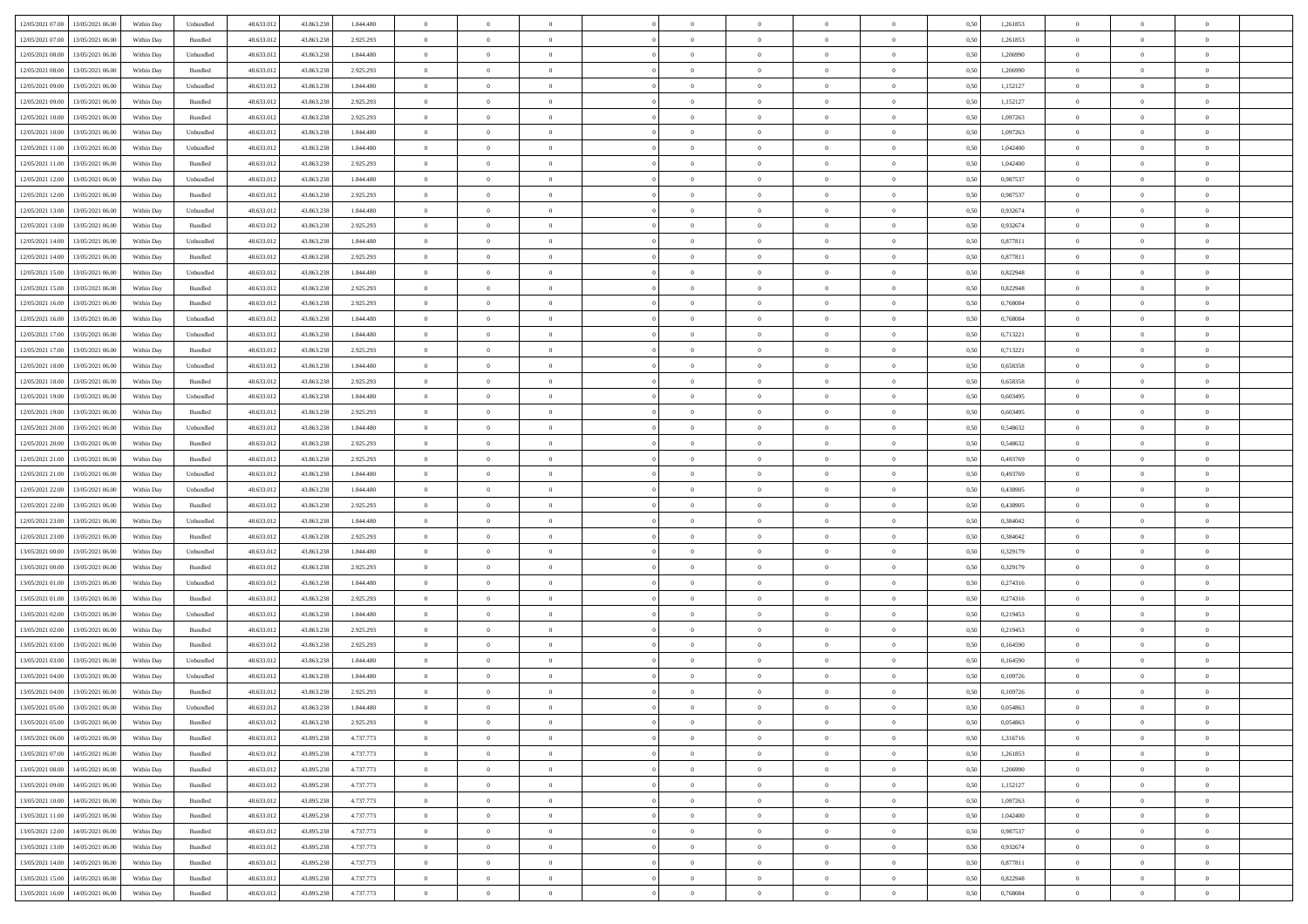| 12/05/2021 07:00 13/05/2021 06:00            | Within Day | Unbundled                   | 48.633.01  | 43.863.238 | 1.844.480 | $\overline{0}$ | $\overline{0}$ |                | $\overline{0}$ | $\theta$       |                | $\theta$       | 0,50 | 1,261853 | $\theta$       | $\theta$       | $\overline{0}$ |  |
|----------------------------------------------|------------|-----------------------------|------------|------------|-----------|----------------|----------------|----------------|----------------|----------------|----------------|----------------|------|----------|----------------|----------------|----------------|--|
| 12/05/2021 07:00<br>13/05/2021 06:00         | Within Day | Bundled                     | 48.633.01  | 43.863.23  | 2.925.293 | $\bf{0}$       | $\bf{0}$       | $\bf{0}$       | $\bf{0}$       | $\overline{0}$ | $\overline{0}$ | $\bf{0}$       | 0,50 | 1,261853 | $\,$ 0 $\,$    | $\bf{0}$       | $\overline{0}$ |  |
| 12/05/2021 08:00<br>13/05/2021 06:00         | Within Day | Unbundled                   | 48.633.012 | 43.863.238 | 1.844,480 | $\overline{0}$ | $\bf{0}$       | $\overline{0}$ | $\bf{0}$       | $\bf{0}$       | $\overline{0}$ | $\bf{0}$       | 0.50 | 1,206990 | $\bf{0}$       | $\overline{0}$ | $\overline{0}$ |  |
| 12/05/2021 08:00<br>13/05/2021 06:00         |            |                             | 48.633.01  |            |           | $\overline{0}$ | $\overline{0}$ | $\overline{0}$ | $\overline{0}$ | $\theta$       | $\overline{0}$ |                |      |          | $\,$ 0 $\,$    | $\,$ 0 $\,$    | $\overline{0}$ |  |
|                                              | Within Day | Bundled                     |            | 43.863.238 | 2.925.293 |                |                |                |                |                |                | $\bf{0}$       | 0,50 | 1,206990 |                |                |                |  |
| 12/05/2021 09:00<br>13/05/2021 06:00         | Within Day | Unbundled                   | 48.633.01  | 43.863.238 | 1.844.480 | $\bf{0}$       | $\overline{0}$ | $\bf{0}$       | $\overline{0}$ | $\bf{0}$       | $\overline{0}$ | $\bf{0}$       | 0,50 | 1,152127 | $\,$ 0 $\,$    | $\bf{0}$       | $\overline{0}$ |  |
| 12/05/2021 09:00<br>13/05/2021 06:00         | Within Day | Bundled                     | 48.633.013 | 43,863,238 | 2.925.293 | $\overline{0}$ | $\bf{0}$       | $\overline{0}$ | $\bf{0}$       | $\overline{0}$ | $\overline{0}$ | $\bf{0}$       | 0.50 | 1,152127 | $\bf{0}$       | $\theta$       | $\overline{0}$ |  |
| 12/05/2021 10:00<br>13/05/2021 06:00         | Within Day | Bundled                     | 48.633.013 | 43.863.238 | 2.925.293 | $\overline{0}$ | $\overline{0}$ | $\overline{0}$ | $\overline{0}$ | $\overline{0}$ | $\overline{0}$ | $\bf{0}$       | 0,50 | 1,097263 | $\,$ 0 $\,$    | $\theta$       | $\overline{0}$ |  |
|                                              |            |                             |            |            |           |                |                |                |                |                |                |                |      |          |                |                |                |  |
| 12/05/2021 10:00<br>13/05/2021 06:00         | Within Day | Unbundled                   | 48.633.01  | 43.863.23  | 1.844.480 | $\bf{0}$       | $\bf{0}$       | $\bf{0}$       | $\overline{0}$ | $\overline{0}$ | $\overline{0}$ | $\bf{0}$       | 0,50 | 1,097263 | $\,$ 0 $\,$    | $\bf{0}$       | $\overline{0}$ |  |
| 12/05/2021 11:00<br>13/05/2021 06:00         | Within Day | Unbundled                   | 48.633.013 | 43,863,238 | 1.844,480 | $\overline{0}$ | $\bf{0}$       | $\overline{0}$ | $\bf{0}$       | $\overline{0}$ | $\overline{0}$ | $\bf{0}$       | 0.50 | 1.042400 | $\bf{0}$       | $\overline{0}$ | $\overline{0}$ |  |
| 12/05/2021 11:00<br>13/05/2021 06:00         | Within Day | Bundled                     | 48.633.013 | 43.863.238 | 2.925.293 | $\bf{0}$       | $\bf{0}$       | $\overline{0}$ | $\overline{0}$ | $\overline{0}$ | $\overline{0}$ | $\bf{0}$       | 0,50 | 1,042400 | $\,$ 0 $\,$    | $\,$ 0 $\,$    | $\overline{0}$ |  |
| 12/05/2021 12:00<br>13/05/2021 06:00         | Within Day | Unbundled                   | 48.633.01  | 43.863.238 | 1.844.480 | $\bf{0}$       | $\bf{0}$       | $\bf{0}$       | $\bf{0}$       | $\overline{0}$ | $\overline{0}$ | $\bf{0}$       | 0,50 | 0,987537 | $\,$ 0 $\,$    | $\bf{0}$       | $\overline{0}$ |  |
|                                              |            |                             |            |            |           |                |                |                |                |                |                |                |      |          |                |                |                |  |
| 12/05/2021 12:00<br>13/05/2021 06:00         | Within Day | Bundled                     | 48.633.013 | 43.863.238 | 2.925.293 | $\overline{0}$ | $\bf{0}$       | $\overline{0}$ | $\overline{0}$ | $\bf{0}$       | $\overline{0}$ | $\bf{0}$       | 0.50 | 0.987537 | $\bf{0}$       | $\,$ 0 $\,$    | $\,$ 0         |  |
| 12/05/2021 13:00<br>13/05/2021 06:00         | Within Day | Unbundled                   | 48.633.01  | 43.863.238 | 1.844.480 | $\overline{0}$ | $\bf{0}$       | $\overline{0}$ | $\theta$       | $\theta$       | $\overline{0}$ | $\bf{0}$       | 0,50 | 0,932674 | $\,$ 0 $\,$    | $\,$ 0 $\,$    | $\overline{0}$ |  |
| 12/05/2021 13:00<br>13/05/2021 06:00         | Within Day | Bundled                     | 48.633.01  | 43.863.23  | 2.925.293 | $\bf{0}$       | $\overline{0}$ | $\bf{0}$       | $\bf{0}$       | $\bf{0}$       | $\overline{0}$ | $\bf{0}$       | 0,50 | 0,932674 | $\,$ 0 $\,$    | $\bf{0}$       | $\overline{0}$ |  |
|                                              |            |                             |            |            |           |                |                |                |                |                |                |                |      |          |                |                |                |  |
| 12/05/2021 14:00<br>13/05/2021 06:00         | Within Day | Unbundled                   | 48.633.013 | 43,863,238 | 1.844.480 | $\overline{0}$ | $\bf{0}$       | $\overline{0}$ | $\bf{0}$       | $\overline{0}$ | $\overline{0}$ | $\bf{0}$       | 0.50 | 0.877811 | $\,$ 0 $\,$    | $\bf{0}$       | $\overline{0}$ |  |
| 12/05/2021 14:00<br>13/05/2021 06:00         | Within Day | Bundled                     | 48.633.013 | 43.863.238 | 2.925.293 | $\overline{0}$ | $\overline{0}$ | $\overline{0}$ | $\overline{0}$ | $\overline{0}$ | $\overline{0}$ | $\bf{0}$       | 0,50 | 0,877811 | $\theta$       | $\theta$       | $\overline{0}$ |  |
| 12/05/2021 15:00<br>13/05/2021 06:00         | Within Day | Unbundled                   | 48.633.01  | 43.863.23  | 1.844.480 | $\bf{0}$       | $\bf{0}$       | $\bf{0}$       | $\overline{0}$ | $\overline{0}$ | $\overline{0}$ | $\bf{0}$       | 0,50 | 0,822948 | $\,$ 0 $\,$    | $\bf{0}$       | $\overline{0}$ |  |
| 12/05/2021 15:00<br>13/05/2021 06:00         | Within Day | Bundled                     | 48.633.013 | 43,863,238 | 2.925.293 | $\overline{0}$ | $\bf{0}$       | $\overline{0}$ | $\bf{0}$       | $\overline{0}$ | $\overline{0}$ | $\bf{0}$       | 0.50 | 0.822948 | $\bf{0}$       | $\overline{0}$ | $\overline{0}$ |  |
|                                              |            |                             |            |            |           |                |                | $\overline{0}$ | $\overline{0}$ | $\overline{0}$ | $\overline{0}$ |                |      |          | $\,$ 0 $\,$    |                |                |  |
| 12/05/2021 16:00<br>13/05/2021 06:00         | Within Day | Bundled                     | 48.633.013 | 43.863.238 | 2.925.293 | $\bf{0}$       | $\bf{0}$       |                |                |                |                | $\bf{0}$       | 0,50 | 0,768084 |                | $\bf{0}$       | $\overline{0}$ |  |
| 12/05/2021 16:00<br>13/05/2021 06:00         | Within Day | Unbundled                   | 48.633.01  | 43.863.238 | 1.844.480 | $\bf{0}$       | $\bf{0}$       | $\bf{0}$       | $\bf{0}$       | $\overline{0}$ | $\overline{0}$ | $\bf{0}$       | 0,50 | 0,768084 | $\,$ 0 $\,$    | $\bf{0}$       | $\overline{0}$ |  |
| 12/05/2021 17:00<br>13/05/2021 06:00         | Within Day | Unbundled                   | 48.633.013 | 43.863.238 | 1.844,480 | $\overline{0}$ | $\bf{0}$       | $\overline{0}$ | $\overline{0}$ | $\bf{0}$       | $\overline{0}$ | $\bf{0}$       | 0.50 | 0,713221 | $\,$ 0 $\,$    | $\overline{0}$ | $\,$ 0         |  |
| 12/05/2021 17:00<br>13/05/2021 06:00         | Within Day | Bundled                     | 48.633.01  | 43.863.238 | 2.925.293 | $\overline{0}$ | $\overline{0}$ | $\overline{0}$ | $\overline{0}$ | $\theta$       | $\overline{0}$ | $\bf{0}$       | 0,50 | 0,713221 | $\,$ 0 $\,$    | $\theta$       | $\overline{0}$ |  |
|                                              |            |                             |            |            |           |                | $\bf{0}$       |                |                | $\overline{0}$ | $\overline{0}$ |                |      |          | $\,$ 0 $\,$    | $\bf{0}$       | $\overline{0}$ |  |
| 12/05/2021 18:00<br>13/05/2021 06:00         | Within Day | Unbundled                   | 48.633.01  | 43.863.238 | 1.844.480 | $\bf{0}$       |                | $\bf{0}$       | $\bf{0}$       |                |                | $\bf{0}$       | 0,50 | 0,658358 |                |                |                |  |
| 12/05/2021 18:00<br>13/05/2021 06:00         | Within Day | Bundled                     | 48.633.013 | 43,863,238 | 2.925.293 | $\overline{0}$ | $\bf{0}$       | $\overline{0}$ | $\bf{0}$       | $\overline{0}$ | $\overline{0}$ | $\bf{0}$       | 0.50 | 0.658358 | $\,$ 0 $\,$    | $\theta$       | $\overline{0}$ |  |
| 12/05/2021 19:00<br>13/05/2021 06:00         | Within Day | Unbundled                   | 48.633.013 | 43.863.238 | 1.844.480 | $\overline{0}$ | $\overline{0}$ | $\overline{0}$ | $\overline{0}$ | $\overline{0}$ | $\overline{0}$ | $\bf{0}$       | 0,50 | 0,603495 | $\,$ 0 $\,$    | $\theta$       | $\overline{0}$ |  |
| 12/05/2021 19:00<br>13/05/2021 06:00         | Within Day | Bundled                     | 48.633.01  | 43.863.23  | 2.925.293 | $\bf{0}$       | $\overline{0}$ | $\bf{0}$       | $\overline{0}$ | $\bf{0}$       | $\overline{0}$ | $\bf{0}$       | 0,50 | 0,603495 | $\,$ 0 $\,$    | $\bf{0}$       | $\overline{0}$ |  |
| 12/05/2021 20:00<br>13/05/2021 06:00         | Within Day | Unbundled                   | 48.633.013 | 43.863.23  | 1.844.480 | $\overline{0}$ | $\bf{0}$       | $\overline{0}$ | $\bf{0}$       | $\overline{0}$ | $\overline{0}$ | $\bf{0}$       | 0.50 | 0.548632 | $\bf{0}$       | $\overline{0}$ | $\overline{0}$ |  |
|                                              |            |                             |            |            |           |                |                |                |                |                |                |                |      |          |                |                |                |  |
| 12/05/2021 20:00<br>13/05/2021 06:00         | Within Day | Bundled                     | 48.633.01  | 43.863.238 | 2.925.293 | $\overline{0}$ | $\bf{0}$       | $\overline{0}$ | $\overline{0}$ | $\overline{0}$ | $\overline{0}$ | $\bf{0}$       | 0,50 | 0,548632 | $\,$ 0 $\,$    | $\bf{0}$       | $\overline{0}$ |  |
| 12/05/2021 21:00<br>13/05/2021 06:00         | Within Day | Bundled                     | 48.633.01  | 43.863.238 | 2.925.293 | $\bf{0}$       | $\bf{0}$       | $\bf{0}$       | $\bf{0}$       | $\overline{0}$ | $\bf{0}$       | $\bf{0}$       | 0,50 | 0,493769 | $\,$ 0 $\,$    | $\bf{0}$       | $\overline{0}$ |  |
| 12/05/2021 21:00<br>13/05/2021 06:00         | Within Day | Unbundled                   | 48.633.013 | 43,863,238 | 1.844,480 | $\overline{0}$ | $\bf{0}$       | $\overline{0}$ | $\overline{0}$ | $\bf{0}$       | $\overline{0}$ | $\bf{0}$       | 0.50 | 0.493769 | $\bf{0}$       | $\,$ 0 $\,$    | $\,$ 0         |  |
| 12/05/2021 22:00<br>13/05/2021 06:00         | Within Day | Unbundled                   | 48.633.013 | 43.863.238 | 1.844.480 | $\overline{0}$ | $\overline{0}$ | $\overline{0}$ | $\overline{0}$ | $\overline{0}$ | $\overline{0}$ | $\bf{0}$       | 0.5( | 0,438905 | $\theta$       | $\theta$       | $\overline{0}$ |  |
|                                              |            |                             |            |            |           |                |                |                |                |                |                |                |      |          |                |                |                |  |
| 12/05/2021 22:00<br>13/05/2021 06:00         | Within Day | Bundled                     | 48.633.01  | 43.863.23  | 2.925.293 | $\bf{0}$       | $\bf{0}$       | $\bf{0}$       | $\bf{0}$       | $\overline{0}$ | $\overline{0}$ | $\bf{0}$       | 0,50 | 0,438905 | $\,$ 0 $\,$    | $\bf{0}$       | $\overline{0}$ |  |
| 12/05/2021 23:00<br>13/05/2021 06:00         | Within Day | Unbundled                   | 48.633.013 | 43,863,238 | 1,844,480 | $\overline{0}$ | $\bf{0}$       | $\overline{0}$ | $\bf{0}$       | $\overline{0}$ | $\overline{0}$ | $\bf{0}$       | 0.50 | 0.384042 | $\,$ 0 $\,$    | $\bf{0}$       | $\overline{0}$ |  |
| 12/05/2021 23:00<br>13/05/2021 06:00         | Within Dav | Bundled                     | 48.633.013 | 43.863.238 | 2.925.293 | $\overline{0}$ | $\overline{0}$ | $\overline{0}$ | $\overline{0}$ | $\overline{0}$ | $\overline{0}$ | $\bf{0}$       | 0.50 | 0,384042 | $\theta$       | $\theta$       | $\overline{0}$ |  |
| 13/05/2021 00:00<br>13/05/2021 06:00         | Within Day | Unbundled                   | 48.633.01  | 43.863.238 | 1.844.480 | $\bf{0}$       | $\bf{0}$       | $\bf{0}$       | $\bf{0}$       | $\overline{0}$ | $\overline{0}$ | $\bf{0}$       | 0,50 | 0,329179 | $\,$ 0 $\,$    | $\bf{0}$       | $\overline{0}$ |  |
| 13/05/2021 00:00<br>13/05/2021 06:00         | Within Day | Bundled                     | 48.633.013 | 43,863,238 | 2.925.293 | $\overline{0}$ | $\bf{0}$       | $\overline{0}$ | $\bf{0}$       | $\overline{0}$ | $\overline{0}$ | $\bf{0}$       | 0.50 | 0,329179 | $\bf{0}$       | $\overline{0}$ | $\overline{0}$ |  |
|                                              |            |                             |            |            |           |                |                |                |                |                |                |                |      |          |                |                |                |  |
| 13/05/2021 01:00<br>13/05/2021 06:00         | Within Day | Unbundled                   | 48.633.013 | 43.863.238 | 1.844,480 | $\overline{0}$ | $\overline{0}$ | $\overline{0}$ | $\overline{0}$ | $\overline{0}$ | $\overline{0}$ | $\bf{0}$       | 0.50 | 0,274316 | $\theta$       | $\theta$       | $\overline{0}$ |  |
| 13/05/2021 01:00<br>13/05/2021 06:00         | Within Day | Bundled                     | 48.633.01  | 43.863.238 | 2.925.293 | $\bf{0}$       | $\bf{0}$       | $\bf{0}$       | $\bf{0}$       | $\overline{0}$ | $\bf{0}$       | $\bf{0}$       | 0,50 | 0,274316 | $\,$ 0 $\,$    | $\bf{0}$       | $\overline{0}$ |  |
| 13/05/2021 02:00<br>13/05/2021 06:00         | Within Day | Unbundled                   | 48.633.013 | 43.863.238 | 1.844,480 | $\overline{0}$ | $\bf{0}$       | $\overline{0}$ | $\overline{0}$ | $\bf{0}$       | $\overline{0}$ | $\bf{0}$       | 0.50 | 0,219453 | $\,$ 0 $\,$    | $\overline{0}$ | $\overline{0}$ |  |
| 13/05/2021 02:00<br>13/05/2021 06:00         | Within Dav | Bundled                     | 48.633.013 | 43.863.238 | 2.925.293 | $\overline{0}$ | $\overline{0}$ | $\overline{0}$ | $\overline{0}$ | $\overline{0}$ | $\overline{0}$ | $\bf{0}$       | 0.50 | 0,219453 | $\theta$       | $\theta$       | $\overline{0}$ |  |
|                                              |            |                             |            |            |           |                |                |                |                |                |                |                |      |          |                |                |                |  |
| 13/05/2021 03:00<br>13/05/2021 06:00         | Within Day | Bundled                     | 48.633.01  | 43.863.238 | 2.925.293 | $\bf{0}$       | $\bf{0}$       | $\bf{0}$       | $\overline{0}$ | $\overline{0}$ | $\overline{0}$ | $\bf{0}$       | 0,50 | 0,164590 | $\,$ 0 $\,$    | $\bf{0}$       | $\overline{0}$ |  |
| 13/05/2021 03:00<br>13/05/2021 06:00         | Within Day | Unbundled                   | 48.633.013 | 43,863,238 | 1.844,480 | $\overline{0}$ | $\overline{0}$ | $\overline{0}$ | $\bf{0}$       | $\bf{0}$       | $\overline{0}$ | $\bf{0}$       | 0.50 | 0.164590 | $\bf{0}$       | $\bf{0}$       | $\overline{0}$ |  |
| 13/05/2021 04:00<br>13/05/2021 06:00         | Within Dav | Unbundled                   | 48.633.013 | 43.863.238 | 1.844.480 | $\overline{0}$ | $\overline{0}$ | $\overline{0}$ | $\theta$       | $\theta$       | $\overline{0}$ | $\overline{0}$ | 0.5( | 0,109726 | $\theta$       | $\theta$       | $\overline{0}$ |  |
| 13/05/2021 04:00<br>13/05/2021 06:00         | Within Day | Bundled                     | 48.633.01  | 43.863.238 | 2.925.293 | $\bf{0}$       | $\bf{0}$       | $\bf{0}$       | $\bf{0}$       | $\bf{0}$       | $\overline{0}$ | $\bf{0}$       | 0,50 | 0,109726 | $\,$ 0 $\,$    | $\bf{0}$       | $\overline{0}$ |  |
| $13/05/2021\;05.00 \qquad 13/05/2021\;06.00$ |            |                             |            |            | 1.844.480 |                |                |                | $\Omega$       |                |                |                | 0,50 | 0.054863 |                |                |                |  |
|                                              | Within Day | $\ensuremath{\mathsf{Unb}}$ | 48.633.012 | 43.863.238 |           | $\bf{0}$       | $\theta$       |                |                |                |                |                |      |          | $\theta$       | $\overline{0}$ |                |  |
| 13/05/2021 05:00 13/05/2021 06:00            | Within Day | Bundled                     | 48.633.012 | 43.863.238 | 2.925.293 | $\overline{0}$ | $\overline{0}$ | $\Omega$       | $\overline{0}$ | $\overline{0}$ | $\overline{0}$ | $\bf{0}$       | 0,50 | 0,054863 | $\theta$       | $\overline{0}$ | $\overline{0}$ |  |
| 13/05/2021 06:00<br>14/05/2021 06:00         | Within Day | Bundled                     | 48.633.013 | 43.895.238 | 4.737.773 | $\overline{0}$ | $\bf{0}$       | $\overline{0}$ | $\overline{0}$ | $\bf{0}$       | $\overline{0}$ | $\bf{0}$       | 0,50 | 1,316716 | $\overline{0}$ | $\overline{0}$ | $\bf{0}$       |  |
| 13/05/2021 07:00 14/05/2021 06:00            | Within Day | Bundled                     | 48.633.012 | 43.895.238 | 4.737.773 | $\overline{0}$ | $\overline{0}$ | $\overline{0}$ | $\overline{0}$ | $\mathbf{0}$   | $\overline{0}$ | $\,$ 0 $\,$    | 0.50 | 1.261853 | $\overline{0}$ | $\bf{0}$       | $\overline{0}$ |  |
| 13/05/2021 08:00 14/05/2021 06:00            | Within Day | Bundled                     | 48.633.012 | 43.895.238 | 4.737.773 | $\overline{0}$ | $\overline{0}$ | $\overline{0}$ | $\overline{0}$ | $\overline{0}$ | $\overline{0}$ | $\bf{0}$       | 0,50 | 1,206990 | $\overline{0}$ | $\theta$       | $\overline{0}$ |  |
|                                              |            |                             |            |            |           |                |                |                |                |                |                |                |      |          |                |                |                |  |
| 13/05/2021 09:00<br>14/05/2021 06:00         | Within Day | Bundled                     | 48.633.012 | 43.895.238 | 4.737.773 | $\overline{0}$ | $\bf{0}$       | $\overline{0}$ | $\overline{0}$ | $\bf{0}$       | $\overline{0}$ | $\bf{0}$       | 0,50 | 1,152127 | $\bf{0}$       | $\overline{0}$ | $\overline{0}$ |  |
| 13/05/2021 10:00<br>14/05/2021 06:00         | Within Day | Bundled                     | 48.633.012 | 43.895.238 | 4.737.773 | $\overline{0}$ | $\bf{0}$       | $\overline{0}$ | $\overline{0}$ | $\bf{0}$       | $\overline{0}$ | $\bf{0}$       | 0.50 | 1.097263 | $\,$ 0 $\,$    | $\overline{0}$ | $\,$ 0         |  |
| 13/05/2021 11:00<br>14/05/2021 06:00         | Within Dav | Bundled                     | 48.633.012 | 43.895.238 | 4.737.773 | $\overline{0}$ | $\overline{0}$ | $\overline{0}$ | $\overline{0}$ | $\overline{0}$ | $\overline{0}$ | $\bf{0}$       | 0,50 | 1,042400 | $\overline{0}$ | $\theta$       | $\overline{0}$ |  |
| 13/05/2021 12:00<br>14/05/2021 06:00         | Within Day | Bundled                     | 48.633.013 | 43.895.238 | 4.737.773 | $\overline{0}$ | $\overline{0}$ | $\overline{0}$ | $\overline{0}$ | $\overline{0}$ | $\overline{0}$ | $\bf{0}$       | 0,50 | 0,987537 | $\bf{0}$       | $\overline{0}$ | $\,$ 0         |  |
|                                              |            |                             |            |            |           |                |                |                |                |                |                |                |      |          |                |                |                |  |
| 13/05/2021 13:00<br>14/05/2021 06:00         | Within Day | Bundled                     | 48.633.012 | 43,895.238 | 4.737.773 | $\overline{0}$ | $\overline{0}$ | $\overline{0}$ | $\overline{0}$ | $\overline{0}$ | $\overline{0}$ | $\bf{0}$       | 0.50 | 0.932674 | $\mathbf{0}$   | $\bf{0}$       | $\,$ 0         |  |
| 13/05/2021 14:00<br>14/05/2021 06:00         | Within Dav | Bundled                     | 48.633.012 | 43.895.238 | 4.737.773 | $\overline{0}$ | $\overline{0}$ | $\overline{0}$ | $\overline{0}$ | $\overline{0}$ | $\overline{0}$ | $\bf{0}$       | 0,50 | 0,877811 | $\overline{0}$ | $\theta$       | $\overline{0}$ |  |
| 13/05/2021 15:00<br>14/05/2021 06:00         | Within Day | Bundled                     | 48.633.013 | 43.895.238 | 4.737.773 | $\overline{0}$ | $\bf{0}$       | $\overline{0}$ | $\overline{0}$ | $\overline{0}$ | $\overline{0}$ | $\bf{0}$       | 0,50 | 0,822948 | $\bf{0}$       | $\overline{0}$ | $\bf{0}$       |  |
| 13/05/2021 16:00 14/05/2021 06:00            |            | Bundled                     | 48.633.012 |            | 4.737.773 | $\,$ 0 $\,$    | $\bf{0}$       | $\overline{0}$ |                | $\,$ 0 $\,$    | $\overline{0}$ | $\bf{0}$       | 0,50 | 0,768084 | $\overline{0}$ | $\,$ 0 $\,$    | $\,$ 0 $\,$    |  |
|                                              | Within Day |                             |            | 43.895.238 |           |                |                |                | $\overline{0}$ |                |                |                |      |          |                |                |                |  |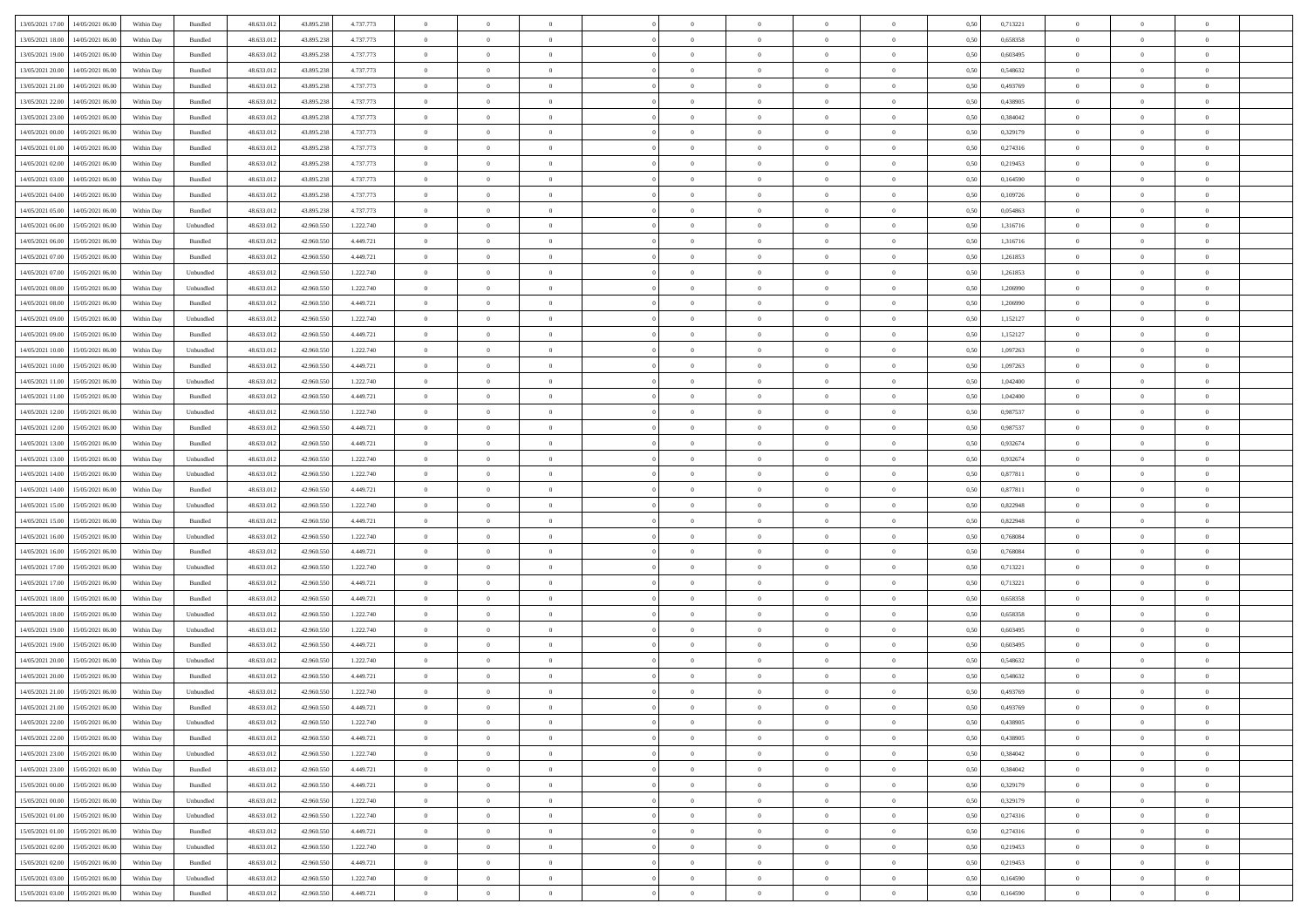|                                            |            |           |            |            |           | $\overline{0}$ | $\overline{0}$ |                | $\overline{0}$ | $\theta$       |                | $\theta$       |      |          | $\theta$       | $\theta$       | $\overline{0}$ |  |
|--------------------------------------------|------------|-----------|------------|------------|-----------|----------------|----------------|----------------|----------------|----------------|----------------|----------------|------|----------|----------------|----------------|----------------|--|
| 13/05/2021 17:00 14/05/2021 06:00          | Within Day | Bundled   | 48.633.01  | 43.895.238 | 4.737.773 |                |                |                |                |                |                |                | 0,50 | 0,713221 |                |                |                |  |
| 13/05/2021 18:00<br>14/05/2021 06:00       | Within Day | Bundled   | 48.633.01  | 43.895.23  | 4.737.773 | $\bf{0}$       | $\bf{0}$       | $\bf{0}$       | $\bf{0}$       | $\overline{0}$ | $\overline{0}$ | $\bf{0}$       | 0,50 | 0,658358 | $\,$ 0 $\,$    | $\bf{0}$       | $\overline{0}$ |  |
| 13/05/2021 19:00<br>14/05/2021 06:00       | Within Day | Bundled   | 48.633.012 | 43.895.238 | 4.737.773 | $\overline{0}$ | $\bf{0}$       | $\overline{0}$ | $\bf{0}$       | $\bf{0}$       | $\overline{0}$ | $\bf{0}$       | 0.50 | 0.603495 | $\bf{0}$       | $\overline{0}$ | $\bf{0}$       |  |
| 13/05/2021 20:00<br>14/05/2021 06:00       | Within Day | Bundled   | 48.633.013 | 43.895.238 | 4.737.773 | $\overline{0}$ | $\overline{0}$ | $\overline{0}$ | $\overline{0}$ | $\theta$       | $\overline{0}$ | $\bf{0}$       | 0,50 | 0,548632 | $\theta$       | $\,$ 0 $\,$    | $\overline{0}$ |  |
| 13/05/2021 21:00<br>14/05/2021 06:00       | Within Day | Bundled   | 48.633.01  | 43.895.238 | 4.737.773 | $\bf{0}$       | $\overline{0}$ | $\bf{0}$       | $\overline{0}$ | $\bf{0}$       | $\overline{0}$ | $\bf{0}$       | 0,50 | 0,493769 | $\,$ 0 $\,$    | $\bf{0}$       | $\overline{0}$ |  |
|                                            |            |           |            |            |           |                |                |                |                |                |                |                |      |          |                |                |                |  |
| 13/05/2021 22:00<br>14/05/2021 06:00       | Within Day | Bundled   | 48.633.013 | 43.895.238 | 4.737.773 | $\overline{0}$ | $\bf{0}$       | $\overline{0}$ | $\bf{0}$       | $\overline{0}$ | $\overline{0}$ | $\bf{0}$       | 0.50 | 0.438905 | $\,$ 0 $\,$    | $\theta$       | $\overline{0}$ |  |
| 13/05/2021 23:00<br>14/05/2021 06:00       | Within Day | Bundled   | 48.633.013 | 43.895.238 | 4.737.773 | $\overline{0}$ | $\overline{0}$ | $\overline{0}$ | $\overline{0}$ | $\overline{0}$ | $\overline{0}$ | $\bf{0}$       | 0,50 | 0,384042 | $\,$ 0 $\,$    | $\theta$       | $\overline{0}$ |  |
| 14/05/2021 00:00<br>14/05/2021 06.00       | Within Day | Bundled   | 48.633.01  | 43.895.23  | 4.737.773 | $\bf{0}$       | $\bf{0}$       | $\bf{0}$       | $\overline{0}$ | $\overline{0}$ | $\overline{0}$ | $\bf{0}$       | 0,50 | 0,329179 | $\,$ 0 $\,$    | $\bf{0}$       | $\overline{0}$ |  |
| 14/05/2021 01:00<br>14/05/2021 06:00       | Within Day | Bundled   | 48.633.013 | 43.895.238 | 4.737.773 | $\overline{0}$ | $\bf{0}$       | $\overline{0}$ | $\bf{0}$       | $\overline{0}$ | $\overline{0}$ | $\bf{0}$       | 0.50 | 0,274316 | $\bf{0}$       | $\overline{0}$ | $\overline{0}$ |  |
| 14/05/2021 02:00<br>14/05/2021 06:00       | Within Day | Bundled   | 48.633.013 | 43.895.238 | 4.737.773 | $\bf{0}$       | $\bf{0}$       | $\overline{0}$ | $\overline{0}$ | $\overline{0}$ | $\overline{0}$ | $\bf{0}$       | 0,50 | 0,219453 | $\,$ 0 $\,$    | $\,$ 0 $\,$    | $\overline{0}$ |  |
| 14/05/2021 03:00<br>14/05/2021 06:00       | Within Day | Bundled   | 48.633.01  | 43.895.238 | 4.737.773 | $\bf{0}$       | $\bf{0}$       | $\bf{0}$       | $\bf{0}$       | $\overline{0}$ | $\overline{0}$ | $\bf{0}$       | 0,50 | 0,164590 | $\,$ 0 $\,$    | $\bf{0}$       | $\overline{0}$ |  |
| 14/05/2021 04:00<br>14/05/2021 06:00       | Within Day | Bundled   | 48.633.013 | 43.895.238 | 4.737.773 | $\overline{0}$ | $\bf{0}$       | $\overline{0}$ | $\overline{0}$ | $\overline{0}$ | $\overline{0}$ | $\bf{0}$       | 0.50 | 0.109726 | $\bf{0}$       | $\,$ 0 $\,$    | $\,$ 0         |  |
|                                            |            |           |            |            |           | $\overline{0}$ |                | $\overline{0}$ | $\theta$       | $\theta$       | $\overline{0}$ |                |      |          | $\,$ 0 $\,$    | $\,$ 0 $\,$    |                |  |
| 14/05/2021 05:00<br>14/05/2021 06:00       | Within Day | Bundled   | 48.633.01  | 43.895.238 | 4.737.773 |                | $\bf{0}$       |                |                |                |                | $\bf{0}$       | 0,50 | 0,054863 |                |                | $\overline{0}$ |  |
| 14/05/2021 06:00<br>15/05/2021 06:00       | Within Day | Unbundled | 48.633.01  | 42.960.55  | 1.222.740 | $\bf{0}$       | $\overline{0}$ | $\bf{0}$       | $\bf{0}$       | $\bf{0}$       | $\overline{0}$ | $\bf{0}$       | 0,50 | 1,316716 | $\,$ 0 $\,$    | $\bf{0}$       | $\overline{0}$ |  |
| 14/05/2021 06:00<br>15/05/2021 06:00       | Within Day | Bundled   | 48.633.013 | 42,960,550 | 4.449.721 | $\overline{0}$ | $\bf{0}$       | $\overline{0}$ | $\bf{0}$       | $\overline{0}$ | $\overline{0}$ | $\bf{0}$       | 0.50 | 1.316716 | $\,$ 0 $\,$    | $\bf{0}$       | $\overline{0}$ |  |
| 14/05/2021 07:00<br>15/05/2021 06:00       | Within Day | Bundled   | 48.633.013 | 42.960.550 | 4.449.721 | $\overline{0}$ | $\overline{0}$ | $\overline{0}$ | $\overline{0}$ | $\overline{0}$ | $\overline{0}$ | $\bf{0}$       | 0,50 | 1,261853 | $\theta$       | $\theta$       | $\overline{0}$ |  |
| 14/05/2021 07:00<br>15/05/2021 06:00       | Within Day | Unbundled | 48.633.01  | 42.960.550 | 1.222.740 | $\bf{0}$       | $\bf{0}$       | $\bf{0}$       | $\overline{0}$ | $\overline{0}$ | $\overline{0}$ | $\bf{0}$       | 0,50 | 1,261853 | $\,$ 0 $\,$    | $\bf{0}$       | $\overline{0}$ |  |
| 14/05/2021 08:00<br>15/05/2021 06:00       | Within Day | Unbundled | 48.633.013 | 42,960,550 | 1.222.740 | $\overline{0}$ | $\bf{0}$       | $\overline{0}$ | $\bf{0}$       | $\overline{0}$ | $\overline{0}$ | $\bf{0}$       | 0.50 | 1.206990 | $\bf{0}$       | $\overline{0}$ | $\bf{0}$       |  |
| 14/05/2021 08:00<br>15/05/2021 06:00       | Within Day | Bundled   | 48.633.013 | 42.960.550 | 4.449.721 | $\bf{0}$       | $\bf{0}$       | $\overline{0}$ | $\overline{0}$ | $\overline{0}$ | $\overline{0}$ | $\bf{0}$       | 0,50 | 1,206990 | $\,$ 0 $\,$    | $\bf{0}$       | $\overline{0}$ |  |
| 14/05/2021 09:00<br>15/05/2021 06:00       | Within Day | Unbundled | 48.633.01  | 42.960.55  | 1.222.740 | $\bf{0}$       | $\bf{0}$       | $\bf{0}$       | $\bf{0}$       | $\overline{0}$ | $\overline{0}$ | $\bf{0}$       | 0,50 | 1,152127 | $\,$ 0 $\,$    | $\bf{0}$       | $\overline{0}$ |  |
|                                            |            |           |            |            |           |                |                |                |                |                |                |                |      |          |                |                |                |  |
| 14/05/2021 09:00<br>15/05/2021 06:00       | Within Day | Bundled   | 48.633.013 | 42.960.550 | 4.449.721 | $\overline{0}$ | $\bf{0}$       | $\overline{0}$ | $\overline{0}$ | $\bf{0}$       | $\overline{0}$ | $\bf{0}$       | 0.50 | 1,152127 | $\bf{0}$       | $\overline{0}$ | $\,$ 0         |  |
| 14/05/2021 10:00<br>15/05/2021 06:00       | Within Day | Unbundled | 48.633.01  | 42.960.550 | 1.222.740 | $\overline{0}$ | $\overline{0}$ | $\overline{0}$ | $\overline{0}$ | $\theta$       | $\overline{0}$ | $\bf{0}$       | 0,50 | 1,097263 | $\theta$       | $\theta$       | $\overline{0}$ |  |
| 14/05/2021 10:00<br>15/05/2021 06:00       | Within Day | Bundled   | 48.633.01  | 42.960.550 | 4.449.721 | $\bf{0}$       | $\bf{0}$       | $\bf{0}$       | $\bf{0}$       | $\overline{0}$ | $\overline{0}$ | $\bf{0}$       | 0,50 | 1,097263 | $\,$ 0 $\,$    | $\bf{0}$       | $\overline{0}$ |  |
| 14/05/2021 11:00<br>15/05/2021 06:00       | Within Day | Unbundled | 48.633.013 | 42,960,550 | 1.222.740 | $\overline{0}$ | $\bf{0}$       | $\overline{0}$ | $\bf{0}$       | $\overline{0}$ | $\theta$       | $\bf{0}$       | 0.50 | 1.042400 | $\,$ 0 $\,$    | $\theta$       | $\overline{0}$ |  |
| 14/05/2021 11:00<br>15/05/2021 06:00       | Within Day | Bundled   | 48.633.013 | 42.960.550 | 4.449.721 | $\overline{0}$ | $\overline{0}$ | $\overline{0}$ | $\overline{0}$ | $\overline{0}$ | $\overline{0}$ | $\bf{0}$       | 0,50 | 1,042400 | $\,$ 0 $\,$    | $\theta$       | $\overline{0}$ |  |
| 14/05/2021 12:00<br>15/05/2021 06:00       | Within Day | Unbundled | 48.633.01  | 42.960.55  | 1.222.740 | $\bf{0}$       | $\overline{0}$ | $\bf{0}$       | $\overline{0}$ | $\bf{0}$       | $\overline{0}$ | $\bf{0}$       | 0,50 | 0,987537 | $\,$ 0 $\,$    | $\bf{0}$       | $\overline{0}$ |  |
| 14/05/2021 12:00<br>15/05/2021 06:00       | Within Day | Bundled   | 48.633.013 | 42,960,550 | 4.449.721 | $\overline{0}$ | $\bf{0}$       | $\overline{0}$ | $\bf{0}$       | $\overline{0}$ | $\overline{0}$ | $\bf{0}$       | 0.50 | 0.987537 | $\bf{0}$       | $\overline{0}$ | $\overline{0}$ |  |
| 14/05/2021 13:00<br>15/05/2021 06:00       | Within Day | Bundled   | 48.633.01  | 42.960.550 | 4.449.721 | $\overline{0}$ | $\bf{0}$       | $\overline{0}$ | $\overline{0}$ | $\overline{0}$ | $\overline{0}$ | $\bf{0}$       | 0,50 | 0,932674 | $\theta$       | $\bf{0}$       | $\overline{0}$ |  |
| 14/05/2021 13:00<br>15/05/2021 06:00       | Within Day | Unbundled | 48.633.01  | 42.960.550 | 1.222.740 | $\bf{0}$       | $\bf{0}$       | $\bf{0}$       | $\bf{0}$       | $\overline{0}$ | $\overline{0}$ | $\bf{0}$       | 0,50 | 0,932674 | $\,$ 0 $\,$    | $\bf{0}$       | $\overline{0}$ |  |
| 14/05/2021 14:00<br>15/05/2021 06:00       | Within Day | Unbundled | 48.633.013 | 42,960,550 | 1.222.740 | $\overline{0}$ | $\bf{0}$       | $\overline{0}$ | $\bf{0}$       | $\bf{0}$       | $\overline{0}$ | $\bf{0}$       | 0.50 | 0.877811 | $\bf{0}$       | $\,$ 0 $\,$    | $\,$ 0         |  |
|                                            |            |           |            |            |           |                |                |                |                |                |                |                |      |          |                |                |                |  |
| 14/05/2021 14:00<br>15/05/2021 06:00       | Within Day | Bundled   | 48.633.013 | 42.960.550 | 4.449.721 | $\overline{0}$ | $\overline{0}$ | $\overline{0}$ | $\overline{0}$ | $\overline{0}$ | $\overline{0}$ | $\bf{0}$       | 0.5( | 0,877811 | $\theta$       | $\theta$       | $\overline{0}$ |  |
| 14/05/2021 15:00<br>15/05/2021 06:00       | Within Day | Unbundled | 48.633.01  | 42.960.550 | 1.222.740 | $\bf{0}$       | $\bf{0}$       | $\bf{0}$       | $\bf{0}$       | $\overline{0}$ | $\overline{0}$ | $\bf{0}$       | 0,50 | 0,822948 | $\,$ 0 $\,$    | $\bf{0}$       | $\overline{0}$ |  |
| 14/05/2021 15:00<br>15/05/2021 06:00       | Within Day | Bundled   | 48.633.013 | 42,960,550 | 4.449.721 | $\overline{0}$ | $\bf{0}$       | $\overline{0}$ | $\bf{0}$       | $\overline{0}$ | $\overline{0}$ | $\bf{0}$       | 0.50 | 0,822948 | $\,$ 0 $\,$    | $\bf{0}$       | $\overline{0}$ |  |
| 14/05/2021 16:00<br>15/05/2021 06:00       | Within Dav | Unbundled | 48.633.013 | 42.960.550 | 1.222.740 | $\overline{0}$ | $\overline{0}$ | $\overline{0}$ | $\overline{0}$ | $\overline{0}$ | $\overline{0}$ | $\bf{0}$       | 0.50 | 0.768084 | $\theta$       | $\theta$       | $\overline{0}$ |  |
| 14/05/2021 16:00<br>15/05/2021 06:00       | Within Day | Bundled   | 48.633.01  | 42.960.55  | 4.449.721 | $\bf{0}$       | $\bf{0}$       | $\bf{0}$       | $\bf{0}$       | $\overline{0}$ | $\overline{0}$ | $\bf{0}$       | 0,50 | 0,768084 | $\,$ 0 $\,$    | $\bf{0}$       | $\overline{0}$ |  |
| 14/05/2021 17:00<br>15/05/2021 06:00       | Within Day | Unbundled | 48.633.013 | 42.960.550 | 1.222.740 | $\overline{0}$ | $\bf{0}$       | $\overline{0}$ | $\bf{0}$       | $\overline{0}$ | $\overline{0}$ | $\bf{0}$       | 0.50 | 0,713221 | $\bf{0}$       | $\overline{0}$ | $\overline{0}$ |  |
| 14/05/2021 17:00<br>15/05/2021 06:00       | Within Day | Bundled   | 48.633.013 | 42.960.550 | 4.449.721 | $\overline{0}$ | $\overline{0}$ | $\overline{0}$ | $\overline{0}$ | $\overline{0}$ | $\overline{0}$ | $\bf{0}$       | 0.50 | 0,713221 | $\theta$       | $\theta$       | $\overline{0}$ |  |
| 14/05/2021 18:00<br>15/05/2021 06:00       | Within Day | Bundled   | 48.633.01  | 42.960.55  | 4.449.721 | $\bf{0}$       | $\bf{0}$       | $\bf{0}$       | $\bf{0}$       | $\overline{0}$ | $\overline{0}$ | $\bf{0}$       | 0,50 | 0,658358 | $\,$ 0 $\,$    | $\bf{0}$       | $\overline{0}$ |  |
|                                            |            |           | 48.633.013 | 42.960.550 |           |                |                |                |                |                | $\overline{0}$ |                |      | 0.658358 |                | $\,$ 0 $\,$    | $\,$ 0         |  |
| 14/05/2021 18:00<br>15/05/2021 06:00       | Within Day | Unbundled |            |            | 1.222.740 | $\overline{0}$ | $\bf{0}$       | $\overline{0}$ | $\overline{0}$ | $\bf{0}$       |                | $\bf{0}$       | 0.50 |          | $\bf{0}$       |                |                |  |
| 14/05/2021 19:00<br>15/05/2021 06:00       | Within Day | Unbundled | 48.633.013 | 42.960.550 | 1.222.740 | $\overline{0}$ | $\overline{0}$ | $\overline{0}$ | $\overline{0}$ | $\overline{0}$ | $\overline{0}$ | $\bf{0}$       | 0.50 | 0.603495 | $\theta$       | $\theta$       | $\overline{0}$ |  |
| 14/05/2021 19:00<br>15/05/2021 06:00       | Within Day | Bundled   | 48.633.01  | 42.960.550 | 4.449.721 | $\bf{0}$       | $\bf{0}$       | $\bf{0}$       | $\bf{0}$       | $\overline{0}$ | $\overline{0}$ | $\bf{0}$       | 0,50 | 0,603495 | $\,$ 0 $\,$    | $\bf{0}$       | $\overline{0}$ |  |
| 14/05/2021 20:00<br>15/05/2021 06:00       | Within Day | Unbundled | 48.633.013 | 42.960.550 | 1.222.740 | $\overline{0}$ | $\overline{0}$ | $\overline{0}$ | $\bf{0}$       | $\overline{0}$ | $\overline{0}$ | $\bf{0}$       | 0.50 | 0.548632 | $\bf{0}$       | $\theta$       | $\overline{0}$ |  |
| 14/05/2021 20:00<br>15/05/2021 06:00       | Within Dav | Bundled   | 48.633.013 | 42.960.550 | 4.449.721 | $\overline{0}$ | $\overline{0}$ | $\overline{0}$ | $\overline{0}$ | $\theta$       | $\overline{0}$ | $\overline{0}$ | 0.5( | 0,548632 | $\theta$       | $\theta$       | $\overline{0}$ |  |
| 14/05/2021 21:00<br>15/05/2021 06:00       | Within Day | Unbundled | 48.633.01  | 42.960.550 | 1.222.740 | $\bf{0}$       | $\bf{0}$       | $\bf{0}$       | $\bf{0}$       | $\bf{0}$       | $\overline{0}$ | $\bf{0}$       | 0,50 | 0,493769 | $\overline{0}$ | $\bf{0}$       | $\overline{0}$ |  |
| $14/05/2021\;21.00\qquad15/05/2021\;06.00$ | Within Day | Bundled   | 48.633.012 | 42.960.550 | 4.449.721 | $\bf{0}$       | $\theta$       |                | $\Omega$       |                |                |                | 0,50 | 0.493769 | $\bf{0}$       | $\overline{0}$ |                |  |
| 14/05/2021 22:00 15/05/2021 06:00          | Within Day | Unbundled | 48.633.012 | 42.960.550 | 1.222.740 | $\overline{0}$ | $\overline{0}$ | $\Omega$       | $\theta$       | $\overline{0}$ | $\overline{0}$ | $\bf{0}$       | 0,50 | 0,438905 | $\theta$       | $\overline{0}$ | $\overline{0}$ |  |
| 14/05/2021 22:00<br>15/05/2021 06:00       | Within Day | Bundled   | 48.633.013 | 42.960.550 | 4.449.721 | $\overline{0}$ | $\bf{0}$       | $\overline{0}$ | $\overline{0}$ | $\bf{0}$       | $\overline{0}$ | $\bf{0}$       | 0,50 | 0,438905 | $\bf{0}$       | $\overline{0}$ | $\bf{0}$       |  |
|                                            |            |           |            | 42,960,550 |           |                |                |                |                |                | $\overline{0}$ |                | 0.50 | 0.384042 | $\overline{0}$ |                |                |  |
| 14/05/2021 23:00 15/05/2021 06:00          | Within Day | Unbundled | 48.633.012 |            | 1.222.740 | $\overline{0}$ | $\bf{0}$       | $\overline{0}$ | $\overline{0}$ | $\mathbf{0}$   |                | $\,$ 0 $\,$    |      |          |                | $\bf{0}$       | $\,$ 0 $\,$    |  |
| 14/05/2021 23:00 15/05/2021 06:00          | Within Day | Bundled   | 48.633.012 | 42.960.550 | 4.449.721 | $\overline{0}$ | $\overline{0}$ | $\overline{0}$ | $\overline{0}$ | $\overline{0}$ | $\overline{0}$ | $\bf{0}$       | 0,50 | 0,384042 | $\overline{0}$ | $\theta$       | $\overline{0}$ |  |
| 15/05/2021 00:00<br>15/05/2021 06:00       | Within Day | Bundled   | 48.633.012 | 42.960.550 | 4.449.721 | $\overline{0}$ | $\bf{0}$       | $\overline{0}$ | $\overline{0}$ | $\overline{0}$ | $\overline{0}$ | $\bf{0}$       | 0,50 | 0,329179 | $\bf{0}$       | $\overline{0}$ | $\overline{0}$ |  |
| 15/05/2021 00:00<br>15/05/2021 06:00       | Within Day | Unbundled | 48.633.012 | 42,960,550 | 1.222.740 | $\overline{0}$ | $\bf{0}$       | $\overline{0}$ | $\overline{0}$ | $\bf{0}$       | $\overline{0}$ | $\bf{0}$       | 0.50 | 0,329179 | $\,$ 0 $\,$    | $\overline{0}$ | $\,$ 0         |  |
| 15/05/2021 01:00<br>15/05/2021 06:00       | Within Dav | Unbundled | 48.633.012 | 42.960.550 | 1.222.740 | $\overline{0}$ | $\overline{0}$ | $\overline{0}$ | $\overline{0}$ | $\overline{0}$ | $\overline{0}$ | $\bf{0}$       | 0,50 | 0,274316 | $\overline{0}$ | $\theta$       | $\overline{0}$ |  |
| 15/05/2021 01:00<br>15/05/2021 06:00       | Within Day | Bundled   | 48.633.013 | 42.960.550 | 4.449.721 | $\overline{0}$ | $\overline{0}$ | $\overline{0}$ | $\overline{0}$ | $\overline{0}$ | $\overline{0}$ | $\bf{0}$       | 0,50 | 0,274316 | $\bf{0}$       | $\overline{0}$ | $\overline{0}$ |  |
| 15/05/2021 02:00<br>15/05/2021 06:00       | Within Day | Unbundled | 48.633.012 | 42,960,550 | 1.222.740 | $\overline{0}$ | $\overline{0}$ | $\overline{0}$ | $\overline{0}$ | $\overline{0}$ | $\overline{0}$ | $\bf{0}$       | 0.50 | 0.219453 | $\mathbf{0}$   | $\bf{0}$       | $\,$ 0         |  |
| 15/05/2021 02:00<br>15/05/2021 06:00       | Within Dav | Bundled   | 48.633.012 | 42.960.550 | 4.449.721 | $\overline{0}$ | $\overline{0}$ | $\overline{0}$ | $\overline{0}$ | $\overline{0}$ | $\overline{0}$ | $\bf{0}$       | 0,50 | 0,219453 | $\overline{0}$ | $\theta$       | $\overline{0}$ |  |
| 15/05/2021 03:00<br>15/05/2021 06:00       | Within Day | Unbundled | 48.633.013 | 42.960.550 | 1.222.740 | $\overline{0}$ | $\bf{0}$       | $\overline{0}$ | $\bf{0}$       | $\overline{0}$ | $\overline{0}$ | $\bf{0}$       | 0,50 | 0,164590 | $\bf{0}$       | $\,$ 0 $\,$    | $\bf{0}$       |  |
|                                            |            |           |            |            |           |                |                |                |                |                |                |                |      |          |                |                |                |  |
| 15/05/2021 03:00 15/05/2021 06:00          | Within Day | Bundled   | 48.633.012 | 42.960.550 | 4.449.721 | $\,$ 0 $\,$    | $\bf{0}$       | $\overline{0}$ | $\overline{0}$ | $\,$ 0 $\,$    | $\overline{0}$ | $\bf{0}$       | 0,50 | 0,164590 | $\overline{0}$ | $\,$ 0 $\,$    | $\,$ 0 $\,$    |  |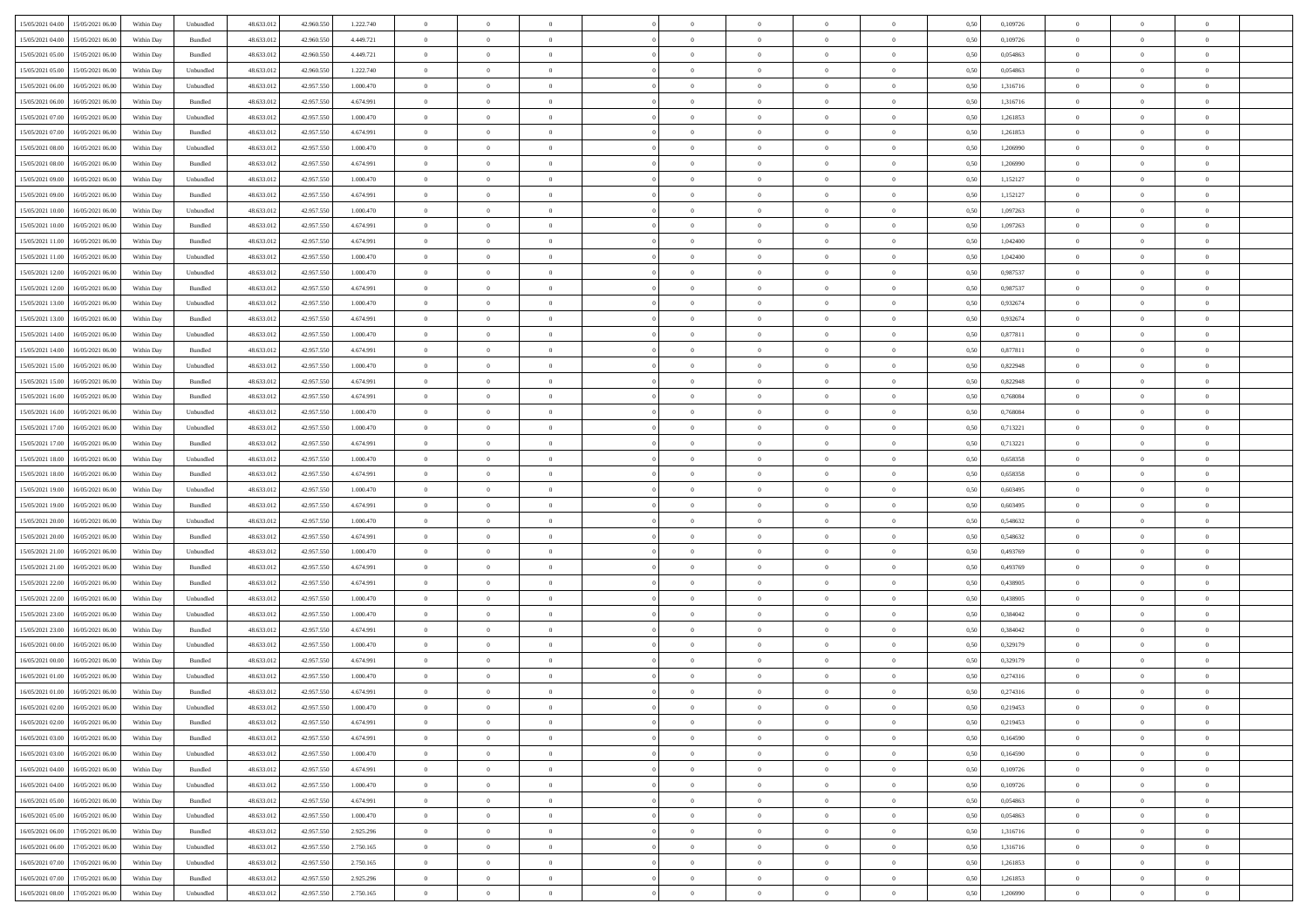| 15/05/2021 04:00<br>15/05/2021 06:00           | Within Day | Unbundled                   | 48.633.01  | 42.960.550 | 1.222.740 | $\overline{0}$ | $\overline{0}$ |                | $\overline{0}$ | $\theta$       |                | $\theta$       | 0,50 | 0,109726 | $\theta$       | $\theta$       | $\overline{0}$ |  |
|------------------------------------------------|------------|-----------------------------|------------|------------|-----------|----------------|----------------|----------------|----------------|----------------|----------------|----------------|------|----------|----------------|----------------|----------------|--|
| 15/05/2021 04:00<br>15/05/2021 06:00           | Within Day | Bundled                     | 48.633.01  | 42.960.55  | 4.449.721 | $\bf{0}$       | $\bf{0}$       | $\bf{0}$       | $\bf{0}$       | $\overline{0}$ | $\overline{0}$ | $\bf{0}$       | 0,50 | 0,109726 | $\,$ 0 $\,$    | $\bf{0}$       | $\overline{0}$ |  |
| 15/05/2021 05:00<br>15/05/2021 06:00           | Within Day | Bundled                     | 48.633.013 | 42,960,550 | 4.449.721 | $\overline{0}$ | $\bf{0}$       | $\overline{0}$ | $\bf{0}$       | $\bf{0}$       | $\overline{0}$ | $\bf{0}$       | 0.50 | 0.054863 | $\bf{0}$       | $\overline{0}$ | $\overline{0}$ |  |
| 15/05/2021 05:00<br>15/05/2021 06:00           | Within Day | Unbundled                   | 48.633.013 | 42.960.550 | 1.222.740 | $\overline{0}$ | $\bf{0}$       | $\overline{0}$ | $\overline{0}$ | $\theta$       | $\overline{0}$ | $\bf{0}$       | 0,50 | 0,054863 | $\theta$       | $\theta$       | $\overline{0}$ |  |
| 15/05/2021 06:00<br>16/05/2021 06:00           | Within Day | Unbundled                   | 48.633.01  | 42.957.55  | 1.000.470 | $\bf{0}$       | $\overline{0}$ | $\bf{0}$       | $\overline{0}$ | $\theta$       | $\overline{0}$ | $\bf{0}$       | 0,50 | 1,316716 | $\,$ 0 $\,$    | $\bf{0}$       | $\overline{0}$ |  |
|                                                |            |                             |            |            |           |                |                |                |                |                | $\theta$       |                |      |          |                |                |                |  |
| 15/05/2021 06:00<br>16/05/2021 06:00           | Within Day | Bundled                     | 48.633.013 | 42.957.55  | 4.674.991 | $\overline{0}$ | $\overline{0}$ | $\overline{0}$ | $\bf{0}$       | $\overline{0}$ |                | $\bf{0}$       | 0.50 | 1.316716 | $\,$ 0 $\,$    | $\theta$       | $\overline{0}$ |  |
| 15/05/2021 07:00<br>16/05/2021 06:00           | Within Day | Unbundled                   | 48.633.013 | 42.957.550 | 1.000.470 | $\overline{0}$ | $\overline{0}$ | $\overline{0}$ | $\overline{0}$ | $\overline{0}$ | $\overline{0}$ | $\bf{0}$       | 0,50 | 1,261853 | $\,$ 0 $\,$    | $\theta$       | $\overline{0}$ |  |
| 15/05/2021 07:00<br>16/05/2021 06:00           | Within Day | Bundled                     | 48.633.01  | 42.957.55  | 4.674.991 | $\bf{0}$       | $\bf{0}$       | $\bf{0}$       | $\overline{0}$ | $\overline{0}$ | $\overline{0}$ | $\bf{0}$       | 0,50 | 1,261853 | $\,$ 0 $\,$    | $\bf{0}$       | $\overline{0}$ |  |
| 15/05/2021 08:00<br>16/05/2021 06:00           | Within Day | Unbundled                   | 48.633.013 | 42.957.55  | 1.000.470 | $\overline{0}$ | $\bf{0}$       | $\overline{0}$ | $\bf{0}$       | $\overline{0}$ | $\overline{0}$ | $\bf{0}$       | 0.50 | 1.206990 | $\bf{0}$       | $\overline{0}$ | $\overline{0}$ |  |
| 15/05/2021 08:00<br>16/05/2021 06:00           | Within Day | Bundled                     | 48.633.012 | 42.957.550 | 4.674.991 | $\bf{0}$       | $\bf{0}$       | $\overline{0}$ | $\overline{0}$ | $\overline{0}$ | $\overline{0}$ | $\bf{0}$       | 0,50 | 1,206990 | $\,$ 0 $\,$    | $\bf{0}$       | $\overline{0}$ |  |
| 15/05/2021 09:00<br>16/05/2021 06:00           | Within Day | Unbundled                   | 48.633.01  | 42.957.550 | 1.000.470 | $\bf{0}$       | $\bf{0}$       | $\bf{0}$       | $\bf{0}$       | $\overline{0}$ | $\overline{0}$ | $\bf{0}$       | 0,50 | 1,152127 | $\,$ 0 $\,$    | $\bf{0}$       | $\overline{0}$ |  |
| 15/05/2021 09:00<br>16/05/2021 06:00           | Within Day | Bundled                     | 48.633.013 | 42.957.550 | 4.674.991 | $\overline{0}$ | $\bf{0}$       | $\overline{0}$ | $\overline{0}$ | $\bf{0}$       | $\overline{0}$ | $\bf{0}$       | 0.50 | 1,152127 | $\bf{0}$       | $\overline{0}$ | $\,$ 0         |  |
| 15/05/2021 10:00<br>16/05/2021 06:00           | Within Day | Unbundled                   | 48.633.01  | 42.957.550 | 1.000.470 | $\overline{0}$ | $\overline{0}$ | $\overline{0}$ | $\theta$       | $\theta$       | $\overline{0}$ | $\bf{0}$       | 0,50 | 1,097263 | $\,$ 0 $\,$    | $\theta$       | $\overline{0}$ |  |
|                                                |            |                             |            |            |           |                |                |                |                |                |                |                |      |          |                |                |                |  |
| 15/05/2021 10:00<br>16/05/2021 06:00           | Within Day | Bundled                     | 48.633.01  | 42.957.55  | 4.674.991 | $\bf{0}$       | $\overline{0}$ | $\bf{0}$       | $\bf{0}$       | $\bf{0}$       | $\overline{0}$ | $\bf{0}$       | 0,50 | 1,097263 | $\,$ 0 $\,$    | $\bf{0}$       | $\overline{0}$ |  |
| 15/05/2021 11:00<br>16/05/2021 06:00           | Within Day | Bundled                     | 48.633.013 | 42.957.550 | 4.674.991 | $\overline{0}$ | $\bf{0}$       | $\overline{0}$ | $\bf{0}$       | $\overline{0}$ | $\theta$       | $\bf{0}$       | 0.50 | 1.042400 | $\,$ 0 $\,$    | $\theta$       | $\overline{0}$ |  |
| 15/05/2021 11:00<br>16/05/2021 06:00           | Within Day | Unbundled                   | 48.633.013 | 42.957.550 | 1.000.470 | $\overline{0}$ | $\overline{0}$ | $\overline{0}$ | $\overline{0}$ | $\overline{0}$ | $\overline{0}$ | $\bf{0}$       | 0,50 | 1,042400 | $\theta$       | $\theta$       | $\overline{0}$ |  |
| 15/05/2021 12:00<br>16/05/2021 06:00           | Within Day | Unbundled                   | 48.633.01  | 42.957.55  | 1.000.470 | $\bf{0}$       | $\bf{0}$       | $\bf{0}$       | $\overline{0}$ | $\bf{0}$       | $\overline{0}$ | $\bf{0}$       | 0,50 | 0,987537 | $\,$ 0 $\,$    | $\bf{0}$       | $\overline{0}$ |  |
| 15/05/2021 12:00<br>16/05/2021 06:00           | Within Day | Bundled                     | 48.633.013 | 42.957.55  | 4.674.991 | $\overline{0}$ | $\bf{0}$       | $\overline{0}$ | $\bf{0}$       | $\overline{0}$ | $\overline{0}$ | $\bf{0}$       | 0.50 | 0.987537 | $\bf{0}$       | $\overline{0}$ | $\overline{0}$ |  |
| 15/05/2021 13:00<br>16/05/2021 06:00           | Within Day | Unbundled                   | 48.633.013 | 42.957.550 | 1.000.470 | $\bf{0}$       | $\bf{0}$       | $\overline{0}$ | $\overline{0}$ | $\overline{0}$ | $\overline{0}$ | $\bf{0}$       | 0,50 | 0,932674 | $\,$ 0 $\,$    | $\bf{0}$       | $\overline{0}$ |  |
| 15/05/2021 13:00<br>16/05/2021 06:00           | Within Day | Bundled                     | 48.633.01  | 42.957.55  | 4.674.991 | $\bf{0}$       | $\bf{0}$       | $\bf{0}$       | $\bf{0}$       | $\overline{0}$ | $\overline{0}$ | $\bf{0}$       | 0,50 | 0,932674 | $\,$ 0 $\,$    | $\bf{0}$       | $\overline{0}$ |  |
| 15/05/2021 14:00<br>16/05/2021 06:00           | Within Day | Unbundled                   | 48.633.012 | 42.957.550 | 1.000.470 | $\overline{0}$ | $\bf{0}$       | $\overline{0}$ | $\overline{0}$ | $\bf{0}$       | $\overline{0}$ | $\bf{0}$       | 0.50 | 0.877811 | $\bf{0}$       | $\overline{0}$ | $\,$ 0         |  |
|                                                |            |                             |            |            |           |                |                |                |                |                |                |                |      |          |                |                |                |  |
| 15/05/2021 14:00<br>16/05/2021 06:00           | Within Day | Bundled                     | 48.633.01  | 42.957.550 | 4.674.991 | $\overline{0}$ | $\overline{0}$ | $\overline{0}$ | $\overline{0}$ | $\theta$       | $\overline{0}$ | $\bf{0}$       | 0,50 | 0,877811 | $\theta$       | $\theta$       | $\overline{0}$ |  |
| 15/05/2021 15:00<br>16/05/2021 06:00           | Within Day | Unbundled                   | 48.633.01  | 42.957.55  | 1.000.470 | $\bf{0}$       | $\bf{0}$       | $\bf{0}$       | $\bf{0}$       | $\overline{0}$ | $\overline{0}$ | $\bf{0}$       | 0,50 | 0,822948 | $\,$ 0 $\,$    | $\bf{0}$       | $\overline{0}$ |  |
| 15/05/2021 15:00<br>16/05/2021 06:00           | Within Day | Bundled                     | 48.633.013 | 42.957.55  | 4.674.991 | $\overline{0}$ | $\bf{0}$       | $\overline{0}$ | $\bf{0}$       | $\overline{0}$ | $\theta$       | $\bf{0}$       | 0.50 | 0.822948 | $\,$ 0 $\,$    | $\theta$       | $\overline{0}$ |  |
| 15/05/2021 16:00<br>16/05/2021 06:00           | Within Day | Bundled                     | 48.633.013 | 42.957.550 | 4.674.991 | $\overline{0}$ | $\overline{0}$ | $\overline{0}$ | $\overline{0}$ | $\overline{0}$ | $\overline{0}$ | $\bf{0}$       | 0,50 | 0,768084 | $\,$ 0 $\,$    | $\theta$       | $\overline{0}$ |  |
| 15/05/2021 16:00<br>16/05/2021 06:00           | Within Day | Unbundled                   | 48.633.01  | 42.957.55  | 1.000.470 | $\bf{0}$       | $\overline{0}$ | $\bf{0}$       | $\overline{0}$ | $\bf{0}$       | $\overline{0}$ | $\bf{0}$       | 0,50 | 0,768084 | $\,$ 0 $\,$    | $\bf{0}$       | $\overline{0}$ |  |
| 15/05/2021 17:00<br>16/05/2021 06:00           | Within Day | Unbundled                   | 48.633.013 | 42.957.550 | 1.000.470 | $\overline{0}$ | $\bf{0}$       | $\overline{0}$ | $\bf{0}$       | $\overline{0}$ | $\overline{0}$ | $\bf{0}$       | 0.50 | 0.713221 | $\bf{0}$       | $\overline{0}$ | $\overline{0}$ |  |
| 15/05/2021 17:00<br>16/05/2021 06:00           | Within Day | Bundled                     | 48.633.01  | 42.957.550 | 4.674.991 | $\overline{0}$ | $\bf{0}$       | $\overline{0}$ | $\overline{0}$ | $\overline{0}$ | $\overline{0}$ | $\bf{0}$       | 0,50 | 0,713221 | $\,$ 0 $\,$    | $\bf{0}$       | $\overline{0}$ |  |
| 15/05/2021 18:00<br>16/05/2021 06:00           | Within Day | Unbundled                   | 48.633.01  | 42.957.55  | 1.000.470 | $\bf{0}$       | $\bf{0}$       | $\bf{0}$       | $\bf{0}$       | $\overline{0}$ | $\overline{0}$ | $\bf{0}$       | 0,50 | 0,658358 | $\,$ 0 $\,$    | $\bf{0}$       | $\overline{0}$ |  |
| 15/05/2021 18:00<br>16/05/2021 06:00           | Within Day | Bundled                     | 48.633.013 | 42.957.55  | 4.674.991 | $\overline{0}$ | $\bf{0}$       | $\overline{0}$ | $\overline{0}$ | $\bf{0}$       | $\overline{0}$ | $\bf{0}$       | 0.50 | 0.658358 | $\bf{0}$       | $\overline{0}$ | $\,$ 0         |  |
|                                                |            |                             |            |            |           |                |                |                |                |                |                |                |      |          |                |                |                |  |
| 15/05/2021 19:00<br>16/05/2021 06:00           | Within Day | Unbundled                   | 48.633.013 | 42.957.550 | 1,000,470 | $\overline{0}$ | $\overline{0}$ | $\overline{0}$ | $\overline{0}$ | $\overline{0}$ | $\overline{0}$ | $\bf{0}$       | 0.50 | 0.603495 | $\theta$       | $\theta$       | $\overline{0}$ |  |
| 15/05/2021 19:00<br>16/05/2021 06:00           | Within Day | Bundled                     | 48.633.01  | 42.957.55  | 4.674.991 | $\bf{0}$       | $\bf{0}$       | $\bf{0}$       | $\bf{0}$       | $\overline{0}$ | $\overline{0}$ | $\bf{0}$       | 0,50 | 0,603495 | $\,$ 0 $\,$    | $\bf{0}$       | $\overline{0}$ |  |
| 15/05/2021 20:00<br>16/05/2021 06:00           | Within Day | Unbundled                   | 48.633.013 | 42.957.550 | 1.000.470 | $\overline{0}$ | $\bf{0}$       | $\overline{0}$ | $\bf{0}$       | $\overline{0}$ | $\overline{0}$ | $\bf{0}$       | 0.50 | 0.548632 | $\,$ 0 $\,$    | $\theta$       | $\overline{0}$ |  |
| 15/05/2021 20:00<br>16/05/2021 06:00           | Within Dav | Bundled                     | 48.633.013 | 42.957.550 | 4.674.991 | $\overline{0}$ | $\overline{0}$ | $\overline{0}$ | $\overline{0}$ | $\overline{0}$ | $\overline{0}$ | $\bf{0}$       | 0.50 | 0,548632 | $\theta$       | $\theta$       | $\overline{0}$ |  |
| 15/05/2021 21:00<br>16/05/2021 06:00           | Within Day | Unbundled                   | 48.633.01  | 42.957.55  | 1.000.470 | $\bf{0}$       | $\bf{0}$       | $\bf{0}$       | $\bf{0}$       | $\overline{0}$ | $\overline{0}$ | $\bf{0}$       | 0,50 | 0,493769 | $\,$ 0 $\,$    | $\bf{0}$       | $\overline{0}$ |  |
| 15/05/2021 21:00<br>16/05/2021 06:00           | Within Day | Bundled                     | 48.633.013 | 42.957.55  | 4.674.991 | $\overline{0}$ | $\bf{0}$       | $\overline{0}$ | $\bf{0}$       | $\overline{0}$ | $\overline{0}$ | $\bf{0}$       | 0.50 | 0.493769 | $\bf{0}$       | $\overline{0}$ | $\overline{0}$ |  |
| 15/05/2021 22:00<br>16/05/2021 06:00           | Within Dav | Bundled                     | 48.633.013 | 42.957.550 | 4.674.991 | $\overline{0}$ | $\overline{0}$ | $\overline{0}$ | $\overline{0}$ | $\overline{0}$ | $\overline{0}$ | $\bf{0}$       | 0.50 | 0,438905 | $\theta$       | $\theta$       | $\overline{0}$ |  |
| 15/05/2021 22:00<br>16/05/2021 06:00           | Within Day | Unbundled                   | 48.633.01  | 42.957.55  | 1.000.470 | $\bf{0}$       | $\bf{0}$       | $\bf{0}$       | $\bf{0}$       | $\overline{0}$ | $\overline{0}$ | $\bf{0}$       | 0,50 | 0,438905 | $\,$ 0 $\,$    | $\bf{0}$       | $\overline{0}$ |  |
|                                                |            |                             | 48.633.013 | 42.957.550 | 1.000.470 |                |                |                |                |                | $\overline{0}$ |                |      | 0.384042 |                |                | $\,$ 0         |  |
| 15/05/2021 23:00<br>16/05/2021 06:00           | Within Day | Unbundled                   |            |            |           | $\overline{0}$ | $\bf{0}$       | $\overline{0}$ | $\overline{0}$ | $\bf{0}$       |                | $\bf{0}$       | 0.50 |          | $\bf{0}$       | $\overline{0}$ |                |  |
| 15/05/2021 23:00<br>16/05/2021 06:00           | Within Dav | Bundled                     | 48.633.013 | 42.957.550 | 4.674.991 | $\overline{0}$ | $\overline{0}$ | $\overline{0}$ | $\overline{0}$ | $\overline{0}$ | $\overline{0}$ | $\bf{0}$       | 0.50 | 0.384042 | $\theta$       | $\theta$       | $\overline{0}$ |  |
| 16/05/2021 00:00<br>16/05/2021 06:00           | Within Day | Unbundled                   | 48.633.01  | 42.957.55  | 1.000.470 | $\bf{0}$       | $\bf{0}$       | $\bf{0}$       | $\bf{0}$       | $\overline{0}$ | $\overline{0}$ | $\bf{0}$       | 0,50 | 0,329179 | $\,$ 0 $\,$    | $\bf{0}$       | $\overline{0}$ |  |
| 16/05/2021 00:00<br>16/05/2021 06:00           | Within Day | Bundled                     | 48.633.013 | 42.957.55  | 4.674.991 | $\overline{0}$ | $\overline{0}$ | $\overline{0}$ | $\bf{0}$       | $\overline{0}$ | $\Omega$       | $\bf{0}$       | 0.50 | 0,329179 | $\bf{0}$       | $\theta$       | $\overline{0}$ |  |
| 16/05/2021 01:00<br>16/05/2021 06:00           | Within Dav | Unbundled                   | 48.633.013 | 42.957.550 | 1.000.470 | $\overline{0}$ | $\overline{0}$ | $\Omega$       | $\overline{0}$ | $\theta$       | $\overline{0}$ | $\overline{0}$ | 0.5( | 0,274316 | $\theta$       | $\theta$       | $\overline{0}$ |  |
| 16/05/2021 01:00<br>16/05/2021 06:00           | Within Day | Bundled                     | 48.633.01  | 42.957.550 | 4.674.991 | $\bf{0}$       | $\bf{0}$       | $\bf{0}$       | $\bf{0}$       | $\bf{0}$       | $\overline{0}$ | $\bf{0}$       | 0,50 | 0,274316 | $\overline{0}$ | $\bf{0}$       | $\overline{0}$ |  |
| $16/05/2021\; 02.00 \qquad 16/05/2021\; 06.00$ | Within Day | $\ensuremath{\mathsf{Unb}}$ | 48.633.012 | 42.957.550 | 1.000,470 | $\bf{0}$       | $\theta$       |                | $\Omega$       |                |                |                | 0,50 | 0,219453 | $\bf{0}$       | $\overline{0}$ |                |  |
| 16/05/2021 02:00 16/05/2021 06:00              | Within Day | Bundled                     | 48.633.012 | 42.957.550 | 4.674.991 | $\overline{0}$ | $\overline{0}$ | $\Omega$       | $\theta$       | $\overline{0}$ | $\overline{0}$ | $\bf{0}$       | 0,50 | 0,219453 | $\theta$       | $\overline{0}$ | $\overline{0}$ |  |
| 16/05/2021 03:00<br>16/05/2021 06:00           | Within Day | Bundled                     | 48.633.013 | 42.957.550 | 4.674.991 | $\overline{0}$ | $\bf{0}$       | $\overline{0}$ | $\overline{0}$ | $\bf{0}$       | $\overline{0}$ | $\bf{0}$       | 0,50 | 0,164590 | $\bf{0}$       | $\overline{0}$ | $\bf{0}$       |  |
|                                                |            |                             |            |            |           |                |                |                |                |                |                |                |      |          |                |                |                |  |
| 16/05/2021 03:00 16/05/2021 06:00              | Within Day | Unbundled                   | 48.633.012 | 42.957.550 | 1,000,470 | $\overline{0}$ | $\bf{0}$       | $\overline{0}$ | $\overline{0}$ | $\mathbf{0}$   | $\overline{0}$ | $\,$ 0 $\,$    | 0.50 | 0.164590 | $\overline{0}$ | $\bf{0}$       | $\,$ 0 $\,$    |  |
| 16/05/2021 04:00 16/05/2021 06:00              | Within Dav | Bundled                     | 48.633.012 | 42.957.550 | 4.674.991 | $\overline{0}$ | $\overline{0}$ | $\overline{0}$ | $\overline{0}$ | $\overline{0}$ | $\overline{0}$ | $\bf{0}$       | 0,50 | 0,109726 | $\overline{0}$ | $\theta$       | $\overline{0}$ |  |
| 16/05/2021 04:00<br>16/05/2021 06:00           | Within Day | Unbundled                   | 48.633.012 | 42.957.550 | 1.000.470 | $\overline{0}$ | $\bf{0}$       | $\overline{0}$ | $\overline{0}$ | $\overline{0}$ | $\overline{0}$ | $\bf{0}$       | 0,50 | 0,109726 | $\bf{0}$       | $\overline{0}$ | $\overline{0}$ |  |
| 16/05/2021 05:00<br>16/05/2021 06:00           | Within Day | Bundled                     | 48.633.012 | 42.957.550 | 4.674.991 | $\overline{0}$ | $\bf{0}$       | $\overline{0}$ | $\overline{0}$ | $\overline{0}$ | $\overline{0}$ | $\bf{0}$       | 0.50 | 0.054863 | $\,$ 0 $\,$    | $\overline{0}$ | $\,$ 0         |  |
| 16/05/2021 05:00<br>16/05/2021 06:00           | Within Dav | Unbundled                   | 48.633.012 | 42.957.550 | 1.000.470 | $\overline{0}$ | $\overline{0}$ | $\overline{0}$ | $\overline{0}$ | $\overline{0}$ | $\overline{0}$ | $\bf{0}$       | 0.50 | 0,054863 | $\overline{0}$ | $\theta$       | $\overline{0}$ |  |
| 16/05/2021 06:00<br>17/05/2021 06:00           | Within Day | Bundled                     | 48.633.013 | 42.957.550 | 2.925.296 | $\overline{0}$ | $\overline{0}$ | $\overline{0}$ | $\overline{0}$ | $\overline{0}$ | $\overline{0}$ | $\bf{0}$       | 0,50 | 1,316716 | $\bf{0}$       | $\overline{0}$ | $\overline{0}$ |  |
| 16/05/2021 06:00<br>17/05/2021 06:00           | Within Day | Unbundled                   | 48.633.012 | 42.957.550 | 2.750.165 | $\overline{0}$ | $\overline{0}$ | $\overline{0}$ | $\overline{0}$ | $\overline{0}$ | $\overline{0}$ | $\bf{0}$       | 0.50 | 1.316716 | $\mathbf{0}$   | $\bf{0}$       | $\,$ 0         |  |
| 16/05/2021 07:00<br>17/05/2021 06:00           | Within Dav | Unbundled                   | 48.633.012 | 42.957.550 | 2.750.165 | $\overline{0}$ | $\overline{0}$ | $\overline{0}$ | $\overline{0}$ | $\overline{0}$ | $\overline{0}$ | $\bf{0}$       | 0,50 | 1,261853 | $\overline{0}$ | $\theta$       | $\overline{0}$ |  |
|                                                |            |                             |            |            |           |                |                |                |                |                |                |                |      |          |                |                |                |  |
| 16/05/2021 07:00<br>17/05/2021 06:00           | Within Day | Bundled                     | 48.633.013 | 42.957.550 | 2.925.296 | $\overline{0}$ | $\bf{0}$       | $\overline{0}$ | $\bf{0}$       | $\overline{0}$ | $\overline{0}$ | $\bf{0}$       | 0,50 | 1,261853 | $\bf{0}$       | $\,$ 0 $\,$    | $\bf{0}$       |  |
| 16/05/2021 08:00 17/05/2021 06:00              | Within Day | Unbundled                   | 48.633.012 | 42.957.550 | 2.750.165 | $\,$ 0 $\,$    | $\bf{0}$       | $\overline{0}$ | $\overline{0}$ | $\,$ 0 $\,$    | $\overline{0}$ | $\bf{0}$       | 0,50 | 1,206990 | $\overline{0}$ | $\,$ 0 $\,$    | $\,$ 0 $\,$    |  |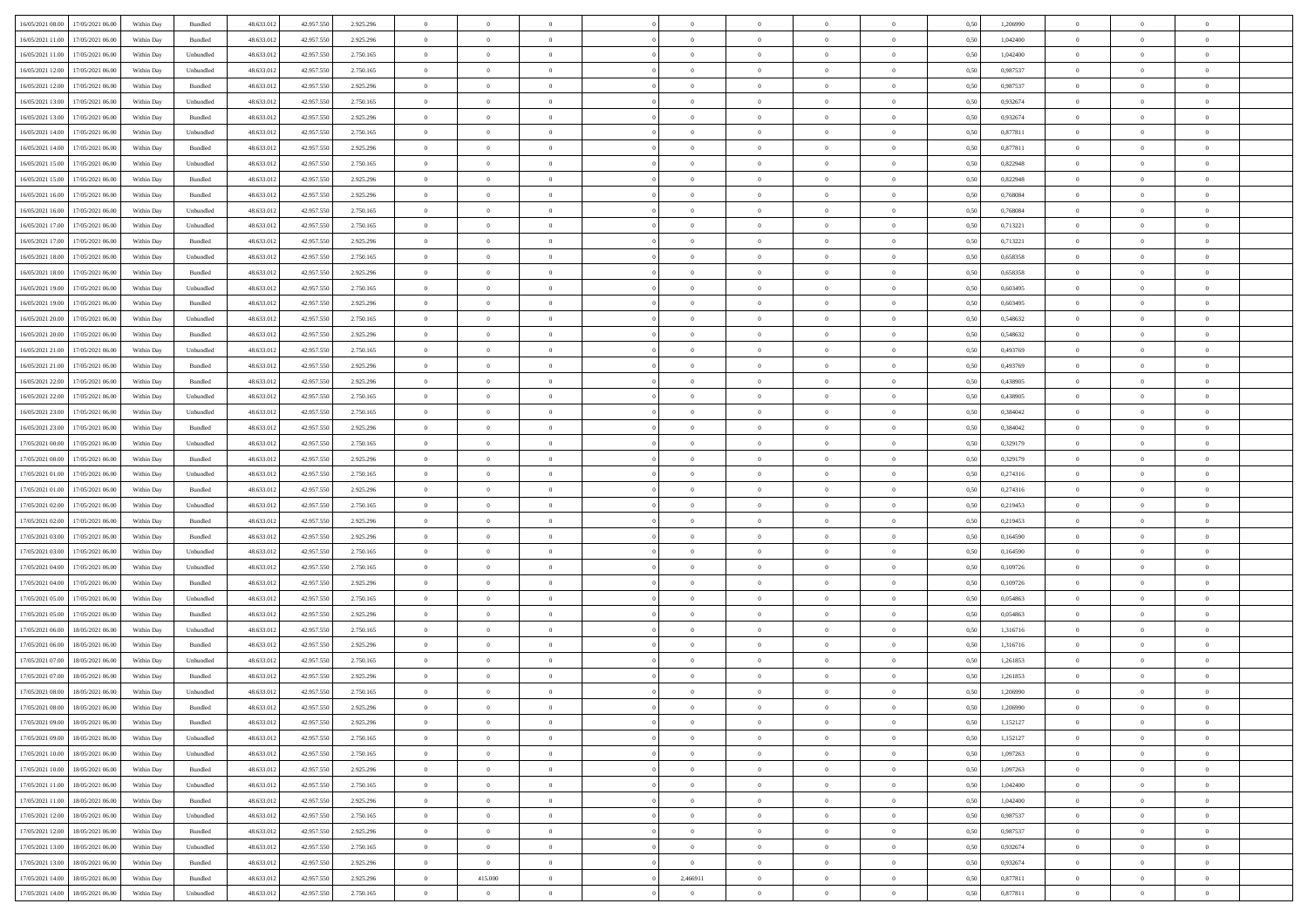|                                              |            |           |            |            |           | $\overline{0}$ | $\overline{0}$ |                | $\overline{0}$ | $\theta$       |                | $\theta$       |      |          | $\theta$       | $\theta$       | $\overline{0}$ |  |
|----------------------------------------------|------------|-----------|------------|------------|-----------|----------------|----------------|----------------|----------------|----------------|----------------|----------------|------|----------|----------------|----------------|----------------|--|
| 16/05/2021 08:00 17/05/2021 06:00            | Within Day | Bundled   | 48.633.01  | 42.957.550 | 2.925.296 |                |                |                |                |                |                |                | 0,50 | 1,206990 |                |                |                |  |
| 16/05/2021 11:00<br>17/05/2021 06:00         | Within Day | Bundled   | 48.633.01  | 42.957.55  | 2.925.296 | $\bf{0}$       | $\bf{0}$       | $\bf{0}$       | $\bf{0}$       | $\overline{0}$ | $\overline{0}$ | $\bf{0}$       | 0,50 | 1,042400 | $\,$ 0 $\,$    | $\bf{0}$       | $\overline{0}$ |  |
| 16/05/2021 11:00<br>17/05/2021 06:00         | Within Day | Unbundled | 48.633.013 | 42.957.550 | 2.750.165 | $\overline{0}$ | $\bf{0}$       | $\overline{0}$ | $\bf{0}$       | $\bf{0}$       | $\overline{0}$ | $\bf{0}$       | 0.50 | 1.042400 | $\bf{0}$       | $\overline{0}$ | $\overline{0}$ |  |
| 16/05/2021 12:00<br>17/05/2021 06:00         | Within Day | Unbundled | 48.633.013 | 42.957.550 | 2.750.165 | $\overline{0}$ | $\overline{0}$ | $\overline{0}$ | $\overline{0}$ | $\theta$       | $\overline{0}$ | $\bf{0}$       | 0,50 | 0,987537 | $\theta$       | $\theta$       | $\overline{0}$ |  |
|                                              |            |           |            |            |           |                |                |                |                |                |                |                |      |          |                |                |                |  |
| 16/05/2021 12:00<br>17/05/2021 06:00         | Within Day | Bundled   | 48.633.01  | 42.957.55  | 2.925.296 | $\bf{0}$       | $\overline{0}$ | $\bf{0}$       | $\overline{0}$ | $\theta$       | $\overline{0}$ | $\bf{0}$       | 0,50 | 0,987537 | $\,$ 0 $\,$    | $\bf{0}$       | $\overline{0}$ |  |
| 16/05/2021 13:00<br>17/05/2021 06:00         | Within Day | Unbundled | 48.633.013 | 42.957.55  | 2.750.165 | $\overline{0}$ | $\overline{0}$ | $\overline{0}$ | $\bf{0}$       | $\overline{0}$ | $\theta$       | $\bf{0}$       | 0.50 | 0.932674 | $\,$ 0 $\,$    | $\theta$       | $\overline{0}$ |  |
| 16/05/2021 13:00<br>17/05/2021 06:00         | Within Day | Bundled   | 48.633.013 | 42.957.550 | 2.925.296 | $\overline{0}$ | $\overline{0}$ | $\overline{0}$ | $\overline{0}$ | $\overline{0}$ | $\overline{0}$ | $\bf{0}$       | 0,50 | 0,932674 | $\,$ 0 $\,$    | $\theta$       | $\overline{0}$ |  |
| 16/05/2021 14:00<br>17/05/2021 06.00         | Within Day | Unbundled | 48.633.01  | 42.957.55  | 2.750.165 | $\bf{0}$       | $\overline{0}$ | $\bf{0}$       | $\overline{0}$ | $\overline{0}$ | $\overline{0}$ | $\bf{0}$       | 0,50 | 0,877811 | $\,$ 0 $\,$    | $\bf{0}$       | $\overline{0}$ |  |
|                                              |            |           |            |            |           |                |                |                |                |                |                |                |      |          |                |                |                |  |
| 16/05/2021 14:00<br>17/05/2021 06:00         | Within Day | Bundled   | 48.633.013 | 42.957.55  | 2.925.296 | $\overline{0}$ | $\bf{0}$       | $\overline{0}$ | $\bf{0}$       | $\overline{0}$ | $\overline{0}$ | $\bf{0}$       | 0.50 | 0.877811 | $\bf{0}$       | $\overline{0}$ | $\overline{0}$ |  |
| 16/05/2021 15:00<br>17/05/2021 06:00         | Within Day | Unbundled | 48.633.013 | 42.957.550 | 2.750.165 | $\bf{0}$       | $\bf{0}$       | $\overline{0}$ | $\overline{0}$ | $\overline{0}$ | $\overline{0}$ | $\bf{0}$       | 0,50 | 0,822948 | $\,$ 0 $\,$    | $\bf{0}$       | $\overline{0}$ |  |
| 16/05/2021 15:00<br>17/05/2021 06:00         | Within Day | Bundled   | 48.633.01  | 42.957.55  | 2.925.296 | $\bf{0}$       | $\overline{0}$ | $\bf{0}$       | $\bf{0}$       | $\bf{0}$       | $\overline{0}$ | $\bf{0}$       | 0,50 | 0,822948 | $\,$ 0 $\,$    | $\bf{0}$       | $\overline{0}$ |  |
| 16/05/2021 16:00<br>17/05/2021 06:00         | Within Day | Bundled   | 48.633.013 | 42.957.55  | 2.925.296 | $\overline{0}$ | $\bf{0}$       | $\overline{0}$ | $\overline{0}$ | $\bf{0}$       | $\overline{0}$ | $\bf{0}$       | 0.50 | 0.768084 | $\bf{0}$       | $\overline{0}$ | $\bf{0}$       |  |
| 16/05/2021 16:00<br>17/05/2021 06:00         | Within Day | Unbundled | 48.633.01  | 42.957.550 | 2.750.165 | $\overline{0}$ | $\overline{0}$ | $\overline{0}$ | $\theta$       | $\theta$       | $\overline{0}$ | $\bf{0}$       | 0,50 | 0,768084 | $\,$ 0 $\,$    | $\theta$       | $\overline{0}$ |  |
|                                              |            |           |            |            |           |                |                |                |                |                |                |                |      |          |                |                |                |  |
| 16/05/2021 17:00<br>17/05/2021 06:00         | Within Day | Unbundled | 48.633.01  | 42.957.55  | 2.750.165 | $\bf{0}$       | $\overline{0}$ | $\bf{0}$       | $\overline{0}$ | $\bf{0}$       | $\overline{0}$ | $\bf{0}$       | 0,50 | 0,713221 | $\,$ 0 $\,$    | $\bf{0}$       | $\overline{0}$ |  |
| 16/05/2021 17:00<br>17/05/2021 06:00         | Within Day | Bundled   | 48.633.013 | 42.957.55  | 2.925.296 | $\overline{0}$ | $\overline{0}$ | $\overline{0}$ | $\bf{0}$       | $\overline{0}$ | $\theta$       | $\bf{0}$       | 0.50 | 0,713221 | $\,$ 0 $\,$    | $\theta$       | $\overline{0}$ |  |
| 16/05/2021 18:00<br>17/05/2021 06:00         | Within Day | Unbundled | 48.633.013 | 42.957.550 | 2.750.165 | $\overline{0}$ | $\overline{0}$ | $\overline{0}$ | $\overline{0}$ | $\overline{0}$ | $\overline{0}$ | $\bf{0}$       | 0,50 | 0,658358 | $\theta$       | $\theta$       | $\overline{0}$ |  |
| 16/05/2021 18:00<br>17/05/2021 06:00         | Within Day | Bundled   | 48.633.01  | 42.957.55  | 2.925.296 | $\bf{0}$       | $\bf{0}$       | $\bf{0}$       | $\overline{0}$ | $\bf{0}$       | $\overline{0}$ | $\bf{0}$       | 0,50 | 0,658358 | $\,$ 0 $\,$    | $\bf{0}$       | $\overline{0}$ |  |
|                                              |            |           |            |            |           |                |                |                |                |                |                |                |      |          |                |                |                |  |
| 16/05/2021 19:00<br>17/05/2021 06:00         | Within Day | Unbundled | 48.633.013 | 42.957.55  | 2.750.165 | $\overline{0}$ | $\bf{0}$       | $\overline{0}$ | $\bf{0}$       | $\overline{0}$ | $\overline{0}$ | $\bf{0}$       | 0.50 | 0.603495 | $\bf{0}$       | $\overline{0}$ | $\overline{0}$ |  |
| 16/05/2021 19:00<br>17/05/2021 06:00         | Within Day | Bundled   | 48.633.013 | 42.957.550 | 2.925.296 | $\bf{0}$       | $\bf{0}$       | $\overline{0}$ | $\overline{0}$ | $\overline{0}$ | $\overline{0}$ | $\bf{0}$       | 0,50 | 0,603495 | $\,$ 0 $\,$    | $\bf{0}$       | $\overline{0}$ |  |
| 16/05/2021 20:00<br>17/05/2021 06:00         | Within Day | Unbundled | 48.633.01  | 42.957.55  | 2.750.165 | $\bf{0}$       | $\bf{0}$       | $\bf{0}$       | $\bf{0}$       | $\overline{0}$ | $\overline{0}$ | $\bf{0}$       | 0,50 | 0,548632 | $\,$ 0 $\,$    | $\bf{0}$       | $\overline{0}$ |  |
| 16/05/2021 20:00<br>17/05/2021 06:00         | Within Day | Bundled   | 48.633.013 | 42.957.550 | 2.925.296 | $\overline{0}$ | $\bf{0}$       | $\overline{0}$ | $\overline{0}$ | $\bf{0}$       | $\overline{0}$ | $\bf{0}$       | 0.50 | 0.548632 | $\bf{0}$       | $\overline{0}$ | $\,$ 0         |  |
| 16/05/2021 21:00<br>17/05/2021 06:00         | Within Day | Unbundled | 48.633.01  | 42.957.550 | 2.750.165 | $\overline{0}$ | $\overline{0}$ | $\overline{0}$ | $\overline{0}$ | $\theta$       | $\overline{0}$ | $\bf{0}$       | 0,50 | 0,493769 | $\theta$       | $\theta$       | $\overline{0}$ |  |
|                                              |            |           |            |            |           |                | $\overline{0}$ |                |                | $\overline{0}$ | $\overline{0}$ |                |      |          | $\,$ 0 $\,$    | $\bf{0}$       | $\overline{0}$ |  |
| 16/05/2021 21:00<br>17/05/2021 06:00         | Within Day | Bundled   | 48.633.01  | 42.957.55  | 2.925.296 | $\bf{0}$       |                | $\bf{0}$       | $\bf{0}$       |                |                | $\bf{0}$       | 0,50 | 0,493769 |                |                |                |  |
| 16/05/2021 22:00<br>17/05/2021 06:00         | Within Day | Bundled   | 48.633.013 | 42.957.55  | 2.925.296 | $\overline{0}$ | $\overline{0}$ | $\overline{0}$ | $\bf{0}$       | $\overline{0}$ | $\theta$       | $\bf{0}$       | 0.50 | 0.438905 | $\,$ 0 $\,$    | $\theta$       | $\overline{0}$ |  |
| 16/05/2021 22:00<br>17/05/2021 06:00         | Within Day | Unbundled | 48.633.013 | 42.957.550 | 2.750.165 | $\overline{0}$ | $\overline{0}$ | $\overline{0}$ | $\overline{0}$ | $\overline{0}$ | $\overline{0}$ | $\bf{0}$       | 0,50 | 0,438905 | $\,$ 0 $\,$    | $\theta$       | $\overline{0}$ |  |
| 16/05/2021 23:00<br>17/05/2021 06:00         | Within Day | Unbundled | 48.633.01  | 42.957.55  | 2.750.165 | $\bf{0}$       | $\overline{0}$ | $\bf{0}$       | $\overline{0}$ | $\bf{0}$       | $\overline{0}$ | $\bf{0}$       | 0,50 | 0,384042 | $\,$ 0 $\,$    | $\bf{0}$       | $\overline{0}$ |  |
| 16/05/2021 23:00<br>17/05/2021 06:00         | Within Day | Bundled   | 48.633.013 | 42.957.55  | 2.925.296 | $\overline{0}$ | $\bf{0}$       | $\overline{0}$ | $\bf{0}$       | $\overline{0}$ | $\overline{0}$ | $\bf{0}$       | 0.50 | 0.384042 | $\bf{0}$       | $\overline{0}$ | $\overline{0}$ |  |
| 17/05/2021 00:00<br>17/05/2021 06:00         | Within Day | Unbundled | 48.633.01  | 42.957.550 | 2.750.165 | $\overline{0}$ | $\bf{0}$       | $\overline{0}$ | $\overline{0}$ | $\overline{0}$ | $\overline{0}$ | $\bf{0}$       | 0,50 | 0,329179 | $\theta$       | $\theta$       | $\overline{0}$ |  |
|                                              |            |           |            |            |           |                |                |                |                |                |                |                |      |          |                |                |                |  |
| 17/05/2021 00:00<br>17/05/2021 06:00         | Within Day | Bundled   | 48.633.01  | 42.957.55  | 2.925.296 | $\bf{0}$       | $\bf{0}$       | $\bf{0}$       | $\bf{0}$       | $\overline{0}$ | $\overline{0}$ | $\bf{0}$       | 0,50 | 0,329179 | $\,$ 0 $\,$    | $\bf{0}$       | $\overline{0}$ |  |
| 17/05/2021 01:00<br>17/05/2021 06:00         | Within Day | Unbundled | 48.633.013 | 42.957.55  | 2.750.165 | $\overline{0}$ | $\bf{0}$       | $\overline{0}$ | $\bf{0}$       | $\bf{0}$       | $\overline{0}$ | $\bf{0}$       | 0.50 | 0,274316 | $\bf{0}$       | $\overline{0}$ | $\bf{0}$       |  |
| 17/05/2021 01:00<br>17/05/2021 06:00         | Within Day | Bundled   | 48.633.013 | 42.957.550 | 2.925.296 | $\overline{0}$ | $\overline{0}$ | $\overline{0}$ | $\overline{0}$ | $\overline{0}$ | $\overline{0}$ | $\bf{0}$       | 0.5( | 0,274316 | $\theta$       | $\theta$       | $\overline{0}$ |  |
| 17/05/2021 02:00<br>17/05/2021 06:00         | Within Day | Unbundled | 48.633.01  | 42.957.55  | 2.750.165 | $\bf{0}$       | $\overline{0}$ | $\bf{0}$       | $\bf{0}$       | $\,$ 0 $\,$    | $\overline{0}$ | $\bf{0}$       | 0,50 | 0,219453 | $\,$ 0 $\,$    | $\bf{0}$       | $\overline{0}$ |  |
| 17/05/2021 02:00<br>17/05/2021 06:00         |            | Bundled   | 48.633.013 | 42.957.55  | 2.925.296 | $\overline{0}$ | $\bf{0}$       | $\overline{0}$ | $\bf{0}$       | $\overline{0}$ | $\Omega$       | $\bf{0}$       | 0.50 | 0,219453 | $\,$ 0 $\,$    | $\bf{0}$       | $\overline{0}$ |  |
|                                              | Within Day |           |            |            |           |                |                |                |                |                |                |                |      |          |                |                |                |  |
| 17/05/2021 03:00<br>17/05/2021 06:00         | Within Dav | Bundled   | 48.633.013 | 42.957.550 | 2.925.296 | $\overline{0}$ | $\overline{0}$ | $\overline{0}$ | $\overline{0}$ | $\theta$       | $\overline{0}$ | $\overline{0}$ | 0.50 | 0,164590 | $\theta$       | $\theta$       | $\overline{0}$ |  |
| 17/05/2021 03:00<br>17/05/2021 06:00         | Within Day | Unbundled | 48.633.01  | 42.957.55  | 2.750.165 | $\bf{0}$       | $\bf{0}$       | $\bf{0}$       | $\bf{0}$       | $\bf{0}$       | $\overline{0}$ | $\bf{0}$       | 0,50 | 0,164590 | $\,$ 0 $\,$    | $\bf{0}$       | $\overline{0}$ |  |
| 17/05/2021 04:00<br>17/05/2021 06:00         | Within Day | Unbundled | 48.633.013 | 42.957.55  | 2.750.165 | $\overline{0}$ | $\bf{0}$       | $\overline{0}$ | $\bf{0}$       | $\overline{0}$ | $\overline{0}$ | $\bf{0}$       | 0.50 | 0.109726 | $\bf{0}$       | $\overline{0}$ | $\overline{0}$ |  |
| 17/05/2021 04:00<br>17/05/2021 06:00         | Within Dav | Bundled   | 48.633.013 | 42.957.550 | 2.925.296 | $\overline{0}$ | $\overline{0}$ | $\overline{0}$ | $\overline{0}$ | $\overline{0}$ | $\overline{0}$ | $\bf{0}$       | 0.50 | 0,109726 | $\theta$       | $\theta$       | $\overline{0}$ |  |
| 17/05/2021 05:00<br>17/05/2021 06:00         | Within Day | Unbundled | 48.633.01  | 42.957.55  | 2.750.165 | $\bf{0}$       | $\bf{0}$       | $\bf{0}$       | $\bf{0}$       | $\overline{0}$ | $\overline{0}$ | $\bf{0}$       | 0,50 | 0,054863 | $\,$ 0 $\,$    | $\bf{0}$       | $\overline{0}$ |  |
|                                              |            |           |            |            |           |                |                |                |                |                |                |                |      |          |                |                |                |  |
| 17/05/2021 05:00<br>17/05/2021 06:00         | Within Day | Bundled   | 48.633.013 | 42.957.550 | 2.925.296 | $\overline{0}$ | $\bf{0}$       | $\overline{0}$ | $\overline{0}$ | $\bf{0}$       | $\overline{0}$ | $\bf{0}$       | 0.50 | 0.054863 | $\bf{0}$       | $\overline{0}$ | $\overline{0}$ |  |
| 17/05/2021 06:00<br>18/05/2021 06:00         | Within Dav | Unbundled | 48.633.013 | 42.957.550 | 2.750.165 | $\overline{0}$ | $\overline{0}$ | $\overline{0}$ | $\overline{0}$ | $\overline{0}$ | $\overline{0}$ | $\bf{0}$       | 0.5( | 1,316716 | $\theta$       | $\theta$       | $\overline{0}$ |  |
| 17/05/2021 06:00<br>18/05/2021 06:00         | Within Day | Bundled   | 48.633.01  | 42.957.55  | 2.925.296 | $\bf{0}$       | $\bf{0}$       | $\bf{0}$       | $\bf{0}$       | $\overline{0}$ | $\overline{0}$ | $\bf{0}$       | 0,50 | 1,316716 | $\,$ 0 $\,$    | $\bf{0}$       | $\overline{0}$ |  |
| 17/05/2021 07:00<br>18/05/2021 06:00         | Within Day | Unbundled | 48.633.013 | 42.957.55  | 2.750.165 | $\overline{0}$ | $\overline{0}$ | $\overline{0}$ | $\bf{0}$       | $\overline{0}$ | $\Omega$       | $\bf{0}$       | 0.50 | 1.261853 | $\bf{0}$       | $\theta$       | $\overline{0}$ |  |
| 17/05/2021 07:00<br>18/05/2021 06:00         | Within Dav | Bundled   | 48.633.013 | 42.957.550 | 2.925.296 | $\overline{0}$ | $\overline{0}$ | $\Omega$       | $\overline{0}$ | $\theta$       | $\overline{0}$ | $\overline{0}$ | 0.5( | 1,261853 | $\theta$       | $\theta$       | $\overline{0}$ |  |
| 17/05/2021 08:00<br>18/05/2021 06:00         | Within Day | Unbundled | 48.633.01  | 42.957.550 | 2.750.165 | $\bf{0}$       | $\bf{0}$       | $\overline{0}$ | $\overline{0}$ | $\bf{0}$       | $\overline{0}$ | $\bf{0}$       | 0,50 | 1,206990 | $\,$ 0 $\,$    | $\bf{0}$       | $\overline{0}$ |  |
|                                              |            |           |            |            |           |                |                |                |                |                |                |                |      |          |                |                |                |  |
| $17/05/2021\;08.00 \qquad 18/05/2021\;06.00$ | Within Day | Bundled   | 48.633.012 | 42.957.550 | 2.925.296 | $\overline{0}$ | $\Omega$       |                | $\Omega$       |                |                |                | 0,50 | 1.206990 | $\theta$       | $\overline{0}$ |                |  |
| 17/05/2021 09:00 18/05/2021 06:00            | Within Day | Bundled   | 48.633.012 | 42.957.550 | 2.925.296 | $\overline{0}$ | $\overline{0}$ | $\Omega$       | $\theta$       | $\overline{0}$ | $\overline{0}$ | $\bf{0}$       | 0,50 | 1,152127 | $\theta$       | $\overline{0}$ | $\overline{0}$ |  |
| 17/05/2021 09:00<br>18/05/2021 06:00         | Within Day | Unbundled | 48.633.013 | 42.957.550 | 2.750.165 | $\overline{0}$ | $\bf{0}$       | $\overline{0}$ | $\overline{0}$ | $\bf{0}$       | $\overline{0}$ | $\bf{0}$       | 0,50 | 1,152127 | $\bf{0}$       | $\overline{0}$ | $\bf{0}$       |  |
| 17/05/2021 10:00 18/05/2021 06:00            | Within Day | Unbundled | 48.633.012 | 42.957.550 | 2.750.165 | $\overline{0}$ | $\bf{0}$       | $\overline{0}$ | $\overline{0}$ | $\mathbf{0}$   | $\overline{0}$ | $\,$ 0 $\,$    | 0.50 | 1,097263 | $\overline{0}$ | $\bf{0}$       | $\,$ 0 $\,$    |  |
|                                              |            |           |            |            |           |                | $\overline{0}$ |                |                | $\overline{0}$ |                |                |      |          | $\overline{0}$ | $\theta$       | $\overline{0}$ |  |
| 17/05/2021 10:00 18/05/2021 06:00            | Within Day | Bundled   | 48.633.012 | 42.957.550 | 2.925.296 | $\overline{0}$ |                | $\overline{0}$ | $\overline{0}$ |                | $\overline{0}$ | $\bf{0}$       | 0,50 | 1,097263 |                |                |                |  |
| 17/05/2021 11:00<br>18/05/2021 06:00         | Within Day | Unbundled | 48.633.012 | 42.957.550 | 2.750.165 | $\overline{0}$ | $\bf{0}$       | $\overline{0}$ | $\overline{0}$ | $\bf{0}$       | $\overline{0}$ | $\bf{0}$       | 0,50 | 1,042400 | $\bf{0}$       | $\overline{0}$ | $\overline{0}$ |  |
| 17/05/2021 11:00<br>18/05/2021 06:00         | Within Day | Bundled   | 48.633.012 | 42.957.550 | 2.925.296 | $\overline{0}$ | $\bf{0}$       | $\overline{0}$ | $\overline{0}$ | $\overline{0}$ | $\overline{0}$ | $\bf{0}$       | 0.50 | 1.042400 | $\,$ 0 $\,$    | $\overline{0}$ | $\,$ 0         |  |
| 17/05/2021 12:00<br>18/05/2021 06:00         | Within Dav | Unbundled | 48.633.012 | 42.957.550 | 2.750.165 | $\overline{0}$ | $\overline{0}$ | $\overline{0}$ | $\overline{0}$ | $\overline{0}$ | $\overline{0}$ | $\bf{0}$       | 0,50 | 0,987537 | $\overline{0}$ | $\theta$       | $\overline{0}$ |  |
| 17/05/2021 12:00<br>18/05/2021 06:00         | Within Day | Bundled   | 48.633.013 | 42.957.550 | 2.925.296 | $\overline{0}$ | $\overline{0}$ | $\overline{0}$ | $\overline{0}$ | $\overline{0}$ | $\overline{0}$ | $\bf{0}$       | 0,50 | 0,987537 | $\bf{0}$       | $\overline{0}$ | $\overline{0}$ |  |
|                                              |            |           |            |            |           |                |                |                |                |                |                |                |      |          |                |                |                |  |
| 17/05/2021 13:00<br>18/05/2021 06:00         | Within Day | Unbundled | 48.633.012 | 42.957.550 | 2.750.165 | $\overline{0}$ | $\overline{0}$ | $\overline{0}$ | $\overline{0}$ | $\overline{0}$ | $\overline{0}$ | $\bf{0}$       | 0.50 | 0.932674 | $\mathbf{0}$   | $\bf{0}$       | $\,$ 0         |  |
| 17/05/2021 13:00<br>18/05/2021 06:00         | Within Dav | Bundled   | 48.633.012 | 42.957.550 | 2.925.296 | $\overline{0}$ | $\overline{0}$ | $\overline{0}$ | $\overline{0}$ | $\overline{0}$ | $\overline{0}$ | $\bf{0}$       | 0,50 | 0,932674 | $\overline{0}$ | $\theta$       | $\overline{0}$ |  |
| 17/05/2021 14:00<br>18/05/2021 06:00         | Within Day | Bundled   | 48.633.013 | 42.957.550 | 2.925.296 | $\overline{0}$ | 415.000        | $\overline{0}$ | 2,466911       | $\overline{0}$ | $\overline{0}$ | $\bf{0}$       | 0,50 | 0,877811 | $\bf{0}$       | $\,$ 0 $\,$    | $\bf{0}$       |  |
| 17/05/2021 14:00 18/05/2021 06:00            | Within Day | Unbundled | 48.633.012 | 42.957.550 | 2.750.165 | $\,$ 0 $\,$    | $\overline{0}$ | $\overline{0}$ | $\overline{0}$ | $\,$ 0 $\,$    | $\overline{0}$ | $\bf{0}$       | 0,50 | 0,877811 | $\overline{0}$ | $\,$ 0 $\,$    | $\,$ 0 $\,$    |  |
|                                              |            |           |            |            |           |                |                |                |                |                |                |                |      |          |                |                |                |  |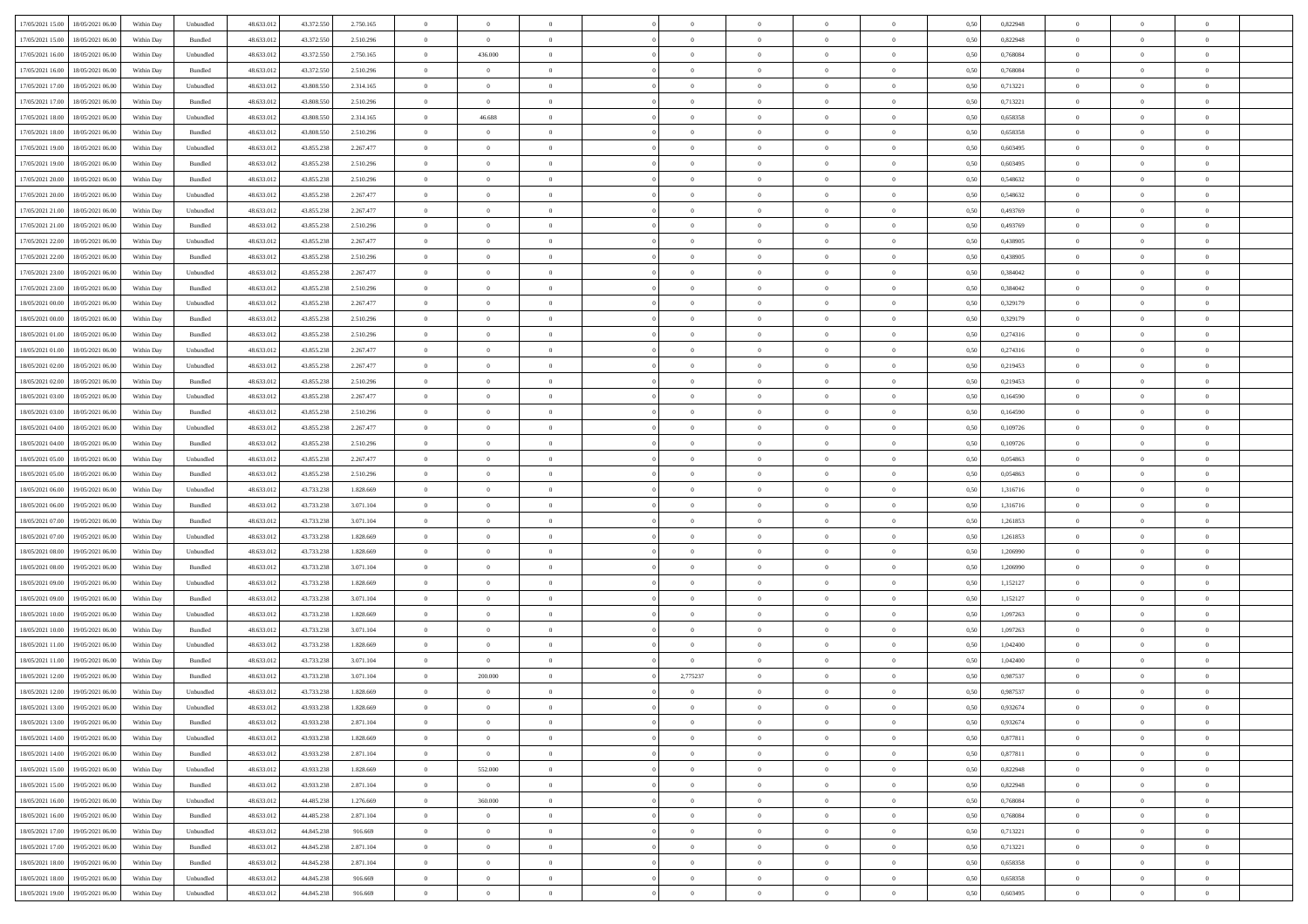| 17/05/2021 15:00                  | 18/05/2021 06:00 | Within Day | Unbundled                   | 48.633.012 | 43.372.550 | 2.750.165 | $\overline{0}$ | $\theta$       |                | $\overline{0}$ | $\bf{0}$       | $\overline{0}$ | $\theta$       | 0,50 | 0,822948 | $\theta$       | $\theta$       | $\overline{0}$           |  |
|-----------------------------------|------------------|------------|-----------------------------|------------|------------|-----------|----------------|----------------|----------------|----------------|----------------|----------------|----------------|------|----------|----------------|----------------|--------------------------|--|
| 17/05/2021 15:00                  | 18/05/2021 06:00 | Within Day | Bundled                     | 48.633.01  | 43.372.550 | 2.510.296 | $\overline{0}$ | $\overline{0}$ | $\overline{0}$ | $\overline{0}$ | $\,$ 0         | $\overline{0}$ | $\bf{0}$       | 0,50 | 0,822948 | $\,$ 0 $\,$    | $\overline{0}$ | $\overline{0}$           |  |
|                                   |                  |            |                             |            |            |           |                |                |                |                |                |                |                |      |          |                |                |                          |  |
| 17/05/2021 16:00                  | 18/05/2021 06:00 | Within Day | Unbundled                   | 48.633.012 | 43.372.550 | 2.750.165 | $\overline{0}$ | 436.000        | $\overline{0}$ | $\overline{0}$ | $\bf{0}$       | $\overline{0}$ | $\mathbf{0}$   | 0.50 | 0.768084 | $\bf{0}$       | $\overline{0}$ | $\overline{0}$           |  |
| 17/05/2021 16:00                  | 18/05/2021 06:00 | Within Day | Bundled                     | 48.633.012 | 43.372.550 | 2.510.296 | $\overline{0}$ | $\overline{0}$ | $\overline{0}$ | $\overline{0}$ | $\bf{0}$       | $\overline{0}$ | $\overline{0}$ | 0,50 | 0,768084 | $\theta$       | $\overline{0}$ | $\overline{0}$           |  |
| 17/05/2021 17:00                  | 18/05/2021 06:00 | Within Day | Unbundled                   | 48.633.01  | 43.808.550 | 2.314.165 | $\overline{0}$ | $\theta$       | $\overline{0}$ |                | $\overline{0}$ | $\overline{0}$ | $\bf{0}$       | 0,50 | 0,713221 | $\,$ 0 $\,$    | $\overline{0}$ | $\overline{0}$           |  |
| 17/05/2021 17:00                  | 18/05/2021 06:00 | Within Day | Bundled                     | 48.633.012 | 43,808,550 | 2.510.296 | $\overline{0}$ | $\overline{0}$ | $\overline{0}$ | $\overline{0}$ | $\bf{0}$       | $\overline{0}$ | $\bf{0}$       | 0.50 | 0,713221 | $\,0\,$        | $\theta$       | $\overline{0}$           |  |
| 17/05/2021 18:00                  | 18/05/2021 06:00 | Within Day | Unbundled                   | 48.633.012 | 43.808.550 | 2.314.165 | $\overline{0}$ | 46.688         | $\overline{0}$ | $\overline{0}$ | $\,$ 0         | $\overline{0}$ | $\overline{0}$ | 0,50 | 0,658358 | $\,0\,$        | $\theta$       | $\overline{0}$           |  |
| 17/05/2021 18:00                  | 18/05/2021 06:00 | Within Day | Bundled                     | 48.633.01  | 43.808.550 | 2.510.296 | $\overline{0}$ | $\theta$       | $\overline{0}$ |                | $\,$ 0         | $\overline{0}$ | $\bf{0}$       | 0,50 | 0,658358 | $\,$ 0 $\,$    | $\overline{0}$ | $\overline{0}$           |  |
| 17/05/2021 19:00                  | 18/05/2021 06:00 | Within Day | Unbundled                   | 48.633.012 | 43,855,238 | 2.267.477 | $\overline{0}$ | $\overline{0}$ | $\overline{0}$ | $\overline{0}$ | $\bf{0}$       | $\overline{0}$ | $\bf{0}$       | 0.50 | 0.603495 | $\,0\,$        | $\overline{0}$ | $\overline{0}$           |  |
| 17/05/2021 19:00                  | 18/05/2021 06:00 | Within Day | Bundled                     | 48.633.012 | 43.855.238 | 2.510.296 | $\overline{0}$ | $\overline{0}$ | $\overline{0}$ | $\overline{0}$ | $\bf{0}$       | $\overline{0}$ | $\bf{0}$       | 0,50 | 0,603495 | $\,$ 0 $\,$    | $\overline{0}$ | $\overline{0}$           |  |
| 17/05/2021 20:00                  | 18/05/2021 06:00 | Within Day | Bundled                     | 48.633.01  | 43.855.238 | 2.510.296 | $\bf{0}$       | $\theta$       | $\overline{0}$ | $\overline{0}$ | $\,$ 0         | $\overline{0}$ | $\bf{0}$       | 0,50 | 0,548632 | $\,$ 0 $\,$    | $\overline{0}$ | $\overline{0}$           |  |
| 17/05/2021 20:00                  | 18/05/2021 06:00 |            |                             | 48.633.012 |            | 2.267.477 | $\overline{0}$ | $\overline{0}$ | $\overline{0}$ | $\overline{0}$ |                | $\overline{0}$ |                | 0.50 | 0.548632 | $\bf{0}$       | $\overline{0}$ | $\bf{0}$                 |  |
|                                   |                  | Within Day | Unbundled                   |            | 43.855.238 |           |                |                |                |                | $\bf{0}$       |                | $\mathbf{0}$   |      |          |                |                |                          |  |
| 17/05/2021 21:00                  | 18/05/2021 06:00 | Within Day | Unbundled                   | 48.633.012 | 43.855.238 | 2.267.477 | $\overline{0}$ | $\overline{0}$ | $\overline{0}$ | $\overline{0}$ | $\,$ 0         | $\overline{0}$ | $\overline{0}$ | 0,50 | 0,493769 | $\,$ 0 $\,$    | $\overline{0}$ | $\overline{0}$           |  |
| 17/05/2021 21:00                  | 18/05/2021 06:00 | Within Day | Bundled                     | 48.633.01  | 43.855.238 | 2.510.296 | $\overline{0}$ | $\theta$       | $\overline{0}$ |                | $\bf{0}$       | $\overline{0}$ | $\bf{0}$       | 0,50 | 0,493769 | $\,$ 0 $\,$    | $\overline{0}$ | $\overline{0}$           |  |
| 17/05/2021 22.00                  | 18/05/2021 06:00 | Within Day | Unbundled                   | 48.633.012 | 43.855.238 | 2.267.477 | $\overline{0}$ | $\overline{0}$ | $\overline{0}$ | $\overline{0}$ | $\bf{0}$       | $\overline{0}$ | $\bf{0}$       | 0.50 | 0.438905 | $\,0\,$        | $\theta$       | $\overline{0}$           |  |
| 17/05/2021 22:00                  | 18/05/2021 06:00 | Within Day | Bundled                     | 48.633.012 | 43.855.238 | 2.510.296 | $\overline{0}$ | $\overline{0}$ | $\overline{0}$ | $\overline{0}$ | $\,$ 0         | $\overline{0}$ | $\overline{0}$ | 0,50 | 0,438905 | $\theta$       | $\theta$       | $\overline{0}$           |  |
| 17/05/2021 23:00                  | 18/05/2021 06:00 | Within Day | Unbundled                   | 48.633.01  | 43.855.238 | 2.267.477 | $\overline{0}$ | $\theta$       | $\overline{0}$ |                | $\,$ 0         | $\overline{0}$ | $\bf{0}$       | 0,50 | 0,384042 | $\,$ 0 $\,$    | $\overline{0}$ | $\overline{0}$           |  |
| 17/05/2021 23:00                  | 18/05/2021 06:00 | Within Day | Bundled                     | 48.633.012 | 43,855,238 | 2.510.296 | $\overline{0}$ | $\overline{0}$ | $\overline{0}$ | $\overline{0}$ | $\bf{0}$       | $\overline{0}$ | $\bf{0}$       | 0.50 | 0.384042 | $\,0\,$        | $\overline{0}$ | $\overline{\phantom{a}}$ |  |
| 18/05/2021 00:00                  | 18/05/2021 06:00 | Within Day | Unbundled                   | 48.633.012 | 43.855.238 | 2.267.477 | $\overline{0}$ | $\overline{0}$ | $\overline{0}$ | $\overline{0}$ | $\,$ 0         | $\overline{0}$ | $\bf{0}$       | 0,50 | 0,329179 | $\,$ 0 $\,$    | $\overline{0}$ | $\overline{0}$           |  |
| 18/05/2021 00:00                  | 18/05/2021 06:00 | Within Day | Bundled                     | 48.633.01  | 43.855.238 | 2.510.296 | $\bf{0}$       | $\,$ 0 $\,$    | $\overline{0}$ | $\overline{0}$ | $\,$ 0         | $\bf{0}$       | $\bf{0}$       | 0,50 | 0,329179 | $\,$ 0 $\,$    | $\overline{0}$ | $\overline{0}$           |  |
| 18/05/2021 01:00                  | 18/05/2021 06:00 | Within Day | Bundled                     | 48.633.012 | 43.855.238 | 2.510.296 | $\overline{0}$ | $\overline{0}$ | $\overline{0}$ | $\overline{0}$ | $\bf{0}$       | $\overline{0}$ | $\mathbf{0}$   | 0.50 | 0,274316 | $\,$ 0 $\,$    | $\overline{0}$ | $\overline{\phantom{a}}$ |  |
| 18/05/2021 01:00                  | 18/05/2021 06:00 | Within Day | Unbundled                   | 48.633.012 | 43.855.238 | 2.267.477 | $\overline{0}$ | $\overline{0}$ | $\overline{0}$ | $\overline{0}$ | $\bf{0}$       | $\overline{0}$ | $\overline{0}$ | 0,50 | 0,274316 | $\,$ 0 $\,$    | $\overline{0}$ | $\overline{0}$           |  |
| 18/05/2021 02:00                  | 18/05/2021 06:00 | Within Day | Unbundled                   | 48.633.01  | 43.855.238 | 2.267.477 | $\overline{0}$ | $\theta$       | $\overline{0}$ | $\overline{0}$ | $\,$ 0         | $\overline{0}$ | $\bf{0}$       | 0,50 | 0,219453 | $\,$ 0 $\,$    | $\overline{0}$ | $\overline{0}$           |  |
|                                   |                  |            |                             |            |            |           |                |                |                |                |                |                |                |      |          |                |                |                          |  |
| 18/05/2021 02:00                  | 18/05/2021 06:00 | Within Day | Bundled                     | 48.633.012 | 43.855.238 | 2.510.296 | $\overline{0}$ | $\overline{0}$ | $\overline{0}$ | $\overline{0}$ | $\bf{0}$       | $\overline{0}$ | $\bf{0}$       | 0.50 | 0.219453 | $\,0\,$        | $\theta$       | $\overline{0}$           |  |
| 18/05/2021 03:00                  | 18/05/2021 06:00 | Within Day | Unbundled                   | 48.633.012 | 43.855.238 | 2.267.477 | $\overline{0}$ | $\overline{0}$ | $\overline{0}$ | $\overline{0}$ | $\,$ 0         | $\overline{0}$ | $\overline{0}$ | 0,50 | 0,164590 | $\,$ 0 $\,$    | $\theta$       | $\overline{0}$           |  |
| 18/05/2021 03:00                  | 18/05/2021 06:00 | Within Day | Bundled                     | 48.633.01  | 43.855.238 | 2.510.296 | $\overline{0}$ | $\theta$       | $\overline{0}$ |                | $\,$ 0         | $\overline{0}$ | $\bf{0}$       | 0,50 | 0,164590 | $\,$ 0 $\,$    | $\overline{0}$ | $\overline{0}$           |  |
| 18/05/2021 04:00                  | 18/05/2021 06:00 | Within Day | Unbundled                   | 48.633.012 | 43,855,238 | 2.267.477 | $\overline{0}$ | $\overline{0}$ | $\overline{0}$ | $\overline{0}$ | $\bf{0}$       | $\overline{0}$ | $\bf{0}$       | 0.50 | 0.109726 | $\,0\,$        | $\overline{0}$ | $\overline{0}$           |  |
| 18/05/2021 04:00                  | 18/05/2021 06:00 | Within Day | Bundled                     | 48.633.012 | 43.855.238 | 2.510.296 | $\overline{0}$ | $\overline{0}$ | $\overline{0}$ | $\overline{0}$ | $\bf{0}$       | $\overline{0}$ | $\bf{0}$       | 0,50 | 0,109726 | $\,$ 0 $\,$    | $\theta$       | $\overline{0}$           |  |
| 18/05/2021 05:00                  | 18/05/2021 06:00 | Within Day | Unbundled                   | 48.633.01  | 43.855.238 | 2.267.477 | $\overline{0}$ | $\overline{0}$ | $\overline{0}$ | $\overline{0}$ | $\bf{0}$       | $\bf{0}$       | $\bf{0}$       | 0,50 | 0,054863 | $\,$ 0 $\,$    | $\overline{0}$ | $\overline{0}$           |  |
| 18/05/2021 05:00                  | 18/05/2021 06:00 | Within Day | Bundled                     | 48.633.012 | 43.855.238 | 2.510.296 | $\overline{0}$ | $\overline{0}$ | $\overline{0}$ | $\overline{0}$ | $\bf{0}$       | $\overline{0}$ | $\mathbf{0}$   | 0.50 | 0.054863 | $\bf{0}$       | $\overline{0}$ | $\bf{0}$                 |  |
| 18/05/2021 06:00                  | 19/05/2021 06:00 | Within Dav | Unbundled                   | 48.633.012 | 43.733.238 | 1.828,669 | $\overline{0}$ | $\overline{0}$ | $\overline{0}$ | $\overline{0}$ | $\overline{0}$ | $\overline{0}$ | $\overline{0}$ | 0.50 | 1,316716 | $\theta$       | $\overline{0}$ | $\overline{0}$           |  |
| 18/05/2021 06:00                  | 19/05/2021 06.00 | Within Day | Bundled                     | 48.633.01  | 43.733.238 | 3.071.104 | $\overline{0}$ | $\theta$       | $\overline{0}$ |                | $\,$ 0         | $\overline{0}$ | $\bf{0}$       | 0,50 | 1,316716 | $\,$ 0 $\,$    | $\overline{0}$ | $\overline{0}$           |  |
| 18/05/2021 07:00                  | 19/05/2021 06:00 | Within Day | Bundled                     | 48.633.012 | 43.733.238 | 3.071.104 | $\overline{0}$ | $\overline{0}$ | $\overline{0}$ | $\overline{0}$ | $\bf{0}$       | $\overline{0}$ | $\bf{0}$       | 0.50 | 1.261853 | $\,0\,$        | $\theta$       | $\overline{0}$           |  |
| 18/05/2021 07:00                  | 19/05/2021 06:00 | Within Dav | Unbundled                   | 48.633.012 | 43.733.238 | 1.828.669 | $\overline{0}$ | $\overline{0}$ | $\Omega$       | $\Omega$       | $\mathbf{0}$   | $\overline{0}$ | $\overline{0}$ | 0.50 | 1,261853 | $\theta$       | $\overline{0}$ | $\overline{0}$           |  |
| 18/05/2021 08:00                  | 19/05/2021 06.00 | Within Day | Unbundled                   | 48.633.01  | 43.733.238 | 1.828.669 | $\overline{0}$ | $\theta$       | $\overline{0}$ |                | $\,$ 0         | $\overline{0}$ | $\bf{0}$       | 0,50 | 1,206990 | $\,$ 0 $\,$    | $\overline{0}$ | $\overline{0}$           |  |
| 18/05/2021 08:00                  | 19/05/2021 06:00 |            | Bundled                     | 48.633.012 |            | 3.071.104 |                | $\overline{0}$ | $\overline{0}$ | $\overline{0}$ | $\bf{0}$       | $\overline{0}$ |                | 0.50 | 1.206990 | $\,0\,$        | $\overline{0}$ | $\overline{0}$           |  |
|                                   |                  | Within Day |                             |            | 43.733.238 |           | $\overline{0}$ |                |                |                |                |                | $\bf{0}$       |      |          |                |                |                          |  |
| 18/05/2021 09:00                  | 19/05/2021 06:00 | Within Dav | Unbundled                   | 48.633.012 | 43.733.238 | 1.828.669 | $\overline{0}$ | $\overline{0}$ | $\overline{0}$ | $\overline{0}$ | $\overline{0}$ | $\overline{0}$ | $\overline{0}$ | 0.50 | 1,152127 | $\theta$       | $\overline{0}$ | $\overline{0}$           |  |
| 18/05/2021 09:00                  | 19/05/2021 06.00 | Within Day | Bundled                     | 48.633.01  | 43.733.238 | 3.071.104 | $\overline{0}$ | $\overline{0}$ | $\overline{0}$ | $\overline{0}$ | $\bf{0}$       | $\bf{0}$       | $\bf{0}$       | 0,50 | 1,152127 | $\,$ 0 $\,$    | $\overline{0}$ | $\overline{0}$           |  |
| 18/05/2021 10:00                  | 19/05/2021 06:00 | Within Day | Unbundled                   | 48.633.012 | 43.733.238 | 1.828,669 | $\overline{0}$ | $\overline{0}$ | $\overline{0}$ | $\overline{0}$ | $\bf{0}$       | $\overline{0}$ | $\mathbf{0}$   | 0.50 | 1,097263 | $\,$ 0 $\,$    | $\overline{0}$ | $\overline{0}$           |  |
| 18/05/2021 10:00                  | 19/05/2021 06:00 | Within Dav | Bundled                     | 48.633.012 | 43.733.238 | 3.071.104 | $\overline{0}$ | $\overline{0}$ | $\Omega$       | $\Omega$       | $\mathbf{0}$   | $\overline{0}$ | $\overline{0}$ | 0.50 | 1,097263 | $\theta$       | $\overline{0}$ | $\overline{0}$           |  |
| 18/05/2021 11:00                  | 19/05/2021 06.00 | Within Day | Unbundled                   | 48.633.01  | 43.733.238 | 1.828.669 | $\overline{0}$ | $\theta$       | $\overline{0}$ | $\overline{0}$ | $\,$ 0         | $\overline{0}$ | $\bf{0}$       | 0,50 | 1,042400 | $\,$ 0 $\,$    | $\overline{0}$ | $\overline{0}$           |  |
| 18/05/2021 11:00                  | 19/05/2021 06:00 | Within Day | Bundled                     | 48.633.012 | 43.733.238 | 3.071.104 | $\overline{0}$ | $\overline{0}$ | $\overline{0}$ | $\overline{0}$ | $\,$ 0         | $\overline{0}$ | $\overline{0}$ | 0.50 | 1.042400 | $\,0\,$        | $\theta$       | $\overline{0}$           |  |
| 18/05/2021 12:00                  | 19/05/2021 06:00 | Within Dav | Bundled                     | 48.633.012 | 43.733.238 | 3.071.104 | $\overline{0}$ | 200.000        | $\Omega$       | 2,775237       | $\bf{0}$       | $\overline{0}$ | $\mathbf{0}$   | 0.50 | 0,987537 | $\theta$       | $\overline{0}$ | $\overline{0}$           |  |
| 18/05/2021 12:00                  | 19/05/2021 06:00 | Within Day | Unbundled                   | 48.633.012 | 43.733.238 | 1.828.669 | $\overline{0}$ | $\overline{0}$ | $\overline{0}$ |                | $\,$ 0         | $\overline{0}$ | $\bf{0}$       | 0,50 | 0,987537 | $\,$ 0 $\,$    | $\overline{0}$ | $\overline{0}$           |  |
| 18/05/2021 13:00                  | 19/05/2021 06:00 | Within Day | $\ensuremath{\mathsf{Unb}}$ | 48.633.012 | 43.933.238 | 1.828.669 | $\bf{0}$       | $\theta$       |                |                |                |                |                | 0,50 | 0.932674 | $\bf{0}$       | $\theta$       |                          |  |
| 18/05/2021 13:00                  | 19/05/2021 06:00 | Within Day | Bundled                     | 48.633.012 | 43.933.238 | 2.871.104 | $\Omega$       | $\overline{0}$ | $\overline{0}$ | $\Omega$       | $\mathbf{0}$   | $\overline{0}$ | $\overline{0}$ | 0.50 | 0,932674 | $\theta$       | $\theta$       | $\overline{0}$           |  |
| 18/05/2021 14:00                  | 19/05/2021 06:00 | Within Day | Unbundled                   | 48.633.012 | 43.933.238 | 1.828.669 | $\overline{0}$ | $\overline{0}$ | $\overline{0}$ | $\overline{0}$ | $\overline{0}$ | $\overline{0}$ | $\mathbf{0}$   | 0,50 | 0,877811 | $\overline{0}$ | $\overline{0}$ | $\bf{0}$                 |  |
| 18/05/2021 14:00                  | 19/05/2021 06:00 | Within Day | Bundled                     | 48.633.012 | 43.933.238 | 2.871.104 | $\overline{0}$ | $\overline{0}$ | $\overline{0}$ | $\overline{0}$ | $\overline{0}$ | $\overline{0}$ | $\mathbf{0}$   | 0.50 | 0.877811 | $\overline{0}$ | $\bf{0}$       | $\bf{0}$                 |  |
|                                   |                  |            |                             |            |            |           |                |                |                |                |                |                |                |      |          |                |                |                          |  |
| 18/05/2021 15:00                  | 19/05/2021 06:00 | Within Day | Unbundled                   | 48.633.012 | 43.933.238 | 1.828.669 | $\overline{0}$ | 552.000        | $\overline{0}$ | $\overline{0}$ | $\overline{0}$ | $\overline{0}$ | $\overline{0}$ | 0.50 | 0,822948 | $\overline{0}$ | $\theta$       | $\overline{0}$           |  |
| 18/05/2021 15:00                  | 19/05/2021 06:00 | Within Day | Bundled                     | 48.633.012 | 43.933.238 | 2.871.104 | $\overline{0}$ | $\overline{0}$ | $\overline{0}$ | $\overline{0}$ | $\bf{0}$       | $\overline{0}$ | $\bf{0}$       | 0,50 | 0,822948 | $\bf{0}$       | $\overline{0}$ | $\overline{0}$           |  |
| 18/05/2021 16:00                  | 19/05/2021 06:00 | Within Day | Unbundled                   | 48.633.012 | 44.485.238 | 1.276.669 | $\overline{0}$ | 360,000        | $\overline{0}$ | $\overline{0}$ | $\bf{0}$       | $\overline{0}$ | $\mathbf{0}$   | 0.50 | 0.768084 | $\,$ 0 $\,$    | $\overline{0}$ | $\overline{0}$           |  |
| 18/05/2021 16:00                  | 19/05/2021 06:00 | Within Day | Bundled                     | 48.633.012 | 44.485.238 | 2.871.104 | $\overline{0}$ | $\overline{0}$ | $\overline{0}$ | $\overline{0}$ | $\overline{0}$ | $\overline{0}$ | $\overline{0}$ | 0.50 | 0,768084 | $\overline{0}$ | $\theta$       | $\overline{0}$           |  |
| 18/05/2021 17:00                  | 19/05/2021 06:00 | Within Day | Unbundled                   | 48.633.01  | 44.845.238 | 916.669   | $\overline{0}$ | $\,$ 0         | $\overline{0}$ | $\bf{0}$       | $\,$ 0 $\,$    | $\overline{0}$ | $\bf{0}$       | 0,50 | 0,713221 | $\,$ 0 $\,$    | $\overline{0}$ | $\overline{0}$           |  |
| 18/05/2021 17:00                  | 19/05/2021 06:00 | Within Day | Bundled                     | 48.633.012 | 44,845.238 | 2.871.104 | $\overline{0}$ | $\overline{0}$ | $\overline{0}$ | $\overline{0}$ | $\bf{0}$       | $\overline{0}$ | $\mathbf{0}$   | 0.50 | 0.713221 | $\mathbf{0}$   | $\bf{0}$       | $\overline{0}$           |  |
| 18/05/2021 18:00                  | 19/05/2021 06:00 | Within Dav | Bundled                     | 48.633.012 | 44.845.238 | 2.871.104 | $\overline{0}$ | $\overline{0}$ | $\overline{0}$ | $\overline{0}$ | $\overline{0}$ | $\overline{0}$ | $\overline{0}$ | 0,50 | 0,658358 | $\overline{0}$ | $\theta$       | $\overline{0}$           |  |
| 18/05/2021 18:00                  | 19/05/2021 06:00 | Within Day | Unbundled                   | 48.633.01  | 44.845.238 | 916.669   | $\overline{0}$ | $\overline{0}$ | $\overline{0}$ | $\bf{0}$       | $\bf{0}$       | $\bf{0}$       | $\bf{0}$       | 0,50 | 0,658358 | $\bf{0}$       | $\overline{0}$ | $\bf{0}$                 |  |
| 18/05/2021 19:00 19/05/2021 06:00 |                  | Within Day | Unbundled                   | 48.633.012 | 44.845.238 | 916.669   | $\overline{0}$ | $\overline{0}$ | $\overline{0}$ | $\overline{0}$ | $\bf{0}$       | $\overline{0}$ | $\,$ 0 $\,$    | 0,50 | 0,603495 | $\overline{0}$ | $\,$ 0 $\,$    | $\,$ 0 $\,$              |  |
|                                   |                  |            |                             |            |            |           |                |                |                |                |                |                |                |      |          |                |                |                          |  |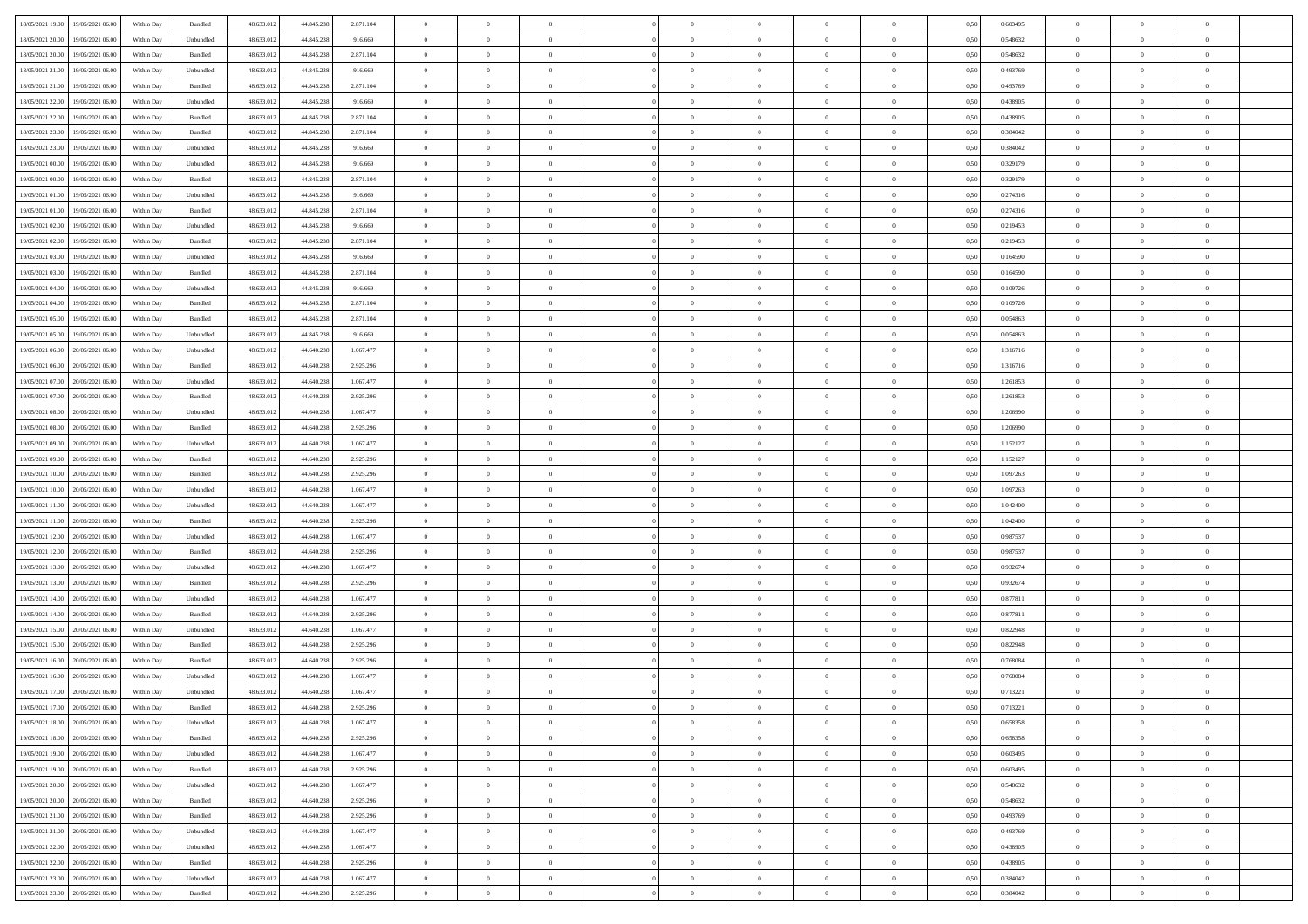| 18/05/2021 19:00 19/05/2021 06:00            | Within Day | Bundled   | 48.633.01  | 44.845.238 | 2.871.104 | $\overline{0}$ | $\overline{0}$ |                | $\overline{0}$ | $\theta$       |                | $\bf{0}$       | 0,50 | 0,603495 | $\theta$       | $\theta$       | $\theta$       |  |
|----------------------------------------------|------------|-----------|------------|------------|-----------|----------------|----------------|----------------|----------------|----------------|----------------|----------------|------|----------|----------------|----------------|----------------|--|
|                                              |            |           |            |            |           |                |                |                |                |                |                |                |      |          |                |                |                |  |
| 18/05/2021 20:00<br>19/05/2021 06:00         | Within Day | Unbundled | 48.633.01  | 44.845.238 | 916.669   | $\bf{0}$       | $\overline{0}$ | $\bf{0}$       | $\overline{0}$ | $\overline{0}$ | $\overline{0}$ | $\bf{0}$       | 0,50 | 0,548632 | $\,$ 0 $\,$    | $\bf{0}$       | $\overline{0}$ |  |
| 18/05/2021 20:00<br>19/05/2021 06:00         | Within Day | Bundled   | 48.633.013 | 44.845.238 | 2.871.104 | $\overline{0}$ | $\bf{0}$       | $\overline{0}$ | $\bf{0}$       | $\bf{0}$       | $\overline{0}$ | $\bf{0}$       | 0.50 | 0.548632 | $\bf{0}$       | $\overline{0}$ | $\overline{0}$ |  |
| 18/05/2021 21:00<br>19/05/2021 06:00         | Within Day | Unbundled | 48.633.01  | 44.845.238 | 916.669   | $\overline{0}$ | $\overline{0}$ | $\overline{0}$ | $\theta$       | $\theta$       | $\overline{0}$ | $\bf{0}$       | 0,50 | 0,493769 | $\theta$       | $\theta$       | $\overline{0}$ |  |
| 18/05/2021 21:00<br>19/05/2021 06:00         | Within Day | Bundled   | 48.633.01  | 44.845.238 | 2.871.104 | $\overline{0}$ | $\overline{0}$ | $\bf{0}$       | $\overline{0}$ | $\theta$       | $\overline{0}$ | $\bf{0}$       | 0,50 | 0,493769 | $\,$ 0 $\,$    | $\bf{0}$       | $\overline{0}$ |  |
| 18/05/2021 22:00<br>19/05/2021 06:00         |            | Unbundled | 48.633.013 | 44,845,238 | 916.669   | $\overline{0}$ | $\overline{0}$ | $\overline{0}$ | $\bf{0}$       | $\overline{0}$ | $\theta$       | $\bf{0}$       | 0.50 | 0.438905 | $\bf{0}$       | $\theta$       | $\overline{0}$ |  |
|                                              | Within Day |           |            |            |           |                |                |                |                |                |                |                |      |          |                |                |                |  |
| 18/05/2021 22:00<br>19/05/2021 06:00         | Within Day | Bundled   | 48.633.013 | 44.845.238 | 2.871.104 | $\overline{0}$ | $\overline{0}$ | $\overline{0}$ | $\overline{0}$ | $\overline{0}$ | $\overline{0}$ | $\bf{0}$       | 0,50 | 0,438905 | $\theta$       | $\theta$       | $\overline{0}$ |  |
| 18/05/2021 23:00<br>19/05/2021 06:00         | Within Day | Bundled   | 48.633.01  | 44.845.23  | 2.871.104 | $\overline{0}$ | $\overline{0}$ | $\bf{0}$       | $\overline{0}$ | $\bf{0}$       | $\overline{0}$ | $\bf{0}$       | 0,50 | 0,384042 | $\,$ 0 $\,$    | $\bf{0}$       | $\overline{0}$ |  |
| 18/05/2021 23:00<br>19/05/2021 06:00         | Within Day | Unbundled | 48.633.013 | 44.845.23  | 916.669   | $\overline{0}$ | $\bf{0}$       | $\overline{0}$ | $\bf{0}$       | $\overline{0}$ | $\overline{0}$ | $\bf{0}$       | 0.50 | 0.384042 | $\bf{0}$       | $\overline{0}$ | $\overline{0}$ |  |
| 19/05/2021 00:00<br>19/05/2021 06:00         | Within Day | Unbundled | 48.633.013 | 44.845.238 | 916.669   | $\overline{0}$ | $\bf{0}$       | $\overline{0}$ | $\overline{0}$ | $\overline{0}$ | $\overline{0}$ | $\bf{0}$       | 0,50 | 0,329179 | $\,$ 0 $\,$    | $\bf{0}$       | $\overline{0}$ |  |
| 19/05/2021 00:00<br>19/05/2021 06:00         | Within Day | Bundled   | 48.633.01  | 44.845.238 | 2.871.104 | $\bf{0}$       | $\overline{0}$ | $\bf{0}$       | $\overline{0}$ | $\bf{0}$       | $\overline{0}$ | $\bf{0}$       | 0,50 | 0,329179 | $\,$ 0 $\,$    | $\bf{0}$       | $\overline{0}$ |  |
| 19/05/2021 01:00<br>19/05/2021 06:00         | Within Day | Unbundled | 48.633.013 | 44.845.238 | 916.669   | $\overline{0}$ | $\bf{0}$       | $\overline{0}$ | $\bf{0}$       | $\bf{0}$       | $\overline{0}$ | $\bf{0}$       | 0.50 | 0,274316 | $\bf{0}$       | $\overline{0}$ | $\bf{0}$       |  |
| 19/05/2021 01:00<br>19/05/2021 06:00         | Within Day | Bundled   | 48.633.01  | 44.845.238 | 2.871.104 | $\overline{0}$ | $\overline{0}$ | $\overline{0}$ | $\theta$       | $\theta$       | $\overline{0}$ | $\bf{0}$       | 0,50 | 0,274316 | $\,$ 0 $\,$    | $\theta$       | $\overline{0}$ |  |
|                                              |            |           |            |            |           |                |                |                |                |                |                |                |      |          |                |                |                |  |
| 19/05/2021 02:00<br>19/05/2021 06:00         | Within Day | Unbundled | 48.633.01  | 44.845.23  | 916.669   | $\bf{0}$       | $\overline{0}$ | $\bf{0}$       | $\overline{0}$ | $\theta$       | $\overline{0}$ | $\bf{0}$       | 0,50 | 0,219453 | $\,$ 0 $\,$    | $\bf{0}$       | $\overline{0}$ |  |
| 19/05/2021 02:00<br>19/05/2021 06:00         | Within Day | Bundled   | 48.633.013 | 44,845,238 | 2.871.104 | $\overline{0}$ | $\overline{0}$ | $\overline{0}$ | $\bf{0}$       | $\overline{0}$ | $\Omega$       | $\bf{0}$       | 0.50 | 0,219453 | $\,$ 0 $\,$    | $\theta$       | $\overline{0}$ |  |
| 19/05/2021 03:00<br>19/05/2021 06:00         | Within Day | Unbundled | 48.633.013 | 44.845.238 | 916.669   | $\overline{0}$ | $\overline{0}$ | $\overline{0}$ | $\overline{0}$ | $\theta$       | $\overline{0}$ | $\bf{0}$       | 0,50 | 0,164590 | $\theta$       | $\theta$       | $\overline{0}$ |  |
| 19/05/2021 03:00<br>19/05/2021 06:00         | Within Day | Bundled   | 48.633.01  | 44.845.238 | 2.871.104 | $\bf{0}$       | $\overline{0}$ | $\bf{0}$       | $\overline{0}$ | $\theta$       | $\overline{0}$ | $\bf{0}$       | 0,50 | 0,164590 | $\,$ 0 $\,$    | $\bf{0}$       | $\overline{0}$ |  |
| 19/05/2021 04:00<br>19/05/2021 06:00         | Within Day | Unbundled | 48.633.013 | 44.845.23  | 916.669   | $\overline{0}$ | $\bf{0}$       | $\overline{0}$ | $\bf{0}$       | $\overline{0}$ | $\overline{0}$ | $\bf{0}$       | 0.50 | 0.109726 | $\bf{0}$       | $\overline{0}$ | $\overline{0}$ |  |
| 19/05/2021 04:00<br>19/05/2021 06:00         | Within Day | Bundled   | 48.633.013 | 44.845.238 | 2.871.104 | $\overline{0}$ | $\bf{0}$       | $\overline{0}$ | $\overline{0}$ | $\overline{0}$ | $\overline{0}$ | $\bf{0}$       | 0,50 | 0,109726 | $\,$ 0 $\,$    | $\theta$       | $\overline{0}$ |  |
| 19/05/2021 05:00<br>19/05/2021 06:00         | Within Day | Bundled   | 48.633.01  | 44.845.238 | 2.871.104 | $\bf{0}$       | $\bf{0}$       | $\bf{0}$       | $\bf{0}$       | $\overline{0}$ | $\overline{0}$ | $\bf{0}$       | 0,50 | 0,054863 | $\,$ 0 $\,$    | $\bf{0}$       | $\overline{0}$ |  |
|                                              |            | Unbundled | 48.633.013 |            | 916.669   |                | $\bf{0}$       | $\overline{0}$ |                | $\bf{0}$       | $\overline{0}$ |                | 0.50 | 0.054863 | $\bf{0}$       | $\overline{0}$ | $\overline{0}$ |  |
| 19/05/2021 05:00<br>19/05/2021 06:00         | Within Day |           |            | 44.845.238 |           | $\overline{0}$ |                |                | $\bf{0}$       |                |                | $\bf{0}$       |      |          |                |                |                |  |
| 19/05/2021 06:00<br>20/05/2021 06:00         | Within Day | Unbundled | 48.633.01  | 44.640.238 | 1.067.477 | $\overline{0}$ | $\overline{0}$ | $\overline{0}$ | $\theta$       | $\theta$       | $\overline{0}$ | $\bf{0}$       | 0,50 | 1,316716 | $\theta$       | $\theta$       | $\overline{0}$ |  |
| 19/05/2021 06:00<br>20/05/2021 06:00         | Within Day | Bundled   | 48.633.01  | 44.640.238 | 2.925.296 | $\bf{0}$       | $\overline{0}$ | $\bf{0}$       | $\overline{0}$ | $\bf{0}$       | $\overline{0}$ | $\bf{0}$       | 0,50 | 1,316716 | $\,$ 0 $\,$    | $\bf{0}$       | $\overline{0}$ |  |
| 19/05/2021 07:00<br>20/05/2021 06:00         | Within Day | Unbundled | 48.633.013 | 44.640.238 | 1.067.477 | $\overline{0}$ | $\overline{0}$ | $\overline{0}$ | $\bf{0}$       | $\overline{0}$ | $\Omega$       | $\bf{0}$       | 0.50 | 1.261853 | $\,$ 0 $\,$    | $\theta$       | $\overline{0}$ |  |
| 19/05/2021 07:00<br>20/05/2021 06:00         | Within Day | Bundled   | 48.633.013 | 44.640.238 | 2.925.296 | $\overline{0}$ | $\overline{0}$ | $\overline{0}$ | $\overline{0}$ | $\theta$       | $\overline{0}$ | $\bf{0}$       | 0,50 | 1,261853 | $\,$ 0 $\,$    | $\theta$       | $\overline{0}$ |  |
| 19/05/2021 08:00<br>20/05/2021 06:00         | Within Day | Unbundled | 48.633.01  | 44.640.23  | 1.067.477 | $\bf{0}$       | $\overline{0}$ | $\bf{0}$       | $\overline{0}$ | $\theta$       | $\overline{0}$ | $\bf{0}$       | 0,50 | 1,206990 | $\,$ 0 $\,$    | $\bf{0}$       | $\overline{0}$ |  |
| 19/05/2021 08:00<br>20/05/2021 06:00         | Within Day | Bundled   | 48.633.013 | 44.640.238 | 2.925.296 | $\overline{0}$ | $\bf{0}$       | $\overline{0}$ | $\bf{0}$       | $\overline{0}$ | $\overline{0}$ | $\bf{0}$       | 0.50 | 1.206990 | $\bf{0}$       | $\overline{0}$ | $\overline{0}$ |  |
| 19/05/2021 09:00<br>20/05/2021 06:00         | Within Day | Unbundled | 48.633.01  | 44.640.238 | 1.067.477 | $\overline{0}$ | $\overline{0}$ | $\overline{0}$ | $\overline{0}$ | $\overline{0}$ | $\overline{0}$ | $\bf{0}$       | 0,50 | 1,152127 | $\theta$       | $\theta$       | $\overline{0}$ |  |
| 19/05/2021 09:00<br>20/05/2021 06:00         | Within Day | Bundled   | 48.633.01  | 44.640.238 | 2.925.296 | $\bf{0}$       | $\bf{0}$       | $\bf{0}$       | $\bf{0}$       | $\overline{0}$ | $\overline{0}$ | $\bf{0}$       | 0,50 | 1,152127 | $\,$ 0 $\,$    | $\bf{0}$       | $\overline{0}$ |  |
|                                              |            |           |            |            |           |                |                |                |                |                |                |                |      |          |                |                |                |  |
| 19/05/2021 10:00<br>20/05/2021 06:00         | Within Day | Bundled   | 48.633.013 | 44.640.238 | 2.925.296 | $\overline{0}$ | $\bf{0}$       | $\overline{0}$ | $\bf{0}$       | $\bf{0}$       | $\overline{0}$ | $\bf{0}$       | 0.50 | 1.097263 | $\bf{0}$       | $\overline{0}$ | $\overline{0}$ |  |
| 19/05/2021 10:00<br>20/05/2021 06:00         | Within Day | Unbundled | 48.633.013 | 44.640.238 | 1.067.477 | $\overline{0}$ | $\overline{0}$ | $\overline{0}$ | $\overline{0}$ | $\overline{0}$ | $\overline{0}$ | $\bf{0}$       | 0.5( | 1,097263 | $\theta$       | $\theta$       | $\overline{0}$ |  |
| 19/05/2021 11:00<br>20/05/2021 06:00         | Within Day | Unbundled | 48.633.01  | 44.640.238 | 1.067.477 | $\bf{0}$       | $\overline{0}$ | $\bf{0}$       | $\bf{0}$       | $\overline{0}$ | $\overline{0}$ | $\bf{0}$       | 0,50 | 1,042400 | $\,$ 0 $\,$    | $\bf{0}$       | $\overline{0}$ |  |
| 19/05/2021 11:00<br>20/05/2021 06:00         | Within Day | Bundled   | 48.633.013 | 44.640.238 | 2.925.296 | $\overline{0}$ | $\bf{0}$       | $\overline{0}$ | $\bf{0}$       | $\bf{0}$       | $\Omega$       | $\bf{0}$       | 0.50 | 1.042400 | $\,$ 0 $\,$    | $\theta$       | $\overline{0}$ |  |
| 19/05/2021 12:00<br>20/05/2021 06:00         | Within Dav | Unbundled | 48.633.013 | 44.640.238 | 1.067.477 | $\overline{0}$ | $\overline{0}$ | $\overline{0}$ | $\overline{0}$ | $\theta$       | $\overline{0}$ | $\bf{0}$       | 0.50 | 0,987537 | $\theta$       | $\theta$       | $\overline{0}$ |  |
| 19/05/2021 12:00<br>20/05/2021 06:00         | Within Day | Bundled   | 48.633.01  | 44.640.238 | 2.925.296 | $\bf{0}$       | $\bf{0}$       | $\bf{0}$       | $\overline{0}$ | $\bf{0}$       | $\overline{0}$ | $\bf{0}$       | 0,50 | 0,987537 | $\,$ 0 $\,$    | $\bf{0}$       | $\overline{0}$ |  |
| 19/05/2021 13:00<br>20/05/2021 06:00         | Within Day | Unbundled | 48.633.013 | 44.640.23  | 1.067.477 | $\overline{0}$ | $\bf{0}$       | $\overline{0}$ | $\bf{0}$       | $\overline{0}$ | $\overline{0}$ | $\bf{0}$       | 0.50 | 0.932674 | $\bf{0}$       | $\overline{0}$ | $\overline{0}$ |  |
| 19/05/2021 13:00<br>20/05/2021 06:00         | Within Dav | Bundled   | 48.633.013 | 44.640.238 | 2.925.296 | $\overline{0}$ | $\overline{0}$ | $\overline{0}$ | $\overline{0}$ | $\overline{0}$ | $\overline{0}$ | $\bf{0}$       | 0.50 | 0,932674 | $\theta$       | $\theta$       | $\overline{0}$ |  |
| 20/05/2021 06:00                             | Within Day | Unbundled | 48.633.01  | 44.640.238 | 1.067.477 | $\bf{0}$       | $\bf{0}$       | $\bf{0}$       | $\bf{0}$       | $\overline{0}$ | $\overline{0}$ | $\bf{0}$       | 0,50 | 0,877811 | $\,$ 0 $\,$    | $\bf{0}$       | $\overline{0}$ |  |
| 19/05/2021 14:00                             |            |           |            |            |           |                |                |                |                |                |                |                |      |          |                |                |                |  |
| 19/05/2021 14:00<br>20/05/2021 06:00         | Within Day | Bundled   | 48.633.013 | 44.640.238 | 2.925.296 | $\overline{0}$ | $\bf{0}$       | $\overline{0}$ | $\bf{0}$       | $\bf{0}$       | $\overline{0}$ | $\bf{0}$       | 0.50 | 0.877811 | $\bf{0}$       | $\overline{0}$ | $\overline{0}$ |  |
| 19/05/2021 15:00<br>20/05/2021 06:00         | Within Dav | Unbundled | 48.633.013 | 44.640.238 | 1.067.477 | $\overline{0}$ | $\overline{0}$ | $\overline{0}$ | $\overline{0}$ | $\theta$       | $\overline{0}$ | $\bf{0}$       | 0.5( | 0,822948 | $\theta$       | $\theta$       | $\overline{0}$ |  |
| 19/05/2021 15:00<br>20/05/2021 06:00         | Within Day | Bundled   | 48.633.01  | 44.640.238 | 2.925.296 | $\bf{0}$       | $\bf{0}$       | $\bf{0}$       | $\bf{0}$       | $\overline{0}$ | $\overline{0}$ | $\bf{0}$       | 0,50 | 0,822948 | $\,$ 0 $\,$    | $\bf{0}$       | $\overline{0}$ |  |
| 19/05/2021 16:00<br>20/05/2021 06:00         | Within Day | Bundled   | 48.633.013 | 44.640.238 | 2.925.296 | $\overline{0}$ | $\overline{0}$ | $\overline{0}$ | $\bf{0}$       | $\theta$       | $\Omega$       | $\bf{0}$       | 0.50 | 0.768084 | $\,$ 0 $\,$    | $\theta$       | $\overline{0}$ |  |
| 19/05/2021 16:00<br>20/05/2021 06:00         | Within Dav | Unbundled | 48.633.013 | 44.640.23  | 1.067.477 | $\overline{0}$ | $\overline{0}$ | $\Omega$       | $\overline{0}$ | $\theta$       | $\Omega$       | $\overline{0}$ | 0.5( | 0,768084 | $\theta$       | $\theta$       | $\overline{0}$ |  |
| 19/05/2021 17:00<br>20/05/2021 06:00         | Within Day | Unbundled | 48.633.01  | 44.640.238 | 1.067.477 | $\bf{0}$       | $\,$ 0 $\,$    | $\overline{0}$ | $\bf{0}$       | $\bf{0}$       | $\overline{0}$ | $\bf{0}$       | 0,50 | 0,713221 | $\,$ 0 $\,$    | $\bf{0}$       | $\overline{0}$ |  |
| $19/05/2021\ 17.00 \qquad 20/05/2021\ 06.00$ | Within Day | Bundled   | 48.633.012 | 44.640.238 | 2.925.296 | $\overline{0}$ |                |                | $\Omega$       |                |                |                | 0,50 | 0,713221 | $\theta$       | $\overline{0}$ |                |  |
| 19/05/2021 18:00 20/05/2021 06:00            | Within Day | Unbundled | 48.633.012 | 44.640.238 | 1.067.477 | $\overline{0}$ | $\overline{0}$ | $\overline{0}$ | $\theta$       | $\overline{0}$ | $\overline{0}$ | $\bf{0}$       | 0,50 | 0,658358 | $\theta$       | $\overline{0}$ | $\overline{0}$ |  |
|                                              |            |           |            |            |           |                |                |                |                |                |                |                |      |          |                |                |                |  |
| 19/05/2021 18:00<br>20/05/2021 06:00         | Within Day | Bundled   | 48.633.013 | 44.640.238 | 2.925.296 | $\overline{0}$ | $\bf{0}$       | $\overline{0}$ | $\overline{0}$ | $\bf{0}$       | $\overline{0}$ | $\bf{0}$       | 0,50 | 0,658358 | $\bf{0}$       | $\overline{0}$ | $\bf{0}$       |  |
| 19/05/2021 19:00 20/05/2021 06:00            | Within Day | Unbundled | 48.633.012 | 44.640.238 | 1.067.477 | $\overline{0}$ | $\overline{0}$ | $\overline{0}$ | $\overline{0}$ | $\mathbf{0}$   | $\overline{0}$ | $\,$ 0 $\,$    | 0.50 | 0.603495 | $\overline{0}$ | $\bf{0}$       | $\bf{0}$       |  |
| 19/05/2021 19:00 20/05/2021 06:00            | Within Day | Bundled   | 48.633.012 | 44.640.238 | 2.925.296 | $\overline{0}$ | $\overline{0}$ | $\overline{0}$ | $\overline{0}$ | $\overline{0}$ | $\overline{0}$ | $\bf{0}$       | 0,50 | 0,603495 | $\overline{0}$ | $\theta$       | $\overline{0}$ |  |
| 19/05/2021 20:00<br>20/05/2021 06:00         | Within Day | Unbundled | 48.633.012 | 44.640.238 | 1.067.477 | $\overline{0}$ | $\bf{0}$       | $\overline{0}$ | $\overline{0}$ | $\bf{0}$       | $\overline{0}$ | $\bf{0}$       | 0,50 | 0,548632 | $\bf{0}$       | $\overline{0}$ | $\overline{0}$ |  |
| 19/05/2021 20:00 20/05/2021 06:00            | Within Day | Bundled   | 48.633.012 | 44.640.238 | 2.925.296 | $\overline{0}$ | $\bf{0}$       | $\overline{0}$ | $\overline{0}$ | $\bf{0}$       | $\overline{0}$ | $\bf{0}$       | 0.50 | 0.548632 | $\,$ 0 $\,$    | $\overline{0}$ | $\,$ 0         |  |
| 19/05/2021 21:00 20/05/2021 06:00            | Within Dav | Bundled   | 48.633.012 | 44.640.238 | 2.925.296 | $\overline{0}$ | $\overline{0}$ | $\overline{0}$ | $\overline{0}$ | $\overline{0}$ | $\overline{0}$ | $\bf{0}$       | 0.50 | 0,493769 | $\overline{0}$ | $\theta$       | $\overline{0}$ |  |
| 19/05/2021 21:00<br>20/05/2021 06:00         | Within Day | Unbundled | 48.633.013 | 44.640.238 | 1.067.477 | $\overline{0}$ | $\overline{0}$ | $\overline{0}$ | $\overline{0}$ | $\overline{0}$ | $\overline{0}$ | $\bf{0}$       | 0,50 | 0,493769 | $\bf{0}$       | $\overline{0}$ | $\overline{0}$ |  |
|                                              |            |           |            |            |           |                |                |                |                |                |                |                |      |          |                |                |                |  |
| 19/05/2021 22:00 20/05/2021 06:00            | Within Day | Unbundled | 48.633.012 | 44.640.238 | 1.067.477 | $\overline{0}$ | $\overline{0}$ | $\overline{0}$ | $\overline{0}$ | $\overline{0}$ | $\overline{0}$ | $\bf{0}$       | 0.50 | 0.438905 | $\mathbf{0}$   | $\bf{0}$       | $\,$ 0         |  |
| 19/05/2021 22:00 20/05/2021 06:00            | Within Dav | Bundled   | 48.633.012 | 44.640.238 | 2.925.296 | $\overline{0}$ | $\overline{0}$ | $\overline{0}$ | $\overline{0}$ | $\overline{0}$ | $\overline{0}$ | $\bf{0}$       | 0,50 | 0,438905 | $\overline{0}$ | $\theta$       | $\overline{0}$ |  |
| 19/05/2021 23:00<br>20/05/2021 06:00         | Within Day | Unbundled | 48.633.013 | 44.640.238 | 1.067.477 | $\overline{0}$ | $\bf{0}$       | $\overline{0}$ | $\overline{0}$ | $\overline{0}$ | $\overline{0}$ | $\bf{0}$       | 0,50 | 0,384042 | $\bf{0}$       | $\overline{0}$ | $\bf{0}$       |  |
| 19/05/2021 23:00 20/05/2021 06:00            | Within Day | Bundled   | 48.633.012 | 44.640.238 | 2.925.296 | $\,$ 0 $\,$    | $\bf{0}$       | $\overline{0}$ | $\overline{0}$ | $\,$ 0 $\,$    | $\overline{0}$ | $\,$ 0 $\,$    | 0,50 | 0,384042 | $\overline{0}$ | $\,$ 0 $\,$    | $\,$ 0 $\,$    |  |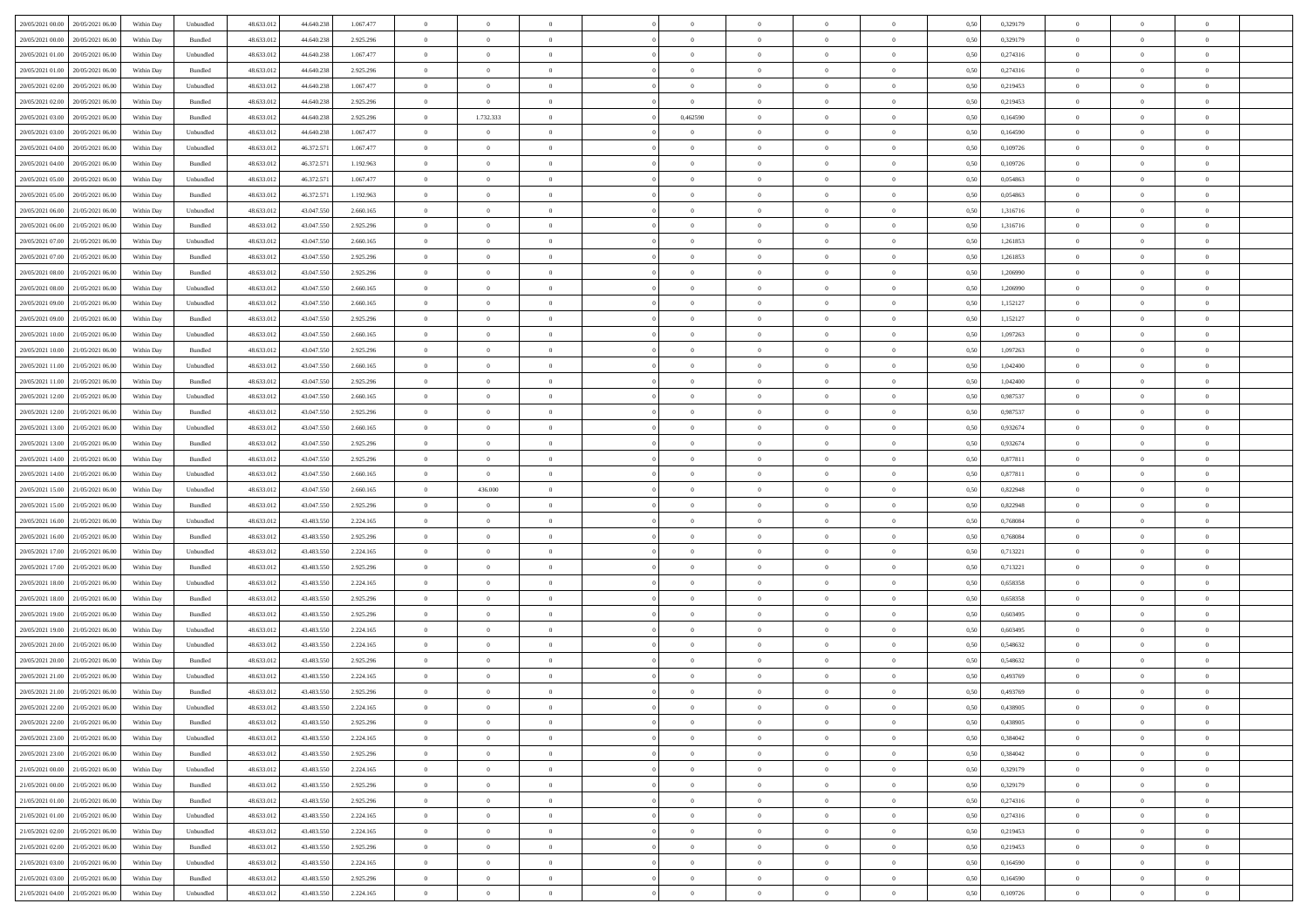| 20/05/2021 00:00 20/05/2021 06:00                | Within Day | Unbundled                   | 48.633.01  | 44.640.238 | 1.067.477 | $\overline{0}$ | $\overline{0}$ |                | $\overline{0}$ | $\theta$       |                | $\theta$       | 0,50 | 0,329179 | $\theta$       | $\theta$       | $\overline{0}$ |  |
|--------------------------------------------------|------------|-----------------------------|------------|------------|-----------|----------------|----------------|----------------|----------------|----------------|----------------|----------------|------|----------|----------------|----------------|----------------|--|
| 20/05/2021 00:00<br>20/05/2021 06:00             | Within Day | Bundled                     | 48.633.01  | 44.640.23  | 2.925.296 | $\bf{0}$       | $\bf{0}$       | $\bf{0}$       | $\bf{0}$       | $\overline{0}$ | $\overline{0}$ | $\bf{0}$       | 0,50 | 0,329179 | $\,$ 0 $\,$    | $\bf{0}$       | $\overline{0}$ |  |
| 20/05/2021 01:00<br>20/05/2021 06:00             | Within Day | Unbundled                   | 48.633.013 | 44.640.238 | 1.067.477 | $\overline{0}$ | $\bf{0}$       | $\overline{0}$ | $\bf{0}$       | $\bf{0}$       | $\overline{0}$ | $\bf{0}$       | 0.50 | 0,274316 | $\bf{0}$       | $\overline{0}$ | $\overline{0}$ |  |
| 20/05/2021 01:00<br>20/05/2021 06:00             | Within Day | Bundled                     | 48.633.01  | 44.640.238 | 2.925.296 | $\overline{0}$ | $\overline{0}$ | $\overline{0}$ | $\overline{0}$ | $\theta$       | $\overline{0}$ | $\bf{0}$       | 0,50 | 0,274316 | $\,$ 0 $\,$    | $\theta$       | $\overline{0}$ |  |
| 20/05/2021 02:00<br>20/05/2021 06:00             | Within Day | Unbundled                   | 48.633.01  | 44.640.238 | 1.067.477 | $\bf{0}$       | $\overline{0}$ | $\bf{0}$       | $\overline{0}$ | $\theta$       | $\overline{0}$ | $\bf{0}$       | 0,50 | 0,219453 | $\,$ 0 $\,$    | $\bf{0}$       | $\overline{0}$ |  |
|                                                  |            |                             |            |            |           |                |                |                |                |                |                |                |      |          |                |                |                |  |
| 20/05/2021 02:00<br>20/05/2021 06:00             | Within Day | Bundled                     | 48.633.013 | 44.640.238 | 2.925.296 | $\overline{0}$ | $\overline{0}$ | $\overline{0}$ | $\overline{0}$ | $\overline{0}$ | $\theta$       | $\bf{0}$       | 0.50 | 0.219453 | $\,$ 0 $\,$    | $\theta$       | $\overline{0}$ |  |
| 20/05/2021 03:00<br>20/05/2021 06:00             | Within Day | Bundled                     | 48.633.013 | 44.640.238 | 2.925.296 | $\overline{0}$ | 1.732.333      | $\overline{0}$ | 0,462590       | $\overline{0}$ | $\overline{0}$ | $\bf{0}$       | 0,50 | 0,164590 | $\,$ 0 $\,$    | $\theta$       | $\overline{0}$ |  |
| 20/05/2021 03:00<br>20/05/2021 06:00             | Within Day | Unbundled                   | 48.633.01  | 44.640.23  | 1.067.477 | $\bf{0}$       | $\overline{0}$ | $\bf{0}$       | $\overline{0}$ | $\overline{0}$ | $\overline{0}$ | $\bf{0}$       | 0,50 | 0,164590 | $\,$ 0 $\,$    | $\bf{0}$       | $\overline{0}$ |  |
| 20/05/2021 04:00<br>20/05/2021 06:00             | Within Day | Unbundled                   | 48.633.013 | 46.372.57  | 1.067.477 | $\overline{0}$ | $\bf{0}$       | $\overline{0}$ | $\bf{0}$       | $\overline{0}$ | $\overline{0}$ | $\bf{0}$       | 0.50 | 0.109726 | $\bf{0}$       | $\overline{0}$ | $\overline{0}$ |  |
| 20/05/2021 04:00<br>20/05/2021 06:00             | Within Day | Bundled                     | 48.633.013 | 46.372.571 | 1.192.963 | $\overline{0}$ | $\bf{0}$       | $\overline{0}$ | $\overline{0}$ | $\overline{0}$ | $\overline{0}$ | $\bf{0}$       | 0,50 | 0,109726 | $\,$ 0 $\,$    | $\bf{0}$       | $\overline{0}$ |  |
| 20/05/2021 05:00<br>20/05/2021 06:00             | Within Day | Unbundled                   | 48.633.01  | 46.372.571 | 1.067.477 | $\bf{0}$       | $\bf{0}$       | $\bf{0}$       | $\bf{0}$       | $\bf{0}$       | $\overline{0}$ | $\bf{0}$       | 0,50 | 0,054863 | $\,$ 0 $\,$    | $\bf{0}$       | $\overline{0}$ |  |
| 20/05/2021 05:00<br>20/05/2021 06:00             | Within Day | Bundled                     | 48.633.013 | 46.372.571 | 1.192.963 | $\overline{0}$ | $\bf{0}$       | $\overline{0}$ | $\overline{0}$ | $\bf{0}$       | $\overline{0}$ | $\bf{0}$       | 0.50 | 0.054863 | $\bf{0}$       | $\overline{0}$ | $\bf{0}$       |  |
|                                                  |            |                             |            |            |           |                |                |                |                |                |                |                |      |          |                |                |                |  |
| 20/05/2021 06:00<br>21/05/2021 06:00             | Within Day | Unbundled                   | 48.633.01  | 43.047.550 | 2.660.165 | $\overline{0}$ | $\overline{0}$ | $\overline{0}$ | $\theta$       | $\theta$       | $\overline{0}$ | $\bf{0}$       | 0,50 | 1,316716 | $\,$ 0 $\,$    | $\theta$       | $\overline{0}$ |  |
| 20/05/2021 06:00<br>21/05/2021 06.00             | Within Day | Bundled                     | 48.633.01  | 43.047.55  | 2.925.296 | $\bf{0}$       | $\overline{0}$ | $\bf{0}$       | $\overline{0}$ | $\bf{0}$       | $\overline{0}$ | $\bf{0}$       | 0,50 | 1,316716 | $\,$ 0 $\,$    | $\bf{0}$       | $\overline{0}$ |  |
| 20/05/2021 07:00<br>21/05/2021 06:00             | Within Day | Unbundled                   | 48.633.013 | 43.047.55  | 2.660.165 | $\overline{0}$ | $\bf{0}$       | $\overline{0}$ | $\bf{0}$       | $\overline{0}$ | $\theta$       | $\bf{0}$       | 0.50 | 1.261853 | $\,$ 0 $\,$    | $\theta$       | $\overline{0}$ |  |
| 20/05/2021 07:00<br>21/05/2021 06:00             | Within Day | Bundled                     | 48.633.013 | 43.047.550 | 2.925.296 | $\overline{0}$ | $\overline{0}$ | $\overline{0}$ | $\overline{0}$ | $\overline{0}$ | $\overline{0}$ | $\bf{0}$       | 0,50 | 1,261853 | $\theta$       | $\theta$       | $\overline{0}$ |  |
| 20/05/2021 08:00<br>21/05/2021 06.00             | Within Day | Bundled                     | 48.633.01  | 43.047.55  | 2.925.296 | $\bf{0}$       | $\bf{0}$       | $\bf{0}$       | $\overline{0}$ | $\bf{0}$       | $\overline{0}$ | $\bf{0}$       | 0,50 | 1,206990 | $\,$ 0 $\,$    | $\bf{0}$       | $\overline{0}$ |  |
| 20/05/2021 08:00<br>21/05/2021 06:00             | Within Day | Unbundled                   | 48.633.013 | 43.047.55  | 2.660.165 | $\overline{0}$ | $\bf{0}$       | $\overline{0}$ | $\bf{0}$       | $\overline{0}$ | $\overline{0}$ | $\bf{0}$       | 0.50 | 1.206990 | $\bf{0}$       | $\overline{0}$ | $\overline{0}$ |  |
| 20/05/2021 09:00<br>21/05/2021 06:00             | Within Day | Unbundled                   | 48.633.013 | 43.047.550 | 2.660.165 | $\overline{0}$ | $\bf{0}$       | $\overline{0}$ | $\overline{0}$ | $\overline{0}$ | $\overline{0}$ | $\bf{0}$       | 0,50 | 1,152127 | $\,$ 0 $\,$    | $\bf{0}$       | $\overline{0}$ |  |
|                                                  |            |                             |            |            |           |                |                |                |                |                |                |                |      |          |                |                |                |  |
| 20/05/2021 09:00<br>21/05/2021 06.00             | Within Day | Bundled                     | 48.633.01  | 43.047.550 | 2.925.296 | $\bf{0}$       | $\bf{0}$       | $\bf{0}$       | $\bf{0}$       | $\overline{0}$ | $\overline{0}$ | $\bf{0}$       | 0,50 | 1,152127 | $\,$ 0 $\,$    | $\bf{0}$       | $\overline{0}$ |  |
| 20/05/2021 10:00<br>21/05/2021 06:00             | Within Day | Unbundled                   | 48.633.013 | 43,047,550 | 2.660.165 | $\overline{0}$ | $\bf{0}$       | $\overline{0}$ | $\overline{0}$ | $\bf{0}$       | $\overline{0}$ | $\bf{0}$       | 0.50 | 1.097263 | $\bf{0}$       | $\overline{0}$ | $\overline{0}$ |  |
| 20/05/2021 10:00<br>21/05/2021 06:00             | Within Day | Bundled                     | 48.633.01  | 43.047.550 | 2.925.296 | $\overline{0}$ | $\overline{0}$ | $\overline{0}$ | $\theta$       | $\theta$       | $\overline{0}$ | $\bf{0}$       | 0,50 | 1,097263 | $\theta$       | $\theta$       | $\overline{0}$ |  |
| 20/05/2021 11:00<br>21/05/2021 06.00             | Within Day | Unbundled                   | 48.633.01  | 43.047.550 | 2.660.165 | $\bf{0}$       | $\bf{0}$       | $\bf{0}$       | $\bf{0}$       | $\overline{0}$ | $\overline{0}$ | $\bf{0}$       | 0,50 | 1,042400 | $\,$ 0 $\,$    | $\bf{0}$       | $\overline{0}$ |  |
| 20/05/2021 11:00<br>21/05/2021 06:00             | Within Day | Bundled                     | 48.633.013 | 43.047.55  | 2.925.296 | $\overline{0}$ | $\bf{0}$       | $\overline{0}$ | $\bf{0}$       | $\overline{0}$ | $\theta$       | $\bf{0}$       | 0.50 | 1.042400 | $\,$ 0 $\,$    | $\theta$       | $\overline{0}$ |  |
| 20/05/2021 12:00<br>21/05/2021 06:00             | Within Day | Unbundled                   | 48.633.013 | 43.047.550 | 2.660.165 | $\overline{0}$ | $\overline{0}$ | $\overline{0}$ | $\overline{0}$ | $\overline{0}$ | $\overline{0}$ | $\bf{0}$       | 0,50 | 0,987537 | $\,$ 0 $\,$    | $\theta$       | $\overline{0}$ |  |
| 20/05/2021 12:00<br>21/05/2021 06.00             | Within Day | Bundled                     | 48.633.01  | 43.047.55  | 2.925.296 | $\bf{0}$       | $\overline{0}$ | $\bf{0}$       | $\overline{0}$ | $\bf{0}$       | $\overline{0}$ | $\bf{0}$       | 0,50 | 0,987537 | $\,$ 0 $\,$    | $\bf{0}$       | $\overline{0}$ |  |
| 20/05/2021 13:00<br>21/05/2021 06:00             | Within Day | Unbundled                   | 48.633.013 | 43.047.55  | 2.660.165 | $\overline{0}$ | $\bf{0}$       | $\overline{0}$ | $\bf{0}$       | $\overline{0}$ | $\overline{0}$ | $\bf{0}$       | 0.50 | 0.932674 | $\bf{0}$       | $\overline{0}$ | $\overline{0}$ |  |
| 20/05/2021 13:00<br>21/05/2021 06:00             | Within Day | Bundled                     | 48.633.01  | 43.047.550 | 2.925.296 | $\overline{0}$ | $\bf{0}$       | $\overline{0}$ | $\overline{0}$ | $\overline{0}$ | $\overline{0}$ | $\bf{0}$       | 0,50 | 0,932674 | $\theta$       | $\theta$       | $\overline{0}$ |  |
|                                                  |            |                             |            |            |           |                |                |                |                |                |                |                |      |          |                |                |                |  |
| 20/05/2021 14:00<br>21/05/2021 06.00             | Within Day | Bundled                     | 48.633.01  | 43.047.550 | 2.925.296 | $\bf{0}$       | $\bf{0}$       | $\bf{0}$       | $\bf{0}$       | $\overline{0}$ | $\overline{0}$ | $\bf{0}$       | 0,50 | 0,877811 | $\,$ 0 $\,$    | $\bf{0}$       | $\overline{0}$ |  |
| 20/05/2021 14:00<br>21/05/2021 06:00             | Within Day | Unbundled                   | 48.633.013 | 43,047,550 | 2.660.165 | $\overline{0}$ | $\overline{0}$ | $\overline{0}$ | $\overline{0}$ | $\bf{0}$       | $\overline{0}$ | $\bf{0}$       | 0.50 | 0.877811 | $\bf{0}$       | $\overline{0}$ | $\bf{0}$       |  |
| 20/05/2021 15:00<br>21/05/2021 06:00             | Within Day | Unbundled                   | 48.633.013 | 43.047.550 | 2.660.165 | $\overline{0}$ | 436.000        | $\overline{0}$ | $\overline{0}$ | $\overline{0}$ | $\overline{0}$ | $\bf{0}$       | 0.5( | 0,822948 | $\theta$       | $\theta$       | $\overline{0}$ |  |
| 20/05/2021 15:00<br>21/05/2021 06.00             | Within Day | Bundled                     | 48.633.01  | 43.047.55  | 2.925.296 | $\bf{0}$       | $\theta$       | $\bf{0}$       | $\bf{0}$       | $\overline{0}$ | $\overline{0}$ | $\bf{0}$       | 0,50 | 0,822948 | $\,$ 0 $\,$    | $\bf{0}$       | $\overline{0}$ |  |
| 20/05/2021 16:00<br>21/05/2021 06:00             | Within Day | Unbundled                   | 48.633.013 | 43,483,550 | 2.224.165 | $\overline{0}$ | $\bf{0}$       | $\overline{0}$ | $\bf{0}$       | $\overline{0}$ | $\overline{0}$ | $\bf{0}$       | 0.50 | 0.768084 | $\,$ 0 $\,$    | $\bf{0}$       | $\overline{0}$ |  |
| 20/05/2021 16:00<br>21/05/2021 06:00             | Within Dav | Bundled                     | 48.633.013 | 43.483.550 | 2.925.296 | $\overline{0}$ | $\overline{0}$ | $\overline{0}$ | $\overline{0}$ | $\theta$       | $\overline{0}$ | $\bf{0}$       | 0.50 | 0,768084 | $\theta$       | $\theta$       | $\overline{0}$ |  |
| 20/05/2021 17:00<br>21/05/2021 06:00             | Within Day | Unbundled                   | 48.633.01  | 43.483.55  | 2.224.165 | $\bf{0}$       | $\bf{0}$       | $\bf{0}$       | $\bf{0}$       | $\bf{0}$       | $\overline{0}$ | $\bf{0}$       | 0,50 | 0,713221 | $\,$ 0 $\,$    | $\bf{0}$       | $\overline{0}$ |  |
| 20/05/2021 17:00<br>21/05/2021 06:00             | Within Day | Bundled                     | 48.633.013 | 43,483,550 | 2.925.296 | $\overline{0}$ | $\bf{0}$       | $\overline{0}$ | $\bf{0}$       | $\overline{0}$ | $\overline{0}$ | $\bf{0}$       | 0.50 | 0.713221 | $\bf{0}$       | $\overline{0}$ | $\overline{0}$ |  |
|                                                  |            |                             |            |            |           |                |                |                |                |                |                |                |      |          |                |                |                |  |
| 20/05/2021 18:00<br>21/05/2021 06:00             | Within Dav | Unbundled                   | 48.633.013 | 43.483.550 | 2.224.165 | $\overline{0}$ | $\overline{0}$ | $\overline{0}$ | $\overline{0}$ | $\overline{0}$ | $\overline{0}$ | $\bf{0}$       | 0.50 | 0,658358 | $\theta$       | $\theta$       | $\overline{0}$ |  |
| 20/05/2021 18:00<br>21/05/2021 06.00             | Within Day | Bundled                     | 48.633.01  | 43.483.55  | 2.925.296 | $\bf{0}$       | $\bf{0}$       | $\bf{0}$       | $\bf{0}$       | $\overline{0}$ | $\overline{0}$ | $\bf{0}$       | 0,50 | 0,658358 | $\,$ 0 $\,$    | $\bf{0}$       | $\overline{0}$ |  |
| 20/05/2021 19:00<br>21/05/2021 06:00             | Within Day | Bundled                     | 48.633.013 | 43,483,550 | 2.925.296 | $\overline{0}$ | $\bf{0}$       | $\overline{0}$ | $\overline{0}$ | $\bf{0}$       | $\overline{0}$ | $\bf{0}$       | 0.50 | 0.603495 | $\,$ 0 $\,$    | $\overline{0}$ | $\overline{0}$ |  |
| 20/05/2021 19:00<br>21/05/2021 06:00             | Within Day | Unbundled                   | 48.633.013 | 43.483.550 | 2.224.165 | $\overline{0}$ | $\overline{0}$ | $\overline{0}$ | $\overline{0}$ | $\overline{0}$ | $\overline{0}$ | $\bf{0}$       | 0.50 | 0,603495 | $\theta$       | $\theta$       | $\overline{0}$ |  |
| 20/05/2021 20:00<br>21/05/2021 06.00             | Within Day | Unbundled                   | 48.633.01  | 43.483.55  | 2.224.165 | $\bf{0}$       | $\bf{0}$       | $\bf{0}$       | $\bf{0}$       | $\overline{0}$ | $\overline{0}$ | $\bf{0}$       | 0,50 | 0,548632 | $\,$ 0 $\,$    | $\bf{0}$       | $\overline{0}$ |  |
| 20/05/2021 20:00<br>21/05/2021 06:00             | Within Day | Bundled                     | 48.633.013 | 43.483.55  | 2.925.296 | $\overline{0}$ | $\overline{0}$ | $\overline{0}$ | $\bf{0}$       | $\overline{0}$ | $\Omega$       | $\bf{0}$       | 0.50 | 0.548632 | $\bf{0}$       | $\theta$       | $\overline{0}$ |  |
| 20/05/2021 21:00<br>21/05/2021 06:00             | Within Dav | Unbundled                   | 48.633.013 | 43.483.550 | 2.224.165 | $\overline{0}$ | $\overline{0}$ | $\Omega$       | $\overline{0}$ | $\theta$       | $\overline{0}$ | $\overline{0}$ | 0.5( | 0,493769 | $\theta$       | $\theta$       | $\overline{0}$ |  |
| 20/05/2021 21:00<br>21/05/2021 06:00             | Within Day | Bundled                     | 48.633.01  | 43.483.550 | 2.925.296 | $\bf{0}$       | $\bf{0}$       | $\bf{0}$       | $\bf{0}$       | $\bf{0}$       | $\overline{0}$ | $\bf{0}$       | 0,50 | 0,493769 | $\,$ 0 $\,$    | $\bf{0}$       | $\overline{0}$ |  |
| $20/05/2021\ 22.00\quad \  \  21/05/2021\ 06.00$ |            | $\ensuremath{\mathsf{Unb}}$ | 48.633.012 | 43.483.550 | 2.224.165 | $\overline{0}$ | $\Omega$       |                | $\Omega$       |                |                |                | 0,50 | 0.438905 | $\theta$       | $\overline{0}$ |                |  |
|                                                  | Within Day |                             |            |            |           |                |                |                |                |                |                |                |      |          |                |                |                |  |
| 20/05/2021 22:00 21/05/2021 06:00                | Within Day | Bundled                     | 48.633.012 | 43.483.550 | 2.925.296 | $\overline{0}$ | $\overline{0}$ | $\Omega$       | $\theta$       | $\overline{0}$ | $\overline{0}$ | $\bf{0}$       | 0,50 | 0,438905 | $\theta$       | $\theta$       | $\overline{0}$ |  |
| 20/05/2021 23:00<br>21/05/2021 06:00             | Within Day | Unbundled                   | 48.633.013 | 43.483.550 | 2.224.165 | $\overline{0}$ | $\bf{0}$       | $\overline{0}$ | $\overline{0}$ | $\bf{0}$       | $\overline{0}$ | $\bf{0}$       | 0,50 | 0,384042 | $\bf{0}$       | $\overline{0}$ | $\bf{0}$       |  |
| 20/05/2021 23:00 21/05/2021 06:00                | Within Day | Bundled                     | 48.633.012 | 43,483,550 | 2.925.296 | $\overline{0}$ | $\bf{0}$       | $\overline{0}$ | $\overline{0}$ | $\mathbf{0}$   | $\overline{0}$ | $\,$ 0 $\,$    | 0.50 | 0.384042 | $\overline{0}$ | $\bf{0}$       | $\,$ 0 $\,$    |  |
| 21/05/2021 00:00 21/05/2021 06:00                | Within Dav | Unbundled                   | 48.633.012 | 43.483.550 | 2.224.165 | $\overline{0}$ | $\overline{0}$ | $\overline{0}$ | $\overline{0}$ | $\overline{0}$ | $\overline{0}$ | $\bf{0}$       | 0,50 | 0,329179 | $\overline{0}$ | $\theta$       | $\overline{0}$ |  |
| 21/05/2021 00:00<br>21/05/2021 06:00             | Within Day | Bundled                     | 48.633.012 | 43.483.550 | 2.925.296 | $\overline{0}$ | $\bf{0}$       | $\overline{0}$ | $\overline{0}$ | $\overline{0}$ | $\overline{0}$ | $\bf{0}$       | 0,50 | 0,329179 | $\bf{0}$       | $\overline{0}$ | $\overline{0}$ |  |
| 21/05/2021 01:00 21/05/2021 06:00                | Within Day | Bundled                     | 48.633.012 | 43,483,550 | 2.925.296 | $\overline{0}$ | $\bf{0}$       | $\overline{0}$ | $\overline{0}$ | $\bf{0}$       | $\overline{0}$ | $\bf{0}$       | 0.50 | 0,274316 | $\,$ 0 $\,$    | $\overline{0}$ | $\,$ 0         |  |
| 21/05/2021 01:00 21/05/2021 06:00                | Within Dav | Unbundled                   | 48.633.012 | 43.483.550 | 2.224.165 | $\overline{0}$ | $\overline{0}$ | $\overline{0}$ | $\overline{0}$ | $\overline{0}$ | $\overline{0}$ | $\bf{0}$       | 0.50 | 0,274316 | $\overline{0}$ | $\theta$       | $\overline{0}$ |  |
|                                                  |            |                             |            |            |           |                |                |                |                |                |                |                |      |          |                |                |                |  |
| 21/05/2021 02:00<br>21/05/2021 06:00             | Within Day | Unbundled                   | 48.633.013 | 43.483.550 | 2.224.165 | $\overline{0}$ | $\overline{0}$ | $\overline{0}$ | $\overline{0}$ | $\overline{0}$ | $\overline{0}$ | $\bf{0}$       | 0,50 | 0,219453 | $\bf{0}$       | $\overline{0}$ | $\overline{0}$ |  |
| 21/05/2021 02:00 21/05/2021 06:00                | Within Day | Bundled                     | 48.633.012 | 43,483,550 | 2.925.296 | $\overline{0}$ | $\overline{0}$ | $\overline{0}$ | $\overline{0}$ | $\overline{0}$ | $\overline{0}$ | $\bf{0}$       | 0.50 | 0.219453 | $\mathbf{0}$   | $\bf{0}$       | $\,$ 0         |  |
| 21/05/2021 03:00 21/05/2021 06:00                | Within Dav | Unbundled                   | 48.633.012 | 43.483.550 | 2.224.165 | $\overline{0}$ | $\overline{0}$ | $\overline{0}$ | $\overline{0}$ | $\overline{0}$ | $\overline{0}$ | $\bf{0}$       | 0,50 | 0,164590 | $\overline{0}$ | $\theta$       | $\overline{0}$ |  |
| 21/05/2021 03:00<br>21/05/2021 06:00             | Within Day | Bundled                     | 48.633.013 | 43.483.550 | 2.925.296 | $\overline{0}$ | $\bf{0}$       | $\overline{0}$ | $\bf{0}$       | $\overline{0}$ | $\overline{0}$ | $\bf{0}$       | 0,50 | 0,164590 | $\bf{0}$       | $\,$ 0 $\,$    | $\bf{0}$       |  |
| 21/05/2021 04:00 21/05/2021 06:00                | Within Day | Unbundled                   | 48.633.012 | 43.483.550 | 2.224.165 | $\,$ 0 $\,$    | $\bf{0}$       | $\overline{0}$ | $\overline{0}$ | $\,$ 0 $\,$    | $\overline{0}$ | $\bf{0}$       | 0,50 | 0,109726 | $\overline{0}$ | $\,$ 0 $\,$    | $\,$ 0 $\,$    |  |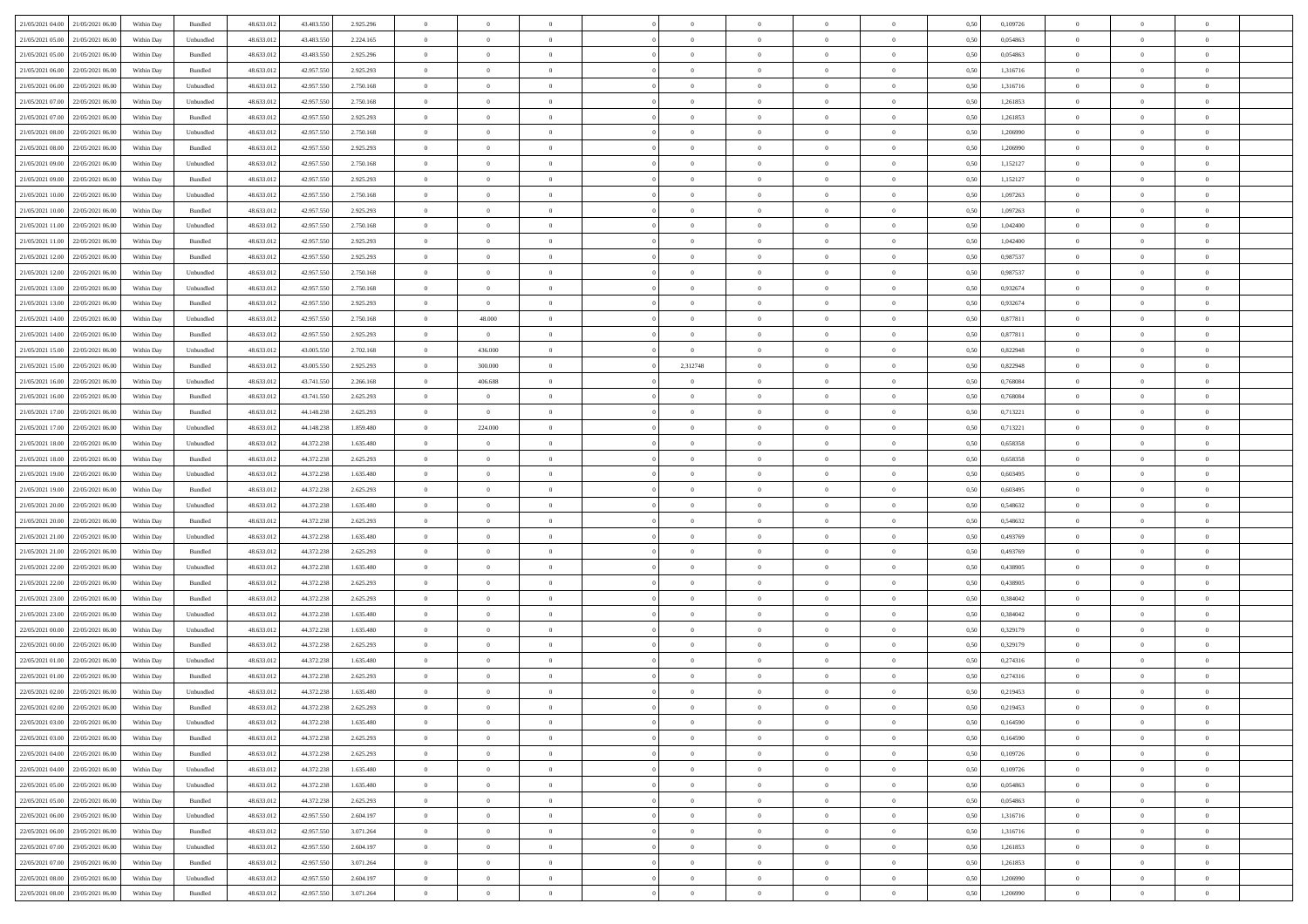| 21/05/2021 04:00 21/05/2021 06:00    | Within Day | Bundled   | 48.633.01  | 43.483.550 | 2.925.296 | $\overline{0}$ | $\overline{0}$ |                | $\overline{0}$ | $\theta$       |                | $\theta$       | 0,50 | 0,109726 | $\theta$       | $\theta$       | $\overline{0}$ |  |
|--------------------------------------|------------|-----------|------------|------------|-----------|----------------|----------------|----------------|----------------|----------------|----------------|----------------|------|----------|----------------|----------------|----------------|--|
| 21/05/2021 05:00<br>21/05/2021 06:00 | Within Day | Unbundled | 48.633.01  | 43.483.55  | 2.224.165 | $\bf{0}$       | $\bf{0}$       | $\bf{0}$       | $\bf{0}$       | $\overline{0}$ | $\overline{0}$ | $\bf{0}$       | 0,50 | 0,054863 | $\,$ 0 $\,$    | $\bf{0}$       | $\overline{0}$ |  |
| 21/05/2021 05:00<br>21/05/2021 06:00 | Within Day | Bundled   | 48.633.013 | 43,483,550 | 2.925.296 | $\overline{0}$ | $\bf{0}$       | $\overline{0}$ | $\bf{0}$       | $\bf{0}$       | $\overline{0}$ | $\bf{0}$       | 0.50 | 0.054863 | $\bf{0}$       | $\overline{0}$ | $\overline{0}$ |  |
| 21/05/2021 06:00<br>22/05/2021 06:00 |            |           | 48.633.01  |            |           | $\overline{0}$ | $\overline{0}$ | $\overline{0}$ | $\theta$       | $\theta$       | $\overline{0}$ |                |      | 1,316716 | $\theta$       | $\theta$       | $\overline{0}$ |  |
|                                      | Within Day | Bundled   |            | 42.957.550 | 2.925.293 |                |                |                |                |                |                | $\bf{0}$       | 0,50 |          |                |                |                |  |
| 21/05/2021 06:00<br>22/05/2021 06.00 | Within Day | Unbundled | 48.633.01  | 42.957.55  | 2.750.168 | $\bf{0}$       | $\overline{0}$ | $\bf{0}$       | $\overline{0}$ | $\theta$       | $\overline{0}$ | $\bf{0}$       | 0,50 | 1,316716 | $\,$ 0 $\,$    | $\bf{0}$       | $\overline{0}$ |  |
| 21/05/2021 07:00<br>22/05/2021 06:00 | Within Day | Unbundled | 48.633.013 | 42.957.55  | 2.750.168 | $\overline{0}$ | $\bf{0}$       | $\overline{0}$ | $\bf{0}$       | $\overline{0}$ | $\theta$       | $\bf{0}$       | 0.50 | 1.261853 | $\,$ 0 $\,$    | $\theta$       | $\overline{0}$ |  |
| 21/05/2021 07:00<br>22/05/2021 06:00 | Within Day | Bundled   | 48.633.013 | 42.957.550 | 2.925.293 | $\overline{0}$ | $\overline{0}$ | $\overline{0}$ | $\overline{0}$ | $\overline{0}$ | $\overline{0}$ | $\bf{0}$       | 0,50 | 1,261853 | $\,$ 0 $\,$    | $\theta$       | $\overline{0}$ |  |
|                                      |            |           |            |            |           |                |                |                |                |                |                |                |      |          |                |                |                |  |
| 21/05/2021 08:00<br>22/05/2021 06.00 | Within Day | Unbundled | 48.633.01  | 42.957.55  | 2.750.168 | $\bf{0}$       | $\overline{0}$ | $\bf{0}$       | $\overline{0}$ | $\overline{0}$ | $\overline{0}$ | $\bf{0}$       | 0,50 | 1,206990 | $\,$ 0 $\,$    | $\bf{0}$       | $\overline{0}$ |  |
| 21/05/2021 08:00<br>22/05/2021 06:00 | Within Day | Bundled   | 48.633.013 | 42.957.55  | 2.925.293 | $\overline{0}$ | $\bf{0}$       | $\overline{0}$ | $\bf{0}$       | $\overline{0}$ | $\overline{0}$ | $\bf{0}$       | 0.50 | 1.206990 | $\bf{0}$       | $\overline{0}$ | $\overline{0}$ |  |
| 21/05/2021 09:00<br>22/05/2021 06:00 | Within Day | Unbundled | 48.633.012 | 42.957.550 | 2.750.168 | $\bf{0}$       | $\bf{0}$       | $\overline{0}$ | $\overline{0}$ | $\overline{0}$ | $\overline{0}$ | $\bf{0}$       | 0,50 | 1,152127 | $\,$ 0 $\,$    | $\bf{0}$       | $\overline{0}$ |  |
| 21/05/2021 09:00<br>22/05/2021 06.00 | Within Day | Bundled   | 48.633.01  | 42.957.550 | 2.925.293 | $\bf{0}$       | $\overline{0}$ | $\bf{0}$       | $\bf{0}$       | $\bf{0}$       | $\overline{0}$ | $\bf{0}$       | 0,50 | 1,152127 | $\,$ 0 $\,$    | $\bf{0}$       | $\overline{0}$ |  |
|                                      |            |           |            |            |           |                |                |                |                |                |                |                |      |          |                |                |                |  |
| 21/05/2021 10:00<br>22/05/2021 06:00 | Within Day | Unbundled | 48.633.013 | 42.957.55  | 2.750.168 | $\overline{0}$ | $\bf{0}$       | $\overline{0}$ | $\overline{0}$ | $\bf{0}$       | $\overline{0}$ | $\bf{0}$       | 0.50 | 1.097263 | $\bf{0}$       | $\overline{0}$ | $\,$ 0         |  |
| 21/05/2021 10:00<br>22/05/2021 06:00 | Within Day | Bundled   | 48.633.01  | 42.957.550 | 2.925.293 | $\overline{0}$ | $\overline{0}$ | $\overline{0}$ | $\theta$       | $\theta$       | $\overline{0}$ | $\bf{0}$       | 0,50 | 1,097263 | $\,$ 0 $\,$    | $\theta$       | $\overline{0}$ |  |
| 21/05/2021 11:00<br>22/05/2021 06.00 | Within Day | Unbundled | 48.633.01  | 42.957.55  | 2.750.168 | $\bf{0}$       | $\overline{0}$ | $\bf{0}$       | $\overline{0}$ | $\bf{0}$       | $\overline{0}$ | $\bf{0}$       | 0,50 | 1,042400 | $\,$ 0 $\,$    | $\bf{0}$       | $\overline{0}$ |  |
|                                      |            |           |            |            |           |                |                |                |                |                | $\theta$       |                |      |          |                |                |                |  |
| 21/05/2021 11:00<br>22/05/2021 06:00 | Within Day | Bundled   | 48.633.013 | 42.957.550 | 2.925.293 | $\overline{0}$ | $\bf{0}$       | $\overline{0}$ | $\bf{0}$       | $\overline{0}$ |                | $\bf{0}$       | 0.50 | 1.042400 | $\,$ 0 $\,$    | $\theta$       | $\overline{0}$ |  |
| 21/05/2021 12:00<br>22/05/2021 06:00 | Within Day | Bundled   | 48.633.013 | 42.957.550 | 2.925.293 | $\overline{0}$ | $\overline{0}$ | $\overline{0}$ | $\overline{0}$ | $\overline{0}$ | $\overline{0}$ | $\bf{0}$       | 0,50 | 0,987537 | $\theta$       | $\theta$       | $\overline{0}$ |  |
| 21/05/2021 12:00<br>22/05/2021 06.00 | Within Day | Unbundled | 48.633.01  | 42.957.55  | 2.750.168 | $\bf{0}$       | $\bf{0}$       | $\bf{0}$       | $\overline{0}$ | $\bf{0}$       | $\overline{0}$ | $\bf{0}$       | 0,50 | 0,987537 | $\,$ 0 $\,$    | $\bf{0}$       | $\overline{0}$ |  |
| 21/05/2021 13:00<br>22/05/2021 06:00 | Within Day | Unbundled | 48.633.013 | 42.957.55  | 2.750.168 | $\overline{0}$ | $\bf{0}$       | $\overline{0}$ | $\bf{0}$       | $\overline{0}$ | $\overline{0}$ | $\bf{0}$       | 0.50 | 0.932674 | $\bf{0}$       | $\overline{0}$ | $\overline{0}$ |  |
| 21/05/2021 13:00<br>22/05/2021 06:00 | Within Day | Bundled   | 48.633.013 | 42.957.550 | 2.925.293 | $\overline{0}$ | $\bf{0}$       | $\overline{0}$ | $\overline{0}$ | $\overline{0}$ | $\overline{0}$ | $\bf{0}$       | 0,50 | 0,932674 | $\,$ 0 $\,$    | $\bf{0}$       | $\overline{0}$ |  |
|                                      |            |           |            |            |           |                |                |                |                |                |                |                |      |          |                |                |                |  |
| 21/05/2021 14:00<br>22/05/2021 06.00 | Within Day | Unbundled | 48.633.01  | 42.957.550 | 2.750.168 | $\bf{0}$       | 48.000         | $\bf{0}$       | $\bf{0}$       | $\overline{0}$ | $\overline{0}$ | $\bf{0}$       | 0,50 | 0,877811 | $\,$ 0 $\,$    | $\bf{0}$       | $\overline{0}$ |  |
| 21/05/2021 14:00<br>22/05/2021 06:00 | Within Day | Bundled   | 48.633.012 | 42.957.550 | 2.925.293 | $\overline{0}$ | $\overline{0}$ | $\overline{0}$ | $\overline{0}$ | $\bf{0}$       | $\overline{0}$ | $\bf{0}$       | 0.50 | 0.877811 | $\bf{0}$       | $\overline{0}$ | $\overline{0}$ |  |
| 21/05/2021 15:00<br>22/05/2021 06:00 | Within Day | Unbundled | 48.633.01  | 43.005.550 | 2.702.168 | $\overline{0}$ | 436.000        | $\overline{0}$ | $\overline{0}$ | $\theta$       | $\overline{0}$ | $\bf{0}$       | 0,50 | 0,822948 | $\theta$       | $\theta$       | $\overline{0}$ |  |
| 21/05/2021 15:00<br>22/05/2021 06.00 | Within Day | Bundled   | 48.633.01  | 43.005.550 | 2.925.293 | $\bf{0}$       | 300.000        | $\bf{0}$       | 2,312748       | $\theta$       | $\overline{0}$ | $\bf{0}$       | 0,50 | 0,822948 | $\,$ 0 $\,$    | $\bf{0}$       | $\overline{0}$ |  |
|                                      |            |           |            |            |           |                |                |                |                |                |                |                |      |          |                |                |                |  |
| 21/05/2021 16:00<br>22/05/2021 06:00 | Within Day | Unbundled | 48.633.013 | 43.741.550 | 2.266.168 | $\overline{0}$ | 406.688        | $\overline{0}$ | $\bf{0}$       | $\overline{0}$ | $\theta$       | $\bf{0}$       | 0.50 | 0.768084 | $\,$ 0 $\,$    | $\theta$       | $\overline{0}$ |  |
| 21/05/2021 16:00<br>22/05/2021 06:00 | Within Day | Bundled   | 48.633.013 | 43.741.550 | 2.625.293 | $\overline{0}$ | $\overline{0}$ | $\overline{0}$ | $\overline{0}$ | $\overline{0}$ | $\overline{0}$ | $\bf{0}$       | 0,50 | 0,768084 | $\,$ 0 $\,$    | $\theta$       | $\overline{0}$ |  |
| 21/05/2021 17:00<br>22/05/2021 06.00 | Within Day | Bundled   | 48.633.01  | 44.148.238 | 2.625.293 | $\bf{0}$       | $\bf{0}$       | $\bf{0}$       | $\overline{0}$ | $\bf{0}$       | $\overline{0}$ | $\bf{0}$       | 0,50 | 0,713221 | $\,$ 0 $\,$    | $\bf{0}$       | $\overline{0}$ |  |
| 21/05/2021 17:00<br>22/05/2021 06:00 | Within Day | Unbundled | 48.633.013 | 44.148.238 | 1.859,480 | $\overline{0}$ | 224,000        | $\overline{0}$ | $\bf{0}$       | $\overline{0}$ | $\overline{0}$ | $\bf{0}$       | 0.50 | 0.713221 | $\bf{0}$       | $\overline{0}$ | $\overline{0}$ |  |
|                                      |            |           |            |            |           |                |                |                |                |                |                |                |      |          |                |                |                |  |
| 21/05/2021 18:00<br>22/05/2021 06:00 | Within Day | Unbundled | 48.633.01  | 44.372.238 | 1.635.480 | $\overline{0}$ | $\overline{0}$ | $\overline{0}$ | $\overline{0}$ | $\overline{0}$ | $\overline{0}$ | $\bf{0}$       | 0,50 | 0,658358 | $\theta$       | $\theta$       | $\overline{0}$ |  |
| 21/05/2021 18:00<br>22/05/2021 06.00 | Within Day | Bundled   | 48.633.01  | 44.372.238 | 2.625.293 | $\bf{0}$       | $\bf{0}$       | $\bf{0}$       | $\bf{0}$       | $\overline{0}$ | $\overline{0}$ | $\bf{0}$       | 0,50 | 0,658358 | $\,$ 0 $\,$    | $\bf{0}$       | $\overline{0}$ |  |
| 21/05/2021 19:00<br>22/05/2021 06:00 | Within Day | Unbundled | 48.633.013 | 44.372.238 | 1.635.480 | $\overline{0}$ | $\bf{0}$       | $\overline{0}$ | $\bf{0}$       | $\bf{0}$       | $\overline{0}$ | $\bf{0}$       | 0.50 | 0.603495 | $\bf{0}$       | $\overline{0}$ | $\,$ 0         |  |
| 21/05/2021 19:00<br>22/05/2021 06:00 | Within Day | Bundled   | 48.633.013 | 44.372.238 | 2.625.293 | $\overline{0}$ | $\overline{0}$ | $\overline{0}$ | $\overline{0}$ | $\overline{0}$ | $\overline{0}$ | $\bf{0}$       | 0.5( | 0.603495 | $\theta$       | $\theta$       | $\overline{0}$ |  |
|                                      |            |           |            |            |           |                |                |                |                | $\,$ 0 $\,$    | $\overline{0}$ |                |      |          |                |                |                |  |
| 21/05/2021 20:00<br>22/05/2021 06.00 | Within Day | Unbundled | 48.633.01  | 44.372.238 | 1.635.480 | $\bf{0}$       | $\overline{0}$ | $\bf{0}$       | $\bf{0}$       |                |                | $\bf{0}$       | 0,50 | 0,548632 | $\,$ 0 $\,$    | $\bf{0}$       | $\overline{0}$ |  |
| 21/05/2021 20:00<br>22/05/2021 06:00 | Within Day | Bundled   | 48.633.013 | 44.372.238 | 2.625.293 | $\overline{0}$ | $\bf{0}$       | $\overline{0}$ | $\bf{0}$       | $\overline{0}$ | $\overline{0}$ | $\bf{0}$       | 0.50 | 0.548632 | $\,$ 0 $\,$    | $\bf{0}$       | $\overline{0}$ |  |
| 21/05/2021 21:00<br>22/05/2021 06:00 | Within Dav | Unbundled | 48.633.013 | 44.372.238 | 1.635.480 | $\overline{0}$ | $\overline{0}$ | $\overline{0}$ | $\overline{0}$ | $\theta$       | $\overline{0}$ | $\bf{0}$       | 0.50 | 0,493769 | $\theta$       | $\theta$       | $\overline{0}$ |  |
| 21/05/2021 21:00<br>22/05/2021 06:00 | Within Day | Bundled   | 48.633.01  | 44.372.238 | 2.625.293 | $\bf{0}$       | $\bf{0}$       | $\bf{0}$       | $\bf{0}$       | $\bf{0}$       | $\overline{0}$ | $\bf{0}$       | 0,50 | 0,493769 | $\,$ 0 $\,$    | $\bf{0}$       | $\overline{0}$ |  |
| 21/05/2021 22:00<br>22/05/2021 06:00 | Within Day | Unbundled | 48.633.013 | 44.372.23  | 1.635.480 | $\overline{0}$ | $\bf{0}$       | $\overline{0}$ | $\bf{0}$       | $\overline{0}$ | $\overline{0}$ | $\bf{0}$       | 0.50 | 0.438905 | $\bf{0}$       | $\overline{0}$ | $\overline{0}$ |  |
|                                      |            |           |            |            |           |                |                |                |                |                |                |                |      |          |                |                |                |  |
| 21/05/2021 22:00<br>22/05/2021 06:00 | Within Day | Bundled   | 48.633.013 | 44.372.238 | 2.625.293 | $\overline{0}$ | $\overline{0}$ | $\overline{0}$ | $\overline{0}$ | $\overline{0}$ | $\overline{0}$ | $\bf{0}$       | 0.50 | 0,438905 | $\theta$       | $\theta$       | $\overline{0}$ |  |
| 21/05/2021 23:00<br>22/05/2021 06.00 | Within Day | Bundled   | 48.633.01  | 44.372.238 | 2.625.293 | $\bf{0}$       | $\bf{0}$       | $\bf{0}$       | $\bf{0}$       | $\overline{0}$ | $\overline{0}$ | $\bf{0}$       | 0,50 | 0,384042 | $\,$ 0 $\,$    | $\bf{0}$       | $\overline{0}$ |  |
| 21/05/2021 23:00<br>22/05/2021 06:00 | Within Day | Unbundled | 48.633.013 | 44.372.238 | 1.635.480 | $\overline{0}$ | $\bf{0}$       | $\overline{0}$ | $\overline{0}$ | $\bf{0}$       | $\overline{0}$ | $\bf{0}$       | 0.50 | 0.384042 | $\,$ 0 $\,$    | $\overline{0}$ | $\overline{0}$ |  |
| 22/05/2021 00:00<br>22/05/2021 06:00 | Within Day | Unbundled | 48.633.013 | 44.372.238 | 1.635.480 | $\overline{0}$ | $\overline{0}$ | $\overline{0}$ | $\overline{0}$ | $\overline{0}$ | $\overline{0}$ | $\bf{0}$       | 0.5( | 0,329179 | $\theta$       | $\theta$       | $\overline{0}$ |  |
|                                      |            |           |            |            |           |                |                |                |                |                |                |                |      |          |                |                |                |  |
| 22/05/2021 00:00<br>22/05/2021 06.00 | Within Day | Bundled   | 48.633.013 | 44.372.238 | 2.625.293 | $\bf{0}$       | $\bf{0}$       | $\bf{0}$       | $\bf{0}$       | $\overline{0}$ | $\overline{0}$ | $\bf{0}$       | 0,50 | 0,329179 | $\,$ 0 $\,$    | $\bf{0}$       | $\overline{0}$ |  |
| 22/05/2021 01:00<br>22/05/2021 06:00 | Within Day | Unbundled | 48.633.013 | 44.372.238 | 1.635.480 | $\overline{0}$ | $\overline{0}$ | $\overline{0}$ | $\bf{0}$       | $\overline{0}$ | $\Omega$       | $\bf{0}$       | 0.50 | 0,274316 | $\bf{0}$       | $\theta$       | $\overline{0}$ |  |
| 22/05/2021 01:00<br>22/05/2021 06:00 | Within Dav | Bundled   | 48.633.013 | 44.372.238 | 2.625.293 | $\overline{0}$ | $\overline{0}$ | $\Omega$       | $\overline{0}$ | $\theta$       | $\Omega$       | $\overline{0}$ | 0.5( | 0,274316 | $\theta$       | $\theta$       | $\overline{0}$ |  |
| 22/05/2021 02:00<br>22/05/2021 06:00 | Within Day | Unbundled | 48.633.01  | 44.372.238 | 1.635.480 | $\bf{0}$       | $\bf{0}$       | $\bf{0}$       | $\bf{0}$       | $\bf{0}$       | $\overline{0}$ | $\bf{0}$       | 0,50 | 0,219453 | $\,$ 0 $\,$    | $\bf{0}$       | $\overline{0}$ |  |
| 22/05/2021 02:00 22/05/2021 06:00    | Within Day | Bundled   | 48.633.012 | 44.372.238 | 2.625.293 | $\bf{0}$       | $\Omega$       |                | $\overline{0}$ |                |                |                | 0,50 | 0,219453 | $\bf{0}$       | $\overline{0}$ |                |  |
|                                      |            |           |            |            |           |                |                |                |                |                |                |                |      |          |                |                |                |  |
| 22/05/2021 03:00 22/05/2021 06:00    | Within Day | Unbundled | 48.633.012 | 44.372.238 | 1.635.480 | $\overline{0}$ | $\overline{0}$ | $\Omega$       | $\theta$       | $\overline{0}$ | $\overline{0}$ | $\bf{0}$       | 0,50 | 0,164590 | $\theta$       | $\overline{0}$ | $\overline{0}$ |  |
| 22/05/2021 03:00<br>22/05/2021 06:00 | Within Day | Bundled   | 48.633.013 | 44.372.238 | 2.625.293 | $\overline{0}$ | $\bf{0}$       | $\overline{0}$ | $\overline{0}$ | $\bf{0}$       | $\overline{0}$ | $\bf{0}$       | 0,50 | 0,164590 | $\bf{0}$       | $\overline{0}$ | $\bf{0}$       |  |
| 22/05/2021 04:00 22/05/2021 06:00    | Within Day | Bundled   | 48.633.012 | 44.372.238 | 2.625.293 | $\overline{0}$ | $\bf{0}$       | $\overline{0}$ | $\overline{0}$ | $\mathbf{0}$   | $\overline{0}$ | $\,$ 0 $\,$    | 0.50 | 0.109726 | $\overline{0}$ | $\bf{0}$       | $\,$ 0 $\,$    |  |
| 22/05/2021 04:00 22/05/2021 06:00    | Within Day | Unbundled | 48.633.012 | 44.372.238 | 1.635.480 | $\overline{0}$ | $\overline{0}$ | $\overline{0}$ | $\overline{0}$ | $\overline{0}$ | $\overline{0}$ | $\bf{0}$       | 0,50 | 0,109726 | $\overline{0}$ | $\theta$       | $\overline{0}$ |  |
|                                      |            |           |            |            |           |                |                |                |                |                |                |                |      |          |                |                |                |  |
| 22/05/2021 05:00<br>22/05/2021 06:00 | Within Day | Unbundled | 48.633.012 | 44.372.238 | 1.635.480 | $\overline{0}$ | $\bf{0}$       | $\overline{0}$ | $\overline{0}$ | $\bf{0}$       | $\overline{0}$ | $\bf{0}$       | 0,50 | 0,054863 | $\bf{0}$       | $\overline{0}$ | $\overline{0}$ |  |
| 22/05/2021 05:00<br>22/05/2021 06:00 | Within Day | Bundled   | 48.633.012 | 44.372.238 | 2.625.293 | $\overline{0}$ | $\bf{0}$       | $\overline{0}$ | $\overline{0}$ | $\bf{0}$       | $\overline{0}$ | $\bf{0}$       | 0.50 | 0.054863 | $\,$ 0 $\,$    | $\overline{0}$ | $\,$ 0         |  |
| 22/05/2021 06:00<br>23/05/2021 06:00 | Within Dav | Unbundled | 48.633.012 | 42.957.550 | 2.604.197 | $\overline{0}$ | $\overline{0}$ | $\overline{0}$ | $\overline{0}$ | $\overline{0}$ | $\overline{0}$ | $\bf{0}$       | 0.50 | 1,316716 | $\overline{0}$ | $\theta$       | $\overline{0}$ |  |
| 22/05/2021 06:00<br>23/05/2021 06:00 | Within Day | Bundled   | 48.633.013 | 42.957.550 | 3.071.264 | $\overline{0}$ | $\overline{0}$ | $\overline{0}$ | $\overline{0}$ | $\overline{0}$ | $\overline{0}$ | $\bf{0}$       | 0,50 | 1,316716 | $\bf{0}$       | $\overline{0}$ | $\,$ 0         |  |
|                                      |            |           |            |            |           |                |                |                |                |                |                |                |      |          |                |                |                |  |
| 22/05/2021 07:00 23/05/2021 06:00    | Within Day | Unbundled | 48.633.012 | 42.957.550 | 2.604.197 | $\overline{0}$ | $\overline{0}$ | $\overline{0}$ | $\overline{0}$ | $\overline{0}$ | $\overline{0}$ | $\bf{0}$       | 0.50 | 1.261853 | $\mathbf{0}$   | $\bf{0}$       | $\,$ 0         |  |
| 22/05/2021 07:00 23/05/2021 06:00    | Within Dav | Bundled   | 48.633.012 | 42.957.550 | 3.071.264 | $\overline{0}$ | $\overline{0}$ | $\overline{0}$ | $\overline{0}$ | $\overline{0}$ | $\overline{0}$ | $\bf{0}$       | 0,50 | 1,261853 | $\overline{0}$ | $\theta$       | $\overline{0}$ |  |
| 22/05/2021 08:00<br>23/05/2021 06:00 | Within Day | Unbundled | 48.633.013 | 42.957.550 | 2.604.197 | $\overline{0}$ | $\bf{0}$       | $\overline{0}$ | $\bf{0}$       | $\overline{0}$ | $\overline{0}$ | $\bf{0}$       | 0,50 | 1,206990 | $\bf{0}$       | $\overline{0}$ | $\bf{0}$       |  |
| 22/05/2021 08:00 23/05/2021 06:00    | Within Day | Bundled   | 48.633.012 | 42.957.550 | 3.071.264 | $\,$ 0 $\,$    | $\bf{0}$       | $\overline{0}$ | $\overline{0}$ | $\,$ 0 $\,$    | $\overline{0}$ | $\bf{0}$       | 0,50 | 1,206990 | $\overline{0}$ | $\,$ 0 $\,$    | $\,$ 0 $\,$    |  |
|                                      |            |           |            |            |           |                |                |                |                |                |                |                |      |          |                |                |                |  |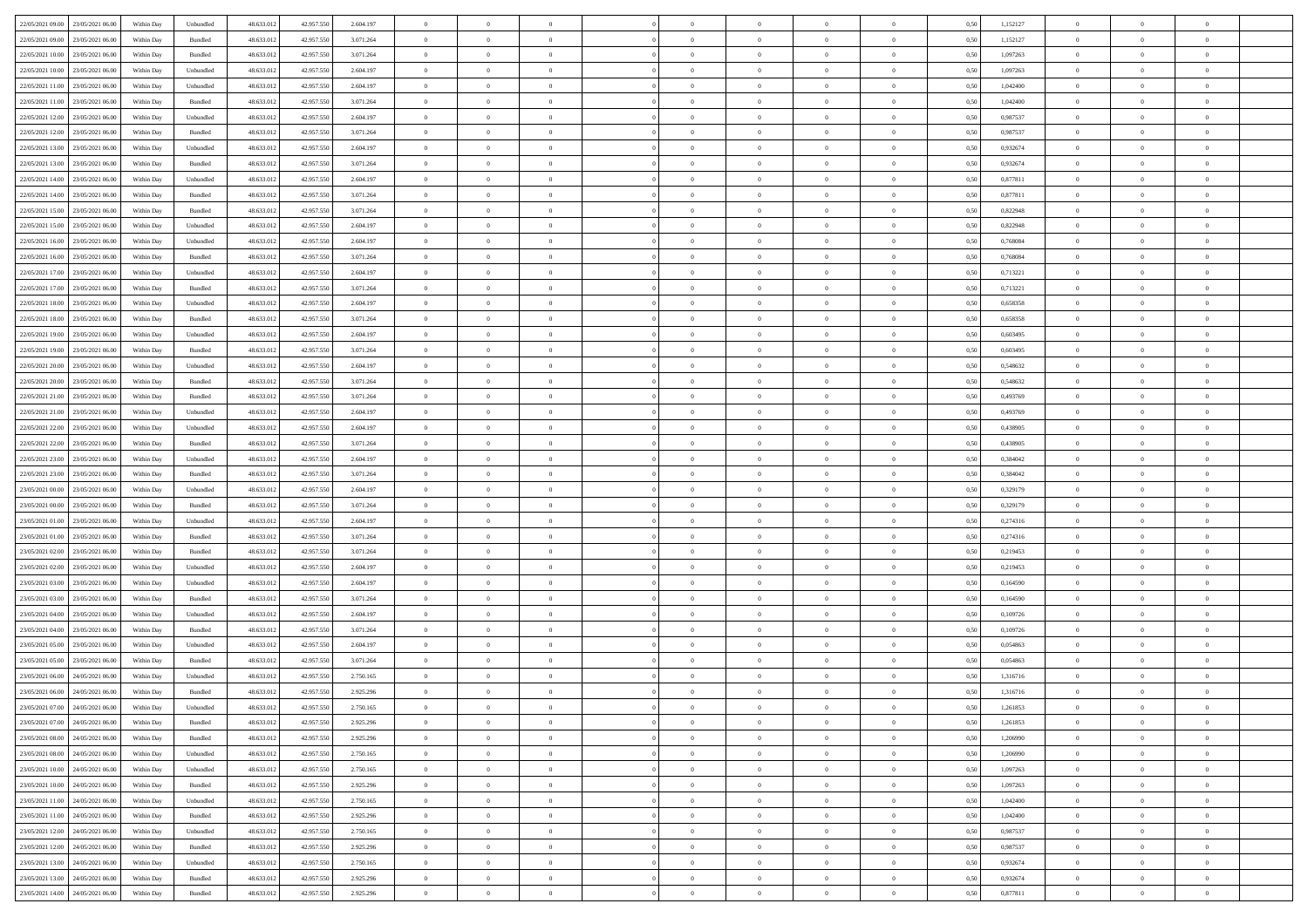| 22/05/2021 09:00 23/05/2021 06:00            | Within Day | Unbundled                   | 48.633.01  | 42.957.550 | 2.604.197 | $\overline{0}$ | $\overline{0}$ |                | $\overline{0}$ | $\theta$       |                | $\theta$       | 0,50 | 1,152127 | $\theta$       | $\theta$       | $\overline{0}$ |  |
|----------------------------------------------|------------|-----------------------------|------------|------------|-----------|----------------|----------------|----------------|----------------|----------------|----------------|----------------|------|----------|----------------|----------------|----------------|--|
| 22/05/2021 09:00<br>23/05/2021 06:00         | Within Day | Bundled                     | 48.633.01  | 42.957.55  | 3.071.264 | $\bf{0}$       | $\bf{0}$       | $\bf{0}$       | $\bf{0}$       | $\overline{0}$ | $\overline{0}$ | $\bf{0}$       | 0,50 | 1,152127 | $\,$ 0 $\,$    | $\bf{0}$       | $\overline{0}$ |  |
| 22/05/2021 10:00<br>23/05/2021 06:00         | Within Day | Bundled                     | 48.633.013 | 42.957.550 | 3.071.264 | $\overline{0}$ | $\bf{0}$       | $\overline{0}$ | $\bf{0}$       | $\bf{0}$       | $\overline{0}$ | $\bf{0}$       | 0.50 | 1.097263 | $\overline{0}$ | $\overline{0}$ | $\overline{0}$ |  |
| 22/05/2021 10:00<br>23/05/2021 06:00         | Within Day | Unbundled                   | 48.633.01  | 42.957.550 | 2.604.197 | $\overline{0}$ | $\overline{0}$ | $\overline{0}$ | $\overline{0}$ | $\theta$       | $\overline{0}$ | $\bf{0}$       | 0,50 | 1,097263 | $\theta$       | $\theta$       | $\overline{0}$ |  |
|                                              |            |                             |            |            |           |                |                |                |                |                |                |                |      |          |                |                |                |  |
| 22/05/2021 11:00<br>23/05/2021 06.00         | Within Day | Unbundled                   | 48.633.01  | 42.957.55  | 2.604.197 | $\bf{0}$       | $\overline{0}$ | $\bf{0}$       | $\overline{0}$ | $\bf{0}$       | $\overline{0}$ | $\bf{0}$       | 0,50 | 1,042400 | $\,$ 0 $\,$    | $\bf{0}$       | $\overline{0}$ |  |
| 22/05/2021 11:00<br>23/05/2021 06:00         | Within Day | Bundled                     | 48.633.013 | 42.957.55  | 3.071.264 | $\overline{0}$ | $\bf{0}$       | $\overline{0}$ | $\bf{0}$       | $\overline{0}$ | $\theta$       | $\bf{0}$       | 0.50 | 1.042400 | $\,$ 0 $\,$    | $\theta$       | $\overline{0}$ |  |
| 22/05/2021 12:00<br>23/05/2021 06:00         | Within Day | Unbundled                   | 48.633.013 | 42.957.550 | 2.604.197 | $\overline{0}$ | $\overline{0}$ | $\overline{0}$ | $\overline{0}$ | $\overline{0}$ | $\overline{0}$ | $\bf{0}$       | 0,50 | 0,987537 | $\,$ 0 $\,$    | $\theta$       | $\overline{0}$ |  |
| 22/05/2021 12:00<br>23/05/2021 06:00         | Within Day | Bundled                     | 48.633.01  | 42.957.55  | 3.071.264 | $\bf{0}$       | $\bf{0}$       | $\bf{0}$       | $\overline{0}$ | $\overline{0}$ | $\overline{0}$ | $\bf{0}$       | 0,50 | 0,987537 | $\,$ 0 $\,$    | $\bf{0}$       | $\overline{0}$ |  |
|                                              |            |                             |            |            |           |                |                |                |                |                |                |                |      |          |                |                |                |  |
| 22/05/2021 13:00<br>23/05/2021 06:00         | Within Day | Unbundled                   | 48.633.013 | 42.957.55  | 2.604.197 | $\overline{0}$ | $\bf{0}$       | $\overline{0}$ | $\bf{0}$       | $\overline{0}$ | $\overline{0}$ | $\bf{0}$       | 0.50 | 0.932674 | $\bf{0}$       | $\overline{0}$ | $\overline{0}$ |  |
| 22/05/2021 13:00<br>23/05/2021 06:00         | Within Day | Bundled                     | 48.633.013 | 42.957.550 | 3.071.264 | $\bf{0}$       | $\bf{0}$       | $\overline{0}$ | $\overline{0}$ | $\overline{0}$ | $\overline{0}$ | $\bf{0}$       | 0,50 | 0,932674 | $\,$ 0 $\,$    | $\,$ 0 $\,$    | $\overline{0}$ |  |
| 22/05/2021 14:00<br>23/05/2021 06.00         | Within Day | Unbundled                   | 48.633.01  | 42.957.550 | 2.604.197 | $\bf{0}$       | $\bf{0}$       | $\bf{0}$       | $\bf{0}$       | $\overline{0}$ | $\overline{0}$ | $\bf{0}$       | 0,50 | 0,877811 | $\,$ 0 $\,$    | $\bf{0}$       | $\overline{0}$ |  |
| 22/05/2021 14:00<br>23/05/2021 06:00         | Within Day | Bundled                     | 48.633.013 | 42.957.550 | 3.071.264 | $\overline{0}$ | $\bf{0}$       | $\overline{0}$ | $\overline{0}$ | $\bf{0}$       | $\overline{0}$ | $\bf{0}$       | 0.50 | 0.877811 | $\bf{0}$       | $\,$ 0 $\,$    | $\,$ 0         |  |
| 22/05/2021 15:00<br>23/05/2021 06:00         |            |                             | 48.633.01  |            |           | $\overline{0}$ | $\overline{0}$ | $\overline{0}$ | $\theta$       | $\theta$       | $\overline{0}$ | $\bf{0}$       |      |          | $\,$ 0 $\,$    | $\theta$       | $\overline{0}$ |  |
|                                              | Within Day | Bundled                     |            | 42.957.550 | 3.071.264 |                |                |                |                |                |                |                | 0,50 | 0,822948 |                |                |                |  |
| 22/05/2021 15:00<br>23/05/2021 06:00         | Within Day | Unbundled                   | 48.633.01  | 42.957.55  | 2.604.197 | $\bf{0}$       | $\overline{0}$ | $\bf{0}$       | $\bf{0}$       | $\bf{0}$       | $\overline{0}$ | $\bf{0}$       | 0,50 | 0,822948 | $\,$ 0 $\,$    | $\bf{0}$       | $\overline{0}$ |  |
| 22/05/2021 16:00<br>23/05/2021 06:00         | Within Day | Unbundled                   | 48.633.013 | 42.957.55  | 2.604.197 | $\overline{0}$ | $\bf{0}$       | $\overline{0}$ | $\bf{0}$       | $\overline{0}$ | $\theta$       | $\bf{0}$       | 0.50 | 0.768084 | $\,$ 0 $\,$    | $\bf{0}$       | $\overline{0}$ |  |
| 22/05/2021 16:00<br>23/05/2021 06:00         | Within Day | Bundled                     | 48.633.013 | 42.957.550 | 3.071.264 | $\overline{0}$ | $\overline{0}$ | $\overline{0}$ | $\overline{0}$ | $\overline{0}$ | $\overline{0}$ | $\bf{0}$       | 0,50 | 0,768084 | $\theta$       | $\theta$       | $\overline{0}$ |  |
| 22/05/2021 17:00<br>23/05/2021 06.00         | Within Day | Unbundled                   | 48.633.01  | 42.957.55  | 2.604.197 | $\bf{0}$       | $\bf{0}$       | $\bf{0}$       | $\overline{0}$ | $\overline{0}$ | $\overline{0}$ | $\bf{0}$       | 0,50 | 0,713221 | $\,$ 0 $\,$    | $\bf{0}$       | $\overline{0}$ |  |
|                                              |            |                             |            |            |           |                |                |                |                |                |                |                |      |          |                |                |                |  |
| 22/05/2021 17:00<br>23/05/2021 06:00         | Within Day | Bundled                     | 48.633.013 | 42.957.55  | 3.071.264 | $\overline{0}$ | $\bf{0}$       | $\overline{0}$ | $\bf{0}$       | $\overline{0}$ | $\overline{0}$ | $\bf{0}$       | 0.50 | 0.713221 | $\bf{0}$       | $\overline{0}$ | $\overline{0}$ |  |
| 22/05/2021 18:00<br>23/05/2021 06:00         | Within Day | Unbundled                   | 48.633.013 | 42.957.550 | 2.604.197 | $\bf{0}$       | $\bf{0}$       | $\overline{0}$ | $\overline{0}$ | $\overline{0}$ | $\overline{0}$ | $\bf{0}$       | 0,50 | 0,658358 | $\,$ 0 $\,$    | $\bf{0}$       | $\overline{0}$ |  |
| 22/05/2021 18:00<br>23/05/2021 06.00         | Within Day | Bundled                     | 48.633.01  | 42.957.55  | 3.071.264 | $\bf{0}$       | $\bf{0}$       | $\bf{0}$       | $\bf{0}$       | $\overline{0}$ | $\overline{0}$ | $\bf{0}$       | 0,50 | 0,658358 | $\,$ 0 $\,$    | $\bf{0}$       | $\overline{0}$ |  |
| 22/05/2021 19:00<br>23/05/2021 06:00         | Within Day | Unbundled                   | 48.633.012 | 42.957.550 | 2.604.197 | $\overline{0}$ | $\bf{0}$       | $\overline{0}$ | $\overline{0}$ | $\bf{0}$       | $\overline{0}$ | $\bf{0}$       | 0.50 | 0.603495 | $\bf{0}$       | $\overline{0}$ | $\,$ 0         |  |
| 22/05/2021 19:00<br>23/05/2021 06:00         | Within Day | Bundled                     | 48.633.01  | 42.957.550 | 3.071.264 | $\overline{0}$ | $\overline{0}$ | $\overline{0}$ | $\overline{0}$ | $\theta$       | $\overline{0}$ | $\bf{0}$       | 0,50 | 0,603495 | $\theta$       | $\theta$       | $\overline{0}$ |  |
|                                              |            |                             |            |            |           |                |                |                |                |                |                |                |      |          |                |                |                |  |
| 22/05/2021 20:00<br>23/05/2021 06.00         | Within Day | Unbundled                   | 48.633.01  | 42.957.55  | 2.604.197 | $\bf{0}$       | $\bf{0}$       | $\bf{0}$       | $\bf{0}$       | $\overline{0}$ | $\overline{0}$ | $\bf{0}$       | 0,50 | 0,548632 | $\,$ 0 $\,$    | $\bf{0}$       | $\overline{0}$ |  |
| 22/05/2021 20:00<br>23/05/2021 06:00         | Within Day | Bundled                     | 48.633.013 | 42.957.55  | 3.071.264 | $\overline{0}$ | $\bf{0}$       | $\overline{0}$ | $\bf{0}$       | $\overline{0}$ | $\theta$       | $\bf{0}$       | 0.50 | 0.548632 | $\bf{0}$       | $\theta$       | $\overline{0}$ |  |
| 22/05/2021 21:00<br>23/05/2021 06:00         | Within Day | Bundled                     | 48.633.013 | 42.957.550 | 3.071.264 | $\overline{0}$ | $\overline{0}$ | $\overline{0}$ | $\overline{0}$ | $\overline{0}$ | $\overline{0}$ | $\bf{0}$       | 0,50 | 0,493769 | $\,$ 0 $\,$    | $\theta$       | $\overline{0}$ |  |
| 22/05/2021 21:00<br>23/05/2021 06.00         | Within Day | Unbundled                   | 48.633.01  | 42.957.55  | 2.604.197 | $\bf{0}$       | $\overline{0}$ | $\bf{0}$       | $\overline{0}$ | $\bf{0}$       | $\overline{0}$ | $\bf{0}$       | 0,50 | 0,493769 | $\,$ 0 $\,$    | $\bf{0}$       | $\overline{0}$ |  |
| 22/05/2021 22:00<br>23/05/2021 06:00         | Within Day | Unbundled                   | 48.633.013 | 42.957.55  | 2.604.197 | $\overline{0}$ | $\bf{0}$       | $\overline{0}$ | $\bf{0}$       | $\overline{0}$ | $\overline{0}$ | $\bf{0}$       | 0.50 | 0.438905 | $\bf{0}$       | $\overline{0}$ | $\overline{0}$ |  |
|                                              |            |                             |            |            |           |                |                |                |                |                |                |                |      |          |                |                |                |  |
| 22/05/2021 22:00<br>23/05/2021 06:00         | Within Day | Bundled                     | 48.633.01  | 42.957.550 | 3.071.264 | $\overline{0}$ | $\bf{0}$       | $\overline{0}$ | $\overline{0}$ | $\overline{0}$ | $\overline{0}$ | $\bf{0}$       | 0,50 | 0,438905 | $\theta$       | $\theta$       | $\overline{0}$ |  |
| 22/05/2021 23:00<br>23/05/2021 06.00         | Within Day | Unbundled                   | 48.633.01  | 42.957.55  | 2.604.197 | $\bf{0}$       | $\bf{0}$       | $\bf{0}$       | $\bf{0}$       | $\overline{0}$ | $\overline{0}$ | $\bf{0}$       | 0,50 | 0,384042 | $\,$ 0 $\,$    | $\bf{0}$       | $\overline{0}$ |  |
| 22/05/2021 23:00<br>23/05/2021 06:00         | Within Day | Bundled                     | 48.633.013 | 42.957.550 | 3.071.264 | $\overline{0}$ | $\bf{0}$       | $\overline{0}$ | $\overline{0}$ | $\bf{0}$       | $\overline{0}$ | $\bf{0}$       | 0.50 | 0.384042 | $\bf{0}$       | $\,$ 0 $\,$    | $\,$ 0         |  |
| 23/05/2021 00:00<br>23/05/2021 06:00         | Within Day | Unbundled                   | 48.633.013 | 42.957.550 | 2.604.197 | $\overline{0}$ | $\overline{0}$ | $\overline{0}$ | $\overline{0}$ | $\overline{0}$ | $\overline{0}$ | $\bf{0}$       | 0.5( | 0,329179 | $\theta$       | $\theta$       | $\overline{0}$ |  |
| 23/05/2021 00:00<br>23/05/2021 06.00         | Within Day | Bundled                     | 48.633.01  | 42.957.55  | 3.071.264 | $\bf{0}$       | $\bf{0}$       | $\bf{0}$       | $\bf{0}$       | $\overline{0}$ | $\overline{0}$ | $\bf{0}$       | 0,50 | 0,329179 | $\,$ 0 $\,$    | $\bf{0}$       | $\overline{0}$ |  |
|                                              |            |                             |            |            |           |                |                |                |                |                |                |                |      |          |                |                |                |  |
| 23/05/2021 01:00<br>23/05/2021 06:00         | Within Day | Unbundled                   | 48.633.013 | 42.957.55  | 2.604.197 | $\overline{0}$ | $\bf{0}$       | $\overline{0}$ | $\bf{0}$       | $\overline{0}$ | $\overline{0}$ | $\bf{0}$       | 0.50 | 0,274316 | $\,$ 0 $\,$    | $\bf{0}$       | $\overline{0}$ |  |
| 23/05/2021 01:00<br>23/05/2021 06:00         | Within Dav | Bundled                     | 48.633.013 | 42.957.550 | 3.071.264 | $\overline{0}$ | $\overline{0}$ | $\overline{0}$ | $\overline{0}$ | $\overline{0}$ | $\overline{0}$ | $\bf{0}$       | 0.50 | 0,274316 | $\theta$       | $\theta$       | $\overline{0}$ |  |
| 23/05/2021 02:00<br>23/05/2021 06:00         | Within Day | Bundled                     | 48.633.01  | 42.957.55  | 3.071.264 | $\bf{0}$       | $\bf{0}$       | $\bf{0}$       | $\bf{0}$       | $\overline{0}$ | $\overline{0}$ | $\bf{0}$       | 0,50 | 0,219453 | $\,$ 0 $\,$    | $\bf{0}$       | $\overline{0}$ |  |
| 23/05/2021 02:00<br>23/05/2021 06:00         | Within Day | Unbundled                   | 48.633.013 | 42.957.55  | 2.604.197 | $\overline{0}$ | $\bf{0}$       | $\overline{0}$ | $\bf{0}$       | $\overline{0}$ | $\overline{0}$ | $\bf{0}$       | 0.50 | 0.219453 | $\bf{0}$       | $\overline{0}$ | $\overline{0}$ |  |
| 23/05/2021 03:00<br>23/05/2021 06:00         | Within Day | Unbundled                   | 48.633.013 | 42.957.550 | 2.604.197 | $\overline{0}$ | $\overline{0}$ | $\overline{0}$ | $\overline{0}$ | $\overline{0}$ | $\overline{0}$ | $\bf{0}$       | 0.50 | 0,164590 | $\theta$       | $\theta$       | $\overline{0}$ |  |
|                                              |            |                             |            |            |           |                |                |                |                |                |                |                |      |          |                |                |                |  |
| 23/05/2021 03:00<br>23/05/2021 06.00         | Within Day | Bundled                     | 48.633.01  | 42.957.55  | 3.071.264 | $\bf{0}$       | $\bf{0}$       | $\bf{0}$       | $\bf{0}$       | $\overline{0}$ | $\overline{0}$ | $\bf{0}$       | 0,50 | 0,164590 | $\,$ 0 $\,$    | $\bf{0}$       | $\overline{0}$ |  |
| 23/05/2021 04:00<br>23/05/2021 06:00         | Within Day | Unbundled                   | 48.633.013 | 42.957.550 | 2.604.197 | $\overline{0}$ | $\bf{0}$       | $\overline{0}$ | $\overline{0}$ | $\bf{0}$       | $\overline{0}$ | $\bf{0}$       | 0.50 | 0.109726 | $\,$ 0 $\,$    | $\,$ 0 $\,$    | $\overline{0}$ |  |
| 23/05/2021 04:00<br>23/05/2021 06:00         | Within Day | Bundled                     | 48.633.013 | 42.957.550 | 3.071.264 | $\overline{0}$ | $\overline{0}$ | $\overline{0}$ | $\overline{0}$ | $\overline{0}$ | $\overline{0}$ | $\bf{0}$       | 0.5( | 0,109726 | $\theta$       | $\theta$       | $\overline{0}$ |  |
| 23/05/2021 05:00<br>23/05/2021 06.00         | Within Day | Unbundled                   | 48.633.01  | 42.957.55  | 2.604.197 | $\bf{0}$       | $\bf{0}$       | $\bf{0}$       | $\bf{0}$       | $\overline{0}$ | $\overline{0}$ | $\bf{0}$       | 0,50 | 0,054863 | $\,$ 0 $\,$    | $\bf{0}$       | $\overline{0}$ |  |
| 23/05/2021 05:00<br>23/05/2021 06:00         | Within Day | Bundled                     | 48.633.013 | 42.957.55  | 3.071.264 | $\overline{0}$ | $\overline{0}$ | $\overline{0}$ | $\bf{0}$       | $\overline{0}$ | $\overline{0}$ | $\bf{0}$       | 0.50 | 0.054863 | $\bf{0}$       | $\theta$       | $\overline{0}$ |  |
| 23/05/2021 06:00<br>24/05/2021 06:00         | Within Dav | Unbundled                   | 48.633.013 | 42.957.550 | 2.750.165 | $\overline{0}$ | $\overline{0}$ | $\Omega$       | $\overline{0}$ | $\theta$       | $\overline{0}$ | $\overline{0}$ | 0.5( | 1,316716 | $\theta$       | $\theta$       | $\overline{0}$ |  |
|                                              |            |                             |            |            |           |                |                |                |                |                |                |                |      |          |                |                |                |  |
| 23/05/2021 06:00<br>24/05/2021 06:00         | Within Day | Bundled                     | 48.633.01  | 42.957.550 | 2.925.296 | $\bf{0}$       | $\bf{0}$       | $\bf{0}$       | $\bf{0}$       | $\bf{0}$       | $\overline{0}$ | $\bf{0}$       | 0,50 | 1,316716 | $\,$ 0 $\,$    | $\bf{0}$       | $\overline{0}$ |  |
| $23/05/2021\ 07.00 \qquad 24/05/2021\ 06.00$ | Within Day | $\ensuremath{\mathsf{Unb}}$ | 48.633.012 | 42.957.550 | 2.750.165 | $\bf{0}$       | $\theta$       |                | $\overline{0}$ |                |                |                | 0,50 | 1,261853 | $\bf{0}$       | $\bf{0}$       |                |  |
| 23/05/2021 07:00 24/05/2021 06:00            | Within Day | Bundled                     | 48.633.012 | 42.957.550 | 2.925.296 | $\overline{0}$ | $\overline{0}$ | $\overline{0}$ | $\theta$       | $\overline{0}$ | $\overline{0}$ | $\bf{0}$       | 0,50 | 1,261853 | $\theta$       | $\overline{0}$ | $\overline{0}$ |  |
| 23/05/2021 08:00<br>24/05/2021 06:00         | Within Day | Bundled                     | 48.633.013 | 42.957.550 | 2.925.296 | $\overline{0}$ | $\bf{0}$       | $\overline{0}$ | $\overline{0}$ | $\bf{0}$       | $\overline{0}$ | $\bf{0}$       | 0,50 | 1,206990 | $\bf{0}$       | $\overline{0}$ | $\bf{0}$       |  |
| 23/05/2021 08:00 24/05/2021 06:00            |            |                             | 48.633.012 |            |           | $\overline{0}$ | $\bf{0}$       |                |                | $\mathbf{0}$   | $\overline{0}$ | $\,$ 0 $\,$    | 0.50 | 1.206990 | $\overline{0}$ | $\bf{0}$       | $\,$ 0 $\,$    |  |
|                                              | Within Day | Unbundled                   |            | 42.957.550 | 2.750.165 |                |                | $\overline{0}$ | $\overline{0}$ |                |                |                |      |          |                |                |                |  |
| 23/05/2021 10:00 24/05/2021 06:00            | Within Day | Unbundled                   | 48.633.012 | 42.957.550 | 2.750.165 | $\overline{0}$ | $\overline{0}$ | $\overline{0}$ | $\overline{0}$ | $\overline{0}$ | $\overline{0}$ | $\bf{0}$       | 0,50 | 1,097263 | $\overline{0}$ | $\theta$       | $\overline{0}$ |  |
| 23/05/2021 10:00<br>24/05/2021 06:00         | Within Day | Bundled                     | 48.633.012 | 42.957.550 | 2.925.296 | $\overline{0}$ | $\bf{0}$       | $\overline{0}$ | $\overline{0}$ | $\bf{0}$       | $\overline{0}$ | $\bf{0}$       | 0,50 | 1,097263 | $\bf{0}$       | $\overline{0}$ | $\overline{0}$ |  |
| 23/05/2021 11:00 24/05/2021 06:00            | Within Day | Unbundled                   | 48.633.012 | 42.957.550 | 2.750.165 | $\overline{0}$ | $\bf{0}$       | $\overline{0}$ | $\overline{0}$ | $\bf{0}$       | $\overline{0}$ | $\bf{0}$       | 0.50 | 1.042400 | $\,$ 0 $\,$    | $\overline{0}$ | $\,$ 0         |  |
| 23/05/2021 11:00<br>24/05/2021 06:00         | Within Dav | Bundled                     | 48.633.012 | 42.957.550 | 2.925.296 | $\overline{0}$ | $\overline{0}$ | $\overline{0}$ | $\overline{0}$ | $\overline{0}$ | $\overline{0}$ | $\bf{0}$       | 0,50 | 1,042400 | $\overline{0}$ | $\theta$       | $\overline{0}$ |  |
| 23/05/2021 12:00                             |            |                             |            |            |           |                | $\overline{0}$ |                |                | $\overline{0}$ |                |                |      |          | $\bf{0}$       | $\overline{0}$ | $\overline{0}$ |  |
| 24/05/2021 06:00                             | Within Day | Unbundled                   | 48.633.013 | 42.957.550 | 2.750.165 | $\overline{0}$ |                | $\overline{0}$ | $\overline{0}$ |                | $\overline{0}$ | $\bf{0}$       | 0,50 | 0,987537 |                |                |                |  |
| 23/05/2021 12:00 24/05/2021 06:00            | Within Day | Bundled                     | 48.633.012 | 42.957.550 | 2.925.296 | $\overline{0}$ | $\overline{0}$ | $\overline{0}$ | $\overline{0}$ | $\overline{0}$ | $\overline{0}$ | $\bf{0}$       | 0.50 | 0.987537 | $\mathbf{0}$   | $\bf{0}$       | $\,$ 0         |  |
| 23/05/2021 13:00 24/05/2021 06:00            | Within Dav | Unbundled                   | 48.633.012 | 42.957.550 | 2.750.165 | $\overline{0}$ | $\overline{0}$ | $\overline{0}$ | $\overline{0}$ | $\overline{0}$ | $\overline{0}$ | $\bf{0}$       | 0,50 | 0,932674 | $\overline{0}$ | $\theta$       | $\overline{0}$ |  |
| 23/05/2021 13:00<br>24/05/2021 06.00         | Within Day | Bundled                     | 48.633.013 | 42.957.550 | 2.925.296 | $\overline{0}$ | $\bf{0}$       | $\overline{0}$ | $\overline{0}$ | $\overline{0}$ | $\overline{0}$ | $\bf{0}$       | 0,50 | 0,932674 | $\bf{0}$       | $\,0\,$        | $\bf{0}$       |  |
| 23/05/2021 14:00 24/05/2021 06:00            | Within Day | Bundled                     | 48.633.012 | 42.957.550 | 2.925.296 | $\,$ 0 $\,$    | $\bf{0}$       | $\overline{0}$ | $\overline{0}$ | $\,$ 0 $\,$    | $\overline{0}$ | $\bf{0}$       | 0,50 | 0,877811 | $\overline{0}$ | $\,$ 0 $\,$    | $\,$ 0 $\,$    |  |
|                                              |            |                             |            |            |           |                |                |                |                |                |                |                |      |          |                |                |                |  |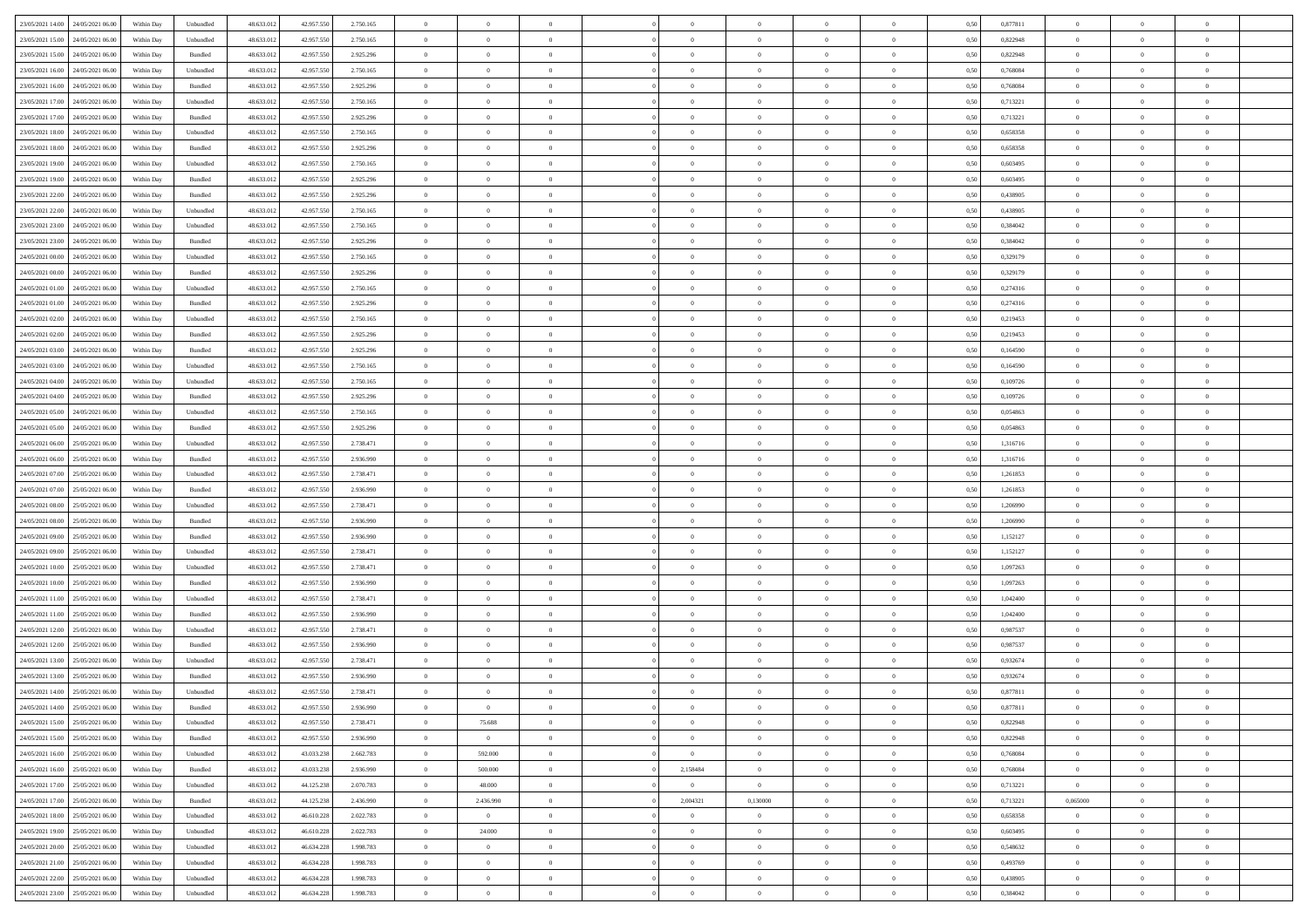|                                      |            |           |            |            |           | $\overline{0}$ | $\theta$       |                | $\overline{0}$ | $\theta$       |                | $\theta$       |      |          | $\theta$       | $\theta$       | $\overline{0}$ |  |
|--------------------------------------|------------|-----------|------------|------------|-----------|----------------|----------------|----------------|----------------|----------------|----------------|----------------|------|----------|----------------|----------------|----------------|--|
| 23/05/2021 14:00 24/05/2021 06:00    | Within Day | Unbundled | 48.633.01  | 42.957.550 | 2.750.165 |                |                |                |                |                |                |                | 0,50 | 0,877811 |                |                |                |  |
| 23/05/2021 15:00<br>24/05/2021 06.00 | Within Day | Unbundled | 48.633.01  | 42.957.55  | 2.750.165 | $\bf{0}$       | $\bf{0}$       | $\bf{0}$       | $\bf{0}$       | $\overline{0}$ | $\overline{0}$ | $\bf{0}$       | 0,50 | 0,822948 | $\,$ 0 $\,$    | $\bf{0}$       | $\overline{0}$ |  |
| 23/05/2021 15:00<br>24/05/2021 06:00 | Within Day | Bundled   | 48.633.013 | 42.957.550 | 2.925.296 | $\overline{0}$ | $\bf{0}$       | $\overline{0}$ | $\bf{0}$       | $\bf{0}$       | $\overline{0}$ | $\bf{0}$       | 0.50 | 0,822948 | $\overline{0}$ | $\overline{0}$ | $\overline{0}$ |  |
| 23/05/2021 16:00<br>24/05/2021 06:00 | Within Day | Unbundled | 48.633.01  | 42.957.550 | 2.750.165 | $\overline{0}$ | $\overline{0}$ | $\overline{0}$ | $\theta$       | $\theta$       | $\overline{0}$ | $\bf{0}$       | 0,50 | 0,768084 | $\theta$       | $\theta$       | $\overline{0}$ |  |
| 23/05/2021 16:00<br>24/05/2021 06.00 | Within Day | Bundled   | 48.633.01  | 42.957.55  | 2.925.296 | $\bf{0}$       | $\overline{0}$ | $\bf{0}$       | $\overline{0}$ | $\theta$       | $\overline{0}$ | $\bf{0}$       | 0,50 | 0,768084 | $\,$ 0 $\,$    | $\bf{0}$       | $\overline{0}$ |  |
|                                      |            |           |            |            |           |                |                |                |                |                |                |                |      |          |                |                |                |  |
| 23/05/2021 17:00<br>24/05/2021 06:00 | Within Day | Unbundled | 48.633.013 | 42.957.55  | 2.750.165 | $\overline{0}$ | $\bf{0}$       | $\overline{0}$ | $\bf{0}$       | $\overline{0}$ | $\theta$       | $\bf{0}$       | 0.50 | 0,713221 | $\bf{0}$       | $\theta$       | $\overline{0}$ |  |
| 23/05/2021 17:00<br>24/05/2021 06:00 | Within Day | Bundled   | 48.633.013 | 42.957.550 | 2.925.296 | $\overline{0}$ | $\overline{0}$ | $\overline{0}$ | $\overline{0}$ | $\overline{0}$ | $\overline{0}$ | $\bf{0}$       | 0,50 | 0,713221 | $\,$ 0 $\,$    | $\theta$       | $\overline{0}$ |  |
| 23/05/2021 18:00<br>24/05/2021 06.00 | Within Day | Unbundled | 48.633.01  | 42.957.55  | 2.750.165 | $\bf{0}$       | $\bf{0}$       | $\bf{0}$       | $\overline{0}$ | $\overline{0}$ | $\overline{0}$ | $\bf{0}$       | 0,50 | 0,658358 | $\,$ 0 $\,$    | $\bf{0}$       | $\overline{0}$ |  |
| 23/05/2021 18:00<br>24/05/2021 06:00 | Within Day | Bundled   | 48.633.013 | 42.957.55  | 2.925.296 | $\overline{0}$ | $\bf{0}$       | $\overline{0}$ | $\bf{0}$       | $\overline{0}$ | $\overline{0}$ | $\bf{0}$       | 0.50 | 0.658358 | $\bf{0}$       | $\overline{0}$ | $\overline{0}$ |  |
| 23/05/2021 19:00<br>24/05/2021 06:00 | Within Day | Unbundled | 48.633.012 | 42.957.550 | 2.750.165 | $\overline{0}$ | $\bf{0}$       | $\overline{0}$ | $\overline{0}$ | $\overline{0}$ | $\overline{0}$ | $\bf{0}$       | 0,50 | 0,603495 | $\,$ 0 $\,$    | $\bf{0}$       | $\overline{0}$ |  |
| 23/05/2021 19:00<br>24/05/2021 06.00 | Within Day | Bundled   | 48.633.01  | 42.957.550 | 2.925.296 | $\bf{0}$       | $\bf{0}$       | $\bf{0}$       | $\bf{0}$       | $\overline{0}$ | $\overline{0}$ | $\bf{0}$       | 0,50 | 0,603495 | $\,$ 0 $\,$    | $\bf{0}$       | $\overline{0}$ |  |
| 23/05/2021 22:00<br>24/05/2021 06:00 | Within Day | Bundled   | 48.633.013 | 42.957.550 | 2.925.296 | $\overline{0}$ | $\bf{0}$       | $\overline{0}$ | $\overline{0}$ | $\bf{0}$       | $\overline{0}$ | $\bf{0}$       | 0.50 | 0.438905 | $\bf{0}$       | $\,$ 0 $\,$    | $\,$ 0         |  |
|                                      |            |           |            |            |           | $\overline{0}$ | $\overline{0}$ | $\overline{0}$ | $\theta$       | $\theta$       | $\overline{0}$ |                |      |          | $\,$ 0 $\,$    | $\theta$       |                |  |
| 23/05/2021 22:00<br>24/05/2021 06:00 | Within Day | Unbundled | 48.633.01  | 42.957.550 | 2.750.165 |                |                |                |                |                |                | $\bf{0}$       | 0,50 | 0,438905 |                |                | $\overline{0}$ |  |
| 23/05/2021 23:00<br>24/05/2021 06.00 | Within Day | Unbundled | 48.633.01  | 42.957.55  | 2.750.165 | $\bf{0}$       | $\overline{0}$ | $\bf{0}$       | $\bf{0}$       | $\bf{0}$       | $\overline{0}$ | $\bf{0}$       | 0,50 | 0,384042 | $\,$ 0 $\,$    | $\bf{0}$       | $\overline{0}$ |  |
| 23/05/2021 23:00<br>24/05/2021 06:00 | Within Day | Bundled   | 48.633.013 | 42.957.55  | 2.925.296 | $\overline{0}$ | $\bf{0}$       | $\overline{0}$ | $\bf{0}$       | $\overline{0}$ | $\theta$       | $\bf{0}$       | 0.50 | 0.384042 | $\,$ 0 $\,$    | $\theta$       | $\overline{0}$ |  |
| 24/05/2021 00:00<br>24/05/2021 06:00 | Within Day | Unbundled | 48.633.013 | 42.957.550 | 2.750.165 | $\overline{0}$ | $\overline{0}$ | $\overline{0}$ | $\overline{0}$ | $\overline{0}$ | $\overline{0}$ | $\bf{0}$       | 0,50 | 0,329179 | $\theta$       | $\theta$       | $\overline{0}$ |  |
| 24/05/2021 00:00<br>24/05/2021 06.00 | Within Day | Bundled   | 48.633.01  | 42.957.55  | 2.925.296 | $\bf{0}$       | $\bf{0}$       | $\bf{0}$       | $\overline{0}$ | $\bf{0}$       | $\overline{0}$ | $\bf{0}$       | 0,50 | 0,329179 | $\,$ 0 $\,$    | $\bf{0}$       | $\overline{0}$ |  |
| 24/05/2021 01:00<br>24/05/2021 06:00 | Within Day | Unbundled | 48.633.013 | 42.957.55  | 2.750.165 | $\overline{0}$ | $\bf{0}$       | $\overline{0}$ | $\bf{0}$       | $\overline{0}$ | $\overline{0}$ | $\bf{0}$       | 0.50 | 0,274316 | $\bf{0}$       | $\overline{0}$ | $\bf{0}$       |  |
| 24/05/2021 01:00<br>24/05/2021 06:00 | Within Day | Bundled   | 48.633.013 | 42.957.550 | 2.925.296 | $\bf{0}$       | $\bf{0}$       | $\overline{0}$ | $\overline{0}$ | $\overline{0}$ | $\overline{0}$ | $\bf{0}$       | 0,50 | 0,274316 | $\,$ 0 $\,$    | $\bf{0}$       | $\overline{0}$ |  |
| 24/05/2021 02:00<br>24/05/2021 06.00 | Within Day | Unbundled | 48.633.01  | 42.957.55  | 2.750.165 | $\bf{0}$       | $\bf{0}$       | $\bf{0}$       | $\bf{0}$       | $\overline{0}$ | $\overline{0}$ | $\bf{0}$       | 0,50 | 0,219453 | $\,$ 0 $\,$    | $\bf{0}$       | $\overline{0}$ |  |
|                                      |            |           |            |            |           |                |                |                |                |                |                |                |      |          |                |                |                |  |
| 24/05/2021 02:00<br>24/05/2021 06:00 | Within Day | Bundled   | 48.633.013 | 42.957.550 | 2.925.296 | $\overline{0}$ | $\bf{0}$       | $\overline{0}$ | $\overline{0}$ | $\bf{0}$       | $\overline{0}$ | $\bf{0}$       | 0.50 | 0,219453 | $\bf{0}$       | $\overline{0}$ | $\,$ 0         |  |
| 24/05/2021 03:00<br>24/05/2021 06:00 | Within Day | Bundled   | 48.633.01  | 42.957.550 | 2.925.296 | $\overline{0}$ | $\overline{0}$ | $\overline{0}$ | $\overline{0}$ | $\theta$       | $\overline{0}$ | $\bf{0}$       | 0,50 | 0,164590 | $\theta$       | $\theta$       | $\overline{0}$ |  |
| 24/05/2021 03:00<br>24/05/2021 06.00 | Within Day | Unbundled | 48.633.01  | 42.957.55  | 2.750.165 | $\bf{0}$       | $\bf{0}$       | $\bf{0}$       | $\bf{0}$       | $\overline{0}$ | $\overline{0}$ | $\bf{0}$       | 0,50 | 0,164590 | $\,$ 0 $\,$    | $\bf{0}$       | $\overline{0}$ |  |
| 24/05/2021 04:00<br>24/05/2021 06:00 | Within Day | Unbundled | 48.633.013 | 42.957.55  | 2.750.165 | $\overline{0}$ | $\bf{0}$       | $\overline{0}$ | $\bf{0}$       | $\overline{0}$ | $\theta$       | $\bf{0}$       | 0.50 | 0.109726 | $\,$ 0 $\,$    | $\theta$       | $\overline{0}$ |  |
| 24/05/2021 04:00<br>24/05/2021 06:00 | Within Day | Bundled   | 48.633.013 | 42.957.550 | 2.925.296 | $\overline{0}$ | $\overline{0}$ | $\overline{0}$ | $\overline{0}$ | $\overline{0}$ | $\overline{0}$ | $\bf{0}$       | 0,50 | 0,109726 | $\,$ 0 $\,$    | $\theta$       | $\overline{0}$ |  |
| 24/05/2021 05:00<br>24/05/2021 06.00 | Within Day | Unbundled | 48.633.01  | 42.957.55  | 2.750.165 | $\bf{0}$       | $\overline{0}$ | $\bf{0}$       | $\overline{0}$ | $\bf{0}$       | $\overline{0}$ | $\bf{0}$       | 0,50 | 0,054863 | $\,$ 0 $\,$    | $\bf{0}$       | $\overline{0}$ |  |
| 24/05/2021 05:00<br>24/05/2021 06:00 | Within Day | Bundled   | 48.633.013 | 42.957.55  | 2.925.296 | $\overline{0}$ | $\bf{0}$       | $\overline{0}$ | $\bf{0}$       | $\overline{0}$ | $\overline{0}$ | $\bf{0}$       | 0.50 | 0.054863 | $\bf{0}$       | $\overline{0}$ | $\overline{0}$ |  |
| 24/05/2021 06:00<br>25/05/2021 06:00 | Within Day | Unbundled | 48.633.01  | 42.957.550 | 2.738.471 | $\overline{0}$ | $\bf{0}$       | $\overline{0}$ | $\overline{0}$ | $\overline{0}$ | $\overline{0}$ | $\bf{0}$       | 0,50 | 1,316716 | $\theta$       | $\theta$       | $\overline{0}$ |  |
| 24/05/2021 06:00<br>25/05/2021 06.00 | Within Day | Bundled   | 48.633.01  | 42.957.550 | 2.936.990 | $\bf{0}$       | $\bf{0}$       | $\bf{0}$       | $\bf{0}$       | $\overline{0}$ | $\overline{0}$ | $\bf{0}$       | 0,50 | 1,316716 | $\,$ 0 $\,$    | $\bf{0}$       | $\overline{0}$ |  |
| 24/05/2021 07:00<br>25/05/2021 06:00 | Within Day | Unbundled | 48.633.013 | 42.957.550 | 2.738.471 | $\overline{0}$ | $\bf{0}$       | $\overline{0}$ | $\bf{0}$       | $\bf{0}$       | $\overline{0}$ | $\bf{0}$       | 0.50 | 1.261853 | $\bf{0}$       | $\,$ 0 $\,$    | $\,$ 0         |  |
|                                      |            |           |            |            |           |                |                |                |                |                |                |                |      |          |                |                |                |  |
| 24/05/2021 07:00<br>25/05/2021 06:00 | Within Day | Bundled   | 48.633.013 | 42.957.550 | 2.936.990 | $\overline{0}$ | $\overline{0}$ | $\overline{0}$ | $\overline{0}$ | $\overline{0}$ | $\overline{0}$ | $\bf{0}$       | 0.5( | 1,261853 | $\theta$       | $\theta$       | $\overline{0}$ |  |
| 24/05/2021 08:00<br>25/05/2021 06.00 | Within Day | Unbundled | 48.633.01  | 42.957.55  | 2.738.471 | $\bf{0}$       | $\overline{0}$ | $\bf{0}$       | $\bf{0}$       | $\overline{0}$ | $\overline{0}$ | $\bf{0}$       | 0,50 | 1,206990 | $\,$ 0 $\,$    | $\bf{0}$       | $\overline{0}$ |  |
| 24/05/2021 08:00<br>25/05/2021 06.00 | Within Day | Bundled   | 48.633.013 | 42.957.55  | 2.936.990 | $\overline{0}$ | $\bf{0}$       | $\overline{0}$ | $\bf{0}$       | $\overline{0}$ | $\overline{0}$ | $\bf{0}$       | 0.50 | 1.206990 | $\,$ 0 $\,$    | $\bf{0}$       | $\overline{0}$ |  |
| 24/05/2021 09:00<br>25/05/2021 06:00 | Within Dav | Bundled   | 48.633.013 | 42.957.550 | 2.936.990 | $\overline{0}$ | $\overline{0}$ | $\overline{0}$ | $\overline{0}$ | $\overline{0}$ | $\overline{0}$ | $\bf{0}$       | 0.50 | 1,152127 | $\theta$       | $\theta$       | $\overline{0}$ |  |
| 24/05/2021 09:00<br>25/05/2021 06.00 | Within Day | Unbundled | 48.633.01  | 42.957.55  | 2.738.471 | $\bf{0}$       | $\bf{0}$       | $\bf{0}$       | $\bf{0}$       | $\overline{0}$ | $\overline{0}$ | $\bf{0}$       | 0,50 | 1,152127 | $\,$ 0 $\,$    | $\bf{0}$       | $\overline{0}$ |  |
| 24/05/2021 10:00<br>25/05/2021 06:00 | Within Day | Unbundled | 48.633.013 | 42.957.55  | 2.738.471 | $\overline{0}$ | $\bf{0}$       | $\overline{0}$ | $\bf{0}$       | $\overline{0}$ | $\overline{0}$ | $\bf{0}$       | 0.50 | 1.097263 | $\bf{0}$       | $\overline{0}$ | $\overline{0}$ |  |
| 24/05/2021 10:00<br>25/05/2021 06:00 | Within Dav | Bundled   | 48.633.013 | 42.957.550 | 2.936.990 | $\overline{0}$ | $\overline{0}$ | $\overline{0}$ | $\overline{0}$ | $\overline{0}$ | $\overline{0}$ | $\bf{0}$       | 0.50 | 1,097263 | $\theta$       | $\theta$       | $\overline{0}$ |  |
| 24/05/2021 11:00<br>25/05/2021 06.00 | Within Day | Unbundled | 48.633.01  | 42.957.55  | 2.738.471 | $\bf{0}$       | $\bf{0}$       | $\bf{0}$       | $\bf{0}$       | $\overline{0}$ | $\overline{0}$ | $\bf{0}$       | 0,50 | 1,042400 | $\,$ 0 $\,$    | $\bf{0}$       | $\overline{0}$ |  |
| 24/05/2021 11:00<br>25/05/2021 06:00 | Within Day | Bundled   | 48.633.013 | 42.957.550 | 2.936.990 | $\overline{0}$ | $\bf{0}$       | $\overline{0}$ | $\overline{0}$ | $\bf{0}$       | $\overline{0}$ | $\bf{0}$       | 0.50 | 1.042400 | $\,$ 0 $\,$    | $\,$ 0 $\,$    | $\,$ 0         |  |
| 24/05/2021 12:00<br>25/05/2021 06:00 | Within Day | Unbundled | 48.633.013 | 42.957.550 | 2.738.471 | $\overline{0}$ | $\overline{0}$ | $\overline{0}$ | $\overline{0}$ | $\overline{0}$ | $\overline{0}$ | $\bf{0}$       | 0.50 | 0,987537 | $\theta$       | $\theta$       | $\overline{0}$ |  |
|                                      |            |           |            |            |           |                |                |                |                |                |                |                |      |          |                |                |                |  |
| 24/05/2021 12:00<br>25/05/2021 06.00 | Within Day | Bundled   | 48.633.013 | 42.957.550 | 2.936.990 | $\bf{0}$       | $\bf{0}$       | $\bf{0}$       | $\bf{0}$       | $\overline{0}$ | $\overline{0}$ | $\bf{0}$       | 0,50 | 0,987537 | $\,$ 0 $\,$    | $\bf{0}$       | $\overline{0}$ |  |
| 24/05/2021 13:00<br>25/05/2021 06.00 | Within Day | Unbundled | 48.633.013 | 42.957.55  | 2.738.471 | $\overline{0}$ | $\overline{0}$ | $\overline{0}$ | $\bf{0}$       | $\overline{0}$ | $\overline{0}$ | $\bf{0}$       | 0.50 | 0.932674 | $\bf{0}$       | $\theta$       | $\overline{0}$ |  |
| 24/05/2021 13:00<br>25/05/2021 06:00 | Within Dav | Bundled   | 48.633.013 | 42.957.550 | 2.936.990 | $\overline{0}$ | $\overline{0}$ | $\Omega$       | $\overline{0}$ | $\theta$       | $\overline{0}$ | $\overline{0}$ | 0.5( | 0,932674 | $\theta$       | $\theta$       | $\overline{0}$ |  |
| 24/05/2021 14:00<br>25/05/2021 06:00 | Within Day | Unbundled | 48.633.01  | 42.957.550 | 2.738.471 | $\bf{0}$       | $\bf{0}$       | $\bf{0}$       | $\bf{0}$       | $\bf{0}$       | $\overline{0}$ | $\bf{0}$       | 0,50 | 0,877811 | $\,$ 0 $\,$    | $\overline{0}$ | $\overline{0}$ |  |
| 24/05/2021 14:00 25/05/2021 06:00    | Within Day | Bundled   | 48.633.012 | 42.957.550 | 2.936.990 | $\bf{0}$       | $\theta$       |                | $\overline{0}$ |                |                |                | 0,50 | 0,877811 | $\bf{0}$       | $\bf{0}$       |                |  |
| 24/05/2021 15:00 25/05/2021 06:00    | Within Day | Unbundled | 48.633.012 | 42.957.550 | 2.738.471 | $\overline{0}$ | 75.688         | $\overline{0}$ | $\theta$       | $\overline{0}$ | $\overline{0}$ | $\bf{0}$       | 0,50 | 0,822948 | $\theta$       | $\theta$       | $\overline{0}$ |  |
| 24/05/2021 15:00<br>25/05/2021 06:00 | Within Day | Bundled   | 48.633.013 | 42.957.550 | 2.936.990 | $\overline{0}$ | $\overline{0}$ | $\overline{0}$ | $\overline{0}$ | $\bf{0}$       | $\overline{0}$ | $\bf{0}$       | 0,50 | 0,822948 | $\bf{0}$       | $\overline{0}$ | $\bf{0}$       |  |
| 24/05/2021 16:00 25/05/2021 06:00    | Within Day | Unbundled | 48.633.012 | 43.033.238 | 2.662.783 | $\overline{0}$ | 592.000        | $\overline{0}$ | $\overline{0}$ | $\mathbf{0}$   | $\overline{0}$ | $\,$ 0 $\,$    | 0.50 | 0.768084 | $\overline{0}$ | $\bf{0}$       | $\,$ 0 $\,$    |  |
|                                      |            |           |            |            |           |                |                |                |                |                |                |                |      |          |                |                |                |  |
| 24/05/2021 16:00 25/05/2021 06:00    | Within Dav | Bundled   | 48.633.012 | 43.033.238 | 2.936.990 | $\overline{0}$ | 500.000        | $\overline{0}$ | 2,158484       | $\overline{0}$ | $\overline{0}$ | $\bf{0}$       | 0,50 | 0,768084 | $\overline{0}$ | $\theta$       | $\overline{0}$ |  |
| 24/05/2021 17:00<br>25/05/2021 06:00 | Within Day | Unbundled | 48.633.012 | 44.125.238 | 2.070.783 | $\overline{0}$ | 48.000         | $\overline{0}$ | $\overline{0}$ | $\bf{0}$       | $\overline{0}$ | $\bf{0}$       | 0,50 | 0,713221 | $\overline{0}$ | $\overline{0}$ | $\overline{0}$ |  |
| 24/05/2021 17:00 25/05/2021 06:00    | Within Day | Bundled   | 48.633.012 | 44.125.238 | 2.436.990 | $\overline{0}$ | 2.436.990      | $\overline{0}$ | 2,004321       | 0.130000       | $\overline{0}$ | $\bf{0}$       | 0.50 | 0,713221 | 0,065000       | $\theta$       | $\,$ 0         |  |
| 24/05/2021 18:00 25/05/2021 06:00    | Within Dav | Unbundled | 48.633.012 | 46.610.228 | 2.022.783 | $\overline{0}$ | $\overline{0}$ | $\overline{0}$ | $\overline{0}$ | $\overline{0}$ | $\overline{0}$ | $\bf{0}$       | 0.50 | 0,658358 | $\overline{0}$ | $\theta$       | $\overline{0}$ |  |
| 24/05/2021 19:00<br>25/05/2021 06:00 | Within Day | Unbundled | 48.633.013 | 46.610.228 | 2.022.783 | $\overline{0}$ | 24.000         | $\overline{0}$ | $\overline{0}$ | $\bf{0}$       | $\overline{0}$ | $\bf{0}$       | 0,50 | 0,603495 | $\bf{0}$       | $\overline{0}$ | $\,$ 0         |  |
| 24/05/2021 20:00 25/05/2021 06:00    | Within Day | Unbundled | 48.633.012 | 46.634.228 | 1.998.783 | $\overline{0}$ | $\overline{0}$ | $\overline{0}$ | $\overline{0}$ | $\bf{0}$       | $\overline{0}$ | $\bf{0}$       | 0.50 | 0.548632 | $\mathbf{0}$   | $\bf{0}$       | $\,$ 0         |  |
| 24/05/2021 21:00 25/05/2021 06:00    | Within Dav | Unbundled | 48.633.012 | 46.634.228 | 1.998.783 | $\overline{0}$ | $\overline{0}$ | $\overline{0}$ | $\overline{0}$ | $\overline{0}$ | $\overline{0}$ | $\bf{0}$       | 0,50 | 0,493769 | $\overline{0}$ | $\theta$       | $\overline{0}$ |  |
| 24/05/2021 22:00<br>25/05/2021 06:00 | Within Day | Unbundled | 48.633.013 | 46.634.228 | 1.998.783 | $\overline{0}$ | $\bf{0}$       | $\overline{0}$ | $\overline{0}$ | $\overline{0}$ | $\bf{0}$       | $\bf{0}$       | 0,50 | 0,438905 | $\bf{0}$       | $\,$ 0 $\,$    | $\bf{0}$       |  |
|                                      |            | Unbundled | 48.633.012 | 46.634.228 |           | $\,$ 0 $\,$    | $\bf{0}$       | $\overline{0}$ |                | $\,$ 0 $\,$    | $\overline{0}$ | $\bf{0}$       | 0,50 | 0,384042 | $\overline{0}$ | $\,$ 0 $\,$    | $\,$ 0 $\,$    |  |
| 24/05/2021 23:00 25/05/2021 06:00    | Within Day |           |            |            | 1.998.783 |                |                |                | $\overline{0}$ |                |                |                |      |          |                |                |                |  |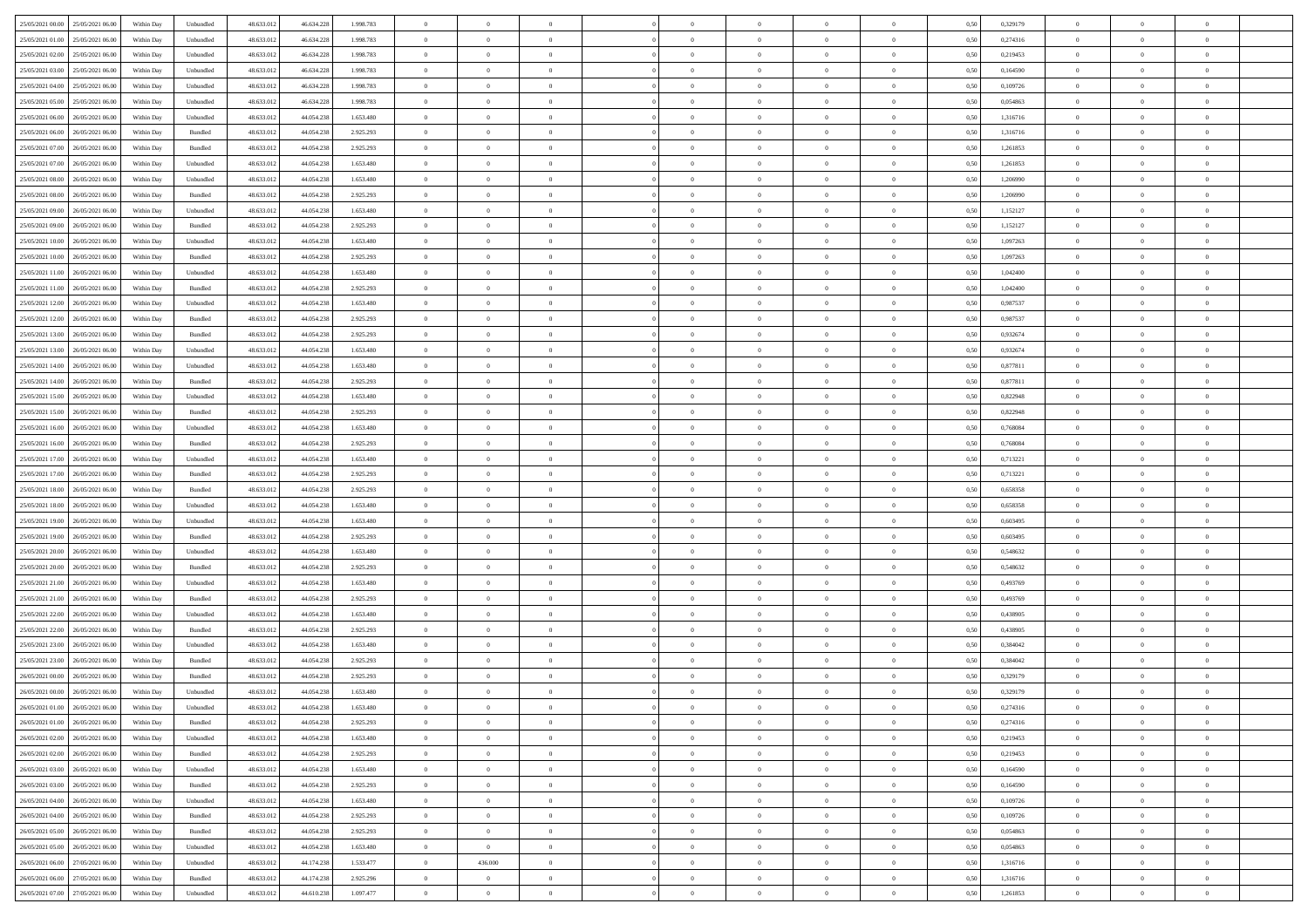| 25/05/2021 00:00 25/05/2021 06:00            | Within Day | Unbundled         | 48.633.01  | 46.634.228 | 1.998.783 | $\overline{0}$ | $\overline{0}$ |                | $\overline{0}$ | $\theta$       |                | $\theta$       | 0,50 | 0,329179 | $\theta$       | $\theta$       | $\overline{0}$ |  |
|----------------------------------------------|------------|-------------------|------------|------------|-----------|----------------|----------------|----------------|----------------|----------------|----------------|----------------|------|----------|----------------|----------------|----------------|--|
| 25/05/2021 01:00<br>25/05/2021 06.00         | Within Day | Unbundled         | 48.633.01  | 46.634.228 | 1.998.783 | $\bf{0}$       | $\bf{0}$       | $\bf{0}$       | $\overline{0}$ | $\overline{0}$ | $\overline{0}$ | $\bf{0}$       | 0,50 | 0,274316 | $\,$ 0 $\,$    | $\bf{0}$       | $\overline{0}$ |  |
| 25/05/2021 02:00<br>25/05/2021 06:00         | Within Day | Unbundled         | 48.633.013 | 46.634.228 | 1.998.783 | $\overline{0}$ | $\bf{0}$       | $\overline{0}$ | $\bf{0}$       | $\bf{0}$       | $\overline{0}$ | $\bf{0}$       | 0.50 | 0,219453 | $\bf{0}$       | $\overline{0}$ | $\overline{0}$ |  |
| 25/05/2021 03:00<br>25/05/2021 06:00         |            |                   | 48.633.01  |            |           | $\overline{0}$ | $\overline{0}$ | $\overline{0}$ | $\theta$       | $\theta$       | $\overline{0}$ |                |      | 0,164590 | $\theta$       | $\theta$       | $\overline{0}$ |  |
|                                              | Within Day | Unbundled         |            | 46.634.228 | 1.998.783 |                |                |                |                |                |                | $\bf{0}$       | 0,50 |          |                |                |                |  |
| 25/05/2021 04:00<br>25/05/2021 06.00         | Within Day | Unbundled         | 48.633.01  | 46.634.228 | 1.998.783 | $\overline{0}$ | $\overline{0}$ | $\bf{0}$       | $\overline{0}$ | $\theta$       | $\overline{0}$ | $\bf{0}$       | 0,50 | 0,109726 | $\,$ 0 $\,$    | $\bf{0}$       | $\overline{0}$ |  |
| 25/05/2021 05:00<br>25/05/2021 06:00         | Within Day | Unbundled         | 48.633.013 | 46.634.228 | 1.998.783 | $\overline{0}$ | $\overline{0}$ | $\overline{0}$ | $\bf{0}$       | $\overline{0}$ | $\theta$       | $\bf{0}$       | 0.50 | 0.054863 | $\,$ 0 $\,$    | $\theta$       | $\overline{0}$ |  |
| 25/05/2021 06:00<br>26/05/2021 06:00         | Within Day | Unbundled         | 48.633.013 | 44.054.238 | 1.653.480 | $\overline{0}$ | $\overline{0}$ | $\overline{0}$ | $\overline{0}$ | $\overline{0}$ | $\overline{0}$ | $\bf{0}$       | 0,50 | 1,316716 | $\,$ 0 $\,$    | $\theta$       | $\overline{0}$ |  |
|                                              |            |                   |            |            |           |                |                |                |                |                |                |                |      |          |                |                |                |  |
| 25/05/2021 06:00<br>26/05/2021 06.00         | Within Day | Bundled           | 48.633.01  | 44.054.23  | 2.925.293 | $\bf{0}$       | $\overline{0}$ | $\bf{0}$       | $\overline{0}$ | $\overline{0}$ | $\overline{0}$ | $\bf{0}$       | 0,50 | 1,316716 | $\,$ 0 $\,$    | $\bf{0}$       | $\overline{0}$ |  |
| 25/05/2021 07:00<br>26/05/2021 06:00         | Within Day | Bundled           | 48.633.013 | 44.054.238 | 2.925.293 | $\overline{0}$ | $\bf{0}$       | $\overline{0}$ | $\bf{0}$       | $\overline{0}$ | $\overline{0}$ | $\bf{0}$       | 0.50 | 1.261853 | $\bf{0}$       | $\overline{0}$ | $\overline{0}$ |  |
| 25/05/2021 07:00<br>26/05/2021 06:00         | Within Day | Unbundled         | 48.633.013 | 44.054.238 | 1.653.480 | $\overline{0}$ | $\bf{0}$       | $\overline{0}$ | $\overline{0}$ | $\overline{0}$ | $\overline{0}$ | $\bf{0}$       | 0,50 | 1,261853 | $\,$ 0 $\,$    | $\bf{0}$       | $\overline{0}$ |  |
| 25/05/2021 08:00<br>26/05/2021 06.00         | Within Day | Unbundled         | 48.633.01  | 44.054.238 | 1.653.480 | $\bf{0}$       | $\overline{0}$ | $\bf{0}$       | $\bf{0}$       | $\bf{0}$       | $\overline{0}$ | $\bf{0}$       | 0,50 | 1,206990 | $\,$ 0 $\,$    | $\bf{0}$       | $\overline{0}$ |  |
|                                              |            |                   |            |            |           |                |                |                |                |                |                |                |      |          |                |                |                |  |
| 25/05/2021 08:00<br>26/05/2021 06:00         | Within Day | Bundled           | 48.633.013 | 44.054.238 | 2.925.293 | $\overline{0}$ | $\bf{0}$       | $\overline{0}$ | $\overline{0}$ | $\bf{0}$       | $\overline{0}$ | $\bf{0}$       | 0.50 | 1.206990 | $\bf{0}$       | $\overline{0}$ | $\bf{0}$       |  |
| 25/05/2021 09:00<br>26/05/2021 06:00         | Within Day | Unbundled         | 48.633.01  | 44.054.238 | 1.653.480 | $\overline{0}$ | $\overline{0}$ | $\overline{0}$ | $\theta$       | $\theta$       | $\overline{0}$ | $\bf{0}$       | 0,50 | 1,152127 | $\,$ 0 $\,$    | $\theta$       | $\overline{0}$ |  |
| 25/05/2021 09:00<br>26/05/2021 06.00         | Within Day | Bundled           | 48.633.01  | 44.054.23  | 2.925.293 | $\bf{0}$       | $\overline{0}$ | $\bf{0}$       | $\overline{0}$ | $\theta$       | $\overline{0}$ | $\bf{0}$       | 0,50 | 1,152127 | $\,$ 0 $\,$    | $\bf{0}$       | $\overline{0}$ |  |
|                                              |            |                   |            |            |           |                |                |                |                |                | $\theta$       |                |      |          |                |                |                |  |
| 25/05/2021 10:00<br>26/05/2021 06:00         | Within Day | Unbundled         | 48.633.013 | 44.054.238 | 1.653,480 | $\overline{0}$ | $\overline{0}$ | $\overline{0}$ | $\bf{0}$       | $\overline{0}$ |                | $\bf{0}$       | 0.50 | 1.097263 | $\,$ 0 $\,$    | $\theta$       | $\overline{0}$ |  |
| 25/05/2021 10:00<br>26/05/2021 06:00         | Within Day | Bundled           | 48.633.013 | 44.054.238 | 2.925.293 | $\overline{0}$ | $\overline{0}$ | $\overline{0}$ | $\overline{0}$ | $\overline{0}$ | $\overline{0}$ | $\bf{0}$       | 0,50 | 1,097263 | $\theta$       | $\theta$       | $\overline{0}$ |  |
| 25/05/2021 11:00<br>26/05/2021 06.00         | Within Day | Unbundled         | 48.633.01  | 44.054.238 | 1.653.480 | $\bf{0}$       | $\overline{0}$ | $\bf{0}$       | $\overline{0}$ | $\bf{0}$       | $\overline{0}$ | $\bf{0}$       | 0,50 | 1,042400 | $\,$ 0 $\,$    | $\bf{0}$       | $\overline{0}$ |  |
| 25/05/2021 11:00<br>26/05/2021 06:00         | Within Day | Bundled           | 48.633.013 | 44.054.238 | 2.925.293 | $\overline{0}$ | $\bf{0}$       | $\overline{0}$ | $\bf{0}$       | $\overline{0}$ | $\overline{0}$ | $\bf{0}$       | 0.50 | 1.042400 | $\bf{0}$       | $\overline{0}$ | $\overline{0}$ |  |
| 25/05/2021 12:00<br>26/05/2021 06:00         | Within Day | Unbundled         | 48.633.013 | 44.054.238 | 1.653.480 | $\overline{0}$ | $\bf{0}$       | $\overline{0}$ | $\overline{0}$ | $\overline{0}$ | $\overline{0}$ | $\bf{0}$       | 0,50 | 0,987537 | $\,$ 0 $\,$    | $\bf{0}$       | $\overline{0}$ |  |
|                                              |            |                   |            |            |           |                |                |                |                |                |                |                |      |          |                |                |                |  |
| 25/05/2021 12:00<br>26/05/2021 06.00         | Within Day | Bundled           | 48.633.01  | 44.054.238 | 2.925.293 | $\bf{0}$       | $\bf{0}$       | $\bf{0}$       | $\bf{0}$       | $\overline{0}$ | $\overline{0}$ | $\bf{0}$       | 0,50 | 0,987537 | $\,$ 0 $\,$    | $\bf{0}$       | $\overline{0}$ |  |
| 25/05/2021 13:00<br>26/05/2021 06:00         | Within Day | Bundled           | 48.633.013 | 44.054.238 | 2.925.293 | $\overline{0}$ | $\bf{0}$       | $\overline{0}$ | $\overline{0}$ | $\bf{0}$       | $\overline{0}$ | $\bf{0}$       | 0.50 | 0.932674 | $\bf{0}$       | $\overline{0}$ | $\overline{0}$ |  |
| 25/05/2021 13:00<br>26/05/2021 06:00         | Within Day | Unbundled         | 48.633.01  | 44.054.238 | 1.653.480 | $\overline{0}$ | $\overline{0}$ | $\overline{0}$ | $\theta$       | $\theta$       | $\overline{0}$ | $\bf{0}$       | 0,50 | 0,932674 | $\theta$       | $\theta$       | $\overline{0}$ |  |
| 25/05/2021 14:00<br>26/05/2021 06.00         | Within Day | Unbundled         | 48.633.01  | 44.054.238 | 1.653.480 | $\bf{0}$       | $\overline{0}$ | $\bf{0}$       | $\bf{0}$       | $\,$ 0 $\,$    | $\overline{0}$ | $\bf{0}$       | 0,50 | 0,877811 | $\,$ 0 $\,$    | $\bf{0}$       | $\overline{0}$ |  |
|                                              |            |                   |            |            |           |                |                |                |                |                |                |                |      |          |                |                |                |  |
| 25/05/2021 14:00<br>26/05/2021 06:00         | Within Day | Bundled           | 48.633.013 | 44.054.238 | 2.925.293 | $\overline{0}$ | $\overline{0}$ | $\overline{0}$ | $\bf{0}$       | $\overline{0}$ | $\theta$       | $\bf{0}$       | 0.50 | 0.877811 | $\,$ 0 $\,$    | $\theta$       | $\overline{0}$ |  |
| 25/05/2021 15:00<br>26/05/2021 06:00         | Within Day | Unbundled         | 48.633.013 | 44.054.238 | 1.653.480 | $\overline{0}$ | $\overline{0}$ | $\overline{0}$ | $\overline{0}$ | $\overline{0}$ | $\overline{0}$ | $\bf{0}$       | 0,50 | 0,822948 | $\,$ 0 $\,$    | $\theta$       | $\overline{0}$ |  |
| 25/05/2021 15:00<br>26/05/2021 06.00         | Within Day | Bundled           | 48.633.01  | 44.054.23  | 2.925.293 | $\bf{0}$       | $\overline{0}$ | $\bf{0}$       | $\overline{0}$ | $\bf{0}$       | $\overline{0}$ | $\bf{0}$       | 0,50 | 0,822948 | $\,$ 0 $\,$    | $\bf{0}$       | $\overline{0}$ |  |
| 25/05/2021 16:00<br>26/05/2021 06:00         | Within Day | Unbundled         | 48.633.013 | 44.054.238 | 1.653,480 | $\overline{0}$ | $\bf{0}$       | $\overline{0}$ | $\bf{0}$       | $\overline{0}$ | $\overline{0}$ | $\bf{0}$       | 0.50 | 0.768084 | $\bf{0}$       | $\overline{0}$ | $\overline{0}$ |  |
|                                              |            |                   |            |            |           |                |                |                |                |                |                |                |      |          |                |                |                |  |
| 25/05/2021 16:00<br>26/05/2021 06:00         | Within Day | Bundled           | 48.633.01  | 44.054.238 | 2.925.293 | $\overline{0}$ | $\overline{0}$ | $\overline{0}$ | $\overline{0}$ | $\overline{0}$ | $\overline{0}$ | $\bf{0}$       | 0,50 | 0,768084 | $\theta$       | $\theta$       | $\overline{0}$ |  |
| 25/05/2021 17:00<br>26/05/2021 06.00         | Within Day | Unbundled         | 48.633.01  | 44.054.238 | 1.653.480 | $\bf{0}$       | $\bf{0}$       | $\bf{0}$       | $\bf{0}$       | $\overline{0}$ | $\overline{0}$ | $\bf{0}$       | 0,50 | 0,713221 | $\,$ 0 $\,$    | $\bf{0}$       | $\overline{0}$ |  |
| 25/05/2021 17:00<br>26/05/2021 06:00         | Within Day | Bundled           | 48.633.013 | 44.054.238 | 2.925.293 | $\overline{0}$ | $\bf{0}$       | $\overline{0}$ | $\bf{0}$       | $\bf{0}$       | $\overline{0}$ | $\bf{0}$       | 0.50 | 0,713221 | $\bf{0}$       | $\overline{0}$ | $\overline{0}$ |  |
| 25/05/2021 18:00<br>26/05/2021 06:00         | Within Day | Bundled           | 48.633.013 | 44.054.238 | 2.925.293 | $\overline{0}$ | $\overline{0}$ | $\overline{0}$ | $\overline{0}$ | $\overline{0}$ | $\overline{0}$ | $\bf{0}$       | 0.5( | 0,658358 | $\theta$       | $\theta$       | $\overline{0}$ |  |
|                                              |            |                   |            |            |           |                |                |                |                | $\,$ 0 $\,$    | $\overline{0}$ |                |      |          |                |                |                |  |
| 25/05/2021 18:00<br>26/05/2021 06.00         | Within Day | Unbundled         | 48.633.01  | 44.054.238 | 1.653.480 | $\bf{0}$       | $\overline{0}$ | $\bf{0}$       | $\bf{0}$       |                |                | $\bf{0}$       | 0,50 | 0,658358 | $\,$ 0 $\,$    | $\bf{0}$       | $\overline{0}$ |  |
| 25/05/2021 19:00<br>26/05/2021 06.00         | Within Day | Unbundled         | 48.633.013 | 44.054.238 | 1.653,480 | $\overline{0}$ | $\bf{0}$       | $\overline{0}$ | $\bf{0}$       | $\overline{0}$ | $\Omega$       | $\bf{0}$       | 0.50 | 0.603495 | $\,$ 0 $\,$    | $\theta$       | $\overline{0}$ |  |
| 25/05/2021 19:00<br>26/05/2021 06:00         | Within Dav | Bundled           | 48.633.013 | 44.054.238 | 2.925.293 | $\overline{0}$ | $\overline{0}$ | $\overline{0}$ | $\overline{0}$ | $\theta$       | $\overline{0}$ | $\bf{0}$       | 0.50 | 0,603495 | $\theta$       | $\theta$       | $\overline{0}$ |  |
| 25/05/2021 20:00<br>26/05/2021 06.00         | Within Day | Unbundled         | 48.633.01  | 44.054.238 | 1.653.480 | $\bf{0}$       | $\bf{0}$       | $\bf{0}$       | $\bf{0}$       | $\bf{0}$       | $\overline{0}$ | $\bf{0}$       | 0,50 | 0,548632 | $\,$ 0 $\,$    | $\bf{0}$       | $\overline{0}$ |  |
| 25/05/2021 20:00<br>26/05/2021 06:00         | Within Day | Bundled           | 48.633.013 | 44.054.238 | 2.925.293 | $\overline{0}$ | $\bf{0}$       | $\overline{0}$ | $\bf{0}$       | $\overline{0}$ | $\overline{0}$ | $\bf{0}$       | 0.50 | 0.548632 | $\bf{0}$       | $\overline{0}$ | $\overline{0}$ |  |
|                                              |            |                   |            |            |           |                |                |                |                |                |                |                |      |          |                |                |                |  |
| 25/05/2021 21:00<br>26/05/2021 06:00         | Within Dav | Unbundled         | 48.633.013 | 44.054.238 | 1.653.480 | $\overline{0}$ | $\overline{0}$ | $\overline{0}$ | $\overline{0}$ | $\overline{0}$ | $\overline{0}$ | $\bf{0}$       | 0.50 | 0,493769 | $\theta$       | $\theta$       | $\overline{0}$ |  |
| 25/05/2021 21:00<br>26/05/2021 06.00         | Within Day | Bundled           | 48.633.01  | 44.054.238 | 2.925.293 | $\bf{0}$       | $\bf{0}$       | $\bf{0}$       | $\bf{0}$       | $\overline{0}$ | $\overline{0}$ | $\bf{0}$       | 0,50 | 0,493769 | $\,$ 0 $\,$    | $\bf{0}$       | $\overline{0}$ |  |
| 25/05/2021 22.00<br>26/05/2021 06.00         | Within Day | Unbundled         | 48.633.013 | 44.054.238 | 1.653,480 | $\overline{0}$ | $\bf{0}$       | $\overline{0}$ | $\overline{0}$ | $\bf{0}$       | $\overline{0}$ | $\bf{0}$       | 0.50 | 0.438905 | $\,$ 0 $\,$    | $\overline{0}$ | $\overline{0}$ |  |
| 25/05/2021 22:00<br>26/05/2021 06:00         | Within Dav | Bundled           | 48.633.013 | 44.054.238 | 2.925.293 | $\overline{0}$ | $\overline{0}$ | $\overline{0}$ | $\overline{0}$ | $\overline{0}$ | $\overline{0}$ | $\bf{0}$       | 0.5( | 0,438905 | $\theta$       | $\theta$       | $\overline{0}$ |  |
|                                              |            |                   |            |            |           | $\bf{0}$       | $\bf{0}$       | $\bf{0}$       |                | $\overline{0}$ | $\overline{0}$ |                |      |          | $\,$ 0 $\,$    | $\bf{0}$       | $\overline{0}$ |  |
| 25/05/2021 23:00<br>26/05/2021 06.00         | Within Day | Unbundled         | 48.633.01  | 44.054.238 | 1.653.480 |                |                |                | $\bf{0}$       |                |                | $\bf{0}$       | 0,50 | 0,384042 |                |                |                |  |
| 25/05/2021 23:00<br>26/05/2021 06.00         | Within Day | Bundled           | 48.633.013 | 44.054.238 | 2.925.293 | $\overline{0}$ | $\overline{0}$ | $\overline{0}$ | $\bf{0}$       | $\overline{0}$ | $\Omega$       | $\bf{0}$       | 0.50 | 0.384042 | $\bf{0}$       | $\theta$       | $\overline{0}$ |  |
| 26/05/2021 00:00<br>26/05/2021 06:00         | Within Dav | Bundled           | 48.633.013 | 44.054.238 | 2.925.293 | $\overline{0}$ | $\overline{0}$ | $\Omega$       | $\overline{0}$ | $\theta$       | $\Omega$       | $\overline{0}$ | 0.5( | 0,329179 | $\theta$       | $\theta$       | $\overline{0}$ |  |
| 26/05/2021 00:00<br>26/05/2021 06:00         | Within Day | Unbundled         | 48.633.01  | 44.054.238 | 1.653.480 | $\bf{0}$       | $\bf{0}$       | $\overline{0}$ | $\bf{0}$       | $\bf{0}$       | $\overline{0}$ | $\bf{0}$       | 0,50 | 0,329179 | $\overline{0}$ | $\bf{0}$       | $\overline{0}$ |  |
| $26/05/2021\ 01.00 \qquad 26/05/2021\ 06.00$ | Within Day | ${\sf Unbundred}$ | 48.633.012 | 44.054.238 | 1.653.480 | $\overline{0}$ | $\Omega$       |                | $\Omega$       |                |                |                | 0,50 | 0,274316 | $\bf{0}$       | $\overline{0}$ |                |  |
|                                              |            |                   |            |            |           |                |                |                |                |                |                |                |      |          |                |                |                |  |
| 26/05/2021 01:00 26/05/2021 06:00            | Within Day | Bundled           | 48.633.012 | 44.054.238 | 2.925.293 | $\overline{0}$ | $\overline{0}$ | $\Omega$       | $\theta$       | $\overline{0}$ | $\overline{0}$ | $\bf{0}$       | 0,50 | 0,274316 | $\theta$       | $\theta$       | $\overline{0}$ |  |
| 26/05/2021 02:00<br>26/05/2021 06:00         | Within Day | Unbundled         | 48.633.013 | 44.054.238 | 1.653.480 | $\overline{0}$ | $\bf{0}$       | $\overline{0}$ | $\overline{0}$ | $\bf{0}$       | $\overline{0}$ | $\bf{0}$       | 0,50 | 0,219453 | $\bf{0}$       | $\overline{0}$ | $\bf{0}$       |  |
| 26/05/2021 02:00 26/05/2021 06:00            | Within Day | Bundled           | 48.633.012 | 44.054.238 | 2.925.293 | $\overline{0}$ | $\bf{0}$       | $\overline{0}$ | $\overline{0}$ | $\mathbf{0}$   | $\overline{0}$ | $\,$ 0 $\,$    | 0.50 | 0,219453 | $\overline{0}$ | $\bf{0}$       | $\,$ 0 $\,$    |  |
| 26/05/2021 03:00 26/05/2021 06:00            | Within Dav | Unbundled         | 48.633.012 | 44.054.238 | 1.653.480 | $\overline{0}$ | $\overline{0}$ | $\overline{0}$ | $\overline{0}$ | $\overline{0}$ | $\overline{0}$ | $\bf{0}$       | 0.50 | 0,164590 | $\overline{0}$ | $\theta$       | $\overline{0}$ |  |
|                                              |            |                   |            |            |           |                |                |                |                |                |                |                |      |          |                |                |                |  |
| 26/05/2021 03:00<br>26/05/2021 06:00         | Within Day | Bundled           | 48.633.012 | 44.054.238 | 2.925.293 | $\overline{0}$ | $\bf{0}$       | $\overline{0}$ | $\overline{0}$ | $\overline{0}$ | $\overline{0}$ | $\bf{0}$       | 0,50 | 0,164590 | $\bf{0}$       | $\overline{0}$ | $\overline{0}$ |  |
| 26/05/2021 04:00<br>26/05/2021 06:00         | Within Day | Unbundled         | 48.633.012 | 44.054.238 | 1.653.480 | $\overline{0}$ | $\bf{0}$       | $\overline{0}$ | $\overline{0}$ | $\overline{0}$ | $\overline{0}$ | $\bf{0}$       | 0.50 | 0.109726 | $\,$ 0 $\,$    | $\overline{0}$ | $\,$ 0         |  |
| 26/05/2021 04:00<br>26/05/2021 06:00         | Within Dav | Bundled           | 48.633.012 | 44.054.238 | 2.925.293 | $\overline{0}$ | $\overline{0}$ | $\overline{0}$ | $\overline{0}$ | $\overline{0}$ | $\overline{0}$ | $\bf{0}$       | 0.50 | 0,109726 | $\overline{0}$ | $\theta$       | $\overline{0}$ |  |
| 26/05/2021 05:00<br>26/05/2021 06.00         | Within Day | Bundled           | 48.633.013 | 44.054.238 | 2.925.293 | $\overline{0}$ | $\overline{0}$ | $\overline{0}$ | $\overline{0}$ | $\overline{0}$ | $\overline{0}$ | $\bf{0}$       | 0,50 | 0,054863 | $\bf{0}$       | $\overline{0}$ | $\overline{0}$ |  |
|                                              |            |                   |            |            |           |                |                |                |                |                |                |                |      |          |                |                |                |  |
| 26/05/2021 06:00<br>26/05/2021 05:00         | Within Day | Unbundled         | 48.633.012 | 44.054.238 | 1.653.480 | $\overline{0}$ | $\overline{0}$ | $\overline{0}$ | $\overline{0}$ | $\overline{0}$ | $\overline{0}$ | $\bf{0}$       | 0.50 | 0.054863 | $\mathbf{0}$   | $\bf{0}$       | $\,$ 0         |  |
| 26/05/2021 06:00 27/05/2021 06:00            | Within Dav | Unbundled         | 48.633.013 | 44.174.238 | 1.533.477 | $\overline{0}$ | 436.000        | $\overline{0}$ | $\overline{0}$ | $\overline{0}$ | $\overline{0}$ | $\bf{0}$       | 0,50 | 1,316716 | $\overline{0}$ | $\theta$       | $\overline{0}$ |  |
| 26/05/2021 06:00<br>27/05/2021 06.00         | Within Day | Bundled           | 48.633.013 | 44.174.238 | 2.925.296 | $\overline{0}$ | $\bf{0}$       | $\overline{0}$ | $\bf{0}$       | $\overline{0}$ | $\bf{0}$       | $\bf{0}$       | 0,50 | 1,316716 | $\bf{0}$       | $\,0\,$        | $\bf{0}$       |  |
| 26/05/2021 07:00 27/05/2021 06:00            | Within Day | Unbundled         | 48.633.012 | 44.610.238 | 1.097.477 | $\overline{0}$ | $\bf{0}$       | $\overline{0}$ | $\overline{0}$ | $\,$ 0 $\,$    | $\overline{0}$ | $\bf{0}$       | 0,50 | 1,261853 | $\overline{0}$ | $\,$ 0 $\,$    | $\,$ 0 $\,$    |  |
|                                              |            |                   |            |            |           |                |                |                |                |                |                |                |      |          |                |                |                |  |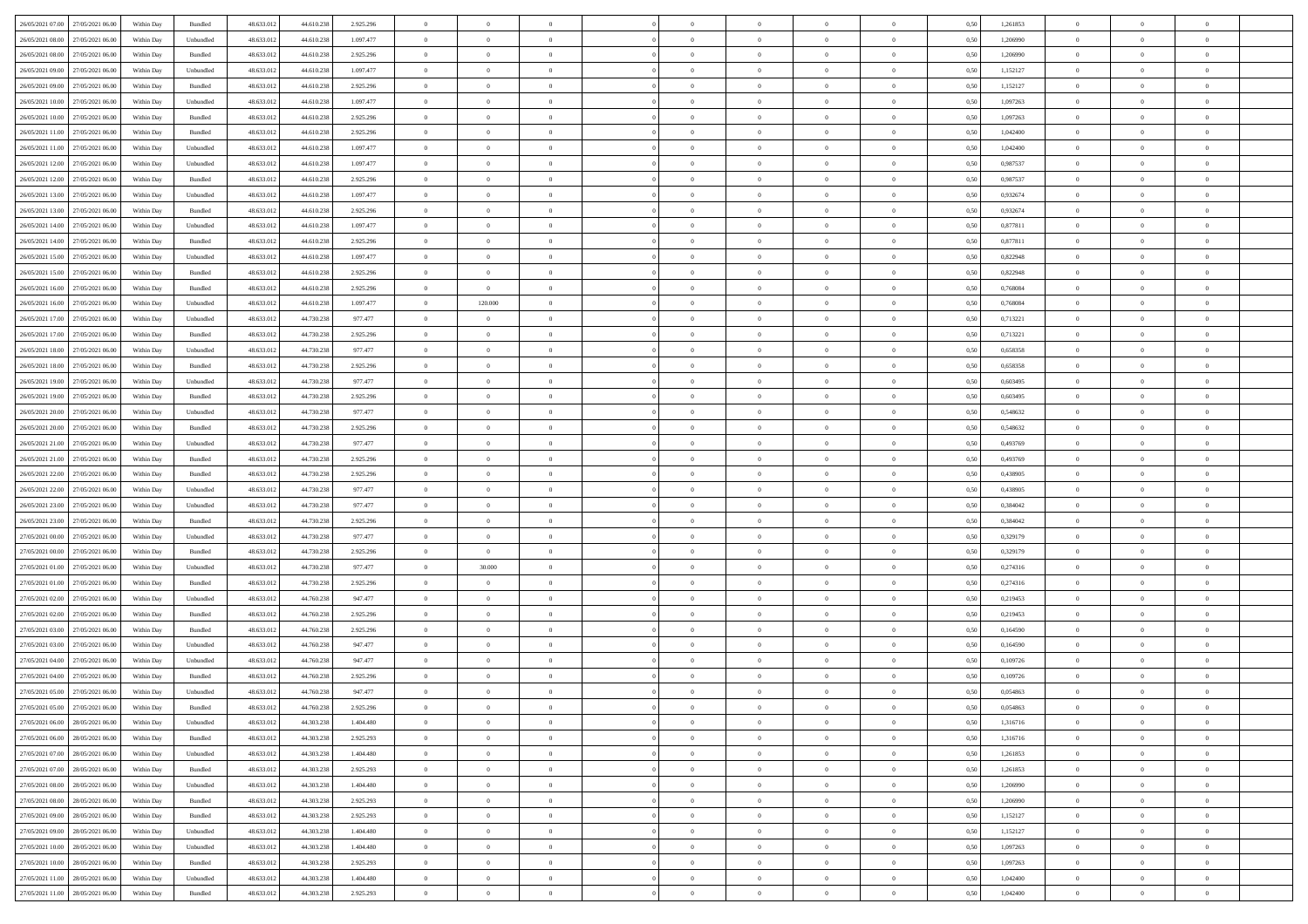| 26/05/2021 07:00 27/05/2021 06:00            | Within Day | Bundled   | 48.633.01  | 44.610.238 | 2.925.296 | $\overline{0}$ | $\theta$       |                | $\overline{0}$ | $\theta$       |                | $\bf{0}$       | 0,50 | 1,261853 | $\theta$       | $\theta$       | $\overline{0}$ |  |
|----------------------------------------------|------------|-----------|------------|------------|-----------|----------------|----------------|----------------|----------------|----------------|----------------|----------------|------|----------|----------------|----------------|----------------|--|
|                                              |            |           |            |            |           |                |                |                |                |                |                |                |      |          |                |                |                |  |
| 26/05/2021 08:00<br>27/05/2021 06.00         | Within Day | Unbundled | 48.633.01  | 44.610.238 | 1.097.477 | $\bf{0}$       | $\bf{0}$       | $\bf{0}$       | $\bf{0}$       | $\overline{0}$ | $\overline{0}$ | $\bf{0}$       | 0,50 | 1,206990 | $\,$ 0 $\,$    | $\bf{0}$       | $\overline{0}$ |  |
| 26/05/2021 08:00<br>27/05/2021 06:00         | Within Day | Bundled   | 48.633.013 | 44.610.238 | 2.925.296 | $\overline{0}$ | $\bf{0}$       | $\overline{0}$ | $\bf{0}$       | $\bf{0}$       | $\overline{0}$ | $\bf{0}$       | 0.50 | 1.206990 | $\bf{0}$       | $\overline{0}$ | $\overline{0}$ |  |
| 26/05/2021 09:00<br>27/05/2021 06:00         | Within Day | Unbundled | 48.633.01  | 44.610.238 | 1.097.477 | $\overline{0}$ | $\bf{0}$       | $\overline{0}$ | $\theta$       | $\theta$       | $\overline{0}$ | $\bf{0}$       | 0,50 | 1,152127 | $\theta$       | $\theta$       | $\overline{0}$ |  |
|                                              |            |           |            |            |           |                |                |                |                |                |                |                |      |          |                |                |                |  |
| 26/05/2021 09:00<br>27/05/2021 06.00         | Within Day | Bundled   | 48.633.01  | 44.610.238 | 2.925.296 | $\overline{0}$ | $\overline{0}$ | $\bf{0}$       | $\overline{0}$ | $\theta$       | $\overline{0}$ | $\bf{0}$       | 0,50 | 1,152127 | $\,$ 0 $\,$    | $\bf{0}$       | $\overline{0}$ |  |
| 26/05/2021 10:00<br>27/05/2021 06:00         | Within Day | Unbundled | 48.633.013 | 44.610.238 | 1.097.477 | $\overline{0}$ | $\overline{0}$ | $\overline{0}$ | $\bf{0}$       | $\overline{0}$ | $\theta$       | $\bf{0}$       | 0.50 | 1.097263 | $\,$ 0 $\,$    | $\theta$       | $\overline{0}$ |  |
| 26/05/2021 10:00<br>27/05/2021 06:00         | Within Day | Bundled   | 48.633.013 | 44.610.238 | 2.925.296 | $\overline{0}$ | $\overline{0}$ | $\overline{0}$ | $\overline{0}$ | $\overline{0}$ | $\overline{0}$ | $\bf{0}$       | 0,50 | 1,097263 | $\theta$       | $\theta$       | $\overline{0}$ |  |
| 26/05/2021 11:00<br>27/05/2021 06.00         | Within Day | Bundled   | 48.633.01  | 44.610.23  | 2.925.296 | $\bf{0}$       | $\overline{0}$ | $\bf{0}$       | $\overline{0}$ | $\overline{0}$ | $\overline{0}$ | $\bf{0}$       | 0,50 | 1,042400 | $\,$ 0 $\,$    | $\bf{0}$       | $\overline{0}$ |  |
| 26/05/2021 11:00<br>27/05/2021 06:00         |            | Unbundled | 48.633.013 | 44.610.23  | 1,097.477 |                | $\bf{0}$       | $\overline{0}$ |                | $\overline{0}$ | $\overline{0}$ |                | 0.50 | 1.042400 | $\bf{0}$       | $\overline{0}$ | $\overline{0}$ |  |
|                                              | Within Day |           |            |            |           | $\overline{0}$ |                |                | $\bf{0}$       |                |                | $\bf{0}$       |      |          |                |                |                |  |
| 26/05/2021 12:00<br>27/05/2021 06:00         | Within Day | Unbundled | 48.633.013 | 44.610.238 | 1.097.477 | $\overline{0}$ | $\bf{0}$       | $\overline{0}$ | $\overline{0}$ | $\overline{0}$ | $\overline{0}$ | $\bf{0}$       | 0,50 | 0,987537 | $\,$ 0 $\,$    | $\bf{0}$       | $\overline{0}$ |  |
| 26/05/2021 12:00<br>27/05/2021 06.00         | Within Day | Bundled   | 48.633.01  | 44.610.238 | 2.925.296 | $\bf{0}$       | $\overline{0}$ | $\bf{0}$       | $\bf{0}$       | $\bf{0}$       | $\overline{0}$ | $\bf{0}$       | 0,50 | 0,987537 | $\,$ 0 $\,$    | $\bf{0}$       | $\overline{0}$ |  |
| 26/05/2021 13:00<br>27/05/2021 06:00         | Within Day | Unbundled | 48.633.013 | 44.610.238 | 1.097.477 | $\overline{0}$ | $\bf{0}$       | $\overline{0}$ | $\bf{0}$       | $\bf{0}$       | $\overline{0}$ | $\bf{0}$       | 0.50 | 0.932674 | $\bf{0}$       | $\overline{0}$ | $\,$ 0         |  |
| 26/05/2021 13:00<br>27/05/2021 06:00         | Within Day | Bundled   | 48.633.01  | 44.610.238 | 2.925.296 | $\overline{0}$ | $\overline{0}$ | $\overline{0}$ | $\theta$       | $\theta$       | $\overline{0}$ | $\bf{0}$       | 0,50 | 0,932674 | $\,$ 0 $\,$    | $\theta$       | $\overline{0}$ |  |
|                                              |            |           |            |            |           |                | $\overline{0}$ |                | $\overline{0}$ |                | $\overline{0}$ |                |      |          | $\,$ 0 $\,$    | $\bf{0}$       | $\overline{0}$ |  |
| 26/05/2021 14:00<br>27/05/2021 06.00         | Within Day | Unbundled | 48.633.01  | 44.610.238 | 1.097.477 | $\bf{0}$       |                | $\bf{0}$       |                | $\bf{0}$       |                | $\bf{0}$       | 0,50 | 0,877811 |                |                |                |  |
| 26/05/2021 14:00<br>27/05/2021 06.00         | Within Day | Bundled   | 48.633.013 | 44.610.238 | 2.925.296 | $\overline{0}$ | $\overline{0}$ | $\overline{0}$ | $\bf{0}$       | $\overline{0}$ | $\theta$       | $\bf{0}$       | 0.50 | 0.877811 | $\,$ 0 $\,$    | $\theta$       | $\overline{0}$ |  |
| 26/05/2021 15:00<br>27/05/2021 06:00         | Within Day | Unbundled | 48.633.013 | 44.610.238 | 1.097.477 | $\overline{0}$ | $\overline{0}$ | $\overline{0}$ | $\overline{0}$ | $\overline{0}$ | $\overline{0}$ | $\bf{0}$       | 0,50 | 0,822948 | $\theta$       | $\theta$       | $\overline{0}$ |  |
| 26/05/2021 15:00<br>27/05/2021 06.00         | Within Day | Bundled   | 48.633.01  | 44.610.238 | 2.925.296 | $\bf{0}$       | $\overline{0}$ | $\bf{0}$       | $\overline{0}$ | $\bf{0}$       | $\overline{0}$ | $\bf{0}$       | 0,50 | 0,822948 | $\,$ 0 $\,$    | $\bf{0}$       | $\overline{0}$ |  |
| 26/05/2021 16:00<br>27/05/2021 06:00         | Within Day | Bundled   | 48.633.013 | 44.610.238 | 2.925.296 | $\overline{0}$ | $\overline{0}$ | $\overline{0}$ | $\bf{0}$       | $\overline{0}$ | $\overline{0}$ | $\bf{0}$       | 0.50 | 0.768084 | $\bf{0}$       | $\overline{0}$ | $\bf{0}$       |  |
|                                              |            |           |            |            |           | $\overline{0}$ |                | $\overline{0}$ | $\overline{0}$ | $\overline{0}$ | $\overline{0}$ |                |      |          | $\,$ 0 $\,$    |                | $\overline{0}$ |  |
| 26/05/2021 16:00<br>27/05/2021 06:00         | Within Day | Unbundled | 48.633.013 | 44.610.238 | 1.097.477 |                | 120.000        |                |                |                |                | $\bf{0}$       | 0,50 | 0,768084 |                | $\bf{0}$       |                |  |
| 26/05/2021 17:00<br>27/05/2021 06.00         | Within Day | Unbundled | 48.633.01  | 44.730.238 | 977.477   | $\bf{0}$       | $\overline{0}$ | $\bf{0}$       | $\bf{0}$       | $\overline{0}$ | $\overline{0}$ | $\bf{0}$       | 0,50 | 0,713221 | $\,$ 0 $\,$    | $\bf{0}$       | $\overline{0}$ |  |
| 26/05/2021 17:00<br>27/05/2021 06:00         | Within Day | Bundled   | 48.633.013 | 44.730.238 | 2.925.296 | $\overline{0}$ | $\bf{0}$       | $\overline{0}$ | $\overline{0}$ | $\bf{0}$       | $\overline{0}$ | $\bf{0}$       | 0.50 | 0,713221 | $\bf{0}$       | $\overline{0}$ | $\,$ 0         |  |
| 26/05/2021 18:00<br>27/05/2021 06:00         | Within Day | Unbundled | 48.633.01  | 44.730.238 | 977.477   | $\overline{0}$ | $\overline{0}$ | $\overline{0}$ | $\theta$       | $\theta$       | $\overline{0}$ | $\bf{0}$       | 0,50 | 0,658358 | $\theta$       | $\theta$       | $\overline{0}$ |  |
| 26/05/2021 18:00<br>27/05/2021 06.00         | Within Day | Bundled   | 48.633.01  | 44.730.23  | 2.925.296 | $\bf{0}$       | $\overline{0}$ | $\bf{0}$       | $\bf{0}$       | $\overline{0}$ | $\overline{0}$ | $\bf{0}$       | 0,50 | 0,658358 | $\,$ 0 $\,$    | $\bf{0}$       | $\overline{0}$ |  |
| 26/05/2021 19:00<br>27/05/2021 06:00         | Within Day | Unbundled | 48.633.013 | 44.730.23  | 977.477   | $\overline{0}$ | $\overline{0}$ | $\overline{0}$ | $\bf{0}$       | $\overline{0}$ | $\theta$       | $\bf{0}$       | 0.50 | 0.603495 | $\,$ 0 $\,$    | $\theta$       | $\overline{0}$ |  |
|                                              |            |           |            |            |           | $\overline{0}$ | $\overline{0}$ | $\overline{0}$ | $\overline{0}$ | $\overline{0}$ | $\overline{0}$ |                |      |          | $\theta$       | $\theta$       | $\overline{0}$ |  |
| 26/05/2021 19:00<br>27/05/2021 06:00         | Within Day | Bundled   | 48.633.013 | 44.730.238 | 2.925.296 |                |                |                |                |                |                | $\bf{0}$       | 0,50 | 0,603495 |                |                |                |  |
| 26/05/2021 20:00<br>27/05/2021 06.00         | Within Day | Unbundled | 48.633.01  | 44.730.23  | 977.477   | $\bf{0}$       | $\overline{0}$ | $\bf{0}$       | $\overline{0}$ | $\bf{0}$       | $\overline{0}$ | $\bf{0}$       | 0,50 | 0,548632 | $\,$ 0 $\,$    | $\bf{0}$       | $\overline{0}$ |  |
| 26/05/2021 20:00<br>27/05/2021 06:00         | Within Day | Bundled   | 48.633.013 | 44.730.23  | 2.925.296 | $\overline{0}$ | $\bf{0}$       | $\overline{0}$ | $\bf{0}$       | $\overline{0}$ | $\overline{0}$ | $\bf{0}$       | 0.50 | 0.548632 | $\bf{0}$       | $\overline{0}$ | $\overline{0}$ |  |
| 26/05/2021 21:00<br>27/05/2021 06:00         | Within Day | Unbundled | 48.633.01  | 44.730.238 | 977.477   | $\overline{0}$ | $\bf{0}$       | $\overline{0}$ | $\overline{0}$ | $\overline{0}$ | $\overline{0}$ | $\bf{0}$       | 0,50 | 0,493769 | $\theta$       | $\theta$       | $\overline{0}$ |  |
| 26/05/2021 21:00<br>27/05/2021 06.00         | Within Day | Bundled   | 48.633.01  | 44.730.238 | 2.925.296 | $\bf{0}$       | $\bf{0}$       | $\bf{0}$       | $\bf{0}$       | $\overline{0}$ | $\overline{0}$ | $\bf{0}$       | 0,50 | 0,493769 | $\,$ 0 $\,$    | $\bf{0}$       | $\overline{0}$ |  |
| 26/05/2021 22:00<br>27/05/2021 06:00         | Within Day | Bundled   | 48.633.013 | 44.730.238 | 2.925.296 | $\overline{0}$ | $\bf{0}$       | $\overline{0}$ | $\bf{0}$       | $\bf{0}$       | $\overline{0}$ | $\bf{0}$       | 0.50 | 0.438905 | $\bf{0}$       | $\overline{0}$ | $\,$ 0         |  |
| 26/05/2021 22:00<br>27/05/2021 06:00         | Within Day | Unbundled | 48.633.013 | 44.730.238 | 977.477   | $\overline{0}$ | $\overline{0}$ | $\overline{0}$ | $\overline{0}$ | $\overline{0}$ | $\overline{0}$ | $\bf{0}$       | 0.50 | 0,438905 | $\theta$       | $\theta$       | $\overline{0}$ |  |
|                                              |            |           |            |            |           |                |                |                |                |                |                |                |      |          |                |                |                |  |
| 26/05/2021 23:00<br>27/05/2021 06.00         | Within Day | Unbundled | 48.633.01  | 44.730.238 | 977.477   | $\bf{0}$       | $\overline{0}$ | $\bf{0}$       | $\bf{0}$       | $\overline{0}$ | $\overline{0}$ | $\bf{0}$       | 0,50 | 0,384042 | $\,$ 0 $\,$    | $\bf{0}$       | $\overline{0}$ |  |
| 26/05/2021 23:00<br>27/05/2021 06.00         | Within Day | Bundled   | 48.633.013 | 44.730.238 | 2.925.296 | $\overline{0}$ | $\bf{0}$       | $\overline{0}$ | $\bf{0}$       | $\overline{0}$ | $\overline{0}$ | $\bf{0}$       | 0.50 | 0.384042 | $\,$ 0 $\,$    | $\theta$       | $\overline{0}$ |  |
| 27/05/2021 00:00<br>27/05/2021 06:00         | Within Dav | Unbundled | 48.633.013 | 44.730.238 | 977.477   | $\overline{0}$ | $\overline{0}$ | $\overline{0}$ | $\overline{0}$ | $\overline{0}$ | $\overline{0}$ | $\bf{0}$       | 0.50 | 0,329179 | $\theta$       | $\theta$       | $\overline{0}$ |  |
| 27/05/2021 00:00<br>27/05/2021 06.00         | Within Day | Bundled   | 48.633.01  | 44.730.23  | 2.925.296 | $\bf{0}$       | $\bf{0}$       | $\bf{0}$       | $\bf{0}$       | $\overline{0}$ | $\overline{0}$ | $\bf{0}$       | 0,50 | 0,329179 | $\,$ 0 $\,$    | $\bf{0}$       | $\overline{0}$ |  |
| 27/05/2021 01:00<br>27/05/2021 06:00         | Within Day | Unbundled | 48.633.013 | 44.730.23  | 977.477   | $\overline{0}$ | 30,000         | $\overline{0}$ | $\bf{0}$       | $\overline{0}$ | $\overline{0}$ | $\bf{0}$       | 0.50 | 0,274316 | $\bf{0}$       | $\overline{0}$ | $\overline{0}$ |  |
| 27/05/2021 01:00<br>27/05/2021 06:00         | Within Dav | Bundled   | 48.633.013 | 44.730.238 | 2.925.296 | $\overline{0}$ | $\overline{0}$ | $\overline{0}$ | $\overline{0}$ | $\overline{0}$ | $\overline{0}$ | $\bf{0}$       | 0.50 | 0,274316 | $\theta$       | $\theta$       | $\overline{0}$ |  |
|                                              |            |           |            |            |           |                |                |                |                |                |                |                |      |          |                |                |                |  |
| 27/05/2021 02:00<br>27/05/2021 06.00         | Within Day | Unbundled | 48.633.01  | 44.760.23  | 947.477   | $\bf{0}$       | $\bf{0}$       | $\bf{0}$       | $\bf{0}$       | $\overline{0}$ | $\overline{0}$ | $\bf{0}$       | 0,50 | 0,219453 | $\,$ 0 $\,$    | $\bf{0}$       | $\overline{0}$ |  |
| 27/05/2021 02:00<br>27/05/2021 06:00         | Within Day | Bundled   | 48.633.013 | 44.760.238 | 2.925.296 | $\overline{0}$ | $\bf{0}$       | $\overline{0}$ | $\overline{0}$ | $\bf{0}$       | $\overline{0}$ | $\bf{0}$       | 0.50 | 0,219453 | $\,$ 0 $\,$    | $\overline{0}$ | $\,$ 0         |  |
| 27/05/2021 03:00<br>27/05/2021 06:00         | Within Day | Bundled   | 48.633.013 | 44.760.238 | 2.925.296 | $\overline{0}$ | $\overline{0}$ | $\overline{0}$ | $\overline{0}$ | $\overline{0}$ | $\overline{0}$ | $\bf{0}$       | 0.50 | 0,164590 | $\theta$       | $\theta$       | $\overline{0}$ |  |
| 27/05/2021 03:00<br>27/05/2021 06.00         | Within Day | Unbundled | 48.633.01  | 44.760.238 | 947.477   | $\bf{0}$       | $\bf{0}$       | $\bf{0}$       | $\bf{0}$       | $\overline{0}$ | $\overline{0}$ | $\bf{0}$       | 0,50 | 0,164590 | $\,$ 0 $\,$    | $\bf{0}$       | $\overline{0}$ |  |
| 27/05/2021 04:00<br>27/05/2021 06.00         | Within Day | Unbundled | 48.633.013 | 44.760.238 | 947.477   | $\overline{0}$ | $\overline{0}$ | $\overline{0}$ | $\bf{0}$       | $\overline{0}$ | $\overline{0}$ | $\bf{0}$       | 0.50 | 0.109726 | $\bf{0}$       | $\theta$       | $\overline{0}$ |  |
| 27/05/2021 04:00<br>27/05/2021 06:00         | Within Day | Bundled   | 48.633.013 | 44.760.238 | 2.925.296 | $\overline{0}$ | $\overline{0}$ | $\Omega$       | $\overline{0}$ | $\theta$       | $\overline{0}$ | $\overline{0}$ | 0.5( | 0,109726 | $\theta$       | $\theta$       | $\overline{0}$ |  |
|                                              |            |           |            |            |           |                |                |                |                |                |                |                |      |          |                |                |                |  |
| 27/05/2021 05:00<br>27/05/2021 06:00         | Within Day | Unbundled | 48.633.01  | 44.760.238 | 947.477   | $\bf{0}$       | $\bf{0}$       | $\overline{0}$ | $\bf{0}$       | $\bf{0}$       | $\overline{0}$ | $\bf{0}$       | 0,50 | 0,054863 | $\overline{0}$ | $\bf{0}$       | $\overline{0}$ |  |
| $27/05/2021\;05.00 \qquad 27/05/2021\;06.00$ | Within Day | Bundled   | 48.633.012 | 44.760.238 | 2.925.296 | $\overline{0}$ | $\Omega$       |                | $\Omega$       |                |                |                | 0,50 | 0.054863 | $\theta$       | $\overline{0}$ |                |  |
| 27/05/2021 06:00 28/05/2021 06:00            | Within Day | Unbundled | 48.633.012 | 44.303.238 | 1.404.480 | $\overline{0}$ | $\overline{0}$ | $\Omega$       | $\theta$       | $\overline{0}$ | $\overline{0}$ | $\bf{0}$       | 0,50 | 1,316716 | $\theta$       | $\overline{0}$ | $\overline{0}$ |  |
| 27/05/2021 06:00<br>28/05/2021 06:00         | Within Day | Bundled   | 48.633.013 | 44.303.238 | 2.925.293 | $\overline{0}$ | $\bf{0}$       | $\overline{0}$ | $\overline{0}$ | $\bf{0}$       | $\overline{0}$ | $\bf{0}$       | 0,50 | 1,316716 | $\bf{0}$       | $\overline{0}$ | $\bf{0}$       |  |
| 27/05/2021 07:00 28/05/2021 06:00            | Within Day | Unbundled | 48.633.012 | 44.303.238 | 1.404.480 | $\overline{0}$ | $\bf{0}$       | $\overline{0}$ | $\overline{0}$ | $\mathbf{0}$   | $\overline{0}$ | $\,$ 0 $\,$    | 0.50 | 1,261853 | $\overline{0}$ | $\bf{0}$       | $\,$ 0 $\,$    |  |
|                                              |            |           |            |            |           |                |                |                |                |                |                |                |      |          |                |                |                |  |
| 27/05/2021 07:00 28/05/2021 06:00            | Within Dav | Bundled   | 48.633.012 | 44.303.238 | 2.925.293 | $\overline{0}$ | $\overline{0}$ | $\overline{0}$ | $\overline{0}$ | $\overline{0}$ | $\overline{0}$ | $\bf{0}$       | 0,50 | 1,261853 | $\overline{0}$ | $\theta$       | $\overline{0}$ |  |
| 27/05/2021 08:00<br>28/05/2021 06:00         | Within Day | Unbundled | 48.633.012 | 44.303.238 | 1.404.480 | $\overline{0}$ | $\bf{0}$       | $\overline{0}$ | $\overline{0}$ | $\overline{0}$ | $\overline{0}$ | $\bf{0}$       | 0,50 | 1,206990 | $\bf{0}$       | $\overline{0}$ | $\overline{0}$ |  |
| 27/05/2021 08:00<br>28/05/2021 06:00         | Within Day | Bundled   | 48.633.012 | 44.303.238 | 2.925.293 | $\overline{0}$ | $\bf{0}$       | $\overline{0}$ | $\overline{0}$ | $\bf{0}$       | $\overline{0}$ | $\bf{0}$       | 0.50 | 1.206990 | $\,$ 0 $\,$    | $\overline{0}$ | $\,$ 0         |  |
| 27/05/2021 09:00<br>28/05/2021 06:00         | Within Dav | Bundled   | 48.633.012 | 44.303.238 | 2.925.293 | $\overline{0}$ | $\overline{0}$ | $\overline{0}$ | $\overline{0}$ | $\overline{0}$ | $\overline{0}$ | $\bf{0}$       | 0.50 | 1,152127 | $\overline{0}$ | $\theta$       | $\overline{0}$ |  |
| 27/05/2021 09:00<br>28/05/2021 06:00         | Within Day | Unbundled | 48.633.013 | 44.303.238 | 1.404.480 | $\overline{0}$ | $\overline{0}$ | $\overline{0}$ | $\overline{0}$ | $\overline{0}$ | $\overline{0}$ | $\bf{0}$       | 0,50 | 1,152127 | $\bf{0}$       | $\overline{0}$ | $\overline{0}$ |  |
|                                              |            | Unbundled | 48.633.012 | 44.303.238 | 1.404.480 |                | $\overline{0}$ |                |                |                | $\overline{0}$ |                | 0.50 | 1.097263 |                |                | $\,$ 0         |  |
| 27/05/2021 10:00<br>28/05/2021 06:00         | Within Day |           |            |            |           | $\overline{0}$ |                | $\overline{0}$ | $\overline{0}$ | $\overline{0}$ |                | $\bf{0}$       |      |          | $\mathbf{0}$   | $\bf{0}$       |                |  |
| 27/05/2021 10:00 28/05/2021 06:00            | Within Dav | Bundled   | 48.633.012 | 44.303.238 | 2.925.293 | $\overline{0}$ | $\overline{0}$ | $\overline{0}$ | $\overline{0}$ | $\overline{0}$ | $\overline{0}$ | $\bf{0}$       | 0,50 | 1,097263 | $\overline{0}$ | $\theta$       | $\overline{0}$ |  |
| 27/05/2021 11:00<br>28/05/2021 06:00         | Within Day | Unbundled | 48.633.013 | 44.303.238 | 1.404.480 | $\overline{0}$ | $\bf{0}$       | $\overline{0}$ | $\bf{0}$       | $\overline{0}$ | $\overline{0}$ | $\bf{0}$       | 0,50 | 1,042400 | $\bf{0}$       | $\,$ 0 $\,$    | $\bf{0}$       |  |
| 27/05/2021 11:00 28/05/2021 06:00            | Within Day | Bundled   | 48.633.012 | 44.303.238 | 2.925.293 | $\,$ 0 $\,$    | $\bf{0}$       | $\overline{0}$ | $\overline{0}$ | $\,$ 0 $\,$    | $\overline{0}$ | $\bf{0}$       | 0,50 | 1,042400 | $\overline{0}$ | $\,$ 0 $\,$    | $\,$ 0 $\,$    |  |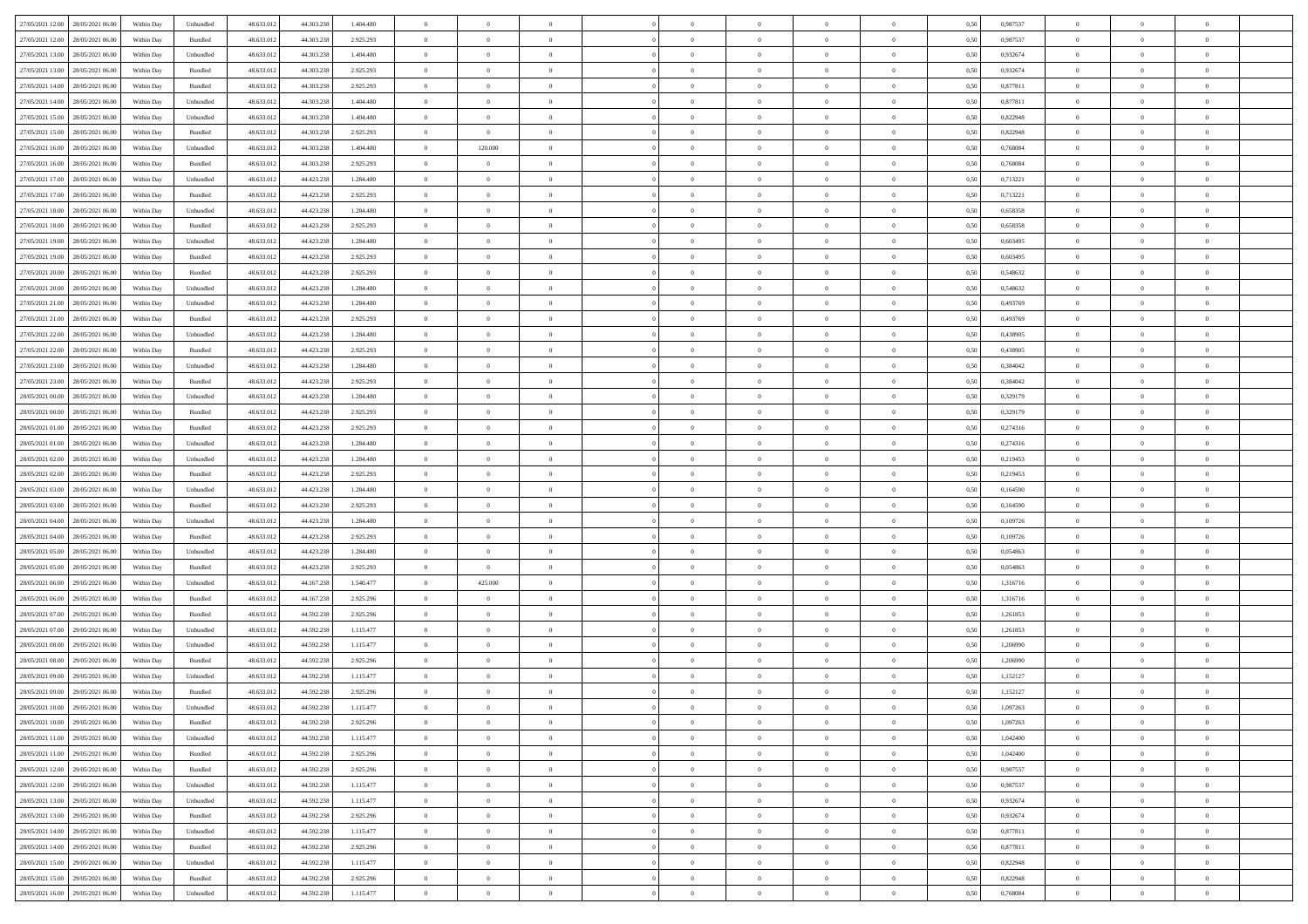| 27/05/2021 12:00 28/05/2021 06:00    |            |                             | 48.633.01  | 44.303.238 |           | $\overline{0}$ | $\overline{0}$ |                | $\overline{0}$ | $\theta$       |                | $\theta$       |      | 0,987537 | $\theta$       | $\theta$       | $\overline{0}$ |  |
|--------------------------------------|------------|-----------------------------|------------|------------|-----------|----------------|----------------|----------------|----------------|----------------|----------------|----------------|------|----------|----------------|----------------|----------------|--|
|                                      | Within Day | Unbundled                   |            |            | 1.404.480 |                |                |                |                |                |                |                | 0,50 |          |                |                |                |  |
| 27/05/2021 12:00<br>28/05/2021 06:00 | Within Day | Bundled                     | 48.633.01  | 44.303.23  | 2.925.293 | $\bf{0}$       | $\bf{0}$       | $\bf{0}$       | $\bf{0}$       | $\overline{0}$ | $\overline{0}$ | $\bf{0}$       | 0,50 | 0,987537 | $\,$ 0 $\,$    | $\bf{0}$       | $\overline{0}$ |  |
| 27/05/2021 13:00<br>28/05/2021 06:00 | Within Day | Unbundled                   | 48.633.012 | 44.303.238 | 1.404.480 | $\overline{0}$ | $\bf{0}$       | $\overline{0}$ | $\bf{0}$       | $\bf{0}$       | $\overline{0}$ | $\bf{0}$       | 0.50 | 0.932674 | $\bf{0}$       | $\overline{0}$ | $\overline{0}$ |  |
| 27/05/2021 13:00<br>28/05/2021 06:00 | Within Day | Bundled                     | 48.633.013 | 44.303.238 | 2.925.293 | $\overline{0}$ | $\overline{0}$ | $\overline{0}$ | $\theta$       | $\theta$       | $\overline{0}$ | $\bf{0}$       | 0,50 | 0,932674 | $\theta$       | $\theta$       | $\overline{0}$ |  |
|                                      |            |                             |            |            |           |                |                |                |                |                |                |                |      |          |                |                |                |  |
| 27/05/2021 14:00<br>28/05/2021 06:00 | Within Day | Bundled                     | 48.633.01  | 44.303.238 | 2.925.293 | $\bf{0}$       | $\overline{0}$ | $\bf{0}$       | $\overline{0}$ | $\theta$       | $\overline{0}$ | $\bf{0}$       | 0,50 | 0,877811 | $\,$ 0 $\,$    | $\bf{0}$       | $\overline{0}$ |  |
| 27/05/2021 14:00<br>28/05/2021 06:00 | Within Day | Unbundled                   | 48.633.013 | 44.303.238 | 1.404.480 | $\overline{0}$ | $\overline{0}$ | $\overline{0}$ | $\bf{0}$       | $\overline{0}$ | $\theta$       | $\bf{0}$       | 0.50 | 0.877811 | $\,$ 0 $\,$    | $\theta$       | $\overline{0}$ |  |
| 27/05/2021 15:00<br>28/05/2021 06:00 | Within Day | Unbundled                   | 48.633.013 | 44.303.238 | 1.404.480 | $\overline{0}$ | $\overline{0}$ | $\overline{0}$ | $\overline{0}$ | $\overline{0}$ | $\overline{0}$ | $\bf{0}$       | 0,50 | 0,822948 | $\,$ 0 $\,$    | $\theta$       | $\overline{0}$ |  |
| 27/05/2021 15:00<br>28/05/2021 06:00 | Within Day | Bundled                     | 48.633.01  | 44.303.23  | 2.925.293 | $\bf{0}$       | $\bf{0}$       | $\bf{0}$       | $\overline{0}$ | $\overline{0}$ | $\overline{0}$ | $\bf{0}$       | 0,50 | 0,822948 | $\,$ 0 $\,$    | $\bf{0}$       | $\overline{0}$ |  |
| 27/05/2021 16:00<br>28/05/2021 06:00 | Within Day | Unbundled                   | 48.633.013 | 44.303.238 | 1.404.480 | $\overline{0}$ | 120,000        | $\overline{0}$ | $\bf{0}$       | $\overline{0}$ | $\overline{0}$ | $\bf{0}$       | 0.50 | 0.768084 | $\bf{0}$       | $\overline{0}$ | $\overline{0}$ |  |
|                                      |            |                             |            |            |           |                |                |                |                |                |                |                |      |          |                |                |                |  |
| 27/05/2021 16:00<br>28/05/2021 06:00 | Within Day | Bundled                     | 48.633.013 | 44.303.238 | 2.925.293 | $\overline{0}$ | $\overline{0}$ | $\overline{0}$ | $\overline{0}$ | $\overline{0}$ | $\overline{0}$ | $\bf{0}$       | 0,50 | 0,768084 | $\,$ 0 $\,$    | $\bf{0}$       | $\overline{0}$ |  |
| 27/05/2021 17:00<br>28/05/2021 06:00 | Within Day | Unbundled                   | 48.633.01  | 44.423.238 | 1.284.480 | $\bf{0}$       | $\overline{0}$ | $\bf{0}$       | $\bf{0}$       | $\bf{0}$       | $\overline{0}$ | $\bf{0}$       | 0,50 | 0,713221 | $\,$ 0 $\,$    | $\bf{0}$       | $\overline{0}$ |  |
| 27/05/2021 17:00<br>28/05/2021 06:00 | Within Day | Bundled                     | 48.633.013 | 44.423.238 | 2.925.293 | $\overline{0}$ | $\bf{0}$       | $\overline{0}$ | $\overline{0}$ | $\bf{0}$       | $\overline{0}$ | $\bf{0}$       | 0.50 | 0,713221 | $\bf{0}$       | $\overline{0}$ | $\overline{0}$ |  |
| 27/05/2021 18:00<br>28/05/2021 06:00 | Within Day | Unbundled                   | 48.633.01  | 44.423.238 | 1.284.480 | $\overline{0}$ | $\overline{0}$ | $\overline{0}$ | $\theta$       | $\theta$       | $\overline{0}$ | $\bf{0}$       | 0,50 | 0,658358 | $\,$ 0 $\,$    | $\theta$       | $\overline{0}$ |  |
|                                      |            |                             |            |            |           |                | $\overline{0}$ |                | $\overline{0}$ |                | $\overline{0}$ |                |      |          | $\,$ 0 $\,$    | $\bf{0}$       | $\overline{0}$ |  |
| 27/05/2021 18:00<br>28/05/2021 06:00 | Within Day | Bundled                     | 48.633.01  | 44.423.23  | 2.925.293 | $\bf{0}$       |                | $\bf{0}$       |                | $\bf{0}$       |                | $\bf{0}$       | 0,50 | 0,658358 |                |                |                |  |
| 27/05/2021 19:00<br>28/05/2021 06:00 | Within Day | Unbundled                   | 48.633.013 | 44.423.238 | 1.284.480 | $\overline{0}$ | $\bf{0}$       | $\overline{0}$ | $\bf{0}$       | $\overline{0}$ | $\theta$       | $\bf{0}$       | 0.50 | 0.603495 | $\,$ 0 $\,$    | $\theta$       | $\overline{0}$ |  |
| 27/05/2021 19:00<br>28/05/2021 06:00 | Within Day | Bundled                     | 48.633.013 | 44.423.238 | 2.925.293 | $\overline{0}$ | $\overline{0}$ | $\overline{0}$ | $\overline{0}$ | $\overline{0}$ | $\overline{0}$ | $\bf{0}$       | 0,50 | 0,603495 | $\theta$       | $\theta$       | $\overline{0}$ |  |
| 27/05/2021 20:00<br>28/05/2021 06:00 | Within Day | Bundled                     | 48.633.01  | 44.423.238 | 2.925.293 | $\bf{0}$       | $\bf{0}$       | $\bf{0}$       | $\overline{0}$ | $\bf{0}$       | $\overline{0}$ | $\bf{0}$       | 0,50 | 0,548632 | $\,$ 0 $\,$    | $\bf{0}$       | $\overline{0}$ |  |
| 27/05/2021 20:00<br>28/05/2021 06:00 | Within Day | Unbundled                   | 48.633.013 | 44.423.23  | 1.284,480 | $\overline{0}$ | $\bf{0}$       | $\overline{0}$ | $\bf{0}$       | $\overline{0}$ | $\overline{0}$ | $\bf{0}$       | 0.50 | 0.548632 | $\bf{0}$       | $\overline{0}$ | $\overline{0}$ |  |
|                                      |            |                             |            |            |           | $\overline{0}$ |                | $\overline{0}$ | $\overline{0}$ | $\overline{0}$ | $\overline{0}$ |                |      |          | $\,$ 0 $\,$    |                |                |  |
| 27/05/2021 21:00<br>28/05/2021 06:00 | Within Day | Unbundled                   | 48.633.013 | 44.423.238 | 1.284.480 |                | $\bf{0}$       |                |                |                |                | $\bf{0}$       | 0,50 | 0,493769 |                | $\bf{0}$       | $\overline{0}$ |  |
| 27/05/2021 21:00<br>28/05/2021 06:00 | Within Day | Bundled                     | 48.633.01  | 44.423.238 | 2.925.293 | $\bf{0}$       | $\bf{0}$       | $\bf{0}$       | $\bf{0}$       | $\overline{0}$ | $\overline{0}$ | $\bf{0}$       | 0,50 | 0,493769 | $\,$ 0 $\,$    | $\bf{0}$       | $\overline{0}$ |  |
| 27/05/2021 22:00<br>28/05/2021 06:00 | Within Day | Unbundled                   | 48.633.013 | 44.423.238 | 1.284.480 | $\overline{0}$ | $\bf{0}$       | $\overline{0}$ | $\overline{0}$ | $\bf{0}$       | $\overline{0}$ | $\bf{0}$       | 0.50 | 0.438905 | $\bf{0}$       | $\overline{0}$ | $\overline{0}$ |  |
| 27/05/2021 22:00<br>28/05/2021 06:00 | Within Day | Bundled                     | 48.633.01  | 44.423.238 | 2.925.293 | $\overline{0}$ | $\overline{0}$ | $\overline{0}$ | $\theta$       | $\theta$       | $\overline{0}$ | $\bf{0}$       | 0,50 | 0,438905 | $\theta$       | $\theta$       | $\overline{0}$ |  |
| 27/05/2021 23:00<br>28/05/2021 06:00 | Within Day | Unbundled                   | 48.633.01  | 44.423.238 | 1.284.480 | $\bf{0}$       | $\overline{0}$ | $\bf{0}$       | $\bf{0}$       | $\overline{0}$ | $\overline{0}$ | $\bf{0}$       | 0,50 | 0,384042 | $\,$ 0 $\,$    | $\bf{0}$       | $\overline{0}$ |  |
| 27/05/2021 23:00<br>28/05/2021 06:00 | Within Day | Bundled                     | 48.633.013 | 44.423.238 | 2.925.293 | $\overline{0}$ | $\bf{0}$       | $\overline{0}$ | $\bf{0}$       | $\overline{0}$ | $\theta$       | $\bf{0}$       | 0.50 | 0.384042 | $\,$ 0 $\,$    | $\theta$       | $\overline{0}$ |  |
|                                      |            |                             |            |            |           | $\overline{0}$ | $\overline{0}$ | $\overline{0}$ | $\overline{0}$ | $\overline{0}$ | $\overline{0}$ |                |      |          |                | $\theta$       | $\overline{0}$ |  |
| 28/05/2021 00:00<br>28/05/2021 06:00 | Within Day | Unbundled                   | 48.633.013 | 44.423.238 | 1.284.480 |                |                |                |                |                |                | $\bf{0}$       | 0,50 | 0,329179 | $\,$ 0 $\,$    |                |                |  |
| 28/05/2021 00:00<br>28/05/2021 06:00 | Within Day | Bundled                     | 48.633.01  | 44.423.23  | 2.925.293 | $\bf{0}$       | $\overline{0}$ | $\bf{0}$       | $\overline{0}$ | $\bf{0}$       | $\overline{0}$ | $\bf{0}$       | 0,50 | 0,329179 | $\,$ 0 $\,$    | $\bf{0}$       | $\overline{0}$ |  |
| 28/05/2021 01:00<br>28/05/2021 06:00 | Within Day | Bundled                     | 48.633.013 | 44.423.238 | 2.925.293 | $\overline{0}$ | $\bf{0}$       | $\overline{0}$ | $\bf{0}$       | $\overline{0}$ | $\overline{0}$ | $\bf{0}$       | 0.50 | 0,274316 | $\bf{0}$       | $\overline{0}$ | $\overline{0}$ |  |
| 28/05/2021 01:00<br>28/05/2021 06:00 | Within Day | Unbundled                   | 48.633.01  | 44.423.238 | 1.284.480 | $\overline{0}$ | $\overline{0}$ | $\overline{0}$ | $\overline{0}$ | $\overline{0}$ | $\overline{0}$ | $\bf{0}$       | 0,50 | 0,274316 | $\,$ 0 $\,$    | $\theta$       | $\overline{0}$ |  |
| 28/05/2021 02:00<br>28/05/2021 06:00 | Within Day | Unbundled                   | 48.633.01  | 44.423.238 | 1.284.480 | $\bf{0}$       | $\bf{0}$       | $\bf{0}$       | $\bf{0}$       | $\overline{0}$ | $\overline{0}$ | $\bf{0}$       | 0,50 | 0,219453 | $\,$ 0 $\,$    | $\bf{0}$       | $\overline{0}$ |  |
| 28/05/2021 02:00<br>28/05/2021 06:00 | Within Day | Bundled                     | 48.633.013 | 44.423.238 | 2.925.293 | $\overline{0}$ | $\bf{0}$       | $\overline{0}$ | $\overline{0}$ | $\bf{0}$       | $\overline{0}$ | $\bf{0}$       | 0.50 | 0,219453 | $\bf{0}$       | $\overline{0}$ | $\overline{0}$ |  |
| 28/05/2021 03:00<br>28/05/2021 06:00 | Within Day | Unbundled                   | 48.633.013 | 44.423.238 | 1.284.480 | $\overline{0}$ | $\overline{0}$ | $\overline{0}$ | $\overline{0}$ | $\overline{0}$ | $\overline{0}$ | $\bf{0}$       | 0.5( | 0.164590 | $\theta$       | $\theta$       | $\overline{0}$ |  |
|                                      |            |                             |            |            |           |                |                |                |                |                |                |                |      |          |                |                |                |  |
| 28/05/2021 03:00<br>28/05/2021 06:00 | Within Day | Bundled                     | 48.633.01  | 44.423.238 | 2.925.293 | $\bf{0}$       | $\overline{0}$ | $\bf{0}$       | $\bf{0}$       | $\overline{0}$ | $\overline{0}$ | $\bf{0}$       | 0,50 | 0,164590 | $\,$ 0 $\,$    | $\bf{0}$       | $\overline{0}$ |  |
| 28/05/2021 04:00<br>28/05/2021 06:00 | Within Day | Unbundled                   | 48.633.013 | 44.423.238 | 1.284.480 | $\overline{0}$ | $\bf{0}$       | $\overline{0}$ | $\bf{0}$       | $\overline{0}$ | $\overline{0}$ | $\bf{0}$       | 0.50 | 0.109726 | $\,$ 0 $\,$    | $\bf{0}$       | $\overline{0}$ |  |
| 28/05/2021 04:00<br>28/05/2021 06:00 | Within Dav | Bundled                     | 48.633.013 | 44.423.238 | 2.925.293 | $\overline{0}$ | $\overline{0}$ | $\overline{0}$ | $\overline{0}$ | $\theta$       | $\overline{0}$ | $\bf{0}$       | 0.5( | 0,109726 | $\theta$       | $\theta$       | $\overline{0}$ |  |
| 28/05/2021 05:00<br>28/05/2021 06:00 | Within Day | Unbundled                   | 48.633.01  | 44.423.238 | 1.284.480 | $\bf{0}$       | $\bf{0}$       | $\bf{0}$       | $\bf{0}$       | $\bf{0}$       | $\overline{0}$ | $\bf{0}$       | 0,50 | 0,054863 | $\,$ 0 $\,$    | $\bf{0}$       | $\overline{0}$ |  |
| 28/05/2021 05:00<br>28/05/2021 06:00 | Within Day | Bundled                     | 48.633.013 | 44.423.23  | 2.925.293 | $\overline{0}$ | $\overline{0}$ | $\overline{0}$ | $\bf{0}$       | $\overline{0}$ | $\overline{0}$ | $\bf{0}$       | 0.50 | 0.054863 | $\bf{0}$       | $\overline{0}$ | $\overline{0}$ |  |
| 28/05/2021 06:00<br>29/05/2021 06:00 | Within Dav | Unbundled                   | 48.633.013 | 44.167.238 | 1.540.477 | $\overline{0}$ | 425.000        | $\overline{0}$ | $\overline{0}$ | $\overline{0}$ | $\overline{0}$ | $\bf{0}$       | 0.50 | 1,316716 | $\theta$       | $\theta$       | $\overline{0}$ |  |
|                                      |            |                             |            |            |           |                |                |                |                |                |                |                |      |          |                |                |                |  |
| 28/05/2021 06:00<br>29/05/2021 06.00 | Within Day | Bundled                     | 48.633.01  | 44.167.238 | 2.925.296 | $\bf{0}$       | $\bf{0}$       | $\bf{0}$       | $\bf{0}$       | $\overline{0}$ | $\overline{0}$ | $\bf{0}$       | 0,50 | 1,316716 | $\,$ 0 $\,$    | $\bf{0}$       | $\overline{0}$ |  |
| 28/05/2021 07:00<br>29/05/2021 06.00 | Within Day | Bundled                     | 48.633.013 | 44.592.238 | 2.925.296 | $\overline{0}$ | $\bf{0}$       | $\overline{0}$ | $\overline{0}$ | $\bf{0}$       | $\overline{0}$ | $\bf{0}$       | 0.50 | 1.261853 | $\,$ 0 $\,$    | $\overline{0}$ | $\overline{0}$ |  |
| 28/05/2021 07:00<br>29/05/2021 06:00 | Within Dav | Unbundled                   | 48.633.013 | 44.592.238 | 1.115.477 | $\overline{0}$ | $\overline{0}$ | $\overline{0}$ | $\overline{0}$ | $\overline{0}$ | $\overline{0}$ | $\bf{0}$       | 0.50 | 1,261853 | $\theta$       | $\theta$       | $\overline{0}$ |  |
| 28/05/2021 08:00<br>29/05/2021 06.00 | Within Day | Unbundled                   | 48.633.01  | 44.592.238 | 1.115.477 | $\bf{0}$       | $\bf{0}$       | $\bf{0}$       | $\bf{0}$       | $\overline{0}$ | $\overline{0}$ | $\bf{0}$       | 0,50 | 1,206990 | $\,$ 0 $\,$    | $\bf{0}$       | $\overline{0}$ |  |
| 28/05/2021 08:00<br>29/05/2021 06.00 | Within Day | Bundled                     | 48.633.013 | 44.592.23  | 2.925.296 | $\overline{0}$ | $\overline{0}$ | $\overline{0}$ | $\bf{0}$       | $\bf{0}$       | $\Omega$       | $\bf{0}$       | 0.50 | 1.206990 | $\bf{0}$       | $\theta$       | $\overline{0}$ |  |
| 28/05/2021 09:00<br>29/05/2021 06:00 | Within Dav | Unbundled                   | 48.633.013 | 44.592.238 | 1.115.477 | $\overline{0}$ | $\overline{0}$ | $\Omega$       | $\overline{0}$ | $\theta$       | $\overline{0}$ | $\overline{0}$ | 0.5( | 1,152127 | $\theta$       | $\theta$       | $\overline{0}$ |  |
|                                      |            |                             |            |            |           |                |                |                |                |                |                |                |      |          |                |                |                |  |
| 28/05/2021 09:00<br>29/05/2021 06.00 | Within Day | Bundled                     | 48.633.01  | 44.592.238 | 2.925.296 | $\bf{0}$       | $\bf{0}$       | $\overline{0}$ | $\bf{0}$       | $\bf{0}$       | $\overline{0}$ | $\bf{0}$       | 0,50 | 1,152127 | $\,$ 0 $\,$    | $\bf{0}$       | $\overline{0}$ |  |
| 28/05/2021 10:00 29/05/2021 06:00    | Within Day | $\ensuremath{\mathsf{Unb}}$ | 48.633.012 | 44.592.238 | 1.115.477 | $\overline{0}$ | $\Omega$       |                | $\Omega$       |                |                |                | 0,50 | 1,097263 | $\theta$       | $\overline{0}$ |                |  |
| 28/05/2021 10:00 29/05/2021 06:00    | Within Day | Bundled                     | 48.633.012 | 44.592.238 | 2.925.296 | $\overline{0}$ | $\overline{0}$ | $\Omega$       | $\theta$       | $\overline{0}$ | $\overline{0}$ | $\bf{0}$       | 0,50 | 1,097263 | $\theta$       | $\theta$       | $\overline{0}$ |  |
| 28/05/2021 11:00<br>29/05/2021 06.00 | Within Day | Unbundled                   | 48.633.013 | 44.592.238 | 1.115.477 | $\overline{0}$ | $\bf{0}$       | $\overline{0}$ | $\overline{0}$ | $\bf{0}$       | $\overline{0}$ | $\bf{0}$       | 0,50 | 1,042400 | $\bf{0}$       | $\overline{0}$ | $\bf{0}$       |  |
| 28/05/2021 11:00 29/05/2021 06:00    | Within Day | Bundled                     | 48.633.012 | 44.592.238 | 2.925.296 | $\overline{0}$ | $\bf{0}$       | $\overline{0}$ | $\overline{0}$ | $\mathbf{0}$   | $\overline{0}$ | $\,$ 0 $\,$    | 0.50 | 1.042400 | $\overline{0}$ | $\bf{0}$       | $\,$ 0 $\,$    |  |
|                                      |            |                             |            |            |           |                |                |                |                |                |                |                |      |          |                |                |                |  |
| 28/05/2021 12:00 29/05/2021 06:00    | Within Day | Bundled                     | 48.633.012 | 44.592.238 | 2.925.296 | $\overline{0}$ | $\overline{0}$ | $\overline{0}$ | $\overline{0}$ | $\overline{0}$ | $\overline{0}$ | $\bf{0}$       | 0,50 | 0,987537 | $\overline{0}$ | $\theta$       | $\overline{0}$ |  |
| 28/05/2021 12:00<br>29/05/2021 06:00 | Within Day | Unbundled                   | 48.633.012 | 44.592.238 | 1.115.477 | $\overline{0}$ | $\bf{0}$       | $\overline{0}$ | $\overline{0}$ | $\bf{0}$       | $\overline{0}$ | $\bf{0}$       | 0,50 | 0,987537 | $\bf{0}$       | $\overline{0}$ | $\overline{0}$ |  |
| 28/05/2021 13:00<br>29/05/2021 06:00 | Within Day | Unbundled                   | 48.633.012 | 44.592.238 | 1.115.477 | $\overline{0}$ | $\bf{0}$       | $\overline{0}$ | $\overline{0}$ | $\bf{0}$       | $\overline{0}$ | $\bf{0}$       | 0.50 | 0.932674 | $\,$ 0 $\,$    | $\overline{0}$ | $\,$ 0         |  |
| 28/05/2021 13:00<br>29/05/2021 06:00 | Within Dav | Bundled                     | 48.633.012 | 44.592.238 | 2.925.296 | $\overline{0}$ | $\overline{0}$ | $\overline{0}$ | $\overline{0}$ | $\overline{0}$ | $\overline{0}$ | $\bf{0}$       | 0.50 | 0,932674 | $\overline{0}$ | $\theta$       | $\overline{0}$ |  |
| 28/05/2021 14:00<br>29/05/2021 06.00 | Within Day | Unbundled                   | 48.633.013 | 44.592.238 | 1.115.477 | $\overline{0}$ | $\overline{0}$ | $\overline{0}$ | $\overline{0}$ | $\overline{0}$ | $\overline{0}$ | $\bf{0}$       | 0,50 | 0,877811 | $\bf{0}$       | $\overline{0}$ | $\overline{0}$ |  |
| 28/05/2021 14:00<br>29/05/2021 06:00 |            | Bundled                     | 48.633.012 |            |           | $\overline{0}$ | $\overline{0}$ |                |                | $\overline{0}$ | $\overline{0}$ |                | 0.50 | 0.877811 | $\mathbf{0}$   | $\bf{0}$       | $\,$ 0         |  |
|                                      | Within Day |                             |            | 44.592.238 | 2.925.296 |                |                | $\overline{0}$ | $\overline{0}$ |                |                | $\bf{0}$       |      |          |                |                |                |  |
| 28/05/2021 15:00 29/05/2021 06:00    | Within Dav | Unbundled                   | 48.633.012 | 44.592.238 | 1.115.477 | $\overline{0}$ | $\overline{0}$ | $\overline{0}$ | $\overline{0}$ | $\overline{0}$ | $\overline{0}$ | $\bf{0}$       | 0,50 | 0,822948 | $\overline{0}$ | $\theta$       | $\overline{0}$ |  |
| 28/05/2021 15:00<br>29/05/2021 06.00 | Within Day | Bundled                     | 48.633.013 | 44.592.238 | 2.925.296 | $\overline{0}$ | $\bf{0}$       | $\overline{0}$ | $\bf{0}$       | $\overline{0}$ | $\overline{0}$ | $\bf{0}$       | 0,50 | 0,822948 | $\bf{0}$       | $\,$ 0 $\,$    | $\bf{0}$       |  |
| 28/05/2021 16:00 29/05/2021 06:00    | Within Day | Unbundled                   | 48.633.012 | 44.592.238 | 1.115.477 | $\,$ 0 $\,$    | $\bf{0}$       | $\overline{0}$ | $\overline{0}$ | $\,$ 0 $\,$    | $\overline{0}$ | $\bf{0}$       | 0,50 | 0,768084 | $\overline{0}$ | $\,$ 0 $\,$    | $\,$ 0 $\,$    |  |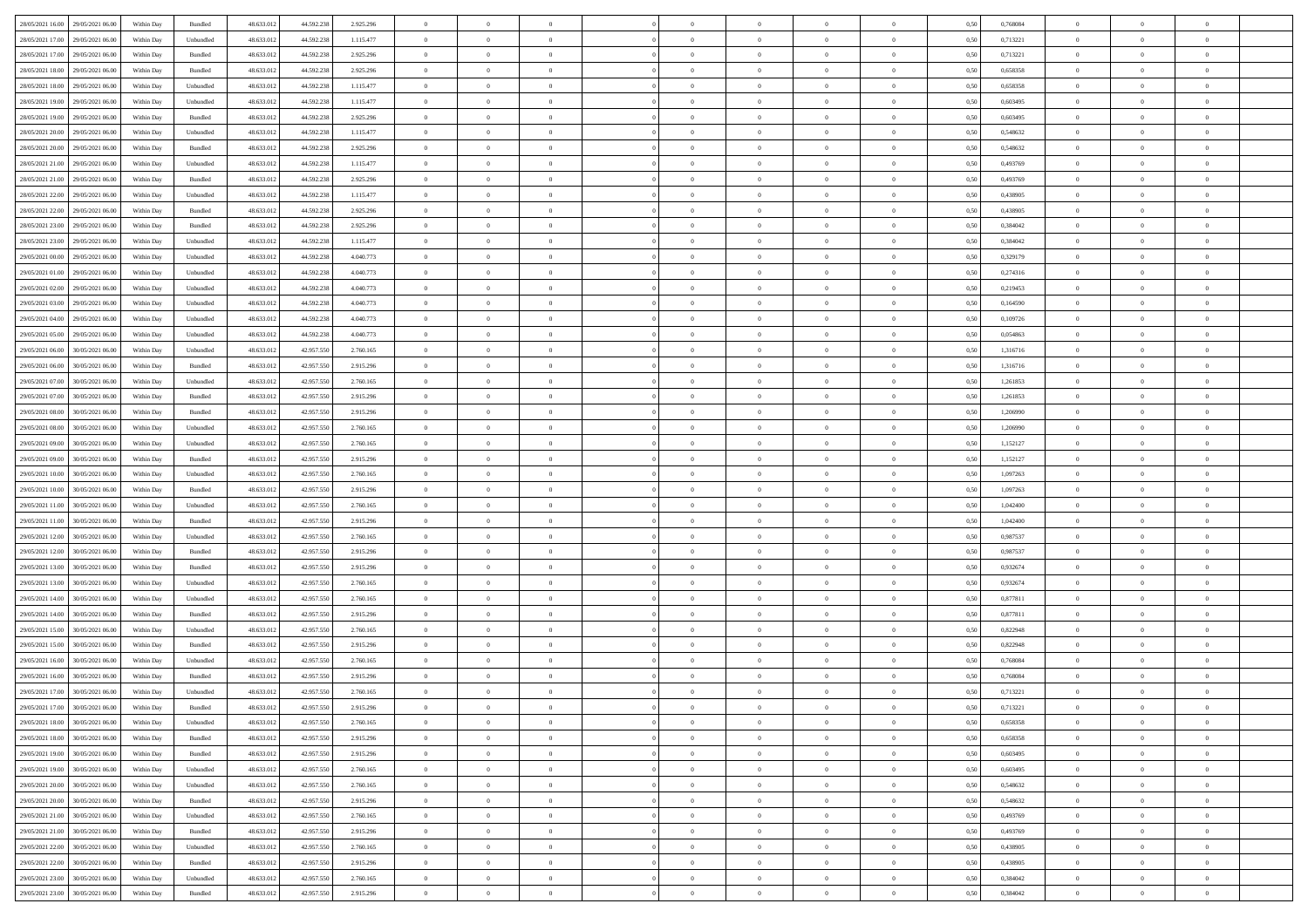| 28/05/2021 16:00 29/05/2021 06:00    | Within Day | Bundled   | 48.633.01  | 44.592.238 | 2.925.296 | $\overline{0}$ | $\theta$       |                | $\overline{0}$ | $\theta$       |                | $\theta$       | 0,50 | 0,768084 | $\theta$       | $\theta$       | $\overline{0}$ |  |
|--------------------------------------|------------|-----------|------------|------------|-----------|----------------|----------------|----------------|----------------|----------------|----------------|----------------|------|----------|----------------|----------------|----------------|--|
| 28/05/2021 17:00<br>29/05/2021 06.00 | Within Day | Unbundled | 48.633.01  | 44.592.238 | 1.115.477 | $\bf{0}$       | $\bf{0}$       | $\bf{0}$       | $\bf{0}$       | $\overline{0}$ | $\overline{0}$ | $\bf{0}$       | 0,50 | 0,713221 | $\,$ 0 $\,$    | $\bf{0}$       | $\overline{0}$ |  |
| 28/05/2021 17:00<br>29/05/2021 06:00 | Within Day | Bundled   | 48.633.012 | 44.592.238 | 2.925.296 | $\overline{0}$ | $\bf{0}$       | $\overline{0}$ | $\bf{0}$       | $\bf{0}$       | $\overline{0}$ | $\bf{0}$       | 0.50 | 0,713221 | $\bf{0}$       | $\overline{0}$ | $\overline{0}$ |  |
| 28/05/2021 18:00<br>29/05/2021 06:00 | Within Day | Bundled   | 48.633.01  | 44.592.238 | 2.925.296 | $\overline{0}$ | $\bf{0}$       | $\overline{0}$ | $\theta$       | $\theta$       | $\overline{0}$ | $\bf{0}$       | 0,50 | 0,658358 | $\theta$       | $\theta$       | $\overline{0}$ |  |
|                                      |            |           |            |            |           |                |                |                |                |                |                |                |      |          |                |                |                |  |
| 28/05/2021 18:00<br>29/05/2021 06.00 | Within Day | Unbundled | 48.633.01  | 44.592.238 | 1.115.477 | $\bf{0}$       | $\overline{0}$ | $\bf{0}$       | $\overline{0}$ | $\theta$       | $\overline{0}$ | $\bf{0}$       | 0,50 | 0,658358 | $\,$ 0 $\,$    | $\bf{0}$       | $\overline{0}$ |  |
| 28/05/2021 19:00<br>29/05/2021 06:00 | Within Day | Unbundled | 48.633.013 | 44.592.238 | 1.115.477 | $\overline{0}$ | $\overline{0}$ | $\overline{0}$ | $\bf{0}$       | $\overline{0}$ | $\theta$       | $\bf{0}$       | 0.50 | 0.603495 | $\,$ 0 $\,$    | $\theta$       | $\overline{0}$ |  |
| 28/05/2021 19:00<br>29/05/2021 06:00 | Within Day | Bundled   | 48.633.013 | 44.592.238 | 2.925.296 | $\overline{0}$ | $\overline{0}$ | $\overline{0}$ | $\overline{0}$ | $\overline{0}$ | $\overline{0}$ | $\bf{0}$       | 0,50 | 0,603495 | $\theta$       | $\theta$       | $\overline{0}$ |  |
| 28/05/2021 20:00<br>29/05/2021 06.00 | Within Day | Unbundled | 48.633.01  | 44.592.238 | 1.115.477 | $\bf{0}$       | $\overline{0}$ | $\bf{0}$       | $\overline{0}$ | $\bf{0}$       | $\overline{0}$ | $\bf{0}$       | 0,50 | 0,548632 | $\,$ 0 $\,$    | $\bf{0}$       | $\overline{0}$ |  |
|                                      |            |           |            |            |           |                |                |                |                |                |                |                |      |          |                |                |                |  |
| 28/05/2021 20:00<br>29/05/2021 06:00 | Within Day | Bundled   | 48.633.013 | 44.592.23  | 2.925.296 | $\overline{0}$ | $\bf{0}$       | $\overline{0}$ | $\bf{0}$       | $\overline{0}$ | $\overline{0}$ | $\bf{0}$       | 0.50 | 0.548632 | $\bf{0}$       | $\overline{0}$ | $\overline{0}$ |  |
| 28/05/2021 21:00<br>29/05/2021 06:00 | Within Day | Unbundled | 48.633.013 | 44.592.238 | 1.115.477 | $\overline{0}$ | $\bf{0}$       | $\overline{0}$ | $\overline{0}$ | $\overline{0}$ | $\overline{0}$ | $\bf{0}$       | 0,50 | 0,493769 | $\,$ 0 $\,$    | $\bf{0}$       | $\overline{0}$ |  |
| 28/05/2021 21:00<br>29/05/2021 06.00 | Within Day | Bundled   | 48.633.01  | 44.592.238 | 2.925.296 | $\bf{0}$       | $\overline{0}$ | $\bf{0}$       | $\bf{0}$       | $\bf{0}$       | $\overline{0}$ | $\bf{0}$       | 0,50 | 0,493769 | $\,$ 0 $\,$    | $\bf{0}$       | $\overline{0}$ |  |
| 28/05/2021 22:00<br>29/05/2021 06:00 | Within Day | Unbundled | 48.633.013 | 44.592.238 | 1.115.477 | $\overline{0}$ | $\bf{0}$       | $\overline{0}$ | $\overline{0}$ | $\bf{0}$       | $\overline{0}$ | $\bf{0}$       | 0.50 | 0.438905 | $\bf{0}$       | $\overline{0}$ | $\overline{0}$ |  |
|                                      |            |           |            |            |           | $\overline{0}$ |                |                |                |                |                |                |      |          |                | $\theta$       |                |  |
| 28/05/2021 22:00<br>29/05/2021 06:00 | Within Day | Bundled   | 48.633.01  | 44.592.238 | 2.925.296 |                | $\overline{0}$ | $\overline{0}$ | $\theta$       | $\theta$       | $\overline{0}$ | $\bf{0}$       | 0,50 | 0,438905 | $\,$ 0 $\,$    |                | $\overline{0}$ |  |
| 28/05/2021 23:00<br>29/05/2021 06.00 | Within Day | Bundled   | 48.633.01  | 44.592.238 | 2.925.296 | $\bf{0}$       | $\overline{0}$ | $\bf{0}$       | $\overline{0}$ | $\theta$       | $\overline{0}$ | $\bf{0}$       | 0,50 | 0,384042 | $\,$ 0 $\,$    | $\bf{0}$       | $\overline{0}$ |  |
| 28/05/2021 23:00<br>29/05/2021 06.00 | Within Day | Unbundled | 48.633.013 | 44.592.238 | 1.115.477 | $\overline{0}$ | $\overline{0}$ | $\overline{0}$ | $\bf{0}$       | $\overline{0}$ | $\theta$       | $\bf{0}$       | 0.50 | 0.384042 | $\,$ 0 $\,$    | $\theta$       | $\overline{0}$ |  |
| 29/05/2021 00:00<br>29/05/2021 06:00 | Within Day | Unbundled | 48.633.013 | 44.592.238 | 4.040.773 | $\overline{0}$ | $\overline{0}$ | $\overline{0}$ | $\overline{0}$ | $\overline{0}$ | $\overline{0}$ | $\bf{0}$       | 0,50 | 0,329179 | $\theta$       | $\theta$       | $\overline{0}$ |  |
| 29/05/2021 01:00<br>29/05/2021 06.00 | Within Day | Unbundled | 48.633.01  | 44.592.238 | 4.040.773 | $\bf{0}$       | $\overline{0}$ | $\bf{0}$       | $\overline{0}$ | $\bf{0}$       | $\overline{0}$ | $\bf{0}$       | 0,50 | 0,274316 | $\,$ 0 $\,$    | $\bf{0}$       | $\overline{0}$ |  |
|                                      |            |           |            |            |           |                |                |                |                |                |                |                |      |          |                |                |                |  |
| 29/05/2021 02:00<br>29/05/2021 06:00 | Within Day | Unbundled | 48.633.013 | 44.592.23  | 4.040.773 | $\overline{0}$ | $\bf{0}$       | $\overline{0}$ | $\bf{0}$       | $\overline{0}$ | $\overline{0}$ | $\bf{0}$       | 0.50 | 0.219453 | $\bf{0}$       | $\overline{0}$ | $\overline{0}$ |  |
| 29/05/2021 03:00<br>29/05/2021 06:00 | Within Day | Unbundled | 48.633.013 | 44.592.238 | 4.040.773 | $\overline{0}$ | $\bf{0}$       | $\overline{0}$ | $\overline{0}$ | $\overline{0}$ | $\overline{0}$ | $\bf{0}$       | 0,50 | 0,164590 | $\,$ 0 $\,$    | $\bf{0}$       | $\overline{0}$ |  |
| 29/05/2021 04:00<br>29/05/2021 06.00 | Within Day | Unbundled | 48.633.01  | 44.592.238 | 4.040.773 | $\bf{0}$       | $\bf{0}$       | $\bf{0}$       | $\bf{0}$       | $\overline{0}$ | $\overline{0}$ | $\bf{0}$       | 0,50 | 0,109726 | $\,$ 0 $\,$    | $\bf{0}$       | $\overline{0}$ |  |
| 29/05/2021 05:00<br>29/05/2021 06.00 | Within Day | Unbundled | 48.633.013 | 44.592.238 | 4.040.773 | $\overline{0}$ | $\bf{0}$       | $\overline{0}$ | $\overline{0}$ | $\bf{0}$       | $\overline{0}$ | $\bf{0}$       | 0.50 | 0.054863 | $\bf{0}$       | $\overline{0}$ | $\overline{0}$ |  |
| 29/05/2021 06:00<br>30/05/2021 06:00 | Within Day | Unbundled | 48.633.01  | 42.957.550 | 2.760.165 | $\overline{0}$ | $\overline{0}$ | $\overline{0}$ | $\theta$       | $\theta$       | $\overline{0}$ | $\bf{0}$       | 0,50 | 1,316716 | $\theta$       | $\theta$       | $\overline{0}$ |  |
|                                      |            |           |            |            |           |                |                |                |                |                |                |                |      |          |                |                |                |  |
| 29/05/2021 06:00<br>30/05/2021 06.00 | Within Day | Bundled   | 48.633.01  | 42.957.55  | 2.915.296 | $\bf{0}$       | $\overline{0}$ | $\bf{0}$       | $\bf{0}$       | $\bf{0}$       | $\overline{0}$ | $\bf{0}$       | 0,50 | 1,316716 | $\,$ 0 $\,$    | $\bf{0}$       | $\overline{0}$ |  |
| 29/05/2021 07:00<br>30/05/2021 06:00 | Within Day | Unbundled | 48.633.013 | 42.957.55  | 2.760.165 | $\overline{0}$ | $\overline{0}$ | $\overline{0}$ | $\bf{0}$       | $\overline{0}$ | $\theta$       | $\bf{0}$       | 0.50 | 1.261853 | $\,$ 0 $\,$    | $\theta$       | $\overline{0}$ |  |
| 29/05/2021 07:00<br>30/05/2021 06:00 | Within Day | Bundled   | 48.633.013 | 42.957.550 | 2.915.296 | $\overline{0}$ | $\overline{0}$ | $\overline{0}$ | $\overline{0}$ | $\overline{0}$ | $\overline{0}$ | $\bf{0}$       | 0,50 | 1,261853 | $\,$ 0 $\,$    | $\theta$       | $\overline{0}$ |  |
| 29/05/2021 08:00<br>30/05/2021 06.00 | Within Day | Bundled   | 48.633.01  | 42.957.55  | 2.915.296 | $\bf{0}$       | $\overline{0}$ | $\bf{0}$       | $\overline{0}$ | $\bf{0}$       | $\overline{0}$ | $\bf{0}$       | 0,50 | 1,206990 | $\,$ 0 $\,$    | $\bf{0}$       | $\overline{0}$ |  |
| 29/05/2021 08:00<br>30/05/2021 06:00 | Within Day | Unbundled | 48.633.013 | 42.957.55  | 2.760.165 | $\overline{0}$ | $\bf{0}$       | $\overline{0}$ | $\bf{0}$       | $\overline{0}$ | $\overline{0}$ | $\bf{0}$       | 0.50 | 1.206990 | $\bf{0}$       | $\overline{0}$ | $\overline{0}$ |  |
|                                      |            |           |            |            |           |                |                |                |                |                |                |                |      |          |                |                |                |  |
| 29/05/2021 09:00<br>30/05/2021 06:00 | Within Day | Unbundled | 48.633.01  | 42.957.550 | 2.760.165 | $\overline{0}$ | $\overline{0}$ | $\overline{0}$ | $\overline{0}$ | $\overline{0}$ | $\overline{0}$ | $\bf{0}$       | 0,50 | 1,152127 | $\theta$       | $\theta$       | $\overline{0}$ |  |
| 29/05/2021 09:00<br>30/05/2021 06.00 | Within Day | Bundled   | 48.633.01  | 42.957.550 | 2.915.296 | $\bf{0}$       | $\bf{0}$       | $\bf{0}$       | $\bf{0}$       | $\overline{0}$ | $\overline{0}$ | $\bf{0}$       | 0,50 | 1,152127 | $\,$ 0 $\,$    | $\bf{0}$       | $\overline{0}$ |  |
| 29/05/2021 10:00<br>30/05/2021 06:00 | Within Day | Unbundled | 48.633.013 | 42.957.55  | 2.760.165 | $\overline{0}$ | $\bf{0}$       | $\overline{0}$ | $\bf{0}$       | $\bf{0}$       | $\overline{0}$ | $\bf{0}$       | 0.50 | 1.097263 | $\bf{0}$       | $\overline{0}$ | $\overline{0}$ |  |
| 29/05/2021 10:00<br>30/05/2021 06:00 | Within Day | Bundled   | 48.633.013 | 42.957.550 | 2.915.296 | $\overline{0}$ | $\overline{0}$ | $\overline{0}$ | $\overline{0}$ | $\overline{0}$ | $\overline{0}$ | $\bf{0}$       | 0.5( | 1,097263 | $\theta$       | $\theta$       | $\overline{0}$ |  |
|                                      |            |           |            |            |           |                | $\overline{0}$ |                |                | $\,$ 0 $\,$    | $\overline{0}$ |                |      |          | $\,$ 0 $\,$    | $\bf{0}$       | $\overline{0}$ |  |
| 29/05/2021 11:00<br>30/05/2021 06.00 | Within Day | Unbundled | 48.633.01  | 42.957.55  | 2.760.165 | $\bf{0}$       |                | $\bf{0}$       | $\bf{0}$       |                |                | $\bf{0}$       | 0,50 | 1,042400 |                |                |                |  |
| 29/05/2021 11:00<br>30/05/2021 06:00 | Within Day | Bundled   | 48.633.013 | 42.957.55  | 2.915.296 | $\overline{0}$ | $\bf{0}$       | $\overline{0}$ | $\bf{0}$       | $\overline{0}$ | $\Omega$       | $\bf{0}$       | 0.50 | 1.042400 | $\,$ 0 $\,$    | $\bf{0}$       | $\overline{0}$ |  |
| 29/05/2021 12:00<br>30/05/2021 06:00 | Within Dav | Unbundled | 48.633.013 | 42.957.550 | 2.760.165 | $\overline{0}$ | $\overline{0}$ | $\overline{0}$ | $\overline{0}$ | $\theta$       | $\overline{0}$ | $\bf{0}$       | 0.50 | 0,987537 | $\theta$       | $\theta$       | $\overline{0}$ |  |
| 29/05/2021 12:00<br>30/05/2021 06:00 | Within Day | Bundled   | 48.633.01  | 42.957.55  | 2.915.296 | $\bf{0}$       | $\bf{0}$       | $\bf{0}$       | $\bf{0}$       | $\bf{0}$       | $\overline{0}$ | $\bf{0}$       | 0,50 | 0,987537 | $\,$ 0 $\,$    | $\bf{0}$       | $\overline{0}$ |  |
| 29/05/2021 13:00<br>30/05/2021 06:00 | Within Day | Bundled   | 48.633.013 | 42.957.55  | 2.915.296 | $\overline{0}$ | $\bf{0}$       | $\overline{0}$ | $\bf{0}$       | $\overline{0}$ | $\overline{0}$ | $\bf{0}$       | 0.50 | 0.932674 | $\bf{0}$       | $\overline{0}$ | $\overline{0}$ |  |
| 29/05/2021 13:00<br>30/05/2021 06:00 | Within Dav | Unbundled | 48.633.013 | 42.957.550 | 2.760.165 | $\overline{0}$ | $\overline{0}$ | $\overline{0}$ | $\overline{0}$ | $\overline{0}$ | $\overline{0}$ | $\bf{0}$       | 0.50 | 0,932674 | $\theta$       | $\theta$       | $\overline{0}$ |  |
|                                      |            |           |            |            |           |                |                |                |                |                |                |                |      |          |                |                |                |  |
| 29/05/2021 14:00<br>30/05/2021 06.00 | Within Day | Unbundled | 48.633.01  | 42.957.55  | 2.760.165 | $\bf{0}$       | $\bf{0}$       | $\bf{0}$       | $\bf{0}$       | $\overline{0}$ | $\overline{0}$ | $\bf{0}$       | 0,50 | 0,877811 | $\,$ 0 $\,$    | $\bf{0}$       | $\overline{0}$ |  |
| 29/05/2021 14:00<br>30/05/2021 06:00 | Within Day | Bundled   | 48.633.013 | 42.957.550 | 2.915.296 | $\overline{0}$ | $\bf{0}$       | $\overline{0}$ | $\overline{0}$ | $\bf{0}$       | $\overline{0}$ | $\bf{0}$       | 0.50 | 0.877811 | $\bf{0}$       | $\overline{0}$ | $\overline{0}$ |  |
| 29/05/2021 15:00<br>30/05/2021 06:00 | Within Dav | Unbundled | 48.633.013 | 42.957.550 | 2.760.165 | $\overline{0}$ | $\overline{0}$ | $\overline{0}$ | $\overline{0}$ | $\theta$       | $\overline{0}$ | $\bf{0}$       | 0.5( | 0,822948 | $\theta$       | $\theta$       | $\overline{0}$ |  |
| 29/05/2021 15:00<br>30/05/2021 06.00 | Within Day | Bundled   | 48.633.013 | 42.957.550 | 2.915.296 | $\bf{0}$       | $\bf{0}$       | $\bf{0}$       | $\bf{0}$       | $\overline{0}$ | $\overline{0}$ | $\bf{0}$       | 0,50 | 0,822948 | $\,$ 0 $\,$    | $\bf{0}$       | $\overline{0}$ |  |
| 29/05/2021 16:00<br>30/05/2021 06:00 | Within Day | Unbundled | 48.633.013 | 42.957.55  | 2.760.165 | $\overline{0}$ | $\overline{0}$ | $\overline{0}$ | $\bf{0}$       | $\overline{0}$ | $\Omega$       | $\bf{0}$       | 0.50 | 0.768084 | $\bf{0}$       | $\theta$       | $\overline{0}$ |  |
|                                      |            |           |            |            |           |                |                |                |                |                |                |                |      |          |                |                |                |  |
| 29/05/2021 16:00<br>30/05/2021 06:00 | Within Dav | Bundled   | 48.633.013 | 42.957.550 | 2.915.296 | $\overline{0}$ | $\overline{0}$ | $\Omega$       | $\overline{0}$ | $\theta$       | $\Omega$       | $\overline{0}$ | 0.5( | 0,768084 | $\theta$       | $\theta$       | $\overline{0}$ |  |
| 29/05/2021 17:00<br>30/05/2021 06:00 | Within Day | Unbundled | 48.633.01  | 42.957.550 | 2.760.165 | $\bf{0}$       | $\,$ 0 $\,$    | $\overline{0}$ | $\bf{0}$       | $\bf{0}$       | $\overline{0}$ | $\bf{0}$       | 0,50 | 0,713221 | $\,$ 0 $\,$    | $\bf{0}$       | $\overline{0}$ |  |
| 29/05/2021 17:00 30/05/2021 06:00    | Within Day | Bundled   | 48.633.012 | 42.957.550 | 2.915.296 | $\overline{0}$ |                |                | $\Omega$       |                |                |                | 0,50 | 0,713221 | $\bf{0}$       | $\overline{0}$ |                |  |
| 29/05/2021 18:00 30/05/2021 06:00    | Within Day | Unbundled | 48.633.012 | 42.957.550 | 2.760.165 | $\overline{0}$ | $\overline{0}$ | $\Omega$       | $\theta$       | $\overline{0}$ | $\overline{0}$ | $\bf{0}$       | 0,50 | 0,658358 | $\theta$       | $\overline{0}$ | $\overline{0}$ |  |
| 29/05/2021 18:00<br>30/05/2021 06:00 | Within Day | Bundled   | 48.633.013 | 42.957.550 | 2.915.296 | $\overline{0}$ | $\bf{0}$       | $\overline{0}$ | $\overline{0}$ | $\bf{0}$       | $\overline{0}$ | $\bf{0}$       | 0,50 | 0,658358 | $\bf{0}$       | $\overline{0}$ | $\bf{0}$       |  |
|                                      |            |           |            |            |           |                |                |                |                |                |                |                |      |          |                |                |                |  |
| 29/05/2021 19:00<br>30/05/2021 06:00 | Within Day | Bundled   | 48.633.012 | 42.957.550 | 2.915.296 | $\overline{0}$ | $\bf{0}$       | $\overline{0}$ | $\overline{0}$ | $\mathbf{0}$   | $\overline{0}$ | $\,$ 0 $\,$    | 0.50 | 0.603495 | $\overline{0}$ | $\bf{0}$       | $\,$ 0 $\,$    |  |
| 29/05/2021 19:00<br>30/05/2021 06:00 | Within Dav | Unbundled | 48.633.012 | 42.957.550 | 2.760.165 | $\overline{0}$ | $\overline{0}$ | $\overline{0}$ | $\overline{0}$ | $\overline{0}$ | $\overline{0}$ | $\bf{0}$       | 0,50 | 0,603495 | $\overline{0}$ | $\theta$       | $\overline{0}$ |  |
| 29/05/2021 20:00<br>30/05/2021 06:00 | Within Day | Unbundled | 48.633.012 | 42.957.550 | 2.760.165 | $\overline{0}$ | $\bf{0}$       | $\overline{0}$ | $\overline{0}$ | $\overline{0}$ | $\overline{0}$ | $\bf{0}$       | 0,50 | 0,548632 | $\bf{0}$       | $\overline{0}$ | $\overline{0}$ |  |
| 30/05/2021 06:00<br>29/05/2021 20:00 | Within Day | Bundled   | 48.633.012 | 42.957.550 | 2.915.296 | $\overline{0}$ | $\bf{0}$       | $\overline{0}$ | $\overline{0}$ | $\overline{0}$ | $\overline{0}$ | $\bf{0}$       | 0.50 | 0.548632 | $\,$ 0 $\,$    | $\overline{0}$ | $\,$ 0         |  |
| 29/05/2021 21:00<br>30/05/2021 06:00 | Within Dav | Unbundled | 48.633.012 | 42.957.550 | 2.760.165 | $\overline{0}$ | $\overline{0}$ | $\overline{0}$ | $\overline{0}$ | $\overline{0}$ | $\overline{0}$ | $\bf{0}$       | 0,50 | 0,493769 | $\overline{0}$ | $\theta$       | $\overline{0}$ |  |
|                                      |            |           |            |            |           |                |                |                |                |                |                |                |      |          |                |                |                |  |
| 29/05/2021 21:00<br>30/05/2021 06:00 | Within Day | Bundled   | 48.633.013 | 42.957.550 | 2.915.296 | $\overline{0}$ | $\overline{0}$ | $\overline{0}$ | $\overline{0}$ | $\overline{0}$ | $\overline{0}$ | $\bf{0}$       | 0,50 | 0,493769 | $\bf{0}$       | $\overline{0}$ | $\overline{0}$ |  |
| 29/05/2021 22:00<br>30/05/2021 06:00 | Within Day | Unbundled | 48.633.012 | 42.957.550 | 2.760.165 | $\overline{0}$ | $\overline{0}$ | $\overline{0}$ | $\overline{0}$ | $\overline{0}$ | $\overline{0}$ | $\bf{0}$       | 0.50 | 0.438905 | $\mathbf{0}$   | $\bf{0}$       | $\,$ 0         |  |
| 29/05/2021 22:00<br>30/05/2021 06:00 | Within Dav | Bundled   | 48.633.012 | 42.957.550 | 2.915.296 | $\overline{0}$ | $\overline{0}$ | $\overline{0}$ | $\overline{0}$ | $\overline{0}$ | $\overline{0}$ | $\bf{0}$       | 0,50 | 0,438905 | $\overline{0}$ | $\theta$       | $\overline{0}$ |  |
| 29/05/2021 23:00<br>30/05/2021 06:00 | Within Day | Unbundled | 48.633.013 | 42.957.550 | 2.760.165 | $\overline{0}$ | $\bf{0}$       | $\overline{0}$ | $\bf{0}$       | $\overline{0}$ | $\overline{0}$ | $\bf{0}$       | 0,50 | 0,384042 | $\bf{0}$       | $\,0\,$        | $\bf{0}$       |  |
|                                      |            |           |            |            |           |                |                |                |                |                |                |                |      |          |                |                |                |  |
| 29/05/2021 23:00 30/05/2021 06:00    | Within Day | Bundled   | 48.633.012 | 42.957.550 | 2.915.296 | $\,$ 0 $\,$    | $\bf{0}$       | $\overline{0}$ | $\overline{0}$ | $\,$ 0 $\,$    | $\overline{0}$ | $\bf{0}$       | 0,50 | 0,384042 | $\overline{0}$ | $\,$ 0 $\,$    | $\,$ 0 $\,$    |  |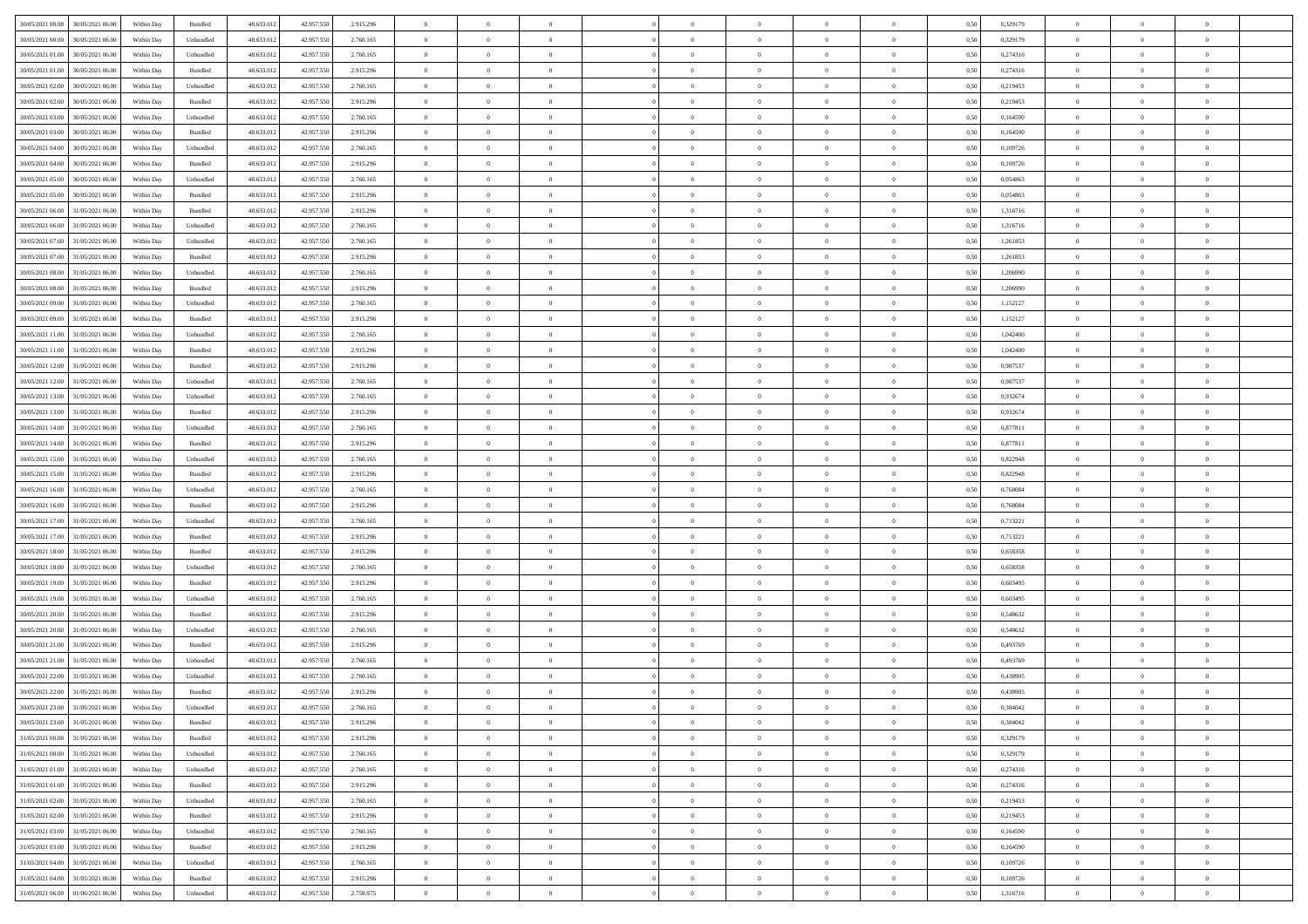| 30/05/2021 00:00                  | 30/05/2021 06:00 | Within Day | Bundled                     | 48.633.012 | 42.957.550 | 2.915.296 | $\overline{0}$ | $\theta$       |                | $\overline{0}$ | $\bf{0}$       | $\overline{0}$ | $\theta$       | 0,50 | 0,329179 | $\theta$       | $\theta$       | $\overline{0}$ |  |
|-----------------------------------|------------------|------------|-----------------------------|------------|------------|-----------|----------------|----------------|----------------|----------------|----------------|----------------|----------------|------|----------|----------------|----------------|----------------|--|
| 30/05/2021 00:00                  | 30/05/2021 06.00 | Within Day | Unbundled                   | 48.633.01  | 42.957.550 | 2.760.165 | $\overline{0}$ | $\overline{0}$ | $\overline{0}$ | $\overline{0}$ | $\,$ 0         | $\bf{0}$       | $\bf{0}$       | 0,50 | 0,329179 | $\,$ 0 $\,$    | $\overline{0}$ | $\overline{0}$ |  |
|                                   |                  |            |                             |            |            |           |                |                |                |                |                |                |                |      |          |                |                |                |  |
| 30/05/2021 01:00                  | 30/05/2021 06:00 | Within Day | Unbundled                   | 48.633.012 | 42.957.550 | 2.760.165 | $\overline{0}$ | $\overline{0}$ | $\overline{0}$ | $\overline{0}$ | $\bf{0}$       | $\overline{0}$ | $\mathbf{0}$   | 0.50 | 0,274316 | $\bf{0}$       | $\overline{0}$ | $\overline{0}$ |  |
| 30/05/2021 01:00                  | 30/05/2021 06:00 | Within Day | Bundled                     | 48.633.012 | 42.957.550 | 2.915.296 | $\overline{0}$ | $\overline{0}$ | $\overline{0}$ | $\overline{0}$ | $\,$ 0         | $\overline{0}$ | $\overline{0}$ | 0,50 | 0,274316 | $\,$ 0 $\,$    | $\overline{0}$ | $\overline{0}$ |  |
| 30/05/2021 02.00                  | 30/05/2021 06.00 | Within Day | Unbundled                   | 48.633.01  | 42.957.550 | 2.760.165 | $\overline{0}$ | $\theta$       | $\overline{0}$ |                | $\overline{0}$ | $\overline{0}$ | $\bf{0}$       | 0,50 | 0,219453 | $\,$ 0 $\,$    | $\overline{0}$ | $\overline{0}$ |  |
| 30/05/2021 02:00                  | 30/05/2021 06:00 | Within Day | Bundled                     | 48.633.012 | 42.957.550 | 2.915.296 | $\overline{0}$ | $\overline{0}$ | $\overline{0}$ | $\overline{0}$ | $\bf{0}$       | $\overline{0}$ | $\bf{0}$       | 0.50 | 0.219453 | $\,0\,$        | $\theta$       | $\overline{0}$ |  |
| 30/05/2021 03:00                  | 30/05/2021 06:00 | Within Day | Unbundled                   | 48.633.012 | 42.957.550 | 2.760.165 | $\overline{0}$ | $\overline{0}$ | $\overline{0}$ | $\overline{0}$ | $\,$ 0         | $\overline{0}$ | $\overline{0}$ | 0,50 | 0,164590 | $\,$ 0 $\,$    | $\theta$       | $\overline{0}$ |  |
| 30/05/2021 03:00                  | 30/05/2021 06.00 | Within Day | Bundled                     | 48.633.01  | 42.957.550 | 2.915.296 | $\overline{0}$ | $\theta$       | $\overline{0}$ |                | $\,$ 0         | $\bf{0}$       | $\bf{0}$       | 0,50 | 0,164590 | $\,$ 0 $\,$    | $\overline{0}$ | $\overline{0}$ |  |
| 30/05/2021 04:00                  | 30/05/2021 06:00 | Within Day | Unbundled                   | 48.633.012 | 42.957.550 | 2.760.165 | $\overline{0}$ | $\overline{0}$ | $\overline{0}$ | $\overline{0}$ | $\bf{0}$       | $\overline{0}$ | $\bf{0}$       | 0.50 | 0.109726 | $\,0\,$        | $\overline{0}$ | $\overline{0}$ |  |
| 30/05/2021 04:00                  | 30/05/2021 06:00 | Within Day | Bundled                     | 48.633.012 | 42.957.550 | 2.915.296 | $\overline{0}$ | $\overline{0}$ | $\overline{0}$ | $\overline{0}$ | $\bf{0}$       | $\overline{0}$ | $\bf{0}$       | 0,50 | 0,109726 | $\,$ 0 $\,$    | $\overline{0}$ | $\overline{0}$ |  |
| 30/05/2021 05:00                  | 30/05/2021 06.00 | Within Day | Unbundled                   | 48.633.01  | 42.957.550 | 2.760.165 | $\bf{0}$       | $\theta$       | $\overline{0}$ | $\overline{0}$ | $\,$ 0         | $\bf{0}$       | $\bf{0}$       | 0,50 | 0,054863 | $\,$ 0 $\,$    | $\overline{0}$ | $\overline{0}$ |  |
| 30/05/2021 05:00                  | 30/05/2021 06:00 | Within Day | Bundled                     | 48.633.012 | 42.957.550 |           | $\overline{0}$ | $\overline{0}$ | $\overline{0}$ | $\overline{0}$ |                | $\overline{0}$ |                | 0.50 | 0.054863 | $\bf{0}$       | $\overline{0}$ | $\bf{0}$       |  |
|                                   |                  |            |                             |            |            | 2.915.296 |                | $\overline{0}$ |                |                | $\bf{0}$       |                | $\mathbf{0}$   |      |          |                | $\overline{0}$ |                |  |
| 30/05/2021 06:00                  | 31/05/2021 06:00 | Within Day | Bundled                     | 48.633.012 | 42.957.550 | 2.915.296 | $\overline{0}$ |                | $\overline{0}$ | $\overline{0}$ | $\,$ 0         | $\overline{0}$ | $\overline{0}$ | 0,50 | 1,316716 | $\,$ 0 $\,$    |                | $\overline{0}$ |  |
| 30/05/2021 06.00                  | 31/05/2021 06.00 | Within Day | Unbundled                   | 48.633.01  | 42.957.550 | 2.760.165 | $\overline{0}$ | $\theta$       | $\overline{0}$ |                | $\bf{0}$       | $\overline{0}$ | $\bf{0}$       | 0,50 | 1,316716 | $\,$ 0 $\,$    | $\overline{0}$ | $\overline{0}$ |  |
| 30/05/2021 07:00                  | 31/05/2021 06:00 | Within Day | Unbundled                   | 48.633.012 | 42.957.550 | 2.760.165 | $\overline{0}$ | $\overline{0}$ | $\overline{0}$ | $\overline{0}$ | $\bf{0}$       | $\overline{0}$ | $\bf{0}$       | 0.50 | 1.261853 | $\,0\,$        | $\theta$       | $\overline{0}$ |  |
| 30/05/2021 07:00                  | 31/05/2021 06:00 | Within Day | Bundled                     | 48.633.012 | 42.957.550 | 2.915.296 | $\overline{0}$ | $\overline{0}$ | $\overline{0}$ | $\overline{0}$ | $\,$ 0         | $\overline{0}$ | $\overline{0}$ | 0,50 | 1,261853 | $\theta$       | $\theta$       | $\overline{0}$ |  |
| 30/05/2021 08:00                  | 31/05/2021 06.00 | Within Day | Unbundled                   | 48.633.01  | 42.957.550 | 2.760.165 | $\overline{0}$ | $\theta$       | $\overline{0}$ |                | $\,$ 0         | $\overline{0}$ | $\bf{0}$       | 0,50 | 1,206990 | $\,$ 0 $\,$    | $\overline{0}$ | $\overline{0}$ |  |
| 30/05/2021 08:00                  | 31/05/2021 06:00 | Within Day | Bundled                     | 48.633.012 | 42.957.550 | 2.915.296 | $\overline{0}$ | $\overline{0}$ | $\overline{0}$ | $\overline{0}$ | $\bf{0}$       | $\overline{0}$ | $\bf{0}$       | 0.50 | 1.206990 | $\,0\,$        | $\overline{0}$ | $\bf{0}$       |  |
| 30/05/2021 09:00                  | 31/05/2021 06:00 | Within Day | Unbundled                   | 48.633.012 | 42.957.550 | 2.760.165 | $\overline{0}$ | $\overline{0}$ | $\overline{0}$ | $\overline{0}$ | $\,$ 0         | $\overline{0}$ | $\bf{0}$       | 0,50 | 1,152127 | $\,$ 0 $\,$    | $\overline{0}$ | $\overline{0}$ |  |
| 30/05/2021 09:00                  | 31/05/2021 06.00 | Within Day | Bundled                     | 48.633.01  | 42.957.550 | 2.915.296 | $\bf{0}$       | $\,$ 0 $\,$    | $\overline{0}$ | $\overline{0}$ | $\,$ 0         | $\bf{0}$       | $\bf{0}$       | 0,50 | 1,152127 | $\,$ 0 $\,$    | $\overline{0}$ | $\overline{0}$ |  |
| 30/05/2021 11:00                  | 31/05/2021 06:00 | Within Day | Unbundled                   | 48.633.012 | 42.957.550 | 2.760.165 | $\overline{0}$ | $\overline{0}$ | $\overline{0}$ | $\overline{0}$ | $\bf{0}$       | $\overline{0}$ | $\mathbf{0}$   | 0.50 | 1.042400 | $\,$ 0 $\,$    | $\overline{0}$ | $\bf{0}$       |  |
| 30/05/2021 11:00                  | 31/05/2021 06:00 | Within Day | Bundled                     | 48.633.012 | 42.957.550 | 2.915.296 | $\overline{0}$ | $\overline{0}$ | $\overline{0}$ | $\overline{0}$ | $\bf{0}$       | $\overline{0}$ | $\overline{0}$ | 0,50 | 1,042400 | $\,$ 0 $\,$    | $\overline{0}$ | $\overline{0}$ |  |
|                                   |                  |            |                             |            |            |           |                |                |                |                |                |                |                |      |          |                |                |                |  |
| 30/05/2021 12:00                  | 31/05/2021 06.00 | Within Day | Bundled                     | 48.633.01  | 42.957.550 | 2.915.296 | $\overline{0}$ | $\theta$       | $\overline{0}$ | $\overline{0}$ | $\,$ 0         | $\overline{0}$ | $\bf{0}$       | 0,50 | 0,987537 | $\,$ 0 $\,$    | $\overline{0}$ | $\overline{0}$ |  |
| 30/05/2021 12:00                  | 31/05/2021 06:00 | Within Day | Unbundled                   | 48.633.012 | 42.957.550 | 2.760.165 | $\overline{0}$ | $\overline{0}$ | $\overline{0}$ | $\overline{0}$ | $\bf{0}$       | $\overline{0}$ | $\bf{0}$       | 0.50 | 0.987537 | $\,0\,$        | $\theta$       | $\overline{0}$ |  |
| 30/05/2021 13:00                  | 31/05/2021 06:00 | Within Day | Unbundled                   | 48.633.012 | 42.957.550 | 2.760.165 | $\overline{0}$ | $\overline{0}$ | $\overline{0}$ | $\overline{0}$ | $\,$ 0         | $\overline{0}$ | $\overline{0}$ | 0,50 | 0,932674 | $\,$ 0 $\,$    | $\theta$       | $\overline{0}$ |  |
| 30/05/2021 13:00                  | 31/05/2021 06.00 | Within Day | Bundled                     | 48.633.01  | 42.957.550 | 2.915.296 | $\overline{0}$ | $\theta$       | $\overline{0}$ |                | $\,$ 0         | $\overline{0}$ | $\bf{0}$       | 0,50 | 0,932674 | $\,$ 0 $\,$    | $\overline{0}$ | $\overline{0}$ |  |
| 30/05/2021 14:00                  | 31/05/2021 06:00 | Within Day | Unbundled                   | 48.633.012 | 42.957.550 | 2.760.165 | $\overline{0}$ | $\overline{0}$ | $\overline{0}$ | $\overline{0}$ | $\bf{0}$       | $\overline{0}$ | $\bf{0}$       | 0.50 | 0.877811 | $\,0\,$        | $\overline{0}$ | $\overline{0}$ |  |
| 30/05/2021 14:00                  | 31/05/2021 06:00 | Within Day | Bundled                     | 48.633.012 | 42.957.550 | 2.915.296 | $\overline{0}$ | $\overline{0}$ | $\overline{0}$ | $\overline{0}$ | $\bf{0}$       | $\overline{0}$ | $\bf{0}$       | 0,50 | 0,877811 | $\,$ 0 $\,$    | $\theta$       | $\overline{0}$ |  |
| 30/05/2021 15:00                  | 31/05/2021 06.00 | Within Day | Unbundled                   | 48.633.01  | 42.957.550 | 2.760.165 | $\overline{0}$ | $\overline{0}$ | $\overline{0}$ | $\overline{0}$ | $\bf{0}$       | $\overline{0}$ | $\bf{0}$       | 0,50 | 0,822948 | $\,$ 0 $\,$    | $\overline{0}$ | $\overline{0}$ |  |
| 30/05/2021 15:00                  | 31/05/2021 06:00 | Within Day | Bundled                     | 48.633.012 | 42.957.550 | 2.915.296 | $\overline{0}$ | $\overline{0}$ | $\overline{0}$ | $\overline{0}$ | $\bf{0}$       | $\overline{0}$ | $\mathbf{0}$   | 0.50 | 0.822948 | $\,$ 0 $\,$    | $\overline{0}$ | $\bf{0}$       |  |
| 30/05/2021 16:00                  | 31/05/2021 06:00 | Within Dav | Unbundled                   | 48.633.012 | 42.957.550 | 2.760.165 | $\overline{0}$ | $\overline{0}$ | $\overline{0}$ | $\overline{0}$ | $\overline{0}$ | $\overline{0}$ | $\overline{0}$ | 0.50 | 0,768084 | $\theta$       | $\overline{0}$ | $\overline{0}$ |  |
| 30/05/2021 16:00                  | 31/05/2021 06.00 | Within Day | Bundled                     | 48.633.01  | 42.957.550 | 2.915.296 | $\overline{0}$ | $\theta$       | $\overline{0}$ |                | $\,$ 0         | $\overline{0}$ | $\bf{0}$       | 0,50 | 0,768084 | $\,$ 0 $\,$    | $\overline{0}$ | $\overline{0}$ |  |
| 30/05/2021 17:00                  | 31/05/2021 06:00 | Within Day | Unbundled                   | 48.633.012 | 42.957.550 | 2.760.165 | $\overline{0}$ | $\overline{0}$ | $\overline{0}$ | $\overline{0}$ | $\bf{0}$       | $\overline{0}$ | $\bf{0}$       | 0.50 | 0,713221 | $\,0\,$        | $\theta$       | $\overline{0}$ |  |
|                                   |                  |            |                             |            |            |           |                |                |                |                |                |                |                |      |          |                |                |                |  |
| 30/05/2021 17:00                  | 31/05/2021 06:00 | Within Dav | Bundled                     | 48.633.012 | 42.957.550 | 2.915.296 | $\overline{0}$ | $\overline{0}$ | $\Omega$       | $\Omega$       | $\mathbf{0}$   | $\overline{0}$ | $\overline{0}$ | 0.50 | 0,713221 | $\theta$       | $\overline{0}$ | $\overline{0}$ |  |
| 30/05/2021 18:00                  | 31/05/2021 06.00 | Within Day | Bundled                     | 48.633.01  | 42.957.550 | 2.915.296 | $\overline{0}$ | $\theta$       | $\overline{0}$ |                | $\,$ 0         | $\overline{0}$ | $\bf{0}$       | 0,50 | 0,658358 | $\,$ 0 $\,$    | $\overline{0}$ | $\overline{0}$ |  |
| 30/05/2021 18:00                  | 31/05/2021 06:00 | Within Day | Unbundled                   | 48.633.012 | 42.957.550 | 2.760.165 | $\overline{0}$ | $\overline{0}$ | $\overline{0}$ | $\overline{0}$ | $\bf{0}$       | $\overline{0}$ | $\bf{0}$       | 0.50 | 0.658358 | $\,0\,$        | $\overline{0}$ | $\overline{0}$ |  |
| 30/05/2021 19:00                  | 31/05/2021 06:00 | Within Dav | Bundled                     | 48.633.012 | 42.957.550 | 2.915.296 | $\overline{0}$ | $\overline{0}$ | $\overline{0}$ | $\overline{0}$ | $\overline{0}$ | $\overline{0}$ | $\overline{0}$ | 0.50 | 0,603495 | $\theta$       | $\overline{0}$ | $\overline{0}$ |  |
| 30/05/2021 19:00                  | 31/05/2021 06.00 | Within Day | Unbundled                   | 48.633.01  | 42.957.550 | 2.760.165 | $\overline{0}$ | $\overline{0}$ | $\overline{0}$ | $\overline{0}$ | $\bf{0}$       | $\overline{0}$ | $\bf{0}$       | 0,50 | 0,603495 | $\,$ 0 $\,$    | $\overline{0}$ | $\overline{0}$ |  |
| 30/05/2021 20:00                  | 31/05/2021 06:00 | Within Day | Bundled                     | 48.633.012 | 42.957.550 | 2.915.296 | $\overline{0}$ | $\overline{0}$ | $\overline{0}$ | $\overline{0}$ | $\bf{0}$       | $\overline{0}$ | $\mathbf{0}$   | 0.50 | 0.548632 | $\,$ 0 $\,$    | $\overline{0}$ | $\overline{0}$ |  |
| 30/05/2021 20:00                  | 31/05/2021 06:00 | Within Dav | Unbundled                   | 48.633.012 | 42.957.550 | 2.760.165 | $\overline{0}$ | $\overline{0}$ | $\Omega$       | $\overline{0}$ | $\mathbf{0}$   | $\overline{0}$ | $\overline{0}$ | 0.50 | 0,548632 | $\theta$       | $\overline{0}$ | $\overline{0}$ |  |
| 30/05/2021 21:00                  | 31/05/2021 06.00 | Within Day | Bundled                     | 48.633.01  | 42.957.550 | 2.915.296 | $\overline{0}$ | $\theta$       | $\overline{0}$ | $\overline{0}$ | $\,$ 0         | $\overline{0}$ | $\bf{0}$       | 0,50 | 0,493769 | $\,$ 0 $\,$    | $\overline{0}$ | $\overline{0}$ |  |
| 30/05/2021 21:00                  | 31/05/2021 06:00 | Within Day | Unbundled                   | 48.633.012 | 42.957.550 | 2.760.165 | $\overline{0}$ | $\overline{0}$ | $\overline{0}$ | $\overline{0}$ | $\bf{0}$       | $\overline{0}$ | $\overline{0}$ | 0.50 | 0.493769 | $\,0\,$        | $\theta$       | $\overline{0}$ |  |
| 30/05/2021 22:00                  | 31/05/2021 06:00 | Within Dav | Unbundled                   | 48.633.012 | 42.957.550 | 2.760.165 | $\overline{0}$ | $\Omega$       | $\Omega$       | $\Omega$       | $\bf{0}$       | $\overline{0}$ | $\theta$       | 0.50 | 0,438905 | $\theta$       | $\overline{0}$ | $\overline{0}$ |  |
| 30/05/2021 22:00                  | 31/05/2021 06:00 | Within Day | Bundled                     | 48.633.012 | 42.957.550 | 2.915.296 | $\overline{0}$ | $\overline{0}$ | $\overline{0}$ | $\bf{0}$       | $\,$ 0         | $\overline{0}$ | $\bf{0}$       | 0,50 | 0,438905 | $\,$ 0 $\,$    | $\overline{0}$ | $\overline{0}$ |  |
| 30/05/2021 23.00                  | 31/05/2021 06:00 | Within Day |                             |            |            | 2.760.165 |                |                |                |                |                |                |                | 0,50 | 0,384042 |                |                |                |  |
|                                   |                  |            | $\ensuremath{\mathsf{Unb}}$ | 48.633.012 | 42.957.550 |           | $\bf{0}$       | $\theta$       |                |                |                |                |                |      |          | $\bf{0}$       | $\theta$       |                |  |
| 30/05/2021 23:00                  | 31/05/2021 06:00 | Within Day | Bundled                     | 48.633.012 | 42.957.550 | 2.915.296 | $\Omega$       | $\overline{0}$ | $\overline{0}$ | $\Omega$       | $\mathbf{0}$   | $\overline{0}$ | $\mathbf{0}$   | 0,50 | 0,384042 | $\theta$       | $\overline{0}$ | $\overline{0}$ |  |
| 31/05/2021 00:00                  | 31/05/2021 06:00 | Within Day | Bundled                     | 48.633.012 | 42.957.550 | 2.915.296 | $\overline{0}$ | $\bf{0}$       | $\overline{0}$ | $\bf{0}$       | $\overline{0}$ | $\overline{0}$ | $\mathbf{0}$   | 0,50 | 0,329179 | $\overline{0}$ | $\overline{0}$ | $\bf{0}$       |  |
| 31/05/2021 00:00                  | 31/05/2021 06:00 | Within Day | Unbundled                   | 48.633.012 | 42.957.550 | 2.760.165 | $\overline{0}$ | $\overline{0}$ | $\overline{0}$ | $\overline{0}$ | $\overline{0}$ | $\overline{0}$ | $\mathbf{0}$   | 0.50 | 0,329179 | $\overline{0}$ | $\bf{0}$       | $\bf{0}$       |  |
| 31/05/2021 01:00                  | 31/05/2021 06:00 | Within Day | Unbundled                   | 48.633.012 | 42.957.550 | 2.760.165 | $\overline{0}$ | $\overline{0}$ | $\overline{0}$ | $\overline{0}$ | $\overline{0}$ | $\overline{0}$ | $\mathbf{0}$   | 0.50 | 0,274316 | $\overline{0}$ | $\theta$       | $\overline{0}$ |  |
| 31/05/2021 01:00                  | 31/05/2021 06:00 | Within Day | Bundled                     | 48.633.012 | 42.957.550 | 2.915.296 | $\overline{0}$ | $\overline{0}$ | $\overline{0}$ | $\overline{0}$ | $\bf{0}$       | $\bf{0}$       | $\bf{0}$       | 0,50 | 0,274316 | $\bf{0}$       | $\overline{0}$ | $\overline{0}$ |  |
| 31/05/2021 02:00                  | 31/05/2021 06:00 | Within Day | Unbundled                   | 48.633.012 | 42.957.550 | 2.760.165 | $\overline{0}$ | $\overline{0}$ | $\overline{0}$ | $\overline{0}$ | $\bf{0}$       | $\overline{0}$ | $\mathbf{0}$   | 0.50 | 0,219453 | $\,$ 0 $\,$    | $\overline{0}$ | $\overline{0}$ |  |
| 31/05/2021 02:00                  | 31/05/2021 06:00 | Within Day | Bundled                     | 48.633.012 | 42.957.550 | 2.915.296 | $\overline{0}$ | $\overline{0}$ | $\overline{0}$ | $\overline{0}$ | $\overline{0}$ | $\overline{0}$ | $\overline{0}$ | 0.50 | 0,219453 | $\overline{0}$ | $\theta$       | $\overline{0}$ |  |
| 31/05/2021 03:00                  | 31/05/2021 06:00 | Within Day | Unbundled                   | 48.633.01  | 42.957.550 | 2.760.165 | $\overline{0}$ | $\,$ 0         | $\overline{0}$ | $\bf{0}$       | $\,$ 0 $\,$    | $\bf{0}$       | $\bf{0}$       | 0,50 | 0,164590 | $\,$ 0 $\,$    | $\overline{0}$ | $\overline{0}$ |  |
| 31/05/2021 03:00                  | 31/05/2021 06:00 | Within Day | Bundled                     | 48.633.012 | 42.957.550 | 2.915.296 | $\overline{0}$ | $\overline{0}$ | $\overline{0}$ | $\overline{0}$ | $\bf{0}$       | $\overline{0}$ | $\mathbf{0}$   | 0.50 | 0.164590 | $\mathbf{0}$   | $\bf{0}$       | $\overline{0}$ |  |
| 31/05/2021 04:00                  | 31/05/2021 06:00 | Within Day | Unbundled                   | 48.633.012 | 42.957.550 | 2.760.165 | $\overline{0}$ | $\overline{0}$ | $\overline{0}$ | $\overline{0}$ | $\overline{0}$ | $\overline{0}$ | $\overline{0}$ | 0,50 | 0,109726 | $\overline{0}$ | $\theta$       | $\overline{0}$ |  |
|                                   |                  |            |                             |            |            |           |                |                |                |                |                |                |                |      |          |                |                |                |  |
| 31/05/2021 04:00                  | 31/05/2021 06:00 | Within Day | Bundled                     | 48.633.01  | 42.957.550 | 2.915.296 | $\overline{0}$ | $\overline{0}$ | $\overline{0}$ | $\bf{0}$       | $\bf{0}$       | $\bf{0}$       | $\bf{0}$       | 0,50 | 0,109726 | $\bf{0}$       | $\overline{0}$ | $\bf{0}$       |  |
| 31/05/2021 06:00 01/06/2021 06:00 |                  | Within Day | Unbundled                   | 48.633.012 | 42.957.550 | 2.758.975 | $\overline{0}$ | $\overline{0}$ | $\overline{0}$ | $\overline{0}$ | $\bf{0}$       | $\overline{0}$ | $\,$ 0 $\,$    | 0,50 | 1,316716 | $\overline{0}$ | $\,$ 0 $\,$    | $\,$ 0 $\,$    |  |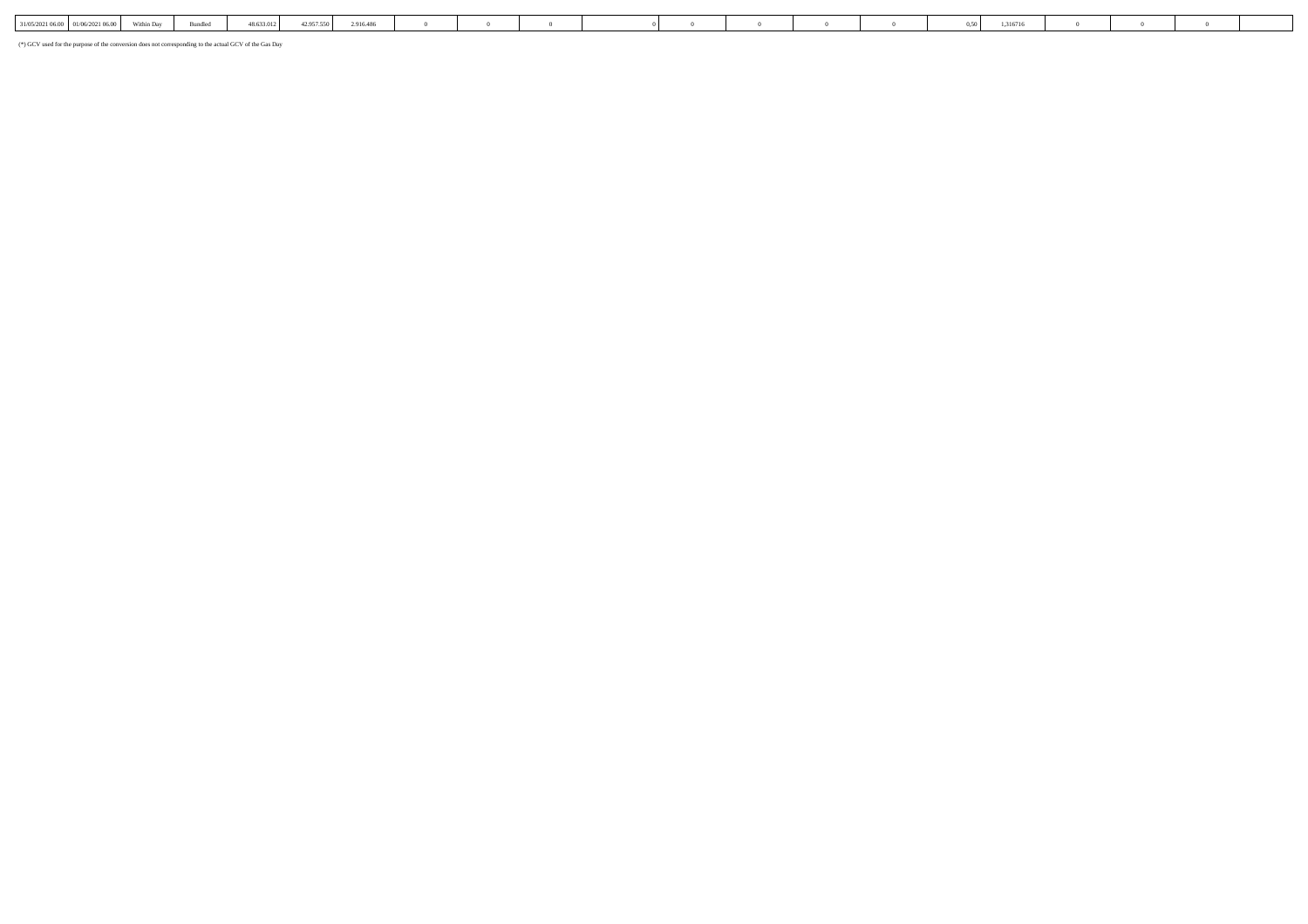| 31/05/2021 06:00   01/06/2021 06:00 | ithin Dav | Rundled | 48.633.012 | 12.957.550.1 | 2.916.486 |  |  |  |  | $0.50$ 1 | \$316716 |  |  |
|-------------------------------------|-----------|---------|------------|--------------|-----------|--|--|--|--|----------|----------|--|--|
|                                     |           |         |            |              |           |  |  |  |  |          |          |  |  |

(\*) GCV used for the purpose of the conversion does not corresponding to the actual GCV of the Gas Day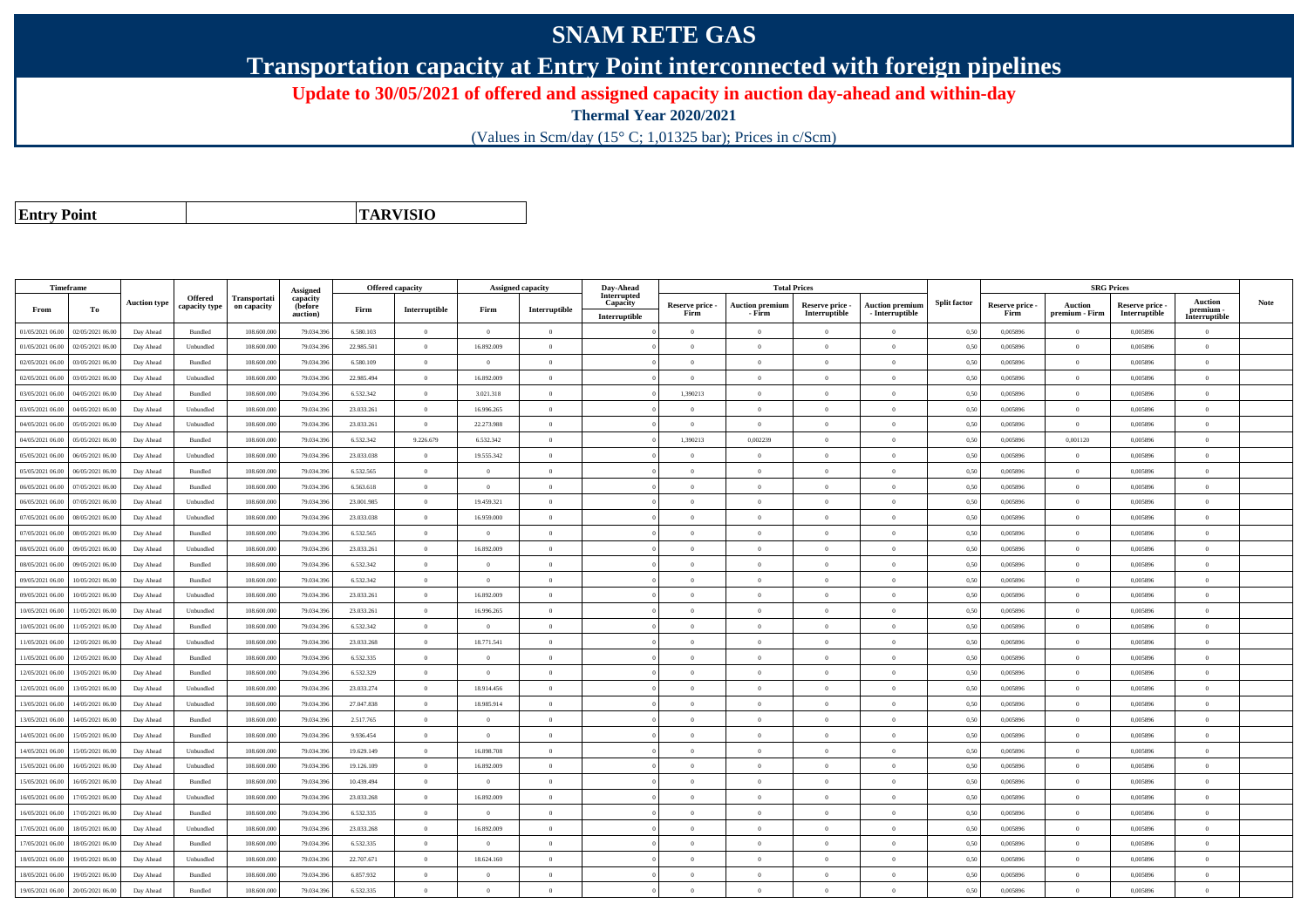## **SNAM RETE GAS**

**Transportation capacity at Entry Point interconnected with foreign pipelines**

**Update to 30/05/2021 of offered and assigned capacity in auction day-ahead and within-day**

**Thermal Year 2020/2021**

(Values in Scm/day (15° C; 1,01325 bar); Prices in c/Scm)

**Entry Point**

**TARVISIO**

|                  | Timeframe        |                     |                |              |                      |            | <b>Offered capacity</b> |                | <b>Assigned capacity</b> | Day-Ahead               |                         | <b>Total Prices</b>              |                                  |                                           |                     |                         | <b>SRG Prices</b>                |                                  |                          |             |
|------------------|------------------|---------------------|----------------|--------------|----------------------|------------|-------------------------|----------------|--------------------------|-------------------------|-------------------------|----------------------------------|----------------------------------|-------------------------------------------|---------------------|-------------------------|----------------------------------|----------------------------------|--------------------------|-------------|
|                  |                  | <b>Auction type</b> | Offered        | Transportati | Assigned<br>capacity |            |                         |                |                          | Interrupted<br>Capacity |                         |                                  |                                  |                                           | <b>Split factor</b> |                         |                                  |                                  | Auction                  | <b>Note</b> |
| From             | To               |                     | capacity type  | on capacity  | (before<br>auction)  | Firm       | Interruptible           | Firm           | Interruptible            | Interruptible           | Reserve price -<br>Firm | <b>Auction premium</b><br>- Firm | Reserve price -<br>Interruptible | <b>Auction premiun</b><br>- Interruptible |                     | Reserve price -<br>Firm | <b>Auction</b><br>premium - Firm | Reserve price -<br>Interruptible | premium<br>Interruptible |             |
| 01/05/2021 06:00 | 02/05/2021 06:00 | Day Ahead           | Bundled        | 108,600,000  | 79.034.39            | 6.580.103  | $\overline{0}$          | $\Omega$       | $\overline{0}$           |                         | $\Omega$                | $\theta$                         | $\Omega$                         | $\theta$                                  | 0.50                | 0.005896                | $\theta$                         | 0.005896                         | $\Omega$                 |             |
| 01/05/2021 06:00 | 02/05/2021 06:00 | Day Ahead           | Unbundled      | 108.600.000  | 79.034.39            | 22.985.501 | $\overline{0}$          | 16.892.009     | $\overline{0}$           |                         | $\Omega$                | $\theta$                         | $\overline{0}$                   | $\Omega$                                  | 0,50                | 0,005896                | $\overline{0}$                   | 0,005896                         | $\bf{0}$                 |             |
| 02/05/2021 06:00 | 03/05/2021 06:00 | Day Ahead           | <b>Bundled</b> | 108,600,000  | 79.034.39            | 6.580.109  | $\overline{0}$          | $\theta$       | $\theta$                 |                         | $\Omega$                | $\sqrt{ }$                       | $\Omega$                         | $\Omega$                                  | 0.50                | 0.005896                | $\overline{0}$                   | 0.005896                         | $\Omega$                 |             |
| 02/05/2021 06:00 | 03/05/2021 06:00 | Day Ahead           | Unbundled      | 108,600,000  | 79.034.39            | 22.985.494 | $\overline{0}$          | 16.892.009     | $\overline{0}$           |                         | $\Omega$                | $\theta$                         | $\Omega$                         | $\Omega$                                  | 0.50                | 0,005896                | $\overline{0}$                   | 0.005896                         | $\Omega$                 |             |
| 03/05/2021 06:00 | 04/05/2021 06:00 | Day Ahead           | Bundled        | 108.600.000  | 79.034.39            | 6.532.342  | $\overline{0}$          | 3.021.318      | $\overline{0}$           |                         | 1.390213                | $\overline{0}$                   | $\overline{0}$                   | $\mathbf{0}$                              | 0,50                | 0.005896                | $\overline{0}$                   | 0.005896                         | $\bf{0}$                 |             |
| 03/05/2021 06:00 | 04/05/2021 06.00 | Day Ahead           | Unbundled      | 108 600 000  | 79.034.39            | 23.033.261 | $\overline{0}$          | 16.996.265     | $\overline{0}$           |                         | $\overline{0}$          | $\theta$                         | $\overline{0}$                   | $\overline{0}$                            | 0.50                | 0.005896                | $\overline{0}$                   | 0.005896                         | $\Omega$                 |             |
| 04/05/2021 06:00 | 05/05/2021 06.00 | Day Ahead           | Unbundled      | 108.600.000  | 79.034.39            | 23.033.261 | $\overline{0}$          | 22.273.988     | $\overline{0}$           |                         | $\Omega$                | $\theta$                         | $\overline{0}$                   | $\mathbf{0}$                              | 0,50                | 0,005896                | $\overline{0}$                   | 0.005896                         | $\Omega$                 |             |
| 04/05/2021 06:00 | 05/05/2021 06:00 | Day Ahead           | Bundled        | 108.600.000  | 79.034.39            | 6.532.342  | 9.226.679               | 6.532.342      | $\Omega$                 |                         | 1,390213                | 0,002239                         | $\overline{0}$                   | $\theta$                                  | 0,50                | 0,005896                | 0,001120                         | 0,005896                         | $\Omega$                 |             |
| 05/05/2021 06:00 | 06/05/2021 06:00 | Day Ahead           | Unbundled      | 108,600,000  | 79.034.39            | 23.033.038 | $\overline{0}$          | 19.555.342     | $\theta$                 |                         | $\Omega$                | $\theta$                         | $\Omega$                         | $\Omega$                                  | 0.50                | 0.005896                | $\overline{0}$                   | 0.005896                         | $\Omega$                 |             |
| 05/05/2021 06:00 | 06/05/2021 06:00 | Day Ahead           | Bundled        | 108.600.000  | 79.034.39            | 6.532.565  | $\theta$                | $\theta$       | $\Omega$                 |                         | $\Omega$                |                                  | $\Omega$                         | $\theta$                                  | 0,50                | 0,005896                | $\Omega$                         | 0,005896                         | $\Omega$                 |             |
| 06/05/2021 06:00 | 07/05/2021 06:00 | Day Ahead           | Bundled        | 108,600,000  | 79.034.396           | 6.563.618  | $\overline{0}$          | $\overline{0}$ | $\overline{0}$           |                         | $\overline{0}$          | $\theta$                         | $\overline{0}$                   | $\overline{0}$                            | 0.50                | 0.005896                | $\overline{0}$                   | 0.005896                         | $\bf{0}$                 |             |
| 06/05/2021 06:00 | 07/05/2021 06:00 | Day Ahead           | Unbundled      | 108,600,000  | 79.034.39            | 23.001.985 | $\overline{0}$          | 19.459.321     | $\overline{0}$           |                         | $\overline{0}$          | $\theta$                         | $\overline{0}$                   | $\overline{0}$                            | 0.50                | 0,005896                | $\overline{0}$                   | 0.005896                         | $\overline{0}$           |             |
| 07/05/2021 06:00 | 08/05/2021 06.00 | Day Ahead           | Unbundled      | 108.600.000  | 79.034.39            | 23.033.038 | $\overline{0}$          | 16.959.000     | $\overline{0}$           |                         | $\Omega$                |                                  | $\overline{0}$                   | $\theta$                                  | 0,50                | 0,005896                | $\theta$                         | 0,005896                         | $\theta$                 |             |
| 07/05/2021 06:00 | 08/05/2021 06:00 | Day Ahead           | Bundled        | 108,600,000  | 79.034.39            | 6.532.565  | $\overline{0}$          | $\overline{0}$ | $\overline{0}$           |                         | $\Omega$                | $\theta$                         | $\overline{0}$                   | $\overline{0}$                            | 0,50                | 0,005896                | $\overline{0}$                   | 0.005896                         | $\Omega$                 |             |
| 08/05/2021 06:00 | 09/05/2021 06:00 | Day Ahead           | Unbundled      | 108.600.000  | 79.034.39            | 23.033.261 | $\overline{0}$          | 16.892.009     | $\Omega$                 |                         | $\Omega$                | $\theta$                         | $\overline{0}$                   | $\Omega$                                  | 0,50                | 0,005896                | $\overline{0}$                   | 0,005896                         | $\bf{0}$                 |             |
| 08/05/2021 06:00 | 09/05/2021 06:00 | Day Ahead           | Bundled        | 108,600,000  | 79.034.39            | 6.532.342  | $\overline{0}$          | $\Omega$       | $\Omega$                 |                         | $\Omega$                |                                  | $\Omega$                         | $\Omega$                                  | 0.50                | 0.005896                | $\Omega$                         | 0.005896                         | $\Omega$                 |             |
| 09/05/2021 06:00 | 10/05/2021 06:00 | Day Ahead           | Bundled        | 108,600,000  | 79.034.39            | 6.532.342  | $\overline{0}$          | $\overline{0}$ | $\overline{0}$           |                         | $\overline{0}$          | $\theta$                         | $\overline{0}$                   | $\overline{0}$                            | 0.50                | 0.005896                | $\overline{0}$                   | 0.005896                         | $\Omega$                 |             |
| 09/05/2021 06:00 | 10/05/2021 06:00 | Day Ahead           | Unbundled      | 108.600.000  | 79.034.39            | 23.033.261 | $\overline{0}$          | 16.892.009     | $\overline{0}$           |                         | $\overline{0}$          | $\theta$                         | $\overline{0}$                   | $\mathbf{0}$                              | 0,50                | 0,005896                | $\overline{0}$                   | 0,005896                         | $\bf{0}$                 |             |
| 10/05/2021 06:00 | 11/05/2021 06:00 | Day Ahead           | Unbundled      | 108,600,000  | 79.034.39            | 23.033.261 | $\overline{0}$          | 16.996.265     | $\overline{0}$           |                         | $\Omega$                | $\theta$                         | $\overline{0}$                   | $\theta$                                  | 0.50                | 0.005896                | $\overline{0}$                   | 0.005896                         | $\Omega$                 |             |
| 10/05/2021 06:00 | 11/05/2021 06:00 | Day Ahead           | Bundled        | 108.600.000  | 79.034.39            | 6.532.342  | $\overline{0}$          | $\overline{0}$ | $\overline{0}$           |                         | $\Omega$                | $\theta$                         | $\overline{0}$                   | $\overline{0}$                            | 0.50                | 0,005896                | $\overline{0}$                   | 0,005896                         | $\Omega$                 |             |
| 11/05/2021 06:00 | 12/05/2021 06:00 | Day Ahead           | Unbundled      | 108.600.000  | 79.034.39            | 23.033.268 | $\overline{0}$          | 18.771.541     | $\Omega$                 |                         | $\Omega$                | $\theta$                         | $\Omega$                         | $\Omega$                                  | 0,50                | 0,005896                | $\Omega$                         | 0,005896                         | $\Omega$                 |             |
| 11/05/2021 06:00 | 12/05/2021 06:00 | Day Ahead           | <b>Bundled</b> | 108,600,000  | 79.034.39            | 6.532.335  | $\overline{0}$          | $\Omega$       | $\Omega$                 |                         | $\Omega$                | $\theta$                         | $\Omega$                         | $\Omega$                                  | 0.50                | 0.005896                | $\overline{0}$                   | 0.005896                         | $\Omega$                 |             |
| 12/05/2021 06:00 | 13/05/2021 06:00 | Day Ahead           | Bundled        | 108.600.000  | 79.034.39            | 6.532.329  | $\overline{0}$          | $\overline{0}$ | $\overline{0}$           |                         | $\Omega$                | $\theta$                         | $\overline{0}$                   | $\mathbf{0}$                              | 0,50                | 0,005896                | $\overline{0}$                   | 0,005896                         | $\Omega$                 |             |
| 12/05/2021 06:00 | 13/05/2021 06:00 | Day Ahead           | Unbundled      | 108.600.000  | 79.034.39            | 23.033.274 | $\overline{0}$          | 18.914.456     | $\overline{0}$           |                         | $\overline{0}$          | $\theta$                         | $\overline{0}$                   | $\mathbf{0}$                              | 0,50                | 0,005896                | $\overline{0}$                   | 0,005896                         | $\Omega$                 |             |
| 13/05/2021 06:00 | 14/05/2021 06.00 | Day Ahead           | Unbundled      | 108.600.000  | 79.034.39            | 27.047.838 | $\overline{0}$          | 18.985.914     | $\overline{0}$           |                         | $\overline{0}$          | $\theta$                         | $\overline{0}$                   | $\overline{0}$                            | 0,50                | 0,005896                | $\overline{0}$                   | 0,005896                         | $\Omega$                 |             |
| 13/05/2021 06:00 | 14/05/2021 06.0  | Day Ahead           | Bundled        | 108.600.000  | 79.034.39            | 2.517.765  | $\overline{0}$          | $\overline{0}$ | $\overline{0}$           |                         | $\overline{0}$          | $\theta$                         | $\overline{0}$                   | $\overline{0}$                            | 0,50                | 0,005896                | $\overline{0}$                   | 0,005896                         | $\bf{0}$                 |             |
| 14/05/2021 06:00 | 15/05/2021 06:00 | Day Ahead           | Bundled        | 108,600,000  | 79.034.39            | 9.936.454  | $\overline{0}$          | $\Omega$       | $\Omega$                 |                         | $\Omega$                | $\theta$                         | $\theta$                         | $\Omega$                                  | 0.50                | 0.005896                | $\overline{0}$                   | 0.005896                         | $\theta$                 |             |
| 14/05/2021 06:00 | 15/05/2021 06:00 | Day Ahead           | Unbundled      | 108.600.000  | 79.034.39            | 19.629.149 | $\overline{0}$          | 16,898,708     | $\theta$                 |                         | $\Omega$                | $\theta$                         | $\overline{0}$                   | $\Omega$                                  | 0,50                | 0,005896                | $\overline{0}$                   | 0,005896                         | $\Omega$                 |             |
| 15/05/2021 06:00 | 16/05/2021 06:00 | Day Ahead           | Unbundled      | 108.600.000  | 79.034.39            | 19.126.109 | $\overline{0}$          | 16.892.009     | $\overline{0}$           |                         | $\theta$                |                                  | $\theta$                         | $\theta$                                  | 0,50                | 0,005896                | $\overline{0}$                   | 0,005896                         | $\overline{0}$           |             |
| 15/05/2021 06:00 | 16/05/2021 06:00 | Day Ahead           | Bundled        | 108.600.000  | 79.034.39            | 10.439.494 | $\overline{0}$          | $\overline{0}$ | $\overline{0}$           |                         | $\overline{0}$          | $\theta$                         | $\overline{0}$                   | $\overline{0}$                            | 0,50                | 0,005896                | $\overline{0}$                   | 0,005896                         | $\Omega$                 |             |
| 16/05/2021 06:00 | 17/05/2021 06.00 | Day Ahead           | Unbundled      | 108.600.000  | 79.034.39            | 23.033.268 | $\overline{0}$          | 16.892.009     | $\overline{0}$           |                         | $\overline{0}$          | $\theta$                         | $\overline{0}$                   | $\mathbf{0}$                              | 0,50                | 0,005896                | $\overline{0}$                   | 0,005896                         | $\bf{0}$                 |             |
| 16/05/2021 06:00 | 7/05/2021 06.00  | Day Ahead           | Bundled        | 108.600.000  | 79.034.39            | 6.532.335  | $\overline{0}$          | $\theta$       | $\Omega$                 |                         | $\Omega$                |                                  | $\Omega$                         | $\theta$                                  | 0,50                | 0,005896                | $\overline{0}$                   | 0,005896                         | $\theta$                 |             |
| 17/05/2021 06:00 | 18/05/2021 06:00 | Day Ahead           | Unbundled      | 108,600,000  | 79.034.39            | 23.033.268 | $\overline{0}$          | 16.892.009     | $\theta$                 |                         | $\Omega$                | $\theta$                         | $\theta$                         | $\Omega$                                  | 0.50                | 0.005896                | $\overline{0}$                   | 0.005896                         | $\theta$                 |             |
| 17/05/2021 06:00 | 18/05/2021 06:00 | Day Ahead           | Bundled        | 108.600.000  | 79.034.39            | 6.532.335  | $\overline{0}$          | $\Omega$       | $\Omega$                 |                         | $\Omega$                | $\theta$                         | $\Omega$                         | $\Omega$                                  | 0.50                | 0,005896                | $\Omega$                         | 0,005896                         | $\Omega$                 |             |
| 18/05/2021 06:00 | 19/05/2021 06:00 | Day Ahead           | Unbundled      | 108.600.000  | 79.034.396           | 22.707.671 | $\overline{0}$          | 18.624.160     | $\overline{0}$           |                         | $\Omega$                |                                  | $\overline{0}$                   | $\Omega$                                  | 0,50                | 0,005896                | $\overline{0}$                   | 0,005896                         | $\Omega$                 |             |
| 18/05/2021 06:00 | 19/05/2021 06.0  | Day Ahead           | Bundled        | 108.600.000  | 79.034.39            | 6.857.932  | $\overline{0}$          | $\overline{0}$ | $\overline{0}$           |                         | $\overline{0}$          | $\theta$                         | $\overline{0}$                   | $\mathbf{0}$                              | 0,50                | 0,005896                | $\overline{0}$                   | 0.005896                         | $\bf{0}$                 |             |
| 19/05/2021 06:00 | 20/05/2021 06:00 | Day Ahead           | Bundled        | 108.600.000  | 79.034.396           | 6.532.335  | $\theta$                | $\Omega$       | $\Omega$                 |                         | $\Omega$                |                                  | $\Omega$                         | $\theta$                                  | 0,50                | 0,005896                | $\Omega$                         | 0,005896                         | $\Omega$                 |             |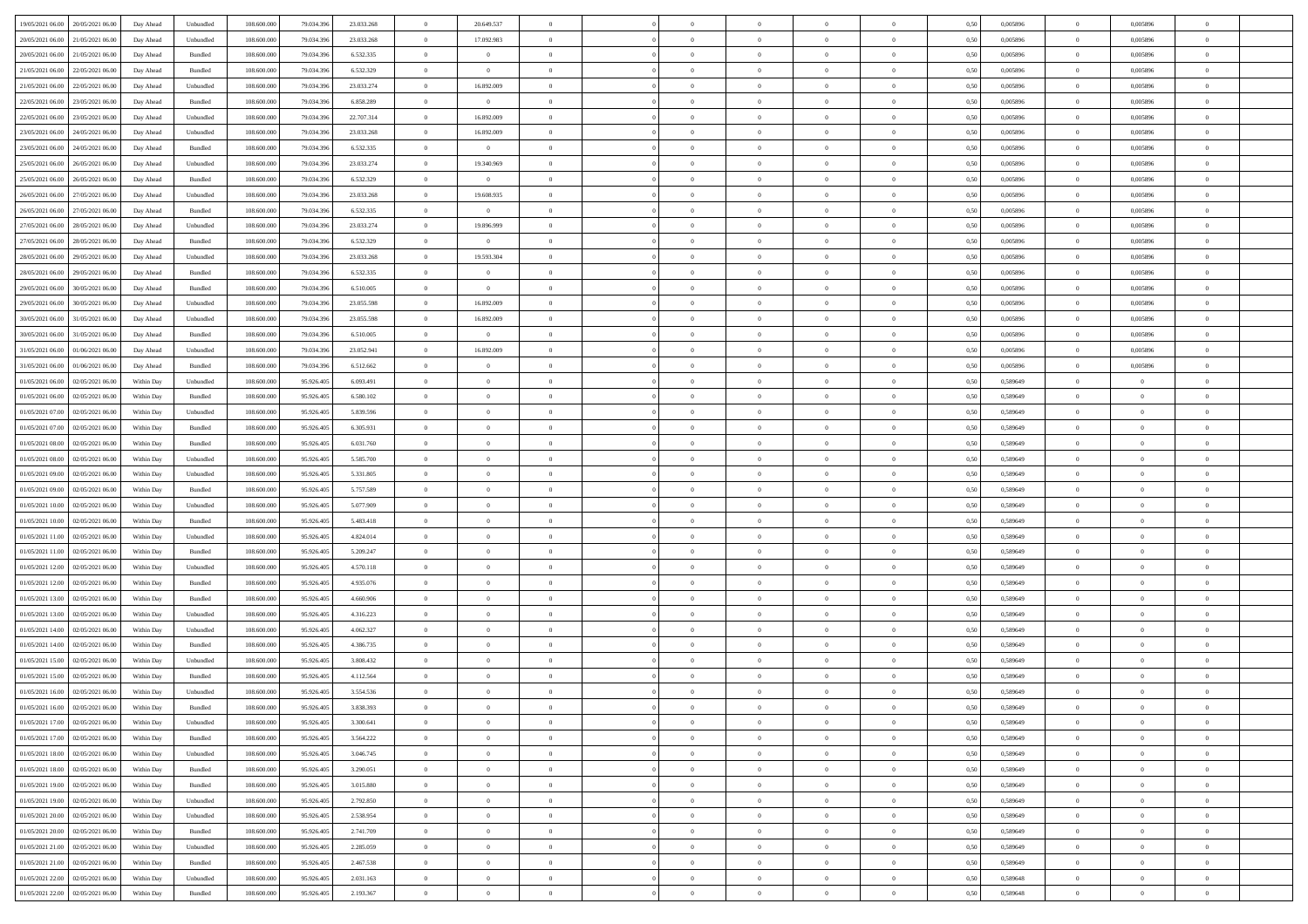| 19/05/2021 06:00 20/05/2021 06:00            | Day Ahead  | Unbundled | 108.600.000 | 79.034.396 | 23.033.268 | $\overline{0}$ | 20.649.537     |                | $\overline{0}$ | $\bf{0}$       | $\overline{0}$ | $\theta$       | 0,50 | 0,005896 | $\overline{0}$ | 0,005896       | $\bf{0}$       |  |
|----------------------------------------------|------------|-----------|-------------|------------|------------|----------------|----------------|----------------|----------------|----------------|----------------|----------------|------|----------|----------------|----------------|----------------|--|
|                                              |            |           |             |            |            |                |                |                |                |                |                |                |      |          |                |                |                |  |
| 20/05/2021 06:00<br>21/05/2021 06:00         | Day Ahead  | Unbundled | 108.600.00  | 79.034.39  | 23.033.268 | $\overline{0}$ | 17.092.983     | $\overline{0}$ | $\overline{0}$ | $\,$ 0         | $\overline{0}$ | $\bf{0}$       | 0,50 | 0,005896 | $\bf{0}$       | 0,005896       | $\bf{0}$       |  |
| 20/05/2021 06:00<br>21/05/2021 06:00         | Day Ahead  | Bundled   | 108,600,000 | 79.034.396 | 6.532.335  | $\overline{0}$ | $\overline{0}$ | $\overline{0}$ | $\overline{0}$ | $\bf{0}$       | $\overline{0}$ | $\overline{0}$ | 0.50 | 0.005896 | $\overline{0}$ | 0.005896       | $\bf{0}$       |  |
| 21/05/2021 06:00<br>22/05/2021 06:00         | Day Ahead  | Bundled   | 108.600.000 | 79.034.396 | 6.532.329  | $\overline{0}$ | $\overline{0}$ | $\overline{0}$ | $\overline{0}$ | $\bf{0}$       | $\overline{0}$ | $\theta$       | 0,50 | 0,005896 | $\,$ 0 $\,$    | 0,005896       | $\overline{0}$ |  |
| 21/05/2021 06:00<br>22/05/2021 06.00         | Day Ahead  | Unbundled | 108.600.00  | 79.034.39  | 23.033.274 | $\overline{0}$ | 16.892.009     | $\overline{0}$ |                | $\,$ 0         | $\overline{0}$ | $\bf{0}$       | 0,50 | 0,005896 | $\bf{0}$       | 0,005896       | $\bf{0}$       |  |
| 22/05/2021 06:00<br>23/05/2021 06:00         | Day Ahead  | Bundled   | 108,600,000 | 79.034.396 | 6.858.289  | $\overline{0}$ | $\mathbf{0}$   | $\overline{0}$ | $\overline{0}$ | $\bf{0}$       | $\overline{0}$ | $\overline{0}$ | 0.50 | 0.005896 | $\bf{0}$       | 0.005896       | $\bf{0}$       |  |
|                                              |            |           |             |            |            |                |                |                |                |                |                |                |      |          |                |                |                |  |
| 22/05/2021 06:00<br>23/05/2021 06:00         | Day Ahead  | Unbundled | 108.600.000 | 79.034.396 | 22.707.314 | $\overline{0}$ | 16.892.009     | $\overline{0}$ | $\overline{0}$ | $\bf{0}$       | $\overline{0}$ | $\overline{0}$ | 0,50 | 0,005896 | $\,0\,$        | 0,005896       | $\bf{0}$       |  |
| 23/05/2021 06:00<br>24/05/2021 06.00         | Day Ahead  | Unbundled | 108.600.00  | 79.034.39  | 23.033.268 | $\bf{0}$       | 16.892.009     | $\overline{0}$ |                | $\,$ 0         | $\overline{0}$ | $\bf{0}$       | 0,50 | 0,005896 | $\bf{0}$       | 0,005896       | $\bf{0}$       |  |
| 23/05/2021 06:00<br>24/05/2021 06:00         | Day Ahead  | Bundled   | 108,600,000 | 79.034.396 | 6.532.335  | $\overline{0}$ | $\overline{0}$ | $\overline{0}$ | $\overline{0}$ | $\bf{0}$       | $\overline{0}$ | $\overline{0}$ | 0.50 | 0.005896 | $\overline{0}$ | 0.005896       | $\bf{0}$       |  |
| 25/05/2021 06:00<br>26/05/2021 06:00         | Day Ahead  | Unbundled | 108.600.000 | 79.034.396 | 23.033.274 | $\overline{0}$ | 19.340.969     | $\overline{0}$ | $\overline{0}$ | $\bf{0}$       | $\overline{0}$ | $\overline{0}$ | 0,50 | 0,005896 | $\overline{0}$ | 0,005896       | $\bf{0}$       |  |
| 25/05/2021 06:00<br>26/05/2021 06.00         | Day Ahead  | Bundled   | 108.600.00  | 79.034.396 | 6.532.329  | $\bf{0}$       | $\bf{0}$       | $\overline{0}$ | $\overline{0}$ | $\,$ 0         | $\overline{0}$ | $\bf{0}$       | 0,50 | 0,005896 | $\bf{0}$       | 0,005896       | $\bf{0}$       |  |
| 26/05/2021 06:00<br>27/05/2021 06:00         | Day Ahead  | Unbundled | 108,600,000 | 79.034.396 | 23.033.268 | $\overline{0}$ | 19,608,935     | $\overline{0}$ | $\overline{0}$ | $\,$ 0 $\,$    | $\overline{0}$ | $\overline{0}$ | 0.50 | 0.005896 | $\,$ 0 $\,$    | 0.005896       | $\bf{0}$       |  |
| 26/05/2021 06:00<br>27/05/2021 06:00         | Day Ahead  | Bundled   | 108.600.000 | 79.034.396 | 6.532.335  | $\overline{0}$ | $\overline{0}$ | $\overline{0}$ | $\overline{0}$ | $\bf{0}$       | $\overline{0}$ | $\theta$       | 0,50 | 0,005896 | $\,0\,$        | 0,005896       | $\bf{0}$       |  |
|                                              |            |           |             |            |            |                |                |                |                |                |                |                |      |          |                |                |                |  |
| 27/05/2021 06:00<br>28/05/2021 06:00         | Day Ahead  | Unbundled | 108.600.00  | 79.034.39  | 23.033.274 | $\bf{0}$       | 19.896.999     | $\overline{0}$ |                | $\,$ 0         | $\overline{0}$ | $\bf{0}$       | 0,50 | 0,005896 | $\bf{0}$       | 0,005896       | $\bf{0}$       |  |
| 27/05/2021 06:00<br>28/05/2021 06:00         | Day Ahead  | Bundled   | 108,600,000 | 79.034.396 | 6.532.329  | $\overline{0}$ | $\overline{0}$ | $\overline{0}$ | $\overline{0}$ | $\bf{0}$       | $\overline{0}$ | $\overline{0}$ | 0.50 | 0.005896 | $\bf{0}$       | 0.005896       | $\bf{0}$       |  |
| 28/05/2021 06:00<br>29/05/2021 06:00         | Day Ahead  | Unbundled | 108.600.000 | 79.034.396 | 23.033.268 | $\overline{0}$ | 19.593.304     | $\overline{0}$ | $\overline{0}$ | $\bf{0}$       | $\overline{0}$ | $\overline{0}$ | 0,50 | 0,005896 | $\,0\,$        | 0,005896       | $\overline{0}$ |  |
| 28/05/2021 06:00<br>29/05/2021 06.00         | Day Ahead  | Bundled   | 108.600.00  | 79.034.39  | 6.532.335  | $\bf{0}$       | $\theta$       | $\overline{0}$ |                | $\,$ 0         | $\overline{0}$ | $\bf{0}$       | 0,50 | 0,005896 | $\bf{0}$       | 0,005896       | $\bf{0}$       |  |
| 29/05/2021 06:00<br>30/05/2021 06:00         | Day Ahead  | Bundled   | 108 600 000 | 79.034.396 | 6.510.005  | $\overline{0}$ | $\overline{0}$ | $\overline{0}$ | $\overline{0}$ | $\bf{0}$       | $\overline{0}$ | $\overline{0}$ | 0.50 | 0.005896 | $\overline{0}$ | 0.005896       | $\bf{0}$       |  |
| 29/05/2021 06:00<br>30/05/2021 06:00         | Day Ahead  | Unbundled | 108.600.000 | 79.034.396 | 23.055.598 | $\overline{0}$ | 16.892.009     | $\overline{0}$ | $\overline{0}$ | $\bf{0}$       | $\overline{0}$ | $\overline{0}$ | 0,50 | 0,005896 | $\,0\,$        | 0,005896       | $\bf{0}$       |  |
|                                              |            |           |             |            |            |                |                |                |                |                |                |                |      |          |                |                |                |  |
| 30/05/2021 06:00<br>31/05/2021 06.00         | Day Ahead  | Unbundled | 108.600.00  | 79.034.39  | 23.055.598 | $\bf{0}$       | 16.892.009     | $\overline{0}$ | $\overline{0}$ | $\,$ 0         | $\overline{0}$ | $\bf{0}$       | 0,50 | 0,005896 | $\bf{0}$       | 0,005896       | $\bf{0}$       |  |
| 30/05/2021 06:00<br>31/05/2021 06:00         | Day Ahead  | Bundled   | 108,600,000 | 79.034.396 | 6.510.005  | $\overline{0}$ | $\overline{0}$ | $\overline{0}$ | $\overline{0}$ | $\,$ 0 $\,$    | $\overline{0}$ | $\overline{0}$ | 0.50 | 0.005896 | $\overline{0}$ | 0.005896       | $\bf{0}$       |  |
| 31/05/2021 06:00<br>01/06/2021 06:00         | Day Ahead  | Unbundled | 108.600.000 | 79.034.396 | 23.052.941 | $\overline{0}$ | 16.892.009     | $\overline{0}$ | $\overline{0}$ | $\,$ 0         | $\overline{0}$ | $\overline{0}$ | 0,50 | 0,005896 | $\,0\,$        | 0,005896       | $\overline{0}$ |  |
| 31/05/2021 06:00<br>01/06/2021 06.00         | Day Ahead  | Bundled   | 108.600.00  | 79.034.396 | 6.512.662  | $\overline{0}$ | $\theta$       | $\overline{0}$ | $\overline{0}$ | $\,$ 0         | $\overline{0}$ | $\bf{0}$       | 0,50 | 0,005896 | $\bf{0}$       | 0,005896       | $\bf{0}$       |  |
| 01/05/2021 06:00<br>02/05/2021 06:00         | Within Day | Unbundled | 108,600,000 | 95.926.405 | 6.093.491  | $\overline{0}$ | $\overline{0}$ | $\overline{0}$ | $\overline{0}$ | $\bf{0}$       | $\overline{0}$ | $\overline{0}$ | 0.50 | 0.589649 | $\bf{0}$       | $\overline{0}$ | $\bf{0}$       |  |
| 01/05/2021 06:00<br>02/05/2021 06:00         | Within Day | Bundled   | 108.600.000 | 95.926.405 | 6.580.102  | $\overline{0}$ | $\overline{0}$ | $\overline{0}$ | $\overline{0}$ | $\,$ 0         | $\overline{0}$ | $\overline{0}$ | 0,50 | 0,589649 | $\,0\,$        | $\overline{0}$ | $\bf{0}$       |  |
| 01/05/2021 07:00<br>02/05/2021 06.00         | Within Day | Unbundled | 108.600.00  | 95.926.405 | 5.839.596  | $\overline{0}$ | $\theta$       | $\overline{0}$ |                | $\,$ 0         | $\overline{0}$ | $\bf{0}$       | 0,50 | 0,589649 | $\bf{0}$       | $\overline{0}$ | $\,$ 0         |  |
|                                              |            |           |             |            |            |                |                |                |                |                |                |                |      |          |                |                |                |  |
| 01/05/2021 07:00<br>02/05/2021 06:00         | Within Day | Bundled   | 108,600,000 | 95.926.405 | 6.305.931  | $\overline{0}$ | $\overline{0}$ | $\overline{0}$ | $\overline{0}$ | $\bf{0}$       | $\overline{0}$ | $\overline{0}$ | 0.50 | 0.589649 | $\bf{0}$       | $\overline{0}$ | $\bf{0}$       |  |
| 01/05/2021 08:00<br>02/05/2021 06:00         | Within Day | Bundled   | 108.600.000 | 95.926.405 | 6.031.760  | $\overline{0}$ | $\overline{0}$ | $\overline{0}$ | $\overline{0}$ | $\bf{0}$       | $\overline{0}$ | $\overline{0}$ | 0,50 | 0,589649 | $\,0\,$        | $\overline{0}$ | $\bf{0}$       |  |
| 01/05/2021 08:00<br>02/05/2021 06.00         | Within Day | Unbundled | 108.600.00  | 95.926.405 | 5.585.700  | $\bf{0}$       | $\overline{0}$ | $\overline{0}$ | $\overline{0}$ | $\bf{0}$       | $\overline{0}$ | $\bf{0}$       | 0,50 | 0,589649 | $\bf{0}$       | $\overline{0}$ | $\bf{0}$       |  |
| 01/05/2021 09:00<br>02/05/2021 06:00         | Within Day | Unbundled | 108,600,000 | 95.926.405 | 5.331.805  | $\overline{0}$ | $\overline{0}$ | $\overline{0}$ | $\overline{0}$ | $\,$ 0 $\,$    | $\overline{0}$ | $\overline{0}$ | 0.50 | 0.589649 | $\overline{0}$ | $\bf{0}$       | $\bf{0}$       |  |
| 01/05/2021 09:00<br>02/05/2021 06:00         | Within Day | Bundled   | 108.600.000 | 95.926.405 | 5.757.589  | $\overline{0}$ | $\overline{0}$ | $\overline{0}$ | $\Omega$       | $\overline{0}$ | $\overline{0}$ | $\overline{0}$ | 0.50 | 0.589649 | $\mathbf{0}$   | $\overline{0}$ | $\overline{0}$ |  |
| 01/05/2021 10:00<br>02/05/2021 06.00         | Within Day | Unbundled | 108.600.00  | 95.926.405 | 5.077.909  | $\overline{0}$ | $\theta$       | $\overline{0}$ |                | $\,$ 0         | $\overline{0}$ | $\bf{0}$       | 0,50 | 0,589649 | $\bf{0}$       | $\overline{0}$ | $\bf{0}$       |  |
| 01/05/2021 10:00<br>02/05/2021 06:00         | Within Day | Bundled   | 108,600,000 | 95.926.405 | 5.483.418  | $\overline{0}$ | $\overline{0}$ | $\overline{0}$ | $\overline{0}$ | $\bf{0}$       | $\overline{0}$ | $\overline{0}$ | 0.50 | 0.589649 | $\bf{0}$       | $\overline{0}$ | $\bf{0}$       |  |
|                                              |            |           |             |            |            |                |                |                |                |                |                |                |      |          |                |                |                |  |
| 01/05/2021 11:00<br>02/05/2021 06:00         | Within Day | Unbundled | 108.600.000 | 95.926.405 | 4.824.014  | $\overline{0}$ | $\overline{0}$ | $\Omega$       | $\Omega$       | $\mathbf{0}$   | $\overline{0}$ | $\overline{0}$ | 0.50 | 0.589649 | $\mathbf{0}$   | $\overline{0}$ | $\overline{0}$ |  |
| 01/05/2021 11:00<br>02/05/2021 06.00         | Within Day | Bundled   | 108.600.00  | 95.926.405 | 5.209.247  | $\overline{0}$ | $\overline{0}$ | $\overline{0}$ |                | $\,$ 0         | $\overline{0}$ | $\bf{0}$       | 0,50 | 0,589649 | $\bf{0}$       | $\overline{0}$ | $\bf{0}$       |  |
| 01/05/2021 12:00<br>02/05/2021 06:00         | Within Day | Unbundled | 108,600,000 | 95.926.405 | 4.570.118  | $\overline{0}$ | $\overline{0}$ | $\overline{0}$ | $\overline{0}$ | $\bf{0}$       | $\overline{0}$ | $\overline{0}$ | 0.50 | 0.589649 | $\bf{0}$       | $\overline{0}$ | $\bf{0}$       |  |
| 01/05/2021 12:00<br>02/05/2021 06:00         | Within Day | Bundled   | 108.600.000 | 95.926.405 | 4.935.076  | $\overline{0}$ | $\overline{0}$ | $\overline{0}$ | $\Omega$       | $\overline{0}$ | $\overline{0}$ | $\overline{0}$ | 0.50 | 0.589649 | $\mathbf{0}$   | $\overline{0}$ | $\overline{0}$ |  |
| 01/05/2021 13:00<br>02/05/2021 06.00         | Within Day | Bundled   | 108.600.00  | 95.926.405 | 4.660.906  | $\bf{0}$       | $\overline{0}$ | $\overline{0}$ | $\overline{0}$ | $\bf{0}$       | $\overline{0}$ | $\bf{0}$       | 0,50 | 0,589649 | $\bf{0}$       | $\overline{0}$ | $\bf{0}$       |  |
| 01/05/2021 13:00<br>02/05/2021 06:00         | Within Day | Unbundled | 108,600,000 | 95.926.405 | 4.316.223  | $\overline{0}$ | $\overline{0}$ | $\overline{0}$ | $\overline{0}$ | $\,$ 0 $\,$    | $\overline{0}$ | $\overline{0}$ | 0.50 | 0.589649 | $\overline{0}$ | $\overline{0}$ | $\bf{0}$       |  |
| 01/05/2021 14:00<br>02/05/2021 06:00         | Within Day | Unbundled | 108.600.000 | 95.926.405 | 4.062.327  | $\overline{0}$ | $\overline{0}$ | $\Omega$       | $\Omega$       | $\mathbf{0}$   | $\overline{0}$ | $\overline{0}$ | 0.50 | 0.589649 | $\mathbf{0}$   | $\overline{0}$ | $\overline{0}$ |  |
|                                              |            |           |             |            |            | $\bf{0}$       | $\overline{0}$ | $\overline{0}$ | $\overline{0}$ | $\,$ 0         |                |                |      |          | $\bf{0}$       | $\overline{0}$ | $\bf{0}$       |  |
| 01/05/2021 14:00<br>02/05/2021 06.00         | Within Day | Bundled   | 108.600.00  | 95.926.405 | 4.386.735  |                |                |                |                |                | $\overline{0}$ | $\bf{0}$       | 0,50 | 0,589649 |                |                |                |  |
| 01/05/2021 15:00<br>02/05/2021 06:00         | Within Day | Unbundled | 108,600,000 | 95.926.405 | 3.808.432  | $\overline{0}$ | $\overline{0}$ | $\overline{0}$ | $\overline{0}$ | $\bf{0}$       | $\overline{0}$ | $\overline{0}$ | 0.50 | 0.589649 | $\bf{0}$       | $\overline{0}$ | $\bf{0}$       |  |
| 01/05/2021 15:00<br>02/05/2021 06:00         | Within Day | Bundled   | 108.600.000 | 95.926.405 | 4.112.564  | $\overline{0}$ | $\Omega$       | $\Omega$       | $\Omega$       | $\bf{0}$       | $\overline{0}$ | $\Omega$       | 0.50 | 0.589649 | $\mathbf{0}$   | $\overline{0}$ | $\overline{0}$ |  |
| 01/05/2021 16:00<br>02/05/2021 06:00         | Within Day | Unbundled | 108.600.00  | 95.926.405 | 3.554.536  | $\overline{0}$ | $\overline{0}$ | $\overline{0}$ | $\bf{0}$       | $\,$ 0         | $\overline{0}$ | $\bf{0}$       | 0,50 | 0,589649 | $\bf{0}$       | $\overline{0}$ | $\bf{0}$       |  |
| $01/05/2021\ 16.00 \qquad 02/05/2021\ 06.00$ | Within Day | Bundled   | 108.600.000 | 95.926.405 | 3838393    | $\bf{0}$       | $\theta$       |                |                |                |                |                | 0,50 | 0.589649 | $\overline{0}$ | $\Omega$       |                |  |
| 01/05/2021 17:00 02/05/2021 06:00            | Within Day | Unbundled | 108.600.000 | 95.926.405 | 3.300.641  | $\theta$       | $\overline{0}$ | $\theta$       | $\Omega$       | $\overline{0}$ | $\overline{0}$ | $\overline{0}$ | 0,50 | 0,589649 | $\theta$       | $\overline{0}$ | $\bf{0}$       |  |
| 01/05/2021 17:00<br>02/05/2021 06:00         | Within Day | Bundled   | 108.600.00  | 95.926.405 | 3.564.222  | $\overline{0}$ | $\bf{0}$       | $\overline{0}$ | $\bf{0}$       | $\overline{0}$ | $\overline{0}$ | $\mathbf{0}$   | 0,50 | 0,589649 | $\overline{0}$ | $\bf{0}$       | $\bf{0}$       |  |
| 01/05/2021 18:00 02/05/2021 06:00            | Within Day | Unbundled | 108,600,000 | 95.926.405 | 3.046.745  | $\overline{0}$ | $\overline{0}$ | $\overline{0}$ | $\overline{0}$ | $\overline{0}$ | $\overline{0}$ | $\mathbf{0}$   | 0.50 | 0.589649 | $\overline{0}$ | $\,$ 0 $\,$    | $\,$ 0 $\,$    |  |
|                                              |            |           |             |            |            |                |                |                |                |                |                |                |      |          |                |                |                |  |
| 01/05/2021 18:00 02/05/2021 06:00            | Within Dav | Bundled   | 108.600.000 | 95.926.405 | 3.290.051  | $\overline{0}$ | $\overline{0}$ | $\overline{0}$ | $\overline{0}$ | $\overline{0}$ | $\overline{0}$ | $\overline{0}$ | 0,50 | 0,589649 | $\theta$       | $\overline{0}$ | $\bf{0}$       |  |
| 01/05/2021 19:00<br>02/05/2021 06:00         | Within Day | Bundled   | 108.600.00  | 95.926.405 | 3.015.880  | $\overline{0}$ | $\overline{0}$ | $\overline{0}$ | $\overline{0}$ | $\bf{0}$       | $\overline{0}$ | $\bf{0}$       | 0,50 | 0,589649 | $\overline{0}$ | $\bf{0}$       | $\bf{0}$       |  |
| 01/05/2021 19:00 02/05/2021 06:00            | Within Day | Unbundled | 108,600,000 | 95.926.405 | 2.792.850  | $\overline{0}$ | $\overline{0}$ | $\overline{0}$ | $\overline{0}$ | $\,$ 0 $\,$    | $\overline{0}$ | $\overline{0}$ | 0.50 | 0.589649 | $\overline{0}$ | $\overline{0}$ | $\bf{0}$       |  |
| 01/05/2021 20:00<br>02/05/2021 06:00         | Within Dav | Unbundled | 108.600.000 | 95.926.405 | 2.538.954  | $\overline{0}$ | $\overline{0}$ | $\overline{0}$ | $\overline{0}$ | $\overline{0}$ | $\overline{0}$ | $\overline{0}$ | 0,50 | 0,589649 | $\overline{0}$ | $\overline{0}$ | $\bf{0}$       |  |
| 01/05/2021 20:00<br>02/05/2021 06:00         | Within Day | Bundled   | 108.600.00  | 95.926.405 | 2.741.709  | $\overline{0}$ | $\,$ 0         | $\overline{0}$ | $\bf{0}$       | $\,$ 0 $\,$    | $\overline{0}$ | $\mathbf{0}$   | 0,50 | 0,589649 | $\overline{0}$ | $\,$ 0 $\,$    | $\bf{0}$       |  |
| 01/05/2021 21:00 02/05/2021 06:00            | Within Day | Unbundled | 108,600,000 | 95.926.405 | 2.285.059  | $\overline{0}$ | $\overline{0}$ | $\overline{0}$ | $\overline{0}$ | $\,$ 0 $\,$    | $\overline{0}$ | $\overline{0}$ | 0.50 | 0.589649 | $\overline{0}$ | $\,$ 0 $\,$    | $\bf{0}$       |  |
| 01/05/2021 21:00 02/05/2021 06:00            | Within Dav | Bundled   | 108.600.000 | 95.926.405 | 2.467.538  | $\overline{0}$ | $\overline{0}$ | $\overline{0}$ | $\overline{0}$ | $\overline{0}$ | $\overline{0}$ | $\overline{0}$ | 0,50 | 0.589649 | $\overline{0}$ | $\overline{0}$ | $\bf{0}$       |  |
|                                              |            |           |             |            |            |                |                |                |                |                |                |                |      |          |                |                |                |  |
| 01/05/2021 22:00<br>02/05/2021 06:00         | Within Day | Unbundled | 108.600.00  | 95.926.405 | 2.031.163  | $\overline{0}$ | $\overline{0}$ | $\overline{0}$ | $\bf{0}$       | $\bf{0}$       | $\overline{0}$ | $\bf{0}$       | 0,50 | 0,589648 | $\overline{0}$ | $\bf{0}$       | $\bf{0}$       |  |
| 01/05/2021 22:00 02/05/2021 06:00            | Within Day | Bundled   | 108.600.000 | 95.926.405 | 2.193.367  | $\overline{0}$ | $\overline{0}$ | $\overline{0}$ | $\overline{0}$ | $\,$ 0 $\,$    | $\overline{0}$ | $\overline{0}$ | 0,50 | 0,589648 | $\,$ 0 $\,$    | $\,$ 0 $\,$    | $\bf{0}$       |  |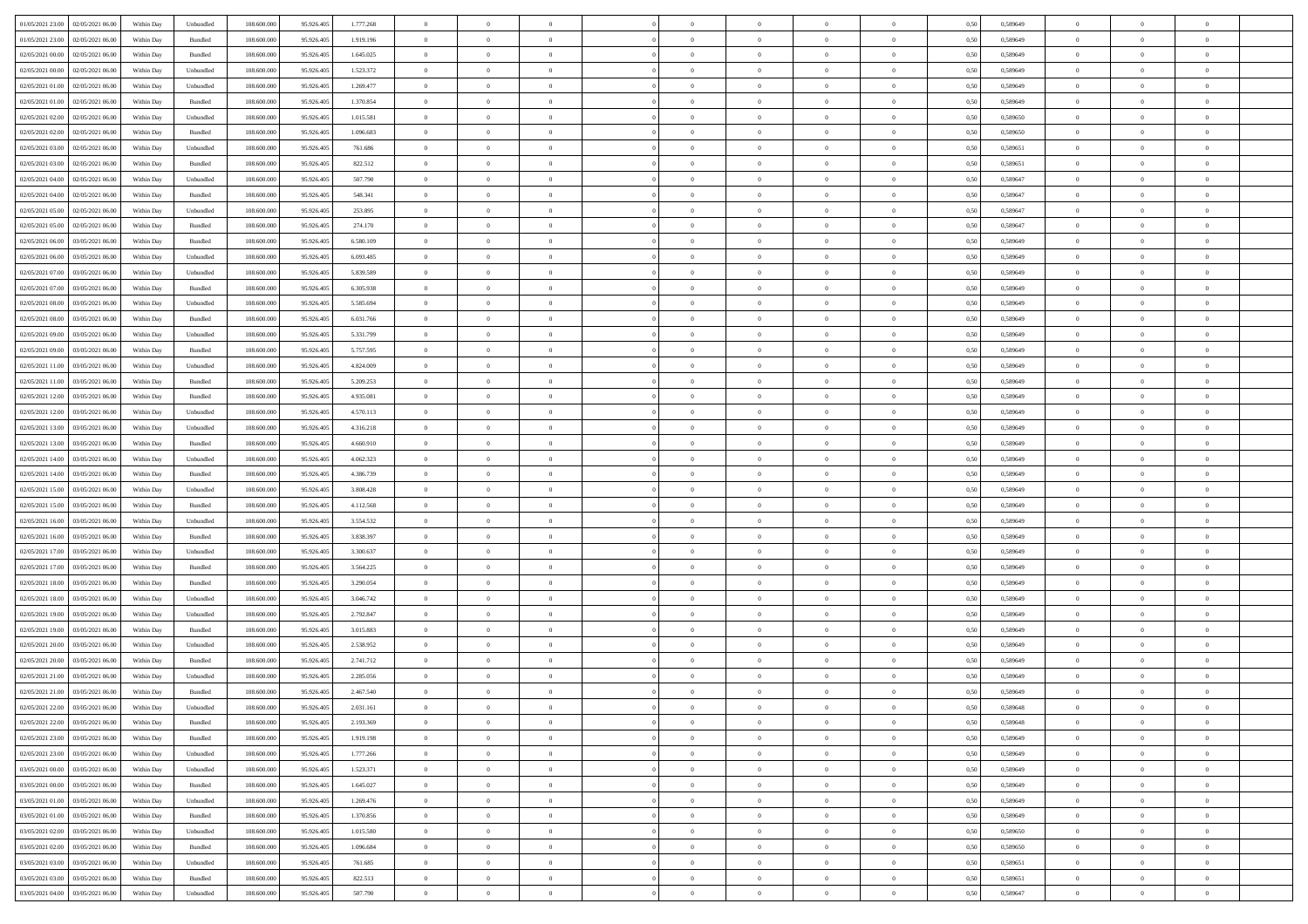|                                      |            |                             |             |            |           | $\overline{0}$ | $\theta$       |                | $\overline{0}$ | $\theta$       |                | $\theta$       |      |          | $\theta$       | $\theta$       | $\theta$       |  |
|--------------------------------------|------------|-----------------------------|-------------|------------|-----------|----------------|----------------|----------------|----------------|----------------|----------------|----------------|------|----------|----------------|----------------|----------------|--|
| 01/05/2021 23:00 02/05/2021 06:00    | Within Day | Unbundled                   | 108.600.000 | 95.926.405 | 1.777.268 |                |                |                |                |                |                |                | 0,50 | 0,589649 |                |                |                |  |
| 01/05/2021 23:00<br>02/05/2021 06:00 | Within Day | Bundled                     | 108.600.00  | 95.926.40  | 1.919.196 | $\bf{0}$       | $\bf{0}$       | $\bf{0}$       | $\overline{0}$ | $\overline{0}$ | $\overline{0}$ | $\bf{0}$       | 0,50 | 0,589649 | $\,$ 0 $\,$    | $\bf{0}$       | $\overline{0}$ |  |
| 02/05/2021 00:00<br>02/05/2021 06:00 | Within Day | Bundled                     | 108,600,000 | 95.926.405 | 1.645.025 | $\overline{0}$ | $\bf{0}$       | $\overline{0}$ | $\bf{0}$       | $\bf{0}$       | $\overline{0}$ | $\bf{0}$       | 0.50 | 0.589649 | $\bf{0}$       | $\overline{0}$ | $\overline{0}$ |  |
| 02/05/2021 00:00<br>02/05/2021 06:00 | Within Day | Unbundled                   | 108.600.000 | 95.926.405 | 1.523.372 | $\overline{0}$ | $\overline{0}$ | $\overline{0}$ | $\theta$       | $\theta$       | $\overline{0}$ | $\bf{0}$       | 0,50 | 0,589649 | $\theta$       | $\theta$       | $\overline{0}$ |  |
| 02/05/2021 01:00<br>02/05/2021 06.00 | Within Day | Unbundled                   | 108.600.00  | 95.926.405 | 1.269.477 | $\bf{0}$       | $\overline{0}$ | $\bf{0}$       | $\overline{0}$ | $\theta$       | $\overline{0}$ | $\bf{0}$       | 0,50 | 0,589649 | $\,$ 0 $\,$    | $\bf{0}$       | $\overline{0}$ |  |
|                                      |            |                             |             |            |           |                |                |                |                |                |                |                |      |          |                |                |                |  |
| 02/05/2021 01:00<br>02/05/2021 06:00 | Within Day | Bundled                     | 108,600,000 | 95.926.40  | 1.370.854 | $\overline{0}$ | $\overline{0}$ | $\overline{0}$ | $\bf{0}$       | $\overline{0}$ | $\theta$       | $\bf{0}$       | 0.50 | 0.589649 | $\bf{0}$       | $\theta$       | $\overline{0}$ |  |
| 02/05/2021 02:00<br>02/05/2021 06:00 | Within Day | Unbundled                   | 108.600.000 | 95.926.405 | 1.015.581 | $\overline{0}$ | $\overline{0}$ | $\overline{0}$ | $\overline{0}$ | $\overline{0}$ | $\overline{0}$ | $\bf{0}$       | 0,50 | 0,589650 | $\theta$       | $\theta$       | $\overline{0}$ |  |
| 02/05/2021 02:00<br>02/05/2021 06.00 | Within Day | Bundled                     | 108.600.00  | 95.926.40  | 1.096.683 | $\overline{0}$ | $\overline{0}$ | $\bf{0}$       | $\overline{0}$ | $\overline{0}$ | $\overline{0}$ | $\bf{0}$       | 0,50 | 0,589650 | $\,$ 0 $\,$    | $\bf{0}$       | $\overline{0}$ |  |
| 02/05/2021 03:00<br>02/05/2021 06:00 | Within Day | Unbundled                   | 108,600,000 | 95.926.40  | 761.686   | $\overline{0}$ | $\bf{0}$       | $\overline{0}$ | $\bf{0}$       | $\overline{0}$ | $\overline{0}$ | $\bf{0}$       | 0.50 | 0.589651 | $\bf{0}$       | $\overline{0}$ | $\overline{0}$ |  |
| 02/05/2021 03:00<br>02/05/2021 06:00 | Within Day | Bundled                     | 108.600.000 | 95.926.405 | 822.512   | $\overline{0}$ | $\bf{0}$       | $\overline{0}$ | $\overline{0}$ | $\overline{0}$ | $\overline{0}$ | $\bf{0}$       | 0,50 | 0,589651 | $\,$ 0 $\,$    | $\bf{0}$       | $\overline{0}$ |  |
| 02/05/2021 04:00<br>02/05/2021 06.00 | Within Day | Unbundled                   | 108.600.00  | 95.926.405 | 507.790   | $\bf{0}$       | $\overline{0}$ | $\bf{0}$       | $\bf{0}$       | $\bf{0}$       | $\overline{0}$ | $\bf{0}$       | 0,50 | 0,589647 | $\,$ 0 $\,$    | $\bf{0}$       | $\overline{0}$ |  |
| 02/05/2021 04:00<br>02/05/2021 06:00 | Within Day | Bundled                     | 108,600,000 | 95.926.405 | 548,341   | $\overline{0}$ | $\bf{0}$       | $\overline{0}$ | $\overline{0}$ | $\bf{0}$       | $\overline{0}$ | $\bf{0}$       | 0.50 | 0.589647 | $\bf{0}$       | $\overline{0}$ | $\,$ 0         |  |
|                                      |            |                             |             |            |           | $\overline{0}$ |                |                |                |                |                |                |      |          | $\theta$       | $\theta$       |                |  |
| 02/05/2021 05:00<br>02/05/2021 06:00 | Within Day | Unbundled                   | 108.600.000 | 95.926.405 | 253.895   |                | $\overline{0}$ | $\overline{0}$ | $\theta$       | $\theta$       | $\overline{0}$ | $\bf{0}$       | 0,50 | 0,589647 |                |                | $\overline{0}$ |  |
| 02/05/2021 05:00<br>02/05/2021 06.00 | Within Day | Bundled                     | 108.600.00  | 95.926.405 | 274.170   | $\bf{0}$       | $\overline{0}$ | $\bf{0}$       | $\overline{0}$ | $\theta$       | $\overline{0}$ | $\bf{0}$       | 0,50 | 0,589647 | $\,$ 0 $\,$    | $\bf{0}$       | $\overline{0}$ |  |
| 02/05/2021 06:00<br>03/05/2021 06:00 | Within Day | Bundled                     | 108,600,000 | 95.926.405 | 6.580.109 | $\overline{0}$ | $\overline{0}$ | $\overline{0}$ | $\bf{0}$       | $\overline{0}$ | $\Omega$       | $\bf{0}$       | 0.50 | 0.589649 | $\,$ 0 $\,$    | $\theta$       | $\overline{0}$ |  |
| 02/05/2021 06:00<br>03/05/2021 06:00 | Within Day | Unbundled                   | 108.600.000 | 95.926.405 | 6.093.485 | $\overline{0}$ | $\overline{0}$ | $\overline{0}$ | $\overline{0}$ | $\overline{0}$ | $\overline{0}$ | $\bf{0}$       | 0,50 | 0,589649 | $\theta$       | $\theta$       | $\overline{0}$ |  |
| 02/05/2021 07:00<br>03/05/2021 06.00 | Within Day | Unbundled                   | 108.600.00  | 95.926.405 | 5.839.589 | $\bf{0}$       | $\overline{0}$ | $\bf{0}$       | $\overline{0}$ | $\bf{0}$       | $\overline{0}$ | $\bf{0}$       | 0,50 | 0,589649 | $\,$ 0 $\,$    | $\bf{0}$       | $\overline{0}$ |  |
| 02/05/2021 07:00<br>03/05/2021 06:00 | Within Day | Bundled                     | 108,600,000 | 95.926.40  | 6.305.938 | $\overline{0}$ | $\bf{0}$       | $\overline{0}$ | $\bf{0}$       | $\overline{0}$ | $\overline{0}$ | $\bf{0}$       | 0.50 | 0.589649 | $\bf{0}$       | $\overline{0}$ | $\overline{0}$ |  |
| 02/05/2021 08:00<br>03/05/2021 06:00 | Within Day | Unbundled                   | 108.600.000 | 95.926.405 | 5.585.694 | $\overline{0}$ | $\bf{0}$       | $\overline{0}$ | $\overline{0}$ | $\overline{0}$ | $\overline{0}$ | $\bf{0}$       | 0,50 | 0,589649 | $\,$ 0 $\,$    | $\bf{0}$       | $\overline{0}$ |  |
|                                      |            |                             |             |            |           |                |                |                |                |                |                |                |      |          |                |                |                |  |
| 02/05/2021 08:00<br>03/05/2021 06.00 | Within Day | Bundled                     | 108.600.00  | 95.926.40  | 6.031.766 | $\bf{0}$       | $\bf{0}$       | $\bf{0}$       | $\bf{0}$       | $\overline{0}$ | $\overline{0}$ | $\bf{0}$       | 0,50 | 0,589649 | $\,$ 0 $\,$    | $\bf{0}$       | $\overline{0}$ |  |
| 02/05/2021 09:00<br>03/05/2021 06:00 | Within Day | Unbundled                   | 108,600,000 | 95.926.405 | 5.331.799 | $\overline{0}$ | $\bf{0}$       | $\overline{0}$ | $\overline{0}$ | $\bf{0}$       | $\overline{0}$ | $\bf{0}$       | 0.50 | 0.589649 | $\bf{0}$       | $\overline{0}$ | $\,$ 0         |  |
| 02/05/2021 09:00<br>03/05/2021 06:00 | Within Day | Bundled                     | 108.600.000 | 95.926.405 | 5.757.595 | $\overline{0}$ | $\overline{0}$ | $\overline{0}$ | $\theta$       | $\theta$       | $\overline{0}$ | $\bf{0}$       | 0,50 | 0,589649 | $\theta$       | $\theta$       | $\overline{0}$ |  |
| 02/05/2021 11:00<br>03/05/2021 06.00 | Within Day | Unbundled                   | 108.600.00  | 95.926.405 | 4.824.009 | $\bf{0}$       | $\overline{0}$ | $\bf{0}$       | $\bf{0}$       | $\,$ 0 $\,$    | $\overline{0}$ | $\bf{0}$       | 0,50 | 0,589649 | $\,$ 0 $\,$    | $\bf{0}$       | $\overline{0}$ |  |
| 02/05/2021 11:00<br>03/05/2021 06:00 | Within Day | Bundled                     | 108,600,000 | 95.926.40  | 5.209.253 | $\overline{0}$ | $\overline{0}$ | $\overline{0}$ | $\overline{0}$ | $\overline{0}$ | $\theta$       | $\bf{0}$       | 0.50 | 0.589649 | $\bf{0}$       | $\theta$       | $\overline{0}$ |  |
| 02/05/2021 12:00<br>03/05/2021 06:00 | Within Day | Bundled                     | 108.600.000 | 95.926.405 | 4.935.081 | $\overline{0}$ | $\overline{0}$ | $\overline{0}$ | $\overline{0}$ | $\overline{0}$ | $\overline{0}$ | $\bf{0}$       | 0,50 | 0,589649 | $\theta$       | $\theta$       | $\overline{0}$ |  |
| 02/05/2021 12:00<br>03/05/2021 06.00 | Within Day | Unbundled                   | 108.600.00  | 95.926.405 | 4.570.113 | $\bf{0}$       | $\overline{0}$ | $\bf{0}$       | $\overline{0}$ | $\bf{0}$       | $\overline{0}$ | $\bf{0}$       | 0,50 | 0,589649 | $\,$ 0 $\,$    | $\bf{0}$       | $\overline{0}$ |  |
| 02/05/2021 13:00<br>03/05/2021 06:00 | Within Day | Unbundled                   | 108,600,000 | 95.926.40  | 4.316.218 | $\overline{0}$ | $\bf{0}$       | $\overline{0}$ | $\bf{0}$       | $\overline{0}$ | $\overline{0}$ | $\bf{0}$       | 0.50 | 0.589649 | $\bf{0}$       | $\overline{0}$ | $\overline{0}$ |  |
| 02/05/2021 13:00<br>03/05/2021 06:00 |            |                             | 108.600.000 |            |           | $\overline{0}$ | $\overline{0}$ | $\overline{0}$ | $\overline{0}$ | $\overline{0}$ | $\overline{0}$ |                |      |          | $\theta$       | $\theta$       | $\overline{0}$ |  |
|                                      | Within Day | Bundled                     |             | 95.926.405 | 4.660.910 |                |                |                |                |                |                | $\bf{0}$       | 0,50 | 0,589649 |                |                |                |  |
| 02/05/2021 14:00<br>03/05/2021 06.00 | Within Day | Unbundled                   | 108.600.00  | 95.926.405 | 4.062.323 | $\bf{0}$       | $\bf{0}$       | $\bf{0}$       | $\bf{0}$       | $\overline{0}$ | $\overline{0}$ | $\bf{0}$       | 0,50 | 0,589649 | $\,$ 0 $\,$    | $\bf{0}$       | $\overline{0}$ |  |
| 02/05/2021 14:00<br>03/05/2021 06:00 | Within Day | Bundled                     | 108,600,000 | 95.926.405 | 4.386.739 | $\overline{0}$ | $\bf{0}$       | $\overline{0}$ | $\bf{0}$       | $\bf{0}$       | $\overline{0}$ | $\bf{0}$       | 0.50 | 0.589649 | $\bf{0}$       | $\overline{0}$ | $\,$ 0         |  |
| 02/05/2021 15:00<br>03/05/2021 06:00 | Within Day | Unbundled                   | 108.600.000 | 95.926.40  | 3.808.428 | $\overline{0}$ | $\overline{0}$ | $\overline{0}$ | $\overline{0}$ | $\overline{0}$ | $\overline{0}$ | $\bf{0}$       | 0.50 | 0.589649 | $\theta$       | $\theta$       | $\overline{0}$ |  |
| 02/05/2021 15:00<br>03/05/2021 06.00 | Within Day | Bundled                     | 108.600.00  | 95.926.405 | 4.112.568 | $\bf{0}$       | $\overline{0}$ | $\bf{0}$       | $\bf{0}$       | $\overline{0}$ | $\overline{0}$ | $\bf{0}$       | 0,50 | 0,589649 | $\,$ 0 $\,$    | $\bf{0}$       | $\overline{0}$ |  |
| 02/05/2021 16:00<br>03/05/2021 06:00 | Within Day | Unbundled                   | 108,600,000 | 95.926.405 | 3.554.532 | $\overline{0}$ | $\bf{0}$       | $\overline{0}$ | $\bf{0}$       | $\overline{0}$ | $\Omega$       | $\bf{0}$       | 0.50 | 0.589649 | $\,$ 0 $\,$    | $\theta$       | $\overline{0}$ |  |
| 02/05/2021 16:00<br>03/05/2021 06:00 | Within Dav | Bundled                     | 108.600.000 | 95.926.405 | 3.838.397 | $\overline{0}$ | $\overline{0}$ | $\overline{0}$ | $\overline{0}$ | $\overline{0}$ | $\overline{0}$ | $\overline{0}$ | 0.50 | 0.589649 | $\theta$       | $\theta$       | $\overline{0}$ |  |
| 02/05/2021 17:00<br>03/05/2021 06.00 | Within Day | Unbundled                   | 108.600.00  | 95.926.405 | 3.300.637 | $\bf{0}$       | $\bf{0}$       | $\bf{0}$       | $\bf{0}$       | $\bf{0}$       | $\overline{0}$ | $\bf{0}$       | 0,50 | 0,589649 | $\,$ 0 $\,$    | $\bf{0}$       | $\overline{0}$ |  |
| 02/05/2021 17:00<br>03/05/2021 06:00 | Within Day | Bundled                     | 108,600,000 | 95.926.40  | 3.564.225 | $\overline{0}$ | $\bf{0}$       | $\overline{0}$ | $\bf{0}$       | $\overline{0}$ | $\overline{0}$ | $\bf{0}$       | 0.50 | 0.589649 | $\bf{0}$       | $\overline{0}$ | $\overline{0}$ |  |
|                                      |            |                             |             |            |           |                |                |                |                |                |                |                |      |          |                |                |                |  |
| 02/05/2021 18:00<br>03/05/2021 06:00 | Within Dav | Bundled                     | 108.600.000 | 95.926.405 | 3.290.054 | $\overline{0}$ | $\overline{0}$ | $\overline{0}$ | $\overline{0}$ | $\overline{0}$ | $\overline{0}$ | $\bf{0}$       | 0.50 | 0.589649 | $\theta$       | $\theta$       | $\overline{0}$ |  |
| 02/05/2021 18:00<br>03/05/2021 06.00 | Within Day | Unbundled                   | 108.600.00  | 95.926.405 | 3.046.742 | $\bf{0}$       | $\bf{0}$       | $\bf{0}$       | $\bf{0}$       | $\overline{0}$ | $\overline{0}$ | $\bf{0}$       | 0,50 | 0,589649 | $\,$ 0 $\,$    | $\bf{0}$       | $\overline{0}$ |  |
| 02/05/2021 19:00<br>03/05/2021 06:00 | Within Day | Unbundled                   | 108,600,000 | 95.926.405 | 2.792.847 | $\overline{0}$ | $\bf{0}$       | $\overline{0}$ | $\overline{0}$ | $\bf{0}$       | $\overline{0}$ | $\bf{0}$       | 0.50 | 0.589649 | $\bf{0}$       | $\overline{0}$ | $\,$ 0         |  |
| 02/05/2021 19:00<br>03/05/2021 06:00 | Within Dav | Bundled                     | 108.600.000 | 95.926.405 | 3.015.883 | $\overline{0}$ | $\overline{0}$ | $\overline{0}$ | $\overline{0}$ | $\overline{0}$ | $\overline{0}$ | $\bf{0}$       | 0.50 | 0.589649 | $\theta$       | $\theta$       | $\overline{0}$ |  |
| 02/05/2021 20:00<br>03/05/2021 06.00 | Within Day | Unbundled                   | 108.600.00  | 95.926.405 | 2.538.952 | $\bf{0}$       | $\bf{0}$       | $\bf{0}$       | $\bf{0}$       | $\overline{0}$ | $\overline{0}$ | $\bf{0}$       | 0,50 | 0,589649 | $\,$ 0 $\,$    | $\bf{0}$       | $\overline{0}$ |  |
| 02/05/2021 20:00<br>03/05/2021 06:00 | Within Day | Bundled                     | 108,600,000 | 95.926.40  | 2.741.712 | $\overline{0}$ | $\overline{0}$ | $\overline{0}$ | $\overline{0}$ | $\overline{0}$ | $\Omega$       | $\bf{0}$       | 0.50 | 0.589649 | $\,$ 0 $\,$    | $\theta$       | $\overline{0}$ |  |
| 02/05/2021 21:00<br>03/05/2021 06:00 | Within Dav | Unbundled                   | 108.600.000 | 95.926.40  | 2.285.056 | $\overline{0}$ | $\overline{0}$ | $\Omega$       | $\overline{0}$ | $\theta$       | $\Omega$       | $\overline{0}$ | 0.5( | 0.589649 | $\theta$       | $\theta$       | $\overline{0}$ |  |
| 02/05/2021 21:00<br>03/05/2021 06:00 | Within Day | Bundled                     | 108.600.00  | 95.926.405 | 2.467.540 | $\bf{0}$       | $\bf{0}$       | $\overline{0}$ | $\bf{0}$       | $\bf{0}$       | $\overline{0}$ | $\bf{0}$       | 0,50 | 0,589649 | $\,$ 0 $\,$    | $\bf{0}$       | $\overline{0}$ |  |
| 02/05/2021 22:00 03/05/2021 06:00    | Within Day | $\ensuremath{\mathsf{Unb}}$ | 108.600.000 | 95.926.405 | 2.031.161 |                | $\Omega$       |                | $\Omega$       |                |                |                | 0,50 | 0.589648 | $\theta$       | $\overline{0}$ |                |  |
|                                      |            |                             |             |            |           | $\bf{0}$       |                |                |                |                |                |                |      |          |                |                |                |  |
| 02/05/2021 22:00 03/05/2021 06:00    | Within Day | Bundled                     | 108.600.000 | 95.926.405 | 2.193.369 | $\overline{0}$ | $\overline{0}$ | $\overline{0}$ | $\theta$       | $\overline{0}$ | $\overline{0}$ | $\bf{0}$       | 0,50 | 0,589648 | $\theta$       | $\overline{0}$ | $\overline{0}$ |  |
| 02/05/2021 23:00<br>03/05/2021 06:00 | Within Day | Bundled                     | 108.600.00  | 95.926.405 | 1.919.198 | $\overline{0}$ | $\bf{0}$       | $\overline{0}$ | $\overline{0}$ | $\bf{0}$       | $\overline{0}$ | $\bf{0}$       | 0,50 | 0,589649 | $\bf{0}$       | $\overline{0}$ | $\bf{0}$       |  |
| 02/05/2021 23:00 03/05/2021 06:00    | Within Day | Unbundled                   | 108,600,000 | 95.926.405 | 1.777.266 | $\overline{0}$ | $\overline{0}$ | $\overline{0}$ | $\overline{0}$ | $\mathbf{0}$   | $\overline{0}$ | $\,$ 0 $\,$    | 0.50 | 0.589649 | $\overline{0}$ | $\bf{0}$       | $\bf{0}$       |  |
| 03/05/2021 00:00 03/05/2021 06:00    | Within Day | Unbundled                   | 108.600.000 | 95.926.405 | 1.523.371 | $\overline{0}$ | $\overline{0}$ | $\overline{0}$ | $\overline{0}$ | $\overline{0}$ | $\overline{0}$ | $\bf{0}$       | 0,50 | 0.589649 | $\theta$       | $\theta$       | $\overline{0}$ |  |
| 03/05/2021 00:00<br>03/05/2021 06:00 | Within Day | Bundled                     | 108.600.000 | 95.926.405 | 1.645.027 | $\overline{0}$ | $\bf{0}$       | $\overline{0}$ | $\overline{0}$ | $\bf{0}$       | $\overline{0}$ | $\bf{0}$       | 0,50 | 0,589649 | $\bf{0}$       | $\overline{0}$ | $\overline{0}$ |  |
| 03/05/2021 01:00 03/05/2021 06:00    | Within Day | Unbundled                   | 108,600,000 | 95.926.405 | 1.269.476 | $\overline{0}$ | $\bf{0}$       | $\overline{0}$ | $\overline{0}$ | $\bf{0}$       | $\overline{0}$ | $\bf{0}$       | 0.50 | 0.589649 | $\,$ 0 $\,$    | $\overline{0}$ | $\overline{0}$ |  |
| 03/05/2021 01:00<br>03/05/2021 06:00 | Within Dav | Bundled                     | 108.600.000 | 95.926.405 | 1.370.856 | $\overline{0}$ | $\overline{0}$ | $\overline{0}$ | $\overline{0}$ | $\overline{0}$ | $\overline{0}$ | $\bf{0}$       | 0,50 | 0.589649 | $\overline{0}$ | $\theta$       | $\overline{0}$ |  |
|                                      |            |                             |             |            |           |                |                |                |                |                |                |                |      |          |                |                |                |  |
| 03/05/2021 02:00<br>03/05/2021 06:00 | Within Day | Unbundled                   | 108.600.00  | 95.926.405 | 1.015.580 | $\overline{0}$ | $\overline{0}$ | $\overline{0}$ | $\overline{0}$ | $\overline{0}$ | $\overline{0}$ | $\bf{0}$       | 0,50 | 0,589650 | $\bf{0}$       | $\overline{0}$ | $\,$ 0         |  |
| 03/05/2021 02:00 03/05/2021 06:00    | Within Day | Bundled                     | 108,600,000 | 95.926.405 | 1.096.684 | $\overline{0}$ | $\overline{0}$ | $\overline{0}$ | $\overline{0}$ | $\overline{0}$ | $\overline{0}$ | $\bf{0}$       | 0.50 | 0.589650 | $\mathbf{0}$   | $\bf{0}$       | $\,$ 0         |  |
| 03/05/2021 03:00 03/05/2021 06:00    | Within Dav | Unbundled                   | 108.600.000 | 95.926.405 | 761.685   | $\overline{0}$ | $\overline{0}$ | $\overline{0}$ | $\overline{0}$ | $\overline{0}$ | $\overline{0}$ | $\bf{0}$       | 0,50 | 0,589651 | $\overline{0}$ | $\theta$       | $\overline{0}$ |  |
| 03/05/2021 03:00<br>03/05/2021 06:00 | Within Day | Bundled                     | 108.600.00  | 95.926.405 | 822.513   | $\overline{0}$ | $\bf{0}$       | $\overline{0}$ | $\overline{0}$ | $\overline{0}$ | $\overline{0}$ | $\bf{0}$       | 0,50 | 0,589651 | $\bf{0}$       | $\overline{0}$ | $\bf{0}$       |  |
| 03/05/2021 04:00 03/05/2021 06:00    | Within Day | Unbundled                   | 108.600.000 | 95.926.405 | 507.790   | $\overline{0}$ | $\bf{0}$       | $\overline{0}$ | $\overline{0}$ | $\,$ 0 $\,$    | $\overline{0}$ | $\,$ 0 $\,$    | 0,50 | 0,589647 | $\overline{0}$ | $\,$ 0 $\,$    | $\,$ 0 $\,$    |  |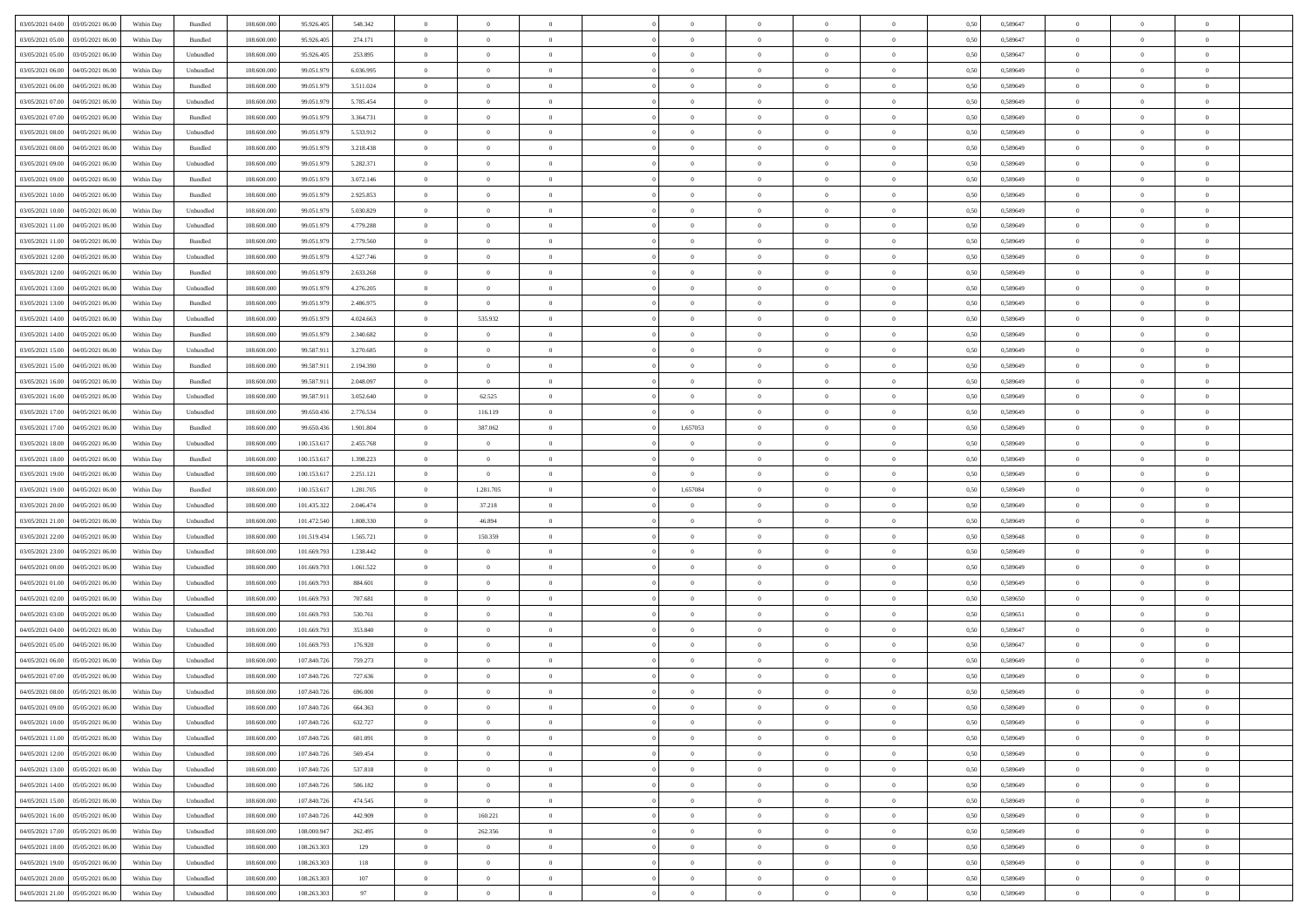| 03/05/2021 04:00 03/05/2021 06:00            | Within Day | Bundled                     | 108.600.000 | 95.926.405  | 548.342   | $\overline{0}$ | $\theta$       |                | $\overline{0}$ | $\theta$       |                | $\theta$       | 0,50 | 0,589647 | $\theta$       | $\theta$       | $\theta$       |  |
|----------------------------------------------|------------|-----------------------------|-------------|-------------|-----------|----------------|----------------|----------------|----------------|----------------|----------------|----------------|------|----------|----------------|----------------|----------------|--|
| 03/05/2021 05:00<br>03/05/2021 06:00         | Within Day | Bundled                     | 108.600.00  | 95.926.40   | 274.171   | $\bf{0}$       | $\bf{0}$       | $\bf{0}$       | $\overline{0}$ | $\overline{0}$ | $\overline{0}$ | $\bf{0}$       | 0,50 | 0,589647 | $\,$ 0 $\,$    | $\bf{0}$       | $\overline{0}$ |  |
| 03/05/2021 05:00<br>03/05/2021 06:00         | Within Day | Unbundled                   | 108,600,000 | 95.926.405  | 253.895   | $\overline{0}$ | $\bf{0}$       | $\overline{0}$ | $\bf{0}$       | $\bf{0}$       | $\overline{0}$ | $\bf{0}$       | 0.50 | 0.589647 | $\bf{0}$       | $\overline{0}$ | $\overline{0}$ |  |
| 03/05/2021 06:00<br>04/05/2021 06:00         |            |                             | 108.600.000 |             |           | $\overline{0}$ | $\overline{0}$ | $\overline{0}$ | $\theta$       | $\theta$       | $\overline{0}$ |                |      |          | $\theta$       | $\theta$       | $\overline{0}$ |  |
|                                              | Within Day | Unbundled                   |             | 99.051.979  | 6.036.995 |                |                |                |                |                |                | $\bf{0}$       | 0,50 | 0,589649 |                |                |                |  |
| 03/05/2021 06:00<br>04/05/2021 06.00         | Within Day | Bundled                     | 108.600.00  | 99.051.97   | 3.511.024 | $\overline{0}$ | $\overline{0}$ | $\bf{0}$       | $\overline{0}$ | $\theta$       | $\overline{0}$ | $\bf{0}$       | 0,50 | 0,589649 | $\,$ 0 $\,$    | $\bf{0}$       | $\overline{0}$ |  |
| 03/05/2021 07:00<br>04/05/2021 06:00         | Within Day | Unbundled                   | 108,600,000 | 99.051.979  | 5.785.454 | $\overline{0}$ | $\overline{0}$ | $\overline{0}$ | $\bf{0}$       | $\overline{0}$ | $\theta$       | $\bf{0}$       | 0.50 | 0.589649 | $\bf{0}$       | $\theta$       | $\overline{0}$ |  |
| 03/05/2021 07:00<br>04/05/2021 06:00         | Within Day | Bundled                     | 108.600.000 | 99.051.979  | 3.364.731 | $\overline{0}$ | $\overline{0}$ | $\overline{0}$ | $\overline{0}$ | $\theta$       | $\overline{0}$ | $\bf{0}$       | 0,50 | 0,589649 | $\theta$       | $\theta$       | $\overline{0}$ |  |
|                                              |            |                             |             |             |           |                |                |                |                |                |                |                |      |          |                |                |                |  |
| 03/05/2021 08:00<br>04/05/2021 06.00         | Within Day | Unbundled                   | 108.600.00  | 99.051.97   | 5.533.912 | $\overline{0}$ | $\overline{0}$ | $\bf{0}$       | $\overline{0}$ | $\overline{0}$ | $\overline{0}$ | $\bf{0}$       | 0,50 | 0,589649 | $\,$ 0 $\,$    | $\bf{0}$       | $\overline{0}$ |  |
| 03/05/2021 08:00<br>04/05/2021 06:00         | Within Day | Bundled                     | 108,600,000 | 99.051.979  | 3.218.438 | $\overline{0}$ | $\bf{0}$       | $\overline{0}$ | $\bf{0}$       | $\overline{0}$ | $\overline{0}$ | $\bf{0}$       | 0.50 | 0.589649 | $\bf{0}$       | $\overline{0}$ | $\overline{0}$ |  |
| 03/05/2021 09:00<br>04/05/2021 06:00         | Within Day | Unbundled                   | 108.600.000 | 99.051.979  | 5.282.371 | $\overline{0}$ | $\bf{0}$       | $\overline{0}$ | $\overline{0}$ | $\overline{0}$ | $\overline{0}$ | $\bf{0}$       | 0,50 | 0,589649 | $\,$ 0 $\,$    | $\theta$       | $\overline{0}$ |  |
| 03/05/2021 09:00<br>04/05/2021 06.00         | Within Day | Bundled                     | 108.600.00  | 99.051.979  | 3.072.146 | $\bf{0}$       | $\overline{0}$ | $\bf{0}$       | $\bf{0}$       | $\bf{0}$       | $\overline{0}$ | $\bf{0}$       | 0,50 | 0,589649 | $\,$ 0 $\,$    | $\bf{0}$       | $\overline{0}$ |  |
|                                              |            |                             |             |             |           |                |                |                |                |                |                |                |      |          |                |                |                |  |
| 03/05/2021 10:00<br>04/05/2021 06:00         | Within Day | Bundled                     | 108,600,000 | 99.051.979  | 2.925.853 | $\overline{0}$ | $\bf{0}$       | $\overline{0}$ | $\bf{0}$       | $\bf{0}$       | $\overline{0}$ | $\bf{0}$       | 0.50 | 0.589649 | $\bf{0}$       | $\overline{0}$ | $\bf{0}$       |  |
| 03/05/2021 10:00<br>04/05/2021 06:00         | Within Day | Unbundled                   | 108.600.000 | 99.051.979  | 5.030.829 | $\overline{0}$ | $\overline{0}$ | $\overline{0}$ | $\theta$       | $\theta$       | $\overline{0}$ | $\overline{0}$ | 0,50 | 0,589649 | $\theta$       | $\theta$       | $\overline{0}$ |  |
| 03/05/2021 11:00<br>04/05/2021 06.00         | Within Day | Unbundled                   | 108.600.00  | 99.051.979  | 4.779.288 | $\bf{0}$       | $\overline{0}$ | $\bf{0}$       | $\overline{0}$ | $\theta$       | $\overline{0}$ | $\bf{0}$       | 0,50 | 0,589649 | $\,$ 0 $\,$    | $\bf{0}$       | $\overline{0}$ |  |
|                                              |            |                             | 108 600 000 |             |           |                |                |                |                |                |                |                |      |          |                |                |                |  |
| 03/05/2021 11:00<br>04/05/2021 06:00         | Within Day | Bundled                     |             | 99.051.979  | 2.779.560 | $\overline{0}$ | $\overline{0}$ | $\overline{0}$ | $\bf{0}$       | $\overline{0}$ | $\Omega$       | $\bf{0}$       | 0.50 | 0.589649 | $\theta$       | $\theta$       | $\overline{0}$ |  |
| 03/05/2021 12:00<br>04/05/2021 06:00         | Within Day | Unbundled                   | 108.600.000 | 99.051.979  | 4.527.746 | $\overline{0}$ | $\overline{0}$ | $\overline{0}$ | $\overline{0}$ | $\overline{0}$ | $\overline{0}$ | $\bf{0}$       | 0,50 | 0,589649 | $\theta$       | $\theta$       | $\overline{0}$ |  |
| 03/05/2021 12:00<br>04/05/2021 06.00         | Within Day | Bundled                     | 108.600.00  | 99.051.979  | 2.633.268 | $\bf{0}$       | $\overline{0}$ | $\bf{0}$       | $\overline{0}$ | $\theta$       | $\overline{0}$ | $\bf{0}$       | 0,50 | 0,589649 | $\,$ 0 $\,$    | $\bf{0}$       | $\overline{0}$ |  |
| 03/05/2021 13:00<br>04/05/2021 06:00         | Within Day | Unbundled                   | 108 600 000 | 99.051.979  | 4.276.205 | $\overline{0}$ | $\bf{0}$       | $\overline{0}$ | $\bf{0}$       | $\overline{0}$ | $\overline{0}$ | $\bf{0}$       | 0.50 | 0.589649 | $\bf{0}$       | $\overline{0}$ | $\overline{0}$ |  |
|                                              |            |                             |             |             |           | $\overline{0}$ |                | $\overline{0}$ | $\overline{0}$ | $\overline{0}$ | $\overline{0}$ |                |      |          | $\,$ 0 $\,$    | $\theta$       | $\overline{0}$ |  |
| 03/05/2021 13:00<br>04/05/2021 06:00         | Within Day | Bundled                     | 108.600.000 | 99.051.979  | 2.486.975 |                | $\bf{0}$       |                |                |                |                | $\bf{0}$       | 0,50 | 0,589649 |                |                |                |  |
| 03/05/2021 14:00<br>04/05/2021 06.00         | Within Day | Unbundled                   | 108.600.00  | 99.051.97   | 4.024.663 | $\bf{0}$       | 535.932        | $\bf{0}$       | $\bf{0}$       | $\overline{0}$ | $\overline{0}$ | $\bf{0}$       | 0,50 | 0,589649 | $\,$ 0 $\,$    | $\bf{0}$       | $\overline{0}$ |  |
| 03/05/2021 14:00<br>04/05/2021 06:00         | Within Day | Bundled                     | 108,600,000 | 99.051.979  | 2.340.682 | $\overline{0}$ | $\bf{0}$       | $\overline{0}$ | $\bf{0}$       | $\bf{0}$       | $\overline{0}$ | $\bf{0}$       | 0.50 | 0.589649 | $\bf{0}$       | $\overline{0}$ | $\bf{0}$       |  |
| 03/05/2021 15:00<br>04/05/2021 06:00         | Within Day | Unbundled                   | 108.600.000 | 99.587.911  | 3.270.685 | $\overline{0}$ | $\overline{0}$ | $\overline{0}$ | $\theta$       | $\theta$       | $\overline{0}$ | $\bf{0}$       | 0,50 | 0,589649 | $\theta$       | $\theta$       | $\overline{0}$ |  |
|                                              |            |                             |             |             |           |                | $\overline{0}$ |                | $\overline{0}$ | $\theta$       | $\overline{0}$ |                |      |          | $\,$ 0 $\,$    | $\bf{0}$       | $\overline{0}$ |  |
| 03/05/2021 15:00<br>04/05/2021 06.00         | Within Day | Bundled                     | 108.600.00  | 99.587.91   | 2.194.390 | $\bf{0}$       |                | $\bf{0}$       |                |                |                | $\bf{0}$       | 0,50 | 0,589649 |                |                |                |  |
| 03/05/2021 16:00<br>04/05/2021 06:00         | Within Day | Bundled                     | 108 600 000 | 99.587.91   | 2.048.097 | $\overline{0}$ | $\overline{0}$ | $\overline{0}$ | $\overline{0}$ | $\overline{0}$ | $\Omega$       | $\bf{0}$       | 0.50 | 0.589649 | $\bf{0}$       | $\theta$       | $\overline{0}$ |  |
| 03/05/2021 16:00<br>04/05/2021 06:00         | Within Day | Unbundled                   | 108.600.000 | 99.587.911  | 3.052.640 | $\overline{0}$ | 62.525         | $\overline{0}$ | $\overline{0}$ | $\overline{0}$ | $\overline{0}$ | $\bf{0}$       | 0,50 | 0,589649 | $\theta$       | $\theta$       | $\overline{0}$ |  |
| 03/05/2021 17:00<br>04/05/2021 06.00         | Within Day | Unbundled                   | 108.600.00  | 99.650.43   | 2.776.534 | $\bf{0}$       | 116.119        | $\bf{0}$       | $\overline{0}$ | $\,$ 0 $\,$    | $\overline{0}$ | $\bf{0}$       | 0,50 | 0,589649 | $\,$ 0 $\,$    | $\bf{0}$       | $\overline{0}$ |  |
| 03/05/2021 17:00<br>04/05/2021 06:00         |            | Bundled                     | 108 600 000 | 99.650.43   | 1.901.804 |                | 387.062        | $\overline{0}$ | 1,657053       | $\overline{0}$ | $\overline{0}$ |                | 0.50 | 0.589649 | $\bf{0}$       | $\overline{0}$ | $\overline{0}$ |  |
|                                              | Within Day |                             |             |             |           | $\overline{0}$ |                |                |                |                |                | $\bf{0}$       |      |          |                |                |                |  |
| 03/05/2021 18:00<br>04/05/2021 06:00         | Within Day | Unbundled                   | 108.600.000 | 100.153.617 | 2.455.768 | $\overline{0}$ | $\overline{0}$ | $\overline{0}$ | $\overline{0}$ | $\overline{0}$ | $\overline{0}$ | $\bf{0}$       | 0,50 | 0,589649 | $\theta$       | $\theta$       | $\overline{0}$ |  |
| 03/05/2021 18:00<br>04/05/2021 06.00         | Within Day | Bundled                     | 108.600.00  | 100.153.61  | 1.398.223 | $\bf{0}$       | $\bf{0}$       | $\bf{0}$       | $\bf{0}$       | $\overline{0}$ | $\overline{0}$ | $\bf{0}$       | 0,50 | 0,589649 | $\,$ 0 $\,$    | $\bf{0}$       | $\overline{0}$ |  |
| 03/05/2021 19:00<br>04/05/2021 06:00         | Within Day | Unbundled                   | 108,600,000 | 100.153.617 | 2.251.121 | $\overline{0}$ | $\overline{0}$ | $\overline{0}$ | $\overline{0}$ | $\overline{0}$ | $\overline{0}$ | $\bf{0}$       | 0.50 | 0.589649 | $\bf{0}$       | $\overline{0}$ | $\bf{0}$       |  |
| 03/05/2021 19:00<br>04/05/2021 06:00         | Within Day | Bundled                     | 108.600.000 | 100.153.617 | 1.281.705 | $\overline{0}$ | 1.281.705      | $\overline{0}$ | 1,657084       | $\overline{0}$ | $\overline{0}$ | $\bf{0}$       | 0.50 | 0.589649 | $\theta$       | $\theta$       | $\overline{0}$ |  |
|                                              |            |                             |             |             |           |                |                |                |                |                |                |                |      |          |                |                |                |  |
| 03/05/2021 20:00<br>04/05/2021 06.00         | Within Day | Unbundled                   | 108.600.00  | 101.435.32  | 2.046.474 | $\bf{0}$       | 37.218         | $\bf{0}$       | $\overline{0}$ | $\overline{0}$ | $\overline{0}$ | $\bf{0}$       | 0,50 | 0,589649 | $\,$ 0 $\,$    | $\bf{0}$       | $\overline{0}$ |  |
| 03/05/2021 21:00<br>04/05/2021 06:00         | Within Day | Unbundled                   | 108,600,000 | 101.472.540 | 1.808.330 | $\overline{0}$ | 46.894         | $\overline{0}$ | $\bf{0}$       | $\overline{0}$ | $\Omega$       | $\bf{0}$       | 0.50 | 0.589649 | $\,$ 0 $\,$    | $\theta$       | $\overline{0}$ |  |
| 03/05/2021 22:00<br>04/05/2021 06:00         | Within Dav | Unbundled                   | 108.600.000 | 101.519.434 | 1.565.721 | $\overline{0}$ | 150.359        | $\overline{0}$ | $\overline{0}$ | $\overline{0}$ | $\overline{0}$ | $\overline{0}$ | 0.5( | 0.589648 | $\theta$       | $\theta$       | $\overline{0}$ |  |
| 03/05/2021 23:00<br>04/05/2021 06.00         | Within Day | Unbundled                   | 108.600.00  | 101.669.79  | 1.238.442 | $\bf{0}$       | $\theta$       | $\bf{0}$       | $\overline{0}$ | $\bf{0}$       | $\overline{0}$ | $\bf{0}$       | 0,50 | 0,589649 | $\,$ 0 $\,$    | $\bf{0}$       | $\overline{0}$ |  |
|                                              |            |                             |             |             |           |                |                |                |                |                |                |                |      |          |                |                |                |  |
| 04/05/2021 00:00<br>04/05/2021 06:00         | Within Day | Unbundled                   | 108,600,00  | 101.669.793 | 1.061.522 | $\overline{0}$ | $\bf{0}$       | $\overline{0}$ | $\bf{0}$       | $\overline{0}$ | $\overline{0}$ | $\bf{0}$       | 0.50 | 0.589649 | $\bf{0}$       | $\overline{0}$ | $\overline{0}$ |  |
| 04/05/2021 01:00<br>04/05/2021 06:00         | Within Dav | Unbundled                   | 108.600.000 | 101.669.79  | 884.601   | $\overline{0}$ | $\overline{0}$ | $\overline{0}$ | $\overline{0}$ | $\overline{0}$ | $\overline{0}$ | $\overline{0}$ | 0.50 | 0.589649 | $\theta$       | $\theta$       | $\overline{0}$ |  |
| 04/05/2021 02:00<br>04/05/2021 06.00         | Within Day | Unbundled                   | 108.600.00  | 101.669.79  | 707.681   | $\bf{0}$       | $\bf{0}$       | $\bf{0}$       | $\bf{0}$       | $\overline{0}$ | $\overline{0}$ | $\bf{0}$       | 0,50 | 0,589650 | $\,$ 0 $\,$    | $\bf{0}$       | $\overline{0}$ |  |
| 04/05/2021 03:00<br>04/05/2021 06:00         | Within Day | Unbundled                   | 108,600,000 | 101.669.793 | 530,761   | $\overline{0}$ | $\bf{0}$       | $\overline{0}$ | $\bf{0}$       | $\bf{0}$       | $\overline{0}$ | $\bf{0}$       | 0.50 | 0.589651 | $\bf{0}$       | $\overline{0}$ | $\overline{0}$ |  |
|                                              |            |                             |             |             |           |                |                |                |                |                |                |                |      |          |                |                |                |  |
| 04/05/2021 04:00<br>04/05/2021 06:00         | Within Dav | Unbundled                   | 108.600.000 | 101.669.793 | 353,840   | $\overline{0}$ | $\overline{0}$ | $\overline{0}$ | $\overline{0}$ | $\overline{0}$ | $\overline{0}$ | $\bf{0}$       | 0.50 | 0.589647 | $\theta$       | $\theta$       | $\overline{0}$ |  |
| 04/05/2021 05:00<br>04/05/2021 06.00         | Within Day | Unbundled                   | 108.600.00  | 101.669.79  | 176.920   | $\bf{0}$       | $\bf{0}$       | $\bf{0}$       | $\bf{0}$       | $\overline{0}$ | $\overline{0}$ | $\bf{0}$       | 0,50 | 0,589647 | $\,$ 0 $\,$    | $\bf{0}$       | $\overline{0}$ |  |
| 04/05/2021 06:00<br>05/05/2021 06:00         | Within Day | Unbundled                   | 108,600,00  | 107.840.72  | 759.273   | $\overline{0}$ | $\overline{0}$ | $\overline{0}$ | $\overline{0}$ | $\overline{0}$ | $\Omega$       | $\bf{0}$       | 0.50 | 0.589649 | $\,$ 0 $\,$    | $\theta$       | $\overline{0}$ |  |
| 04/05/2021 07:00<br>05/05/2021 06:00         | Within Dav | Unbundled                   | 108.600.000 | 107.840.726 | 727.636   | $\overline{0}$ | $\overline{0}$ | $\Omega$       | $\overline{0}$ | $\theta$       | $\Omega$       | $\overline{0}$ | 0.5( | 0.589649 | $\theta$       | $\theta$       | $\overline{0}$ |  |
|                                              |            |                             |             |             |           |                |                |                |                |                | $\overline{0}$ |                |      |          |                |                |                |  |
| 04/05/2021 08:00<br>05/05/2021 06:00         | Within Day | Unbundled                   | 108.600.00  | 107.840.72  | 696.000   | $\bf{0}$       | $\bf{0}$       | $\overline{0}$ | $\bf{0}$       | $\bf{0}$       |                | $\bf{0}$       | 0,50 | 0,589649 | $\,$ 0 $\,$    | $\bf{0}$       | $\overline{0}$ |  |
| $04/05/2021\;09.00 \qquad 05/05/2021\;06.00$ | Within Day | $\ensuremath{\mathsf{Unb}}$ | 108.600.000 | 107.840.726 | 664.363   | $\overline{0}$ | $\Omega$       |                | $\Omega$       |                |                |                | 0,50 | 0.589649 | $\theta$       | $\overline{0}$ |                |  |
| 04/05/2021 10:00 05/05/2021 06:00            | Within Day | Unbundled                   | 108.600.000 | 107.840.726 | 632.727   | $\overline{0}$ | $\overline{0}$ | $\Omega$       | $\theta$       | $\overline{0}$ | $\overline{0}$ | $\bf{0}$       | 0,50 | 0,589649 | $\theta$       | $\theta$       | $\overline{0}$ |  |
| 04/05/2021 11:00<br>05/05/2021 06:00         | Within Day | Unbundled                   | 108.600.00  | 107.840.726 | 601.091   | $\overline{0}$ | $\bf{0}$       | $\overline{0}$ | $\overline{0}$ | $\bf{0}$       | $\overline{0}$ | $\bf{0}$       | 0,50 | 0,589649 | $\bf{0}$       | $\overline{0}$ | $\bf{0}$       |  |
|                                              |            |                             |             |             |           |                |                |                |                |                |                |                |      |          |                |                |                |  |
| 04/05/2021 12:00 05/05/2021 06:00            | Within Day | Unbundled                   | 108,600,000 | 107.840.726 | 569,454   | $\overline{0}$ | $\overline{0}$ | $\overline{0}$ | $\overline{0}$ | $\mathbf{0}$   | $\overline{0}$ | $\,$ 0 $\,$    | 0.50 | 0.589649 | $\overline{0}$ | $\bf{0}$       | $\bf{0}$       |  |
| 04/05/2021 13:00  05/05/2021 06:00           | Within Day | Unbundled                   | 108.600.000 | 107.840.726 | 537.818   | $\overline{0}$ | $\overline{0}$ | $\overline{0}$ | $\overline{0}$ | $\overline{0}$ | $\overline{0}$ | $\bf{0}$       | 0,50 | 0.589649 | $\overline{0}$ | $\theta$       | $\overline{0}$ |  |
| 04/05/2021 14:00<br>05/05/2021 06:00         | Within Day | Unbundled                   | 108.600.000 | 107.840.726 | 506.182   | $\overline{0}$ | $\bf{0}$       | $\overline{0}$ | $\overline{0}$ | $\bf{0}$       | $\overline{0}$ | $\bf{0}$       | 0,50 | 0,589649 | $\bf{0}$       | $\overline{0}$ | $\overline{0}$ |  |
| 04/05/2021 15:00  05/05/2021 06:00           | Within Day | Unbundled                   | 108,600,000 | 107.840.726 | 474.545   | $\overline{0}$ | $\overline{0}$ | $\overline{0}$ | $\overline{0}$ | $\bf{0}$       | $\overline{0}$ | $\bf{0}$       | 0.50 | 0.589649 | $\,$ 0 $\,$    | $\overline{0}$ | $\overline{0}$ |  |
|                                              |            |                             |             |             |           |                |                |                |                |                |                |                |      |          |                |                |                |  |
| 04/05/2021 16:00<br>05/05/2021 06:00         | Within Dav | Unbundled                   | 108.600.000 | 107.840.726 | 442,909   | $\overline{0}$ | 160.221        | $\overline{0}$ | $\overline{0}$ | $\overline{0}$ | $\overline{0}$ | $\bf{0}$       | 0,50 | 0.589649 | $\overline{0}$ | $\theta$       | $\overline{0}$ |  |
| 04/05/2021 17:00<br>05/05/2021 06:00         | Within Day | Unbundled                   | 108.600.00  | 108.000.947 | 262.495   | $\overline{0}$ | 262.356        | $\overline{0}$ | $\overline{0}$ | $\overline{0}$ | $\overline{0}$ | $\bf{0}$       | 0,50 | 0,589649 | $\bf{0}$       | $\overline{0}$ | $\,$ 0         |  |
| 04/05/2021 18:00  05/05/2021 06:00           | Within Day | Unbundled                   | 108,600,000 | 108.263.303 | 129       | $\overline{0}$ | $\overline{0}$ | $\overline{0}$ | $\overline{0}$ | $\overline{0}$ | $\overline{0}$ | $\bf{0}$       | 0.50 | 0.589649 | $\mathbf{0}$   | $\bf{0}$       | $\,$ 0         |  |
| 04/05/2021 19:00  05/05/2021 06:00           | Within Dav | Unbundled                   | 108.600.000 | 108.263.303 | 118       | $\overline{0}$ | $\overline{0}$ | $\overline{0}$ | $\overline{0}$ | $\overline{0}$ | $\overline{0}$ | $\bf{0}$       | 0,50 | 0.589649 | $\overline{0}$ | $\theta$       | $\overline{0}$ |  |
|                                              |            |                             |             |             |           |                |                |                |                |                |                |                |      |          |                |                |                |  |
| 04/05/2021 20:00<br>05/05/2021 06:00         | Within Day | Unbundled                   | 108.600.00  | 108.263.303 | 107       | $\overline{0}$ | $\bf{0}$       | $\overline{0}$ | $\overline{0}$ | $\overline{0}$ | $\overline{0}$ | $\bf{0}$       | 0,50 | 0,589649 | $\bf{0}$       | $\overline{0}$ | $\bf{0}$       |  |
| 04/05/2021 21:00 05/05/2021 06:00            | Within Day | Unbundled                   | 108.600.000 | 108.263.303 | 97        | $\overline{0}$ | $\bf{0}$       | $\overline{0}$ | $\overline{0}$ | $\,$ 0 $\,$    | $\overline{0}$ | $\,$ 0 $\,$    | 0,50 | 0,589649 | $\overline{0}$ | $\,$ 0 $\,$    | $\,$ 0 $\,$    |  |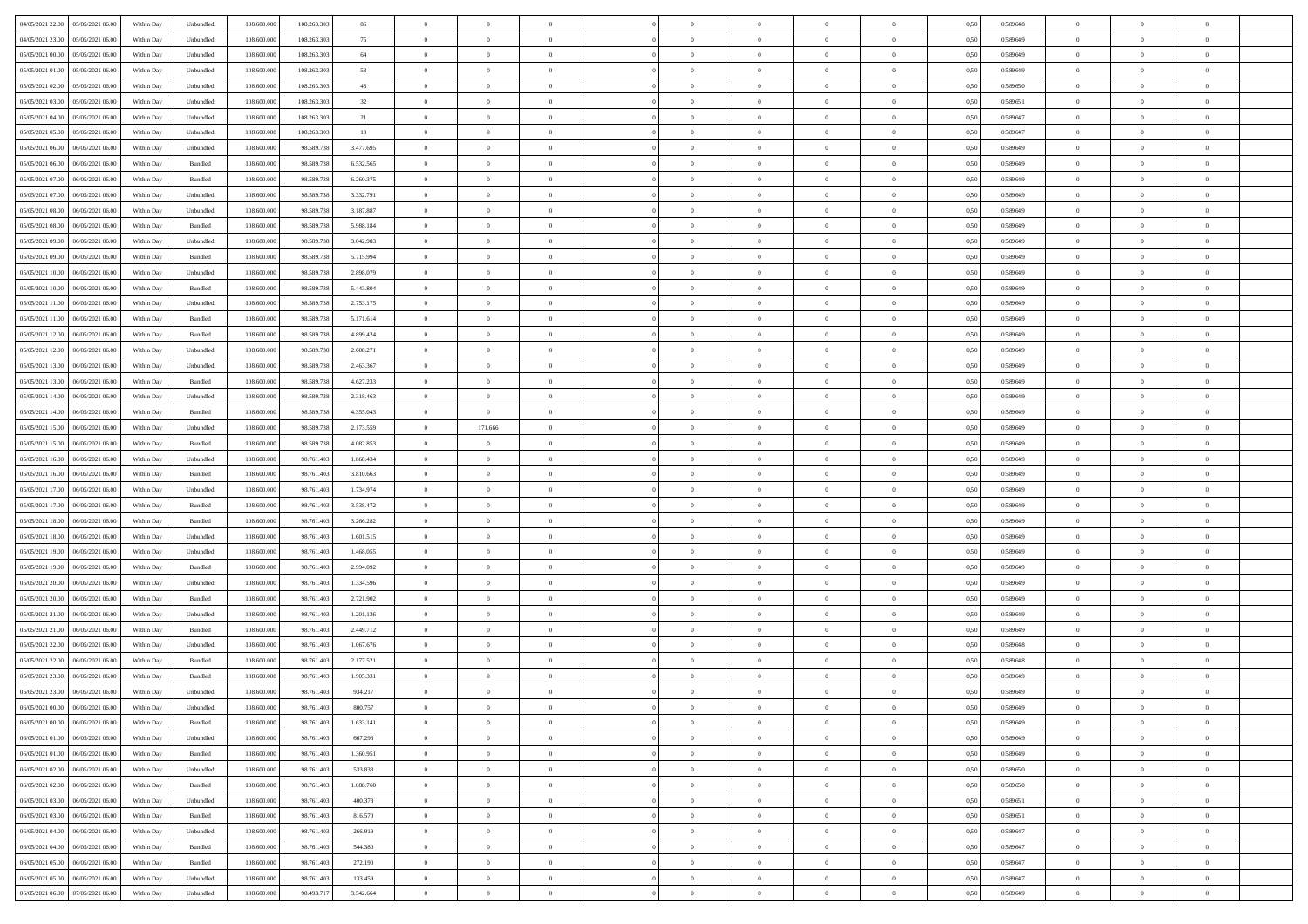|                                              |            |                             |             |             | 86        | $\overline{0}$ | $\theta$       |                | $\overline{0}$ | $\theta$       |                | $\theta$       |      |          | $\theta$       | $\theta$       | $\theta$       |  |
|----------------------------------------------|------------|-----------------------------|-------------|-------------|-----------|----------------|----------------|----------------|----------------|----------------|----------------|----------------|------|----------|----------------|----------------|----------------|--|
| 04/05/2021 22:00 05/05/2021 06:00            | Within Day | Unbundled                   | 108.600.000 | 108.263.303 |           |                |                |                |                |                |                |                | 0,50 | 0,589648 |                |                |                |  |
| 04/05/2021 23:00<br>05/05/2021 06:00         | Within Day | Unbundled                   | 108.600.00  | 108.263.30  | 75        | $\bf{0}$       | $\bf{0}$       | $\bf{0}$       | $\overline{0}$ | $\overline{0}$ | $\overline{0}$ | $\bf{0}$       | 0,50 | 0,589649 | $\,$ 0 $\,$    | $\bf{0}$       | $\overline{0}$ |  |
| 05/05/2021 00:00<br>05/05/2021 06:00         | Within Day | Unbundled                   | 108,600,000 | 108,263,303 | 64        | $\overline{0}$ | $\bf{0}$       | $\overline{0}$ | $\bf{0}$       | $\bf{0}$       | $\overline{0}$ | $\bf{0}$       | 0.50 | 0.589649 | $\bf{0}$       | $\overline{0}$ | $\overline{0}$ |  |
| 05/05/2021 01:00<br>05/05/2021 06:00         | Within Day | Unbundled                   | 108.600.000 | 108.263.303 | 53        | $\overline{0}$ | $\bf{0}$       | $\overline{0}$ | $\theta$       | $\theta$       | $\overline{0}$ | $\bf{0}$       | 0,50 | 0,589649 | $\theta$       | $\theta$       | $\overline{0}$ |  |
| 05/05/2021 02:00<br>05/05/2021 06.00         | Within Day | Unbundled                   | 108.600.00  | 108.263.30  | 43        | $\overline{0}$ | $\overline{0}$ | $\bf{0}$       | $\overline{0}$ | $\theta$       | $\overline{0}$ | $\bf{0}$       | 0,50 | 0,589650 | $\,$ 0 $\,$    | $\bf{0}$       | $\overline{0}$ |  |
|                                              |            |                             |             |             |           |                |                |                |                |                |                |                |      |          |                |                |                |  |
| 05/05/2021 03:00<br>05/05/2021 06:00         | Within Day | Unbundled                   | 108,600,00  | 108,263,303 | $32\,$    | $\overline{0}$ | $\overline{0}$ | $\overline{0}$ | $\bf{0}$       | $\overline{0}$ | $\theta$       | $\bf{0}$       | 0.50 | 0.589651 | $\,$ 0 $\,$    | $\theta$       | $\overline{0}$ |  |
| 05/05/2021 04:00<br>05/05/2021 06:00         | Within Day | Unbundled                   | 108.600.000 | 108.263.303 | 21        | $\overline{0}$ | $\overline{0}$ | $\overline{0}$ | $\overline{0}$ | $\overline{0}$ | $\overline{0}$ | $\bf{0}$       | 0,50 | 0,589647 | $\theta$       | $\theta$       | $\overline{0}$ |  |
| 05/05/2021 05:00<br>05/05/2021 06.00         | Within Day | Unbundled                   | 108.600.00  | 108.263.30  | 10        | $\bf{0}$       | $\bf{0}$       | $\bf{0}$       | $\overline{0}$ | $\overline{0}$ | $\overline{0}$ | $\bf{0}$       | 0,50 | 0,589647 | $\,$ 0 $\,$    | $\bf{0}$       | $\overline{0}$ |  |
| 05/05/2021 06:00<br>06/05/2021 06:00         | Within Day | Unbundled                   | 108,600,000 | 98.589.73   | 3.477.695 | $\overline{0}$ | $\bf{0}$       | $\overline{0}$ | $\bf{0}$       | $\overline{0}$ | $\overline{0}$ | $\bf{0}$       | 0.50 | 0.589649 | $\bf{0}$       | $\overline{0}$ | $\overline{0}$ |  |
| 05/05/2021 06:00<br>06/05/2021 06:00         | Within Day | Bundled                     | 108.600.000 | 98.589.738  | 6.532.565 | $\overline{0}$ | $\bf{0}$       | $\overline{0}$ | $\overline{0}$ | $\overline{0}$ | $\overline{0}$ | $\bf{0}$       | 0,50 | 0,589649 | $\,$ 0 $\,$    | $\bf{0}$       | $\overline{0}$ |  |
| 05/05/2021 07:00<br>06/05/2021 06.00         | Within Day | Bundled                     | 108.600.00  | 98.589.73   | 6.260.375 | $\bf{0}$       | $\overline{0}$ | $\bf{0}$       | $\bf{0}$       | $\bf{0}$       | $\overline{0}$ | $\bf{0}$       | 0,50 | 0,589649 | $\,$ 0 $\,$    | $\bf{0}$       | $\overline{0}$ |  |
| 05/05/2021 07:00<br>06/05/2021 06:00         | Within Day | Unbundled                   | 108,600,000 | 98.589.738  | 3.332.791 | $\overline{0}$ | $\bf{0}$       | $\overline{0}$ | $\overline{0}$ | $\bf{0}$       | $\overline{0}$ | $\bf{0}$       | 0.50 | 0.589649 | $\bf{0}$       | $\overline{0}$ | $\bf{0}$       |  |
|                                              |            |                             |             |             |           | $\overline{0}$ | $\overline{0}$ | $\overline{0}$ | $\theta$       | $\theta$       | $\overline{0}$ |                |      |          | $\theta$       | $\theta$       | $\overline{0}$ |  |
| 05/05/2021 08:00<br>06/05/2021 06:00         | Within Day | Unbundled                   | 108.600.000 | 98.589.738  | 3.187.887 |                |                |                |                |                |                | $\bf{0}$       | 0,50 | 0,589649 |                |                |                |  |
| 05/05/2021 08:00<br>06/05/2021 06.00         | Within Day | Bundled                     | 108.600.00  | 98.589.73   | 5.988.184 | $\bf{0}$       | $\overline{0}$ | $\bf{0}$       | $\overline{0}$ | $\theta$       | $\overline{0}$ | $\bf{0}$       | 0,50 | 0,589649 | $\,$ 0 $\,$    | $\bf{0}$       | $\overline{0}$ |  |
| 05/05/2021 09:00<br>06/05/2021 06:00         | Within Day | Unbundled                   | 108 600 000 | 98.589.738  | 3.042.983 | $\overline{0}$ | $\overline{0}$ | $\overline{0}$ | $\bf{0}$       | $\overline{0}$ | $\Omega$       | $\bf{0}$       | 0.50 | 0.589649 | $\theta$       | $\theta$       | $\overline{0}$ |  |
| 05/05/2021 09:00<br>06/05/2021 06:00         | Within Day | Bundled                     | 108.600.000 | 98.589.738  | 5.715.994 | $\overline{0}$ | $\overline{0}$ | $\overline{0}$ | $\overline{0}$ | $\overline{0}$ | $\overline{0}$ | $\bf{0}$       | 0,50 | 0,589649 | $\theta$       | $\theta$       | $\overline{0}$ |  |
| 05/05/2021 10:00<br>06/05/2021 06.00         | Within Day | Unbundled                   | 108.600.00  | 98.589.73   | 2.898.079 | $\bf{0}$       | $\overline{0}$ | $\bf{0}$       | $\overline{0}$ | $\bf{0}$       | $\overline{0}$ | $\bf{0}$       | 0,50 | 0,589649 | $\,$ 0 $\,$    | $\bf{0}$       | $\overline{0}$ |  |
| 05/05/2021 10:00<br>06/05/2021 06:00         | Within Day | Bundled                     | 108,600,000 | 98.589.73   | 5.443.804 | $\overline{0}$ | $\bf{0}$       | $\overline{0}$ | $\bf{0}$       | $\overline{0}$ | $\overline{0}$ | $\bf{0}$       | 0.50 | 0.589649 | $\bf{0}$       | $\overline{0}$ | $\overline{0}$ |  |
| 05/05/2021 11:00<br>06/05/2021 06:00         | Within Day | Unbundled                   | 108.600.000 | 98.589.738  | 2.753.175 | $\overline{0}$ | $\bf{0}$       | $\overline{0}$ | $\overline{0}$ | $\overline{0}$ | $\overline{0}$ | $\bf{0}$       | 0,50 | 0,589649 | $\,$ 0 $\,$    | $\bf{0}$       | $\overline{0}$ |  |
| 06/05/2021 06.00                             | Within Day | Bundled                     | 108.600.00  | 98.589.73   | 5.171.614 | $\bf{0}$       | $\bf{0}$       | $\bf{0}$       | $\bf{0}$       | $\overline{0}$ | $\overline{0}$ | $\bf{0}$       | 0,50 | 0,589649 | $\,$ 0 $\,$    | $\bf{0}$       | $\overline{0}$ |  |
| 05/05/2021 11:00                             |            |                             |             |             |           |                |                |                |                |                |                |                |      |          |                |                |                |  |
| 05/05/2021 12:00<br>06/05/2021 06:00         | Within Day | Bundled                     | 108,600,000 | 98.589.738  | 4.899.424 | $\overline{0}$ | $\bf{0}$       | $\overline{0}$ | $\bf{0}$       | $\bf{0}$       | $\overline{0}$ | $\bf{0}$       | 0.50 | 0.589649 | $\bf{0}$       | $\overline{0}$ | $\,$ 0         |  |
| 05/05/2021 12:00<br>06/05/2021 06:00         | Within Day | Unbundled                   | 108.600.000 | 98.589.738  | 2.608.271 | $\overline{0}$ | $\overline{0}$ | $\overline{0}$ | $\theta$       | $\theta$       | $\overline{0}$ | $\bf{0}$       | 0,50 | 0,589649 | $\theta$       | $\theta$       | $\overline{0}$ |  |
| 05/05/2021 13:00<br>06/05/2021 06.00         | Within Day | Unbundled                   | 108.600.00  | 98.589.73   | 2.463.367 | $\bf{0}$       | $\overline{0}$ | $\bf{0}$       | $\overline{0}$ | $\overline{0}$ | $\overline{0}$ | $\bf{0}$       | 0,50 | 0,589649 | $\,$ 0 $\,$    | $\bf{0}$       | $\overline{0}$ |  |
| 05/05/2021 13:00<br>06/05/2021 06:00         | Within Day | Bundled                     | 108,600,000 | 98.589.73   | 4.627.233 | $\overline{0}$ | $\overline{0}$ | $\overline{0}$ | $\overline{0}$ | $\overline{0}$ | $\theta$       | $\bf{0}$       | 0.50 | 0.589649 | $\bf{0}$       | $\theta$       | $\overline{0}$ |  |
| 05/05/2021 14:00<br>06/05/2021 06:00         | Within Day | Unbundled                   | 108.600.000 | 98.589.738  | 2.318.463 | $\overline{0}$ | $\overline{0}$ | $\overline{0}$ | $\overline{0}$ | $\overline{0}$ | $\overline{0}$ | $\bf{0}$       | 0,50 | 0,589649 | $\theta$       | $\theta$       | $\overline{0}$ |  |
| 05/05/2021 14:00<br>06/05/2021 06.00         | Within Day | Bundled                     | 108.600.00  | 98.589.73   | 4.355.043 | $\bf{0}$       | $\overline{0}$ | $\bf{0}$       | $\overline{0}$ | $\theta$       | $\overline{0}$ | $\bf{0}$       | 0,50 | 0,589649 | $\,$ 0 $\,$    | $\bf{0}$       | $\overline{0}$ |  |
| 05/05/2021 15:00<br>06/05/2021 06:00         | Within Day | Unbundled                   | 108 600 000 | 98.589.73   | 2.173.559 | $\overline{0}$ | 171.666        | $\overline{0}$ | $\bf{0}$       | $\overline{0}$ | $\overline{0}$ | $\bf{0}$       | 0.50 | 0.589649 | $\bf{0}$       | $\overline{0}$ | $\overline{0}$ |  |
| 05/05/2021 15:00<br>06/05/2021 06:00         | Within Day | Bundled                     | 108.600.000 | 98.589.738  | 4.082.853 | $\overline{0}$ | $\overline{0}$ | $\overline{0}$ | $\overline{0}$ | $\overline{0}$ | $\overline{0}$ | $\bf{0}$       | 0,50 | 0,589649 | $\theta$       | $\theta$       | $\overline{0}$ |  |
|                                              |            |                             |             |             |           |                |                |                |                |                |                |                |      |          |                |                |                |  |
| 05/05/2021 16:00<br>06/05/2021 06.00         | Within Day | Unbundled                   | 108.600.00  | 98.761.40   | 1.868.434 | $\bf{0}$       | $\bf{0}$       | $\bf{0}$       | $\bf{0}$       | $\overline{0}$ | $\overline{0}$ | $\bf{0}$       | 0,50 | 0,589649 | $\,$ 0 $\,$    | $\bf{0}$       | $\overline{0}$ |  |
| 05/05/2021 16:00<br>06/05/2021 06:00         | Within Day | Bundled                     | 108,600,000 | 98.761.403  | 3.810.663 | $\overline{0}$ | $\bf{0}$       | $\overline{0}$ | $\bf{0}$       | $\bf{0}$       | $\overline{0}$ | $\bf{0}$       | 0.50 | 0.589649 | $\bf{0}$       | $\overline{0}$ | $\bf{0}$       |  |
| 05/05/2021 17:00<br>06/05/2021 06:00         | Within Day | Unbundled                   | 108.600.000 | 98.761.403  | 1.734.974 | $\overline{0}$ | $\overline{0}$ | $\overline{0}$ | $\overline{0}$ | $\overline{0}$ | $\overline{0}$ | $\bf{0}$       | 0.50 | 0.589649 | $\theta$       | $\theta$       | $\overline{0}$ |  |
| 05/05/2021 17:00<br>06/05/2021 06.00         | Within Day | Bundled                     | 108.600.00  | 98.761.40   | 3.538.472 | $\bf{0}$       | $\overline{0}$ | $\bf{0}$       | $\bf{0}$       | $\overline{0}$ | $\overline{0}$ | $\bf{0}$       | 0,50 | 0,589649 | $\,$ 0 $\,$    | $\bf{0}$       | $\overline{0}$ |  |
| 05/05/2021 18:00<br>06/05/2021 06:00         | Within Day | Bundled                     | 108,600,000 | 98.761.403  | 3.266.282 | $\overline{0}$ | $\bf{0}$       | $\overline{0}$ | $\bf{0}$       | $\overline{0}$ | $\Omega$       | $\bf{0}$       | 0.50 | 0.589649 | $\,$ 0 $\,$    | $\theta$       | $\overline{0}$ |  |
| 05/05/2021 18:00<br>06/05/2021 06:00         | Within Dav | Unbundled                   | 108.600.000 | 98.761.403  | 1.601.515 | $\overline{0}$ | $\overline{0}$ | $\overline{0}$ | $\overline{0}$ | $\overline{0}$ | $\overline{0}$ | $\overline{0}$ | 0.50 | 0.589649 | $\theta$       | $\theta$       | $\overline{0}$ |  |
| 05/05/2021 19:00<br>06/05/2021 06.00         | Within Day | Unbundled                   | 108.600.00  | 98.761.40   | 1.468.055 | $\bf{0}$       | $\bf{0}$       | $\bf{0}$       | $\overline{0}$ | $\bf{0}$       | $\overline{0}$ | $\bf{0}$       | 0,50 | 0,589649 | $\,$ 0 $\,$    | $\bf{0}$       | $\overline{0}$ |  |
| 05/05/2021 19:00<br>06/05/2021 06:00         | Within Day | Bundled                     | 108,600,000 | 98.761.403  | 2.994.092 | $\overline{0}$ | $\bf{0}$       | $\overline{0}$ | $\bf{0}$       | $\overline{0}$ | $\overline{0}$ | $\bf{0}$       | 0.50 | 0.589649 | $\bf{0}$       | $\overline{0}$ | $\overline{0}$ |  |
|                                              |            |                             |             |             |           |                |                |                |                |                |                |                |      |          |                |                |                |  |
| 05/05/2021 20:00<br>06/05/2021 06:00         | Within Dav | Unbundled                   | 108.600.000 | 98.761.403  | 1.334.596 | $\overline{0}$ | $\overline{0}$ | $\overline{0}$ | $\overline{0}$ | $\overline{0}$ | $\overline{0}$ | $\overline{0}$ | 0.50 | 0.589649 | $\theta$       | $\theta$       | $\overline{0}$ |  |
| 05/05/2021 20:00<br>06/05/2021 06.00         | Within Day | Bundled                     | 108.600.00  | 98.761.40   | 2.721.902 | $\bf{0}$       | $\bf{0}$       | $\bf{0}$       | $\bf{0}$       | $\overline{0}$ | $\overline{0}$ | $\bf{0}$       | 0,50 | 0,589649 | $\,$ 0 $\,$    | $\bf{0}$       | $\overline{0}$ |  |
| 05/05/2021 21:00<br>06/05/2021 06:00         | Within Day | Unbundled                   | 108,600,000 | 98.761.403  | 1.201.136 | $\overline{0}$ | $\bf{0}$       | $\overline{0}$ | $\bf{0}$       | $\bf{0}$       | $\overline{0}$ | $\bf{0}$       | 0.50 | 0.589649 | $\bf{0}$       | $\overline{0}$ | $\overline{0}$ |  |
| 05/05/2021 21:00<br>06/05/2021 06:00         | Within Dav | Bundled                     | 108.600.000 | 98.761.403  | 2.449.712 | $\overline{0}$ | $\overline{0}$ | $\overline{0}$ | $\overline{0}$ | $\overline{0}$ | $\overline{0}$ | $\bf{0}$       | 0.50 | 0.589649 | $\theta$       | $\theta$       | $\overline{0}$ |  |
| 05/05/2021 22:00<br>06/05/2021 06.00         | Within Day | Unbundled                   | 108.600.00  | 98.761.40   | 1.067.676 | $\bf{0}$       | $\bf{0}$       | $\bf{0}$       | $\bf{0}$       | $\overline{0}$ | $\overline{0}$ | $\bf{0}$       | 0,50 | 0,589648 | $\,$ 0 $\,$    | $\bf{0}$       | $\overline{0}$ |  |
| 05/05/2021 22:00<br>06/05/2021 06:00         | Within Day | Bundled                     | 108,600,000 | 98.761.403  | 2.177.521 | $\overline{0}$ | $\overline{0}$ | $\overline{0}$ | $\overline{0}$ | $\bf{0}$       | $\Omega$       | $\bf{0}$       | 0.50 | 0.589648 | $\,$ 0 $\,$    | $\theta$       | $\overline{0}$ |  |
| 05/05/2021 23:00<br>06/05/2021 06:00         | Within Dav | Bundled                     | 108.600.000 | 98.761.403  | 1.905.331 | $\overline{0}$ | $\overline{0}$ | $\Omega$       | $\overline{0}$ | $\theta$       | $\overline{0}$ | $\overline{0}$ | 0.5( | 0.589649 | $\theta$       | $\theta$       | $\overline{0}$ |  |
| 05/05/2021 23:00<br>06/05/2021 06:00         | Within Day | Unbundled                   | 108.600.00  | 98.761.403  | 934.217   | $\bf{0}$       | $\bf{0}$       | $\overline{0}$ | $\bf{0}$       | $\bf{0}$       | $\overline{0}$ | $\bf{0}$       | 0,50 | 0,589649 | $\overline{0}$ | $\bf{0}$       | $\overline{0}$ |  |
| $06/05/2021\ 00.00 \qquad 06/05/2021\ 06.00$ | Within Day | $\ensuremath{\mathsf{Unb}}$ | 108.600.000 | 98.761.403  | 800,757   | $\overline{0}$ | $\Omega$       |                | $\Omega$       |                |                |                | 0,50 | 0.589649 | $\theta$       | $\overline{0}$ |                |  |
|                                              |            |                             |             |             |           |                |                |                |                |                |                |                |      |          |                |                |                |  |
| 06/05/2021 00:00 06/05/2021 06:00            | Within Day | Bundled                     | 108.600.000 | 98.761.403  | 1.633.141 | $\overline{0}$ | $\overline{0}$ | $\overline{0}$ | $\theta$       | $\overline{0}$ | $\overline{0}$ | $\bf{0}$       | 0,50 | 0,589649 | $\theta$       | $\theta$       | $\overline{0}$ |  |
| 06/05/2021 01:00<br>06/05/2021 06:00         | Within Day | Unbundled                   | 108.600.00  | 98.761.403  | 667.298   | $\overline{0}$ | $\bf{0}$       | $\overline{0}$ | $\overline{0}$ | $\bf{0}$       | $\overline{0}$ | $\bf{0}$       | 0,50 | 0,589649 | $\bf{0}$       | $\overline{0}$ | $\bf{0}$       |  |
| 06/05/2021 01:00   06/05/2021 06:00          | Within Day | Bundled                     | 108,600,000 | 98.761.403  | 1.360.951 | $\overline{0}$ | $\overline{0}$ | $\overline{0}$ | $\overline{0}$ | $\mathbf{0}$   | $\overline{0}$ | $\,$ 0 $\,$    | 0.50 | 0.589649 | $\overline{0}$ | $\bf{0}$       | $\bf{0}$       |  |
| 06/05/2021 02:00   06/05/2021 06:00          | Within Dav | Unbundled                   | 108.600.000 | 98.761.403  | 533.838   | $\overline{0}$ | $\overline{0}$ | $\overline{0}$ | $\overline{0}$ | $\overline{0}$ | $\overline{0}$ | $\bf{0}$       | 0,50 | 0,589650 | $\overline{0}$ | $\theta$       | $\overline{0}$ |  |
| 06/05/2021 02:00<br>06/05/2021 06:00         | Within Day | Bundled                     | 108.600.000 | 98.761.403  | 1.088.760 | $\overline{0}$ | $\bf{0}$       | $\overline{0}$ | $\overline{0}$ | $\bf{0}$       | $\overline{0}$ | $\bf{0}$       | 0,50 | 0,589650 | $\bf{0}$       | $\overline{0}$ | $\overline{0}$ |  |
| 06/05/2021 03:00<br>06/05/2021 06:00         | Within Day | Unbundled                   | 108,600,000 | 98.761.403  | 400,378   | $\overline{0}$ | $\bf{0}$       | $\overline{0}$ | $\overline{0}$ | $\bf{0}$       | $\overline{0}$ | $\bf{0}$       | 0.50 | 0.589651 | $\,$ 0 $\,$    | $\overline{0}$ | $\,$ 0         |  |
| 06/05/2021 03:00<br>06/05/2021 06:00         | Within Dav | Bundled                     | 108.600.000 | 98.761.403  | 816,570   | $\overline{0}$ | $\overline{0}$ | $\overline{0}$ | $\overline{0}$ | $\overline{0}$ | $\overline{0}$ | $\bf{0}$       | 0.50 | 0,589651 | $\overline{0}$ | $\theta$       | $\overline{0}$ |  |
|                                              |            |                             |             |             |           |                |                |                |                |                |                |                |      |          |                |                |                |  |
| 06/05/2021 04:00<br>06/05/2021 06:00         | Within Day | Unbundled                   | 108.600.00  | 98.761.403  | 266.919   | $\overline{0}$ | $\overline{0}$ | $\overline{0}$ | $\overline{0}$ | $\overline{0}$ | $\overline{0}$ | $\bf{0}$       | 0,50 | 0,589647 | $\bf{0}$       | $\overline{0}$ | $\,$ 0         |  |
| 06/05/2021 04:00<br>06/05/2021 06:00         | Within Day | Bundled                     | 108,600,000 | 98,761,403  | 544.380   | $\overline{0}$ | $\overline{0}$ | $\overline{0}$ | $\overline{0}$ | $\overline{0}$ | $\overline{0}$ | $\bf{0}$       | 0.50 | 0.589647 | $\mathbf{0}$   | $\bf{0}$       | $\,$ 0         |  |
| 06/05/2021 05:00   06/05/2021 06:00          | Within Dav | Bundled                     | 108.600.000 | 98.761.403  | 272.190   | $\overline{0}$ | $\overline{0}$ | $\overline{0}$ | $\overline{0}$ | $\overline{0}$ | $\overline{0}$ | $\bf{0}$       | 0,50 | 0,589647 | $\overline{0}$ | $\theta$       | $\overline{0}$ |  |
| 06/05/2021 05:00<br>06/05/2021 06:00         | Within Day | Unbundled                   | 108.600.00  | 98.761.403  | 133.459   | $\overline{0}$ | $\bf{0}$       | $\overline{0}$ | $\overline{0}$ | $\overline{0}$ | $\overline{0}$ | $\bf{0}$       | 0,50 | 0,589647 | $\bf{0}$       | $\overline{0}$ | $\bf{0}$       |  |
| 06/05/2021 06:00 07/05/2021 06:00            | Within Day | Unbundled                   | 108.600.000 | 98.493.717  | 3.542.664 | $\,$ 0 $\,$    | $\bf{0}$       | $\overline{0}$ | $\overline{0}$ | $\,$ 0 $\,$    | $\overline{0}$ | $\,$ 0 $\,$    | 0,50 | 0,589649 | $\overline{0}$ | $\,$ 0 $\,$    | $\,$ 0 $\,$    |  |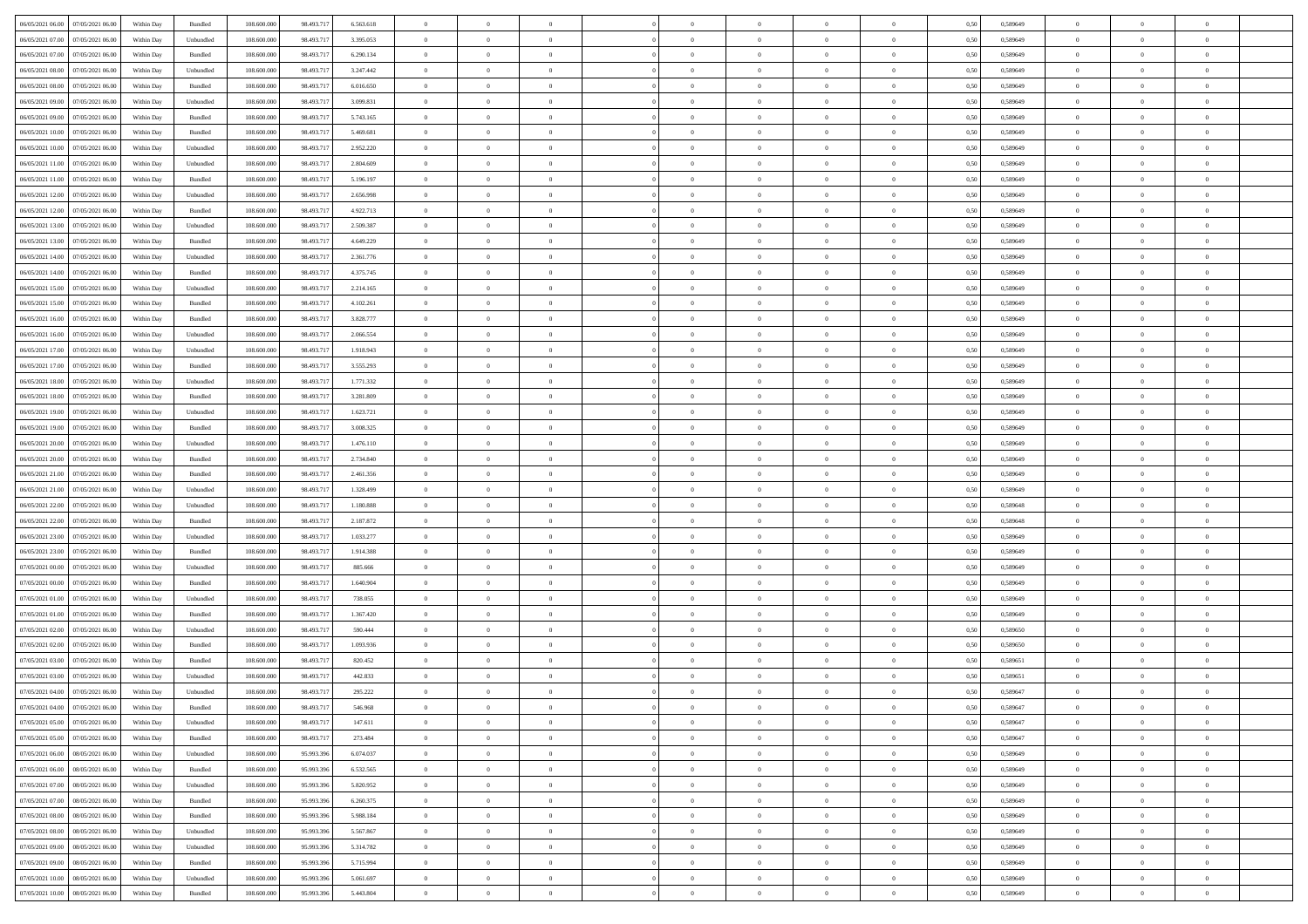| 06/05/2021 06:00 07/05/2021 06:00            | Within Day | Bundled   | 108.600.000 | 98.493.717 | 6.563.618 | $\overline{0}$ | $\theta$       |                | $\overline{0}$ | $\theta$       |                | $\theta$       | 0,50 | 0,589649 | $\theta$       | $\theta$       | $\theta$       |  |
|----------------------------------------------|------------|-----------|-------------|------------|-----------|----------------|----------------|----------------|----------------|----------------|----------------|----------------|------|----------|----------------|----------------|----------------|--|
| 06/05/2021 07:00<br>07/05/2021 06.00         | Within Day | Unbundled | 108.600.00  | 98.493.71  | 3.395.053 | $\bf{0}$       | $\overline{0}$ | $\bf{0}$       | $\overline{0}$ | $\overline{0}$ | $\overline{0}$ | $\bf{0}$       | 0,50 | 0,589649 | $\,$ 0 $\,$    | $\bf{0}$       | $\overline{0}$ |  |
| 06/05/2021 07:00<br>07/05/2021 06:00         | Within Day | Bundled   | 108,600,000 | 98.493.717 | 6.290.134 | $\overline{0}$ | $\bf{0}$       | $\overline{0}$ | $\bf{0}$       | $\bf{0}$       | $\overline{0}$ | $\bf{0}$       | 0.50 | 0.589649 | $\bf{0}$       | $\overline{0}$ | $\overline{0}$ |  |
| 06/05/2021 08:00<br>07/05/2021 06:00         | Within Day | Unbundled | 108.600.000 | 98.493.717 | 3.247.442 | $\overline{0}$ | $\overline{0}$ | $\overline{0}$ | $\theta$       | $\theta$       | $\overline{0}$ | $\bf{0}$       | 0,50 | 0,589649 | $\theta$       | $\theta$       | $\overline{0}$ |  |
|                                              |            |           |             |            |           |                |                |                |                |                |                |                |      |          |                |                |                |  |
| 06/05/2021 08:00<br>07/05/2021 06.00         | Within Day | Bundled   | 108.600.00  | 98.493.71  | 6.016.650 | $\overline{0}$ | $\overline{0}$ | $\bf{0}$       | $\overline{0}$ | $\theta$       | $\overline{0}$ | $\bf{0}$       | 0,50 | 0,589649 | $\,$ 0 $\,$    | $\bf{0}$       | $\overline{0}$ |  |
| 06/05/2021 09:00<br>07/05/2021 06:00         | Within Day | Unbundled | 108,600,000 | 98.493.717 | 3.099.831 | $\overline{0}$ | $\overline{0}$ | $\overline{0}$ | $\bf{0}$       | $\overline{0}$ | $\Omega$       | $\bf{0}$       | 0.50 | 0.589649 | $\bf{0}$       | $\theta$       | $\overline{0}$ |  |
| 06/05/2021 09:00<br>07/05/2021 06:00         | Within Day | Bundled   | 108.600.000 | 98.493.717 | 5.743.165 | $\overline{0}$ | $\overline{0}$ | $\overline{0}$ | $\overline{0}$ | $\overline{0}$ | $\overline{0}$ | $\bf{0}$       | 0,50 | 0,589649 | $\theta$       | $\theta$       | $\overline{0}$ |  |
| 06/05/2021 10:00<br>07/05/2021 06.00         | Within Day | Bundled   | 108.600.00  | 98.493.71  | 5.469.681 | $\overline{0}$ | $\overline{0}$ | $\bf{0}$       | $\overline{0}$ | $\overline{0}$ | $\overline{0}$ | $\bf{0}$       | 0,50 | 0,589649 | $\,$ 0 $\,$    | $\bf{0}$       | $\overline{0}$ |  |
| 06/05/2021 10:00<br>07/05/2021 06:00         | Within Day | Unbundled | 108,600,000 | 98.493.717 | 2.952.220 | $\overline{0}$ | $\bf{0}$       | $\overline{0}$ | $\bf{0}$       | $\overline{0}$ | $\overline{0}$ | $\bf{0}$       | 0.50 | 0.589649 | $\bf{0}$       | $\overline{0}$ | $\overline{0}$ |  |
| 06/05/2021 11:00<br>07/05/2021 06:00         | Within Day | Unbundled | 108.600.000 | 98.493.717 | 2.804.609 | $\overline{0}$ | $\bf{0}$       | $\overline{0}$ | $\overline{0}$ | $\theta$       | $\overline{0}$ | $\bf{0}$       | 0,50 | 0,589649 | $\,$ 0 $\,$    | $\bf{0}$       | $\overline{0}$ |  |
|                                              |            |           |             |            |           |                |                |                |                |                |                |                |      |          |                |                |                |  |
| 06/05/2021 11:00<br>07/05/2021 06.00         | Within Day | Bundled   | 108.600.00  | 98.493.71  | 5.196.197 | $\bf{0}$       | $\overline{0}$ | $\bf{0}$       | $\overline{0}$ | $\bf{0}$       | $\overline{0}$ | $\bf{0}$       | 0,50 | 0,589649 | $\,$ 0 $\,$    | $\bf{0}$       | $\overline{0}$ |  |
| 06/05/2021 12:00<br>07/05/2021 06:00         | Within Day | Unbundled | 108,600,000 | 98.493.717 | 2.656.998 | $\overline{0}$ | $\bf{0}$       | $\overline{0}$ | $\bf{0}$       | $\bf{0}$       | $\overline{0}$ | $\bf{0}$       | 0.50 | 0.589649 | $\bf{0}$       | $\overline{0}$ | $\bf{0}$       |  |
| 06/05/2021 12:00<br>07/05/2021 06:00         | Within Day | Bundled   | 108.600.000 | 98.493.717 | 4.922.713 | $\overline{0}$ | $\overline{0}$ | $\overline{0}$ | $\theta$       | $\theta$       | $\overline{0}$ | $\overline{0}$ | 0,50 | 0,589649 | $\theta$       | $\theta$       | $\overline{0}$ |  |
| 06/05/2021 13:00<br>07/05/2021 06.00         | Within Day | Unbundled | 108.600.00  | 98.493.71  | 2.509.387 | $\bf{0}$       | $\overline{0}$ | $\bf{0}$       | $\overline{0}$ | $\theta$       | $\overline{0}$ | $\bf{0}$       | 0,50 | 0,589649 | $\,$ 0 $\,$    | $\bf{0}$       | $\overline{0}$ |  |
| 06/05/2021 13:00<br>07/05/2021 06:00         | Within Day | Bundled   | 108 600 000 | 98.493.717 | 4.649.229 | $\overline{0}$ | $\overline{0}$ | $\overline{0}$ | $\bf{0}$       | $\overline{0}$ | $\Omega$       | $\bf{0}$       | 0.50 | 0.589649 | $\theta$       | $\theta$       | $\overline{0}$ |  |
| 06/05/2021 14:00<br>07/05/2021 06:00         | Within Day | Unbundled | 108.600.000 | 98.493.717 | 2.361.776 | $\overline{0}$ | $\overline{0}$ | $\overline{0}$ | $\overline{0}$ | $\overline{0}$ | $\overline{0}$ | $\bf{0}$       | 0,50 | 0,589649 | $\theta$       | $\theta$       | $\overline{0}$ |  |
|                                              |            |           |             |            |           |                |                |                |                |                |                |                |      |          |                |                |                |  |
| 06/05/2021 14:00<br>07/05/2021 06.00         | Within Day | Bundled   | 108.600.00  | 98.493.71  | 4.375.745 | $\bf{0}$       | $\overline{0}$ | $\overline{0}$ | $\overline{0}$ | $\theta$       | $\overline{0}$ | $\bf{0}$       | 0,50 | 0,589649 | $\,$ 0 $\,$    | $\bf{0}$       | $\overline{0}$ |  |
| 06/05/2021 15:00<br>07/05/2021 06:00         | Within Day | Unbundled | 108,600,000 | 98.493.717 | 2.214.165 | $\overline{0}$ | $\bf{0}$       | $\overline{0}$ | $\bf{0}$       | $\overline{0}$ | $\overline{0}$ | $\bf{0}$       | 0.50 | 0.589649 | $\bf{0}$       | $\overline{0}$ | $\overline{0}$ |  |
| 06/05/2021 15:00<br>07/05/2021 06:00         | Within Day | Bundled   | 108.600.000 | 98.493.717 | 4.102.261 | $\overline{0}$ | $\bf{0}$       | $\overline{0}$ | $\overline{0}$ | $\overline{0}$ | $\overline{0}$ | $\bf{0}$       | 0,50 | 0,589649 | $\,$ 0 $\,$    | $\theta$       | $\overline{0}$ |  |
| 06/05/2021 16:00<br>07/05/2021 06.00         | Within Day | Bundled   | 108.600.00  | 98.493.71  | 3.828.777 | $\bf{0}$       | $\bf{0}$       | $\bf{0}$       | $\bf{0}$       | $\overline{0}$ | $\overline{0}$ | $\bf{0}$       | 0,50 | 0,589649 | $\,$ 0 $\,$    | $\bf{0}$       | $\overline{0}$ |  |
| 06/05/2021 16:00<br>07/05/2021 06:00         | Within Day | Unbundled | 108,600,000 | 98.493.717 | 2.066.554 | $\overline{0}$ | $\bf{0}$       | $\overline{0}$ | $\bf{0}$       | $\bf{0}$       | $\overline{0}$ | $\bf{0}$       | 0.50 | 0.589649 | $\bf{0}$       | $\overline{0}$ | $\overline{0}$ |  |
| 06/05/2021 17:00<br>07/05/2021 06:00         | Within Day | Unbundled | 108.600.000 | 98.493.717 | 1.918.943 | $\overline{0}$ | $\overline{0}$ | $\overline{0}$ | $\theta$       | $\theta$       | $\overline{0}$ | $\bf{0}$       | 0,50 | 0,589649 | $\theta$       | $\theta$       | $\overline{0}$ |  |
|                                              |            |           |             |            |           |                |                |                |                |                |                |                |      |          |                |                |                |  |
| 06/05/2021 17:00<br>07/05/2021 06.00         | Within Day | Bundled   | 108.600.00  | 98.493.71  | 3.555.293 | $\bf{0}$       | $\overline{0}$ | $\bf{0}$       | $\overline{0}$ | $\theta$       | $\overline{0}$ | $\bf{0}$       | 0,50 | 0,589649 | $\,$ 0 $\,$    | $\bf{0}$       | $\overline{0}$ |  |
| 06/05/2021 18:00<br>07/05/2021 06:00         | Within Day | Unbundled | 108,600,000 | 98.493.717 | 1.771.332 | $\overline{0}$ | $\overline{0}$ | $\overline{0}$ | $\overline{0}$ | $\overline{0}$ | $\Omega$       | $\bf{0}$       | 0.50 | 0.589649 | $\bf{0}$       | $\theta$       | $\overline{0}$ |  |
| 06/05/2021 18:00<br>07/05/2021 06:00         | Within Day | Bundled   | 108.600.000 | 98.493.717 | 3.281.809 | $\overline{0}$ | $\overline{0}$ | $\overline{0}$ | $\overline{0}$ | $\theta$       | $\overline{0}$ | $\bf{0}$       | 0,50 | 0,589649 | $\theta$       | $\theta$       | $\overline{0}$ |  |
| 06/05/2021 19:00<br>07/05/2021 06.00         | Within Day | Unbundled | 108.600.00  | 98.493.71  | 1.623.721 | $\bf{0}$       | $\overline{0}$ | $\bf{0}$       | $\overline{0}$ | $\theta$       | $\overline{0}$ | $\bf{0}$       | 0,50 | 0,589649 | $\,$ 0 $\,$    | $\bf{0}$       | $\overline{0}$ |  |
| 06/05/2021 19:00<br>07/05/2021 06:00         | Within Day | Bundled   | 108,600,000 | 98.493.717 | 3.008.325 | $\overline{0}$ | $\bf{0}$       | $\overline{0}$ | $\bf{0}$       | $\overline{0}$ | $\overline{0}$ | $\bf{0}$       | 0.50 | 0.589649 | $\bf{0}$       | $\overline{0}$ | $\overline{0}$ |  |
| 06/05/2021 20:00<br>07/05/2021 06:00         | Within Day | Unbundled | 108.600.000 | 98.493.717 | 1.476.110 | $\overline{0}$ | $\overline{0}$ | $\overline{0}$ | $\overline{0}$ | $\overline{0}$ | $\overline{0}$ | $\bf{0}$       | 0,50 | 0,589649 | $\theta$       | $\theta$       | $\overline{0}$ |  |
|                                              |            |           |             |            |           |                |                |                |                |                |                |                |      |          |                |                |                |  |
| 06/05/2021 20:00<br>07/05/2021 06.00         | Within Day | Bundled   | 108.600.00  | 98.493.71  | 2.734.840 | $\bf{0}$       | $\bf{0}$       | $\bf{0}$       | $\bf{0}$       | $\overline{0}$ | $\overline{0}$ | $\bf{0}$       | 0,50 | 0,589649 | $\,$ 0 $\,$    | $\bf{0}$       | $\overline{0}$ |  |
| 06/05/2021 21:00<br>07/05/2021 06:00         | Within Day | Bundled   | 108,600,000 | 98.493.717 | 2.461.356 | $\overline{0}$ | $\bf{0}$       | $\overline{0}$ | $\bf{0}$       | $\bf{0}$       | $\overline{0}$ | $\bf{0}$       | 0.50 | 0.589649 | $\bf{0}$       | $\overline{0}$ | $\bf{0}$       |  |
| 06/05/2021 21:00<br>07/05/2021 06:00         | Within Day | Unbundled | 108.600.000 | 98.493.717 | 1.328.499 | $\overline{0}$ | $\overline{0}$ | $\overline{0}$ | $\overline{0}$ | $\overline{0}$ | $\overline{0}$ | $\bf{0}$       | 0.50 | 0.589649 | $\theta$       | $\theta$       | $\overline{0}$ |  |
| 06/05/2021 22:00<br>07/05/2021 06.00         | Within Day | Unbundled | 108.600.00  | 98.493.71  | 1.180.888 | $\bf{0}$       | $\overline{0}$ | $\bf{0}$       | $\overline{0}$ | $\overline{0}$ | $\overline{0}$ | $\bf{0}$       | 0,50 | 0,589648 | $\,$ 0 $\,$    | $\bf{0}$       | $\overline{0}$ |  |
| 06/05/2021 22.00<br>07/05/2021 06.00         | Within Day | Bundled   | 108,600,000 | 98.493.717 | 2.187.872 | $\overline{0}$ | $\overline{0}$ | $\overline{0}$ | $\bf{0}$       | $\overline{0}$ | $\Omega$       | $\bf{0}$       | 0.50 | 0.589648 | $\,$ 0 $\,$    | $\theta$       | $\overline{0}$ |  |
| 06/05/2021 23:00<br>07/05/2021 06:00         | Within Dav | Unbundled | 108.600.000 | 98.493.717 | 1.033.277 | $\overline{0}$ | $\overline{0}$ | $\overline{0}$ | $\overline{0}$ | $\overline{0}$ | $\overline{0}$ | $\overline{0}$ | 0.50 | 0.589649 | $\theta$       | $\theta$       | $\overline{0}$ |  |
| 06/05/2021 23:00<br>07/05/2021 06.00         | Within Day | Bundled   | 108.600.00  | 98.493.71  | 1.914.388 | $\bf{0}$       | $\bf{0}$       | $\bf{0}$       | $\overline{0}$ | $\bf{0}$       | $\overline{0}$ | $\bf{0}$       | 0,50 | 0,589649 | $\,$ 0 $\,$    | $\bf{0}$       | $\overline{0}$ |  |
| 07/05/2021 06:00                             |            | Unbundled | 108,600,000 |            |           |                |                |                |                |                | $\overline{0}$ |                |      |          |                | $\overline{0}$ |                |  |
| 07/05/2021 00:00                             | Within Day |           |             | 98.493.717 | 885.666   | $\overline{0}$ | $\bf{0}$       | $\overline{0}$ | $\bf{0}$       | $\overline{0}$ |                | $\bf{0}$       | 0.50 | 0.589649 | $\bf{0}$       |                | $\overline{0}$ |  |
| 07/05/2021 00:00<br>07/05/2021 06:00         | Within Dav | Bundled   | 108.600.000 | 98.493.717 | 1.640.904 | $\overline{0}$ | $\overline{0}$ | $\overline{0}$ | $\overline{0}$ | $\overline{0}$ | $\overline{0}$ | $\overline{0}$ | 0.50 | 0.589649 | $\theta$       | $\theta$       | $\overline{0}$ |  |
| 07/05/2021 01:00<br>07/05/2021 06.00         | Within Day | Unbundled | 108.600.00  | 98.493.71  | 738.055   | $\bf{0}$       | $\bf{0}$       | $\bf{0}$       | $\bf{0}$       | $\overline{0}$ | $\overline{0}$ | $\bf{0}$       | 0,50 | 0,589649 | $\,$ 0 $\,$    | $\bf{0}$       | $\overline{0}$ |  |
| 07/05/2021 01:00<br>07/05/2021 06:00         | Within Day | Bundled   | 108,600,000 | 98.493.717 | 1.367.420 | $\overline{0}$ | $\bf{0}$       | $\overline{0}$ | $\bf{0}$       | $\bf{0}$       | $\overline{0}$ | $\bf{0}$       | 0.50 | 0.589649 | $\bf{0}$       | $\overline{0}$ | $\overline{0}$ |  |
| 07/05/2021 02:00<br>07/05/2021 06:00         | Within Dav | Unbundled | 108.600.000 | 98.493.717 | 590,444   | $\overline{0}$ | $\overline{0}$ | $\overline{0}$ | $\overline{0}$ | $\theta$       | $\overline{0}$ | $\bf{0}$       | 0.50 | 0,589650 | $\theta$       | $\theta$       | $\overline{0}$ |  |
| 07/05/2021 02:00<br>07/05/2021 06.00         | Within Day | Bundled   | 108.600.00  | 98.493.71  | 1.093.936 | $\bf{0}$       | $\bf{0}$       | $\bf{0}$       | $\bf{0}$       | $\overline{0}$ | $\overline{0}$ | $\bf{0}$       | 0,50 | 0,589650 | $\,$ 0 $\,$    | $\bf{0}$       | $\overline{0}$ |  |
| 07/05/2021 03:00<br>07/05/2021 06.00         | Within Day | Bundled   | 108,600,000 | 98.493.717 | 820.452   | $\overline{0}$ | $\overline{0}$ | $\overline{0}$ | $\overline{0}$ | $\overline{0}$ | $\Omega$       | $\bf{0}$       | 0.50 | 0.589651 | $\,$ 0 $\,$    | $\theta$       | $\overline{0}$ |  |
| 07/05/2021 03:00<br>07/05/2021 06:00         | Within Dav | Unbundled | 108.600.000 | 98.493.717 | 442.833   | $\overline{0}$ | $\overline{0}$ | $\Omega$       | $\overline{0}$ | $\theta$       | $\Omega$       | $\overline{0}$ | 0.5( | 0.589651 | $\theta$       | $\theta$       | $\overline{0}$ |  |
|                                              |            |           |             |            |           |                |                |                |                |                |                |                |      |          |                |                |                |  |
| 07/05/2021 04:00<br>07/05/2021 06:00         | Within Day | Unbundled | 108.600.00  | 98.493.71  | 295.222   | $\bf{0}$       | $\bf{0}$       | $\overline{0}$ | $\bf{0}$       | $\bf{0}$       | $\overline{0}$ | $\bf{0}$       | 0,50 | 0,589647 | $\,$ 0 $\,$    | $\bf{0}$       | $\overline{0}$ |  |
| $07/05/2021\ 04.00 \qquad 07/05/2021\ 06.00$ | Within Day | Bundled   | 108.600.000 | 98.493.717 | 546.968   | $\overline{0}$ | $\Omega$       |                | $\Omega$       |                |                |                | 0,50 | 0.589647 | $\theta$       | $\overline{0}$ |                |  |
| 07/05/2021 05:00 07/05/2021 06:00            | Within Day | Unbundled | 108.600.000 | 98.493.717 | 147.611   | $\overline{0}$ | $\overline{0}$ | $\overline{0}$ | $\theta$       | $\overline{0}$ | $\overline{0}$ | $\bf{0}$       | 0,50 | 0,589647 | $\theta$       | $\overline{0}$ | $\overline{0}$ |  |
| 07/05/2021 05:00<br>07/05/2021 06:00         | Within Day | Bundled   | 108.600.00  | 98.493.71  | 273.484   | $\overline{0}$ | $\bf{0}$       | $\overline{0}$ | $\overline{0}$ | $\bf{0}$       | $\overline{0}$ | $\bf{0}$       | 0,50 | 0,589647 | $\bf{0}$       | $\overline{0}$ | $\bf{0}$       |  |
| 07/05/2021 06:00   08/05/2021 06:00          | Within Day | Unbundled | 108,600,000 | 95.993.396 | 6.074.037 | $\overline{0}$ | $\bf{0}$       | $\overline{0}$ | $\overline{0}$ | $\mathbf{0}$   | $\overline{0}$ | $\,$ 0 $\,$    | 0.50 | 0.589649 | $\overline{0}$ | $\bf{0}$       | $\overline{0}$ |  |
| 07/05/2021 06:00 08/05/2021 06:00            | Within Dav | Bundled   | 108.600.000 | 95.993.396 | 6.532.565 | $\overline{0}$ | $\overline{0}$ | $\overline{0}$ | $\overline{0}$ | $\overline{0}$ | $\overline{0}$ | $\bf{0}$       | 0,50 | 0.589649 | $\theta$       | $\theta$       | $\overline{0}$ |  |
|                                              |            |           |             |            |           |                |                |                |                |                |                |                |      |          |                |                |                |  |
| 07/05/2021 07:00<br>08/05/2021 06:00         | Within Day | Unbundled | 108.600.000 | 95.993.396 | 5.820.952 | $\overline{0}$ | $\bf{0}$       | $\overline{0}$ | $\overline{0}$ | $\bf{0}$       | $\overline{0}$ | $\bf{0}$       | 0,50 | 0,589649 | $\bf{0}$       | $\overline{0}$ | $\overline{0}$ |  |
| 07/05/2021 07:00<br>08/05/2021 06:00         | Within Day | Bundled   | 108,600,000 | 95,993,396 | 6.260.375 | $\overline{0}$ | $\bf{0}$       | $\overline{0}$ | $\overline{0}$ | $\overline{0}$ | $\overline{0}$ | $\bf{0}$       | 0.50 | 0.589649 | $\,$ 0 $\,$    | $\overline{0}$ | $\,$ 0         |  |
| 07/05/2021 08:00<br>08/05/2021 06:00         | Within Dav | Bundled   | 108.600.000 | 95.993.396 | 5.988.184 | $\overline{0}$ | $\overline{0}$ | $\overline{0}$ | $\overline{0}$ | $\overline{0}$ | $\overline{0}$ | $\bf{0}$       | 0,50 | 0.589649 | $\overline{0}$ | $\theta$       | $\overline{0}$ |  |
| 07/05/2021 08:00<br>08/05/2021 06:00         | Within Day | Unbundled | 108.600.00  | 95.993.39  | 5.567.867 | $\overline{0}$ | $\overline{0}$ | $\overline{0}$ | $\overline{0}$ | $\overline{0}$ | $\overline{0}$ | $\bf{0}$       | 0,50 | 0,589649 | $\bf{0}$       | $\overline{0}$ | $\overline{0}$ |  |
| 07/05/2021 09:00<br>08/05/2021 06:00         | Within Day | Unbundled | 108,600,000 | 95,993,396 | 5.314.782 | $\overline{0}$ | $\overline{0}$ | $\overline{0}$ | $\overline{0}$ | $\overline{0}$ | $\overline{0}$ | $\bf{0}$       | 0.50 | 0.589649 | $\mathbf{0}$   | $\bf{0}$       | $\,$ 0         |  |
| 07/05/2021 09:00  08/05/2021 06:00           | Within Dav | Bundled   | 108.600.000 | 95.993.396 | 5.715.994 | $\overline{0}$ | $\overline{0}$ | $\overline{0}$ | $\overline{0}$ | $\overline{0}$ | $\overline{0}$ | $\bf{0}$       | 0,50 | 0.589649 | $\overline{0}$ | $\theta$       | $\overline{0}$ |  |
|                                              |            |           |             |            |           |                |                |                |                |                |                |                |      |          |                |                |                |  |
| 07/05/2021 10:00<br>08/05/2021 06:00         | Within Day | Unbundled | 108.600.00  | 95.993.39  | 5.061.697 | $\overline{0}$ | $\bf{0}$       | $\overline{0}$ | $\overline{0}$ | $\overline{0}$ | $\overline{0}$ | $\bf{0}$       | 0,50 | 0,589649 | $\bf{0}$       | $\overline{0}$ | $\bf{0}$       |  |
| 07/05/2021 10:00  08/05/2021 06:00           | Within Day | Bundled   | 108.600.000 | 95.993.396 | 5.443.804 | $\overline{0}$ | $\bf{0}$       | $\overline{0}$ | $\overline{0}$ | $\,$ 0 $\,$    | $\overline{0}$ | $\,$ 0 $\,$    | 0,50 | 0,589649 | $\overline{0}$ | $\,$ 0 $\,$    | $\,$ 0 $\,$    |  |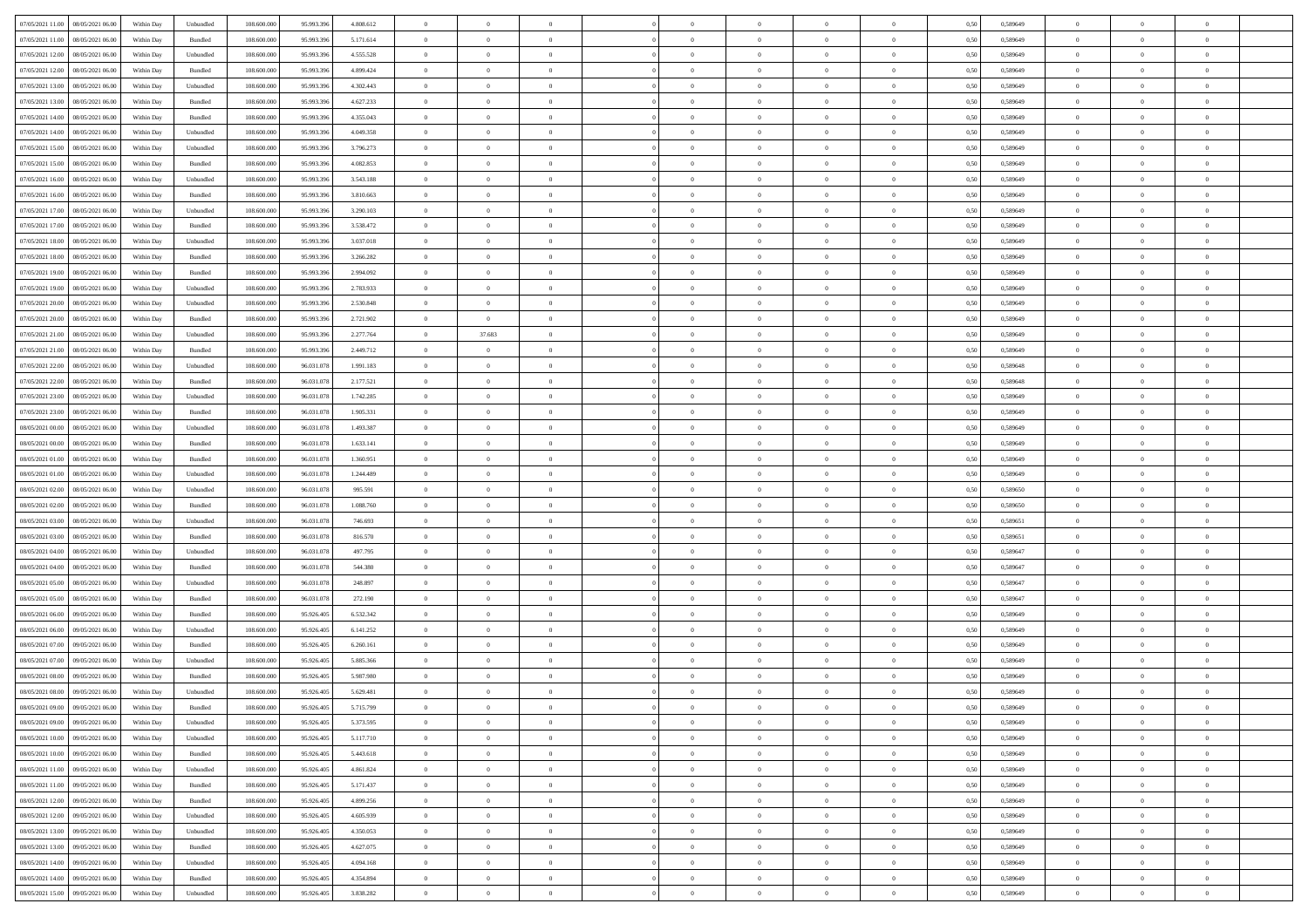| 07/05/2021 11:00  08/05/2021 06:00           | Within Day | Unbundled          | 108.600.000 | 95.993.396 | 4.808.612 | $\overline{0}$ | $\theta$       |                | $\overline{0}$ | $\bf{0}$       | $\overline{0}$ | $\theta$       | 0,50 | 0,589649 | $\,$ 0 $\,$    | $\overline{0}$ | $\bf{0}$       |  |
|----------------------------------------------|------------|--------------------|-------------|------------|-----------|----------------|----------------|----------------|----------------|----------------|----------------|----------------|------|----------|----------------|----------------|----------------|--|
|                                              |            |                    |             |            |           |                |                |                |                |                |                |                |      |          |                |                |                |  |
| 07/05/2021 11:00<br>08/05/2021 06:00         | Within Day | Bundled            | 108.600.00  | 95.993.39  | 5.171.614 | $\bf{0}$       | $\overline{0}$ | $\overline{0}$ | $\overline{0}$ | $\,$ 0         | $\overline{0}$ | $\bf{0}$       | 0,50 | 0,589649 | $\bf{0}$       | $\overline{0}$ | $\bf{0}$       |  |
| 07/05/2021 12:00<br>08/05/2021 06:00         | Within Day | Unbundled          | 108,600,000 | 95.993.396 | 4.555.528 | $\overline{0}$ | $\overline{0}$ | $\overline{0}$ | $\overline{0}$ | $\bf{0}$       | $\overline{0}$ | $\overline{0}$ | 0.50 | 0.589649 | $\overline{0}$ | $\overline{0}$ | $\bf{0}$       |  |
| 07/05/2021 12:00<br>08/05/2021 06:00         | Within Day | Bundled            | 108.600.000 | 95.993.396 | 4.899.424 | $\overline{0}$ | $\overline{0}$ | $\overline{0}$ | $\overline{0}$ | $\,$ 0         | $\overline{0}$ | $\overline{0}$ | 0,50 | 0,589649 | $\,$ 0 $\,$    | $\overline{0}$ | $\overline{0}$ |  |
| 07/05/2021 13:00<br>08/05/2021 06:00         | Within Day | Unbundled          | 108.600.00  | 95.993.39  | 4.302.443 | $\overline{0}$ | $\theta$       | $\overline{0}$ |                | $\,$ 0         | $\overline{0}$ | $\bf{0}$       | 0,50 | 0,589649 | $\bf{0}$       | $\overline{0}$ | $\bf{0}$       |  |
| 07/05/2021 13:00<br>08/05/2021 06:00         | Within Day | Bundled            | 108,600,000 | 95.993.396 | 4.627.233 | $\overline{0}$ | $\overline{0}$ | $\overline{0}$ | $\overline{0}$ | $\bf{0}$       | $\overline{0}$ | $\overline{0}$ | 0.50 | 0.589649 | $\bf{0}$       | $\overline{0}$ | $\bf{0}$       |  |
| 07/05/2021 14:00<br>08/05/2021 06:00         | Within Day | Bundled            | 108.600.000 | 95.993.396 | 4.355.043 | $\overline{0}$ | $\overline{0}$ | $\overline{0}$ | $\overline{0}$ | $\bf{0}$       | $\overline{0}$ | $\overline{0}$ | 0,50 | 0,589649 | $\,$ 0 $\,$    | $\overline{0}$ | $\bf{0}$       |  |
| 07/05/2021 14:00<br>08/05/2021 06:00         | Within Day | Unbundled          | 108.600.00  | 95.993.39  | 4.049.358 | $\overline{0}$ | $\overline{0}$ | $\overline{0}$ | $\overline{0}$ | $\,$ 0         | $\overline{0}$ | $\bf{0}$       | 0,50 | 0,589649 | $\bf{0}$       | $\overline{0}$ | $\bf{0}$       |  |
|                                              |            |                    |             |            |           |                |                |                |                |                |                |                |      |          |                |                |                |  |
| 07/05/2021 15:00<br>08/05/2021 06:00         | Within Day | Unbundled          | 108,600,000 | 95.993.396 | 3.796.273 | $\overline{0}$ | $\overline{0}$ | $\overline{0}$ | $\overline{0}$ | $\bf{0}$       | $\overline{0}$ | $\overline{0}$ | 0.50 | 0.589649 | $\bf{0}$       | $\overline{0}$ | $\bf{0}$       |  |
| 07/05/2021 15:00<br>08/05/2021 06:00         | Within Day | Bundled            | 108.600.000 | 95.993.396 | 4.082.853 | $\overline{0}$ | $\overline{0}$ | $\overline{0}$ | $\overline{0}$ | $\bf{0}$       | $\overline{0}$ | $\bf{0}$       | 0,50 | 0,589649 | $\,$ 0 $\,$    | $\overline{0}$ | $\bf{0}$       |  |
| 07/05/2021 16:00<br>08/05/2021 06:00         | Within Day | Unbundled          | 108.600.00  | 95.993.39  | 3.543.188 | $\bf{0}$       | $\theta$       | $\overline{0}$ | $\overline{0}$ | $\,$ 0         | $\overline{0}$ | $\bf{0}$       | 0,50 | 0,589649 | $\bf{0}$       | $\overline{0}$ | $\bf{0}$       |  |
| 07/05/2021 16:00<br>08/05/2021 06:00         | Within Day | Bundled            | 108,600,000 | 95.993.396 | 3.810.663 | $\overline{0}$ | $\overline{0}$ | $\overline{0}$ | $\overline{0}$ | $\,$ 0 $\,$    | $\overline{0}$ | $\overline{0}$ | 0.50 | 0.589649 | $\,$ 0 $\,$    | $\bf{0}$       | $\bf{0}$       |  |
| 07/05/2021 17:00<br>08/05/2021 06:00         | Within Day | Unbundled          | 108.600.000 | 95.993.396 | 3.290.103 | $\overline{0}$ | $\overline{0}$ | $\overline{0}$ | $\overline{0}$ | $\,$ 0         | $\overline{0}$ | $\overline{0}$ | 0,50 | 0,589649 | $\,0\,$        | $\overline{0}$ | $\,$ 0 $\,$    |  |
| 07/05/2021 17:00<br>08/05/2021 06:00         | Within Day | Bundled            | 108.600.00  | 95.993.39  | 3.538.472 | $\bf{0}$       | $\theta$       | $\overline{0}$ | $\overline{0}$ | $\,$ 0         | $\overline{0}$ | $\bf{0}$       | 0,50 | 0,589649 | $\bf{0}$       | $\overline{0}$ | $\bf{0}$       |  |
| 07/05/2021 18:00<br>08/05/2021 06:00         |            | Unbundled          | 108,600,000 | 95.993.396 | 3.037.018 | $\overline{0}$ | $\overline{0}$ | $\overline{0}$ | $\overline{0}$ | $\bf{0}$       | $\overline{0}$ | $\overline{0}$ | 0.50 | 0.589649 | $\bf{0}$       | $\overline{0}$ | $\bf{0}$       |  |
|                                              | Within Day |                    |             |            |           |                |                |                |                |                |                |                |      |          |                |                |                |  |
| 07/05/2021 18:00<br>08/05/2021 06:00         | Within Day | Bundled            | 108.600.000 | 95.993.396 | 3.266.282 | $\overline{0}$ | $\overline{0}$ | $\overline{0}$ | $\overline{0}$ | $\bf{0}$       | $\overline{0}$ | $\overline{0}$ | 0,50 | 0,589649 | $\,0\,$        | $\overline{0}$ | $\bf{0}$       |  |
| 07/05/2021 19:00<br>08/05/2021 06:00         | Within Day | Bundled            | 108.600.00  | 95.993.39  | 2.994.092 | $\overline{0}$ | $\overline{0}$ | $\overline{0}$ |                | $\,$ 0         | $\overline{0}$ | $\bf{0}$       | 0,50 | 0,589649 | $\bf{0}$       | $\overline{0}$ | $\bf{0}$       |  |
| 07/05/2021 19:00<br>08/05/2021 06:00         | Within Day | Unbundled          | 108,600,000 | 95.993.39  | 2.783.933 | $\overline{0}$ | $\overline{0}$ | $\overline{0}$ | $\overline{0}$ | $\bf{0}$       | $\overline{0}$ | $\overline{0}$ | 0.50 | 0.589649 | $\bf{0}$       | $\overline{0}$ | $\bf{0}$       |  |
| 07/05/2021 20:00<br>08/05/2021 06:00         | Within Day | Unbundled          | 108.600.000 | 95.993.396 | 2.530.848 | $\overline{0}$ | $\overline{0}$ | $\overline{0}$ | $\overline{0}$ | $\bf{0}$       | $\overline{0}$ | $\bf{0}$       | 0,50 | 0,589649 | $\,0\,$        | $\overline{0}$ | $\bf{0}$       |  |
| 07/05/2021 20:00<br>08/05/2021 06:00         | Within Day | Bundled            | 108.600.00  | 95.993.39  | 2.721.902 | $\bf{0}$       | $\overline{0}$ | $\overline{0}$ | $\overline{0}$ | $\bf{0}$       | $\overline{0}$ | $\bf{0}$       | 0,50 | 0,589649 | $\bf{0}$       | $\overline{0}$ | $\bf{0}$       |  |
| 07/05/2021 21:00<br>08/05/2021 06:00         | Within Day | Unbundled          | 108,600,000 | 95.993.396 | 2.277.764 | $\overline{0}$ | 37.683         | $\overline{0}$ | $\overline{0}$ | $\,$ 0 $\,$    | $\overline{0}$ | $\overline{0}$ | 0.50 | 0.589649 | $\overline{0}$ | $\overline{0}$ | $\bf{0}$       |  |
| 07/05/2021 21:00<br>08/05/2021 06:00         | Within Day | Bundled            | 108.600.000 | 95.993.396 | 2.449.712 | $\overline{0}$ | $\overline{0}$ | $\overline{0}$ | $\overline{0}$ | $\,0\,$        | $\overline{0}$ | $\overline{0}$ | 0,50 | 0,589649 | $\,$ 0 $\,$    | $\overline{0}$ | $\,$ 0 $\,$    |  |
|                                              |            |                    |             |            |           |                |                |                |                |                |                |                |      |          |                |                |                |  |
| 07/05/2021 22.00<br>08/05/2021 06:00         | Within Day | Unbundled          | 108.600.00  | 96.031.078 | 1.991.183 | $\overline{0}$ | $\theta$       | $\overline{0}$ | $\overline{0}$ | $\,$ 0         | $\overline{0}$ | $\bf{0}$       | 0,50 | 0,589648 | $\bf{0}$       | $\overline{0}$ | $\bf{0}$       |  |
| 07/05/2021 22:00<br>08/05/2021 06:00         | Within Day | Bundled            | 108,600,000 | 96.031.078 | 2.177.521 | $\overline{0}$ | $\overline{0}$ | $\overline{0}$ | $\overline{0}$ | $\bf{0}$       | $\overline{0}$ | $\overline{0}$ | 0.50 | 0.589648 | $\bf{0}$       | $\overline{0}$ | $\bf{0}$       |  |
| 07/05/2021 23:00<br>08/05/2021 06:00         | Within Day | Unbundled          | 108.600.000 | 96.031.078 | 1.742.285 | $\overline{0}$ | $\overline{0}$ | $\overline{0}$ | $\overline{0}$ | $\,$ 0         | $\overline{0}$ | $\overline{0}$ | 0,50 | 0,589649 | $\,$ 0 $\,$    | $\overline{0}$ | $\bf{0}$       |  |
| 07/05/2021 23:00<br>08/05/2021 06:00         | Within Day | Bundled            | 108.600.00  | 96.031.078 | 1.905.331 | $\overline{0}$ | $\theta$       | $\overline{0}$ |                | $\,$ 0         | $\overline{0}$ | $\bf{0}$       | 0,50 | 0,589649 | $\bf{0}$       | $\overline{0}$ | $\bf{0}$       |  |
| 08/05/2021 00:00<br>08/05/2021 06:00         | Within Day | Unbundled          | 108,600,000 | 96.031.078 | 1.493.387 | $\overline{0}$ | $\overline{0}$ | $\overline{0}$ | $\overline{0}$ | $\bf{0}$       | $\overline{0}$ | $\overline{0}$ | 0.50 | 0.589649 | $\bf{0}$       | $\overline{0}$ | $\bf{0}$       |  |
| 08/05/2021 00:00<br>08/05/2021 06:00         | Within Day | Bundled            | 108.600.000 | 96.031.078 | 1.633.141 | $\overline{0}$ | $\overline{0}$ | $\overline{0}$ | $\overline{0}$ | $\bf{0}$       | $\overline{0}$ | $\overline{0}$ | 0,50 | 0,589649 | $\,$ 0 $\,$    | $\overline{0}$ | $\bf{0}$       |  |
| 08/05/2021 01:00<br>08/05/2021 06:00         | Within Day | Bundled            | 108.600.00  | 96.031.078 | 1.360.951 | $\bf{0}$       | $\overline{0}$ | $\overline{0}$ | $\overline{0}$ | $\bf{0}$       | $\overline{0}$ | $\bf{0}$       | 0,50 | 0,589649 | $\bf{0}$       | $\overline{0}$ | $\bf{0}$       |  |
|                                              |            |                    |             |            |           |                |                |                |                |                |                |                |      |          |                |                |                |  |
| 08/05/2021 01:00<br>08/05/2021 06:00         | Within Day | Unbundled          | 108,600,000 | 96.031.078 | 1.244.489 | $\overline{0}$ | $\bf{0}$       | $\overline{0}$ | $\overline{0}$ | $\,$ 0 $\,$    | $\overline{0}$ | $\overline{0}$ | 0.50 | 0.589649 | $\,$ 0 $\,$    | $\overline{0}$ | $\bf{0}$       |  |
| 08/05/2021 02:00<br>08/05/2021 06:00         | Within Day | Unbundled          | 108.600.000 | 96.031.078 | 995.591   | $\overline{0}$ | $\overline{0}$ | $\overline{0}$ | $\overline{0}$ | $\mathbf{0}$   | $\overline{0}$ | $\overline{0}$ | 0.50 | 0.589650 | $\mathbf{0}$   | $\overline{0}$ | $\overline{0}$ |  |
| 08/05/2021 02:00<br>08/05/2021 06:00         | Within Day | Bundled            | 108.600.00  | 96.031.078 | 1.088.760 | $\bf{0}$       | $\,$ 0 $\,$    | $\overline{0}$ | $\overline{0}$ | $\,$ 0         | $\overline{0}$ | $\bf{0}$       | 0,50 | 0,589650 | $\bf{0}$       | $\overline{0}$ | $\bf{0}$       |  |
| 08/05/2021 03:00<br>08/05/2021 06:00         | Within Day | Unbundled          | 108,600,000 | 96.031.078 | 746.693   | $\overline{0}$ | $\overline{0}$ | $\overline{0}$ | $\overline{0}$ | $\bf{0}$       | $\overline{0}$ | $\overline{0}$ | 0.50 | 0.589651 | $\bf{0}$       | $\overline{0}$ | $\bf{0}$       |  |
| 08/05/2021 03:00<br>08/05/2021 06:00         | Within Day | Bundled            | 108.600.000 | 96.031.078 | 816,570   | $\overline{0}$ | $\overline{0}$ | $\Omega$       | $\Omega$       | $\overline{0}$ | $\overline{0}$ | $\overline{0}$ | 0.50 | 0,589651 | $\mathbf{0}$   | $\overline{0}$ | $\overline{0}$ |  |
| 08/05/2021 04:00<br>08/05/2021 06:00         | Within Day | Unbundled          | 108.600.00  | 96.031.078 | 497.795   | $\bf{0}$       | $\overline{0}$ | $\overline{0}$ | $\overline{0}$ | $\,$ 0         | $\overline{0}$ | $\bf{0}$       | 0,50 | 0,589647 | $\bf{0}$       | $\overline{0}$ | $\bf{0}$       |  |
| 08/05/2021 04:00<br>08/05/2021 06:00         | Within Day | Bundled            | 108,600,000 | 96.031.078 | 544,380   | $\overline{0}$ | $\overline{0}$ | $\overline{0}$ | $\overline{0}$ | $\bf{0}$       | $\overline{0}$ | $\overline{0}$ | 0.50 | 0.589647 | $\bf{0}$       | $\overline{0}$ | $\bf{0}$       |  |
| 08/05/2021 05:00<br>08/05/2021 06:00         | Within Day | Unbundled          | 108.600.000 | 96.031.078 | 248.897   | $\overline{0}$ | $\overline{0}$ | $\overline{0}$ | $\overline{0}$ | $\overline{0}$ | $\overline{0}$ | $\overline{0}$ | 0,50 | 0.589647 | $\mathbf{0}$   | $\overline{0}$ | $\overline{0}$ |  |
|                                              |            |                    |             |            |           |                |                |                |                |                |                |                |      |          |                |                |                |  |
| 08/05/2021 05:00<br>08/05/2021 06:00         | Within Day | Bundled            | 108.600.00  | 96.031.078 | 272.190   | $\overline{0}$ | $\overline{0}$ | $\overline{0}$ | $\overline{0}$ | $\bf{0}$       | $\overline{0}$ | $\bf{0}$       | 0,50 | 0,589647 | $\bf{0}$       | $\overline{0}$ | $\bf{0}$       |  |
| 08/05/2021 06:00<br>09/05/2021 06:00         | Within Day | Bundled            | 108,600,000 | 95.926.405 | 6.532.342 | $\overline{0}$ | $\bf{0}$       | $\overline{0}$ | $\overline{0}$ | $\,$ 0 $\,$    | $\overline{0}$ | $\overline{0}$ | 0.50 | 0.589649 | $\overline{0}$ | $\bf{0}$       | $\bf{0}$       |  |
| 08/05/2021 06:00<br>09/05/2021 06:00         | Within Day | Unbundled          | 108.600.000 | 95.926.405 | 6.141.252 | $\overline{0}$ | $\overline{0}$ | $\Omega$       | $\overline{0}$ | $\overline{0}$ | $\overline{0}$ | $\overline{0}$ | 0,50 | 0.589649 | $\mathbf{0}$   | $\overline{0}$ | $\overline{0}$ |  |
| 08/05/2021 07:00<br>09/05/2021 06.00         | Within Day | Bundled            | 108.600.00  | 95.926.405 | 6.260.161 | $\bf{0}$       | $\overline{0}$ | $\overline{0}$ | $\overline{0}$ | $\,$ 0         | $\overline{0}$ | $\bf{0}$       | 0,50 | 0,589649 | $\bf{0}$       | $\overline{0}$ | $\bf{0}$       |  |
| 08/05/2021 07:00<br>09/05/2021 06:00         | Within Day | Unbundled          | 108,600,000 | 95.926.405 | 5.885.366 | $\overline{0}$ | $\overline{0}$ | $\overline{0}$ | $\overline{0}$ | $\bf{0}$       | $\overline{0}$ | $\overline{0}$ | 0.50 | 0.589649 | $\bf{0}$       | $\overline{0}$ | $\bf{0}$       |  |
| 08/05/2021 08:00<br>09/05/2021 06:00         | Within Day | Bundled            | 108.600.000 | 95.926.405 | 5.987.980 | $\overline{0}$ | $\theta$       | $\Omega$       | $\Omega$       | $\bf{0}$       | $\overline{0}$ | $\Omega$       | 0.50 | 0.589649 | $\mathbf{0}$   | $\overline{0}$ | $\overline{0}$ |  |
| 08/05/2021 08:00<br>09/05/2021 06:00         | Within Day | Unbundled          | 108.600.00  | 95.926.405 | 5.629.481 | $\overline{0}$ | $\overline{0}$ | $\overline{0}$ | $\bf{0}$       | $\,$ 0         | $\overline{0}$ | $\bf{0}$       | 0,50 | 0,589649 | $\bf{0}$       | $\overline{0}$ | $\bf{0}$       |  |
| $08/05/2021\;09.00 \qquad 09/05/2021\;06.00$ | Within Day | $\mathbf B$ undled | 108.600.000 | 95.926.405 | 5.715.799 | $\bf{0}$       | $\Omega$       |                |                |                |                |                | 0,50 | 0.589649 | $\overline{0}$ | $\Omega$       |                |  |
|                                              |            |                    |             |            |           |                |                |                |                |                |                |                |      |          |                |                |                |  |
| 08/05/2021 09:00 09/05/2021 06:00            | Within Day | Unbundled          | 108.600.000 | 95.926.405 | 5.373.595 | $\theta$       | $\overline{0}$ | $\overline{0}$ | $\Omega$       | $\overline{0}$ | $\overline{0}$ | $\mathbf{0}$   | 0,50 | 0,589649 | $\theta$       | $\overline{0}$ | $\bf{0}$       |  |
| 08/05/2021 10:00<br>09/05/2021 06:00         | Within Day | Unbundled          | 108.600.00  | 95.926.405 | 5.117.710 | $\overline{0}$ | $\bf{0}$       | $\overline{0}$ | $\bf{0}$       | $\overline{0}$ | $\overline{0}$ | $\mathbf{0}$   | 0,50 | 0,589649 | $\overline{0}$ | $\bf{0}$       | $\bf{0}$       |  |
| 08/05/2021 10:00 09/05/2021 06:00            | Within Day | Bundled            | 108,600,000 | 95.926.405 | 5.443.618 | $\overline{0}$ | $\overline{0}$ | $\overline{0}$ | $\overline{0}$ | $\overline{0}$ | $\overline{0}$ | $\mathbf{0}$   | 0.50 | 0.589649 | $\overline{0}$ | $\,$ 0 $\,$    | $\,$ 0 $\,$    |  |
| 08/05/2021 11:00 09/05/2021 06:00            | Within Day | Unbundled          | 108.600.000 | 95.926.405 | 4.861.824 | $\overline{0}$ | $\overline{0}$ | $\overline{0}$ | $\overline{0}$ | $\overline{0}$ | $\overline{0}$ | $\overline{0}$ | 0,50 | 0,589649 | $\theta$       | $\overline{0}$ | $\bf{0}$       |  |
| 08/05/2021 11:00<br>09/05/2021 06:00         | Within Day | Bundled            | 108.600.00  | 95.926.405 | 5.171.437 | $\bf{0}$       | $\overline{0}$ | $\overline{0}$ | $\overline{0}$ | $\bf{0}$       | $\overline{0}$ | $\bf{0}$       | 0,50 | 0,589649 | $\overline{0}$ | $\overline{0}$ | $\bf{0}$       |  |
| 08/05/2021 12:00<br>09/05/2021 06:00         | Within Day | Bundled            | 108,600,000 | 95.926.405 | 4.899.256 | $\overline{0}$ | $\overline{0}$ | $\overline{0}$ | $\overline{0}$ | $\,$ 0 $\,$    | $\overline{0}$ | $\overline{0}$ | 0.50 | 0.589649 | $\overline{0}$ | $\overline{0}$ | $\bf{0}$       |  |
| 08/05/2021 12:00<br>09/05/2021 06:00         | Within Dav | Unbundled          | 108.600.000 | 95.926.405 | 4.605.939 | $\overline{0}$ | $\overline{0}$ | $\overline{0}$ | $\overline{0}$ | $\mathbf{0}$   | $\overline{0}$ | $\overline{0}$ | 0,50 | 0,589649 | $\overline{0}$ | $\overline{0}$ | $\bf{0}$       |  |
|                                              |            |                    |             |            |           |                |                |                |                |                |                |                |      |          |                |                |                |  |
| 08/05/2021 13:00<br>09/05/2021 06:00         | Within Day | Unbundled          | 108.600.00  | 95.926.405 | 4.350.053 | $\bf{0}$       | $\,$ 0         | $\overline{0}$ | $\bf{0}$       | $\,$ 0 $\,$    | $\overline{0}$ | $\mathbf{0}$   | 0,50 | 0,589649 | $\overline{0}$ | $\,$ 0 $\,$    | $\bf{0}$       |  |
| 08/05/2021 13:00<br>09/05/2021 06:00         | Within Day | Bundled            | 108,600,000 | 95.926.405 | 4.627.075 | $\overline{0}$ | $\overline{0}$ | $\overline{0}$ | $\overline{0}$ | $\,$ 0 $\,$    | $\overline{0}$ | $\mathbf{0}$   | 0.50 | 0.589649 | $\overline{0}$ | $\,$ 0 $\,$    | $\bf{0}$       |  |
| 08/05/2021 14:00<br>09/05/2021 06:00         | Within Dav | Unbundled          | 108.600.000 | 95.926.405 | 4.094.168 | $\overline{0}$ | $\overline{0}$ | $\overline{0}$ | $\overline{0}$ | $\overline{0}$ | $\overline{0}$ | $\overline{0}$ | 0,50 | 0.589649 | $\overline{0}$ | $\overline{0}$ | $\bf{0}$       |  |
| 08/05/2021 14:00<br>09/05/2021 06:00         | Within Day | Bundled            | 108.600.00  | 95.926.405 | 4.354.894 | $\overline{0}$ | $\overline{0}$ | $\overline{0}$ | $\bf{0}$       | $\bf{0}$       | $\overline{0}$ | $\bf{0}$       | 0,50 | 0,589649 | $\overline{0}$ | $\overline{0}$ | $\bf{0}$       |  |
| 08/05/2021 15:00 09/05/2021 06:00            | Within Day | Unbundled          | 108.600.000 | 95.926.405 | 3.838.282 | $\overline{0}$ | $\overline{0}$ | $\overline{0}$ | $\overline{0}$ | $\,$ 0 $\,$    | $\overline{0}$ | $\overline{0}$ | 0,50 | 0,589649 | $\,$ 0 $\,$    | $\,$ 0 $\,$    | $\bf{0}$       |  |
|                                              |            |                    |             |            |           |                |                |                |                |                |                |                |      |          |                |                |                |  |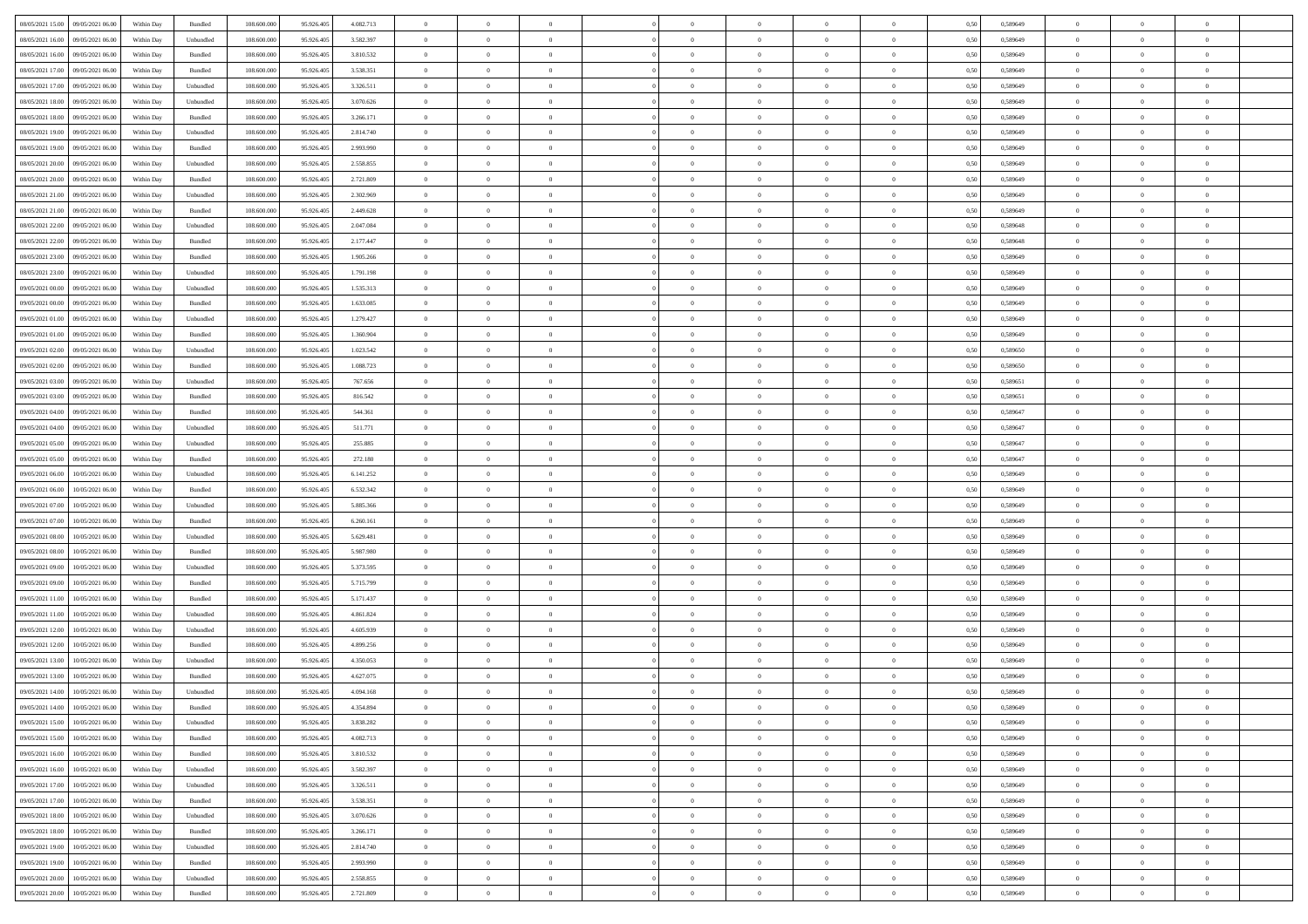| 08/05/2021 15:00 09/05/2021 06:00            | Within Day | Bundled   | 108.600.000 | 95.926.405 | 4.082.713 | $\overline{0}$ | $\theta$       |                | $\overline{0}$ | $\bf{0}$       |                | $\bf{0}$       | 0,50 | 0,589649 | $\theta$       | $\theta$       | $\theta$       |  |
|----------------------------------------------|------------|-----------|-------------|------------|-----------|----------------|----------------|----------------|----------------|----------------|----------------|----------------|------|----------|----------------|----------------|----------------|--|
| 08/05/2021 16:00<br>09/05/2021 06.00         | Within Day | Unbundled | 108.600.00  | 95.926.40  | 3.582.397 | $\bf{0}$       | $\overline{0}$ | $\bf{0}$       | $\overline{0}$ | $\overline{0}$ | $\overline{0}$ | $\bf{0}$       | 0,50 | 0,589649 | $\,$ 0 $\,$    | $\bf{0}$       | $\overline{0}$ |  |
| 08/05/2021 16:00<br>09/05/2021 06:00         | Within Day | Bundled   | 108,600,000 | 95.926.405 | 3.810.532 | $\overline{0}$ | $\bf{0}$       | $\overline{0}$ | $\bf{0}$       | $\bf{0}$       | $\overline{0}$ | $\bf{0}$       | 0.50 | 0.589649 | $\bf{0}$       | $\overline{0}$ | $\overline{0}$ |  |
| 08/05/2021 17:00<br>09/05/2021 06:00         |            |           | 108.600.000 |            |           | $\overline{0}$ | $\overline{0}$ | $\overline{0}$ | $\theta$       | $\theta$       | $\overline{0}$ | $\bf{0}$       |      |          | $\theta$       | $\theta$       | $\overline{0}$ |  |
|                                              | Within Day | Bundled   |             | 95.926.405 | 3.538.351 |                |                |                |                |                |                |                | 0,50 | 0,589649 |                |                |                |  |
| 08/05/2021 17:00<br>09/05/2021 06.00         | Within Day | Unbundled | 108.600.00  | 95.926.405 | 3.326.511 | $\overline{0}$ | $\overline{0}$ | $\bf{0}$       | $\overline{0}$ | $\theta$       | $\overline{0}$ | $\bf{0}$       | 0,50 | 0,589649 | $\,$ 0 $\,$    | $\bf{0}$       | $\overline{0}$ |  |
| 08/05/2021 18:00<br>09/05/2021 06:00         | Within Day | Unbundled | 108,600,000 | 95.926.405 | 3.070.626 | $\overline{0}$ | $\overline{0}$ | $\overline{0}$ | $\bf{0}$       | $\overline{0}$ | $\Omega$       | $\bf{0}$       | 0.50 | 0.589649 | $\bf{0}$       | $\theta$       | $\overline{0}$ |  |
| 08/05/2021 18:00<br>09/05/2021 06:00         | Within Day | Bundled   | 108.600.000 | 95.926.405 | 3.266.171 | $\overline{0}$ | $\overline{0}$ | $\overline{0}$ | $\overline{0}$ | $\overline{0}$ | $\overline{0}$ | $\bf{0}$       | 0,50 | 0,589649 | $\theta$       | $\theta$       | $\overline{0}$ |  |
|                                              |            |           |             |            |           |                |                |                |                |                |                |                |      |          |                |                |                |  |
| 08/05/2021 19:00<br>09/05/2021 06.00         | Within Day | Unbundled | 108.600.00  | 95.926.405 | 2.814.740 | $\overline{0}$ | $\overline{0}$ | $\bf{0}$       | $\overline{0}$ | $\overline{0}$ | $\overline{0}$ | $\bf{0}$       | 0,50 | 0,589649 | $\,$ 0 $\,$    | $\bf{0}$       | $\overline{0}$ |  |
| 08/05/2021 19:00<br>09/05/2021 06:00         | Within Day | Bundled   | 108,600,000 | 95.926.40  | 2.993.990 | $\overline{0}$ | $\bf{0}$       | $\overline{0}$ | $\bf{0}$       | $\overline{0}$ | $\overline{0}$ | $\bf{0}$       | 0.50 | 0.589649 | $\bf{0}$       | $\overline{0}$ | $\overline{0}$ |  |
| 08/05/2021 20:00<br>09/05/2021 06:00         | Within Day | Unbundled | 108.600.000 | 95.926.405 | 2.558.855 | $\overline{0}$ | $\bf{0}$       | $\overline{0}$ | $\overline{0}$ | $\theta$       | $\overline{0}$ | $\bf{0}$       | 0,50 | 0,589649 | $\theta$       | $\theta$       | $\overline{0}$ |  |
| 08/05/2021 20:00<br>09/05/2021 06.00         | Within Day | Bundled   | 108.600.00  | 95.926.405 | 2.721.809 | $\bf{0}$       | $\overline{0}$ | $\bf{0}$       | $\overline{0}$ | $\bf{0}$       | $\overline{0}$ | $\bf{0}$       | 0,50 | 0,589649 | $\,$ 0 $\,$    | $\bf{0}$       | $\overline{0}$ |  |
|                                              |            |           |             |            |           |                |                |                |                |                |                |                |      |          |                |                |                |  |
| 08/05/2021 21:00<br>09/05/2021 06:00         | Within Day | Unbundled | 108,600,000 | 95.926.405 | 2.302.969 | $\overline{0}$ | $\bf{0}$       | $\overline{0}$ | $\bf{0}$       | $\bf{0}$       | $\overline{0}$ | $\bf{0}$       | 0.50 | 0.589649 | $\bf{0}$       | $\overline{0}$ | $\bf{0}$       |  |
| 08/05/2021 21:00<br>09/05/2021 06:00         | Within Day | Bundled   | 108.600.000 | 95.926.405 | 2.449.628 | $\overline{0}$ | $\overline{0}$ | $\overline{0}$ | $\overline{0}$ | $\theta$       | $\overline{0}$ | $\overline{0}$ | 0,50 | 0,589649 | $\theta$       | $\theta$       | $\overline{0}$ |  |
| 08/05/2021 22:00<br>09/05/2021 06.00         | Within Day | Unbundled | 108.600.00  | 95.926.40  | 2.047.084 | $\overline{0}$ | $\theta$       | $\bf{0}$       | $\overline{0}$ | $\theta$       | $\overline{0}$ | $\bf{0}$       | 0,50 | 0,589648 | $\,$ 0 $\,$    | $\bf{0}$       | $\overline{0}$ |  |
| 08/05/2021 22:00<br>09/05/2021 06:00         | Within Day | Bundled   | 108,600,000 | 95.926.405 | 2.177.447 | $\overline{0}$ | $\overline{0}$ | $\overline{0}$ | $\bf{0}$       | $\overline{0}$ | $\Omega$       | $\bf{0}$       | 0.50 | 0.589648 | $\theta$       | $\theta$       | $\overline{0}$ |  |
| 08/05/2021 23:00<br>09/05/2021 06:00         | Within Day | Bundled   | 108.600.000 | 95.926.405 | 1.905.266 | $\overline{0}$ | $\overline{0}$ | $\overline{0}$ | $\overline{0}$ | $\overline{0}$ | $\overline{0}$ | $\bf{0}$       | 0,50 | 0,589649 | $\theta$       | $\theta$       | $\overline{0}$ |  |
|                                              |            |           |             |            |           |                |                |                |                |                |                |                |      |          |                |                |                |  |
| 08/05/2021 23:00<br>09/05/2021 06.00         | Within Day | Unbundled | 108.600.00  | 95.926.405 | 1.791.198 | $\overline{0}$ | $\overline{0}$ | $\overline{0}$ | $\overline{0}$ | $\theta$       | $\overline{0}$ | $\bf{0}$       | 0,50 | 0,589649 | $\,$ 0 $\,$    | $\bf{0}$       | $\overline{0}$ |  |
| 09/05/2021 00:00<br>09/05/2021 06:00         | Within Day | Unbundled | 108,600,000 | 95.926.40  | 1.535.313 | $\overline{0}$ | $\bf{0}$       | $\overline{0}$ | $\bf{0}$       | $\overline{0}$ | $\overline{0}$ | $\bf{0}$       | 0.50 | 0.589649 | $\bf{0}$       | $\overline{0}$ | $\overline{0}$ |  |
| 09/05/2021 00:00<br>09/05/2021 06:00         | Within Day | Bundled   | 108.600.000 | 95.926.405 | 1.633.085 | $\overline{0}$ | $\overline{0}$ | $\overline{0}$ | $\overline{0}$ | $\overline{0}$ | $\overline{0}$ | $\bf{0}$       | 0,50 | 0,589649 | $\,$ 0 $\,$    | $\theta$       | $\overline{0}$ |  |
| 09/05/2021 01:00<br>09/05/2021 06.00         | Within Day | Unbundled | 108.600.00  | 95.926.405 | 1.279.427 | $\bf{0}$       | $\bf{0}$       | $\bf{0}$       | $\bf{0}$       | $\overline{0}$ | $\overline{0}$ | $\bf{0}$       | 0,50 | 0,589649 | $\,$ 0 $\,$    | $\bf{0}$       | $\overline{0}$ |  |
|                                              |            |           |             |            |           |                |                |                |                |                |                |                |      |          |                |                |                |  |
| 09/05/2021 01:00<br>09/05/2021 06:00         | Within Day | Bundled   | 108,600,000 | 95.926.405 | 1.360.904 | $\overline{0}$ | $\bf{0}$       | $\overline{0}$ | $\bf{0}$       | $\bf{0}$       | $\overline{0}$ | $\bf{0}$       | 0.50 | 0.589649 | $\bf{0}$       | $\overline{0}$ | $\overline{0}$ |  |
| 09/05/2021 02:00<br>09/05/2021 06:00         | Within Day | Unbundled | 108.600.000 | 95.926.405 | 1.023.542 | $\overline{0}$ | $\overline{0}$ | $\overline{0}$ | $\theta$       | $\theta$       | $\overline{0}$ | $\bf{0}$       | 0,50 | 0,589650 | $\theta$       | $\theta$       | $\overline{0}$ |  |
| 09/05/2021 02:00<br>09/05/2021 06.00         | Within Day | Bundled   | 108.600.00  | 95.926.405 | 1.088.723 | $\bf{0}$       | $\overline{0}$ | $\bf{0}$       | $\overline{0}$ | $\theta$       | $\overline{0}$ | $\bf{0}$       | 0,50 | 0,589650 | $\,$ 0 $\,$    | $\bf{0}$       | $\overline{0}$ |  |
| 09/05/2021 03:00<br>09/05/2021 06:00         | Within Day | Unbundled | 108,600,000 | 95.926.40  | 767.656   | $\overline{0}$ | $\overline{0}$ | $\overline{0}$ | $\overline{0}$ | $\overline{0}$ | $\Omega$       | $\bf{0}$       | 0.50 | 0.589651 | $\bf{0}$       | $\theta$       | $\overline{0}$ |  |
| 09/05/2021 03:00<br>09/05/2021 06:00         | Within Day | Bundled   | 108.600.000 | 95.926.405 | 816.542   | $\overline{0}$ | $\overline{0}$ | $\overline{0}$ | $\overline{0}$ | $\theta$       | $\overline{0}$ | $\bf{0}$       | 0,50 | 0,589651 | $\theta$       | $\theta$       | $\overline{0}$ |  |
|                                              |            |           |             |            |           |                |                |                |                |                |                |                |      |          |                |                |                |  |
| 09/05/2021 04:00<br>09/05/2021 06.00         | Within Day | Bundled   | 108.600.00  | 95.926.40  | 544.361   | $\bf{0}$       | $\overline{0}$ | $\bf{0}$       | $\overline{0}$ | $\theta$       | $\overline{0}$ | $\bf{0}$       | 0,50 | 0,589647 | $\,$ 0 $\,$    | $\bf{0}$       | $\overline{0}$ |  |
| 09/05/2021 04:00<br>09/05/2021 06:00         | Within Day | Unbundled | 108,600,000 | 95.926.40  | 511.771   | $\overline{0}$ | $\bf{0}$       | $\overline{0}$ | $\bf{0}$       | $\overline{0}$ | $\overline{0}$ | $\bf{0}$       | 0.50 | 0.589647 | $\bf{0}$       | $\overline{0}$ | $\overline{0}$ |  |
| 09/05/2021 05:00<br>09/05/2021 06:00         | Within Day | Unbundled | 108.600.000 | 95.926.405 | 255.885   | $\overline{0}$ | $\overline{0}$ | $\overline{0}$ | $\overline{0}$ | $\overline{0}$ | $\overline{0}$ | $\bf{0}$       | 0,50 | 0,589647 | $\theta$       | $\theta$       | $\overline{0}$ |  |
| 09/05/2021 05:00<br>09/05/2021 06.00         | Within Day | Bundled   | 108.600.00  | 95.926.405 | 272.180   | $\bf{0}$       | $\bf{0}$       | $\bf{0}$       | $\bf{0}$       | $\overline{0}$ | $\overline{0}$ | $\bf{0}$       | 0,50 | 0,589647 | $\,$ 0 $\,$    | $\bf{0}$       | $\overline{0}$ |  |
|                                              |            |           |             |            |           |                |                |                |                |                |                |                |      |          |                |                |                |  |
| 09/05/2021 06:00<br>10/05/2021 06:00         | Within Day | Unbundled | 108,600,000 | 95.926.405 | 6.141.252 | $\overline{0}$ | $\bf{0}$       | $\overline{0}$ | $\bf{0}$       | $\bf{0}$       | $\overline{0}$ | $\bf{0}$       | 0.50 | 0.589649 | $\bf{0}$       | $\overline{0}$ | $\bf{0}$       |  |
| 09/05/2021 06:00<br>10/05/2021 06:00         | Within Day | Bundled   | 108.600.000 | 95.926.40  | 6.532.342 | $\overline{0}$ | $\overline{0}$ | $\overline{0}$ | $\overline{0}$ | $\overline{0}$ | $\overline{0}$ | $\bf{0}$       | 0.50 | 0.589649 | $\theta$       | $\theta$       | $\overline{0}$ |  |
| 09/05/2021 07:00<br>10/05/2021 06:00         | Within Day | Unbundled | 108.600.00  | 95.926.405 | 5.885.366 | $\bf{0}$       | $\overline{0}$ | $\bf{0}$       | $\overline{0}$ | $\overline{0}$ | $\overline{0}$ | $\bf{0}$       | 0,50 | 0,589649 | $\,$ 0 $\,$    | $\bf{0}$       | $\overline{0}$ |  |
| 09/05/2021 07:00<br>10/05/2021 06:00         | Within Day | Bundled   | 108,600,000 | 95.926.405 | 6.260.161 | $\overline{0}$ | $\overline{0}$ | $\overline{0}$ | $\bf{0}$       | $\overline{0}$ | $\Omega$       | $\bf{0}$       | 0.50 | 0.589649 | $\,$ 0 $\,$    | $\theta$       | $\overline{0}$ |  |
| 09/05/2021 08:00<br>10/05/2021 06:00         | Within Dav | Unbundled | 108.600.000 | 95.926.405 | 5.629.481 | $\overline{0}$ | $\overline{0}$ | $\overline{0}$ | $\overline{0}$ | $\theta$       | $\overline{0}$ | $\overline{0}$ | 0.50 | 0.589649 | $\theta$       | $\theta$       | $\overline{0}$ |  |
|                                              |            |           |             |            |           |                |                |                |                |                |                |                |      |          |                |                |                |  |
| 09/05/2021 08:00<br>10/05/2021 06:00         | Within Day | Bundled   | 108.600.00  | 95.926.405 | 5.987.980 | $\bf{0}$       | $\overline{0}$ | $\bf{0}$       | $\overline{0}$ | $\bf{0}$       | $\overline{0}$ | $\bf{0}$       | 0,50 | 0,589649 | $\,$ 0 $\,$    | $\bf{0}$       | $\overline{0}$ |  |
| 09/05/2021 09:00<br>10/05/2021 06:00         | Within Day | Unbundled | 108,600,000 | 95.926.40  | 5.373.595 | $\overline{0}$ | $\bf{0}$       | $\overline{0}$ | $\bf{0}$       | $\overline{0}$ | $\overline{0}$ | $\bf{0}$       | 0.50 | 0.589649 | $\bf{0}$       | $\overline{0}$ | $\overline{0}$ |  |
| 09/05/2021 09:00<br>10/05/2021 06:00         | Within Dav | Bundled   | 108.600.000 | 95.926.405 | 5.715.799 | $\overline{0}$ | $\overline{0}$ | $\overline{0}$ | $\overline{0}$ | $\overline{0}$ | $\overline{0}$ | $\overline{0}$ | 0.50 | 0.589649 | $\theta$       | $\theta$       | $\overline{0}$ |  |
| 09/05/2021 11:00<br>10/05/2021 06:00         | Within Day | Bundled   | 108.600.00  | 95.926.405 | 5.171.437 | $\bf{0}$       | $\bf{0}$       | $\bf{0}$       | $\bf{0}$       | $\overline{0}$ | $\overline{0}$ | $\bf{0}$       | 0,50 | 0,589649 | $\,$ 0 $\,$    | $\bf{0}$       | $\overline{0}$ |  |
| 09/05/2021 11:00<br>10/05/2021 06:00         | Within Day | Unbundled | 108,600,000 | 95.926.405 | 4.861.824 | $\overline{0}$ | $\bf{0}$       | $\overline{0}$ | $\bf{0}$       | $\bf{0}$       | $\overline{0}$ | $\bf{0}$       | 0.50 | 0.589649 | $\bf{0}$       | $\overline{0}$ | $\overline{0}$ |  |
|                                              |            |           |             |            |           |                |                |                |                |                |                |                |      |          |                |                |                |  |
| 09/05/2021 12:00<br>10/05/2021 06:00         | Within Dav | Unbundled | 108.600.000 | 95.926.405 | 4.605.939 | $\overline{0}$ | $\overline{0}$ | $\overline{0}$ | $\overline{0}$ | $\theta$       | $\overline{0}$ | $\bf{0}$       | 0.50 | 0.589649 | $\theta$       | $\theta$       | $\overline{0}$ |  |
| 09/05/2021 12:00<br>10/05/2021 06:00         | Within Day | Bundled   | 108.600.00  | 95.926.405 | 4.899.256 | $\bf{0}$       | $\overline{0}$ | $\bf{0}$       | $\bf{0}$       | $\overline{0}$ | $\overline{0}$ | $\bf{0}$       | 0,50 | 0,589649 | $\,$ 0 $\,$    | $\bf{0}$       | $\overline{0}$ |  |
| 09/05/2021 13:00<br>10/05/2021 06:00         | Within Day | Unbundled | 108,600,000 | 95.926.40  | 4.350.053 | $\overline{0}$ | $\overline{0}$ | $\Omega$       | $\overline{0}$ | $\overline{0}$ | $\theta$       | $\bf{0}$       | 0.50 | 0.589649 | $\,$ 0 $\,$    | $\theta$       | $\overline{0}$ |  |
| 09/05/2021 13:00<br>10/05/2021 06:00         | Within Dav | Bundled   | 108.600.000 | 95.926.40  | 4.627.075 | $\overline{0}$ | $\overline{0}$ | $\Omega$       | $\overline{0}$ | $\theta$       | $\Omega$       | $\overline{0}$ | 0.5( | 0.589649 | $\theta$       | $\theta$       | $\overline{0}$ |  |
| 09/05/2021 14:00<br>10/05/2021 06:00         | Within Day | Unbundled | 108.600.00  | 95.926.405 | 4.094.168 | $\bf{0}$       | $\bf{0}$       | $\overline{0}$ | $\bf{0}$       | $\bf{0}$       | $\overline{0}$ | $\bf{0}$       | 0,50 | 0,589649 | $\,$ 0 $\,$    | $\bf{0}$       | $\overline{0}$ |  |
|                                              |            |           |             |            |           |                |                |                |                |                |                |                |      |          |                |                |                |  |
| $09/05/2021\ 14.00 \qquad 10/05/2021\ 06.00$ | Within Day | Bundled   | 108.600.000 | 95.926.405 | 4.354.894 | $\overline{0}$ | $\Omega$       |                | $\Omega$       |                |                |                | 0,50 | 0.589649 | $\theta$       | $\overline{0}$ |                |  |
| 09/05/2021 15:00 10/05/2021 06:00            | Within Day | Unbundled | 108.600.000 | 95.926.405 | 3.838.282 | $\overline{0}$ | $\overline{0}$ | $\overline{0}$ | $\theta$       | $\overline{0}$ | $\overline{0}$ | $\bf{0}$       | 0,50 | 0,589649 | $\theta$       | $\overline{0}$ | $\overline{0}$ |  |
| 09/05/2021 15:00<br>10/05/2021 06:00         | Within Day | Bundled   | 108.600.00  | 95.926.405 | 4.082.713 | $\overline{0}$ | $\bf{0}$       | $\overline{0}$ | $\overline{0}$ | $\bf{0}$       | $\overline{0}$ | $\bf{0}$       | 0,50 | 0,589649 | $\bf{0}$       | $\overline{0}$ | $\bf{0}$       |  |
| 09/05/2021 16:00 10/05/2021 06:00            | Within Day | Bundled   | 108,600,000 | 95.926.405 | 3.810.532 | $\overline{0}$ | $\bf{0}$       | $\overline{0}$ | $\overline{0}$ | $\mathbf{0}$   | $\overline{0}$ | $\,$ 0 $\,$    | 0.50 | 0.589649 | $\overline{0}$ | $\bf{0}$       | $\,$ 0 $\,$    |  |
| 09/05/2021 16:00<br>10/05/2021 06:00         |            |           |             |            |           |                | $\overline{0}$ |                |                | $\overline{0}$ |                |                |      |          | $\theta$       | $\theta$       | $\overline{0}$ |  |
|                                              | Within Dav | Unbundled | 108.600.000 | 95.926.405 | 3.582.397 | $\overline{0}$ |                | $\overline{0}$ | $\overline{0}$ |                | $\overline{0}$ | $\bf{0}$       | 0,50 | 0.589649 |                |                |                |  |
| 09/05/2021 17:00<br>10/05/2021 06:00         | Within Day | Unbundled | 108.600.000 | 95.926.405 | 3.326.511 | $\overline{0}$ | $\bf{0}$       | $\overline{0}$ | $\overline{0}$ | $\bf{0}$       | $\overline{0}$ | $\bf{0}$       | 0,50 | 0,589649 | $\bf{0}$       | $\overline{0}$ | $\overline{0}$ |  |
| 09/05/2021 17:00<br>10/05/2021 06:00         | Within Day | Bundled   | 108,600,000 | 95.926.405 | 3.538.351 | $\overline{0}$ | $\bf{0}$       | $\overline{0}$ | $\overline{0}$ | $\bf{0}$       | $\overline{0}$ | $\bf{0}$       | 0.50 | 0.589649 | $\,$ 0 $\,$    | $\overline{0}$ | $\,$ 0         |  |
| 09/05/2021 18:00<br>10/05/2021 06:00         | Within Dav | Unbundled | 108.600.000 | 95.926.405 | 3.070.626 | $\overline{0}$ | $\overline{0}$ | $\overline{0}$ | $\overline{0}$ | $\overline{0}$ | $\overline{0}$ | $\bf{0}$       | 0,50 | 0.589649 | $\overline{0}$ | $\theta$       | $\overline{0}$ |  |
| 09/05/2021 18:00<br>10/05/2021 06:00         | Within Day | Bundled   | 108.600.00  | 95.926.405 | 3.266.171 | $\overline{0}$ | $\overline{0}$ | $\overline{0}$ | $\overline{0}$ | $\overline{0}$ | $\overline{0}$ | $\bf{0}$       | 0,50 | 0,589649 | $\bf{0}$       | $\overline{0}$ | $\,$ 0         |  |
|                                              |            |           |             |            |           |                |                |                |                |                |                |                |      |          |                |                |                |  |
| 10/05/2021 06:00<br>09/05/2021 19:00         | Within Day | Unbundled | 108,600,000 | 95.926.405 | 2.814.740 | $\overline{0}$ | $\overline{0}$ | $\overline{0}$ | $\overline{0}$ | $\overline{0}$ | $\overline{0}$ | $\bf{0}$       | 0.50 | 0.589649 | $\mathbf{0}$   | $\bf{0}$       | $\,$ 0         |  |
| 09/05/2021 19:00<br>10/05/2021 06:00         | Within Dav | Bundled   | 108.600.000 | 95.926.405 | 2.993.990 | $\overline{0}$ | $\overline{0}$ | $\overline{0}$ | $\overline{0}$ | $\overline{0}$ | $\overline{0}$ | $\bf{0}$       | 0,50 | 0.589649 | $\overline{0}$ | $\theta$       | $\overline{0}$ |  |
| 09/05/2021 20:00<br>10/05/2021 06:00         | Within Day | Unbundled | 108.600.00  | 95.926.405 | 2.558.855 | $\overline{0}$ | $\bf{0}$       | $\overline{0}$ | $\overline{0}$ | $\overline{0}$ | $\overline{0}$ | $\bf{0}$       | 0,50 | 0,589649 | $\bf{0}$       | $\overline{0}$ | $\bf{0}$       |  |
| 09/05/2021 20:00 10/05/2021 06:00            | Within Day | Bundled   | 108.600.000 | 95.926.405 | 2.721.809 | $\overline{0}$ | $\bf{0}$       | $\overline{0}$ | $\overline{0}$ | $\,$ 0 $\,$    | $\overline{0}$ | $\bf{0}$       | 0,50 | 0,589649 | $\overline{0}$ | $\,$ 0 $\,$    | $\,$ 0 $\,$    |  |
|                                              |            |           |             |            |           |                |                |                |                |                |                |                |      |          |                |                |                |  |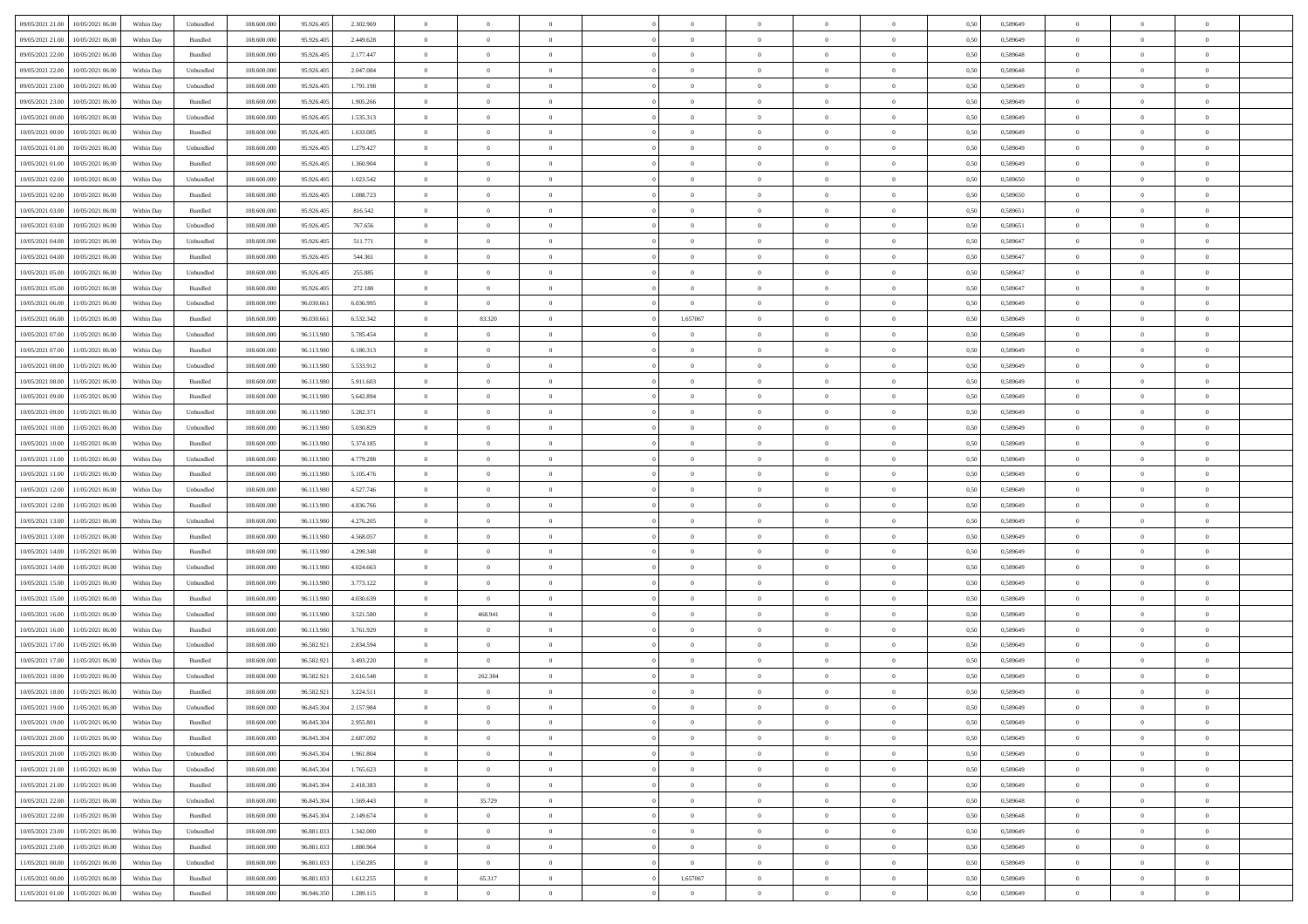| 09/05/2021 21:00<br>10/05/2021 06:00         | Within Day | Unbundled                   | 108.600.000 | 95.926.405 | 2.302.969 | $\overline{0}$ | $\overline{0}$ |                | $\overline{0}$ | $\theta$       |                | $\theta$       | 0,50 | 0,589649 | $\theta$       | $\theta$       | $\overline{0}$ |  |
|----------------------------------------------|------------|-----------------------------|-------------|------------|-----------|----------------|----------------|----------------|----------------|----------------|----------------|----------------|------|----------|----------------|----------------|----------------|--|
| 09/05/2021 21:00<br>10/05/2021 06:00         | Within Day | Bundled                     | 108.600.00  | 95.926.40  | 2.449.628 | $\bf{0}$       | $\bf{0}$       | $\bf{0}$       | $\overline{0}$ | $\overline{0}$ | $\overline{0}$ | $\bf{0}$       | 0,50 | 0,589649 | $\,$ 0 $\,$    | $\bf{0}$       | $\overline{0}$ |  |
| 09/05/2021 22:00<br>10/05/2021 06:00         | Within Day | Bundled                     | 108,600,000 | 95.926.405 | 2.177.447 | $\overline{0}$ | $\bf{0}$       | $\overline{0}$ | $\bf{0}$       | $\bf{0}$       | $\overline{0}$ | $\bf{0}$       | 0.50 | 0.589648 | $\bf{0}$       | $\overline{0}$ | $\overline{0}$ |  |
| 09/05/2021 22.00<br>10/05/2021 06:00         |            |                             | 108.600.000 |            |           | $\overline{0}$ | $\,$ 0         | $\overline{0}$ | $\theta$       | $\theta$       | $\overline{0}$ |                |      |          | $\theta$       | $\theta$       | $\overline{0}$ |  |
|                                              | Within Day | Unbundled                   |             | 95.926.405 | 2.047.084 |                |                |                |                |                |                | $\bf{0}$       | 0,50 | 0,589648 |                |                |                |  |
| 09/05/2021 23:00<br>10/05/2021 06:00         | Within Day | Unbundled                   | 108.600.00  | 95.926.405 | 1.791.198 | $\bf{0}$       | $\overline{0}$ | $\bf{0}$       | $\overline{0}$ | $\theta$       | $\overline{0}$ | $\bf{0}$       | 0,50 | 0,589649 | $\,$ 0 $\,$    | $\bf{0}$       | $\overline{0}$ |  |
| 09/05/2021 23:00<br>10/05/2021 06:00         | Within Day | Bundled                     | 108,600,000 | 95.926.40  | 1.905.266 | $\overline{0}$ | $\overline{0}$ | $\overline{0}$ | $\bf{0}$       | $\overline{0}$ | $\theta$       | $\bf{0}$       | 0.50 | 0.589649 | $\,$ 0 $\,$    | $\theta$       | $\overline{0}$ |  |
| 10/05/2021 00:00<br>10/05/2021 06:00         | Within Day | Unbundled                   | 108.600.000 | 95.926.405 | 1.535.313 | $\overline{0}$ | $\overline{0}$ | $\overline{0}$ | $\overline{0}$ | $\overline{0}$ | $\overline{0}$ | $\bf{0}$       | 0,50 | 0,589649 | $\theta$       | $\theta$       | $\overline{0}$ |  |
|                                              |            |                             |             |            |           |                |                |                |                |                |                |                |      |          |                |                |                |  |
| 10/05/2021 00:00<br>10/05/2021 06:00         | Within Day | Bundled                     | 108.600.00  | 95.926.40  | 1.633.085 | $\overline{0}$ | $\overline{0}$ | $\bf{0}$       | $\overline{0}$ | $\overline{0}$ | $\overline{0}$ | $\bf{0}$       | 0,50 | 0,589649 | $\,$ 0 $\,$    | $\bf{0}$       | $\overline{0}$ |  |
| 10/05/2021 01:00<br>10/05/2021 06:00         | Within Day | Unbundled                   | 108,600,000 | 95.926.40  | 1.279.427 | $\overline{0}$ | $\bf{0}$       | $\overline{0}$ | $\bf{0}$       | $\overline{0}$ | $\overline{0}$ | $\bf{0}$       | 0.50 | 0.589649 | $\bf{0}$       | $\overline{0}$ | $\overline{0}$ |  |
| 10/05/2021 01:00<br>10/05/2021 06:00         | Within Day | Bundled                     | 108.600.000 | 95.926.405 | 1.360.904 | $\overline{0}$ | $\bf{0}$       | $\overline{0}$ | $\overline{0}$ | $\overline{0}$ | $\overline{0}$ | $\bf{0}$       | 0,50 | 0,589649 | $\,$ 0 $\,$    | $\bf{0}$       | $\overline{0}$ |  |
| 10/05/2021 02:00<br>10/05/2021 06:00         | Within Day | Unbundled                   | 108.600.00  | 95.926.405 | 1.023.542 | $\bf{0}$       | $\overline{0}$ | $\bf{0}$       | $\bf{0}$       | $\bf{0}$       | $\overline{0}$ | $\bf{0}$       | 0,50 | 0,589650 | $\,$ 0 $\,$    | $\bf{0}$       | $\overline{0}$ |  |
|                                              |            | Bundled                     | 108,600,000 |            |           |                |                |                |                |                | $\overline{0}$ |                |      |          |                |                | $\,$ 0         |  |
| 10/05/2021 02:00<br>10/05/2021 06:00         | Within Day |                             |             | 95.926.405 | 1.088.723 | $\overline{0}$ | $\bf{0}$       | $\overline{0}$ | $\overline{0}$ | $\bf{0}$       |                | $\bf{0}$       | 0.50 | 0.589650 | $\bf{0}$       | $\overline{0}$ |                |  |
| 10/05/2021 03:00<br>10/05/2021 06:00         | Within Day | Bundled                     | 108.600.000 | 95.926.405 | 816.542   | $\overline{0}$ | $\overline{0}$ | $\overline{0}$ | $\theta$       | $\theta$       | $\overline{0}$ | $\bf{0}$       | 0,50 | 0,589651 | $\,$ 0 $\,$    | $\theta$       | $\overline{0}$ |  |
| 10/05/2021 03:00<br>10/05/2021 06:00         | Within Day | Unbundled                   | 108.600.00  | 95.926.40  | 767.656   | $\bf{0}$       | $\overline{0}$ | $\bf{0}$       | $\overline{0}$ | $\theta$       | $\overline{0}$ | $\bf{0}$       | 0,50 | 0,589651 | $\,$ 0 $\,$    | $\bf{0}$       | $\overline{0}$ |  |
| 10/05/2021 04:00<br>10/05/2021 06:00         | Within Day | Unbundled                   | 108 600 000 | 95.926.40  | 511.771   | $\overline{0}$ | $\overline{0}$ | $\overline{0}$ | $\bf{0}$       | $\overline{0}$ | $\Omega$       | $\bf{0}$       | 0.50 | 0.589647 | $\,$ 0 $\,$    | $\theta$       | $\overline{0}$ |  |
| 10/05/2021 04:00<br>10/05/2021 06:00         | Within Day | Bundled                     | 108.600.000 | 95.926.405 | 544.361   | $\overline{0}$ | $\overline{0}$ | $\overline{0}$ | $\overline{0}$ | $\overline{0}$ | $\overline{0}$ | $\bf{0}$       | 0,50 | 0,589647 | $\theta$       | $\theta$       | $\overline{0}$ |  |
|                                              |            |                             |             |            |           |                |                |                |                |                |                |                |      |          |                |                |                |  |
| 10/05/2021 05:00<br>10/05/2021 06:00         | Within Day | Unbundled                   | 108.600.00  | 95.926.40  | 255.885   | $\bf{0}$       | $\bf{0}$       | $\bf{0}$       | $\overline{0}$ | $\theta$       | $\overline{0}$ | $\bf{0}$       | 0,50 | 0,589647 | $\,$ 0 $\,$    | $\bf{0}$       | $\overline{0}$ |  |
| 10/05/2021 05:00<br>10/05/2021 06:00         | Within Day | Bundled                     | 108,600,000 | 95.926.40  | 272.180   | $\overline{0}$ | $\bf{0}$       | $\overline{0}$ | $\bf{0}$       | $\overline{0}$ | $\overline{0}$ | $\bf{0}$       | 0.50 | 0.589647 | $\bf{0}$       | $\overline{0}$ | $\overline{0}$ |  |
| 10/05/2021 06:00<br>11/05/2021 06:00         | Within Day | Unbundled                   | 108.600.000 | 96.030.661 | 6.036.995 | $\overline{0}$ | $\bf{0}$       | $\overline{0}$ | $\overline{0}$ | $\overline{0}$ | $\overline{0}$ | $\bf{0}$       | 0,50 | 0,589649 | $\,$ 0 $\,$    | $\bf{0}$       | $\overline{0}$ |  |
| 10/05/2021 06:00<br>11/05/2021 06:00         | Within Day | Bundled                     | 108.600.00  | 96.030.66  | 6.532.342 | $\bf{0}$       | 83.320         | $\bf{0}$       | 1,657067       | $\overline{0}$ | $\overline{0}$ | $\bf{0}$       | 0,50 | 0,589649 | $\,$ 0 $\,$    | $\bf{0}$       | $\overline{0}$ |  |
| 10/05/2021 07:00<br>11/05/2021 06:00         | Within Day | Unbundled                   | 108,600,000 | 96.113.980 | 5.785.454 | $\overline{0}$ | $\bf{0}$       | $\overline{0}$ | $\bf{0}$       | $\bf{0}$       | $\overline{0}$ | $\bf{0}$       | 0.50 | 0.589649 | $\bf{0}$       | $\overline{0}$ | $\bf{0}$       |  |
|                                              |            |                             |             |            |           |                |                |                |                |                |                |                |      |          |                |                |                |  |
| 10/05/2021 07:00<br>11/05/2021 06:00         | Within Day | Bundled                     | 108.600.000 | 96.113.980 | 6.180.313 | $\overline{0}$ | $\overline{0}$ | $\overline{0}$ | $\overline{0}$ | $\theta$       | $\overline{0}$ | $\bf{0}$       | 0,50 | 0,589649 | $\theta$       | $\theta$       | $\overline{0}$ |  |
| 10/05/2021 08:00<br>11/05/2021 06:00         | Within Day | Unbundled                   | 108.600.00  | 96.113.98  | 5.533.912 | $\bf{0}$       | $\overline{0}$ | $\bf{0}$       | $\bf{0}$       | $\bf{0}$       | $\overline{0}$ | $\bf{0}$       | 0,50 | 0,589649 | $\,$ 0 $\,$    | $\bf{0}$       | $\overline{0}$ |  |
| 10/05/2021 08:00<br>11/05/2021 06:00         | Within Day | Bundled                     | 108,600,000 | 96.113.98  | 5.911.603 | $\overline{0}$ | $\overline{0}$ | $\overline{0}$ | $\overline{0}$ | $\overline{0}$ | $\theta$       | $\bf{0}$       | 0.50 | 0.589649 | $\,$ 0 $\,$    | $\theta$       | $\overline{0}$ |  |
| 10/05/2021 09:00<br>11/05/2021 06:00         | Within Day | Bundled                     | 108.600.000 | 96.113.980 | 5.642.894 | $\overline{0}$ | $\overline{0}$ | $\overline{0}$ | $\overline{0}$ | $\theta$       | $\overline{0}$ | $\bf{0}$       | 0,50 | 0,589649 | $\theta$       | $\theta$       | $\overline{0}$ |  |
|                                              |            |                             |             |            |           |                | $\overline{0}$ |                |                |                | $\overline{0}$ |                |      |          |                |                |                |  |
| 10/05/2021 09:00<br>11/05/2021 06:00         | Within Day | Unbundled                   | 108.600.00  | 96.113.98  | 5.282.371 | $\bf{0}$       |                | $\bf{0}$       | $\overline{0}$ | $\bf{0}$       |                | $\bf{0}$       | 0,50 | 0,589649 | $\,$ 0 $\,$    | $\bf{0}$       | $\overline{0}$ |  |
| 10/05/2021 10:00<br>11/05/2021 06:00         | Within Day | Unbundled                   | 108,600,000 | 96.113.98  | 5.030.829 | $\overline{0}$ | $\bf{0}$       | $\overline{0}$ | $\bf{0}$       | $\overline{0}$ | $\overline{0}$ | $\bf{0}$       | 0.50 | 0.589649 | $\bf{0}$       | $\overline{0}$ | $\overline{0}$ |  |
| 10/05/2021 10:00<br>11/05/2021 06:00         | Within Day | Bundled                     | 108.600.000 | 96.113.980 | 5.374.185 | $\overline{0}$ | $\overline{0}$ | $\overline{0}$ | $\overline{0}$ | $\overline{0}$ | $\overline{0}$ | $\bf{0}$       | 0,50 | 0,589649 | $\theta$       | $\theta$       | $\overline{0}$ |  |
| 10/05/2021 11:00<br>11/05/2021 06:00         | Within Day | Unbundled                   | 108.600.00  | 96.113.98  | 4.779.288 | $\bf{0}$       | $\bf{0}$       | $\bf{0}$       | $\bf{0}$       | $\overline{0}$ | $\overline{0}$ | $\bf{0}$       | 0,50 | 0,589649 | $\,$ 0 $\,$    | $\bf{0}$       | $\overline{0}$ |  |
| 10/05/2021 11:00<br>11/05/2021 06:00         | Within Day | Bundled                     | 108,600,000 | 96.113.980 | 5.105.476 | $\overline{0}$ | $\bf{0}$       | $\overline{0}$ | $\bf{0}$       | $\bf{0}$       | $\overline{0}$ | $\bf{0}$       | 0.50 | 0.589649 | $\bf{0}$       | $\overline{0}$ | $\bf{0}$       |  |
|                                              |            |                             |             |            |           |                |                |                |                |                |                |                |      |          |                |                |                |  |
| 10/05/2021 12:00<br>11/05/2021 06:00         | Within Day | Unbundled                   | 108,600,00  | 96.113.98  | 4.527.746 | $\overline{0}$ | $\overline{0}$ | $\overline{0}$ | $\overline{0}$ | $\overline{0}$ | $\overline{0}$ | $\bf{0}$       | 0.50 | 0.589649 | $\theta$       | $\theta$       | $\overline{0}$ |  |
| 10/05/2021 12:00<br>11/05/2021 06:00         | Within Day | Bundled                     | 108.600.00  | 96.113.98  | 4.836.766 | $\bf{0}$       | $\overline{0}$ | $\bf{0}$       | $\bf{0}$       | $\overline{0}$ | $\overline{0}$ | $\bf{0}$       | 0,50 | 0,589649 | $\,$ 0 $\,$    | $\bf{0}$       | $\overline{0}$ |  |
| 10/05/2021 13:00<br>11/05/2021 06:00         | Within Day | Unbundled                   | 108,600,000 | 96.113.980 | 4.276.205 | $\overline{0}$ | $\bf{0}$       | $\overline{0}$ | $\bf{0}$       | $\overline{0}$ | $\Omega$       | $\bf{0}$       | 0.50 | 0.589649 | $\,$ 0 $\,$    | $\theta$       | $\overline{0}$ |  |
| 10/05/2021 13:00<br>11/05/2021 06:00         | Within Dav | Bundled                     | 108.600.000 | 96.113.980 | 4.568.057 | $\overline{0}$ | $\overline{0}$ | $\overline{0}$ | $\overline{0}$ | $\overline{0}$ | $\overline{0}$ | $\bf{0}$       | 0.50 | 0.589649 | $\theta$       | $\theta$       | $\overline{0}$ |  |
| 10/05/2021 14:00<br>11/05/2021 06:00         | Within Day | Bundled                     | 108.600.00  | 96.113.98  | 4.299.348 | $\bf{0}$       | $\bf{0}$       | $\bf{0}$       | $\bf{0}$       | $\bf{0}$       | $\overline{0}$ | $\bf{0}$       | 0,50 | 0,589649 | $\,$ 0 $\,$    | $\bf{0}$       | $\overline{0}$ |  |
|                                              |            |                             |             |            |           |                |                |                |                |                |                |                |      |          |                |                |                |  |
| 10/05/2021 14:00<br>11/05/2021 06:00         | Within Day | Unbundled                   | 108,600,000 | 96.113.98  | 4.024.663 | $\overline{0}$ | $\bf{0}$       | $\overline{0}$ | $\bf{0}$       | $\overline{0}$ | $\overline{0}$ | $\bf{0}$       | 0.50 | 0.589649 | $\bf{0}$       | $\overline{0}$ | $\overline{0}$ |  |
| 10/05/2021 15:00<br>11/05/2021 06:00         | Within Dav | Unbundled                   | 108.600.000 | 96.113.98  | 3.773.122 | $\overline{0}$ | $\overline{0}$ | $\overline{0}$ | $\overline{0}$ | $\overline{0}$ | $\overline{0}$ | $\overline{0}$ | 0.50 | 0.589649 | $\theta$       | $\theta$       | $\overline{0}$ |  |
| 10/05/2021 15:00<br>11/05/2021 06:00         | Within Day | Bundled                     | 108.600.00  | 96.113.98  | 4.030.639 | $\bf{0}$       | $\bf{0}$       | $\bf{0}$       | $\bf{0}$       | $\overline{0}$ | $\overline{0}$ | $\bf{0}$       | 0,50 | 0,589649 | $\,$ 0 $\,$    | $\bf{0}$       | $\overline{0}$ |  |
| 10/05/2021 16:00<br>11/05/2021 06:00         | Within Day | Unbundled                   | 108,600,000 | 96.113.980 | 3.521.580 | $\overline{0}$ | 468.941        | $\overline{0}$ | $\overline{0}$ | $\bf{0}$       | $\overline{0}$ | $\bf{0}$       | 0.50 | 0.589649 | $\bf{0}$       | $\overline{0}$ | $\overline{0}$ |  |
| 10/05/2021 16:00<br>11/05/2021 06:00         | Within Dav | Bundled                     | 108.600.000 | 96.113.980 | 3.761.929 | $\overline{0}$ | $\overline{0}$ | $\overline{0}$ | $\overline{0}$ | $\theta$       | $\overline{0}$ | $\bf{0}$       | 0.50 | 0.589649 | $\theta$       | $\theta$       | $\overline{0}$ |  |
|                                              |            |                             |             |            |           |                |                |                |                |                |                |                |      |          |                |                |                |  |
| 10/05/2021 17:00<br>11/05/2021 06:00         | Within Day | Unbundled                   | 108.600.00  | 96.582.921 | 2.834.594 | $\bf{0}$       | $\overline{0}$ | $\bf{0}$       | $\bf{0}$       | $\overline{0}$ | $\overline{0}$ | $\bf{0}$       | 0,50 | 0,589649 | $\,$ 0 $\,$    | $\bf{0}$       | $\overline{0}$ |  |
| 10/05/2021 17:00<br>11/05/2021 06:00         | Within Day | Bundled                     | 108,600,000 | 96.582.92  | 3.493.220 | $\overline{0}$ | $\overline{0}$ | $\overline{0}$ | $\bf{0}$       | $\overline{0}$ | $\Omega$       | $\bf{0}$       | 0.50 | 0.589649 | $\,$ 0 $\,$    | $\theta$       | $\overline{0}$ |  |
| 10/05/2021 18:00<br>11/05/2021 06:00         | Within Dav | Unbundled                   | 108.600.000 | 96.582.92  | 2.616.548 | $\overline{0}$ | 262.384        | $\Omega$       | $\overline{0}$ | $\theta$       | $\Omega$       | $\overline{0}$ | 0.5( | 0.589649 | $\theta$       | $\theta$       | $\overline{0}$ |  |
| 10/05/2021 18:00<br>11/05/2021 06:00         | Within Day | Bundled                     | 108.600.00  | 96.582.921 | 3.224.511 | $\bf{0}$       | $\,$ 0 $\,$    | $\bf{0}$       | $\bf{0}$       | $\bf{0}$       | $\overline{0}$ | $\bf{0}$       | 0,50 | 0,589649 | $\,$ 0 $\,$    | $\bf{0}$       | $\overline{0}$ |  |
| $10/05/2021\ 19.00 \qquad 11/05/2021\ 06.00$ | Within Day | $\ensuremath{\mathsf{Unb}}$ | 108.600.000 | 96.845.304 | 2.157.984 | $\bf{0}$       | $\Omega$       |                | $\Omega$       |                |                |                | 0,50 | 0.589649 | $\theta$       | $\overline{0}$ |                |  |
|                                              |            |                             |             |            |           |                |                |                |                |                |                |                |      |          |                |                |                |  |
| 10/05/2021 19:00 11/05/2021 06:00            | Within Day | Bundled                     | 108.600.000 | 96.845.304 | 2.955.801 | $\overline{0}$ | $\overline{0}$ | $\Omega$       | $\theta$       | $\overline{0}$ | $\overline{0}$ | $\bf{0}$       | 0,50 | 0,589649 | $\theta$       | $\overline{0}$ | $\overline{0}$ |  |
| 10/05/2021 20:00<br>11/05/2021 06:00         | Within Day | Bundled                     | 108.600.00  | 96.845.304 | 2.687.092 | $\overline{0}$ | $\bf{0}$       | $\overline{0}$ | $\overline{0}$ | $\bf{0}$       | $\overline{0}$ | $\bf{0}$       | 0,50 | 0,589649 | $\bf{0}$       | $\overline{0}$ | $\bf{0}$       |  |
| 10/05/2021 20:00 11/05/2021 06:00            | Within Day | Unbundled                   | 108,600,000 | 96,845,304 | 1.961.804 | $\overline{0}$ | $\overline{0}$ | $\overline{0}$ | $\overline{0}$ | $\mathbf{0}$   | $\overline{0}$ | $\,$ 0 $\,$    | 0.50 | 0.589649 | $\overline{0}$ | $\bf{0}$       | $\,$ 0 $\,$    |  |
| 10/05/2021 21:00 11/05/2021 06:00            | Within Dav | Unbundled                   | 108.600.000 | 96.845.304 | 1.765.623 | $\overline{0}$ | $\overline{0}$ | $\overline{0}$ | $\overline{0}$ | $\overline{0}$ | $\overline{0}$ | $\bf{0}$       | 0,50 | 0.589649 | $\overline{0}$ | $\theta$       | $\overline{0}$ |  |
| 10/05/2021 21:00<br>11/05/2021 06:00         | Within Day | Bundled                     | 108.600.000 | 96.845.304 | 2.418.383 | $\overline{0}$ | $\bf{0}$       | $\overline{0}$ | $\overline{0}$ | $\bf{0}$       | $\overline{0}$ | $\bf{0}$       | 0,50 | 0,589649 | $\bf{0}$       | $\overline{0}$ | $\overline{0}$ |  |
|                                              |            |                             |             |            |           |                |                |                |                |                |                |                |      |          |                |                |                |  |
| 10/05/2021 22:00<br>11/05/2021 06:00         | Within Day | Unbundled                   | 108,600,000 | 96.845.304 | 1.569.443 | $\overline{0}$ | 35.729         | $\overline{0}$ | $\overline{0}$ | $\overline{0}$ | $\overline{0}$ | $\bf{0}$       | 0.50 | 0.589648 | $\,$ 0 $\,$    | $\overline{0}$ | $\,$ 0         |  |
| 10/05/2021 22:00<br>11/05/2021 06:00         | Within Dav | Bundled                     | 108.600.000 | 96.845.304 | 2.149.674 | $\overline{0}$ | $\overline{0}$ | $\overline{0}$ | $\overline{0}$ | $\overline{0}$ | $\overline{0}$ | $\bf{0}$       | 0.50 | 0,589648 | $\overline{0}$ | $\theta$       | $\overline{0}$ |  |
| 10/05/2021 23:00<br>11/05/2021 06:00         | Within Day | Unbundled                   | 108.600.00  | 96.881.033 | 1.342.000 | $\overline{0}$ | $\bf{0}$       | $\overline{0}$ | $\overline{0}$ | $\overline{0}$ | $\overline{0}$ | $\bf{0}$       | 0,50 | 0,589649 | $\bf{0}$       | $\overline{0}$ | $\overline{0}$ |  |
| 10/05/2021 23:00<br>11/05/2021 06:00         | Within Day | Bundled                     | 108,600,000 | 96.881.033 | 1.880.964 | $\overline{0}$ | $\overline{0}$ | $\overline{0}$ | $\overline{0}$ | $\overline{0}$ | $\overline{0}$ | $\bf{0}$       | 0.50 | 0.589649 | $\mathbf{0}$   | $\bf{0}$       | $\,$ 0         |  |
| 11/05/2021 06:00                             |            |                             |             |            |           |                |                |                |                |                |                |                |      |          |                |                |                |  |
| 11/05/2021 00:00                             | Within Dav | Unbundled                   | 108.600.000 | 96.881.033 | 1.150.285 | $\overline{0}$ | $\overline{0}$ | $\overline{0}$ | $\overline{0}$ | $\overline{0}$ | $\overline{0}$ | $\bf{0}$       | 0,50 | 0.589649 | $\overline{0}$ | $\theta$       | $\overline{0}$ |  |
| 11/05/2021 00:00<br>11/05/2021 06:00         | Within Day | Bundled                     | 108.600.00  | 96.881.03  | 1.612.255 | $\overline{0}$ | 65.317         | $\overline{0}$ | 1,657067       | $\overline{0}$ | $\bf{0}$       | $\bf{0}$       | 0,50 | 0,589649 | $\bf{0}$       | $\,$ 0 $\,$    | $\bf{0}$       |  |
| 11/05/2021 01:00 11/05/2021 06:00            | Within Day | Bundled                     | 108.600.000 | 96.946.350 | 1.289.115 | $\,$ 0 $\,$    | $\bf{0}$       | $\overline{0}$ | $\overline{0}$ | $\,$ 0 $\,$    | $\overline{0}$ | $\bf{0}$       | 0,50 | 0,589649 | $\overline{0}$ | $\,$ 0 $\,$    | $\,$ 0 $\,$    |  |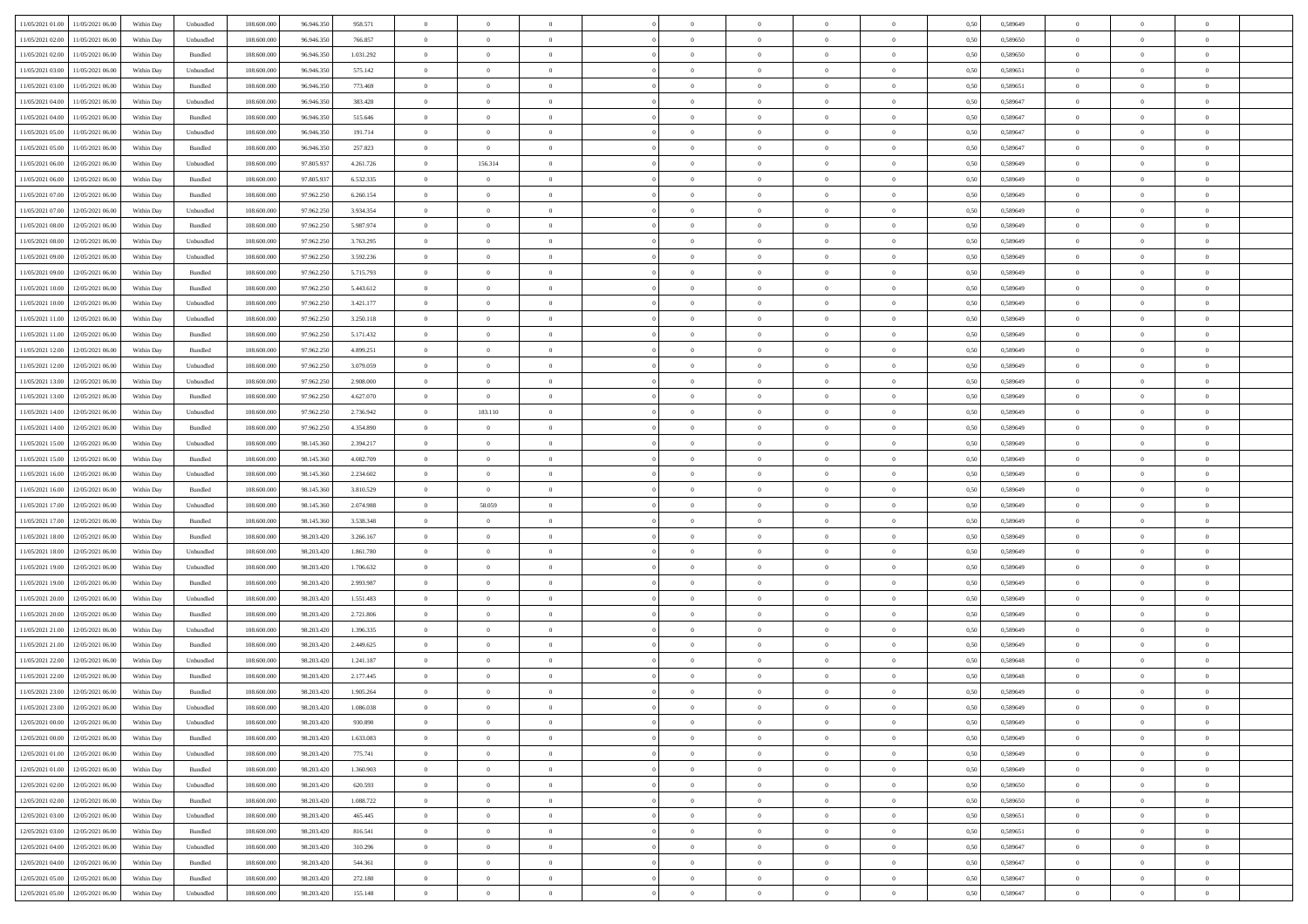| 11/05/2021 01:00 11/05/2021 06:00            |            |                             | 108.600.000 |            |           | $\overline{0}$ | $\theta$       |                | $\overline{0}$ | $\theta$       |                | $\theta$       |      | 0,589649 | $\theta$       | $\theta$       | $\overline{0}$ |  |
|----------------------------------------------|------------|-----------------------------|-------------|------------|-----------|----------------|----------------|----------------|----------------|----------------|----------------|----------------|------|----------|----------------|----------------|----------------|--|
|                                              | Within Day | Unbundled                   |             | 96.946.350 | 958.571   |                |                |                |                |                |                |                | 0,50 |          |                |                |                |  |
| 11/05/2021 02:00<br>11/05/2021 06:00         | Within Day | Unbundled                   | 108.600.00  | 96.946.35  | 766.857   | $\bf{0}$       | $\bf{0}$       | $\bf{0}$       | $\bf{0}$       | $\overline{0}$ | $\overline{0}$ | $\bf{0}$       | 0,50 | 0,589650 | $\,$ 0 $\,$    | $\bf{0}$       | $\overline{0}$ |  |
| 11/05/2021 02:00<br>11/05/2021 06:00         | Within Day | Bundled                     | 108,600,000 | 96,946,350 | 1.031.292 | $\overline{0}$ | $\bf{0}$       | $\overline{0}$ | $\bf{0}$       | $\bf{0}$       | $\overline{0}$ | $\bf{0}$       | 0.50 | 0,589650 | $\bf{0}$       | $\overline{0}$ | $\bf{0}$       |  |
| 11/05/2021 03:00<br>11/05/2021 06:00         | Within Day | Unbundled                   | 108.600.000 | 96.946.350 | 575.142   | $\overline{0}$ | $\overline{0}$ | $\overline{0}$ | $\overline{0}$ | $\theta$       | $\overline{0}$ | $\bf{0}$       | 0,50 | 0,589651 | $\,$ 0 $\,$    | $\theta$       | $\overline{0}$ |  |
|                                              |            |                             |             |            |           |                |                |                |                |                |                |                |      |          |                |                |                |  |
| 11/05/2021 03:00<br>11/05/2021 06:00         | Within Day | Bundled                     | 108.600.00  | 96.946.35  | 773.469   | $\bf{0}$       | $\overline{0}$ | $\bf{0}$       | $\overline{0}$ | $\bf{0}$       | $\overline{0}$ | $\bf{0}$       | 0,50 | 0,589651 | $\,$ 0 $\,$    | $\bf{0}$       | $\overline{0}$ |  |
| 11/05/2021 04:00<br>11/05/2021 06:00         | Within Day | Unbundled                   | 108,600,000 | 96,946,350 | 383.428   | $\overline{0}$ | $\bf{0}$       | $\overline{0}$ | $\bf{0}$       | $\overline{0}$ | $\overline{0}$ | $\bf{0}$       | 0.50 | 0.589647 | $\,$ 0 $\,$    | $\theta$       | $\overline{0}$ |  |
| 11/05/2021 04:00<br>11/05/2021 06:00         | Within Day | Bundled                     | 108.600.000 | 96.946.350 | 515.646   | $\overline{0}$ | $\overline{0}$ | $\overline{0}$ | $\overline{0}$ | $\overline{0}$ | $\overline{0}$ | $\bf{0}$       | 0,50 | 0,589647 | $\theta$       | $\theta$       | $\overline{0}$ |  |
| 11/05/2021 05:00<br>11/05/2021 06:00         | Within Day | Unbundled                   | 108.600.00  | 96.946.35  | 191.714   | $\bf{0}$       | $\bf{0}$       | $\bf{0}$       | $\overline{0}$ | $\overline{0}$ | $\overline{0}$ | $\bf{0}$       | 0,50 | 0,589647 | $\,$ 0 $\,$    | $\bf{0}$       | $\overline{0}$ |  |
| 11/05/2021 05:00<br>11/05/2021 06:00         | Within Day | Bundled                     | 108,600,000 | 96,946,350 | 257.823   | $\overline{0}$ | $\overline{0}$ | $\overline{0}$ | $\bf{0}$       | $\overline{0}$ | $\overline{0}$ | $\bf{0}$       | 0.50 | 0.589647 | $\bf{0}$       | $\overline{0}$ | $\overline{0}$ |  |
|                                              |            |                             |             |            |           |                |                |                |                |                |                |                |      |          |                |                |                |  |
| 11/05/2021 06:00<br>12/05/2021 06:00         | Within Day | Unbundled                   | 108.600.000 | 97.805.937 | 4.261.726 | $\bf{0}$       | 156.314        | $\overline{0}$ | $\overline{0}$ | $\overline{0}$ | $\overline{0}$ | $\bf{0}$       | 0,50 | 0,589649 | $\,$ 0 $\,$    | $\bf{0}$       | $\overline{0}$ |  |
| 11/05/2021 06:00<br>12/05/2021 06:00         | Within Day | Bundled                     | 108.600.00  | 97.805.93  | 6.532.335 | $\bf{0}$       | $\theta$       | $\bf{0}$       | $\bf{0}$       | $\overline{0}$ | $\overline{0}$ | $\bf{0}$       | 0,50 | 0,589649 | $\,$ 0 $\,$    | $\bf{0}$       | $\overline{0}$ |  |
| 11/05/2021 07:00<br>12/05/2021 06:00         | Within Day | Bundled                     | 108,600,000 | 97.962.250 | 6.260.154 | $\overline{0}$ | $\bf{0}$       | $\overline{0}$ | $\overline{0}$ | $\overline{0}$ | $\overline{0}$ | $\bf{0}$       | 0.50 | 0.589649 | $\bf{0}$       | $\overline{0}$ | $\,$ 0         |  |
| 11/05/2021 07:00<br>12/05/2021 06:00         | Within Day | Unbundled                   | 108.600.000 | 97.962.250 | 3.934.354 | $\overline{0}$ | $\overline{0}$ | $\overline{0}$ | $\theta$       | $\theta$       | $\overline{0}$ | $\bf{0}$       | 0,50 | 0,589649 | $\,$ 0 $\,$    | $\theta$       | $\overline{0}$ |  |
|                                              |            |                             |             |            |           |                | $\overline{0}$ |                |                |                | $\overline{0}$ |                |      |          | $\,$ 0 $\,$    | $\bf{0}$       | $\overline{0}$ |  |
| 11/05/2021 08:00<br>12/05/2021 06:00         | Within Day | Bundled                     | 108.600.00  | 97.962.25  | 5.987.974 | $\bf{0}$       |                | $\bf{0}$       | $\bf{0}$       | $\bf{0}$       |                | $\bf{0}$       | 0,50 | 0,589649 |                |                |                |  |
| 11/05/2021 08:00<br>12/05/2021 06:00         | Within Day | Unbundled                   | 108,600,000 | 97.962.250 | 3.763.295 | $\overline{0}$ | $\bf{0}$       | $\overline{0}$ | $\bf{0}$       | $\overline{0}$ | $\overline{0}$ | $\bf{0}$       | 0.50 | 0.589649 | $\bf{0}$       | $\theta$       | $\overline{0}$ |  |
| 11/05/2021 09:00<br>12/05/2021 06:00         | Within Day | Unbundled                   | 108.600.000 | 97.962.250 | 3.592.236 | $\overline{0}$ | $\overline{0}$ | $\overline{0}$ | $\overline{0}$ | $\overline{0}$ | $\overline{0}$ | $\bf{0}$       | 0,50 | 0,589649 | $\theta$       | $\theta$       | $\overline{0}$ |  |
| 11/05/2021 09:00<br>12/05/2021 06:00         | Within Day | Bundled                     | 108.600.00  | 97.962.25  | 5.715.793 | $\bf{0}$       | $\bf{0}$       | $\bf{0}$       | $\overline{0}$ | $\overline{0}$ | $\overline{0}$ | $\bf{0}$       | 0,50 | 0,589649 | $\,$ 0 $\,$    | $\bf{0}$       | $\overline{0}$ |  |
| 11/05/2021 10:00<br>12/05/2021 06:00         | Within Day | Bundled                     | 108,600,000 | 97.962.25  | 5.443.612 | $\overline{0}$ | $\bf{0}$       | $\overline{0}$ | $\bf{0}$       | $\overline{0}$ | $\overline{0}$ | $\bf{0}$       | 0.50 | 0.589649 | $\bf{0}$       | $\overline{0}$ | $\bf{0}$       |  |
| 11/05/2021 10:00<br>12/05/2021 06:00         |            |                             |             |            |           | $\overline{0}$ | $\bf{0}$       | $\overline{0}$ | $\overline{0}$ | $\overline{0}$ | $\overline{0}$ |                |      |          | $\,$ 0 $\,$    | $\bf{0}$       | $\overline{0}$ |  |
|                                              | Within Day | Unbundled                   | 108.600.000 | 97.962.250 | 3.421.177 |                |                |                |                |                |                | $\bf{0}$       | 0,50 | 0,589649 |                |                |                |  |
| 11/05/2021 11:00<br>12/05/2021 06:00         | Within Day | Unbundled                   | 108.600.00  | 97.962.25  | 3.250.118 | $\bf{0}$       | $\bf{0}$       | $\bf{0}$       | $\bf{0}$       | $\overline{0}$ | $\overline{0}$ | $\bf{0}$       | 0,50 | 0,589649 | $\,$ 0 $\,$    | $\bf{0}$       | $\overline{0}$ |  |
| 11/05/2021 11:00<br>12/05/2021 06:00         | Within Day | Bundled                     | 108,600,000 | 97.962.250 | 5.171.432 | $\overline{0}$ | $\bf{0}$       | $\overline{0}$ | $\overline{0}$ | $\bf{0}$       | $\overline{0}$ | $\bf{0}$       | 0.50 | 0.589649 | $\bf{0}$       | $\overline{0}$ | $\,$ 0         |  |
| 11/05/2021 12:00<br>12/05/2021 06:00         | Within Day | Bundled                     | 108.600.000 | 97.962.250 | 4.899.251 | $\overline{0}$ | $\overline{0}$ | $\overline{0}$ | $\overline{0}$ | $\theta$       | $\overline{0}$ | $\bf{0}$       | 0,50 | 0,589649 | $\theta$       | $\theta$       | $\overline{0}$ |  |
| 11/05/2021 12:00<br>12/05/2021 06:00         | Within Day | Unbundled                   | 108.600.00  | 97.962.250 | 3.079.059 | $\bf{0}$       | $\bf{0}$       | $\bf{0}$       | $\bf{0}$       | $\overline{0}$ | $\overline{0}$ | $\bf{0}$       | 0,50 | 0,589649 | $\,$ 0 $\,$    | $\bf{0}$       | $\overline{0}$ |  |
| 11/05/2021 13:00<br>12/05/2021 06:00         | Within Day | Unbundled                   | 108,600,000 | 97.962.250 | 2.908.000 | $\overline{0}$ | $\bf{0}$       | $\overline{0}$ | $\bf{0}$       | $\overline{0}$ | $\overline{0}$ | $\bf{0}$       | 0.50 | 0.589649 | $\,$ 0 $\,$    | $\theta$       | $\overline{0}$ |  |
|                                              |            |                             |             |            |           |                |                |                |                |                |                |                |      |          |                |                |                |  |
| 11/05/2021 13:00<br>12/05/2021 06:00         | Within Day | Bundled                     | 108.600.000 | 97.962.250 | 4.627.070 | $\overline{0}$ | $\bf{0}$       | $\overline{0}$ | $\overline{0}$ | $\overline{0}$ | $\overline{0}$ | $\bf{0}$       | 0,50 | 0,589649 | $\,$ 0 $\,$    | $\theta$       | $\overline{0}$ |  |
| 11/05/2021 14:00<br>12/05/2021 06:00         | Within Day | Unbundled                   | 108.600.00  | 97.962.25  | 2.736.942 | $\bf{0}$       | 183.110        | $\bf{0}$       | $\overline{0}$ | $\overline{0}$ | $\overline{0}$ | $\bf{0}$       | 0,50 | 0,589649 | $\,$ 0 $\,$    | $\bf{0}$       | $\overline{0}$ |  |
| 11/05/2021 14:00<br>12/05/2021 06:00         | Within Day | Bundled                     | 108,600,000 | 97.962.25  | 4,354,890 | $\overline{0}$ | $\bf{0}$       | $\overline{0}$ | $\bf{0}$       | $\overline{0}$ | $\overline{0}$ | $\bf{0}$       | 0.50 | 0.589649 | $\bf{0}$       | $\overline{0}$ | $\overline{0}$ |  |
| 11/05/2021 15:00<br>12/05/2021 06:00         | Within Day | Unbundled                   | 108.600.000 | 98.145.360 | 2.394.217 | $\overline{0}$ | $\bf{0}$       | $\overline{0}$ | $\overline{0}$ | $\overline{0}$ | $\overline{0}$ | $\bf{0}$       | 0,50 | 0,589649 | $\theta$       | $\bf{0}$       | $\overline{0}$ |  |
| 11/05/2021 15:00<br>12/05/2021 06:00         | Within Day | Bundled                     | 108.600.00  | 98.145.36  | 4.082.709 | $\bf{0}$       | $\bf{0}$       | $\bf{0}$       | $\bf{0}$       | $\overline{0}$ | $\overline{0}$ | $\bf{0}$       | 0,50 | 0,589649 | $\,$ 0 $\,$    | $\bf{0}$       | $\overline{0}$ |  |
| 11/05/2021 16:00<br>12/05/2021 06:00         | Within Day | Unbundled                   | 108,600,000 | 98.145.360 | 2.234.602 | $\overline{0}$ | $\bf{0}$       | $\overline{0}$ | $\bf{0}$       | $\bf{0}$       | $\overline{0}$ | $\bf{0}$       | 0.50 | 0.589649 | $\bf{0}$       | $\overline{0}$ | $\,$ 0         |  |
|                                              |            |                             |             |            |           |                |                |                |                |                |                |                |      |          |                |                |                |  |
| 11/05/2021 16:00<br>12/05/2021 06:00         | Within Day | Bundled                     | 108.600.000 | 98.145.36  | 3.810.529 | $\overline{0}$ | $\overline{0}$ | $\overline{0}$ | $\overline{0}$ | $\overline{0}$ | $\overline{0}$ | $\bf{0}$       | 0.50 | 0.589649 | $\theta$       | $\theta$       | $\overline{0}$ |  |
| 11/05/2021 17:00<br>12/05/2021 06:00         | Within Day | Unbundled                   | 108.600.00  | 98.145.36  | 2.074.988 | $\bf{0}$       | 58.059         | $\bf{0}$       | $\bf{0}$       | $\overline{0}$ | $\overline{0}$ | $\bf{0}$       | 0,50 | 0,589649 | $\,$ 0 $\,$    | $\bf{0}$       | $\overline{0}$ |  |
| 11/05/2021 17:00<br>12/05/2021 06:00         | Within Day | Bundled                     | 108,600,000 | 98.145.360 | 3.538.348 | $\overline{0}$ | $\bf{0}$       | $\overline{0}$ | $\bf{0}$       | $\overline{0}$ | $\overline{0}$ | $\bf{0}$       | 0.50 | 0.589649 | $\,$ 0 $\,$    | $\bf{0}$       | $\overline{0}$ |  |
| 11/05/2021 18:00<br>12/05/2021 06:00         | Within Dav | Bundled                     | 108.600.000 | 98.203.420 | 3.266.167 | $\overline{0}$ | $\overline{0}$ | $\overline{0}$ | $\overline{0}$ | $\overline{0}$ | $\overline{0}$ | $\bf{0}$       | 0.50 | 0.589649 | $\theta$       | $\theta$       | $\overline{0}$ |  |
| 11/05/2021 18:00<br>12/05/2021 06:00         | Within Day | Unbundled                   | 108.600.00  | 98.203.420 | 1.861.780 | $\bf{0}$       | $\bf{0}$       | $\bf{0}$       | $\bf{0}$       | $\overline{0}$ | $\overline{0}$ | $\bf{0}$       | 0,50 | 0,589649 | $\,$ 0 $\,$    | $\bf{0}$       | $\overline{0}$ |  |
| 11/05/2021 19:00<br>12/05/2021 06:00         | Within Day | Unbundled                   | 108,600,000 | 98.203.420 | 1.706.632 | $\overline{0}$ | $\bf{0}$       | $\overline{0}$ | $\bf{0}$       | $\overline{0}$ | $\overline{0}$ | $\bf{0}$       | 0.50 | 0.589649 | $\bf{0}$       | $\overline{0}$ | $\overline{0}$ |  |
|                                              |            |                             |             |            |           |                | $\overline{0}$ |                |                | $\overline{0}$ |                |                |      |          | $\theta$       | $\theta$       | $\overline{0}$ |  |
| 11/05/2021 19:00<br>12/05/2021 06:00         | Within Dav | Bundled                     | 108.600.000 | 98.203.420 | 2.993.987 | $\overline{0}$ |                | $\overline{0}$ | $\overline{0}$ |                | $\overline{0}$ | $\bf{0}$       | 0.50 | 0.589649 |                |                |                |  |
| 11/05/2021 20:00<br>12/05/2021 06:00         | Within Day | Unbundled                   | 108.600.00  | 98.203.420 | 1.551.483 | $\bf{0}$       | $\bf{0}$       | $\bf{0}$       | $\bf{0}$       | $\overline{0}$ | $\overline{0}$ | $\bf{0}$       | 0,50 | 0,589649 | $\,$ 0 $\,$    | $\bf{0}$       | $\overline{0}$ |  |
| 11/05/2021 20:00<br>12/05/2021 06:00         | Within Day | Bundled                     | 108,600,000 | 98.203.420 | 2.721.806 | $\overline{0}$ | $\bf{0}$       | $\overline{0}$ | $\overline{0}$ | $\bf{0}$       | $\overline{0}$ | $\bf{0}$       | 0.50 | 0.589649 | $\bf{0}$       | $\overline{0}$ | $\,$ 0         |  |
| 11/05/2021 21:00<br>12/05/2021 06:00         | Within Dav | Unbundled                   | 108.600.000 | 98.203.420 | 1.396.335 | $\overline{0}$ | $\overline{0}$ | $\overline{0}$ | $\overline{0}$ | $\overline{0}$ | $\overline{0}$ | $\bf{0}$       | 0.50 | 0.589649 | $\theta$       | $\theta$       | $\overline{0}$ |  |
| 11/05/2021 21:00<br>12/05/2021 06:00         | Within Day | Bundled                     | 108.600.00  | 98.203.420 | 2.449.625 | $\bf{0}$       | $\bf{0}$       | $\bf{0}$       | $\bf{0}$       | $\overline{0}$ | $\overline{0}$ | $\bf{0}$       | 0,50 | 0,589649 | $\,$ 0 $\,$    | $\bf{0}$       | $\overline{0}$ |  |
| 11/05/2021 22:00<br>12/05/2021 06:00         |            | Unbundled                   | 108,600,000 | 98.203.420 | 1.241.187 | $\overline{0}$ | $\overline{0}$ | $\overline{0}$ | $\bf{0}$       | $\overline{0}$ | $\overline{0}$ | $\bf{0}$       | 0.50 | 0.589648 | $\bf{0}$       | $\theta$       | $\overline{0}$ |  |
|                                              | Within Day |                             |             |            |           |                |                |                |                |                |                |                |      |          |                |                |                |  |
| 11/05/2021 22:00<br>12/05/2021 06:00         | Within Dav | Bundled                     | 108.600.000 | 98.203.420 | 2.177.445 | $\overline{0}$ | $\overline{0}$ | $\overline{0}$ | $\overline{0}$ | $\theta$       | $\overline{0}$ | $\overline{0}$ | 0.5( | 0.589648 | $\theta$       | $\theta$       | $\overline{0}$ |  |
| 11/05/2021 23:00<br>12/05/2021 06:00         | Within Day | Bundled                     | 108.600.00  | 98.203.420 | 1.905.264 | $\bf{0}$       | $\bf{0}$       | $\bf{0}$       | $\bf{0}$       | $\bf{0}$       | $\overline{0}$ | $\bf{0}$       | 0,50 | 0,589649 | $\overline{0}$ | $\bf{0}$       | $\overline{0}$ |  |
| $11/05/2021\ 23.00 \qquad 12/05/2021\ 06.00$ | Within Day | $\ensuremath{\mathsf{Unb}}$ | 108.600.000 | 98.203.420 | 1.086.038 | $\bf{0}$       | $\theta$       |                | $\Omega$       |                |                |                | 0,50 | 0.589649 | $\bf{0}$       | $\overline{0}$ |                |  |
| 12/05/2021 00:00 12/05/2021 06:00            | Within Day | Unbundled                   | 108.600.000 | 98.203.420 | 930.890   | $\overline{0}$ | $\overline{0}$ | $\Omega$       | $\theta$       | $\overline{0}$ | $\overline{0}$ | $\bf{0}$       | 0,50 | 0,589649 | $\theta$       | $\overline{0}$ | $\overline{0}$ |  |
| 12/05/2021 00:00<br>12/05/2021 06:00         | Within Day | Bundled                     | 108.600.00  | 98.203.420 | 1.633.083 | $\overline{0}$ | $\bf{0}$       | $\overline{0}$ | $\overline{0}$ | $\bf{0}$       | $\overline{0}$ | $\bf{0}$       | 0,50 | 0,589649 | $\bf{0}$       | $\overline{0}$ | $\bf{0}$       |  |
|                                              |            |                             |             |            |           |                |                |                |                |                |                |                |      |          |                |                |                |  |
| 12/05/2021 01:00 12/05/2021 06:00            | Within Day | Unbundled                   | 108,600,000 | 98.203.420 | 775.741   | $\overline{0}$ | $\overline{0}$ | $\overline{0}$ | $\overline{0}$ | $\mathbf{0}$   | $\overline{0}$ | $\,$ 0 $\,$    | 0.50 | 0.589649 | $\overline{0}$ | $\bf{0}$       | $\bf{0}$       |  |
| 12/05/2021 01:00 12/05/2021 06:00            | Within Dav | Bundled                     | 108.600.000 | 98.203.420 | 1.360.903 | $\overline{0}$ | $\overline{0}$ | $\overline{0}$ | $\overline{0}$ | $\overline{0}$ | $\overline{0}$ | $\bf{0}$       | 0,50 | 0.589649 | $\overline{0}$ | $\theta$       | $\overline{0}$ |  |
| 12/05/2021 02:00<br>12/05/2021 06:00         | Within Day | Unbundled                   | 108.600.000 | 98.203.420 | 620.593   | $\overline{0}$ | $\bf{0}$       | $\overline{0}$ | $\overline{0}$ | $\bf{0}$       | $\overline{0}$ | $\bf{0}$       | 0,50 | 0,589650 | $\bf{0}$       | $\overline{0}$ | $\overline{0}$ |  |
| 12/05/2021 02:00<br>12/05/2021 06:00         | Within Day | Bundled                     | 108,600,000 | 98.203.420 | 1.088.722 | $\overline{0}$ | $\bf{0}$       | $\overline{0}$ | $\overline{0}$ | $\bf{0}$       | $\overline{0}$ | $\bf{0}$       | 0.50 | 0.589650 | $\,$ 0 $\,$    | $\overline{0}$ | $\,$ 0         |  |
| 12/05/2021 03:00<br>12/05/2021 06:00         | Within Dav | Unbundled                   | 108.600.000 | 98.203.420 | 465,445   | $\overline{0}$ | $\overline{0}$ | $\overline{0}$ | $\overline{0}$ | $\overline{0}$ | $\overline{0}$ | $\bf{0}$       | 0.50 | 0,589651 | $\overline{0}$ | $\theta$       | $\overline{0}$ |  |
|                                              |            |                             |             |            |           |                |                |                |                |                |                |                |      |          |                |                |                |  |
| 12/05/2021 03:00<br>12/05/2021 06:00         | Within Day | Bundled                     | 108.600.00  | 98.203.420 | 816.541   | $\overline{0}$ | $\overline{0}$ | $\overline{0}$ | $\overline{0}$ | $\overline{0}$ | $\overline{0}$ | $\bf{0}$       | 0,50 | 0,589651 | $\bf{0}$       | $\overline{0}$ | $\,$ 0         |  |
| 12/05/2021 04:00<br>12/05/2021 06:00         | Within Day | Unbundled                   | 108,600,000 | 98.203.420 | 310,296   | $\overline{0}$ | $\overline{0}$ | $\overline{0}$ | $\overline{0}$ | $\overline{0}$ | $\overline{0}$ | $\bf{0}$       | 0.50 | 0.589647 | $\mathbf{0}$   | $\bf{0}$       | $\,$ 0         |  |
| 12/05/2021 04:00<br>12/05/2021 06:00         | Within Dav | Bundled                     | 108.600.000 | 98.203.420 | 544.361   | $\overline{0}$ | $\overline{0}$ | $\overline{0}$ | $\overline{0}$ | $\overline{0}$ | $\overline{0}$ | $\bf{0}$       | 0,50 | 0,589647 | $\overline{0}$ | $\theta$       | $\overline{0}$ |  |
| 12/05/2021 05:00<br>12/05/2021 06:00         | Within Day | Bundled                     | 108.600.00  | 98.203.420 | 272.180   | $\overline{0}$ | $\bf{0}$       | $\overline{0}$ | $\bf{0}$       | $\overline{0}$ | $\overline{0}$ | $\bf{0}$       | 0,50 | 0,589647 | $\bf{0}$       | $\overline{0}$ | $\bf{0}$       |  |
| 12/05/2021 05:00 12/05/2021 06:00            | Within Day | Unbundled                   | 108.600.000 | 98.203.420 | 155.148   | $\,$ 0 $\,$    | $\bf{0}$       | $\overline{0}$ | $\overline{0}$ | $\,$ 0 $\,$    | $\overline{0}$ | $\,$ 0 $\,$    | 0,50 | 0,589647 | $\overline{0}$ | $\,$ 0 $\,$    | $\,$ 0 $\,$    |  |
|                                              |            |                             |             |            |           |                |                |                |                |                |                |                |      |          |                |                |                |  |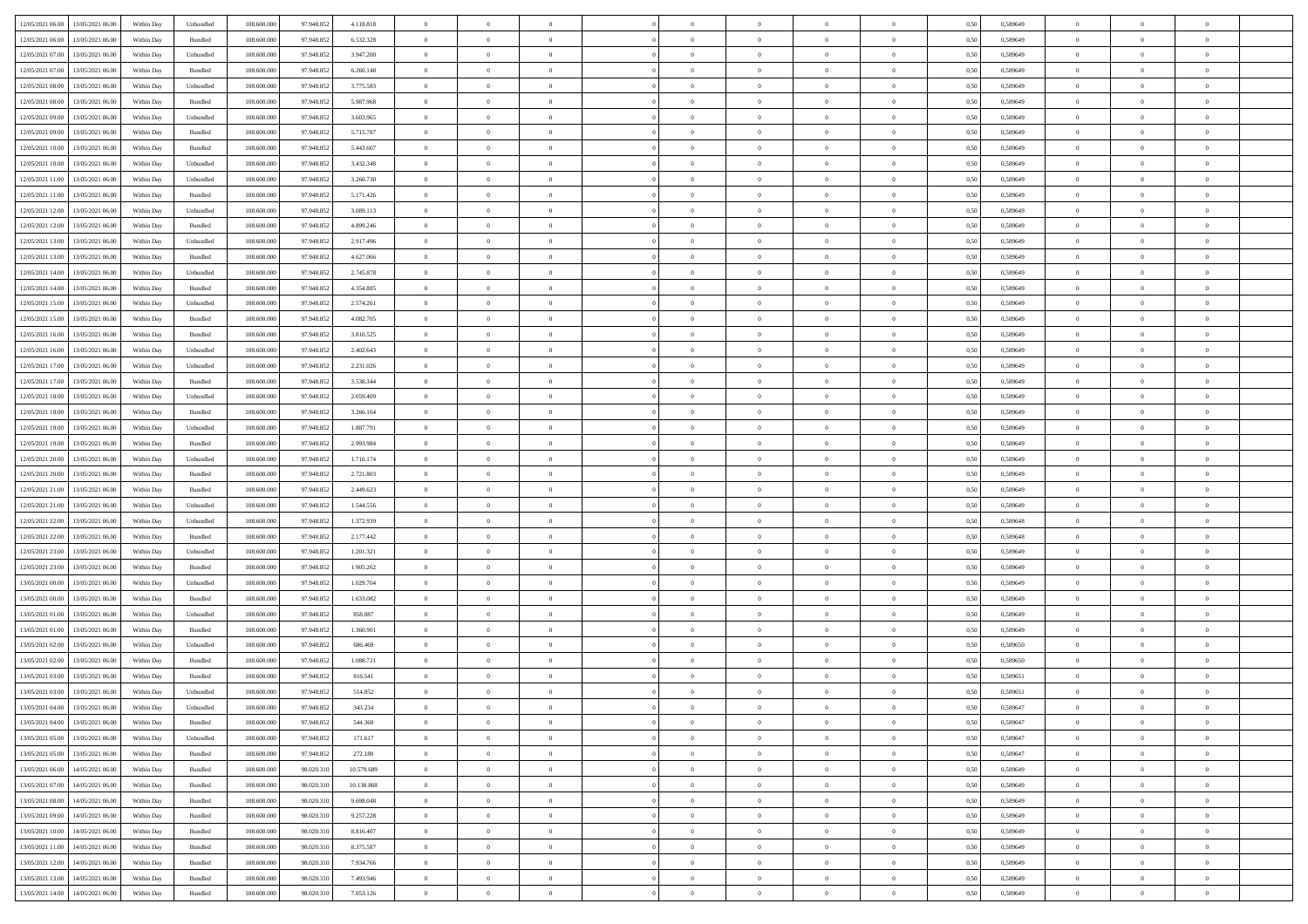| 12/05/2021 06:00 13/05/2021 06:00            | Within Day | Unbundled                   | 108.600.000 | 97.948.852 | 4.118.818  | $\overline{0}$ | $\overline{0}$ |                | $\overline{0}$ | $\theta$       |                | $\theta$       | 0,50 | 0,589649 | $\theta$       | $\theta$       | $\overline{0}$ |  |
|----------------------------------------------|------------|-----------------------------|-------------|------------|------------|----------------|----------------|----------------|----------------|----------------|----------------|----------------|------|----------|----------------|----------------|----------------|--|
| 12/05/2021 06:00<br>13/05/2021 06:00         | Within Day | Bundled                     | 108.600.00  | 97.948.85  | 6.532.328  | $\bf{0}$       | $\bf{0}$       | $\bf{0}$       | $\bf{0}$       | $\overline{0}$ | $\overline{0}$ | $\bf{0}$       | 0,50 | 0,589649 | $\,$ 0 $\,$    | $\bf{0}$       | $\overline{0}$ |  |
| 12/05/2021 07:00<br>13/05/2021 06:00         | Within Day | Unbundled                   | 108,600,000 | 97.948.852 | 3.947.200  | $\overline{0}$ | $\bf{0}$       | $\overline{0}$ | $\bf{0}$       | $\bf{0}$       | $\overline{0}$ | $\bf{0}$       | 0.50 | 0.589649 | $\bf{0}$       | $\overline{0}$ | $\overline{0}$ |  |
|                                              |            |                             |             |            |            | $\overline{0}$ |                |                |                |                |                |                |      |          |                | $\theta$       |                |  |
| 12/05/2021 07:00<br>13/05/2021 06:00         | Within Day | Bundled                     | 108.600.000 | 97.948.852 | 6.260.148  |                | $\overline{0}$ | $\overline{0}$ | $\overline{0}$ | $\theta$       | $\overline{0}$ | $\bf{0}$       | 0,50 | 0,589649 | $\,$ 0 $\,$    |                | $\overline{0}$ |  |
| 12/05/2021 08:00<br>13/05/2021 06:00         | Within Day | Unbundled                   | 108.600.00  | 97.948.852 | 3.775.583  | $\bf{0}$       | $\overline{0}$ | $\bf{0}$       | $\overline{0}$ | $\bf{0}$       | $\overline{0}$ | $\bf{0}$       | 0,50 | 0,589649 | $\,$ 0 $\,$    | $\bf{0}$       | $\overline{0}$ |  |
| 12/05/2021 08:00<br>13/05/2021 06:00         | Within Day | Bundled                     | 108,600,000 | 97.948.852 | 5.987.968  | $\overline{0}$ | $\bf{0}$       | $\overline{0}$ | $\bf{0}$       | $\overline{0}$ | $\theta$       | $\bf{0}$       | 0.50 | 0.589649 | $\,$ 0 $\,$    | $\theta$       | $\overline{0}$ |  |
| 12/05/2021 09:00<br>13/05/2021 06:00         | Within Day | Unbundled                   | 108.600.000 | 97.948.852 | 3.603.965  | $\overline{0}$ | $\overline{0}$ | $\overline{0}$ | $\overline{0}$ | $\overline{0}$ | $\overline{0}$ | $\bf{0}$       | 0,50 | 0,589649 | $\,$ 0 $\,$    | $\theta$       | $\overline{0}$ |  |
|                                              |            |                             |             |            |            |                | $\bf{0}$       | $\bf{0}$       | $\overline{0}$ | $\overline{0}$ | $\overline{0}$ |                |      |          | $\,$ 0 $\,$    | $\bf{0}$       | $\overline{0}$ |  |
| 12/05/2021 09:00<br>13/05/2021 06:00         | Within Day | Bundled                     | 108.600.00  | 97.948.85  | 5.715.787  | $\bf{0}$       |                |                |                |                |                | $\bf{0}$       | 0,50 | 0,589649 |                |                |                |  |
| 12/05/2021 10:00<br>13/05/2021 06:00         | Within Day | Bundled                     | 108,600,000 | 97.948.852 | 5.443.607  | $\overline{0}$ | $\bf{0}$       | $\overline{0}$ | $\bf{0}$       | $\overline{0}$ | $\overline{0}$ | $\bf{0}$       | 0.50 | 0.589649 | $\bf{0}$       | $\overline{0}$ | $\overline{0}$ |  |
| 12/05/2021 10:00<br>13/05/2021 06:00         | Within Day | Unbundled                   | 108.600.000 | 97.948.852 | 3.432.348  | $\bf{0}$       | $\bf{0}$       | $\overline{0}$ | $\overline{0}$ | $\overline{0}$ | $\overline{0}$ | $\bf{0}$       | 0,50 | 0,589649 | $\,$ 0 $\,$    | $\bf{0}$       | $\overline{0}$ |  |
| 12/05/2021 11:00<br>13/05/2021 06:00         | Within Day | Unbundled                   | 108.600.00  | 97.948.852 | 3.260.730  | $\bf{0}$       | $\bf{0}$       | $\bf{0}$       | $\bf{0}$       | $\overline{0}$ | $\overline{0}$ | $\bf{0}$       | 0,50 | 0,589649 | $\,$ 0 $\,$    | $\bf{0}$       | $\overline{0}$ |  |
| 12/05/2021 11:00<br>13/05/2021 06:00         | Within Day | Bundled                     | 108,600,000 | 97.948.852 | 5.171.426  | $\overline{0}$ | $\bf{0}$       | $\overline{0}$ | $\overline{0}$ | $\bf{0}$       | $\overline{0}$ | $\bf{0}$       | 0.50 | 0.589649 | $\bf{0}$       | $\,$ 0 $\,$    | $\,$ 0         |  |
|                                              |            |                             |             |            |            |                |                |                |                |                |                |                |      |          |                |                |                |  |
| 12/05/2021 12:00<br>13/05/2021 06:00         | Within Day | Unbundled                   | 108.600.000 | 97.948.852 | 3.089.113  | $\overline{0}$ | $\bf{0}$       | $\overline{0}$ | $\theta$       | $\theta$       | $\overline{0}$ | $\bf{0}$       | 0,50 | 0,589649 | $\,$ 0 $\,$    | $\theta$       | $\overline{0}$ |  |
| 12/05/2021 12:00<br>13/05/2021 06:00         | Within Day | Bundled                     | 108.600.00  | 97.948.852 | 4.899.246  | $\bf{0}$       | $\overline{0}$ | $\bf{0}$       | $\bf{0}$       | $\bf{0}$       | $\overline{0}$ | $\bf{0}$       | 0,50 | 0,589649 | $\,$ 0 $\,$    | $\bf{0}$       | $\overline{0}$ |  |
| 12/05/2021 13:00<br>13/05/2021 06:00         | Within Day | Unbundled                   | 108,600,000 | 97.948.852 | 2.917.496  | $\overline{0}$ | $\bf{0}$       | $\overline{0}$ | $\bf{0}$       | $\overline{0}$ | $\theta$       | $\bf{0}$       | 0.50 | 0.589649 | $\,$ 0 $\,$    | $\theta$       | $\overline{0}$ |  |
| 12/05/2021 13:00<br>13/05/2021 06:00         | Within Day | Bundled                     | 108.600.000 | 97.948.852 | 4.627.066  | $\overline{0}$ | $\overline{0}$ | $\overline{0}$ | $\overline{0}$ | $\overline{0}$ | $\overline{0}$ | $\bf{0}$       | 0,50 | 0,589649 | $\theta$       | $\theta$       | $\overline{0}$ |  |
| 12/05/2021 14:00<br>13/05/2021 06:00         | Within Day | Unbundled                   | 108.600.00  | 97.948.852 | 2.745.878  | $\bf{0}$       | $\bf{0}$       | $\bf{0}$       | $\overline{0}$ | $\overline{0}$ | $\overline{0}$ | $\bf{0}$       | 0,50 | 0,589649 | $\,$ 0 $\,$    | $\bf{0}$       | $\overline{0}$ |  |
|                                              |            |                             |             |            |            |                |                |                |                |                |                |                |      |          |                |                |                |  |
| 12/05/2021 14:00<br>13/05/2021 06:00         | Within Day | Bundled                     | 108,600,000 | 97.948.852 | 4.354.885  | $\overline{0}$ | $\bf{0}$       | $\overline{0}$ | $\bf{0}$       | $\overline{0}$ | $\overline{0}$ | $\bf{0}$       | 0.50 | 0.589649 | $\bf{0}$       | $\overline{0}$ | $\bf{0}$       |  |
| 12/05/2021 15:00<br>13/05/2021 06:00         | Within Day | Unbundled                   | 108.600.000 | 97.948.852 | 2.574.261  | $\bf{0}$       | $\bf{0}$       | $\overline{0}$ | $\overline{0}$ | $\overline{0}$ | $\overline{0}$ | $\bf{0}$       | 0,50 | 0,589649 | $\,$ 0 $\,$    | $\bf{0}$       | $\overline{0}$ |  |
| 12/05/2021 15:00<br>13/05/2021 06:00         | Within Day | Bundled                     | 108.600.00  | 97.948.852 | 4.082.705  | $\bf{0}$       | $\bf{0}$       | $\bf{0}$       | $\bf{0}$       | $\overline{0}$ | $\overline{0}$ | $\bf{0}$       | 0,50 | 0,589649 | $\,$ 0 $\,$    | $\bf{0}$       | $\overline{0}$ |  |
| 12/05/2021 16:00<br>13/05/2021 06:00         | Within Day | Bundled                     | 108,600,000 | 97.948.852 | 3.810.525  | $\overline{0}$ | $\bf{0}$       | $\overline{0}$ | $\overline{0}$ | $\bf{0}$       | $\overline{0}$ | $\bf{0}$       | 0.50 | 0.589649 | $\bf{0}$       | $\overline{0}$ | $\,$ 0         |  |
| 12/05/2021 16:00<br>13/05/2021 06:00         | Within Day | Unbundled                   | 108.600.000 | 97.948.852 | 2.402.643  | $\overline{0}$ | $\overline{0}$ | $\overline{0}$ | $\overline{0}$ | $\theta$       | $\overline{0}$ | $\bf{0}$       | 0,50 | 0,589649 | $\theta$       | $\theta$       | $\overline{0}$ |  |
|                                              |            |                             |             |            |            |                |                |                |                |                | $\overline{0}$ |                |      |          |                |                |                |  |
| 12/05/2021 17:00<br>13/05/2021 06:00         | Within Day | Unbundled                   | 108.600.00  | 97.948.852 | 2.231.026  | $\bf{0}$       | $\bf{0}$       | $\bf{0}$       | $\bf{0}$       | $\overline{0}$ |                | $\bf{0}$       | 0,50 | 0,589649 | $\,$ 0 $\,$    | $\bf{0}$       | $\overline{0}$ |  |
| 12/05/2021 17:00<br>13/05/2021 06:00         | Within Day | Bundled                     | 108,600,000 | 97.948.852 | 3.538.344  | $\overline{0}$ | $\bf{0}$       | $\overline{0}$ | $\bf{0}$       | $\overline{0}$ | $\theta$       | $\bf{0}$       | 0.50 | 0.589649 | $\,$ 0 $\,$    | $\theta$       | $\overline{0}$ |  |
| 12/05/2021 18:00<br>13/05/2021 06:00         | Within Day | Unbundled                   | 108.600.000 | 97.948.852 | 2.059.409  | $\overline{0}$ | $\overline{0}$ | $\overline{0}$ | $\overline{0}$ | $\overline{0}$ | $\overline{0}$ | $\bf{0}$       | 0,50 | 0,589649 | $\,$ 0 $\,$    | $\theta$       | $\overline{0}$ |  |
| 12/05/2021 18:00<br>13/05/2021 06:00         | Within Day | Bundled                     | 108.600.00  | 97.948.85  | 3.266.164  | $\bf{0}$       | $\overline{0}$ | $\bf{0}$       | $\overline{0}$ | $\overline{0}$ | $\overline{0}$ | $\bf{0}$       | 0,50 | 0,589649 | $\,$ 0 $\,$    | $\bf{0}$       | $\overline{0}$ |  |
| 12/05/2021 19:00<br>13/05/2021 06:00         | Within Day | Unbundled                   | 108,600,000 | 97.948.852 | 1.887.791  | $\overline{0}$ | $\bf{0}$       | $\overline{0}$ | $\bf{0}$       | $\overline{0}$ | $\overline{0}$ | $\bf{0}$       | 0.50 | 0.589649 | $\bf{0}$       | $\overline{0}$ | $\overline{0}$ |  |
| 12/05/2021 19:00<br>13/05/2021 06:00         | Within Day | Bundled                     | 108.600.000 | 97.948.852 | 2.993.984  | $\overline{0}$ | $\bf{0}$       | $\overline{0}$ | $\overline{0}$ | $\overline{0}$ | $\overline{0}$ | $\bf{0}$       | 0,50 | 0,589649 | $\theta$       | $\bf{0}$       | $\overline{0}$ |  |
|                                              |            |                             |             |            |            |                |                |                |                |                |                |                |      |          |                |                |                |  |
| 12/05/2021 20:00<br>13/05/2021 06:00         | Within Day | Unbundled                   | 108.600.00  | 97.948.852 | 1.716.174  | $\bf{0}$       | $\bf{0}$       | $\bf{0}$       | $\bf{0}$       | $\overline{0}$ | $\overline{0}$ | $\bf{0}$       | 0,50 | 0,589649 | $\,$ 0 $\,$    | $\bf{0}$       | $\overline{0}$ |  |
| 12/05/2021 20:00<br>13/05/2021 06:00         | Within Day | Bundled                     | 108,600,000 | 97.948.852 | 2.721.803  | $\overline{0}$ | $\bf{0}$       | $\overline{0}$ | $\overline{0}$ | $\bf{0}$       | $\overline{0}$ | $\bf{0}$       | 0.50 | 0.589649 | $\bf{0}$       | $\,$ 0 $\,$    | $\,$ 0         |  |
| 12/05/2021 21:00<br>13/05/2021 06:00         | Within Day | Bundled                     | 108.600.000 | 97.948.852 | 2.449.623  | $\overline{0}$ | $\overline{0}$ | $\overline{0}$ | $\overline{0}$ | $\overline{0}$ | $\overline{0}$ | $\bf{0}$       | 0.50 | 0.589649 | $\theta$       | $\theta$       | $\overline{0}$ |  |
| 12/05/2021 21:00<br>13/05/2021 06:00         | Within Day | Unbundled                   | 108.600.00  | 97.948.852 | 1.544.556  | $\bf{0}$       | $\bf{0}$       | $\bf{0}$       | $\bf{0}$       | $\overline{0}$ | $\overline{0}$ | $\bf{0}$       | 0,50 | 0,589649 | $\,$ 0 $\,$    | $\bf{0}$       | $\overline{0}$ |  |
| 12/05/2021 22:00<br>13/05/2021 06:00         | Within Day | Unbundled                   | 108,600,000 | 97.948.852 | 1.372.939  | $\overline{0}$ | $\bf{0}$       | $\overline{0}$ | $\bf{0}$       | $\overline{0}$ | $\overline{0}$ | $\bf{0}$       | 0.50 | 0.589648 | $\,$ 0 $\,$    | $\bf{0}$       | $\overline{0}$ |  |
| 13/05/2021 06:00                             | Within Dav | Bundled                     | 108.600.000 | 97.948.852 | 2.177.442  | $\overline{0}$ | $\overline{0}$ | $\overline{0}$ | $\overline{0}$ | $\overline{0}$ | $\overline{0}$ | $\bf{0}$       | 0.50 | 0.589648 | $\theta$       | $\theta$       | $\overline{0}$ |  |
| 12/05/2021 22:00                             |            |                             |             |            |            |                |                |                |                |                |                |                |      |          |                |                |                |  |
| 12/05/2021 23:00<br>13/05/2021 06:00         | Within Day | Unbundled                   | 108.600.00  | 97.948.852 | 1.201.321  | $\bf{0}$       | $\bf{0}$       | $\bf{0}$       | $\bf{0}$       | $\overline{0}$ | $\overline{0}$ | $\bf{0}$       | 0,50 | 0,589649 | $\,$ 0 $\,$    | $\bf{0}$       | $\overline{0}$ |  |
| 12/05/2021 23:00<br>13/05/2021 06:00         | Within Day | Bundled                     | 108,600,000 | 97.948.852 | 1.905.262  | $\overline{0}$ | $\bf{0}$       | $\overline{0}$ | $\bf{0}$       | $\overline{0}$ | $\overline{0}$ | $\bf{0}$       | 0.50 | 0.589649 | $\bf{0}$       | $\overline{0}$ | $\overline{0}$ |  |
| 13/05/2021 00:00<br>13/05/2021 06:00         | Within Dav | Unbundled                   | 108.600.000 | 97.948.852 | 1.029.704  | $\overline{0}$ | $\overline{0}$ | $\overline{0}$ | $\overline{0}$ | $\overline{0}$ | $\overline{0}$ | $\bf{0}$       | 0.50 | 0.589649 | $\theta$       | $\theta$       | $\overline{0}$ |  |
| 13/05/2021 00:00<br>13/05/2021 06:00         | Within Day | Bundled                     | 108.600.00  | 97.948.852 | 1.633.082  | $\bf{0}$       | $\bf{0}$       | $\bf{0}$       | $\bf{0}$       | $\overline{0}$ | $\overline{0}$ | $\bf{0}$       | 0,50 | 0,589649 | $\,$ 0 $\,$    | $\bf{0}$       | $\overline{0}$ |  |
| 13/05/2021 01:00<br>13/05/2021 06:00         | Within Day | Unbundled                   | 108,600,000 | 97.948.852 | 858,087    | $\overline{0}$ | $\bf{0}$       | $\overline{0}$ | $\overline{0}$ | $\bf{0}$       | $\overline{0}$ | $\bf{0}$       | 0.50 | 0.589649 | $\bf{0}$       | $\overline{0}$ | $\,$ 0         |  |
|                                              |            |                             |             |            |            |                |                |                |                |                |                |                |      |          |                |                |                |  |
| 13/05/2021 01:00<br>13/05/2021 06:00         | Within Dav | Bundled                     | 108.600.000 | 97.948.852 | 1.360.901  | $\overline{0}$ | $\overline{0}$ | $\overline{0}$ | $\overline{0}$ | $\overline{0}$ | $\overline{0}$ | $\bf{0}$       | 0.50 | 0.589649 | $\theta$       | $\theta$       | $\overline{0}$ |  |
| 13/05/2021 02:00<br>13/05/2021 06:00         | Within Day | Unbundled                   | 108.600.00  | 97.948.852 | 686.469    | $\bf{0}$       | $\bf{0}$       | $\bf{0}$       | $\bf{0}$       | $\overline{0}$ | $\overline{0}$ | $\bf{0}$       | 0,50 | 0,589650 | $\,$ 0 $\,$    | $\bf{0}$       | $\overline{0}$ |  |
| 13/05/2021 02:00<br>13/05/2021 06:00         | Within Day | Bundled                     | 108,600,000 | 97.948.852 | 1.088.721  | $\overline{0}$ | $\overline{0}$ | $\overline{0}$ | $\bf{0}$       | $\overline{0}$ | $\overline{0}$ | $\bf{0}$       | 0.50 | 0.589650 | $\bf{0}$       | $\theta$       | $\overline{0}$ |  |
| 13/05/2021 03:00<br>13/05/2021 06:00         | Within Dav | Bundled                     | 108.600.000 | 97.948.852 | 816.541    | $\overline{0}$ | $\overline{0}$ | $\overline{0}$ | $\theta$       | $\theta$       | $\overline{0}$ | $\overline{0}$ | 0.5( | 0.589651 | $\theta$       | $\theta$       | $\overline{0}$ |  |
| 13/05/2021 03:00<br>13/05/2021 06:00         | Within Day | Unbundled                   | 108.600.00  | 97.948.852 | 514.852    | $\bf{0}$       | $\bf{0}$       | $\bf{0}$       | $\bf{0}$       | $\bf{0}$       | $\overline{0}$ | $\bf{0}$       | 0,50 | 0,589651 | $\,$ 0 $\,$    | $\overline{0}$ | $\overline{0}$ |  |
| $13/05/2021\ 04.00 \qquad 13/05/2021\ 06.00$ | Within Day | $\ensuremath{\mathsf{Unb}}$ | 108.600.000 | 97.948.852 | 343.234    |                | $\theta$       |                | $\Omega$       |                |                |                |      | 0.589647 |                |                |                |  |
|                                              |            |                             |             |            |            | $\bf{0}$       |                |                |                |                |                |                | 0,50 |          | $\bf{0}$       | $\bf{0}$       |                |  |
| 13/05/2021 04:00 13/05/2021 06:00            | Within Day | Bundled                     | 108.600.000 | 97.948.852 | 544.360    | $\overline{0}$ | $\overline{0}$ | $\Omega$       | $\theta$       | $\overline{0}$ | $\overline{0}$ | $\bf{0}$       | 0,50 | 0,589647 | $\theta$       | $\overline{0}$ | $\overline{0}$ |  |
| 13/05/2021 05:00<br>13/05/2021 06:00         | Within Day | Unbundled                   | 108.600.00  | 97.948.852 | 171.617    | $\overline{0}$ | $\bf{0}$       | $\overline{0}$ | $\overline{0}$ | $\bf{0}$       | $\overline{0}$ | $\bf{0}$       | 0,50 | 0,589647 | $\bf{0}$       | $\overline{0}$ | $\bf{0}$       |  |
| 13/05/2021 05:00 13/05/2021 06:00            | Within Day | Bundled                     | 108,600,000 | 97.948.852 | 272.180    | $\overline{0}$ | $\overline{0}$ | $\overline{0}$ | $\overline{0}$ | $\mathbf{0}$   | $\overline{0}$ | $\,$ 0 $\,$    | 0.50 | 0.589647 | $\overline{0}$ | $\bf{0}$       | $\overline{0}$ |  |
| 13/05/2021 06:00 14/05/2021 06:00            | Within Dav | Bundled                     | 108.600.000 | 98.020.310 | 10.579.689 | $\overline{0}$ | $\overline{0}$ | $\overline{0}$ | $\overline{0}$ | $\overline{0}$ | $\overline{0}$ | $\bf{0}$       | 0,50 | 0.589649 | $\theta$       | $\theta$       | $\overline{0}$ |  |
|                                              |            |                             |             |            |            |                |                |                |                |                |                |                |      |          |                |                |                |  |
| 13/05/2021 07:00<br>14/05/2021 06:00         | Within Day | Bundled                     | 108.600.000 | 98.020.310 | 10.138.868 | $\overline{0}$ | $\bf{0}$       | $\overline{0}$ | $\overline{0}$ | $\bf{0}$       | $\overline{0}$ | $\bf{0}$       | 0,50 | 0,589649 | $\bf{0}$       | $\overline{0}$ | $\overline{0}$ |  |
| 13/05/2021 08:00<br>14/05/2021 06:00         | Within Day | Bundled                     | 108,600,000 | 98.020.310 | 9.698.048  | $\overline{0}$ | $\bf{0}$       | $\overline{0}$ | $\overline{0}$ | $\bf{0}$       | $\overline{0}$ | $\bf{0}$       | 0.50 | 0.589649 | $\,$ 0 $\,$    | $\overline{0}$ | $\,$ 0         |  |
| 13/05/2021 09:00<br>14/05/2021 06:00         | Within Dav | Bundled                     | 108.600.000 | 98.020.310 | 9.257.228  | $\overline{0}$ | $\overline{0}$ | $\overline{0}$ | $\overline{0}$ | $\overline{0}$ | $\overline{0}$ | $\bf{0}$       | 0,50 | 0.589649 | $\overline{0}$ | $\theta$       | $\overline{0}$ |  |
| 13/05/2021 10:00<br>14/05/2021 06:00         | Within Day | Bundled                     | 108.600.00  | 98.020.31  | 8.816.407  | $\overline{0}$ | $\overline{0}$ | $\overline{0}$ | $\overline{0}$ | $\overline{0}$ | $\overline{0}$ | $\bf{0}$       | 0,50 | 0,589649 | $\bf{0}$       | $\overline{0}$ | $\,$ 0         |  |
| 13/05/2021 11:00<br>14/05/2021 06:00         | Within Day | Bundled                     | 108,600,000 | 98.020.310 | 8.375.587  | $\overline{0}$ | $\overline{0}$ | $\overline{0}$ | $\overline{0}$ | $\overline{0}$ | $\overline{0}$ | $\bf{0}$       | 0.50 | 0.589649 | $\mathbf{0}$   | $\bf{0}$       | $\,$ 0         |  |
| 13/05/2021 12:00<br>14/05/2021 06:00         | Within Dav | Bundled                     | 108.600.000 | 98.020.310 | 7.934.766  | $\overline{0}$ | $\overline{0}$ | $\overline{0}$ | $\overline{0}$ | $\overline{0}$ | $\overline{0}$ | $\bf{0}$       | 0,50 | 0.589649 | $\overline{0}$ | $\theta$       | $\overline{0}$ |  |
|                                              |            |                             |             |            |            |                |                |                |                |                |                |                |      |          |                |                |                |  |
| 13/05/2021 13:00<br>14/05/2021 06:00         | Within Day | Bundled                     | 108.600.00  | 98.020.31  | 7.493.946  | $\overline{0}$ | $\bf{0}$       | $\overline{0}$ | $\bf{0}$       | $\overline{0}$ | $\overline{0}$ | $\bf{0}$       | 0,50 | 0,589649 | $\bf{0}$       | $\,0\,$        | $\bf{0}$       |  |
| 13/05/2021 14:00 14/05/2021 06:00            | Within Day | Bundled                     | 108.600.000 | 98.020.310 | 7.053.126  | $\overline{0}$ | $\bf{0}$       | $\overline{0}$ | $\overline{0}$ | $\,$ 0 $\,$    | $\overline{0}$ | $\bf{0}$       | 0,50 | 0,589649 | $\overline{0}$ | $\,$ 0 $\,$    | $\,$ 0 $\,$    |  |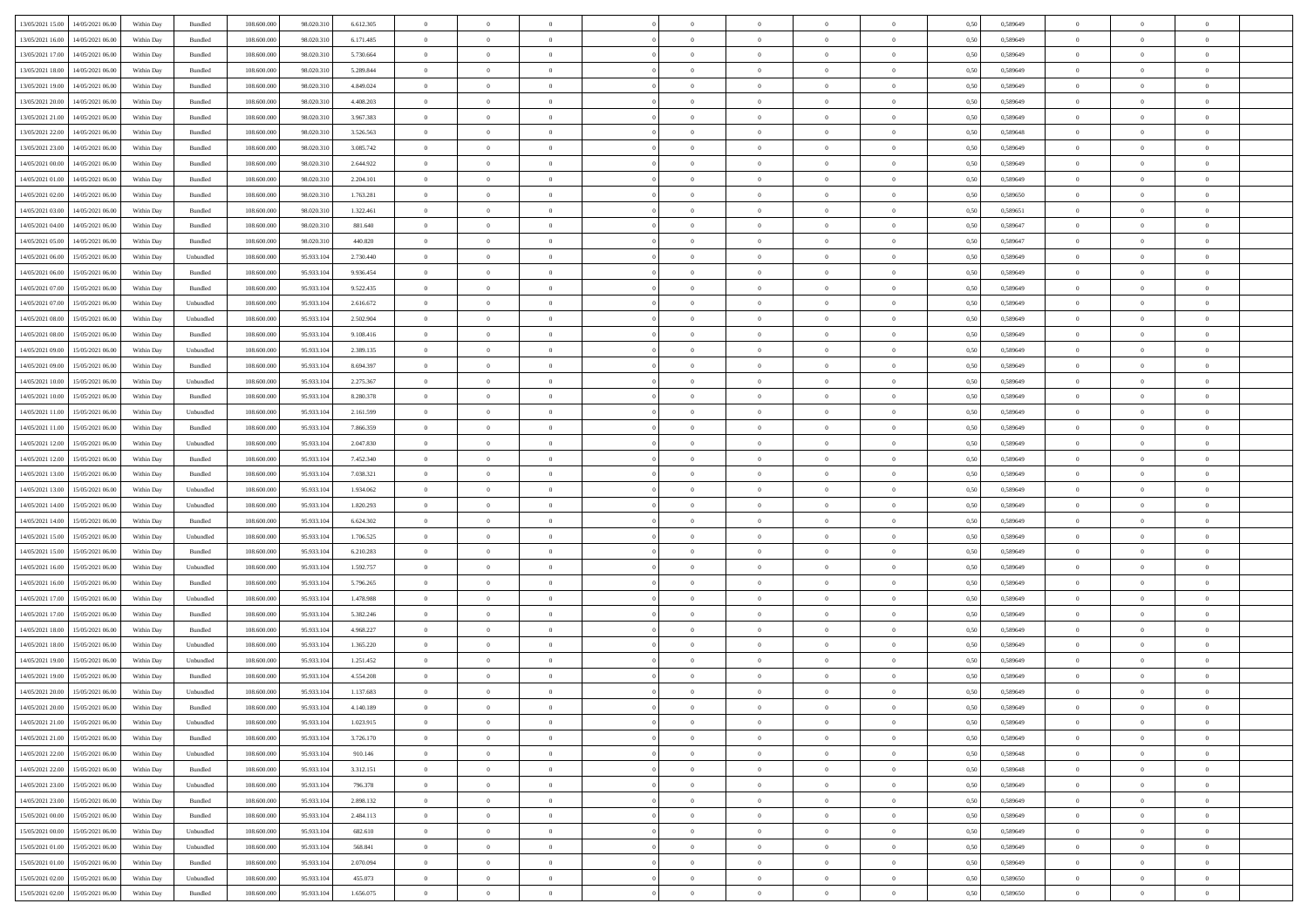| 13/05/2021 15:00 14/05/2021 06:00            | Within Day | Bundled   | 108.600.000 | 98.020.310 | 6.612.305 | $\overline{0}$ | $\overline{0}$ |                | $\overline{0}$ | $\theta$       |                | $\theta$       | 0,50 | 0,589649 | $\theta$       | $\theta$       | $\overline{0}$ |  |
|----------------------------------------------|------------|-----------|-------------|------------|-----------|----------------|----------------|----------------|----------------|----------------|----------------|----------------|------|----------|----------------|----------------|----------------|--|
|                                              |            |           |             |            |           |                |                |                |                |                |                |                |      |          |                |                |                |  |
| 13/05/2021 16:00<br>14/05/2021 06:00         | Within Day | Bundled   | 108.600.00  | 98.020.31  | 6.171.485 | $\bf{0}$       | $\bf{0}$       | $\bf{0}$       | $\bf{0}$       | $\overline{0}$ | $\overline{0}$ | $\bf{0}$       | 0,50 | 0,589649 | $\,$ 0 $\,$    | $\bf{0}$       | $\overline{0}$ |  |
| 13/05/2021 17:00<br>14/05/2021 06:00         | Within Day | Bundled   | 108,600,000 | 98.020.310 | 5.730.664 | $\overline{0}$ | $\bf{0}$       | $\overline{0}$ | $\bf{0}$       | $\bf{0}$       | $\overline{0}$ | $\bf{0}$       | 0.50 | 0.589649 | $\bf{0}$       | $\overline{0}$ | $\overline{0}$ |  |
| 13/05/2021 18:00<br>14/05/2021 06:00         | Within Day | Bundled   | 108.600.000 | 98.020.310 | 5.289.844 | $\overline{0}$ | $\overline{0}$ | $\overline{0}$ | $\overline{0}$ | $\theta$       | $\overline{0}$ | $\bf{0}$       | 0,50 | 0,589649 | $\theta$       | $\theta$       | $\overline{0}$ |  |
|                                              |            |           |             |            |           |                |                |                |                |                |                |                |      |          |                |                |                |  |
| 13/05/2021 19:00<br>14/05/2021 06:00         | Within Day | Bundled   | 108.600.00  | 98.020.31  | 4.849.024 | $\bf{0}$       | $\overline{0}$ | $\bf{0}$       | $\overline{0}$ | $\bf{0}$       | $\overline{0}$ | $\bf{0}$       | 0,50 | 0,589649 | $\,$ 0 $\,$    | $\bf{0}$       | $\overline{0}$ |  |
| 13/05/2021 20:00<br>14/05/2021 06:00         | Within Day | Bundled   | 108,600,000 | 98.020.310 | 4.408.203 | $\overline{0}$ | $\bf{0}$       | $\overline{0}$ | $\bf{0}$       | $\overline{0}$ | $\theta$       | $\bf{0}$       | 0.50 | 0.589649 | $\,$ 0 $\,$    | $\theta$       | $\overline{0}$ |  |
| 13/05/2021 21:00<br>14/05/2021 06:00         | Within Day | Bundled   | 108.600.000 | 98.020.310 | 3.967.383 | $\overline{0}$ | $\overline{0}$ | $\overline{0}$ | $\overline{0}$ | $\overline{0}$ | $\overline{0}$ | $\bf{0}$       | 0,50 | 0,589649 | $\,$ 0 $\,$    | $\theta$       | $\overline{0}$ |  |
| 13/05/2021 22:00<br>14/05/2021 06.00         | Within Day | Bundled   | 108.600.00  | 98.020.31  | 3.526.563 | $\bf{0}$       | $\bf{0}$       | $\bf{0}$       | $\overline{0}$ | $\overline{0}$ | $\overline{0}$ | $\bf{0}$       | 0,50 | 0,589648 | $\,$ 0 $\,$    | $\bf{0}$       | $\overline{0}$ |  |
| 13/05/2021 23:00<br>14/05/2021 06:00         | Within Day | Bundled   | 108,600,000 | 98.020.310 | 3.085.742 | $\overline{0}$ | $\bf{0}$       | $\overline{0}$ | $\bf{0}$       | $\overline{0}$ | $\overline{0}$ | $\bf{0}$       | 0.50 | 0.589649 | $\bf{0}$       | $\overline{0}$ | $\overline{0}$ |  |
|                                              |            |           |             |            |           |                |                |                |                |                |                |                |      |          |                |                |                |  |
| 14/05/2021 00:00<br>14/05/2021 06:00         | Within Day | Bundled   | 108.600.000 | 98.020.310 | 2.644.922 | $\bf{0}$       | $\bf{0}$       | $\overline{0}$ | $\overline{0}$ | $\overline{0}$ | $\overline{0}$ | $\bf{0}$       | 0,50 | 0,589649 | $\,$ 0 $\,$    | $\bf{0}$       | $\overline{0}$ |  |
| 14/05/2021 01:00<br>14/05/2021 06:00         | Within Day | Bundled   | 108.600.00  | 98.020.31  | 2.204.101 | $\bf{0}$       | $\bf{0}$       | $\bf{0}$       | $\bf{0}$       | $\overline{0}$ | $\overline{0}$ | $\bf{0}$       | 0,50 | 0,589649 | $\,$ 0 $\,$    | $\bf{0}$       | $\overline{0}$ |  |
| 14/05/2021 02:00<br>14/05/2021 06:00         | Within Day | Bundled   | 108,600,000 | 98.020.310 | 1.763.281 | $\overline{0}$ | $\bf{0}$       | $\overline{0}$ | $\overline{0}$ | $\bf{0}$       | $\overline{0}$ | $\bf{0}$       | 0.50 | 0.589650 | $\bf{0}$       | $\,$ 0 $\,$    | $\,$ 0         |  |
| 14/05/2021 03:00<br>14/05/2021 06:00         | Within Day | Bundled   | 108.600.000 | 98.020.310 | 1.322.461 | $\overline{0}$ | $\overline{0}$ | $\overline{0}$ | $\theta$       | $\theta$       | $\overline{0}$ | $\bf{0}$       | 0,50 | 0,589651 | $\,$ 0 $\,$    | $\theta$       | $\overline{0}$ |  |
|                                              |            |           |             |            |           |                | $\overline{0}$ |                |                |                | $\overline{0}$ |                |      |          | $\,$ 0 $\,$    | $\bf{0}$       | $\overline{0}$ |  |
| 14/05/2021 04:00<br>14/05/2021 06:00         | Within Day | Bundled   | 108.600.00  | 98.020.31  | 881.640   | $\bf{0}$       |                | $\bf{0}$       | $\bf{0}$       | $\bf{0}$       |                | $\bf{0}$       | 0,50 | 0,589647 |                |                |                |  |
| 14/05/2021 05:00<br>14/05/2021 06:00         | Within Day | Bundled   | 108,600,000 | 98.020.310 | 440.820   | $\overline{0}$ | $\bf{0}$       | $\overline{0}$ | $\bf{0}$       | $\overline{0}$ | $\theta$       | $\bf{0}$       | 0.50 | 0.589647 | $\,$ 0 $\,$    | $\theta$       | $\overline{0}$ |  |
| 14/05/2021 06:00<br>15/05/2021 06:00         | Within Day | Unbundled | 108.600.000 | 95.933.104 | 2.730.440 | $\overline{0}$ | $\overline{0}$ | $\overline{0}$ | $\overline{0}$ | $\overline{0}$ | $\overline{0}$ | $\bf{0}$       | 0,50 | 0,589649 | $\theta$       | $\theta$       | $\overline{0}$ |  |
| 14/05/2021 06:00<br>15/05/2021 06:00         | Within Day | Bundled   | 108.600.00  | 95.933.10  | 9.936.454 | $\bf{0}$       | $\bf{0}$       | $\bf{0}$       | $\overline{0}$ | $\overline{0}$ | $\overline{0}$ | $\bf{0}$       | 0,50 | 0,589649 | $\,$ 0 $\,$    | $\bf{0}$       | $\overline{0}$ |  |
| 14/05/2021 07:00<br>15/05/2021 06:00         | Within Day | Bundled   | 108,600,000 | 95.933.10  | 9.522.435 | $\overline{0}$ | $\bf{0}$       | $\overline{0}$ | $\bf{0}$       | $\overline{0}$ | $\overline{0}$ | $\bf{0}$       | 0.50 | 0.589649 | $\bf{0}$       | $\overline{0}$ | $\bf{0}$       |  |
| 14/05/2021 07:00<br>15/05/2021 06:00         |            |           | 108.600.000 |            |           |                | $\bf{0}$       | $\overline{0}$ | $\overline{0}$ | $\overline{0}$ | $\overline{0}$ |                |      |          | $\,$ 0 $\,$    | $\bf{0}$       | $\overline{0}$ |  |
|                                              | Within Day | Unbundled |             | 95.933.104 | 2.616.672 | $\bf{0}$       |                |                |                |                |                | $\bf{0}$       | 0,50 | 0,589649 |                |                |                |  |
| 14/05/2021 08:00<br>15/05/2021 06:00         | Within Day | Unbundled | 108.600.00  | 95.933.10  | 2.502.904 | $\bf{0}$       | $\bf{0}$       | $\bf{0}$       | $\bf{0}$       | $\overline{0}$ | $\overline{0}$ | $\bf{0}$       | 0,50 | 0,589649 | $\,$ 0 $\,$    | $\bf{0}$       | $\overline{0}$ |  |
| 14/05/2021 08:00<br>15/05/2021 06:00         | Within Day | Bundled   | 108,600,000 | 95.933.104 | 9.108.416 | $\overline{0}$ | $\bf{0}$       | $\overline{0}$ | $\overline{0}$ | $\bf{0}$       | $\overline{0}$ | $\bf{0}$       | 0.50 | 0.589649 | $\bf{0}$       | $\overline{0}$ | $\,$ 0         |  |
| 14/05/2021 09:00<br>15/05/2021 06:00         | Within Day | Unbundled | 108.600.000 | 95.933.104 | 2.389.135 | $\overline{0}$ | $\overline{0}$ | $\overline{0}$ | $\overline{0}$ | $\theta$       | $\overline{0}$ | $\bf{0}$       | 0,50 | 0,589649 | $\theta$       | $\theta$       | $\overline{0}$ |  |
| 14/05/2021 09:00<br>15/05/2021 06:00         | Within Day | Bundled   | 108.600.00  | 95.933.10  | 8.694.397 | $\bf{0}$       | $\bf{0}$       | $\bf{0}$       | $\bf{0}$       | $\overline{0}$ | $\overline{0}$ | $\bf{0}$       | 0,50 | 0,589649 | $\,$ 0 $\,$    | $\bf{0}$       | $\overline{0}$ |  |
| 14/05/2021 10:00<br>15/05/2021 06:00         | Within Day | Unbundled | 108,600,000 | 95.933.10  | 2.275.367 | $\overline{0}$ | $\bf{0}$       | $\overline{0}$ | $\bf{0}$       | $\overline{0}$ | $\theta$       | $\bf{0}$       | 0.50 | 0.589649 | $\,$ 0 $\,$    | $\theta$       | $\overline{0}$ |  |
|                                              |            |           |             |            |           |                |                |                |                |                |                |                |      |          |                |                |                |  |
| 14/05/2021 10:00<br>15/05/2021 06:00         | Within Day | Bundled   | 108.600.000 | 95.933.104 | 8.280.378 | $\overline{0}$ | $\overline{0}$ | $\overline{0}$ | $\overline{0}$ | $\overline{0}$ | $\overline{0}$ | $\bf{0}$       | 0,50 | 0,589649 | $\,$ 0 $\,$    | $\theta$       | $\overline{0}$ |  |
| 14/05/2021 11:00<br>15/05/2021 06:00         | Within Day | Unbundled | 108.600.00  | 95.933.10  | 2.161.599 | $\bf{0}$       | $\overline{0}$ | $\bf{0}$       | $\overline{0}$ | $\overline{0}$ | $\overline{0}$ | $\bf{0}$       | 0,50 | 0,589649 | $\,$ 0 $\,$    | $\bf{0}$       | $\overline{0}$ |  |
| 14/05/2021 11:00<br>15/05/2021 06:00         | Within Day | Bundled   | 108,600,000 | 95.933.10  | 7.866.359 | $\overline{0}$ | $\bf{0}$       | $\overline{0}$ | $\bf{0}$       | $\overline{0}$ | $\overline{0}$ | $\bf{0}$       | 0.50 | 0.589649 | $\bf{0}$       | $\overline{0}$ | $\overline{0}$ |  |
| 14/05/2021 12:00<br>15/05/2021 06:00         | Within Day | Unbundled | 108.600.000 | 95.933.104 | 2.047.830 | $\overline{0}$ | $\bf{0}$       | $\overline{0}$ | $\overline{0}$ | $\overline{0}$ | $\overline{0}$ | $\bf{0}$       | 0,50 | 0,589649 | $\,$ 0 $\,$    | $\bf{0}$       | $\overline{0}$ |  |
| 14/05/2021 12:00<br>15/05/2021 06:00         | Within Day | Bundled   | 108.600.00  | 95.933.10  | 7.452.340 | $\bf{0}$       | $\bf{0}$       | $\bf{0}$       | $\bf{0}$       | $\overline{0}$ | $\overline{0}$ | $\bf{0}$       | 0,50 | 0,589649 | $\,$ 0 $\,$    | $\bf{0}$       | $\overline{0}$ |  |
| 14/05/2021 13:00<br>15/05/2021 06:00         | Within Day | Bundled   | 108,600,000 | 95.933.104 | 7.038.321 | $\overline{0}$ | $\bf{0}$       | $\overline{0}$ | $\overline{0}$ | $\bf{0}$       | $\overline{0}$ | $\bf{0}$       | 0.50 | 0.589649 | $\bf{0}$       | $\overline{0}$ | $\,$ 0         |  |
|                                              |            |           |             |            |           |                |                |                |                |                |                |                |      |          |                |                |                |  |
| 14/05/2021 13:00<br>15/05/2021 06:00         | Within Day | Unbundled | 108.600.000 | 95.933.104 | 1.934.062 | $\overline{0}$ | $\overline{0}$ | $\overline{0}$ | $\overline{0}$ | $\overline{0}$ | $\overline{0}$ | $\bf{0}$       | 0.50 | 0.589649 | $\theta$       | $\theta$       | $\overline{0}$ |  |
| 14/05/2021 14:00<br>15/05/2021 06:00         | Within Day | Unbundled | 108.600.00  | 95.933.10  | 1.820.293 | $\bf{0}$       | $\bf{0}$       | $\bf{0}$       | $\bf{0}$       | $\overline{0}$ | $\overline{0}$ | $\bf{0}$       | 0,50 | 0,589649 | $\,$ 0 $\,$    | $\bf{0}$       | $\overline{0}$ |  |
| 14/05/2021 14:00<br>15/05/2021 06:00         | Within Day | Bundled   | 108,600,000 | 95.933.104 | 6.624.302 | $\overline{0}$ | $\bf{0}$       | $\overline{0}$ | $\bf{0}$       | $\overline{0}$ | $\overline{0}$ | $\bf{0}$       | 0.50 | 0.589649 | $\,$ 0 $\,$    | $\bf{0}$       | $\overline{0}$ |  |
| 14/05/2021 15:00<br>15/05/2021 06:00         | Within Dav | Unbundled | 108.600.000 | 95.933.104 | 1.706.525 | $\overline{0}$ | $\overline{0}$ | $\overline{0}$ | $\overline{0}$ | $\overline{0}$ | $\overline{0}$ | $\bf{0}$       | 0.50 | 0.589649 | $\theta$       | $\theta$       | $\overline{0}$ |  |
| 14/05/2021 15:00<br>15/05/2021 06:00         | Within Day | Bundled   | 108.600.00  | 95.933.10  | 6.210.283 | $\bf{0}$       | $\bf{0}$       | $\bf{0}$       | $\bf{0}$       | $\overline{0}$ | $\overline{0}$ | $\bf{0}$       | 0,50 | 0,589649 | $\,$ 0 $\,$    | $\bf{0}$       | $\overline{0}$ |  |
| 14/05/2021 16:00<br>15/05/2021 06:00         | Within Day | Unbundled | 108,600,000 | 95.933.10  | 1.592.757 | $\overline{0}$ | $\bf{0}$       | $\overline{0}$ | $\bf{0}$       | $\overline{0}$ | $\overline{0}$ | $\bf{0}$       | 0.50 | 0.589649 | $\bf{0}$       | $\overline{0}$ | $\overline{0}$ |  |
|                                              |            |           |             |            |           |                |                |                |                |                |                |                |      |          |                |                |                |  |
| 14/05/2021 16:00<br>15/05/2021 06:00         | Within Dav | Bundled   | 108.600.000 | 95.933.104 | 5.796.265 | $\overline{0}$ | $\overline{0}$ | $\overline{0}$ | $\overline{0}$ | $\overline{0}$ | $\overline{0}$ | $\bf{0}$       | 0.50 | 0.589649 | $\theta$       | $\theta$       | $\overline{0}$ |  |
| 14/05/2021 17:00<br>15/05/2021 06:00         | Within Day | Unbundled | 108.600.00  | 95.933.10  | 1.478.988 | $\bf{0}$       | $\bf{0}$       | $\bf{0}$       | $\bf{0}$       | $\overline{0}$ | $\overline{0}$ | $\bf{0}$       | 0,50 | 0,589649 | $\,$ 0 $\,$    | $\bf{0}$       | $\overline{0}$ |  |
| 14/05/2021 17:00<br>15/05/2021 06:00         | Within Day | Bundled   | 108,600,000 | 95.933.104 | 5.382.246 | $\overline{0}$ | $\bf{0}$       | $\overline{0}$ | $\overline{0}$ | $\bf{0}$       | $\overline{0}$ | $\bf{0}$       | 0.50 | 0.589649 | $\bf{0}$       | $\overline{0}$ | $\,$ 0         |  |
| 14/05/2021 18:00<br>15/05/2021 06:00         | Within Dav | Bundled   | 108.600.000 | 95.933.104 | 4.968.227 | $\overline{0}$ | $\overline{0}$ | $\overline{0}$ | $\overline{0}$ | $\overline{0}$ | $\overline{0}$ | $\bf{0}$       | 0.50 | 0.589649 | $\theta$       | $\theta$       | $\overline{0}$ |  |
| 14/05/2021 18:00<br>15/05/2021 06:00         | Within Day | Unbundled | 108.600.00  | 95.933.10  | 1.365.220 | $\bf{0}$       | $\bf{0}$       | $\bf{0}$       | $\bf{0}$       | $\overline{0}$ | $\overline{0}$ | $\bf{0}$       | 0,50 | 0,589649 | $\,$ 0 $\,$    | $\bf{0}$       | $\overline{0}$ |  |
| 14/05/2021 19:00<br>15/05/2021 06:00         |            | Unbundled | 108,600,000 | 95.933.10  | 1.251.452 | $\overline{0}$ | $\overline{0}$ | $\overline{0}$ | $\bf{0}$       | $\overline{0}$ | $\overline{0}$ | $\bf{0}$       | 0.50 | 0.589649 | $\bf{0}$       | $\theta$       | $\overline{0}$ |  |
|                                              | Within Day |           |             |            |           |                |                |                |                |                |                |                |      |          |                |                |                |  |
| 14/05/2021 19:00<br>15/05/2021 06:00         | Within Dav | Bundled   | 108.600.000 | 95.933.104 | 4.554.208 | $\overline{0}$ | $\overline{0}$ | $\overline{0}$ | $\overline{0}$ | $\theta$       | $\overline{0}$ | $\overline{0}$ | 0.50 | 0.589649 | $\theta$       | $\theta$       | $\overline{0}$ |  |
| 14/05/2021 20:00<br>15/05/2021 06:00         | Within Day | Unbundled | 108.600.000 | 95.933.10  | 1.137.683 | $\bf{0}$       | $\bf{0}$       | $\bf{0}$       | $\bf{0}$       | $\bf{0}$       | $\overline{0}$ | $\bf{0}$       | 0,50 | 0,589649 | $\,$ 0 $\,$    | $\overline{0}$ | $\overline{0}$ |  |
| $14/05/2021\ 20.00 \qquad 15/05/2021\ 06.00$ | Within Day | Bundled   | 108.600.000 | 95.933.104 | 4.140.189 | $\bf{0}$       | $\theta$       |                | $\overline{0}$ | $\Omega$       |                |                | 0,50 | 0.589649 | $\bf{0}$       | $\bf{0}$       |                |  |
| 14/05/2021 21:00 15/05/2021 06:00            | Within Day | Unbundled | 108.600.000 | 95.933.104 | 1.023.915 | $\overline{0}$ | $\overline{0}$ | $\Omega$       | $\theta$       | $\overline{0}$ | $\overline{0}$ | $\bf{0}$       | 0,50 | 0,589649 | $\theta$       | $\overline{0}$ | $\overline{0}$ |  |
| 14/05/2021 21:00<br>15/05/2021 06:00         | Within Day | Bundled   | 108.600.00  | 95.933.104 | 3.726.170 | $\overline{0}$ | $\bf{0}$       | $\overline{0}$ | $\overline{0}$ | $\bf{0}$       | $\overline{0}$ | $\bf{0}$       | 0,50 | 0,589649 | $\bf{0}$       | $\overline{0}$ | $\bf{0}$       |  |
| 14/05/2021 22.00 15/05/2021 06:00            |            |           | 108,600,000 | 95.933.104 | 910.146   | $\overline{0}$ | $\overline{0}$ |                |                | $\mathbf{0}$   | $\overline{0}$ | $\,$ 0 $\,$    | 0.50 | 0.589648 | $\overline{0}$ | $\bf{0}$       | $\overline{0}$ |  |
|                                              | Within Day | Unbundled |             |            |           |                |                | $\overline{0}$ | $\overline{0}$ |                |                |                |      |          |                |                |                |  |
| 14/05/2021 22:00 15/05/2021 06:00            | Within Day | Bundled   | 108.600.000 | 95.933.104 | 3.312.151 | $\overline{0}$ | $\overline{0}$ | $\overline{0}$ | $\overline{0}$ | $\overline{0}$ | $\overline{0}$ | $\bf{0}$       | 0,50 | 0.589648 | $\overline{0}$ | $\theta$       | $\overline{0}$ |  |
| 14/05/2021 23:00<br>15/05/2021 06:00         | Within Day | Unbundled | 108.600.000 | 95.933.104 | 796.378   | $\overline{0}$ | $\bf{0}$       | $\overline{0}$ | $\overline{0}$ | $\bf{0}$       | $\overline{0}$ | $\bf{0}$       | 0,50 | 0,589649 | $\bf{0}$       | $\overline{0}$ | $\overline{0}$ |  |
| 14/05/2021 23:00<br>15/05/2021 06:00         | Within Day | Bundled   | 108,600,000 | 95.933.104 | 2.898.132 | $\overline{0}$ | $\bf{0}$       | $\overline{0}$ | $\overline{0}$ | $\bf{0}$       | $\overline{0}$ | $\bf{0}$       | 0.50 | 0.589649 | $\,$ 0 $\,$    | $\overline{0}$ | $\,$ 0         |  |
| 15/05/2021 00:00<br>15/05/2021 06:00         | Within Dav | Bundled   | 108.600.000 | 95.933.104 | 2.484.113 | $\overline{0}$ | $\overline{0}$ | $\overline{0}$ | $\overline{0}$ | $\overline{0}$ | $\overline{0}$ | $\bf{0}$       | 0,50 | 0.589649 | $\overline{0}$ | $\theta$       | $\overline{0}$ |  |
| 15/05/2021 00:00<br>15/05/2021 06:00         | Within Day | Unbundled | 108.600.00  | 95.933.104 | 682.610   | $\overline{0}$ | $\overline{0}$ | $\overline{0}$ | $\overline{0}$ | $\overline{0}$ | $\overline{0}$ | $\bf{0}$       | 0,50 | 0,589649 | $\bf{0}$       | $\overline{0}$ | $\,$ 0         |  |
|                                              |            |           |             |            |           |                |                |                |                |                |                |                |      |          |                |                |                |  |
| 15/05/2021 01:00<br>15/05/2021 06:00         | Within Day | Unbundled | 108,600,000 | 95.933.104 | 568,841   | $\overline{0}$ | $\overline{0}$ | $\overline{0}$ | $\overline{0}$ | $\overline{0}$ | $\overline{0}$ | $\bf{0}$       | 0.50 | 0.589649 | $\mathbf{0}$   | $\bf{0}$       | $\,$ 0         |  |
| 15/05/2021 01:00 15/05/2021 06:00            | Within Dav | Bundled   | 108.600.000 | 95.933.104 | 2.070.094 | $\overline{0}$ | $\overline{0}$ | $\overline{0}$ | $\overline{0}$ | $\overline{0}$ | $\overline{0}$ | $\bf{0}$       | 0,50 | 0.589649 | $\overline{0}$ | $\theta$       | $\overline{0}$ |  |
| 15/05/2021 02:00<br>15/05/2021 06:00         | Within Day | Unbundled | 108.600.00  | 95.933.104 | 455.073   | $\overline{0}$ | $\bf{0}$       | $\overline{0}$ | $\overline{0}$ | $\overline{0}$ | $\overline{0}$ | $\bf{0}$       | 0,50 | 0,589650 | $\bf{0}$       | $\overline{0}$ | $\bf{0}$       |  |
| 15/05/2021 02:00 15/05/2021 06:00            | Within Day | Bundled   | 108.600.000 | 95.933.104 | 1.656.075 | $\overline{0}$ | $\bf{0}$       | $\overline{0}$ | $\overline{0}$ | $\,$ 0 $\,$    | $\overline{0}$ | $\,$ 0 $\,$    | 0,50 | 0,589650 | $\overline{0}$ | $\,$ 0 $\,$    | $\,$ 0 $\,$    |  |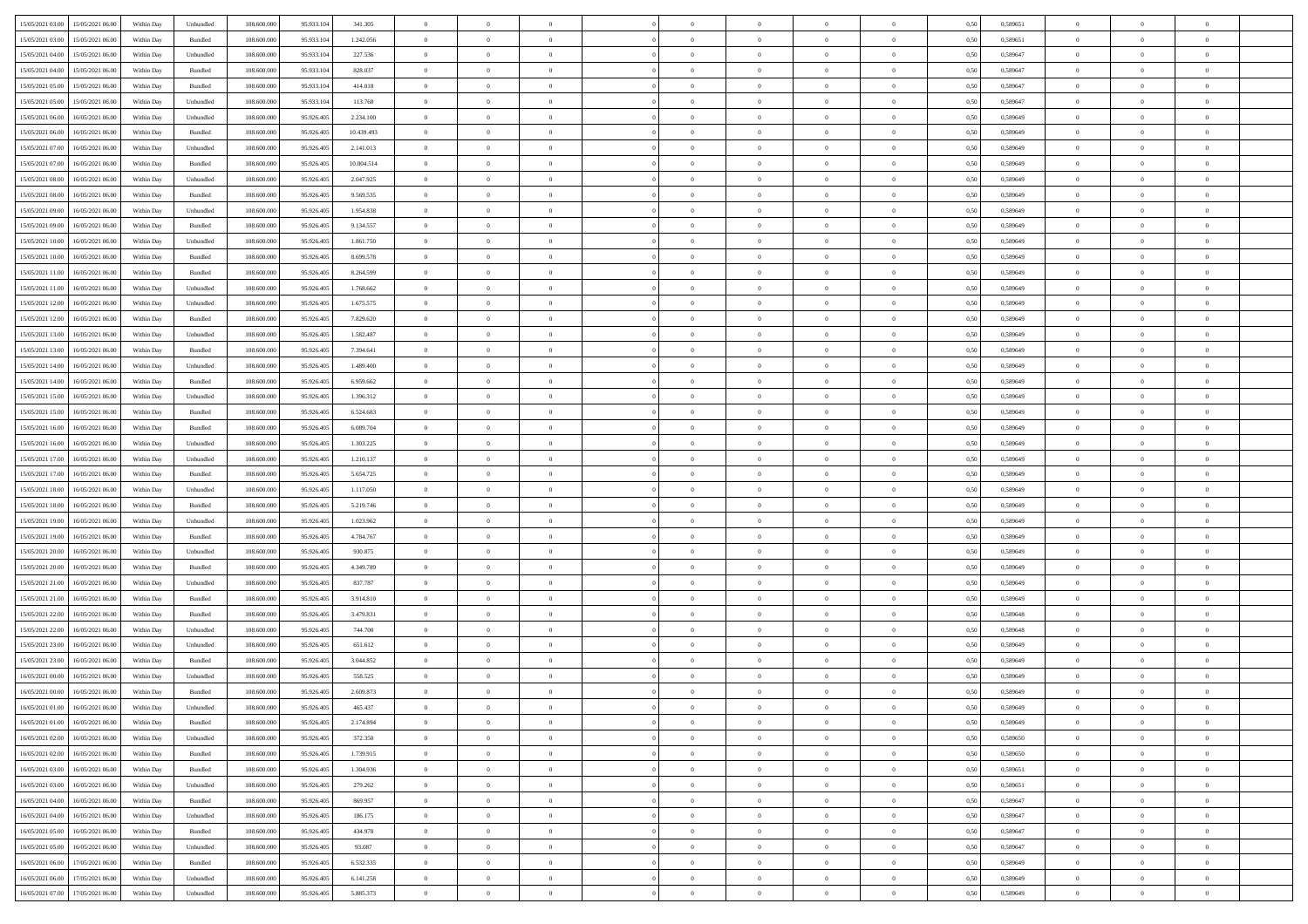| 15/05/2021 03:00 15/05/2021 06:00            | Within Day | Unbundled                   | 108.600.000 | 95.933.104 | 341.305    | $\overline{0}$ | $\overline{0}$ |                | $\overline{0}$ | $\theta$       |                | $\theta$       | 0,50 | 0,589651 | $\theta$       | $\theta$       | $\overline{0}$ |  |
|----------------------------------------------|------------|-----------------------------|-------------|------------|------------|----------------|----------------|----------------|----------------|----------------|----------------|----------------|------|----------|----------------|----------------|----------------|--|
| 15/05/2021 03:00<br>15/05/2021 06:00         | Within Day | Bundled                     | 108.600.00  | 95.933.10  | 1.242.056  | $\bf{0}$       | $\bf{0}$       | $\bf{0}$       | $\bf{0}$       | $\overline{0}$ | $\bf{0}$       | $\bf{0}$       | 0,50 | 0,589651 | $\,$ 0 $\,$    | $\bf{0}$       | $\overline{0}$ |  |
| 15/05/2021 04:00<br>15/05/2021 06:00         | Within Day | Unbundled                   | 108,600,000 | 95.933.104 | 227.536    | $\overline{0}$ | $\bf{0}$       | $\overline{0}$ | $\bf{0}$       | $\bf{0}$       | $\overline{0}$ | $\bf{0}$       | 0.50 | 0.589647 | $\bf{0}$       | $\overline{0}$ | $\bf{0}$       |  |
| 15/05/2021 04:00<br>15/05/2021 06:00         |            |                             | 108.600.000 |            |            | $\overline{0}$ | $\overline{0}$ | $\overline{0}$ | $\overline{0}$ | $\theta$       | $\overline{0}$ |                |      |          | $\,$ 0 $\,$    | $\theta$       | $\overline{0}$ |  |
|                                              | Within Day | Bundled                     |             | 95.933.104 | 828.037    |                |                |                |                |                |                | $\bf{0}$       | 0,50 | 0,589647 |                |                |                |  |
| 15/05/2021 05:00<br>15/05/2021 06:00         | Within Day | Bundled                     | 108.600.00  | 95.933.10  | 414.018    | $\bf{0}$       | $\overline{0}$ | $\bf{0}$       | $\overline{0}$ | $\bf{0}$       | $\overline{0}$ | $\bf{0}$       | 0,50 | 0,589647 | $\,$ 0 $\,$    | $\bf{0}$       | $\overline{0}$ |  |
| 15/05/2021 05:00<br>15/05/2021 06:00         | Within Day | Unbundled                   | 108,600,000 | 95.933.10  | 113.768    | $\overline{0}$ | $\bf{0}$       | $\overline{0}$ | $\bf{0}$       | $\overline{0}$ | $\theta$       | $\bf{0}$       | 0.50 | 0.589647 | $\,$ 0 $\,$    | $\theta$       | $\overline{0}$ |  |
| 15/05/2021 06:00<br>16/05/2021 06:00         | Within Day | Unbundled                   | 108.600.000 | 95.926.405 | 2.234.100  | $\overline{0}$ | $\overline{0}$ | $\overline{0}$ | $\overline{0}$ | $\overline{0}$ | $\overline{0}$ | $\bf{0}$       | 0,50 | 0,589649 | $\,$ 0 $\,$    | $\theta$       | $\overline{0}$ |  |
|                                              |            |                             |             |            |            |                |                |                |                |                |                |                |      |          |                |                |                |  |
| 15/05/2021 06:00<br>16/05/2021 06:00         | Within Day | Bundled                     | 108.600.00  | 95.926.40  | 10.439.493 | $\bf{0}$       | $\bf{0}$       | $\bf{0}$       | $\bf{0}$       | $\overline{0}$ | $\overline{0}$ | $\bf{0}$       | 0,50 | 0,589649 | $\,$ 0 $\,$    | $\bf{0}$       | $\overline{0}$ |  |
| 15/05/2021 07:00<br>16/05/2021 06:00         | Within Day | Unbundled                   | 108,600,000 | 95.926.40  | 2.141.013  | $\overline{0}$ | $\bf{0}$       | $\overline{0}$ | $\bf{0}$       | $\overline{0}$ | $\overline{0}$ | $\bf{0}$       | 0.50 | 0.589649 | $\bf{0}$       | $\overline{0}$ | $\overline{0}$ |  |
| 15/05/2021 07:00<br>16/05/2021 06:00         | Within Day | Bundled                     | 108.600.000 | 95.926.405 | 10.004.514 | $\bf{0}$       | $\bf{0}$       | $\overline{0}$ | $\overline{0}$ | $\overline{0}$ | $\overline{0}$ | $\bf{0}$       | 0,50 | 0,589649 | $\,$ 0 $\,$    | $\,$ 0 $\,$    | $\overline{0}$ |  |
| 15/05/2021 08:00<br>16/05/2021 06:00         | Within Day | Unbundled                   | 108.600.00  | 95.926.405 | 2.047.925  | $\bf{0}$       | $\bf{0}$       | $\bf{0}$       | $\bf{0}$       | $\overline{0}$ | $\overline{0}$ | $\bf{0}$       | 0,50 | 0,589649 | $\,$ 0 $\,$    | $\bf{0}$       | $\overline{0}$ |  |
|                                              |            |                             |             |            |            |                |                |                |                |                |                |                |      |          |                |                |                |  |
| 15/05/2021 08:00<br>16/05/2021 06:00         | Within Day | Bundled                     | 108,600,000 | 95.926.405 | 9.569.535  | $\overline{0}$ | $\bf{0}$       | $\overline{0}$ | $\overline{0}$ | $\overline{0}$ | $\overline{0}$ | $\bf{0}$       | 0.50 | 0.589649 | $\bf{0}$       | $\,$ 0 $\,$    | $\,$ 0         |  |
| 15/05/2021 09:00<br>16/05/2021 06:00         | Within Day | Unbundled                   | 108.600.000 | 95.926.405 | 1.954.838  | $\overline{0}$ | $\overline{0}$ | $\overline{0}$ | $\theta$       | $\theta$       | $\overline{0}$ | $\bf{0}$       | 0,50 | 0,589649 | $\,$ 0 $\,$    | $\theta$       | $\overline{0}$ |  |
| 15/05/2021 09:00<br>16/05/2021 06:00         | Within Day | Bundled                     | 108.600.00  | 95.926.40  | 9.134.557  | $\bf{0}$       | $\overline{0}$ | $\bf{0}$       | $\bf{0}$       | $\overline{0}$ | $\overline{0}$ | $\bf{0}$       | 0,50 | 0,589649 | $\,$ 0 $\,$    | $\bf{0}$       | $\overline{0}$ |  |
|                                              |            |                             |             |            |            |                |                |                |                |                | $\theta$       |                |      |          |                |                |                |  |
| 15/05/2021 10:00<br>16/05/2021 06:00         | Within Day | Unbundled                   | 108,600,000 | 95.926.40  | 1.861.750  | $\overline{0}$ | $\bf{0}$       | $\overline{0}$ | $\bf{0}$       | $\overline{0}$ |                | $\bf{0}$       | 0.50 | 0.589649 | $\,$ 0 $\,$    | $\theta$       | $\overline{0}$ |  |
| 15/05/2021 10:00<br>16/05/2021 06:00         | Within Day | Bundled                     | 108.600.000 | 95.926.405 | 8.699.578  | $\overline{0}$ | $\overline{0}$ | $\overline{0}$ | $\overline{0}$ | $\overline{0}$ | $\overline{0}$ | $\bf{0}$       | 0,50 | 0,589649 | $\theta$       | $\theta$       | $\overline{0}$ |  |
| 15/05/2021 11:00<br>16/05/2021 06:00         | Within Day | Bundled                     | 108.600.00  | 95.926.405 | 8.264.599  | $\bf{0}$       | $\bf{0}$       | $\bf{0}$       | $\overline{0}$ | $\overline{0}$ | $\overline{0}$ | $\bf{0}$       | 0,50 | 0,589649 | $\,$ 0 $\,$    | $\bf{0}$       | $\overline{0}$ |  |
| 15/05/2021 11:00<br>16/05/2021 06:00         | Within Day | Unbundled                   | 108,600,000 | 95.926.40  | 1.768.662  | $\overline{0}$ | $\bf{0}$       | $\overline{0}$ | $\bf{0}$       | $\bf{0}$       | $\overline{0}$ | $\bf{0}$       | 0.50 | 0.589649 | $\bf{0}$       | $\overline{0}$ | $\bf{0}$       |  |
| 15/05/2021 12:00<br>16/05/2021 06:00         | Within Day | Unbundled                   | 108.600.000 | 95.926.405 | 1.675.575  | $\bf{0}$       | $\bf{0}$       | $\overline{0}$ | $\overline{0}$ | $\overline{0}$ | $\overline{0}$ | $\bf{0}$       | 0,50 | 0,589649 | $\,$ 0 $\,$    | $\bf{0}$       | $\overline{0}$ |  |
|                                              |            |                             |             |            |            |                |                |                |                |                |                |                |      |          |                |                |                |  |
| 15/05/2021 12:00<br>16/05/2021 06:00         | Within Day | Bundled                     | 108.600.00  | 95.926.40  | 7.829.620  | $\bf{0}$       | $\bf{0}$       | $\bf{0}$       | $\bf{0}$       | $\overline{0}$ | $\overline{0}$ | $\bf{0}$       | 0,50 | 0,589649 | $\,$ 0 $\,$    | $\bf{0}$       | $\overline{0}$ |  |
| 15/05/2021 13:00<br>16/05/2021 06:00         | Within Day | Unbundled                   | 108,600,000 | 95.926.405 | 1.582.487  | $\overline{0}$ | $\bf{0}$       | $\overline{0}$ | $\overline{0}$ | $\bf{0}$       | $\overline{0}$ | $\bf{0}$       | 0.50 | 0.589649 | $\bf{0}$       | $\overline{0}$ | $\,$ 0         |  |
| 15/05/2021 13:00<br>16/05/2021 06:00         | Within Day | Bundled                     | 108.600.000 | 95.926.405 | 7.394.641  | $\overline{0}$ | $\overline{0}$ | $\overline{0}$ | $\overline{0}$ | $\theta$       | $\overline{0}$ | $\bf{0}$       | 0,50 | 0,589649 | $\theta$       | $\theta$       | $\overline{0}$ |  |
| 16/05/2021 06:00                             | Within Day | Unbundled                   | 108.600.00  | 95.926.405 | 1.489.400  | $\bf{0}$       | $\bf{0}$       | $\bf{0}$       | $\bf{0}$       | $\overline{0}$ | $\overline{0}$ | $\bf{0}$       | 0,50 | 0,589649 | $\,$ 0 $\,$    | $\bf{0}$       | $\overline{0}$ |  |
| 15/05/2021 14:00                             |            |                             |             |            |            |                |                |                |                |                |                |                |      |          |                |                |                |  |
| 15/05/2021 14:00<br>16/05/2021 06:00         | Within Day | Bundled                     | 108,600,000 | 95.926.40  | 6.959.662  | $\overline{0}$ | $\bf{0}$       | $\overline{0}$ | $\bf{0}$       | $\overline{0}$ | $\theta$       | $\bf{0}$       | 0.50 | 0.589649 | $\,$ 0 $\,$    | $\theta$       | $\overline{0}$ |  |
| 15/05/2021 15:00<br>16/05/2021 06:00         | Within Day | Unbundled                   | 108.600.000 | 95.926.405 | 1.396.312  | $\overline{0}$ | $\overline{0}$ | $\overline{0}$ | $\overline{0}$ | $\overline{0}$ | $\overline{0}$ | $\bf{0}$       | 0,50 | 0,589649 | $\,$ 0 $\,$    | $\theta$       | $\overline{0}$ |  |
| 15/05/2021 15:00<br>16/05/2021 06:00         | Within Day | Bundled                     | 108.600.00  | 95.926.405 | 6.524.683  | $\bf{0}$       | $\overline{0}$ | $\bf{0}$       | $\overline{0}$ | $\overline{0}$ | $\overline{0}$ | $\bf{0}$       | 0,50 | 0,589649 | $\,$ 0 $\,$    | $\bf{0}$       | $\overline{0}$ |  |
| 15/05/2021 16:00<br>16/05/2021 06:00         |            | Bundled                     | 108,600,000 | 95.926.40  | 6.089.704  |                | $\bf{0}$       | $\overline{0}$ |                | $\overline{0}$ | $\overline{0}$ |                | 0.50 | 0.589649 | $\bf{0}$       | $\overline{0}$ | $\overline{0}$ |  |
|                                              | Within Day |                             |             |            |            | $\overline{0}$ |                |                | $\bf{0}$       |                |                | $\bf{0}$       |      |          |                |                |                |  |
| 15/05/2021 16:00<br>16/05/2021 06:00         | Within Day | Unbundled                   | 108.600.000 | 95.926.405 | 1.303.225  | $\overline{0}$ | $\bf{0}$       | $\overline{0}$ | $\overline{0}$ | $\overline{0}$ | $\overline{0}$ | $\bf{0}$       | 0,50 | 0,589649 | $\theta$       | $\bf{0}$       | $\overline{0}$ |  |
| 15/05/2021 17:00<br>16/05/2021 06:00         | Within Day | Unbundled                   | 108.600.00  | 95.926.405 | 1.210.137  | $\bf{0}$       | $\bf{0}$       | $\bf{0}$       | $\bf{0}$       | $\overline{0}$ | $\overline{0}$ | $\bf{0}$       | 0,50 | 0,589649 | $\,$ 0 $\,$    | $\bf{0}$       | $\overline{0}$ |  |
| 15/05/2021 17:00<br>16/05/2021 06:00         | Within Day | Bundled                     | 108,600,000 | 95.926.405 | 5.654.725  | $\overline{0}$ | $\bf{0}$       | $\overline{0}$ | $\overline{0}$ | $\bf{0}$       | $\overline{0}$ | $\bf{0}$       | 0.50 | 0.589649 | $\bf{0}$       | $\,$ 0 $\,$    | $\,$ 0         |  |
| 15/05/2021 18:00<br>16/05/2021 06:00         | Within Day | Unbundled                   | 108.600.000 | 95.926.40  | 1.117.050  | $\overline{0}$ | $\overline{0}$ | $\overline{0}$ | $\overline{0}$ | $\overline{0}$ | $\overline{0}$ | $\bf{0}$       | 0.50 | 0.589649 | $\theta$       | $\theta$       | $\overline{0}$ |  |
|                                              |            |                             |             |            |            |                |                |                |                |                |                |                |      |          |                |                |                |  |
| 15/05/2021 18:00<br>16/05/2021 06:00         | Within Day | Bundled                     | 108.600.00  | 95.926.40  | 5.219.746  | $\bf{0}$       | $\bf{0}$       | $\bf{0}$       | $\bf{0}$       | $\overline{0}$ | $\overline{0}$ | $\bf{0}$       | 0,50 | 0,589649 | $\,$ 0 $\,$    | $\bf{0}$       | $\overline{0}$ |  |
| 15/05/2021 19:00<br>16/05/2021 06:00         | Within Day | Unbundled                   | 108,600,000 | 95.926.40  | 1.023.962  | $\overline{0}$ | $\bf{0}$       | $\overline{0}$ | $\bf{0}$       | $\overline{0}$ | $\overline{0}$ | $\bf{0}$       | 0.50 | 0.589649 | $\,$ 0 $\,$    | $\bf{0}$       | $\overline{0}$ |  |
| 15/05/2021 19:00<br>16/05/2021 06:00         | Within Dav | Bundled                     | 108.600.000 | 95.926.405 | 4.784.767  | $\overline{0}$ | $\overline{0}$ | $\overline{0}$ | $\overline{0}$ | $\overline{0}$ | $\overline{0}$ | $\bf{0}$       | 0.50 | 0.589649 | $\theta$       | $\theta$       | $\overline{0}$ |  |
| 15/05/2021 20:00<br>16/05/2021 06:00         | Within Day | Unbundled                   | 108.600.00  | 95.926.405 | 930.875    | $\bf{0}$       | $\bf{0}$       | $\bf{0}$       | $\bf{0}$       | $\overline{0}$ | $\overline{0}$ | $\bf{0}$       | 0,50 | 0,589649 | $\,$ 0 $\,$    | $\bf{0}$       | $\overline{0}$ |  |
|                                              |            |                             |             |            |            |                |                |                |                |                |                |                |      |          |                |                |                |  |
| 15/05/2021 20:00<br>16/05/2021 06:00         | Within Day | Bundled                     | 108,600,000 | 95.926.40  | 4.349.789  | $\overline{0}$ | $\bf{0}$       | $\overline{0}$ | $\bf{0}$       | $\overline{0}$ | $\overline{0}$ | $\bf{0}$       | 0.50 | 0.589649 | $\bf{0}$       | $\overline{0}$ | $\bf{0}$       |  |
| 15/05/2021 21:00<br>16/05/2021 06:00         | Within Dav | Unbundled                   | 108.600.000 | 95.926.405 | 837.787    | $\overline{0}$ | $\overline{0}$ | $\overline{0}$ | $\overline{0}$ | $\overline{0}$ | $\overline{0}$ | $\bf{0}$       | 0.50 | 0.589649 | $\theta$       | $\theta$       | $\overline{0}$ |  |
| 15/05/2021 21:00<br>16/05/2021 06:00         | Within Day | Bundled                     | 108.600.00  | 95.926.405 | 3.914.810  | $\bf{0}$       | $\bf{0}$       | $\bf{0}$       | $\bf{0}$       | $\overline{0}$ | $\bf{0}$       | $\bf{0}$       | 0,50 | 0,589649 | $\,$ 0 $\,$    | $\bf{0}$       | $\overline{0}$ |  |
| 15/05/2021 22:00<br>16/05/2021 06:00         | Within Day | Bundled                     | 108,600,000 | 95.926.405 | 3.479.831  | $\overline{0}$ | $\bf{0}$       | $\overline{0}$ | $\overline{0}$ | $\bf{0}$       | $\overline{0}$ | $\bf{0}$       | 0.50 | 0.589648 | $\bf{0}$       | $\overline{0}$ | $\,$ 0         |  |
|                                              |            |                             |             |            |            |                |                |                |                |                |                |                |      |          |                |                |                |  |
| 15/05/2021 22:00<br>16/05/2021 06:00         | Within Dav | Unbundled                   | 108.600.000 | 95.926.405 | 744,700    | $\overline{0}$ | $\overline{0}$ | $\overline{0}$ | $\overline{0}$ | $\overline{0}$ | $\overline{0}$ | $\bf{0}$       | 0.50 | 0.589648 | $\theta$       | $\theta$       | $\overline{0}$ |  |
| 15/05/2021 23:00<br>16/05/2021 06:00         | Within Day | Unbundled                   | 108.600.00  | 95.926.405 | 651.612    | $\bf{0}$       | $\bf{0}$       | $\bf{0}$       | $\bf{0}$       | $\overline{0}$ | $\overline{0}$ | $\bf{0}$       | 0,50 | 0,589649 | $\,$ 0 $\,$    | $\bf{0}$       | $\overline{0}$ |  |
| 15/05/2021 23:00<br>16/05/2021 06:00         | Within Day | Bundled                     | 108,600,000 | 95.926.40  | 3.044.852  | $\overline{0}$ | $\overline{0}$ | $\overline{0}$ | $\bf{0}$       | $\overline{0}$ | $\overline{0}$ | $\bf{0}$       | 0.50 | 0.589649 | $\bf{0}$       | $\theta$       | $\overline{0}$ |  |
| 16/05/2021 00:00<br>16/05/2021 06:00         | Within Dav | Unbundled                   | 108.600.000 | 95.926.40  | 558,525    | $\overline{0}$ | $\overline{0}$ | $\overline{0}$ | $\overline{0}$ | $\theta$       | $\overline{0}$ | $\overline{0}$ | 0.50 | 0.589649 | $\theta$       | $\theta$       | $\overline{0}$ |  |
| 16/05/2021 00:00<br>16/05/2021 06:00         | Within Day | Bundled                     | 108.600.00  | 95.926.405 | 2.609.873  | $\bf{0}$       | $\bf{0}$       | $\bf{0}$       | $\bf{0}$       | $\bf{0}$       | $\overline{0}$ | $\bf{0}$       | 0,50 | 0,589649 | $\overline{0}$ | $\overline{0}$ | $\overline{0}$ |  |
|                                              |            |                             |             |            |            |                |                |                |                |                |                |                |      |          |                |                |                |  |
| $16/05/2021\;01.00 \qquad 16/05/2021\;06.00$ | Within Day | $\ensuremath{\mathsf{Unb}}$ | 108.600.000 | 95.926.405 | 465 437    | $\bf{0}$       | $\theta$       |                | $\overline{0}$ | $\Omega$       |                |                | 0,50 | 0.589649 | $\bf{0}$       | $\bf{0}$       |                |  |
| 16/05/2021 01:00 16/05/2021 06:00            | Within Day | Bundled                     | 108.600.000 | 95.926.405 | 2.174.894  | $\overline{0}$ | $\overline{0}$ | $\Omega$       | $\theta$       | $\overline{0}$ | $\overline{0}$ | $\bf{0}$       | 0,50 | 0,589649 | $\theta$       | $\overline{0}$ | $\overline{0}$ |  |
| 16/05/2021 02:00<br>16/05/2021 06:00         | Within Day | Unbundled                   | 108.600.00  | 95.926.405 | 372.350    | $\overline{0}$ | $\bf{0}$       | $\overline{0}$ | $\overline{0}$ | $\bf{0}$       | $\overline{0}$ | $\bf{0}$       | 0,50 | 0,589650 | $\bf{0}$       | $\overline{0}$ | $\bf{0}$       |  |
|                                              |            | Bundled                     | 108,600,000 |            | 1.739.915  |                |                |                |                |                | $\overline{0}$ |                | 0.50 | 0.589650 | $\overline{0}$ |                |                |  |
| 16/05/2021 02:00 16/05/2021 06:00            | Within Day |                             |             | 95.926.405 |            | $\overline{0}$ | $\bf{0}$       | $\overline{0}$ | $\overline{0}$ | $\mathbf{0}$   |                | $\,$ 0 $\,$    |      |          |                | $\bf{0}$       | $\bf{0}$       |  |
| 16/05/2021 03:00 16/05/2021 06:00            | Within Dav | Bundled                     | 108.600.000 | 95.926.405 | 1.304.936  | $\overline{0}$ | $\overline{0}$ | $\overline{0}$ | $\overline{0}$ | $\overline{0}$ | $\overline{0}$ | $\bf{0}$       | 0,50 | 0,589651 | $\overline{0}$ | $\theta$       | $\overline{0}$ |  |
| 16/05/2021 03:00<br>16/05/2021 06:00         | Within Day | Unbundled                   | 108.600.000 | 95.926.405 | 279.262    | $\overline{0}$ | $\bf{0}$       | $\overline{0}$ | $\overline{0}$ | $\bf{0}$       | $\overline{0}$ | $\bf{0}$       | 0,50 | 0,589651 | $\bf{0}$       | $\overline{0}$ | $\overline{0}$ |  |
| 16/05/2021 04:00<br>16/05/2021 06:00         | Within Day | Bundled                     | 108,600,000 | 95.926.405 | 869.957    | $\overline{0}$ | $\bf{0}$       | $\overline{0}$ | $\overline{0}$ | $\bf{0}$       | $\overline{0}$ | $\bf{0}$       | 0.50 | 0.589647 | $\,$ 0 $\,$    | $\overline{0}$ | $\overline{0}$ |  |
| 16/05/2021 04:00<br>16/05/2021 06:00         | Within Dav | Unbundled                   | 108.600.000 | 95.926.405 | 186,175    | $\overline{0}$ | $\overline{0}$ | $\overline{0}$ | $\overline{0}$ | $\overline{0}$ | $\overline{0}$ | $\bf{0}$       | 0.50 | 0,589647 | $\overline{0}$ | $\theta$       | $\overline{0}$ |  |
|                                              |            |                             |             |            |            |                |                |                |                |                |                |                |      |          |                |                |                |  |
| 16/05/2021 05:00<br>16/05/2021 06:00         | Within Day | Bundled                     | 108.600.00  | 95.926.405 | 434.978    | $\overline{0}$ | $\overline{0}$ | $\overline{0}$ | $\overline{0}$ | $\overline{0}$ | $\overline{0}$ | $\bf{0}$       | 0,50 | 0,589647 | $\bf{0}$       | $\overline{0}$ | $\,$ 0         |  |
| 16/05/2021 05:00<br>16/05/2021 06:00         | Within Day | Unbundled                   | 108,600,000 | 95.926.405 | 93.087     | $\overline{0}$ | $\overline{0}$ | $\overline{0}$ | $\overline{0}$ | $\overline{0}$ | $\overline{0}$ | $\bf{0}$       | 0.50 | 0.589647 | $\mathbf{0}$   | $\bf{0}$       | $\,$ 0         |  |
| 16/05/2021 06:00<br>17/05/2021 06:00         | Within Dav | Bundled                     | 108.600.000 | 95.926.405 | 6.532.335  | $\overline{0}$ | $\overline{0}$ | $\overline{0}$ | $\overline{0}$ | $\overline{0}$ | $\overline{0}$ | $\bf{0}$       | 0,50 | 0.589649 | $\overline{0}$ | $\theta$       | $\overline{0}$ |  |
| 16/05/2021 06:00<br>17/05/2021 06:00         | Within Day | Unbundled                   | 108.600.00  | 95.926.405 | 6.141.258  | $\overline{0}$ | $\bf{0}$       | $\overline{0}$ | $\overline{0}$ | $\overline{0}$ | $\overline{0}$ |                | 0,50 | 0,589649 | $\bf{0}$       | $\overline{0}$ | $\bf{0}$       |  |
|                                              |            |                             |             |            |            |                |                |                |                |                |                | $\bf{0}$       |      |          |                |                |                |  |
| 16/05/2021 07:00 17/05/2021 06:00            | Within Day | Unbundled                   | 108.600.000 | 95.926.405 | 5.885.373  | $\,$ 0 $\,$    | $\bf{0}$       | $\overline{0}$ | $\overline{0}$ | $\,$ 0 $\,$    | $\overline{0}$ | $\bf{0}$       | 0,50 | 0,589649 | $\overline{0}$ | $\,$ 0 $\,$    | $\,$ 0 $\,$    |  |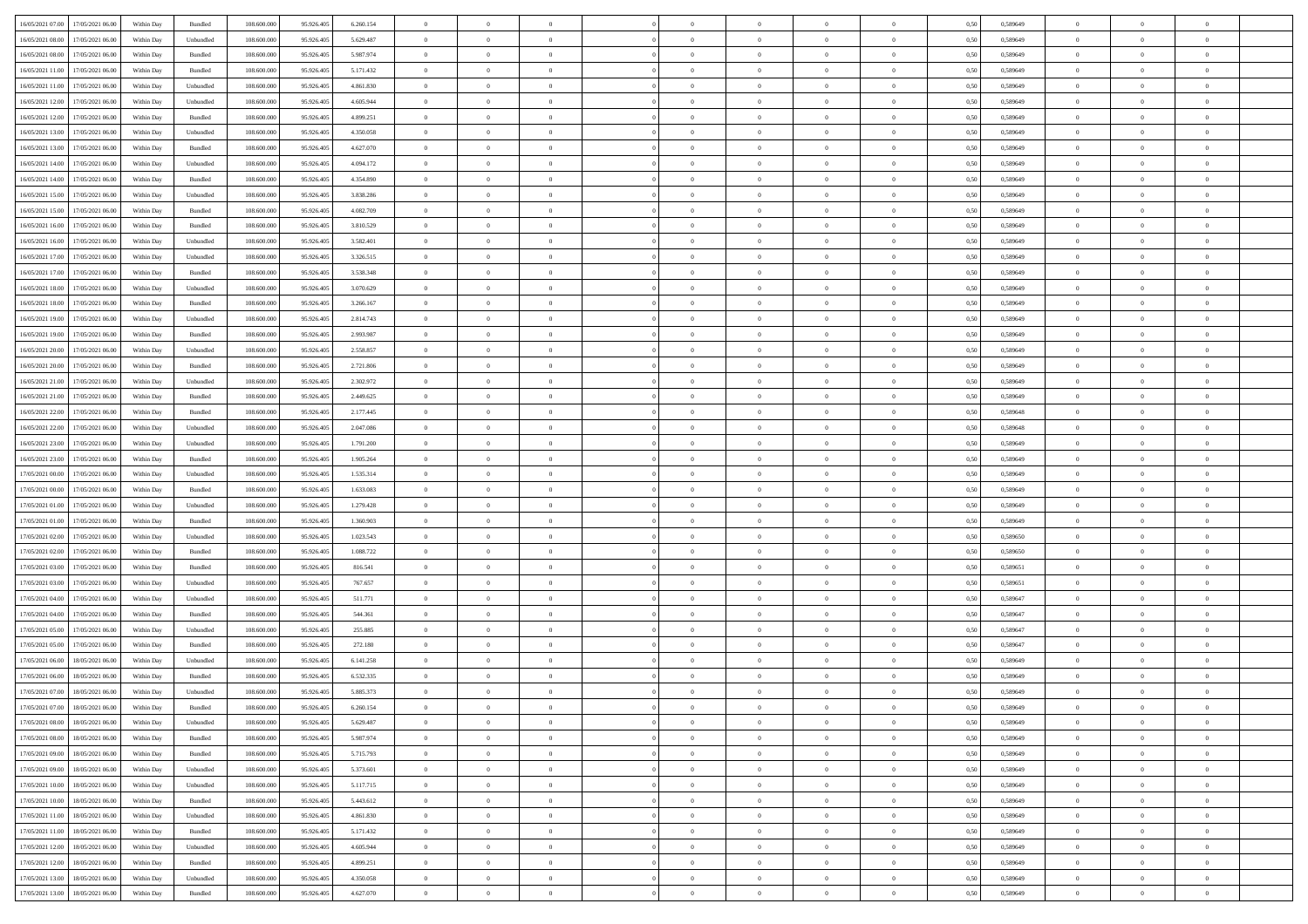|                                                  |            |           |             |            |           | $\overline{0}$ | $\overline{0}$ |                | $\overline{0}$ | $\theta$       |                | $\theta$       |      |          | $\theta$       | $\theta$       | $\overline{0}$ |  |
|--------------------------------------------------|------------|-----------|-------------|------------|-----------|----------------|----------------|----------------|----------------|----------------|----------------|----------------|------|----------|----------------|----------------|----------------|--|
| 16/05/2021 07:00 17/05/2021 06:00                | Within Day | Bundled   | 108.600.000 | 95.926.405 | 6.260.154 |                |                |                |                |                |                |                | 0,50 | 0,589649 |                |                |                |  |
| 16/05/2021 08:00<br>17/05/2021 06:00             | Within Day | Unbundled | 108.600.00  | 95.926.40  | 5.629.487 | $\bf{0}$       | $\bf{0}$       | $\bf{0}$       | $\bf{0}$       | $\overline{0}$ | $\bf{0}$       | $\bf{0}$       | 0,50 | 0,589649 | $\,$ 0 $\,$    | $\bf{0}$       | $\overline{0}$ |  |
| 16/05/2021 08:00<br>17/05/2021 06:00             | Within Day | Bundled   | 108,600,000 | 95.926.405 | 5.987.974 | $\overline{0}$ | $\bf{0}$       | $\overline{0}$ | $\bf{0}$       | $\overline{0}$ | $\overline{0}$ | $\bf{0}$       | 0.50 | 0.589649 | $\bf{0}$       | $\overline{0}$ | $\bf{0}$       |  |
| 16/05/2021 11:00<br>17/05/2021 06:00             |            |           | 108.600.000 |            |           | $\overline{0}$ | $\overline{0}$ | $\overline{0}$ | $\overline{0}$ | $\theta$       | $\overline{0}$ |                |      |          | $\,$ 0 $\,$    | $\,$ 0 $\,$    | $\overline{0}$ |  |
|                                                  | Within Day | Bundled   |             | 95.926.405 | 5.171.432 |                |                |                |                |                |                | $\bf{0}$       | 0,50 | 0,589649 |                |                |                |  |
| 16/05/2021 11:00<br>17/05/2021 06:00             | Within Day | Unbundled | 108.600.00  | 95.926.405 | 4.861.830 | $\bf{0}$       | $\overline{0}$ | $\bf{0}$       | $\overline{0}$ | $\bf{0}$       | $\overline{0}$ | $\bf{0}$       | 0,50 | 0,589649 | $\,$ 0 $\,$    | $\bf{0}$       | $\overline{0}$ |  |
| 16/05/2021 12:00<br>17/05/2021 06:00             | Within Day | Unbundled | 108,600,000 | 95.926.40  | 4.605.944 | $\overline{0}$ | $\bf{0}$       | $\overline{0}$ | $\bf{0}$       | $\overline{0}$ | $\overline{0}$ | $\bf{0}$       | 0.50 | 0.589649 | $\,$ 0 $\,$    | $\theta$       | $\overline{0}$ |  |
| 16/05/2021 12:00<br>17/05/2021 06:00             | Within Day | Bundled   | 108.600.000 | 95.926.405 | 4.899.251 | $\overline{0}$ | $\overline{0}$ | $\overline{0}$ | $\overline{0}$ | $\overline{0}$ | $\overline{0}$ | $\bf{0}$       | 0,50 | 0,589649 | $\,$ 0 $\,$    | $\theta$       | $\overline{0}$ |  |
|                                                  |            |           |             |            |           |                |                |                |                |                |                |                |      |          |                |                |                |  |
| 16/05/2021 13:00<br>17/05/2021 06.00             | Within Day | Unbundled | 108.600.00  | 95.926.40  | 4.350.058 | $\bf{0}$       | $\bf{0}$       | $\bf{0}$       | $\bf{0}$       | $\overline{0}$ | $\overline{0}$ | $\bf{0}$       | 0,50 | 0,589649 | $\,$ 0 $\,$    | $\bf{0}$       | $\overline{0}$ |  |
| 16/05/2021 13:00<br>17/05/2021 06:00             | Within Day | Bundled   | 108,600,000 | 95.926.40  | 4.627.070 | $\overline{0}$ | $\bf{0}$       | $\overline{0}$ | $\bf{0}$       | $\overline{0}$ | $\overline{0}$ | $\bf{0}$       | 0.50 | 0.589649 | $\bf{0}$       | $\overline{0}$ | $\overline{0}$ |  |
| 16/05/2021 14:00<br>17/05/2021 06:00             | Within Day | Unbundled | 108.600.000 | 95.926.405 | 4.094.172 | $\bf{0}$       | $\bf{0}$       | $\overline{0}$ | $\overline{0}$ | $\overline{0}$ | $\overline{0}$ | $\bf{0}$       | 0,50 | 0,589649 | $\,$ 0 $\,$    | $\,$ 0 $\,$    | $\overline{0}$ |  |
|                                                  |            |           |             |            |           |                |                |                |                |                |                |                |      |          |                |                |                |  |
| 16/05/2021 14:00<br>17/05/2021 06:00             | Within Day | Bundled   | 108.600.00  | 95.926.405 | 4.354.890 | $\bf{0}$       | $\bf{0}$       | $\bf{0}$       | $\bf{0}$       | $\overline{0}$ | $\overline{0}$ | $\bf{0}$       | 0,50 | 0,589649 | $\,$ 0 $\,$    | $\bf{0}$       | $\overline{0}$ |  |
| 16/05/2021 15:00<br>17/05/2021 06:00             | Within Day | Unbundled | 108,600,000 | 95.926.405 | 3.838.286 | $\overline{0}$ | $\bf{0}$       | $\overline{0}$ | $\overline{0}$ | $\overline{0}$ | $\overline{0}$ | $\bf{0}$       | 0.50 | 0.589649 | $\bf{0}$       | $\,$ 0 $\,$    | $\,$ 0         |  |
| 16/05/2021 15:00<br>17/05/2021 06:00             | Within Day | Bundled   | 108.600.000 | 95.926.405 | 4.082.709 | $\overline{0}$ | $\bf{0}$       | $\overline{0}$ | $\theta$       | $\theta$       | $\overline{0}$ | $\bf{0}$       | 0,50 | 0,589649 | $\,$ 0 $\,$    | $\,$ 0 $\,$    | $\overline{0}$ |  |
| 16/05/2021 16:00<br>17/05/2021 06:00             | Within Day | Bundled   | 108.600.00  | 95.926.40  | 3.810.529 | $\bf{0}$       | $\overline{0}$ | $\bf{0}$       | $\bf{0}$       | $\overline{0}$ | $\overline{0}$ | $\bf{0}$       | 0,50 | 0,589649 | $\,$ 0 $\,$    | $\bf{0}$       | $\overline{0}$ |  |
|                                                  |            |           |             |            |           |                |                |                |                |                |                |                |      |          |                |                |                |  |
| 16/05/2021 16:00<br>17/05/2021 06:00             | Within Day | Unbundled | 108,600,000 | 95.926.405 | 3.582.401 | $\overline{0}$ | $\bf{0}$       | $\overline{0}$ | $\bf{0}$       | $\overline{0}$ | $\overline{0}$ | $\bf{0}$       | 0.50 | 0.589649 | $\,$ 0 $\,$    | $\bf{0}$       | $\overline{0}$ |  |
| 16/05/2021 17:00<br>17/05/2021 06:00             | Within Day | Unbundled | 108.600.000 | 95.926.405 | 3.326.515 | $\overline{0}$ | $\bf{0}$       | $\overline{0}$ | $\overline{0}$ | $\overline{0}$ | $\overline{0}$ | $\bf{0}$       | 0,50 | 0,589649 | $\theta$       | $\theta$       | $\overline{0}$ |  |
| 16/05/2021 17:00<br>17/05/2021 06:00             | Within Day | Bundled   | 108.600.00  | 95.926.405 | 3.538.348 | $\bf{0}$       | $\bf{0}$       | $\bf{0}$       | $\overline{0}$ | $\overline{0}$ | $\overline{0}$ | $\bf{0}$       | 0,50 | 0,589649 | $\,$ 0 $\,$    | $\bf{0}$       | $\overline{0}$ |  |
|                                                  |            |           |             |            |           |                |                |                |                |                |                |                |      |          |                |                |                |  |
| 16/05/2021 18:00<br>17/05/2021 06:00             | Within Day | Unbundled | 108,600,000 | 95.926.40  | 3.070.629 | $\overline{0}$ | $\bf{0}$       | $\overline{0}$ | $\bf{0}$       | $\bf{0}$       | $\overline{0}$ | $\bf{0}$       | 0.50 | 0.589649 | $\bf{0}$       | $\overline{0}$ | $\bf{0}$       |  |
| 16/05/2021 18:00<br>17/05/2021 06:00             | Within Day | Bundled   | 108.600.000 | 95.926.405 | 3.266.167 | $\bf{0}$       | $\bf{0}$       | $\overline{0}$ | $\overline{0}$ | $\overline{0}$ | $\overline{0}$ | $\bf{0}$       | 0,50 | 0,589649 | $\,$ 0 $\,$    | $\bf{0}$       | $\overline{0}$ |  |
| 16/05/2021 19:00<br>17/05/2021 06:00             | Within Day | Unbundled | 108.600.00  | 95.926.40  | 2.814.743 | $\bf{0}$       | $\bf{0}$       | $\bf{0}$       | $\bf{0}$       | $\overline{0}$ | $\overline{0}$ | $\bf{0}$       | 0,50 | 0,589649 | $\,$ 0 $\,$    | $\bf{0}$       | $\overline{0}$ |  |
| 16/05/2021 19:00<br>17/05/2021 06:00             | Within Day | Bundled   | 108,600,000 | 95.926.405 | 2.993.987 | $\overline{0}$ | $\bf{0}$       | $\overline{0}$ | $\overline{0}$ | $\bf{0}$       | $\overline{0}$ | $\bf{0}$       | 0.50 | 0.589649 | $\bf{0}$       | $\,$ 0 $\,$    | $\,$ 0         |  |
|                                                  |            |           |             |            |           | $\overline{0}$ | $\overline{0}$ | $\overline{0}$ | $\overline{0}$ | $\theta$       | $\overline{0}$ |                |      |          | $\theta$       | $\theta$       |                |  |
| 16/05/2021 20:00<br>17/05/2021 06:00             | Within Day | Unbundled | 108.600.000 | 95.926.405 | 2.558.857 |                |                |                |                |                |                | $\bf{0}$       | 0,50 | 0,589649 |                |                | $\overline{0}$ |  |
| 16/05/2021 20:00<br>17/05/2021 06:00             | Within Day | Bundled   | 108.600.00  | 95.926.405 | 2.721.806 | $\bf{0}$       | $\bf{0}$       | $\bf{0}$       | $\bf{0}$       | $\overline{0}$ | $\overline{0}$ | $\bf{0}$       | 0,50 | 0,589649 | $\,$ 0 $\,$    | $\bf{0}$       | $\overline{0}$ |  |
| 16/05/2021 21:00<br>17/05/2021 06:00             | Within Day | Unbundled | 108,600,000 | 95.926.40  | 2.302.972 | $\overline{0}$ | $\bf{0}$       | $\overline{0}$ | $\bf{0}$       | $\overline{0}$ | $\overline{0}$ | $\bf{0}$       | 0.50 | 0.589649 | $\,$ 0 $\,$    | $\overline{0}$ | $\overline{0}$ |  |
| 16/05/2021 21:00<br>17/05/2021 06:00             | Within Day | Bundled   | 108.600.000 | 95.926.405 | 2.449.625 | $\overline{0}$ | $\overline{0}$ | $\overline{0}$ | $\overline{0}$ | $\overline{0}$ | $\overline{0}$ | $\bf{0}$       | 0,50 | 0,589649 | $\,$ 0 $\,$    | $\theta$       | $\overline{0}$ |  |
|                                                  |            |           |             |            |           |                |                |                |                |                | $\overline{0}$ |                |      |          |                |                |                |  |
| 16/05/2021 22:00<br>17/05/2021 06.00             | Within Day | Bundled   | 108.600.00  | 95.926.40  | 2.177.445 | $\bf{0}$       | $\overline{0}$ | $\bf{0}$       | $\overline{0}$ | $\overline{0}$ |                | $\bf{0}$       | 0,50 | 0,589648 | $\,$ 0 $\,$    | $\bf{0}$       | $\overline{0}$ |  |
| 16/05/2021 22:00<br>17/05/2021 06:00             | Within Day | Unbundled | 108,600,000 | 95.926.40  | 2.047.086 | $\overline{0}$ | $\bf{0}$       | $\overline{0}$ | $\bf{0}$       | $\overline{0}$ | $\overline{0}$ | $\bf{0}$       | 0.50 | 0.589648 | $\bf{0}$       | $\overline{0}$ | $\overline{0}$ |  |
| 16/05/2021 23:00<br>17/05/2021 06:00             | Within Day | Unbundled | 108.600.000 | 95.926.405 | 1.791.200 | $\overline{0}$ | $\bf{0}$       | $\overline{0}$ | $\overline{0}$ | $\overline{0}$ | $\overline{0}$ | $\bf{0}$       | 0,50 | 0,589649 | $\theta$       | $\,$ 0 $\,$    | $\overline{0}$ |  |
| 16/05/2021 23:00<br>17/05/2021 06:00             | Within Day | Bundled   | 108.600.00  | 95.926.405 | 1.905.264 | $\bf{0}$       | $\bf{0}$       | $\bf{0}$       | $\bf{0}$       | $\overline{0}$ | $\overline{0}$ | $\bf{0}$       | 0,50 | 0,589649 | $\,$ 0 $\,$    | $\bf{0}$       | $\overline{0}$ |  |
|                                                  |            |           |             |            |           |                |                |                |                |                |                |                |      |          |                |                |                |  |
| 17/05/2021 00:00<br>17/05/2021 06:00             | Within Day | Unbundled | 108,600,000 | 95.926.405 | 1.535.314 | $\overline{0}$ | $\bf{0}$       | $\overline{0}$ | $\overline{0}$ | $\bf{0}$       | $\overline{0}$ | $\bf{0}$       | 0.50 | 0.589649 | $\bf{0}$       | $\,$ 0 $\,$    | $\,$ 0         |  |
| 17/05/2021 00:00<br>17/05/2021 06:00             | Within Day | Bundled   | 108.600.000 | 95.926.40  | 1.633.083 | $\overline{0}$ | $\overline{0}$ | $\overline{0}$ | $\overline{0}$ | $\overline{0}$ | $\overline{0}$ | $\bf{0}$       | 0.50 | 0.589649 | $\theta$       | $\theta$       | $\overline{0}$ |  |
| 17/05/2021 01:00<br>17/05/2021 06:00             | Within Day | Unbundled | 108.600.00  | 95.926.405 | 1.279.428 | $\bf{0}$       | $\bf{0}$       | $\bf{0}$       | $\bf{0}$       | $\overline{0}$ | $\overline{0}$ | $\bf{0}$       | 0,50 | 0,589649 | $\,$ 0 $\,$    | $\bf{0}$       | $\overline{0}$ |  |
| 17/05/2021 01:00<br>17/05/2021 06:00             | Within Day | Bundled   | 108,600,000 | 95.926.405 | 1.360.903 | $\overline{0}$ | $\bf{0}$       | $\overline{0}$ | $\bf{0}$       | $\overline{0}$ | $\overline{0}$ | $\bf{0}$       | 0.50 | 0.589649 | $\,$ 0 $\,$    | $\bf{0}$       | $\overline{0}$ |  |
| 17/05/2021 02:00<br>17/05/2021 06:00             | Within Dav | Unbundled | 108.600.000 | 95.926.405 | 1.023.543 | $\overline{0}$ | $\overline{0}$ | $\overline{0}$ | $\overline{0}$ | $\overline{0}$ | $\overline{0}$ | $\bf{0}$       | 0.50 | 0.589650 | $\theta$       | $\theta$       | $\overline{0}$ |  |
|                                                  |            |           |             |            |           |                |                |                |                |                |                |                |      |          |                |                |                |  |
| 17/05/2021 02:00<br>17/05/2021 06:00             | Within Day | Bundled   | 108.600.00  | 95.926.405 | 1.088.722 | $\bf{0}$       | $\bf{0}$       | $\bf{0}$       | $\bf{0}$       | $\overline{0}$ | $\overline{0}$ | $\bf{0}$       | 0,50 | 0,589650 | $\,$ 0 $\,$    | $\bf{0}$       | $\overline{0}$ |  |
| 17/05/2021 03:00<br>17/05/2021 06:00             | Within Day | Bundled   | 108,600,000 | 95.926.40  | 816.541   | $\overline{0}$ | $\bf{0}$       | $\overline{0}$ | $\bf{0}$       | $\overline{0}$ | $\overline{0}$ | $\bf{0}$       | 0.50 | 0.589651 | $\bf{0}$       | $\overline{0}$ | $\bf{0}$       |  |
| 17/05/2021 03:00<br>17/05/2021 06:00             | Within Dav | Unbundled | 108.600.000 | 95.926.405 | 767.657   | $\overline{0}$ | $\overline{0}$ | $\overline{0}$ | $\overline{0}$ | $\overline{0}$ | $\overline{0}$ | $\bf{0}$       | 0.50 | 0.589651 | $\theta$       | $\theta$       | $\overline{0}$ |  |
|                                                  |            |           |             |            |           | $\bf{0}$       | $\bf{0}$       | $\bf{0}$       |                | $\overline{0}$ |                |                |      |          | $\,$ 0 $\,$    | $\bf{0}$       | $\overline{0}$ |  |
| 17/05/2021 04:00<br>17/05/2021 06:00             | Within Day | Unbundled | 108.600.00  | 95.926.40  | 511.771   |                |                |                | $\bf{0}$       |                | $\bf{0}$       | $\bf{0}$       | 0,50 | 0,589647 |                |                |                |  |
| 17/05/2021 04:00<br>17/05/2021 06:00             | Within Day | Bundled   | 108,600,000 | 95.926.405 | 544.361   | $\overline{0}$ | $\bf{0}$       | $\overline{0}$ | $\overline{0}$ | $\bf{0}$       | $\overline{0}$ | $\bf{0}$       | 0.50 | 0.589647 | $\bf{0}$       | $\,$ 0 $\,$    | $\,$ 0         |  |
| 17/05/2021 05:00<br>17/05/2021 06:00             | Within Dav | Unbundled | 108.600.000 | 95.926.405 | 255,885   | $\overline{0}$ | $\overline{0}$ | $\overline{0}$ | $\overline{0}$ | $\overline{0}$ | $\overline{0}$ | $\bf{0}$       | 0.50 | 0.589647 | $\theta$       | $\theta$       | $\overline{0}$ |  |
| 17/05/2021 05:00<br>17/05/2021 06:00             | Within Day | Bundled   | 108.600.00  | 95.926.405 | 272.180   | $\bf{0}$       | $\bf{0}$       | $\bf{0}$       | $\bf{0}$       | $\overline{0}$ | $\overline{0}$ | $\bf{0}$       | 0,50 | 0,589647 | $\,$ 0 $\,$    | $\bf{0}$       | $\overline{0}$ |  |
|                                                  |            |           | 108,600,000 |            |           |                | $\overline{0}$ | $\overline{0}$ |                | $\overline{0}$ | $\overline{0}$ |                | 0.50 | 0.589649 | $\bf{0}$       | $\theta$       | $\overline{0}$ |  |
| 17/05/2021 06:00<br>18/05/2021 06:00             | Within Day | Unbundled |             | 95.926.40  | 6.141.258 | $\overline{0}$ |                |                | $\bf{0}$       |                |                | $\bf{0}$       |      |          |                |                |                |  |
| 17/05/2021 06:00<br>18/05/2021 06:00             | Within Dav | Bundled   | 108.600.000 | 95.926.40  | 6.532.335 | $\overline{0}$ | $\overline{0}$ | $\overline{0}$ | $\overline{0}$ | $\theta$       | $\overline{0}$ | $\overline{0}$ | 0.5( | 0.589649 | $\theta$       | $\theta$       | $\overline{0}$ |  |
| 17/05/2021 07:00<br>18/05/2021 06:00             | Within Day | Unbundled | 108.600.00  | 95.926.405 | 5.885.373 | $\bf{0}$       | $\bf{0}$       | $\bf{0}$       | $\bf{0}$       | $\bf{0}$       | $\overline{0}$ | $\bf{0}$       | 0,50 | 0,589649 | $\,$ 0 $\,$    | $\overline{0}$ | $\overline{0}$ |  |
| $17/05/2021\;07.00\quad \  \  18/05/2021\;06.00$ | Within Day | Bundled   | 108.600.000 | 95.926.405 | 6.260.154 | $\bf{0}$       | $\theta$       |                | $\overline{0}$ | $\bf{0}$       |                |                | 0,50 | 0.589649 | $\bf{0}$       | $\bf{0}$       |                |  |
| 17/05/2021 08:00 18/05/2021 06:00                |            |           |             |            |           |                |                |                |                |                |                |                |      |          |                |                |                |  |
|                                                  | Within Day | Unbundled | 108.600.000 | 95.926.405 | 5.629.487 | $\overline{0}$ | $\overline{0}$ | $\Omega$       | $\theta$       | $\overline{0}$ | $\overline{0}$ | $\bf{0}$       | 0,50 | 0,589649 | $\theta$       | $\theta$       | $\overline{0}$ |  |
| 17/05/2021 08:00<br>18/05/2021 06:00             | Within Day | Bundled   | 108.600.00  | 95.926.405 | 5.987.974 | $\overline{0}$ | $\bf{0}$       | $\overline{0}$ | $\overline{0}$ | $\bf{0}$       | $\overline{0}$ | $\bf{0}$       | 0,50 | 0,589649 | $\bf{0}$       | $\overline{0}$ | $\bf{0}$       |  |
| 17/05/2021 09:00 18/05/2021 06:00                | Within Day | Bundled   | 108,600,000 | 95.926.405 | 5.715.793 | $\overline{0}$ | $\bf{0}$       | $\overline{0}$ | $\overline{0}$ | $\mathbf{0}$   | $\overline{0}$ | $\,$ 0 $\,$    | 0.50 | 0.589649 | $\overline{0}$ | $\bf{0}$       | $\bf{0}$       |  |
| 17/05/2021 09:00 18/05/2021 06:00                | Within Dav | Unbundled | 108.600.000 | 95.926.405 | 5.373.601 | $\overline{0}$ | $\overline{0}$ | $\overline{0}$ | $\overline{0}$ | $\overline{0}$ | $\overline{0}$ | $\bf{0}$       | 0,50 | 0.589649 | $\theta$       | $\theta$       | $\overline{0}$ |  |
|                                                  |            |           |             |            |           |                |                |                |                |                |                |                |      |          |                |                |                |  |
| 17/05/2021 10:00<br>18/05/2021 06:00             | Within Day | Unbundled | 108.600.000 | 95.926.405 | 5.117.715 | $\overline{0}$ | $\bf{0}$       | $\overline{0}$ | $\overline{0}$ | $\bf{0}$       | $\overline{0}$ | $\bf{0}$       | 0,50 | 0,589649 | $\bf{0}$       | $\overline{0}$ | $\overline{0}$ |  |
| 17/05/2021 10:00<br>18/05/2021 06:00             | Within Day | Bundled   | 108,600,000 | 95.926.405 | 5.443.612 | $\overline{0}$ | $\bf{0}$       | $\overline{0}$ | $\overline{0}$ | $\bf{0}$       | $\overline{0}$ | $\bf{0}$       | 0.50 | 0.589649 | $\,$ 0 $\,$    | $\overline{0}$ | $\overline{0}$ |  |
| 17/05/2021 11:00<br>18/05/2021 06:00             | Within Dav | Unbundled | 108.600.000 | 95.926.405 | 4.861.830 | $\overline{0}$ | $\overline{0}$ | $\overline{0}$ | $\overline{0}$ | $\overline{0}$ | $\overline{0}$ | $\bf{0}$       | 0,50 | 0.589649 | $\overline{0}$ | $\theta$       | $\overline{0}$ |  |
| 17/05/2021 11:00<br>18/05/2021 06:00             | Within Day | Bundled   | 108.600.00  | 95.926.405 | 5.171.432 | $\overline{0}$ | $\overline{0}$ | $\overline{0}$ | $\overline{0}$ | $\overline{0}$ | $\overline{0}$ | $\bf{0}$       | 0,50 | 0,589649 | $\bf{0}$       | $\overline{0}$ | $\,$ 0         |  |
|                                                  |            |           |             |            |           |                |                |                |                |                |                |                |      |          |                |                |                |  |
| 17/05/2021 12:00<br>18/05/2021 06:00             | Within Day | Unbundled | 108,600,000 | 95.926.405 | 4.605.944 | $\overline{0}$ | $\overline{0}$ | $\overline{0}$ | $\overline{0}$ | $\overline{0}$ | $\overline{0}$ | $\bf{0}$       | 0.50 | 0.589649 | $\mathbf{0}$   | $\bf{0}$       | $\,$ 0         |  |
| 17/05/2021 12:00<br>18/05/2021 06:00             | Within Dav | Bundled   | 108.600.000 | 95.926.405 | 4.899.251 | $\overline{0}$ | $\overline{0}$ | $\overline{0}$ | $\overline{0}$ | $\overline{0}$ | $\overline{0}$ | $\bf{0}$       | 0,50 | 0.589649 | $\overline{0}$ | $\theta$       | $\overline{0}$ |  |
| 17/05/2021 13:00<br>18/05/2021 06:00             | Within Day | Unbundled | 108.600.00  | 95.926.405 | 4.350.058 | $\overline{0}$ | $\bf{0}$       | $\overline{0}$ | $\bf{0}$       | $\overline{0}$ | $\overline{0}$ | $\bf{0}$       | 0,50 | 0,589649 | $\bf{0}$       | $\,0\,$        | $\bf{0}$       |  |
| 17/05/2021 13:00 18/05/2021 06:00                |            | Bundled   | 108.600.000 |            | 4.627.070 | $\overline{0}$ | $\bf{0}$       | $\overline{0}$ |                | $\,$ 0 $\,$    | $\overline{0}$ | $\bf{0}$       | 0,50 | 0,589649 | $\overline{0}$ | $\,$ 0 $\,$    | $\,$ 0 $\,$    |  |
|                                                  | Within Day |           |             | 95.926.405 |           |                |                |                | $\overline{0}$ |                |                |                |      |          |                |                |                |  |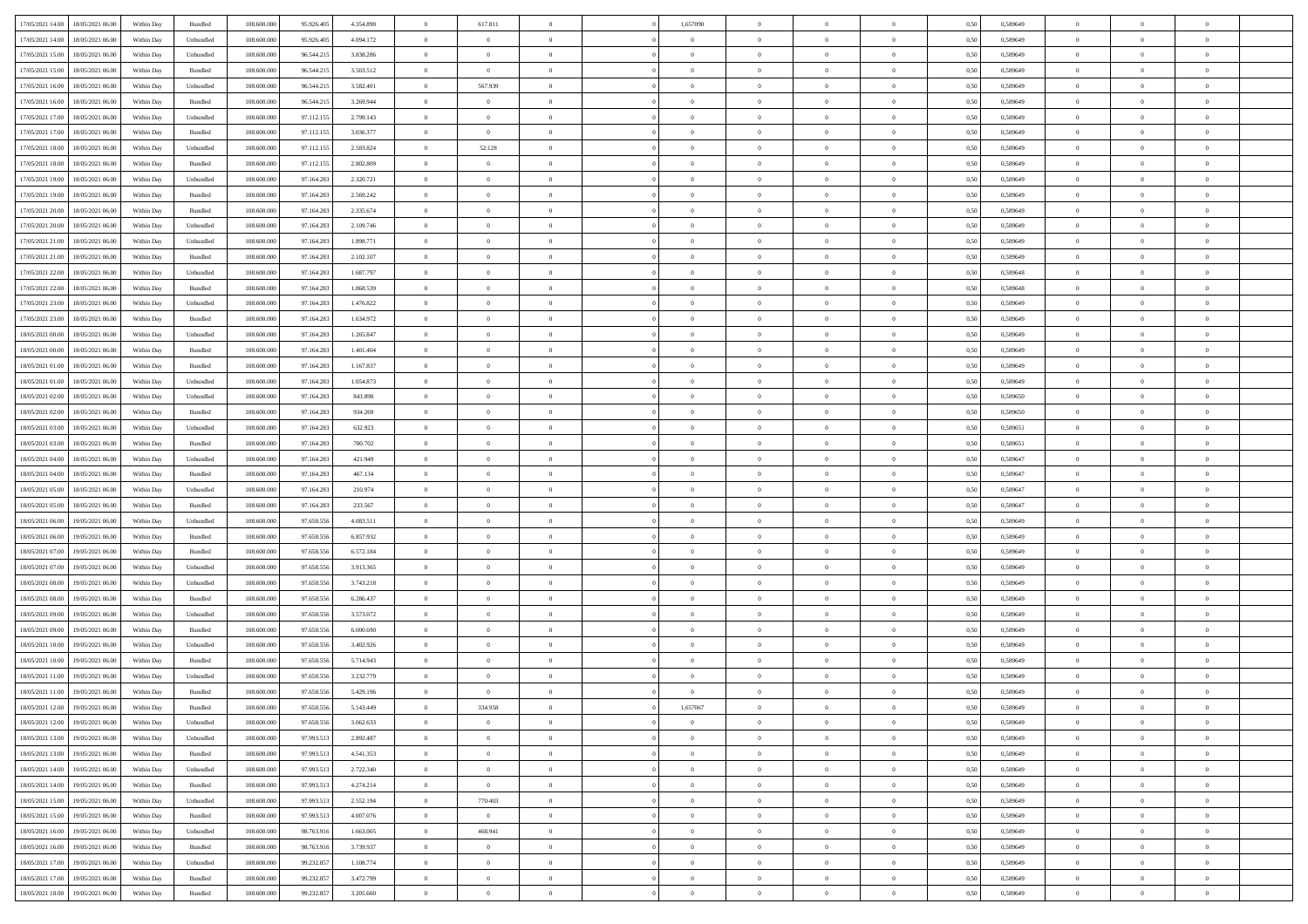| 17/05/2021 14:00 18/05/2021 06:00    |            |           | 108.600.000 |            |           | $\overline{0}$ |                |                | 1,657090       | $\theta$       |                | $\theta$       |      | 0,589649 | $\theta$       | $\theta$       | $\overline{0}$ |  |
|--------------------------------------|------------|-----------|-------------|------------|-----------|----------------|----------------|----------------|----------------|----------------|----------------|----------------|------|----------|----------------|----------------|----------------|--|
|                                      | Within Day | Bundled   |             | 95.926.405 | 4.354.890 |                | 617.811        |                |                |                |                |                | 0,50 |          |                |                |                |  |
| 17/05/2021 14:00<br>18/05/2021 06:00 | Within Day | Unbundled | 108.600.00  | 95.926.40  | 4.094.172 | $\bf{0}$       | $\overline{0}$ | $\bf{0}$       | $\bf{0}$       | $\overline{0}$ | $\overline{0}$ | $\bf{0}$       | 0,50 | 0,589649 | $\,$ 0 $\,$    | $\bf{0}$       | $\overline{0}$ |  |
| 17/05/2021 15:00<br>18/05/2021 06:00 | Within Day | Unbundled | 108,600,000 | 96.544.215 | 3.838.286 | $\overline{0}$ | $\overline{0}$ | $\overline{0}$ | $\bf{0}$       | $\bf{0}$       | $\overline{0}$ | $\bf{0}$       | 0.50 | 0.589649 | $\bf{0}$       | $\overline{0}$ | $\overline{0}$ |  |
| 17/05/2021 15:00<br>18/05/2021 06:00 | Within Day | Bundled   | 108.600.000 | 96.544.215 | 3.503.512 | $\overline{0}$ | $\overline{0}$ | $\overline{0}$ | $\overline{0}$ | $\theta$       | $\overline{0}$ | $\bf{0}$       | 0,50 | 0,589649 | $\theta$       | $\theta$       | $\overline{0}$ |  |
|                                      |            |           |             |            |           |                |                |                |                |                |                |                |      |          |                |                |                |  |
| 17/05/2021 16:00<br>18/05/2021 06:00 | Within Day | Unbundled | 108.600.00  | 96.544.21: | 3.582.401 | $\bf{0}$       | 567.939        | $\bf{0}$       | $\overline{0}$ | $\theta$       | $\overline{0}$ | $\bf{0}$       | 0,50 | 0,589649 | $\,$ 0 $\,$    | $\bf{0}$       | $\overline{0}$ |  |
| 17/05/2021 16:00<br>18/05/2021 06:00 | Within Day | Bundled   | 108,600,000 | 96.544.21: | 3.269.944 | $\overline{0}$ | $\overline{0}$ | $\overline{0}$ | $\bf{0}$       | $\overline{0}$ | $\theta$       | $\bf{0}$       | 0.50 | 0.589649 | $\,$ 0 $\,$    | $\theta$       | $\overline{0}$ |  |
| 17/05/2021 17:00<br>18/05/2021 06:00 | Within Day | Unbundled | 108.600.000 | 97.112.155 | 2.799.143 | $\overline{0}$ | $\overline{0}$ | $\overline{0}$ | $\overline{0}$ | $\overline{0}$ | $\overline{0}$ | $\bf{0}$       | 0,50 | 0,589649 | $\,$ 0 $\,$    | $\theta$       | $\overline{0}$ |  |
| 17/05/2021 17:00<br>18/05/2021 06:00 | Within Day | Bundled   | 108.600.00  | 97.112.15: | 3.036.377 | $\bf{0}$       | $\bf{0}$       | $\bf{0}$       | $\overline{0}$ | $\overline{0}$ | $\overline{0}$ | $\bf{0}$       | 0,50 | 0,589649 | $\,$ 0 $\,$    | $\bf{0}$       | $\overline{0}$ |  |
| 17/05/2021 18:00<br>18/05/2021 06:00 | Within Day | Unbundled | 108,600,000 | 97.112.155 | 2.583.824 | $\overline{0}$ | 52.128         | $\overline{0}$ | $\bf{0}$       | $\overline{0}$ | $\overline{0}$ | $\bf{0}$       | 0.50 | 0.589649 | $\bf{0}$       | $\overline{0}$ | $\overline{0}$ |  |
|                                      |            |           |             |            |           |                |                |                |                |                |                |                |      |          |                |                |                |  |
| 17/05/2021 18:00<br>18/05/2021 06:00 | Within Day | Bundled   | 108.600.000 | 97.112.155 | 2.802.809 | $\bf{0}$       | $\overline{0}$ | $\overline{0}$ | $\overline{0}$ | $\overline{0}$ | $\overline{0}$ | $\bf{0}$       | 0,50 | 0,589649 | $\,$ 0 $\,$    | $\bf{0}$       | $\overline{0}$ |  |
| 17/05/2021 19:00<br>18/05/2021 06:00 | Within Day | Unbundled | 108.600.00  | 97.164.283 | 2.320.721 | $\bf{0}$       | $\overline{0}$ | $\bf{0}$       | $\bf{0}$       | $\overline{0}$ | $\overline{0}$ | $\bf{0}$       | 0,50 | 0,589649 | $\,$ 0 $\,$    | $\bf{0}$       | $\overline{0}$ |  |
| 17/05/2021 19:00<br>18/05/2021 06:00 | Within Day | Bundled   | 108,600,000 | 97.164.283 | 2.569.242 | $\overline{0}$ | $\bf{0}$       | $\overline{0}$ | $\overline{0}$ | $\bf{0}$       | $\overline{0}$ | $\bf{0}$       | 0.50 | 0.589649 | $\bf{0}$       | $\overline{0}$ | $\,$ 0         |  |
| 17/05/2021 20:00<br>18/05/2021 06:00 | Within Day | Bundled   | 108.600.000 | 97.164.283 | 2.335.674 | $\overline{0}$ | $\overline{0}$ | $\overline{0}$ | $\theta$       | $\theta$       | $\overline{0}$ | $\bf{0}$       | 0,50 | 0,589649 | $\,$ 0 $\,$    | $\theta$       | $\overline{0}$ |  |
|                                      |            |           |             |            |           |                | $\overline{0}$ |                | $\overline{0}$ |                | $\overline{0}$ |                |      |          | $\,$ 0 $\,$    | $\bf{0}$       | $\overline{0}$ |  |
| 17/05/2021 20:00<br>18/05/2021 06:00 | Within Day | Unbundled | 108.600.00  | 97.164.28  | 2.109.746 | $\bf{0}$       |                | $\bf{0}$       |                | $\bf{0}$       |                | $\bf{0}$       | 0,50 | 0,589649 |                |                |                |  |
| 17/05/2021 21:00<br>18/05/2021 06:00 | Within Day | Unbundled | 108,600,000 | 97.164.283 | 1.898.771 | $\overline{0}$ | $\overline{0}$ | $\overline{0}$ | $\bf{0}$       | $\overline{0}$ | $\theta$       | $\bf{0}$       | 0.50 | 0.589649 | $\,$ 0 $\,$    | $\theta$       | $\overline{0}$ |  |
| 17/05/2021 21:00<br>18/05/2021 06:00 | Within Day | Bundled   | 108.600.000 | 97.164.283 | 2.102.107 | $\overline{0}$ | $\overline{0}$ | $\overline{0}$ | $\overline{0}$ | $\overline{0}$ | $\overline{0}$ | $\bf{0}$       | 0,50 | 0,589649 | $\theta$       | $\theta$       | $\overline{0}$ |  |
| 17/05/2021 22:00<br>18/05/2021 06:00 | Within Day | Unbundled | 108.600.00  | 97.164.283 | 1.687.797 | $\bf{0}$       | $\bf{0}$       | $\bf{0}$       | $\overline{0}$ | $\bf{0}$       | $\overline{0}$ | $\bf{0}$       | 0,50 | 0,589648 | $\,$ 0 $\,$    | $\bf{0}$       | $\overline{0}$ |  |
| 17/05/2021 22:00<br>18/05/2021 06:00 | Within Day | Bundled   | 108,600,000 | 97.164.28  | 1.868.539 | $\overline{0}$ | $\bf{0}$       | $\overline{0}$ | $\bf{0}$       | $\overline{0}$ | $\overline{0}$ | $\bf{0}$       | 0.50 | 0.589648 | $\bf{0}$       | $\overline{0}$ | $\overline{0}$ |  |
|                                      |            |           |             |            |           |                |                |                |                |                |                |                |      |          |                |                |                |  |
| 17/05/2021 23:00<br>18/05/2021 06:00 | Within Day | Unbundled | 108.600.000 | 97.164.283 | 1.476.822 | $\bf{0}$       | $\bf{0}$       | $\overline{0}$ | $\overline{0}$ | $\overline{0}$ | $\overline{0}$ | $\bf{0}$       | 0,50 | 0,589649 | $\,$ 0 $\,$    | $\bf{0}$       | $\overline{0}$ |  |
| 17/05/2021 23:00<br>18/05/2021 06:00 | Within Day | Bundled   | 108.600.00  | 97.164.28  | 1.634.972 | $\bf{0}$       | $\bf{0}$       | $\bf{0}$       | $\bf{0}$       | $\overline{0}$ | $\overline{0}$ | $\bf{0}$       | 0,50 | 0,589649 | $\,$ 0 $\,$    | $\bf{0}$       | $\overline{0}$ |  |
| 18/05/2021 00:00<br>18/05/2021 06:00 | Within Day | Unbundled | 108,600,000 | 97.164.283 | 1.265.847 | $\overline{0}$ | $\bf{0}$       | $\overline{0}$ | $\overline{0}$ | $\bf{0}$       | $\overline{0}$ | $\bf{0}$       | 0.50 | 0.589649 | $\bf{0}$       | $\overline{0}$ | $\,$ 0         |  |
| 18/05/2021 00:00<br>18/05/2021 06:00 | Within Day | Bundled   | 108.600.000 | 97.164.283 | 1.401.404 | $\overline{0}$ | $\overline{0}$ | $\overline{0}$ | $\overline{0}$ | $\theta$       | $\overline{0}$ | $\bf{0}$       | 0,50 | 0,589649 | $\theta$       | $\theta$       | $\overline{0}$ |  |
| 18/05/2021 01:00<br>18/05/2021 06:00 | Within Day | Bundled   | 108.600.00  | 97.164.28  | 1.167.837 | $\bf{0}$       | $\bf{0}$       | $\bf{0}$       | $\bf{0}$       | $\overline{0}$ | $\overline{0}$ | $\bf{0}$       | 0,50 | 0,589649 | $\,$ 0 $\,$    | $\bf{0}$       | $\overline{0}$ |  |
|                                      |            |           |             |            |           |                |                |                |                |                | $\theta$       |                |      |          |                |                |                |  |
| 18/05/2021 01:00<br>18/05/2021 06:00 | Within Day | Unbundled | 108,600,000 | 97.164.28  | 1.054.873 | $\overline{0}$ | $\bf{0}$       | $\overline{0}$ | $\bf{0}$       | $\overline{0}$ |                | $\bf{0}$       | 0.50 | 0.589649 | $\,$ 0 $\,$    | $\theta$       | $\overline{0}$ |  |
| 18/05/2021 02:00<br>18/05/2021 06:00 | Within Day | Unbundled | 108.600.000 | 97.164.283 | 843.898   | $\overline{0}$ | $\overline{0}$ | $\overline{0}$ | $\overline{0}$ | $\overline{0}$ | $\overline{0}$ | $\bf{0}$       | 0,50 | 0,589650 | $\,$ 0 $\,$    | $\theta$       | $\overline{0}$ |  |
| 18/05/2021 02:00<br>18/05/2021 06:00 | Within Day | Bundled   | 108.600.00  | 97.164.28  | 934.269   | $\bf{0}$       | $\overline{0}$ | $\bf{0}$       | $\overline{0}$ | $\bf{0}$       | $\overline{0}$ | $\bf{0}$       | 0,50 | 0,589650 | $\,$ 0 $\,$    | $\bf{0}$       | $\overline{0}$ |  |
| 18/05/2021 03:00<br>18/05/2021 06:00 | Within Day | Unbundled | 108,600,000 | 97.164.28  | 632.923   | $\overline{0}$ | $\bf{0}$       | $\overline{0}$ | $\bf{0}$       | $\overline{0}$ | $\overline{0}$ | $\bf{0}$       | 0.50 | 0.589651 | $\bf{0}$       | $\overline{0}$ | $\overline{0}$ |  |
| 18/05/2021 03:00<br>18/05/2021 06:00 | Within Day | Bundled   | 108.600.000 | 97.164.283 | 700.702   | $\overline{0}$ | $\bf{0}$       | $\overline{0}$ | $\overline{0}$ | $\overline{0}$ | $\overline{0}$ | $\bf{0}$       | 0,50 | 0,589651 | $\theta$       | $\theta$       | $\overline{0}$ |  |
| 18/05/2021 04:00<br>18/05/2021 06:00 | Within Day | Unbundled | 108.600.00  | 97.164.28  | 421.949   | $\bf{0}$       | $\bf{0}$       | $\bf{0}$       | $\bf{0}$       | $\overline{0}$ | $\overline{0}$ | $\bf{0}$       | 0,50 | 0,589647 | $\,$ 0 $\,$    | $\bf{0}$       | $\overline{0}$ |  |
|                                      |            |           |             |            |           |                |                |                |                |                |                |                |      |          |                |                |                |  |
| 18/05/2021 04:00<br>18/05/2021 06:00 | Within Day | Bundled   | 108,600,000 | 97.164.283 | 467.134   | $\overline{0}$ | $\bf{0}$       | $\overline{0}$ | $\overline{0}$ | $\bf{0}$       | $\overline{0}$ | $\bf{0}$       | 0.50 | 0.589647 | $\bf{0}$       | $\overline{0}$ | $\,$ 0         |  |
| 18/05/2021 05:00<br>18/05/2021 06:00 | Within Day | Unbundled | 108.600.000 | 97.164.283 | 210.974   | $\overline{0}$ | $\overline{0}$ | $\overline{0}$ | $\overline{0}$ | $\overline{0}$ | $\overline{0}$ | $\bf{0}$       | 0.50 | 0.589647 | $\theta$       | $\theta$       | $\overline{0}$ |  |
| 18/05/2021 05:00<br>18/05/2021 06:00 | Within Day | Bundled   | 108.600.00  | 97.164.283 | 233.567   | $\bf{0}$       | $\bf{0}$       | $\bf{0}$       | $\bf{0}$       | $\overline{0}$ | $\overline{0}$ | $\bf{0}$       | 0,50 | 0,589647 | $\,$ 0 $\,$    | $\bf{0}$       | $\overline{0}$ |  |
| 18/05/2021 06:00<br>19/05/2021 06:00 | Within Day | Unbundled | 108,600,000 | 97.658.556 | 4.083.511 | $\overline{0}$ | $\bf{0}$       | $\overline{0}$ | $\bf{0}$       | $\overline{0}$ | $\overline{0}$ | $\bf{0}$       | 0.50 | 0.589649 | $\,$ 0 $\,$    | $\theta$       | $\overline{0}$ |  |
| 18/05/2021 06:00<br>19/05/2021 06:00 | Within Dav | Bundled   | 108.600.000 | 97.658.556 | 6.857.932 | $\overline{0}$ | $\overline{0}$ | $\overline{0}$ | $\overline{0}$ | $\overline{0}$ | $\overline{0}$ | $\bf{0}$       | 0.50 | 0.589649 | $\theta$       | $\theta$       | $\overline{0}$ |  |
| 18/05/2021 07:00<br>19/05/2021 06:00 | Within Day | Bundled   | 108.600.00  | 97.658.55  | 6.572.184 | $\bf{0}$       | $\bf{0}$       | $\bf{0}$       | $\bf{0}$       | $\overline{0}$ | $\overline{0}$ | $\bf{0}$       | 0,50 | 0,589649 | $\,$ 0 $\,$    | $\bf{0}$       | $\overline{0}$ |  |
|                                      |            |           |             |            |           |                |                |                |                |                |                |                |      |          |                |                |                |  |
| 18/05/2021 07:00<br>19/05/2021 06:00 | Within Day | Unbundled | 108,600,000 | 97.658.55  | 3.913.365 | $\overline{0}$ | $\bf{0}$       | $\overline{0}$ | $\bf{0}$       | $\overline{0}$ | $\overline{0}$ | $\bf{0}$       | 0.50 | 0.589649 | $\bf{0}$       | $\overline{0}$ | $\overline{0}$ |  |
| 18/05/2021 08:00<br>19/05/2021 06:00 | Within Day | Unbundled | 108.600.000 | 97.658.556 | 3.743.218 | $\overline{0}$ | $\overline{0}$ | $\overline{0}$ | $\overline{0}$ | $\overline{0}$ | $\overline{0}$ | $\bf{0}$       | 0.50 | 0.589649 | $\theta$       | $\theta$       | $\overline{0}$ |  |
| 18/05/2021 08:00<br>19/05/2021 06:00 | Within Day | Bundled   | 108.600.00  | 97.658.55  | 6.286.437 | $\bf{0}$       | $\bf{0}$       | $\bf{0}$       | $\bf{0}$       | $\overline{0}$ | $\overline{0}$ | $\bf{0}$       | 0,50 | 0,589649 | $\,$ 0 $\,$    | $\bf{0}$       | $\overline{0}$ |  |
| 18/05/2021 09:00<br>19/05/2021 06:00 | Within Day | Unbundled | 108,600,000 | 97.658.556 | 3.573.072 | $\overline{0}$ | $\bf{0}$       | $\overline{0}$ | $\overline{0}$ | $\bf{0}$       | $\overline{0}$ | $\bf{0}$       | 0.50 | 0.589649 | $\bf{0}$       | $\overline{0}$ | $\overline{0}$ |  |
| 18/05/2021 09:00<br>19/05/2021 06:00 | Within Dav | Bundled   | 108.600.000 | 97.658.556 | 6.000,690 | $\overline{0}$ | $\overline{0}$ | $\overline{0}$ | $\overline{0}$ | $\overline{0}$ | $\overline{0}$ | $\bf{0}$       | 0.50 | 0.589649 | $\theta$       | $\theta$       | $\overline{0}$ |  |
| 18/05/2021 10:00<br>19/05/2021 06:00 | Within Day | Unbundled | 108.600.00  | 97.658.55  | 3.402.926 | $\bf{0}$       | $\bf{0}$       | $\bf{0}$       | $\bf{0}$       | $\overline{0}$ | $\overline{0}$ | $\bf{0}$       | 0,50 | 0,589649 | $\,$ 0 $\,$    | $\bf{0}$       | $\overline{0}$ |  |
|                                      |            |           |             |            |           |                |                |                |                |                |                |                |      |          |                |                |                |  |
| 18/05/2021 10:00<br>19/05/2021 06:00 | Within Day | Bundled   | 108,600,000 | 97.658.55  | 5.714.943 | $\overline{0}$ | $\overline{0}$ | $\overline{0}$ | $\bf{0}$       | $\theta$       | $\Omega$       | $\bf{0}$       | 0.50 | 0.589649 | $\bf{0}$       | $\theta$       | $\overline{0}$ |  |
| 18/05/2021 11:00<br>19/05/2021 06:00 | Within Dav | Unbundled | 108.600.000 | 97.658.556 | 3.232.779 | $\overline{0}$ | $\overline{0}$ | $\overline{0}$ | $\overline{0}$ | $\theta$       | $\overline{0}$ | $\overline{0}$ | 0.5( | 0.589649 | $\theta$       | $\theta$       | $\overline{0}$ |  |
| 18/05/2021 11:00<br>19/05/2021 06:00 | Within Day | Bundled   | 108.600.00  | 97.658.556 | 5.429.196 | $\bf{0}$       | $\bf{0}$       | $\bf{0}$       | $\bf{0}$       | $\bf{0}$       | $\overline{0}$ | $\bf{0}$       | 0,50 | 0,589649 | $\,$ 0 $\,$    | $\bf{0}$       | $\overline{0}$ |  |
| 18/05/2021 12:00 19/05/2021 06:00    | Within Day | Bundled   | 108.600.000 | 97.658.556 | 5.143.449 | $\bf{0}$       | 334.958        |                | 1,657067       |                |                |                | 0,50 | 0.589649 | $\bf{0}$       | $\overline{0}$ |                |  |
| 18/05/2021 12:00 19/05/2021 06:00    | Within Day | Unbundled | 108.600.000 | 97.658.556 | 3.062.633 | $\overline{0}$ | $\overline{0}$ | $\Omega$       | $\theta$       | $\overline{0}$ | $\overline{0}$ | $\bf{0}$       | 0,50 | 0,589649 | $\theta$       | $\theta$       | $\overline{0}$ |  |
|                                      |            |           |             |            |           |                |                |                |                |                |                |                |      |          |                |                |                |  |
| 18/05/2021 13:00<br>19/05/2021 06:00 | Within Day | Unbundled | 108.600.00  | 97.993.513 | 2.892.487 | $\overline{0}$ | $\bf{0}$       | $\overline{0}$ | $\overline{0}$ | $\bf{0}$       | $\overline{0}$ | $\bf{0}$       | 0,50 | 0,589649 | $\bf{0}$       | $\overline{0}$ | $\bf{0}$       |  |
| 18/05/2021 13:00 19/05/2021 06:00    | Within Day | Bundled   | 108,600,000 | 97.993.513 | 4.541.353 | $\overline{0}$ | $\overline{0}$ | $\overline{0}$ | $\overline{0}$ | $\mathbf{0}$   | $\overline{0}$ | $\,$ 0 $\,$    | 0.50 | 0.589649 | $\overline{0}$ | $\bf{0}$       | $\,$ 0 $\,$    |  |
| 18/05/2021 14:00 19/05/2021 06:00    | Within Dav | Unbundled | 108.600.000 | 97.993.513 | 2.722.340 | $\overline{0}$ | $\overline{0}$ | $\overline{0}$ | $\overline{0}$ | $\overline{0}$ | $\overline{0}$ | $\bf{0}$       | 0,50 | 0.589649 | $\theta$       | $\theta$       | $\overline{0}$ |  |
| 18/05/2021 14:00<br>19/05/2021 06:00 | Within Day | Bundled   | 108.600.000 | 97.993.513 | 4.274.214 | $\overline{0}$ | $\bf{0}$       | $\overline{0}$ | $\overline{0}$ | $\bf{0}$       | $\overline{0}$ | $\bf{0}$       | 0,50 | 0,589649 | $\bf{0}$       | $\overline{0}$ | $\overline{0}$ |  |
| 18/05/2021 15:00<br>19/05/2021 06:00 | Within Day | Unbundled | 108,600,000 | 97.993.513 | 2.552.194 | $\overline{0}$ | 770.403        | $\overline{0}$ | $\overline{0}$ | $\overline{0}$ | $\overline{0}$ | $\bf{0}$       | 0.50 | 0.589649 | $\,$ 0 $\,$    | $\overline{0}$ | $\,$ 0         |  |
|                                      |            |           |             |            |           |                |                |                |                |                |                |                |      |          |                |                |                |  |
| 18/05/2021 15:00<br>19/05/2021 06:00 | Within Dav | Bundled   | 108.600.000 | 97.993.513 | 4.007.076 | $\overline{0}$ | $\overline{0}$ | $\overline{0}$ | $\overline{0}$ | $\overline{0}$ | $\overline{0}$ | $\bf{0}$       | 0,50 | 0.589649 | $\overline{0}$ | $\theta$       | $\overline{0}$ |  |
| 18/05/2021 16:00<br>19/05/2021 06:00 | Within Day | Unbundled | 108.600.00  | 98.763.916 | 1.663.005 | $\overline{0}$ | 468.941        | $\overline{0}$ | $\overline{0}$ | $\overline{0}$ | $\overline{0}$ | $\bf{0}$       | 0,50 | 0,589649 | $\bf{0}$       | $\overline{0}$ | $\overline{0}$ |  |
| 18/05/2021 16:00<br>19/05/2021 06:00 | Within Day | Bundled   | 108,600,000 | 98,763,916 | 3.739.937 | $\overline{0}$ | $\overline{0}$ | $\overline{0}$ | $\overline{0}$ | $\overline{0}$ | $\overline{0}$ | $\bf{0}$       | 0.50 | 0.589649 | $\mathbf{0}$   | $\bf{0}$       | $\,$ 0         |  |
| 18/05/2021 17:00<br>19/05/2021 06:00 | Within Dav | Unbundled | 108.600.000 | 99.232.857 | 1.108.774 | $\overline{0}$ | $\overline{0}$ | $\overline{0}$ | $\overline{0}$ | $\overline{0}$ | $\overline{0}$ | $\bf{0}$       | 0,50 | 0.589649 | $\overline{0}$ | $\theta$       | $\overline{0}$ |  |
| 18/05/2021 17:00<br>19/05/2021 06:00 | Within Day | Bundled   | 108.600.00  | 99.232.857 | 3.472.799 | $\overline{0}$ | $\bf{0}$       | $\overline{0}$ | $\bf{0}$       | $\overline{0}$ | $\bf{0}$       | $\bf{0}$       | 0,50 | 0,589649 | $\bf{0}$       | $\bf{0}$       | $\bf{0}$       |  |
|                                      |            |           |             |            |           |                |                |                |                |                |                |                |      |          |                |                |                |  |
| 18/05/2021 18:00 19/05/2021 06:00    | Within Day | Bundled   | 108.600.000 | 99.232.857 | 3.205.660 | $\overline{0}$ | $\bf{0}$       | $\overline{0}$ | $\overline{0}$ | $\,$ 0 $\,$    | $\overline{0}$ | $\bf{0}$       | 0,50 | 0,589649 | $\overline{0}$ | $\,$ 0 $\,$    | $\,$ 0 $\,$    |  |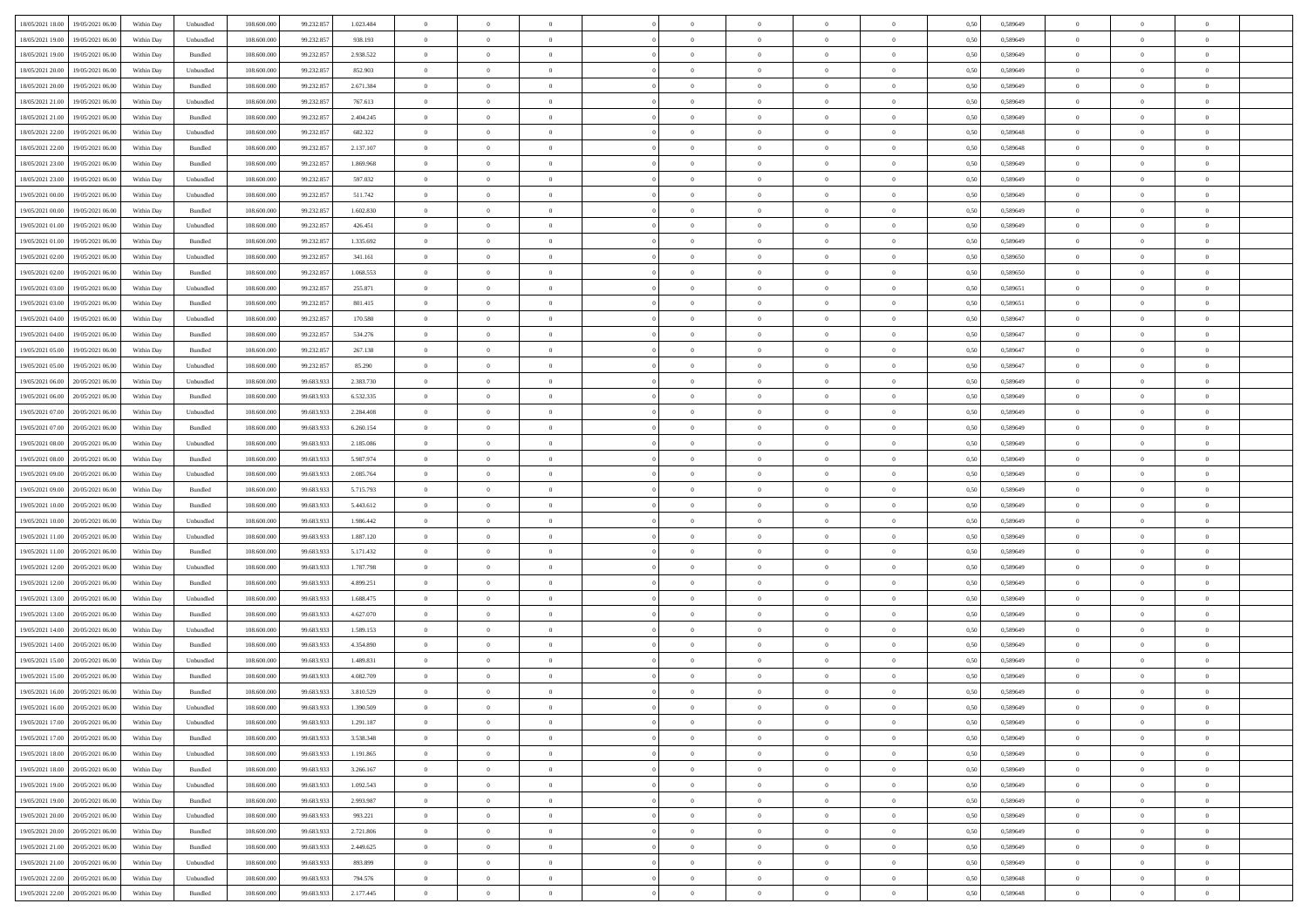|                                              |            |                             |             |            |           | $\overline{0}$ | $\overline{0}$ |                | $\overline{0}$ | $\theta$       |                | $\bf{0}$       |      |          | $\theta$       | $\theta$       | $\theta$       |  |
|----------------------------------------------|------------|-----------------------------|-------------|------------|-----------|----------------|----------------|----------------|----------------|----------------|----------------|----------------|------|----------|----------------|----------------|----------------|--|
| 18/05/2021 18:00 19/05/2021 06:00            | Within Day | Unbundled                   | 108.600.000 | 99.232.857 | 1.023.484 |                |                |                |                |                |                |                | 0,50 | 0,589649 |                |                |                |  |
| 18/05/2021 19:00<br>19/05/2021 06:00         | Within Day | Unbundled                   | 108.600.00  | 99.232.85  | 938.193   | $\bf{0}$       | $\overline{0}$ | $\bf{0}$       | $\bf{0}$       | $\overline{0}$ | $\overline{0}$ | $\bf{0}$       | 0,50 | 0,589649 | $\,$ 0 $\,$    | $\bf{0}$       | $\overline{0}$ |  |
| 18/05/2021 19:00<br>19/05/2021 06:00         | Within Day | Bundled                     | 108,600,000 | 99.232.857 | 2.938.522 | $\overline{0}$ | $\bf{0}$       | $\overline{0}$ | $\bf{0}$       | $\bf{0}$       | $\overline{0}$ | $\bf{0}$       | 0.50 | 0.589649 | $\bf{0}$       | $\overline{0}$ | $\overline{0}$ |  |
| 18/05/2021 20:00<br>19/05/2021 06:00         |            |                             | 108.600.000 |            |           | $\overline{0}$ | $\bf{0}$       | $\overline{0}$ | $\theta$       | $\theta$       | $\overline{0}$ |                |      |          | $\theta$       | $\theta$       | $\overline{0}$ |  |
|                                              | Within Day | Unbundled                   |             | 99.232.857 | 852.903   |                |                |                |                |                |                | $\bf{0}$       | 0,50 | 0,589649 |                |                |                |  |
| 18/05/2021 20:00<br>19/05/2021 06:00         | Within Day | Bundled                     | 108.600.00  | 99.232.857 | 2.671.384 | $\overline{0}$ | $\overline{0}$ | $\bf{0}$       | $\overline{0}$ | $\theta$       | $\overline{0}$ | $\bf{0}$       | 0,50 | 0,589649 | $\,$ 0 $\,$    | $\bf{0}$       | $\overline{0}$ |  |
| 18/05/2021 21:00<br>19/05/2021 06:00         | Within Day | Unbundled                   | 108,600,000 | 99.232.857 | 767.613   | $\overline{0}$ | $\overline{0}$ | $\overline{0}$ | $\bf{0}$       | $\overline{0}$ | $\theta$       | $\bf{0}$       | 0.50 | 0.589649 | $\bf{0}$       | $\theta$       | $\overline{0}$ |  |
| 18/05/2021 21:00<br>19/05/2021 06:00         | Within Day | Bundled                     | 108.600.000 | 99.232.857 | 2.404.245 | $\overline{0}$ | $\overline{0}$ | $\overline{0}$ | $\overline{0}$ | $\overline{0}$ | $\overline{0}$ | $\bf{0}$       | 0,50 | 0,589649 | $\theta$       | $\theta$       | $\overline{0}$ |  |
|                                              |            |                             |             |            |           |                |                |                |                |                |                |                |      |          |                |                |                |  |
| 18/05/2021 22:00<br>19/05/2021 06:00         | Within Day | Unbundled                   | 108.600.00  | 99.232.85  | 682.322   | $\bf{0}$       | $\overline{0}$ | $\bf{0}$       | $\overline{0}$ | $\overline{0}$ | $\overline{0}$ | $\bf{0}$       | 0,50 | 0,589648 | $\,$ 0 $\,$    | $\bf{0}$       | $\overline{0}$ |  |
| 18/05/2021 22:00<br>19/05/2021 06:00         | Within Day | Bundled                     | 108,600,000 | 99.232.857 | 2.137.107 | $\overline{0}$ | $\bf{0}$       | $\overline{0}$ | $\bf{0}$       | $\overline{0}$ | $\overline{0}$ | $\bf{0}$       | 0.50 | 0.589648 | $\bf{0}$       | $\overline{0}$ | $\overline{0}$ |  |
| 18/05/2021 23:00<br>19/05/2021 06:00         | Within Day | Bundled                     | 108.600.000 | 99.232.857 | 1.869.968 | $\overline{0}$ | $\bf{0}$       | $\overline{0}$ | $\overline{0}$ | $\overline{0}$ | $\overline{0}$ | $\bf{0}$       | 0,50 | 0,589649 | $\,$ 0 $\,$    | $\bf{0}$       | $\overline{0}$ |  |
|                                              |            |                             |             |            |           |                |                |                |                |                |                |                |      |          |                |                |                |  |
| 18/05/2021 23:00<br>19/05/2021 06:00         | Within Day | Unbundled                   | 108.600.00  | 99.232.857 | 597.032   | $\bf{0}$       | $\overline{0}$ | $\bf{0}$       | $\bf{0}$       | $\bf{0}$       | $\overline{0}$ | $\bf{0}$       | 0,50 | 0,589649 | $\,$ 0 $\,$    | $\bf{0}$       | $\overline{0}$ |  |
| 19/05/2021 00:00<br>19/05/2021 06:00         | Within Day | Unbundled                   | 108,600,000 | 99.232.857 | 511.742   | $\overline{0}$ | $\bf{0}$       | $\overline{0}$ | $\bf{0}$       | $\bf{0}$       | $\overline{0}$ | $\bf{0}$       | 0.50 | 0.589649 | $\bf{0}$       | $\overline{0}$ | $\bf{0}$       |  |
| 19/05/2021 00:00<br>19/05/2021 06:00         | Within Day | Bundled                     | 108.600.000 | 99.232.857 | 1.602.830 | $\overline{0}$ | $\overline{0}$ | $\overline{0}$ | $\theta$       | $\theta$       | $\overline{0}$ | $\bf{0}$       | 0,50 | 0,589649 | $\,$ 0 $\,$    | $\theta$       | $\overline{0}$ |  |
| 19/05/2021 01:00<br>19/05/2021 06:00         | Within Day | Unbundled                   | 108.600.00  | 99.232.85  | 426.451   | $\bf{0}$       | $\overline{0}$ | $\bf{0}$       | $\overline{0}$ | $\theta$       | $\overline{0}$ | $\bf{0}$       | 0,50 | 0,589649 | $\bf{0}$       | $\bf{0}$       | $\overline{0}$ |  |
|                                              |            |                             |             |            |           |                |                |                |                |                |                |                |      |          |                |                |                |  |
| 19/05/2021 01:00<br>19/05/2021 06:00         | Within Day | Bundled                     | 108,600,000 | 99.232.857 | 1.335.692 | $\overline{0}$ | $\overline{0}$ | $\overline{0}$ | $\bf{0}$       | $\overline{0}$ | $\Omega$       | $\bf{0}$       | 0.50 | 0.589649 | $\theta$       | $\theta$       | $\overline{0}$ |  |
| 19/05/2021 02:00<br>19/05/2021 06:00         | Within Day | Unbundled                   | 108.600.000 | 99.232.857 | 341.161   | $\overline{0}$ | $\overline{0}$ | $\overline{0}$ | $\overline{0}$ | $\theta$       | $\overline{0}$ | $\bf{0}$       | 0,50 | 0,589650 | $\theta$       | $\theta$       | $\overline{0}$ |  |
| 19/05/2021 02:00<br>19/05/2021 06:00         | Within Day | Bundled                     | 108.600.00  | 99.232.85  | 1.068.553 | $\bf{0}$       | $\overline{0}$ | $\bf{0}$       | $\overline{0}$ | $\theta$       | $\overline{0}$ | $\bf{0}$       | 0,50 | 0,589650 | $\,$ 0 $\,$    | $\bf{0}$       | $\overline{0}$ |  |
|                                              |            |                             |             |            |           |                |                |                |                |                |                |                |      |          |                |                |                |  |
| 19/05/2021 03:00<br>19/05/2021 06:00         | Within Day | Unbundled                   | 108,600,000 | 99.232.857 | 255.871   | $\overline{0}$ | $\bf{0}$       | $\overline{0}$ | $\bf{0}$       | $\overline{0}$ | $\overline{0}$ | $\bf{0}$       | 0.50 | 0.589651 | $\bf{0}$       | $\overline{0}$ | $\overline{0}$ |  |
| 19/05/2021 03:00<br>19/05/2021 06:00         | Within Day | Bundled                     | 108.600.000 | 99.232.857 | 801.415   | $\overline{0}$ | $\bf{0}$       | $\overline{0}$ | $\overline{0}$ | $\overline{0}$ | $\overline{0}$ | $\bf{0}$       | 0,50 | 0,589651 | $\,$ 0 $\,$    | $\bf{0}$       | $\overline{0}$ |  |
| 19/05/2021 04:00<br>19/05/2021 06:00         | Within Day | Unbundled                   | 108.600.00  | 99.232.857 | 170.580   | $\bf{0}$       | $\bf{0}$       | $\bf{0}$       | $\bf{0}$       | $\overline{0}$ | $\overline{0}$ | $\bf{0}$       | 0,50 | 0,589647 | $\,$ 0 $\,$    | $\bf{0}$       | $\overline{0}$ |  |
| 19/05/2021 04:00<br>19/05/2021 06:00         | Within Day | Bundled                     | 108,600,000 | 99.232.857 | 534.276   | $\overline{0}$ | $\bf{0}$       | $\overline{0}$ | $\bf{0}$       | $\bf{0}$       | $\overline{0}$ | $\bf{0}$       | 0.50 | 0.589647 | $\bf{0}$       | $\overline{0}$ | $\overline{0}$ |  |
|                                              |            |                             |             |            |           | $\overline{0}$ | $\overline{0}$ | $\overline{0}$ | $\theta$       | $\theta$       | $\overline{0}$ |                |      |          | $\theta$       | $\theta$       | $\overline{0}$ |  |
| 19/05/2021 05:00<br>19/05/2021 06:00         | Within Day | Bundled                     | 108.600.000 | 99.232.857 | 267.138   |                |                |                |                |                |                | $\bf{0}$       | 0,50 | 0,589647 |                |                |                |  |
| 19/05/2021 05:00<br>19/05/2021 06:00         | Within Day | Unbundled                   | 108.600.00  | 99.232.857 | 85.290    | $\bf{0}$       | $\overline{0}$ | $\bf{0}$       | $\bf{0}$       | $\bf{0}$       | $\overline{0}$ | $\bf{0}$       | 0,50 | 0,589647 | $\,$ 0 $\,$    | $\bf{0}$       | $\overline{0}$ |  |
| 19/05/2021 06:00<br>20/05/2021 06:00         | Within Day | Unbundled                   | 108,600,000 | 99.683.93  | 2.383.730 | $\overline{0}$ | $\overline{0}$ | $\overline{0}$ | $\bf{0}$       | $\overline{0}$ | $\Omega$       | $\bf{0}$       | 0.50 | 0.589649 | $\bf{0}$       | $\theta$       | $\overline{0}$ |  |
| 19/05/2021 06:00<br>20/05/2021 06:00         | Within Day | Bundled                     | 108.600.000 | 99.683.933 | 6.532.335 | $\overline{0}$ | $\overline{0}$ | $\overline{0}$ | $\overline{0}$ | $\theta$       | $\overline{0}$ | $\bf{0}$       | 0,50 | 0,589649 | $\theta$       | $\theta$       | $\overline{0}$ |  |
|                                              |            |                             |             |            |           |                | $\overline{0}$ |                |                | $\theta$       | $\overline{0}$ |                |      |          |                |                | $\overline{0}$ |  |
| 19/05/2021 07:00<br>20/05/2021 06:00         | Within Day | Unbundled                   | 108.600.00  | 99.683.93  | 2.284.408 | $\bf{0}$       |                | $\bf{0}$       | $\overline{0}$ |                |                | $\bf{0}$       | 0,50 | 0,589649 | $\,$ 0 $\,$    | $\bf{0}$       |                |  |
| 19/05/2021 07:00<br>20/05/2021 06:00         | Within Day | Bundled                     | 108,600,000 | 99.683.933 | 6.260.154 | $\overline{0}$ | $\bf{0}$       | $\overline{0}$ | $\bf{0}$       | $\overline{0}$ | $\overline{0}$ | $\bf{0}$       | 0.50 | 0.589649 | $\bf{0}$       | $\overline{0}$ | $\overline{0}$ |  |
| 19/05/2021 08:00<br>20/05/2021 06:00         | Within Day | Unbundled                   | 108.600.000 | 99.683.933 | 2.185.086 | $\overline{0}$ | $\overline{0}$ | $\overline{0}$ | $\overline{0}$ | $\overline{0}$ | $\overline{0}$ | $\bf{0}$       | 0,50 | 0,589649 | $\theta$       | $\theta$       | $\overline{0}$ |  |
| 19/05/2021 08:00<br>20/05/2021 06:00         | Within Day | Bundled                     | 108.600.00  | 99.683.93  | 5.987.974 | $\bf{0}$       | $\bf{0}$       | $\bf{0}$       | $\bf{0}$       | $\overline{0}$ | $\overline{0}$ | $\bf{0}$       | 0,50 | 0,589649 | $\,$ 0 $\,$    | $\bf{0}$       | $\overline{0}$ |  |
| 20/05/2021 06:00                             |            |                             | 108,600,000 | 99.683.933 | 2.085.764 |                |                |                |                |                | $\overline{0}$ |                |      |          |                |                |                |  |
| 19/05/2021 09:00                             | Within Day | Unbundled                   |             |            |           | $\overline{0}$ | $\bf{0}$       | $\overline{0}$ | $\bf{0}$       | $\bf{0}$       |                | $\bf{0}$       | 0.50 | 0.589649 | $\bf{0}$       | $\overline{0}$ | $\overline{0}$ |  |
| 19/05/2021 09:00<br>20/05/2021 06:00         | Within Day | Bundled                     | 108.600.000 | 99.683.933 | 5.715.793 | $\overline{0}$ | $\overline{0}$ | $\overline{0}$ | $\overline{0}$ | $\overline{0}$ | $\overline{0}$ | $\bf{0}$       | 0.50 | 0.589649 | $\theta$       | $\theta$       | $\overline{0}$ |  |
| 19/05/2021 10:00<br>20/05/2021 06:00         | Within Day | Bundled                     | 108.600.00  | 99.683.93  | 5.443.612 | $\bf{0}$       | $\overline{0}$ | $\bf{0}$       | $\bf{0}$       | $\overline{0}$ | $\overline{0}$ | $\bf{0}$       | 0,50 | 0,589649 | $\,$ 0 $\,$    | $\bf{0}$       | $\overline{0}$ |  |
| 19/05/2021 10:00<br>20/05/2021 06:00         | Within Day | Unbundled                   | 108,600,000 | 99.683.933 | 1.986.442 | $\overline{0}$ | $\bf{0}$       | $\overline{0}$ | $\bf{0}$       | $\overline{0}$ | $\Omega$       | $\bf{0}$       | 0.50 | 0.589649 | $\,$ 0 $\,$    | $\theta$       | $\overline{0}$ |  |
| 19/05/2021 11:00<br>20/05/2021 06:00         | Within Dav | Unbundled                   | 108.600.000 | 99.683.933 | 1.887.120 | $\overline{0}$ | $\overline{0}$ | $\overline{0}$ | $\overline{0}$ | $\theta$       | $\overline{0}$ | $\bf{0}$       | 0.50 | 0.589649 | $\theta$       | $\theta$       | $\overline{0}$ |  |
|                                              |            |                             |             |            |           |                |                |                |                |                |                |                |      |          |                |                |                |  |
| 19/05/2021 11:00<br>20/05/2021 06:00         | Within Day | Bundled                     | 108.600.00  | 99.683.93  | 5.171.432 | $\bf{0}$       | $\bf{0}$       | $\bf{0}$       | $\bf{0}$       | $\bf{0}$       | $\overline{0}$ | $\bf{0}$       | 0,50 | 0,589649 | $\,$ 0 $\,$    | $\bf{0}$       | $\overline{0}$ |  |
| 19/05/2021 12:00<br>20/05/2021 06:00         | Within Day | Unbundled                   | 108,600,000 | 99.683.93  | 1.787.798 | $\overline{0}$ | $\bf{0}$       | $\overline{0}$ | $\bf{0}$       | $\overline{0}$ | $\overline{0}$ | $\bf{0}$       | 0.50 | 0.589649 | $\bf{0}$       | $\overline{0}$ | $\overline{0}$ |  |
| 19/05/2021 12:00<br>20/05/2021 06:00         | Within Dav | Bundled                     | 108.600.000 | 99.683.933 | 4.899.251 | $\overline{0}$ | $\overline{0}$ | $\overline{0}$ | $\overline{0}$ | $\overline{0}$ | $\overline{0}$ | $\bf{0}$       | 0.50 | 0.589649 | $\theta$       | $\theta$       | $\overline{0}$ |  |
| 20/05/2021 06:00                             | Within Day | Unbundled                   | 108.600.00  | 99.683.93  | 1.688.475 | $\bf{0}$       | $\bf{0}$       | $\bf{0}$       | $\bf{0}$       | $\overline{0}$ | $\overline{0}$ | $\bf{0}$       | 0,50 | 0,589649 | $\,$ 0 $\,$    | $\bf{0}$       | $\overline{0}$ |  |
| 19/05/2021 13:00                             |            |                             |             |            |           |                |                |                |                |                |                |                |      |          |                |                |                |  |
| 19/05/2021 13:00<br>20/05/2021 06:00         | Within Day | Bundled                     | 108,600,000 | 99.683.933 | 4.627.070 | $\overline{0}$ | $\bf{0}$       | $\overline{0}$ | $\bf{0}$       | $\bf{0}$       | $\overline{0}$ | $\bf{0}$       | 0.50 | 0.589649 | $\bf{0}$       | $\overline{0}$ | $\overline{0}$ |  |
| 19/05/2021 14:00<br>20/05/2021 06:00         | Within Dav | Unbundled                   | 108.600.000 | 99.683.933 | 1.589.153 | $\overline{0}$ | $\overline{0}$ | $\overline{0}$ | $\overline{0}$ | $\theta$       | $\overline{0}$ | $\bf{0}$       | 0.50 | 0.589649 | $\theta$       | $\theta$       | $\overline{0}$ |  |
| 19/05/2021 14:00<br>20/05/2021 06:00         | Within Day | Bundled                     | 108.600.00  | 99.683.93  | 4.354.890 | $\bf{0}$       | $\bf{0}$       | $\bf{0}$       | $\bf{0}$       | $\overline{0}$ | $\overline{0}$ | $\bf{0}$       | 0,50 | 0,589649 | $\,$ 0 $\,$    | $\bf{0}$       | $\overline{0}$ |  |
|                                              |            |                             | 108,600,000 | 99.683.93  | 1.489.831 |                | $\overline{0}$ | $\overline{0}$ |                | $\theta$       | $\Omega$       |                | 0.50 | 0.589649 | $\,$ 0 $\,$    | $\theta$       | $\overline{0}$ |  |
| 19/05/2021 15:00<br>20/05/2021 06:00         | Within Day | Unbundled                   |             |            |           | $\overline{0}$ |                |                | $\bf{0}$       |                |                | $\bf{0}$       |      |          |                |                |                |  |
| 19/05/2021 15:00<br>20/05/2021 06:00         | Within Dav | Bundled                     | 108.600.000 | 99.683.933 | 4.082.709 | $\overline{0}$ | $\overline{0}$ | $\Omega$       | $\overline{0}$ | $\theta$       | $\overline{0}$ | $\overline{0}$ | 0.50 | 0.589649 | $\theta$       | $\theta$       | $\overline{0}$ |  |
| 19/05/2021 16:00<br>20/05/2021 06:00         | Within Day | Bundled                     | 108.600.00  | 99.683.933 | 3.810.529 | $\bf{0}$       | $\bf{0}$       | $\overline{0}$ | $\bf{0}$       | $\bf{0}$       | $\overline{0}$ | $\bf{0}$       | 0,50 | 0,589649 | $\,$ 0 $\,$    | $\bf{0}$       | $\overline{0}$ |  |
| $19/05/2021\ 16.00 \qquad 20/05/2021\ 06.00$ | Within Day | $\ensuremath{\mathsf{Unb}}$ | 108.600.000 | 99.683.933 | 1.390.509 | $\overline{0}$ |                |                | $\Omega$       |                |                |                | 0,50 | 0.589649 | $\theta$       | $\overline{0}$ |                |  |
| 19/05/2021 17:00 20/05/2021 06:00            | Within Day | Unbundled                   | 108.600.000 | 99.683.933 | 1.291.187 | $\overline{0}$ | $\overline{0}$ | $\overline{0}$ | $\theta$       | $\overline{0}$ | $\overline{0}$ | $\bf{0}$       | 0,50 | 0,589649 | $\theta$       | $\overline{0}$ | $\overline{0}$ |  |
|                                              |            |                             |             |            |           |                |                |                |                |                |                |                |      |          |                |                |                |  |
| 19/05/2021 17:00<br>20/05/2021 06:00         | Within Day | Bundled                     | 108.600.00  | 99.683.933 | 3.538.348 | $\overline{0}$ | $\bf{0}$       | $\overline{0}$ | $\overline{0}$ | $\bf{0}$       | $\overline{0}$ | $\bf{0}$       | 0,50 | 0,589649 | $\bf{0}$       | $\overline{0}$ | $\bf{0}$       |  |
| 19/05/2021 18:00 20/05/2021 06:00            | Within Day | Unbundled                   | 108,600,000 | 99.683.933 | 1.191.865 | $\overline{0}$ | $\bf{0}$       | $\overline{0}$ | $\overline{0}$ | $\mathbf{0}$   | $\overline{0}$ | $\,$ 0 $\,$    | 0.50 | 0.589649 | $\overline{0}$ | $\bf{0}$       | $\bf{0}$       |  |
| 19/05/2021 18:00 20/05/2021 06:00            | Within Dav | Bundled                     | 108.600.000 | 99.683.933 | 3.266.167 | $\overline{0}$ | $\overline{0}$ | $\overline{0}$ | $\overline{0}$ | $\overline{0}$ | $\overline{0}$ | $\bf{0}$       | 0,50 | 0.589649 | $\overline{0}$ | $\theta$       | $\overline{0}$ |  |
|                                              |            |                             |             |            |           |                |                |                |                |                |                |                |      |          |                |                |                |  |
| 19/05/2021 19:00<br>20/05/2021 06:00         | Within Day | Unbundled                   | 108.600.000 | 99.683.933 | 1.092.543 | $\overline{0}$ | $\bf{0}$       | $\overline{0}$ | $\overline{0}$ | $\bf{0}$       | $\overline{0}$ | $\bf{0}$       | 0,50 | 0,589649 | $\bf{0}$       | $\overline{0}$ | $\overline{0}$ |  |
| 19/05/2021 19:00 20/05/2021 06:00            | Within Day | Bundled                     | 108,600,000 | 99.683.933 | 2.993.987 | $\overline{0}$ | $\bf{0}$       | $\overline{0}$ | $\overline{0}$ | $\bf{0}$       | $\overline{0}$ | $\bf{0}$       | 0.50 | 0.589649 | $\,$ 0 $\,$    | $\overline{0}$ | $\,$ 0         |  |
| 19/05/2021 20:00<br>20/05/2021 06:00         | Within Dav | Unbundled                   | 108.600.000 | 99.683.933 | 993.221   | $\overline{0}$ | $\overline{0}$ | $\overline{0}$ | $\overline{0}$ | $\overline{0}$ | $\overline{0}$ | $\bf{0}$       | 0,50 | 0.589649 | $\overline{0}$ | $\theta$       | $\overline{0}$ |  |
| 19/05/2021 20:00<br>20/05/2021 06:00         | Within Day | Bundled                     | 108.600.00  | 99.683.933 | 2.721.806 | $\overline{0}$ | $\overline{0}$ | $\overline{0}$ | $\overline{0}$ | $\overline{0}$ | $\overline{0}$ | $\bf{0}$       | 0,50 | 0,589649 | $\bf{0}$       | $\overline{0}$ | $\,$ 0         |  |
|                                              |            |                             |             |            |           |                |                |                |                |                |                |                |      |          |                |                |                |  |
| 19/05/2021 21:00 20/05/2021 06:00            | Within Day | Bundled                     | 108,600,000 | 99.683.933 | 2.449.625 | $\overline{0}$ | $\overline{0}$ | $\overline{0}$ | $\overline{0}$ | $\overline{0}$ | $\overline{0}$ | $\bf{0}$       | 0.50 | 0.589649 | $\mathbf{0}$   | $\bf{0}$       | $\,$ 0         |  |
| 19/05/2021 21:00 20/05/2021 06:00            | Within Dav | Unbundled                   | 108.600.000 | 99.683.933 | 893.899   | $\overline{0}$ | $\overline{0}$ | $\overline{0}$ | $\overline{0}$ | $\overline{0}$ | $\overline{0}$ | $\bf{0}$       | 0,50 | 0.589649 | $\overline{0}$ | $\theta$       | $\overline{0}$ |  |
| 19/05/2021 22:00<br>20/05/2021 06:00         | Within Day | Unbundled                   | 108.600.00  | 99.683.933 | 794.576   | $\overline{0}$ | $\bf{0}$       | $\overline{0}$ | $\overline{0}$ | $\overline{0}$ | $\overline{0}$ | $\bf{0}$       | 0,50 | 0,589648 | $\bf{0}$       | $\overline{0}$ | $\bf{0}$       |  |
| 19/05/2021 22:00 20/05/2021 06:00            |            | Bundled                     | 108.600.000 |            | 2.177.445 | $\,$ 0 $\,$    | $\bf{0}$       | $\overline{0}$ |                | $\,$ 0 $\,$    | $\overline{0}$ | $\,$ 0 $\,$    | 0,50 | 0,589648 | $\overline{0}$ | $\,$ 0 $\,$    | $\,$ 0 $\,$    |  |
|                                              | Within Day |                             |             | 99.683.933 |           |                |                |                | $\overline{0}$ |                |                |                |      |          |                |                |                |  |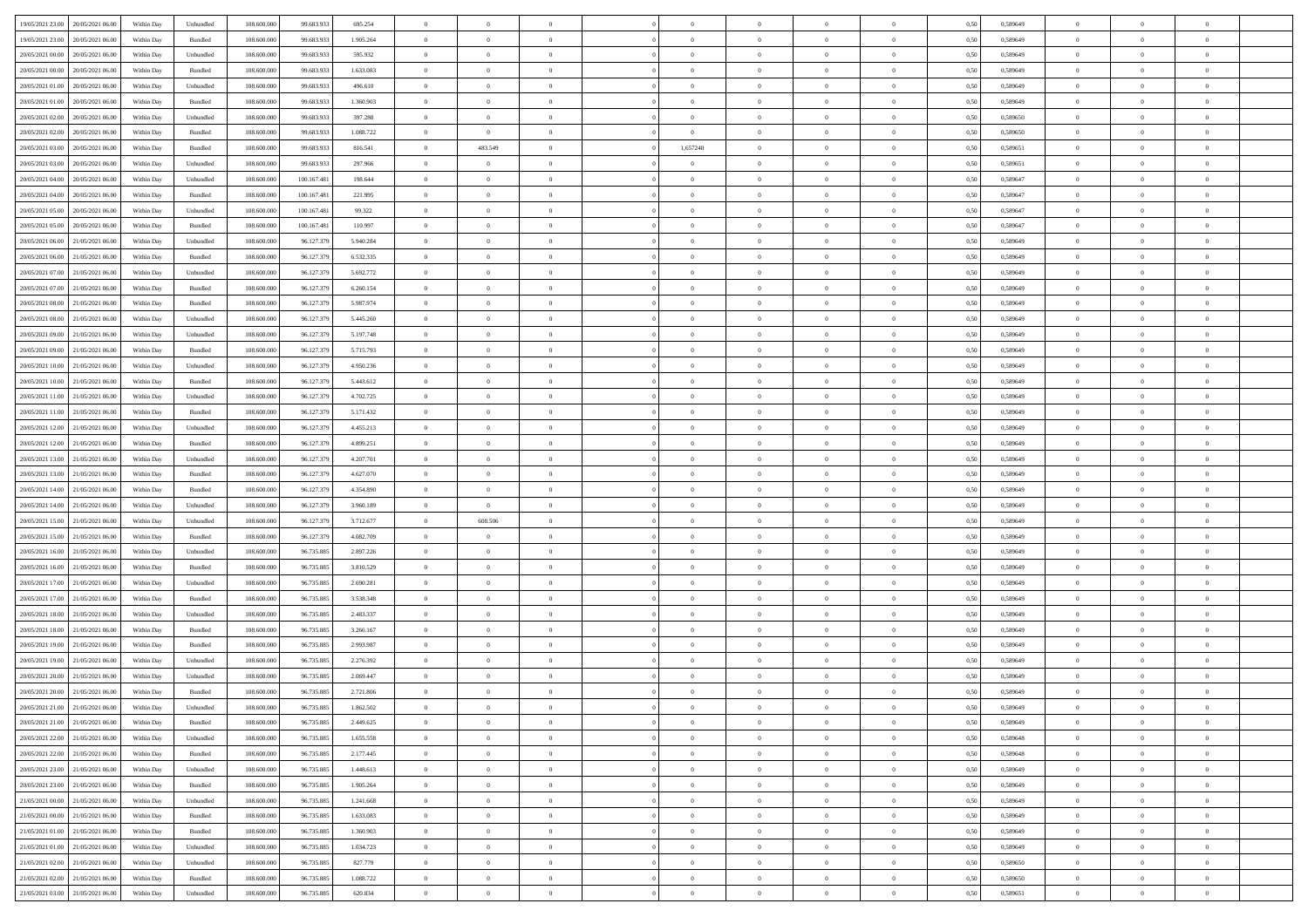| 19/05/2021 23:00 20/05/2021 06:00              | Within Day | Unbundled                   | 108.600.000 | 99.683.933  | 695.254   | $\overline{0}$ | $\overline{0}$ |                | $\overline{0}$ | $\theta$       |                | $\theta$       | 0,50 | 0,589649 | $\theta$       | $\theta$       | $\overline{0}$ |  |
|------------------------------------------------|------------|-----------------------------|-------------|-------------|-----------|----------------|----------------|----------------|----------------|----------------|----------------|----------------|------|----------|----------------|----------------|----------------|--|
| 19/05/2021 23:00<br>20/05/2021 06:00           | Within Day | Bundled                     | 108.600.00  | 99.683.93   | 1.905.264 | $\bf{0}$       | $\bf{0}$       | $\bf{0}$       | $\bf{0}$       | $\overline{0}$ | $\overline{0}$ | $\bf{0}$       | 0,50 | 0,589649 | $\,$ 0 $\,$    | $\bf{0}$       | $\overline{0}$ |  |
| 20/05/2021 00:00<br>20/05/2021 06:00           | Within Day | Unbundled                   | 108,600,000 | 99.683.933  | 595.932   | $\overline{0}$ | $\bf{0}$       | $\overline{0}$ | $\bf{0}$       | $\bf{0}$       | $\overline{0}$ | $\bf{0}$       | 0.50 | 0.589649 | $\bf{0}$       | $\overline{0}$ | $\overline{0}$ |  |
| 20/05/2021 00:00<br>20/05/2021 06:00           |            |                             | 108.600.000 |             |           | $\overline{0}$ | $\overline{0}$ | $\overline{0}$ | $\theta$       | $\theta$       | $\overline{0}$ |                |      |          | $\theta$       | $\theta$       | $\overline{0}$ |  |
|                                                | Within Day | Bundled                     |             | 99.683.933  | 1.633.083 |                |                |                |                |                |                | $\bf{0}$       | 0,50 | 0,589649 |                |                |                |  |
| 20/05/2021 01:00<br>20/05/2021 06:00           | Within Day | Unbundled                   | 108.600.00  | 99.683.93   | 496.610   | $\overline{0}$ | $\overline{0}$ | $\bf{0}$       | $\overline{0}$ | $\theta$       | $\overline{0}$ | $\bf{0}$       | 0,50 | 0,589649 | $\,$ 0 $\,$    | $\bf{0}$       | $\overline{0}$ |  |
| 20/05/2021 01:00<br>20/05/2021 06:00           | Within Day | Bundled                     | 108,600,000 | 99.683.93   | 1.360.903 | $\overline{0}$ | $\overline{0}$ | $\overline{0}$ | $\bf{0}$       | $\overline{0}$ | $\theta$       | $\bf{0}$       | 0.50 | 0.589649 | $\,$ 0 $\,$    | $\theta$       | $\overline{0}$ |  |
| 20/05/2021 02:00<br>20/05/2021 06:00           | Within Day | Unbundled                   | 108.600.000 | 99.683.933  | 397.288   | $\overline{0}$ | $\overline{0}$ | $\overline{0}$ | $\overline{0}$ | $\overline{0}$ | $\overline{0}$ | $\bf{0}$       | 0,50 | 0,589650 | $\theta$       | $\theta$       | $\overline{0}$ |  |
|                                                |            |                             |             |             |           |                |                |                |                |                |                |                |      |          |                |                |                |  |
| 20/05/2021 02:00<br>20/05/2021 06:00           | Within Day | Bundled                     | 108.600.00  | 99.683.93   | 1.088.722 | $\bf{0}$       | $\bf{0}$       | $\bf{0}$       | $\bf{0}$       | $\overline{0}$ | $\overline{0}$ | $\bf{0}$       | 0,50 | 0,589650 | $\,$ 0 $\,$    | $\bf{0}$       | $\overline{0}$ |  |
| 20/05/2021 03:00<br>20/05/2021 06:00           | Within Day | Bundled                     | 108 600 000 | 99.683.93   | 816.541   | $\overline{0}$ | 483.549        | $\overline{0}$ | 1,657248       | $\overline{0}$ | $\overline{0}$ | $\bf{0}$       | 0.50 | 0.589651 | $\bf{0}$       | $\overline{0}$ | $\overline{0}$ |  |
| 20/05/2021 03:00<br>20/05/2021 06:00           | Within Day | Unbundled                   | 108.600.000 | 99.683.933  | 297.966   | $\overline{0}$ | $\overline{0}$ | $\overline{0}$ | $\overline{0}$ | $\overline{0}$ | $\overline{0}$ | $\bf{0}$       | 0,50 | 0,589651 | $\,$ 0 $\,$    | $\bf{0}$       | $\overline{0}$ |  |
| 20/05/2021 04:00<br>20/05/2021 06:00           | Within Day | Unbundled                   | 108.600.00  | 100.167.48  | 198.644   | $\bf{0}$       | $\overline{0}$ | $\bf{0}$       | $\overline{0}$ | $\bf{0}$       | $\overline{0}$ | $\bf{0}$       | 0,50 | 0,589647 | $\,$ 0 $\,$    | $\bf{0}$       | $\overline{0}$ |  |
|                                                |            |                             |             |             |           |                |                |                |                |                |                |                |      |          |                |                |                |  |
| 20/05/2021 04:00<br>20/05/2021 06:00           | Within Day | Bundled                     | 108,600,000 | 100.167.48  | 221.995   | $\overline{0}$ | $\bf{0}$       | $\overline{0}$ | $\overline{0}$ | $\bf{0}$       | $\overline{0}$ | $\bf{0}$       | 0.50 | 0.589647 | $\bf{0}$       | $\overline{0}$ | $\,$ 0         |  |
| 20/05/2021 05:00<br>20/05/2021 06:00           | Within Day | Unbundled                   | 108.600.000 | 100.167.481 | 99.322    | $\overline{0}$ | $\overline{0}$ | $\overline{0}$ | $\theta$       | $\theta$       | $\overline{0}$ | $\bf{0}$       | 0,50 | 0,589647 | $\theta$       | $\theta$       | $\overline{0}$ |  |
| 20/05/2021 05:00<br>20/05/2021 06:00           | Within Day | Bundled                     | 108.600.00  | 100.167.481 | 110.997   | $\bf{0}$       | $\overline{0}$ | $\bf{0}$       | $\overline{0}$ | $\theta$       | $\overline{0}$ | $\bf{0}$       | 0,50 | 0,589647 | $\,$ 0 $\,$    | $\bf{0}$       | $\overline{0}$ |  |
|                                                |            |                             | 108 600 000 |             |           |                |                |                |                |                | $\theta$       |                |      |          |                |                |                |  |
| 20/05/2021 06:00<br>21/05/2021 06:00           | Within Day | Unbundled                   |             | 96.127.379  | 5.940.284 | $\overline{0}$ | $\overline{0}$ | $\overline{0}$ | $\bf{0}$       | $\overline{0}$ |                | $\bf{0}$       | 0.50 | 0.589649 | $\,$ 0 $\,$    | $\theta$       | $\overline{0}$ |  |
| 20/05/2021 06:00<br>21/05/2021 06:00           | Within Day | Bundled                     | 108.600.000 | 96.127.379  | 6.532.335 | $\overline{0}$ | $\overline{0}$ | $\overline{0}$ | $\overline{0}$ | $\overline{0}$ | $\overline{0}$ | $\bf{0}$       | 0,50 | 0,589649 | $\theta$       | $\theta$       | $\overline{0}$ |  |
| 20/05/2021 07:00<br>21/05/2021 06.00           | Within Day | Unbundled                   | 108.600.00  | 96.127.37   | 5.692.772 | $\bf{0}$       | $\overline{0}$ | $\bf{0}$       | $\overline{0}$ | $\bf{0}$       | $\overline{0}$ | $\bf{0}$       | 0,50 | 0,589649 | $\,$ 0 $\,$    | $\bf{0}$       | $\overline{0}$ |  |
| 20/05/2021 07:00<br>21/05/2021 06:00           | Within Day | Bundled                     | 108,600,000 | 96.127.379  | 6.260.154 | $\overline{0}$ | $\bf{0}$       | $\overline{0}$ | $\bf{0}$       | $\overline{0}$ | $\overline{0}$ | $\bf{0}$       | 0.50 | 0.589649 | $\bf{0}$       | $\overline{0}$ | $\overline{0}$ |  |
| 20/05/2021 08:00<br>21/05/2021 06:00           |            |                             | 108.600.000 |             |           | $\overline{0}$ | $\bf{0}$       | $\overline{0}$ | $\overline{0}$ | $\overline{0}$ | $\overline{0}$ |                |      |          | $\,$ 0 $\,$    | $\bf{0}$       | $\overline{0}$ |  |
|                                                | Within Day | Bundled                     |             | 96.127.379  | 5.987.974 |                |                |                |                |                |                | $\bf{0}$       | 0,50 | 0,589649 |                |                |                |  |
| 20/05/2021 08:00<br>21/05/2021 06.00           | Within Day | Unbundled                   | 108.600.00  | 96.127.379  | 5.445.260 | $\bf{0}$       | $\bf{0}$       | $\bf{0}$       | $\bf{0}$       | $\overline{0}$ | $\overline{0}$ | $\bf{0}$       | 0,50 | 0,589649 | $\,$ 0 $\,$    | $\bf{0}$       | $\overline{0}$ |  |
| 20/05/2021 09:00<br>21/05/2021 06:00           | Within Day | Unbundled                   | 108,600,000 | 96.127.379  | 5.197.748 | $\overline{0}$ | $\bf{0}$       | $\overline{0}$ | $\overline{0}$ | $\bf{0}$       | $\overline{0}$ | $\bf{0}$       | 0.50 | 0.589649 | $\bf{0}$       | $\overline{0}$ | $\,$ 0         |  |
| 20/05/2021 09:00<br>21/05/2021 06:00           | Within Day | Bundled                     | 108.600.000 | 96.127.379  | 5.715.793 | $\overline{0}$ | $\overline{0}$ | $\overline{0}$ | $\theta$       | $\theta$       | $\overline{0}$ | $\bf{0}$       | 0,50 | 0,589649 | $\theta$       | $\theta$       | $\overline{0}$ |  |
|                                                |            |                             |             |             |           |                | $\overline{0}$ |                |                | $\overline{0}$ | $\overline{0}$ |                |      |          | $\,$ 0 $\,$    | $\bf{0}$       | $\overline{0}$ |  |
| 20/05/2021 10:00<br>21/05/2021 06.00           | Within Day | Unbundled                   | 108.600.00  | 96.127.37   | 4.950.236 | $\bf{0}$       |                | $\bf{0}$       | $\bf{0}$       |                |                | $\bf{0}$       | 0,50 | 0,589649 |                |                |                |  |
| 20/05/2021 10:00<br>21/05/2021 06:00           | Within Day | Bundled                     | 108,600,000 | 96.127.379  | 5.443.612 | $\overline{0}$ | $\overline{0}$ | $\overline{0}$ | $\overline{0}$ | $\overline{0}$ | $\theta$       | $\bf{0}$       | 0.50 | 0.589649 | $\,$ 0 $\,$    | $\theta$       | $\overline{0}$ |  |
| 20/05/2021 11:00<br>21/05/2021 06:00           | Within Day | Unbundled                   | 108.600.000 | 96.127.379  | 4.702.725 | $\overline{0}$ | $\overline{0}$ | $\overline{0}$ | $\overline{0}$ | $\overline{0}$ | $\overline{0}$ | $\bf{0}$       | 0,50 | 0,589649 | $\theta$       | $\theta$       | $\overline{0}$ |  |
| 20/05/2021 11:00<br>21/05/2021 06.00           | Within Day | Bundled                     | 108.600.00  | 96.127.37   | 5.171.432 | $\bf{0}$       | $\overline{0}$ | $\bf{0}$       | $\overline{0}$ | $\bf{0}$       | $\overline{0}$ | $\bf{0}$       | 0,50 | 0,589649 | $\,$ 0 $\,$    | $\bf{0}$       | $\overline{0}$ |  |
| 20/05/2021 12:00<br>21/05/2021 06:00           | Within Day | Unbundled                   | 108 600 000 | 96.127.379  | 4.455.213 | $\overline{0}$ | $\bf{0}$       | $\overline{0}$ | $\bf{0}$       | $\overline{0}$ | $\overline{0}$ | $\bf{0}$       | 0.50 | 0.589649 | $\bf{0}$       | $\overline{0}$ | $\overline{0}$ |  |
|                                                |            |                             |             |             |           |                |                |                |                |                |                |                |      |          |                |                |                |  |
| 20/05/2021 12:00<br>21/05/2021 06:00           | Within Day | Bundled                     | 108.600.000 | 96.127.379  | 4.899.251 | $\overline{0}$ | $\overline{0}$ | $\overline{0}$ | $\overline{0}$ | $\overline{0}$ | $\overline{0}$ | $\bf{0}$       | 0,50 | 0,589649 | $\theta$       | $\theta$       | $\overline{0}$ |  |
| 20/05/2021 13:00<br>21/05/2021 06.00           | Within Day | Unbundled                   | 108.600.00  | 96.127.379  | 4.207.701 | $\bf{0}$       | $\bf{0}$       | $\bf{0}$       | $\bf{0}$       | $\overline{0}$ | $\overline{0}$ | $\bf{0}$       | 0,50 | 0,589649 | $\,$ 0 $\,$    | $\bf{0}$       | $\overline{0}$ |  |
| 20/05/2021 13:00<br>21/05/2021 06:00           | Within Day | Bundled                     | 108,600,000 | 96.127.379  | 4.627.070 | $\overline{0}$ | $\bf{0}$       | $\overline{0}$ | $\bf{0}$       | $\bf{0}$       | $\overline{0}$ | $\bf{0}$       | 0.50 | 0.589649 | $\bf{0}$       | $\overline{0}$ | $\bf{0}$       |  |
| 20/05/2021 14:00<br>21/05/2021 06:00           | Within Day | Bundled                     | 108.600.000 | 96.127.379  | 4.354.890 | $\overline{0}$ | $\overline{0}$ | $\overline{0}$ | $\overline{0}$ | $\overline{0}$ | $\overline{0}$ | $\bf{0}$       | 0.50 | 0.589649 | $\theta$       | $\theta$       | $\overline{0}$ |  |
|                                                |            |                             |             |             |           |                |                |                |                |                |                |                |      |          |                |                |                |  |
| 20/05/2021 14:00<br>21/05/2021 06.00           | Within Day | Unbundled                   | 108.600.00  | 96.127.379  | 3.960.189 | $\bf{0}$       | $\overline{0}$ | $\bf{0}$       | $\bf{0}$       | $\,$ 0 $\,$    | $\overline{0}$ | $\bf{0}$       | 0,50 | 0,589649 | $\,$ 0 $\,$    | $\bf{0}$       | $\overline{0}$ |  |
| 20/05/2021 15:00<br>21/05/2021 06:00           | Within Day | Unbundled                   | 108,600,000 | 96.127.379  | 3.712.677 | $\overline{0}$ | 608,506        | $\overline{0}$ | $\bf{0}$       | $\overline{0}$ | $\Omega$       | $\bf{0}$       | 0.50 | 0.589649 | $\,$ 0 $\,$    | $\theta$       | $\overline{0}$ |  |
| 20/05/2021 15:00<br>21/05/2021 06:00           | Within Dav | Bundled                     | 108.600.000 | 96.127.379  | 4.082.709 | $\overline{0}$ | $\overline{0}$ | $\overline{0}$ | $\overline{0}$ | $\overline{0}$ | $\overline{0}$ | $\bf{0}$       | 0.50 | 0.589649 | $\theta$       | $\theta$       | $\overline{0}$ |  |
| 20/05/2021 16:00<br>21/05/2021 06.00           | Within Day | Unbundled                   | 108.600.00  | 96.735.885  | 2.897.226 | $\bf{0}$       | $\overline{0}$ | $\bf{0}$       | $\bf{0}$       | $\overline{0}$ | $\overline{0}$ | $\bf{0}$       | 0,50 | 0,589649 | $\,$ 0 $\,$    | $\bf{0}$       | $\overline{0}$ |  |
| 20/05/2021 16:00<br>21/05/2021 06:00           |            | Bundled                     | 108,600,000 | 96.735.88   | 3.810.529 |                | $\bf{0}$       | $\overline{0}$ |                | $\overline{0}$ | $\overline{0}$ |                | 0.50 | 0.589649 | $\bf{0}$       | $\overline{0}$ | $\overline{0}$ |  |
|                                                | Within Day |                             |             |             |           | $\overline{0}$ |                |                | $\bf{0}$       |                |                | $\bf{0}$       |      |          |                |                |                |  |
| 20/05/2021 17:00<br>21/05/2021 06:00           | Within Dav | Unbundled                   | 108.600.000 | 96.735.885  | 2.690.281 | $\overline{0}$ | $\overline{0}$ | $\overline{0}$ | $\overline{0}$ | $\overline{0}$ | $\overline{0}$ | $\bf{0}$       | 0.50 | 0.589649 | $\theta$       | $\theta$       | $\overline{0}$ |  |
| 20/05/2021 17:00<br>21/05/2021 06.00           | Within Day | Bundled                     | 108.600.00  | 96.735.885  | 3.538.348 | $\bf{0}$       | $\bf{0}$       | $\bf{0}$       | $\bf{0}$       | $\overline{0}$ | $\overline{0}$ | $\bf{0}$       | 0,50 | 0,589649 | $\,$ 0 $\,$    | $\bf{0}$       | $\overline{0}$ |  |
| 20/05/2021 18:00<br>21/05/2021 06:00           | Within Day | Unbundled                   | 108,600,000 | 96.735.885  | 2.483.337 | $\overline{0}$ | $\bf{0}$       | $\overline{0}$ | $\overline{0}$ | $\bf{0}$       | $\overline{0}$ | $\bf{0}$       | 0.50 | 0.589649 | $\bf{0}$       | $\overline{0}$ | $\,$ 0         |  |
| 20/05/2021 18:00<br>21/05/2021 06:00           | Within Dav | Bundled                     | 108.600.000 | 96.735.885  | 3.266.167 | $\overline{0}$ | $\overline{0}$ | $\overline{0}$ | $\overline{0}$ | $\overline{0}$ | $\overline{0}$ | $\bf{0}$       | 0.50 | 0.589649 | $\theta$       | $\theta$       | $\overline{0}$ |  |
|                                                |            |                             |             |             |           |                |                |                |                |                |                |                |      |          |                |                |                |  |
| 20/05/2021 19:00<br>21/05/2021 06.00           | Within Day | Bundled                     | 108.600.00  | 96.735.885  | 2.993.987 | $\bf{0}$       | $\bf{0}$       | $\bf{0}$       | $\bf{0}$       | $\overline{0}$ | $\overline{0}$ | $\bf{0}$       | 0,50 | 0,589649 | $\,$ 0 $\,$    | $\bf{0}$       | $\overline{0}$ |  |
| 20/05/2021 19:00<br>21/05/2021 06:00           | Within Day | Unbundled                   | 108,600,000 | 96.735.88   | 2.276.392 | $\overline{0}$ | $\overline{0}$ | $\overline{0}$ | $\bf{0}$       | $\overline{0}$ | $\Omega$       | $\bf{0}$       | 0.50 | 0.589649 | $\bf{0}$       | $\theta$       | $\overline{0}$ |  |
| 20/05/2021 20:00<br>21/05/2021 06:00           | Within Dav | Unbundled                   | 108.600.000 | 96.735.885  | 2.069.447 | $\overline{0}$ | $\overline{0}$ | $\Omega$       | $\overline{0}$ | $\theta$       | $\overline{0}$ | $\overline{0}$ | 0.5( | 0.589649 | $\theta$       | $\theta$       | $\overline{0}$ |  |
| 20/05/2021 20:00<br>21/05/2021 06:00           | Within Day | Bundled                     | 108.600.00  | 96.735.885  | 2.721.806 | $\bf{0}$       | $\bf{0}$       | $\bf{0}$       | $\bf{0}$       | $\bf{0}$       | $\overline{0}$ | $\bf{0}$       | 0,50 | 0,589649 | $\overline{0}$ | $\bf{0}$       | $\overline{0}$ |  |
| $20/05/2021\; 21.00 \qquad 21/05/2021\; 06.00$ |            |                             | 108.600.000 |             | 1.862.502 |                | $\Omega$       |                | $\Omega$       |                |                |                | 0,50 | 0.589649 |                |                |                |  |
|                                                | Within Day | $\ensuremath{\mathsf{Unb}}$ |             | 96.735.885  |           | $\bf{0}$       |                |                |                |                |                |                |      |          | $\theta$       | $\overline{0}$ |                |  |
| 20/05/2021 21:00 21/05/2021 06:00              | Within Day | Bundled                     | 108.600.000 | 96.735.885  | 2.449.625 | $\overline{0}$ | $\overline{0}$ | $\Omega$       | $\theta$       | $\overline{0}$ | $\overline{0}$ | $\bf{0}$       | 0,50 | 0,589649 | $\theta$       | $\overline{0}$ | $\overline{0}$ |  |
| 20/05/2021 22:00<br>21/05/2021 06:00           | Within Day | Unbundled                   | 108.600.00  | 96.735.885  | 1.655.558 | $\overline{0}$ | $\bf{0}$       | $\overline{0}$ | $\overline{0}$ | $\bf{0}$       | $\overline{0}$ | $\bf{0}$       | 0,50 | 0,589648 | $\bf{0}$       | $\overline{0}$ | $\bf{0}$       |  |
| 20/05/2021 22:00 21/05/2021 06:00              | Within Day | Bundled                     | 108,600,000 | 96.735.885  | 2.177.445 | $\overline{0}$ | $\overline{0}$ | $\overline{0}$ | $\overline{0}$ | $\mathbf{0}$   | $\overline{0}$ | $\,$ 0 $\,$    | 0.50 | 0.589648 | $\overline{0}$ | $\bf{0}$       | $\bf{0}$       |  |
| 20/05/2021 23:00 21/05/2021 06:00              | Within Dav | Unbundled                   | 108.600.000 | 96.735.885  | 1.448.613 | $\overline{0}$ | $\overline{0}$ | $\overline{0}$ | $\overline{0}$ | $\overline{0}$ | $\overline{0}$ | $\bf{0}$       | 0,50 | 0.589649 | $\overline{0}$ | $\theta$       | $\overline{0}$ |  |
|                                                |            |                             |             |             |           |                |                |                |                |                |                |                |      |          |                |                |                |  |
| 20/05/2021 23:00<br>21/05/2021 06:00           | Within Day | Bundled                     | 108.600.000 | 96.735.885  | 1.905.264 | $\overline{0}$ | $\bf{0}$       | $\overline{0}$ | $\overline{0}$ | $\bf{0}$       | $\overline{0}$ | $\bf{0}$       | 0,50 | 0,589649 | $\bf{0}$       | $\overline{0}$ | $\overline{0}$ |  |
| 21/05/2021 00:00 21/05/2021 06:00              | Within Day | Unbundled                   | 108,600,000 | 96.735.885  | 1.241.668 | $\overline{0}$ | $\bf{0}$       | $\overline{0}$ | $\overline{0}$ | $\bf{0}$       | $\overline{0}$ | $\bf{0}$       | 0.50 | 0.589649 | $\,$ 0 $\,$    | $\overline{0}$ | $\,$ 0         |  |
| 21/05/2021 00:00 21/05/2021 06:00              | Within Dav | Bundled                     | 108.600.000 | 96.735.885  | 1.633.083 | $\overline{0}$ | $\overline{0}$ | $\overline{0}$ | $\overline{0}$ | $\overline{0}$ | $\overline{0}$ | $\bf{0}$       | 0,50 | 0.589649 | $\overline{0}$ | $\theta$       | $\overline{0}$ |  |
| 21/05/2021 01:00<br>21/05/2021 06:00           | Within Day | Bundled                     | 108.600.00  | 96.735.885  | 1.360.903 | $\overline{0}$ | $\overline{0}$ | $\overline{0}$ | $\overline{0}$ | $\overline{0}$ | $\overline{0}$ | $\bf{0}$       | 0,50 | 0,589649 | $\bf{0}$       | $\overline{0}$ | $\,$ 0         |  |
|                                                |            |                             |             |             |           |                |                |                |                |                |                |                |      |          |                |                |                |  |
| 21/05/2021 01:00 21/05/2021 06:00              | Within Day | Unbundled                   | 108,600,000 | 96,735,885  | 1.034.723 | $\overline{0}$ | $\overline{0}$ | $\overline{0}$ | $\overline{0}$ | $\overline{0}$ | $\overline{0}$ | $\bf{0}$       | 0.50 | 0.589649 | $\mathbf{0}$   | $\bf{0}$       | $\,$ 0         |  |
| 21/05/2021 02:00 21/05/2021 06:00              | Within Dav | Unbundled                   | 108.600.000 | 96.735.885  | 827.779   | $\overline{0}$ | $\overline{0}$ | $\overline{0}$ | $\overline{0}$ | $\overline{0}$ | $\overline{0}$ | $\bf{0}$       | 0,50 | 0,589650 | $\overline{0}$ | $\theta$       | $\overline{0}$ |  |
| 21/05/2021 02:00<br>21/05/2021 06:00           | Within Day | Bundled                     | 108.600.00  | 96.735.885  | 1.088.722 | $\overline{0}$ | $\bf{0}$       | $\overline{0}$ | $\overline{0}$ | $\overline{0}$ | $\overline{0}$ | $\bf{0}$       | 0,50 | 0,589650 | $\bf{0}$       | $\overline{0}$ | $\bf{0}$       |  |
|                                                |            | Unbundled                   | 108.600.000 | 96.735.885  | 620.834   | $\,$ 0 $\,$    | $\bf{0}$       | $\overline{0}$ |                | $\,$ 0 $\,$    | $\overline{0}$ | $\,$ 0 $\,$    |      | 0,589651 | $\overline{0}$ | $\,$ 0 $\,$    | $\,$ 0 $\,$    |  |
| 21/05/2021 03:00 21/05/2021 06:00              | Within Day |                             |             |             |           |                |                |                | $\overline{0}$ |                |                |                | 0,50 |          |                |                |                |  |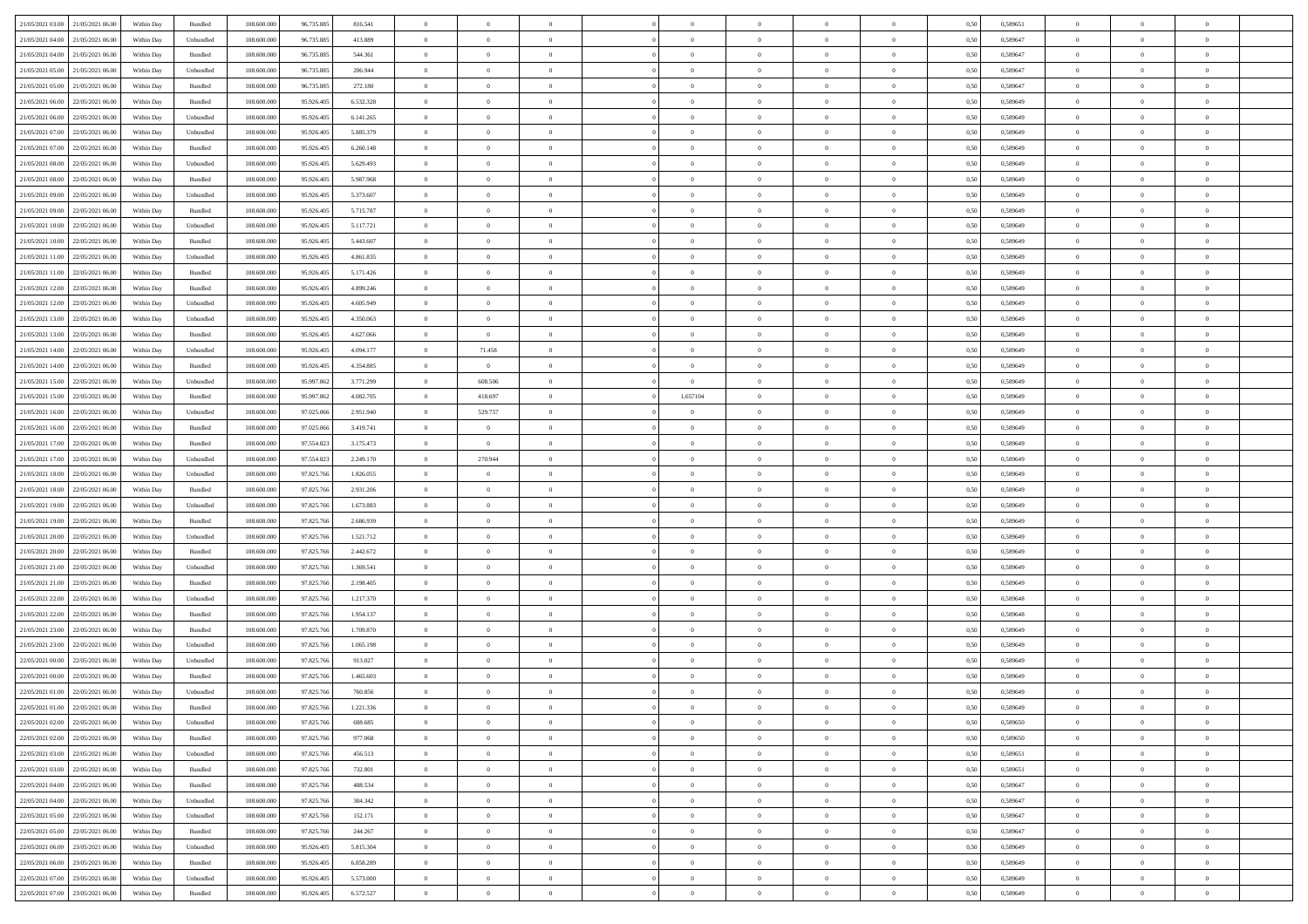|                                      |            |                    |             |            |           | $\overline{0}$ | $\overline{0}$ |                | $\overline{0}$ | $\theta$       |                | $\theta$       |      |          | $\theta$       | $\theta$       | $\overline{0}$ |  |
|--------------------------------------|------------|--------------------|-------------|------------|-----------|----------------|----------------|----------------|----------------|----------------|----------------|----------------|------|----------|----------------|----------------|----------------|--|
| 21/05/2021 03:00 21/05/2021 06:00    | Within Day | Bundled            | 108.600.000 | 96.735.885 | 816.541   |                |                |                |                |                |                |                | 0,50 | 0,589651 |                |                |                |  |
| 21/05/2021 04:00<br>21/05/2021 06:00 | Within Day | Unbundled          | 108.600.00  | 96.735.885 | 413.889   | $\bf{0}$       | $\bf{0}$       | $\bf{0}$       | $\bf{0}$       | $\overline{0}$ | $\overline{0}$ | $\bf{0}$       | 0,50 | 0,589647 | $\,$ 0 $\,$    | $\bf{0}$       | $\overline{0}$ |  |
| 21/05/2021 04:00<br>21/05/2021 06:00 | Within Day | Bundled            | 108,600,000 | 96.735.885 | 544,361   | $\overline{0}$ | $\bf{0}$       | $\overline{0}$ | $\bf{0}$       | $\bf{0}$       | $\overline{0}$ | $\bf{0}$       | 0.50 | 0.589647 | $\bf{0}$       | $\overline{0}$ | $\overline{0}$ |  |
| 21/05/2021 05:00<br>21/05/2021 06:00 |            |                    | 108.600.000 |            |           | $\overline{0}$ | $\overline{0}$ | $\overline{0}$ | $\theta$       | $\theta$       | $\overline{0}$ |                |      |          | $\theta$       | $\theta$       | $\overline{0}$ |  |
|                                      | Within Day | Unbundled          |             | 96.735.885 | 206.944   |                |                |                |                |                |                | $\bf{0}$       | 0,50 | 0,589647 |                |                |                |  |
| 21/05/2021 05:00<br>21/05/2021 06.00 | Within Day | Bundled            | 108.600.00  | 96.735.885 | 272.180   | $\bf{0}$       | $\overline{0}$ | $\bf{0}$       | $\overline{0}$ | $\bf{0}$       | $\overline{0}$ | $\bf{0}$       | 0,50 | 0,589647 | $\,$ 0 $\,$    | $\bf{0}$       | $\overline{0}$ |  |
| 21/05/2021 06:00<br>22/05/2021 06:00 | Within Day | Bundled            | 108,600,000 | 95.926.405 | 6.532.328 | $\overline{0}$ | $\bf{0}$       | $\overline{0}$ | $\bf{0}$       | $\overline{0}$ | $\overline{0}$ | $\bf{0}$       | 0.50 | 0.589649 | $\,$ 0 $\,$    | $\theta$       | $\overline{0}$ |  |
| 21/05/2021 06:00<br>22/05/2021 06:00 | Within Day | Unbundled          | 108.600.000 | 95.926.405 | 6.141.265 | $\overline{0}$ | $\overline{0}$ | $\overline{0}$ | $\overline{0}$ | $\overline{0}$ | $\overline{0}$ | $\bf{0}$       | 0,50 | 0,589649 | $\theta$       | $\theta$       | $\overline{0}$ |  |
|                                      |            |                    |             |            |           |                |                |                |                |                |                |                |      |          |                |                |                |  |
| 21/05/2021 07:00<br>22/05/2021 06:00 | Within Day | Unbundled          | 108.600.00  | 95.926.405 | 5.885.379 | $\bf{0}$       | $\bf{0}$       | $\bf{0}$       | $\overline{0}$ | $\overline{0}$ | $\overline{0}$ | $\bf{0}$       | 0,50 | 0,589649 | $\,$ 0 $\,$    | $\bf{0}$       | $\overline{0}$ |  |
| 21/05/2021 07:00<br>22/05/2021 06:00 | Within Day | Bundled            | 108,600,000 | 95.926.40  | 6.260.148 | $\overline{0}$ | $\bf{0}$       | $\overline{0}$ | $\bf{0}$       | $\overline{0}$ | $\overline{0}$ | $\bf{0}$       | 0.50 | 0.589649 | $\bf{0}$       | $\overline{0}$ | $\overline{0}$ |  |
| 21/05/2021 08:00<br>22/05/2021 06:00 | Within Day | Unbundled          | 108.600.000 | 95.926.405 | 5.629.493 | $\overline{0}$ | $\bf{0}$       | $\overline{0}$ | $\overline{0}$ | $\overline{0}$ | $\overline{0}$ | $\bf{0}$       | 0,50 | 0,589649 | $\,$ 0 $\,$    | $\,$ 0 $\,$    | $\overline{0}$ |  |
|                                      |            |                    |             |            |           |                |                |                |                |                |                |                |      |          |                |                |                |  |
| 21/05/2021 08:00<br>22/05/2021 06:00 | Within Day | Bundled            | 108.600.00  | 95.926.405 | 5.987.968 | $\bf{0}$       | $\bf{0}$       | $\bf{0}$       | $\bf{0}$       | $\bf{0}$       | $\overline{0}$ | $\bf{0}$       | 0,50 | 0,589649 | $\,$ 0 $\,$    | $\bf{0}$       | $\overline{0}$ |  |
| 21/05/2021 09:00<br>22/05/2021 06:00 | Within Day | Unbundled          | 108,600,000 | 95.926.405 | 5.373.607 | $\overline{0}$ | $\bf{0}$       | $\overline{0}$ | $\overline{0}$ | $\bf{0}$       | $\overline{0}$ | $\bf{0}$       | 0.50 | 0.589649 | $\bf{0}$       | $\,$ 0 $\,$    | $\,$ 0         |  |
| 21/05/2021 09:00<br>22/05/2021 06:00 | Within Day | Bundled            | 108.600.000 | 95.926.405 | 5.715.787 | $\overline{0}$ | $\overline{0}$ | $\overline{0}$ | $\theta$       | $\theta$       | $\overline{0}$ | $\bf{0}$       | 0,50 | 0,589649 | $\,$ 0 $\,$    | $\theta$       | $\overline{0}$ |  |
| 21/05/2021 10:00<br>22/05/2021 06:00 | Within Day | Unbundled          | 108.600.00  | 95.926.40  | 5.117.721 | $\bf{0}$       | $\overline{0}$ | $\bf{0}$       | $\overline{0}$ | $\bf{0}$       | $\overline{0}$ | $\bf{0}$       | 0,50 | 0,589649 | $\,$ 0 $\,$    | $\bf{0}$       | $\overline{0}$ |  |
|                                      |            |                    |             |            |           |                |                |                |                |                |                |                |      |          |                |                |                |  |
| 21/05/2021 10:00<br>22/05/2021 06:00 | Within Day | Bundled            | 108,600,000 | 95.926.40  | 5.443.607 | $\overline{0}$ | $\bf{0}$       | $\overline{0}$ | $\bf{0}$       | $\overline{0}$ | $\overline{0}$ | $\bf{0}$       | 0.50 | 0.589649 | $\,$ 0 $\,$    | $\bf{0}$       | $\overline{0}$ |  |
| 21/05/2021 11:00<br>22/05/2021 06:00 | Within Day | Unbundled          | 108.600.000 | 95.926.405 | 4.861.835 | $\overline{0}$ | $\overline{0}$ | $\overline{0}$ | $\overline{0}$ | $\overline{0}$ | $\overline{0}$ | $\bf{0}$       | 0,50 | 0,589649 | $\theta$       | $\theta$       | $\overline{0}$ |  |
| 21/05/2021 11:00<br>22/05/2021 06:00 | Within Day | Bundled            | 108.600.00  | 95.926.405 | 5.171.426 | $\bf{0}$       | $\bf{0}$       | $\bf{0}$       | $\overline{0}$ | $\bf{0}$       | $\overline{0}$ | $\bf{0}$       | 0,50 | 0,589649 | $\,$ 0 $\,$    | $\bf{0}$       | $\overline{0}$ |  |
| 21/05/2021 12:00<br>22/05/2021 06:00 | Within Day | Bundled            | 108,600,000 | 95.926.40  | 4.899.246 | $\overline{0}$ | $\bf{0}$       | $\overline{0}$ | $\bf{0}$       | $\overline{0}$ | $\overline{0}$ | $\bf{0}$       | 0.50 | 0.589649 | $\bf{0}$       | $\overline{0}$ | $\bf{0}$       |  |
|                                      |            |                    |             |            |           |                |                |                |                |                |                |                |      |          |                |                |                |  |
| 21/05/2021 12:00<br>22/05/2021 06:00 | Within Day | Unbundled          | 108.600.000 | 95.926.405 | 4.605.949 | $\overline{0}$ | $\bf{0}$       | $\overline{0}$ | $\overline{0}$ | $\overline{0}$ | $\overline{0}$ | $\bf{0}$       | 0,50 | 0,589649 | $\,$ 0 $\,$    | $\bf{0}$       | $\overline{0}$ |  |
| 21/05/2021 13:00<br>22/05/2021 06:00 | Within Day | Unbundled          | 108.600.00  | 95.926.40  | 4.350.063 | $\bf{0}$       | $\bf{0}$       | $\bf{0}$       | $\bf{0}$       | $\overline{0}$ | $\overline{0}$ | $\bf{0}$       | 0,50 | 0,589649 | $\,$ 0 $\,$    | $\bf{0}$       | $\overline{0}$ |  |
| 21/05/2021 13:00<br>22/05/2021 06:00 | Within Day | Bundled            | 108,600,000 | 95.926.405 | 4.627.066 | $\overline{0}$ | $\overline{0}$ | $\overline{0}$ | $\overline{0}$ | $\bf{0}$       | $\overline{0}$ | $\bf{0}$       | 0.50 | 0.589649 | $\bf{0}$       | $\overline{0}$ | $\,$ 0         |  |
| 21/05/2021 14:00<br>22/05/2021 06:00 | Within Day | Unbundled          | 108.600.000 | 95.926.405 | 4.094.177 | $\overline{0}$ | 71.458         | $\overline{0}$ | $\overline{0}$ | $\theta$       | $\overline{0}$ | $\bf{0}$       | 0,50 | 0,589649 | $\theta$       | $\theta$       | $\overline{0}$ |  |
|                                      |            |                    |             |            |           |                |                |                |                |                |                |                |      |          |                |                |                |  |
| 21/05/2021 14:00<br>22/05/2021 06:00 | Within Day | Bundled            | 108.600.00  | 95.926.405 | 4.354.885 | $\bf{0}$       | $\overline{0}$ | $\bf{0}$       | $\bf{0}$       | $\overline{0}$ | $\overline{0}$ | $\bf{0}$       | 0,50 | 0,589649 | $\,$ 0 $\,$    | $\bf{0}$       | $\overline{0}$ |  |
| 21/05/2021 15:00<br>22/05/2021 06:00 | Within Day | Unbundled          | 108,600,000 | 95.997.862 | 3.771.299 | $\overline{0}$ | 608,506        | $\overline{0}$ | $\overline{0}$ | $\overline{0}$ | $\theta$       | $\bf{0}$       | 0.50 | 0.589649 | $\,$ 0 $\,$    | $\theta$       | $\overline{0}$ |  |
| 21/05/2021 15:00<br>22/05/2021 06:00 | Within Day | Bundled            | 108.600.000 | 95.997.862 | 4.082.705 | $\overline{0}$ | 418.697        | $\overline{0}$ | 1,657104       | $\overline{0}$ | $\overline{0}$ | $\bf{0}$       | 0,50 | 0,589649 | $\,$ 0 $\,$    | $\theta$       | $\overline{0}$ |  |
| 21/05/2021 16:00<br>22/05/2021 06:00 | Within Day | Unbundled          | 108.600.00  | 97.025.06  | 2.951.940 | $\bf{0}$       | 529.757        | $\bf{0}$       |                | $\overline{0}$ | $\overline{0}$ | $\bf{0}$       | 0,50 | 0,589649 | $\,$ 0 $\,$    | $\bf{0}$       | $\overline{0}$ |  |
|                                      |            |                    |             |            |           |                |                |                |                |                |                |                |      |          |                |                |                |  |
| 21/05/2021 16:00<br>22/05/2021 06:00 | Within Day | Bundled            | 108,600,000 | 97.025.066 | 3.419.741 | $\overline{0}$ | $\bf{0}$       | $\overline{0}$ | $\bf{0}$       | $\overline{0}$ | $\overline{0}$ | $\bf{0}$       | 0.50 | 0.589649 | $\bf{0}$       | $\overline{0}$ | $\overline{0}$ |  |
| 21/05/2021 17:00<br>22/05/2021 06:00 | Within Day | Bundled            | 108.600.000 | 97.554.823 | 3.175.473 | $\overline{0}$ | $\overline{0}$ | $\overline{0}$ | $\overline{0}$ | $\overline{0}$ | $\overline{0}$ | $\bf{0}$       | 0,50 | 0,589649 | $\theta$       | $\theta$       | $\overline{0}$ |  |
| 21/05/2021 17:00<br>22/05/2021 06:00 | Within Day | Unbundled          | 108.600.00  | 97.554.823 | 2.249.170 | $\bf{0}$       | 270.944        | $\bf{0}$       | $\bf{0}$       | $\overline{0}$ | $\overline{0}$ | $\bf{0}$       | 0,50 | 0,589649 | $\,$ 0 $\,$    | $\bf{0}$       | $\overline{0}$ |  |
| 21/05/2021 18:00<br>22/05/2021 06:00 | Within Day | Unbundled          | 108,600,000 | 97.825.76  | 1.826,055 | $\overline{0}$ | $\bf{0}$       | $\overline{0}$ | $\bf{0}$       | $\bf{0}$       | $\overline{0}$ | $\bf{0}$       | 0.50 | 0.589649 | $\bf{0}$       | $\,$ 0 $\,$    | $\,$ 0         |  |
|                                      |            |                    |             |            |           |                |                |                |                |                |                |                |      |          |                |                |                |  |
| 21/05/2021 18:00<br>22/05/2021 06:00 | Within Day | Bundled            | 108.600.000 | 97.825.766 | 2.931.206 | $\overline{0}$ | $\overline{0}$ | $\overline{0}$ | $\overline{0}$ | $\overline{0}$ | $\overline{0}$ | $\bf{0}$       | 0.50 | 0.589649 | $\theta$       | $\theta$       | $\overline{0}$ |  |
| 21/05/2021 19:00<br>22/05/2021 06.00 | Within Day | Unbundled          | 108.600.00  | 97.825.76  | 1.673.883 | $\bf{0}$       | $\bf{0}$       | $\bf{0}$       | $\bf{0}$       | $\overline{0}$ | $\overline{0}$ | $\bf{0}$       | 0,50 | 0,589649 | $\,$ 0 $\,$    | $\bf{0}$       | $\overline{0}$ |  |
| 21/05/2021 19:00<br>22/05/2021 06:00 | Within Day | Bundled            | 108,600,000 | 97.825.76  | 2.686.939 | $\overline{0}$ | $\bf{0}$       | $\overline{0}$ | $\bf{0}$       | $\overline{0}$ | $\overline{0}$ | $\bf{0}$       | 0.50 | 0.589649 | $\,$ 0 $\,$    | $\bf{0}$       | $\overline{0}$ |  |
| 21/05/2021 20:00<br>22/05/2021 06:00 | Within Dav | Unbundled          | 108.600.000 | 97.825.766 | 1.521.712 | $\overline{0}$ | $\overline{0}$ | $\overline{0}$ | $\overline{0}$ | $\overline{0}$ | $\overline{0}$ | $\bf{0}$       | 0.50 | 0.589649 | $\theta$       | $\theta$       | $\overline{0}$ |  |
|                                      |            |                    |             |            |           |                |                |                |                |                |                |                |      |          |                |                |                |  |
| 21/05/2021 20:00<br>22/05/2021 06:00 | Within Day | Bundled            | 108.600.00  | 97.825.76  | 2.442.672 | $\bf{0}$       | $\bf{0}$       | $\bf{0}$       | $\bf{0}$       | $\overline{0}$ | $\overline{0}$ | $\bf{0}$       | 0,50 | 0,589649 | $\,$ 0 $\,$    | $\bf{0}$       | $\overline{0}$ |  |
| 21/05/2021 21:00<br>22/05/2021 06:00 | Within Day | Unbundled          | 108,600,000 | 97.825.76  | 1.369.541 | $\overline{0}$ | $\bf{0}$       | $\overline{0}$ | $\bf{0}$       | $\overline{0}$ | $\overline{0}$ | $\bf{0}$       | 0.50 | 0.589649 | $\bf{0}$       | $\overline{0}$ | $\overline{0}$ |  |
| 21/05/2021 21:00<br>22/05/2021 06:00 | Within Dav | Bundled            | 108.600.000 | 97.825.766 | 2.198.405 | $\overline{0}$ | $\overline{0}$ | $\overline{0}$ | $\overline{0}$ | $\overline{0}$ | $\overline{0}$ | $\bf{0}$       | 0.50 | 0.589649 | $\theta$       | $\theta$       | $\overline{0}$ |  |
| 21/05/2021 22:00<br>22/05/2021 06.00 | Within Day | Unbundled          | 108.600.00  | 97.825.76  | 1.217.370 | $\bf{0}$       | $\bf{0}$       | $\bf{0}$       | $\bf{0}$       | $\overline{0}$ | $\overline{0}$ | $\bf{0}$       | 0,50 | 0,589648 | $\,$ 0 $\,$    | $\bf{0}$       | $\overline{0}$ |  |
|                                      |            |                    |             |            |           |                |                |                |                |                |                |                |      |          |                |                |                |  |
| 21/05/2021 22:00<br>22/05/2021 06:00 | Within Day | Bundled            | 108,600,000 | 97.825.766 | 1.954.137 | $\overline{0}$ | $\bf{0}$       | $\overline{0}$ | $\overline{0}$ | $\bf{0}$       | $\overline{0}$ | $\bf{0}$       | 0.50 | 0.589648 | $\bf{0}$       | $\,$ 0 $\,$    | $\,$ 0         |  |
| 21/05/2021 23:00<br>22/05/2021 06:00 | Within Dav | Bundled            | 108.600.000 | 97.825.766 | 1.709.870 | $\overline{0}$ | $\overline{0}$ | $\overline{0}$ | $\overline{0}$ | $\overline{0}$ | $\overline{0}$ | $\bf{0}$       | 0.50 | 0.589649 | $\theta$       | $\theta$       | $\overline{0}$ |  |
| 21/05/2021 23:00<br>22/05/2021 06:00 | Within Day | Unbundled          | 108.600.00  | 97.825.76  | 1.065.198 | $\bf{0}$       | $\bf{0}$       | $\bf{0}$       | $\bf{0}$       | $\overline{0}$ | $\overline{0}$ | $\bf{0}$       | 0,50 | 0,589649 | $\,$ 0 $\,$    | $\bf{0}$       | $\overline{0}$ |  |
| 22/05/2021 00:00<br>22/05/2021 06:00 |            | Unbundled          | 108,600,000 | 97.825.76  | 913.027   | $\overline{0}$ | $\bf{0}$       | $\overline{0}$ | $\bf{0}$       | $\overline{0}$ | $\overline{0}$ | $\bf{0}$       | 0.50 | 0.589649 | $\bf{0}$       | $\theta$       | $\overline{0}$ |  |
|                                      | Within Day |                    |             |            |           |                |                |                |                |                |                |                |      |          |                |                |                |  |
| 22/05/2021 00:00<br>22/05/2021 06:00 | Within Dav | Bundled            | 108.600.000 | 97.825.766 | 1.465.603 | $\overline{0}$ | $\overline{0}$ | $\Omega$       | $\overline{0}$ | $\theta$       | $\overline{0}$ | $\overline{0}$ | 0.5( | 0.589649 | $\theta$       | $\theta$       | $\overline{0}$ |  |
| 22/05/2021 01:00<br>22/05/2021 06:00 | Within Day | Unbundled          | 108.600.000 | 97.825.76  | 760.856   | $\bf{0}$       | $\bf{0}$       | $\bf{0}$       | $\bf{0}$       | $\bf{0}$       | $\overline{0}$ | $\bf{0}$       | 0,50 | 0,589649 | $\,$ 0 $\,$    | $\bf{0}$       | $\overline{0}$ |  |
| 22/05/2021 01:00 22/05/2021 06:00    | Within Day | $\mathbf B$ undled | 108.600.000 | 97.825.766 | 1.221.336 | $\bf{0}$       | $\theta$       |                | $\overline{0}$ |                |                |                | 0,50 | 0.589649 | $\bf{0}$       | $\overline{0}$ |                |  |
| 22/05/2021 02:00 22/05/2021 06:00    | Within Day | Unbundled          | 108.600.000 | 97.825.766 | 608.685   | $\overline{0}$ | $\overline{0}$ | $\Omega$       | $\theta$       | $\overline{0}$ | $\overline{0}$ | $\bf{0}$       | 0,50 | 0,589650 | $\theta$       | $\theta$       | $\overline{0}$ |  |
|                                      |            |                    |             |            |           |                |                |                |                |                |                |                |      |          |                |                |                |  |
| 22/05/2021 02:00<br>22/05/2021 06:00 | Within Day | Bundled            | 108.600.00  | 97.825.76  | 977.068   | $\overline{0}$ | $\bf{0}$       | $\overline{0}$ | $\overline{0}$ | $\bf{0}$       | $\overline{0}$ | $\bf{0}$       | 0,50 | 0,589650 | $\bf{0}$       | $\overline{0}$ | $\bf{0}$       |  |
| 22/05/2021 03:00 22/05/2021 06:00    | Within Day | Unbundled          | 108,600,000 | 97.825.766 | 456.513   | $\overline{0}$ | $\overline{0}$ | $\overline{0}$ | $\overline{0}$ | $\mathbf{0}$   | $\overline{0}$ | $\,$ 0 $\,$    | 0.50 | 0.589651 | $\overline{0}$ | $\bf{0}$       | $\bf{0}$       |  |
| 22/05/2021 03:00 22/05/2021 06:00    | Within Dav | Bundled            | 108.600.000 | 97.825.766 | 732.801   | $\overline{0}$ | $\overline{0}$ | $\overline{0}$ | $\overline{0}$ | $\overline{0}$ | $\overline{0}$ | $\bf{0}$       | 0,50 | 0,589651 | $\overline{0}$ | $\theta$       | $\overline{0}$ |  |
| 22/05/2021 04:00<br>22/05/2021 06:00 | Within Day | Bundled            | 108.600.000 | 97.825.766 | 488.534   | $\overline{0}$ | $\bf{0}$       | $\overline{0}$ | $\overline{0}$ | $\bf{0}$       | $\overline{0}$ | $\bf{0}$       | 0,50 | 0,589647 | $\bf{0}$       | $\overline{0}$ | $\overline{0}$ |  |
|                                      |            |                    |             |            |           |                |                |                |                |                |                |                |      |          |                |                |                |  |
| 22/05/2021 04:00<br>22/05/2021 06:00 | Within Day | Unbundled          | 108,600,000 | 97.825.766 | 304.342   | $\overline{0}$ | $\bf{0}$       | $\overline{0}$ | $\overline{0}$ | $\bf{0}$       | $\overline{0}$ | $\bf{0}$       | 0.50 | 0.589647 | $\,$ 0 $\,$    | $\overline{0}$ | $\,$ 0         |  |
| 22/05/2021 05:00 22/05/2021 06:00    | Within Dav | Unbundled          | 108.600.000 | 97.825.766 | 152.171   | $\overline{0}$ | $\overline{0}$ | $\overline{0}$ | $\overline{0}$ | $\overline{0}$ | $\overline{0}$ | $\bf{0}$       | 0.50 | 0,589647 | $\overline{0}$ | $\theta$       | $\overline{0}$ |  |
| 22/05/2021 05:00<br>22/05/2021 06:00 | Within Day | Bundled            | 108.600.00  | 97.825.766 | 244.267   | $\overline{0}$ | $\overline{0}$ | $\overline{0}$ | $\overline{0}$ | $\overline{0}$ | $\overline{0}$ | $\bf{0}$       | 0,50 | 0,589647 | $\bf{0}$       | $\overline{0}$ | $\,$ 0         |  |
| 22/05/2021 06:00 23/05/2021 06:00    |            | Unbundled          | 108,600,000 | 95.926.405 | 5.815.304 | $\overline{0}$ | $\overline{0}$ |                |                | $\overline{0}$ | $\overline{0}$ |                | 0.50 | 0.589649 | $\mathbf{0}$   | $\bf{0}$       | $\,$ 0         |  |
|                                      | Within Day |                    |             |            |           |                |                | $\overline{0}$ | $\overline{0}$ |                |                | $\bf{0}$       |      |          |                |                |                |  |
| 22/05/2021 06:00 23/05/2021 06:00    | Within Dav | Bundled            | 108.600.000 | 95.926.405 | 6.858.289 | $\overline{0}$ | $\overline{0}$ | $\overline{0}$ | $\overline{0}$ | $\overline{0}$ | $\overline{0}$ | $\bf{0}$       | 0,50 | 0.589649 | $\overline{0}$ | $\theta$       | $\overline{0}$ |  |
| 22/05/2021 07:00<br>23/05/2021 06:00 | Within Day | Unbundled          | 108.600.00  | 95.926.405 | 5.573.000 | $\overline{0}$ | $\bf{0}$       | $\overline{0}$ | $\overline{0}$ | $\overline{0}$ | $\overline{0}$ | $\bf{0}$       | 0,50 | 0,589649 | $\bf{0}$       | $\overline{0}$ | $\bf{0}$       |  |
| 22/05/2021 07:00 23/05/2021 06:00    | Within Day | Bundled            | 108.600.000 | 95.926.405 | 6.572.527 | $\,$ 0 $\,$    | $\bf{0}$       | $\overline{0}$ | $\overline{0}$ | $\,$ 0 $\,$    | $\overline{0}$ | $\,$ 0 $\,$    | 0,50 | 0,589649 | $\overline{0}$ | $\,$ 0 $\,$    | $\,$ 0 $\,$    |  |
|                                      |            |                    |             |            |           |                |                |                |                |                |                |                |      |          |                |                |                |  |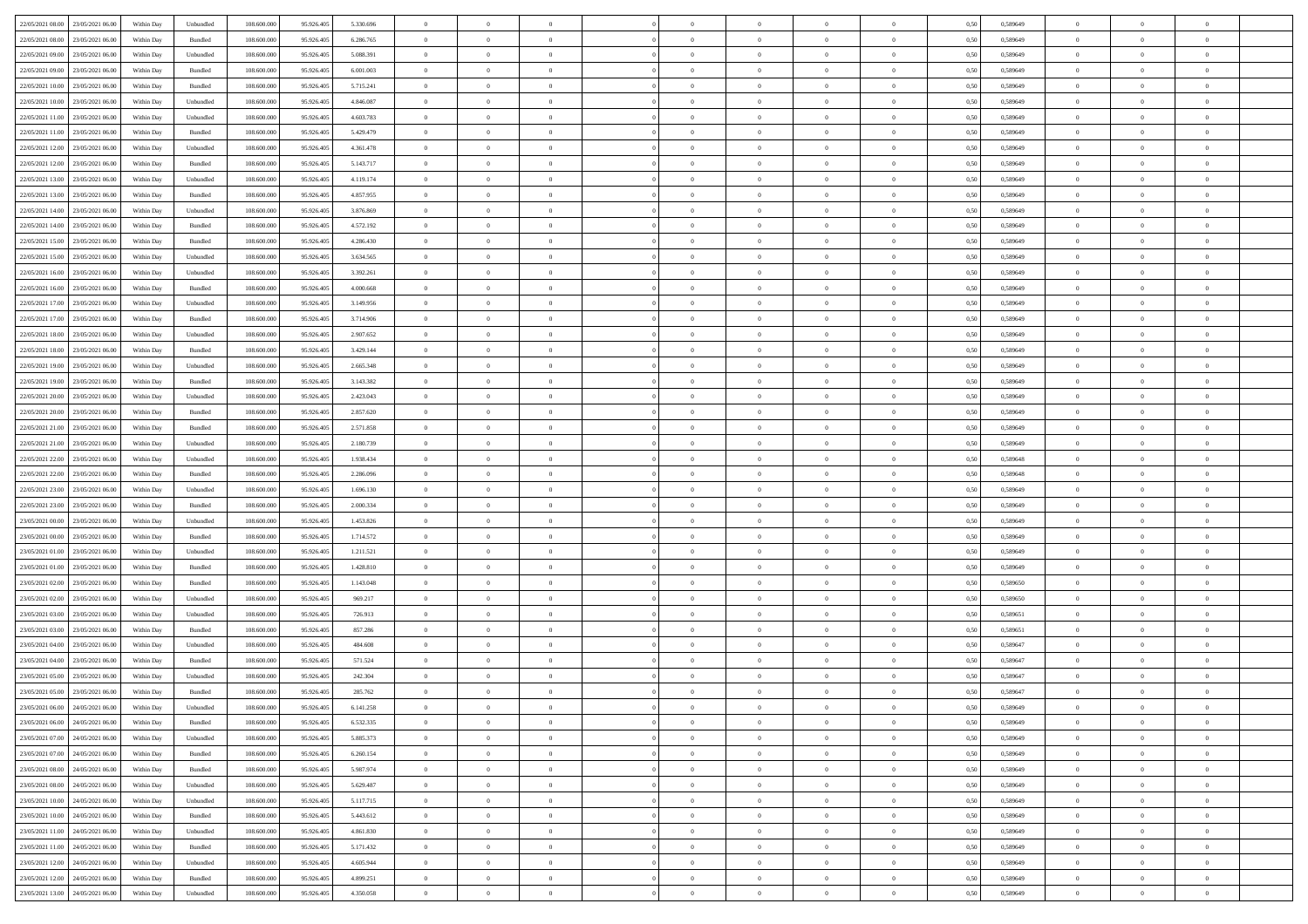| 22/05/2021 08:00 23/05/2021 06:00            | Within Day | Unbundled                   | 108.600.000 | 95.926.405 | 5.330.696 | $\overline{0}$ | $\overline{0}$ |                | $\overline{0}$ | $\theta$       |                | $\theta$       | 0,50 | 0,589649 | $\theta$       | $\theta$       | $\overline{0}$ |  |
|----------------------------------------------|------------|-----------------------------|-------------|------------|-----------|----------------|----------------|----------------|----------------|----------------|----------------|----------------|------|----------|----------------|----------------|----------------|--|
| 22/05/2021 08:00<br>23/05/2021 06:00         | Within Day | Bundled                     | 108.600.00  | 95.926.40  | 6.286.765 | $\bf{0}$       | $\bf{0}$       | $\bf{0}$       | $\bf{0}$       | $\overline{0}$ | $\overline{0}$ | $\bf{0}$       | 0,50 | 0,589649 | $\,$ 0 $\,$    | $\bf{0}$       | $\overline{0}$ |  |
| 22/05/2021 09:00<br>23/05/2021 06:00         | Within Day | Unbundled                   | 108,600,000 | 95.926.405 | 5.088.391 | $\overline{0}$ | $\bf{0}$       | $\overline{0}$ | $\bf{0}$       | $\overline{0}$ | $\overline{0}$ | $\bf{0}$       | 0.50 | 0.589649 | $\bf{0}$       | $\overline{0}$ | $\bf{0}$       |  |
|                                              |            |                             |             |            |           | $\overline{0}$ | $\overline{0}$ | $\overline{0}$ | $\overline{0}$ | $\theta$       | $\overline{0}$ |                |      |          | $\,$ 0 $\,$    | $\theta$       | $\overline{0}$ |  |
| 22/05/2021 09:00<br>23/05/2021 06:00         | Within Day | Bundled                     | 108.600.000 | 95.926.405 | 6.001.003 |                |                |                |                |                |                | $\bf{0}$       | 0,50 | 0,589649 |                |                |                |  |
| 22/05/2021 10:00<br>23/05/2021 06.00         | Within Day | Bundled                     | 108.600.00  | 95.926.405 | 5.715.241 | $\bf{0}$       | $\overline{0}$ | $\bf{0}$       | $\overline{0}$ | $\bf{0}$       | $\overline{0}$ | $\bf{0}$       | 0,50 | 0,589649 | $\,$ 0 $\,$    | $\bf{0}$       | $\overline{0}$ |  |
| 22/05/2021 10:00<br>23/05/2021 06:00         | Within Day | Unbundled                   | 108,600,000 | 95.926.40  | 4.846.087 | $\overline{0}$ | $\bf{0}$       | $\overline{0}$ | $\bf{0}$       | $\overline{0}$ | $\overline{0}$ | $\bf{0}$       | 0.50 | 0.589649 | $\,$ 0 $\,$    | $\theta$       | $\overline{0}$ |  |
| 22/05/2021 11:00<br>23/05/2021 06:00         | Within Day | Unbundled                   | 108.600.000 | 95.926.405 | 4.603.783 | $\overline{0}$ | $\overline{0}$ | $\overline{0}$ | $\overline{0}$ | $\overline{0}$ | $\overline{0}$ | $\bf{0}$       | 0,50 | 0,589649 | $\,$ 0 $\,$    | $\theta$       | $\overline{0}$ |  |
|                                              |            |                             |             |            |           |                | $\bf{0}$       | $\bf{0}$       | $\overline{0}$ | $\overline{0}$ | $\overline{0}$ |                |      |          | $\,$ 0 $\,$    | $\bf{0}$       | $\overline{0}$ |  |
| 22/05/2021 11:00<br>23/05/2021 06:00         | Within Day | Bundled                     | 108.600.00  | 95.926.405 | 5.429.479 | $\bf{0}$       |                |                |                |                |                | $\bf{0}$       | 0,50 | 0,589649 |                |                |                |  |
| 22/05/2021 12:00<br>23/05/2021 06:00         | Within Day | Unbundled                   | 108,600,000 | 95.926.40  | 4.361.478 | $\overline{0}$ | $\bf{0}$       | $\overline{0}$ | $\bf{0}$       | $\overline{0}$ | $\overline{0}$ | $\bf{0}$       | 0.50 | 0.589649 | $\bf{0}$       | $\overline{0}$ | $\overline{0}$ |  |
| 22/05/2021 12:00<br>23/05/2021 06:00         | Within Day | Bundled                     | 108.600.000 | 95.926.405 | 5.143.717 | $\bf{0}$       | $\bf{0}$       | $\overline{0}$ | $\overline{0}$ | $\overline{0}$ | $\overline{0}$ | $\bf{0}$       | 0,50 | 0,589649 | $\,$ 0 $\,$    | $\,$ 0 $\,$    | $\overline{0}$ |  |
| 22/05/2021 13:00<br>23/05/2021 06:00         | Within Day | Unbundled                   | 108.600.00  | 95.926.405 | 4.119.174 | $\bf{0}$       | $\bf{0}$       | $\bf{0}$       | $\bf{0}$       | $\overline{0}$ | $\overline{0}$ | $\bf{0}$       | 0,50 | 0,589649 | $\,$ 0 $\,$    | $\bf{0}$       | $\overline{0}$ |  |
| 22/05/2021 13:00<br>23/05/2021 06:00         | Within Day | Bundled                     | 108,600,000 | 95.926.405 | 4.857.955 | $\overline{0}$ | $\bf{0}$       | $\overline{0}$ | $\overline{0}$ | $\overline{0}$ | $\overline{0}$ | $\bf{0}$       | 0.50 | 0.589649 | $\bf{0}$       | $\,$ 0 $\,$    | $\,$ 0         |  |
|                                              |            |                             |             |            |           |                |                |                |                |                |                |                |      |          |                |                |                |  |
| 22/05/2021 14:00<br>23/05/2021 06:00         | Within Day | Unbundled                   | 108.600.000 | 95.926.405 | 3.876.869 | $\overline{0}$ | $\overline{0}$ | $\overline{0}$ | $\theta$       | $\theta$       | $\overline{0}$ | $\bf{0}$       | 0,50 | 0,589649 | $\,$ 0 $\,$    | $\theta$       | $\overline{0}$ |  |
| 22/05/2021 14:00<br>23/05/2021 06:00         | Within Day | Bundled                     | 108.600.00  | 95.926.40  | 4.572.192 | $\bf{0}$       | $\overline{0}$ | $\bf{0}$       | $\bf{0}$       | $\bf{0}$       | $\overline{0}$ | $\bf{0}$       | 0,50 | 0,589649 | $\,$ 0 $\,$    | $\bf{0}$       | $\overline{0}$ |  |
| 22/05/2021 15:00<br>23/05/2021 06:00         | Within Day | Bundled                     | 108,600,000 | 95.926.40  | 4.286.430 | $\overline{0}$ | $\bf{0}$       | $\overline{0}$ | $\bf{0}$       | $\overline{0}$ | $\overline{0}$ | $\bf{0}$       | 0.50 | 0.589649 | $\,$ 0 $\,$    | $\theta$       | $\overline{0}$ |  |
| 22/05/2021 15:00<br>23/05/2021 06:00         | Within Day | Unbundled                   | 108.600.000 | 95.926.405 | 3.634.565 | $\overline{0}$ | $\overline{0}$ | $\overline{0}$ | $\overline{0}$ | $\overline{0}$ | $\overline{0}$ | $\bf{0}$       | 0,50 | 0,589649 | $\theta$       | $\theta$       | $\overline{0}$ |  |
| 22/05/2021 16:00<br>23/05/2021 06.00         | Within Day | Unbundled                   | 108.600.00  | 95.926.405 | 3.392.261 | $\bf{0}$       | $\bf{0}$       | $\bf{0}$       | $\overline{0}$ | $\overline{0}$ | $\overline{0}$ | $\bf{0}$       | 0,50 | 0,589649 | $\,$ 0 $\,$    | $\bf{0}$       | $\overline{0}$ |  |
|                                              |            |                             |             |            |           |                |                |                |                |                |                |                |      |          |                |                |                |  |
| 22/05/2021 16:00<br>23/05/2021 06:00         | Within Day | Bundled                     | 108,600,000 | 95.926.40  | 4.000,668 | $\overline{0}$ | $\bf{0}$       | $\overline{0}$ | $\bf{0}$       | $\bf{0}$       | $\overline{0}$ | $\bf{0}$       | 0.50 | 0.589649 | $\bf{0}$       | $\overline{0}$ | $\bf{0}$       |  |
| 22/05/2021 17:00<br>23/05/2021 06:00         | Within Day | Unbundled                   | 108.600.000 | 95.926.405 | 3.149.956 | $\overline{0}$ | $\bf{0}$       | $\overline{0}$ | $\overline{0}$ | $\overline{0}$ | $\overline{0}$ | $\bf{0}$       | 0,50 | 0,589649 | $\,$ 0 $\,$    | $\bf{0}$       | $\overline{0}$ |  |
| 22/05/2021 17:00<br>23/05/2021 06:00         | Within Day | Bundled                     | 108.600.00  | 95.926.40  | 3.714.906 | $\bf{0}$       | $\bf{0}$       | $\bf{0}$       | $\bf{0}$       | $\overline{0}$ | $\overline{0}$ | $\bf{0}$       | 0,50 | 0,589649 | $\,$ 0 $\,$    | $\bf{0}$       | $\overline{0}$ |  |
| 22/05/2021 18:00<br>23/05/2021 06:00         | Within Day | Unbundled                   | 108,600,000 | 95.926.405 | 2.907.652 | $\overline{0}$ | $\bf{0}$       | $\overline{0}$ | $\overline{0}$ | $\bf{0}$       | $\overline{0}$ | $\bf{0}$       | 0.50 | 0.589649 | $\bf{0}$       | $\overline{0}$ | $\,$ 0         |  |
| 22/05/2021 18:00<br>23/05/2021 06:00         | Within Day | Bundled                     | 108.600.000 | 95.926.405 | 3.429.144 | $\overline{0}$ | $\overline{0}$ | $\overline{0}$ | $\overline{0}$ | $\theta$       | $\overline{0}$ | $\bf{0}$       | 0,50 | 0,589649 | $\theta$       | $\theta$       | $\overline{0}$ |  |
|                                              |            |                             |             |            |           |                | $\bf{0}$       |                |                | $\overline{0}$ | $\overline{0}$ |                |      |          | $\,$ 0 $\,$    | $\bf{0}$       | $\overline{0}$ |  |
| 22/05/2021 19:00<br>23/05/2021 06.00         | Within Day | Unbundled                   | 108.600.00  | 95.926.405 | 2.665.348 | $\bf{0}$       |                | $\bf{0}$       | $\bf{0}$       |                |                | $\bf{0}$       | 0,50 | 0,589649 |                |                |                |  |
| 22/05/2021 19:00<br>23/05/2021 06:00         | Within Day | Bundled                     | 108,600,000 | 95.926.40  | 3.143.382 | $\overline{0}$ | $\bf{0}$       | $\overline{0}$ | $\bf{0}$       | $\overline{0}$ | $\overline{0}$ | $\bf{0}$       | 0.50 | 0.589649 | $\,$ 0 $\,$    | $\overline{0}$ | $\overline{0}$ |  |
| 22/05/2021 20:00<br>23/05/2021 06:00         | Within Day | Unbundled                   | 108.600.000 | 95.926.405 | 2.423.043 | $\overline{0}$ | $\overline{0}$ | $\overline{0}$ | $\overline{0}$ | $\overline{0}$ | $\overline{0}$ | $\bf{0}$       | 0,50 | 0,589649 | $\,$ 0 $\,$    | $\theta$       | $\overline{0}$ |  |
| 22/05/2021 20:00<br>23/05/2021 06:00         | Within Day | Bundled                     | 108.600.00  | 95.926.40  | 2.857.620 | $\bf{0}$       | $\overline{0}$ | $\bf{0}$       | $\overline{0}$ | $\overline{0}$ | $\overline{0}$ | $\bf{0}$       | 0,50 | 0,589649 | $\,$ 0 $\,$    | $\bf{0}$       | $\overline{0}$ |  |
| 22/05/2021 21:00<br>23/05/2021 06:00         | Within Day | Bundled                     | 108,600,000 | 95.926.40  | 2.571.858 | $\overline{0}$ | $\bf{0}$       | $\overline{0}$ | $\bf{0}$       | $\overline{0}$ | $\overline{0}$ | $\bf{0}$       | 0.50 | 0.589649 | $\bf{0}$       | $\overline{0}$ | $\overline{0}$ |  |
| 22/05/2021 21:00<br>23/05/2021 06:00         | Within Day | Unbundled                   | 108.600.000 | 95.926.405 | 2.180.739 | $\overline{0}$ | $\bf{0}$       | $\overline{0}$ | $\overline{0}$ | $\overline{0}$ | $\overline{0}$ | $\bf{0}$       | 0,50 | 0,589649 | $\theta$       | $\bf{0}$       | $\overline{0}$ |  |
|                                              |            |                             |             |            |           | $\bf{0}$       | $\bf{0}$       | $\bf{0}$       |                | $\overline{0}$ | $\overline{0}$ |                |      |          | $\,$ 0 $\,$    | $\bf{0}$       | $\overline{0}$ |  |
| 22/05/2021 22:00<br>23/05/2021 06.00         | Within Day | Unbundled                   | 108.600.00  | 95.926.405 | 1.938.434 |                |                |                | $\bf{0}$       |                |                | $\bf{0}$       | 0,50 | 0,589648 |                |                |                |  |
| 22/05/2021 22:00<br>23/05/2021 06:00         | Within Day | Bundled                     | 108,600,000 | 95.926.405 | 2.286.096 | $\overline{0}$ | $\bf{0}$       | $\overline{0}$ | $\overline{0}$ | $\bf{0}$       | $\overline{0}$ | $\bf{0}$       | 0.50 | 0.589648 | $\bf{0}$       | $\,$ 0 $\,$    | $\,$ 0         |  |
| 22/05/2021 23:00<br>23/05/2021 06:00         | Within Day | Unbundled                   | 108.600.000 | 95.926.40  | 1.696.130 | $\overline{0}$ | $\overline{0}$ | $\overline{0}$ | $\overline{0}$ | $\overline{0}$ | $\overline{0}$ | $\bf{0}$       | 0.50 | 0.589649 | $\theta$       | $\theta$       | $\overline{0}$ |  |
| 22/05/2021 23:00<br>23/05/2021 06.00         | Within Day | Bundled                     | 108.600.00  | 95.926.405 | 2.000.334 | $\bf{0}$       | $\bf{0}$       | $\bf{0}$       | $\bf{0}$       | $\overline{0}$ | $\overline{0}$ | $\bf{0}$       | 0,50 | 0,589649 | $\,$ 0 $\,$    | $\bf{0}$       | $\overline{0}$ |  |
| 23/05/2021 00:00<br>23/05/2021 06:00         | Within Day | Unbundled                   | 108,600,000 | 95.926.405 | 1.453.826 | $\overline{0}$ | $\bf{0}$       | $\overline{0}$ | $\bf{0}$       | $\overline{0}$ | $\overline{0}$ | $\bf{0}$       | 0.50 | 0.589649 | $\,$ 0 $\,$    | $\bf{0}$       | $\overline{0}$ |  |
| 23/05/2021 00:00<br>23/05/2021 06:00         | Within Dav | Bundled                     | 108.600.000 | 95.926.405 | 1.714.572 | $\overline{0}$ | $\overline{0}$ | $\overline{0}$ | $\overline{0}$ | $\overline{0}$ | $\overline{0}$ | $\bf{0}$       | 0.50 | 0.589649 | $\theta$       | $\theta$       | $\overline{0}$ |  |
| 23/05/2021 01:00<br>23/05/2021 06:00         | Within Day | Unbundled                   | 108.600.00  | 95.926.405 | 1.211.521 | $\bf{0}$       | $\bf{0}$       | $\bf{0}$       | $\bf{0}$       | $\overline{0}$ | $\overline{0}$ | $\bf{0}$       | 0,50 | 0,589649 | $\,$ 0 $\,$    | $\bf{0}$       | $\overline{0}$ |  |
|                                              |            |                             |             |            |           |                |                |                |                |                |                |                |      |          |                |                |                |  |
| 23/05/2021 01:00<br>23/05/2021 06:00         | Within Day | Bundled                     | 108,600,000 | 95.926.40  | 1.428.810 | $\overline{0}$ | $\bf{0}$       | $\overline{0}$ | $\bf{0}$       | $\overline{0}$ | $\overline{0}$ | $\bf{0}$       | 0.50 | 0.589649 | $\bf{0}$       | $\overline{0}$ | $\bf{0}$       |  |
| 23/05/2021 02:00<br>23/05/2021 06:00         | Within Dav | Bundled                     | 108.600.000 | 95.926.405 | 1.143.048 | $\overline{0}$ | $\overline{0}$ | $\overline{0}$ | $\overline{0}$ | $\overline{0}$ | $\overline{0}$ | $\bf{0}$       | 0.50 | 0.589650 | $\theta$       | $\theta$       | $\overline{0}$ |  |
| 23/05/2021 02:00<br>23/05/2021 06.00         | Within Day | Unbundled                   | 108.600.00  | 95.926.40  | 969.217   | $\bf{0}$       | $\bf{0}$       | $\bf{0}$       | $\bf{0}$       | $\overline{0}$ | $\bf{0}$       | $\bf{0}$       | 0,50 | 0,589650 | $\,$ 0 $\,$    | $\bf{0}$       | $\overline{0}$ |  |
| 23/05/2021 03:00<br>23/05/2021 06:00         | Within Day | Unbundled                   | 108,600,000 | 95.926.405 | 726.913   | $\overline{0}$ | $\bf{0}$       | $\overline{0}$ | $\overline{0}$ | $\bf{0}$       | $\overline{0}$ | $\bf{0}$       | 0.50 | 0.589651 | $\bf{0}$       | $\,$ 0 $\,$    | $\,$ 0         |  |
| 23/05/2021 03:00<br>23/05/2021 06:00         | Within Dav | Bundled                     | 108.600.000 | 95.926.405 | 857.286   | $\overline{0}$ | $\overline{0}$ | $\overline{0}$ | $\overline{0}$ | $\overline{0}$ | $\overline{0}$ | $\bf{0}$       | 0.50 | 0.589651 | $\theta$       | $\theta$       | $\overline{0}$ |  |
|                                              |            |                             |             |            |           |                |                |                |                |                |                |                |      |          |                |                |                |  |
| 23/05/2021 04:00<br>23/05/2021 06:00         | Within Day | Unbundled                   | 108.600.00  | 95.926.405 | 484.608   | $\bf{0}$       | $\bf{0}$       | $\bf{0}$       | $\bf{0}$       | $\overline{0}$ | $\overline{0}$ | $\bf{0}$       | 0,50 | 0,589647 | $\,$ 0 $\,$    | $\bf{0}$       | $\overline{0}$ |  |
| 23/05/2021 04:00<br>23/05/2021 06:00         | Within Day | Bundled                     | 108,600,000 | 95.926.40  | 571.524   | $\overline{0}$ | $\bf{0}$       | $\overline{0}$ | $\bf{0}$       | $\overline{0}$ | $\overline{0}$ | $\bf{0}$       | 0.50 | 0.589647 | $\bf{0}$       | $\theta$       | $\overline{0}$ |  |
| 23/05/2021 05:00<br>23/05/2021 06:00         | Within Dav | Unbundled                   | 108.600.000 | 95.926.405 | 242,304   | $\overline{0}$ | $\overline{0}$ | $\overline{0}$ | $\theta$       | $\theta$       | $\overline{0}$ | $\overline{0}$ | 0.5( | 0.589647 | $\theta$       | $\theta$       | $\overline{0}$ |  |
| 23/05/2021 05:00<br>23/05/2021 06:00         | Within Day | Bundled                     | 108.600.00  | 95.926.405 | 285.762   | $\bf{0}$       | $\bf{0}$       | $\bf{0}$       | $\bf{0}$       | $\bf{0}$       | $\overline{0}$ | $\bf{0}$       | 0,50 | 0,589647 | $\,$ 0 $\,$    | $\overline{0}$ | $\overline{0}$ |  |
| $23/05/2021\ 06.00 \qquad 24/05/2021\ 06.00$ | Within Day | $\ensuremath{\mathsf{Unb}}$ | 108.600.000 | 95.926.405 | 6.141.258 | $\bf{0}$       | $\theta$       |                | $\Omega$       |                |                |                | 0,50 | 0.589649 | $\bf{0}$       | $\bf{0}$       |                |  |
| 23/05/2021 06:00 24/05/2021 06:00            | Within Day | Bundled                     | 108.600.000 | 95.926.405 | 6.532.335 | $\overline{0}$ | $\overline{0}$ | $\Omega$       | $\theta$       | $\overline{0}$ | $\overline{0}$ | $\bf{0}$       | 0,50 | 0,589649 | $\theta$       | $\theta$       | $\overline{0}$ |  |
|                                              |            |                             |             |            |           |                |                |                |                |                |                |                |      |          |                |                |                |  |
| 23/05/2021 07:00<br>24/05/2021 06:00         | Within Day | Unbundled                   | 108.600.00  | 95.926.405 | 5.885.373 | $\overline{0}$ | $\bf{0}$       | $\overline{0}$ | $\overline{0}$ | $\bf{0}$       | $\overline{0}$ | $\bf{0}$       | 0,50 | 0,589649 | $\bf{0}$       | $\overline{0}$ | $\bf{0}$       |  |
| 23/05/2021 07:00 24/05/2021 06:00            | Within Day | Bundled                     | 108,600,000 | 95.926.405 | 6.260.154 | $\overline{0}$ | $\bf{0}$       | $\overline{0}$ | $\overline{0}$ | $\mathbf{0}$   | $\overline{0}$ | $\,$ 0 $\,$    | 0.50 | 0.589649 | $\overline{0}$ | $\bf{0}$       | $\bf{0}$       |  |
| 23/05/2021 08:00 24/05/2021 06:00            | Within Dav | Bundled                     | 108.600.000 | 95.926.405 | 5.987.974 | $\overline{0}$ | $\overline{0}$ | $\overline{0}$ | $\overline{0}$ | $\overline{0}$ | $\overline{0}$ | $\bf{0}$       | 0,50 | 0.589649 | $\theta$       | $\theta$       | $\overline{0}$ |  |
| 23/05/2021 08:00<br>24/05/2021 06:00         | Within Day | Unbundled                   | 108.600.000 | 95.926.405 | 5.629.487 | $\overline{0}$ | $\bf{0}$       | $\overline{0}$ | $\overline{0}$ | $\bf{0}$       | $\overline{0}$ | $\bf{0}$       | 0,50 | 0,589649 | $\bf{0}$       | $\overline{0}$ | $\overline{0}$ |  |
| 23/05/2021 10:00<br>24/05/2021 06:00         | Within Day | Unbundled                   | 108,600,000 | 95.926.405 | 5.117.715 | $\overline{0}$ | $\bf{0}$       | $\overline{0}$ | $\overline{0}$ | $\overline{0}$ | $\overline{0}$ | $\bf{0}$       | 0.50 | 0.589649 | $\,$ 0 $\,$    | $\overline{0}$ | $\,$ 0         |  |
|                                              |            |                             |             |            |           |                |                |                |                |                |                |                |      |          |                |                |                |  |
| 23/05/2021 10:00 24/05/2021 06:00            | Within Dav | Bundled                     | 108.600.000 | 95.926.405 | 5.443.612 | $\overline{0}$ | $\overline{0}$ | $\overline{0}$ | $\overline{0}$ | $\overline{0}$ | $\overline{0}$ | $\bf{0}$       | 0,50 | 0.589649 | $\overline{0}$ | $\theta$       | $\overline{0}$ |  |
| 23/05/2021 11:00<br>24/05/2021 06:00         | Within Day | Unbundled                   | 108.600.00  | 95.926.405 | 4.861.830 | $\overline{0}$ | $\overline{0}$ | $\overline{0}$ | $\overline{0}$ | $\overline{0}$ | $\overline{0}$ | $\bf{0}$       | 0,50 | 0,589649 | $\bf{0}$       | $\overline{0}$ | $\,$ 0         |  |
| 23/05/2021 11:00 24/05/2021 06:00            | Within Day | Bundled                     | 108,600,000 | 95.926.405 | 5.171.432 | $\overline{0}$ | $\overline{0}$ | $\overline{0}$ | $\overline{0}$ | $\overline{0}$ | $\overline{0}$ | $\bf{0}$       | 0.50 | 0.589649 | $\mathbf{0}$   | $\bf{0}$       | $\,$ 0         |  |
| 23/05/2021 12:00 24/05/2021 06:00            | Within Dav | Unbundled                   | 108.600.000 | 95.926.405 | 4.605.944 | $\overline{0}$ | $\overline{0}$ | $\overline{0}$ | $\overline{0}$ | $\overline{0}$ | $\overline{0}$ | $\bf{0}$       | 0,50 | 0.589649 | $\overline{0}$ | $\theta$       | $\overline{0}$ |  |
| 23/05/2021 12:00<br>24/05/2021 06:00         | Within Day | Bundled                     | 108.600.00  | 95.926.405 | 4.899.251 | $\overline{0}$ | $\bf{0}$       | $\overline{0}$ | $\bf{0}$       | $\overline{0}$ | $\overline{0}$ | $\bf{0}$       | 0,50 | 0,589649 | $\bf{0}$       | $\,$ 0 $\,$    | $\bf{0}$       |  |
|                                              |            |                             |             |            |           |                |                |                |                |                |                |                |      |          |                |                |                |  |
| 23/05/2021 13:00 24/05/2021 06:00            | Within Day | ${\sf Unbundred}$           | 108.600.000 | 95.926.405 | 4.350.058 | $\overline{0}$ | $\bf{0}$       | $\overline{0}$ | $\overline{0}$ | $\,$ 0 $\,$    | $\overline{0}$ | $\bf{0}$       | 0,50 | 0,589649 | $\overline{0}$ | $\,$ 0 $\,$    | $\,$ 0 $\,$    |  |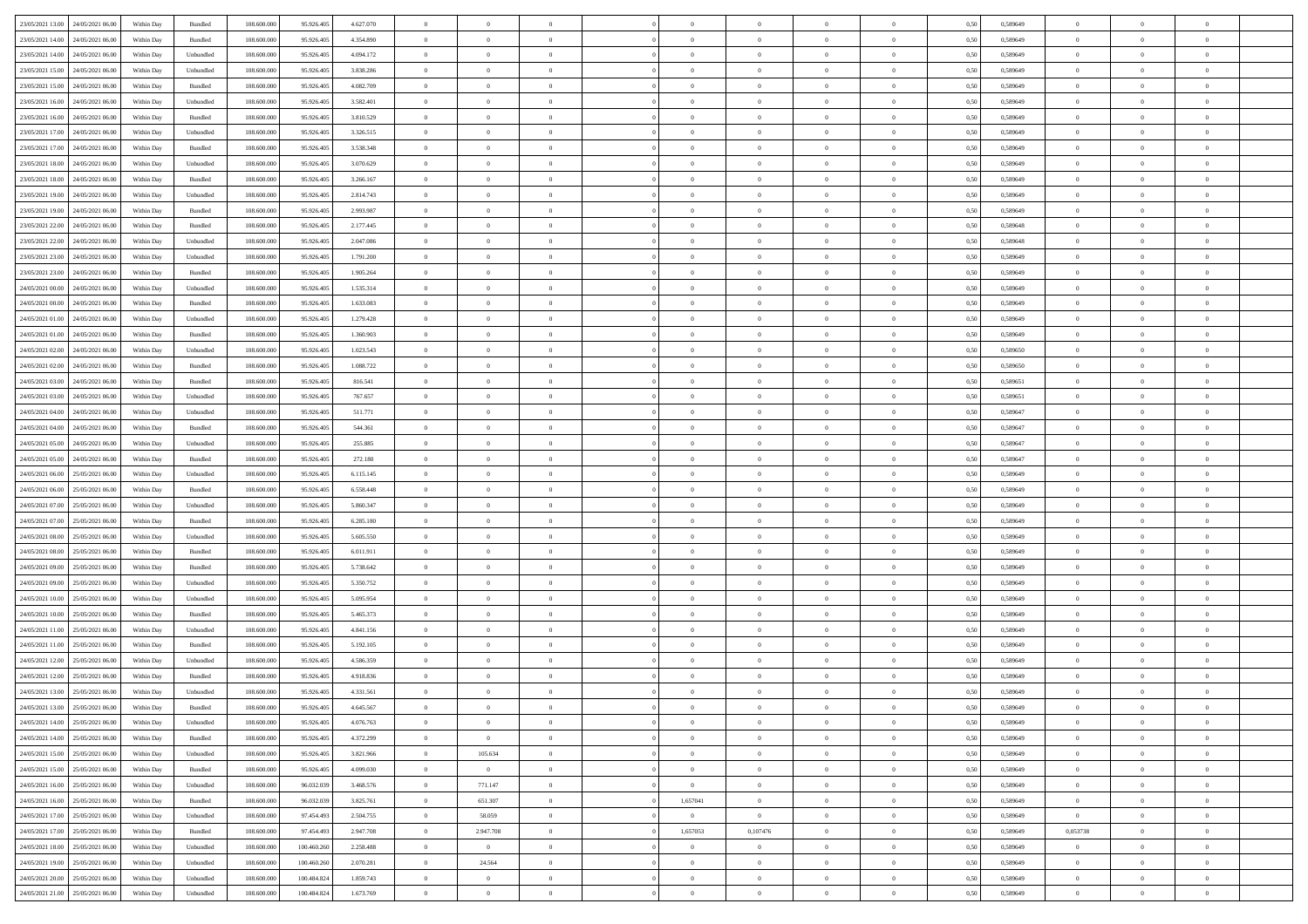| 23/05/2021 13:00 24/05/2021 06:00    | Within Day | Bundled            | 108.600.000 | 95.926.405  | 4.627.070 | $\overline{0}$ | $\theta$       |                | $\overline{0}$ | $\theta$       |                | $\theta$       | 0,50 | 0,589649 | $\theta$       | $\theta$       | $\overline{0}$ |  |
|--------------------------------------|------------|--------------------|-------------|-------------|-----------|----------------|----------------|----------------|----------------|----------------|----------------|----------------|------|----------|----------------|----------------|----------------|--|
|                                      |            |                    |             |             |           |                |                |                |                |                |                |                |      |          |                |                |                |  |
| 23/05/2021 14:00<br>24/05/2021 06.00 | Within Day | Bundled            | 108.600.00  | 95.926.40   | 4.354.890 | $\bf{0}$       | $\bf{0}$       | $\bf{0}$       | $\bf{0}$       | $\overline{0}$ | $\overline{0}$ | $\bf{0}$       | 0,50 | 0,589649 | $\,$ 0 $\,$    | $\bf{0}$       | $\overline{0}$ |  |
| 23/05/2021 14:00<br>24/05/2021 06:00 | Within Day | Unbundled          | 108,600,000 | 95.926.405  | 4.094.172 | $\overline{0}$ | $\bf{0}$       | $\overline{0}$ | $\bf{0}$       | $\bf{0}$       | $\overline{0}$ | $\bf{0}$       | 0.50 | 0.589649 | $\bf{0}$       | $\overline{0}$ | $\bf{0}$       |  |
| 23/05/2021 15:00<br>24/05/2021 06:00 |            |                    | 108.600.000 |             |           | $\overline{0}$ | $\overline{0}$ | $\overline{0}$ | $\overline{0}$ | $\theta$       | $\overline{0}$ |                |      |          | $\,$ 0 $\,$    | $\theta$       | $\overline{0}$ |  |
|                                      | Within Day | Unbundled          |             | 95.926.405  | 3.838.286 |                |                |                |                |                |                | $\bf{0}$       | 0,50 | 0,589649 |                |                |                |  |
| 23/05/2021 15:00<br>24/05/2021 06.00 | Within Day | Bundled            | 108.600.00  | 95.926.405  | 4.082.709 | $\bf{0}$       | $\overline{0}$ | $\bf{0}$       | $\overline{0}$ | $\bf{0}$       | $\overline{0}$ | $\bf{0}$       | 0,50 | 0,589649 | $\,$ 0 $\,$    | $\bf{0}$       | $\overline{0}$ |  |
| 23/05/2021 16:00<br>24/05/2021 06:00 | Within Day | Unbundled          | 108,600,000 | 95.926.40   | 3.582.401 | $\overline{0}$ | $\bf{0}$       | $\overline{0}$ | $\bf{0}$       | $\overline{0}$ | $\theta$       | $\bf{0}$       | 0.50 | 0.589649 | $\,$ 0 $\,$    | $\theta$       | $\overline{0}$ |  |
| 23/05/2021 16:00<br>24/05/2021 06:00 | Within Day | Bundled            | 108.600.000 | 95.926.405  | 3.810.529 | $\overline{0}$ | $\overline{0}$ | $\overline{0}$ | $\overline{0}$ | $\overline{0}$ | $\overline{0}$ | $\bf{0}$       | 0,50 | 0,589649 | $\theta$       | $\theta$       | $\overline{0}$ |  |
|                                      |            |                    |             |             |           |                |                |                |                |                |                |                |      |          |                |                |                |  |
| 23/05/2021 17:00<br>24/05/2021 06.00 | Within Day | Unbundled          | 108.600.00  | 95.926.40   | 3.326.515 | $\bf{0}$       | $\bf{0}$       | $\bf{0}$       | $\overline{0}$ | $\overline{0}$ | $\overline{0}$ | $\bf{0}$       | 0,50 | 0,589649 | $\,$ 0 $\,$    | $\bf{0}$       | $\overline{0}$ |  |
| 23/05/2021 17:00<br>24/05/2021 06:00 | Within Day | Bundled            | 108,600,000 | 95.926.40   | 3.538.348 | $\overline{0}$ | $\bf{0}$       | $\overline{0}$ | $\bf{0}$       | $\overline{0}$ | $\overline{0}$ | $\bf{0}$       | 0.50 | 0.589649 | $\bf{0}$       | $\overline{0}$ | $\overline{0}$ |  |
| 23/05/2021 18:00<br>24/05/2021 06:00 | Within Day | Unbundled          | 108.600.000 | 95.926.405  | 3.070.629 | $\overline{0}$ | $\bf{0}$       | $\overline{0}$ | $\overline{0}$ | $\overline{0}$ | $\overline{0}$ | $\bf{0}$       | 0,50 | 0,589649 | $\,$ 0 $\,$    | $\,$ 0 $\,$    | $\overline{0}$ |  |
| 23/05/2021 18:00<br>24/05/2021 06.00 | Within Day | Bundled            | 108.600.00  | 95.926.405  | 3.266.167 | $\bf{0}$       | $\bf{0}$       | $\bf{0}$       | $\bf{0}$       | $\overline{0}$ | $\overline{0}$ | $\bf{0}$       | 0,50 | 0,589649 | $\,$ 0 $\,$    | $\bf{0}$       | $\overline{0}$ |  |
|                                      |            |                    |             |             |           |                |                |                |                |                |                |                |      |          |                |                |                |  |
| 23/05/2021 19:00<br>24/05/2021 06:00 | Within Day | Unbundled          | 108,600,000 | 95.926.405  | 2.814.743 | $\overline{0}$ | $\bf{0}$       | $\overline{0}$ | $\overline{0}$ | $\overline{0}$ | $\overline{0}$ | $\bf{0}$       | 0.50 | 0.589649 | $\bf{0}$       | $\,$ 0 $\,$    | $\,$ 0         |  |
| 23/05/2021 19:00<br>24/05/2021 06:00 | Within Day | Bundled            | 108.600.000 | 95.926.405  | 2.993.987 | $\overline{0}$ | $\overline{0}$ | $\overline{0}$ | $\theta$       | $\theta$       | $\overline{0}$ | $\bf{0}$       | 0,50 | 0,589649 | $\,$ 0 $\,$    | $\theta$       | $\overline{0}$ |  |
| 23/05/2021 22:00<br>24/05/2021 06.00 | Within Day | Bundled            | 108.600.00  | 95.926.40   | 2.177.445 | $\bf{0}$       | $\overline{0}$ | $\bf{0}$       | $\bf{0}$       | $\bf{0}$       | $\overline{0}$ | $\bf{0}$       | 0,50 | 0,589648 | $\,$ 0 $\,$    | $\bf{0}$       | $\overline{0}$ |  |
| 24/05/2021 06:00                     |            |                    | 108,600,000 |             | 2.047.086 |                |                |                |                |                | $\theta$       |                |      |          |                | $\theta$       |                |  |
| 23/05/2021 22:00                     | Within Day | Unbundled          |             | 95.926.40   |           | $\overline{0}$ | $\bf{0}$       | $\overline{0}$ | $\bf{0}$       | $\overline{0}$ |                | $\bf{0}$       | 0.50 | 0.589648 | $\,$ 0 $\,$    |                | $\overline{0}$ |  |
| 23/05/2021 23:00<br>24/05/2021 06:00 | Within Day | Unbundled          | 108.600.000 | 95.926.405  | 1.791.200 | $\overline{0}$ | $\overline{0}$ | $\overline{0}$ | $\overline{0}$ | $\overline{0}$ | $\overline{0}$ | $\bf{0}$       | 0,50 | 0,589649 | $\theta$       | $\theta$       | $\overline{0}$ |  |
| 23/05/2021 23:00<br>24/05/2021 06.00 | Within Day | Bundled            | 108.600.00  | 95.926.405  | 1.905.264 | $\bf{0}$       | $\bf{0}$       | $\bf{0}$       | $\overline{0}$ | $\overline{0}$ | $\overline{0}$ | $\bf{0}$       | 0,50 | 0,589649 | $\,$ 0 $\,$    | $\bf{0}$       | $\overline{0}$ |  |
| 24/05/2021 00:00<br>24/05/2021 06:00 | Within Day | Unbundled          | 108,600,000 | 95.926.40   | 1.535.314 | $\overline{0}$ | $\bf{0}$       | $\overline{0}$ | $\bf{0}$       | $\overline{0}$ | $\overline{0}$ | $\bf{0}$       | 0.50 | 0.589649 | $\bf{0}$       | $\overline{0}$ | $\bf{0}$       |  |
| 24/05/2021 00:00<br>24/05/2021 06:00 | Within Day | Bundled            | 108.600.000 | 95.926.405  | 1.633.083 | $\overline{0}$ | $\bf{0}$       | $\overline{0}$ | $\overline{0}$ | $\overline{0}$ | $\overline{0}$ | $\bf{0}$       | 0,50 | 0,589649 | $\,$ 0 $\,$    | $\bf{0}$       | $\overline{0}$ |  |
|                                      |            |                    |             |             |           |                |                |                |                |                |                |                |      |          |                |                |                |  |
| 24/05/2021 01:00<br>24/05/2021 06.00 | Within Day | Unbundled          | 108.600.00  | 95.926.40   | 1.279.428 | $\bf{0}$       | $\bf{0}$       | $\bf{0}$       | $\bf{0}$       | $\overline{0}$ | $\overline{0}$ | $\bf{0}$       | 0,50 | 0,589649 | $\,$ 0 $\,$    | $\bf{0}$       | $\overline{0}$ |  |
| 24/05/2021 01:00<br>24/05/2021 06:00 | Within Day | Bundled            | 108,600,000 | 95.926.405  | 1.360.903 | $\overline{0}$ | $\bf{0}$       | $\overline{0}$ | $\overline{0}$ | $\bf{0}$       | $\overline{0}$ | $\bf{0}$       | 0.50 | 0.589649 | $\bf{0}$       | $\overline{0}$ | $\,$ 0         |  |
| 24/05/2021 02:00<br>24/05/2021 06:00 | Within Day | Unbundled          | 108.600.000 | 95.926.405  | 1.023.543 | $\overline{0}$ | $\overline{0}$ | $\overline{0}$ | $\overline{0}$ | $\theta$       | $\overline{0}$ | $\bf{0}$       | 0,50 | 0,589650 | $\theta$       | $\theta$       | $\overline{0}$ |  |
| 24/05/2021 06.00                     | Within Day | Bundled            | 108.600.00  | 95.926.405  | 1.088.722 | $\bf{0}$       | $\bf{0}$       | $\bf{0}$       | $\bf{0}$       | $\overline{0}$ | $\overline{0}$ | $\bf{0}$       | 0,50 | 0,589650 | $\,$ 0 $\,$    | $\bf{0}$       | $\overline{0}$ |  |
| 24/05/2021 02:00                     |            |                    |             |             |           |                |                |                |                |                |                |                |      |          |                |                |                |  |
| 24/05/2021 03:00<br>24/05/2021 06:00 | Within Day | Bundled            | 108,600,000 | 95.926.40   | 816.541   | $\overline{0}$ | $\bf{0}$       | $\overline{0}$ | $\bf{0}$       | $\overline{0}$ | $\theta$       | $\bf{0}$       | 0.50 | 0.589651 | $\,$ 0 $\,$    | $\theta$       | $\overline{0}$ |  |
| 24/05/2021 03:00<br>24/05/2021 06:00 | Within Day | Unbundled          | 108.600.000 | 95.926.405  | 767.657   | $\overline{0}$ | $\overline{0}$ | $\overline{0}$ | $\overline{0}$ | $\overline{0}$ | $\overline{0}$ | $\bf{0}$       | 0,50 | 0,589651 | $\,$ 0 $\,$    | $\theta$       | $\overline{0}$ |  |
| 24/05/2021 04:00<br>24/05/2021 06.00 | Within Day | Unbundled          | 108.600.00  | 95.926.405  | 511.771   | $\bf{0}$       | $\overline{0}$ | $\bf{0}$       | $\overline{0}$ | $\overline{0}$ | $\overline{0}$ | $\bf{0}$       | 0,50 | 0,589647 | $\,$ 0 $\,$    | $\bf{0}$       | $\overline{0}$ |  |
| 24/05/2021 04:00<br>24/05/2021 06:00 | Within Day | Bundled            | 108,600,000 | 95.926.40   | 544.361   | $\overline{0}$ | $\bf{0}$       | $\overline{0}$ | $\bf{0}$       | $\overline{0}$ | $\overline{0}$ | $\bf{0}$       | 0.50 | 0.589647 | $\bf{0}$       | $\overline{0}$ | $\overline{0}$ |  |
|                                      |            |                    |             |             |           |                |                |                |                |                |                |                |      |          |                |                |                |  |
| 24/05/2021 05:00<br>24/05/2021 06:00 | Within Day | Unbundled          | 108.600.000 | 95.926.405  | 255.885   | $\overline{0}$ | $\bf{0}$       | $\overline{0}$ | $\overline{0}$ | $\overline{0}$ | $\overline{0}$ | $\bf{0}$       | 0,50 | 0,589647 | $\theta$       | $\theta$       | $\overline{0}$ |  |
| 24/05/2021 05:00<br>24/05/2021 06.00 | Within Day | Bundled            | 108.600.00  | 95.926.405  | 272.180   | $\bf{0}$       | $\bf{0}$       | $\bf{0}$       | $\bf{0}$       | $\overline{0}$ | $\overline{0}$ | $\bf{0}$       | 0,50 | 0,589647 | $\,$ 0 $\,$    | $\bf{0}$       | $\overline{0}$ |  |
| 24/05/2021 06:00<br>25/05/2021 06:00 | Within Day | Unbundled          | 108,600,000 | 95.926.405  | 6.115.145 | $\overline{0}$ | $\bf{0}$       | $\overline{0}$ | $\overline{0}$ | $\bf{0}$       | $\overline{0}$ | $\bf{0}$       | 0.50 | 0.589649 | $\bf{0}$       | $\,$ 0 $\,$    | $\,$ 0         |  |
| 24/05/2021 06:00<br>25/05/2021 06:00 | Within Day | Bundled            | 108.600.000 | 95.926.40   | 6,558,448 | $\overline{0}$ | $\overline{0}$ | $\overline{0}$ | $\overline{0}$ | $\overline{0}$ | $\overline{0}$ | $\bf{0}$       | 0.50 | 0.589649 | $\theta$       | $\theta$       | $\overline{0}$ |  |
|                                      |            |                    |             |             |           |                |                |                |                |                |                |                |      |          |                |                |                |  |
| 24/05/2021 07:00<br>25/05/2021 06.00 | Within Day | Unbundled          | 108.600.00  | 95.926.405  | 5.860.347 | $\bf{0}$       | $\bf{0}$       | $\bf{0}$       | $\bf{0}$       | $\overline{0}$ | $\overline{0}$ | $\bf{0}$       | 0,50 | 0,589649 | $\,$ 0 $\,$    | $\bf{0}$       | $\overline{0}$ |  |
| 24/05/2021 07:00<br>25/05/2021 06.00 | Within Day | Bundled            | 108,600,000 | 95.926.405  | 6.285.180 | $\overline{0}$ | $\bf{0}$       | $\overline{0}$ | $\bf{0}$       | $\overline{0}$ | $\overline{0}$ | $\bf{0}$       | 0.50 | 0.589649 | $\,$ 0 $\,$    | $\bf{0}$       | $\overline{0}$ |  |
| 24/05/2021 08:00<br>25/05/2021 06:00 | Within Dav | Unbundled          | 108.600.000 | 95.926.405  | 5.605.550 | $\overline{0}$ | $\overline{0}$ | $\overline{0}$ | $\overline{0}$ | $\overline{0}$ | $\overline{0}$ | $\bf{0}$       | 0.50 | 0.589649 | $\theta$       | $\theta$       | $\overline{0}$ |  |
| 24/05/2021 08:00<br>25/05/2021 06.00 | Within Day | Bundled            | 108.600.00  | 95.926.405  | 6.011.911 | $\bf{0}$       | $\bf{0}$       | $\bf{0}$       | $\bf{0}$       | $\overline{0}$ | $\overline{0}$ | $\bf{0}$       | 0,50 | 0,589649 | $\,$ 0 $\,$    | $\bf{0}$       | $\overline{0}$ |  |
|                                      |            |                    |             |             |           |                |                |                |                |                |                |                |      |          |                |                |                |  |
| 24/05/2021 09:00<br>25/05/2021 06:00 | Within Day | Bundled            | 108,600,000 | 95.926.40   | 5.738.642 | $\overline{0}$ | $\bf{0}$       | $\overline{0}$ | $\bf{0}$       | $\overline{0}$ | $\overline{0}$ | $\bf{0}$       | 0.50 | 0.589649 | $\bf{0}$       | $\overline{0}$ | $\bf{0}$       |  |
| 24/05/2021 09:00<br>25/05/2021 06:00 | Within Dav | Unbundled          | 108.600.000 | 95.926.405  | 5.350.752 | $\overline{0}$ | $\overline{0}$ | $\overline{0}$ | $\overline{0}$ | $\overline{0}$ | $\overline{0}$ | $\bf{0}$       | 0.50 | 0.589649 | $\theta$       | $\theta$       | $\overline{0}$ |  |
| 24/05/2021 10:00<br>25/05/2021 06.00 | Within Day | Unbundled          | 108.600.00  | 95.926.405  | 5.095.954 | $\bf{0}$       | $\bf{0}$       | $\bf{0}$       | $\bf{0}$       | $\overline{0}$ | $\overline{0}$ | $\bf{0}$       | 0,50 | 0,589649 | $\,$ 0 $\,$    | $\bf{0}$       | $\overline{0}$ |  |
| 24/05/2021 10:00<br>25/05/2021 06:00 | Within Day | Bundled            | 108,600,000 | 95.926.405  | 5.465.373 | $\overline{0}$ | $\bf{0}$       | $\overline{0}$ | $\overline{0}$ | $\bf{0}$       | $\overline{0}$ | $\bf{0}$       | 0.50 | 0.589649 | $\bf{0}$       | $\,$ 0 $\,$    | $\,$ 0         |  |
|                                      |            |                    |             |             |           |                |                |                |                |                |                |                |      |          |                |                |                |  |
| 24/05/2021 11:00<br>25/05/2021 06:00 | Within Dav | Unbundled          | 108.600.000 | 95.926.405  | 4.841.156 | $\overline{0}$ | $\overline{0}$ | $\overline{0}$ | $\overline{0}$ | $\overline{0}$ | $\overline{0}$ | $\bf{0}$       | 0.50 | 0.589649 | $\theta$       | $\theta$       | $\overline{0}$ |  |
| 24/05/2021 11:00<br>25/05/2021 06.00 | Within Day | Bundled            | 108.600.00  | 95.926.405  | 5.192.105 | $\bf{0}$       | $\bf{0}$       | $\bf{0}$       | $\bf{0}$       | $\overline{0}$ | $\overline{0}$ | $\bf{0}$       | 0,50 | 0,589649 | $\,$ 0 $\,$    | $\bf{0}$       | $\overline{0}$ |  |
| 24/05/2021 12:00<br>25/05/2021 06.00 | Within Day | Unbundled          | 108,600,000 | 95.926.40   | 4.586.359 | $\overline{0}$ | $\overline{0}$ | $\overline{0}$ | $\bf{0}$       | $\overline{0}$ | $\overline{0}$ | $\bf{0}$       | 0.50 | 0.589649 | $\bf{0}$       | $\theta$       | $\overline{0}$ |  |
| 24/05/2021 12:00<br>25/05/2021 06:00 | Within Dav | Bundled            | 108.600.000 | 95.926.40   | 4.918.836 | $\overline{0}$ | $\overline{0}$ | $\Omega$       | $\theta$       | $\theta$       | $\overline{0}$ | $\overline{0}$ | 0.5( | 0.589649 | $\theta$       | $\theta$       | $\overline{0}$ |  |
| 24/05/2021 13:00<br>25/05/2021 06:00 | Within Day | Unbundled          | 108.600.00  | 95.926.405  | 4.331.561 | $\bf{0}$       | $\bf{0}$       | $\bf{0}$       | $\bf{0}$       | $\bf{0}$       | $\overline{0}$ | $\bf{0}$       | 0,50 | 0,589649 | $\,$ 0 $\,$    | $\bf{0}$       | $\overline{0}$ |  |
|                                      |            |                    |             |             |           |                |                |                |                |                |                |                |      |          |                |                |                |  |
| 24/05/2021 13:00 25/05/2021 06:00    | Within Day | $\mathbf B$ undled | 108.600.000 | 95.926.405  | 4 645 567 | $\bf{0}$       | $\theta$       |                | $\overline{0}$ |                |                |                | 0,50 | 0.589649 | $\bf{0}$       | $\bf{0}$       |                |  |
| 24/05/2021 14:00 25/05/2021 06:00    | Within Day | Unbundled          | 108.600.000 | 95.926.405  | 4.076.763 | $\overline{0}$ | $\overline{0}$ | $\Omega$       | $\theta$       | $\overline{0}$ | $\overline{0}$ | $\bf{0}$       | 0,50 | 0,589649 | $\theta$       | $\theta$       | $\overline{0}$ |  |
| 24/05/2021 14:00<br>25/05/2021 06:00 | Within Day | Bundled            | 108.600.00  | 95.926.405  | 4.372.299 | $\overline{0}$ | $\overline{0}$ | $\overline{0}$ | $\overline{0}$ | $\bf{0}$       | $\overline{0}$ | $\bf{0}$       | 0,50 | 0,589649 | $\bf{0}$       | $\overline{0}$ | $\bf{0}$       |  |
| 24/05/2021 15:00 25/05/2021 06:00    | Within Day | Unbundled          | 108,600,000 | 95.926.405  | 3.821.966 | $\overline{0}$ | 105.634        | $\overline{0}$ | $\overline{0}$ | $\mathbf{0}$   | $\overline{0}$ | $\,$ 0 $\,$    | 0.50 | 0.589649 | $\overline{0}$ | $\bf{0}$       | $\,$ 0 $\,$    |  |
|                                      |            |                    |             |             |           |                |                |                |                |                |                |                |      |          |                |                |                |  |
| 24/05/2021 15:00 25/05/2021 06:00    | Within Dav | Bundled            | 108.600.000 | 95.926.405  | 4.099.030 | $\overline{0}$ | $\overline{0}$ | $\overline{0}$ | $\overline{0}$ | $\overline{0}$ | $\overline{0}$ | $\bf{0}$       | 0.50 | 0.589649 | $\overline{0}$ | $\theta$       | $\overline{0}$ |  |
| 24/05/2021 16:00<br>25/05/2021 06:00 | Within Day | Unbundled          | 108.600.000 | 96.032.039  | 3.468.576 | $\overline{0}$ | 771.147        | $\overline{0}$ | $\overline{0}$ | $\bf{0}$       | $\overline{0}$ | $\bf{0}$       | 0,50 | 0,589649 | $\bf{0}$       | $\overline{0}$ | $\overline{0}$ |  |
| 24/05/2021 16:00 25/05/2021 06:00    | Within Day | Bundled            | 108,600,000 | 96.032.039  | 3.825.761 | $\overline{0}$ | 651.307        | $\overline{0}$ | 1,657041       | $\overline{0}$ | $\overline{0}$ | $\bf{0}$       | 0.50 | 0.589649 | $\,$ 0 $\,$    | $\overline{0}$ | $\,$ 0         |  |
| 24/05/2021 17:00 25/05/2021 06:00    | Within Dav | Unbundled          | 108.600.000 | 97.454.493  | 2.504.755 | $\overline{0}$ | 58,059         | $\overline{0}$ | $\overline{0}$ | $\bf{0}$       | $\overline{0}$ | $\bf{0}$       | 0,50 | 0.589649 | $\overline{0}$ | $\theta$       | $\overline{0}$ |  |
|                                      |            |                    |             |             |           |                |                |                |                |                |                |                |      |          |                |                |                |  |
| 24/05/2021 17:00<br>25/05/2021 06:00 | Within Day | Bundled            | 108.600.00  | 97.454.493  | 2.947.708 | $\overline{0}$ | 2.947.708      | $\overline{0}$ | 1,657053       | 0,107476       | $\overline{0}$ | $\bf{0}$       | 0,50 | 0,589649 | 0,053738       | $\overline{0}$ | $\,$ 0         |  |
| 24/05/2021 18:00 25/05/2021 06:00    | Within Day | Unbundled          | 108,600,000 | 100,460,260 | 2.258.488 | $\overline{0}$ | $\overline{0}$ | $\overline{0}$ | $\overline{0}$ | $\overline{0}$ | $\overline{0}$ | $\bf{0}$       | 0.50 | 0.589649 | $\overline{0}$ | $\bf{0}$       | $\,$ 0         |  |
| 24/05/2021 19:00 25/05/2021 06:00    | Within Dav | Unbundled          | 108.600.000 | 100.460.260 | 2.070.281 | $\overline{0}$ | 24.564         | $\overline{0}$ | $\overline{0}$ | $\overline{0}$ | $\overline{0}$ | $\bf{0}$       | 0,50 | 0.589649 | $\overline{0}$ | $\theta$       | $\overline{0}$ |  |
|                                      |            |                    |             |             |           |                | $\bf{0}$       |                | $\bf{0}$       | $\overline{0}$ |                |                |      |          | $\bf{0}$       | $\,0\,$        | $\bf{0}$       |  |
| 24/05/2021 20:00<br>25/05/2021 06:00 | Within Day | Unbundled          | 108.600.00  | 100.484.824 | 1.859.743 | $\overline{0}$ |                | $\overline{0}$ |                |                | $\overline{0}$ | $\bf{0}$       | 0,50 | 0,589649 |                |                |                |  |
| 24/05/2021 21:00 25/05/2021 06:00    | Within Day | Unbundled          | 108.600.000 | 100.484.824 | 1.673.769 | $\overline{0}$ | $\bf{0}$       | $\overline{0}$ | $\overline{0}$ | $\,$ 0 $\,$    | $\overline{0}$ | $\bf{0}$       | 0,50 | 0,589649 | $\overline{0}$ | $\,$ 0 $\,$    | $\,$ 0 $\,$    |  |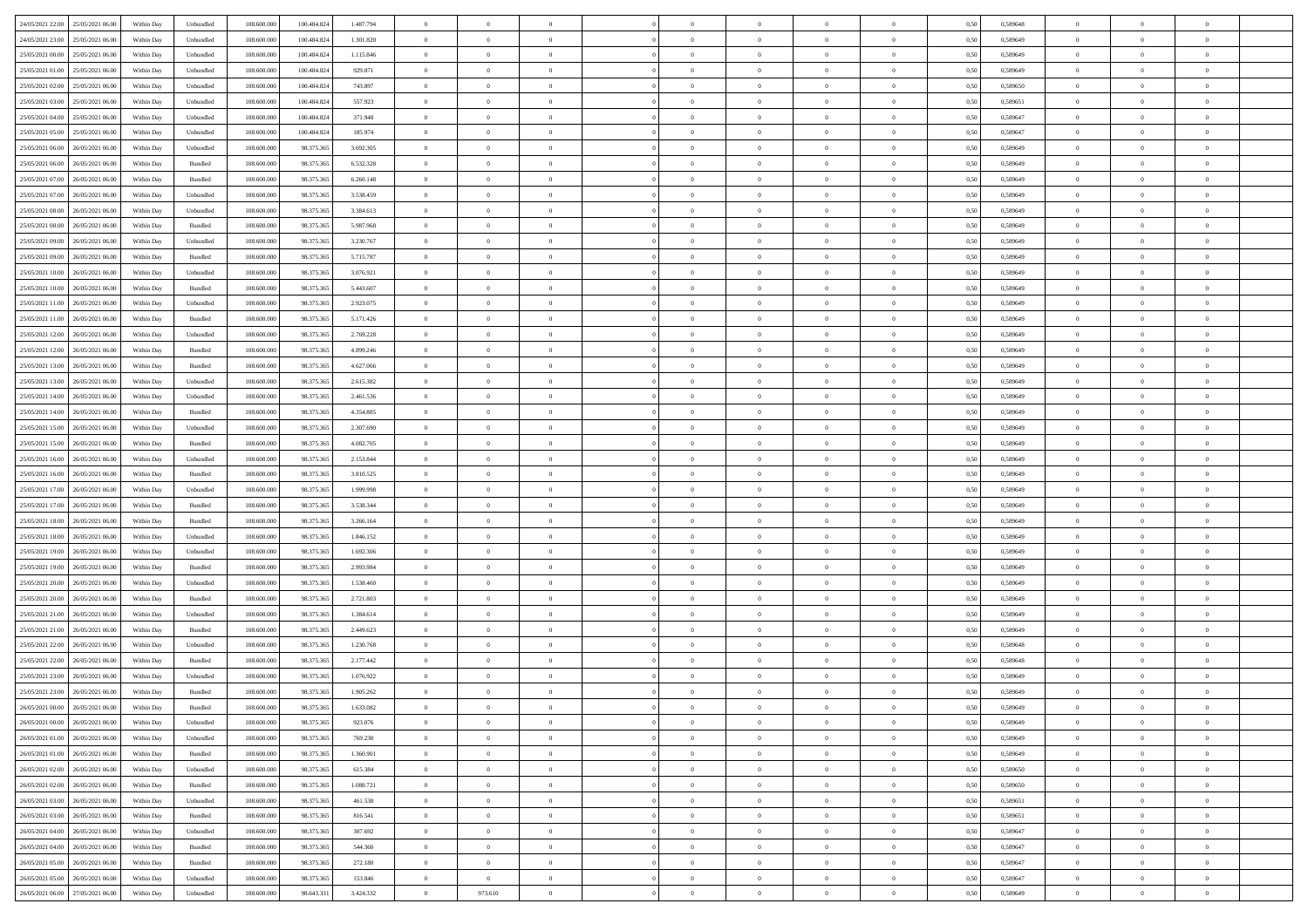| 24/05/2021 22:00 25/05/2021 06:00            | Within Day | Unbundled          | 108.600.000 | 100.484.824 | 1.487.794 | $\overline{0}$ | $\overline{0}$ |                | $\overline{0}$ | $\theta$       |                | $\theta$       | 0,50 | 0,589648 | $\theta$       | $\theta$       | $\overline{0}$ |  |
|----------------------------------------------|------------|--------------------|-------------|-------------|-----------|----------------|----------------|----------------|----------------|----------------|----------------|----------------|------|----------|----------------|----------------|----------------|--|
| 24/05/2021 23:00<br>25/05/2021 06.00         | Within Day | Unbundled          | 108.600.00  | 100.484.82  | 1.301.820 | $\bf{0}$       | $\bf{0}$       | $\bf{0}$       | $\bf{0}$       | $\overline{0}$ | $\overline{0}$ | $\bf{0}$       | 0,50 | 0,589649 | $\,$ 0 $\,$    | $\bf{0}$       | $\overline{0}$ |  |
| 25/05/2021 00:00<br>25/05/2021 06:00         | Within Day | Unbundled          | 108,600,000 | 100.484.824 | 1.115.846 | $\overline{0}$ | $\bf{0}$       | $\overline{0}$ | $\bf{0}$       | $\bf{0}$       | $\overline{0}$ | $\bf{0}$       | 0.50 | 0.589649 | $\bf{0}$       | $\overline{0}$ | $\overline{0}$ |  |
| 25/05/2021 01:00<br>25/05/2021 06:00         |            |                    | 108.600.000 |             |           | $\overline{0}$ | $\overline{0}$ | $\overline{0}$ | $\theta$       | $\theta$       | $\overline{0}$ |                |      |          | $\theta$       | $\theta$       | $\overline{0}$ |  |
|                                              | Within Day | Unbundled          |             | 100.484.824 | 929.871   |                |                |                |                |                |                | $\bf{0}$       | 0,50 | 0,589649 |                |                |                |  |
| 25/05/2021 02:00<br>25/05/2021 06.00         | Within Day | Unbundled          | 108.600.00  | 100.484.824 | 743.897   | $\overline{0}$ | $\overline{0}$ | $\bf{0}$       | $\overline{0}$ | $\theta$       | $\overline{0}$ | $\bf{0}$       | 0,50 | 0,589650 | $\,$ 0 $\,$    | $\bf{0}$       | $\overline{0}$ |  |
| 25/05/2021 03:00<br>25/05/2021 06:00         | Within Day | Unbundled          | 108,600,00  | 100.484.82  | 557.923   | $\overline{0}$ | $\overline{0}$ | $\overline{0}$ | $\bf{0}$       | $\overline{0}$ | $\theta$       | $\bf{0}$       | 0.50 | 0.589651 | $\,$ 0 $\,$    | $\theta$       | $\overline{0}$ |  |
| 25/05/2021 04:00<br>25/05/2021 06:00         | Within Day | Unbundled          | 108.600.000 | 100.484.824 | 371.948   | $\overline{0}$ | $\overline{0}$ | $\overline{0}$ | $\overline{0}$ | $\overline{0}$ | $\overline{0}$ | $\bf{0}$       | 0,50 | 0,589647 | $\theta$       | $\theta$       | $\overline{0}$ |  |
|                                              |            |                    |             |             |           |                |                |                |                |                |                |                |      |          |                |                |                |  |
| 25/05/2021 05:00<br>25/05/2021 06.00         | Within Day | Unbundled          | 108.600.00  | 100.484.82  | 185.974   | $\bf{0}$       | $\bf{0}$       | $\bf{0}$       | $\overline{0}$ | $\overline{0}$ | $\overline{0}$ | $\bf{0}$       | 0,50 | 0,589647 | $\,$ 0 $\,$    | $\bf{0}$       | $\overline{0}$ |  |
| 25/05/2021 06:00<br>26/05/2021 06:00         | Within Day | Unbundled          | 108,600,000 | 98.375.365  | 3.692.305 | $\overline{0}$ | $\bf{0}$       | $\overline{0}$ | $\bf{0}$       | $\overline{0}$ | $\overline{0}$ | $\bf{0}$       | 0.50 | 0.589649 | $\bf{0}$       | $\overline{0}$ | $\overline{0}$ |  |
| 25/05/2021 06:00<br>26/05/2021 06:00         | Within Day | Bundled            | 108.600.000 | 98.375.365  | 6.532.328 | $\overline{0}$ | $\bf{0}$       | $\overline{0}$ | $\overline{0}$ | $\overline{0}$ | $\overline{0}$ | $\bf{0}$       | 0,50 | 0,589649 | $\,$ 0 $\,$    | $\bf{0}$       | $\overline{0}$ |  |
| 25/05/2021 07:00<br>26/05/2021 06.00         | Within Day | Bundled            | 108.600.00  | 98.375.365  | 6.260.148 | $\bf{0}$       | $\overline{0}$ | $\bf{0}$       | $\bf{0}$       | $\bf{0}$       | $\overline{0}$ | $\bf{0}$       | 0,50 | 0,589649 | $\,$ 0 $\,$    | $\bf{0}$       | $\overline{0}$ |  |
|                                              |            |                    |             |             |           |                |                |                |                |                |                |                |      |          |                |                |                |  |
| 25/05/2021 07:00<br>26/05/2021 06:00         | Within Day | Unbundled          | 108,600,000 | 98.375.36   | 3.538.459 | $\overline{0}$ | $\bf{0}$       | $\overline{0}$ | $\overline{0}$ | $\bf{0}$       | $\overline{0}$ | $\bf{0}$       | 0.50 | 0.589649 | $\bf{0}$       | $\overline{0}$ | $\,$ 0         |  |
| 25/05/2021 08:00<br>26/05/2021 06:00         | Within Day | Unbundled          | 108.600.000 | 98.375.365  | 3.384.613 | $\overline{0}$ | $\overline{0}$ | $\overline{0}$ | $\theta$       | $\theta$       | $\overline{0}$ | $\bf{0}$       | 0,50 | 0,589649 | $\,$ 0 $\,$    | $\theta$       | $\overline{0}$ |  |
| 25/05/2021 08:00<br>26/05/2021 06.00         | Within Day | Bundled            | 108.600.00  | 98.375.36   | 5.987.968 | $\bf{0}$       | $\overline{0}$ | $\bf{0}$       | $\overline{0}$ | $\bf{0}$       | $\overline{0}$ | $\bf{0}$       | 0,50 | 0,589649 | $\,$ 0 $\,$    | $\bf{0}$       | $\overline{0}$ |  |
|                                              |            |                    |             |             |           |                |                |                |                |                | $\theta$       |                |      |          |                |                |                |  |
| 25/05/2021 09:00<br>26/05/2021 06:00         | Within Day | Unbundled          | 108,600,000 | 98.375.36   | 3.230.767 | $\overline{0}$ | $\overline{0}$ | $\overline{0}$ | $\bf{0}$       | $\overline{0}$ |                | $\bf{0}$       | 0.50 | 0.589649 | $\,$ 0 $\,$    | $\theta$       | $\overline{0}$ |  |
| 25/05/2021 09:00<br>26/05/2021 06:00         | Within Day | Bundled            | 108.600.000 | 98.375.365  | 5.715.787 | $\overline{0}$ | $\overline{0}$ | $\overline{0}$ | $\overline{0}$ | $\overline{0}$ | $\overline{0}$ | $\bf{0}$       | 0,50 | 0,589649 | $\theta$       | $\theta$       | $\overline{0}$ |  |
| 25/05/2021 10:00<br>26/05/2021 06.00         | Within Day | Unbundled          | 108.600.00  | 98.375.36   | 3.076.921 | $\bf{0}$       | $\bf{0}$       | $\bf{0}$       | $\overline{0}$ | $\bf{0}$       | $\overline{0}$ | $\bf{0}$       | 0,50 | 0,589649 | $\,$ 0 $\,$    | $\bf{0}$       | $\overline{0}$ |  |
| 25/05/2021 10:00<br>26/05/2021 06:00         | Within Day | Bundled            | 108,600,000 | 98.375.36   | 5.443.607 | $\overline{0}$ | $\bf{0}$       | $\overline{0}$ | $\bf{0}$       | $\overline{0}$ | $\overline{0}$ | $\bf{0}$       | 0.50 | 0.589649 | $\bf{0}$       | $\overline{0}$ | $\overline{0}$ |  |
| 25/05/2021 11:00<br>26/05/2021 06:00         | Within Day | Unbundled          | 108.600.000 | 98.375.365  | 2.923.075 | $\overline{0}$ | $\bf{0}$       | $\overline{0}$ | $\overline{0}$ | $\overline{0}$ | $\overline{0}$ | $\bf{0}$       | 0,50 | 0,589649 | $\,$ 0 $\,$    | $\bf{0}$       | $\overline{0}$ |  |
|                                              |            |                    |             |             |           |                |                |                |                |                |                |                |      |          |                |                |                |  |
| 25/05/2021 11:00<br>26/05/2021 06.00         | Within Day | Bundled            | 108.600.00  | 98.375.36   | 5.171.426 | $\bf{0}$       | $\bf{0}$       | $\bf{0}$       | $\bf{0}$       | $\overline{0}$ | $\overline{0}$ | $\bf{0}$       | 0,50 | 0,589649 | $\,$ 0 $\,$    | $\bf{0}$       | $\overline{0}$ |  |
| 25/05/2021 12:00<br>26/05/2021 06:00         | Within Day | Unbundled          | 108,600,000 | 98.375.365  | 2.769.228 | $\overline{0}$ | $\bf{0}$       | $\overline{0}$ | $\overline{0}$ | $\bf{0}$       | $\overline{0}$ | $\bf{0}$       | 0.50 | 0.589649 | $\bf{0}$       | $\overline{0}$ | $\,$ 0         |  |
| 25/05/2021 12:00<br>26/05/2021 06:00         | Within Day | Bundled            | 108.600.000 | 98.375.365  | 4.899.246 | $\overline{0}$ | $\overline{0}$ | $\overline{0}$ | $\theta$       | $\theta$       | $\overline{0}$ | $\bf{0}$       | 0,50 | 0,589649 | $\theta$       | $\theta$       | $\overline{0}$ |  |
| 25/05/2021 13:00<br>26/05/2021 06.00         | Within Day | Bundled            | 108.600.00  | 98.375.36   | 4.627.066 | $\bf{0}$       | $\overline{0}$ | $\bf{0}$       | $\bf{0}$       | $\overline{0}$ | $\overline{0}$ | $\bf{0}$       | 0,50 | 0,589649 | $\,$ 0 $\,$    | $\bf{0}$       | $\overline{0}$ |  |
|                                              |            |                    |             |             |           |                |                |                |                |                |                |                |      |          |                |                |                |  |
| 25/05/2021 13:00<br>26/05/2021 06:00         | Within Day | Unbundled          | 108,600,000 | 98.375.36   | 2.615.382 | $\overline{0}$ | $\overline{0}$ | $\overline{0}$ | $\bf{0}$       | $\overline{0}$ | $\theta$       | $\bf{0}$       | 0.50 | 0.589649 | $\,$ 0 $\,$    | $\theta$       | $\overline{0}$ |  |
| 25/05/2021 14:00<br>26/05/2021 06:00         | Within Day | Unbundled          | 108.600.000 | 98.375.365  | 2.461.536 | $\overline{0}$ | $\overline{0}$ | $\overline{0}$ | $\overline{0}$ | $\overline{0}$ | $\overline{0}$ | $\bf{0}$       | 0,50 | 0,589649 | $\,$ 0 $\,$    | $\theta$       | $\overline{0}$ |  |
| 25/05/2021 14:00<br>26/05/2021 06.00         | Within Day | Bundled            | 108.600.00  | 98.375.36   | 4.354.885 | $\bf{0}$       | $\overline{0}$ | $\bf{0}$       | $\overline{0}$ | $\bf{0}$       | $\overline{0}$ | $\bf{0}$       | 0,50 | 0,589649 | $\,$ 0 $\,$    | $\bf{0}$       | $\overline{0}$ |  |
| 25/05/2021 15:00<br>26/05/2021 06:00         | Within Day | Unbundled          | 108,600,000 | 98.375.36   | 2.307.690 | $\overline{0}$ | $\bf{0}$       | $\overline{0}$ | $\bf{0}$       | $\overline{0}$ | $\overline{0}$ | $\bf{0}$       | 0.50 | 0.589649 | $\bf{0}$       | $\overline{0}$ | $\overline{0}$ |  |
|                                              |            |                    |             |             |           |                |                |                |                |                |                |                |      |          |                |                |                |  |
| 25/05/2021 15:00<br>26/05/2021 06:00         | Within Day | Bundled            | 108.600.000 | 98.375.365  | 4.082.705 | $\overline{0}$ | $\overline{0}$ | $\overline{0}$ | $\overline{0}$ | $\overline{0}$ | $\overline{0}$ | $\bf{0}$       | 0,50 | 0,589649 | $\theta$       | $\theta$       | $\overline{0}$ |  |
| 25/05/2021 16:00<br>26/05/2021 06.00         | Within Day | Unbundled          | 108.600.00  | 98.375.36   | 2.153.844 | $\bf{0}$       | $\bf{0}$       | $\bf{0}$       | $\bf{0}$       | $\overline{0}$ | $\overline{0}$ | $\bf{0}$       | 0,50 | 0,589649 | $\,$ 0 $\,$    | $\bf{0}$       | $\overline{0}$ |  |
| 25/05/2021 16:00<br>26/05/2021 06:00         | Within Day | Bundled            | 108,600,000 | 98.375.36   | 3.810.525 | $\overline{0}$ | $\bf{0}$       | $\overline{0}$ | $\overline{0}$ | $\bf{0}$       | $\overline{0}$ | $\bf{0}$       | 0.50 | 0.589649 | $\bf{0}$       | $\overline{0}$ | $\,$ 0         |  |
| 25/05/2021 17:00<br>26/05/2021 06:00         | Within Day | Unbundled          | 108.600.000 | 98.375.365  | 1,999,998 | $\overline{0}$ | $\overline{0}$ | $\overline{0}$ | $\overline{0}$ | $\overline{0}$ | $\overline{0}$ | $\bf{0}$       | 0.50 | 0.589649 | $\theta$       | $\theta$       | $\overline{0}$ |  |
|                                              |            |                    |             |             |           |                |                |                |                |                |                |                |      |          |                |                |                |  |
| 25/05/2021 17:00<br>26/05/2021 06.00         | Within Day | Bundled            | 108.600.00  | 98.375.36   | 3.538.344 | $\bf{0}$       | $\overline{0}$ | $\bf{0}$       | $\bf{0}$       | $\overline{0}$ | $\overline{0}$ | $\bf{0}$       | 0,50 | 0,589649 | $\,$ 0 $\,$    | $\bf{0}$       | $\overline{0}$ |  |
| 25/05/2021 18:00<br>26/05/2021 06:00         | Within Day | Bundled            | 108,600,000 | 98.375.365  | 3.266.164 | $\overline{0}$ | $\bf{0}$       | $\overline{0}$ | $\bf{0}$       | $\overline{0}$ | $\overline{0}$ | $\bf{0}$       | 0.50 | 0.589649 | $\,$ 0 $\,$    | $\bf{0}$       | $\overline{0}$ |  |
| 25/05/2021 18:00<br>26/05/2021 06:00         | Within Dav | Unbundled          | 108.600.000 | 98.375.365  | 1.846.152 | $\overline{0}$ | $\overline{0}$ | $\overline{0}$ | $\overline{0}$ | $\overline{0}$ | $\overline{0}$ | $\bf{0}$       | 0.50 | 0.589649 | $\theta$       | $\theta$       | $\overline{0}$ |  |
| 25/05/2021 19:00<br>26/05/2021 06.00         | Within Day | Unbundled          | 108.600.00  | 98.375.36   | 1.692.306 | $\bf{0}$       | $\bf{0}$       | $\bf{0}$       | $\bf{0}$       | $\overline{0}$ | $\overline{0}$ | $\bf{0}$       | 0,50 | 0,589649 | $\,$ 0 $\,$    | $\bf{0}$       | $\overline{0}$ |  |
|                                              |            |                    |             |             |           |                |                |                |                |                |                |                |      |          |                |                |                |  |
| 25/05/2021 19:00<br>26/05/2021 06:00         | Within Day | Bundled            | 108,600,000 | 98.375.36   | 2.993.984 | $\overline{0}$ | $\bf{0}$       | $\overline{0}$ | $\bf{0}$       | $\overline{0}$ | $\overline{0}$ | $\bf{0}$       | 0.50 | 0.589649 | $\bf{0}$       | $\overline{0}$ | $\overline{0}$ |  |
| 25/05/2021 20:00<br>26/05/2021 06:00         | Within Dav | Unbundled          | 108.600.000 | 98.375.365  | 1.538.460 | $\overline{0}$ | $\overline{0}$ | $\overline{0}$ | $\overline{0}$ | $\overline{0}$ | $\overline{0}$ | $\bf{0}$       | 0.50 | 0.589649 | $\theta$       | $\theta$       | $\overline{0}$ |  |
| 25/05/2021 20:00<br>26/05/2021 06.00         | Within Day | Bundled            | 108.600.00  | 98.375.36   | 2.721.803 | $\bf{0}$       | $\bf{0}$       | $\bf{0}$       | $\bf{0}$       | $\overline{0}$ | $\overline{0}$ | $\bf{0}$       | 0,50 | 0,589649 | $\,$ 0 $\,$    | $\bf{0}$       | $\overline{0}$ |  |
| 25/05/2021 21:00<br>26/05/2021 06:00         | Within Day | Unbundled          | 108,600,000 | 98.375.365  | 1.384.614 | $\overline{0}$ | $\bf{0}$       | $\overline{0}$ | $\overline{0}$ | $\bf{0}$       | $\overline{0}$ | $\bf{0}$       | 0.50 | 0.589649 | $\bf{0}$       | $\overline{0}$ | $\overline{0}$ |  |
|                                              |            |                    |             |             |           |                |                |                |                |                |                |                |      |          |                |                |                |  |
| 25/05/2021 21:00<br>26/05/2021 06:00         | Within Dav | Bundled            | 108.600.000 | 98.375.365  | 2.449.623 | $\overline{0}$ | $\overline{0}$ | $\overline{0}$ | $\overline{0}$ | $\overline{0}$ | $\overline{0}$ | $\bf{0}$       | 0.50 | 0.589649 | $\theta$       | $\theta$       | $\overline{0}$ |  |
| 25/05/2021 22:00<br>26/05/2021 06.00         | Within Day | Unbundled          | 108.600.00  | 98.375.365  | 1.230.768 | $\bf{0}$       | $\bf{0}$       | $\bf{0}$       | $\bf{0}$       | $\overline{0}$ | $\overline{0}$ | $\bf{0}$       | 0,50 | 0,589648 | $\,$ 0 $\,$    | $\bf{0}$       | $\overline{0}$ |  |
| 25/05/2021 22.00<br>26/05/2021 06.00         | Within Day | Bundled            | 108,600,000 | 98.375.36   | 2.177.442 | $\overline{0}$ | $\overline{0}$ | $\overline{0}$ | $\bf{0}$       | $\overline{0}$ | $\Omega$       | $\bf{0}$       | 0.50 | 0.589648 | $\bf{0}$       | $\theta$       | $\overline{0}$ |  |
| 25/05/2021 23:00<br>26/05/2021 06:00         | Within Dav | Unbundled          | 108.600.000 | 98.375.365  | 1.076.922 | $\overline{0}$ | $\overline{0}$ | $\Omega$       | $\overline{0}$ | $\theta$       | $\overline{0}$ | $\overline{0}$ | 0.5( | 0.589649 | $\theta$       | $\theta$       | $\overline{0}$ |  |
| 25/05/2021 23:00<br>26/05/2021 06:00         | Within Day | Bundled            | 108.600.000 | 98.375.365  | 1.905.262 | $\bf{0}$       | $\bf{0}$       | $\bf{0}$       | $\bf{0}$       | $\bf{0}$       | $\overline{0}$ | $\bf{0}$       | 0,50 | 0,589649 | $\,$ 0 $\,$    | $\bf{0}$       | $\overline{0}$ |  |
|                                              |            |                    |             |             |           |                |                |                |                |                |                |                |      |          |                |                |                |  |
| $26/05/2021\ 00.00 \qquad 26/05/2021\ 06.00$ | Within Day | $\mathbf B$ undled | 108.600.000 | 98.375.365  | 1.633.082 | $\bf{0}$       | $\theta$       |                | $\overline{0}$ |                |                |                | 0,50 | 0.589649 | $\bf{0}$       | $\overline{0}$ |                |  |
| 26/05/2021 00:00 26/05/2021 06:00            | Within Day | Unbundled          | 108.600.000 | 98.375.365  | 923.076   | $\overline{0}$ | $\overline{0}$ | $\Omega$       | $\overline{0}$ | $\overline{0}$ | $\overline{0}$ | $\bf{0}$       | 0,50 | 0,589649 | $\theta$       | $\theta$       | $\overline{0}$ |  |
| 26/05/2021 01:00<br>26/05/2021 06:00         | Within Day | Unbundled          | 108.600.00  | 98.375.365  | 769.230   | $\overline{0}$ | $\bf{0}$       | $\overline{0}$ | $\overline{0}$ | $\bf{0}$       | $\overline{0}$ | $\bf{0}$       | 0,50 | 0,589649 | $\bf{0}$       | $\overline{0}$ | $\bf{0}$       |  |
| 26/05/2021 01:00 26/05/2021 06:00            | Within Day | Bundled            | 108,600,000 | 98.375.365  | 1.360.901 | $\overline{0}$ | $\overline{0}$ | $\overline{0}$ | $\overline{0}$ | $\mathbf{0}$   | $\overline{0}$ | $\,$ 0 $\,$    | 0.50 | 0.589649 | $\overline{0}$ | $\bf{0}$       | $\bf{0}$       |  |
|                                              |            |                    |             |             |           |                |                |                |                |                |                |                |      |          |                |                |                |  |
| 26/05/2021 02:00 26/05/2021 06:00            | Within Day | Unbundled          | 108.600.000 | 98.375.365  | 615.384   | $\overline{0}$ | $\overline{0}$ | $\overline{0}$ | $\overline{0}$ | $\overline{0}$ | $\overline{0}$ | $\bf{0}$       | 0,50 | 0,589650 | $\overline{0}$ | $\theta$       | $\overline{0}$ |  |
| 26/05/2021 02:00<br>26/05/2021 06:00         | Within Day | Bundled            | 108.600.000 | 98.375.365  | 1.088.721 | $\overline{0}$ | $\bf{0}$       | $\overline{0}$ | $\overline{0}$ | $\bf{0}$       | $\overline{0}$ | $\bf{0}$       | 0,50 | 0,589650 | $\bf{0}$       | $\overline{0}$ | $\overline{0}$ |  |
| 26/05/2021 03:00<br>26/05/2021 06:00         | Within Day | Unbundled          | 108,600,000 | 98.375.365  | 461.538   | $\overline{0}$ | $\bf{0}$       | $\overline{0}$ | $\overline{0}$ | $\bf{0}$       | $\overline{0}$ | $\bf{0}$       | 0.50 | 0.589651 | $\,$ 0 $\,$    | $\overline{0}$ | $\,$ 0         |  |
| 26/05/2021 03:00<br>26/05/2021 06:00         | Within Dav | Bundled            | 108.600.000 | 98.375.365  | 816,541   | $\overline{0}$ | $\overline{0}$ | $\overline{0}$ | $\overline{0}$ | $\overline{0}$ | $\overline{0}$ | $\bf{0}$       | 0.50 | 0,589651 | $\overline{0}$ | $\theta$       | $\overline{0}$ |  |
|                                              |            |                    |             |             |           |                |                |                |                |                |                |                |      |          |                |                |                |  |
| 26/05/2021 04:00<br>26/05/2021 06.00         | Within Day | Unbundled          | 108.600.00  | 98.375.365  | 307.692   | $\overline{0}$ | $\overline{0}$ | $\overline{0}$ | $\overline{0}$ | $\overline{0}$ | $\overline{0}$ | $\bf{0}$       | 0,50 | 0,589647 | $\bf{0}$       | $\overline{0}$ | $\,$ 0         |  |
| 26/05/2021 06:00<br>26/05/2021 04:00         | Within Day | Bundled            | 108,600,000 | 98.375.365  | 544.360   | $\overline{0}$ | $\bf{0}$       | $\overline{0}$ | $\overline{0}$ | $\overline{0}$ | $\overline{0}$ | $\bf{0}$       | 0.50 | 0.589647 | $\mathbf{0}$   | $\bf{0}$       | $\,$ 0         |  |
| 26/05/2021 05:00 26/05/2021 06:00            | Within Dav | Bundled            | 108.600.000 | 98.375.365  | 272.180   | $\overline{0}$ | $\overline{0}$ | $\overline{0}$ | $\overline{0}$ | $\overline{0}$ | $\overline{0}$ | $\bf{0}$       | 0,50 | 0,589647 | $\overline{0}$ | $\theta$       | $\overline{0}$ |  |
| 26/05/2021 05:00<br>26/05/2021 06.00         | Within Day | Unbundled          | 108.600.00  | 98.375.365  | 153.846   | $\overline{0}$ | $\overline{0}$ | $\overline{0}$ | $\overline{0}$ | $\overline{0}$ | $\overline{0}$ |                | 0,50 | 0,589647 | $\bf{0}$       | $\overline{0}$ | $\bf{0}$       |  |
|                                              |            |                    |             |             |           |                |                |                |                |                |                | $\bf{0}$       |      |          |                |                |                |  |
| 26/05/2021 06:00 27/05/2021 06:00            | Within Day | Unbundled          | 108.600.000 | 98.643.331  | 3.424.332 | $\,$ 0 $\,$    | 973.610        | $\overline{0}$ | $\overline{0}$ | $\,$ 0 $\,$    | $\overline{0}$ | $\,$ 0 $\,$    | 0,50 | 0,589649 | $\overline{0}$ | $\,$ 0 $\,$    | $\,$ 0 $\,$    |  |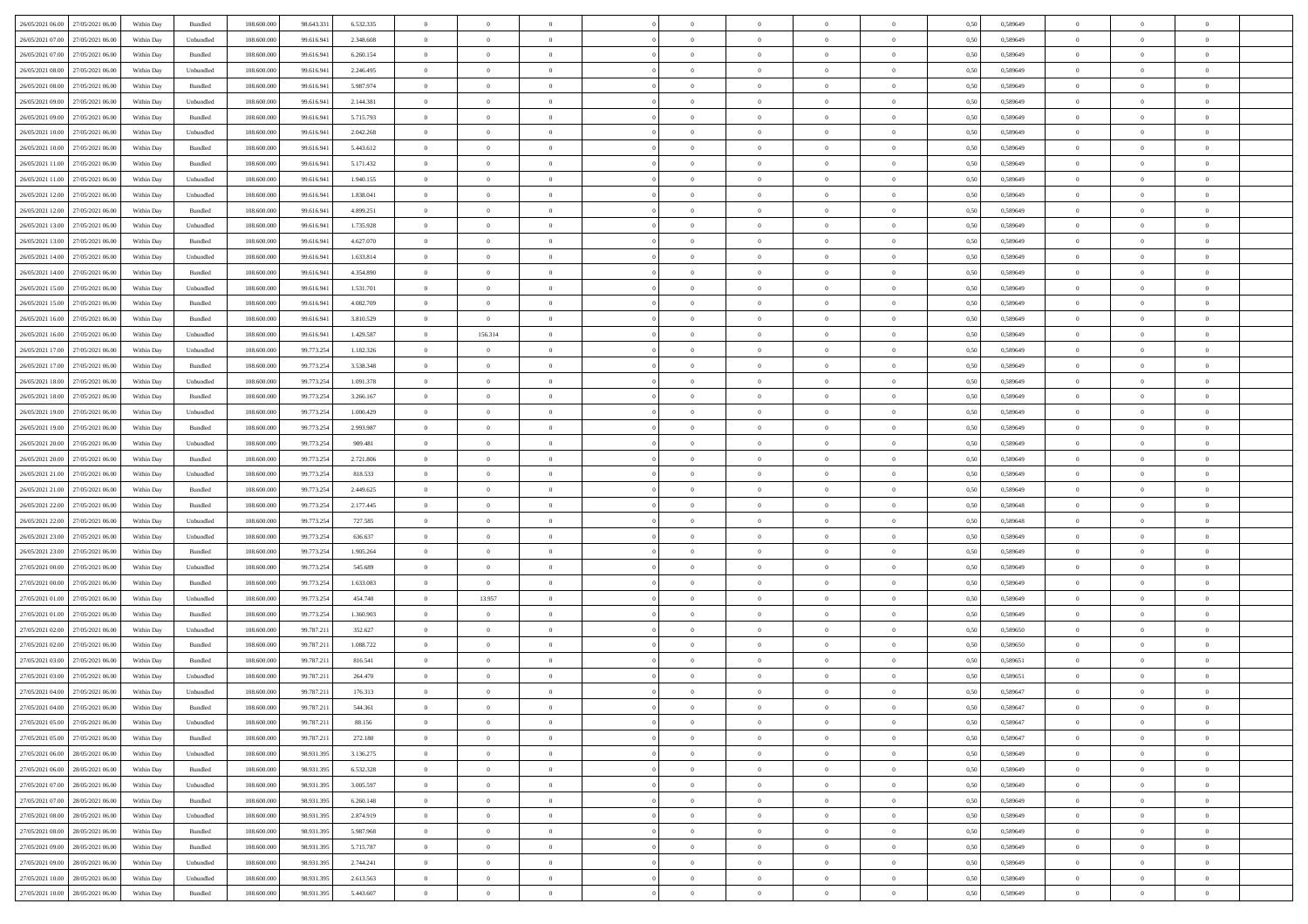| 26/05/2021 06:00 27/05/2021 06:00    | Within Day | Bundled   | 108.600.000 | 98.643.331 | 6.532.335 | $\overline{0}$ | $\theta$       |                | $\overline{0}$ | $\theta$       |                | $\theta$       | 0,50 | 0,589649 | $\theta$       | $\theta$       | $\overline{0}$ |  |
|--------------------------------------|------------|-----------|-------------|------------|-----------|----------------|----------------|----------------|----------------|----------------|----------------|----------------|------|----------|----------------|----------------|----------------|--|
| 26/05/2021 07:00<br>27/05/2021 06.00 | Within Day | Unbundled | 108.600.00  | 99.616.94  | 2.348.608 | $\bf{0}$       | $\bf{0}$       | $\bf{0}$       | $\bf{0}$       | $\overline{0}$ | $\overline{0}$ | $\bf{0}$       | 0,50 | 0,589649 | $\,$ 0 $\,$    | $\bf{0}$       | $\overline{0}$ |  |
| 26/05/2021 07:00<br>27/05/2021 06:00 | Within Day | Bundled   | 108,600,000 | 99.616.941 | 6.260.154 | $\overline{0}$ | $\bf{0}$       | $\overline{0}$ | $\bf{0}$       | $\bf{0}$       | $\overline{0}$ | $\bf{0}$       | 0.50 | 0.589649 | $\bf{0}$       | $\overline{0}$ | $\overline{0}$ |  |
|                                      |            |           |             |            |           | $\overline{0}$ | $\overline{0}$ | $\overline{0}$ | $\theta$       | $\theta$       | $\overline{0}$ |                |      |          | $\theta$       | $\theta$       | $\overline{0}$ |  |
| 26/05/2021 08:00<br>27/05/2021 06:00 | Within Day | Unbundled | 108.600.000 | 99.616.941 | 2.246.495 |                |                |                |                |                |                | $\bf{0}$       | 0,50 | 0,589649 |                |                |                |  |
| 26/05/2021 08:00<br>27/05/2021 06.00 | Within Day | Bundled   | 108.600.00  | 99.616.941 | 5.987.974 | $\bf{0}$       | $\overline{0}$ | $\bf{0}$       | $\overline{0}$ | $\theta$       | $\overline{0}$ | $\bf{0}$       | 0,50 | 0,589649 | $\,$ 0 $\,$    | $\bf{0}$       | $\overline{0}$ |  |
| 26/05/2021 09:00<br>27/05/2021 06:00 | Within Day | Unbundled | 108,600,000 | 99.616.94  | 2.144.381 | $\overline{0}$ | $\overline{0}$ | $\overline{0}$ | $\bf{0}$       | $\overline{0}$ | $\theta$       | $\bf{0}$       | 0.50 | 0.589649 | $\,$ 0 $\,$    | $\theta$       | $\overline{0}$ |  |
| 26/05/2021 09:00<br>27/05/2021 06:00 | Within Day | Bundled   | 108.600.000 | 99.616.941 | 5.715.793 | $\overline{0}$ | $\overline{0}$ | $\overline{0}$ | $\overline{0}$ | $\overline{0}$ | $\overline{0}$ | $\bf{0}$       | 0,50 | 0,589649 | $\theta$       | $\theta$       | $\overline{0}$ |  |
|                                      |            |           |             |            |           |                | $\overline{0}$ |                | $\overline{0}$ | $\overline{0}$ | $\overline{0}$ |                |      |          | $\,$ 0 $\,$    | $\bf{0}$       | $\overline{0}$ |  |
| 26/05/2021 10:00<br>27/05/2021 06.00 | Within Day | Unbundled | 108.600.00  | 99.616.941 | 2.042.268 | $\bf{0}$       |                | $\bf{0}$       |                |                |                | $\bf{0}$       | 0,50 | 0,589649 |                |                |                |  |
| 26/05/2021 10:00<br>27/05/2021 06:00 | Within Day | Bundled   | 108,600,000 | 99.616.94  | 5.443.612 | $\overline{0}$ | $\bf{0}$       | $\overline{0}$ | $\bf{0}$       | $\overline{0}$ | $\overline{0}$ | $\bf{0}$       | 0.50 | 0.589649 | $\bf{0}$       | $\overline{0}$ | $\overline{0}$ |  |
| 26/05/2021 11:00<br>27/05/2021 06:00 | Within Day | Bundled   | 108.600.000 | 99.616.941 | 5.171.432 | $\overline{0}$ | $\bf{0}$       | $\overline{0}$ | $\overline{0}$ | $\overline{0}$ | $\overline{0}$ | $\bf{0}$       | 0,50 | 0,589649 | $\,$ 0 $\,$    | $\bf{0}$       | $\overline{0}$ |  |
| 26/05/2021 11:00<br>27/05/2021 06.00 | Within Day | Unbundled | 108.600.00  | 99.616.941 | 1.940.155 | $\bf{0}$       | $\overline{0}$ | $\bf{0}$       | $\bf{0}$       | $\bf{0}$       | $\overline{0}$ | $\bf{0}$       | 0,50 | 0,589649 | $\,$ 0 $\,$    | $\bf{0}$       | $\overline{0}$ |  |
| 26/05/2021 12:00<br>27/05/2021 06:00 | Within Day | Unbundled | 108,600,000 | 99.616.941 | 1.838.041 | $\overline{0}$ | $\bf{0}$       | $\overline{0}$ | $\overline{0}$ | $\bf{0}$       | $\overline{0}$ | $\bf{0}$       | 0.50 | 0.589649 | $\bf{0}$       | $\overline{0}$ | $\,$ 0         |  |
|                                      |            |           |             |            |           |                |                |                |                |                |                |                |      |          |                |                |                |  |
| 26/05/2021 12:00<br>27/05/2021 06:00 | Within Day | Bundled   | 108.600.000 | 99.616.941 | 4.899.251 | $\overline{0}$ | $\overline{0}$ | $\overline{0}$ | $\theta$       | $\theta$       | $\overline{0}$ | $\bf{0}$       | 0,50 | 0,589649 | $\,$ 0 $\,$    | $\theta$       | $\overline{0}$ |  |
| 26/05/2021 13:00<br>27/05/2021 06.00 | Within Day | Unbundled | 108.600.00  | 99.616.94  | 1.735.928 | $\bf{0}$       | $\overline{0}$ | $\bf{0}$       | $\overline{0}$ | $\theta$       | $\overline{0}$ | $\bf{0}$       | 0,50 | 0,589649 | $\,$ 0 $\,$    | $\bf{0}$       | $\overline{0}$ |  |
| 26/05/2021 13:00<br>27/05/2021 06.00 | Within Day | Bundled   | 108,600,000 | 99.616.941 | 4.627.070 | $\overline{0}$ | $\overline{0}$ | $\overline{0}$ | $\bf{0}$       | $\overline{0}$ | $\theta$       | $\bf{0}$       | 0.50 | 0.589649 | $\theta$       | $\theta$       | $\overline{0}$ |  |
| 26/05/2021 14:00<br>27/05/2021 06:00 | Within Day | Unbundled | 108.600.000 | 99.616.941 | 1.633.814 | $\overline{0}$ | $\overline{0}$ | $\overline{0}$ | $\overline{0}$ | $\overline{0}$ | $\overline{0}$ | $\bf{0}$       | 0,50 | 0,589649 | $\theta$       | $\theta$       | $\overline{0}$ |  |
| 26/05/2021 14:00<br>27/05/2021 06.00 | Within Day | Bundled   | 108.600.00  | 99.616.941 | 4.354.890 | $\bf{0}$       | $\overline{0}$ | $\bf{0}$       | $\overline{0}$ | $\theta$       | $\overline{0}$ | $\bf{0}$       | 0,50 | 0,589649 | $\,$ 0 $\,$    | $\bf{0}$       | $\overline{0}$ |  |
|                                      |            |           |             |            |           |                |                |                |                |                |                |                |      |          |                |                |                |  |
| 26/05/2021 15:00<br>27/05/2021 06:00 | Within Day | Unbundled | 108,600,000 | 99.616.94  | 1.531.701 | $\overline{0}$ | $\bf{0}$       | $\overline{0}$ | $\bf{0}$       | $\overline{0}$ | $\overline{0}$ | $\bf{0}$       | 0.50 | 0.589649 | $\bf{0}$       | $\overline{0}$ | $\overline{0}$ |  |
| 26/05/2021 15:00<br>27/05/2021 06:00 | Within Day | Bundled   | 108.600.000 | 99.616.941 | 4.082.709 | $\overline{0}$ | $\bf{0}$       | $\overline{0}$ | $\overline{0}$ | $\overline{0}$ | $\overline{0}$ | $\bf{0}$       | 0,50 | 0,589649 | $\,$ 0 $\,$    | $\bf{0}$       | $\overline{0}$ |  |
| 26/05/2021 16:00<br>27/05/2021 06.00 | Within Day | Bundled   | 108.600.00  | 99.616.941 | 3.810.529 | $\bf{0}$       | $\bf{0}$       | $\bf{0}$       | $\bf{0}$       | $\overline{0}$ | $\overline{0}$ | $\bf{0}$       | 0,50 | 0,589649 | $\,$ 0 $\,$    | $\bf{0}$       | $\overline{0}$ |  |
| 26/05/2021 16:00<br>27/05/2021 06:00 | Within Day | Unbundled | 108,600,000 | 99.616.941 | 1.429.587 | $\overline{0}$ | 156.314        | $\overline{0}$ | $\overline{0}$ | $\bf{0}$       | $\overline{0}$ | $\bf{0}$       | 0.50 | 0.589649 | $\bf{0}$       | $\overline{0}$ | $\overline{0}$ |  |
| 26/05/2021 17:00<br>27/05/2021 06:00 | Within Day | Unbundled | 108.600.000 | 99.773.254 | 1.182.326 | $\overline{0}$ | $\overline{0}$ | $\overline{0}$ | $\overline{0}$ | $\theta$       | $\overline{0}$ | $\bf{0}$       | 0,50 | 0,589649 | $\theta$       | $\theta$       | $\overline{0}$ |  |
|                                      |            |           |             |            |           |                |                |                |                |                |                |                |      |          |                |                |                |  |
| 26/05/2021 17:00<br>27/05/2021 06.00 | Within Day | Bundled   | 108.600.00  | 99.773.254 | 3.538.348 | $\bf{0}$       | $\overline{0}$ | $\bf{0}$       | $\bf{0}$       | $\bf{0}$       | $\overline{0}$ | $\bf{0}$       | 0,50 | 0,589649 | $\,$ 0 $\,$    | $\bf{0}$       | $\overline{0}$ |  |
| 26/05/2021 18:00<br>27/05/2021 06:00 | Within Day | Unbundled | 108,600,000 | 99.773.254 | 1.091.378 | $\overline{0}$ | $\overline{0}$ | $\overline{0}$ | $\bf{0}$       | $\overline{0}$ | $\theta$       | $\bf{0}$       | 0.50 | 0.589649 | $\,$ 0 $\,$    | $\theta$       | $\overline{0}$ |  |
| 26/05/2021 18:00<br>27/05/2021 06:00 | Within Day | Bundled   | 108.600.000 | 99.773.254 | 3.266.167 | $\overline{0}$ | $\overline{0}$ | $\overline{0}$ | $\overline{0}$ | $\overline{0}$ | $\overline{0}$ | $\bf{0}$       | 0,50 | 0,589649 | $\,$ 0 $\,$    | $\theta$       | $\overline{0}$ |  |
| 26/05/2021 19:00<br>27/05/2021 06.00 | Within Day | Unbundled | 108.600.00  | 99.773.25  | 1.000.429 | $\bf{0}$       | $\overline{0}$ | $\bf{0}$       | $\overline{0}$ | $\bf{0}$       | $\overline{0}$ | $\bf{0}$       | 0,50 | 0,589649 | $\,$ 0 $\,$    | $\bf{0}$       | $\overline{0}$ |  |
| 26/05/2021 19:00<br>27/05/2021 06:00 |            | Bundled   | 108,600,000 | 99.773.254 | 2.993.987 |                | $\bf{0}$       | $\overline{0}$ |                | $\overline{0}$ | $\overline{0}$ |                | 0.50 | 0.589649 | $\bf{0}$       | $\overline{0}$ | $\overline{0}$ |  |
|                                      | Within Day |           |             |            |           | $\overline{0}$ |                |                | $\bf{0}$       |                |                | $\bf{0}$       |      |          |                |                |                |  |
| 26/05/2021 20:00<br>27/05/2021 06:00 | Within Day | Unbundled | 108.600.000 | 99.773.254 | 909.481   | $\overline{0}$ | $\bf{0}$       | $\overline{0}$ | $\overline{0}$ | $\overline{0}$ | $\overline{0}$ | $\bf{0}$       | 0,50 | 0,589649 | $\theta$       | $\theta$       | $\overline{0}$ |  |
| 26/05/2021 20:00<br>27/05/2021 06.00 | Within Day | Bundled   | 108.600.00  | 99.773.254 | 2.721.806 | $\bf{0}$       | $\bf{0}$       | $\bf{0}$       | $\bf{0}$       | $\overline{0}$ | $\overline{0}$ | $\bf{0}$       | 0,50 | 0,589649 | $\,$ 0 $\,$    | $\bf{0}$       | $\overline{0}$ |  |
| 26/05/2021 21:00<br>27/05/2021 06:00 | Within Day | Unbundled | 108,600,000 | 99.773.254 | 818,533   | $\overline{0}$ | $\bf{0}$       | $\overline{0}$ | $\bf{0}$       | $\bf{0}$       | $\overline{0}$ | $\bf{0}$       | 0.50 | 0.589649 | $\bf{0}$       | $\overline{0}$ | $\bf{0}$       |  |
| 26/05/2021 21:00<br>27/05/2021 06:00 | Within Day | Bundled   | 108.600.000 | 99.773.254 | 2.449.625 | $\overline{0}$ | $\overline{0}$ | $\overline{0}$ | $\overline{0}$ | $\overline{0}$ | $\overline{0}$ | $\bf{0}$       | 0.50 | 0.589649 | $\theta$       | $\theta$       | $\overline{0}$ |  |
|                                      |            |           |             |            |           |                |                |                |                | $\,$ 0 $\,$    | $\overline{0}$ |                |      |          |                |                |                |  |
| 26/05/2021 22.00<br>27/05/2021 06.00 | Within Day | Bundled   | 108.600.00  | 99.773.25  | 2.177.445 | $\bf{0}$       | $\overline{0}$ | $\bf{0}$       | $\bf{0}$       |                |                | $\bf{0}$       | 0,50 | 0,589648 | $\,$ 0 $\,$    | $\bf{0}$       | $\overline{0}$ |  |
| 26/05/2021 22:00<br>27/05/2021 06.00 | Within Day | Unbundled | 108,600,000 | 99.773.254 | 727.585   | $\overline{0}$ | $\bf{0}$       | $\overline{0}$ | $\bf{0}$       | $\overline{0}$ | $\Omega$       | $\bf{0}$       | 0.50 | 0.589648 | $\,$ 0 $\,$    | $\theta$       | $\overline{0}$ |  |
| 26/05/2021 23:00<br>27/05/2021 06:00 | Within Dav | Unbundled | 108.600.000 | 99.773.254 | 636.637   | $\overline{0}$ | $\overline{0}$ | $\overline{0}$ | $\overline{0}$ | $\theta$       | $\overline{0}$ | $\bf{0}$       | 0.50 | 0.589649 | $\theta$       | $\theta$       | $\overline{0}$ |  |
| 26/05/2021 23:00<br>27/05/2021 06.00 | Within Day | Bundled   | 108.600.00  | 99.773.254 | 1.905.264 | $\bf{0}$       | $\bf{0}$       | $\bf{0}$       | $\bf{0}$       | $\bf{0}$       | $\overline{0}$ | $\bf{0}$       | 0,50 | 0,589649 | $\,$ 0 $\,$    | $\bf{0}$       | $\overline{0}$ |  |
| 27/05/2021 00:00<br>27/05/2021 06:00 | Within Day | Unbundled | 108,600,000 | 99.773.254 | 545.689   | $\overline{0}$ | $\bf{0}$       | $\overline{0}$ | $\bf{0}$       | $\overline{0}$ | $\overline{0}$ | $\bf{0}$       | 0.50 | 0.589649 | $\bf{0}$       | $\overline{0}$ | $\overline{0}$ |  |
| 27/05/2021 00:00<br>27/05/2021 06:00 | Within Dav | Bundled   | 108.600.000 | 99.773.254 | 1.633.083 | $\overline{0}$ | $\overline{0}$ | $\overline{0}$ | $\overline{0}$ | $\overline{0}$ | $\overline{0}$ | $\bf{0}$       | 0.50 | 0.589649 | $\theta$       | $\theta$       | $\overline{0}$ |  |
|                                      |            |           |             |            |           |                |                |                |                |                |                |                |      |          |                |                |                |  |
| 27/05/2021 01:00<br>27/05/2021 06.00 | Within Day | Unbundled | 108.600.00  | 99.773.254 | 454.740   | $\bf{0}$       | 13.957         | $\bf{0}$       | $\bf{0}$       | $\overline{0}$ | $\overline{0}$ | $\bf{0}$       | 0,50 | 0,589649 | $\,$ 0 $\,$    | $\bf{0}$       | $\overline{0}$ |  |
| 27/05/2021 01:00<br>27/05/2021 06:00 | Within Day | Bundled   | 108,600,000 | 99.773.254 | 1.360.903 | $\overline{0}$ | $\bf{0}$       | $\overline{0}$ | $\overline{0}$ | $\bf{0}$       | $\overline{0}$ | $\bf{0}$       | 0.50 | 0.589649 | $\bf{0}$       | $\overline{0}$ | $\overline{0}$ |  |
| 27/05/2021 02:00<br>27/05/2021 06:00 | Within Dav | Unbundled | 108.600.000 | 99.787.211 | 352.627   | $\overline{0}$ | $\overline{0}$ | $\overline{0}$ | $\overline{0}$ | $\overline{0}$ | $\overline{0}$ | $\bf{0}$       | 0.50 | 0.589650 | $\theta$       | $\theta$       | $\overline{0}$ |  |
| 27/05/2021 02:00<br>27/05/2021 06.00 | Within Day | Bundled   | 108.600.00  | 99.787.21  | 1.088.722 | $\bf{0}$       | $\bf{0}$       | $\bf{0}$       | $\bf{0}$       | $\overline{0}$ | $\overline{0}$ | $\bf{0}$       | 0,50 | 0,589650 | $\,$ 0 $\,$    | $\bf{0}$       | $\overline{0}$ |  |
| 27/05/2021 03:00<br>27/05/2021 06.00 | Within Day | Bundled   | 108,600,000 | 99.787.21  | 816.541   | $\overline{0}$ | $\overline{0}$ | $\overline{0}$ | $\bf{0}$       | $\overline{0}$ | $\Omega$       | $\bf{0}$       | 0.50 | 0.589651 | $\bf{0}$       | $\theta$       | $\overline{0}$ |  |
|                                      |            |           |             |            |           |                |                |                |                |                |                |                |      |          |                |                |                |  |
| 27/05/2021 03:00<br>27/05/2021 06:00 | Within Dav | Unbundled | 108.600.000 | 99.787.211 | 264,470   | $\overline{0}$ | $\overline{0}$ | $\Omega$       | $\overline{0}$ | $\theta$       | $\Omega$       | $\overline{0}$ | 0.5( | 0.589651 | $\theta$       | $\theta$       | $\overline{0}$ |  |
| 27/05/2021 04:00<br>27/05/2021 06:00 | Within Day | Unbundled | 108.600.00  | 99.787.21  | 176.313   | $\bf{0}$       | $\bf{0}$       | $\overline{0}$ | $\bf{0}$       | $\bf{0}$       | $\overline{0}$ | $\bf{0}$       | 0,50 | 0,589647 | $\overline{0}$ | $\overline{0}$ | $\overline{0}$ |  |
| 27/05/2021 04:00 27/05/2021 06:00    | Within Day | Bundled   | 108.600.000 | 99.787.211 | 544.361   | $\overline{0}$ | $\Omega$       |                | $\Omega$       |                |                |                | 0,50 | 0.589647 | $\theta$       | $\overline{0}$ |                |  |
| 27/05/2021 05:00 27/05/2021 06:00    | Within Day | Unbundled | 108.600.000 | 99.787.211 | 88.156    | $\overline{0}$ | $\overline{0}$ | $\Omega$       | $\theta$       | $\overline{0}$ | $\overline{0}$ | $\bf{0}$       | 0,50 | 0,589647 | $\theta$       | $\overline{0}$ | $\overline{0}$ |  |
| 27/05/2021 05:00<br>27/05/2021 06:00 | Within Day | Bundled   | 108.600.00  | 99.787.211 | 272.180   | $\overline{0}$ | $\bf{0}$       | $\overline{0}$ | $\overline{0}$ | $\bf{0}$       | $\overline{0}$ | $\bf{0}$       | 0,50 | 0,589647 | $\bf{0}$       | $\overline{0}$ | $\bf{0}$       |  |
|                                      |            |           |             |            |           |                |                |                |                |                |                |                |      |          |                |                |                |  |
| 27/05/2021 06:00 28/05/2021 06:00    | Within Day | Unbundled | 108,600,000 | 98.931.395 | 3.136.275 | $\overline{0}$ | $\bf{0}$       | $\overline{0}$ | $\overline{0}$ | $\mathbf{0}$   | $\overline{0}$ | $\,$ 0 $\,$    | 0.50 | 0.589649 | $\overline{0}$ | $\bf{0}$       | $\,$ 0 $\,$    |  |
| 27/05/2021 06:00 28/05/2021 06:00    | Within Dav | Bundled   | 108.600.000 | 98.931.395 | 6.532.328 | $\overline{0}$ | $\overline{0}$ | $\overline{0}$ | $\overline{0}$ | $\overline{0}$ | $\overline{0}$ | $\bf{0}$       | 0,50 | 0.589649 | $\overline{0}$ | $\theta$       | $\overline{0}$ |  |
| 27/05/2021 07:00<br>28/05/2021 06:00 | Within Day | Unbundled | 108.600.000 | 98.931.395 | 3.005.597 | $\overline{0}$ | $\bf{0}$       | $\overline{0}$ | $\overline{0}$ | $\bf{0}$       | $\overline{0}$ | $\bf{0}$       | 0,50 | 0,589649 | $\bf{0}$       | $\overline{0}$ | $\overline{0}$ |  |
| 27/05/2021 07:00<br>28/05/2021 06:00 | Within Day | Bundled   | 108,600,000 | 98.931.395 | 6.260.148 | $\overline{0}$ | $\bf{0}$       | $\overline{0}$ | $\overline{0}$ | $\bf{0}$       | $\overline{0}$ | $\bf{0}$       | 0.50 | 0.589649 | $\,$ 0 $\,$    | $\overline{0}$ | $\,$ 0         |  |
| 27/05/2021 08:00<br>28/05/2021 06:00 | Within Dav | Unbundled | 108.600.000 | 98.931.395 | 2.874.919 | $\overline{0}$ | $\overline{0}$ | $\overline{0}$ | $\overline{0}$ | $\overline{0}$ | $\overline{0}$ | $\bf{0}$       | 0,50 | 0.589649 | $\overline{0}$ | $\theta$       | $\overline{0}$ |  |
|                                      |            |           |             |            |           |                |                |                |                |                |                |                |      |          |                |                |                |  |
| 27/05/2021 08:00<br>28/05/2021 06:00 | Within Day | Bundled   | 108.600.00  | 98.931.395 | 5.987.968 | $\overline{0}$ | $\overline{0}$ | $\overline{0}$ | $\overline{0}$ | $\overline{0}$ | $\overline{0}$ | $\bf{0}$       | 0,50 | 0,589649 | $\bf{0}$       | $\overline{0}$ | $\,$ 0         |  |
| 27/05/2021 09:00 28/05/2021 06:00    | Within Day | Bundled   | 108,600,000 | 98.931.395 | 5.715.787 | $\overline{0}$ | $\overline{0}$ | $\overline{0}$ | $\overline{0}$ | $\overline{0}$ | $\overline{0}$ | $\bf{0}$       | 0.50 | 0.589649 | $\mathbf{0}$   | $\bf{0}$       | $\,$ 0         |  |
| 27/05/2021 09:00 28/05/2021 06:00    | Within Dav | Unbundled | 108.600.000 | 98.931.395 | 2.744.241 | $\overline{0}$ | $\overline{0}$ | $\overline{0}$ | $\overline{0}$ | $\overline{0}$ | $\overline{0}$ | $\bf{0}$       | 0,50 | 0.589649 | $\overline{0}$ | $\theta$       | $\overline{0}$ |  |
| 27/05/2021 10:00<br>28/05/2021 06:00 | Within Day | Unbundled | 108.600.00  | 98.931.39  | 2.613.563 | $\overline{0}$ | $\bf{0}$       | $\overline{0}$ | $\bf{0}$       | $\overline{0}$ | $\overline{0}$ | $\bf{0}$       | 0,50 | 0,589649 | $\bf{0}$       | $\,$ 0 $\,$    | $\bf{0}$       |  |
|                                      |            |           |             |            |           |                |                |                |                |                |                |                |      |          |                |                |                |  |
| 27/05/2021 10:00 28/05/2021 06:00    | Within Day | Bundled   | 108.600.000 | 98.931.395 | 5.443.607 | $\overline{0}$ | $\bf{0}$       | $\overline{0}$ | $\overline{0}$ | $\,$ 0 $\,$    | $\overline{0}$ | $\,$ 0 $\,$    | 0,50 | 0,589649 | $\overline{0}$ | $\,$ 0 $\,$    | $\,$ 0 $\,$    |  |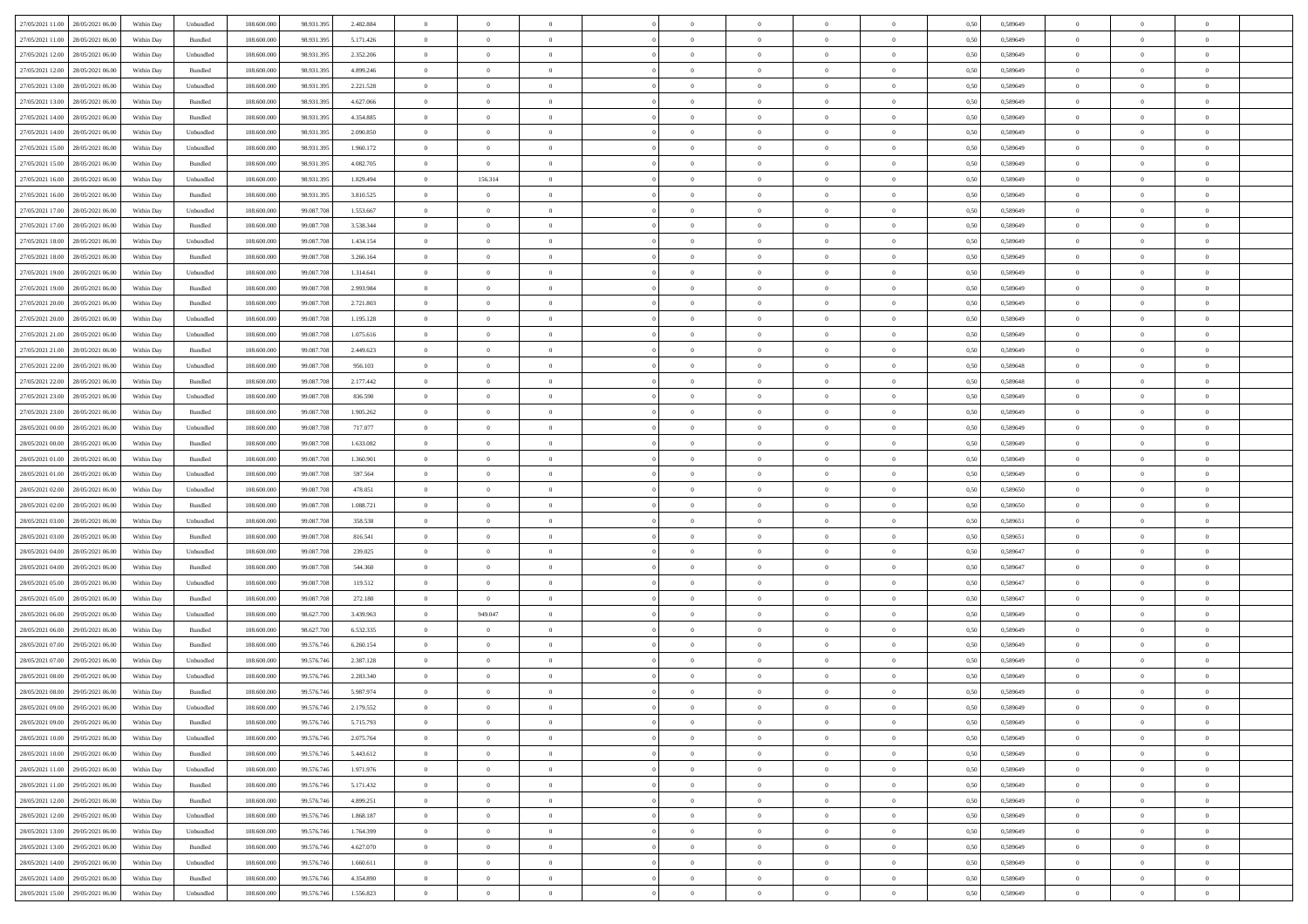| 27/05/2021 11:00 28/05/2021 06:00    | Within Day | Unbundled                   | 108.600.000 | 98.931.395 | 2.482.884 | $\overline{0}$ | $\overline{0}$ |                | $\overline{0}$ | $\theta$       |                | $\theta$       | 0,50 | 0,589649 | $\theta$       | $\theta$       | $\overline{0}$ |  |
|--------------------------------------|------------|-----------------------------|-------------|------------|-----------|----------------|----------------|----------------|----------------|----------------|----------------|----------------|------|----------|----------------|----------------|----------------|--|
| 27/05/2021 11:00<br>28/05/2021 06:00 | Within Day | Bundled                     | 108.600.00  | 98.931.39  | 5.171.426 | $\bf{0}$       | $\bf{0}$       | $\bf{0}$       | $\bf{0}$       | $\overline{0}$ | $\overline{0}$ | $\bf{0}$       | 0,50 | 0,589649 | $\,$ 0 $\,$    | $\bf{0}$       | $\overline{0}$ |  |
| 27/05/2021 12:00<br>28/05/2021 06:00 | Within Day | Unbundled                   | 108,600,000 | 98.931.395 | 2.352.206 | $\overline{0}$ | $\bf{0}$       | $\overline{0}$ | $\bf{0}$       | $\bf{0}$       | $\overline{0}$ | $\bf{0}$       | 0.50 | 0.589649 | $\bf{0}$       | $\overline{0}$ | $\overline{0}$ |  |
| 27/05/2021 12:00<br>28/05/2021 06:00 |            |                             | 108.600.000 |            |           | $\overline{0}$ | $\overline{0}$ | $\overline{0}$ | $\overline{0}$ | $\theta$       | $\overline{0}$ |                |      |          | $\,$ 0 $\,$    | $\theta$       | $\overline{0}$ |  |
|                                      | Within Day | Bundled                     |             | 98.931.395 | 4.899.246 |                |                |                |                |                |                | $\bf{0}$       | 0,50 | 0,589649 |                |                |                |  |
| 27/05/2021 13:00<br>28/05/2021 06:00 | Within Day | Unbundled                   | 108.600.00  | 98.931.39  | 2.221.528 | $\bf{0}$       | $\overline{0}$ | $\bf{0}$       | $\overline{0}$ | $\theta$       | $\overline{0}$ | $\bf{0}$       | 0,50 | 0,589649 | $\,$ 0 $\,$    | $\bf{0}$       | $\overline{0}$ |  |
| 27/05/2021 13:00<br>28/05/2021 06:00 | Within Day | Bundled                     | 108,600,000 | 98.931.39  | 4.627.066 | $\overline{0}$ | $\overline{0}$ | $\overline{0}$ | $\bf{0}$       | $\overline{0}$ | $\theta$       | $\bf{0}$       | 0.50 | 0.589649 | $\,$ 0 $\,$    | $\theta$       | $\overline{0}$ |  |
| 27/05/2021 14:00<br>28/05/2021 06:00 | Within Day | Bundled                     | 108.600.000 | 98.931.395 | 4.354.885 | $\overline{0}$ | $\overline{0}$ | $\overline{0}$ | $\overline{0}$ | $\overline{0}$ | $\overline{0}$ | $\bf{0}$       | 0,50 | 0,589649 | $\,$ 0 $\,$    | $\theta$       | $\overline{0}$ |  |
|                                      |            |                             |             |            |           |                |                |                |                |                |                |                |      |          |                |                |                |  |
| 27/05/2021 14:00<br>28/05/2021 06:00 | Within Day | Unbundled                   | 108.600.00  | 98.931.39  | 2.090.850 | $\bf{0}$       | $\bf{0}$       | $\bf{0}$       | $\overline{0}$ | $\overline{0}$ | $\overline{0}$ | $\bf{0}$       | 0,50 | 0,589649 | $\,$ 0 $\,$    | $\bf{0}$       | $\overline{0}$ |  |
| 27/05/2021 15:00<br>28/05/2021 06:00 | Within Day | Unbundled                   | 108,600,000 | 98.931.39  | 1.960.172 | $\overline{0}$ | $\bf{0}$       | $\overline{0}$ | $\bf{0}$       | $\overline{0}$ | $\overline{0}$ | $\bf{0}$       | 0.50 | 0.589649 | $\bf{0}$       | $\overline{0}$ | $\overline{0}$ |  |
| 27/05/2021 15:00<br>28/05/2021 06:00 | Within Day | Bundled                     | 108.600.000 | 98.931.395 | 4.082.705 | $\bf{0}$       | $\bf{0}$       | $\overline{0}$ | $\overline{0}$ | $\overline{0}$ | $\overline{0}$ | $\bf{0}$       | 0,50 | 0,589649 | $\,$ 0 $\,$    | $\,$ 0 $\,$    | $\overline{0}$ |  |
| 27/05/2021 16:00<br>28/05/2021 06:00 | Within Day | Unbundled                   | 108.600.00  | 98.931.39  | 1.829.494 | $\bf{0}$       | 156.314        | $\bf{0}$       | $\bf{0}$       | $\bf{0}$       | $\overline{0}$ | $\bf{0}$       | 0,50 | 0,589649 | $\,$ 0 $\,$    | $\bf{0}$       | $\overline{0}$ |  |
|                                      |            |                             |             |            |           |                |                |                |                |                |                |                |      |          |                |                |                |  |
| 27/05/2021 16:00<br>28/05/2021 06:00 | Within Day | Bundled                     | 108,600,000 | 98.931.395 | 3.810.525 | $\overline{0}$ | $\bf{0}$       | $\overline{0}$ | $\overline{0}$ | $\bf{0}$       | $\overline{0}$ | $\bf{0}$       | 0.50 | 0.589649 | $\bf{0}$       | $\,$ 0 $\,$    | $\,$ 0         |  |
| 27/05/2021 17:00<br>28/05/2021 06:00 | Within Day | Unbundled                   | 108.600.000 | 99.087.708 | 1.553.667 | $\overline{0}$ | $\overline{0}$ | $\overline{0}$ | $\theta$       | $\theta$       | $\overline{0}$ | $\bf{0}$       | 0,50 | 0,589649 | $\,$ 0 $\,$    | $\theta$       | $\overline{0}$ |  |
| 27/05/2021 17:00<br>28/05/2021 06:00 | Within Day | Bundled                     | 108.600.00  | 99.087.70  | 3.538.344 | $\bf{0}$       | $\overline{0}$ | $\bf{0}$       | $\overline{0}$ | $\bf{0}$       | $\overline{0}$ | $\bf{0}$       | 0,50 | 0,589649 | $\,$ 0 $\,$    | $\bf{0}$       | $\overline{0}$ |  |
|                                      |            |                             |             |            |           |                |                |                |                |                | $\theta$       |                |      |          |                |                |                |  |
| 27/05/2021 18:00<br>28/05/2021 06:00 | Within Day | Unbundled                   | 108,600,000 | 99.087.708 | 1.434.154 | $\overline{0}$ | $\bf{0}$       | $\overline{0}$ | $\bf{0}$       | $\overline{0}$ |                | $\bf{0}$       | 0.50 | 0.589649 | $\,$ 0 $\,$    | $\theta$       | $\overline{0}$ |  |
| 27/05/2021 18:00<br>28/05/2021 06:00 | Within Day | Bundled                     | 108.600.000 | 99.087.708 | 3.266.164 | $\overline{0}$ | $\overline{0}$ | $\overline{0}$ | $\overline{0}$ | $\overline{0}$ | $\overline{0}$ | $\bf{0}$       | 0,50 | 0,589649 | $\theta$       | $\theta$       | $\overline{0}$ |  |
| 27/05/2021 19:00<br>28/05/2021 06:00 | Within Day | Unbundled                   | 108.600.00  | 99.087.70  | 1.314.641 | $\bf{0}$       | $\bf{0}$       | $\bf{0}$       | $\overline{0}$ | $\bf{0}$       | $\overline{0}$ | $\bf{0}$       | 0,50 | 0,589649 | $\,$ 0 $\,$    | $\bf{0}$       | $\overline{0}$ |  |
| 27/05/2021 19:00<br>28/05/2021 06:00 | Within Day | Bundled                     | 108,600,000 | 99,087,708 | 2.993.984 | $\overline{0}$ | $\bf{0}$       | $\overline{0}$ | $\bf{0}$       | $\overline{0}$ | $\overline{0}$ | $\bf{0}$       | 0.50 | 0.589649 | $\bf{0}$       | $\overline{0}$ | $\overline{0}$ |  |
| 27/05/2021 20:00<br>28/05/2021 06:00 |            |                             | 108.600.000 |            |           | $\bf{0}$       | $\bf{0}$       | $\overline{0}$ | $\overline{0}$ | $\overline{0}$ | $\overline{0}$ |                |      |          | $\,$ 0 $\,$    | $\bf{0}$       | $\overline{0}$ |  |
|                                      | Within Day | Bundled                     |             | 99.087.708 | 2.721.803 |                |                |                |                |                |                | $\bf{0}$       | 0,50 | 0,589649 |                |                |                |  |
| 27/05/2021 20:00<br>28/05/2021 06:00 | Within Day | Unbundled                   | 108.600.00  | 99.087.70  | 1.195.128 | $\bf{0}$       | $\bf{0}$       | $\bf{0}$       | $\bf{0}$       | $\overline{0}$ | $\overline{0}$ | $\bf{0}$       | 0,50 | 0,589649 | $\,$ 0 $\,$    | $\bf{0}$       | $\overline{0}$ |  |
| 27/05/2021 21:00<br>28/05/2021 06:00 | Within Day | Unbundled                   | 108,600,000 | 99.087.708 | 1.075.616 | $\overline{0}$ | $\bf{0}$       | $\overline{0}$ | $\overline{0}$ | $\bf{0}$       | $\overline{0}$ | $\bf{0}$       | 0.50 | 0.589649 | $\bf{0}$       | $\overline{0}$ | $\overline{0}$ |  |
| 27/05/2021 21:00<br>28/05/2021 06:00 | Within Day | Bundled                     | 108.600.000 | 99.087.708 | 2.449.623 | $\overline{0}$ | $\overline{0}$ | $\overline{0}$ | $\overline{0}$ | $\theta$       | $\overline{0}$ | $\bf{0}$       | 0,50 | 0,589649 | $\theta$       | $\theta$       | $\overline{0}$ |  |
| 27/05/2021 22:00<br>28/05/2021 06:00 | Within Day | Unbundled                   | 108.600.00  | 99.087.70  | 956.103   | $\bf{0}$       | $\bf{0}$       | $\bf{0}$       | $\bf{0}$       | $\overline{0}$ | $\overline{0}$ | $\bf{0}$       | 0,50 | 0,589648 | $\,$ 0 $\,$    | $\bf{0}$       | $\overline{0}$ |  |
|                                      |            |                             |             |            |           |                |                |                |                |                |                |                |      |          |                |                |                |  |
| 27/05/2021 22:00<br>28/05/2021 06:00 | Within Day | Bundled                     | 108,600,000 | 99.087.708 | 2.177.442 | $\overline{0}$ | $\bf{0}$       | $\overline{0}$ | $\bf{0}$       | $\overline{0}$ | $\theta$       | $\bf{0}$       | 0.50 | 0.589648 | $\,$ 0 $\,$    | $\theta$       | $\overline{0}$ |  |
| 27/05/2021 23:00<br>28/05/2021 06:00 | Within Day | Unbundled                   | 108.600.000 | 99.087.708 | 836.590   | $\overline{0}$ | $\overline{0}$ | $\overline{0}$ | $\overline{0}$ | $\overline{0}$ | $\overline{0}$ | $\bf{0}$       | 0,50 | 0,589649 | $\,$ 0 $\,$    | $\theta$       | $\overline{0}$ |  |
| 27/05/2021 23:00<br>28/05/2021 06:00 | Within Day | Bundled                     | 108.600.00  | 99.087.70  | 1.905.262 | $\bf{0}$       | $\overline{0}$ | $\bf{0}$       | $\overline{0}$ | $\bf{0}$       | $\overline{0}$ | $\bf{0}$       | 0,50 | 0,589649 | $\,$ 0 $\,$    | $\bf{0}$       | $\overline{0}$ |  |
| 28/05/2021 00:00<br>28/05/2021 06:00 | Within Day | Unbundled                   | 108,600,000 | 99,087,708 | 717.077   | $\overline{0}$ | $\bf{0}$       | $\overline{0}$ | $\bf{0}$       | $\overline{0}$ | $\overline{0}$ | $\bf{0}$       | 0.50 | 0.589649 | $\bf{0}$       | $\overline{0}$ | $\overline{0}$ |  |
|                                      |            |                             |             |            |           |                |                |                |                |                |                |                |      |          |                |                |                |  |
| 28/05/2021 00:00<br>28/05/2021 06:00 | Within Day | Bundled                     | 108.600.000 | 99.087.708 | 1.633.082 | $\overline{0}$ | $\bf{0}$       | $\overline{0}$ | $\overline{0}$ | $\overline{0}$ | $\overline{0}$ | $\bf{0}$       | 0,50 | 0,589649 | $\theta$       | $\theta$       | $\overline{0}$ |  |
| 28/05/2021 01:00<br>28/05/2021 06:00 | Within Day | Bundled                     | 108.600.00  | 99.087.70  | 1.360.901 | $\bf{0}$       | $\bf{0}$       | $\bf{0}$       | $\bf{0}$       | $\overline{0}$ | $\overline{0}$ | $\bf{0}$       | 0,50 | 0,589649 | $\,$ 0 $\,$    | $\bf{0}$       | $\overline{0}$ |  |
| 28/05/2021 01:00<br>28/05/2021 06:00 | Within Day | Unbundled                   | 108,600,000 | 99.087.708 | 597.564   | $\overline{0}$ | $\bf{0}$       | $\overline{0}$ | $\overline{0}$ | $\bf{0}$       | $\overline{0}$ | $\bf{0}$       | 0.50 | 0.589649 | $\bf{0}$       | $\,$ 0 $\,$    | $\overline{0}$ |  |
| 28/05/2021 02:00<br>28/05/2021 06:00 | Within Day | Unbundled                   | 108.600.000 | 99,087,708 | 478,051   | $\overline{0}$ | $\overline{0}$ | $\overline{0}$ | $\overline{0}$ | $\overline{0}$ | $\overline{0}$ | $\bf{0}$       | 0.50 | 0.589650 | $\theta$       | $\theta$       | $\overline{0}$ |  |
|                                      |            |                             |             |            |           |                |                |                |                |                |                |                |      |          |                |                |                |  |
| 28/05/2021 02:00<br>28/05/2021 06:00 | Within Day | Bundled                     | 108.600.00  | 99.087.70  | 1.088.721 | $\bf{0}$       | $\bf{0}$       | $\bf{0}$       | $\bf{0}$       | $\,$ 0 $\,$    | $\overline{0}$ | $\bf{0}$       | 0,50 | 0,589650 | $\,$ 0 $\,$    | $\bf{0}$       | $\overline{0}$ |  |
| 28/05/2021 03:00<br>28/05/2021 06:00 | Within Day | Unbundled                   | 108,600,000 | 99.087.708 | 358,538   | $\overline{0}$ | $\bf{0}$       | $\overline{0}$ | $\bf{0}$       | $\overline{0}$ | $\overline{0}$ | $\bf{0}$       | 0.50 | 0.589651 | $\,$ 0 $\,$    | $\bf{0}$       | $\overline{0}$ |  |
| 28/05/2021 03:00<br>28/05/2021 06:00 | Within Dav | Bundled                     | 108.600.000 | 99.087.708 | 816,541   | $\overline{0}$ | $\overline{0}$ | $\overline{0}$ | $\overline{0}$ | $\theta$       | $\overline{0}$ | $\bf{0}$       | 0.50 | 0.589651 | $\theta$       | $\theta$       | $\overline{0}$ |  |
| 28/05/2021 04:00<br>28/05/2021 06:00 | Within Day | Unbundled                   | 108.600.00  | 99.087.70  | 239.025   | $\bf{0}$       | $\bf{0}$       | $\bf{0}$       | $\bf{0}$       | $\bf{0}$       | $\overline{0}$ | $\bf{0}$       | 0,50 | 0,589647 | $\,$ 0 $\,$    | $\bf{0}$       | $\overline{0}$ |  |
|                                      |            |                             |             |            |           |                |                |                |                |                |                |                |      |          |                |                |                |  |
| 28/05/2021 04:00<br>28/05/2021 06:00 | Within Day | Bundled                     | 108,600,000 | 99,087,708 | 544,360   | $\overline{0}$ | $\bf{0}$       | $\overline{0}$ | $\bf{0}$       | $\overline{0}$ | $\overline{0}$ | $\bf{0}$       | 0.50 | 0.589647 | $\bf{0}$       | $\overline{0}$ | $\overline{0}$ |  |
| 28/05/2021 05:00<br>28/05/2021 06:00 | Within Dav | Unbundled                   | 108.600.000 | 99.087.708 | 119.512   | $\overline{0}$ | $\overline{0}$ | $\overline{0}$ | $\overline{0}$ | $\overline{0}$ | $\overline{0}$ | $\bf{0}$       | 0.50 | 0.589647 | $\theta$       | $\theta$       | $\overline{0}$ |  |
| 28/05/2021 05:00<br>28/05/2021 06:00 | Within Day | Bundled                     | 108.600.00  | 99.087.708 | 272.180   | $\bf{0}$       | $\bf{0}$       | $\bf{0}$       | $\bf{0}$       | $\overline{0}$ | $\overline{0}$ | $\bf{0}$       | 0,50 | 0,589647 | $\,$ 0 $\,$    | $\bf{0}$       | $\overline{0}$ |  |
| 28/05/2021 06:00<br>29/05/2021 06.00 | Within Day | Unbundled                   | 108,600,000 | 98.627.700 | 3.439.963 | $\overline{0}$ | 949.047        | $\overline{0}$ | $\overline{0}$ | $\bf{0}$       | $\overline{0}$ | $\bf{0}$       | 0.50 | 0.589649 | $\bf{0}$       | $\overline{0}$ | $\overline{0}$ |  |
|                                      |            |                             |             |            |           |                |                |                |                |                |                |                |      |          |                |                |                |  |
| 28/05/2021 06:00<br>29/05/2021 06:00 | Within Dav | Bundled                     | 108.600.000 | 98.627.700 | 6.532.335 | $\overline{0}$ | $\overline{0}$ | $\overline{0}$ | $\overline{0}$ | $\overline{0}$ | $\overline{0}$ | $\bf{0}$       | 0.50 | 0.589649 | $\theta$       | $\theta$       | $\overline{0}$ |  |
| 28/05/2021 07:00<br>29/05/2021 06.00 | Within Day | Bundled                     | 108.600.00  | 99.576.74  | 6.260.154 | $\bf{0}$       | $\bf{0}$       | $\bf{0}$       | $\bf{0}$       | $\overline{0}$ | $\overline{0}$ | $\bf{0}$       | 0,50 | 0,589649 | $\,$ 0 $\,$    | $\bf{0}$       | $\overline{0}$ |  |
| 28/05/2021 07:00<br>29/05/2021 06.00 | Within Day | Unbundled                   | 108,600,000 | 99.576.746 | 2.387.128 | $\overline{0}$ | $\overline{0}$ | $\overline{0}$ | $\bf{0}$       | $\bf{0}$       | $\Omega$       | $\bf{0}$       | 0.50 | 0.589649 | $\bf{0}$       | $\theta$       | $\overline{0}$ |  |
| 28/05/2021 08:00<br>29/05/2021 06:00 | Within Dav | Unbundled                   | 108.600.000 | 99.576.746 | 2.283.340 | $\overline{0}$ | $\overline{0}$ | $\Omega$       | $\theta$       | $\theta$       | $\overline{0}$ | $\overline{0}$ | 0.50 | 0.589649 | $\theta$       | $\theta$       | $\overline{0}$ |  |
|                                      |            |                             |             |            |           | $\bf{0}$       | $\bf{0}$       | $\bf{0}$       | $\bf{0}$       | $\bf{0}$       | $\overline{0}$ |                |      |          | $\,$ 0 $\,$    | $\overline{0}$ | $\overline{0}$ |  |
| 28/05/2021 08:00<br>29/05/2021 06.00 | Within Day | Bundled                     | 108.600.00  | 99.576.746 | 5.987.974 |                |                |                |                |                |                | $\bf{0}$       | 0,50 | 0,589649 |                |                |                |  |
| 28/05/2021 09:00 29/05/2021 06:00    | Within Day | $\ensuremath{\mathsf{Unb}}$ | 108.600.000 | 99.576.746 | 2.179.552 | $\bf{0}$       | $\theta$       |                | $\overline{0}$ |                |                |                | 0,50 | 0.589649 | $\theta$       | $\overline{0}$ |                |  |
| 28/05/2021 09:00 29/05/2021 06:00    | Within Day | Bundled                     | 108.600.000 | 99.576.746 | 5.715.793 | $\overline{0}$ | $\overline{0}$ | $\Omega$       | $\theta$       | $\overline{0}$ | $\overline{0}$ | $\bf{0}$       | 0,50 | 0,589649 | $\theta$       | $\theta$       | $\overline{0}$ |  |
| 28/05/2021 10:00<br>29/05/2021 06.00 | Within Day | Unbundled                   | 108.600.00  | 99.576.746 | 2.075.764 | $\overline{0}$ | $\bf{0}$       | $\overline{0}$ | $\overline{0}$ | $\bf{0}$       | $\overline{0}$ | $\bf{0}$       | 0,50 | 0,589649 | $\bf{0}$       | $\overline{0}$ | $\bf{0}$       |  |
|                                      |            |                             | 108,600,000 | 99.576.746 |           |                |                |                |                |                | $\overline{0}$ |                | 0.50 | 0.589649 | $\overline{0}$ |                |                |  |
| 28/05/2021 10:00 29/05/2021 06:00    | Within Day | Bundled                     |             |            | 5.443.612 | $\overline{0}$ | $\bf{0}$       | $\overline{0}$ | $\overline{0}$ | $\mathbf{0}$   |                | $\,$ 0 $\,$    |      |          |                | $\bf{0}$       | $\,$ 0 $\,$    |  |
| 28/05/2021 11:00 29/05/2021 06:00    | Within Dav | Unbundled                   | 108.600.000 | 99.576.746 | 1.971.976 | $\overline{0}$ | $\overline{0}$ | $\overline{0}$ | $\overline{0}$ | $\overline{0}$ | $\overline{0}$ | $\bf{0}$       | 0,50 | 0.589649 | $\theta$       | $\theta$       | $\overline{0}$ |  |
| 28/05/2021 11:00<br>29/05/2021 06:00 | Within Day | Bundled                     | 108.600.000 | 99.576.746 | 5.171.432 | $\overline{0}$ | $\bf{0}$       | $\overline{0}$ | $\overline{0}$ | $\bf{0}$       | $\overline{0}$ | $\bf{0}$       | 0,50 | 0,589649 | $\bf{0}$       | $\overline{0}$ | $\overline{0}$ |  |
| 28/05/2021 12:00<br>29/05/2021 06:00 | Within Day | Bundled                     | 108,600,000 | 99.576.746 | 4.899.251 | $\overline{0}$ | $\bf{0}$       | $\overline{0}$ | $\overline{0}$ | $\overline{0}$ | $\overline{0}$ | $\bf{0}$       | 0.50 | 0.589649 | $\,$ 0 $\,$    | $\overline{0}$ | $\,$ 0         |  |
| 28/05/2021 12:00<br>29/05/2021 06:00 | Within Dav | Unbundled                   | 108.600.000 | 99.576.746 | 1.868.187 | $\overline{0}$ | $\overline{0}$ | $\overline{0}$ | $\overline{0}$ | $\overline{0}$ | $\overline{0}$ | $\bf{0}$       | 0,50 | 0.589649 | $\overline{0}$ | $\theta$       | $\overline{0}$ |  |
|                                      |            |                             |             |            |           |                |                |                |                |                |                |                |      |          |                |                |                |  |
| 28/05/2021 13:00<br>29/05/2021 06.00 | Within Day | Unbundled                   | 108.600.00  | 99.576.746 | 1.764.399 | $\overline{0}$ | $\overline{0}$ | $\overline{0}$ | $\overline{0}$ | $\overline{0}$ | $\overline{0}$ | $\bf{0}$       | 0,50 | 0,589649 | $\bf{0}$       | $\overline{0}$ | $\,$ 0         |  |
| 28/05/2021 13:00<br>29/05/2021 06:00 | Within Day | Bundled                     | 108,600,000 | 99.576.746 | 4.627.070 | $\overline{0}$ | $\overline{0}$ | $\overline{0}$ | $\overline{0}$ | $\overline{0}$ | $\overline{0}$ | $\bf{0}$       | 0.50 | 0.589649 | $\mathbf{0}$   | $\bf{0}$       | $\,$ 0         |  |
| 28/05/2021 14:00<br>29/05/2021 06:00 | Within Dav | Unbundled                   | 108.600.000 | 99.576.746 | 1.660.611 | $\overline{0}$ | $\overline{0}$ | $\overline{0}$ | $\overline{0}$ | $\overline{0}$ | $\overline{0}$ | $\bf{0}$       | 0,50 | 0.589649 | $\overline{0}$ | $\theta$       | $\overline{0}$ |  |
| 28/05/2021 14:00<br>29/05/2021 06.00 | Within Day | Bundled                     | 108.600.00  | 99.576.746 | 4.354.890 | $\overline{0}$ | $\bf{0}$       | $\overline{0}$ | $\bf{0}$       | $\overline{0}$ | $\overline{0}$ | $\bf{0}$       | 0,50 | 0,589649 | $\bf{0}$       | $\,0\,$        | $\bf{0}$       |  |
|                                      |            |                             |             |            |           |                |                |                |                |                |                |                |      |          |                |                |                |  |
| 28/05/2021 15:00 29/05/2021 06:00    | Within Day | Unbundled                   | 108.600.000 | 99.576.746 | 1.556.823 | $\,$ 0 $\,$    | $\bf{0}$       | $\overline{0}$ | $\overline{0}$ | $\,$ 0 $\,$    | $\overline{0}$ | $\bf{0}$       | 0,50 | 0,589649 | $\overline{0}$ | $\,$ 0 $\,$    | $\,$ 0 $\,$    |  |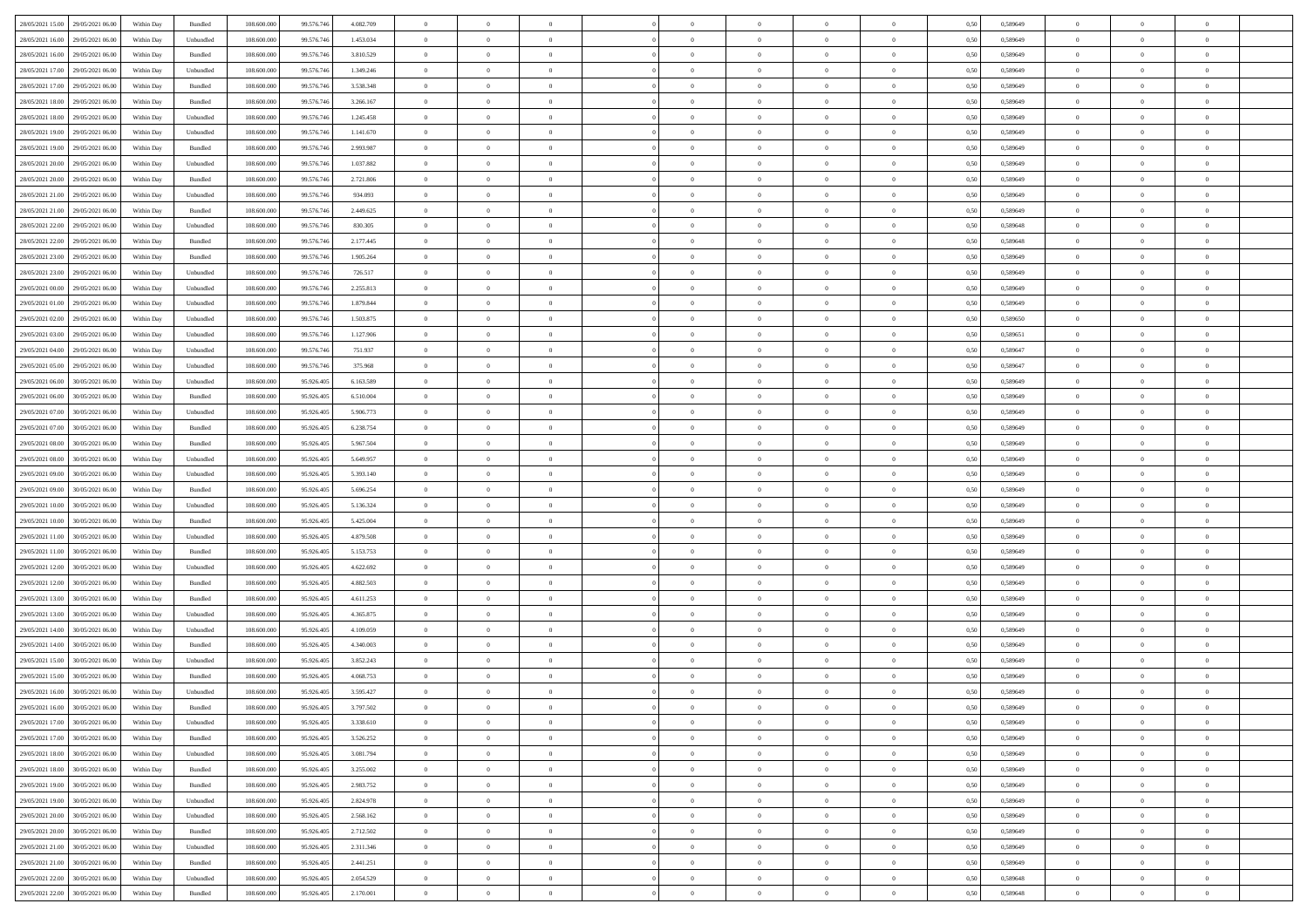| 28/05/2021 15:00 29/05/2021 06:00    | Within Day | Bundled   | 108.600.000 | 99.576.746 | 4.082.709 | $\overline{0}$ | $\theta$       |                | $\overline{0}$ | $\theta$       |                | $\theta$       | 0,50 | 0,589649 | $\theta$       | $\theta$       | $\overline{0}$ |  |
|--------------------------------------|------------|-----------|-------------|------------|-----------|----------------|----------------|----------------|----------------|----------------|----------------|----------------|------|----------|----------------|----------------|----------------|--|
| 28/05/2021 16:00<br>29/05/2021 06.00 | Within Day | Unbundled | 108.600.00  | 99.576.74  | 1.453.034 | $\bf{0}$       | $\overline{0}$ | $\bf{0}$       | $\overline{0}$ | $\overline{0}$ | $\overline{0}$ | $\bf{0}$       | 0,50 | 0,589649 | $\,$ 0 $\,$    | $\bf{0}$       | $\overline{0}$ |  |
| 28/05/2021 16:00<br>29/05/2021 06:00 | Within Day | Bundled   | 108,600,000 | 99.576.746 | 3.810.529 | $\overline{0}$ | $\bf{0}$       | $\overline{0}$ | $\bf{0}$       | $\bf{0}$       | $\overline{0}$ | $\bf{0}$       | 0.50 | 0.589649 | $\bf{0}$       | $\overline{0}$ | $\overline{0}$ |  |
| 28/05/2021 17:00<br>29/05/2021 06:00 |            |           | 108.600.000 | 99.576.746 |           | $\overline{0}$ | $\overline{0}$ | $\overline{0}$ | $\theta$       | $\theta$       | $\overline{0}$ |                |      |          | $\theta$       | $\theta$       | $\overline{0}$ |  |
|                                      | Within Day | Unbundled |             |            | 1.349.246 |                |                |                |                |                |                | $\bf{0}$       | 0,50 | 0,589649 |                |                |                |  |
| 28/05/2021 17:00<br>29/05/2021 06.00 | Within Day | Bundled   | 108.600.00  | 99.576.74  | 3.538.348 | $\bf{0}$       | $\overline{0}$ | $\bf{0}$       | $\overline{0}$ | $\theta$       | $\overline{0}$ | $\bf{0}$       | 0,50 | 0,589649 | $\,$ 0 $\,$    | $\bf{0}$       | $\overline{0}$ |  |
| 28/05/2021 18:00<br>29/05/2021 06.00 | Within Day | Bundled   | 108,600,000 | 99.576.746 | 3.266.167 | $\overline{0}$ | $\overline{0}$ | $\overline{0}$ | $\bf{0}$       | $\overline{0}$ | $\theta$       | $\bf{0}$       | 0.50 | 0.589649 | $\bf{0}$       | $\theta$       | $\overline{0}$ |  |
| 28/05/2021 18:00<br>29/05/2021 06:00 | Within Day | Unbundled | 108.600.000 | 99.576.746 | 1.245.458 | $\overline{0}$ | $\overline{0}$ | $\overline{0}$ | $\overline{0}$ | $\overline{0}$ | $\overline{0}$ | $\bf{0}$       | 0,50 | 0,589649 | $\theta$       | $\theta$       | $\overline{0}$ |  |
|                                      |            |           |             |            |           |                |                |                |                |                |                |                |      |          |                |                |                |  |
| 28/05/2021 19:00<br>29/05/2021 06.00 | Within Day | Unbundled | 108.600.00  | 99.576.74  | 1.141.670 | $\overline{0}$ | $\overline{0}$ | $\overline{0}$ | $\overline{0}$ | $\overline{0}$ | $\overline{0}$ | $\bf{0}$       | 0,50 | 0,589649 | $\,$ 0 $\,$    | $\bf{0}$       | $\overline{0}$ |  |
| 28/05/2021 19:00<br>29/05/2021 06:00 | Within Day | Bundled   | 108,600,000 | 99.576.746 | 2.993.987 | $\overline{0}$ | $\bf{0}$       | $\overline{0}$ | $\bf{0}$       | $\overline{0}$ | $\overline{0}$ | $\bf{0}$       | 0.50 | 0.589649 | $\bf{0}$       | $\overline{0}$ | $\overline{0}$ |  |
| 28/05/2021 20:00<br>29/05/2021 06:00 | Within Day | Unbundled | 108.600.000 | 99.576.746 | 1.037.882 | $\overline{0}$ | $\bf{0}$       | $\overline{0}$ | $\overline{0}$ | $\overline{0}$ | $\overline{0}$ | $\bf{0}$       | 0,50 | 0,589649 | $\,$ 0 $\,$    | $\theta$       | $\overline{0}$ |  |
| 28/05/2021 20:00<br>29/05/2021 06.00 | Within Day | Bundled   | 108.600.00  | 99.576.74  | 2.721.806 | $\bf{0}$       | $\overline{0}$ | $\bf{0}$       | $\overline{0}$ | $\bf{0}$       | $\overline{0}$ | $\bf{0}$       | 0,50 | 0,589649 | $\,$ 0 $\,$    | $\bf{0}$       | $\overline{0}$ |  |
|                                      |            |           |             |            |           |                |                |                |                |                |                |                |      |          |                |                |                |  |
| 28/05/2021 21:00<br>29/05/2021 06:00 | Within Day | Unbundled | 108,600,000 | 99.576.746 | 934.093   | $\overline{0}$ | $\bf{0}$       | $\overline{0}$ | $\bf{0}$       | $\bf{0}$       | $\overline{0}$ | $\bf{0}$       | 0.50 | 0.589649 | $\bf{0}$       | $\overline{0}$ | $\bf{0}$       |  |
| 28/05/2021 21:00<br>29/05/2021 06:00 | Within Day | Bundled   | 108.600.000 | 99.576.746 | 2.449.625 | $\overline{0}$ | $\overline{0}$ | $\overline{0}$ | $\theta$       | $\theta$       | $\overline{0}$ | $\bf{0}$       | 0,50 | 0,589649 | $\theta$       | $\theta$       | $\overline{0}$ |  |
| 28/05/2021 22:00<br>29/05/2021 06.00 | Within Day | Unbundled | 108.600.00  | 99.576.74  | 830.305   | $\bf{0}$       | $\overline{0}$ | $\bf{0}$       | $\overline{0}$ | $\theta$       | $\overline{0}$ | $\bf{0}$       | 0,50 | 0,589648 | $\,$ 0 $\,$    | $\bf{0}$       | $\overline{0}$ |  |
| 28/05/2021 22:00<br>29/05/2021 06:00 | Within Day | Bundled   | 108,600,000 | 99.576.746 | 2.177.445 | $\overline{0}$ | $\overline{0}$ | $\overline{0}$ | $\bf{0}$       | $\overline{0}$ | $\Omega$       | $\bf{0}$       | 0.50 | 0.589648 | $\theta$       | $\theta$       | $\overline{0}$ |  |
| 28/05/2021 23:00<br>29/05/2021 06:00 | Within Day | Bundled   | 108.600.000 | 99.576.746 | 1.905.264 | $\overline{0}$ | $\overline{0}$ | $\overline{0}$ | $\overline{0}$ | $\overline{0}$ | $\overline{0}$ | $\bf{0}$       | 0,50 | 0,589649 | $\theta$       | $\theta$       | $\overline{0}$ |  |
|                                      |            |           |             |            |           |                |                |                |                |                |                |                |      |          |                |                |                |  |
| 28/05/2021 23:00<br>29/05/2021 06.00 | Within Day | Unbundled | 108.600.00  | 99.576.74  | 726.517   | $\bf{0}$       | $\overline{0}$ | $\bf{0}$       | $\overline{0}$ | $\theta$       | $\overline{0}$ | $\bf{0}$       | 0,50 | 0,589649 | $\,$ 0 $\,$    | $\bf{0}$       | $\overline{0}$ |  |
| 29/05/2021 00:00<br>29/05/2021 06:00 | Within Day | Unbundled | 108,600,000 | 99.576.746 | 2.255.813 | $\overline{0}$ | $\bf{0}$       | $\overline{0}$ | $\bf{0}$       | $\overline{0}$ | $\overline{0}$ | $\bf{0}$       | 0.50 | 0.589649 | $\bf{0}$       | $\overline{0}$ | $\overline{0}$ |  |
| 29/05/2021 01:00<br>29/05/2021 06:00 | Within Day | Unbundled | 108.600.000 | 99.576.746 | 1.879.844 | $\overline{0}$ | $\overline{0}$ | $\overline{0}$ | $\overline{0}$ | $\overline{0}$ | $\overline{0}$ | $\bf{0}$       | 0,50 | 0,589649 | $\,$ 0 $\,$    | $\theta$       | $\overline{0}$ |  |
| 29/05/2021 02:00<br>29/05/2021 06.00 | Within Day | Unbundled | 108.600.00  | 99.576.74  | 1.503.875 | $\bf{0}$       | $\bf{0}$       | $\bf{0}$       | $\bf{0}$       | $\overline{0}$ | $\overline{0}$ | $\bf{0}$       | 0,50 | 0,589650 | $\,$ 0 $\,$    | $\bf{0}$       | $\overline{0}$ |  |
|                                      |            |           |             |            |           |                |                |                |                |                |                |                |      |          |                |                |                |  |
| 29/05/2021 03:00<br>29/05/2021 06:00 | Within Day | Unbundled | 108,600,000 | 99.576.746 | 1.127.906 | $\overline{0}$ | $\bf{0}$       | $\overline{0}$ | $\bf{0}$       | $\bf{0}$       | $\overline{0}$ | $\bf{0}$       | 0.50 | 0.589651 | $\bf{0}$       | $\overline{0}$ | $\overline{0}$ |  |
| 29/05/2021 04:00<br>29/05/2021 06:00 | Within Day | Unbundled | 108.600.000 | 99.576.746 | 751.937   | $\overline{0}$ | $\overline{0}$ | $\overline{0}$ | $\theta$       | $\theta$       | $\overline{0}$ | $\bf{0}$       | 0,50 | 0,589647 | $\theta$       | $\theta$       | $\overline{0}$ |  |
| 29/05/2021 05:00<br>29/05/2021 06.00 | Within Day | Unbundled | 108.600.00  | 99.576.74  | 375.968   | $\bf{0}$       | $\overline{0}$ | $\bf{0}$       | $\overline{0}$ | $\theta$       | $\overline{0}$ | $\bf{0}$       | 0,50 | 0,589647 | $\,$ 0 $\,$    | $\bf{0}$       | $\overline{0}$ |  |
| 29/05/2021 06:00<br>30/05/2021 06:00 | Within Day | Unbundled | 108,600,000 | 95.926.40  | 6.163.589 | $\overline{0}$ | $\overline{0}$ | $\overline{0}$ | $\overline{0}$ | $\overline{0}$ | $\Omega$       | $\bf{0}$       | 0.50 | 0.589649 | $\bf{0}$       | $\theta$       | $\overline{0}$ |  |
| 29/05/2021 06:00<br>30/05/2021 06:00 | Within Day | Bundled   | 108.600.000 | 95.926.405 | 6.510.004 | $\overline{0}$ | $\overline{0}$ | $\overline{0}$ | $\overline{0}$ | $\theta$       | $\overline{0}$ | $\bf{0}$       | 0,50 | 0,589649 | $\theta$       | $\theta$       | $\overline{0}$ |  |
|                                      |            |           |             |            |           |                |                |                |                |                |                |                |      |          |                |                |                |  |
| 29/05/2021 07:00<br>30/05/2021 06.00 | Within Day | Unbundled | 108.600.00  | 95.926.40  | 5.906.773 | $\bf{0}$       | $\overline{0}$ | $\bf{0}$       | $\overline{0}$ | $\theta$       | $\overline{0}$ | $\bf{0}$       | 0,50 | 0,589649 | $\,$ 0 $\,$    | $\bf{0}$       | $\overline{0}$ |  |
| 29/05/2021 07:00<br>30/05/2021 06:00 | Within Day | Bundled   | 108,600,000 | 95.926.40  | 6.238.754 | $\overline{0}$ | $\bf{0}$       | $\overline{0}$ | $\bf{0}$       | $\overline{0}$ | $\overline{0}$ | $\bf{0}$       | 0.50 | 0.589649 | $\bf{0}$       | $\overline{0}$ | $\overline{0}$ |  |
| 29/05/2021 08:00<br>30/05/2021 06:00 | Within Day | Bundled   | 108.600.000 | 95.926.405 | 5.967.504 | $\overline{0}$ | $\overline{0}$ | $\overline{0}$ | $\overline{0}$ | $\overline{0}$ | $\overline{0}$ | $\bf{0}$       | 0,50 | 0,589649 | $\theta$       | $\theta$       | $\overline{0}$ |  |
| 29/05/2021 08:00<br>30/05/2021 06.00 | Within Day | Unbundled | 108.600.00  | 95.926.405 | 5.649.957 | $\bf{0}$       | $\bf{0}$       | $\bf{0}$       | $\bf{0}$       | $\overline{0}$ | $\overline{0}$ | $\bf{0}$       | 0,50 | 0,589649 | $\,$ 0 $\,$    | $\bf{0}$       | $\overline{0}$ |  |
|                                      |            |           |             |            |           |                |                |                |                |                |                |                |      |          |                |                |                |  |
| 29/05/2021 09:00<br>30/05/2021 06:00 | Within Day | Unbundled | 108,600,000 | 95.926.405 | 5.393.140 | $\overline{0}$ | $\bf{0}$       | $\overline{0}$ | $\bf{0}$       | $\bf{0}$       | $\overline{0}$ | $\bf{0}$       | 0.50 | 0.589649 | $\bf{0}$       | $\overline{0}$ | $\bf{0}$       |  |
| 29/05/2021 09:00<br>30/05/2021 06:00 | Within Day | Bundled   | 108.600.000 | 95.926.40  | 5.696.254 | $\overline{0}$ | $\overline{0}$ | $\overline{0}$ | $\overline{0}$ | $\overline{0}$ | $\overline{0}$ | $\bf{0}$       | 0.50 | 0.589649 | $\theta$       | $\theta$       | $\overline{0}$ |  |
| 29/05/2021 10:00<br>30/05/2021 06.00 | Within Day | Unbundled | 108.600.00  | 95.926.405 | 5.136.324 | $\bf{0}$       | $\overline{0}$ | $\bf{0}$       | $\overline{0}$ | $\overline{0}$ | $\overline{0}$ | $\bf{0}$       | 0,50 | 0,589649 | $\,$ 0 $\,$    | $\bf{0}$       | $\overline{0}$ |  |
| 29/05/2021 10:00<br>30/05/2021 06:00 | Within Day | Bundled   | 108,600,000 | 95.926.405 | 5.425.004 | $\overline{0}$ | $\bf{0}$       | $\overline{0}$ | $\bf{0}$       | $\overline{0}$ | $\Omega$       | $\bf{0}$       | 0.50 | 0.589649 | $\,$ 0 $\,$    | $\theta$       | $\overline{0}$ |  |
| 29/05/2021 11:00<br>30/05/2021 06:00 | Within Dav | Unbundled | 108.600.000 | 95.926.405 | 4.879.508 | $\overline{0}$ | $\overline{0}$ | $\overline{0}$ | $\overline{0}$ | $\overline{0}$ | $\overline{0}$ | $\bf{0}$       | 0.50 | 0.589649 | $\theta$       | $\theta$       | $\overline{0}$ |  |
|                                      |            |           |             |            |           |                |                |                |                |                |                |                |      |          |                |                |                |  |
| 29/05/2021 11:00<br>30/05/2021 06.00 | Within Day | Bundled   | 108.600.00  | 95.926.405 | 5.153.753 | $\bf{0}$       | $\bf{0}$       | $\bf{0}$       | $\overline{0}$ | $\bf{0}$       | $\overline{0}$ | $\bf{0}$       | 0,50 | 0,589649 | $\,$ 0 $\,$    | $\bf{0}$       | $\overline{0}$ |  |
| 29/05/2021 12:00<br>30/05/2021 06:00 | Within Day | Unbundled | 108,600,000 | 95.926.40  | 4.622.692 | $\overline{0}$ | $\bf{0}$       | $\overline{0}$ | $\bf{0}$       | $\overline{0}$ | $\overline{0}$ | $\bf{0}$       | 0.50 | 0.589649 | $\bf{0}$       | $\overline{0}$ | $\overline{0}$ |  |
| 29/05/2021 12:00<br>30/05/2021 06:00 | Within Dav | Bundled   | 108.600.000 | 95.926.405 | 4.882.503 | $\overline{0}$ | $\overline{0}$ | $\overline{0}$ | $\overline{0}$ | $\overline{0}$ | $\overline{0}$ | $\overline{0}$ | 0.50 | 0.589649 | $\theta$       | $\theta$       | $\overline{0}$ |  |
| 29/05/2021 13:00<br>30/05/2021 06.00 | Within Day | Bundled   | 108.600.00  | 95.926.405 | 4.611.253 | $\bf{0}$       | $\bf{0}$       | $\bf{0}$       | $\bf{0}$       | $\overline{0}$ | $\overline{0}$ | $\bf{0}$       | 0,50 | 0,589649 | $\,$ 0 $\,$    | $\bf{0}$       | $\overline{0}$ |  |
| 30/05/2021 06:00                     |            |           | 108,600,000 |            | 4.365.875 |                |                | $\overline{0}$ |                |                | $\overline{0}$ |                | 0.50 | 0.589649 |                |                |                |  |
| 29/05/2021 13:00                     | Within Day | Unbundled |             | 95.926.405 |           | $\overline{0}$ | $\bf{0}$       |                | $\bf{0}$       | $\bf{0}$       |                | $\bf{0}$       |      |          | $\bf{0}$       | $\overline{0}$ | $\overline{0}$ |  |
| 29/05/2021 14:00<br>30/05/2021 06:00 | Within Dav | Unbundled | 108.600.000 | 95.926.405 | 4.109.059 | $\overline{0}$ | $\overline{0}$ | $\overline{0}$ | $\overline{0}$ | $\theta$       | $\overline{0}$ | $\bf{0}$       | 0.50 | 0.589649 | $\theta$       | $\theta$       | $\overline{0}$ |  |
| 29/05/2021 14:00<br>30/05/2021 06.00 | Within Day | Bundled   | 108.600.00  | 95.926.405 | 4.340.003 | $\bf{0}$       | $\overline{0}$ | $\bf{0}$       | $\bf{0}$       | $\overline{0}$ | $\overline{0}$ | $\bf{0}$       | 0,50 | 0,589649 | $\,$ 0 $\,$    | $\bf{0}$       | $\overline{0}$ |  |
| 29/05/2021 15:00<br>30/05/2021 06:00 | Within Day | Unbundled | 108,600,000 | 95.926.40  | 3.852.243 | $\overline{0}$ | $\overline{0}$ | $\overline{0}$ | $\overline{0}$ | $\bf{0}$       | $\Omega$       | $\bf{0}$       | 0.50 | 0.589649 | $\,$ 0 $\,$    | $\theta$       | $\overline{0}$ |  |
| 29/05/2021 15:00<br>30/05/2021 06:00 | Within Dav | Bundled   | 108.600.000 | 95.926.40  | 4.068.753 | $\overline{0}$ | $\overline{0}$ | $\Omega$       | $\overline{0}$ | $\theta$       | $\Omega$       | $\overline{0}$ | 0.5( | 0.589649 | $\theta$       | $\theta$       | $\overline{0}$ |  |
|                                      |            |           |             |            |           | $\bf{0}$       | $\,$ 0 $\,$    | $\overline{0}$ | $\bf{0}$       | $\bf{0}$       | $\overline{0}$ |                |      |          | $\,$ 0 $\,$    | $\bf{0}$       | $\overline{0}$ |  |
| 29/05/2021 16:00<br>30/05/2021 06:00 | Within Day | Unbundled | 108.600.00  | 95.926.405 | 3.595.427 |                |                |                |                |                |                | $\bf{0}$       | 0,50 | 0,589649 |                |                |                |  |
| 29/05/2021 16:00 30/05/2021 06:00    | Within Day | Bundled   | 108.600.000 | 95.926.405 | 3.797.502 | $\bf{0}$       |                |                | $\Omega$       |                |                |                | 0,50 | 0.589649 | $\theta$       | $\overline{0}$ |                |  |
| 29/05/2021 17:00 30/05/2021 06:00    | Within Day | Unbundled | 108.600.000 | 95.926.405 | 3.338.610 | $\overline{0}$ | $\overline{0}$ | $\Omega$       | $\theta$       | $\overline{0}$ | $\overline{0}$ | $\bf{0}$       | 0,50 | 0,589649 | $\theta$       | $\overline{0}$ | $\overline{0}$ |  |
| 29/05/2021 17:00<br>30/05/2021 06:00 | Within Day | Bundled   | 108.600.00  | 95.926.405 | 3.526.252 | $\overline{0}$ | $\bf{0}$       | $\overline{0}$ | $\overline{0}$ | $\bf{0}$       | $\overline{0}$ | $\bf{0}$       | 0,50 | 0,589649 | $\bf{0}$       | $\overline{0}$ | $\bf{0}$       |  |
| 29/05/2021 18:00<br>30/05/2021 06:00 | Within Day | Unbundled | 108,600,000 | 95.926.405 | 3.081.794 | $\overline{0}$ | $\bf{0}$       | $\overline{0}$ | $\overline{0}$ | $\mathbf{0}$   | $\overline{0}$ | $\,$ 0 $\,$    | 0.50 | 0.589649 | $\overline{0}$ | $\bf{0}$       | $\,$ 0 $\,$    |  |
|                                      |            |           |             |            |           |                |                |                |                |                |                |                |      |          |                |                |                |  |
| 29/05/2021 18:00<br>30/05/2021 06:00 | Within Dav | Bundled   | 108.600.000 | 95.926.405 | 3.255.002 | $\overline{0}$ | $\overline{0}$ | $\overline{0}$ | $\overline{0}$ | $\overline{0}$ | $\overline{0}$ | $\bf{0}$       | 0,50 | 0.589649 | $\theta$       | $\theta$       | $\overline{0}$ |  |
| 29/05/2021 19:00<br>30/05/2021 06:00 | Within Day | Bundled   | 108.600.000 | 95.926.405 | 2.983.752 | $\overline{0}$ | $\bf{0}$       | $\overline{0}$ | $\overline{0}$ | $\overline{0}$ | $\overline{0}$ | $\bf{0}$       | 0,50 | 0,589649 | $\bf{0}$       | $\overline{0}$ | $\overline{0}$ |  |
| 30/05/2021 06:00<br>29/05/2021 19:00 | Within Day | Unbundled | 108,600,000 | 95.926.405 | 2.824.978 | $\overline{0}$ | $\bf{0}$       | $\overline{0}$ | $\overline{0}$ | $\overline{0}$ | $\overline{0}$ | $\bf{0}$       | 0.50 | 0.589649 | $\,$ 0 $\,$    | $\overline{0}$ | $\,$ 0         |  |
| 29/05/2021 20:00<br>30/05/2021 06:00 | Within Dav | Unbundled | 108.600.000 | 95.926.405 | 2.568.162 | $\overline{0}$ | $\overline{0}$ | $\overline{0}$ | $\overline{0}$ | $\overline{0}$ | $\overline{0}$ | $\bf{0}$       | 0,50 | 0.589649 | $\overline{0}$ | $\theta$       | $\overline{0}$ |  |
|                                      |            |           |             |            |           |                |                |                |                |                |                |                |      |          |                |                |                |  |
| 29/05/2021 20:00<br>30/05/2021 06:00 | Within Day | Bundled   | 108.600.00  | 95.926.405 | 2.712.502 | $\overline{0}$ | $\overline{0}$ | $\overline{0}$ | $\overline{0}$ | $\overline{0}$ | $\overline{0}$ | $\bf{0}$       | 0,50 | 0,589649 | $\bf{0}$       | $\overline{0}$ | $\,$ 0         |  |
| 30/05/2021 06:00<br>29/05/2021 21:00 | Within Day | Unbundled | 108,600,000 | 95.926.405 | 2.311.346 | $\overline{0}$ | $\overline{0}$ | $\overline{0}$ | $\overline{0}$ | $\overline{0}$ | $\overline{0}$ | $\bf{0}$       | 0.50 | 0.589649 | $\mathbf{0}$   | $\bf{0}$       | $\,$ 0         |  |
| 29/05/2021 21:00<br>30/05/2021 06:00 | Within Dav | Bundled   | 108.600.000 | 95.926.405 | 2.441.251 | $\overline{0}$ | $\overline{0}$ | $\overline{0}$ | $\overline{0}$ | $\overline{0}$ | $\overline{0}$ | $\bf{0}$       | 0,50 | 0.589649 | $\overline{0}$ | $\theta$       | $\overline{0}$ |  |
| 29/05/2021 22:00<br>30/05/2021 06:00 | Within Day | Unbundled | 108.600.00  | 95.926.405 | 2.054.529 | $\overline{0}$ | $\bf{0}$       | $\overline{0}$ | $\bf{0}$       | $\overline{0}$ | $\bf{0}$       | $\bf{0}$       | 0,50 | 0,589648 | $\bf{0}$       | $\,$ 0 $\,$    | $\bf{0}$       |  |
|                                      |            |           |             |            |           |                |                |                |                |                |                |                |      |          |                |                |                |  |
| 29/05/2021 22:00 30/05/2021 06:00    | Within Day | Bundled   | 108.600.000 | 95.926.405 | 2.170.001 | $\overline{0}$ | $\bf{0}$       | $\overline{0}$ | $\overline{0}$ | $\,$ 0 $\,$    | $\overline{0}$ | $\bf{0}$       | 0,50 | 0,589648 | $\overline{0}$ | $\,$ 0 $\,$    | $\,$ 0 $\,$    |  |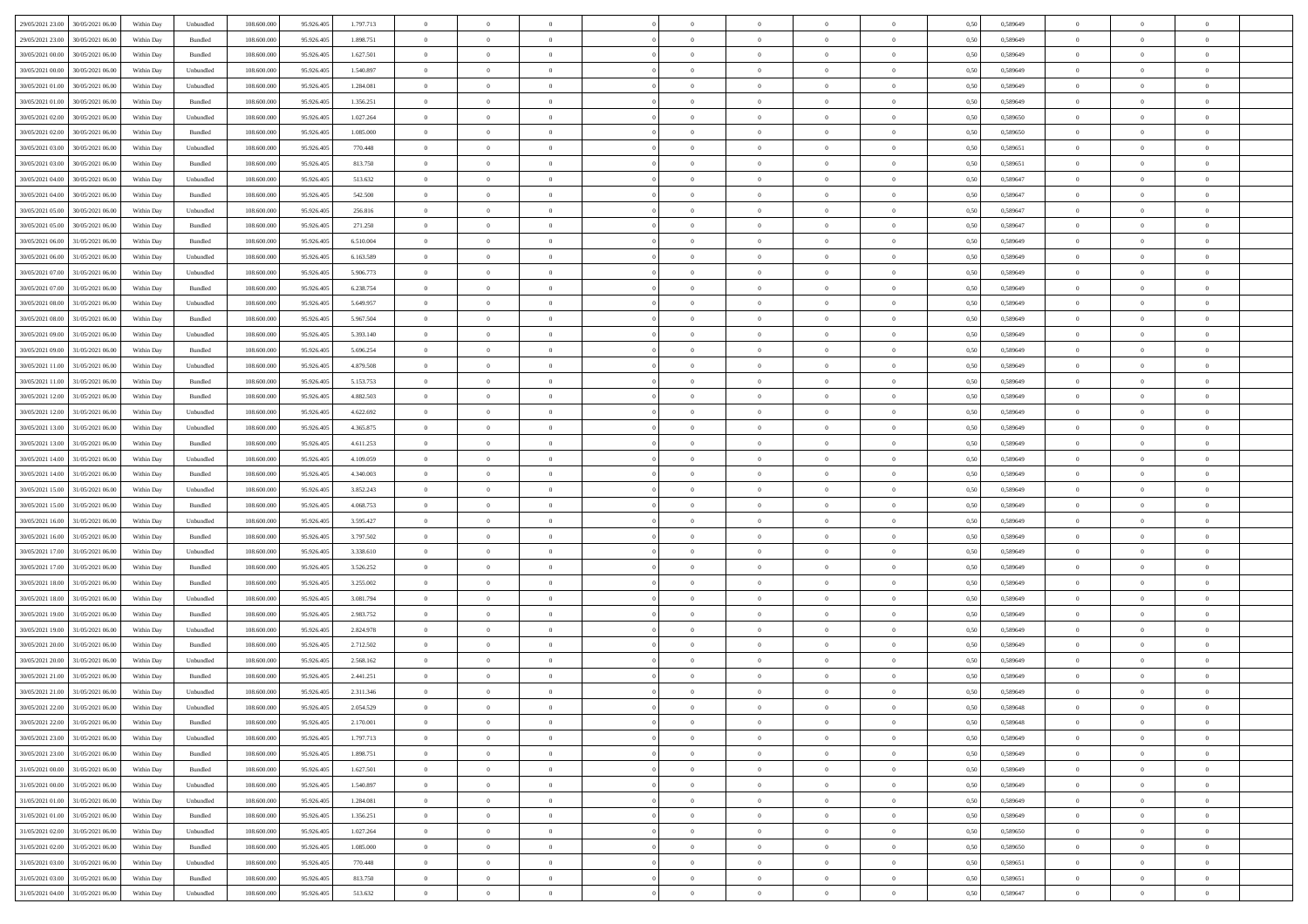| 29/05/2021 23:00<br>30/05/2021 06:00             | Within Day | Unbundled                   | 108.600.000 | 95.926.405 | 1.797.713 | $\overline{0}$ | $\theta$       |                | $\overline{0}$ | $\theta$       |                | $\theta$       | 0,50 | 0,589649 | $\theta$       | $\theta$       | $\theta$       |  |
|--------------------------------------------------|------------|-----------------------------|-------------|------------|-----------|----------------|----------------|----------------|----------------|----------------|----------------|----------------|------|----------|----------------|----------------|----------------|--|
| 29/05/2021 23:00<br>30/05/2021 06.00             | Within Day | Bundled                     | 108.600.00  | 95.926.40  | 1.898.751 | $\bf{0}$       | $\bf{0}$       | $\bf{0}$       | $\overline{0}$ | $\overline{0}$ | $\overline{0}$ | $\bf{0}$       | 0,50 | 0,589649 | $\,$ 0 $\,$    | $\bf{0}$       | $\overline{0}$ |  |
| 30/05/2021 00:00<br>30/05/2021 06:00             | Within Day | Bundled                     | 108,600,000 | 95.926.405 | 1.627.501 | $\overline{0}$ | $\bf{0}$       | $\overline{0}$ | $\bf{0}$       | $\bf{0}$       | $\overline{0}$ | $\bf{0}$       | 0.50 | 0.589649 | $\bf{0}$       | $\overline{0}$ | $\overline{0}$ |  |
| 30/05/2021 00:00<br>30/05/2021 06:00             |            |                             | 108.600.000 |            |           | $\overline{0}$ | $\overline{0}$ | $\overline{0}$ | $\theta$       | $\theta$       | $\overline{0}$ |                |      |          | $\theta$       | $\theta$       | $\overline{0}$ |  |
|                                                  | Within Day | Unbundled                   |             | 95.926.405 | 1.540.897 |                |                |                |                |                |                | $\bf{0}$       | 0,50 | 0,589649 |                |                |                |  |
| 30/05/2021 01:00<br>30/05/2021 06.00             | Within Day | Unbundled                   | 108.600.00  | 95.926.405 | 1.284.081 | $\bf{0}$       | $\overline{0}$ | $\bf{0}$       | $\overline{0}$ | $\theta$       | $\overline{0}$ | $\bf{0}$       | 0,50 | 0,589649 | $\,$ 0 $\,$    | $\bf{0}$       | $\overline{0}$ |  |
| 30/05/2021 01:00<br>30/05/2021 06:00             | Within Day | Bundled                     | 108,600,000 | 95.926.40  | 1.356.251 | $\overline{0}$ | $\overline{0}$ | $\overline{0}$ | $\bf{0}$       | $\overline{0}$ | $\theta$       | $\bf{0}$       | 0.50 | 0.589649 | $\bf{0}$       | $\theta$       | $\overline{0}$ |  |
| 30/05/2021 02:00<br>30/05/2021 06:00             | Within Day | Unbundled                   | 108.600.000 | 95.926.405 | 1.027.264 | $\overline{0}$ | $\overline{0}$ | $\overline{0}$ | $\overline{0}$ | $\overline{0}$ | $\overline{0}$ | $\bf{0}$       | 0,50 | 0,589650 | $\theta$       | $\theta$       | $\overline{0}$ |  |
|                                                  |            |                             |             |            |           |                |                |                |                |                |                |                |      |          |                |                |                |  |
| 30/05/2021 02:00<br>30/05/2021 06.00             | Within Day | Bundled                     | 108.600.00  | 95.926.40  | 1.085.000 | $\overline{0}$ | $\overline{0}$ | $\bf{0}$       | $\overline{0}$ | $\overline{0}$ | $\overline{0}$ | $\bf{0}$       | 0,50 | 0,589650 | $\,$ 0 $\,$    | $\bf{0}$       | $\overline{0}$ |  |
| 30/05/2021 03:00<br>30/05/2021 06:00             | Within Day | Unbundled                   | 108,600,000 | 95.926.40  | 770,448   | $\overline{0}$ | $\bf{0}$       | $\overline{0}$ | $\bf{0}$       | $\overline{0}$ | $\overline{0}$ | $\bf{0}$       | 0.50 | 0.589651 | $\bf{0}$       | $\overline{0}$ | $\overline{0}$ |  |
| 30/05/2021 03:00<br>30/05/2021 06:00             | Within Day | Bundled                     | 108.600.000 | 95.926.405 | 813.750   | $\overline{0}$ | $\bf{0}$       | $\overline{0}$ | $\overline{0}$ | $\overline{0}$ | $\overline{0}$ | $\bf{0}$       | 0,50 | 0,589651 | $\,$ 0 $\,$    | $\bf{0}$       | $\overline{0}$ |  |
| 30/05/2021 04:00<br>30/05/2021 06.00             | Within Day | Unbundled                   | 108.600.00  | 95.926.40  | 513.632   | $\bf{0}$       | $\overline{0}$ | $\bf{0}$       | $\bf{0}$       | $\bf{0}$       | $\overline{0}$ | $\bf{0}$       | 0,50 | 0,589647 | $\,$ 0 $\,$    | $\bf{0}$       | $\overline{0}$ |  |
|                                                  |            |                             |             |            |           |                |                |                |                |                |                |                |      |          |                |                |                |  |
| 30/05/2021 04:00<br>30/05/2021 06:00             | Within Day | Bundled                     | 108,600,000 | 95.926.405 | 542,500   | $\overline{0}$ | $\bf{0}$       | $\overline{0}$ | $\bf{0}$       | $\bf{0}$       | $\overline{0}$ | $\bf{0}$       | 0.50 | 0.589647 | $\bf{0}$       | $\overline{0}$ | $\bf{0}$       |  |
| 30/05/2021 05:00<br>30/05/2021 06:00             | Within Day | Unbundled                   | 108.600.000 | 95.926.405 | 256.816   | $\overline{0}$ | $\overline{0}$ | $\overline{0}$ | $\theta$       | $\theta$       | $\overline{0}$ | $\bf{0}$       | 0,50 | 0,589647 | $\theta$       | $\theta$       | $\overline{0}$ |  |
| 30/05/2021 05:00<br>30/05/2021 06.00             | Within Day | Bundled                     | 108.600.00  | 95.926.405 | 271.250   | $\bf{0}$       | $\overline{0}$ | $\bf{0}$       | $\overline{0}$ | $\theta$       | $\overline{0}$ | $\bf{0}$       | 0,50 | 0,589647 | $\,$ 0 $\,$    | $\bf{0}$       | $\overline{0}$ |  |
| 30/05/2021 06:00<br>31/05/2021 06.00             | Within Day | Bundled                     | 108,600,000 | 95.926.405 | 6.510.004 | $\overline{0}$ | $\overline{0}$ | $\overline{0}$ | $\bf{0}$       | $\overline{0}$ | $\Omega$       | $\bf{0}$       | 0.50 | 0.589649 | $\theta$       | $\theta$       | $\overline{0}$ |  |
| 30/05/2021 06:00<br>31/05/2021 06:00             | Within Day | Unbundled                   | 108.600.000 | 95.926.405 | 6.163.589 | $\overline{0}$ | $\overline{0}$ | $\overline{0}$ | $\overline{0}$ | $\overline{0}$ | $\overline{0}$ | $\bf{0}$       | 0,50 | 0,589649 | $\theta$       | $\theta$       | $\overline{0}$ |  |
|                                                  |            |                             |             |            |           |                |                |                |                |                |                |                |      |          |                |                |                |  |
| 30/05/2021 07:00<br>31/05/2021 06.00             | Within Day | Unbundled                   | 108.600.00  | 95.926.405 | 5.906.773 | $\bf{0}$       | $\overline{0}$ | $\bf{0}$       | $\overline{0}$ | $\bf{0}$       | $\overline{0}$ | $\bf{0}$       | 0,50 | 0,589649 | $\,$ 0 $\,$    | $\bf{0}$       | $\overline{0}$ |  |
| 30/05/2021 07:00<br>31/05/2021 06:00             | Within Day | Bundled                     | 108,600,000 | 95.926.40  | 6.238.754 | $\overline{0}$ | $\bf{0}$       | $\overline{0}$ | $\bf{0}$       | $\overline{0}$ | $\overline{0}$ | $\bf{0}$       | 0.50 | 0.589649 | $\bf{0}$       | $\overline{0}$ | $\overline{0}$ |  |
| 30/05/2021 08:00<br>31/05/2021 06:00             | Within Day | Unbundled                   | 108.600.000 | 95.926.405 | 5.649.957 | $\overline{0}$ | $\bf{0}$       | $\overline{0}$ | $\overline{0}$ | $\overline{0}$ | $\overline{0}$ | $\bf{0}$       | 0,50 | 0,589649 | $\,$ 0 $\,$    | $\bf{0}$       | $\overline{0}$ |  |
| 30/05/2021 08:00<br>31/05/2021 06.00             | Within Day | Bundled                     | 108.600.00  | 95.926.405 | 5.967.504 | $\bf{0}$       | $\bf{0}$       | $\bf{0}$       | $\bf{0}$       | $\overline{0}$ | $\overline{0}$ | $\bf{0}$       | 0,50 | 0,589649 | $\,$ 0 $\,$    | $\bf{0}$       | $\overline{0}$ |  |
|                                                  |            |                             |             |            |           |                |                |                |                |                |                |                |      |          |                |                |                |  |
| 30/05/2021 09:00<br>31/05/2021 06.00             | Within Day | Unbundled                   | 108,600,000 | 95.926.405 | 5.393.140 | $\overline{0}$ | $\bf{0}$       | $\overline{0}$ | $\bf{0}$       | $\bf{0}$       | $\overline{0}$ | $\bf{0}$       | 0.50 | 0.589649 | $\bf{0}$       | $\overline{0}$ | $\bf{0}$       |  |
| 30/05/2021 09:00<br>31/05/2021 06:00             | Within Day | Bundled                     | 108.600.000 | 95.926.405 | 5.696.254 | $\overline{0}$ | $\overline{0}$ | $\overline{0}$ | $\theta$       | $\theta$       | $\overline{0}$ | $\bf{0}$       | 0,50 | 0,589649 | $\theta$       | $\theta$       | $\overline{0}$ |  |
| 30/05/2021 11:00<br>31/05/2021 06.00             | Within Day | Unbundled                   | 108.600.00  | 95.926.405 | 4.879.508 | $\bf{0}$       | $\overline{0}$ | $\bf{0}$       | $\bf{0}$       | $\bf{0}$       | $\overline{0}$ | $\bf{0}$       | 0,50 | 0,589649 | $\,$ 0 $\,$    | $\bf{0}$       | $\overline{0}$ |  |
| 30/05/2021 11:00<br>31/05/2021 06.00             | Within Day | Bundled                     | 108,600,000 | 95.926.40  | 5.153.753 | $\overline{0}$ | $\overline{0}$ | $\overline{0}$ | $\overline{0}$ | $\overline{0}$ | $\theta$       | $\bf{0}$       | 0.50 | 0.589649 | $\bf{0}$       | $\theta$       | $\overline{0}$ |  |
| 30/05/2021 12:00<br>31/05/2021 06:00             | Within Day | Bundled                     | 108.600.000 | 95.926.405 | 4.882.503 | $\overline{0}$ | $\overline{0}$ | $\overline{0}$ | $\overline{0}$ | $\theta$       | $\overline{0}$ | $\bf{0}$       | 0,50 | 0,589649 | $\theta$       | $\theta$       | $\overline{0}$ |  |
|                                                  |            |                             |             |            |           |                |                |                |                |                |                |                |      |          |                |                |                |  |
| 30/05/2021 12:00<br>31/05/2021 06.00             | Within Day | Unbundled                   | 108.600.00  | 95.926.405 | 4.622.692 | $\bf{0}$       | $\overline{0}$ | $\bf{0}$       | $\overline{0}$ | $\bf{0}$       | $\overline{0}$ | $\bf{0}$       | 0,50 | 0,589649 | $\,$ 0 $\,$    | $\bf{0}$       | $\overline{0}$ |  |
| 30/05/2021 13:00<br>31/05/2021 06:00             | Within Day | Unbundled                   | 108,600,000 | 95.926.405 | 4.365.875 | $\overline{0}$ | $\bf{0}$       | $\overline{0}$ | $\bf{0}$       | $\overline{0}$ | $\overline{0}$ | $\bf{0}$       | 0.50 | 0.589649 | $\bf{0}$       | $\overline{0}$ | $\overline{0}$ |  |
| 30/05/2021 13:00<br>31/05/2021 06:00             | Within Day | Bundled                     | 108.600.000 | 95.926.405 | 4.611.253 | $\overline{0}$ | $\overline{0}$ | $\overline{0}$ | $\overline{0}$ | $\overline{0}$ | $\overline{0}$ | $\bf{0}$       | 0,50 | 0,589649 | $\theta$       | $\theta$       | $\overline{0}$ |  |
| 30/05/2021 14:00<br>31/05/2021 06.00             | Within Day | Unbundled                   | 108.600.00  | 95.926.405 | 4.109.059 | $\bf{0}$       | $\bf{0}$       | $\bf{0}$       | $\bf{0}$       | $\overline{0}$ | $\overline{0}$ | $\bf{0}$       | 0,50 | 0,589649 | $\,$ 0 $\,$    | $\bf{0}$       | $\overline{0}$ |  |
|                                                  |            |                             |             |            |           |                |                |                |                |                |                |                |      |          |                |                |                |  |
| 30/05/2021 14:00<br>31/05/2021 06.00             | Within Day | Bundled                     | 108,600,000 | 95.926.405 | 4.340.003 | $\overline{0}$ | $\bf{0}$       | $\overline{0}$ | $\bf{0}$       | $\bf{0}$       | $\overline{0}$ | $\bf{0}$       | 0.50 | 0.589649 | $\bf{0}$       | $\overline{0}$ | $\bf{0}$       |  |
| 30/05/2021 15:00<br>31/05/2021 06:00             | Within Day | Unbundled                   | 108.600.000 | 95.926.40  | 3.852.243 | $\overline{0}$ | $\overline{0}$ | $\overline{0}$ | $\overline{0}$ | $\overline{0}$ | $\overline{0}$ | $\bf{0}$       | 0.50 | 0.589649 | $\theta$       | $\theta$       | $\overline{0}$ |  |
| 30/05/2021 15:00<br>31/05/2021 06.00             | Within Day | Bundled                     | 108.600.00  | 95.926.405 | 4.068.753 | $\bf{0}$       | $\overline{0}$ | $\bf{0}$       | $\bf{0}$       | $\overline{0}$ | $\overline{0}$ | $\bf{0}$       | 0,50 | 0,589649 | $\,$ 0 $\,$    | $\bf{0}$       | $\overline{0}$ |  |
| 30/05/2021 16:00<br>31/05/2021 06.00             | Within Day | Unbundled                   | 108,600,000 | 95.926.405 | 3.595.427 | $\overline{0}$ | $\bf{0}$       | $\overline{0}$ | $\bf{0}$       | $\overline{0}$ | $\Omega$       | $\bf{0}$       | 0.50 | 0.589649 | $\,$ 0 $\,$    | $\theta$       | $\overline{0}$ |  |
| 30/05/2021 16:00<br>31/05/2021 06:00             | Within Dav | Bundled                     | 108.600.000 | 95.926.405 | 3.797.502 | $\overline{0}$ | $\overline{0}$ | $\overline{0}$ | $\overline{0}$ | $\overline{0}$ | $\overline{0}$ | $\overline{0}$ | 0.50 | 0.589649 | $\theta$       | $\theta$       | $\overline{0}$ |  |
|                                                  |            |                             |             |            |           |                |                |                |                |                |                |                |      |          |                |                |                |  |
| 30/05/2021 17:00<br>31/05/2021 06.00             | Within Day | Unbundled                   | 108.600.00  | 95.926.405 | 3.338.610 | $\bf{0}$       | $\bf{0}$       | $\bf{0}$       | $\bf{0}$       | $\bf{0}$       | $\overline{0}$ | $\bf{0}$       | 0,50 | 0,589649 | $\,$ 0 $\,$    | $\bf{0}$       | $\overline{0}$ |  |
| 30/05/2021 17:00<br>31/05/2021 06:00             | Within Day | Bundled                     | 108,600,000 | 95.926.40  | 3.526.252 | $\overline{0}$ | $\bf{0}$       | $\overline{0}$ | $\bf{0}$       | $\overline{0}$ | $\overline{0}$ | $\bf{0}$       | 0.50 | 0.589649 | $\bf{0}$       | $\overline{0}$ | $\overline{0}$ |  |
| 30/05/2021 18:00<br>31/05/2021 06:00             | Within Dav | Bundled                     | 108.600.000 | 95.926.405 | 3.255,002 | $\overline{0}$ | $\overline{0}$ | $\overline{0}$ | $\overline{0}$ | $\overline{0}$ | $\overline{0}$ | $\overline{0}$ | 0.50 | 0.589649 | $\theta$       | $\theta$       | $\overline{0}$ |  |
| 30/05/2021 18:00<br>31/05/2021 06.00             | Within Day | Unbundled                   | 108.600.00  | 95.926.405 | 3.081.794 | $\bf{0}$       | $\bf{0}$       | $\bf{0}$       | $\bf{0}$       | $\overline{0}$ | $\overline{0}$ | $\bf{0}$       | 0,50 | 0,589649 | $\,$ 0 $\,$    | $\bf{0}$       | $\overline{0}$ |  |
|                                                  |            |                             |             |            |           |                |                |                |                |                |                |                |      |          |                |                |                |  |
| 30/05/2021 19:00<br>31/05/2021 06.00             | Within Day | Bundled                     | 108,600,000 | 95.926.405 | 2.983.752 | $\overline{0}$ | $\bf{0}$       | $\overline{0}$ | $\bf{0}$       | $\bf{0}$       | $\overline{0}$ | $\bf{0}$       | 0.50 | 0.589649 | $\bf{0}$       | $\overline{0}$ | $\overline{0}$ |  |
| 30/05/2021 19:00<br>31/05/2021 06:00             | Within Dav | Unbundled                   | 108.600.000 | 95.926.405 | 2.824.978 | $\overline{0}$ | $\overline{0}$ | $\overline{0}$ | $\overline{0}$ | $\theta$       | $\overline{0}$ | $\bf{0}$       | 0.50 | 0.589649 | $\theta$       | $\theta$       | $\overline{0}$ |  |
| 30/05/2021 20:00<br>31/05/2021 06.00             | Within Day | Bundled                     | 108.600.00  | 95.926.405 | 2.712.502 | $\bf{0}$       | $\bf{0}$       | $\bf{0}$       | $\bf{0}$       | $\overline{0}$ | $\overline{0}$ | $\bf{0}$       | 0,50 | 0,589649 | $\,$ 0 $\,$    | $\bf{0}$       | $\overline{0}$ |  |
| 30/05/2021 20:00<br>31/05/2021 06.00             | Within Day | Unbundled                   | 108,600,000 | 95.926.40  | 2.568.162 | $\overline{0}$ | $\overline{0}$ | $\overline{0}$ | $\overline{0}$ | $\bf{0}$       | $\Omega$       | $\bf{0}$       | 0.50 | 0.589649 | $\,$ 0 $\,$    | $\theta$       | $\overline{0}$ |  |
| 30/05/2021 21:00<br>31/05/2021 06:00             | Within Dav | Bundled                     | 108.600.000 | 95.926.40  | 2.441.251 | $\overline{0}$ | $\overline{0}$ | $\Omega$       | $\overline{0}$ | $\theta$       | $\Omega$       | $\overline{0}$ | 0.5( | 0.589649 | $\theta$       | $\theta$       | $\overline{0}$ |  |
| 30/05/2021 21:00                                 |            |                             |             |            |           | $\bf{0}$       | $\bf{0}$       | $\overline{0}$ | $\bf{0}$       | $\bf{0}$       | $\overline{0}$ |                |      |          | $\,$ 0 $\,$    | $\bf{0}$       | $\overline{0}$ |  |
| 31/05/2021 06:00                                 | Within Day | Unbundled                   | 108.600.00  | 95.926.405 | 2.311.346 |                |                |                |                |                |                | $\bf{0}$       | 0,50 | 0,589649 |                |                |                |  |
| $30/05/2021\ 22.00\quad \  \  31/05/2021\ 06.00$ | Within Day | $\ensuremath{\mathsf{Unb}}$ | 108.600.000 | 95.926.405 | 2.054.529 | $\bf{0}$       | $\Omega$       |                | $\Omega$       |                |                |                | 0,50 | 0.589648 | $\theta$       | $\overline{0}$ |                |  |
| 30/05/2021 22:00 31/05/2021 06:00                | Within Day | Bundled                     | 108.600.000 | 95.926.405 | 2.170.001 | $\overline{0}$ | $\overline{0}$ | $\Omega$       | $\theta$       | $\overline{0}$ | $\overline{0}$ | $\bf{0}$       | 0,50 | 0,589648 | $\theta$       | $\overline{0}$ | $\overline{0}$ |  |
| 30/05/2021 23:00<br>31/05/2021 06:00             | Within Day | Unbundled                   | 108.600.00  | 95.926.405 | 1.797.713 | $\overline{0}$ | $\bf{0}$       | $\overline{0}$ | $\overline{0}$ | $\bf{0}$       | $\overline{0}$ | $\bf{0}$       | 0,50 | 0,589649 | $\bf{0}$       | $\overline{0}$ | $\bf{0}$       |  |
|                                                  |            | Bundled                     | 108,600,000 |            |           |                |                |                |                |                | $\overline{0}$ |                | 0.50 | 0.589649 | $\overline{0}$ |                |                |  |
| 30/05/2021 23:00 31/05/2021 06:00                | Within Day |                             |             | 95.926.405 | 1.898.751 | $\overline{0}$ | $\overline{0}$ | $\overline{0}$ | $\overline{0}$ | $\mathbf{0}$   |                | $\,$ 0 $\,$    |      |          |                | $\bf{0}$       | $\overline{0}$ |  |
| 31/05/2021 00:00 31/05/2021 06:00                | Within Dav | Bundled                     | 108.600.000 | 95.926.405 | 1.627.501 | $\overline{0}$ | $\overline{0}$ | $\overline{0}$ | $\overline{0}$ | $\overline{0}$ | $\overline{0}$ | $\bf{0}$       | 0,50 | 0.589649 | $\overline{0}$ | $\theta$       | $\overline{0}$ |  |
| 31/05/2021 00:00<br>31/05/2021 06:00             | Within Day | Unbundled                   | 108.600.000 | 95.926.405 | 1.540.897 | $\overline{0}$ | $\bf{0}$       | $\overline{0}$ | $\overline{0}$ | $\bf{0}$       | $\overline{0}$ | $\bf{0}$       | 0,50 | 0,589649 | $\bf{0}$       | $\overline{0}$ | $\overline{0}$ |  |
| 31/05/2021 01:00<br>31/05/2021 06:00             | Within Day | Unbundled                   | 108,600,000 | 95.926.405 | 1.284.081 | $\overline{0}$ | $\bf{0}$       | $\overline{0}$ | $\overline{0}$ | $\bf{0}$       | $\overline{0}$ | $\bf{0}$       | 0.50 | 0.589649 | $\,$ 0 $\,$    | $\overline{0}$ | $\,$ 0         |  |
| 31/05/2021 01:00<br>31/05/2021 06:00             | Within Dav | Bundled                     | 108.600.000 | 95.926.405 | 1.356.251 | $\overline{0}$ | $\overline{0}$ | $\overline{0}$ | $\overline{0}$ | $\overline{0}$ | $\overline{0}$ | $\bf{0}$       | 0,50 | 0.589649 | $\overline{0}$ | $\theta$       | $\overline{0}$ |  |
|                                                  |            |                             |             |            |           |                |                |                |                |                |                |                |      |          |                |                |                |  |
| 31/05/2021 02:00<br>31/05/2021 06:00             | Within Day | Unbundled                   | 108.600.00  | 95.926.405 | 1.027.264 | $\overline{0}$ | $\overline{0}$ | $\overline{0}$ | $\overline{0}$ | $\overline{0}$ | $\overline{0}$ | $\bf{0}$       | 0,50 | 0,589650 | $\bf{0}$       | $\overline{0}$ | $\,$ 0         |  |
| 31/05/2021 02:00<br>31/05/2021 06:00             | Within Day | Bundled                     | 108,600,000 | 95.926.405 | 1.085.000 | $\overline{0}$ | $\overline{0}$ | $\overline{0}$ | $\overline{0}$ | $\overline{0}$ | $\overline{0}$ | $\bf{0}$       | 0.50 | 0.589650 | $\mathbf{0}$   | $\bf{0}$       | $\,$ 0         |  |
| 31/05/2021 03:00 31/05/2021 06:00                | Within Dav | Unbundled                   | 108.600.000 | 95.926.405 | 770.448   | $\overline{0}$ | $\overline{0}$ | $\overline{0}$ | $\overline{0}$ | $\overline{0}$ | $\overline{0}$ | $\bf{0}$       | 0,50 | 0,589651 | $\overline{0}$ | $\theta$       | $\overline{0}$ |  |
| 31/05/2021 03:00<br>31/05/2021 06:00             | Within Day | Bundled                     | 108.600.00  | 95.926.405 | 813.750   | $\overline{0}$ | $\bf{0}$       | $\overline{0}$ | $\overline{0}$ | $\overline{0}$ | $\overline{0}$ | $\bf{0}$       | 0,50 | 0,589651 | $\bf{0}$       | $\overline{0}$ | $\bf{0}$       |  |
|                                                  |            |                             |             |            |           |                |                |                |                |                |                |                |      |          |                |                |                |  |
| 31/05/2021 04:00 31/05/2021 06:00                | Within Day | Unbundled                   | 108.600.000 | 95.926.405 | 513.632   | $\,$ 0 $\,$    | $\bf{0}$       | $\overline{0}$ | $\overline{0}$ | $\,$ 0 $\,$    | $\overline{0}$ | $\,$ 0 $\,$    | 0,50 | 0,589647 | $\overline{0}$ | $\,$ 0 $\,$    | $\,$ 0 $\,$    |  |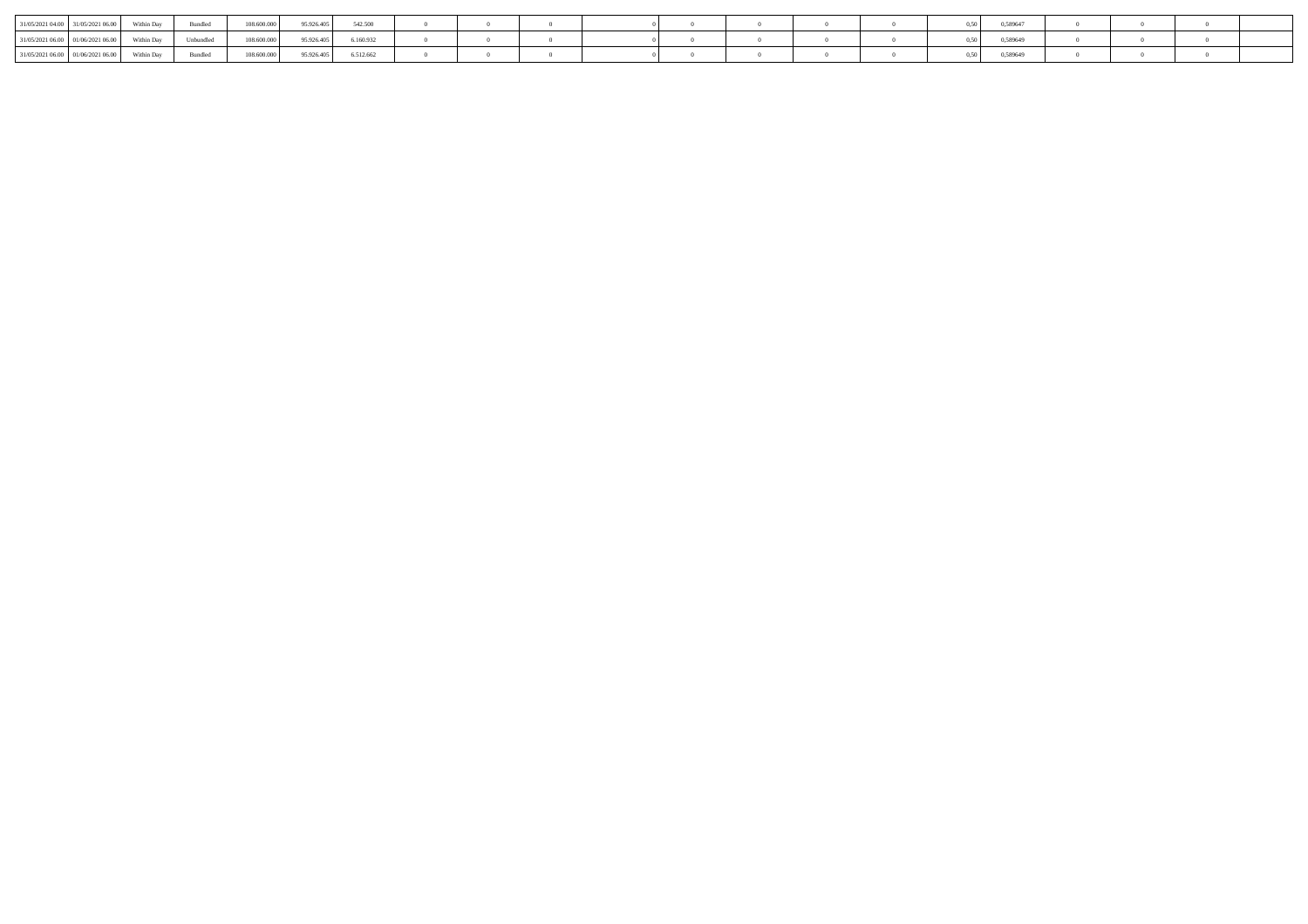| 31/05/2021 04:00   31/05/2021 0   | Within Dav |           | 108.600.000 | 95.926.405 | 542.500   |  |  |  |  | 0,589647 |  |  |
|-----------------------------------|------------|-----------|-------------|------------|-----------|--|--|--|--|----------|--|--|
| 31/05/2021 06:00 01/06/2021 06:00 | Within Day | Unbundled | 108.600.000 | 95.926.405 | 6.160.932 |  |  |  |  | 0,589649 |  |  |
| 31/05/2021 06:00 01/06/2021       | Within Day |           | 108.600.000 | 95.926.40  | 6.512.662 |  |  |  |  | 0,589649 |  |  |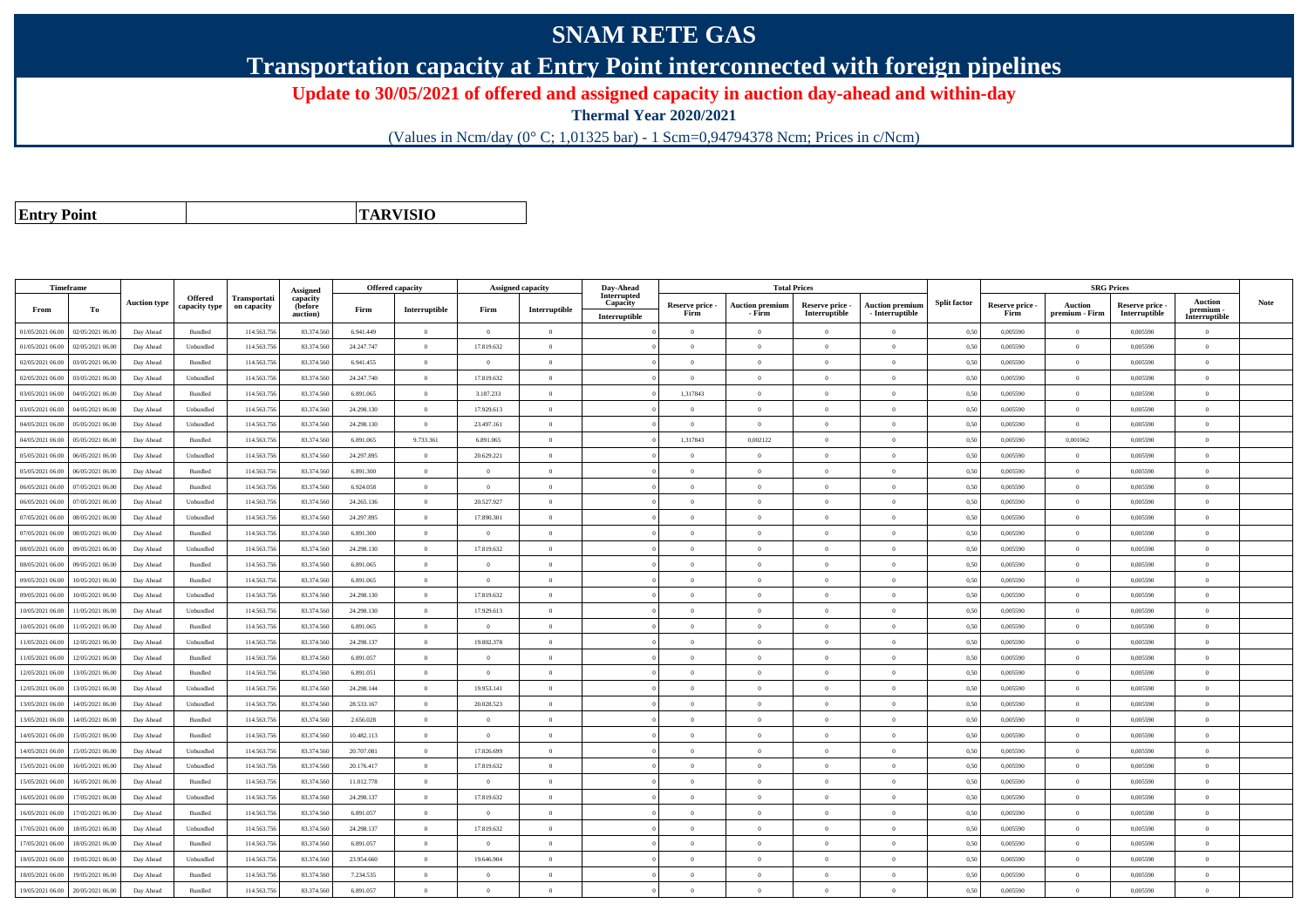## **SNAM RETE GAS**

**Transportation capacity at Entry Point interconnected with foreign pipelines**

**Update to 30/05/2021 of offered and assigned capacity in auction day-ahead and within-day**

**Thermal Year 2020/2021**

(Values in Ncm/day (0° C; 1,01325 bar) - 1 Scm=0,94794378 Ncm; Prices in c/Ncm)

**Entry Point**

**TARVISIO**

|                  | <b>Timeframe</b> |                     |                          |                                    | Assigned                        | Offered capacity |                |                | <b>Assigned capacity</b> | Day-Ahead                                |                         | <b>Total Prices</b>              |                                  |                                           |                     |                         | <b>SRG Prices</b>                |                                  |                                              |             |
|------------------|------------------|---------------------|--------------------------|------------------------------------|---------------------------------|------------------|----------------|----------------|--------------------------|------------------------------------------|-------------------------|----------------------------------|----------------------------------|-------------------------------------------|---------------------|-------------------------|----------------------------------|----------------------------------|----------------------------------------------|-------------|
| From             | To               | <b>Auction type</b> | Offered<br>capacity type | <b>Transportati</b><br>on capacity | capacity<br>(before<br>auction) | Firm             | Interruptible  | Firm           | Interruptible            | Interrupted<br>Capacity<br>Interruptible | Reserve price -<br>Firm | <b>Auction premium</b><br>- Firm | Reserve price -<br>Interruptible | <b>Auction premium</b><br>- Interruptible | <b>Split factor</b> | Reserve price -<br>Firm | <b>Auction</b><br>premium - Firm | Reserve price -<br>Interruptible | <b>Auction</b><br>premium -<br>Interruptible | <b>Note</b> |
| 01/05/2021 06:00 | 02/05/2021 06:00 | Day Ahead           | Bundled                  | 114.563.75                         | 83.374.560                      | 6.941.449        | $\overline{0}$ | $\overline{0}$ | $\overline{0}$           |                                          | $\overline{0}$          | $\bf{0}$                         | $\overline{0}$                   | $\overline{0}$                            | 0,50                | 0,005590                | $\overline{0}$                   | 0,005590                         | $\overline{0}$                               |             |
| 01/05/2021 06:00 | 02/05/2021 06:00 | Day Ahead           | Unbundled                | 114.563.75                         | 83,374,560                      | 24.247.747       | $\overline{0}$ | 17.819.632     | $\Omega$                 |                                          | $\Omega$                |                                  | $\Omega$                         | $\theta$                                  | 0,50                | 0.005590                | $\overline{0}$                   | 0.005590                         | $\theta$                                     |             |
| 02/05/2021 06:00 | 03/05/2021 06.00 | Day Ahead           | Bundled                  | 114.563.75                         | 83.374.560                      | 6.941.455        | $\overline{0}$ | $\overline{0}$ | $\overline{0}$           |                                          | $\overline{0}$          | $\theta$                         | $\overline{0}$                   | $\theta$                                  | 0,50                | 0,005590                | $\overline{0}$                   | 0,005590                         | $\mathbf{0}$                                 |             |
| 02/05/2021 06:00 | 03/05/2021 06.00 | Day Ahead           | Unbundled                | 114.563.756                        | 83.374.560                      | 24.247.740       | $\overline{0}$ | 17.819.632     | $\overline{0}$           |                                          | $\Omega$                | $\theta$                         | $\overline{0}$                   | $\overline{0}$                            | 0,50                | 0,005590                | $\overline{0}$                   | 0,005590                         | $\theta$                                     |             |
| 03/05/2021 06:00 | 04/05/2021 06.00 | Day Ahead           | <b>Bundled</b>           | 114.563.75                         | 83,374,560                      | 6.891.065        | $\overline{0}$ | 3.187.233      | $\overline{0}$           |                                          | 1.317843                | $\theta$                         | $\overline{0}$                   | $\overline{0}$                            | 0.50                | 0.005590                | $\overline{0}$                   | 0.005590                         | $\theta$                                     |             |
| 03/05/2021 06:00 | 04/05/2021 06.0  | Day Ahead           | Unbundled                | 114.563.75                         | 83.374.56                       | 24.298.130       | $\overline{0}$ | 17.929.613     | $\Omega$                 |                                          | $\Omega$                |                                  | $\theta$                         | $\theta$                                  | 0.50                | 0,005590                | $\theta$                         | 0,005590                         | $\theta$                                     |             |
| 04/05/2021 06:00 | 05/05/2021 06:00 | Day Ahead           | Unbundled                | 114,563,75                         | 83,374,560                      | 24.298.130       | $\overline{0}$ | 23,497.161     | $\overline{0}$           |                                          | $\overline{0}$          | $\theta$                         | $\overline{0}$                   | $\overline{0}$                            | 0.50                | 0.005590                | $\overline{0}$                   | 0.005590                         | $\mathbf{0}$                                 |             |
| 04/05/2021 06:00 | 05/05/2021 06:00 | Day Ahead           | Bundled                  | 114.563.75                         | 83.374.560                      | 6.891.065        | 9.733.361      | 6.891.065      | $\overline{0}$           |                                          | 1,317843                | 0,002122                         | $\overline{0}$                   | $\mathbf{0}$                              | 0,50                | 0,005590                | 0,001062                         | 0,005590                         | $\mathbf{0}$                                 |             |
| 05/05/2021 06:00 | 06/05/2021 06.00 | Day Ahead           | Unbundled                | 114.563.75                         | 83.374.560                      | 24.297.895       | $\overline{0}$ | 20.629.221     | $\Omega$                 |                                          | $\Omega$                |                                  | $\theta$                         | $\theta$                                  | 0,50                | 0,005590                | $\Omega$                         | 0,005590                         | $\theta$                                     |             |
| 05/05/2021 06:00 | 06/05/2021 06.0  | Day Ahead           | Bundled                  | 114.563.75                         | 83.374.560                      | 6.891.300        | $\overline{0}$ | $\overline{0}$ | $\overline{0}$           |                                          | $\Omega$                | $\theta$                         | $\overline{0}$                   | $\overline{0}$                            | 0,50                | 0,005590                | $\overline{0}$                   | 0,005590                         | $\Omega$                                     |             |
| 06/05/2021 06:00 | 07/05/2021 06.0  | Day Ahead           | Bundled                  | 114.563.75                         | 83.374.560                      | 6.924.058        | $\overline{0}$ | $\overline{0}$ | $\overline{0}$           |                                          | $\overline{0}$          | $\theta$                         | $\overline{0}$                   | $\theta$                                  | 0,50                | 0,005590                | $\overline{0}$                   | 0,005590                         | $\mathbf{0}$                                 |             |
| 06/05/2021 06:00 | 07/05/2021 06.00 | Day Ahead           | Unbundled                | 114.563.75                         | 83,374,560                      | 24.265.136       | $\overline{0}$ | 20.527.927     | $\Omega$                 |                                          | $\Omega$                | $\theta$                         | $\Omega$                         | $\theta$                                  | 0.50                | 0.005590                | $\overline{0}$                   | 0.005590                         | $\Omega$                                     |             |
| 07/05/2021 06.0  | 08/05/2021 06.0  | Day Ahead           | Unbundled                | 114.563.75                         | 83.374.56                       | 24.297.895       | $\overline{0}$ | 17.890.301     | $\overline{0}$           |                                          | $\Omega$                | $\theta$                         | $\overline{0}$                   | $\overline{0}$                            | 0,50                | 0,005590                | $\Omega$                         | 0,005590                         | $\Omega$                                     |             |
| 07/05/2021 06:00 | 08/05/2021 06:00 | Day Ahead           | Bundled                  | 114.563.75                         | 83.374.560                      | 6.891.300        | $\overline{0}$ | $\theta$       | $\Omega$                 |                                          | $\Omega$                | $\theta$                         | $\Omega$                         | $\theta$                                  | 0,50                | 0.005590                | $\overline{0}$                   | 0.005590                         | $\Omega$                                     |             |
| 08/05/2021 06:00 | 09/05/2021 06:00 | Day Ahead           | Unbundled                | 114.563.75                         | 83,374,560                      | 24.298.130       | $\overline{0}$ | 17.819.632     | $\Omega$                 |                                          | $\Omega$                | $\theta$                         | $\theta$                         | $\theta$                                  | 0.50                | 0.005590                | $\theta$                         | 0.005590                         | $\theta$                                     |             |
| 08/05/2021 06:00 | 09/05/2021 06.0  | Day Ahead           | Bundled                  | 114.563.75                         | 83,374,560                      | 6.891.065        | $\overline{0}$ | $\overline{0}$ | $\theta$                 |                                          | $\theta$                |                                  | $\overline{0}$                   | $\theta$                                  | 0,50                | 0,005590                | $\overline{0}$                   | 0.005590                         | $\theta$                                     |             |
| 09/05/2021 06:00 | 10/05/2021 06:00 | Day Ahead           | Bundled                  | 114.563.756                        | 83.374.560                      | 6.891.065        | $\overline{0}$ | $\overline{0}$ | $\overline{0}$           |                                          | $\overline{0}$          | $\theta$                         | $\overline{0}$                   | $\overline{0}$                            | 0,50                | 0,005590                | $\overline{0}$                   | 0,005590                         | $\mathbf{0}$                                 |             |
| 09/05/2021 06:00 | 10/05/2021 06:00 | Day Ahead           | Unbundled                | 114.563.75                         | 83.374.560                      | 24.298.130       | $\overline{0}$ | 17.819.632     | $\overline{0}$           |                                          | $\overline{0}$          | $\theta$                         | $\overline{0}$                   | $\bf{0}$                                  | 0,50                | 0,005590                | $\overline{0}$                   | 0,005590                         | $\overline{0}$                               |             |
| 10/05/2021 06:00 | 1/05/2021 06.00  | Day Ahead           | Unbundled                | 114.563.75                         | 83.374.560                      | 24.298.130       | $\overline{0}$ | 17.929.613     | $\overline{0}$           |                                          | $\Omega$                |                                  | $\overline{0}$                   | $\theta$                                  | 0,50                | 0,005590                | $\overline{0}$                   | 0,005590                         | $\theta$                                     |             |
| 10/05/2021 06:00 | 11/05/2021 06:00 | Day Ahead           | Bundled                  | 114,563,75                         | 83,374,560                      | 6.891.065        | $\overline{0}$ | $\Omega$       | $\Omega$                 |                                          | $\Omega$                | $\Omega$                         | $\theta$                         | $\theta$                                  | 0.50                | 0.005590                | $\overline{0}$                   | 0.005590                         | $\theta$                                     |             |
| 11/05/2021 06:00 | 12/05/2021 06:00 | Day Ahead           | Unbundled                | 114.563.75                         | 83.374.560                      | 24.298.137       | $\overline{0}$ | 19.802.378     | $\Omega$                 |                                          | $\Omega$                | $\theta$                         | $\overline{0}$                   | $\Omega$                                  | 0,50                | 0,005590                | $\theta$                         | 0,005590                         | $\Omega$                                     |             |
| 11/05/2021 06:00 | 12/05/2021 06:00 | Day Ahead           | <b>Bundled</b>           | 114.563.75                         | 83,374,560                      | 6.891.057        | $\Omega$       | $\Omega$       | $\Omega$                 |                                          | $\Omega$                |                                  | $\Omega$                         | $\theta$                                  | 0.50                | 0.005590                | $\theta$                         | 0.005590                         | $\Omega$                                     |             |
| 12/05/2021 06:00 | 13/05/2021 06:00 | Day Ahead           | Bundled                  | 114.563.75                         | 83,374,560                      | 6.891.051        | $\overline{0}$ | $\overline{0}$ | $\overline{0}$           |                                          | $\Omega$                | $\theta$                         | $\theta$                         | $\overline{0}$                            | 0,50                | 0.005590                | $\overline{0}$                   | 0.005590                         | $\theta$                                     |             |
| 12/05/2021 06:00 | 13/05/2021 06:00 | Day Ahead           | Unbundled                | 114.563.75                         | 83,374,560                      | 24.298.144       | $\overline{0}$ | 19.953.141     | $\overline{0}$           |                                          | $\overline{0}$          | $\overline{0}$                   | $\overline{0}$                   | $\theta$                                  | 0,50                | 0.005590                | $\overline{0}$                   | 0.005590                         | $\mathbf{0}$                                 |             |
| 13/05/2021 06:00 | 14/05/2021 06:00 | Day Ahead           | Unbundled                | 114.563.75                         | 83,374,560                      | 28.533.167       | $\overline{0}$ | 20.028.523     | $\overline{0}$           |                                          | $\overline{0}$          | $\theta$                         | $\overline{0}$                   | $\overline{0}$                            | 0.50                | 0.005590                | $\overline{0}$                   | 0.005590                         | $\Omega$                                     |             |
| 13/05/2021 06:00 | 14/05/2021 06.0  | Day Ahead           | Bundled                  | 114.563.75                         | 83.374.560                      | 2.656.028        | $\overline{0}$ | $\overline{0}$ | $\overline{0}$           |                                          | $\Omega$                | $\mathbf{a}$                     | $\overline{0}$                   | $\theta$                                  | 0,50                | 0,005590                | $\theta$                         | 0,005590                         | $\Omega$                                     |             |
| 14/05/2021 06:00 | 15/05/2021 06.00 | Day Ahead           | Bundled                  | 114.563.75                         | 83.374.560                      | 10.482.113       | $\overline{0}$ | $\overline{0}$ | $\Omega$                 |                                          | $\Omega$                |                                  | $\overline{0}$                   | $\theta$                                  | 0,50                | 0,005590                | $\overline{0}$                   | 0,005590                         | $\theta$                                     |             |
| 14/05/2021 06:00 | 15/05/2021 06:00 | Day Ahead           | Unbundled                | 114.563.75                         | 83.374.560                      | 20.707.081       | $\overline{0}$ | 17.826.699     | $\Omega$                 |                                          | $\Omega$                | $\theta$                         | $\Omega$                         | $\Omega$                                  | 0,50                | 0,005590                | $\overline{0}$                   | 0.005590                         | $\theta$                                     |             |
| 15/05/2021 06:00 | 16/05/2021 06.00 | Day Ahead           | Unbundled                | 114.563.75                         | 83.374.560                      | 20.176.417       | $\overline{0}$ | 17.819.632     | $\overline{0}$           |                                          | $\Omega$                |                                  | $\overline{0}$                   | $\theta$                                  | 0,50                | 0,005590                | $\overline{0}$                   | 0,005590                         | $\Omega$                                     |             |
| 15/05/2021 06:00 | 16/05/2021 06:00 | Day Ahead           | Bundled                  | 114,563,75                         | 83,374,560                      | 11.012.778       | $\overline{0}$ | $\Omega$       | $\overline{0}$           |                                          | $\Omega$                | $\theta$                         | $\Omega$                         | $\theta$                                  | 0,50                | 0.005590                | $\overline{0}$                   | 0.005590                         | $\theta$                                     |             |
| 16/05/2021 06:00 | 17/05/2021 06:00 | Day Ahead           | Unbundled                | 114.563.75                         | 83.374.560                      | 24.298.137       | $\overline{0}$ | 17.819.632     | $\overline{0}$           |                                          | $\overline{0}$          | $\theta$                         | $\overline{0}$                   | $\overline{0}$                            | 0,50                | 0,005590                | $\overline{0}$                   | 0,005590                         | $\Omega$                                     |             |
| 16/05/2021 06:00 | 7/05/2021 06.0   | Day Ahead           | Bundled                  | 114.563.75                         | 83,374.56                       | 6.891.057        | $\overline{0}$ | $\theta$       | $\Omega$                 |                                          | $\theta$                |                                  | $\Omega$                         | $\theta$                                  | 0.50                | 0.005590                | $\theta$                         | 0.005590                         | $\theta$                                     |             |
| 17/05/2021 06:00 | 18/05/2021 06.00 | Day Ahead           | Unbundled                | 114,563.75                         | 83,374,560                      | 24.298.137       | $\overline{0}$ | 17.819.632     | $\overline{0}$           |                                          | $\overline{0}$          | $\theta$                         | $\overline{0}$                   | $\overline{0}$                            | 0.50                | 0.005590                | $\overline{0}$                   | 0.005590                         | $\Omega$                                     |             |
| 17/05/2021 06:00 | 18/05/2021 06:00 | Day Ahead           | Bundled                  | 114.563.75                         | 83.374.560                      | 6.891.057        | $\overline{0}$ | $\overline{0}$ | $\overline{0}$           |                                          | $\overline{0}$          | $\theta$                         | $\overline{0}$                   | $\mathbf{0}$                              | 0,50                | 0,005590                | $\overline{0}$                   | 0,005590                         | $\mathbf{0}$                                 |             |
| 18/05/2021 06:00 | 19/05/2021 06:00 | Day Ahead           | Unbundled                | 114.563.75                         | 83.374.560                      | 23.954.660       | $\overline{0}$ | 19.646.904     | $\overline{0}$           |                                          | $\Omega$                |                                  | $\overline{0}$                   | $\Omega$                                  | 0,50                | 0,005590                | $\Omega$                         | 0,005590                         | $\theta$                                     |             |
| 18/05/2021 06:00 | 19/05/2021 06.0  | Day Ahead           | Bundled                  | 114.563.75                         | 83.374.560                      | 7.234.535        | $\overline{0}$ | $\overline{0}$ | $\overline{0}$           |                                          | $\overline{0}$          | $\theta$                         | $\overline{0}$                   | $\overline{0}$                            | 0,50                | 0,005590                | $\overline{0}$                   | 0,005590                         | $\mathbf{0}$                                 |             |
| 19/05/2021 06:00 | 20/05/2021 06:00 | Day Ahead           | Bundled                  | 114.563.75                         | 83.374.560                      | 6.891.057        | $\theta$       | $\Omega$       | $\Omega$                 |                                          | $\Omega$                |                                  | $\Omega$                         | $\theta$                                  | 0,50                | 0,005590                | $\theta$                         | 0.005590                         | $\theta$                                     |             |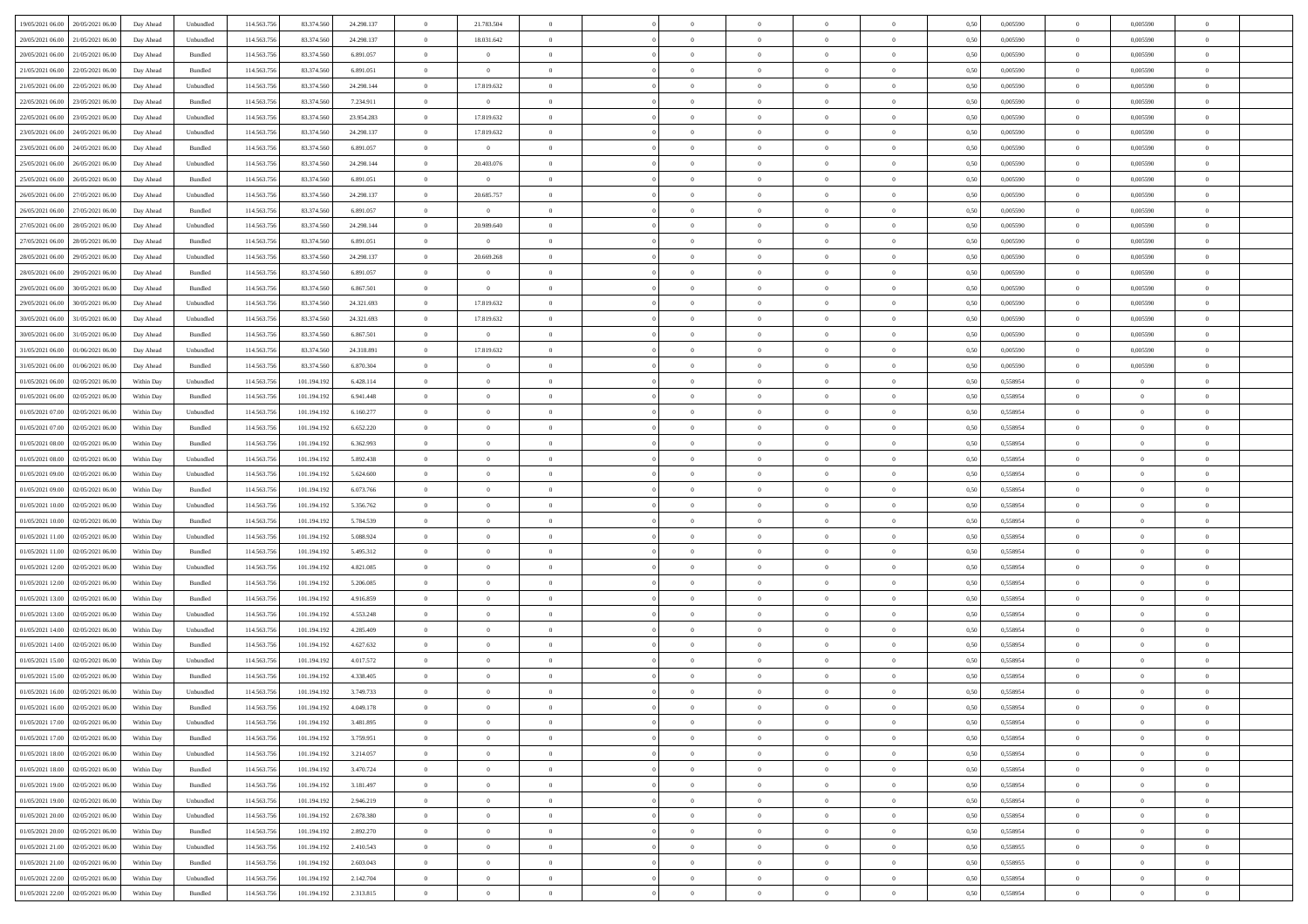| 19/05/2021 06:00 20/05/2021 06:00            | Day Ahead  | Unbundled | 114.563.75  | 83.374.560  | 24.298.137 | $\overline{0}$ | 21.783.504     |                | $\overline{0}$ | $\bf{0}$       | $\overline{0}$ | $\theta$       | 0,50 | 0,005590 | $\overline{0}$ | 0.005590       | $\bf{0}$       |  |
|----------------------------------------------|------------|-----------|-------------|-------------|------------|----------------|----------------|----------------|----------------|----------------|----------------|----------------|------|----------|----------------|----------------|----------------|--|
|                                              |            |           |             |             |            |                |                |                |                |                |                |                |      |          |                |                |                |  |
| 20/05/2021 06:00<br>21/05/2021 06:00         | Day Ahead  | Unbundled | 114.563.75  | 83.374.56   | 24.298.137 | $\overline{0}$ | 18.031.642     | $\overline{0}$ | $\overline{0}$ | $\,$ 0         | $\overline{0}$ | $\bf{0}$       | 0,50 | 0,005590 | $\bf{0}$       | 0,005590       | $\bf{0}$       |  |
| 20/05/2021 06:00<br>21/05/2021 06:00         | Day Ahead  | Bundled   | 114.563.75  | 83.374.560  | 6.891.057  | $\overline{0}$ | $\overline{0}$ | $\overline{0}$ | $\overline{0}$ | $\bf{0}$       | $\overline{0}$ | $\overline{0}$ | 0.50 | 0.005590 | $\overline{0}$ | 0.005590       | $\bf{0}$       |  |
| 21/05/2021 06:00<br>22/05/2021 06:00         | Day Ahead  | Bundled   | 114.563.75  | 83.374.560  | 6.891.051  | $\overline{0}$ | $\overline{0}$ | $\overline{0}$ | $\overline{0}$ | $\bf{0}$       | $\overline{0}$ | $\theta$       | 0,50 | 0,005590 | $\,$ 0 $\,$    | 0,005590       | $\overline{0}$ |  |
| 21/05/2021 06:00<br>22/05/2021 06.00         | Day Ahead  | Unbundled | 114.563.75  | 83.374.560  | 24.298.144 | $\overline{0}$ | 17.819.632     | $\overline{0}$ |                | $\,$ 0         | $\overline{0}$ | $\bf{0}$       | 0,50 | 0,005590 | $\bf{0}$       | 0,005590       | $\bf{0}$       |  |
| 22/05/2021 06:00<br>23/05/2021 06:00         | Day Ahead  | Bundled   | 114,563,75  | 83,374,560  | 7.234.911  | $\overline{0}$ | $\overline{0}$ | $\overline{0}$ | $\overline{0}$ | $\bf{0}$       | $\overline{0}$ | $\overline{0}$ | 0.50 | 0.005590 | $\bf{0}$       | 0.005590       | $\bf{0}$       |  |
|                                              |            |           |             |             |            |                |                |                |                |                |                |                |      |          |                |                |                |  |
| 22/05/2021 06:00<br>23/05/2021 06:00         | Day Ahead  | Unbundled | 114.563.75  | 83.374.560  | 23.954.283 | $\overline{0}$ | 17.819.632     | $\overline{0}$ | $\overline{0}$ | $\bf{0}$       | $\overline{0}$ | $\overline{0}$ | 0,50 | 0,005590 | $\,$ 0 $\,$    | 0,005590       | $\overline{0}$ |  |
| 23/05/2021 06:00<br>24/05/2021 06.00         | Day Ahead  | Unbundled | 114.563.75  | 83.374.56   | 24.298.137 | $\bf{0}$       | 17.819.632     | $\overline{0}$ | $\overline{0}$ | $\,$ 0         | $\overline{0}$ | $\bf{0}$       | 0,50 | 0,005590 | $\bf{0}$       | 0,005590       | $\bf{0}$       |  |
| 23/05/2021 06:00<br>24/05/2021 06:00         | Day Ahead  | Bundled   | 114,563,75  | 83,374,560  | 6.891.057  | $\overline{0}$ | $\overline{0}$ | $\overline{0}$ | $\overline{0}$ | $\bf{0}$       | $\overline{0}$ | $\overline{0}$ | 0.50 | 0.005590 | $\overline{0}$ | 0.005590       | $\bf{0}$       |  |
| 25/05/2021 06:00<br>26/05/2021 06:00         | Day Ahead  | Unbundled | 114.563.756 | 83.374.560  | 24.298.144 | $\overline{0}$ | 20.403.076     | $\overline{0}$ | $\overline{0}$ | $\bf{0}$       | $\overline{0}$ | $\overline{0}$ | 0,50 | 0,005590 | $\overline{0}$ | 0.005590       | $\bf{0}$       |  |
| 25/05/2021 06:00<br>26/05/2021 06.00         | Day Ahead  | Bundled   | 114.563.75  | 83.374.560  | 6.891.051  | $\bf{0}$       | $\overline{0}$ | $\overline{0}$ | $\overline{0}$ | $\,$ 0         | $\overline{0}$ | $\bf{0}$       | 0,50 | 0,005590 | $\bf{0}$       | 0,005590       | $\bf{0}$       |  |
| 26/05/2021 06:00<br>27/05/2021 06:00         | Day Ahead  | Unbundled | 114,563,75  | 83,374,560  | 24.298.137 | $\overline{0}$ | 20.685.757     | $\overline{0}$ | $\overline{0}$ | $\,$ 0 $\,$    | $\overline{0}$ | $\overline{0}$ | 0.50 | 0.005590 | $\,$ 0 $\,$    | 0.005590       | $\bf{0}$       |  |
| 26/05/2021 06:00<br>27/05/2021 06:00         | Day Ahead  | Bundled   | 114.563.75  | 83.374.560  | 6.891.057  | $\overline{0}$ | $\overline{0}$ | $\overline{0}$ | $\overline{0}$ | $\bf{0}$       | $\overline{0}$ | $\theta$       | 0,50 | 0,005590 | $\,$ 0 $\,$    | 0,005590       | $\overline{0}$ |  |
|                                              |            |           |             |             |            |                |                |                |                |                |                |                |      |          |                |                |                |  |
| 27/05/2021 06:00<br>28/05/2021 06:00         | Day Ahead  | Unbundled | 114.563.75  | 83.374.560  | 24.298.144 | $\bf{0}$       | 20.989.640     | $\overline{0}$ | $\overline{0}$ | $\,$ 0         | $\overline{0}$ | $\bf{0}$       | 0,50 | 0,005590 | $\bf{0}$       | 0,005590       | $\bf{0}$       |  |
| 27/05/2021 06:00<br>28/05/2021 06:00         | Day Ahead  | Bundled   | 114,563,75  | 83,374,560  | 6.891.051  | $\overline{0}$ | $\overline{0}$ | $\overline{0}$ | $\overline{0}$ | $\bf{0}$       | $\overline{0}$ | $\overline{0}$ | 0.50 | 0.005590 | $\bf{0}$       | 0.005590       | $\bf{0}$       |  |
| 28/05/2021 06:00<br>29/05/2021 06:00         | Day Ahead  | Unbundled | 114.563.75  | 83.374.560  | 24.298.137 | $\overline{0}$ | 20.669.268     | $\overline{0}$ | $\overline{0}$ | $\bf{0}$       | $\overline{0}$ | $\overline{0}$ | 0,50 | 0,005590 | $\,$ 0 $\,$    | 0,005590       | $\overline{0}$ |  |
| 28/05/2021 06:00<br>29/05/2021 06.00         | Day Ahead  | Bundled   | 114.563.75  | 83.374.560  | 6.891.057  | $\bf{0}$       | $\theta$       | $\overline{0}$ |                | $\,$ 0         | $\overline{0}$ | $\bf{0}$       | 0,50 | 0,005590 | $\bf{0}$       | 0,005590       | $\bf{0}$       |  |
| 29/05/2021 06:00<br>30/05/2021 06:00         | Day Ahead  | Bundled   | 114,563,75  | 83,374,560  | 6.867.501  | $\overline{0}$ | $\overline{0}$ | $\overline{0}$ | $\overline{0}$ | $\bf{0}$       | $\overline{0}$ | $\overline{0}$ | 0.50 | 0.005590 | $\overline{0}$ | 0.005590       | $\bf{0}$       |  |
| 29/05/2021 06:00<br>30/05/2021 06:00         | Day Ahead  | Unbundled | 114.563.75  | 83.374.560  | 24.321.693 | $\overline{0}$ | 17.819.632     | $\overline{0}$ | $\overline{0}$ | $\,$ 0         | $\overline{0}$ | $\overline{0}$ | 0,50 | 0,005590 | $\,$ 0 $\,$    | 0,005590       | $\bf{0}$       |  |
|                                              |            |           |             |             |            |                |                |                |                |                |                |                |      |          |                |                |                |  |
| 30/05/2021 06:00<br>31/05/2021 06.00         | Day Ahead  | Unbundled | 114.563.75  | 83.374.560  | 24.321.693 | $\bf{0}$       | 17.819.632     | $\overline{0}$ | $\overline{0}$ | $\,$ 0         | $\overline{0}$ | $\bf{0}$       | 0,50 | 0,005590 | $\bf{0}$       | 0,005590       | $\bf{0}$       |  |
| 30/05/2021 06:00<br>31/05/2021 06:00         | Day Ahead  | Bundled   | 114.563.75  | 83,374,560  | 6.867.501  | $\overline{0}$ | $\overline{0}$ | $\overline{0}$ | $\overline{0}$ | $\,$ 0 $\,$    | $\overline{0}$ | $\overline{0}$ | 0.50 | 0.005590 | $\overline{0}$ | 0.005590       | $\bf{0}$       |  |
| 31/05/2021 06:00<br>01/06/2021 06:00         | Day Ahead  | Unbundled | 114.563.75  | 83.374.560  | 24.318.891 | $\overline{0}$ | 17.819.632     | $\overline{0}$ | $\overline{0}$ | $\,$ 0         | $\overline{0}$ | $\overline{0}$ | 0,50 | 0,005590 | $\,$ 0 $\,$    | 0,005590       | $\overline{0}$ |  |
| 31/05/2021 06:00<br>01/06/2021 06.00         | Day Ahead  | Bundled   | 114.563.75  | 83.374.560  | 6.870.304  | $\overline{0}$ | $\theta$       | $\overline{0}$ | $\overline{0}$ | $\,$ 0         | $\overline{0}$ | $\bf{0}$       | 0,50 | 0,005590 | $\bf{0}$       | 0,005590       | $\bf{0}$       |  |
| 01/05/2021 06:00<br>02/05/2021 06:00         | Within Day | Unbundled | 114,563,75  | 101.194.192 | 6.428.114  | $\overline{0}$ | $\overline{0}$ | $\overline{0}$ | $\overline{0}$ | $\bf{0}$       | $\overline{0}$ | $\overline{0}$ | 0.50 | 0.558954 | $\bf{0}$       | $\overline{0}$ | $\bf{0}$       |  |
| 01/05/2021 06:00<br>02/05/2021 06:00         | Within Day | Bundled   | 114.563.75  | 101.194.192 | 6.941.448  | $\overline{0}$ | $\overline{0}$ | $\overline{0}$ | $\overline{0}$ | $\bf{0}$       | $\overline{0}$ | $\overline{0}$ | 0,50 | 0,558954 | $\,0\,$        | $\overline{0}$ | $\overline{0}$ |  |
| 01/05/2021 07:00<br>02/05/2021 06.00         | Within Day | Unbundled | 114.563.75  | 101.194.192 | 6.160.277  | $\overline{0}$ | $\theta$       | $\overline{0}$ |                | $\,$ 0         | $\overline{0}$ | $\bf{0}$       | 0,50 | 0,558954 | $\bf{0}$       | $\overline{0}$ | $\,$ 0         |  |
|                                              |            |           |             |             |            |                |                |                |                |                |                |                |      |          |                |                |                |  |
| 01/05/2021 07:00<br>02/05/2021 06:00         | Within Day | Bundled   | 114.563.75  | 101.194.192 | 6.652.220  | $\overline{0}$ | $\overline{0}$ | $\overline{0}$ | $\overline{0}$ | $\bf{0}$       | $\overline{0}$ | $\overline{0}$ | 0.50 | 0.558954 | $\bf{0}$       | $\overline{0}$ | $\bf{0}$       |  |
| 01/05/2021 08:00<br>02/05/2021 06:00         | Within Day | Bundled   | 114.563.75  | 101.194.192 | 6.362.993  | $\overline{0}$ | $\overline{0}$ | $\overline{0}$ | $\overline{0}$ | $\bf{0}$       | $\overline{0}$ | $\overline{0}$ | 0,50 | 0,558954 | $\,0\,$        | $\overline{0}$ | $\overline{0}$ |  |
| 01/05/2021 08:00<br>02/05/2021 06.00         | Within Day | Unbundled | 114.563.75  | 101.194.192 | 5.892.438  | $\bf{0}$       | $\overline{0}$ | $\overline{0}$ | $\overline{0}$ | $\bf{0}$       | $\overline{0}$ | $\bf{0}$       | 0,50 | 0,558954 | $\bf{0}$       | $\overline{0}$ | $\bf{0}$       |  |
| 01/05/2021 09:00<br>02/05/2021 06:00         | Within Day | Unbundled | 114.563.75  | 101.194.192 | 5.624.600  | $\overline{0}$ | $\overline{0}$ | $\overline{0}$ | $\overline{0}$ | $\,$ 0 $\,$    | $\overline{0}$ | $\overline{0}$ | 0.50 | 0.558954 | $\overline{0}$ | $\bf{0}$       | $\bf{0}$       |  |
| 01/05/2021 09:00<br>02/05/2021 06:00         | Within Day | Bundled   | 114.563.75  | 101.194.192 | 6.073.766  | $\overline{0}$ | $\overline{0}$ | $\theta$       | $\Omega$       | $\mathbf{0}$   | $\overline{0}$ | $\overline{0}$ | 0.50 | 0,558954 | $\mathbf{0}$   | $\overline{0}$ | $\overline{0}$ |  |
| 01/05/2021 10:00<br>02/05/2021 06.00         | Within Day | Unbundled | 114.563.75  | 101.194.192 | 5.356.762  | $\overline{0}$ | $\theta$       | $\overline{0}$ | $\overline{0}$ | $\,$ 0         | $\overline{0}$ | $\bf{0}$       | 0,50 | 0,558954 | $\bf{0}$       | $\overline{0}$ | $\bf{0}$       |  |
| 01/05/2021 10:00<br>02/05/2021 06:00         | Within Day | Bundled   | 114.563.75  | 101.194.192 | 5.784.539  | $\overline{0}$ | $\overline{0}$ | $\overline{0}$ | $\overline{0}$ | $\bf{0}$       | $\overline{0}$ | $\overline{0}$ | 0.50 | 0.558954 | $\bf{0}$       | $\overline{0}$ | $\bf{0}$       |  |
|                                              |            |           |             |             |            |                |                |                |                |                |                |                |      |          |                |                |                |  |
| 01/05/2021 11:00<br>02/05/2021 06:00         | Within Day | Unbundled | 114.563.75  | 101.194.192 | 5.088.924  | $\overline{0}$ | $\overline{0}$ | $\Omega$       | $\Omega$       | $\mathbf{0}$   | $\overline{0}$ | $\overline{0}$ | 0.50 | 0,558954 | $\mathbf{0}$   | $\overline{0}$ | $\overline{0}$ |  |
| 01/05/2021 11:00<br>02/05/2021 06.00         | Within Day | Bundled   | 114.563.75  | 101.194.192 | 5.495.312  | $\overline{0}$ | $\overline{0}$ | $\overline{0}$ |                | $\,$ 0         | $\overline{0}$ | $\bf{0}$       | 0,50 | 0,558954 | $\bf{0}$       | $\overline{0}$ | $\bf{0}$       |  |
| 01/05/2021 12:00<br>02/05/2021 06:00         | Within Day | Unbundled | 114.563.75  | 101.194.192 | 4.821.085  | $\overline{0}$ | $\overline{0}$ | $\overline{0}$ | $\overline{0}$ | $\bf{0}$       | $\overline{0}$ | $\overline{0}$ | 0.50 | 0.558954 | $\bf{0}$       | $\overline{0}$ | $\bf{0}$       |  |
| 01/05/2021 12:00<br>02/05/2021 06:00         | Within Day | Bundled   | 114.563.75  | 101.194.192 | 5.206.085  | $\overline{0}$ | $\overline{0}$ | $\overline{0}$ | $\Omega$       | $\overline{0}$ | $\overline{0}$ | $\overline{0}$ | 0.50 | 0,558954 | $\mathbf{0}$   | $\overline{0}$ | $\overline{0}$ |  |
| 01/05/2021 13:00<br>02/05/2021 06.00         | Within Day | Bundled   | 114.563.75  | 101.194.192 | 4.916.859  | $\bf{0}$       | $\overline{0}$ | $\overline{0}$ | $\overline{0}$ | $\bf{0}$       | $\overline{0}$ | $\bf{0}$       | 0,50 | 0,558954 | $\bf{0}$       | $\overline{0}$ | $\bf{0}$       |  |
| 01/05/2021 13:00<br>02/05/2021 06:00         | Within Day | Unbundled | 114.563.75  | 101.194.192 | 4.553.248  | $\overline{0}$ | $\overline{0}$ | $\overline{0}$ | $\overline{0}$ | $\,$ 0 $\,$    | $\overline{0}$ | $\overline{0}$ | 0.50 | 0.558954 | $\overline{0}$ | $\bf{0}$       | $\bf{0}$       |  |
| 01/05/2021 14:00<br>02/05/2021 06:00         | Within Day | Unbundled | 114.563.75  | 101.194.192 | 4.285.409  | $\overline{0}$ | $\overline{0}$ | $\Omega$       | $\Omega$       | $\mathbf{0}$   | $\overline{0}$ | $\overline{0}$ | 0.50 | 0,558954 | $\mathbf{0}$   | $\overline{0}$ | $\overline{0}$ |  |
|                                              |            |           |             |             |            |                |                |                |                |                |                |                |      |          |                |                |                |  |
| 01/05/2021 14:00<br>02/05/2021 06.00         | Within Day | Bundled   | 114.563.75  | 101.194.192 | 4.627.632  | $\overline{0}$ | $\overline{0}$ | $\overline{0}$ | $\overline{0}$ | $\,$ 0         | $\overline{0}$ | $\bf{0}$       | 0,50 | 0,558954 | $\bf{0}$       | $\overline{0}$ | $\bf{0}$       |  |
| 01/05/2021 15:00<br>02/05/2021 06:00         | Within Day | Unbundled | 114.563.75  | 101.194.192 | 4.017.572  | $\overline{0}$ | $\overline{0}$ | $\overline{0}$ | $\overline{0}$ | $\bf{0}$       | $\overline{0}$ | $\overline{0}$ | 0.50 | 0.558954 | $\bf{0}$       | $\overline{0}$ | $\bf{0}$       |  |
| 01/05/2021 15:00<br>02/05/2021 06:00         | Within Day | Bundled   | 114.563.75  | 101.194.19  | 4.338.405  | $\overline{0}$ | $\Omega$       | $\Omega$       | $\Omega$       | $\bf{0}$       | $\overline{0}$ | $\Omega$       | 0.50 | 0,558954 | $\mathbf{0}$   | $\overline{0}$ | $\overline{0}$ |  |
| 01/05/2021 16:00<br>02/05/2021 06:00         | Within Day | Unbundled | 114.563.75  | 101.194.192 | 3.749.733  | $\bf{0}$       | $\overline{0}$ | $\overline{0}$ | $\overline{0}$ | $\,$ 0         | $\overline{0}$ | $\bf{0}$       | 0,50 | 0,558954 | $\bf{0}$       | $\overline{0}$ | $\bf{0}$       |  |
| $01/05/2021\ 16.00 \qquad 02/05/2021\ 06.00$ | Within Day | Bundled   | 114.563.756 | 101.194.192 | 4 049 178  | $\bf{0}$       | $\theta$       |                |                |                |                |                | 0,50 | 0.558954 | $\overline{0}$ | $\Omega$       |                |  |
| 01/05/2021 17:00 02/05/2021 06:00            | Within Day | Unbundled | 114.563.756 | 101.194.192 | 3.481.895  | $\theta$       | $\overline{0}$ | $\Omega$       | $\Omega$       | $\overline{0}$ | $\overline{0}$ | $\overline{0}$ | 0,50 | 0,558954 | $\theta$       | $\overline{0}$ | $\bf{0}$       |  |
| 01/05/2021 17:00<br>02/05/2021 06:00         | Within Day | Bundled   | 114.563.75  | 101.194.192 | 3.759.951  | $\bf{0}$       | $\bf{0}$       | $\overline{0}$ | $\bf{0}$       | $\overline{0}$ | $\overline{0}$ | $\mathbf{0}$   | 0,50 | 0,558954 | $\overline{0}$ | $\bf{0}$       | $\bf{0}$       |  |
|                                              |            |           | 114,563,756 |             |            |                |                |                | $\overline{0}$ |                |                |                | 0.50 | 0.558954 | $\overline{0}$ | $\,$ 0 $\,$    |                |  |
| 01/05/2021 18:00 02/05/2021 06:00            | Within Day | Unbundled |             | 101.194.192 | 3.214.057  | $\overline{0}$ | $\overline{0}$ | $\overline{0}$ |                | $\overline{0}$ | $\overline{0}$ | $\mathbf{0}$   |      |          |                |                | $\,$ 0 $\,$    |  |
| 01/05/2021 18:00 02/05/2021 06:00            | Within Dav | Bundled   | 114.563.756 | 101.194.192 | 3.470.724  | $\overline{0}$ | $\overline{0}$ | $\overline{0}$ | $\overline{0}$ | $\overline{0}$ | $\overline{0}$ | $\overline{0}$ | 0,50 | 0,558954 | $\theta$       | $\overline{0}$ | $\bf{0}$       |  |
| 01/05/2021 19:00<br>02/05/2021 06:00         | Within Day | Bundled   | 114.563.75  | 101.194.192 | 3.181.497  | $\overline{0}$ | $\overline{0}$ | $\overline{0}$ | $\overline{0}$ | $\bf{0}$       | $\overline{0}$ | $\bf{0}$       | 0,50 | 0,558954 | $\overline{0}$ | $\bf{0}$       | $\bf{0}$       |  |
| 01/05/2021 19:00 02/05/2021 06:00            | Within Day | Unbundled | 114.563.756 | 101.194.192 | 2.946.219  | $\overline{0}$ | $\overline{0}$ | $\overline{0}$ | $\overline{0}$ | $\,$ 0 $\,$    | $\overline{0}$ | $\overline{0}$ | 0.50 | 0.558954 | $\overline{0}$ | $\overline{0}$ | $\bf{0}$       |  |
| 01/05/2021 20:00<br>02/05/2021 06:00         | Within Dav | Unbundled | 114.563.756 | 101.194.192 | 2.678.380  | $\overline{0}$ | $\overline{0}$ | $\overline{0}$ | $\overline{0}$ | $\mathbf{0}$   | $\overline{0}$ | $\overline{0}$ | 0,50 | 0,558954 | $\overline{0}$ | $\overline{0}$ | $\bf{0}$       |  |
| 01/05/2021 20:00<br>02/05/2021 06:00         | Within Day | Bundled   | 114.563.75  | 101.194.192 | 2.892.270  | $\overline{0}$ | $\,$ 0         | $\overline{0}$ | $\bf{0}$       | $\,$ 0 $\,$    | $\overline{0}$ | $\mathbf{0}$   | 0,50 | 0,558954 | $\overline{0}$ | $\,$ 0 $\,$    | $\bf{0}$       |  |
| 01/05/2021 21:00 02/05/2021 06:00            | Within Day | Unbundled | 114.563.75  | 101.194.192 | 2.410.543  | $\overline{0}$ | $\overline{0}$ | $\overline{0}$ | $\overline{0}$ | $\,$ 0 $\,$    | $\overline{0}$ | $\overline{0}$ | 0.50 | 0.558955 | $\overline{0}$ | $\,$ 0 $\,$    | $\bf{0}$       |  |
|                                              |            |           |             |             |            |                |                |                |                |                |                |                |      |          |                |                |                |  |
| 01/05/2021 21:00 02/05/2021 06:00            | Within Dav | Bundled   | 114.563.75  | 101.194.192 | 2.603.043  | $\overline{0}$ | $\overline{0}$ | $\overline{0}$ | $\overline{0}$ | $\overline{0}$ | $\overline{0}$ | $\overline{0}$ | 0,50 | 0,558955 | $\overline{0}$ | $\overline{0}$ | $\bf{0}$       |  |
| 01/05/2021 22:00<br>02/05/2021 06:00         | Within Day | Unbundled | 114.563.75  | 101.194.192 | 2.142.704  | $\overline{0}$ | $\overline{0}$ | $\overline{0}$ | $\bf{0}$       | $\bf{0}$       | $\overline{0}$ | $\bf{0}$       | 0,50 | 0,558954 | $\overline{0}$ | $\bf{0}$       | $\bf{0}$       |  |
| 01/05/2021 22:00 02/05/2021 06:00            | Within Day | Bundled   | 114.563.756 | 101.194.192 | 2.313.815  | $\overline{0}$ | $\overline{0}$ | $\overline{0}$ | $\overline{0}$ | $\,$ 0 $\,$    | $\overline{0}$ | $\overline{0}$ | 0,50 | 0,558954 | $\,$ 0 $\,$    | $\,$ 0 $\,$    | $\bf{0}$       |  |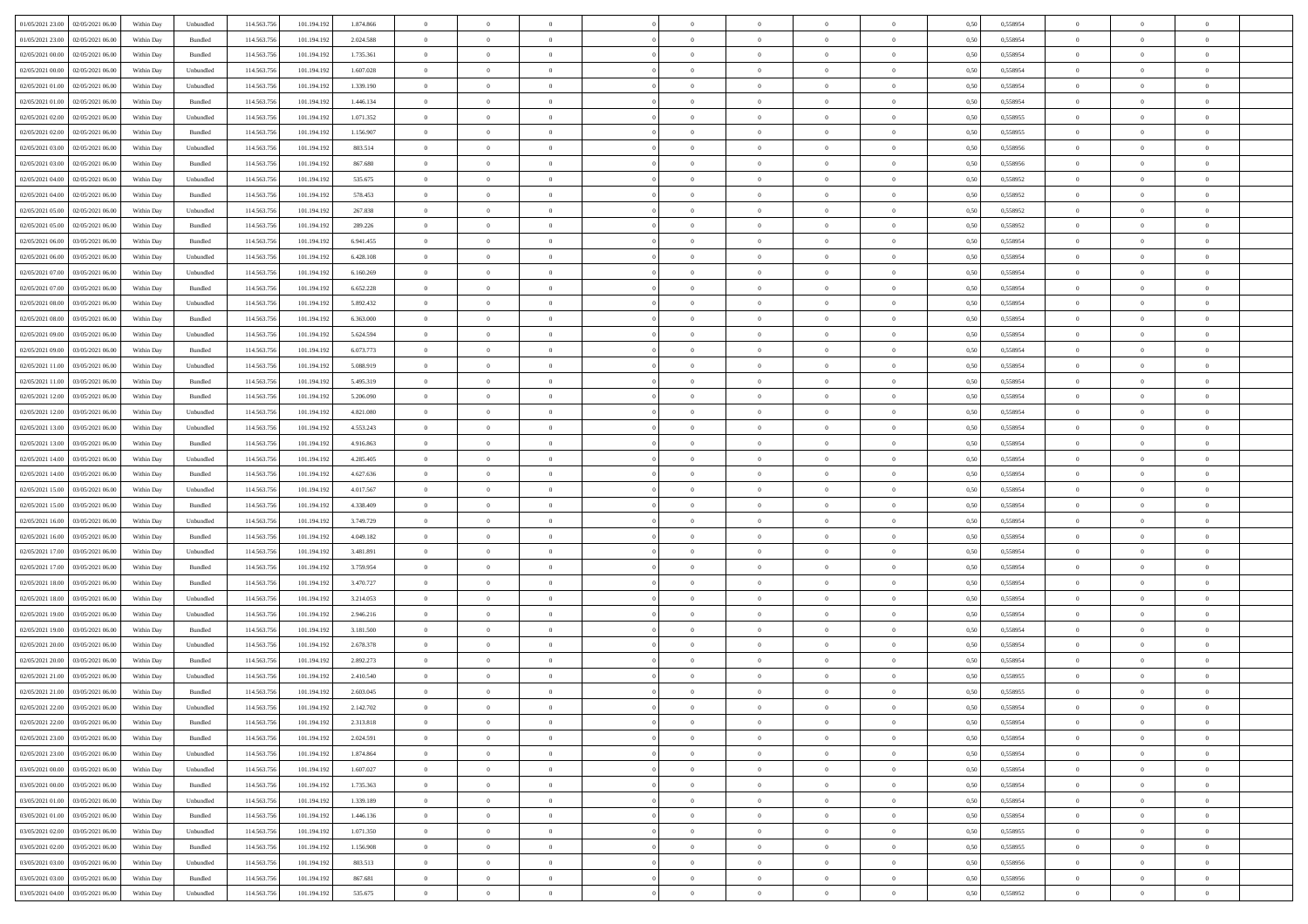|                                      |            |                             |             |             |           | $\overline{0}$ | $\overline{0}$ |                | $\overline{0}$ | $\theta$       |                | $\theta$       |      |          | $\theta$       | $\theta$       | $\overline{0}$ |  |
|--------------------------------------|------------|-----------------------------|-------------|-------------|-----------|----------------|----------------|----------------|----------------|----------------|----------------|----------------|------|----------|----------------|----------------|----------------|--|
| 01/05/2021 23:00 02/05/2021 06:00    | Within Day | Unbundled                   | 114.563.75  | 101.194.192 | 1.874.866 |                |                |                |                |                |                |                | 0,50 | 0,558954 |                |                |                |  |
| 01/05/2021 23:00<br>02/05/2021 06.00 | Within Day | Bundled                     | 114.563.75  | 101.194.19  | 2.024.588 | $\bf{0}$       | $\bf{0}$       | $\bf{0}$       | $\bf{0}$       | $\overline{0}$ | $\overline{0}$ | $\bf{0}$       | 0,50 | 0,558954 | $\,$ 0 $\,$    | $\bf{0}$       | $\overline{0}$ |  |
| 02/05/2021 00:00<br>02/05/2021 06:00 | Within Day | Bundled                     | 114,563,75  | 101.194.192 | 1.735.361 | $\overline{0}$ | $\bf{0}$       | $\overline{0}$ | $\bf{0}$       | $\bf{0}$       | $\overline{0}$ | $\bf{0}$       | 0.50 | 0.558954 | $\bf{0}$       | $\overline{0}$ | $\overline{0}$ |  |
| 02/05/2021 00:00<br>02/05/2021 06:00 | Within Day | Unbundled                   | 114.563.75  | 101.194.192 | 1.607.028 | $\overline{0}$ | $\overline{0}$ | $\overline{0}$ | $\overline{0}$ | $\theta$       | $\overline{0}$ | $\bf{0}$       | 0,50 | 0,558954 | $\theta$       | $\theta$       | $\overline{0}$ |  |
| 02/05/2021 01:00<br>02/05/2021 06.00 | Within Day | Unbundled                   | 114.563.75  | 101.194.192 | 1.339.190 | $\bf{0}$       | $\overline{0}$ | $\bf{0}$       | $\overline{0}$ | $\theta$       | $\overline{0}$ | $\bf{0}$       | 0,50 | 0,558954 | $\,$ 0 $\,$    | $\bf{0}$       | $\overline{0}$ |  |
|                                      |            |                             |             |             |           |                |                |                |                |                |                |                |      |          |                |                |                |  |
| 02/05/2021 01:00<br>02/05/2021 06:00 | Within Day | Bundled                     | 114,563,75  | 101.194.192 | 1.446.134 | $\overline{0}$ | $\bf{0}$       | $\overline{0}$ | $\bf{0}$       | $\overline{0}$ | $\theta$       | $\bf{0}$       | 0.50 | 0.558954 | $\,$ 0 $\,$    | $\theta$       | $\overline{0}$ |  |
| 02/05/2021 02:00<br>02/05/2021 06:00 | Within Day | Unbundled                   | 114.563.75  | 101.194.192 | 1.071.352 | $\overline{0}$ | $\overline{0}$ | $\overline{0}$ | $\overline{0}$ | $\overline{0}$ | $\overline{0}$ | $\bf{0}$       | 0,50 | 0,558955 | $\,$ 0 $\,$    | $\theta$       | $\overline{0}$ |  |
| 02/05/2021 02:00<br>02/05/2021 06.00 | Within Day | Bundled                     | 114.563.75  | 101.194.19  | 1.156.907 | $\bf{0}$       | $\bf{0}$       | $\bf{0}$       | $\overline{0}$ | $\overline{0}$ | $\overline{0}$ | $\bf{0}$       | 0,50 | 0,558955 | $\,$ 0 $\,$    | $\bf{0}$       | $\overline{0}$ |  |
| 02/05/2021 03:00<br>02/05/2021 06:00 | Within Day | Unbundled                   | 114,563,75  | 101.194.192 | 803.514   | $\overline{0}$ | $\bf{0}$       | $\overline{0}$ | $\bf{0}$       | $\overline{0}$ | $\overline{0}$ | $\bf{0}$       | 0.50 | 0.558956 | $\bf{0}$       | $\overline{0}$ | $\overline{0}$ |  |
| 02/05/2021 03:00<br>02/05/2021 06:00 | Within Day | Bundled                     | 114.563.75  | 101.194.192 | 867.680   | $\bf{0}$       | $\bf{0}$       | $\overline{0}$ | $\overline{0}$ | $\overline{0}$ | $\overline{0}$ | $\bf{0}$       | 0,50 | 0,558956 | $\,$ 0 $\,$    | $\,$ 0 $\,$    | $\overline{0}$ |  |
| 02/05/2021 04:00<br>02/05/2021 06.00 | Within Day | Unbundled                   | 114.563.75  | 101.194.192 | 535.675   | $\bf{0}$       | $\bf{0}$       | $\bf{0}$       | $\bf{0}$       | $\overline{0}$ | $\overline{0}$ | $\bf{0}$       | 0,50 | 0,558952 | $\,$ 0 $\,$    | $\bf{0}$       | $\overline{0}$ |  |
| 02/05/2021 04:00<br>02/05/2021 06:00 | Within Day | Bundled                     | 114,563,75  | 101.194.192 | 578.453   | $\overline{0}$ | $\bf{0}$       | $\overline{0}$ | $\overline{0}$ | $\bf{0}$       | $\overline{0}$ | $\bf{0}$       | 0.50 | 0.558952 | $\bf{0}$       | $\,$ 0 $\,$    | $\,$ 0         |  |
|                                      |            |                             |             |             |           | $\overline{0}$ | $\overline{0}$ | $\overline{0}$ | $\theta$       | $\theta$       | $\overline{0}$ |                |      |          | $\,$ 0 $\,$    | $\theta$       |                |  |
| 02/05/2021 05:00<br>02/05/2021 06:00 | Within Day | Unbundled                   | 114.563.75  | 101.194.192 | 267.838   |                |                |                |                |                |                | $\bf{0}$       | 0,50 | 0,558952 |                |                | $\overline{0}$ |  |
| 02/05/2021 05:00<br>02/05/2021 06.00 | Within Day | Bundled                     | 114.563.75  | 101.194.192 | 289.226   | $\bf{0}$       | $\overline{0}$ | $\bf{0}$       | $\bf{0}$       | $\bf{0}$       | $\overline{0}$ | $\bf{0}$       | 0,50 | 0,558952 | $\,$ 0 $\,$    | $\bf{0}$       | $\overline{0}$ |  |
| 02/05/2021 06:00<br>03/05/2021 06:00 | Within Day | Bundled                     | 114,563,75  | 101.194.192 | 6.941.455 | $\overline{0}$ | $\bf{0}$       | $\overline{0}$ | $\bf{0}$       | $\overline{0}$ | $\theta$       | $\bf{0}$       | 0.50 | 0.558954 | $\,$ 0 $\,$    | $\bf{0}$       | $\overline{0}$ |  |
| 02/05/2021 06:00<br>03/05/2021 06:00 | Within Day | Unbundled                   | 114.563.75  | 101.194.192 | 6.428.108 | $\overline{0}$ | $\overline{0}$ | $\overline{0}$ | $\overline{0}$ | $\overline{0}$ | $\overline{0}$ | $\bf{0}$       | 0,50 | 0,558954 | $\theta$       | $\theta$       | $\overline{0}$ |  |
| 02/05/2021 07:00<br>03/05/2021 06.00 | Within Day | Unbundled                   | 114.563.75  | 101.194.192 | 6.160.269 | $\bf{0}$       | $\bf{0}$       | $\bf{0}$       | $\overline{0}$ | $\overline{0}$ | $\overline{0}$ | $\bf{0}$       | 0,50 | 0,558954 | $\,$ 0 $\,$    | $\bf{0}$       | $\overline{0}$ |  |
| 02/05/2021 07:00<br>03/05/2021 06:00 | Within Day | Bundled                     | 114,563,75  | 101.194.192 | 6.652.228 | $\overline{0}$ | $\bf{0}$       | $\overline{0}$ | $\bf{0}$       | $\overline{0}$ | $\overline{0}$ | $\bf{0}$       | 0.50 | 0.558954 | $\bf{0}$       | $\overline{0}$ | $\overline{0}$ |  |
| 02/05/2021 08:00<br>03/05/2021 06:00 | Within Day | Unbundled                   | 114.563.75  | 101.194.192 | 5.892.432 | $\bf{0}$       | $\bf{0}$       | $\overline{0}$ | $\overline{0}$ | $\overline{0}$ | $\overline{0}$ | $\bf{0}$       | 0,50 | 0,558954 | $\,$ 0 $\,$    | $\bf{0}$       | $\overline{0}$ |  |
| 03/05/2021 06.00                     | Within Day | Bundled                     | 114.563.75  | 101.194.19  | 6.363.000 | $\bf{0}$       | $\bf{0}$       | $\bf{0}$       | $\bf{0}$       | $\overline{0}$ | $\overline{0}$ | $\bf{0}$       | 0,50 | 0,558954 | $\,$ 0 $\,$    | $\bf{0}$       | $\overline{0}$ |  |
| 02/05/2021 08:00                     |            |                             |             |             |           |                |                |                |                |                |                |                |      |          |                |                |                |  |
| 02/05/2021 09:00<br>03/05/2021 06:00 | Within Day | Unbundled                   | 114,563,75  | 101.194.192 | 5.624.594 | $\overline{0}$ | $\bf{0}$       | $\overline{0}$ | $\overline{0}$ | $\bf{0}$       | $\overline{0}$ | $\bf{0}$       | 0.50 | 0.558954 | $\bf{0}$       | $\overline{0}$ | $\,$ 0         |  |
| 02/05/2021 09:00<br>03/05/2021 06:00 | Within Day | Bundled                     | 114.563.75  | 101.194.192 | 6.073.773 | $\overline{0}$ | $\overline{0}$ | $\overline{0}$ | $\overline{0}$ | $\theta$       | $\overline{0}$ | $\bf{0}$       | 0,50 | 0,558954 | $\theta$       | $\theta$       | $\overline{0}$ |  |
| 02/05/2021 11:00<br>03/05/2021 06.00 | Within Day | Unbundled                   | 114.563.75  | 101.194.192 | 5.088.919 | $\bf{0}$       | $\bf{0}$       | $\bf{0}$       | $\bf{0}$       | $\overline{0}$ | $\overline{0}$ | $\bf{0}$       | 0,50 | 0,558954 | $\,$ 0 $\,$    | $\bf{0}$       | $\overline{0}$ |  |
| 02/05/2021 11:00<br>03/05/2021 06:00 | Within Day | Bundled                     | 114,563,75  | 101.194.192 | 5.495.319 | $\overline{0}$ | $\bf{0}$       | $\overline{0}$ | $\bf{0}$       | $\overline{0}$ | $\theta$       | $\bf{0}$       | 0.50 | 0.558954 | $\,$ 0 $\,$    | $\theta$       | $\overline{0}$ |  |
| 02/05/2021 12:00<br>03/05/2021 06:00 | Within Day | Bundled                     | 114.563.75  | 101.194.192 | 5.206.090 | $\overline{0}$ | $\overline{0}$ | $\overline{0}$ | $\overline{0}$ | $\overline{0}$ | $\overline{0}$ | $\bf{0}$       | 0,50 | 0,558954 | $\,$ 0 $\,$    | $\theta$       | $\overline{0}$ |  |
| 02/05/2021 12:00<br>03/05/2021 06.00 | Within Day | Unbundled                   | 114.563.75  | 101.194.19  | 4.821.080 | $\bf{0}$       | $\overline{0}$ | $\bf{0}$       | $\overline{0}$ | $\bf{0}$       | $\overline{0}$ | $\bf{0}$       | 0,50 | 0,558954 | $\,$ 0 $\,$    | $\bf{0}$       | $\overline{0}$ |  |
| 02/05/2021 13:00<br>03/05/2021 06:00 | Within Day | Unbundled                   | 114,563,75  | 101.194.192 | 4.553.243 | $\overline{0}$ | $\bf{0}$       | $\overline{0}$ | $\bf{0}$       | $\overline{0}$ | $\overline{0}$ | $\bf{0}$       | 0.50 | 0.558954 | $\bf{0}$       | $\overline{0}$ | $\overline{0}$ |  |
| 02/05/2021 13:00<br>03/05/2021 06:00 |            |                             | 114.563.75  |             |           | $\overline{0}$ | $\bf{0}$       | $\overline{0}$ | $\overline{0}$ | $\overline{0}$ | $\overline{0}$ |                |      |          | $\theta$       | $\theta$       | $\overline{0}$ |  |
|                                      | Within Day | Bundled                     |             | 101.194.192 | 4.916.863 |                |                |                |                |                |                | $\bf{0}$       | 0,50 | 0,558954 |                |                |                |  |
| 02/05/2021 14:00<br>03/05/2021 06.00 | Within Day | Unbundled                   | 114.563.75  | 101.194.19  | 4.285.405 | $\bf{0}$       | $\bf{0}$       | $\bf{0}$       | $\bf{0}$       | $\overline{0}$ | $\overline{0}$ | $\bf{0}$       | 0,50 | 0,558954 | $\,$ 0 $\,$    | $\bf{0}$       | $\overline{0}$ |  |
| 02/05/2021 14:00<br>03/05/2021 06:00 | Within Day | Bundled                     | 114,563,75  | 101.194.192 | 4.627.636 | $\overline{0}$ | $\bf{0}$       | $\overline{0}$ | $\overline{0}$ | $\bf{0}$       | $\overline{0}$ | $\bf{0}$       | 0.50 | 0.558954 | $\bf{0}$       | $\,$ 0 $\,$    | $\,$ 0         |  |
| 02/05/2021 15:00<br>03/05/2021 06:00 | Within Day | Unbundled                   | 114.563.75  | 101.194.192 | 4.017.567 | $\overline{0}$ | $\overline{0}$ | $\overline{0}$ | $\overline{0}$ | $\overline{0}$ | $\overline{0}$ | $\bf{0}$       | 0.50 | 0.558954 | $\theta$       | $\theta$       | $\overline{0}$ |  |
| 02/05/2021 15:00<br>03/05/2021 06.00 | Within Day | Bundled                     | 114.563.75  | 101.194.19  | 4.338.409 | $\bf{0}$       | $\bf{0}$       | $\bf{0}$       | $\bf{0}$       | $\overline{0}$ | $\overline{0}$ | $\bf{0}$       | 0,50 | 0,558954 | $\,$ 0 $\,$    | $\bf{0}$       | $\overline{0}$ |  |
| 02/05/2021 16:00<br>03/05/2021 06:00 | Within Day | Unbundled                   | 114,563,75  | 101.194.192 | 3.749.729 | $\overline{0}$ | $\bf{0}$       | $\overline{0}$ | $\bf{0}$       | $\overline{0}$ | $\overline{0}$ | $\bf{0}$       | 0.50 | 0.558954 | $\,$ 0 $\,$    | $\bf{0}$       | $\overline{0}$ |  |
| 02/05/2021 16:00<br>03/05/2021 06:00 | Within Dav | Bundled                     | 114.563.75  | 101.194.192 | 4.049.182 | $\overline{0}$ | $\overline{0}$ | $\overline{0}$ | $\overline{0}$ | $\overline{0}$ | $\overline{0}$ | $\bf{0}$       | 0.5( | 0,558954 | $\theta$       | $\theta$       | $\overline{0}$ |  |
| 02/05/2021 17:00<br>03/05/2021 06.00 | Within Day | Unbundled                   | 114.563.75  | 101.194.192 | 3.481.891 | $\bf{0}$       | $\bf{0}$       | $\bf{0}$       | $\bf{0}$       | $\overline{0}$ | $\overline{0}$ | $\bf{0}$       | 0,50 | 0,558954 | $\,$ 0 $\,$    | $\bf{0}$       | $\overline{0}$ |  |
| 02/05/2021 17:00<br>03/05/2021 06:00 | Within Day | Bundled                     | 114,563,75  | 101.194.192 | 3.759.954 | $\overline{0}$ | $\bf{0}$       | $\overline{0}$ | $\bf{0}$       | $\overline{0}$ | $\overline{0}$ | $\bf{0}$       | 0.50 | 0.558954 | $\bf{0}$       | $\overline{0}$ | $\overline{0}$ |  |
|                                      |            |                             |             |             |           |                |                |                |                |                |                |                |      |          |                |                |                |  |
| 02/05/2021 18:00<br>03/05/2021 06:00 | Within Day | Bundled                     | 114.563.75  | 101.194.192 | 3.470.727 | $\overline{0}$ | $\overline{0}$ | $\overline{0}$ | $\overline{0}$ | $\overline{0}$ | $\overline{0}$ | $\bf{0}$       | 0.50 | 0,558954 | $\theta$       | $\theta$       | $\overline{0}$ |  |
| 02/05/2021 18:00<br>03/05/2021 06.00 | Within Day | Unbundled                   | 114.563.75  | 101.194.192 | 3.214.053 | $\bf{0}$       | $\bf{0}$       | $\bf{0}$       | $\bf{0}$       | $\overline{0}$ | $\overline{0}$ | $\bf{0}$       | 0,50 | 0,558954 | $\,$ 0 $\,$    | $\bf{0}$       | $\overline{0}$ |  |
| 02/05/2021 19:00<br>03/05/2021 06:00 | Within Day | Unbundled                   | 114,563,75  | 101.194.192 | 2.946.216 | $\overline{0}$ | $\bf{0}$       | $\overline{0}$ | $\overline{0}$ | $\bf{0}$       | $\overline{0}$ | $\bf{0}$       | 0.50 | 0.558954 | $\bf{0}$       | $\,$ 0 $\,$    | $\overline{0}$ |  |
| 02/05/2021 19:00<br>03/05/2021 06:00 | Within Day | Bundled                     | 114.563.75  | 101.194.192 | 3.181.500 | $\overline{0}$ | $\overline{0}$ | $\overline{0}$ | $\overline{0}$ | $\overline{0}$ | $\overline{0}$ | $\bf{0}$       | 0.50 | 0,558954 | $\theta$       | $\theta$       | $\overline{0}$ |  |
| 02/05/2021 20:00<br>03/05/2021 06.00 | Within Day | Unbundled                   | 114.563.75  | 101.194.192 | 2.678.378 | $\bf{0}$       | $\bf{0}$       | $\bf{0}$       | $\bf{0}$       | $\overline{0}$ | $\overline{0}$ | $\bf{0}$       | 0,50 | 0,558954 | $\,$ 0 $\,$    | $\bf{0}$       | $\overline{0}$ |  |
| 02/05/2021 20:00<br>03/05/2021 06:00 | Within Day | Bundled                     | 114,563,75  | 101.194.192 | 2.892.273 | $\overline{0}$ | $\overline{0}$ | $\overline{0}$ | $\bf{0}$       | $\overline{0}$ | $\overline{0}$ | $\bf{0}$       | 0.50 | 0.558954 | $\bf{0}$       | $\theta$       | $\overline{0}$ |  |
| 02/05/2021 21:00<br>03/05/2021 06:00 | Within Dav | Unbundled                   | 114.563.75  | 101.194.19  | 2.410.540 | $\overline{0}$ | $\overline{0}$ | $\overline{0}$ | $\overline{0}$ | $\theta$       | $\overline{0}$ | $\overline{0}$ | 0.5( | 0,558955 | $\theta$       | $\theta$       | $\overline{0}$ |  |
| 02/05/2021 21:00<br>03/05/2021 06:00 | Within Day | Bundled                     | 114.563.75  | 101.194.192 | 2.603.045 | $\bf{0}$       | $\bf{0}$       | $\bf{0}$       | $\bf{0}$       | $\bf{0}$       | $\overline{0}$ | $\bf{0}$       | 0,50 | 0,558955 | $\overline{0}$ | $\overline{0}$ | $\overline{0}$ |  |
| 02/05/2021 22:00 03/05/2021 06:00    | Within Day | $\ensuremath{\mathsf{Unb}}$ | 114.563.756 | 101.194.192 | 2.142.702 | $\bf{0}$       | $\theta$       |                | $\overline{0}$ |                |                |                | 0,50 | 0.558954 | $\theta$       | $\overline{0}$ |                |  |
|                                      |            |                             |             |             |           |                |                |                |                |                |                |                |      |          |                |                |                |  |
| 02/05/2021 22:00 03/05/2021 06:00    | Within Day | Bundled                     | 114.563.756 | 101.194.192 | 2.313.818 | $\overline{0}$ | $\overline{0}$ | $\Omega$       | $\theta$       | $\overline{0}$ | $\overline{0}$ | $\bf{0}$       | 0,50 | 0,558954 | $\theta$       | $\theta$       | $\overline{0}$ |  |
| 02/05/2021 23:00<br>03/05/2021 06:00 | Within Day | Bundled                     | 114.563.75  | 101.194.192 | 2.024.591 | $\overline{0}$ | $\bf{0}$       | $\overline{0}$ | $\overline{0}$ | $\bf{0}$       | $\overline{0}$ | $\bf{0}$       | 0,50 | 0,558954 | $\bf{0}$       | $\overline{0}$ | $\bf{0}$       |  |
| 02/05/2021 23:00 03/05/2021 06:00    | Within Day | Unbundled                   | 114,563,756 | 101.194.192 | 1.874.864 | $\overline{0}$ | $\bf{0}$       | $\overline{0}$ | $\overline{0}$ | $\mathbf{0}$   | $\overline{0}$ | $\,$ 0 $\,$    | 0.50 | 0.558954 | $\overline{0}$ | $\bf{0}$       | $\overline{0}$ |  |
| 03/05/2021 00:00 03/05/2021 06:00    | Within Day | Unbundled                   | 114.563.756 | 101.194.192 | 1.607.027 | $\overline{0}$ | $\overline{0}$ | $\overline{0}$ | $\overline{0}$ | $\overline{0}$ | $\overline{0}$ | $\bf{0}$       | 0,50 | 0,558954 | $\overline{0}$ | $\theta$       | $\overline{0}$ |  |
| 03/05/2021 00:00<br>03/05/2021 06:00 | Within Day | Bundled                     | 114.563.75  | 101.194.192 | 1.735.363 | $\overline{0}$ | $\bf{0}$       | $\overline{0}$ | $\overline{0}$ | $\bf{0}$       | $\overline{0}$ | $\bf{0}$       | 0,50 | 0,558954 | $\bf{0}$       | $\overline{0}$ | $\overline{0}$ |  |
| 03/05/2021 01:00 03/05/2021 06:00    | Within Day | Unbundled                   | 114.563.756 | 101.194.192 | 1.339.189 | $\overline{0}$ | $\bf{0}$       | $\overline{0}$ | $\overline{0}$ | $\bf{0}$       | $\overline{0}$ | $\bf{0}$       | 0.50 | 0.558954 | $\,$ 0 $\,$    | $\overline{0}$ | $\overline{0}$ |  |
| 03/05/2021 01:00<br>03/05/2021 06:00 | Within Dav | Bundled                     | 114.563.756 | 101.194.192 | 1.446.136 | $\overline{0}$ | $\overline{0}$ | $\overline{0}$ | $\overline{0}$ | $\overline{0}$ | $\overline{0}$ | $\bf{0}$       | 0.50 | 0,558954 | $\overline{0}$ | $\theta$       | $\overline{0}$ |  |
|                                      |            |                             |             |             |           |                |                |                |                |                |                |                |      |          |                |                |                |  |
| 03/05/2021 02:00<br>03/05/2021 06:00 | Within Day | Unbundled                   | 114.563.75  | 101.194.192 | 1.071.350 | $\overline{0}$ | $\overline{0}$ | $\overline{0}$ | $\overline{0}$ | $\overline{0}$ | $\overline{0}$ | $\bf{0}$       | 0,50 | 0,558955 | $\bf{0}$       | $\overline{0}$ | $\overline{0}$ |  |
| 03/05/2021 02:00 03/05/2021 06:00    | Within Day | Bundled                     | 114.563.75  | 101.194.192 | 1.156.908 | $\overline{0}$ | $\overline{0}$ | $\overline{0}$ | $\overline{0}$ | $\overline{0}$ | $\overline{0}$ | $\bf{0}$       | 0.50 | 0.558955 | $\mathbf{0}$   | $\bf{0}$       | $\,$ 0         |  |
| 03/05/2021 03:00 03/05/2021 06:00    | Within Dav | Unbundled                   | 114.563.756 | 101.194.192 | 803.513   | $\overline{0}$ | $\overline{0}$ | $\overline{0}$ | $\overline{0}$ | $\overline{0}$ | $\overline{0}$ | $\bf{0}$       | 0,50 | 0,558956 | $\overline{0}$ | $\theta$       | $\overline{0}$ |  |
| 03/05/2021 03:00<br>03/05/2021 06:00 | Within Day | Bundled                     | 114.563.75  | 101.194.192 | 867.681   | $\overline{0}$ | $\bf{0}$       | $\overline{0}$ | $\overline{0}$ | $\overline{0}$ | $\overline{0}$ | $\bf{0}$       | 0,50 | 0,558956 | $\bf{0}$       | $\overline{0}$ | $\bf{0}$       |  |
| 03/05/2021 04:00 03/05/2021 06:00    | Within Day | ${\sf Unbundred}$           | 114.563.756 | 101.194.192 | 535.675   | $\overline{0}$ | $\bf{0}$       | $\overline{0}$ | $\overline{0}$ | $\,$ 0 $\,$    | $\overline{0}$ | $\bf{0}$       | 0,50 | 0,558952 | $\overline{0}$ | $\,$ 0 $\,$    | $\,$ 0 $\,$    |  |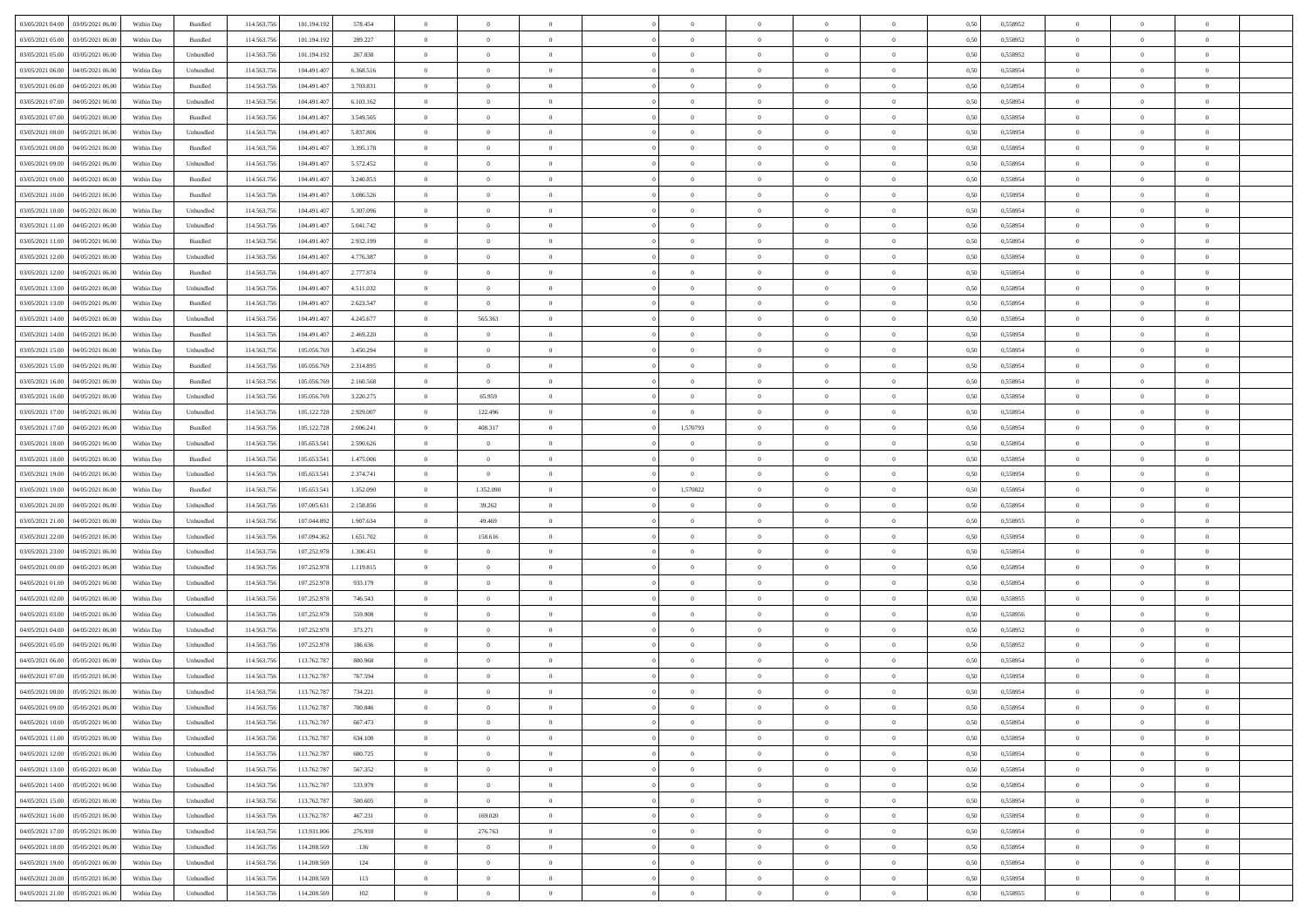|                                              |            |                             |             |             |           | $\overline{0}$ | $\theta$       |                | $\overline{0}$ | $\theta$       |                | $\theta$       |      |          | $\theta$       | $\theta$       | $\theta$       |  |
|----------------------------------------------|------------|-----------------------------|-------------|-------------|-----------|----------------|----------------|----------------|----------------|----------------|----------------|----------------|------|----------|----------------|----------------|----------------|--|
| 03/05/2021 04:00 03/05/2021 06:00            | Within Day | Bundled                     | 114.563.75  | 101.194.192 | 578.454   |                |                |                |                |                |                |                | 0,50 | 0,558952 |                |                |                |  |
| 03/05/2021 05:00<br>03/05/2021 06:00         | Within Day | Bundled                     | 114.563.75  | 101.194.192 | 289.227   | $\bf{0}$       | $\bf{0}$       | $\bf{0}$       | $\bf{0}$       | $\overline{0}$ | $\overline{0}$ | $\bf{0}$       | 0,50 | 0,558952 | $\,$ 0 $\,$    | $\bf{0}$       | $\overline{0}$ |  |
| 03/05/2021 05:00<br>03/05/2021 06:00         | Within Day | Unbundled                   | 114,563,75  | 101.194.192 | 267.838   | $\overline{0}$ | $\bf{0}$       | $\overline{0}$ | $\bf{0}$       | $\bf{0}$       | $\overline{0}$ | $\bf{0}$       | 0.50 | 0.558952 | $\bf{0}$       | $\overline{0}$ | $\overline{0}$ |  |
| 03/05/2021 06:00<br>04/05/2021 06:00         | Within Day | Unbundled                   | 114.563.75  | 104.491.407 | 6.368.516 | $\overline{0}$ | $\overline{0}$ | $\overline{0}$ | $\theta$       | $\theta$       | $\overline{0}$ | $\bf{0}$       | 0,50 | 0,558954 | $\theta$       | $\theta$       | $\overline{0}$ |  |
| 03/05/2021 06:00<br>04/05/2021 06.00         | Within Day | Bundled                     | 114.563.75  | 104.491.40  | 3.703.831 | $\overline{0}$ | $\overline{0}$ | $\bf{0}$       | $\overline{0}$ | $\theta$       | $\overline{0}$ | $\bf{0}$       | 0,50 | 0,558954 | $\,$ 0 $\,$    | $\bf{0}$       | $\overline{0}$ |  |
|                                              |            |                             |             |             |           |                |                |                |                |                | $\theta$       |                |      |          |                |                |                |  |
| 03/05/2021 07:00<br>04/05/2021 06:00         | Within Day | Unbundled                   | 114,563,75  | 104.491.40  | 6.103.162 | $\overline{0}$ | $\overline{0}$ | $\overline{0}$ | $\bf{0}$       | $\overline{0}$ |                | $\bf{0}$       | 0.50 | 0.558954 | $\,$ 0 $\,$    | $\theta$       | $\overline{0}$ |  |
| 03/05/2021 07:00<br>04/05/2021 06:00         | Within Day | Bundled                     | 114.563.75  | 104.491.407 | 3.549.505 | $\overline{0}$ | $\overline{0}$ | $\overline{0}$ | $\overline{0}$ | $\overline{0}$ | $\overline{0}$ | $\bf{0}$       | 0,50 | 0,558954 | $\theta$       | $\theta$       | $\overline{0}$ |  |
| 03/05/2021 08:00<br>04/05/2021 06.00         | Within Day | Unbundled                   | 114.563.75  | 104.491.40  | 5.837.806 | $\overline{0}$ | $\overline{0}$ | $\bf{0}$       | $\overline{0}$ | $\overline{0}$ | $\overline{0}$ | $\bf{0}$       | 0,50 | 0,558954 | $\,$ 0 $\,$    | $\bf{0}$       | $\overline{0}$ |  |
| 03/05/2021 08:00<br>04/05/2021 06:00         | Within Day | Bundled                     | 114,563,75  | 104.491.40  | 3.395.178 | $\overline{0}$ | $\bf{0}$       | $\overline{0}$ | $\bf{0}$       | $\overline{0}$ | $\overline{0}$ | $\bf{0}$       | 0.50 | 0.558954 | $\bf{0}$       | $\overline{0}$ | $\overline{0}$ |  |
| 03/05/2021 09:00<br>04/05/2021 06:00         | Within Day | Unbundled                   | 114.563.75  | 104.491.407 | 5.572.452 | $\overline{0}$ | $\bf{0}$       | $\overline{0}$ | $\overline{0}$ | $\overline{0}$ | $\overline{0}$ | $\bf{0}$       | 0,50 | 0,558954 | $\,$ 0 $\,$    | $\bf{0}$       | $\overline{0}$ |  |
| 03/05/2021 09:00<br>04/05/2021 06.00         | Within Day | Bundled                     | 114.563.75  | 104.491.40  | 3.240.853 | $\bf{0}$       | $\overline{0}$ | $\bf{0}$       | $\bf{0}$       | $\bf{0}$       | $\overline{0}$ | $\bf{0}$       | 0,50 | 0,558954 | $\,$ 0 $\,$    | $\bf{0}$       | $\overline{0}$ |  |
| 03/05/2021 10:00<br>04/05/2021 06:00         | Within Day | Bundled                     | 114,563,75  | 104.491.407 | 3.086.526 | $\overline{0}$ | $\bf{0}$       | $\overline{0}$ | $\overline{0}$ | $\bf{0}$       | $\overline{0}$ | $\bf{0}$       | 0.50 | 0.558954 | $\bf{0}$       | $\overline{0}$ | $\,$ 0         |  |
| 03/05/2021 10:00<br>04/05/2021 06:00         | Within Day | Unbundled                   | 114.563.75  | 104.491.407 | 5.307.096 | $\overline{0}$ | $\overline{0}$ | $\overline{0}$ | $\theta$       | $\theta$       | $\overline{0}$ | $\bf{0}$       | 0,50 | 0,558954 | $\theta$       | $\theta$       | $\overline{0}$ |  |
|                                              |            |                             |             |             |           |                |                |                |                |                |                |                |      |          |                |                |                |  |
| 03/05/2021 11:00<br>04/05/2021 06.00         | Within Day | Unbundled                   | 114.563.75  | 104.491.40  | 5.041.742 | $\bf{0}$       | $\overline{0}$ | $\bf{0}$       | $\overline{0}$ | $\theta$       | $\overline{0}$ | $\bf{0}$       | 0,50 | 0,558954 | $\,$ 0 $\,$    | $\bf{0}$       | $\overline{0}$ |  |
| 03/05/2021 11:00<br>04/05/2021 06:00         | Within Day | Bundled                     | 114,563,75  | 104.491.40  | 2.932.199 | $\overline{0}$ | $\overline{0}$ | $\overline{0}$ | $\bf{0}$       | $\overline{0}$ | $\theta$       | $\bf{0}$       | 0.50 | 0.558954 | $\,$ 0 $\,$    | $\theta$       | $\overline{0}$ |  |
| 03/05/2021 12:00<br>04/05/2021 06:00         | Within Day | Unbundled                   | 114.563.75  | 104.491.407 | 4.776.387 | $\overline{0}$ | $\overline{0}$ | $\overline{0}$ | $\overline{0}$ | $\overline{0}$ | $\overline{0}$ | $\bf{0}$       | 0,50 | 0,558954 | $\theta$       | $\theta$       | $\overline{0}$ |  |
| 03/05/2021 12:00<br>04/05/2021 06.00         | Within Day | Bundled                     | 114.563.75  | 104.491.40  | 2.777.874 | $\bf{0}$       | $\overline{0}$ | $\bf{0}$       | $\overline{0}$ | $\bf{0}$       | $\overline{0}$ | $\bf{0}$       | 0,50 | 0,558954 | $\,$ 0 $\,$    | $\bf{0}$       | $\overline{0}$ |  |
| 03/05/2021 13:00<br>04/05/2021 06:00         | Within Day | Unbundled                   | 114,563,75  | 104.491.40  | 4.511.032 | $\overline{0}$ | $\bf{0}$       | $\overline{0}$ | $\bf{0}$       | $\overline{0}$ | $\overline{0}$ | $\bf{0}$       | 0.50 | 0.558954 | $\bf{0}$       | $\overline{0}$ | $\overline{0}$ |  |
| 03/05/2021 13:00<br>04/05/2021 06:00         | Within Day | Bundled                     | 114.563.75  | 104.491.407 | 2.623.547 | $\overline{0}$ | $\bf{0}$       | $\overline{0}$ | $\overline{0}$ | $\overline{0}$ | $\overline{0}$ | $\bf{0}$       | 0,50 | 0,558954 | $\,$ 0 $\,$    | $\theta$       | $\overline{0}$ |  |
| 03/05/2021 14:00<br>04/05/2021 06.00         | Within Day | Unbundled                   | 114.563.75  | 104.491.40  | 4.245.677 | $\bf{0}$       | 565.363        | $\bf{0}$       | $\bf{0}$       | $\overline{0}$ | $\overline{0}$ | $\bf{0}$       | 0,50 | 0,558954 | $\,$ 0 $\,$    | $\bf{0}$       | $\overline{0}$ |  |
| 04/05/2021 06:00                             |            | Bundled                     | 114,563,75  |             |           |                |                | $\overline{0}$ |                |                | $\overline{0}$ |                |      | 0.558954 |                |                | $\,$ 0         |  |
| 03/05/2021 14:00                             | Within Day |                             |             | 104.491.407 | 2.469.220 | $\overline{0}$ | $\bf{0}$       |                | $\bf{0}$       | $\bf{0}$       |                | $\bf{0}$       | 0.50 |          | $\bf{0}$       | $\overline{0}$ |                |  |
| 03/05/2021 15:00<br>04/05/2021 06:00         | Within Day | Unbundled                   | 114.563.75  | 105.056.769 | 3.450.294 | $\overline{0}$ | $\overline{0}$ | $\overline{0}$ | $\theta$       | $\theta$       | $\overline{0}$ | $\bf{0}$       | 0,50 | 0,558954 | $\theta$       | $\theta$       | $\overline{0}$ |  |
| 03/05/2021 15:00<br>04/05/2021 06.00         | Within Day | Bundled                     | 114.563.75  | 105.056.76  | 2.314.895 | $\bf{0}$       | $\overline{0}$ | $\bf{0}$       | $\bf{0}$       | $\,$ 0 $\,$    | $\overline{0}$ | $\bf{0}$       | 0,50 | 0,558954 | $\,$ 0 $\,$    | $\bf{0}$       | $\overline{0}$ |  |
| 03/05/2021 16:00<br>04/05/2021 06:00         | Within Day | Bundled                     | 114,563,75  | 105.056.769 | 2.160.568 | $\overline{0}$ | $\overline{0}$ | $\overline{0}$ | $\overline{0}$ | $\overline{0}$ | $\theta$       | $\bf{0}$       | 0.50 | 0.558954 | $\,$ 0 $\,$    | $\theta$       | $\overline{0}$ |  |
| 03/05/2021 16:00<br>04/05/2021 06:00         | Within Day | Unbundled                   | 114.563.75  | 105.056.769 | 3.220.275 | $\overline{0}$ | 65.959         | $\overline{0}$ | $\overline{0}$ | $\overline{0}$ | $\overline{0}$ | $\bf{0}$       | 0,50 | 0,558954 | $\theta$       | $\theta$       | $\overline{0}$ |  |
| 03/05/2021 17:00<br>04/05/2021 06.00         | Within Day | Unbundled                   | 114.563.75  | 105.122.728 | 2.929.007 | $\bf{0}$       | 122.496        | $\bf{0}$       | $\overline{0}$ | $\overline{0}$ | $\overline{0}$ | $\bf{0}$       | 0,50 | 0,558954 | $\,$ 0 $\,$    | $\bf{0}$       | $\overline{0}$ |  |
| 03/05/2021 17:00<br>04/05/2021 06:00         | Within Day | Bundled                     | 114,563,75  | 105.122.728 | 2.006.241 | $\overline{0}$ | 408,317        | $\overline{0}$ | 1,570793       | $\overline{0}$ | $\overline{0}$ | $\bf{0}$       | 0.50 | 0.558954 | $\bf{0}$       | $\overline{0}$ | $\overline{0}$ |  |
| 03/05/2021 18:00<br>04/05/2021 06:00         | Within Day | Unbundled                   | 114.563.75  | 105.653.541 | 2.590.626 | $\overline{0}$ | $\overline{0}$ | $\overline{0}$ | $\overline{0}$ | $\overline{0}$ | $\overline{0}$ | $\bf{0}$       | 0,50 | 0,558954 | $\theta$       | $\theta$       | $\overline{0}$ |  |
| 03/05/2021 18:00<br>04/05/2021 06.00         | Within Day | Bundled                     | 114.563.75  | 105.653.54  | 1.475.006 | $\bf{0}$       | $\bf{0}$       | $\bf{0}$       | $\bf{0}$       | $\overline{0}$ | $\overline{0}$ | $\bf{0}$       | 0,50 | 0,558954 | $\,$ 0 $\,$    | $\bf{0}$       | $\overline{0}$ |  |
|                                              |            |                             |             |             |           |                |                |                |                |                |                |                |      |          |                |                |                |  |
| 03/05/2021 19:00<br>04/05/2021 06:00         | Within Day | Unbundled                   | 114,563,75  | 105,653.54  | 2.374.741 | $\overline{0}$ | $\overline{0}$ | $\overline{0}$ | $\overline{0}$ | $\bf{0}$       | $\overline{0}$ | $\bf{0}$       | 0.50 | 0.558954 | $\bf{0}$       | $\overline{0}$ | $\bf{0}$       |  |
| 03/05/2021 19:00<br>04/05/2021 06:00         | Within Day | Bundled                     | 114.563.75  | 105,653.54  | 1.352.090 | $\overline{0}$ | 1.352.090      | $\overline{0}$ | 1,570822       | $\overline{0}$ | $\overline{0}$ | $\bf{0}$       | 0.50 | 0.558954 | $\theta$       | $\theta$       | $\overline{0}$ |  |
| 03/05/2021 20:00<br>04/05/2021 06.00         | Within Day | Unbundled                   | 114.563.75  | 107.005.63  | 2.158.856 | $\bf{0}$       | 39.262         | $\bf{0}$       | $\overline{0}$ | $\overline{0}$ | $\overline{0}$ | $\bf{0}$       | 0,50 | 0,558954 | $\,$ 0 $\,$    | $\bf{0}$       | $\overline{0}$ |  |
| 03/05/2021 21:00<br>04/05/2021 06:00         | Within Day | Unbundled                   | 114,563,75  | 107.044.892 | 1.907.634 | $\overline{0}$ | 49.469         | $\overline{0}$ | $\bf{0}$       | $\overline{0}$ | $\Omega$       | $\bf{0}$       | 0.50 | 0.558955 | $\,$ 0 $\,$    | $\theta$       | $\overline{0}$ |  |
| 03/05/2021 22:00<br>04/05/2021 06:00         | Within Dav | Unbundled                   | 114.563.75  | 107.094.362 | 1.651.702 | $\overline{0}$ | 158.616        | $\overline{0}$ | $\overline{0}$ | $\overline{0}$ | $\overline{0}$ | $\bf{0}$       | 0.5( | 0,558954 | $\theta$       | $\theta$       | $\overline{0}$ |  |
| 03/05/2021 23:00<br>04/05/2021 06.00         | Within Day | Unbundled                   | 114.563.75  | 107.252.978 | 1.306.451 | $\bf{0}$       | $\theta$       | $\bf{0}$       | $\bf{0}$       | $\bf{0}$       | $\overline{0}$ | $\bf{0}$       | 0,50 | 0,558954 | $\,$ 0 $\,$    | $\bf{0}$       | $\overline{0}$ |  |
| 04/05/2021 00:00<br>04/05/2021 06:00         | Within Day | Unbundled                   | 114,563,75  | 107.252.978 | 1.119.815 | $\overline{0}$ | $\bf{0}$       | $\overline{0}$ | $\bf{0}$       | $\overline{0}$ | $\overline{0}$ | $\bf{0}$       | 0.50 | 0.558954 | $\bf{0}$       | $\overline{0}$ | $\overline{0}$ |  |
| 04/05/2021 01:00<br>04/05/2021 06:00         | Within Dav | Unbundled                   | 114.563.75  | 107.252.978 | 933.179   | $\overline{0}$ | $\overline{0}$ | $\overline{0}$ | $\overline{0}$ | $\overline{0}$ | $\overline{0}$ | $\bf{0}$       | 0.50 | 0,558954 | $\theta$       | $\theta$       | $\overline{0}$ |  |
|                                              |            |                             |             |             |           | $\bf{0}$       | $\bf{0}$       | $\bf{0}$       |                | $\overline{0}$ | $\overline{0}$ |                |      |          | $\,$ 0 $\,$    | $\bf{0}$       | $\overline{0}$ |  |
| 04/05/2021 02:00<br>04/05/2021 06.00         | Within Day | Unbundled                   | 114.563.75  | 107.252.978 | 746.543   |                |                |                | $\bf{0}$       |                |                | $\bf{0}$       | 0,50 | 0,558955 |                |                |                |  |
| 04/05/2021 03:00<br>04/05/2021 06:00         | Within Day | Unbundled                   | 114,563,75  | 107.252.978 | 559,908   | $\overline{0}$ | $\bf{0}$       | $\overline{0}$ | $\overline{0}$ | $\bf{0}$       | $\overline{0}$ | $\bf{0}$       | 0.50 | 0.558956 | $\bf{0}$       | $\overline{0}$ | $\overline{0}$ |  |
| 04/05/2021 04:00<br>04/05/2021 06:00         | Within Dav | Unbundled                   | 114.563.75  | 107.252.978 | 373.271   | $\overline{0}$ | $\overline{0}$ | $\overline{0}$ | $\overline{0}$ | $\overline{0}$ | $\overline{0}$ | $\bf{0}$       | 0.50 | 0,558952 | $\theta$       | $\theta$       | $\overline{0}$ |  |
| 04/05/2021 05:00<br>04/05/2021 06.00         | Within Day | Unbundled                   | 114.563.75  | 107.252.978 | 186.636   | $\bf{0}$       | $\bf{0}$       | $\bf{0}$       | $\bf{0}$       | $\overline{0}$ | $\overline{0}$ | $\bf{0}$       | 0,50 | 0,558952 | $\,$ 0 $\,$    | $\bf{0}$       | $\overline{0}$ |  |
| 04/05/2021 06:00<br>05/05/2021 06:00         | Within Day | Unbundled                   | 114,563,75  | 113.762.78  | 800,968   | $\overline{0}$ | $\overline{0}$ | $\overline{0}$ | $\bf{0}$       | $\overline{0}$ | $\Omega$       | $\bf{0}$       | 0.50 | 0.558954 | $\bf{0}$       | $\theta$       | $\overline{0}$ |  |
| 04/05/2021 07:00<br>05/05/2021 06:00         | Within Dav | Unbundled                   | 114.563.75  | 113.762.787 | 767.594   | $\overline{0}$ | $\overline{0}$ | $\Omega$       | $\overline{0}$ | $\theta$       | $\overline{0}$ | $\overline{0}$ | 0.5( | 0,558954 | $\theta$       | $\theta$       | $\overline{0}$ |  |
| 04/05/2021 08:00<br>05/05/2021 06:00         | Within Day | Unbundled                   | 114.563.75  | 113.762.787 | 734.221   | $\bf{0}$       | $\bf{0}$       | $\bf{0}$       | $\bf{0}$       | $\bf{0}$       | $\overline{0}$ | $\bf{0}$       | 0,50 | 0,558954 | $\overline{0}$ | $\overline{0}$ | $\overline{0}$ |  |
| $04/05/2021\;09.00 \qquad 05/05/2021\;06.00$ | Within Day | $\ensuremath{\mathsf{Unb}}$ | 114.563.756 | 113.762.787 | 700 846   | $\overline{0}$ | $\Omega$       |                | $\Omega$       |                |                |                | 0,50 | 0.558954 | $\theta$       | $\overline{0}$ |                |  |
| 04/05/2021 10:00 05/05/2021 06:00            | Within Day | Unbundled                   | 114.563.756 | 113.762.787 | 667.473   | $\overline{0}$ | $\overline{0}$ | $\Omega$       | $\theta$       | $\overline{0}$ | $\overline{0}$ | $\bf{0}$       | 0,50 | 0,558954 | $\theta$       | $\theta$       | $\overline{0}$ |  |
|                                              |            |                             |             |             |           |                |                |                |                |                |                |                |      |          |                |                |                |  |
| 04/05/2021 11:00<br>05/05/2021 06:00         | Within Day | Unbundled                   | 114.563.75  | 113.762.787 | 634.100   | $\overline{0}$ | $\bf{0}$       | $\overline{0}$ | $\overline{0}$ | $\bf{0}$       | $\overline{0}$ | $\bf{0}$       | 0,50 | 0,558954 | $\bf{0}$       | $\overline{0}$ | $\bf{0}$       |  |
| 04/05/2021 12:00 05/05/2021 06:00            | Within Day | Unbundled                   | 114,563,756 | 113.762.787 | 600.725   | $\overline{0}$ | $\overline{0}$ | $\overline{0}$ | $\overline{0}$ | $\mathbf{0}$   | $\overline{0}$ | $\,$ 0 $\,$    | 0.50 | 0.558954 | $\overline{0}$ | $\bf{0}$       | $\overline{0}$ |  |
| 04/05/2021 13:00  05/05/2021 06:00           | Within Day | Unbundled                   | 114.563.756 | 113.762.787 | 567.352   | $\overline{0}$ | $\overline{0}$ | $\overline{0}$ | $\overline{0}$ | $\overline{0}$ | $\overline{0}$ | $\bf{0}$       | 0,50 | 0,558954 | $\overline{0}$ | $\theta$       | $\overline{0}$ |  |
| 04/05/2021 14:00<br>05/05/2021 06:00         | Within Day | Unbundled                   | 114.563.75  | 113.762.787 | 533.979   | $\overline{0}$ | $\bf{0}$       | $\overline{0}$ | $\overline{0}$ | $\bf{0}$       | $\overline{0}$ | $\bf{0}$       | 0,50 | 0,558954 | $\bf{0}$       | $\overline{0}$ | $\overline{0}$ |  |
| 04/05/2021 15:00  05/05/2021 06:00           | Within Day | Unbundled                   | 114.563.756 | 113.762.787 | 500,605   | $\overline{0}$ | $\overline{0}$ | $\overline{0}$ | $\overline{0}$ | $\bf{0}$       | $\overline{0}$ | $\bf{0}$       | 0.50 | 0.558954 | $\,$ 0 $\,$    | $\overline{0}$ | $\overline{0}$ |  |
| 04/05/2021 16:00<br>05/05/2021 06:00         | Within Dav | Unbundled                   | 114.563.756 | 113.762.787 | 467.231   | $\overline{0}$ | 169.020        | $\overline{0}$ | $\overline{0}$ | $\overline{0}$ | $\overline{0}$ | $\bf{0}$       | 0.50 | 0,558954 | $\overline{0}$ | $\theta$       | $\overline{0}$ |  |
| 05/05/2021 06:00<br>04/05/2021 17:00         | Within Day | Unbundled                   | 114.563.75  | 113.931.806 | 276.910   | $\overline{0}$ | 276.763        | $\overline{0}$ | $\overline{0}$ | $\overline{0}$ | $\overline{0}$ | $\bf{0}$       | 0,50 | 0,558954 | $\bf{0}$       | $\overline{0}$ | $\,$ 0         |  |
| 04/05/2021 18:00 05/05/2021 06:00            |            | Unbundled                   | 114.563.75  | 114,208,569 | 136       | $\overline{0}$ | $\overline{0}$ |                |                | $\overline{0}$ | $\overline{0}$ |                | 0.50 | 0.558954 | $\mathbf{0}$   | $\bf{0}$       | $\,$ 0         |  |
|                                              | Within Day |                             |             |             |           |                |                | $\overline{0}$ | $\overline{0}$ |                |                | $\bf{0}$       |      |          |                |                |                |  |
| 04/05/2021 19:00 05/05/2021 06:00            | Within Dav | Unbundled                   | 114.563.756 | 114.208.569 | 124       | $\overline{0}$ | $\overline{0}$ | $\overline{0}$ | $\overline{0}$ | $\overline{0}$ | $\overline{0}$ | $\bf{0}$       | 0,50 | 0,558954 | $\overline{0}$ | $\theta$       | $\overline{0}$ |  |
| 04/05/2021 20:00<br>05/05/2021 06:00         | Within Day | Unbundled                   | 114.563.75  | 114.208.569 | 113       | $\overline{0}$ | $\bf{0}$       | $\overline{0}$ | $\overline{0}$ | $\overline{0}$ | $\overline{0}$ | $\bf{0}$       | 0,50 | 0,558954 | $\bf{0}$       | $\overline{0}$ | $\bf{0}$       |  |
| 04/05/2021 21:00 05/05/2021 06:00            | Within Day | Unbundled                   | 114.563.756 | 114.208.569 | 102       | $\overline{0}$ | $\bf{0}$       | $\overline{0}$ | $\overline{0}$ | $\,$ 0 $\,$    | $\overline{0}$ | $\bf{0}$       | 0,50 | 0,558955 | $\overline{0}$ | $\,$ 0 $\,$    | $\,$ 0 $\,$    |  |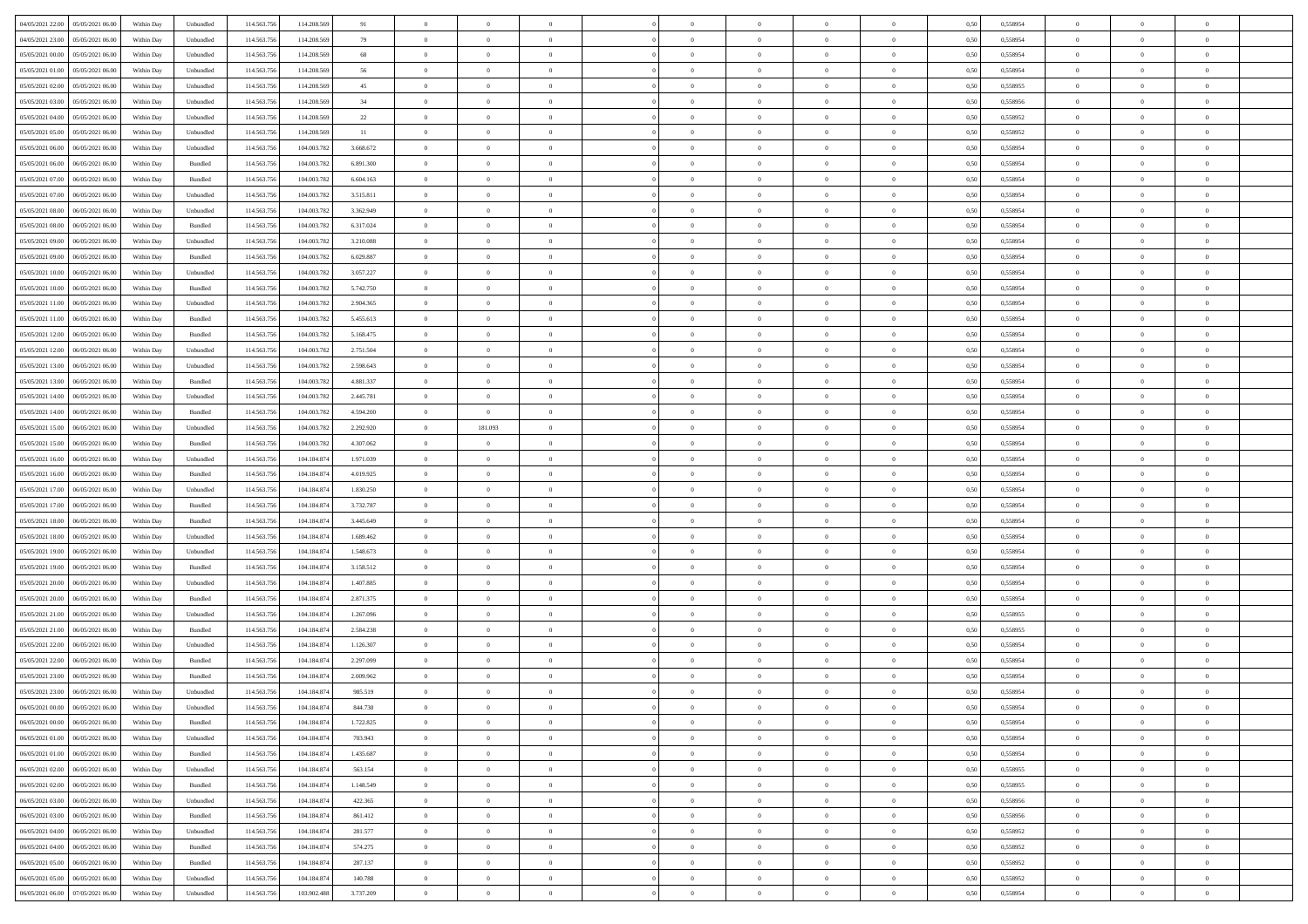| 04/05/2021 22:00 05/05/2021 06:00            | Within Day | Unbundled                   | 114.563.75  | 114.208.569 | 91        | $\overline{0}$ | $\theta$       |                | $\overline{0}$ | $\theta$       |                | $\theta$       | 0,50 | 0,558954 | $\theta$       | $\theta$       | $\overline{0}$ |  |
|----------------------------------------------|------------|-----------------------------|-------------|-------------|-----------|----------------|----------------|----------------|----------------|----------------|----------------|----------------|------|----------|----------------|----------------|----------------|--|
| 04/05/2021 23:00<br>05/05/2021 06:00         | Within Day | Unbundled                   | 114.563.75  | 114.208.569 | 79        | $\bf{0}$       | $\bf{0}$       | $\bf{0}$       | $\bf{0}$       | $\overline{0}$ | $\overline{0}$ | $\bf{0}$       | 0,50 | 0,558954 | $\,$ 0 $\,$    | $\bf{0}$       | $\overline{0}$ |  |
| 05/05/2021 00:00<br>05/05/2021 06:00         | Within Day | Unbundled                   | 114,563,75  | 114,208,569 | 68        | $\overline{0}$ | $\bf{0}$       | $\overline{0}$ | $\bf{0}$       | $\bf{0}$       | $\overline{0}$ | $\bf{0}$       | 0.50 | 0.558954 | $\bf{0}$       | $\overline{0}$ | $\overline{0}$ |  |
| 05/05/2021 01:00<br>05/05/2021 06:00         |            |                             | 114.563.75  |             | 56        | $\overline{0}$ | $\bf{0}$       | $\overline{0}$ | $\theta$       | $\theta$       | $\overline{0}$ |                |      |          | $\theta$       | $\theta$       | $\overline{0}$ |  |
|                                              | Within Day | Unbundled                   |             | 114.208.569 |           |                |                |                |                |                |                | $\bf{0}$       | 0,50 | 0,558954 |                |                |                |  |
| 05/05/2021 02:00<br>05/05/2021 06.00         | Within Day | Unbundled                   | 114.563.75  | 114.208.569 | 45        | $\overline{0}$ | $\overline{0}$ | $\bf{0}$       | $\overline{0}$ | $\theta$       | $\overline{0}$ | $\bf{0}$       | 0,50 | 0,558955 | $\,$ 0 $\,$    | $\bf{0}$       | $\overline{0}$ |  |
| 05/05/2021 03:00<br>05/05/2021 06:00         | Within Day | Unbundled                   | 114,563,75  | 114,208,569 | 34        | $\overline{0}$ | $\overline{0}$ | $\overline{0}$ | $\bf{0}$       | $\overline{0}$ | $\theta$       | $\bf{0}$       | 0.50 | 0.558956 | $\,$ 0 $\,$    | $\theta$       | $\overline{0}$ |  |
| 05/05/2021 04:00<br>05/05/2021 06:00         | Within Day | Unbundled                   | 114.563.75  | 114.208.569 | 22        | $\overline{0}$ | $\overline{0}$ | $\overline{0}$ | $\overline{0}$ | $\overline{0}$ | $\overline{0}$ | $\bf{0}$       | 0,50 | 0,558952 | $\theta$       | $\theta$       | $\overline{0}$ |  |
|                                              |            |                             |             |             |           |                |                |                |                |                |                |                |      |          |                |                |                |  |
| 05/05/2021 05:00<br>05/05/2021 06.00         | Within Day | Unbundled                   | 114.563.75  | 114.208.569 | 11        | $\bf{0}$       | $\bf{0}$       | $\bf{0}$       | $\overline{0}$ | $\overline{0}$ | $\overline{0}$ | $\bf{0}$       | 0,50 | 0,558952 | $\,$ 0 $\,$    | $\bf{0}$       | $\overline{0}$ |  |
| 05/05/2021 06:00<br>06/05/2021 06:00         | Within Day | Unbundled                   | 114,563,75  | 104,003,782 | 3.668.672 | $\overline{0}$ | $\bf{0}$       | $\overline{0}$ | $\bf{0}$       | $\overline{0}$ | $\overline{0}$ | $\bf{0}$       | 0.50 | 0.558954 | $\bf{0}$       | $\overline{0}$ | $\overline{0}$ |  |
| 05/05/2021 06:00<br>06/05/2021 06:00         | Within Day | Bundled                     | 114.563.75  | 104.003.782 | 6.891.300 | $\overline{0}$ | $\bf{0}$       | $\overline{0}$ | $\overline{0}$ | $\overline{0}$ | $\overline{0}$ | $\bf{0}$       | 0,50 | 0,558954 | $\,$ 0 $\,$    | $\bf{0}$       | $\overline{0}$ |  |
| 05/05/2021 07:00<br>06/05/2021 06.00         | Within Day | Bundled                     | 114.563.75  | 104.003.78  | 6.604.163 | $\bf{0}$       | $\overline{0}$ | $\bf{0}$       | $\bf{0}$       | $\overline{0}$ | $\overline{0}$ | $\bf{0}$       | 0,50 | 0,558954 | $\,$ 0 $\,$    | $\bf{0}$       | $\overline{0}$ |  |
|                                              |            |                             |             |             |           |                |                |                |                |                |                |                |      |          |                |                |                |  |
| 05/05/2021 07:00<br>06/05/2021 06:00         | Within Day | Unbundled                   | 114,563,75  | 104,003,782 | 3.515.811 | $\overline{0}$ | $\bf{0}$       | $\overline{0}$ | $\overline{0}$ | $\bf{0}$       | $\overline{0}$ | $\bf{0}$       | 0.50 | 0.558954 | $\bf{0}$       | $\overline{0}$ | $\,$ 0         |  |
| 05/05/2021 08:00<br>06/05/2021 06:00         | Within Day | Unbundled                   | 114.563.75  | 104.003.782 | 3.362.949 | $\overline{0}$ | $\overline{0}$ | $\overline{0}$ | $\theta$       | $\theta$       | $\overline{0}$ | $\bf{0}$       | 0,50 | 0,558954 | $\theta$       | $\theta$       | $\overline{0}$ |  |
| 05/05/2021 08:00<br>06/05/2021 06.00         | Within Day | Bundled                     | 114.563.75  | 104.003.78  | 6.317.024 | $\bf{0}$       | $\overline{0}$ | $\bf{0}$       | $\overline{0}$ | $\bf{0}$       | $\overline{0}$ | $\bf{0}$       | 0,50 | 0,558954 | $\,$ 0 $\,$    | $\bf{0}$       | $\overline{0}$ |  |
|                                              |            |                             |             |             |           |                |                |                |                |                | $\theta$       |                |      |          |                |                |                |  |
| 05/05/2021 09:00<br>06/05/2021 06:00         | Within Day | Unbundled                   | 114,563,75  | 104,003,782 | 3.210.088 | $\overline{0}$ | $\overline{0}$ | $\overline{0}$ | $\bf{0}$       | $\overline{0}$ |                | $\bf{0}$       | 0.50 | 0.558954 | $\,$ 0 $\,$    | $\theta$       | $\overline{0}$ |  |
| 05/05/2021 09:00<br>06/05/2021 06:00         | Within Day | Bundled                     | 114.563.75  | 104.003.782 | 6.029.887 | $\overline{0}$ | $\overline{0}$ | $\overline{0}$ | $\overline{0}$ | $\overline{0}$ | $\overline{0}$ | $\bf{0}$       | 0,50 | 0,558954 | $\theta$       | $\theta$       | $\overline{0}$ |  |
| 05/05/2021 10:00<br>06/05/2021 06.00         | Within Day | Unbundled                   | 114.563.75  | 104.003.78  | 3.057.227 | $\bf{0}$       | $\overline{0}$ | $\bf{0}$       | $\overline{0}$ | $\bf{0}$       | $\overline{0}$ | $\bf{0}$       | 0,50 | 0,558954 | $\,$ 0 $\,$    | $\bf{0}$       | $\overline{0}$ |  |
| 05/05/2021 10:00<br>06/05/2021 06:00         | Within Day | Bundled                     | 114,563,75  | 104,003,782 | 5.742.750 | $\overline{0}$ | $\bf{0}$       | $\overline{0}$ | $\bf{0}$       | $\overline{0}$ | $\overline{0}$ | $\bf{0}$       | 0.50 | 0.558954 | $\bf{0}$       | $\overline{0}$ | $\bf{0}$       |  |
| 05/05/2021 11:00<br>06/05/2021 06:00         | Within Day | Unbundled                   | 114.563.75  | 104.003.782 | 2.904.365 | $\overline{0}$ | $\bf{0}$       | $\overline{0}$ | $\overline{0}$ | $\overline{0}$ | $\overline{0}$ | $\bf{0}$       | 0,50 | 0,558954 | $\,$ 0 $\,$    | $\bf{0}$       | $\overline{0}$ |  |
|                                              |            |                             |             |             |           |                |                |                |                |                |                |                |      |          |                |                |                |  |
| 05/05/2021 11:00<br>06/05/2021 06.00         | Within Day | Bundled                     | 114.563.75  | 104.003.78  | 5.455.613 | $\bf{0}$       | $\bf{0}$       | $\bf{0}$       | $\bf{0}$       | $\overline{0}$ | $\overline{0}$ | $\bf{0}$       | 0,50 | 0,558954 | $\,$ 0 $\,$    | $\bf{0}$       | $\overline{0}$ |  |
| 05/05/2021 12:00<br>06/05/2021 06:00         | Within Day | Bundled                     | 114.563.75  | 104,003,782 | 5.168.475 | $\overline{0}$ | $\bf{0}$       | $\overline{0}$ | $\bf{0}$       | $\bf{0}$       | $\overline{0}$ | $\bf{0}$       | 0.50 | 0.558954 | $\bf{0}$       | $\overline{0}$ | $\,$ 0         |  |
| 05/05/2021 12:00<br>06/05/2021 06:00         | Within Day | Unbundled                   | 114.563.75  | 104.003.782 | 2.751.504 | $\overline{0}$ | $\overline{0}$ | $\overline{0}$ | $\theta$       | $\theta$       | $\overline{0}$ | $\bf{0}$       | 0,50 | 0,558954 | $\theta$       | $\theta$       | $\overline{0}$ |  |
|                                              |            |                             |             |             |           |                | $\overline{0}$ |                |                | $\overline{0}$ | $\overline{0}$ |                |      |          | $\,$ 0 $\,$    | $\bf{0}$       | $\overline{0}$ |  |
| 05/05/2021 13:00<br>06/05/2021 06.00         | Within Day | Unbundled                   | 114.563.75  | 104.003.78  | 2.598.643 | $\bf{0}$       |                | $\bf{0}$       | $\bf{0}$       |                |                | $\bf{0}$       | 0,50 | 0,558954 |                |                |                |  |
| 05/05/2021 13:00<br>06/05/2021 06:00         | Within Day | Bundled                     | 114,563,75  | 104,003,782 | 4.881.337 | $\overline{0}$ | $\overline{0}$ | $\overline{0}$ | $\bf{0}$       | $\overline{0}$ | $\theta$       | $\bf{0}$       | 0.50 | 0.558954 | $\,$ 0 $\,$    | $\theta$       | $\overline{0}$ |  |
| 05/05/2021 14:00<br>06/05/2021 06:00         | Within Day | Unbundled                   | 114.563.75  | 104.003.782 | 2.445.781 | $\overline{0}$ | $\overline{0}$ | $\overline{0}$ | $\overline{0}$ | $\overline{0}$ | $\overline{0}$ | $\bf{0}$       | 0,50 | 0,558954 | $\theta$       | $\theta$       | $\overline{0}$ |  |
| 05/05/2021 14:00<br>06/05/2021 06.00         | Within Day | Bundled                     | 114.563.75  | 104.003.78  | 4.594.200 | $\bf{0}$       | $\bf{0}$       | $\bf{0}$       | $\overline{0}$ | $\bf{0}$       | $\overline{0}$ | $\bf{0}$       | 0,50 | 0,558954 | $\,$ 0 $\,$    | $\bf{0}$       | $\overline{0}$ |  |
| 05/05/2021 15:00<br>06/05/2021 06:00         |            | Unbundled                   | 114,563,75  | 104,003.782 |           |                | 181.093        | $\overline{0}$ |                | $\overline{0}$ | $\overline{0}$ |                | 0.50 | 0.558954 | $\bf{0}$       | $\overline{0}$ | $\overline{0}$ |  |
|                                              | Within Day |                             |             |             | 2.292.920 | $\overline{0}$ |                |                | $\bf{0}$       |                |                | $\bf{0}$       |      |          |                |                |                |  |
| 05/05/2021 15:00<br>06/05/2021 06:00         | Within Day | Bundled                     | 114.563.75  | 104.003.782 | 4.307.062 | $\overline{0}$ | $\overline{0}$ | $\overline{0}$ | $\overline{0}$ | $\overline{0}$ | $\overline{0}$ | $\bf{0}$       | 0,50 | 0,558954 | $\theta$       | $\theta$       | $\overline{0}$ |  |
| 05/05/2021 16:00<br>06/05/2021 06.00         | Within Day | Unbundled                   | 114.563.75  | 104.184.87  | 1.971.039 | $\bf{0}$       | $\bf{0}$       | $\bf{0}$       | $\bf{0}$       | $\overline{0}$ | $\overline{0}$ | $\bf{0}$       | 0,50 | 0,558954 | $\,$ 0 $\,$    | $\bf{0}$       | $\overline{0}$ |  |
| 05/05/2021 16:00<br>06/05/2021 06:00         | Within Day | Bundled                     | 114,563,75  | 104.184.874 | 4.019.925 | $\overline{0}$ | $\bf{0}$       | $\overline{0}$ | $\bf{0}$       | $\bf{0}$       | $\overline{0}$ | $\bf{0}$       | 0.50 | 0.558954 | $\bf{0}$       | $\overline{0}$ | $\,$ 0         |  |
| 05/05/2021 17:00<br>06/05/2021 06:00         | Within Day | Unbundled                   | 114.563.75  | 104.184.87  | 1.830.250 | $\overline{0}$ | $\overline{0}$ | $\overline{0}$ | $\overline{0}$ | $\overline{0}$ | $\overline{0}$ | $\bf{0}$       | 0.50 | 0.558954 | $\theta$       | $\theta$       | $\overline{0}$ |  |
|                                              |            |                             |             |             |           |                |                |                |                |                |                |                |      |          |                |                |                |  |
| 05/05/2021 17:00<br>06/05/2021 06.00         | Within Day | Bundled                     | 114.563.75  | 104.184.87  | 3.732.787 | $\bf{0}$       | $\overline{0}$ | $\bf{0}$       | $\bf{0}$       | $\,$ 0 $\,$    | $\overline{0}$ | $\bf{0}$       | 0,50 | 0,558954 | $\,$ 0 $\,$    | $\bf{0}$       | $\overline{0}$ |  |
| 05/05/2021 18:00<br>06/05/2021 06:00         | Within Day | Bundled                     | 114,563,75  | 104.184.874 | 3.445.649 | $\overline{0}$ | $\bf{0}$       | $\overline{0}$ | $\bf{0}$       | $\overline{0}$ | $\Omega$       | $\bf{0}$       | 0.50 | 0.558954 | $\,$ 0 $\,$    | $\theta$       | $\overline{0}$ |  |
| 05/05/2021 18:00<br>06/05/2021 06:00         | Within Dav | Unbundled                   | 114.563.75  | 104.184.874 | 1.689.462 | $\overline{0}$ | $\overline{0}$ | $\overline{0}$ | $\overline{0}$ | $\overline{0}$ | $\overline{0}$ | $\bf{0}$       | 0.5( | 0,558954 | $\theta$       | $\theta$       | $\overline{0}$ |  |
| 05/05/2021 19:00<br>06/05/2021 06.00         | Within Day | Unbundled                   | 114.563.75  | 104.184.87  | 1.548.673 | $\bf{0}$       | $\bf{0}$       | $\bf{0}$       | $\bf{0}$       | $\overline{0}$ | $\overline{0}$ | $\bf{0}$       | 0,50 | 0,558954 | $\,$ 0 $\,$    | $\bf{0}$       | $\overline{0}$ |  |
|                                              |            |                             |             |             |           |                |                |                |                |                |                |                |      |          |                |                |                |  |
| 05/05/2021 19:00<br>06/05/2021 06:00         | Within Day | Bundled                     | 114,563,75  | 104.184.87  | 3.158.512 | $\overline{0}$ | $\bf{0}$       | $\overline{0}$ | $\bf{0}$       | $\overline{0}$ | $\overline{0}$ | $\bf{0}$       | 0.50 | 0.558954 | $\bf{0}$       | $\overline{0}$ | $\overline{0}$ |  |
| 05/05/2021 20:00<br>06/05/2021 06:00         | Within Dav | Unbundled                   | 114.563.75  | 104.184.87  | 1.407.885 | $\overline{0}$ | $\overline{0}$ | $\overline{0}$ | $\overline{0}$ | $\overline{0}$ | $\overline{0}$ | $\bf{0}$       | 0.50 | 0,558954 | $\theta$       | $\theta$       | $\overline{0}$ |  |
| 05/05/2021 20:00<br>06/05/2021 06.00         | Within Day | Bundled                     | 114.563.75  | 104.184.87  | 2.871.375 | $\bf{0}$       | $\bf{0}$       | $\bf{0}$       | $\bf{0}$       | $\overline{0}$ | $\overline{0}$ | $\bf{0}$       | 0,50 | 0,558954 | $\,$ 0 $\,$    | $\bf{0}$       | $\overline{0}$ |  |
| 05/05/2021 21:00<br>06/05/2021 06:00         | Within Day | Unbundled                   | 114.563.75  | 104.184.874 | 1.267.096 | $\overline{0}$ | $\bf{0}$       | $\overline{0}$ | $\overline{0}$ | $\bf{0}$       | $\overline{0}$ | $\bf{0}$       | 0.50 | 0.558955 | $\bf{0}$       | $\overline{0}$ | $\bf{0}$       |  |
|                                              |            |                             |             |             |           |                |                |                |                |                |                |                |      |          |                |                |                |  |
| 05/05/2021 21:00<br>06/05/2021 06:00         | Within Dav | Bundled                     | 114.563.75  | 104.184.874 | 2.584.238 | $\overline{0}$ | $\overline{0}$ | $\overline{0}$ | $\overline{0}$ | $\overline{0}$ | $\overline{0}$ | $\bf{0}$       | 0.50 | 0,558955 | $\theta$       | $\theta$       | $\overline{0}$ |  |
| 05/05/2021 22:00<br>06/05/2021 06.00         | Within Day | Unbundled                   | 114.563.75  | 104.184.87  | 1.126.307 | $\bf{0}$       | $\bf{0}$       | $\bf{0}$       | $\bf{0}$       | $\overline{0}$ | $\overline{0}$ | $\bf{0}$       | 0,50 | 0,558954 | $\,$ 0 $\,$    | $\bf{0}$       | $\overline{0}$ |  |
| 05/05/2021 22:00<br>06/05/2021 06:00         | Within Day | Bundled                     | 114,563,75  | 104.184.87  | 2.297.099 | $\overline{0}$ | $\overline{0}$ | $\overline{0}$ | $\bf{0}$       | $\overline{0}$ | $\Omega$       | $\bf{0}$       | 0.50 | 0.558954 | $\,$ 0 $\,$    | $\theta$       | $\overline{0}$ |  |
| 05/05/2021 23:00<br>06/05/2021 06:00         | Within Dav | Bundled                     | 114.563.75  | 104.184.87  | 2.009.962 | $\overline{0}$ | $\overline{0}$ | $\Omega$       | $\overline{0}$ | $\theta$       | $\overline{0}$ | $\overline{0}$ | 0.5( | 0,558954 | $\theta$       | $\theta$       | $\overline{0}$ |  |
| 05/05/2021 23:00<br>06/05/2021 06:00         | Within Day | Unbundled                   | 114.563.75  | 104.184.874 | 985.519   | $\bf{0}$       | $\bf{0}$       | $\overline{0}$ | $\bf{0}$       | $\bf{0}$       | $\overline{0}$ | $\bf{0}$       | 0,50 | 0,558954 | $\overline{0}$ | $\overline{0}$ | $\overline{0}$ |  |
|                                              |            |                             |             |             |           |                |                |                |                |                |                |                |      |          |                |                |                |  |
| $06/05/2021\ 00.00 \qquad 06/05/2021\ 06.00$ | Within Day | $\ensuremath{\mathsf{Unb}}$ | 114.563.756 | 104.184.874 | 844,730   | $\bf{0}$       | $\Omega$       |                | $\Omega$       |                |                |                | 0,50 | 0.558954 | $\theta$       | $\overline{0}$ |                |  |
| 06/05/2021 00:00 06/05/2021 06:00            | Within Day | Bundled                     | 114.563.756 | 104.184.874 | 1.722.825 | $\overline{0}$ | $\overline{0}$ | $\Omega$       | $\theta$       | $\overline{0}$ | $\overline{0}$ | $\bf{0}$       | 0,50 | 0,558954 | $\theta$       | $\theta$       | $\overline{0}$ |  |
| 06/05/2021 01:00<br>06/05/2021 06:00         | Within Day | Unbundled                   | 114.563.75  | 104.184.874 | 703.943   | $\overline{0}$ | $\bf{0}$       | $\overline{0}$ | $\overline{0}$ | $\bf{0}$       | $\overline{0}$ | $\bf{0}$       | 0,50 | 0,558954 | $\bf{0}$       | $\overline{0}$ | $\bf{0}$       |  |
|                                              |            | Bundled                     | 114,563,756 | 104.184.874 | 1.435.687 |                |                |                |                |                | $\overline{0}$ |                | 0.50 | 0.558954 | $\overline{0}$ |                |                |  |
| 06/05/2021 01:00   06/05/2021 06:00          | Within Day |                             |             |             |           | $\overline{0}$ | $\bf{0}$       | $\overline{0}$ | $\overline{0}$ | $\mathbf{0}$   |                | $\,$ 0 $\,$    |      |          |                | $\bf{0}$       | $\bf{0}$       |  |
| 06/05/2021 02:00   06/05/2021 06:00          | Within Dav | Unbundled                   | 114.563.756 | 104.184.874 | 563.154   | $\overline{0}$ | $\overline{0}$ | $\overline{0}$ | $\overline{0}$ | $\overline{0}$ | $\overline{0}$ | $\bf{0}$       | 0,50 | 0,558955 | $\overline{0}$ | $\theta$       | $\overline{0}$ |  |
| 06/05/2021 02:00<br>06/05/2021 06:00         | Within Day | Bundled                     | 114.563.75  | 104.184.874 | 1.148.549 | $\overline{0}$ | $\bf{0}$       | $\overline{0}$ | $\overline{0}$ | $\bf{0}$       | $\overline{0}$ | $\bf{0}$       | 0,50 | 0,558955 | $\bf{0}$       | $\overline{0}$ | $\overline{0}$ |  |
| 06/05/2021 03:00<br>06/05/2021 06:00         | Within Day | Unbundled                   | 114.563.756 | 104.184.874 | 422.365   | $\overline{0}$ | $\bf{0}$       | $\overline{0}$ | $\overline{0}$ | $\bf{0}$       | $\overline{0}$ | $\bf{0}$       | 0.50 | 0.558956 | $\,$ 0 $\,$    | $\overline{0}$ | $\overline{0}$ |  |
| 06/05/2021 03:00                             |            |                             |             |             |           |                | $\overline{0}$ |                |                | $\overline{0}$ |                |                |      |          |                | $\theta$       | $\overline{0}$ |  |
| 06/05/2021 06:00                             | Within Dav | Bundled                     | 114.563.756 | 104.184.874 | 861.412   | $\overline{0}$ |                | $\overline{0}$ | $\overline{0}$ |                | $\overline{0}$ | $\bf{0}$       | 0.50 | 0,558956 | $\overline{0}$ |                |                |  |
| 06/05/2021 04:00<br>06/05/2021 06:00         | Within Day | Unbundled                   | 114.563.75  | 104.184.874 | 281.577   | $\overline{0}$ | $\overline{0}$ | $\overline{0}$ | $\overline{0}$ | $\overline{0}$ | $\overline{0}$ | $\bf{0}$       | 0,50 | 0,558952 | $\bf{0}$       | $\overline{0}$ | $\,$ 0         |  |
| 06/05/2021 04:00<br>06/05/2021 06:00         | Within Day | Bundled                     | 114.563.75  | 104.184.874 | 574.275   | $\overline{0}$ | $\overline{0}$ | $\overline{0}$ | $\overline{0}$ | $\overline{0}$ | $\overline{0}$ | $\bf{0}$       | 0.50 | 0.558952 | $\mathbf{0}$   | $\bf{0}$       | $\,$ 0         |  |
| 06/05/2021 05:00   06/05/2021 06:00          | Within Dav | Bundled                     | 114.563.756 | 104.184.874 | 287.137   | $\overline{0}$ | $\overline{0}$ | $\overline{0}$ | $\overline{0}$ | $\overline{0}$ | $\overline{0}$ | $\bf{0}$       | 0.50 | 0,558952 | $\overline{0}$ | $\theta$       | $\overline{0}$ |  |
|                                              |            |                             |             |             |           |                |                |                |                |                |                |                |      |          |                |                |                |  |
| 06/05/2021 05:00<br>06/05/2021 06.00         | Within Day | Unbundled                   | 114.563.75  | 104.184.874 | 140.788   | $\overline{0}$ | $\bf{0}$       | $\overline{0}$ | $\overline{0}$ | $\overline{0}$ | $\overline{0}$ | $\bf{0}$       | 0,50 | 0,558952 | $\bf{0}$       | $\overline{0}$ | $\bf{0}$       |  |
| 06/05/2021 06:00 07/05/2021 06:00            | Within Day | Unbundled                   | 114.563.756 | 103.902.488 | 3.737.209 | $\overline{0}$ | $\bf{0}$       | $\overline{0}$ | $\overline{0}$ | $\,$ 0 $\,$    | $\overline{0}$ | $\bf{0}$       | 0,50 | 0,558954 | $\overline{0}$ | $\,$ 0 $\,$    | $\,$ 0 $\,$    |  |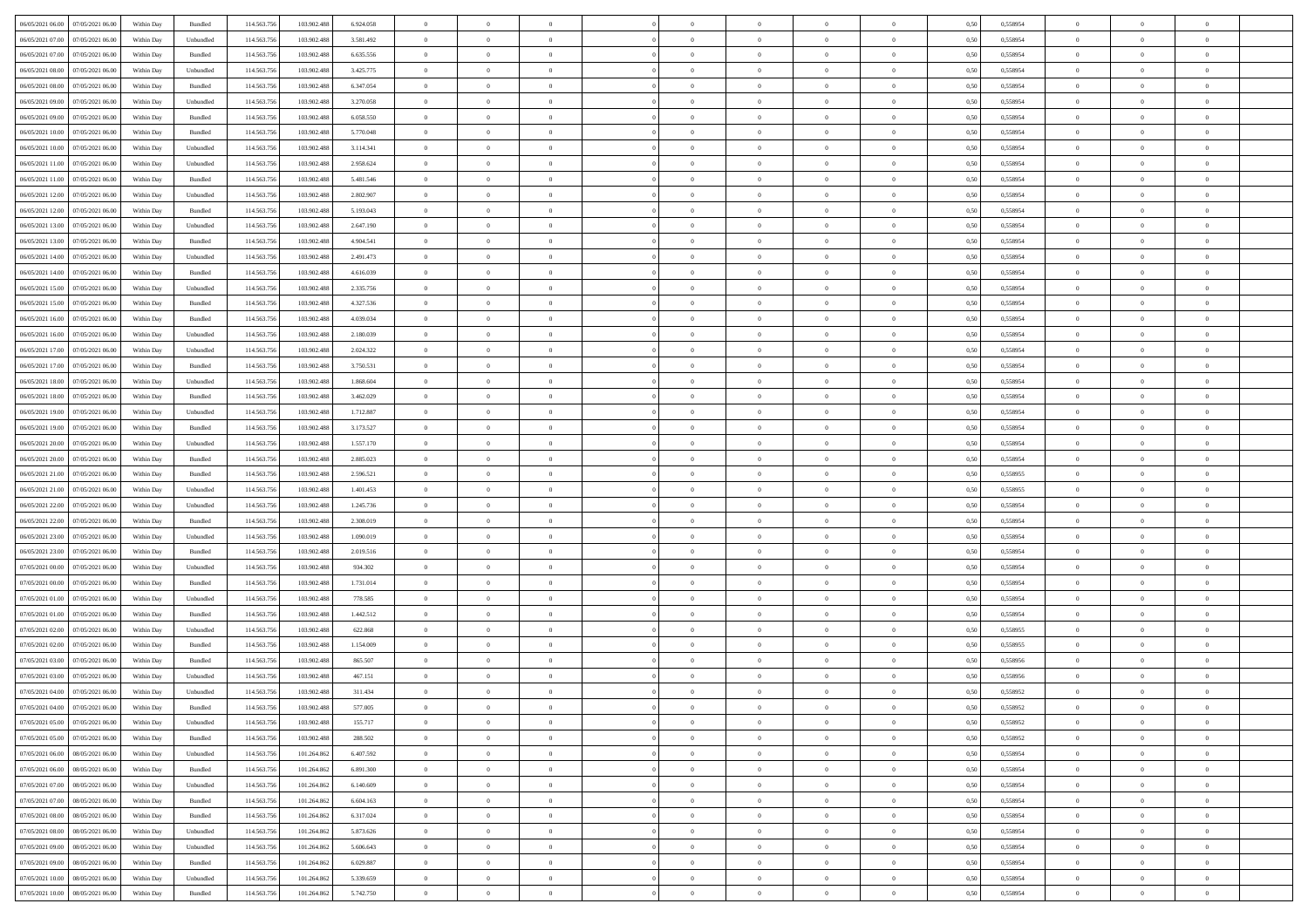| 06/05/2021 06:00 07/05/2021 06:00            | Within Day | Bundled   | 114.563.75  | 103.902.488 | 6.924.058 | $\overline{0}$ | $\theta$       |                | $\overline{0}$ | $\bf{0}$       |                | $\bf{0}$       | 0,50 | 0,558954 | $\theta$       | $\theta$       | $\theta$       |  |
|----------------------------------------------|------------|-----------|-------------|-------------|-----------|----------------|----------------|----------------|----------------|----------------|----------------|----------------|------|----------|----------------|----------------|----------------|--|
| 06/05/2021 07:00<br>07/05/2021 06.00         | Within Day | Unbundled | 114.563.75  | 103.902.48  | 3.581.492 | $\bf{0}$       | $\overline{0}$ | $\bf{0}$       | $\overline{0}$ | $\overline{0}$ | $\overline{0}$ | $\bf{0}$       | 0,50 | 0,558954 | $\,$ 0 $\,$    | $\bf{0}$       | $\overline{0}$ |  |
| 06/05/2021 07:00<br>07/05/2021 06:00         | Within Day | Bundled   | 114,563,75  | 103.902.488 | 6.635.556 | $\overline{0}$ | $\bf{0}$       | $\overline{0}$ | $\bf{0}$       | $\bf{0}$       | $\overline{0}$ | $\bf{0}$       | 0.50 | 0.558954 | $\bf{0}$       | $\overline{0}$ | $\overline{0}$ |  |
| 06/05/2021 08:00<br>07/05/2021 06:00         |            |           | 114.563.75  |             |           | $\overline{0}$ | $\bf{0}$       | $\overline{0}$ | $\theta$       | $\theta$       | $\overline{0}$ |                |      |          | $\theta$       | $\theta$       | $\overline{0}$ |  |
|                                              | Within Day | Unbundled |             | 103.902.488 | 3.425.775 |                |                |                |                |                |                | $\bf{0}$       | 0,50 | 0,558954 |                |                |                |  |
| 06/05/2021 08:00<br>07/05/2021 06.00         | Within Day | Bundled   | 114.563.75  | 103.902.488 | 6.347.054 | $\overline{0}$ | $\overline{0}$ | $\bf{0}$       | $\overline{0}$ | $\theta$       | $\overline{0}$ | $\bf{0}$       | 0,50 | 0,558954 | $\,$ 0 $\,$    | $\bf{0}$       | $\overline{0}$ |  |
| 06/05/2021 09:00<br>07/05/2021 06:00         | Within Day | Unbundled | 114,563,75  | 103.902.488 | 3.270.058 | $\overline{0}$ | $\overline{0}$ | $\overline{0}$ | $\bf{0}$       | $\overline{0}$ | $\theta$       | $\bf{0}$       | 0.50 | 0.558954 | $\bf{0}$       | $\theta$       | $\overline{0}$ |  |
| 06/05/2021 09:00<br>07/05/2021 06:00         | Within Day | Bundled   | 114.563.75  | 103.902.488 | 6.058.550 | $\overline{0}$ | $\overline{0}$ | $\overline{0}$ | $\overline{0}$ | $\overline{0}$ | $\overline{0}$ | $\bf{0}$       | 0,50 | 0,558954 | $\theta$       | $\theta$       | $\overline{0}$ |  |
|                                              |            |           |             |             |           |                |                |                |                |                |                |                |      |          |                |                |                |  |
| 06/05/2021 10:00<br>07/05/2021 06.00         | Within Day | Bundled   | 114.563.75  | 103.902.488 | 5.770.048 | $\overline{0}$ | $\overline{0}$ | $\bf{0}$       | $\overline{0}$ | $\theta$       | $\overline{0}$ | $\bf{0}$       | 0,50 | 0,558954 | $\,$ 0 $\,$    | $\bf{0}$       | $\overline{0}$ |  |
| 06/05/2021 10:00<br>07/05/2021 06:00         | Within Day | Unbundled | 114,563,75  | 103.902.488 | 3.114.341 | $\overline{0}$ | $\bf{0}$       | $\overline{0}$ | $\bf{0}$       | $\overline{0}$ | $\overline{0}$ | $\bf{0}$       | 0.50 | 0.558954 | $\bf{0}$       | $\overline{0}$ | $\overline{0}$ |  |
| 06/05/2021 11:00<br>07/05/2021 06:00         | Within Day | Unbundled | 114.563.75  | 103.902.488 | 2.958.624 | $\overline{0}$ | $\bf{0}$       | $\overline{0}$ | $\overline{0}$ | $\overline{0}$ | $\overline{0}$ | $\bf{0}$       | 0,50 | 0,558954 | $\,$ 0 $\,$    | $\bf{0}$       | $\overline{0}$ |  |
| 06/05/2021 11:00<br>07/05/2021 06.00         | Within Day | Bundled   | 114.563.75  | 103.902.488 | 5.481.546 | $\bf{0}$       | $\overline{0}$ | $\bf{0}$       | $\overline{0}$ | $\bf{0}$       | $\overline{0}$ | $\bf{0}$       | 0,50 | 0,558954 | $\,$ 0 $\,$    | $\bf{0}$       | $\overline{0}$ |  |
|                                              |            |           |             |             |           |                |                |                |                |                |                |                |      |          |                |                |                |  |
| 06/05/2021 12:00<br>07/05/2021 06:00         | Within Day | Unbundled | 114,563,75  | 103.902.488 | 2.802.907 | $\overline{0}$ | $\bf{0}$       | $\overline{0}$ | $\bf{0}$       | $\bf{0}$       | $\overline{0}$ | $\bf{0}$       | 0.50 | 0.558954 | $\bf{0}$       | $\overline{0}$ | $\bf{0}$       |  |
| 06/05/2021 12:00<br>07/05/2021 06:00         | Within Day | Bundled   | 114.563.75  | 103.902.488 | 5.193.043 | $\overline{0}$ | $\overline{0}$ | $\overline{0}$ | $\theta$       | $\theta$       | $\overline{0}$ | $\bf{0}$       | 0,50 | 0,558954 | $\theta$       | $\theta$       | $\overline{0}$ |  |
| 06/05/2021 13:00<br>07/05/2021 06.00         | Within Day | Unbundled | 114.563.75  | 103.902.48  | 2.647.190 | $\bf{0}$       | $\overline{0}$ | $\bf{0}$       | $\overline{0}$ | $\theta$       | $\overline{0}$ | $\bf{0}$       | 0,50 | 0,558954 | $\,$ 0 $\,$    | $\bf{0}$       | $\overline{0}$ |  |
|                                              |            |           |             |             |           |                |                |                |                |                |                |                |      |          |                |                |                |  |
| 06/05/2021 13:00<br>07/05/2021 06:00         | Within Day | Bundled   | 114,563,75  | 103.902.488 | 4.904.541 | $\overline{0}$ | $\overline{0}$ | $\overline{0}$ | $\bf{0}$       | $\overline{0}$ | $\Omega$       | $\bf{0}$       | 0.50 | 0.558954 | $\theta$       | $\theta$       | $\overline{0}$ |  |
| 06/05/2021 14:00<br>07/05/2021 06:00         | Within Day | Unbundled | 114.563.75  | 103.902.488 | 2.491.473 | $\overline{0}$ | $\overline{0}$ | $\overline{0}$ | $\overline{0}$ | $\overline{0}$ | $\overline{0}$ | $\bf{0}$       | 0,50 | 0,558954 | $\theta$       | $\theta$       | $\overline{0}$ |  |
| 06/05/2021 14:00<br>07/05/2021 06.00         | Within Day | Bundled   | 114.563.75  | 103.902.488 | 4.616.039 | $\bf{0}$       | $\overline{0}$ | $\bf{0}$       | $\overline{0}$ | $\theta$       | $\overline{0}$ | $\bf{0}$       | 0,50 | 0,558954 | $\,$ 0 $\,$    | $\bf{0}$       | $\overline{0}$ |  |
| 06/05/2021 15:00<br>07/05/2021 06:00         | Within Day | Unbundled | 114,563,75  | 103.902.488 | 2.335.756 | $\overline{0}$ | $\bf{0}$       | $\overline{0}$ | $\bf{0}$       | $\overline{0}$ | $\overline{0}$ | $\bf{0}$       | 0.50 | 0.558954 | $\bf{0}$       | $\overline{0}$ | $\overline{0}$ |  |
|                                              |            |           |             |             |           | $\overline{0}$ |                | $\overline{0}$ | $\overline{0}$ | $\overline{0}$ | $\overline{0}$ |                |      |          | $\,$ 0 $\,$    | $\theta$       | $\overline{0}$ |  |
| 06/05/2021 15:00<br>07/05/2021 06:00         | Within Day | Bundled   | 114.563.75  | 103.902.488 | 4.327.536 |                | $\bf{0}$       |                |                |                |                | $\bf{0}$       | 0,50 | 0,558954 |                |                |                |  |
| 06/05/2021 16:00<br>07/05/2021 06.00         | Within Day | Bundled   | 114.563.75  | 103.902.488 | 4.039.034 | $\bf{0}$       | $\bf{0}$       | $\bf{0}$       | $\bf{0}$       | $\overline{0}$ | $\overline{0}$ | $\bf{0}$       | 0,50 | 0,558954 | $\,$ 0 $\,$    | $\bf{0}$       | $\overline{0}$ |  |
| 06/05/2021 16:00<br>07/05/2021 06:00         | Within Day | Unbundled | 114,563,75  | 103.902.488 | 2.180.039 | $\overline{0}$ | $\bf{0}$       | $\overline{0}$ | $\bf{0}$       | $\bf{0}$       | $\overline{0}$ | $\bf{0}$       | 0.50 | 0.558954 | $\bf{0}$       | $\overline{0}$ | $\overline{0}$ |  |
| 06/05/2021 17:00<br>07/05/2021 06:00         | Within Day | Unbundled | 114.563.75  | 103.902.488 | 2.024.322 | $\overline{0}$ | $\overline{0}$ | $\overline{0}$ | $\theta$       | $\theta$       | $\overline{0}$ | $\bf{0}$       | 0,50 | 0,558954 | $\theta$       | $\theta$       | $\overline{0}$ |  |
|                                              |            |           |             |             |           |                | $\overline{0}$ |                |                | $\theta$       | $\overline{0}$ |                |      |          | $\,$ 0 $\,$    | $\bf{0}$       | $\overline{0}$ |  |
| 06/05/2021 17:00<br>07/05/2021 06.00         | Within Day | Bundled   | 114.563.75  | 103.902.488 | 3.750.531 | $\bf{0}$       |                | $\bf{0}$       | $\bf{0}$       |                |                | $\bf{0}$       | 0,50 | 0,558954 |                |                |                |  |
| 06/05/2021 18:00<br>07/05/2021 06:00         | Within Day | Unbundled | 114,563,75  | 103.902.488 | 1.868,604 | $\overline{0}$ | $\overline{0}$ | $\overline{0}$ | $\overline{0}$ | $\overline{0}$ | $\theta$       | $\bf{0}$       | 0.50 | 0.558954 | $\bf{0}$       | $\theta$       | $\overline{0}$ |  |
| 06/05/2021 18:00<br>07/05/2021 06:00         | Within Day | Bundled   | 114.563.75  | 103.902.488 | 3.462.029 | $\overline{0}$ | $\overline{0}$ | $\overline{0}$ | $\overline{0}$ | $\theta$       | $\overline{0}$ | $\bf{0}$       | 0,50 | 0,558954 | $\theta$       | $\theta$       | $\overline{0}$ |  |
| 06/05/2021 19:00<br>07/05/2021 06.00         | Within Day | Unbundled | 114.563.75  | 103.902.488 | 1.712.887 | $\bf{0}$       | $\overline{0}$ | $\bf{0}$       | $\overline{0}$ | $\theta$       | $\overline{0}$ | $\bf{0}$       | 0,50 | 0,558954 | $\,$ 0 $\,$    | $\bf{0}$       | $\overline{0}$ |  |
| 06/05/2021 19:00<br>07/05/2021 06:00         | Within Day | Bundled   | 114,563,75  | 103.902.488 | 3.173.527 | $\overline{0}$ | $\bf{0}$       | $\overline{0}$ | $\bf{0}$       | $\overline{0}$ | $\overline{0}$ | $\bf{0}$       | 0.50 | 0.558954 | $\bf{0}$       | $\overline{0}$ | $\overline{0}$ |  |
|                                              |            |           |             |             |           |                |                |                |                |                |                |                |      |          |                |                |                |  |
| 06/05/2021 20:00<br>07/05/2021 06:00         | Within Day | Unbundled | 114.563.75  | 103.902.488 | 1.557.170 | $\overline{0}$ | $\overline{0}$ | $\overline{0}$ | $\overline{0}$ | $\overline{0}$ | $\overline{0}$ | $\bf{0}$       | 0,50 | 0,558954 | $\theta$       | $\theta$       | $\overline{0}$ |  |
| 06/05/2021 20:00<br>07/05/2021 06.00         | Within Day | Bundled   | 114.563.75  | 103.902.488 | 2.885.023 | $\bf{0}$       | $\bf{0}$       | $\bf{0}$       | $\bf{0}$       | $\overline{0}$ | $\overline{0}$ | $\bf{0}$       | 0,50 | 0,558954 | $\,$ 0 $\,$    | $\bf{0}$       | $\overline{0}$ |  |
| 06/05/2021 21:00<br>07/05/2021 06:00         | Within Day | Bundled   | 114,563,75  | 103.902.488 | 2.596.521 | $\overline{0}$ | $\bf{0}$       | $\overline{0}$ | $\bf{0}$       | $\bf{0}$       | $\overline{0}$ | $\bf{0}$       | 0.50 | 0.558955 | $\bf{0}$       | $\overline{0}$ | $\bf{0}$       |  |
| 06/05/2021 21:00<br>07/05/2021 06:00         | Within Day | Unbundled | 114.563.75  | 103.902.488 | 1.401.453 | $\overline{0}$ | $\overline{0}$ | $\overline{0}$ | $\overline{0}$ | $\overline{0}$ | $\overline{0}$ | $\bf{0}$       | 0.50 | 0.558955 | $\theta$       | $\theta$       | $\overline{0}$ |  |
|                                              |            |           |             |             |           |                |                |                |                |                |                |                |      |          |                |                |                |  |
| 06/05/2021 22.00<br>07/05/2021 06.00         | Within Day | Unbundled | 114.563.75  | 103.902.48  | 1.245.736 | $\bf{0}$       | $\overline{0}$ | $\bf{0}$       | $\overline{0}$ | $\overline{0}$ | $\overline{0}$ | $\bf{0}$       | 0,50 | 0,558954 | $\,$ 0 $\,$    | $\bf{0}$       | $\overline{0}$ |  |
| 06/05/2021 22.00<br>07/05/2021 06.00         | Within Day | Bundled   | 114,563,75  | 103.902.488 | 2.308.019 | $\overline{0}$ | $\bf{0}$       | $\overline{0}$ | $\bf{0}$       | $\overline{0}$ | $\Omega$       | $\bf{0}$       | 0.50 | 0.558954 | $\,$ 0 $\,$    | $\theta$       | $\overline{0}$ |  |
| 06/05/2021 23:00<br>07/05/2021 06:00         | Within Dav | Unbundled | 114.563.75  | 103.902.488 | 1.090.019 | $\overline{0}$ | $\overline{0}$ | $\overline{0}$ | $\overline{0}$ | $\theta$       | $\overline{0}$ | $\bf{0}$       | 0.5( | 0,558954 | $\theta$       | $\theta$       | $\overline{0}$ |  |
| 06/05/2021 23:00<br>07/05/2021 06.00         | Within Day | Bundled   | 114.563.75  | 103.902.488 | 2.019.516 | $\bf{0}$       | $\bf{0}$       | $\bf{0}$       | $\overline{0}$ | $\bf{0}$       | $\overline{0}$ | $\bf{0}$       | 0,50 | 0,558954 | $\,$ 0 $\,$    | $\bf{0}$       | $\overline{0}$ |  |
|                                              |            |           |             |             |           |                |                |                |                |                |                |                |      |          |                |                |                |  |
| 07/05/2021 00:00<br>07/05/2021 06:00         | Within Day | Unbundled | 114,563,75  | 103.902.48  | 934.302   | $\overline{0}$ | $\bf{0}$       | $\overline{0}$ | $\bf{0}$       | $\overline{0}$ | $\overline{0}$ | $\bf{0}$       | 0.50 | 0.558954 | $\bf{0}$       | $\overline{0}$ | $\overline{0}$ |  |
| 07/05/2021 00:00<br>07/05/2021 06:00         | Within Dav | Bundled   | 114.563.75  | 103.902.488 | 1.731.014 | $\overline{0}$ | $\overline{0}$ | $\overline{0}$ | $\overline{0}$ | $\overline{0}$ | $\overline{0}$ | $\bf{0}$       | 0.50 | 0,558954 | $\theta$       | $\theta$       | $\overline{0}$ |  |
| 07/05/2021 01:00<br>07/05/2021 06.00         | Within Day | Unbundled | 114.563.75  | 103.902.48  | 778.585   | $\bf{0}$       | $\bf{0}$       | $\bf{0}$       | $\bf{0}$       | $\overline{0}$ | $\overline{0}$ | $\bf{0}$       | 0,50 | 0,558954 | $\,$ 0 $\,$    | $\bf{0}$       | $\overline{0}$ |  |
| 07/05/2021 01:00<br>07/05/2021 06:00         | Within Day | Bundled   | 114,563,75  | 103.902.488 | 1.442.512 | $\overline{0}$ | $\bf{0}$       | $\overline{0}$ | $\bf{0}$       | $\bf{0}$       | $\overline{0}$ | $\bf{0}$       | 0.50 | 0.558954 | $\bf{0}$       | $\overline{0}$ | $\overline{0}$ |  |
| 07/05/2021 02:00<br>07/05/2021 06:00         | Within Dav | Unbundled | 114.563.75  | 103.902.488 | 622.868   | $\overline{0}$ | $\overline{0}$ | $\overline{0}$ | $\overline{0}$ | $\theta$       | $\overline{0}$ | $\bf{0}$       | 0.50 | 0,558955 | $\theta$       | $\theta$       | $\overline{0}$ |  |
|                                              |            |           |             |             |           |                |                |                |                |                |                |                |      |          |                |                |                |  |
| 07/05/2021 02:00<br>07/05/2021 06.00         | Within Day | Bundled   | 114.563.75  | 103.902.488 | 1.154.009 | $\bf{0}$       | $\bf{0}$       | $\bf{0}$       | $\bf{0}$       | $\overline{0}$ | $\overline{0}$ | $\bf{0}$       | 0,50 | 0,558955 | $\,$ 0 $\,$    | $\bf{0}$       | $\overline{0}$ |  |
| 07/05/2021 03:00<br>07/05/2021 06.00         | Within Day | Bundled   | 114,563,75  | 103.902.488 | 865.507   | $\overline{0}$ | $\overline{0}$ | $\overline{0}$ | $\bf{0}$       | $\overline{0}$ | $\Omega$       | $\bf{0}$       | 0.50 | 0.558956 | $\,$ 0 $\,$    | $\theta$       | $\overline{0}$ |  |
| 07/05/2021 03:00<br>07/05/2021 06:00         | Within Dav | Unbundled | 114.563.75  | 103.902.488 | 467.151   | $\overline{0}$ | $\overline{0}$ | $\Omega$       | $\overline{0}$ | $\theta$       | $\Omega$       | $\overline{0}$ | 0.5( | 0,558956 | $\theta$       | $\theta$       | $\overline{0}$ |  |
| 07/05/2021 04:00<br>07/05/2021 06:00         | Within Day | Unbundled | 114.563.75  | 103.902.488 | 311.434   | $\bf{0}$       | $\bf{0}$       | $\overline{0}$ | $\bf{0}$       | $\bf{0}$       | $\overline{0}$ | $\bf{0}$       | 0,50 | 0,558952 | $\overline{0}$ | $\overline{0}$ | $\overline{0}$ |  |
|                                              |            |           |             |             |           |                |                |                |                |                |                |                |      |          |                |                |                |  |
| $07/05/2021\ 04.00 \qquad 07/05/2021\ 06.00$ | Within Day | Bundled   | 114.563.756 | 103.902.488 | 577,005   | $\overline{0}$ | $\Omega$       |                | $\Omega$       |                |                |                | 0,50 | 0,558952 | $\theta$       | $\overline{0}$ |                |  |
| 07/05/2021 05:00 07/05/2021 06:00            | Within Day | Unbundled | 114.563.756 | 103.902.488 | 155.717   | $\overline{0}$ | $\overline{0}$ | $\Omega$       | $\theta$       | $\overline{0}$ | $\overline{0}$ | $\bf{0}$       | 0,50 | 0,558952 | $\theta$       | $\overline{0}$ | $\overline{0}$ |  |
| 07/05/2021 05:00<br>07/05/2021 06:00         | Within Day | Bundled   | 114.563.75  | 103.902.488 | 288.502   | $\overline{0}$ | $\bf{0}$       | $\overline{0}$ | $\overline{0}$ | $\bf{0}$       | $\overline{0}$ | $\bf{0}$       | 0,50 | 0,558952 | $\bf{0}$       | $\overline{0}$ | $\bf{0}$       |  |
| 07/05/2021 06:00 08/05/2021 06:00            | Within Day | Unbundled | 114,563,756 | 101.264.862 | 6.407.592 | $\overline{0}$ | $\bf{0}$       | $\overline{0}$ | $\overline{0}$ | $\mathbf{0}$   | $\overline{0}$ | $\,$ 0 $\,$    | 0.50 | 0.558954 | $\overline{0}$ | $\bf{0}$       | $\bf{0}$       |  |
|                                              |            |           |             |             |           |                |                |                |                |                |                |                |      |          |                |                |                |  |
| 07/05/2021 06:00 08/05/2021 06:00            | Within Dav | Bundled   | 114.563.756 | 101.264.862 | 6.891.300 | $\overline{0}$ | $\overline{0}$ | $\overline{0}$ | $\overline{0}$ | $\overline{0}$ | $\overline{0}$ | $\bf{0}$       | 0,50 | 0,558954 | $\overline{0}$ | $\theta$       | $\overline{0}$ |  |
| 07/05/2021 07:00<br>08/05/2021 06:00         | Within Day | Unbundled | 114.563.75  | 101.264.862 | 6.140.609 | $\overline{0}$ | $\bf{0}$       | $\overline{0}$ | $\overline{0}$ | $\bf{0}$       | $\overline{0}$ | $\bf{0}$       | 0,50 | 0,558954 | $\bf{0}$       | $\overline{0}$ | $\overline{0}$ |  |
| 07/05/2021 07:00<br>08/05/2021 06:00         | Within Day | Bundled   | 114.563.756 | 101.264.862 | 6.604.163 | $\overline{0}$ | $\bf{0}$       | $\overline{0}$ | $\overline{0}$ | $\overline{0}$ | $\overline{0}$ | $\bf{0}$       | 0.50 | 0.558954 | $\,$ 0 $\,$    | $\overline{0}$ | $\overline{0}$ |  |
| 07/05/2021 08:00<br>08/05/2021 06:00         | Within Dav | Bundled   | 114.563.756 | 101.264.862 | 6.317.024 | $\overline{0}$ | $\overline{0}$ | $\overline{0}$ | $\overline{0}$ | $\overline{0}$ | $\overline{0}$ | $\bf{0}$       | 0.50 | 0,558954 | $\overline{0}$ | $\theta$       | $\overline{0}$ |  |
|                                              |            |           |             |             |           |                |                |                |                |                |                |                |      |          |                |                |                |  |
| 07/05/2021 08:00<br>08/05/2021 06:00         | Within Day | Unbundled | 114.563.75  | 101.264.862 | 5.873.626 | $\overline{0}$ | $\overline{0}$ | $\overline{0}$ | $\overline{0}$ | $\overline{0}$ | $\overline{0}$ | $\bf{0}$       | 0,50 | 0,558954 | $\bf{0}$       | $\overline{0}$ | $\,$ 0         |  |
| 07/05/2021 09:00<br>08/05/2021 06:00         | Within Day | Unbundled | 114.563.75  | 101.264.862 | 5.606.643 | $\overline{0}$ | $\overline{0}$ | $\overline{0}$ | $\overline{0}$ | $\overline{0}$ | $\overline{0}$ | $\bf{0}$       | 0.50 | 0.558954 | $\mathbf{0}$   | $\bf{0}$       | $\,$ 0         |  |
| 07/05/2021 09:00  08/05/2021 06:00           | Within Dav | Bundled   | 114.563.756 | 101.264.862 | 6.029.887 | $\overline{0}$ | $\overline{0}$ | $\overline{0}$ | $\overline{0}$ | $\overline{0}$ | $\overline{0}$ | $\bf{0}$       | 0,50 | 0,558954 | $\overline{0}$ | $\theta$       | $\overline{0}$ |  |
| 07/05/2021 10:00<br>08/05/2021 06:00         | Within Day | Unbundled | 114.563.75  | 101.264.862 | 5.339.659 | $\overline{0}$ | $\bf{0}$       | $\overline{0}$ | $\overline{0}$ | $\overline{0}$ | $\overline{0}$ | $\bf{0}$       | 0,50 | 0,558954 | $\bf{0}$       | $\overline{0}$ | $\bf{0}$       |  |
|                                              |            |           |             |             |           |                |                |                |                |                |                |                |      |          |                |                |                |  |
| 07/05/2021 10:00  08/05/2021 06:00           | Within Day | Bundled   | 114.563.756 | 101.264.862 | 5.742.750 | $\overline{0}$ | $\bf{0}$       | $\overline{0}$ | $\overline{0}$ | $\,$ 0 $\,$    | $\overline{0}$ | $\bf{0}$       | 0,50 | 0,558954 | $\overline{0}$ | $\,$ 0 $\,$    | $\,$ 0 $\,$    |  |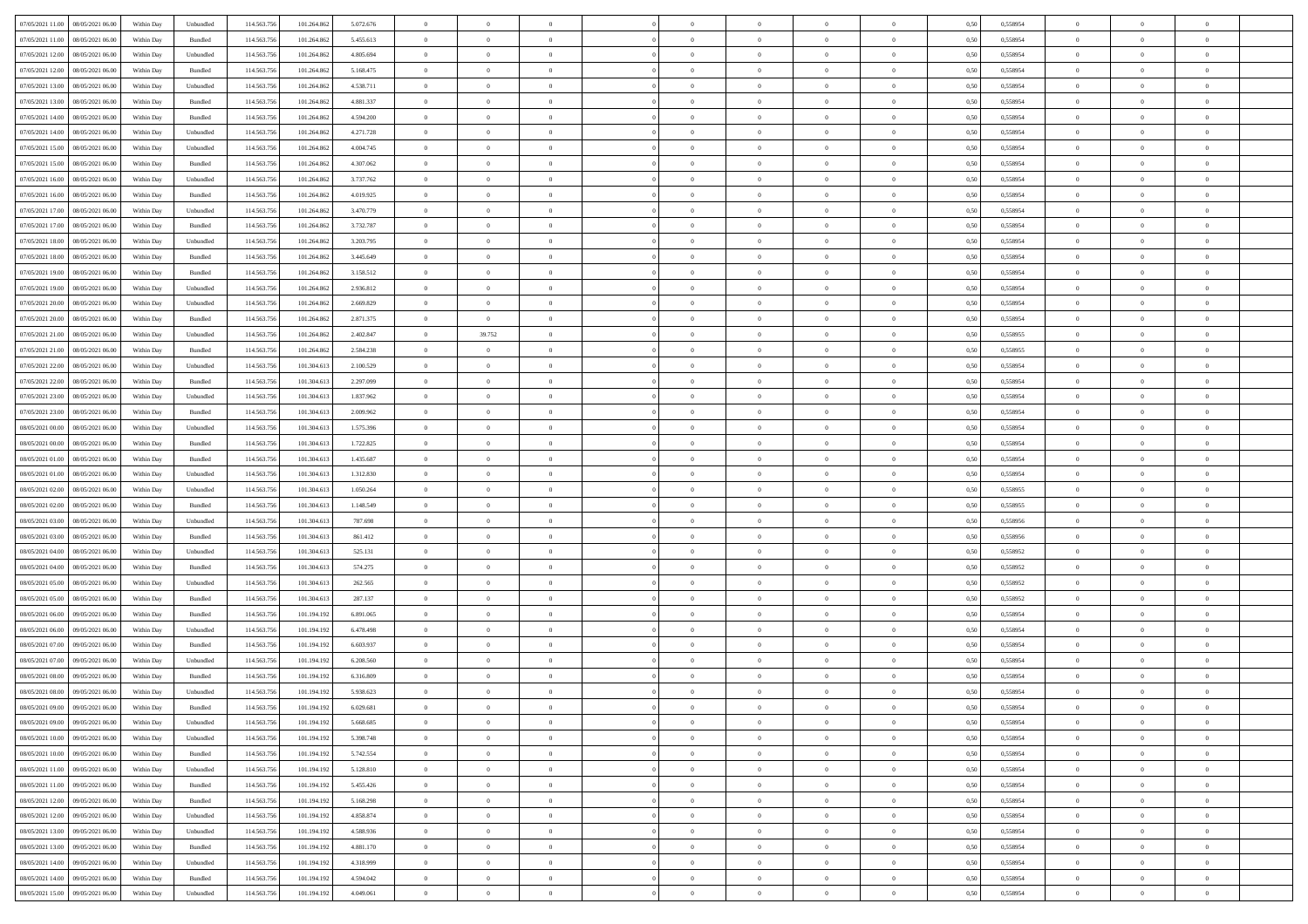|                                              |            |                   |             |             |           | $\overline{0}$ | $\overline{0}$ |                | $\overline{0}$ | $\theta$       |                | $\theta$       |      |          | $\theta$       | $\theta$       | $\overline{0}$ |  |
|----------------------------------------------|------------|-------------------|-------------|-------------|-----------|----------------|----------------|----------------|----------------|----------------|----------------|----------------|------|----------|----------------|----------------|----------------|--|
| 07/05/2021 11:00  08/05/2021 06:00           | Within Day | Unbundled         | 114.563.75  | 101.264.862 | 5.072.676 |                |                |                |                |                |                |                | 0,50 | 0,558954 |                |                |                |  |
| 07/05/2021 11:00<br>08/05/2021 06:00         | Within Day | Bundled           | 114.563.75  | 101.264.862 | 5.455.613 | $\bf{0}$       | $\bf{0}$       | $\bf{0}$       | $\bf{0}$       | $\overline{0}$ | $\overline{0}$ | $\bf{0}$       | 0,50 | 0,558954 | $\,$ 0 $\,$    | $\bf{0}$       | $\overline{0}$ |  |
| 07/05/2021 12:00<br>08/05/2021 06:00         | Within Day | Unbundled         | 114,563,75  | 101.264.862 | 4.805.694 | $\overline{0}$ | $\bf{0}$       | $\overline{0}$ | $\bf{0}$       | $\bf{0}$       | $\overline{0}$ | $\bf{0}$       | 0.50 | 0.558954 | $\bf{0}$       | $\overline{0}$ | $\overline{0}$ |  |
| 07/05/2021 12:00<br>08/05/2021 06:00         | Within Day | Bundled           | 114.563.75  | 101.264.862 | 5.168.475 | $\overline{0}$ | $\overline{0}$ | $\overline{0}$ | $\theta$       | $\theta$       | $\overline{0}$ | $\bf{0}$       | 0,50 | 0,558954 | $\theta$       | $\theta$       | $\overline{0}$ |  |
| 07/05/2021 13:00<br>08/05/2021 06:00         | Within Day | Unbundled         | 114.563.75  | 101.264.862 | 4.538.711 | $\bf{0}$       | $\overline{0}$ | $\bf{0}$       | $\overline{0}$ | $\theta$       | $\overline{0}$ | $\bf{0}$       | 0,50 | 0,558954 | $\,$ 0 $\,$    | $\bf{0}$       | $\overline{0}$ |  |
|                                              |            |                   |             |             |           |                |                |                |                |                |                |                |      |          |                |                |                |  |
| 07/05/2021 13:00<br>08/05/2021 06:00         | Within Day | Bundled           | 114,563,75  | 101.264.862 | 4.881.337 | $\overline{0}$ | $\overline{0}$ | $\overline{0}$ | $\bf{0}$       | $\overline{0}$ | $\theta$       | $\bf{0}$       | 0.50 | 0.558954 | $\,$ 0 $\,$    | $\theta$       | $\overline{0}$ |  |
| 07/05/2021 14:00<br>08/05/2021 06:00         | Within Day | Bundled           | 114.563.75  | 101.264.862 | 4.594.200 | $\overline{0}$ | $\overline{0}$ | $\overline{0}$ | $\overline{0}$ | $\overline{0}$ | $\overline{0}$ | $\bf{0}$       | 0,50 | 0,558954 | $\theta$       | $\theta$       | $\overline{0}$ |  |
| 07/05/2021 14:00<br>08/05/2021 06:00         | Within Day | Unbundled         | 114.563.75  | 101.264.862 | 4.271.728 | $\bf{0}$       | $\overline{0}$ | $\bf{0}$       | $\overline{0}$ | $\overline{0}$ | $\overline{0}$ | $\bf{0}$       | 0,50 | 0,558954 | $\,$ 0 $\,$    | $\bf{0}$       | $\overline{0}$ |  |
| 07/05/2021 15:00<br>08/05/2021 06:00         | Within Day | Unbundled         | 114,563,75  | 101.264.862 | 4.004.745 | $\overline{0}$ | $\bf{0}$       | $\overline{0}$ | $\bf{0}$       | $\overline{0}$ | $\overline{0}$ | $\bf{0}$       | 0.50 | 0.558954 | $\bf{0}$       | $\overline{0}$ | $\overline{0}$ |  |
| 07/05/2021 15:00<br>08/05/2021 06:00         | Within Day | Bundled           | 114.563.75  | 101.264.862 | 4.307.062 | $\overline{0}$ | $\bf{0}$       | $\overline{0}$ | $\overline{0}$ | $\overline{0}$ | $\overline{0}$ | $\bf{0}$       | 0,50 | 0,558954 | $\,$ 0 $\,$    | $\bf{0}$       | $\overline{0}$ |  |
| 07/05/2021 16:00<br>08/05/2021 06:00         | Within Day | Unbundled         | 114.563.75  | 101.264.862 | 3.737.762 | $\bf{0}$       | $\bf{0}$       | $\bf{0}$       | $\bf{0}$       | $\bf{0}$       | $\overline{0}$ | $\bf{0}$       | 0,50 | 0,558954 | $\,$ 0 $\,$    | $\bf{0}$       | $\overline{0}$ |  |
| 07/05/2021 16:00<br>08/05/2021 06:00         | Within Day | Bundled           | 114,563,75  | 101.264.862 | 4.019.925 | $\overline{0}$ | $\bf{0}$       | $\overline{0}$ | $\overline{0}$ | $\bf{0}$       | $\overline{0}$ | $\bf{0}$       | 0.50 | 0.558954 | $\bf{0}$       | $\overline{0}$ | $\overline{0}$ |  |
|                                              |            |                   |             |             |           | $\overline{0}$ | $\overline{0}$ | $\overline{0}$ | $\theta$       | $\theta$       | $\overline{0}$ |                |      |          | $\,$ 0 $\,$    | $\theta$       |                |  |
| 07/05/2021 17:00<br>08/05/2021 06:00         | Within Day | Unbundled         | 114.563.75  | 101.264.862 | 3.470.779 |                |                |                |                |                |                | $\bf{0}$       | 0,50 | 0,558954 |                |                | $\overline{0}$ |  |
| 07/05/2021 17:00<br>08/05/2021 06:00         | Within Day | Bundled           | 114.563.75  | 101.264.862 | 3.732.787 | $\bf{0}$       | $\overline{0}$ | $\bf{0}$       | $\overline{0}$ | $\bf{0}$       | $\overline{0}$ | $\bf{0}$       | 0,50 | 0,558954 | $\bf{0}$       | $\bf{0}$       | $\overline{0}$ |  |
| 07/05/2021 18:00<br>08/05/2021 06:00         | Within Day | Unbundled         | 114,563,75  | 101.264.862 | 3.203.795 | $\overline{0}$ | $\bf{0}$       | $\overline{0}$ | $\bf{0}$       | $\overline{0}$ | $\theta$       | $\bf{0}$       | 0.50 | 0.558954 | $\,$ 0 $\,$    | $\theta$       | $\overline{0}$ |  |
| 07/05/2021 18:00<br>08/05/2021 06:00         | Within Day | Bundled           | 114.563.75  | 101.264.862 | 3.445.649 | $\overline{0}$ | $\overline{0}$ | $\overline{0}$ | $\overline{0}$ | $\overline{0}$ | $\overline{0}$ | $\bf{0}$       | 0,50 | 0,558954 | $\theta$       | $\theta$       | $\overline{0}$ |  |
| 07/05/2021 19:00<br>08/05/2021 06:00         | Within Day | Bundled           | 114.563.75  | 101.264.862 | 3.158.512 | $\bf{0}$       | $\bf{0}$       | $\bf{0}$       | $\overline{0}$ | $\bf{0}$       | $\overline{0}$ | $\bf{0}$       | 0,50 | 0,558954 | $\,$ 0 $\,$    | $\bf{0}$       | $\overline{0}$ |  |
| 07/05/2021 19:00<br>08/05/2021 06:00         | Within Day | Unbundled         | 114,563,75  | 101.264.862 | 2.936.812 | $\overline{0}$ | $\bf{0}$       | $\overline{0}$ | $\bf{0}$       | $\overline{0}$ | $\overline{0}$ | $\bf{0}$       | 0.50 | 0.558954 | $\bf{0}$       | $\overline{0}$ | $\overline{0}$ |  |
| 07/05/2021 20:00<br>08/05/2021 06:00         | Within Day | Unbundled         | 114.563.75  | 101.264.862 | 2.669.829 | $\bf{0}$       | $\bf{0}$       | $\overline{0}$ | $\overline{0}$ | $\overline{0}$ | $\overline{0}$ | $\bf{0}$       | 0,50 | 0,558954 | $\,$ 0 $\,$    | $\bf{0}$       | $\overline{0}$ |  |
| 07/05/2021 20:00<br>08/05/2021 06:00         | Within Day | Bundled           | 114.563.75  | 101.264.862 | 2.871.375 | $\bf{0}$       | $\bf{0}$       | $\bf{0}$       | $\bf{0}$       | $\overline{0}$ | $\overline{0}$ | $\bf{0}$       | 0,50 | 0,558954 | $\,$ 0 $\,$    | $\bf{0}$       | $\overline{0}$ |  |
|                                              |            |                   |             |             |           |                |                |                |                |                |                |                |      |          |                |                |                |  |
| 07/05/2021 21:00<br>08/05/2021 06:00         | Within Day | Unbundled         | 114,563,75  | 101.264.862 | 2.402.847 | $\overline{0}$ | 39.752         | $\overline{0}$ | $\overline{0}$ | $\bf{0}$       | $\overline{0}$ | $\bf{0}$       | 0.50 | 0.558955 | $\bf{0}$       | $\overline{0}$ | $\overline{0}$ |  |
| 07/05/2021 21:00<br>08/05/2021 06:00         | Within Day | Bundled           | 114.563.75  | 101.264.862 | 2.584.238 | $\overline{0}$ | $\overline{0}$ | $\overline{0}$ | $\theta$       | $\theta$       | $\overline{0}$ | $\bf{0}$       | 0,50 | 0,558955 | $\theta$       | $\theta$       | $\overline{0}$ |  |
| 07/05/2021 22.00<br>08/05/2021 06:00         | Within Day | Unbundled         | 114.563.75  | 101.304.61  | 2.100.529 | $\bf{0}$       | $\overline{0}$ | $\bf{0}$       | $\bf{0}$       | $\overline{0}$ | $\overline{0}$ | $\bf{0}$       | 0,50 | 0,558954 | $\,$ 0 $\,$    | $\bf{0}$       | $\overline{0}$ |  |
| 07/05/2021 22:00<br>08/05/2021 06:00         | Within Day | Bundled           | 114,563,75  | 101.304.613 | 2.297.099 | $\overline{0}$ | $\bf{0}$       | $\overline{0}$ | $\bf{0}$       | $\overline{0}$ | $\theta$       | $\bf{0}$       | 0.50 | 0.558954 | $\,$ 0 $\,$    | $\theta$       | $\overline{0}$ |  |
| 07/05/2021 23:00<br>08/05/2021 06:00         | Within Day | Unbundled         | 114.563.75  | 101.304.613 | 1.837.962 | $\overline{0}$ | $\overline{0}$ | $\overline{0}$ | $\overline{0}$ | $\overline{0}$ | $\overline{0}$ | $\bf{0}$       | 0,50 | 0,558954 | $\theta$       | $\theta$       | $\overline{0}$ |  |
| 07/05/2021 23:00<br>08/05/2021 06:00         | Within Day | Bundled           | 114.563.75  | 101.304.61  | 2.009.962 | $\bf{0}$       | $\overline{0}$ | $\bf{0}$       | $\overline{0}$ | $\bf{0}$       | $\overline{0}$ | $\bf{0}$       | 0,50 | 0,558954 | $\,$ 0 $\,$    | $\bf{0}$       | $\overline{0}$ |  |
| 08/05/2021 00:00<br>08/05/2021 06:00         | Within Day | Unbundled         | 114,563,75  | 101.304.613 | 1.575.396 | $\overline{0}$ | $\bf{0}$       | $\overline{0}$ | $\bf{0}$       | $\overline{0}$ | $\overline{0}$ | $\bf{0}$       | 0.50 | 0.558954 | $\bf{0}$       | $\overline{0}$ | $\overline{0}$ |  |
| 08/05/2021 00:00<br>08/05/2021 06:00         | Within Day | Bundled           | 114.563.75  | 101.304.613 | 1.722.825 | $\overline{0}$ | $\bf{0}$       | $\overline{0}$ | $\overline{0}$ | $\overline{0}$ | $\overline{0}$ | $\bf{0}$       | 0,50 | 0,558954 | $\theta$       | $\theta$       | $\overline{0}$ |  |
|                                              |            |                   |             |             |           | $\bf{0}$       | $\bf{0}$       |                |                | $\overline{0}$ | $\overline{0}$ |                |      |          | $\,$ 0 $\,$    | $\bf{0}$       | $\overline{0}$ |  |
| 08/05/2021 01:00<br>08/05/2021 06:00         | Within Day | Bundled           | 114.563.75  | 101.304.61  | 1.435.687 |                |                | $\bf{0}$       | $\bf{0}$       |                |                | $\bf{0}$       | 0,50 | 0,558954 |                |                |                |  |
| 08/05/2021 01:00<br>08/05/2021 06:00         | Within Day | Unbundled         | 114,563,75  | 101.304.613 | 1.312.830 | $\overline{0}$ | $\bf{0}$       | $\overline{0}$ | $\bf{0}$       | $\bf{0}$       | $\overline{0}$ | $\bf{0}$       | 0.50 | 0.558954 | $\bf{0}$       | $\overline{0}$ | $\overline{0}$ |  |
| 08/05/2021 02:00<br>08/05/2021 06:00         | Within Day | Unbundled         | 114.563.75  | 101.304.613 | 1.050.264 | $\overline{0}$ | $\overline{0}$ | $\overline{0}$ | $\overline{0}$ | $\overline{0}$ | $\overline{0}$ | $\bf{0}$       | 0.50 | 0.558955 | $\theta$       | $\theta$       | $\overline{0}$ |  |
| 08/05/2021 02:00<br>08/05/2021 06:00         | Within Day | Bundled           | 114.563.75  | 101.304.61  | 1.148.549 | $\bf{0}$       | $\overline{0}$ | $\bf{0}$       | $\bf{0}$       | $\,$ 0 $\,$    | $\overline{0}$ | $\bf{0}$       | 0,50 | 0,558955 | $\,$ 0 $\,$    | $\bf{0}$       | $\overline{0}$ |  |
| 08/05/2021 03:00<br>08/05/2021 06:00         | Within Day | Unbundled         | 114,563,75  | 101.304.613 | 787.698   | $\overline{0}$ | $\bf{0}$       | $\overline{0}$ | $\bf{0}$       | $\overline{0}$ | $\overline{0}$ | $\bf{0}$       | 0.50 | 0.558956 | $\,$ 0 $\,$    | $\bf{0}$       | $\overline{0}$ |  |
| 08/05/2021 03:00<br>08/05/2021 06:00         | Within Dav | Bundled           | 114.563.75  | 101.304.613 | 861.412   | $\overline{0}$ | $\overline{0}$ | $\overline{0}$ | $\overline{0}$ | $\overline{0}$ | $\overline{0}$ | $\bf{0}$       | 0.50 | 0.558956 | $\theta$       | $\theta$       | $\overline{0}$ |  |
| 08/05/2021 04:00<br>08/05/2021 06:00         | Within Day | Unbundled         | 114.563.75  | 101.304.61  | 525.131   | $\bf{0}$       | $\bf{0}$       | $\bf{0}$       | $\bf{0}$       | $\overline{0}$ | $\overline{0}$ | $\bf{0}$       | 0,50 | 0,558952 | $\,$ 0 $\,$    | $\bf{0}$       | $\overline{0}$ |  |
| 08/05/2021 04:00<br>08/05/2021 06:00         | Within Day | Bundled           | 114,563,75  | 101.304.613 | 574.275   | $\overline{0}$ | $\bf{0}$       | $\overline{0}$ | $\bf{0}$       | $\overline{0}$ | $\overline{0}$ | $\bf{0}$       | 0.50 | 0.558952 | $\bf{0}$       | $\overline{0}$ | $\overline{0}$ |  |
| 08/05/2021 05:00<br>08/05/2021 06:00         | Within Day | Unbundled         | 114.563.75  | 101.304.613 | 262,565   | $\overline{0}$ | $\overline{0}$ | $\overline{0}$ | $\overline{0}$ | $\overline{0}$ | $\overline{0}$ | $\bf{0}$       | 0.50 | 0,558952 | $\theta$       | $\theta$       | $\overline{0}$ |  |
|                                              |            |                   |             |             |           |                |                |                |                |                |                |                |      |          |                |                |                |  |
| 08/05/2021 05:00<br>08/05/2021 06:00         | Within Day | Bundled           | 114.563.75  | 101.304.613 | 287.137   | $\bf{0}$       | $\bf{0}$       | $\bf{0}$       | $\bf{0}$       | $\overline{0}$ | $\overline{0}$ | $\bf{0}$       | 0,50 | 0,558952 | $\,$ 0 $\,$    | $\bf{0}$       | $\overline{0}$ |  |
| 08/05/2021 06:00<br>09/05/2021 06:00         | Within Day | Bundled           | 114.563.75  | 101.194.192 | 6.891.065 | $\overline{0}$ | $\bf{0}$       | $\overline{0}$ | $\overline{0}$ | $\bf{0}$       | $\overline{0}$ | $\bf{0}$       | 0.50 | 0.558954 | $\bf{0}$       | $\overline{0}$ | $\overline{0}$ |  |
| 08/05/2021 06:00<br>09/05/2021 06:00         | Within Day | Unbundled         | 114.563.75  | 101.194.192 | 6.478.498 | $\overline{0}$ | $\overline{0}$ | $\overline{0}$ | $\overline{0}$ | $\overline{0}$ | $\overline{0}$ | $\bf{0}$       | 0.50 | 0.558954 | $\theta$       | $\theta$       | $\overline{0}$ |  |
| 08/05/2021 07:00<br>09/05/2021 06.00         | Within Day | Bundled           | 114.563.75  | 101.194.192 | 6.603.937 | $\bf{0}$       | $\bf{0}$       | $\bf{0}$       | $\bf{0}$       | $\overline{0}$ | $\overline{0}$ | $\bf{0}$       | 0,50 | 0,558954 | $\,$ 0 $\,$    | $\bf{0}$       | $\overline{0}$ |  |
| 08/05/2021 07:00<br>09/05/2021 06:00         | Within Day | Unbundled         | 114,563,75  | 101.194.192 | 6.208.560 | $\overline{0}$ | $\overline{0}$ | $\overline{0}$ | $\bf{0}$       | $\overline{0}$ | $\overline{0}$ | $\bf{0}$       | 0.50 | 0.558954 | $\bf{0}$       | $\theta$       | $\overline{0}$ |  |
| 08/05/2021 08:00<br>09/05/2021 06:00         | Within Dav | Bundled           | 114.563.75  | 101.194.19  | 6.316.809 | $\overline{0}$ | $\overline{0}$ | $\Omega$       | $\theta$       | $\theta$       | $\overline{0}$ | $\overline{0}$ | 0.5( | 0,558954 | $\theta$       | $\theta$       | $\overline{0}$ |  |
| 08/05/2021 08:00<br>09/05/2021 06:00         | Within Day | Unbundled         | 114.563.75  | 101.194.192 | 5.938.623 | $\bf{0}$       | $\bf{0}$       | $\bf{0}$       | $\bf{0}$       | $\bf{0}$       | $\overline{0}$ | $\bf{0}$       | 0,50 | 0,558954 | $\overline{0}$ | $\overline{0}$ | $\overline{0}$ |  |
| $08/05/2021\;09.00 \qquad 09/05/2021\;06.00$ | Within Day | Bundled           | 114.563.756 | 101.194.192 | 6.029.681 | $\overline{0}$ | $\Omega$       |                | $\Omega$       |                |                |                | 0,50 | 0.558954 | $\theta$       | $\overline{0}$ |                |  |
| 08/05/2021 09:00 09/05/2021 06:00            | Within Day | Unbundled         | 114.563.756 | 101.194.192 | 5.668.685 | $\overline{0}$ | $\overline{0}$ | $\Omega$       | $\theta$       | $\overline{0}$ | $\overline{0}$ | $\bf{0}$       | 0,50 | 0,558954 | $\theta$       | $\overline{0}$ | $\overline{0}$ |  |
|                                              |            |                   |             |             |           |                |                |                |                |                |                |                |      |          |                |                |                |  |
| 08/05/2021 10:00<br>09/05/2021 06:00         | Within Day | Unbundled         | 114.563.75  | 101.194.192 | 5.398.748 | $\overline{0}$ | $\bf{0}$       | $\overline{0}$ | $\overline{0}$ | $\bf{0}$       | $\overline{0}$ | $\bf{0}$       | 0,50 | 0,558954 | $\bf{0}$       | $\overline{0}$ | $\bf{0}$       |  |
| 08/05/2021 10:00 09/05/2021 06:00            | Within Day | Bundled           | 114,563,756 | 101.194.192 | 5.742.554 | $\overline{0}$ | $\bf{0}$       | $\overline{0}$ | $\overline{0}$ | $\mathbf{0}$   | $\overline{0}$ | $\,$ 0 $\,$    | 0.50 | 0.558954 | $\overline{0}$ | $\bf{0}$       | $\,$ 0 $\,$    |  |
| 08/05/2021 11:00 09/05/2021 06:00            | Within Dav | Unbundled         | 114.563.756 | 101.194.192 | 5.128.810 | $\overline{0}$ | $\overline{0}$ | $\overline{0}$ | $\overline{0}$ | $\overline{0}$ | $\overline{0}$ | $\bf{0}$       | 0,50 | 0,558954 | $\theta$       | $\theta$       | $\overline{0}$ |  |
| 08/05/2021 11:00<br>09/05/2021 06:00         | Within Day | Bundled           | 114.563.75  | 101.194.192 | 5.455.426 | $\overline{0}$ | $\bf{0}$       | $\overline{0}$ | $\overline{0}$ | $\bf{0}$       | $\overline{0}$ | $\bf{0}$       | 0,50 | 0,558954 | $\bf{0}$       | $\overline{0}$ | $\overline{0}$ |  |
| 08/05/2021 12:00<br>09/05/2021 06:00         | Within Day | Bundled           | 114.563.756 | 101.194.192 | 5.168.298 | $\overline{0}$ | $\bf{0}$       | $\overline{0}$ | $\overline{0}$ | $\overline{0}$ | $\overline{0}$ | $\bf{0}$       | 0.50 | 0.558954 | $\,$ 0 $\,$    | $\overline{0}$ | $\,$ 0         |  |
| 08/05/2021 12:00<br>09/05/2021 06:00         | Within Dav | Unbundled         | 114.563.756 | 101.194.192 | 4.858.874 | $\overline{0}$ | $\overline{0}$ | $\overline{0}$ | $\overline{0}$ | $\overline{0}$ | $\overline{0}$ | $\bf{0}$       | 0.50 | 0,558954 | $\overline{0}$ | $\theta$       | $\overline{0}$ |  |
| 08/05/2021 13:00<br>09/05/2021 06:00         | Within Day | Unbundled         | 114.563.75  | 101.194.192 | 4.588.936 | $\overline{0}$ | $\overline{0}$ | $\overline{0}$ | $\overline{0}$ | $\overline{0}$ | $\overline{0}$ | $\bf{0}$       | 0,50 | 0,558954 | $\bf{0}$       | $\overline{0}$ | $\overline{0}$ |  |
|                                              |            |                   |             |             |           |                |                |                |                |                |                |                |      |          |                |                |                |  |
| 08/05/2021 13:00<br>09/05/2021 06:00         | Within Day | Bundled           | 114.563.75  | 101.194.192 | 4.881.170 | $\overline{0}$ | $\overline{0}$ | $\overline{0}$ | $\overline{0}$ | $\overline{0}$ | $\overline{0}$ | $\bf{0}$       | 0.50 | 0.558954 | $\mathbf{0}$   | $\bf{0}$       | $\,$ 0         |  |
| 08/05/2021 14:00<br>09/05/2021 06:00         | Within Dav | Unbundled         | 114.563.756 | 101.194.192 | 4.318.999 | $\overline{0}$ | $\overline{0}$ | $\overline{0}$ | $\overline{0}$ | $\overline{0}$ | $\overline{0}$ | $\bf{0}$       | 0,50 | 0,558954 | $\overline{0}$ | $\theta$       | $\overline{0}$ |  |
| 08/05/2021 14:00<br>09/05/2021 06:00         | Within Day | Bundled           | 114.563.75  | 101.194.192 | 4.594.042 | $\overline{0}$ | $\bf{0}$       | $\overline{0}$ | $\overline{0}$ | $\overline{0}$ | $\overline{0}$ | $\bf{0}$       | 0,50 | 0,558954 | $\bf{0}$       | $\,0\,$        | $\bf{0}$       |  |
| 08/05/2021 15:00 09/05/2021 06:00            | Within Day | ${\sf Unbundred}$ | 114.563.756 | 101.194.192 | 4.049.061 | $\overline{0}$ | $\bf{0}$       | $\overline{0}$ | $\overline{0}$ | $\,$ 0 $\,$    | $\overline{0}$ | $\bf{0}$       | 0,50 | 0,558954 | $\overline{0}$ | $\,$ 0 $\,$    | $\,$ 0 $\,$    |  |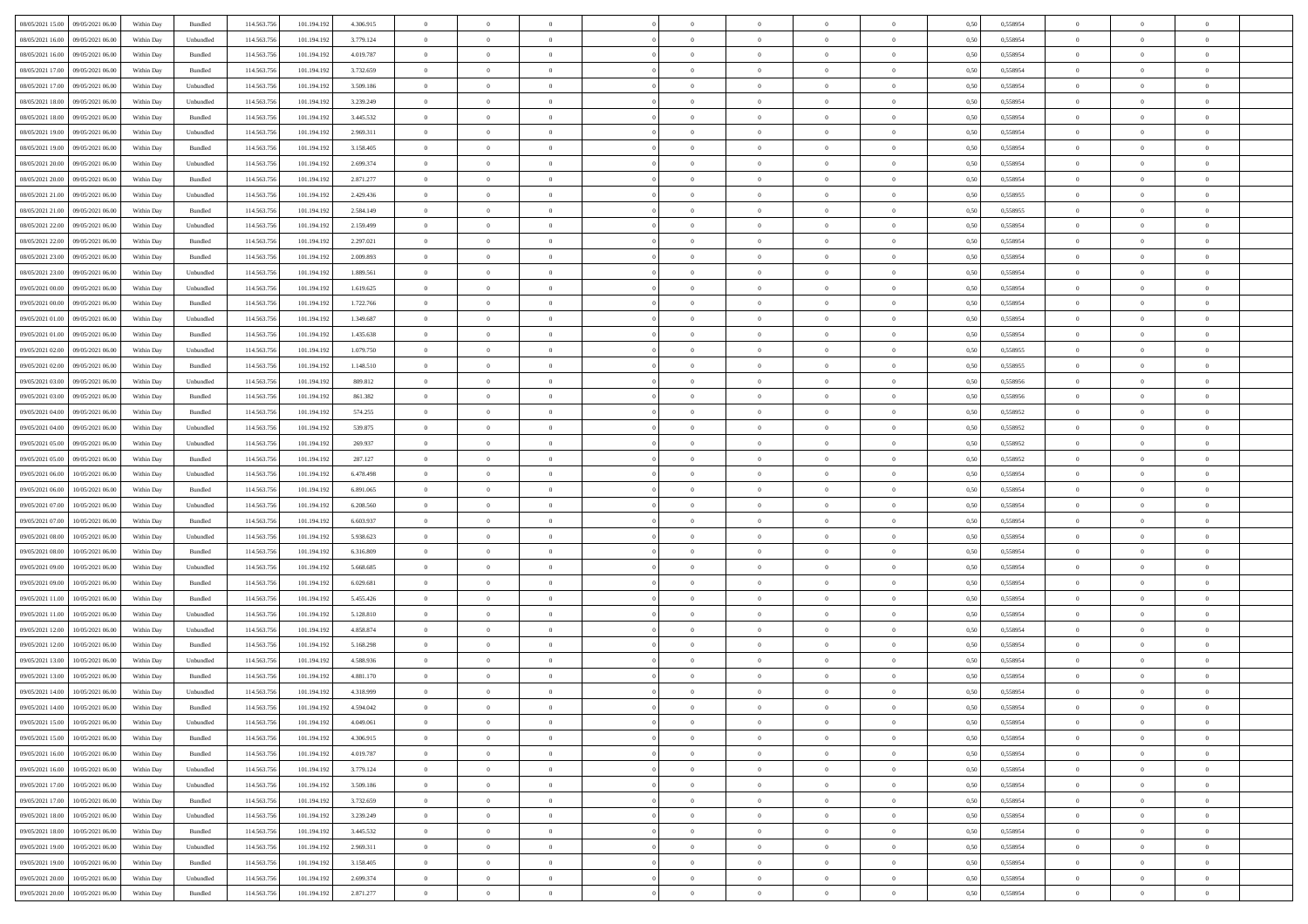| 08/05/2021 15:00 09/05/2021 06:00            |            |           | 114.563.75  |             |           | $\overline{0}$ | $\theta$       |                | $\overline{0}$ | $\theta$       |                | $\bf{0}$       |      | 0,558954 | $\theta$       | $\theta$       | $\overline{0}$ |  |
|----------------------------------------------|------------|-----------|-------------|-------------|-----------|----------------|----------------|----------------|----------------|----------------|----------------|----------------|------|----------|----------------|----------------|----------------|--|
|                                              | Within Day | Bundled   |             | 101.194.192 | 4.306.915 |                |                |                |                |                |                |                | 0,50 |          |                |                |                |  |
| 08/05/2021 16:00<br>09/05/2021 06.00         | Within Day | Unbundled | 114.563.75  | 101.194.19  | 3.779.124 | $\bf{0}$       | $\bf{0}$       | $\bf{0}$       | $\overline{0}$ | $\overline{0}$ | $\overline{0}$ | $\bf{0}$       | 0,50 | 0,558954 | $\,$ 0 $\,$    | $\bf{0}$       | $\overline{0}$ |  |
| 08/05/2021 16:00<br>09/05/2021 06:00         | Within Day | Bundled   | 114,563,75  | 101.194.192 | 4.019.787 | $\overline{0}$ | $\bf{0}$       | $\overline{0}$ | $\bf{0}$       | $\bf{0}$       | $\overline{0}$ | $\bf{0}$       | 0.50 | 0.558954 | $\bf{0}$       | $\overline{0}$ | $\overline{0}$ |  |
| 08/05/2021 17:00<br>09/05/2021 06:00         | Within Day | Bundled   | 114.563.75  | 101.194.192 | 3.732.659 | $\overline{0}$ | $\overline{0}$ | $\overline{0}$ | $\theta$       | $\theta$       | $\overline{0}$ | $\bf{0}$       | 0,50 | 0,558954 | $\theta$       | $\theta$       | $\overline{0}$ |  |
| 08/05/2021 17:00<br>09/05/2021 06.00         | Within Day | Unbundled | 114.563.75  | 101.194.192 | 3.509.186 | $\overline{0}$ | $\overline{0}$ | $\bf{0}$       | $\overline{0}$ | $\theta$       | $\overline{0}$ | $\bf{0}$       | 0,50 | 0,558954 | $\,$ 0 $\,$    | $\bf{0}$       | $\overline{0}$ |  |
|                                              |            |           |             |             |           |                |                |                |                |                |                |                |      |          |                |                |                |  |
| 08/05/2021 18:00<br>09/05/2021 06:00         | Within Day | Unbundled | 114,563,75  | 101.194.192 | 3.239.249 | $\overline{0}$ | $\overline{0}$ | $\overline{0}$ | $\bf{0}$       | $\overline{0}$ | $\theta$       | $\bf{0}$       | 0.50 | 0.558954 | $\bf{0}$       | $\theta$       | $\overline{0}$ |  |
| 08/05/2021 18:00<br>09/05/2021 06:00         | Within Day | Bundled   | 114.563.75  | 101.194.192 | 3.445.532 | $\overline{0}$ | $\overline{0}$ | $\overline{0}$ | $\overline{0}$ | $\overline{0}$ | $\overline{0}$ | $\bf{0}$       | 0,50 | 0,558954 | $\theta$       | $\theta$       | $\overline{0}$ |  |
| 08/05/2021 19:00<br>09/05/2021 06.00         | Within Day | Unbundled | 114.563.75  | 101.194.19  | 2.969.311 | $\overline{0}$ | $\overline{0}$ | $\bf{0}$       | $\overline{0}$ | $\overline{0}$ | $\overline{0}$ | $\bf{0}$       | 0,50 | 0,558954 | $\,$ 0 $\,$    | $\bf{0}$       | $\overline{0}$ |  |
| 08/05/2021 19:00<br>09/05/2021 06:00         | Within Day | Bundled   | 114,563,75  | 101.194.192 | 3.158.405 | $\overline{0}$ | $\bf{0}$       | $\overline{0}$ | $\bf{0}$       | $\overline{0}$ | $\overline{0}$ | $\bf{0}$       | 0.50 | 0.558954 | $\bf{0}$       | $\overline{0}$ | $\overline{0}$ |  |
| 08/05/2021 20:00<br>09/05/2021 06:00         | Within Day | Unbundled | 114.563.75  | 101.194.192 | 2.699.374 | $\overline{0}$ | $\bf{0}$       | $\overline{0}$ | $\overline{0}$ | $\overline{0}$ | $\overline{0}$ | $\bf{0}$       | 0,50 | 0,558954 | $\,$ 0 $\,$    | $\bf{0}$       | $\overline{0}$ |  |
| 08/05/2021 20:00<br>09/05/2021 06.00         | Within Day | Bundled   | 114.563.75  | 101.194.19  | 2.871.277 | $\bf{0}$       | $\overline{0}$ | $\bf{0}$       | $\bf{0}$       | $\bf{0}$       | $\overline{0}$ | $\bf{0}$       | 0,50 | 0,558954 | $\,$ 0 $\,$    | $\bf{0}$       | $\overline{0}$ |  |
| 08/05/2021 21:00<br>09/05/2021 06:00         | Within Day | Unbundled | 114,563,75  | 101.194.192 | 2.429.436 | $\overline{0}$ | $\bf{0}$       | $\overline{0}$ | $\bf{0}$       | $\bf{0}$       | $\overline{0}$ | $\bf{0}$       | 0.50 | 0.558955 | $\bf{0}$       | $\overline{0}$ | $\bf{0}$       |  |
|                                              |            |           |             |             |           | $\overline{0}$ | $\overline{0}$ | $\overline{0}$ | $\theta$       | $\theta$       | $\overline{0}$ |                |      |          | $\theta$       | $\theta$       | $\overline{0}$ |  |
| 08/05/2021 21:00<br>09/05/2021 06:00         | Within Day | Bundled   | 114.563.75  | 101.194.192 | 2.584.149 |                |                |                |                |                |                | $\bf{0}$       | 0,50 | 0,558955 |                |                |                |  |
| 08/05/2021 22:00<br>09/05/2021 06.00         | Within Day | Unbundled | 114.563.75  | 101.194.19  | 2.159.499 | $\bf{0}$       | $\overline{0}$ | $\bf{0}$       | $\overline{0}$ | $\theta$       | $\overline{0}$ | $\bf{0}$       | 0,50 | 0,558954 | $\,$ 0 $\,$    | $\bf{0}$       | $\overline{0}$ |  |
| 08/05/2021 22:00<br>09/05/2021 06:00         | Within Day | Bundled   | 114,563,75  | 101.194.192 | 2.297.021 | $\overline{0}$ | $\overline{0}$ | $\overline{0}$ | $\bf{0}$       | $\overline{0}$ | $\Omega$       | $\bf{0}$       | 0.50 | 0.558954 | $\theta$       | $\theta$       | $\overline{0}$ |  |
| 08/05/2021 23:00<br>09/05/2021 06:00         | Within Day | Bundled   | 114.563.75  | 101.194.192 | 2.009.893 | $\overline{0}$ | $\overline{0}$ | $\overline{0}$ | $\overline{0}$ | $\overline{0}$ | $\overline{0}$ | $\bf{0}$       | 0,50 | 0,558954 | $\theta$       | $\theta$       | $\overline{0}$ |  |
| 08/05/2021 23:00<br>09/05/2021 06.00         | Within Day | Unbundled | 114.563.75  | 101.194.19  | 1.889.561 | $\bf{0}$       | $\overline{0}$ | $\bf{0}$       | $\overline{0}$ | $\theta$       | $\overline{0}$ | $\bf{0}$       | 0,50 | 0,558954 | $\,$ 0 $\,$    | $\bf{0}$       | $\overline{0}$ |  |
| 09/05/2021 00:00<br>09/05/2021 06:00         | Within Day | Unbundled | 114,563,75  | 101.194.192 | 1.619.625 | $\overline{0}$ | $\bf{0}$       | $\overline{0}$ | $\bf{0}$       | $\overline{0}$ | $\overline{0}$ | $\bf{0}$       | 0.50 | 0.558954 | $\bf{0}$       | $\overline{0}$ | $\overline{0}$ |  |
| 09/05/2021 00:00<br>09/05/2021 06:00         | Within Day | Bundled   | 114.563.75  | 101.194.192 | 1.722.766 | $\overline{0}$ | $\bf{0}$       | $\overline{0}$ | $\overline{0}$ | $\overline{0}$ | $\overline{0}$ | $\bf{0}$       | 0,50 | 0,558954 | $\,$ 0 $\,$    | $\bf{0}$       | $\overline{0}$ |  |
| 09/05/2021 01:00<br>09/05/2021 06.00         | Within Day | Unbundled | 114.563.75  | 101.194.19  | 1.349.687 | $\bf{0}$       | $\bf{0}$       | $\bf{0}$       | $\bf{0}$       | $\overline{0}$ | $\overline{0}$ | $\bf{0}$       | 0,50 | 0,558954 | $\,$ 0 $\,$    | $\bf{0}$       | $\overline{0}$ |  |
|                                              |            |           |             |             |           |                |                |                |                |                |                |                |      |          |                |                |                |  |
| 09/05/2021 01:00<br>09/05/2021 06:00         | Within Day | Bundled   | 114,563,75  | 101.194.192 | 1.435.638 | $\overline{0}$ | $\bf{0}$       | $\overline{0}$ | $\bf{0}$       | $\bf{0}$       | $\overline{0}$ | $\bf{0}$       | 0.50 | 0.558954 | $\bf{0}$       | $\overline{0}$ | $\overline{0}$ |  |
| 09/05/2021 02:00<br>09/05/2021 06:00         | Within Day | Unbundled | 114.563.75  | 101.194.192 | 1.079.750 | $\overline{0}$ | $\overline{0}$ | $\overline{0}$ | $\theta$       | $\theta$       | $\overline{0}$ | $\bf{0}$       | 0,50 | 0,558955 | $\theta$       | $\theta$       | $\overline{0}$ |  |
| 09/05/2021 02:00<br>09/05/2021 06.00         | Within Day | Bundled   | 114.563.75  | 101.194.192 | 1.148.510 | $\bf{0}$       | $\overline{0}$ | $\bf{0}$       | $\bf{0}$       | $\,$ 0 $\,$    | $\overline{0}$ | $\bf{0}$       | 0,50 | 0,558955 | $\,$ 0 $\,$    | $\bf{0}$       | $\overline{0}$ |  |
| 09/05/2021 03:00<br>09/05/2021 06:00         | Within Day | Unbundled | 114,563,75  | 101.194.192 | 809.812   | $\overline{0}$ | $\overline{0}$ | $\overline{0}$ | $\bf{0}$       | $\overline{0}$ | $\theta$       | $\bf{0}$       | 0.50 | 0.558956 | $\,$ 0 $\,$    | $\theta$       | $\overline{0}$ |  |
| 09/05/2021 03:00<br>09/05/2021 06:00         | Within Day | Bundled   | 114.563.75  | 101.194.192 | 861.382   | $\overline{0}$ | $\overline{0}$ | $\overline{0}$ | $\overline{0}$ | $\theta$       | $\overline{0}$ | $\bf{0}$       | 0,50 | 0,558956 | $\theta$       | $\theta$       | $\overline{0}$ |  |
| 09/05/2021 04:00<br>09/05/2021 06.00         | Within Day | Bundled   | 114.563.75  | 101.194.19  | 574.255   | $\bf{0}$       | $\overline{0}$ | $\bf{0}$       | $\overline{0}$ | $\theta$       | $\overline{0}$ | $\bf{0}$       | 0,50 | 0,558952 | $\,$ 0 $\,$    | $\bf{0}$       | $\overline{0}$ |  |
| 09/05/2021 04:00<br>09/05/2021 06:00         | Within Day | Unbundled | 114,563,75  | 101.194.192 | 539.875   | $\overline{0}$ | $\bf{0}$       | $\overline{0}$ | $\bf{0}$       | $\overline{0}$ | $\overline{0}$ | $\bf{0}$       | 0.50 | 0.558952 | $\bf{0}$       | $\overline{0}$ | $\overline{0}$ |  |
| 09/05/2021 05:00<br>09/05/2021 06:00         | Within Day | Unbundled | 114.563.75  | 101.194.192 | 269.937   | $\overline{0}$ | $\overline{0}$ | $\overline{0}$ | $\overline{0}$ | $\overline{0}$ | $\overline{0}$ | $\bf{0}$       | 0,50 | 0,558952 | $\theta$       | $\theta$       | $\overline{0}$ |  |
|                                              |            |           |             |             |           |                |                |                |                |                |                |                |      |          |                |                |                |  |
| 09/05/2021 05:00<br>09/05/2021 06.00         | Within Day | Bundled   | 114.563.75  | 101.194.192 | 287.127   | $\bf{0}$       | $\bf{0}$       | $\bf{0}$       | $\bf{0}$       | $\overline{0}$ | $\overline{0}$ | $\bf{0}$       | 0,50 | 0,558952 | $\,$ 0 $\,$    | $\bf{0}$       | $\overline{0}$ |  |
| 09/05/2021 06:00<br>10/05/2021 06:00         | Within Day | Unbundled | 114,563,75  | 101.194.192 | 6.478.498 | $\overline{0}$ | $\bf{0}$       | $\overline{0}$ | $\bf{0}$       | $\bf{0}$       | $\overline{0}$ | $\bf{0}$       | 0.50 | 0.558954 | $\bf{0}$       | $\overline{0}$ | $\bf{0}$       |  |
| 09/05/2021 06:00<br>10/05/2021 06:00         | Within Day | Bundled   | 114.563.75  | 101.194.192 | 6.891.065 | $\overline{0}$ | $\overline{0}$ | $\overline{0}$ | $\overline{0}$ | $\overline{0}$ | $\overline{0}$ | $\bf{0}$       | 0.50 | 0.558954 | $\theta$       | $\theta$       | $\overline{0}$ |  |
| 09/05/2021 07:00<br>10/05/2021 06:00         | Within Day | Unbundled | 114.563.75  | 101.194.192 | 6.208.560 | $\bf{0}$       | $\overline{0}$ | $\bf{0}$       | $\bf{0}$       | $\overline{0}$ | $\overline{0}$ | $\bf{0}$       | 0,50 | 0,558954 | $\,$ 0 $\,$    | $\bf{0}$       | $\overline{0}$ |  |
| 09/05/2021 07:00<br>10/05/2021 06:00         | Within Day | Bundled   | 114,563,75  | 101.194.192 | 6.603.937 | $\overline{0}$ | $\bf{0}$       | $\overline{0}$ | $\bf{0}$       | $\overline{0}$ | $\Omega$       | $\bf{0}$       | 0.50 | 0.558954 | $\,$ 0 $\,$    | $\theta$       | $\overline{0}$ |  |
| 09/05/2021 08:00<br>10/05/2021 06:00         | Within Dav | Unbundled | 114.563.75  | 101.194.192 | 5.938.623 | $\overline{0}$ | $\overline{0}$ | $\overline{0}$ | $\overline{0}$ | $\theta$       | $\overline{0}$ | $\bf{0}$       | 0.50 | 0,558954 | $\theta$       | $\theta$       | $\overline{0}$ |  |
| 09/05/2021 08:00<br>10/05/2021 06:00         | Within Day | Bundled   | 114.563.75  | 101.194.19  | 6.316.809 | $\bf{0}$       | $\bf{0}$       | $\bf{0}$       | $\overline{0}$ | $\bf{0}$       | $\overline{0}$ | $\bf{0}$       | 0,50 | 0,558954 | $\,$ 0 $\,$    | $\bf{0}$       | $\overline{0}$ |  |
| 09/05/2021 09:00<br>10/05/2021 06:00         | Within Day | Unbundled | 114,563,75  | 101.194.192 | 5.668.685 | $\overline{0}$ | $\bf{0}$       | $\overline{0}$ | $\bf{0}$       | $\overline{0}$ | $\overline{0}$ | $\bf{0}$       | 0.50 | 0.558954 | $\bf{0}$       | $\overline{0}$ | $\overline{0}$ |  |
| 09/05/2021 09:00<br>10/05/2021 06:00         | Within Dav | Bundled   | 114.563.75  | 101.194.192 | 6.029.681 | $\overline{0}$ | $\overline{0}$ | $\overline{0}$ | $\overline{0}$ | $\overline{0}$ | $\overline{0}$ | $\bf{0}$       | 0.50 | 0,558954 | $\theta$       | $\theta$       | $\overline{0}$ |  |
|                                              |            |           |             |             |           |                |                |                |                |                |                |                |      |          |                |                |                |  |
| 09/05/2021 11:00<br>10/05/2021 06:00         | Within Day | Bundled   | 114.563.75  | 101.194.19  | 5.455.426 | $\bf{0}$       | $\bf{0}$       | $\bf{0}$       | $\bf{0}$       | $\overline{0}$ | $\overline{0}$ | $\bf{0}$       | 0,50 | 0,558954 | $\,$ 0 $\,$    | $\bf{0}$       | $\overline{0}$ |  |
| 09/05/2021 11:00<br>10/05/2021 06:00         | Within Day | Unbundled | 114,563,75  | 101.194.192 | 5.128.810 | $\overline{0}$ | $\bf{0}$       | $\overline{0}$ | $\bf{0}$       | $\bf{0}$       | $\overline{0}$ | $\bf{0}$       | 0.50 | 0.558954 | $\bf{0}$       | $\overline{0}$ | $\overline{0}$ |  |
| 09/05/2021 12:00<br>10/05/2021 06:00         | Within Dav | Unbundled | 114.563.75  | 101.194.192 | 4.858.874 | $\overline{0}$ | $\overline{0}$ | $\overline{0}$ | $\overline{0}$ | $\overline{0}$ | $\overline{0}$ | $\bf{0}$       | 0.50 | 0,558954 | $\theta$       | $\theta$       | $\overline{0}$ |  |
| 09/05/2021 12:00<br>10/05/2021 06:00         | Within Day | Bundled   | 114.563.75  | 101.194.192 | 5.168.298 | $\bf{0}$       | $\bf{0}$       | $\bf{0}$       | $\bf{0}$       | $\overline{0}$ | $\overline{0}$ | $\bf{0}$       | 0,50 | 0,558954 | $\,$ 0 $\,$    | $\bf{0}$       | $\overline{0}$ |  |
| 09/05/2021 13:00<br>10/05/2021 06:00         | Within Day | Unbundled | 114,563,75  | 101.194.192 | 4.588.936 | $\overline{0}$ | $\overline{0}$ | $\overline{0}$ | $\bf{0}$       | $\overline{0}$ | $\Omega$       | $\bf{0}$       | 0.50 | 0.558954 | $\,$ 0 $\,$    | $\theta$       | $\overline{0}$ |  |
| 09/05/2021 13:00<br>10/05/2021 06:00         | Within Dav | Bundled   | 114.563.75  | 101.194.19  | 4.881.170 | $\overline{0}$ | $\overline{0}$ | $\Omega$       | $\overline{0}$ | $\theta$       | $\Omega$       | $\overline{0}$ | 0.5( | 0,558954 | $\theta$       | $\theta$       | $\overline{0}$ |  |
| 09/05/2021 14:00<br>10/05/2021 06:00         | Within Day | Unbundled | 114.563.75  | 101.194.192 | 4.318.999 | $\bf{0}$       | $\bf{0}$       | $\overline{0}$ | $\bf{0}$       | $\bf{0}$       | $\overline{0}$ | $\bf{0}$       | 0,50 | 0,558954 | $\overline{0}$ | $\bf{0}$       | $\overline{0}$ |  |
| $09/05/2021\ 14.00 \qquad 10/05/2021\ 06.00$ | Within Day | Bundled   | 114.563.756 | 101.194.192 | 4 594 042 | $\overline{0}$ |                |                | $\Omega$       |                |                |                | 0,50 | 0.558954 | $\theta$       | $\overline{0}$ |                |  |
|                                              |            |           |             |             |           |                |                |                |                |                |                |                |      |          |                |                |                |  |
| 09/05/2021 15:00 10/05/2021 06:00            | Within Day | Unbundled | 114.563.756 | 101.194.192 | 4.049.061 | $\overline{0}$ | $\overline{0}$ | $\overline{0}$ | $\theta$       | $\overline{0}$ | $\overline{0}$ | $\bf{0}$       | 0,50 | 0,558954 | $\theta$       | $\overline{0}$ | $\overline{0}$ |  |
| 09/05/2021 15:00<br>10/05/2021 06:00         | Within Day | Bundled   | 114.563.75  | 101.194.192 | 4.306.915 | $\overline{0}$ | $\bf{0}$       | $\overline{0}$ | $\overline{0}$ | $\bf{0}$       | $\overline{0}$ | $\bf{0}$       | 0,50 | 0,558954 | $\bf{0}$       | $\overline{0}$ | $\bf{0}$       |  |
| 09/05/2021 16:00 10/05/2021 06:00            | Within Day | Bundled   | 114,563,756 | 101.194.192 | 4.019.787 | $\overline{0}$ | $\bf{0}$       | $\overline{0}$ | $\overline{0}$ | $\mathbf{0}$   | $\overline{0}$ | $\,$ 0 $\,$    | 0.50 | 0.558954 | $\overline{0}$ | $\bf{0}$       | $\bf{0}$       |  |
| 09/05/2021 16:00<br>10/05/2021 06:00         | Within Dav | Unbundled | 114.563.756 | 101.194.192 | 3.779.124 | $\overline{0}$ | $\overline{0}$ | $\overline{0}$ | $\overline{0}$ | $\overline{0}$ | $\overline{0}$ | $\bf{0}$       | 0,50 | 0,558954 | $\theta$       | $\theta$       | $\overline{0}$ |  |
| 09/05/2021 17:00<br>10/05/2021 06:00         | Within Day | Unbundled | 114.563.75  | 101.194.192 | 3.509.186 | $\overline{0}$ | $\bf{0}$       | $\overline{0}$ | $\overline{0}$ | $\bf{0}$       | $\overline{0}$ | $\bf{0}$       | 0,50 | 0,558954 | $\bf{0}$       | $\overline{0}$ | $\overline{0}$ |  |
| 09/05/2021 17:00<br>10/05/2021 06:00         | Within Day | Bundled   | 114.563.756 | 101.194.192 | 3.732.659 | $\overline{0}$ | $\bf{0}$       | $\overline{0}$ | $\overline{0}$ | $\bf{0}$       | $\overline{0}$ | $\bf{0}$       | 0.50 | 0.558954 | $\,$ 0 $\,$    | $\overline{0}$ | $\,$ 0         |  |
| 09/05/2021 18:00<br>10/05/2021 06:00         | Within Dav | Unbundled | 114.563.756 | 101.194.192 | 3.239.249 | $\overline{0}$ | $\overline{0}$ | $\overline{0}$ | $\overline{0}$ | $\overline{0}$ | $\overline{0}$ | $\bf{0}$       | 0.50 | 0,558954 | $\overline{0}$ | $\theta$       | $\overline{0}$ |  |
|                                              |            |           |             |             |           |                |                |                |                |                |                |                |      |          |                |                |                |  |
| 09/05/2021 18:00<br>10/05/2021 06:00         | Within Day | Bundled   | 114.563.75  | 101.194.192 | 3.445.532 | $\overline{0}$ | $\overline{0}$ | $\overline{0}$ | $\overline{0}$ | $\overline{0}$ | $\overline{0}$ | $\bf{0}$       | 0,50 | 0,558954 | $\bf{0}$       | $\overline{0}$ | $\overline{0}$ |  |
| 10/05/2021 06:00<br>09/05/2021 19:00         | Within Day | Unbundled | 114.563.75  | 101.194.192 | 2.969.311 | $\overline{0}$ | $\overline{0}$ | $\overline{0}$ | $\overline{0}$ | $\overline{0}$ | $\overline{0}$ | $\bf{0}$       | 0.50 | 0.558954 | $\mathbf{0}$   | $\bf{0}$       | $\,$ 0         |  |
| 09/05/2021 19:00<br>10/05/2021 06:00         | Within Dav | Bundled   | 114.563.756 | 101.194.192 | 3.158.405 | $\overline{0}$ | $\overline{0}$ | $\overline{0}$ | $\overline{0}$ | $\overline{0}$ | $\overline{0}$ | $\bf{0}$       | 0,50 | 0,558954 | $\overline{0}$ | $\theta$       | $\overline{0}$ |  |
| 09/05/2021 20:00<br>10/05/2021 06:00         | Within Day | Unbundled | 114.563.75  | 101.194.192 | 2.699.374 | $\overline{0}$ | $\bf{0}$       | $\overline{0}$ | $\overline{0}$ | $\overline{0}$ | $\overline{0}$ | $\bf{0}$       | 0,50 | 0,558954 | $\bf{0}$       | $\overline{0}$ | $\bf{0}$       |  |
| 09/05/2021 20:00 10/05/2021 06:00            | Within Day | Bundled   | 114.563.756 | 101.194.192 | 2.871.277 | $\overline{0}$ | $\bf{0}$       | $\overline{0}$ | $\overline{0}$ | $\,$ 0 $\,$    | $\overline{0}$ | $\bf{0}$       | 0,50 | 0,558954 | $\overline{0}$ | $\,$ 0 $\,$    | $\,$ 0 $\,$    |  |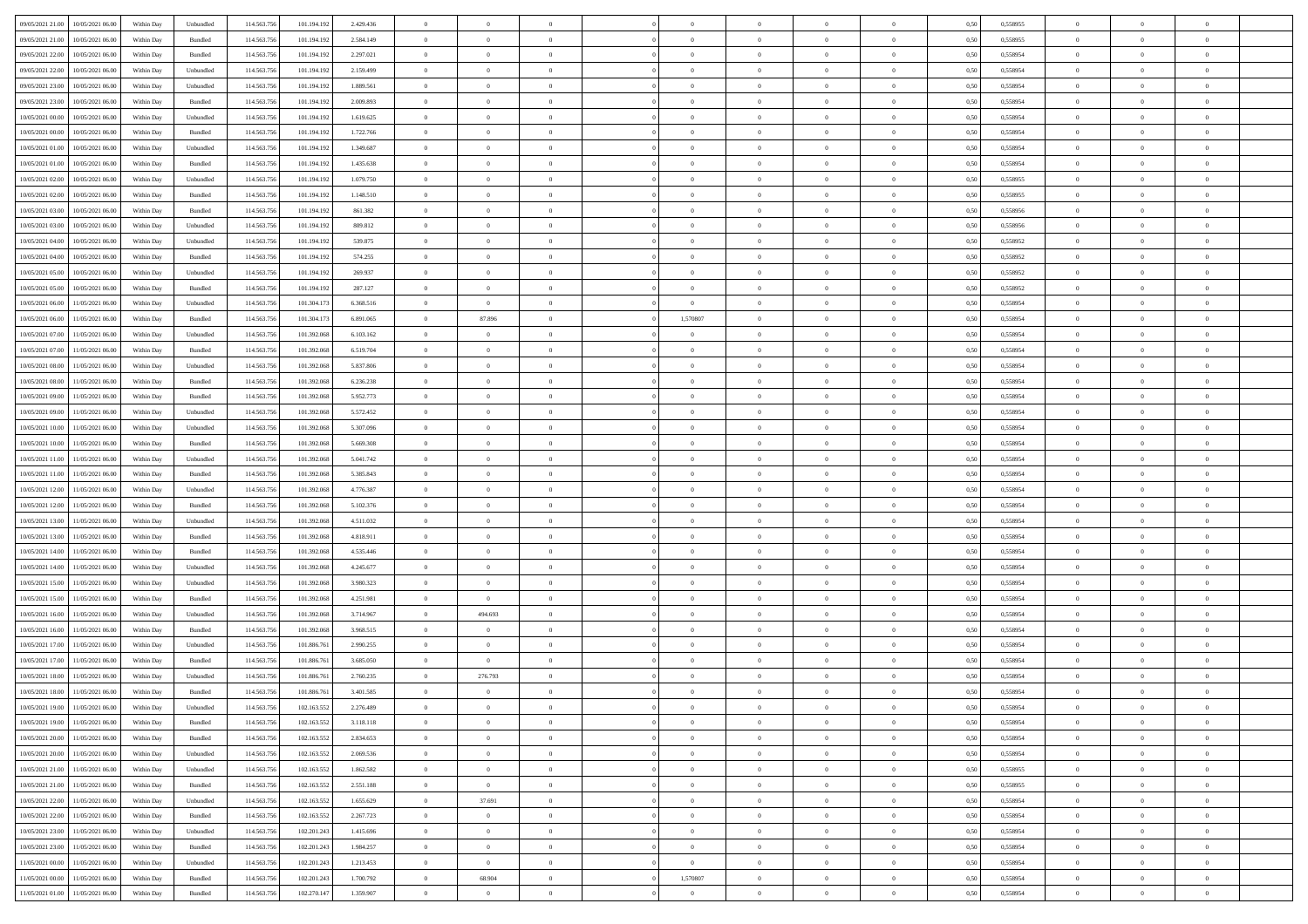|                                              |            |                             |             |             |           | $\overline{0}$ | $\overline{0}$ |                | $\overline{0}$ | $\theta$       |                | $\theta$       |      |          | $\theta$       | $\theta$       | $\overline{0}$ |  |
|----------------------------------------------|------------|-----------------------------|-------------|-------------|-----------|----------------|----------------|----------------|----------------|----------------|----------------|----------------|------|----------|----------------|----------------|----------------|--|
| 09/05/2021 21:00<br>10/05/2021 06:00         | Within Day | Unbundled                   | 114.563.75  | 101.194.192 | 2.429.436 |                |                |                |                |                |                |                | 0,50 | 0,558955 |                |                |                |  |
| 09/05/2021 21:00<br>10/05/2021 06:00         | Within Day | Bundled                     | 114.563.75  | 101.194.19  | 2.584.149 | $\bf{0}$       | $\bf{0}$       | $\bf{0}$       | $\bf{0}$       | $\overline{0}$ | $\overline{0}$ | $\bf{0}$       | 0,50 | 0,558955 | $\,$ 0 $\,$    | $\bf{0}$       | $\overline{0}$ |  |
| 09/05/2021 22:00<br>10/05/2021 06:00         | Within Day | Bundled                     | 114,563,75  | 101.194.192 | 2.297.021 | $\overline{0}$ | $\bf{0}$       | $\overline{0}$ | $\bf{0}$       | $\bf{0}$       | $\overline{0}$ | $\bf{0}$       | 0.50 | 0.558954 | $\bf{0}$       | $\overline{0}$ | $\overline{0}$ |  |
| 09/05/2021 22.00<br>10/05/2021 06:00         | Within Day | Unbundled                   | 114.563.75  | 101.194.192 | 2.159.499 | $\overline{0}$ | $\overline{0}$ | $\overline{0}$ | $\theta$       | $\theta$       | $\overline{0}$ | $\bf{0}$       | 0,50 | 0,558954 | $\theta$       | $\theta$       | $\overline{0}$ |  |
| 09/05/2021 23:00<br>10/05/2021 06:00         | Within Day | Unbundled                   | 114.563.75  | 101.194.192 | 1.889.561 | $\bf{0}$       | $\overline{0}$ | $\bf{0}$       | $\overline{0}$ | $\theta$       | $\overline{0}$ | $\bf{0}$       | 0,50 | 0,558954 | $\,$ 0 $\,$    | $\bf{0}$       | $\overline{0}$ |  |
|                                              |            |                             |             |             |           |                |                |                |                |                |                |                |      |          |                |                |                |  |
| 09/05/2021 23:00<br>10/05/2021 06:00         | Within Day | Bundled                     | 114,563,75  | 101.194.192 | 2.009.893 | $\overline{0}$ | $\bf{0}$       | $\overline{0}$ | $\bf{0}$       | $\overline{0}$ | $\theta$       | $\bf{0}$       | 0.50 | 0.558954 | $\,$ 0 $\,$    | $\theta$       | $\overline{0}$ |  |
| 10/05/2021 00:00<br>10/05/2021 06:00         | Within Day | Unbundled                   | 114.563.75  | 101.194.192 | 1.619.625 | $\overline{0}$ | $\overline{0}$ | $\overline{0}$ | $\overline{0}$ | $\overline{0}$ | $\overline{0}$ | $\bf{0}$       | 0,50 | 0,558954 | $\theta$       | $\theta$       | $\overline{0}$ |  |
| 10/05/2021 00:00<br>10/05/2021 06:00         | Within Day | Bundled                     | 114.563.75  | 101.194.19  | 1.722.766 | $\overline{0}$ | $\overline{0}$ | $\bf{0}$       | $\overline{0}$ | $\overline{0}$ | $\overline{0}$ | $\bf{0}$       | 0,50 | 0,558954 | $\,$ 0 $\,$    | $\bf{0}$       | $\overline{0}$ |  |
| 10/05/2021 01:00<br>10/05/2021 06:00         | Within Day | Unbundled                   | 114,563,75  | 101.194.192 | 1.349.687 | $\overline{0}$ | $\bf{0}$       | $\overline{0}$ | $\bf{0}$       | $\overline{0}$ | $\overline{0}$ | $\bf{0}$       | 0.50 | 0.558954 | $\bf{0}$       | $\overline{0}$ | $\overline{0}$ |  |
| 10/05/2021 01:00<br>10/05/2021 06:00         | Within Day | Bundled                     | 114.563.75  | 101.194.192 | 1.435.638 | $\overline{0}$ | $\bf{0}$       | $\overline{0}$ | $\overline{0}$ | $\overline{0}$ | $\overline{0}$ | $\bf{0}$       | 0,50 | 0,558954 | $\,$ 0 $\,$    | $\bf{0}$       | $\overline{0}$ |  |
| 10/05/2021 02:00<br>10/05/2021 06:00         | Within Day | Unbundled                   | 114.563.75  | 101.194.192 | 1.079.750 | $\bf{0}$       | $\overline{0}$ | $\bf{0}$       | $\bf{0}$       | $\bf{0}$       | $\overline{0}$ | $\bf{0}$       | 0,50 | 0,558955 | $\,$ 0 $\,$    | $\bf{0}$       | $\overline{0}$ |  |
| 10/05/2021 02:00<br>10/05/2021 06:00         | Within Day | Bundled                     | 114,563,75  | 101.194.192 | 1.148.510 | $\overline{0}$ | $\bf{0}$       | $\overline{0}$ | $\overline{0}$ | $\bf{0}$       | $\overline{0}$ | $\bf{0}$       | 0.50 | 0.558955 | $\bf{0}$       | $\overline{0}$ | $\,$ 0         |  |
|                                              |            |                             |             |             |           | $\overline{0}$ | $\overline{0}$ | $\overline{0}$ | $\theta$       | $\theta$       | $\overline{0}$ |                |      |          | $\,$ 0 $\,$    | $\theta$       |                |  |
| 10/05/2021 03:00<br>10/05/2021 06:00         | Within Day | Bundled                     | 114.563.75  | 101.194.192 | 861.382   |                |                |                |                |                |                | $\bf{0}$       | 0,50 | 0,558956 |                |                | $\overline{0}$ |  |
| 10/05/2021 03:00<br>10/05/2021 06:00         | Within Day | Unbundled                   | 114.563.75  | 101.194.19  | 809.812   | $\bf{0}$       | $\overline{0}$ | $\bf{0}$       | $\overline{0}$ | $\bf{0}$       | $\overline{0}$ | $\bf{0}$       | 0,50 | 0,558956 | $\,$ 0 $\,$    | $\bf{0}$       | $\overline{0}$ |  |
| 10/05/2021 04:00<br>10/05/2021 06:00         | Within Day | Unbundled                   | 114,563,75  | 101.194.192 | 539,875   | $\overline{0}$ | $\bf{0}$       | $\overline{0}$ | $\bf{0}$       | $\overline{0}$ | $\theta$       | $\bf{0}$       | 0.50 | 0.558952 | $\,$ 0 $\,$    | $\theta$       | $\overline{0}$ |  |
| 10/05/2021 04:00<br>10/05/2021 06:00         | Within Day | Bundled                     | 114.563.75  | 101.194.192 | 574.255   | $\overline{0}$ | $\overline{0}$ | $\overline{0}$ | $\overline{0}$ | $\overline{0}$ | $\overline{0}$ | $\bf{0}$       | 0,50 | 0,558952 | $\theta$       | $\theta$       | $\overline{0}$ |  |
| 10/05/2021 05:00<br>10/05/2021 06:00         | Within Day | Unbundled                   | 114.563.75  | 101.194.192 | 269.937   | $\bf{0}$       | $\bf{0}$       | $\bf{0}$       | $\overline{0}$ | $\bf{0}$       | $\overline{0}$ | $\bf{0}$       | 0,50 | 0,558952 | $\,$ 0 $\,$    | $\bf{0}$       | $\overline{0}$ |  |
| 10/05/2021 05:00<br>10/05/2021 06:00         | Within Day | Bundled                     | 114,563,75  | 101.194.192 | 287.127   | $\overline{0}$ | $\bf{0}$       | $\overline{0}$ | $\bf{0}$       | $\overline{0}$ | $\overline{0}$ | $\bf{0}$       | 0.50 | 0.558952 | $\bf{0}$       | $\overline{0}$ | $\overline{0}$ |  |
| 10/05/2021 06:00<br>11/05/2021 06:00         | Within Day | Unbundled                   | 114.563.75  | 101.304.173 | 6.368.516 | $\overline{0}$ | $\bf{0}$       | $\overline{0}$ | $\overline{0}$ | $\overline{0}$ | $\overline{0}$ | $\bf{0}$       | 0,50 | 0,558954 | $\,$ 0 $\,$    | $\bf{0}$       | $\overline{0}$ |  |
| 10/05/2021 06:00<br>11/05/2021 06:00         | Within Day | Bundled                     | 114.563.75  | 101.304.17  | 6.891.065 | $\bf{0}$       | 87.896         | $\bf{0}$       | 1,570807       | $\overline{0}$ | $\overline{0}$ | $\bf{0}$       | 0,50 | 0,558954 | $\,$ 0 $\,$    | $\bf{0}$       | $\overline{0}$ |  |
|                                              |            |                             |             |             |           |                |                |                |                |                |                |                |      |          |                |                |                |  |
| 10/05/2021 07:00<br>11/05/2021 06:00         | Within Day | Unbundled                   | 114,563,75  | 101.392.068 | 6.103.162 | $\overline{0}$ | $\bf{0}$       | $\overline{0}$ | $\overline{0}$ | $\bf{0}$       | $\overline{0}$ | $\bf{0}$       | 0.50 | 0.558954 | $\bf{0}$       | $\overline{0}$ | $\overline{0}$ |  |
| 10/05/2021 07:00<br>11/05/2021 06:00         | Within Day | Bundled                     | 114.563.75  | 101.392.068 | 6.519.704 | $\overline{0}$ | $\overline{0}$ | $\overline{0}$ | $\overline{0}$ | $\theta$       | $\overline{0}$ | $\bf{0}$       | 0,50 | 0,558954 | $\theta$       | $\theta$       | $\overline{0}$ |  |
| 10/05/2021 08:00<br>11/05/2021 06:00         | Within Day | Unbundled                   | 114.563.75  | 101.392.06  | 5.837.806 | $\bf{0}$       | $\bf{0}$       | $\bf{0}$       | $\bf{0}$       | $\bf{0}$       | $\overline{0}$ | $\bf{0}$       | 0,50 | 0,558954 | $\,$ 0 $\,$    | $\bf{0}$       | $\overline{0}$ |  |
| 10/05/2021 08:00<br>11/05/2021 06:00         | Within Day | Bundled                     | 114,563,75  | 101.392.06  | 6.236.238 | $\overline{0}$ | $\bf{0}$       | $\overline{0}$ | $\bf{0}$       | $\overline{0}$ | $\theta$       | $\bf{0}$       | 0.50 | 0.558954 | $\,$ 0 $\,$    | $\theta$       | $\overline{0}$ |  |
| 10/05/2021 09:00<br>11/05/2021 06:00         | Within Day | Bundled                     | 114.563.75  | 101.392.068 | 5.952.773 | $\overline{0}$ | $\overline{0}$ | $\overline{0}$ | $\overline{0}$ | $\overline{0}$ | $\overline{0}$ | $\bf{0}$       | 0,50 | 0,558954 | $\theta$       | $\theta$       | $\overline{0}$ |  |
| 10/05/2021 09:00<br>11/05/2021 06:00         | Within Day | Unbundled                   | 114.563.75  | 101.392.06  | 5.572.452 | $\bf{0}$       | $\overline{0}$ | $\bf{0}$       | $\overline{0}$ | $\bf{0}$       | $\overline{0}$ | $\bf{0}$       | 0,50 | 0,558954 | $\,$ 0 $\,$    | $\bf{0}$       | $\overline{0}$ |  |
| 10/05/2021 10:00<br>11/05/2021 06:00         | Within Day | Unbundled                   | 114,563,75  | 101.392.068 | 5.307.096 | $\overline{0}$ | $\bf{0}$       | $\overline{0}$ | $\bf{0}$       | $\overline{0}$ | $\overline{0}$ | $\bf{0}$       | 0.50 | 0.558954 | $\bf{0}$       | $\overline{0}$ | $\overline{0}$ |  |
| 10/05/2021 10:00<br>11/05/2021 06:00         | Within Day | Bundled                     | 114.563.75  | 101.392.068 | 5.669.308 | $\overline{0}$ | $\bf{0}$       | $\overline{0}$ | $\overline{0}$ | $\overline{0}$ | $\overline{0}$ | $\bf{0}$       | 0,50 | 0,558954 | $\theta$       | $\theta$       | $\overline{0}$ |  |
| 11/05/2021 06:00                             | Within Day | Unbundled                   | 114.563.75  | 101.392.06  | 5.041.742 | $\bf{0}$       | $\bf{0}$       | $\bf{0}$       | $\bf{0}$       | $\overline{0}$ | $\overline{0}$ | $\bf{0}$       | 0,50 | 0,558954 | $\,$ 0 $\,$    | $\bf{0}$       | $\overline{0}$ |  |
| 10/05/2021 11:00                             |            |                             |             |             |           |                |                |                |                |                |                |                |      |          |                |                |                |  |
| 10/05/2021 11:00<br>11/05/2021 06:00         | Within Day | Bundled                     | 114,563,75  | 101.392.068 | 5.385.843 | $\overline{0}$ | $\bf{0}$       | $\overline{0}$ | $\bf{0}$       | $\bf{0}$       | $\overline{0}$ | $\bf{0}$       | 0.50 | 0.558954 | $\bf{0}$       | $\overline{0}$ | $\,$ 0         |  |
| 10/05/2021 12:00<br>11/05/2021 06:00         | Within Day | Unbundled                   | 114.563.75  | 101.392.068 | 4,776,387 | $\overline{0}$ | $\overline{0}$ | $\overline{0}$ | $\overline{0}$ | $\overline{0}$ | $\overline{0}$ | $\bf{0}$       | 0.50 | 0.558954 | $\theta$       | $\theta$       | $\overline{0}$ |  |
| 10/05/2021 12:00<br>11/05/2021 06:00         | Within Day | Bundled                     | 114.563.75  | 101.392.06  | 5.102.376 | $\bf{0}$       | $\overline{0}$ | $\bf{0}$       | $\bf{0}$       | $\,$ 0 $\,$    | $\overline{0}$ | $\bf{0}$       | 0,50 | 0,558954 | $\,$ 0 $\,$    | $\bf{0}$       | $\overline{0}$ |  |
| 10/05/2021 13:00<br>11/05/2021 06:00         | Within Day | Unbundled                   | 114,563,75  | 101.392.068 | 4.511.032 | $\overline{0}$ | $\bf{0}$       | $\overline{0}$ | $\bf{0}$       | $\overline{0}$ | $\Omega$       | $\bf{0}$       | 0.50 | 0.558954 | $\,$ 0 $\,$    | $\bf{0}$       | $\overline{0}$ |  |
| 10/05/2021 13:00<br>11/05/2021 06:00         | Within Dav | Bundled                     | 114.563.75  | 101.392.068 | 4.818.911 | $\overline{0}$ | $\overline{0}$ | $\overline{0}$ | $\overline{0}$ | $\theta$       | $\overline{0}$ | $\bf{0}$       | 0.5( | 0,558954 | $\theta$       | $\theta$       | $\overline{0}$ |  |
| 10/05/2021 14:00<br>11/05/2021 06:00         | Within Day | Bundled                     | 114.563.75  | 101.392.06  | 4.535.446 | $\bf{0}$       | $\bf{0}$       | $\bf{0}$       | $\bf{0}$       | $\bf{0}$       | $\overline{0}$ | $\bf{0}$       | 0,50 | 0,558954 | $\,$ 0 $\,$    | $\bf{0}$       | $\overline{0}$ |  |
| 10/05/2021 14:00<br>11/05/2021 06:00         | Within Day | Unbundled                   | 114,563,75  | 101.392.06  | 4.245.677 | $\overline{0}$ | $\bf{0}$       | $\overline{0}$ | $\bf{0}$       | $\overline{0}$ | $\overline{0}$ | $\bf{0}$       | 0.50 | 0.558954 | $\bf{0}$       | $\overline{0}$ | $\overline{0}$ |  |
| 10/05/2021 15:00<br>11/05/2021 06:00         | Within Dav | Unbundled                   | 114.563.75  | 101.392.068 | 3.980.323 | $\overline{0}$ | $\overline{0}$ | $\overline{0}$ | $\overline{0}$ | $\overline{0}$ | $\overline{0}$ | $\bf{0}$       | 0.50 | 0,558954 | $\theta$       | $\theta$       | $\overline{0}$ |  |
|                                              |            |                             |             |             |           |                |                |                |                |                |                |                |      |          |                |                |                |  |
| 10/05/2021 15:00<br>11/05/2021 06:00         | Within Day | Bundled                     | 114.563.75  | 101.392.06  | 4.251.981 | $\bf{0}$       | $\bf{0}$       | $\bf{0}$       | $\bf{0}$       | $\overline{0}$ | $\overline{0}$ | $\bf{0}$       | 0,50 | 0,558954 | $\,$ 0 $\,$    | $\bf{0}$       | $\overline{0}$ |  |
| 10/05/2021 16:00<br>11/05/2021 06:00         | Within Day | Unbundled                   | 114,563,75  | 101.392.068 | 3.714.967 | $\overline{0}$ | 494.693        | $\overline{0}$ | $\overline{0}$ | $\bf{0}$       | $\overline{0}$ | $\bf{0}$       | 0.50 | 0.558954 | $\bf{0}$       | $\overline{0}$ | $\overline{0}$ |  |
| 10/05/2021 16:00<br>11/05/2021 06:00         | Within Dav | Bundled                     | 114.563.75  | 101.392.068 | 3.968.515 | $\overline{0}$ | $\overline{0}$ | $\overline{0}$ | $\overline{0}$ | $\overline{0}$ | $\overline{0}$ | $\bf{0}$       | 0.50 | 0,558954 | $\theta$       | $\theta$       | $\overline{0}$ |  |
| 10/05/2021 17:00<br>11/05/2021 06:00         | Within Day | Unbundled                   | 114.563.75  | 101.886.76  | 2.990.255 | $\bf{0}$       | $\bf{0}$       | $\bf{0}$       | $\bf{0}$       | $\overline{0}$ | $\overline{0}$ | $\bf{0}$       | 0,50 | 0,558954 | $\,$ 0 $\,$    | $\bf{0}$       | $\overline{0}$ |  |
| 10/05/2021 17:00<br>11/05/2021 06:00         | Within Day | Bundled                     | 114,563,75  | 101.886.76  | 3.685.050 | $\overline{0}$ | $\overline{0}$ | $\overline{0}$ | $\bf{0}$       | $\overline{0}$ | $\Omega$       | $\bf{0}$       | 0.50 | 0.558954 | $\,$ 0 $\,$    | $\theta$       | $\overline{0}$ |  |
| 10/05/2021 18:00<br>11/05/2021 06:00         | Within Dav | Unbundled                   | 114.563.75  | 101.886.76  | 2.760.235 | $\overline{0}$ | 276.793        | $\Omega$       | $\overline{0}$ | $\theta$       | $\overline{0}$ | $\overline{0}$ | 0.5( | 0,558954 | $\theta$       | $\theta$       | $\overline{0}$ |  |
| 10/05/2021 18:00<br>11/05/2021 06:00         | Within Day | Bundled                     | 114.563.75  | 101.886.76  | 3.401.585 | $\bf{0}$       | $\bf{0}$       | $\bf{0}$       | $\bf{0}$       | $\bf{0}$       | $\overline{0}$ | $\bf{0}$       | 0,50 | 0,558954 | $\,$ 0 $\,$    | $\overline{0}$ | $\overline{0}$ |  |
| $10/05/2021\ 19.00 \qquad 11/05/2021\ 06.00$ | Within Day | $\ensuremath{\mathsf{Unb}}$ | 114.563.756 | 102.163.552 | 2.276.489 | $\overline{0}$ | $\Omega$       |                | $\overline{0}$ |                |                |                | 0,50 | 0.558954 | $\theta$       | $\overline{0}$ |                |  |
| 10/05/2021 19:00 11/05/2021 06:00            | Within Day | Bundled                     | 114.563.756 | 102.163.552 | 3.118.118 | $\overline{0}$ | $\overline{0}$ | $\Omega$       | $\theta$       | $\overline{0}$ | $\overline{0}$ | $\bf{0}$       | 0,50 | 0,558954 | $\theta$       | $\overline{0}$ | $\overline{0}$ |  |
|                                              |            |                             |             |             |           |                |                |                |                |                |                |                |      |          |                |                |                |  |
| 10/05/2021 20:00<br>11/05/2021 06:00         | Within Day | Bundled                     | 114.563.75  | 102.163.552 | 2.834.653 | $\overline{0}$ | $\bf{0}$       | $\overline{0}$ | $\overline{0}$ | $\bf{0}$       | $\overline{0}$ | $\bf{0}$       | 0,50 | 0,558954 | $\bf{0}$       | $\overline{0}$ | $\bf{0}$       |  |
| 10/05/2021 20:00 11/05/2021 06:00            | Within Day | Unbundled                   | 114,563,756 | 102.163.552 | 2.069.536 | $\overline{0}$ | $\overline{0}$ | $\overline{0}$ | $\overline{0}$ | $\mathbf{0}$   | $\overline{0}$ | $\,$ 0 $\,$    | 0.50 | 0.558954 | $\overline{0}$ | $\bf{0}$       | $\,$ 0 $\,$    |  |
| 10/05/2021 21:00 11/05/2021 06:00            | Within Dav | Unbundled                   | 114.563.756 | 102.163.552 | 1.862.582 | $\overline{0}$ | $\overline{0}$ | $\overline{0}$ | $\overline{0}$ | $\overline{0}$ | $\overline{0}$ | $\bf{0}$       | 0,50 | 0,558955 | $\overline{0}$ | $\theta$       | $\overline{0}$ |  |
| 10/05/2021 21:00<br>11/05/2021 06:00         | Within Day | Bundled                     | 114.563.75  | 102.163.552 | 2.551.188 | $\overline{0}$ | $\bf{0}$       | $\overline{0}$ | $\overline{0}$ | $\bf{0}$       | $\overline{0}$ | $\bf{0}$       | 0,50 | 0,558955 | $\bf{0}$       | $\overline{0}$ | $\overline{0}$ |  |
| 10/05/2021 22:00<br>11/05/2021 06:00         | Within Day | Unbundled                   | 114.563.756 | 102.163.552 | 1.655.629 | $\overline{0}$ | 37.691         | $\overline{0}$ | $\overline{0}$ | $\bf{0}$       | $\overline{0}$ | $\bf{0}$       | 0.50 | 0.558954 | $\,$ 0 $\,$    | $\overline{0}$ | $\,$ 0         |  |
| 10/05/2021 22:00<br>11/05/2021 06:00         | Within Dav | Bundled                     | 114.563.756 | 102.163.552 | 2.267.723 | $\overline{0}$ | $\overline{0}$ | $\overline{0}$ | $\overline{0}$ | $\overline{0}$ | $\overline{0}$ | $\bf{0}$       | 0.50 | 0,558954 | $\overline{0}$ | $\theta$       | $\overline{0}$ |  |
| 10/05/2021 23:00<br>11/05/2021 06:00         | Within Day | Unbundled                   | 114.563.75  | 102.201.243 | 1.415.696 | $\overline{0}$ | $\bf{0}$       | $\overline{0}$ | $\overline{0}$ | $\overline{0}$ | $\overline{0}$ | $\bf{0}$       | 0,50 | 0,558954 | $\bf{0}$       | $\overline{0}$ | $\overline{0}$ |  |
|                                              |            |                             |             |             |           |                |                |                |                |                |                |                |      |          |                |                |                |  |
| 10/05/2021 23:00<br>11/05/2021 06:00         | Within Day | Bundled                     | 114.563.75  | 102.201.243 | 1.984.257 | $\overline{0}$ | $\overline{0}$ | $\overline{0}$ | $\overline{0}$ | $\overline{0}$ | $\overline{0}$ | $\bf{0}$       | 0.50 | 0.558954 | $\mathbf{0}$   | $\bf{0}$       | $\,$ 0         |  |
| 11/05/2021 00:00<br>11/05/2021 06:00         | Within Dav | Unbundled                   | 114.563.756 | 102.201.243 | 1.213.453 | $\overline{0}$ | $\overline{0}$ | $\overline{0}$ | $\overline{0}$ | $\overline{0}$ | $\overline{0}$ | $\bf{0}$       | 0,50 | 0,558954 | $\overline{0}$ | $\theta$       | $\overline{0}$ |  |
| 11/05/2021 00:00<br>11/05/2021 06:00         | Within Day | Bundled                     | 114.563.75  | 102.201.243 | 1.700.792 | $\overline{0}$ | 68.904         | $\overline{0}$ | 1,570807       | $\overline{0}$ | $\overline{0}$ | $\bf{0}$       | 0,50 | 0,558954 | $\bf{0}$       | $\overline{0}$ | $\bf{0}$       |  |
| 11/05/2021 01:00 11/05/2021 06:00            | Within Day | Bundled                     | 114.563.756 | 102.270.147 | 1.359.907 | $\,$ 0 $\,$    | $\bf{0}$       | $\overline{0}$ | $\overline{0}$ | $\,$ 0 $\,$    | $\overline{0}$ | $\bf{0}$       | 0,50 | 0,558954 | $\overline{0}$ | $\,$ 0 $\,$    | $\,$ 0 $\,$    |  |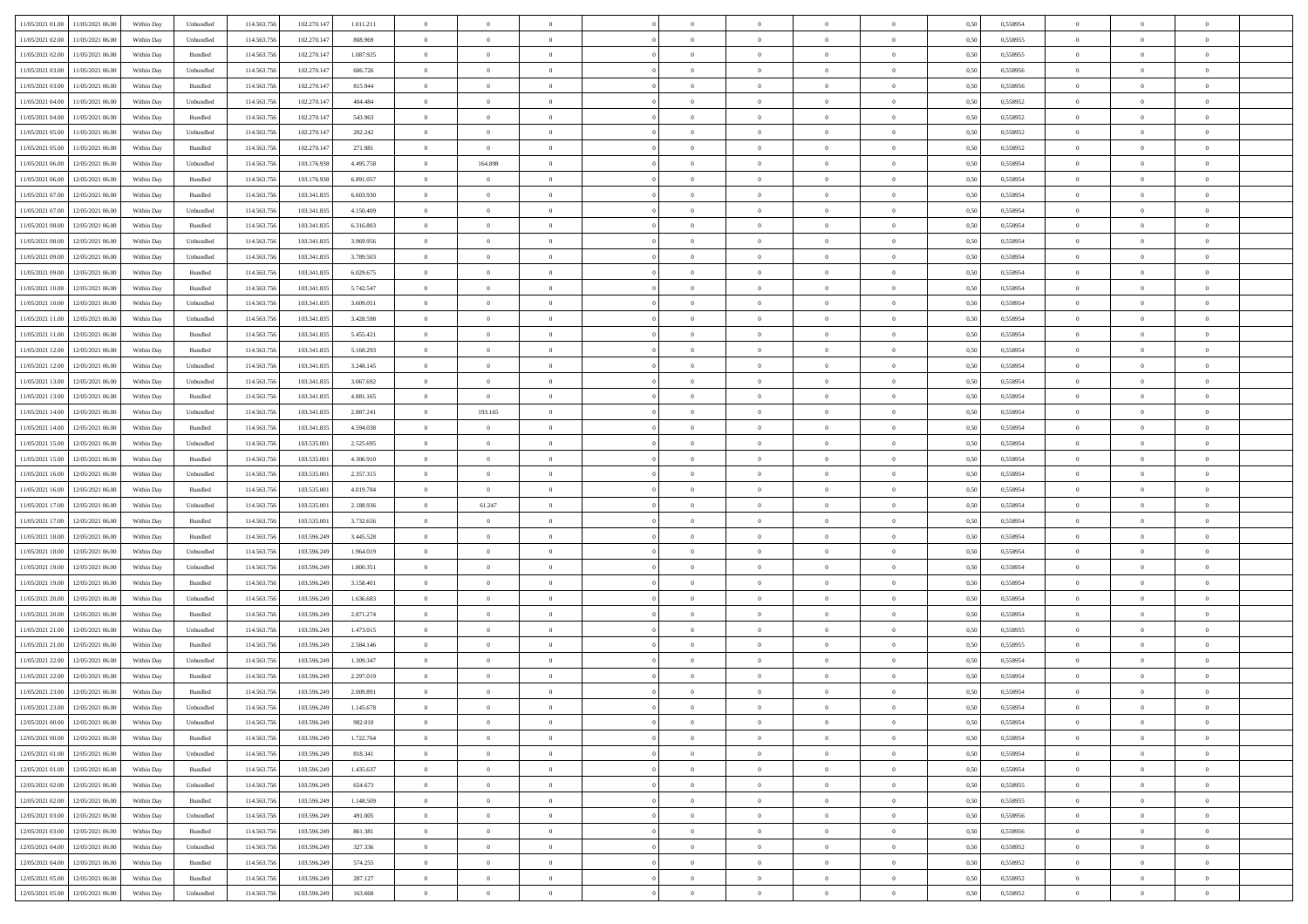| 11/05/2021 01:00 11/05/2021 06:00            | Within Day | Unbundled                   | 114.563.75  | 102.270.147 | 1.011.211 | $\overline{0}$ | $\overline{0}$ |                | $\overline{0}$ | $\theta$       |                | $\theta$       | 0,50 | 0,558954 | $\theta$       | $\theta$       | $\overline{0}$ |  |
|----------------------------------------------|------------|-----------------------------|-------------|-------------|-----------|----------------|----------------|----------------|----------------|----------------|----------------|----------------|------|----------|----------------|----------------|----------------|--|
|                                              |            |                             |             |             |           |                |                |                |                |                |                |                |      |          |                |                |                |  |
| 11/05/2021 02:00<br>11/05/2021 06:00         | Within Day | Unbundled                   | 114.563.75  | 102.270.14  | 808.969   | $\bf{0}$       | $\bf{0}$       | $\bf{0}$       | $\bf{0}$       | $\overline{0}$ | $\overline{0}$ | $\bf{0}$       | 0,50 | 0,558955 | $\,$ 0 $\,$    | $\bf{0}$       | $\overline{0}$ |  |
| 11/05/2021 02:00<br>11/05/2021 06:00         | Within Day | Bundled                     | 114,563,75  | 102.270.147 | 1.087.925 | $\overline{0}$ | $\bf{0}$       | $\overline{0}$ | $\bf{0}$       | $\overline{0}$ | $\overline{0}$ | $\bf{0}$       | 0.50 | 0.558955 | $\bf{0}$       | $\overline{0}$ | $\bf{0}$       |  |
| 11/05/2021 03:00<br>11/05/2021 06:00         | Within Day | Unbundled                   | 114.563.75  | 102.270.147 | 606.726   | $\overline{0}$ | $\overline{0}$ | $\overline{0}$ | $\overline{0}$ | $\theta$       | $\overline{0}$ | $\bf{0}$       | 0,50 | 0,558956 | $\,$ 0 $\,$    | $\theta$       | $\overline{0}$ |  |
| 11/05/2021 03:00<br>11/05/2021 06:00         | Within Day | Bundled                     | 114.563.75  | 102.270.14  | 815.944   | $\bf{0}$       | $\overline{0}$ | $\bf{0}$       | $\overline{0}$ | $\bf{0}$       | $\overline{0}$ | $\bf{0}$       | 0,50 | 0,558956 | $\,$ 0 $\,$    | $\bf{0}$       | $\overline{0}$ |  |
| 11/05/2021 04:00<br>11/05/2021 06:00         |            | Unbundled                   | 114,563,75  | 102.270.147 | 404.484   | $\overline{0}$ | $\bf{0}$       | $\overline{0}$ | $\bf{0}$       | $\overline{0}$ | $\overline{0}$ | $\bf{0}$       | 0.50 | 0.558952 | $\,$ 0 $\,$    | $\theta$       | $\overline{0}$ |  |
|                                              | Within Day |                             |             |             |           |                |                |                |                |                |                |                |      |          |                |                |                |  |
| 11/05/2021 04:00<br>11/05/2021 06:00         | Within Day | Bundled                     | 114.563.75  | 102.270.147 | 543.963   | $\overline{0}$ | $\overline{0}$ | $\overline{0}$ | $\overline{0}$ | $\overline{0}$ | $\overline{0}$ | $\bf{0}$       | 0,50 | 0,558952 | $\theta$       | $\theta$       | $\overline{0}$ |  |
| 11/05/2021 05:00<br>11/05/2021 06:00         | Within Day | Unbundled                   | 114.563.75  | 102.270.14  | 202.242   | $\bf{0}$       | $\bf{0}$       | $\bf{0}$       | $\bf{0}$       | $\overline{0}$ | $\overline{0}$ | $\bf{0}$       | 0,50 | 0,558952 | $\,$ 0 $\,$    | $\bf{0}$       | $\overline{0}$ |  |
| 11/05/2021 05:00<br>11/05/2021 06:00         | Within Day | Bundled                     | 114,563,75  | 102.270.14  | 271.981   | $\overline{0}$ | $\overline{0}$ | $\overline{0}$ | $\bf{0}$       | $\overline{0}$ | $\overline{0}$ | $\bf{0}$       | 0.50 | 0.558952 | $\bf{0}$       | $\overline{0}$ | $\overline{0}$ |  |
| 11/05/2021 06:00<br>12/05/2021 06:00         | Within Day | Unbundled                   | 114.563.75  | 103.176.938 | 4.495.758 | $\bf{0}$       | 164.898        | $\overline{0}$ | $\overline{0}$ | $\overline{0}$ | $\overline{0}$ | $\bf{0}$       | 0,50 | 0,558954 | $\,$ 0 $\,$    | $\bf{0}$       | $\overline{0}$ |  |
| 11/05/2021 06:00<br>12/05/2021 06:00         | Within Day | Bundled                     | 114.563.75  | 103.176.938 | 6.891.057 | $\bf{0}$       | $\theta$       | $\bf{0}$       | $\bf{0}$       | $\overline{0}$ | $\overline{0}$ | $\bf{0}$       | 0,50 | 0,558954 | $\,$ 0 $\,$    | $\bf{0}$       | $\overline{0}$ |  |
| 11/05/2021 07:00<br>12/05/2021 06:00         | Within Day | Bundled                     | 114,563,75  | 103.341.835 | 6.603.930 | $\overline{0}$ | $\bf{0}$       | $\overline{0}$ | $\overline{0}$ | $\overline{0}$ | $\overline{0}$ | $\bf{0}$       | 0.50 | 0.558954 | $\bf{0}$       | $\,$ 0 $\,$    | $\,$ 0         |  |
| 11/05/2021 07:00<br>12/05/2021 06:00         | Within Day | Unbundled                   | 114.563.75  | 103.341.835 | 4.150.409 | $\overline{0}$ | $\overline{0}$ | $\overline{0}$ | $\theta$       | $\theta$       | $\overline{0}$ | $\bf{0}$       | 0,50 | 0,558954 | $\,$ 0 $\,$    | $\,$ 0 $\,$    | $\overline{0}$ |  |
|                                              |            |                             |             |             |           |                |                |                |                |                |                |                |      |          |                |                |                |  |
| 11/05/2021 08:00<br>12/05/2021 06:00         | Within Day | Bundled                     | 114.563.75  | 103.341.83  | 6.316.803 | $\bf{0}$       | $\overline{0}$ | $\bf{0}$       | $\bf{0}$       | $\overline{0}$ | $\overline{0}$ | $\bf{0}$       | 0,50 | 0,558954 | $\,$ 0 $\,$    | $\bf{0}$       | $\overline{0}$ |  |
| 11/05/2021 08:00<br>12/05/2021 06:00         | Within Day | Unbundled                   | 114,563,75  | 103.341.835 | 3.969.956 | $\overline{0}$ | $\bf{0}$       | $\overline{0}$ | $\bf{0}$       | $\overline{0}$ | $\overline{0}$ | $\bf{0}$       | 0.50 | 0.558954 | $\,$ 0 $\,$    | $\bf{0}$       | $\overline{0}$ |  |
| 11/05/2021 09:00<br>12/05/2021 06:00         | Within Day | Unbundled                   | 114.563.75  | 103.341.835 | 3.789.503 | $\overline{0}$ | $\overline{0}$ | $\overline{0}$ | $\overline{0}$ | $\overline{0}$ | $\overline{0}$ | $\bf{0}$       | 0,50 | 0,558954 | $\theta$       | $\theta$       | $\overline{0}$ |  |
| 11/05/2021 09:00<br>12/05/2021 06:00         | Within Day | Bundled                     | 114.563.75  | 103.341.835 | 6.029.675 | $\bf{0}$       | $\bf{0}$       | $\bf{0}$       | $\overline{0}$ | $\overline{0}$ | $\overline{0}$ | $\bf{0}$       | 0,50 | 0,558954 | $\,$ 0 $\,$    | $\bf{0}$       | $\overline{0}$ |  |
| 11/05/2021 10:00<br>12/05/2021 06:00         | Within Day | Bundled                     | 114,563,75  | 103.341.835 | 5.742.547 | $\overline{0}$ | $\bf{0}$       | $\overline{0}$ | $\bf{0}$       | $\bf{0}$       | $\overline{0}$ | $\bf{0}$       | 0.50 | 0.558954 | $\bf{0}$       | $\overline{0}$ | $\bf{0}$       |  |
| 11/05/2021 10:00<br>12/05/2021 06:00         | Within Day | Unbundled                   | 114.563.75  | 103.341.835 | 3.609.051 | $\overline{0}$ | $\bf{0}$       | $\overline{0}$ | $\overline{0}$ | $\overline{0}$ | $\overline{0}$ | $\bf{0}$       | 0,50 | 0,558954 | $\,$ 0 $\,$    | $\bf{0}$       | $\overline{0}$ |  |
| 11/05/2021 11:00<br>12/05/2021 06:00         | Within Day | Unbundled                   | 114.563.75  | 103.341.835 | 3.428.598 | $\bf{0}$       | $\bf{0}$       | $\bf{0}$       | $\bf{0}$       | $\overline{0}$ | $\overline{0}$ | $\bf{0}$       | 0,50 | 0,558954 | $\,$ 0 $\,$    | $\bf{0}$       | $\overline{0}$ |  |
| 11/05/2021 11:00<br>12/05/2021 06:00         | Within Day | Bundled                     | 114.563.75  | 103.341.835 | 5.455.421 | $\overline{0}$ | $\bf{0}$       | $\overline{0}$ | $\overline{0}$ | $\bf{0}$       | $\overline{0}$ | $\bf{0}$       | 0.50 | 0.558954 | $\bf{0}$       | $\overline{0}$ | $\,$ 0         |  |
|                                              |            |                             |             |             |           |                |                |                |                |                |                |                |      |          |                |                |                |  |
| 11/05/2021 12:00<br>12/05/2021 06:00         | Within Day | Bundled                     | 114.563.75  | 103.341.835 | 5.168.293 | $\overline{0}$ | $\overline{0}$ | $\overline{0}$ | $\overline{0}$ | $\theta$       | $\overline{0}$ | $\bf{0}$       | 0,50 | 0,558954 | $\theta$       | $\theta$       | $\overline{0}$ |  |
| 11/05/2021 12:00<br>12/05/2021 06:00         | Within Day | Unbundled                   | 114.563.75  | 103.341.835 | 3.248.145 | $\bf{0}$       | $\bf{0}$       | $\bf{0}$       | $\bf{0}$       | $\overline{0}$ | $\overline{0}$ | $\bf{0}$       | 0,50 | 0,558954 | $\,$ 0 $\,$    | $\bf{0}$       | $\overline{0}$ |  |
| 11/05/2021 13:00<br>12/05/2021 06:00         | Within Day | Unbundled                   | 114,563,75  | 103.341.83  | 3.067.692 | $\overline{0}$ | $\bf{0}$       | $\overline{0}$ | $\bf{0}$       | $\overline{0}$ | $\overline{0}$ | $\bf{0}$       | 0.50 | 0.558954 | $\,$ 0 $\,$    | $\overline{0}$ | $\overline{0}$ |  |
| 11/05/2021 13:00<br>12/05/2021 06:00         | Within Day | Bundled                     | 114.563.75  | 103.341.835 | 4.881.165 | $\overline{0}$ | $\bf{0}$       | $\overline{0}$ | $\overline{0}$ | $\overline{0}$ | $\overline{0}$ | $\bf{0}$       | 0,50 | 0,558954 | $\,$ 0 $\,$    | $\theta$       | $\overline{0}$ |  |
| 11/05/2021 14:00<br>12/05/2021 06:00         | Within Day | Unbundled                   | 114.563.75  | 103.341.83  | 2.887.241 | $\bf{0}$       | 193.165        | $\bf{0}$       | $\overline{0}$ | $\overline{0}$ | $\overline{0}$ | $\bf{0}$       | 0,50 | 0,558954 | $\,$ 0 $\,$    | $\bf{0}$       | $\overline{0}$ |  |
| 11/05/2021 14:00<br>12/05/2021 06:00         | Within Day | Bundled                     | 114,563,75  | 103.341.83  | 4.594.038 | $\overline{0}$ | $\bf{0}$       | $\overline{0}$ | $\bf{0}$       | $\overline{0}$ | $\overline{0}$ | $\bf{0}$       | 0.50 | 0.558954 | $\bf{0}$       | $\overline{0}$ | $\overline{0}$ |  |
| 11/05/2021 15:00<br>12/05/2021 06:00         | Within Day | Unbundled                   | 114.563.75  | 103.535.001 | 2.525.695 | $\overline{0}$ | $\bf{0}$       | $\overline{0}$ | $\overline{0}$ | $\overline{0}$ | $\overline{0}$ | $\bf{0}$       | 0,50 | 0,558954 | $\theta$       | $\bf{0}$       | $\overline{0}$ |  |
|                                              |            |                             |             |             |           |                |                |                |                |                |                |                |      |          |                |                |                |  |
| 11/05/2021 15:00<br>12/05/2021 06:00         | Within Day | Bundled                     | 114.563.75  | 103.535.00  | 4.306.910 | $\bf{0}$       | $\bf{0}$       | $\bf{0}$       | $\bf{0}$       | $\overline{0}$ | $\overline{0}$ | $\bf{0}$       | 0,50 | 0,558954 | $\,$ 0 $\,$    | $\bf{0}$       | $\overline{0}$ |  |
| 11/05/2021 16:00<br>12/05/2021 06:00         | Within Day | Unbundled                   | 114,563,75  | 103,535,00  | 2.357.315 | $\overline{0}$ | $\bf{0}$       | $\overline{0}$ | $\overline{0}$ | $\overline{0}$ | $\overline{0}$ | $\bf{0}$       | 0.50 | 0.558954 | $\bf{0}$       | $\,$ 0 $\,$    | $\,$ 0         |  |
| 11/05/2021 16:00<br>12/05/2021 06:00         | Within Day | Bundled                     | 114.563.75  | 103.535.001 | 4.019.784 | $\overline{0}$ | $\overline{0}$ | $\overline{0}$ | $\overline{0}$ | $\overline{0}$ | $\overline{0}$ | $\bf{0}$       | 0.50 | 0.558954 | $\theta$       | $\theta$       | $\overline{0}$ |  |
| 11/05/2021 17:00<br>12/05/2021 06:00         | Within Day | Unbundled                   | 114.563.75  | 103.535.00  | 2.188.936 | $\bf{0}$       | 61.247         | $\bf{0}$       | $\bf{0}$       | $\overline{0}$ | $\overline{0}$ | $\bf{0}$       | 0,50 | 0,558954 | $\,$ 0 $\,$    | $\bf{0}$       | $\overline{0}$ |  |
| 11/05/2021 17:00<br>12/05/2021 06:00         | Within Day | Bundled                     | 114.563.756 | 103,535,00  | 3.732.656 | $\overline{0}$ | $\bf{0}$       | $\overline{0}$ | $\bf{0}$       | $\overline{0}$ | $\overline{0}$ | $\bf{0}$       | 0.50 | 0.558954 | $\,$ 0 $\,$    | $\bf{0}$       | $\overline{0}$ |  |
| 11/05/2021 18:00<br>12/05/2021 06:00         | Within Dav | Bundled                     | 114.563.75  | 103.596.249 | 3.445.528 | $\overline{0}$ | $\overline{0}$ | $\overline{0}$ | $\overline{0}$ | $\overline{0}$ | $\overline{0}$ | $\bf{0}$       | 0.50 | 0,558954 | $\theta$       | $\theta$       | $\overline{0}$ |  |
| 11/05/2021 18:00<br>12/05/2021 06:00         | Within Day | Unbundled                   | 114.563.75  | 103.596.249 | 1.964.019 | $\bf{0}$       | $\bf{0}$       | $\bf{0}$       | $\bf{0}$       | $\overline{0}$ | $\overline{0}$ | $\bf{0}$       | 0,50 | 0,558954 | $\,$ 0 $\,$    | $\bf{0}$       | $\overline{0}$ |  |
| 11/05/2021 19:00<br>12/05/2021 06:00         | Within Day | Unbundled                   | 114,563,75  | 103.596.249 | 1.800.351 | $\overline{0}$ | $\bf{0}$       | $\overline{0}$ | $\bf{0}$       | $\overline{0}$ | $\overline{0}$ | $\bf{0}$       | 0.50 | 0.558954 | $\bf{0}$       | $\overline{0}$ | $\bf{0}$       |  |
| 11/05/2021 19:00<br>12/05/2021 06:00         | Within Dav | Bundled                     | 114.563.75  | 103,596,249 | 3.158.401 | $\overline{0}$ | $\overline{0}$ | $\overline{0}$ | $\overline{0}$ | $\overline{0}$ | $\overline{0}$ | $\bf{0}$       | 0.50 | 0,558954 | $\theta$       | $\theta$       | $\overline{0}$ |  |
|                                              |            |                             |             |             |           |                |                |                |                |                |                |                |      |          |                |                |                |  |
| 11/05/2021 20:00<br>12/05/2021 06:00         | Within Day | Unbundled                   | 114.563.75  | 103.596.249 | 1.636.683 | $\bf{0}$       | $\bf{0}$       | $\bf{0}$       | $\bf{0}$       | $\overline{0}$ | $\overline{0}$ | $\bf{0}$       | 0,50 | 0,558954 | $\,$ 0 $\,$    | $\bf{0}$       | $\overline{0}$ |  |
| 11/05/2021 20:00<br>12/05/2021 06:00         | Within Day | Bundled                     | 114,563,75  | 103.596.249 | 2.871.274 | $\overline{0}$ | $\bf{0}$       | $\overline{0}$ | $\overline{0}$ | $\bf{0}$       | $\overline{0}$ | $\bf{0}$       | 0.50 | 0.558954 | $\bf{0}$       | $\,$ 0 $\,$    | $\,$ 0         |  |
| 11/05/2021 21:00<br>12/05/2021 06:00         | Within Dav | Unbundled                   | 114.563.75  | 103.596.249 | 1.473.015 | $\overline{0}$ | $\overline{0}$ | $\overline{0}$ | $\overline{0}$ | $\overline{0}$ | $\overline{0}$ | $\bf{0}$       | 0.50 | 0.558955 | $\theta$       | $\theta$       | $\overline{0}$ |  |
| 11/05/2021 21:00<br>12/05/2021 06:00         | Within Day | Bundled                     | 114.563.75  | 103.596.249 | 2.584.146 | $\bf{0}$       | $\bf{0}$       | $\bf{0}$       | $\bf{0}$       | $\overline{0}$ | $\overline{0}$ | $\bf{0}$       | 0,50 | 0,558955 | $\,$ 0 $\,$    | $\bf{0}$       | $\overline{0}$ |  |
| 11/05/2021 22:00<br>12/05/2021 06:00         | Within Day | Unbundled                   | 114,563,75  | 103.596.249 | 1.309.347 | $\overline{0}$ | $\overline{0}$ | $\overline{0}$ | $\bf{0}$       | $\overline{0}$ | $\overline{0}$ | $\bf{0}$       | 0.50 | 0.558954 | $\bf{0}$       | $\theta$       | $\overline{0}$ |  |
| 11/05/2021 22:00<br>12/05/2021 06:00         | Within Dav | Bundled                     | 114.563.75  | 103.596.249 | 2.297.019 | $\overline{0}$ | $\overline{0}$ | $\overline{0}$ | $\theta$       | $\theta$       | $\overline{0}$ | $\overline{0}$ | 0.5( | 0,558954 | $\theta$       | $\theta$       | $\overline{0}$ |  |
| 11/05/2021 23:00<br>12/05/2021 06:00         | Within Day | Bundled                     | 114.563.75  | 103.596.249 | 2.009.891 | $\bf{0}$       | $\bf{0}$       | $\bf{0}$       | $\bf{0}$       | $\bf{0}$       | $\overline{0}$ | $\bf{0}$       | 0,50 | 0,558954 | $\overline{0}$ | $\overline{0}$ | $\overline{0}$ |  |
| $11/05/2021\ 23.00 \qquad 12/05/2021\ 06.00$ | Within Day | $\ensuremath{\mathsf{Unb}}$ | 114.563.756 | 103.596.249 | 1.145.678 | $\bf{0}$       | $\theta$       |                | $\Omega$       |                |                |                | 0,50 | 0.558954 | $\bf{0}$       | $\overline{0}$ |                |  |
| 12/05/2021 00:00 12/05/2021 06:00            | Within Day | Unbundled                   | 114.563.756 | 103.596.249 | 982.010   | $\overline{0}$ | $\overline{0}$ | $\Omega$       | $\theta$       | $\overline{0}$ | $\overline{0}$ | $\bf{0}$       | 0,50 | 0,558954 | $\theta$       | $\theta$       | $\overline{0}$ |  |
|                                              |            |                             |             |             |           |                |                |                |                |                |                |                |      |          |                |                |                |  |
| 12/05/2021 00:00<br>12/05/2021 06:00         | Within Day | Bundled                     | 114.563.75  | 103.596.249 | 1.722.764 | $\overline{0}$ | $\bf{0}$       | $\overline{0}$ | $\overline{0}$ | $\bf{0}$       | $\overline{0}$ | $\bf{0}$       | 0,50 | 0,558954 | $\bf{0}$       | $\overline{0}$ | $\bf{0}$       |  |
| 12/05/2021 01:00 12/05/2021 06:00            | Within Day | Unbundled                   | 114,563,756 | 103.596.249 | 818,341   | $\overline{0}$ | $\overline{0}$ | $\overline{0}$ | $\overline{0}$ | $\mathbf{0}$   | $\overline{0}$ | $\,$ 0 $\,$    | 0.50 | 0.558954 | $\overline{0}$ | $\bf{0}$       | $\bf{0}$       |  |
| 12/05/2021 01:00 12/05/2021 06:00            | Within Dav | Bundled                     | 114.563.756 | 103.596.249 | 1.435.637 | $\overline{0}$ | $\overline{0}$ | $\overline{0}$ | $\overline{0}$ | $\overline{0}$ | $\overline{0}$ | $\bf{0}$       | 0,50 | 0,558954 | $\overline{0}$ | $\theta$       | $\overline{0}$ |  |
| 12/05/2021 02:00<br>12/05/2021 06:00         | Within Day | Unbundled                   | 114.563.75  | 103.596.249 | 654.673   | $\overline{0}$ | $\bf{0}$       | $\overline{0}$ | $\overline{0}$ | $\bf{0}$       | $\overline{0}$ | $\bf{0}$       | 0,50 | 0,558955 | $\bf{0}$       | $\overline{0}$ | $\overline{0}$ |  |
| 12/05/2021 02:00<br>12/05/2021 06:00         | Within Day | Bundled                     | 114.563.756 | 103.596.249 | 1.148.509 | $\overline{0}$ | $\bf{0}$       | $\overline{0}$ | $\overline{0}$ | $\bf{0}$       | $\overline{0}$ | $\bf{0}$       | 0.50 | 0.558955 | $\,$ 0 $\,$    | $\overline{0}$ | $\,$ 0         |  |
| 12/05/2021 03:00<br>12/05/2021 06:00         | Within Dav | Unbundled                   | 114.563.756 | 103.596.249 | 491.005   | $\overline{0}$ | $\overline{0}$ | $\overline{0}$ | $\overline{0}$ | $\overline{0}$ | $\overline{0}$ | $\bf{0}$       | 0.50 | 0,558956 | $\overline{0}$ | $\theta$       | $\overline{0}$ |  |
| 12/05/2021 03:00<br>12/05/2021 06:00         | Within Day | Bundled                     | 114.563.75  | 103.596.249 | 861.381   | $\overline{0}$ | $\overline{0}$ | $\overline{0}$ | $\overline{0}$ | $\overline{0}$ | $\overline{0}$ | $\bf{0}$       | 0,50 | 0,558956 | $\bf{0}$       | $\overline{0}$ | $\,$ 0         |  |
|                                              |            |                             |             |             |           |                |                |                |                |                |                |                |      |          |                |                |                |  |
| 12/05/2021 04:00<br>12/05/2021 06:00         | Within Day | Unbundled                   | 114.563.75  | 103.596.249 | 327,336   | $\overline{0}$ | $\overline{0}$ | $\overline{0}$ | $\overline{0}$ | $\overline{0}$ | $\overline{0}$ | $\bf{0}$       | 0.50 | 0.558952 | $\mathbf{0}$   | $\bf{0}$       | $\,$ 0         |  |
| 12/05/2021 04:00<br>12/05/2021 06:00         | Within Dav | Bundled                     | 114.563.756 | 103.596.249 | 574.255   | $\overline{0}$ | $\overline{0}$ | $\overline{0}$ | $\overline{0}$ | $\overline{0}$ | $\overline{0}$ | $\bf{0}$       | 0,50 | 0,558952 | $\overline{0}$ | $\theta$       | $\overline{0}$ |  |
| 12/05/2021 05:00<br>12/05/2021 06:00         | Within Day | Bundled                     | 114.563.75  | 103.596.249 | 287.127   | $\overline{0}$ | $\bf{0}$       | $\overline{0}$ | $\overline{0}$ | $\overline{0}$ | $\overline{0}$ | $\bf{0}$       | 0,50 | 0,558952 | $\bf{0}$       | $\overline{0}$ | $\bf{0}$       |  |
| 12/05/2021 05:00 12/05/2021 06:00            | Within Day | Unbundled                   | 114.563.756 | 103.596.249 | 163.668   | $\,$ 0 $\,$    | $\bf{0}$       | $\overline{0}$ | $\overline{0}$ | $\,$ 0 $\,$    | $\overline{0}$ | $\bf{0}$       | 0,50 | 0,558952 | $\overline{0}$ | $\,$ 0 $\,$    | $\,$ 0 $\,$    |  |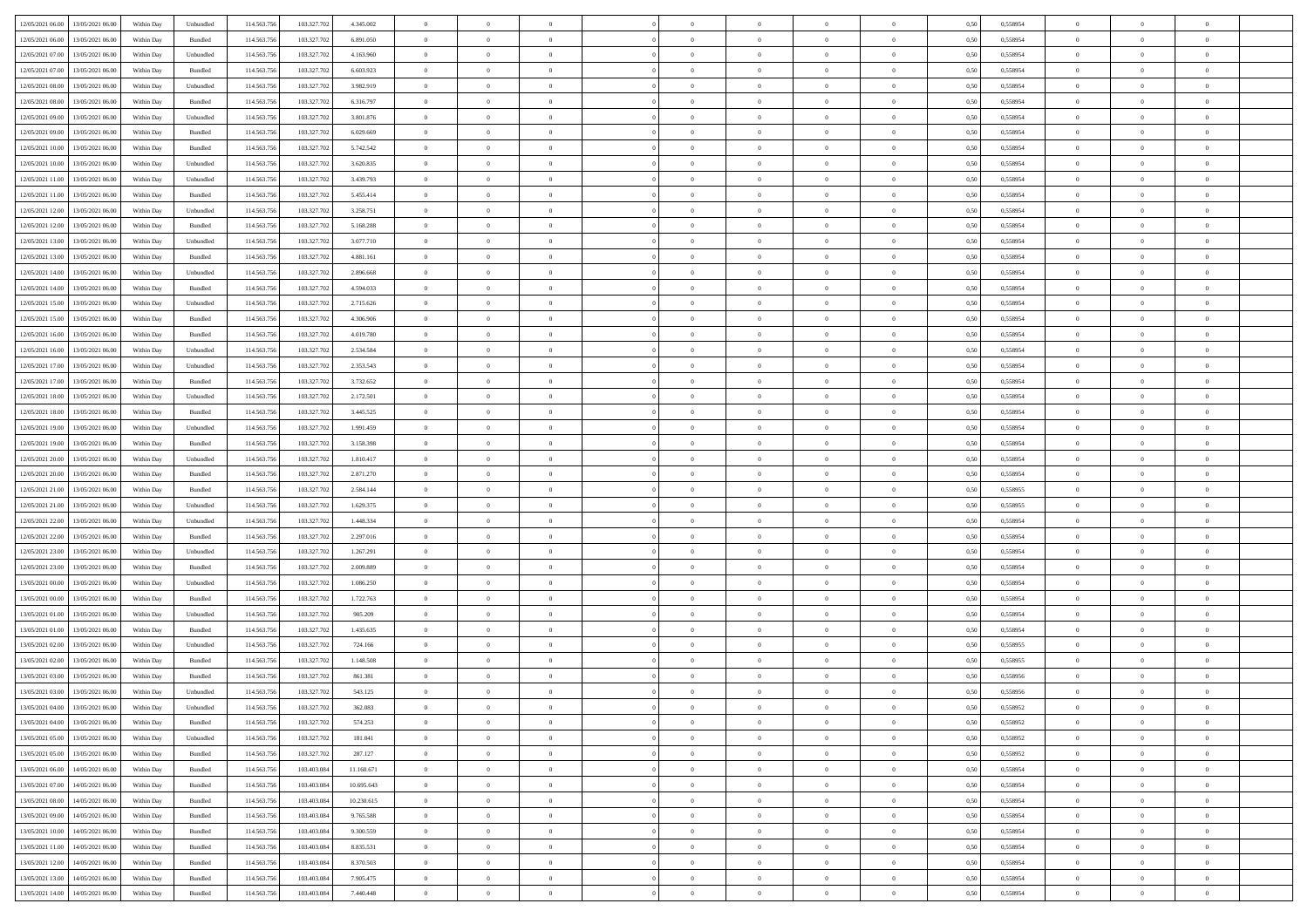| 12/05/2021 06:00 13/05/2021 06:00            | Within Day | Unbundled                   | 114.563.75  | 103.327.702 | 4.345.002  | $\overline{0}$ | $\overline{0}$ |                | $\overline{0}$ | $\theta$       |                | $\theta$       | 0,50 | 0,558954 | $\theta$       | $\theta$       | $\overline{0}$ |  |
|----------------------------------------------|------------|-----------------------------|-------------|-------------|------------|----------------|----------------|----------------|----------------|----------------|----------------|----------------|------|----------|----------------|----------------|----------------|--|
| 12/05/2021 06:00<br>13/05/2021 06:00         | Within Day | Bundled                     | 114.563.75  | 103.327.70  | 6.891.050  | $\bf{0}$       | $\bf{0}$       | $\bf{0}$       | $\bf{0}$       | $\overline{0}$ | $\overline{0}$ | $\bf{0}$       | 0,50 | 0,558954 | $\,$ 0 $\,$    | $\bf{0}$       | $\overline{0}$ |  |
| 12/05/2021 07:00<br>13/05/2021 06:00         | Within Day | Unbundled                   | 114.563.756 | 103,327,702 | 4.163.960  | $\overline{0}$ | $\bf{0}$       | $\overline{0}$ | $\bf{0}$       | $\overline{0}$ | $\overline{0}$ | $\bf{0}$       | 0.50 | 0.558954 | $\overline{0}$ | $\overline{0}$ | $\bf{0}$       |  |
| 12/05/2021 07:00<br>13/05/2021 06:00         |            |                             | 114.563.75  | 103.327.702 |            | $\overline{0}$ | $\overline{0}$ | $\overline{0}$ | $\overline{0}$ | $\theta$       | $\overline{0}$ |                |      |          | $\theta$       | $\theta$       | $\overline{0}$ |  |
|                                              | Within Day | Bundled                     |             |             | 6.603.923  |                |                |                |                |                |                | $\bf{0}$       | 0,50 | 0,558954 |                |                |                |  |
| 12/05/2021 08:00<br>13/05/2021 06:00         | Within Day | Unbundled                   | 114.563.75  | 103.327.70  | 3.982.919  | $\bf{0}$       | $\overline{0}$ | $\bf{0}$       | $\overline{0}$ | $\bf{0}$       | $\overline{0}$ | $\bf{0}$       | 0,50 | 0,558954 | $\,$ 0 $\,$    | $\bf{0}$       | $\overline{0}$ |  |
| 12/05/2021 08:00<br>13/05/2021 06:00         | Within Day | Bundled                     | 114,563,75  | 103,327,702 | 6.316.797  | $\overline{0}$ | $\bf{0}$       | $\overline{0}$ | $\bf{0}$       | $\overline{0}$ | $\theta$       | $\bf{0}$       | 0.50 | 0.558954 | $\,$ 0 $\,$    | $\theta$       | $\overline{0}$ |  |
| 12/05/2021 09:00<br>13/05/2021 06:00         | Within Day | Unbundled                   | 114.563.75  | 103.327.702 | 3.801.876  | $\overline{0}$ | $\overline{0}$ | $\overline{0}$ | $\overline{0}$ | $\overline{0}$ | $\overline{0}$ | $\bf{0}$       | 0,50 | 0,558954 | $\,$ 0 $\,$    | $\theta$       | $\overline{0}$ |  |
|                                              |            |                             |             |             |            |                |                |                |                |                |                |                |      |          |                |                |                |  |
| 12/05/2021 09:00<br>13/05/2021 06:00         | Within Day | Bundled                     | 114.563.75  | 103.327.70  | 6.029.669  | $\bf{0}$       | $\bf{0}$       | $\bf{0}$       | $\bf{0}$       | $\overline{0}$ | $\overline{0}$ | $\bf{0}$       | 0,50 | 0,558954 | $\,$ 0 $\,$    | $\bf{0}$       | $\overline{0}$ |  |
| 12/05/2021 10:00<br>13/05/2021 06:00         | Within Day | Bundled                     | 114,563,75  | 103.327.70  | 5.742.542  | $\overline{0}$ | $\bf{0}$       | $\overline{0}$ | $\bf{0}$       | $\overline{0}$ | $\overline{0}$ | $\bf{0}$       | 0.50 | 0.558954 | $\bf{0}$       | $\overline{0}$ | $\overline{0}$ |  |
| 12/05/2021 10:00<br>13/05/2021 06:00         | Within Day | Unbundled                   | 114.563.75  | 103.327.702 | 3.620.835  | $\bf{0}$       | $\bf{0}$       | $\overline{0}$ | $\overline{0}$ | $\overline{0}$ | $\overline{0}$ | $\bf{0}$       | 0,50 | 0,558954 | $\,$ 0 $\,$    | $\bf{0}$       | $\overline{0}$ |  |
| 12/05/2021 11:00<br>13/05/2021 06:00         | Within Day | Unbundled                   | 114.563.75  | 103.327.70  | 3.439.793  | $\bf{0}$       | $\bf{0}$       | $\bf{0}$       | $\bf{0}$       | $\overline{0}$ | $\overline{0}$ | $\bf{0}$       | 0,50 | 0,558954 | $\,$ 0 $\,$    | $\bf{0}$       | $\overline{0}$ |  |
|                                              |            |                             |             |             |            |                |                |                |                |                |                |                |      |          |                |                |                |  |
| 12/05/2021 11:00<br>13/05/2021 06:00         | Within Day | Bundled                     | 114,563,75  | 103,327,702 | 5.455.414  | $\overline{0}$ | $\bf{0}$       | $\overline{0}$ | $\overline{0}$ | $\overline{0}$ | $\overline{0}$ | $\bf{0}$       | 0.50 | 0.558954 | $\bf{0}$       | $\overline{0}$ | $\,$ 0         |  |
| 12/05/2021 12:00<br>13/05/2021 06:00         | Within Day | Unbundled                   | 114.563.75  | 103.327.702 | 3.258.751  | $\overline{0}$ | $\overline{0}$ | $\overline{0}$ | $\theta$       | $\theta$       | $\overline{0}$ | $\bf{0}$       | 0,50 | 0,558954 | $\,$ 0 $\,$    | $\,$ 0 $\,$    | $\overline{0}$ |  |
| 12/05/2021 12:00<br>13/05/2021 06:00         | Within Day | Bundled                     | 114.563.75  | 103.327.70  | 5.168.288  | $\bf{0}$       | $\overline{0}$ | $\bf{0}$       | $\bf{0}$       | $\overline{0}$ | $\overline{0}$ | $\bf{0}$       | 0,50 | 0,558954 | $\,$ 0 $\,$    | $\bf{0}$       | $\overline{0}$ |  |
| 12/05/2021 13:00<br>13/05/2021 06:00         |            | Unbundled                   | 114,563,75  | 103,327,702 | 3.077.710  | $\overline{0}$ | $\bf{0}$       | $\overline{0}$ | $\bf{0}$       | $\overline{0}$ | $\theta$       | $\bf{0}$       | 0.50 | 0.558954 | $\,$ 0 $\,$    | $\theta$       | $\overline{0}$ |  |
|                                              | Within Day |                             |             |             |            |                |                |                |                |                |                |                |      |          |                |                |                |  |
| 12/05/2021 13:00<br>13/05/2021 06:00         | Within Day | Bundled                     | 114.563.75  | 103.327.702 | 4.881.161  | $\overline{0}$ | $\overline{0}$ | $\overline{0}$ | $\overline{0}$ | $\overline{0}$ | $\overline{0}$ | $\bf{0}$       | 0,50 | 0,558954 | $\theta$       | $\theta$       | $\overline{0}$ |  |
| 12/05/2021 14:00<br>13/05/2021 06:00         | Within Day | Unbundled                   | 114.563.75  | 103.327.70  | 2.896.668  | $\bf{0}$       | $\bf{0}$       | $\bf{0}$       | $\overline{0}$ | $\overline{0}$ | $\overline{0}$ | $\bf{0}$       | 0,50 | 0,558954 | $\,$ 0 $\,$    | $\bf{0}$       | $\overline{0}$ |  |
| 12/05/2021 14:00<br>13/05/2021 06:00         | Within Day | Bundled                     | 114,563,75  | 103,327.70  | 4.594.033  | $\overline{0}$ | $\bf{0}$       | $\overline{0}$ | $\bf{0}$       | $\overline{0}$ | $\overline{0}$ | $\bf{0}$       | 0.50 | 0.558954 | $\bf{0}$       | $\overline{0}$ | $\bf{0}$       |  |
| 12/05/2021 15:00<br>13/05/2021 06:00         | Within Day | Unbundled                   | 114.563.75  | 103.327.702 | 2.715.626  | $\bf{0}$       | $\bf{0}$       | $\overline{0}$ | $\overline{0}$ | $\overline{0}$ | $\overline{0}$ | $\bf{0}$       | 0,50 | 0,558954 | $\,$ 0 $\,$    | $\bf{0}$       | $\overline{0}$ |  |
|                                              |            |                             |             |             |            |                |                |                |                |                |                |                |      |          |                |                |                |  |
| 12/05/2021 15:00<br>13/05/2021 06:00         | Within Day | Bundled                     | 114.563.75  | 103.327.70  | 4.306.906  | $\bf{0}$       | $\bf{0}$       | $\bf{0}$       | $\bf{0}$       | $\overline{0}$ | $\overline{0}$ | $\bf{0}$       | 0,50 | 0,558954 | $\,$ 0 $\,$    | $\bf{0}$       | $\overline{0}$ |  |
| 12/05/2021 16:00<br>13/05/2021 06:00         | Within Day | Bundled                     | 114.563.756 | 103,327,702 | 4.019.780  | $\overline{0}$ | $\bf{0}$       | $\overline{0}$ | $\overline{0}$ | $\bf{0}$       | $\overline{0}$ | $\bf{0}$       | 0.50 | 0.558954 | $\bf{0}$       | $\overline{0}$ | $\,$ 0         |  |
| 12/05/2021 16:00<br>13/05/2021 06:00         | Within Day | Unbundled                   | 114.563.75  | 103.327.702 | 2.534.584  | $\overline{0}$ | $\overline{0}$ | $\overline{0}$ | $\overline{0}$ | $\theta$       | $\overline{0}$ | $\bf{0}$       | 0,50 | 0,558954 | $\theta$       | $\theta$       | $\overline{0}$ |  |
| 12/05/2021 17:00<br>13/05/2021 06:00         | Within Day | Unbundled                   | 114.563.75  | 103.327.70  | 2.353.543  | $\bf{0}$       | $\bf{0}$       | $\bf{0}$       | $\bf{0}$       | $\overline{0}$ | $\overline{0}$ | $\bf{0}$       | 0,50 | 0,558954 | $\,$ 0 $\,$    | $\bf{0}$       | $\overline{0}$ |  |
|                                              |            |                             |             |             |            |                |                |                |                |                | $\theta$       |                |      |          |                |                |                |  |
| 12/05/2021 17:00<br>13/05/2021 06:00         | Within Day | Bundled                     | 114,563,75  | 103.327.70  | 3.732.652  | $\overline{0}$ | $\bf{0}$       | $\overline{0}$ | $\bf{0}$       | $\overline{0}$ |                | $\bf{0}$       | 0.50 | 0.558954 | $\,$ 0 $\,$    | $\overline{0}$ | $\overline{0}$ |  |
| 12/05/2021 18:00<br>13/05/2021 06:00         | Within Day | Unbundled                   | 114.563.75  | 103.327.702 | 2.172.501  | $\overline{0}$ | $\overline{0}$ | $\overline{0}$ | $\overline{0}$ | $\overline{0}$ | $\overline{0}$ | $\bf{0}$       | 0,50 | 0,558954 | $\,$ 0 $\,$    | $\theta$       | $\overline{0}$ |  |
| 12/05/2021 18:00<br>13/05/2021 06:00         | Within Day | Bundled                     | 114.563.75  | 103.327.70  | 3.445.525  | $\bf{0}$       | $\overline{0}$ | $\bf{0}$       | $\overline{0}$ | $\overline{0}$ | $\overline{0}$ | $\bf{0}$       | 0,50 | 0,558954 | $\,$ 0 $\,$    | $\bf{0}$       | $\overline{0}$ |  |
| 12/05/2021 19:00<br>13/05/2021 06:00         | Within Day | Unbundled                   | 114.563.75  | 103,327,702 | 1.991.459  | $\overline{0}$ | $\bf{0}$       | $\overline{0}$ | $\bf{0}$       | $\overline{0}$ | $\overline{0}$ | $\bf{0}$       | 0.50 | 0.558954 | $\bf{0}$       | $\overline{0}$ | $\overline{0}$ |  |
| 12/05/2021 19:00<br>13/05/2021 06:00         |            |                             | 114.563.75  | 103.327.702 |            | $\overline{0}$ | $\bf{0}$       | $\overline{0}$ | $\overline{0}$ | $\overline{0}$ | $\overline{0}$ |                |      |          | $\theta$       | $\bf{0}$       | $\overline{0}$ |  |
|                                              | Within Day | Bundled                     |             |             | 3.158.398  |                |                |                |                |                |                | $\bf{0}$       | 0,50 | 0,558954 |                |                |                |  |
| 12/05/2021 20:00<br>13/05/2021 06:00         | Within Day | Unbundled                   | 114.563.75  | 103.327.702 | 1.810.417  | $\bf{0}$       | $\bf{0}$       | $\bf{0}$       | $\bf{0}$       | $\overline{0}$ | $\overline{0}$ | $\bf{0}$       | 0,50 | 0,558954 | $\,$ 0 $\,$    | $\bf{0}$       | $\overline{0}$ |  |
| 12/05/2021 20:00<br>13/05/2021 06:00         | Within Day | Bundled                     | 114,563,75  | 103,327,702 | 2.871.270  | $\overline{0}$ | $\bf{0}$       | $\overline{0}$ | $\overline{0}$ | $\bf{0}$       | $\overline{0}$ | $\bf{0}$       | 0.50 | 0.558954 | $\bf{0}$       | $\overline{0}$ | $\,$ 0         |  |
| 12/05/2021 21:00<br>13/05/2021 06:00         | Within Day | Bundled                     | 114.563.75  | 103.327.702 | 2.584.144  | $\overline{0}$ | $\overline{0}$ | $\overline{0}$ | $\overline{0}$ | $\overline{0}$ | $\overline{0}$ | $\bf{0}$       | 0.50 | 0.558955 | $\theta$       | $\theta$       | $\overline{0}$ |  |
| 12/05/2021 21:00<br>13/05/2021 06:00         | Within Day | Unbundled                   | 114.563.75  | 103.327.70  | 1.629.375  | $\bf{0}$       | $\bf{0}$       | $\bf{0}$       | $\bf{0}$       | $\overline{0}$ | $\overline{0}$ | $\bf{0}$       | 0,50 | 0,558955 | $\,$ 0 $\,$    | $\bf{0}$       | $\overline{0}$ |  |
|                                              |            |                             |             |             |            |                |                |                |                |                |                |                |      |          |                |                |                |  |
| 12/05/2021 22:00<br>13/05/2021 06:00         | Within Day | Unbundled                   | 114.563.756 | 103,327,702 | 1.448.334  | $\overline{0}$ | $\bf{0}$       | $\overline{0}$ | $\bf{0}$       | $\overline{0}$ | $\overline{0}$ | $\bf{0}$       | 0.50 | 0.558954 | $\,$ 0 $\,$    | $\bf{0}$       | $\overline{0}$ |  |
| 12/05/2021 22:00<br>13/05/2021 06:00         | Within Dav | Bundled                     | 114.563.75  | 103.327.702 | 2.297.016  | $\overline{0}$ | $\overline{0}$ | $\overline{0}$ | $\overline{0}$ | $\overline{0}$ | $\overline{0}$ | $\bf{0}$       | 0.50 | 0,558954 | $\theta$       | $\theta$       | $\overline{0}$ |  |
| 12/05/2021 23:00<br>13/05/2021 06:00         | Within Day | Unbundled                   | 114.563.75  | 103.327.70  | 1.267.291  | $\bf{0}$       | $\bf{0}$       | $\bf{0}$       | $\bf{0}$       | $\overline{0}$ | $\overline{0}$ | $\bf{0}$       | 0,50 | 0,558954 | $\,$ 0 $\,$    | $\bf{0}$       | $\overline{0}$ |  |
| 12/05/2021 23:00<br>13/05/2021 06:00         | Within Day | Bundled                     | 114,563,75  | 103,327.70  | 2.009.889  | $\overline{0}$ | $\bf{0}$       | $\overline{0}$ | $\bf{0}$       | $\overline{0}$ | $\overline{0}$ | $\bf{0}$       | 0.50 | 0.558954 | $\bf{0}$       | $\overline{0}$ | $\overline{0}$ |  |
|                                              |            |                             |             |             |            |                |                |                |                |                |                |                |      |          |                |                |                |  |
| 13/05/2021 00:00<br>13/05/2021 06:00         | Within Dav | Unbundled                   | 114.563.75  | 103.327.702 | 1.086.250  | $\overline{0}$ | $\overline{0}$ | $\overline{0}$ | $\overline{0}$ | $\overline{0}$ | $\overline{0}$ | $\bf{0}$       | 0.50 | 0,558954 | $\theta$       | $\theta$       | $\overline{0}$ |  |
| 13/05/2021 00:00<br>13/05/2021 06:00         | Within Day | Bundled                     | 114.563.75  | 103.327.70  | 1.722.763  | $\bf{0}$       | $\bf{0}$       | $\bf{0}$       | $\bf{0}$       | $\overline{0}$ | $\overline{0}$ | $\bf{0}$       | 0,50 | 0,558954 | $\,$ 0 $\,$    | $\bf{0}$       | $\overline{0}$ |  |
| 13/05/2021 01:00<br>13/05/2021 06:00         | Within Day | Unbundled                   | 114.563.75  | 103,327,702 | 905.209    | $\overline{0}$ | $\bf{0}$       | $\overline{0}$ | $\overline{0}$ | $\bf{0}$       | $\overline{0}$ | $\bf{0}$       | 0.50 | 0.558954 | $\bf{0}$       | $\overline{0}$ | $\,$ 0         |  |
| 13/05/2021 01:00<br>13/05/2021 06:00         | Within Dav | Bundled                     | 114.563.75  | 103.327.702 | 1.435.635  | $\overline{0}$ | $\overline{0}$ | $\overline{0}$ | $\overline{0}$ | $\overline{0}$ | $\overline{0}$ | $\bf{0}$       | 0.50 | 0.558954 | $\theta$       | $\theta$       | $\overline{0}$ |  |
| 13/05/2021 06:00                             | Within Day | Unbundled                   | 114.563.75  | 103.327.702 | 724.166    | $\bf{0}$       | $\bf{0}$       | $\bf{0}$       | $\overline{0}$ | $\overline{0}$ | $\overline{0}$ | $\bf{0}$       | 0,50 | 0,558955 | $\,$ 0 $\,$    | $\bf{0}$       | $\overline{0}$ |  |
| 13/05/2021 02:00                             |            |                             |             |             |            |                |                |                |                |                |                |                |      |          |                |                |                |  |
| 13/05/2021 02:00<br>13/05/2021 06:00         | Within Day | Bundled                     | 114,563,75  | 103,327.70  | 1.148.508  | $\overline{0}$ | $\bf{0}$       | $\overline{0}$ | $\bf{0}$       | $\overline{0}$ | $\overline{0}$ | $\bf{0}$       | 0.50 | 0.558955 | $\bf{0}$       | $\theta$       | $\overline{0}$ |  |
| 13/05/2021 03:00<br>13/05/2021 06:00         | Within Dav | Bundled                     | 114.563.75  | 103.327.702 | 861.381    | $\overline{0}$ | $\overline{0}$ | $\overline{0}$ | $\overline{0}$ | $\theta$       | $\overline{0}$ | $\overline{0}$ | 0.5( | 0,558956 | $\theta$       | $\theta$       | $\overline{0}$ |  |
| 13/05/2021 03:00<br>13/05/2021 06:00         | Within Day | Unbundled                   | 114.563.75  | 103.327.702 | 543.125    | $\bf{0}$       | $\bf{0}$       | $\bf{0}$       | $\bf{0}$       | $\bf{0}$       | $\overline{0}$ | $\bf{0}$       | 0,50 | 0,558956 | $\overline{0}$ | $\overline{0}$ | $\overline{0}$ |  |
| $13/05/2021\ 04.00 \qquad 13/05/2021\ 06.00$ | Within Day | $\ensuremath{\mathsf{Unb}}$ | 114.563.756 | 103.327.702 | 362.083    | $\bf{0}$       | $\theta$       |                | $\Omega$       |                |                |                | 0,50 | 0.558952 | $\bf{0}$       | $\overline{0}$ |                |  |
|                                              |            |                             |             |             |            |                |                |                |                |                |                |                |      |          |                |                |                |  |
| 13/05/2021 04:00 13/05/2021 06:00            | Within Day | Bundled                     | 114.563.756 | 103.327.702 | 574.253    | $\overline{0}$ | $\overline{0}$ | $\Omega$       | $\theta$       | $\overline{0}$ | $\overline{0}$ | $\bf{0}$       | 0,50 | 0,558952 | $\theta$       | $\theta$       | $\overline{0}$ |  |
| 13/05/2021 05:00<br>13/05/2021 06:00         | Within Day | Unbundled                   | 114.563.75  | 103.327.702 | 181.041    | $\overline{0}$ | $\bf{0}$       | $\overline{0}$ | $\overline{0}$ | $\bf{0}$       | $\overline{0}$ | $\bf{0}$       | 0,50 | 0,558952 | $\bf{0}$       | $\overline{0}$ | $\bf{0}$       |  |
| 13/05/2021 05:00 13/05/2021 06:00            | Within Day | Bundled                     | 114,563,756 | 103.327.702 | 287.127    | $\overline{0}$ | $\bf{0}$       | $\overline{0}$ | $\overline{0}$ | $\mathbf{0}$   | $\overline{0}$ | $\,$ 0 $\,$    | 0.50 | 0.558952 | $\overline{0}$ | $\bf{0}$       | $\bf{0}$       |  |
| 13/05/2021 06:00 14/05/2021 06:00            | Within Dav | Bundled                     | 114.563.756 | 103.403.084 | 11.160.671 | $\overline{0}$ | $\overline{0}$ | $\overline{0}$ | $\overline{0}$ | $\overline{0}$ | $\overline{0}$ | $\bf{0}$       | 0.50 | 0,558954 | $\overline{0}$ | $\theta$       | $\overline{0}$ |  |
|                                              |            |                             |             |             |            |                |                |                |                |                |                |                |      |          |                |                |                |  |
| 13/05/2021 07:00<br>14/05/2021 06:00         | Within Day | Bundled                     | 114.563.75  | 103.403.084 | 10.695.643 | $\overline{0}$ | $\bf{0}$       | $\overline{0}$ | $\overline{0}$ | $\bf{0}$       | $\overline{0}$ | $\bf{0}$       | 0,50 | 0,558954 | $\bf{0}$       | $\overline{0}$ | $\overline{0}$ |  |
| 13/05/2021 08:00<br>14/05/2021 06:00         | Within Day | Bundled                     | 114.563.756 | 103,403,084 | 10.230.615 | $\overline{0}$ | $\bf{0}$       | $\overline{0}$ | $\overline{0}$ | $\bf{0}$       | $\overline{0}$ | $\bf{0}$       | 0.50 | 0.558954 | $\,$ 0 $\,$    | $\overline{0}$ | $\,$ 0         |  |
| 13/05/2021 09:00<br>14/05/2021 06:00         | Within Dav | Bundled                     | 114.563.756 | 103.403.084 | 9.765.588  | $\overline{0}$ | $\overline{0}$ | $\overline{0}$ | $\overline{0}$ | $\overline{0}$ | $\overline{0}$ | $\bf{0}$       | 0.50 | 0,558954 | $\overline{0}$ | $\theta$       | $\overline{0}$ |  |
| 13/05/2021 10:00<br>14/05/2021 06:00         | Within Day | Bundled                     | 114.563.75  | 103.403.084 | 9.300.559  | $\overline{0}$ | $\overline{0}$ | $\overline{0}$ | $\overline{0}$ | $\overline{0}$ | $\overline{0}$ | $\bf{0}$       | 0,50 | 0,558954 | $\bf{0}$       | $\overline{0}$ | $\overline{0}$ |  |
|                                              |            |                             |             |             |            |                |                |                |                |                |                |                |      |          |                |                |                |  |
| 13/05/2021 11:00<br>14/05/2021 06:00         | Within Day | Bundled                     | 114.563.75  | 103,403,084 | 8.835.531  | $\overline{0}$ | $\overline{0}$ | $\overline{0}$ | $\overline{0}$ | $\overline{0}$ | $\overline{0}$ | $\bf{0}$       | 0.50 | 0.558954 | $\mathbf{0}$   | $\bf{0}$       | $\,$ 0         |  |
| 13/05/2021 12:00<br>14/05/2021 06:00         | Within Dav | Bundled                     | 114.563.756 | 103.403.084 | 8.370.503  | $\overline{0}$ | $\overline{0}$ | $\overline{0}$ | $\overline{0}$ | $\overline{0}$ | $\overline{0}$ | $\bf{0}$       | 0,50 | 0,558954 | $\overline{0}$ | $\theta$       | $\overline{0}$ |  |
| 13/05/2021 13:00<br>14/05/2021 06:00         | Within Day | Bundled                     | 114.563.75  | 103.403.084 | 7.905.475  | $\overline{0}$ | $\bf{0}$       | $\overline{0}$ | $\bf{0}$       | $\overline{0}$ | $\overline{0}$ | $\bf{0}$       | 0,50 | 0,558954 | $\bf{0}$       | $\,0\,$        | $\bf{0}$       |  |
| 13/05/2021 14:00 14/05/2021 06:00            | Within Day | Bundled                     | 114.563.756 | 103.403.084 | 7.440.448  | $\overline{0}$ | $\bf{0}$       | $\overline{0}$ | $\overline{0}$ | $\,$ 0 $\,$    | $\overline{0}$ | $\bf{0}$       | 0,50 | 0,558954 | $\overline{0}$ | $\,$ 0 $\,$    | $\,$ 0 $\,$    |  |
|                                              |            |                             |             |             |            |                |                |                |                |                |                |                |      |          |                |                |                |  |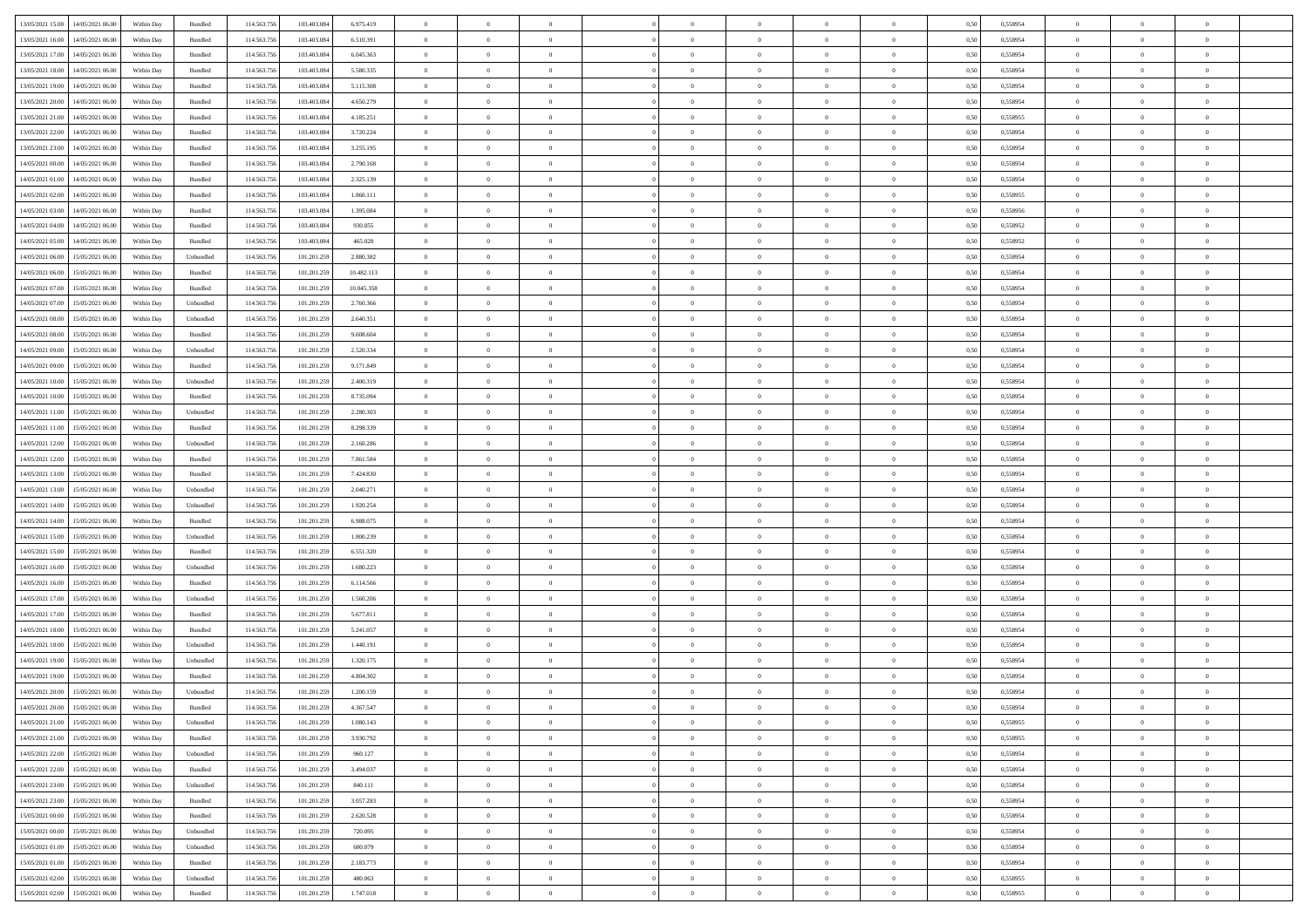| 13/05/2021 15:00 14/05/2021 06:00            | Within Day | Bundled   | 114.563.75  | 103.403.084 | 6.975.419  | $\overline{0}$ | $\overline{0}$ |                | $\overline{0}$ | $\theta$       |                | $\theta$       | 0,50 | 0,558954 | $\theta$       | $\theta$       | $\overline{0}$ |  |
|----------------------------------------------|------------|-----------|-------------|-------------|------------|----------------|----------------|----------------|----------------|----------------|----------------|----------------|------|----------|----------------|----------------|----------------|--|
|                                              |            |           |             |             |            |                |                |                |                |                |                |                |      |          |                |                |                |  |
| 13/05/2021 16:00<br>14/05/2021 06:00         | Within Day | Bundled   | 114.563.75  | 103.403.08  | 6.510.391  | $\bf{0}$       | $\bf{0}$       | $\bf{0}$       | $\bf{0}$       | $\overline{0}$ | $\overline{0}$ | $\bf{0}$       | 0,50 | 0,558954 | $\,$ 0 $\,$    | $\bf{0}$       | $\overline{0}$ |  |
| 13/05/2021 17:00<br>14/05/2021 06:00         | Within Day | Bundled   | 114.563.75  | 103,403,084 | 6.045.363  | $\overline{0}$ | $\bf{0}$       | $\overline{0}$ | $\bf{0}$       | $\bf{0}$       | $\overline{0}$ | $\bf{0}$       | 0.50 | 0.558954 | $\bf{0}$       | $\overline{0}$ | $\overline{0}$ |  |
| 13/05/2021 18:00<br>14/05/2021 06:00         | Within Day | Bundled   | 114.563.75  | 103.403.084 | 5.580.335  | $\overline{0}$ | $\overline{0}$ | $\overline{0}$ | $\overline{0}$ | $\theta$       | $\overline{0}$ | $\bf{0}$       | 0,50 | 0,558954 | $\theta$       | $\theta$       | $\overline{0}$ |  |
| 13/05/2021 19:00<br>14/05/2021 06:00         | Within Day | Bundled   | 114.563.75  | 103.403.08  | 5.115.308  | $\bf{0}$       | $\overline{0}$ | $\bf{0}$       | $\overline{0}$ | $\bf{0}$       | $\overline{0}$ | $\bf{0}$       | 0,50 | 0,558954 | $\,$ 0 $\,$    | $\bf{0}$       | $\overline{0}$ |  |
| 13/05/2021 20:00<br>14/05/2021 06:00         | Within Day | Bundled   | 114,563,75  | 103,403,08  | 4.650.279  | $\overline{0}$ | $\bf{0}$       | $\overline{0}$ | $\bf{0}$       | $\overline{0}$ | $\theta$       | $\bf{0}$       | 0.50 | 0.558954 | $\,$ 0 $\,$    | $\theta$       | $\overline{0}$ |  |
| 13/05/2021 21:00                             |            |           | 114.563.75  |             |            | $\overline{0}$ | $\overline{0}$ | $\overline{0}$ | $\overline{0}$ | $\overline{0}$ | $\overline{0}$ |                |      |          | $\,$ 0 $\,$    | $\theta$       | $\overline{0}$ |  |
| 14/05/2021 06:00                             | Within Day | Bundled   |             | 103.403.084 | 4.185.251  |                |                |                |                |                |                | $\bf{0}$       | 0,50 | 0,558955 |                |                |                |  |
| 13/05/2021 22:00<br>14/05/2021 06.00         | Within Day | Bundled   | 114.563.75  | 103.403.08  | 3.720.224  | $\bf{0}$       | $\bf{0}$       | $\bf{0}$       | $\bf{0}$       | $\overline{0}$ | $\overline{0}$ | $\bf{0}$       | 0,50 | 0,558954 | $\,$ 0 $\,$    | $\bf{0}$       | $\overline{0}$ |  |
| 13/05/2021 23:00<br>14/05/2021 06:00         | Within Day | Bundled   | 114,563,75  | 103,403,084 | 3.255.195  | $\overline{0}$ | $\bf{0}$       | $\overline{0}$ | $\bf{0}$       | $\overline{0}$ | $\overline{0}$ | $\bf{0}$       | 0.50 | 0.558954 | $\bf{0}$       | $\overline{0}$ | $\overline{0}$ |  |
| 14/05/2021 00:00<br>14/05/2021 06:00         | Within Day | Bundled   | 114.563.75  | 103.403.084 | 2.790.168  | $\bf{0}$       | $\bf{0}$       | $\overline{0}$ | $\overline{0}$ | $\overline{0}$ | $\overline{0}$ | $\bf{0}$       | 0,50 | 0,558954 | $\,$ 0 $\,$    | $\,$ 0 $\,$    | $\overline{0}$ |  |
| 14/05/2021 01:00<br>14/05/2021 06:00         | Within Day | Bundled   | 114.563.75  | 103.403.08  | 2.325.139  | $\bf{0}$       | $\bf{0}$       | $\bf{0}$       | $\bf{0}$       | $\overline{0}$ | $\overline{0}$ | $\bf{0}$       | 0,50 | 0,558954 | $\,$ 0 $\,$    | $\bf{0}$       | $\overline{0}$ |  |
| 14/05/2021 02:00<br>14/05/2021 06:00         | Within Day | Bundled   | 114.563.75  | 103,403,084 | 1.860.111  | $\overline{0}$ | $\bf{0}$       | $\overline{0}$ | $\overline{0}$ | $\overline{0}$ | $\overline{0}$ | $\bf{0}$       | 0.50 | 0.558955 | $\bf{0}$       | $\,$ 0 $\,$    | $\,$ 0         |  |
| 14/05/2021 03:00<br>14/05/2021 06:00         | Within Day | Bundled   | 114.563.75  | 103.403.084 | 1.395.084  | $\overline{0}$ | $\bf{0}$       | $\overline{0}$ | $\theta$       | $\theta$       | $\overline{0}$ | $\bf{0}$       | 0,50 | 0,558956 | $\,$ 0 $\,$    | $\,$ 0 $\,$    | $\overline{0}$ |  |
|                                              |            |           |             |             |            |                | $\overline{0}$ |                |                |                | $\overline{0}$ |                |      |          | $\,$ 0 $\,$    | $\bf{0}$       | $\overline{0}$ |  |
| 14/05/2021 04:00<br>14/05/2021 06:00         | Within Day | Bundled   | 114.563.75  | 103.403.08  | 930.055    | $\bf{0}$       |                | $\bf{0}$       | $\bf{0}$       | $\bf{0}$       |                | $\bf{0}$       | 0,50 | 0,558952 |                |                |                |  |
| 14/05/2021 05:00<br>14/05/2021 06:00         | Within Day | Bundled   | 114,563,75  | 103,403,084 | 465,028    | $\overline{0}$ | $\bf{0}$       | $\overline{0}$ | $\bf{0}$       | $\overline{0}$ | $\theta$       | $\bf{0}$       | 0.50 | 0.558952 | $\,$ 0 $\,$    | $\bf{0}$       | $\overline{0}$ |  |
| 14/05/2021 06:00<br>15/05/2021 06:00         | Within Day | Unbundled | 114.563.75  | 101.201.259 | 2.880.382  | $\overline{0}$ | $\overline{0}$ | $\overline{0}$ | $\overline{0}$ | $\overline{0}$ | $\overline{0}$ | $\bf{0}$       | 0,50 | 0,558954 | $\theta$       | $\theta$       | $\overline{0}$ |  |
| 14/05/2021 06:00<br>15/05/2021 06:00         | Within Day | Bundled   | 114.563.75  | 101.201.259 | 10.482.113 | $\bf{0}$       | $\bf{0}$       | $\bf{0}$       | $\overline{0}$ | $\overline{0}$ | $\overline{0}$ | $\bf{0}$       | 0,50 | 0,558954 | $\,$ 0 $\,$    | $\bf{0}$       | $\overline{0}$ |  |
| 14/05/2021 07:00<br>15/05/2021 06:00         | Within Day | Bundled   | 114,563,75  | 101.201.259 | 10.045.358 | $\overline{0}$ | $\bf{0}$       | $\overline{0}$ | $\bf{0}$       | $\overline{0}$ | $\overline{0}$ | $\bf{0}$       | 0.50 | 0.558954 | $\bf{0}$       | $\overline{0}$ | $\overline{0}$ |  |
| 14/05/2021 07:00<br>15/05/2021 06:00         | Within Day | Unbundled | 114.563.75  | 101.201.259 | 2.760.366  | $\bf{0}$       | $\bf{0}$       | $\overline{0}$ | $\overline{0}$ | $\overline{0}$ | $\overline{0}$ | $\bf{0}$       | 0,50 | 0,558954 | $\,$ 0 $\,$    | $\bf{0}$       | $\overline{0}$ |  |
| 14/05/2021 08:00<br>15/05/2021 06:00         | Within Day | Unbundled | 114.563.75  | 101.201.259 | 2.640.351  | $\bf{0}$       | $\bf{0}$       | $\bf{0}$       | $\bf{0}$       | $\overline{0}$ | $\overline{0}$ | $\bf{0}$       | 0,50 | 0,558954 | $\,$ 0 $\,$    | $\bf{0}$       | $\overline{0}$ |  |
| 14/05/2021 08:00<br>15/05/2021 06:00         | Within Day | Bundled   | 114,563,75  | 101.201.259 | 9.608.604  | $\overline{0}$ | $\bf{0}$       | $\overline{0}$ | $\overline{0}$ | $\bf{0}$       | $\overline{0}$ | $\bf{0}$       | 0.50 | 0.558954 | $\bf{0}$       | $\overline{0}$ | $\,$ 0         |  |
|                                              |            |           |             |             |            | $\overline{0}$ | $\overline{0}$ | $\overline{0}$ | $\overline{0}$ | $\theta$       | $\overline{0}$ |                |      |          | $\theta$       | $\theta$       | $\overline{0}$ |  |
| 14/05/2021 09:00<br>15/05/2021 06:00         | Within Day | Unbundled | 114.563.75  | 101.201.259 | 2.520.334  |                |                |                |                |                |                | $\bf{0}$       | 0,50 | 0,558954 |                |                |                |  |
| 14/05/2021 09:00<br>15/05/2021 06:00         | Within Day | Bundled   | 114.563.75  | 101.201.259 | 9.171.849  | $\bf{0}$       | $\bf{0}$       | $\bf{0}$       | $\bf{0}$       | $\overline{0}$ | $\overline{0}$ | $\bf{0}$       | 0,50 | 0,558954 | $\,$ 0 $\,$    | $\bf{0}$       | $\overline{0}$ |  |
| 14/05/2021 10:00<br>15/05/2021 06:00         | Within Day | Unbundled | 114,563,75  | 101.201.259 | 2.400.319  | $\overline{0}$ | $\bf{0}$       | $\overline{0}$ | $\bf{0}$       | $\overline{0}$ | $\theta$       | $\bf{0}$       | 0.50 | 0.558954 | $\,$ 0 $\,$    | $\theta$       | $\overline{0}$ |  |
| 14/05/2021 10:00<br>15/05/2021 06:00         | Within Day | Bundled   | 114.563.75  | 101.201.259 | 8.735.094  | $\overline{0}$ | $\overline{0}$ | $\overline{0}$ | $\overline{0}$ | $\overline{0}$ | $\overline{0}$ | $\bf{0}$       | 0,50 | 0,558954 | $\,$ 0 $\,$    | $\theta$       | $\overline{0}$ |  |
| 14/05/2021 11:00<br>15/05/2021 06:00         | Within Day | Unbundled | 114.563.75  | 101.201.259 | 2.280.303  | $\bf{0}$       | $\overline{0}$ | $\bf{0}$       | $\overline{0}$ | $\overline{0}$ | $\overline{0}$ | $\bf{0}$       | 0,50 | 0,558954 | $\,$ 0 $\,$    | $\bf{0}$       | $\overline{0}$ |  |
| 14/05/2021 11:00<br>15/05/2021 06:00         | Within Day | Bundled   | 114,563,75  | 101.201.259 | 8.298.339  | $\overline{0}$ | $\bf{0}$       | $\overline{0}$ | $\bf{0}$       | $\overline{0}$ | $\overline{0}$ | $\bf{0}$       | 0.50 | 0.558954 | $\bf{0}$       | $\overline{0}$ | $\overline{0}$ |  |
| 14/05/2021 12:00<br>15/05/2021 06:00         | Within Day | Unbundled | 114.563.75  | 101.201.259 | 2.160.286  | $\overline{0}$ | $\bf{0}$       | $\overline{0}$ | $\overline{0}$ | $\overline{0}$ | $\overline{0}$ | $\bf{0}$       | 0,50 | 0,558954 | $\theta$       | $\bf{0}$       | $\overline{0}$ |  |
| 14/05/2021 12:00<br>15/05/2021 06:00         | Within Day | Bundled   | 114.563.75  | 101.201.259 | 7.861.584  | $\bf{0}$       | $\bf{0}$       | $\bf{0}$       | $\bf{0}$       | $\overline{0}$ | $\overline{0}$ | $\bf{0}$       | 0,50 | 0,558954 | $\,$ 0 $\,$    | $\bf{0}$       | $\overline{0}$ |  |
|                                              |            |           |             |             |            |                |                |                |                |                |                |                |      |          |                |                |                |  |
| 14/05/2021 13:00<br>15/05/2021 06:00         | Within Day | Bundled   | 114,563,75  | 101.201.259 | 7.424.830  | $\overline{0}$ | $\bf{0}$       | $\overline{0}$ | $\overline{0}$ | $\bf{0}$       | $\overline{0}$ | $\bf{0}$       | 0.50 | 0.558954 | $\bf{0}$       | $\,$ 0 $\,$    | $\,$ 0         |  |
| 14/05/2021 13:00<br>15/05/2021 06:00         | Within Day | Unbundled | 114.563.75  | 101.201.259 | 2.040.271  | $\overline{0}$ | $\overline{0}$ | $\overline{0}$ | $\overline{0}$ | $\overline{0}$ | $\overline{0}$ | $\bf{0}$       | 0.50 | 0.558954 | $\theta$       | $\theta$       | $\overline{0}$ |  |
| 14/05/2021 14:00<br>15/05/2021 06:00         | Within Day | Unbundled | 114.563.75  | 101.201.259 | 1.920.254  | $\bf{0}$       | $\bf{0}$       | $\bf{0}$       | $\bf{0}$       | $\overline{0}$ | $\overline{0}$ | $\bf{0}$       | 0,50 | 0,558954 | $\,$ 0 $\,$    | $\bf{0}$       | $\overline{0}$ |  |
| 14/05/2021 14:00<br>15/05/2021 06:00         | Within Day | Bundled   | 114,563,75  | 101.201.259 | 6.988.075  | $\overline{0}$ | $\bf{0}$       | $\overline{0}$ | $\bf{0}$       | $\overline{0}$ | $\overline{0}$ | $\bf{0}$       | 0.50 | 0.558954 | $\,$ 0 $\,$    | $\bf{0}$       | $\overline{0}$ |  |
| 14/05/2021 15:00<br>15/05/2021 06:00         | Within Dav | Unbundled | 114.563.75  | 101.201.259 | 1.800.239  | $\overline{0}$ | $\overline{0}$ | $\overline{0}$ | $\overline{0}$ | $\overline{0}$ | $\overline{0}$ | $\bf{0}$       | 0.50 | 0,558954 | $\theta$       | $\theta$       | $\overline{0}$ |  |
| 14/05/2021 15:00<br>15/05/2021 06:00         | Within Day | Bundled   | 114.563.75  | 101.201.259 | 6.551.320  | $\bf{0}$       | $\bf{0}$       | $\bf{0}$       | $\bf{0}$       | $\overline{0}$ | $\overline{0}$ | $\bf{0}$       | 0,50 | 0,558954 | $\,$ 0 $\,$    | $\bf{0}$       | $\overline{0}$ |  |
| 14/05/2021 16:00<br>15/05/2021 06:00         | Within Day | Unbundled | 114,563,75  | 101.201.259 | 1.680.223  | $\overline{0}$ | $\bf{0}$       | $\overline{0}$ | $\bf{0}$       | $\overline{0}$ | $\overline{0}$ | $\bf{0}$       | 0.50 | 0.558954 | $\bf{0}$       | $\overline{0}$ | $\overline{0}$ |  |
| 14/05/2021 16:00<br>15/05/2021 06:00         | Within Day | Bundled   | 114.563.75  | 101.201.259 | 6.114.566  | $\overline{0}$ | $\overline{0}$ | $\overline{0}$ | $\overline{0}$ | $\overline{0}$ | $\overline{0}$ | $\bf{0}$       | 0.50 | 0,558954 | $\theta$       | $\theta$       | $\overline{0}$ |  |
| 15/05/2021 06:00                             | Within Day | Unbundled | 114.563.75  | 101.201.259 | 1.560.206  | $\bf{0}$       | $\bf{0}$       | $\bf{0}$       | $\bf{0}$       | $\overline{0}$ | $\overline{0}$ | $\bf{0}$       | 0,50 | 0,558954 | $\,$ 0 $\,$    | $\bf{0}$       | $\overline{0}$ |  |
| 14/05/2021 17:00                             |            |           |             |             |            |                |                |                |                |                |                |                |      |          |                |                |                |  |
| 14/05/2021 17:00<br>15/05/2021 06:00         | Within Day | Bundled   | 114,563,75  | 101.201.259 | 5.677.811  | $\overline{0}$ | $\bf{0}$       | $\overline{0}$ | $\overline{0}$ | $\bf{0}$       | $\overline{0}$ | $\bf{0}$       | 0.50 | 0.558954 | $\bf{0}$       | $\,$ 0 $\,$    | $\,$ 0         |  |
| 14/05/2021 18:00<br>15/05/2021 06:00         | Within Dav | Bundled   | 114.563.75  | 101.201.259 | 5.241.057  | $\overline{0}$ | $\overline{0}$ | $\overline{0}$ | $\overline{0}$ | $\overline{0}$ | $\overline{0}$ | $\bf{0}$       | 0.50 | 0.558954 | $\theta$       | $\theta$       | $\overline{0}$ |  |
| 14/05/2021 18:00<br>15/05/2021 06:00         | Within Day | Unbundled | 114.563.75  | 101.201.259 | 1.440.191  | $\bf{0}$       | $\bf{0}$       | $\bf{0}$       | $\bf{0}$       | $\overline{0}$ | $\overline{0}$ | $\bf{0}$       | 0,50 | 0,558954 | $\,$ 0 $\,$    | $\bf{0}$       | $\overline{0}$ |  |
| 14/05/2021 19:00<br>15/05/2021 06:00         | Within Day | Unbundled | 114,563,75  | 101.201.259 | 1.320.175  | $\overline{0}$ | $\bf{0}$       | $\overline{0}$ | $\bf{0}$       | $\overline{0}$ | $\overline{0}$ | $\bf{0}$       | 0.50 | 0.558954 | $\bf{0}$       | $\bf{0}$       | $\overline{0}$ |  |
| 14/05/2021 19:00<br>15/05/2021 06:00         | Within Dav | Bundled   | 114.563.75  | 101.201.259 | 4.804.302  | $\overline{0}$ | $\overline{0}$ | $\overline{0}$ | $\overline{0}$ | $\theta$       | $\overline{0}$ | $\overline{0}$ | 0.5( | 0,558954 | $\theta$       | $\theta$       | $\overline{0}$ |  |
| 14/05/2021 20:00<br>15/05/2021 06:00         | Within Day | Unbundled | 114.563.75  | 101.201.259 | 1.200.159  | $\bf{0}$       | $\bf{0}$       | $\bf{0}$       | $\bf{0}$       | $\bf{0}$       | $\overline{0}$ | $\bf{0}$       | 0,50 | 0,558954 | $\overline{0}$ | $\overline{0}$ | $\overline{0}$ |  |
| $14/05/2021\ 20.00 \qquad 15/05/2021\ 06.00$ | Within Day | Bundled   | 114.563.756 | 101.201.259 | 4.367.547  | $\bf{0}$       | $\theta$       |                | $\overline{0}$ | $\bf{0}$       |                |                | 0,50 | 0.558954 | $\bf{0}$       | $\bf{0}$       |                |  |
| 14/05/2021 21:00 15/05/2021 06:00            | Within Day | Unbundled | 114.563.756 | 101.201.259 | 1.080.143  | $\overline{0}$ | $\overline{0}$ | $\Omega$       | $\theta$       | $\overline{0}$ | $\overline{0}$ | $\bf{0}$       | 0,50 | 0,558955 | $\theta$       | $\overline{0}$ | $\overline{0}$ |  |
|                                              |            |           |             |             |            |                |                |                |                |                |                |                |      |          |                |                |                |  |
| 14/05/2021 21:00<br>15/05/2021 06:00         | Within Day | Bundled   | 114.563.75  | 101.201.259 | 3.930.792  | $\overline{0}$ | $\bf{0}$       | $\overline{0}$ | $\overline{0}$ | $\bf{0}$       | $\overline{0}$ | $\bf{0}$       | 0,50 | 0,558955 | $\bf{0}$       | $\overline{0}$ | $\bf{0}$       |  |
| 14/05/2021 22.00 15/05/2021 06:00            | Within Day | Unbundled | 114,563,756 | 101.201.259 | 960.127    | $\overline{0}$ | $\overline{0}$ | $\overline{0}$ | $\overline{0}$ | $\mathbf{0}$   | $\overline{0}$ | $\,$ 0 $\,$    | 0.50 | 0.558954 | $\overline{0}$ | $\bf{0}$       | $\bf{0}$       |  |
| 14/05/2021 22:00 15/05/2021 06:00            | Within Day | Bundled   | 114.563.756 | 101.201.259 | 3.494.037  | $\overline{0}$ | $\overline{0}$ | $\overline{0}$ | $\overline{0}$ | $\overline{0}$ | $\overline{0}$ | $\bf{0}$       | 0,50 | 0,558954 | $\overline{0}$ | $\theta$       | $\overline{0}$ |  |
| 14/05/2021 23:00<br>15/05/2021 06:00         | Within Day | Unbundled | 114.563.75  | 101.201.259 | 840.111    | $\overline{0}$ | $\bf{0}$       | $\overline{0}$ | $\overline{0}$ | $\bf{0}$       | $\overline{0}$ | $\bf{0}$       | 0,50 | 0,558954 | $\bf{0}$       | $\overline{0}$ | $\overline{0}$ |  |
| 14/05/2021 23:00<br>15/05/2021 06:00         | Within Day | Bundled   | 114.563.756 | 101.201.259 | 3.057.283  | $\overline{0}$ | $\bf{0}$       | $\overline{0}$ | $\overline{0}$ | $\bf{0}$       | $\overline{0}$ | $\bf{0}$       | 0.50 | 0.558954 | $\,$ 0 $\,$    | $\overline{0}$ | $\,$ 0         |  |
| 15/05/2021 00:00<br>15/05/2021 06:00         | Within Dav | Bundled   | 114.563.756 | 101.201.259 | 2.620.528  | $\overline{0}$ | $\overline{0}$ | $\overline{0}$ | $\overline{0}$ | $\overline{0}$ | $\overline{0}$ | $\bf{0}$       | 0.50 | 0,558954 | $\overline{0}$ | $\theta$       | $\overline{0}$ |  |
| 15/05/2021 00:00<br>15/05/2021 06:00         | Within Day | Unbundled | 114.563.75  | 101.201.259 | 720.095    | $\overline{0}$ | $\overline{0}$ | $\overline{0}$ | $\overline{0}$ | $\overline{0}$ | $\overline{0}$ | $\bf{0}$       | 0,50 | 0,558954 | $\bf{0}$       | $\overline{0}$ | $\,$ 0         |  |
|                                              |            | Unbundled | 114.563.75  |             | 600,079    |                | $\overline{0}$ |                |                |                | $\overline{0}$ |                | 0.50 | 0.558954 |                |                | $\,$ 0         |  |
| 15/05/2021 01:00<br>15/05/2021 06:00         | Within Day |           |             | 101.201.259 |            | $\overline{0}$ |                | $\overline{0}$ | $\overline{0}$ | $\overline{0}$ |                | $\bf{0}$       |      |          | $\mathbf{0}$   | $\bf{0}$       |                |  |
| 15/05/2021 01:00 15/05/2021 06:00            | Within Dav | Bundled   | 114.563.756 | 101.201.259 | 2.183.773  | $\overline{0}$ | $\overline{0}$ | $\overline{0}$ | $\overline{0}$ | $\overline{0}$ | $\overline{0}$ | $\bf{0}$       | 0,50 | 0,558954 | $\overline{0}$ | $\theta$       | $\overline{0}$ |  |
| 15/05/2021 02:00<br>15/05/2021 06:00         | Within Day | Unbundled | 114.563.75  | 101.201.259 | 480.063    | $\overline{0}$ | $\bf{0}$       | $\overline{0}$ | $\overline{0}$ | $\overline{0}$ | $\overline{0}$ | $\bf{0}$       | 0,50 | 0,558955 | $\bf{0}$       | $\overline{0}$ | $\bf{0}$       |  |
| 15/05/2021 02:00 15/05/2021 06:00            | Within Day | Bundled   | 114.563.756 | 101.201.259 | 1.747.018  | $\overline{0}$ | $\bf{0}$       | $\overline{0}$ | $\overline{0}$ | $\,$ 0 $\,$    | $\overline{0}$ | $\,$ 0 $\,$    | 0,50 | 0,558955 | $\overline{0}$ | $\,$ 0 $\,$    | $\,$ 0 $\,$    |  |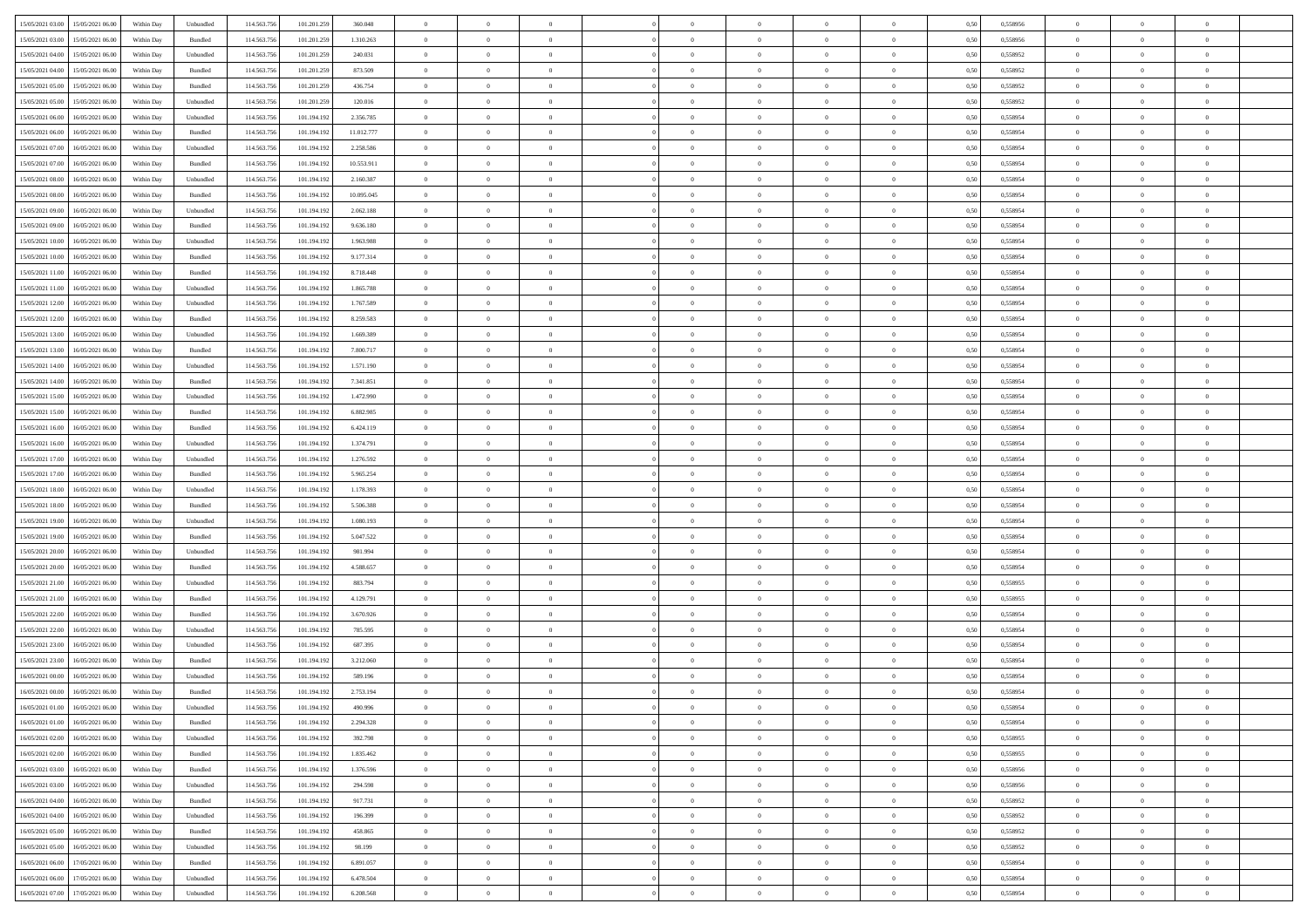| 15/05/2021 03:00 15/05/2021 06:00            | Within Day | Unbundled                   | 114.563.75  | 101.201.259 | 360.048    | $\overline{0}$ | $\overline{0}$ |                | $\overline{0}$ | $\theta$       |                | $\theta$       | 0,50 | 0,558956 | $\theta$       | $\theta$       | $\theta$       |  |
|----------------------------------------------|------------|-----------------------------|-------------|-------------|------------|----------------|----------------|----------------|----------------|----------------|----------------|----------------|------|----------|----------------|----------------|----------------|--|
| 15/05/2021 03:00<br>15/05/2021 06:00         | Within Day | Bundled                     | 114.563.75  | 101.201.259 | 1.310.263  | $\bf{0}$       | $\bf{0}$       | $\bf{0}$       | $\bf{0}$       | $\overline{0}$ | $\overline{0}$ | $\bf{0}$       | 0,50 | 0,558956 | $\,$ 0 $\,$    | $\bf{0}$       | $\overline{0}$ |  |
| 15/05/2021 04:00<br>15/05/2021 06:00         | Within Day | Unbundled                   | 114,563,75  | 101.201.259 | 240.031    | $\overline{0}$ | $\bf{0}$       | $\overline{0}$ | $\bf{0}$       | $\bf{0}$       | $\overline{0}$ | $\bf{0}$       | 0.50 | 0.558952 | $\bf{0}$       | $\overline{0}$ | $\overline{0}$ |  |
| 15/05/2021 04:00<br>15/05/2021 06:00         |            |                             | 114.563.75  |             |            | $\overline{0}$ | $\overline{0}$ | $\overline{0}$ | $\overline{0}$ | $\theta$       | $\overline{0}$ |                |      |          | $\theta$       | $\theta$       | $\overline{0}$ |  |
|                                              | Within Day | Bundled                     |             | 101.201.259 | 873.509    |                |                |                |                |                |                | $\bf{0}$       | 0,50 | 0,558952 |                |                |                |  |
| 15/05/2021 05:00<br>15/05/2021 06:00         | Within Day | Bundled                     | 114.563.75  | 101.201.259 | 436.754    | $\bf{0}$       | $\overline{0}$ | $\bf{0}$       | $\overline{0}$ | $\bf{0}$       | $\overline{0}$ | $\bf{0}$       | 0,50 | 0,558952 | $\,$ 0 $\,$    | $\bf{0}$       | $\overline{0}$ |  |
| 15/05/2021 05:00<br>15/05/2021 06:00         | Within Day | Unbundled                   | 114,563,75  | 101.201.259 | 120,016    | $\overline{0}$ | $\overline{0}$ | $\overline{0}$ | $\bf{0}$       | $\overline{0}$ | $\theta$       | $\bf{0}$       | 0.50 | 0.558952 | $\,$ 0 $\,$    | $\theta$       | $\overline{0}$ |  |
| 15/05/2021 06:00<br>16/05/2021 06:00         | Within Day | Unbundled                   | 114.563.75  | 101.194.192 | 2.356.785  | $\overline{0}$ | $\overline{0}$ | $\overline{0}$ | $\overline{0}$ | $\overline{0}$ | $\overline{0}$ | $\bf{0}$       | 0,50 | 0,558954 | $\theta$       | $\theta$       | $\overline{0}$ |  |
|                                              |            |                             |             |             |            |                |                |                |                |                |                |                |      |          |                |                |                |  |
| 15/05/2021 06:00<br>16/05/2021 06:00         | Within Day | Bundled                     | 114.563.75  | 101.194.19  | 11.012.777 | $\bf{0}$       | $\bf{0}$       | $\bf{0}$       | $\overline{0}$ | $\overline{0}$ | $\overline{0}$ | $\bf{0}$       | 0,50 | 0,558954 | $\,$ 0 $\,$    | $\bf{0}$       | $\overline{0}$ |  |
| 15/05/2021 07:00<br>16/05/2021 06:00         | Within Day | Unbundled                   | 114,563,75  | 101.194.192 | 2.258.586  | $\overline{0}$ | $\bf{0}$       | $\overline{0}$ | $\bf{0}$       | $\overline{0}$ | $\overline{0}$ | $\bf{0}$       | 0.50 | 0.558954 | $\bf{0}$       | $\overline{0}$ | $\overline{0}$ |  |
| 15/05/2021 07:00<br>16/05/2021 06:00         | Within Day | Bundled                     | 114.563.75  | 101.194.192 | 10.553.911 | $\bf{0}$       | $\bf{0}$       | $\overline{0}$ | $\overline{0}$ | $\overline{0}$ | $\overline{0}$ | $\bf{0}$       | 0,50 | 0,558954 | $\,$ 0 $\,$    | $\bf{0}$       | $\overline{0}$ |  |
| 15/05/2021 08:00<br>16/05/2021 06:00         | Within Day | Unbundled                   | 114.563.75  | 101.194.19  | 2.160.387  | $\bf{0}$       | $\overline{0}$ | $\bf{0}$       | $\bf{0}$       | $\overline{0}$ | $\overline{0}$ | $\bf{0}$       | 0,50 | 0,558954 | $\,$ 0 $\,$    | $\bf{0}$       | $\overline{0}$ |  |
|                                              |            |                             |             |             |            |                |                |                |                |                |                |                |      |          |                |                |                |  |
| 15/05/2021 08:00<br>16/05/2021 06:00         | Within Day | Bundled                     | 114,563,75  | 101.194.192 | 10.095.045 | $\overline{0}$ | $\bf{0}$       | $\overline{0}$ | $\overline{0}$ | $\bf{0}$       | $\overline{0}$ | $\bf{0}$       | 0.50 | 0.558954 | $\bf{0}$       | $\overline{0}$ | $\,$ 0         |  |
| 15/05/2021 09:00<br>16/05/2021 06:00         | Within Day | Unbundled                   | 114.563.75  | 101.194.192 | 2.062.188  | $\overline{0}$ | $\overline{0}$ | $\overline{0}$ | $\theta$       | $\theta$       | $\overline{0}$ | $\bf{0}$       | 0,50 | 0,558954 | $\,$ 0 $\,$    | $\theta$       | $\overline{0}$ |  |
| 15/05/2021 09:00<br>16/05/2021 06:00         | Within Day | Bundled                     | 114.563.75  | 101.194.192 | 9.636.180  | $\bf{0}$       | $\overline{0}$ | $\bf{0}$       | $\bf{0}$       | $\bf{0}$       | $\overline{0}$ | $\bf{0}$       | 0,50 | 0,558954 | $\bf{0}$       | $\bf{0}$       | $\overline{0}$ |  |
|                                              |            |                             |             |             |            |                |                |                |                |                | $\theta$       |                |      |          |                |                |                |  |
| 15/05/2021 10:00<br>16/05/2021 06:00         | Within Day | Unbundled                   | 114,563,75  | 101.194.192 | 1.963.988  | $\overline{0}$ | $\overline{0}$ | $\overline{0}$ | $\bf{0}$       | $\overline{0}$ |                | $\bf{0}$       | 0.50 | 0.558954 | $\,$ 0 $\,$    | $\theta$       | $\overline{0}$ |  |
| 15/05/2021 10:00<br>16/05/2021 06:00         | Within Day | Bundled                     | 114.563.75  | 101.194.192 | 9.177.314  | $\overline{0}$ | $\overline{0}$ | $\overline{0}$ | $\overline{0}$ | $\overline{0}$ | $\overline{0}$ | $\bf{0}$       | 0,50 | 0,558954 | $\theta$       | $\theta$       | $\overline{0}$ |  |
| 15/05/2021 11:00<br>16/05/2021 06:00         | Within Day | Bundled                     | 114.563.75  | 101.194.19  | 8.718.448  | $\bf{0}$       | $\bf{0}$       | $\bf{0}$       | $\overline{0}$ | $\overline{0}$ | $\overline{0}$ | $\bf{0}$       | 0,50 | 0,558954 | $\,$ 0 $\,$    | $\bf{0}$       | $\overline{0}$ |  |
| 15/05/2021 11:00<br>16/05/2021 06:00         | Within Day | Unbundled                   | 114,563,75  | 101.194.192 | 1.865,788  | $\overline{0}$ | $\bf{0}$       | $\overline{0}$ | $\bf{0}$       | $\overline{0}$ | $\overline{0}$ | $\bf{0}$       | 0.50 | 0.558954 | $\bf{0}$       | $\overline{0}$ | $\overline{0}$ |  |
|                                              |            |                             |             |             |            | $\overline{0}$ |                | $\overline{0}$ | $\overline{0}$ | $\overline{0}$ | $\overline{0}$ |                |      |          | $\,$ 0 $\,$    |                |                |  |
| 15/05/2021 12:00<br>16/05/2021 06:00         | Within Day | Unbundled                   | 114.563.75  | 101.194.192 | 1.767.589  |                | $\bf{0}$       |                |                |                |                | $\bf{0}$       | 0,50 | 0,558954 |                | $\bf{0}$       | $\overline{0}$ |  |
| 15/05/2021 12:00<br>16/05/2021 06:00         | Within Day | Bundled                     | 114.563.75  | 101.194.19  | 8.259.583  | $\bf{0}$       | $\bf{0}$       | $\bf{0}$       | $\bf{0}$       | $\overline{0}$ | $\overline{0}$ | $\bf{0}$       | 0,50 | 0,558954 | $\,$ 0 $\,$    | $\bf{0}$       | $\overline{0}$ |  |
| 15/05/2021 13:00<br>16/05/2021 06:00         | Within Day | Unbundled                   | 114,563,75  | 101.194.192 | 1.669.389  | $\overline{0}$ | $\bf{0}$       | $\overline{0}$ | $\overline{0}$ | $\bf{0}$       | $\overline{0}$ | $\bf{0}$       | 0.50 | 0.558954 | $\bf{0}$       | $\overline{0}$ | $\,$ 0         |  |
| 15/05/2021 13:00<br>16/05/2021 06:00         | Within Day | Bundled                     | 114.563.75  | 101.194.192 | 7.800.717  | $\overline{0}$ | $\overline{0}$ | $\overline{0}$ | $\overline{0}$ | $\theta$       | $\overline{0}$ | $\bf{0}$       | 0,50 | 0,558954 | $\theta$       | $\theta$       | $\overline{0}$ |  |
| 15/05/2021 14:00<br>16/05/2021 06:00         | Within Day | Unbundled                   | 114.563.75  | 101.194.192 | 1.571.190  | $\bf{0}$       | $\bf{0}$       | $\bf{0}$       | $\bf{0}$       | $\overline{0}$ | $\overline{0}$ | $\bf{0}$       | 0,50 | 0,558954 | $\,$ 0 $\,$    | $\bf{0}$       | $\overline{0}$ |  |
|                                              |            |                             |             |             |            |                |                |                |                |                |                |                |      |          |                |                |                |  |
| 15/05/2021 14:00<br>16/05/2021 06:00         | Within Day | Bundled                     | 114,563,75  | 101.194.192 | 7.341.851  | $\overline{0}$ | $\bf{0}$       | $\overline{0}$ | $\bf{0}$       | $\overline{0}$ | $\theta$       | $\bf{0}$       | 0.50 | 0.558954 | $\,$ 0 $\,$    | $\theta$       | $\overline{0}$ |  |
| 15/05/2021 15:00<br>16/05/2021 06:00         | Within Day | Unbundled                   | 114.563.75  | 101.194.192 | 1.472.990  | $\overline{0}$ | $\overline{0}$ | $\overline{0}$ | $\overline{0}$ | $\overline{0}$ | $\overline{0}$ | $\bf{0}$       | 0,50 | 0,558954 | $\,$ 0 $\,$    | $\theta$       | $\overline{0}$ |  |
| 15/05/2021 15:00<br>16/05/2021 06:00         | Within Day | Bundled                     | 114.563.75  | 101.194.19  | 6.882.985  | $\bf{0}$       | $\overline{0}$ | $\bf{0}$       | $\overline{0}$ | $\bf{0}$       | $\overline{0}$ | $\bf{0}$       | 0,50 | 0,558954 | $\,$ 0 $\,$    | $\bf{0}$       | $\overline{0}$ |  |
| 15/05/2021 16:00<br>16/05/2021 06:00         | Within Day | Bundled                     | 114,563,75  | 101.194.192 | 6.424.119  | $\overline{0}$ | $\bf{0}$       | $\overline{0}$ | $\bf{0}$       | $\overline{0}$ | $\overline{0}$ | $\bf{0}$       | 0.50 | 0.558954 | $\bf{0}$       | $\overline{0}$ | $\overline{0}$ |  |
|                                              |            |                             |             |             |            |                |                |                |                |                |                |                |      |          |                |                |                |  |
| 15/05/2021 16:00<br>16/05/2021 06:00         | Within Day | Unbundled                   | 114.563.75  | 101.194.192 | 1.374.791  | $\overline{0}$ | $\bf{0}$       | $\overline{0}$ | $\overline{0}$ | $\overline{0}$ | $\overline{0}$ | $\bf{0}$       | 0,50 | 0,558954 | $\theta$       | $\theta$       | $\overline{0}$ |  |
| 15/05/2021 17:00<br>16/05/2021 06:00         | Within Day | Unbundled                   | 114.563.75  | 101.194.19  | 1.276.592  | $\bf{0}$       | $\bf{0}$       | $\bf{0}$       | $\bf{0}$       | $\overline{0}$ | $\overline{0}$ | $\bf{0}$       | 0,50 | 0,558954 | $\,$ 0 $\,$    | $\bf{0}$       | $\overline{0}$ |  |
| 15/05/2021 17:00<br>16/05/2021 06:00         | Within Day | Bundled                     | 114,563,75  | 101.194.192 | 5.965.254  | $\overline{0}$ | $\bf{0}$       | $\overline{0}$ | $\overline{0}$ | $\bf{0}$       | $\overline{0}$ | $\bf{0}$       | 0.50 | 0.558954 | $\bf{0}$       | $\overline{0}$ | $\,$ 0         |  |
| 15/05/2021 18:00<br>16/05/2021 06:00         | Within Day | Unbundled                   | 114.563.75  | 101.194.192 | 1.178.393  | $\overline{0}$ | $\overline{0}$ | $\overline{0}$ | $\overline{0}$ | $\overline{0}$ | $\overline{0}$ | $\bf{0}$       | 0.50 | 0.558954 | $\theta$       | $\theta$       | $\overline{0}$ |  |
|                                              |            |                             |             |             |            |                |                |                |                |                |                |                |      |          |                |                |                |  |
| 15/05/2021 18:00<br>16/05/2021 06:00         | Within Day | Bundled                     | 114.563.75  | 101.194.19  | 5.506.388  | $\bf{0}$       | $\bf{0}$       | $\bf{0}$       | $\bf{0}$       | $\overline{0}$ | $\overline{0}$ | $\bf{0}$       | 0,50 | 0,558954 | $\,$ 0 $\,$    | $\bf{0}$       | $\overline{0}$ |  |
| 15/05/2021 19:00<br>16/05/2021 06:00         | Within Day | Unbundled                   | 114,563,75  | 101.194.192 | 1.080.193  | $\overline{0}$ | $\bf{0}$       | $\overline{0}$ | $\bf{0}$       | $\overline{0}$ | $\overline{0}$ | $\bf{0}$       | 0.50 | 0.558954 | $\,$ 0 $\,$    | $\bf{0}$       | $\overline{0}$ |  |
| 15/05/2021 19:00<br>16/05/2021 06:00         | Within Dav | Bundled                     | 114.563.75  | 101.194.192 | 5.047.522  | $\overline{0}$ | $\overline{0}$ | $\overline{0}$ | $\overline{0}$ | $\overline{0}$ | $\overline{0}$ | $\bf{0}$       | 0.50 | 0,558954 | $\theta$       | $\theta$       | $\overline{0}$ |  |
| 15/05/2021 20:00<br>16/05/2021 06:00         | Within Day | Unbundled                   | 114.563.75  | 101.194.19  | 981.994    | $\bf{0}$       | $\bf{0}$       | $\bf{0}$       | $\bf{0}$       | $\overline{0}$ | $\overline{0}$ | $\bf{0}$       | 0,50 | 0,558954 | $\,$ 0 $\,$    | $\bf{0}$       | $\overline{0}$ |  |
| 15/05/2021 20:00<br>16/05/2021 06:00         |            | Bundled                     | 114,563,75  |             | 4.588.657  |                | $\bf{0}$       | $\overline{0}$ |                | $\overline{0}$ | $\overline{0}$ |                | 0.50 | 0.558954 | $\bf{0}$       | $\overline{0}$ | $\overline{0}$ |  |
|                                              | Within Day |                             |             | 101.194.192 |            | $\overline{0}$ |                |                | $\bf{0}$       |                |                | $\bf{0}$       |      |          |                |                |                |  |
| 15/05/2021 21:00<br>16/05/2021 06:00         | Within Dav | Unbundled                   | 114.563.75  | 101.194.192 | 883.794    | $\overline{0}$ | $\overline{0}$ | $\overline{0}$ | $\overline{0}$ | $\overline{0}$ | $\overline{0}$ | $\bf{0}$       | 0.50 | 0,558955 | $\theta$       | $\theta$       | $\overline{0}$ |  |
| 15/05/2021 21:00<br>16/05/2021 06:00         | Within Day | Bundled                     | 114.563.75  | 101.194.192 | 4.129.791  | $\bf{0}$       | $\bf{0}$       | $\bf{0}$       | $\bf{0}$       | $\overline{0}$ | $\overline{0}$ | $\bf{0}$       | 0,50 | 0,558955 | $\,$ 0 $\,$    | $\bf{0}$       | $\overline{0}$ |  |
| 15/05/2021 22:00<br>16/05/2021 06:00         | Within Day | Bundled                     | 114.563.75  | 101.194.192 | 3.670.926  | $\overline{0}$ | $\bf{0}$       | $\overline{0}$ | $\overline{0}$ | $\bf{0}$       | $\overline{0}$ | $\bf{0}$       | 0.50 | 0.558954 | $\bf{0}$       | $\overline{0}$ | $\,$ 0         |  |
| 15/05/2021 22:00<br>16/05/2021 06:00         | Within Dav | Unbundled                   | 114.563.75  | 101.194.192 | 785.595    | $\overline{0}$ | $\overline{0}$ | $\overline{0}$ | $\overline{0}$ | $\overline{0}$ | $\overline{0}$ | $\bf{0}$       | 0.50 | 0.558954 | $\theta$       | $\theta$       | $\overline{0}$ |  |
|                                              |            |                             |             |             |            |                |                |                |                |                |                |                |      |          |                |                |                |  |
| 15/05/2021 23:00<br>16/05/2021 06:00         | Within Day | Unbundled                   | 114.563.75  | 101.194.192 | 687.395    | $\bf{0}$       | $\bf{0}$       | $\bf{0}$       | $\overline{0}$ | $\overline{0}$ | $\overline{0}$ | $\bf{0}$       | 0,50 | 0,558954 | $\,$ 0 $\,$    | $\bf{0}$       | $\overline{0}$ |  |
| 15/05/2021 23:00<br>16/05/2021 06:00         | Within Day | Bundled                     | 114,563,75  | 101.194.192 | 3.212.060  | $\overline{0}$ | $\overline{0}$ | $\overline{0}$ | $\bf{0}$       | $\overline{0}$ | $\Omega$       | $\bf{0}$       | 0.50 | 0.558954 | $\bf{0}$       | $\theta$       | $\overline{0}$ |  |
| 16/05/2021 00:00<br>16/05/2021 06:00         | Within Dav | Unbundled                   | 114.563.75  | 101.194.192 | 589.196    | $\overline{0}$ | $\overline{0}$ | $\overline{0}$ | $\overline{0}$ | $\theta$       | $\overline{0}$ | $\overline{0}$ | 0.5( | 0,558954 | $\theta$       | $\theta$       | $\overline{0}$ |  |
| 16/05/2021 00:00<br>16/05/2021 06:00         | Within Day | Bundled                     | 114.563.75  | 101.194.192 | 2.753.194  | $\bf{0}$       | $\bf{0}$       | $\bf{0}$       | $\bf{0}$       | $\bf{0}$       | $\overline{0}$ | $\bf{0}$       | 0,50 | 0,558954 | $\overline{0}$ | $\overline{0}$ | $\overline{0}$ |  |
|                                              |            |                             |             |             |            |                |                |                |                |                |                |                |      |          |                |                |                |  |
| $16/05/2021\;01.00 \qquad 16/05/2021\;06.00$ | Within Day | $\ensuremath{\mathsf{Unb}}$ | 114.563.756 | 101.194.192 | 490 996    | $\bf{0}$       | $\theta$       |                | $\Omega$       |                |                |                | 0,50 | 0.558954 | $\theta$       | $\overline{0}$ |                |  |
| 16/05/2021 01:00 16/05/2021 06:00            | Within Day | Bundled                     | 114.563.756 | 101.194.192 | 2.294.328  | $\overline{0}$ | $\overline{0}$ | $\Omega$       | $\theta$       | $\overline{0}$ | $\overline{0}$ | $\bf{0}$       | 0,50 | 0,558954 | $\theta$       | $\overline{0}$ | $\overline{0}$ |  |
| 16/05/2021 02:00<br>16/05/2021 06:00         | Within Day | Unbundled                   | 114.563.75  | 101.194.192 | 392.798    | $\overline{0}$ | $\bf{0}$       | $\overline{0}$ | $\overline{0}$ | $\bf{0}$       | $\overline{0}$ | $\bf{0}$       | 0,50 | 0,558955 | $\bf{0}$       | $\overline{0}$ | $\bf{0}$       |  |
| 16/05/2021 02:00 16/05/2021 06:00            | Within Day | Bundled                     | 114,563,756 | 101.194.192 | 1.835.462  | $\overline{0}$ | $\bf{0}$       | $\overline{0}$ | $\overline{0}$ | $\mathbf{0}$   | $\overline{0}$ | $\,$ 0 $\,$    | 0.50 | 0.558955 | $\overline{0}$ | $\bf{0}$       | $\overline{0}$ |  |
|                                              |            |                             |             |             |            |                |                |                |                |                |                |                |      |          |                |                |                |  |
| 16/05/2021 03:00 16/05/2021 06:00            | Within Dav | Bundled                     | 114.563.756 | 101.194.192 | 1.376.596  | $\overline{0}$ | $\overline{0}$ | $\overline{0}$ | $\overline{0}$ | $\overline{0}$ | $\overline{0}$ | $\bf{0}$       | 0,50 | 0,558956 | $\overline{0}$ | $\theta$       | $\overline{0}$ |  |
| 16/05/2021 03:00<br>16/05/2021 06:00         | Within Day | Unbundled                   | 114.563.75  | 101.194.192 | 294.598    | $\overline{0}$ | $\bf{0}$       | $\overline{0}$ | $\overline{0}$ | $\bf{0}$       | $\overline{0}$ | $\bf{0}$       | 0,50 | 0,558956 | $\bf{0}$       | $\overline{0}$ | $\overline{0}$ |  |
| 16/05/2021 04:00<br>16/05/2021 06:00         | Within Day | Bundled                     | 114.563.756 | 101.194.192 | 917.731    | $\overline{0}$ | $\bf{0}$       | $\overline{0}$ | $\overline{0}$ | $\bf{0}$       | $\overline{0}$ | $\bf{0}$       | 0.50 | 0.558952 | $\,$ 0 $\,$    | $\overline{0}$ | $\overline{0}$ |  |
| 16/05/2021 04:00<br>16/05/2021 06:00         | Within Dav | Unbundled                   | 114.563.756 | 101.194.192 | 196,399    | $\overline{0}$ | $\overline{0}$ | $\overline{0}$ | $\overline{0}$ | $\overline{0}$ | $\overline{0}$ | $\bf{0}$       | 0.50 | 0,558952 | $\overline{0}$ | $\theta$       | $\overline{0}$ |  |
|                                              |            |                             |             |             |            |                | $\overline{0}$ |                |                | $\overline{0}$ |                |                |      |          | $\bf{0}$       | $\overline{0}$ | $\,$ 0         |  |
| 16/05/2021 05:00<br>16/05/2021 06:00         | Within Day | Bundled                     | 114.563.75  | 101.194.192 | 458.865    | $\overline{0}$ |                | $\overline{0}$ | $\overline{0}$ |                | $\overline{0}$ | $\bf{0}$       | 0,50 | 0,558952 |                |                |                |  |
| 16/05/2021 05:00<br>16/05/2021 06:00         | Within Day | Unbundled                   | 114.563.75  | 101.194.192 | 98.199     | $\overline{0}$ | $\overline{0}$ | $\overline{0}$ | $\overline{0}$ | $\overline{0}$ | $\overline{0}$ | $\bf{0}$       | 0.50 | 0.558952 | $\mathbf{0}$   | $\bf{0}$       | $\,$ 0         |  |
| 16/05/2021 06:00<br>17/05/2021 06:00         | Within Dav | Bundled                     | 114.563.756 | 101.194.192 | 6.891.057  | $\overline{0}$ | $\overline{0}$ | $\overline{0}$ | $\overline{0}$ | $\overline{0}$ | $\overline{0}$ | $\bf{0}$       | 0,50 | 0,558954 | $\overline{0}$ | $\theta$       | $\overline{0}$ |  |
| 16/05/2021 06:00<br>17/05/2021 06:00         | Within Day | Unbundled                   | 114.563.75  | 101.194.192 | 6.478.504  | $\overline{0}$ | $\bf{0}$       | $\overline{0}$ | $\overline{0}$ | $\overline{0}$ | $\overline{0}$ | $\bf{0}$       | 0,50 | 0,558954 | $\bf{0}$       | $\overline{0}$ | $\bf{0}$       |  |
|                                              |            |                             |             |             |            |                |                |                |                |                |                |                |      |          |                |                |                |  |
| 16/05/2021 07:00 17/05/2021 06:00            | Within Day | Unbundled                   | 114.563.756 | 101.194.192 | 6.208.568  | $\,$ 0 $\,$    | $\bf{0}$       | $\overline{0}$ | $\overline{0}$ | $\,$ 0 $\,$    | $\overline{0}$ | $\,$ 0 $\,$    | 0,50 | 0,558954 | $\overline{0}$ | $\,$ 0 $\,$    | $\,$ 0 $\,$    |  |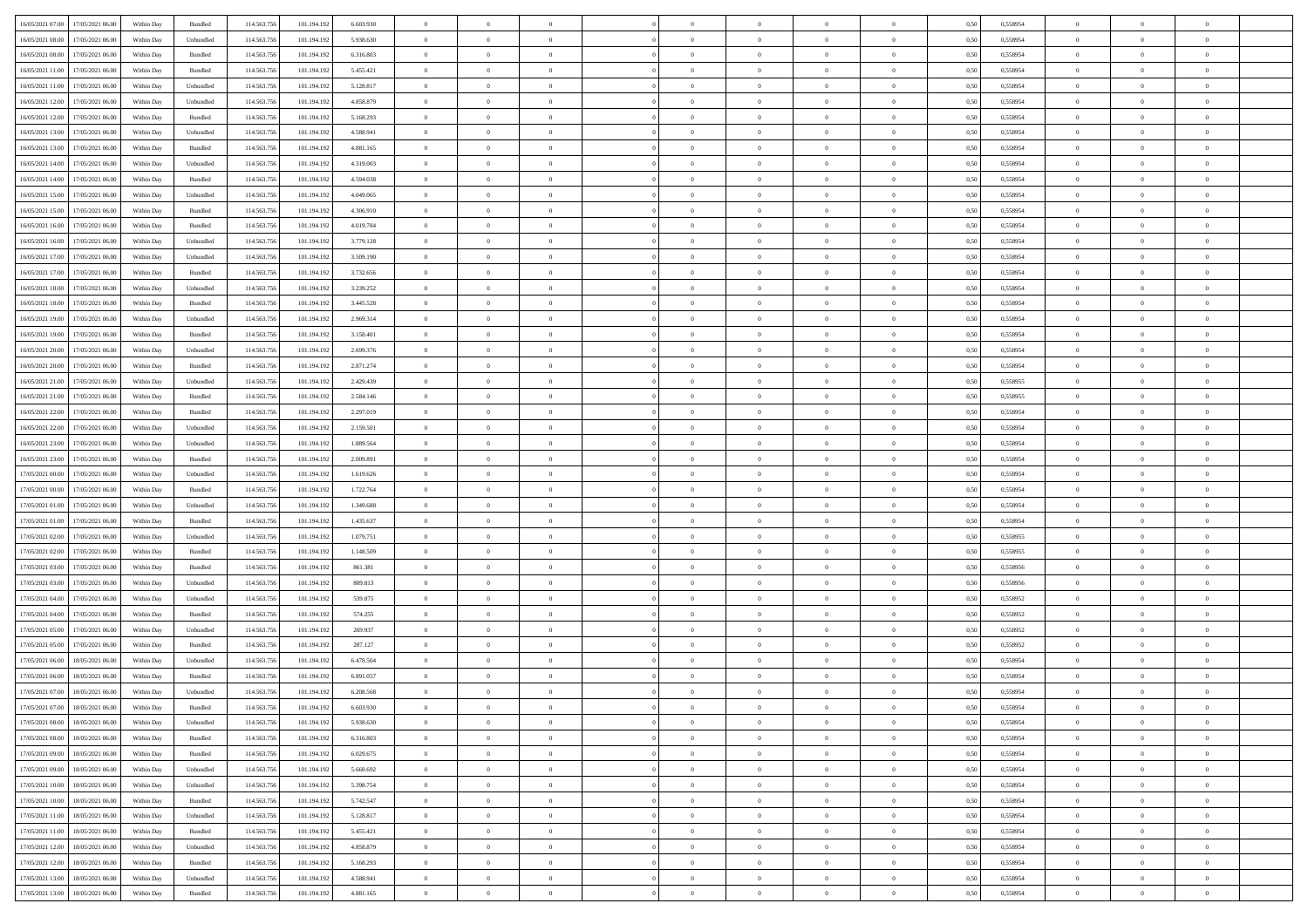| 16/05/2021 07:00 17/05/2021 06:00                |            |           | 114.563.75  |             |           | $\overline{0}$ | $\overline{0}$ |                | $\overline{0}$ | $\theta$       |                | $\theta$       |      | 0,558954 | $\theta$       | $\theta$       | $\overline{0}$ |  |
|--------------------------------------------------|------------|-----------|-------------|-------------|-----------|----------------|----------------|----------------|----------------|----------------|----------------|----------------|------|----------|----------------|----------------|----------------|--|
|                                                  | Within Day | Bundled   |             | 101.194.192 | 6.603.930 |                |                |                |                |                |                |                | 0,50 |          |                |                |                |  |
| 16/05/2021 08:00<br>17/05/2021 06:00             | Within Day | Unbundled | 114.563.75  | 101.194.19  | 5.938.630 | $\bf{0}$       | $\bf{0}$       | $\bf{0}$       | $\bf{0}$       | $\overline{0}$ | $\overline{0}$ | $\bf{0}$       | 0,50 | 0,558954 | $\,$ 0 $\,$    | $\bf{0}$       | $\overline{0}$ |  |
| 16/05/2021 08:00<br>17/05/2021 06:00             | Within Day | Bundled   | 114,563,75  | 101.194.192 | 6.316.803 | $\overline{0}$ | $\bf{0}$       | $\overline{0}$ | $\bf{0}$       | $\overline{0}$ | $\overline{0}$ | $\bf{0}$       | 0.50 | 0.558954 | $\overline{0}$ | $\overline{0}$ | $\bf{0}$       |  |
| 16/05/2021 11:00<br>17/05/2021 06:00             | Within Day | Bundled   | 114.563.75  | 101.194.192 | 5.455.421 | $\overline{0}$ | $\overline{0}$ | $\overline{0}$ | $\overline{0}$ | $\theta$       | $\overline{0}$ | $\bf{0}$       | 0,50 | 0,558954 | $\theta$       | $\,$ 0 $\,$    | $\overline{0}$ |  |
|                                                  |            |           |             |             |           |                |                |                |                |                |                |                |      |          |                |                |                |  |
| 16/05/2021 11:00<br>17/05/2021 06:00             | Within Day | Unbundled | 114.563.75  | 101.194.192 | 5.128.817 | $\bf{0}$       | $\overline{0}$ | $\bf{0}$       | $\overline{0}$ | $\bf{0}$       | $\overline{0}$ | $\bf{0}$       | 0,50 | 0,558954 | $\,$ 0 $\,$    | $\bf{0}$       | $\overline{0}$ |  |
| 16/05/2021 12:00<br>17/05/2021 06:00             | Within Day | Unbundled | 114,563,75  | 101.194.192 | 4.858.879 | $\overline{0}$ | $\bf{0}$       | $\overline{0}$ | $\bf{0}$       | $\overline{0}$ | $\overline{0}$ | $\bf{0}$       | 0.50 | 0.558954 | $\,$ 0 $\,$    | $\bf{0}$       | $\overline{0}$ |  |
| 16/05/2021 12:00<br>17/05/2021 06:00             | Within Day | Bundled   | 114.563.75  | 101.194.192 | 5.168.293 | $\overline{0}$ | $\overline{0}$ | $\overline{0}$ | $\overline{0}$ | $\overline{0}$ | $\overline{0}$ | $\bf{0}$       | 0,50 | 0,558954 | $\,$ 0 $\,$    | $\theta$       | $\overline{0}$ |  |
| 16/05/2021 13:00<br>17/05/2021 06.00             | Within Day | Unbundled | 114.563.75  | 101.194.19  | 4.588.941 | $\bf{0}$       | $\bf{0}$       | $\bf{0}$       | $\bf{0}$       | $\overline{0}$ | $\overline{0}$ | $\bf{0}$       | 0,50 | 0,558954 | $\,$ 0 $\,$    | $\bf{0}$       | $\overline{0}$ |  |
| 16/05/2021 13:00<br>17/05/2021 06:00             | Within Day | Bundled   | 114,563,75  | 101.194.192 | 4.881.165 | $\overline{0}$ | $\bf{0}$       | $\overline{0}$ | $\bf{0}$       | $\overline{0}$ | $\overline{0}$ | $\bf{0}$       | 0.50 | 0.558954 | $\bf{0}$       | $\overline{0}$ | $\overline{0}$ |  |
|                                                  |            |           |             |             |           |                |                |                |                |                |                |                |      |          |                |                |                |  |
| 16/05/2021 14:00<br>17/05/2021 06:00             | Within Day | Unbundled | 114.563.75  | 101.194.192 | 4.319.003 | $\bf{0}$       | $\bf{0}$       | $\overline{0}$ | $\overline{0}$ | $\overline{0}$ | $\overline{0}$ | $\bf{0}$       | 0,50 | 0,558954 | $\,$ 0 $\,$    | $\,$ 0 $\,$    | $\overline{0}$ |  |
| 16/05/2021 14:00<br>17/05/2021 06:00             | Within Day | Bundled   | 114.563.75  | 101.194.192 | 4.594.038 | $\bf{0}$       | $\bf{0}$       | $\bf{0}$       | $\bf{0}$       | $\overline{0}$ | $\overline{0}$ | $\bf{0}$       | 0,50 | 0,558954 | $\,$ 0 $\,$    | $\bf{0}$       | $\overline{0}$ |  |
| 16/05/2021 15:00<br>17/05/2021 06:00             | Within Day | Unbundled | 114,563,75  | 101.194.192 | 4.049.065 | $\overline{0}$ | $\bf{0}$       | $\overline{0}$ | $\overline{0}$ | $\overline{0}$ | $\overline{0}$ | $\bf{0}$       | 0.50 | 0.558954 | $\bf{0}$       | $\,$ 0 $\,$    | $\,$ 0         |  |
| 16/05/2021 15:00<br>17/05/2021 06:00             | Within Day | Bundled   | 114.563.75  | 101.194.192 | 4.306.910 | $\overline{0}$ | $\bf{0}$       | $\overline{0}$ | $\theta$       | $\theta$       | $\overline{0}$ | $\bf{0}$       | 0,50 | 0,558954 | $\,$ 0 $\,$    | $\,$ 0 $\,$    | $\overline{0}$ |  |
|                                                  |            |           |             |             |           |                | $\overline{0}$ |                |                | $\overline{0}$ | $\overline{0}$ |                |      |          | $\,$ 0 $\,$    | $\bf{0}$       | $\overline{0}$ |  |
| 16/05/2021 16:00<br>17/05/2021 06:00             | Within Day | Bundled   | 114.563.75  | 101.194.192 | 4.019.784 | $\bf{0}$       |                | $\bf{0}$       | $\bf{0}$       |                |                | $\bf{0}$       | 0,50 | 0,558954 |                |                |                |  |
| 16/05/2021 16:00<br>17/05/2021 06:00             | Within Day | Unbundled | 114,563,75  | 101.194.192 | 3.779.128 | $\overline{0}$ | $\bf{0}$       | $\overline{0}$ | $\bf{0}$       | $\overline{0}$ | $\overline{0}$ | $\bf{0}$       | 0.50 | 0.558954 | $\,$ 0 $\,$    | $\bf{0}$       | $\overline{0}$ |  |
| 16/05/2021 17:00<br>17/05/2021 06:00             | Within Day | Unbundled | 114.563.75  | 101.194.192 | 3.509.190 | $\overline{0}$ | $\overline{0}$ | $\overline{0}$ | $\overline{0}$ | $\overline{0}$ | $\overline{0}$ | $\bf{0}$       | 0,50 | 0,558954 | $\theta$       | $\theta$       | $\overline{0}$ |  |
| 16/05/2021 17:00<br>17/05/2021 06:00             | Within Day | Bundled   | 114.563.75  | 101.194.192 | 3.732.656 | $\bf{0}$       | $\bf{0}$       | $\bf{0}$       | $\overline{0}$ | $\overline{0}$ | $\overline{0}$ | $\bf{0}$       | 0,50 | 0,558954 | $\,$ 0 $\,$    | $\bf{0}$       | $\overline{0}$ |  |
| 16/05/2021 18:00<br>17/05/2021 06:00             | Within Day | Unbundled | 114,563,75  | 101.194.192 | 3.239.252 | $\overline{0}$ | $\bf{0}$       | $\overline{0}$ | $\bf{0}$       | $\overline{0}$ | $\overline{0}$ | $\bf{0}$       | 0.50 | 0.558954 | $\bf{0}$       | $\overline{0}$ | $\bf{0}$       |  |
|                                                  |            |           |             |             |           |                |                | $\overline{0}$ | $\overline{0}$ |                | $\overline{0}$ |                |      |          | $\,$ 0 $\,$    |                |                |  |
| 16/05/2021 18:00<br>17/05/2021 06:00             | Within Day | Bundled   | 114.563.75  | 101.194.192 | 3.445.528 | $\bf{0}$       | $\bf{0}$       |                |                | $\overline{0}$ |                | $\bf{0}$       | 0,50 | 0,558954 |                | $\bf{0}$       | $\overline{0}$ |  |
| 16/05/2021 19:00<br>17/05/2021 06:00             | Within Day | Unbundled | 114.563.75  | 101.194.19  | 2.969.314 | $\bf{0}$       | $\bf{0}$       | $\bf{0}$       | $\bf{0}$       | $\overline{0}$ | $\overline{0}$ | $\bf{0}$       | 0,50 | 0,558954 | $\,$ 0 $\,$    | $\bf{0}$       | $\overline{0}$ |  |
| 16/05/2021 19:00<br>17/05/2021 06:00             | Within Day | Bundled   | 114,563,75  | 101.194.192 | 3.158.401 | $\overline{0}$ | $\bf{0}$       | $\overline{0}$ | $\overline{0}$ | $\overline{0}$ | $\overline{0}$ | $\bf{0}$       | 0.50 | 0.558954 | $\bf{0}$       | $\,$ 0 $\,$    | $\,$ 0         |  |
| 16/05/2021 20:00<br>17/05/2021 06:00             | Within Day | Unbundled | 114.563.75  | 101.194.192 | 2.699.376 | $\overline{0}$ | $\overline{0}$ | $\overline{0}$ | $\overline{0}$ | $\theta$       | $\overline{0}$ | $\bf{0}$       | 0,50 | 0,558954 | $\theta$       | $\theta$       | $\overline{0}$ |  |
| 16/05/2021 20:00<br>17/05/2021 06:00             | Within Day | Bundled   | 114.563.75  | 101.194.192 | 2.871.274 | $\bf{0}$       | $\bf{0}$       | $\bf{0}$       | $\bf{0}$       | $\overline{0}$ | $\overline{0}$ | $\bf{0}$       | 0,50 | 0,558954 | $\,$ 0 $\,$    | $\bf{0}$       | $\overline{0}$ |  |
| 16/05/2021 21:00<br>17/05/2021 06:00             | Within Day | Unbundled | 114,563,75  | 101.194.192 | 2.429.439 | $\overline{0}$ | $\bf{0}$       | $\overline{0}$ | $\bf{0}$       | $\overline{0}$ | $\overline{0}$ | $\bf{0}$       | 0.50 | 0.558955 | $\,$ 0 $\,$    | $\overline{0}$ | $\overline{0}$ |  |
|                                                  |            |           |             |             |           | $\overline{0}$ | $\overline{0}$ | $\overline{0}$ | $\overline{0}$ | $\overline{0}$ | $\overline{0}$ |                |      |          |                | $\theta$       |                |  |
| 16/05/2021 21:00<br>17/05/2021 06:00             | Within Day | Bundled   | 114.563.75  | 101.194.192 | 2.584.146 |                |                |                |                |                |                | $\bf{0}$       | 0,50 | 0,558955 | $\,$ 0 $\,$    |                | $\overline{0}$ |  |
| 16/05/2021 22:00<br>17/05/2021 06.00             | Within Day | Bundled   | 114.563.75  | 101.194.19  | 2.297.019 | $\bf{0}$       | $\overline{0}$ | $\bf{0}$       | $\bf{0}$       | $\overline{0}$ | $\overline{0}$ | $\bf{0}$       | 0,50 | 0,558954 | $\,$ 0 $\,$    | $\bf{0}$       | $\overline{0}$ |  |
| 16/05/2021 22:00<br>17/05/2021 06:00             | Within Day | Unbundled | 114.563.75  | 101.194.192 | 2.159.501 | $\overline{0}$ | $\bf{0}$       | $\overline{0}$ | $\bf{0}$       | $\overline{0}$ | $\overline{0}$ | $\bf{0}$       | 0.50 | 0.558954 | $\bf{0}$       | $\overline{0}$ | $\overline{0}$ |  |
| 16/05/2021 23:00<br>17/05/2021 06:00             | Within Day | Unbundled | 114.563.75  | 101.194.192 | 1.889.564 | $\overline{0}$ | $\bf{0}$       | $\overline{0}$ | $\overline{0}$ | $\overline{0}$ | $\overline{0}$ | $\bf{0}$       | 0,50 | 0,558954 | $\theta$       | $\bf{0}$       | $\overline{0}$ |  |
| 16/05/2021 23:00<br>17/05/2021 06:00             | Within Day | Bundled   | 114.563.75  | 101.194.19  | 2.009.891 | $\bf{0}$       | $\bf{0}$       | $\bf{0}$       | $\bf{0}$       | $\overline{0}$ | $\overline{0}$ | $\bf{0}$       | 0,50 | 0,558954 | $\,$ 0 $\,$    | $\bf{0}$       | $\overline{0}$ |  |
| 17/05/2021 00:00<br>17/05/2021 06:00             | Within Day | Unbundled | 114,563,75  | 101.194.192 | 1.619.626 | $\overline{0}$ | $\bf{0}$       | $\overline{0}$ | $\overline{0}$ | $\overline{0}$ | $\overline{0}$ | $\bf{0}$       | 0.50 | 0.558954 | $\bf{0}$       | $\,$ 0 $\,$    | $\,$ 0         |  |
| 17/05/2021 00:00<br>17/05/2021 06:00             | Within Day | Bundled   | 114.563.75  | 101.194.19  | 1.722.764 | $\overline{0}$ | $\overline{0}$ | $\overline{0}$ | $\overline{0}$ | $\overline{0}$ | $\overline{0}$ | $\bf{0}$       | 0.50 | 0.558954 | $\theta$       | $\theta$       | $\overline{0}$ |  |
|                                                  |            |           |             |             |           |                |                |                |                |                | $\overline{0}$ |                |      |          |                |                |                |  |
| 17/05/2021 01:00<br>17/05/2021 06:00             | Within Day | Unbundled | 114.563.75  | 101.194.192 | 1.349.688 | $\bf{0}$       | $\bf{0}$       | $\bf{0}$       | $\bf{0}$       | $\overline{0}$ |                | $\bf{0}$       | 0,50 | 0,558954 | $\,$ 0 $\,$    | $\bf{0}$       | $\overline{0}$ |  |
| 17/05/2021 01:00<br>17/05/2021 06:00             | Within Day | Bundled   | 114,563,75  | 101.194.192 | 1.435.637 | $\overline{0}$ | $\bf{0}$       | $\overline{0}$ | $\bf{0}$       | $\overline{0}$ | $\overline{0}$ | $\bf{0}$       | 0.50 | 0.558954 | $\,$ 0 $\,$    | $\bf{0}$       | $\overline{0}$ |  |
| 17/05/2021 02:00<br>17/05/2021 06:00             | Within Dav | Unbundled | 114.563.75  | 101.194.192 | 1.079.751 | $\overline{0}$ | $\overline{0}$ | $\overline{0}$ | $\overline{0}$ | $\overline{0}$ | $\overline{0}$ | $\bf{0}$       | 0.50 | 0,558955 | $\theta$       | $\theta$       | $\overline{0}$ |  |
| 17/05/2021 02:00<br>17/05/2021 06:00             | Within Day | Bundled   | 114.563.75  | 101.194.192 | 1.148.509 | $\bf{0}$       | $\bf{0}$       | $\bf{0}$       | $\bf{0}$       | $\overline{0}$ | $\overline{0}$ | $\bf{0}$       | 0,50 | 0,558955 | $\,$ 0 $\,$    | $\bf{0}$       | $\overline{0}$ |  |
| 17/05/2021 03:00<br>17/05/2021 06:00             | Within Day | Bundled   | 114,563,75  | 101.194.192 | 861.381   | $\overline{0}$ | $\bf{0}$       | $\overline{0}$ | $\bf{0}$       | $\overline{0}$ | $\overline{0}$ | $\bf{0}$       | 0.50 | 0.558956 | $\bf{0}$       | $\overline{0}$ | $\bf{0}$       |  |
| 17/05/2021 03:00<br>17/05/2021 06:00             | Within Dav | Unbundled | 114.563.75  | 101.194.192 | 809.813   | $\overline{0}$ | $\overline{0}$ | $\overline{0}$ | $\overline{0}$ | $\overline{0}$ | $\overline{0}$ | $\bf{0}$       | 0.50 | 0,558956 | $\theta$       | $\theta$       | $\overline{0}$ |  |
| 17/05/2021 06:00                                 | Within Day | Unbundled | 114.563.75  | 101.194.192 | 539.875   | $\bf{0}$       | $\bf{0}$       | $\bf{0}$       | $\bf{0}$       | $\overline{0}$ | $\bf{0}$       | $\bf{0}$       | 0,50 | 0,558952 | $\,$ 0 $\,$    | $\bf{0}$       | $\overline{0}$ |  |
| 17/05/2021 04:00                                 |            |           |             |             |           |                |                |                |                |                |                |                |      |          |                |                |                |  |
| 17/05/2021 04:00<br>17/05/2021 06:00             | Within Day | Bundled   | 114,563,75  | 101.194.192 | 574.255   | $\overline{0}$ | $\bf{0}$       | $\overline{0}$ | $\overline{0}$ | $\bf{0}$       | $\overline{0}$ | $\bf{0}$       | 0.50 | 0.558952 | $\bf{0}$       | $\,$ 0 $\,$    | $\,$ 0         |  |
| 17/05/2021 05:00<br>17/05/2021 06:00             | Within Dav | Unbundled | 114.563.75  | 101.194.192 | 269,937   | $\overline{0}$ | $\overline{0}$ | $\overline{0}$ | $\overline{0}$ | $\overline{0}$ | $\overline{0}$ | $\bf{0}$       | 0.50 | 0,558952 | $\theta$       | $\theta$       | $\overline{0}$ |  |
| 17/05/2021 05:00<br>17/05/2021 06:00             | Within Day | Bundled   | 114.563.75  | 101.194.192 | 287.127   | $\bf{0}$       | $\bf{0}$       | $\bf{0}$       | $\bf{0}$       | $\overline{0}$ | $\overline{0}$ | $\bf{0}$       | 0,50 | 0,558952 | $\,$ 0 $\,$    | $\bf{0}$       | $\overline{0}$ |  |
| 17/05/2021 06:00<br>18/05/2021 06:00             | Within Day | Unbundled | 114,563,75  | 101.194.192 | 6.478.504 | $\overline{0}$ | $\bf{0}$       | $\overline{0}$ | $\bf{0}$       | $\overline{0}$ | $\overline{0}$ | $\bf{0}$       | 0.50 | 0.558954 | $\bf{0}$       | $\bf{0}$       | $\overline{0}$ |  |
| 17/05/2021 06:00<br>18/05/2021 06:00             | Within Dav | Bundled   | 114.563.75  | 101.194.19  | 6.891.057 | $\overline{0}$ | $\overline{0}$ | $\overline{0}$ | $\overline{0}$ | $\theta$       | $\overline{0}$ | $\overline{0}$ | 0.5( | 0,558954 | $\theta$       | $\theta$       | $\overline{0}$ |  |
| 17/05/2021 07:00<br>18/05/2021 06:00             | Within Day | Unbundled | 114.563.75  | 101.194.192 | 6.208.568 | $\bf{0}$       | $\bf{0}$       | $\bf{0}$       | $\bf{0}$       | $\bf{0}$       | $\overline{0}$ | $\bf{0}$       | 0,50 | 0,558954 | $\overline{0}$ | $\overline{0}$ | $\overline{0}$ |  |
|                                                  |            |           |             |             |           |                |                |                |                |                |                |                |      |          |                |                |                |  |
| $17/05/2021\;07.00\quad \  \  18/05/2021\;06.00$ | Within Day | Bundled   | 114.563.756 | 101.194.192 | 6.603.930 | $\bf{0}$       | $\theta$       |                | $\overline{0}$ | $\Omega$       |                |                | 0,50 | 0.558954 | $\bf{0}$       | $\bf{0}$       |                |  |
| 17/05/2021 08:00 18/05/2021 06:00                | Within Day | Unbundled | 114.563.756 | 101.194.192 | 5.938.630 | $\overline{0}$ | $\overline{0}$ | $\Omega$       | $\theta$       | $\overline{0}$ | $\overline{0}$ | $\bf{0}$       | 0,50 | 0,558954 | $\theta$       | $\theta$       | $\overline{0}$ |  |
| 17/05/2021 08:00<br>18/05/2021 06:00             | Within Day | Bundled   | 114.563.75  | 101.194.192 | 6.316.803 | $\overline{0}$ | $\bf{0}$       | $\overline{0}$ | $\overline{0}$ | $\bf{0}$       | $\overline{0}$ | $\bf{0}$       | 0,50 | 0,558954 | $\bf{0}$       | $\overline{0}$ | $\bf{0}$       |  |
| 17/05/2021 09:00 18/05/2021 06:00                | Within Day | Bundled   | 114,563,756 | 101.194.192 | 6.029.675 | $\overline{0}$ | $\bf{0}$       | $\overline{0}$ | $\overline{0}$ | $\mathbf{0}$   | $\overline{0}$ | $\,$ 0 $\,$    | 0.50 | 0.558954 | $\overline{0}$ | $\bf{0}$       | $\,$ 0 $\,$    |  |
| 17/05/2021 09:00 18/05/2021 06:00                | Within Day | Unbundled | 114.563.756 | 101.194.192 | 5.668.692 | $\overline{0}$ | $\overline{0}$ | $\overline{0}$ | $\overline{0}$ | $\overline{0}$ | $\overline{0}$ | $\bf{0}$       | 0,50 | 0,558954 | $\overline{0}$ | $\theta$       | $\overline{0}$ |  |
|                                                  |            |           |             |             |           |                |                |                |                |                |                |                |      |          |                |                |                |  |
| 17/05/2021 10:00<br>18/05/2021 06:00             | Within Day | Unbundled | 114.563.75  | 101.194.192 | 5.398.754 | $\overline{0}$ | $\bf{0}$       | $\overline{0}$ | $\overline{0}$ | $\bf{0}$       | $\overline{0}$ | $\bf{0}$       | 0,50 | 0,558954 | $\bf{0}$       | $\overline{0}$ | $\overline{0}$ |  |
| 17/05/2021 10:00<br>18/05/2021 06:00             | Within Day | Bundled   | 114.563.756 | 101.194.192 | 5.742.547 | $\overline{0}$ | $\bf{0}$       | $\overline{0}$ | $\overline{0}$ | $\bf{0}$       | $\overline{0}$ | $\bf{0}$       | 0.50 | 0.558954 | $\,$ 0 $\,$    | $\overline{0}$ | $\,$ 0         |  |
| 17/05/2021 11:00<br>18/05/2021 06:00             | Within Dav | Unbundled | 114.563.756 | 101.194.192 | 5.128.817 | $\overline{0}$ | $\overline{0}$ | $\overline{0}$ | $\overline{0}$ | $\overline{0}$ | $\overline{0}$ | $\bf{0}$       | 0.50 | 0,558954 | $\overline{0}$ | $\theta$       | $\overline{0}$ |  |
| 17/05/2021 11:00<br>18/05/2021 06:00             | Within Day | Bundled   | 114.563.75  | 101.194.192 | 5.455.421 | $\overline{0}$ | $\overline{0}$ | $\overline{0}$ | $\overline{0}$ | $\overline{0}$ | $\overline{0}$ | $\bf{0}$       | 0,50 | 0,558954 | $\bf{0}$       | $\overline{0}$ | $\overline{0}$ |  |
| 17/05/2021 12:00<br>18/05/2021 06:00             | Within Day | Unbundled | 114.563.75  | 101.194.192 | 4.858.879 | $\overline{0}$ | $\overline{0}$ | $\overline{0}$ | $\overline{0}$ | $\overline{0}$ | $\overline{0}$ | $\bf{0}$       | 0.50 | 0.558954 | $\mathbf{0}$   | $\bf{0}$       | $\,$ 0         |  |
| 17/05/2021 12:00<br>18/05/2021 06:00             | Within Dav | Bundled   | 114.563.756 | 101.194.192 | 5.168.293 | $\overline{0}$ | $\overline{0}$ | $\overline{0}$ | $\overline{0}$ | $\overline{0}$ | $\overline{0}$ | $\bf{0}$       | 0,50 | 0,558954 | $\overline{0}$ | $\theta$       | $\overline{0}$ |  |
|                                                  |            |           |             |             |           |                |                |                |                |                |                |                |      |          |                |                |                |  |
| 17/05/2021 13:00<br>18/05/2021 06:00             | Within Day | Unbundled | 114.563.75  | 101.194.192 | 4.588.941 | $\overline{0}$ | $\bf{0}$       | $\overline{0}$ | $\bf{0}$       | $\overline{0}$ | $\overline{0}$ | $\bf{0}$       | 0,50 | 0,558954 | $\bf{0}$       | $\overline{0}$ | $\bf{0}$       |  |
| 17/05/2021 13:00 18/05/2021 06:00                | Within Day | Bundled   | 114.563.756 | 101.194.192 | 4.881.165 | $\overline{0}$ | $\bf{0}$       | $\overline{0}$ | $\overline{0}$ | $\,$ 0 $\,$    | $\overline{0}$ | $\bf{0}$       | 0,50 | 0,558954 | $\overline{0}$ | $\,$ 0 $\,$    | $\,$ 0 $\,$    |  |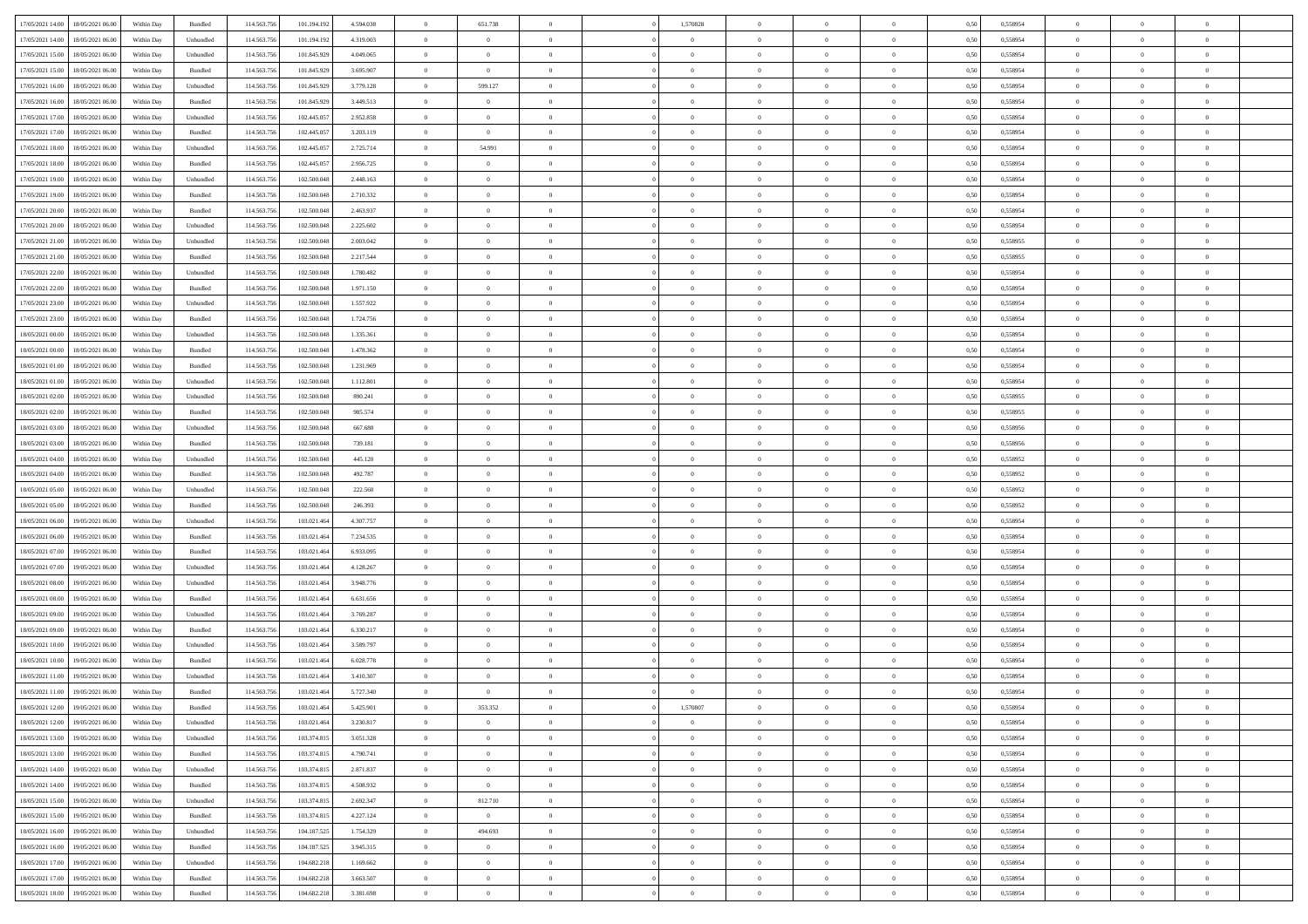|                                              |            |           |             |             |           | $\overline{0}$ |                |                |                | $\theta$       |                | $\theta$       |      |          | $\theta$       | $\theta$       | $\overline{0}$ |  |
|----------------------------------------------|------------|-----------|-------------|-------------|-----------|----------------|----------------|----------------|----------------|----------------|----------------|----------------|------|----------|----------------|----------------|----------------|--|
| 17/05/2021 14:00 18/05/2021 06:00            | Within Day | Bundled   | 114.563.75  | 101.194.192 | 4.594.038 |                | 651.738        |                | 1,570828       |                |                |                | 0,50 | 0,558954 |                |                |                |  |
| 17/05/2021 14:00<br>18/05/2021 06:00         | Within Day | Unbundled | 114.563.75  | 101.194.19  | 4.319.003 | $\bf{0}$       | $\bf{0}$       | $\bf{0}$       | $\bf{0}$       | $\overline{0}$ | $\overline{0}$ | $\bf{0}$       | 0,50 | 0,558954 | $\,$ 0 $\,$    | $\bf{0}$       | $\overline{0}$ |  |
| 17/05/2021 15:00<br>18/05/2021 06:00         | Within Day | Unbundled | 114,563,75  | 101.845.929 | 4.049.065 | $\overline{0}$ | $\bf{0}$       | $\overline{0}$ | $\bf{0}$       | $\bf{0}$       | $\overline{0}$ | $\bf{0}$       | 0.50 | 0.558954 | $\bf{0}$       | $\overline{0}$ | $\overline{0}$ |  |
| 17/05/2021 15:00<br>18/05/2021 06:00         | Within Day | Bundled   | 114.563.75  | 101.845.929 | 3.695.907 | $\overline{0}$ | $\overline{0}$ | $\overline{0}$ | $\overline{0}$ | $\theta$       | $\overline{0}$ | $\bf{0}$       | 0,50 | 0,558954 | $\theta$       | $\theta$       | $\overline{0}$ |  |
|                                              |            |           |             |             |           |                |                |                |                |                |                |                |      |          |                |                |                |  |
| 17/05/2021 16:00<br>18/05/2021 06:00         | Within Day | Unbundled | 114.563.75  | 101.845.929 | 3.779.128 | $\bf{0}$       | 599.127        | $\bf{0}$       | $\overline{0}$ | $\bf{0}$       | $\overline{0}$ | $\bf{0}$       | 0,50 | 0,558954 | $\,$ 0 $\,$    | $\bf{0}$       | $\overline{0}$ |  |
| 17/05/2021 16:00<br>18/05/2021 06:00         | Within Day | Bundled   | 114,563,75  | 101.845.929 | 3.449.513 | $\overline{0}$ | $\overline{0}$ | $\overline{0}$ | $\bf{0}$       | $\overline{0}$ | $\theta$       | $\bf{0}$       | 0.50 | 0.558954 | $\,$ 0 $\,$    | $\theta$       | $\overline{0}$ |  |
| 17/05/2021 17:00<br>18/05/2021 06:00         | Within Day | Unbundled | 114.563.75  | 102.445.057 | 2.952.858 | $\overline{0}$ | $\overline{0}$ | $\overline{0}$ | $\overline{0}$ | $\overline{0}$ | $\overline{0}$ | $\bf{0}$       | 0,50 | 0,558954 | $\,$ 0 $\,$    | $\theta$       | $\overline{0}$ |  |
|                                              |            |           |             |             |           |                |                |                |                |                |                |                |      |          |                |                |                |  |
| 17/05/2021 17:00<br>18/05/2021 06:00         | Within Day | Bundled   | 114.563.75  | 102.445.05  | 3.203.119 | $\bf{0}$       | $\bf{0}$       | $\bf{0}$       | $\overline{0}$ | $\overline{0}$ | $\overline{0}$ | $\bf{0}$       | 0,50 | 0,558954 | $\,$ 0 $\,$    | $\bf{0}$       | $\overline{0}$ |  |
| 17/05/2021 18:00<br>18/05/2021 06:00         | Within Day | Unbundled | 114,563,75  | 102.445.05  | 2.725.714 | $\overline{0}$ | 54.991         | $\overline{0}$ | $\bf{0}$       | $\overline{0}$ | $\overline{0}$ | $\bf{0}$       | 0.50 | 0.558954 | $\bf{0}$       | $\overline{0}$ | $\overline{0}$ |  |
| 17/05/2021 18:00<br>18/05/2021 06:00         | Within Day | Bundled   | 114.563.75  | 102.445.057 | 2.956.725 | $\bf{0}$       | $\bf{0}$       | $\overline{0}$ | $\overline{0}$ | $\overline{0}$ | $\overline{0}$ | $\bf{0}$       | 0,50 | 0,558954 | $\,$ 0 $\,$    | $\,$ 0 $\,$    | $\overline{0}$ |  |
| 17/05/2021 19:00<br>18/05/2021 06:00         | Within Day | Unbundled | 114.563.75  | 102.500.048 | 2.448.163 | $\bf{0}$       | $\bf{0}$       | $\bf{0}$       | $\bf{0}$       | $\overline{0}$ | $\overline{0}$ | $\bf{0}$       | 0,50 | 0,558954 | $\,$ 0 $\,$    | $\bf{0}$       | $\overline{0}$ |  |
|                                              |            | Bundled   | 114.563.75  | 102.500.048 |           |                |                | $\overline{0}$ |                |                | $\overline{0}$ |                |      | 0.558954 |                | $\,$ 0 $\,$    | $\,$ 0         |  |
| 17/05/2021 19:00<br>18/05/2021 06:00         | Within Day |           |             |             | 2.710.332 | $\overline{0}$ | $\bf{0}$       |                | $\overline{0}$ | $\bf{0}$       |                | $\bf{0}$       | 0.50 |          | $\bf{0}$       |                |                |  |
| 17/05/2021 20:00<br>18/05/2021 06:00         | Within Day | Bundled   | 114.563.75  | 102.500.048 | 2.463.937 | $\overline{0}$ | $\overline{0}$ | $\overline{0}$ | $\theta$       | $\theta$       | $\overline{0}$ | $\bf{0}$       | 0,50 | 0,558954 | $\,$ 0 $\,$    | $\theta$       | $\overline{0}$ |  |
| 17/05/2021 20:00<br>18/05/2021 06:00         | Within Day | Unbundled | 114.563.75  | 102.500.048 | 2.225.602 | $\bf{0}$       | $\overline{0}$ | $\bf{0}$       | $\bf{0}$       | $\bf{0}$       | $\overline{0}$ | $\bf{0}$       | 0,50 | 0,558954 | $\,$ 0 $\,$    | $\bf{0}$       | $\overline{0}$ |  |
| 17/05/2021 21:00<br>18/05/2021 06:00         | Within Day | Unbundled | 114,563,75  | 102.500.048 | 2.003.042 | $\overline{0}$ | $\bf{0}$       | $\overline{0}$ | $\bf{0}$       | $\overline{0}$ | $\theta$       | $\bf{0}$       | 0.50 | 0.558955 | $\,$ 0 $\,$    | $\theta$       | $\overline{0}$ |  |
| 17/05/2021 21:00<br>18/05/2021 06:00         | Within Day | Bundled   | 114.563.75  | 102.500.048 | 2.217.544 | $\overline{0}$ | $\overline{0}$ | $\overline{0}$ | $\overline{0}$ | $\overline{0}$ | $\overline{0}$ | $\bf{0}$       | 0,50 | 0,558955 | $\theta$       | $\theta$       | $\overline{0}$ |  |
|                                              |            |           |             |             |           |                |                |                |                |                |                |                |      |          |                |                |                |  |
| 17/05/2021 22:00<br>18/05/2021 06:00         | Within Day | Unbundled | 114.563.75  | 102.500.048 | 1.780.482 | $\bf{0}$       | $\bf{0}$       | $\bf{0}$       | $\overline{0}$ | $\overline{0}$ | $\overline{0}$ | $\bf{0}$       | 0,50 | 0,558954 | $\,$ 0 $\,$    | $\bf{0}$       | $\overline{0}$ |  |
| 17/05/2021 22:00<br>18/05/2021 06:00         | Within Day | Bundled   | 114,563,75  | 102.500.048 | 1.971.150 | $\overline{0}$ | $\bf{0}$       | $\overline{0}$ | $\bf{0}$       | $\overline{0}$ | $\overline{0}$ | $\bf{0}$       | 0.50 | 0.558954 | $\bf{0}$       | $\overline{0}$ | $\overline{0}$ |  |
| 17/05/2021 23:00<br>18/05/2021 06:00         | Within Day | Unbundled | 114.563.75  | 102.500.048 | 1.557.922 | $\bf{0}$       | $\bf{0}$       | $\overline{0}$ | $\overline{0}$ | $\overline{0}$ | $\overline{0}$ | $\bf{0}$       | 0,50 | 0,558954 | $\,$ 0 $\,$    | $\bf{0}$       | $\overline{0}$ |  |
| 17/05/2021 23:00<br>18/05/2021 06:00         | Within Day | Bundled   | 114.563.75  | 102.500.048 | 1.724.756 | $\bf{0}$       | $\bf{0}$       | $\bf{0}$       | $\bf{0}$       | $\overline{0}$ | $\overline{0}$ | $\bf{0}$       | 0,50 | 0,558954 | $\,$ 0 $\,$    | $\bf{0}$       | $\overline{0}$ |  |
|                                              |            | Unbundled | 114.563.75  | 102.500.048 | 1.335.361 |                | $\bf{0}$       | $\overline{0}$ |                | $\bf{0}$       | $\overline{0}$ |                | 0.50 | 0.558954 | $\bf{0}$       | $\overline{0}$ | $\,$ 0         |  |
| 18/05/2021 00:00<br>18/05/2021 06:00         | Within Day |           |             |             |           | $\overline{0}$ |                |                | $\overline{0}$ |                |                | $\bf{0}$       |      |          |                |                |                |  |
| 18/05/2021 00:00<br>18/05/2021 06:00         | Within Day | Bundled   | 114.563.75  | 102.500.048 | 1.478.362 | $\overline{0}$ | $\overline{0}$ | $\overline{0}$ | $\overline{0}$ | $\theta$       | $\overline{0}$ | $\bf{0}$       | 0,50 | 0,558954 | $\theta$       | $\theta$       | $\overline{0}$ |  |
| 18/05/2021 01:00<br>18/05/2021 06:00         | Within Day | Bundled   | 114.563.75  | 102.500.048 | 1.231.969 | $\bf{0}$       | $\bf{0}$       | $\bf{0}$       | $\bf{0}$       | $\overline{0}$ | $\overline{0}$ | $\bf{0}$       | 0,50 | 0,558954 | $\,$ 0 $\,$    | $\bf{0}$       | $\overline{0}$ |  |
| 18/05/2021 01:00<br>18/05/2021 06:00         | Within Day | Unbundled | 114,563,75  | 102.500.048 | 1.112.801 | $\overline{0}$ | $\bf{0}$       | $\overline{0}$ | $\bf{0}$       | $\overline{0}$ | $\theta$       | $\bf{0}$       | 0.50 | 0.558954 | $\,$ 0 $\,$    | $\theta$       | $\overline{0}$ |  |
| 18/05/2021 02:00<br>18/05/2021 06:00         | Within Day | Unbundled | 114.563.75  | 102.500.048 | 890.241   | $\overline{0}$ | $\overline{0}$ | $\overline{0}$ | $\overline{0}$ | $\overline{0}$ | $\overline{0}$ | $\bf{0}$       | 0,50 | 0,558955 | $\,$ 0 $\,$    | $\theta$       | $\overline{0}$ |  |
|                                              |            |           |             |             |           |                |                |                |                |                |                |                |      |          |                |                |                |  |
| 18/05/2021 02:00<br>18/05/2021 06:00         | Within Day | Bundled   | 114.563.75  | 102.500.048 | 985.574   | $\bf{0}$       | $\overline{0}$ | $\bf{0}$       | $\overline{0}$ | $\overline{0}$ | $\overline{0}$ | $\bf{0}$       | 0,50 | 0,558955 | $\,$ 0 $\,$    | $\bf{0}$       | $\overline{0}$ |  |
| 18/05/2021 03:00<br>18/05/2021 06:00         | Within Day | Unbundled | 114,563,75  | 102.500.048 | 667.680   | $\overline{0}$ | $\bf{0}$       | $\overline{0}$ | $\bf{0}$       | $\overline{0}$ | $\overline{0}$ | $\bf{0}$       | 0.50 | 0.558956 | $\bf{0}$       | $\overline{0}$ | $\overline{0}$ |  |
| 18/05/2021 03:00<br>18/05/2021 06:00         | Within Day | Bundled   | 114.563.75  | 102.500.048 | 739.181   | $\overline{0}$ | $\bf{0}$       | $\overline{0}$ | $\overline{0}$ | $\overline{0}$ | $\overline{0}$ | $\bf{0}$       | 0,50 | 0,558956 | $\theta$       | $\bf{0}$       | $\overline{0}$ |  |
| 18/05/2021 04:00<br>18/05/2021 06:00         | Within Day | Unbundled | 114.563.75  | 102.500.048 | 445.120   | $\bf{0}$       | $\bf{0}$       | $\bf{0}$       | $\bf{0}$       | $\overline{0}$ | $\overline{0}$ | $\bf{0}$       | 0,50 | 0,558952 | $\,$ 0 $\,$    | $\bf{0}$       | $\overline{0}$ |  |
| 18/05/2021 04:00<br>18/05/2021 06:00         | Within Day | Bundled   | 114,563,75  | 102.500.048 | 492.787   | $\overline{0}$ | $\bf{0}$       | $\overline{0}$ | $\overline{0}$ | $\bf{0}$       | $\overline{0}$ | $\bf{0}$       | 0.50 | 0.558952 | $\bf{0}$       | $\,$ 0 $\,$    | $\,$ 0         |  |
|                                              |            |           |             |             |           |                |                |                |                |                |                |                |      |          |                |                |                |  |
| 18/05/2021 05:00<br>18/05/2021 06:00         | Within Day | Unbundled | 114.563.75  | 102.500.048 | 222.560   | $\overline{0}$ | $\overline{0}$ | $\overline{0}$ | $\overline{0}$ | $\overline{0}$ | $\overline{0}$ | $\bf{0}$       | 0.50 | 0,558952 | $\theta$       | $\theta$       | $\overline{0}$ |  |
| 18/05/2021 05:00<br>18/05/2021 06:00         | Within Day | Bundled   | 114.563.75  | 102.500.048 | 246.393   | $\bf{0}$       | $\bf{0}$       | $\bf{0}$       | $\bf{0}$       | $\overline{0}$ | $\overline{0}$ | $\bf{0}$       | 0,50 | 0,558952 | $\,$ 0 $\,$    | $\bf{0}$       | $\overline{0}$ |  |
| 18/05/2021 06:00<br>19/05/2021 06:00         | Within Day | Unbundled | 114.563.75  | 103.021.464 | 4.307.757 | $\overline{0}$ | $\bf{0}$       | $\overline{0}$ | $\bf{0}$       | $\overline{0}$ | $\overline{0}$ | $\bf{0}$       | 0.50 | 0.558954 | $\,$ 0 $\,$    | $\bf{0}$       | $\overline{0}$ |  |
| 18/05/2021 06:00<br>19/05/2021 06:00         | Within Dav | Bundled   | 114.563.75  | 103.021.464 | 7.234.535 | $\overline{0}$ | $\overline{0}$ | $\overline{0}$ | $\overline{0}$ | $\overline{0}$ | $\overline{0}$ | $\bf{0}$       | 0.50 | 0,558954 | $\theta$       | $\theta$       | $\overline{0}$ |  |
| 18/05/2021 07:00<br>19/05/2021 06:00         | Within Day | Bundled   | 114.563.75  | 103.021.46  | 6.933.095 | $\bf{0}$       | $\bf{0}$       | $\bf{0}$       | $\bf{0}$       | $\overline{0}$ | $\overline{0}$ | $\bf{0}$       | 0,50 | 0,558954 | $\,$ 0 $\,$    | $\bf{0}$       | $\overline{0}$ |  |
|                                              |            |           |             |             |           |                |                |                |                |                |                |                |      |          |                |                |                |  |
| 18/05/2021 07:00<br>19/05/2021 06:00         | Within Day | Unbundled | 114,563,75  | 103.021.46  | 4.128.267 | $\overline{0}$ | $\bf{0}$       | $\overline{0}$ | $\bf{0}$       | $\overline{0}$ | $\overline{0}$ | $\bf{0}$       | 0.50 | 0.558954 | $\bf{0}$       | $\overline{0}$ | $\overline{0}$ |  |
| 18/05/2021 08:00<br>19/05/2021 06:00         | Within Day | Unbundled | 114.563.75  | 103.021.464 | 3.948.776 | $\overline{0}$ | $\overline{0}$ | $\overline{0}$ | $\overline{0}$ | $\overline{0}$ | $\overline{0}$ | $\bf{0}$       | 0.50 | 0,558954 | $\theta$       | $\theta$       | $\overline{0}$ |  |
| 18/05/2021 08:00<br>19/05/2021 06:00         | Within Day | Bundled   | 114.563.75  | 103.021.46  | 6.631.656 | $\bf{0}$       | $\bf{0}$       | $\bf{0}$       | $\bf{0}$       | $\overline{0}$ | $\overline{0}$ | $\bf{0}$       | 0,50 | 0,558954 | $\,$ 0 $\,$    | $\bf{0}$       | $\overline{0}$ |  |
| 18/05/2021 09:00<br>19/05/2021 06:00         | Within Day | Unbundled | 114.563.75  | 103.021.464 | 3.769.287 | $\overline{0}$ | $\bf{0}$       | $\overline{0}$ | $\overline{0}$ | $\bf{0}$       | $\overline{0}$ | $\bf{0}$       | 0.50 | 0.558954 | $\bf{0}$       | $\overline{0}$ | $\overline{0}$ |  |
| 18/05/2021 09:00<br>19/05/2021 06:00         | Within Dav | Bundled   | 114.563.75  | 103.021.464 | 6.330.217 | $\overline{0}$ | $\overline{0}$ | $\overline{0}$ | $\overline{0}$ | $\overline{0}$ | $\overline{0}$ | $\bf{0}$       | 0.50 | 0.558954 | $\theta$       | $\theta$       | $\overline{0}$ |  |
|                                              |            |           |             |             |           |                |                |                |                |                |                |                |      |          |                |                |                |  |
| 18/05/2021 10:00<br>19/05/2021 06:00         | Within Day | Unbundled | 114.563.75  | 103.021.46  | 3.589.797 | $\bf{0}$       | $\bf{0}$       | $\bf{0}$       | $\overline{0}$ | $\overline{0}$ | $\overline{0}$ | $\bf{0}$       | 0,50 | 0,558954 | $\,$ 0 $\,$    | $\bf{0}$       | $\overline{0}$ |  |
| 18/05/2021 10:00<br>19/05/2021 06:00         | Within Day | Bundled   | 114,563,75  | 103.021.46  | 6.028.778 | $\overline{0}$ | $\bf{0}$       | $\overline{0}$ | $\bf{0}$       | $\overline{0}$ | $\overline{0}$ | $\bf{0}$       | 0.50 | 0.558954 | $\bf{0}$       | $\theta$       | $\overline{0}$ |  |
| 18/05/2021 11:00<br>19/05/2021 06:00         | Within Dav | Unbundled | 114.563.75  | 103.021.464 | 3.410.307 | $\overline{0}$ | $\overline{0}$ | $\overline{0}$ | $\overline{0}$ | $\theta$       | $\overline{0}$ | $\overline{0}$ | 0.5( | 0,558954 | $\theta$       | $\theta$       | $\overline{0}$ |  |
| 18/05/2021 11:00<br>19/05/2021 06:00         | Within Day | Bundled   | 114.563.75  | 103.021.464 | 5.727.340 | $\bf{0}$       | $\bf{0}$       | $\bf{0}$       | $\bf{0}$       | $\bf{0}$       | $\overline{0}$ | $\bf{0}$       | 0,50 | 0,558954 | $\overline{0}$ | $\overline{0}$ | $\overline{0}$ |  |
| $18/05/2021\ 12.00 \qquad 19/05/2021\ 06.00$ | Within Day | Bundled   | 114.563.756 | 103.021.464 | 5.425.901 | $\bf{0}$       | 353.352        |                | 1,570807       |                |                |                | 0,50 | 0.558954 | $\bf{0}$       | $\overline{0}$ |                |  |
|                                              |            |           |             |             |           |                |                |                |                |                |                |                |      |          |                |                |                |  |
| 18/05/2021 12:00 19/05/2021 06:00            | Within Day | Unbundled | 114.563.756 | 103.021.464 | 3.230.817 | $\overline{0}$ | $\overline{0}$ | $\Omega$       | $\theta$       | $\overline{0}$ | $\overline{0}$ | $\bf{0}$       | 0,50 | 0,558954 | $\theta$       | $\theta$       | $\overline{0}$ |  |
| 18/05/2021 13:00<br>19/05/2021 06:00         | Within Day | Unbundled | 114.563.75  | 103.374.815 | 3.051.328 | $\overline{0}$ | $\bf{0}$       | $\overline{0}$ | $\overline{0}$ | $\bf{0}$       | $\overline{0}$ | $\bf{0}$       | 0,50 | 0,558954 | $\bf{0}$       | $\overline{0}$ | $\bf{0}$       |  |
| 18/05/2021 13:00 19/05/2021 06:00            | Within Day | Bundled   | 114,563,756 | 103.374.815 | 4.790.741 | $\overline{0}$ | $\overline{0}$ | $\overline{0}$ | $\overline{0}$ | $\mathbf{0}$   | $\overline{0}$ | $\,$ 0 $\,$    | 0.50 | 0.558954 | $\overline{0}$ | $\bf{0}$       | $\,$ 0 $\,$    |  |
| 18/05/2021 14:00 19/05/2021 06:00            | Within Dav | Unbundled | 114.563.756 | 103.374.815 | 2.871.837 | $\overline{0}$ | $\overline{0}$ | $\overline{0}$ | $\overline{0}$ | $\overline{0}$ | $\overline{0}$ | $\bf{0}$       | 0,50 | 0,558954 | $\overline{0}$ | $\theta$       | $\overline{0}$ |  |
|                                              |            |           |             |             |           |                |                |                |                |                |                |                |      |          |                |                |                |  |
| 18/05/2021 14:00<br>19/05/2021 06:00         | Within Day | Bundled   | 114.563.75  | 103.374.815 | 4.508.932 | $\overline{0}$ | $\overline{0}$ | $\overline{0}$ | $\overline{0}$ | $\bf{0}$       | $\overline{0}$ | $\bf{0}$       | 0,50 | 0,558954 | $\bf{0}$       | $\overline{0}$ | $\overline{0}$ |  |
| 18/05/2021 15:00<br>19/05/2021 06:00         | Within Day | Unbundled | 114.563.756 | 103.374.815 | 2.692.347 | $\overline{0}$ | 812.710        | $\overline{0}$ | $\overline{0}$ | $\overline{0}$ | $\overline{0}$ | $\bf{0}$       | 0.50 | 0.558954 | $\,$ 0 $\,$    | $\overline{0}$ | $\overline{0}$ |  |
| 18/05/2021 15:00<br>19/05/2021 06:00         | Within Dav | Bundled   | 114.563.756 | 103.374.815 | 4.227.124 | $\overline{0}$ | $\overline{0}$ | $\overline{0}$ | $\overline{0}$ | $\overline{0}$ | $\overline{0}$ | $\bf{0}$       | 0.50 | 0,558954 | $\overline{0}$ | $\theta$       | $\overline{0}$ |  |
| 18/05/2021 16:00<br>19/05/2021 06:00         | Within Day | Unbundled | 114.563.75  | 104.187.525 | 1.754.329 | $\overline{0}$ | 494.693        | $\overline{0}$ | $\overline{0}$ | $\overline{0}$ | $\overline{0}$ | $\bf{0}$       | 0,50 | 0,558954 | $\bf{0}$       | $\overline{0}$ | $\overline{0}$ |  |
| 18/05/2021 16:00<br>19/05/2021 06:00         | Within Day | Bundled   | 114.563.75  | 104.187.525 | 3.945.315 | $\overline{0}$ | $\overline{0}$ | $\overline{0}$ | $\overline{0}$ | $\overline{0}$ | $\overline{0}$ | $\bf{0}$       | 0.50 | 0.558954 | $\mathbf{0}$   | $\bf{0}$       | $\,$ 0         |  |
|                                              |            |           |             |             |           |                |                |                |                |                |                |                |      |          |                |                |                |  |
| 18/05/2021 17:00<br>19/05/2021 06:00         | Within Dav | Unbundled | 114.563.756 | 104.682.218 | 1.169.662 | $\overline{0}$ | $\overline{0}$ | $\overline{0}$ | $\overline{0}$ | $\overline{0}$ | $\overline{0}$ | $\bf{0}$       | 0,50 | 0,558954 | $\overline{0}$ | $\theta$       | $\overline{0}$ |  |
| 18/05/2021 17:00<br>19/05/2021 06:00         | Within Day | Bundled   | 114.563.75  | 104.682.218 | 3.663.507 | $\overline{0}$ | $\bf{0}$       | $\overline{0}$ | $\bf{0}$       | $\overline{0}$ | $\overline{0}$ | $\bf{0}$       | 0,50 | 0,558954 | $\bf{0}$       | $\,$ 0 $\,$    | $\bf{0}$       |  |
| 18/05/2021 18:00 19/05/2021 06:00            | Within Day | Bundled   | 114.563.756 | 104.682.218 | 3.381.698 | $\overline{0}$ | $\bf{0}$       | $\overline{0}$ | $\overline{0}$ | $\,$ 0 $\,$    | $\overline{0}$ | $\bf{0}$       | 0,50 | 0,558954 | $\overline{0}$ | $\,$ 0 $\,$    | $\,$ 0 $\,$    |  |
|                                              |            |           |             |             |           |                |                |                |                |                |                |                |      |          |                |                |                |  |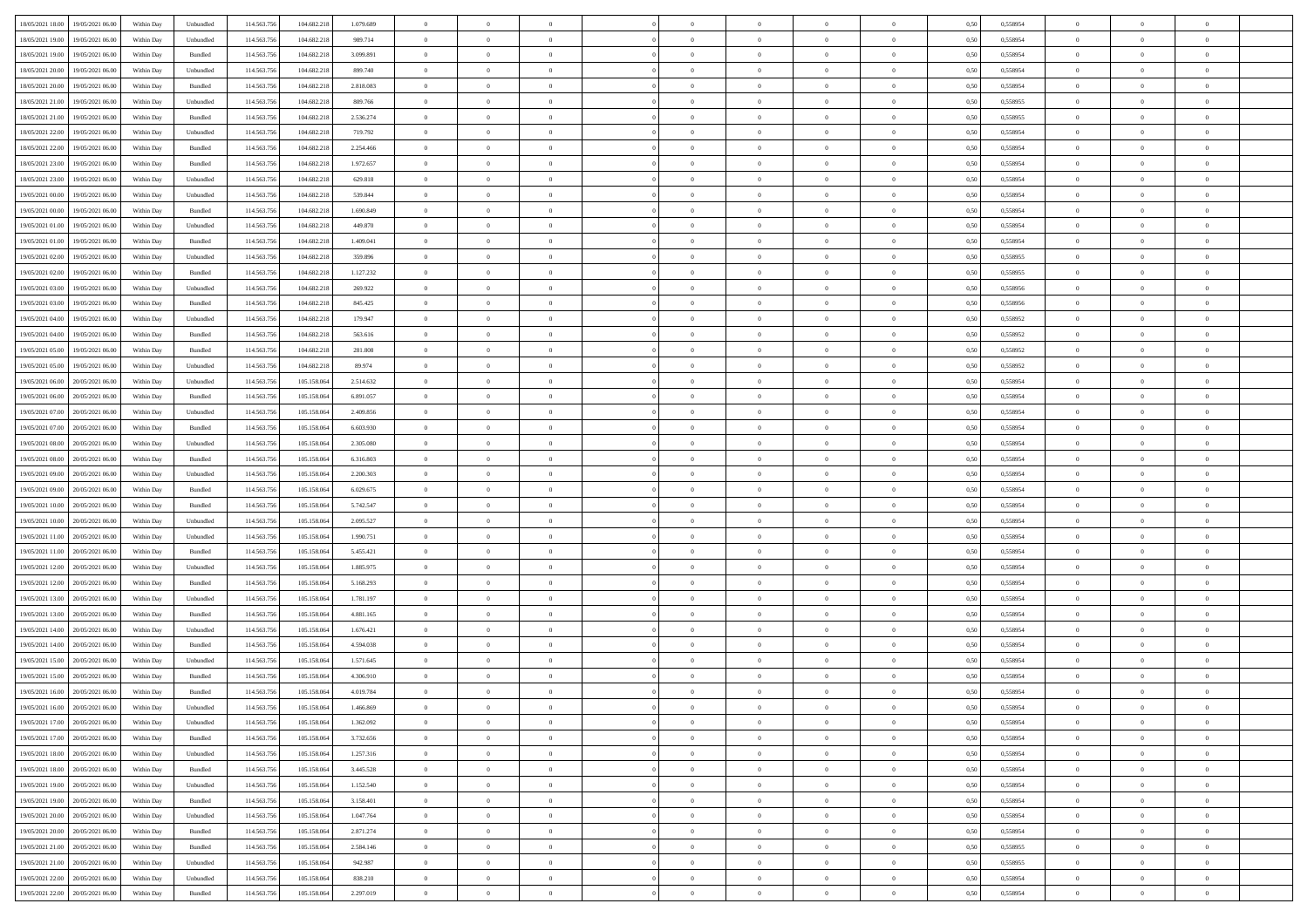| 18/05/2021 18:00 19/05/2021 06:00            | Within Day | Unbundled | 114.563.75  | 104.682.218 | 1.079.689 | $\overline{0}$ | $\overline{0}$ |                | $\overline{0}$ | $\bf{0}$       |                | $\bf{0}$       | 0,50 | 0,558954 | $\theta$       | $\theta$       | $\overline{0}$ |  |
|----------------------------------------------|------------|-----------|-------------|-------------|-----------|----------------|----------------|----------------|----------------|----------------|----------------|----------------|------|----------|----------------|----------------|----------------|--|
|                                              |            |           |             |             |           |                |                |                |                |                |                |                |      |          |                |                |                |  |
| 18/05/2021 19:00<br>19/05/2021 06:00         | Within Day | Unbundled | 114.563.75  | 104.682.218 | 989.714   | $\bf{0}$       | $\overline{0}$ | $\bf{0}$       | $\bf{0}$       | $\overline{0}$ | $\overline{0}$ | $\bf{0}$       | 0,50 | 0,558954 | $\,$ 0 $\,$    | $\bf{0}$       | $\overline{0}$ |  |
| 18/05/2021 19:00<br>19/05/2021 06:00         | Within Day | Bundled   | 114,563,75  | 104.682.218 | 3.099.891 | $\overline{0}$ | $\bf{0}$       | $\overline{0}$ | $\bf{0}$       | $\bf{0}$       | $\overline{0}$ | $\bf{0}$       | 0.50 | 0.558954 | $\bf{0}$       | $\overline{0}$ | $\overline{0}$ |  |
| 18/05/2021 20:00<br>19/05/2021 06:00         | Within Day | Unbundled | 114.563.75  | 104.682.218 | 899.740   | $\overline{0}$ | $\bf{0}$       | $\overline{0}$ | $\theta$       | $\theta$       | $\overline{0}$ | $\bf{0}$       | 0,50 | 0,558954 | $\theta$       | $\theta$       | $\overline{0}$ |  |
|                                              |            |           |             |             |           |                |                |                |                |                |                |                |      |          |                |                |                |  |
| 18/05/2021 20:00<br>19/05/2021 06:00         | Within Day | Bundled   | 114.563.75  | 104.682.218 | 2.818.083 | $\overline{0}$ | $\overline{0}$ | $\bf{0}$       | $\overline{0}$ | $\theta$       | $\overline{0}$ | $\bf{0}$       | 0,50 | 0,558954 | $\bf{0}$       | $\bf{0}$       | $\overline{0}$ |  |
| 18/05/2021 21:00<br>19/05/2021 06:00         | Within Day | Unbundled | 114,563,75  | 104.682.218 | 809,766   | $\overline{0}$ | $\overline{0}$ | $\overline{0}$ | $\bf{0}$       | $\overline{0}$ | $\theta$       | $\bf{0}$       | 0.50 | 0.558955 | $\bf{0}$       | $\theta$       | $\overline{0}$ |  |
| 18/05/2021 21:00<br>19/05/2021 06:00         | Within Day | Bundled   | 114.563.75  | 104.682.218 | 2.536.274 | $\overline{0}$ | $\overline{0}$ | $\overline{0}$ | $\overline{0}$ | $\overline{0}$ | $\overline{0}$ | $\bf{0}$       | 0,50 | 0,558955 | $\theta$       | $\theta$       | $\overline{0}$ |  |
| 18/05/2021 22:00<br>19/05/2021 06:00         | Within Day | Unbundled | 114.563.75  | 104.682.218 | 719.792   | $\bf{0}$       | $\overline{0}$ | $\bf{0}$       | $\overline{0}$ | $\overline{0}$ | $\overline{0}$ | $\bf{0}$       | 0,50 | 0,558954 | $\,$ 0 $\,$    | $\bf{0}$       | $\overline{0}$ |  |
| 18/05/2021 22:00<br>19/05/2021 06:00         | Within Day | Bundled   | 114,563,75  | 104.682.218 | 2.254.466 | $\overline{0}$ | $\bf{0}$       | $\overline{0}$ | $\bf{0}$       | $\overline{0}$ | $\overline{0}$ | $\bf{0}$       | 0.50 | 0.558954 | $\bf{0}$       | $\overline{0}$ | $\overline{0}$ |  |
|                                              |            |           |             |             |           |                |                |                |                |                |                |                |      |          |                |                |                |  |
| 18/05/2021 23:00<br>19/05/2021 06:00         | Within Day | Bundled   | 114.563.75  | 104.682.218 | 1.972.657 | $\overline{0}$ | $\bf{0}$       | $\overline{0}$ | $\overline{0}$ | $\overline{0}$ | $\overline{0}$ | $\bf{0}$       | 0,50 | 0,558954 | $\,$ 0 $\,$    | $\bf{0}$       | $\overline{0}$ |  |
| 18/05/2021 23:00<br>19/05/2021 06:00         | Within Day | Unbundled | 114.563.75  | 104.682.218 | 629.818   | $\bf{0}$       | $\overline{0}$ | $\bf{0}$       | $\bf{0}$       | $\bf{0}$       | $\overline{0}$ | $\bf{0}$       | 0,50 | 0,558954 | $\,$ 0 $\,$    | $\bf{0}$       | $\overline{0}$ |  |
| 19/05/2021 00:00<br>19/05/2021 06:00         | Within Day | Unbundled | 114,563,75  | 104.682.218 | 539,844   | $\overline{0}$ | $\bf{0}$       | $\overline{0}$ | $\bf{0}$       | $\bf{0}$       | $\overline{0}$ | $\bf{0}$       | 0.50 | 0.558954 | $\bf{0}$       | $\overline{0}$ | $\bf{0}$       |  |
| 19/05/2021 00:00<br>19/05/2021 06:00         | Within Day | Bundled   | 114.563.75  | 104.682.218 | 1.690.849 | $\overline{0}$ | $\overline{0}$ | $\overline{0}$ | $\theta$       | $\theta$       | $\overline{0}$ | $\bf{0}$       | 0,50 | 0,558954 | $\,$ 0 $\,$    | $\theta$       | $\overline{0}$ |  |
|                                              |            |           |             |             |           |                | $\overline{0}$ |                | $\overline{0}$ |                | $\overline{0}$ |                |      |          |                | $\bf{0}$       | $\overline{0}$ |  |
| 19/05/2021 01:00<br>19/05/2021 06:00         | Within Day | Unbundled | 114.563.75  | 104.682.218 | 449.870   | $\bf{0}$       |                | $\bf{0}$       |                | $\bf{0}$       |                | $\bf{0}$       | 0,50 | 0,558954 | $\bf{0}$       |                |                |  |
| 19/05/2021 01:00<br>19/05/2021 06:00         | Within Day | Bundled   | 114,563,75  | 104.682.218 | 1.409.041 | $\overline{0}$ | $\overline{0}$ | $\overline{0}$ | $\bf{0}$       | $\overline{0}$ | $\theta$       | $\bf{0}$       | 0.50 | 0.558954 | $\bf{0}$       | $\theta$       | $\overline{0}$ |  |
| 19/05/2021 02:00<br>19/05/2021 06:00         | Within Day | Unbundled | 114.563.75  | 104.682.218 | 359.896   | $\overline{0}$ | $\overline{0}$ | $\overline{0}$ | $\overline{0}$ | $\overline{0}$ | $\overline{0}$ | $\bf{0}$       | 0,50 | 0,558955 | $\theta$       | $\theta$       | $\overline{0}$ |  |
| 19/05/2021 02:00<br>19/05/2021 06:00         | Within Day | Bundled   | 114.563.75  | 104.682.218 | 1.127.232 | $\bf{0}$       | $\overline{0}$ | $\bf{0}$       | $\overline{0}$ | $\bf{0}$       | $\overline{0}$ | $\bf{0}$       | 0,50 | 0,558955 | $\,$ 0 $\,$    | $\bf{0}$       | $\overline{0}$ |  |
| 19/05/2021 03:00<br>19/05/2021 06:00         | Within Day | Unbundled | 114,563,75  | 104.682.218 | 269.922   | $\overline{0}$ | $\bf{0}$       | $\overline{0}$ | $\bf{0}$       | $\overline{0}$ | $\overline{0}$ | $\bf{0}$       | 0.50 | 0.558956 | $\bf{0}$       | $\overline{0}$ | $\overline{0}$ |  |
| 19/05/2021 03:00<br>19/05/2021 06:00         |            |           | 114.563.75  |             |           | $\overline{0}$ | $\bf{0}$       | $\overline{0}$ | $\overline{0}$ | $\overline{0}$ | $\overline{0}$ |                |      |          | $\,$ 0 $\,$    | $\bf{0}$       | $\overline{0}$ |  |
|                                              | Within Day | Bundled   |             | 104.682.218 | 845.425   |                |                |                |                |                |                | $\bf{0}$       | 0,50 | 0,558956 |                |                |                |  |
| 19/05/2021 04:00<br>19/05/2021 06:00         | Within Day | Unbundled | 114.563.75  | 104.682.218 | 179.947   | $\bf{0}$       | $\bf{0}$       | $\bf{0}$       | $\bf{0}$       | $\overline{0}$ | $\overline{0}$ | $\bf{0}$       | 0,50 | 0,558952 | $\,$ 0 $\,$    | $\bf{0}$       | $\overline{0}$ |  |
| 19/05/2021 04:00<br>19/05/2021 06:00         | Within Day | Bundled   | 114.563.75  | 104.682.218 | 563.616   | $\overline{0}$ | $\bf{0}$       | $\overline{0}$ | $\bf{0}$       | $\bf{0}$       | $\overline{0}$ | $\bf{0}$       | 0.50 | 0.558952 | $\bf{0}$       | $\overline{0}$ | $\overline{0}$ |  |
| 19/05/2021 05:00<br>19/05/2021 06:00         | Within Day | Bundled   | 114.563.75  | 104.682.218 | 281.808   | $\overline{0}$ | $\overline{0}$ | $\overline{0}$ | $\theta$       | $\theta$       | $\overline{0}$ | $\bf{0}$       | 0,50 | 0,558952 | $\theta$       | $\theta$       | $\overline{0}$ |  |
| 19/05/2021 05:00<br>19/05/2021 06:00         | Within Day | Unbundled | 114.563.75  | 104.682.218 | 89.974    | $\bf{0}$       | $\overline{0}$ | $\bf{0}$       | $\bf{0}$       | $\overline{0}$ | $\overline{0}$ | $\bf{0}$       | 0,50 | 0,558952 | $\,$ 0 $\,$    | $\bf{0}$       | $\overline{0}$ |  |
| 19/05/2021 06:00<br>20/05/2021 06:00         | Within Day | Unbundled | 114,563,75  | 105.158.064 | 2.514.632 | $\overline{0}$ | $\overline{0}$ | $\overline{0}$ | $\bf{0}$       | $\overline{0}$ | $\theta$       | $\bf{0}$       | 0.50 | 0.558954 | $\bf{0}$       | $\theta$       | $\overline{0}$ |  |
|                                              |            |           |             |             |           | $\overline{0}$ | $\overline{0}$ | $\overline{0}$ | $\overline{0}$ | $\overline{0}$ | $\overline{0}$ |                |      |          | $\theta$       | $\theta$       | $\overline{0}$ |  |
| 19/05/2021 06:00<br>20/05/2021 06:00         | Within Day | Bundled   | 114.563.75  | 105.158.064 | 6.891.057 |                |                |                |                |                |                | $\bf{0}$       | 0,50 | 0,558954 |                |                |                |  |
| 19/05/2021 07:00<br>20/05/2021 06:00         | Within Day | Unbundled | 114.563.75  | 105.158.06  | 2.409.856 | $\bf{0}$       | $\overline{0}$ | $\bf{0}$       | $\overline{0}$ | $\bf{0}$       | $\overline{0}$ | $\bf{0}$       | 0,50 | 0,558954 | $\,$ 0 $\,$    | $\bf{0}$       | $\overline{0}$ |  |
| 19/05/2021 07:00<br>20/05/2021 06:00         | Within Day | Bundled   | 114,563,75  | 105.158.064 | 6.603.930 | $\overline{0}$ | $\bf{0}$       | $\overline{0}$ | $\bf{0}$       | $\overline{0}$ | $\overline{0}$ | $\bf{0}$       | 0.50 | 0.558954 | $\bf{0}$       | $\overline{0}$ | $\overline{0}$ |  |
| 19/05/2021 08:00<br>20/05/2021 06:00         | Within Day | Unbundled | 114.563.75  | 105.158.064 | 2.305.080 | $\overline{0}$ | $\overline{0}$ | $\overline{0}$ | $\overline{0}$ | $\overline{0}$ | $\overline{0}$ | $\bf{0}$       | 0,50 | 0,558954 | $\theta$       | $\theta$       | $\overline{0}$ |  |
| 19/05/2021 08:00<br>20/05/2021 06:00         | Within Day | Bundled   | 114.563.75  | 105.158.06  | 6.316.803 | $\bf{0}$       | $\bf{0}$       | $\bf{0}$       | $\bf{0}$       | $\overline{0}$ | $\overline{0}$ | $\bf{0}$       | 0,50 | 0,558954 | $\,$ 0 $\,$    | $\bf{0}$       | $\overline{0}$ |  |
| 19/05/2021 09:00<br>20/05/2021 06:00         | Within Day | Unbundled | 114,563,75  | 105.158.064 | 2.200.303 | $\overline{0}$ | $\bf{0}$       | $\overline{0}$ | $\bf{0}$       | $\bf{0}$       | $\overline{0}$ | $\bf{0}$       | 0.50 | 0.558954 | $\bf{0}$       | $\overline{0}$ | $\bf{0}$       |  |
| 19/05/2021 09:00<br>20/05/2021 06:00         | Within Day | Bundled   | 114.563.75  | 105.158.06  | 6.029.675 | $\overline{0}$ | $\overline{0}$ | $\overline{0}$ | $\overline{0}$ | $\overline{0}$ | $\overline{0}$ | $\bf{0}$       | 0.50 | 0.558954 | $\theta$       | $\theta$       | $\overline{0}$ |  |
|                                              |            |           |             |             |           |                | $\overline{0}$ |                |                | $\,$ 0 $\,$    | $\overline{0}$ |                |      |          |                |                |                |  |
| 19/05/2021 10:00<br>20/05/2021 06:00         | Within Day | Bundled   | 114.563.75  | 105.158.06  | 5.742.547 | $\bf{0}$       |                | $\bf{0}$       | $\bf{0}$       |                |                | $\bf{0}$       | 0,50 | 0,558954 | $\,$ 0 $\,$    | $\bf{0}$       | $\overline{0}$ |  |
| 19/05/2021 10:00<br>20/05/2021 06:00         | Within Day | Unbundled | 114,563,75  | 105.158.064 | 2.095.527 | $\overline{0}$ | $\bf{0}$       | $\overline{0}$ | $\bf{0}$       | $\overline{0}$ | $\Omega$       | $\bf{0}$       | 0.50 | 0.558954 | $\,$ 0 $\,$    | $\bf{0}$       | $\overline{0}$ |  |
| 19/05/2021 11:00<br>20/05/2021 06:00         | Within Dav | Unbundled | 114.563.75  | 105.158.064 | 1.990.751 | $\overline{0}$ | $\overline{0}$ | $\overline{0}$ | $\overline{0}$ | $\theta$       | $\overline{0}$ | $\bf{0}$       | 0.50 | 0,558954 | $\theta$       | $\theta$       | $\overline{0}$ |  |
| 19/05/2021 11:00<br>20/05/2021 06:00         | Within Day | Bundled   | 114.563.75  | 105.158.06  | 5.455.421 | $\bf{0}$       | $\bf{0}$       | $\bf{0}$       | $\bf{0}$       | $\bf{0}$       | $\overline{0}$ | $\bf{0}$       | 0,50 | 0,558954 | $\,$ 0 $\,$    | $\bf{0}$       | $\overline{0}$ |  |
| 19/05/2021 12:00<br>20/05/2021 06:00         | Within Day | Unbundled | 114,563,75  | 105.158.06  | 1.885.975 | $\overline{0}$ | $\bf{0}$       | $\overline{0}$ | $\bf{0}$       | $\overline{0}$ | $\overline{0}$ | $\bf{0}$       | 0.50 | 0.558954 | $\bf{0}$       | $\overline{0}$ | $\overline{0}$ |  |
| 19/05/2021 12:00<br>20/05/2021 06:00         | Within Dav | Bundled   | 114.563.75  | 105.158.06  | 5.168.293 | $\overline{0}$ | $\overline{0}$ | $\overline{0}$ | $\overline{0}$ | $\overline{0}$ | $\overline{0}$ | $\bf{0}$       | 0.50 | 0,558954 | $\theta$       | $\theta$       | $\overline{0}$ |  |
| 19/05/2021 13:00<br>20/05/2021 06:00         | Within Day | Unbundled | 114.563.75  | 105.158.06  | 1.781.197 | $\bf{0}$       | $\bf{0}$       | $\bf{0}$       | $\bf{0}$       | $\overline{0}$ | $\overline{0}$ | $\bf{0}$       | 0,50 | 0,558954 | $\,$ 0 $\,$    | $\bf{0}$       | $\overline{0}$ |  |
|                                              |            |           |             |             |           |                |                |                |                |                |                |                |      |          |                |                |                |  |
| 19/05/2021 13:00<br>20/05/2021 06:00         | Within Day | Bundled   | 114,563,75  | 105.158.064 | 4.881.165 | $\overline{0}$ | $\bf{0}$       | $\overline{0}$ | $\bf{0}$       | $\bf{0}$       | $\overline{0}$ | $\bf{0}$       | 0.50 | 0.558954 | $\bf{0}$       | $\overline{0}$ | $\overline{0}$ |  |
| 19/05/2021 14:00<br>20/05/2021 06:00         | Within Dav | Unbundled | 114.563.75  | 105.158.06  | 1.676.421 | $\overline{0}$ | $\overline{0}$ | $\overline{0}$ | $\overline{0}$ | $\overline{0}$ | $\overline{0}$ | $\bf{0}$       | 0.50 | 0.558954 | $\theta$       | $\theta$       | $\overline{0}$ |  |
| 19/05/2021 14:00<br>20/05/2021 06:00         | Within Day | Bundled   | 114.563.75  | 105.158.06  | 4.594.038 | $\bf{0}$       | $\bf{0}$       | $\bf{0}$       | $\bf{0}$       | $\overline{0}$ | $\overline{0}$ | $\bf{0}$       | 0,50 | 0,558954 | $\,$ 0 $\,$    | $\bf{0}$       | $\overline{0}$ |  |
| 19/05/2021 15:00<br>20/05/2021 06:00         | Within Day | Unbundled | 114,563,75  | 105.158.06  | 1.571.645 | $\overline{0}$ | $\overline{0}$ | $\overline{0}$ | $\bf{0}$       | $\bf{0}$       | $\Omega$       | $\bf{0}$       | 0.50 | 0.558954 | $\,$ 0 $\,$    | $\theta$       | $\overline{0}$ |  |
| 19/05/2021 15:00<br>20/05/2021 06:00         | Within Dav | Bundled   | 114.563.75  | 105.158.06  | 4.306.910 | $\overline{0}$ | $\overline{0}$ | $\Omega$       | $\overline{0}$ | $\theta$       | $\overline{0}$ | $\overline{0}$ | 0.5( | 0,558954 | $\theta$       | $\theta$       | $\overline{0}$ |  |
| 19/05/2021 16:00<br>20/05/2021 06:00         | Within Day | Bundled   | 114.563.75  | 105.158.064 | 4.019.784 | $\bf{0}$       | $\bf{0}$       | $\overline{0}$ | $\bf{0}$       | $\bf{0}$       | $\overline{0}$ | $\bf{0}$       | 0,50 | 0,558954 | $\overline{0}$ | $\overline{0}$ | $\overline{0}$ |  |
|                                              |            |           |             |             |           |                |                |                |                |                |                |                |      |          |                |                |                |  |
| $19/05/2021\ 16.00 \qquad 20/05/2021\ 06.00$ | Within Day | Unbundled | 114.563.756 | 105.158.064 | 1.466.869 | $\overline{0}$ | $\Omega$       |                | $\Omega$       |                |                |                | 0,50 | 0.558954 | $\theta$       | $\overline{0}$ |                |  |
| 19/05/2021 17:00 20/05/2021 06:00            | Within Day | Unbundled | 114.563.756 | 105.158.064 | 1.362.092 | $\overline{0}$ | $\overline{0}$ | $\Omega$       | $\theta$       | $\overline{0}$ | $\overline{0}$ | $\bf{0}$       | 0,50 | 0,558954 | $\theta$       | $\theta$       | $\overline{0}$ |  |
| 19/05/2021 17:00<br>20/05/2021 06:00         | Within Day | Bundled   | 114.563.75  | 105.158.064 | 3.732.656 | $\overline{0}$ | $\bf{0}$       | $\overline{0}$ | $\overline{0}$ | $\bf{0}$       | $\overline{0}$ | $\bf{0}$       | 0,50 | 0,558954 | $\bf{0}$       | $\overline{0}$ | $\bf{0}$       |  |
| 19/05/2021 18:00 20/05/2021 06:00            | Within Day | Unbundled | 114,563,756 | 105.158.064 | 1.257.316 | $\overline{0}$ | $\overline{0}$ | $\overline{0}$ | $\overline{0}$ | $\mathbf{0}$   | $\overline{0}$ | $\,$ 0 $\,$    | 0.50 | 0.558954 | $\overline{0}$ | $\bf{0}$       | $\bf{0}$       |  |
| 19/05/2021 18:00 20/05/2021 06:00            | Within Dav | Bundled   | 114.563.756 | 105.158.064 | 3.445.528 | $\overline{0}$ | $\overline{0}$ | $\overline{0}$ | $\overline{0}$ | $\overline{0}$ | $\overline{0}$ | $\bf{0}$       | 0,50 | 0,558954 | $\overline{0}$ | $\theta$       | $\overline{0}$ |  |
|                                              |            |           |             |             |           |                |                |                |                |                |                |                |      |          |                |                |                |  |
| 19/05/2021 19:00<br>20/05/2021 06:00         | Within Day | Unbundled | 114.563.75  | 105.158.064 | 1.152.540 | $\overline{0}$ | $\bf{0}$       | $\overline{0}$ | $\overline{0}$ | $\bf{0}$       | $\overline{0}$ | $\bf{0}$       | 0,50 | 0,558954 | $\bf{0}$       | $\overline{0}$ | $\overline{0}$ |  |
| 19/05/2021 19:00 20/05/2021 06:00            | Within Day | Bundled   | 114.563.756 | 105.158.064 | 3.158.401 | $\overline{0}$ | $\bf{0}$       | $\overline{0}$ | $\overline{0}$ | $\bf{0}$       | $\overline{0}$ | $\bf{0}$       | 0.50 | 0.558954 | $\,$ 0 $\,$    | $\overline{0}$ | $\,$ 0         |  |
| 19/05/2021 20:00<br>20/05/2021 06:00         | Within Dav | Unbundled | 114.563.756 | 105.158.064 | 1.047.764 | $\overline{0}$ | $\overline{0}$ | $\overline{0}$ | $\overline{0}$ | $\overline{0}$ | $\overline{0}$ | $\bf{0}$       | 0.50 | 0,558954 | $\overline{0}$ | $\theta$       | $\overline{0}$ |  |
| 19/05/2021 20:00<br>20/05/2021 06:00         | Within Day | Bundled   | 114.563.75  | 105.158.064 | 2.871.274 | $\overline{0}$ | $\overline{0}$ | $\overline{0}$ | $\overline{0}$ | $\overline{0}$ | $\overline{0}$ | $\bf{0}$       | 0,50 | 0,558954 | $\bf{0}$       | $\overline{0}$ | $\,$ 0         |  |
| 19/05/2021 21:00 20/05/2021 06:00            | Within Day | Bundled   | 114.563.75  | 105.158.064 | 2.584.146 | $\overline{0}$ | $\overline{0}$ | $\overline{0}$ | $\overline{0}$ | $\overline{0}$ | $\overline{0}$ | $\bf{0}$       | 0.50 | 0.558955 | $\mathbf{0}$   | $\bf{0}$       | $\,$ 0         |  |
| 19/05/2021 21:00 20/05/2021 06:00            | Within Dav | Unbundled | 114.563.756 | 105.158.064 | 942.987   | $\overline{0}$ | $\overline{0}$ | $\overline{0}$ | $\overline{0}$ | $\overline{0}$ | $\overline{0}$ | $\bf{0}$       | 0,50 | 0,558955 | $\overline{0}$ | $\theta$       | $\overline{0}$ |  |
|                                              |            |           |             |             |           |                |                |                |                |                |                |                |      |          |                |                |                |  |
| 19/05/2021 22:00<br>20/05/2021 06:00         | Within Day | Unbundled | 114.563.75  | 105.158.064 | 838.210   | $\overline{0}$ | $\bf{0}$       | $\overline{0}$ | $\overline{0}$ | $\overline{0}$ | $\overline{0}$ | $\bf{0}$       | 0,50 | 0,558954 | $\bf{0}$       | $\overline{0}$ | $\bf{0}$       |  |
| 19/05/2021 22:00 20/05/2021 06:00            | Within Day | Bundled   | 114.563.756 | 105.158.064 | 2.297.019 | $\overline{0}$ | $\bf{0}$       | $\overline{0}$ | $\overline{0}$ | $\,$ 0 $\,$    | $\overline{0}$ | $\bf{0}$       | 0,50 | 0,558954 | $\overline{0}$ | $\,$ 0 $\,$    | $\,$ 0 $\,$    |  |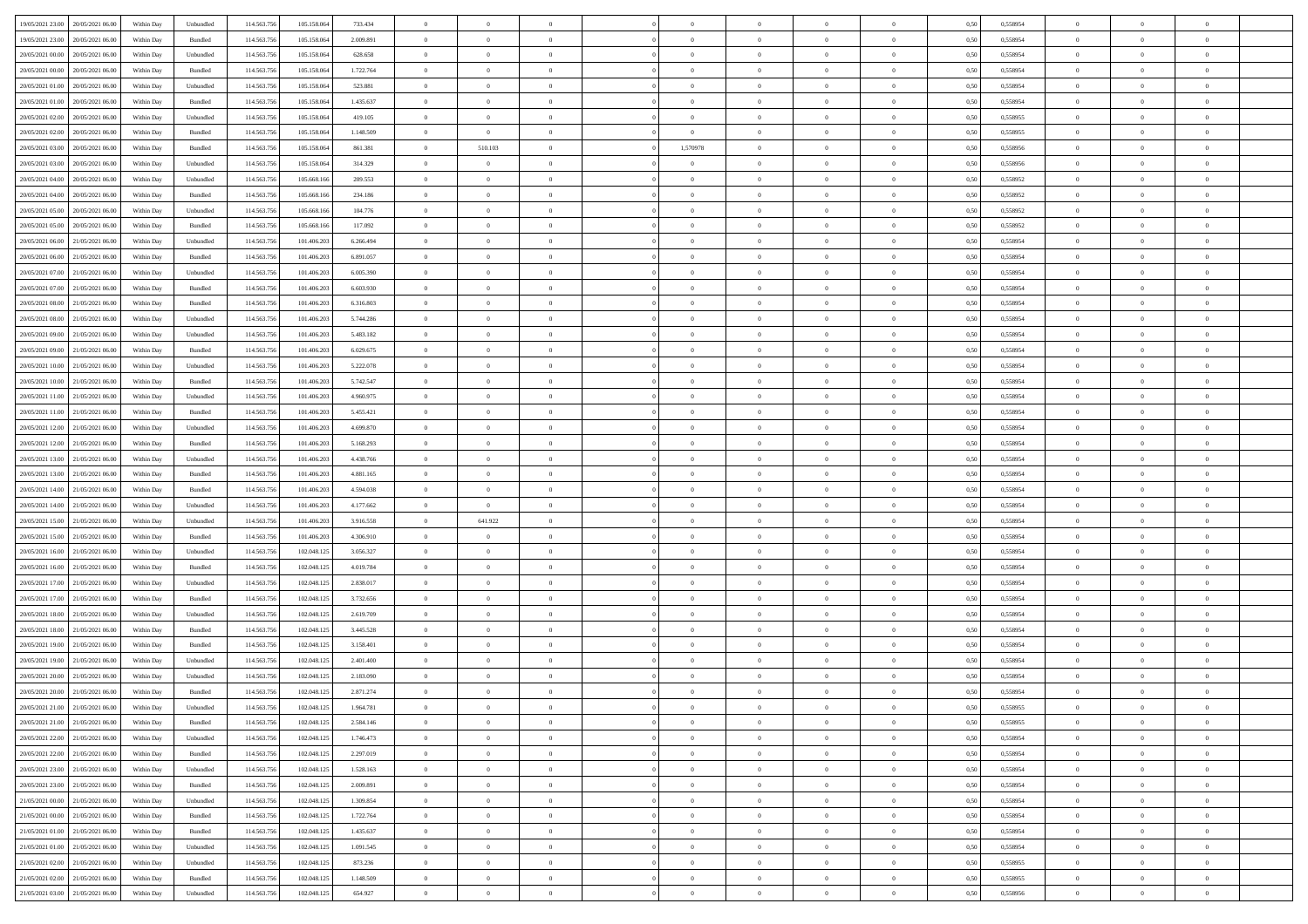| 19/05/2021 23:00 20/05/2021 06:00              | Within Day | Unbundled                   | 114.563.756 | 105.158.064 | 733.434   | $\overline{0}$ | $\overline{0}$ |                | $\overline{0}$ | $\theta$       |                | $\theta$       | 0,50 | 0,558954 | $\theta$       | $\theta$       | $\overline{0}$ |  |
|------------------------------------------------|------------|-----------------------------|-------------|-------------|-----------|----------------|----------------|----------------|----------------|----------------|----------------|----------------|------|----------|----------------|----------------|----------------|--|
| 19/05/2021 23:00<br>20/05/2021 06:00           | Within Day | Bundled                     | 114.563.75  | 105.158.06  | 2.009.891 | $\bf{0}$       | $\bf{0}$       | $\bf{0}$       | $\bf{0}$       | $\overline{0}$ | $\overline{0}$ | $\bf{0}$       | 0,50 | 0,558954 | $\,$ 0 $\,$    | $\bf{0}$       | $\overline{0}$ |  |
| 20/05/2021 00:00<br>20/05/2021 06:00           | Within Day | Unbundled                   | 114,563,75  | 105.158.064 | 628.658   | $\overline{0}$ | $\bf{0}$       | $\overline{0}$ | $\bf{0}$       | $\bf{0}$       | $\overline{0}$ | $\bf{0}$       | 0.50 | 0.558954 | $\bf{0}$       | $\overline{0}$ | $\overline{0}$ |  |
| 20/05/2021 00:00<br>20/05/2021 06:00           |            |                             | 114.563.75  |             |           | $\overline{0}$ | $\overline{0}$ | $\overline{0}$ | $\theta$       | $\theta$       | $\overline{0}$ |                |      |          | $\theta$       | $\theta$       | $\overline{0}$ |  |
|                                                | Within Day | Bundled                     |             | 105.158.064 | 1.722.764 |                |                |                |                |                |                | $\bf{0}$       | 0,50 | 0,558954 |                |                |                |  |
| 20/05/2021 01:00<br>20/05/2021 06:00           | Within Day | Unbundled                   | 114.563.75  | 105.158.06  | 523.881   | $\bf{0}$       | $\overline{0}$ | $\bf{0}$       | $\overline{0}$ | $\theta$       | $\overline{0}$ | $\bf{0}$       | 0,50 | 0,558954 | $\,$ 0 $\,$    | $\bf{0}$       | $\overline{0}$ |  |
| 20/05/2021 01:00<br>20/05/2021 06:00           | Within Day | Bundled                     | 114,563,75  | 105.158.064 | 1.435.637 | $\overline{0}$ | $\overline{0}$ | $\overline{0}$ | $\bf{0}$       | $\overline{0}$ | $\theta$       | $\bf{0}$       | 0.50 | 0.558954 | $\,$ 0 $\,$    | $\theta$       | $\overline{0}$ |  |
| 20/05/2021 02:00<br>20/05/2021 06:00           | Within Day | Unbundled                   | 114.563.75  | 105.158.064 | 419.105   | $\overline{0}$ | $\overline{0}$ | $\overline{0}$ | $\overline{0}$ | $\overline{0}$ | $\overline{0}$ | $\bf{0}$       | 0,50 | 0,558955 | $\theta$       | $\theta$       | $\overline{0}$ |  |
|                                                |            |                             |             |             |           |                |                |                |                |                |                |                |      |          |                |                |                |  |
| 20/05/2021 02:00<br>20/05/2021 06:00           | Within Day | Bundled                     | 114.563.75  | 105.158.06  | 1.148.509 | $\overline{0}$ | $\bf{0}$       | $\bf{0}$       | $\bf{0}$       | $\overline{0}$ | $\overline{0}$ | $\bf{0}$       | 0,50 | 0,558955 | $\,$ 0 $\,$    | $\bf{0}$       | $\overline{0}$ |  |
| 20/05/2021 03:00<br>20/05/2021 06:00           | Within Day | Bundled                     | 114,563,75  | 105.158.06  | 861.381   | $\overline{0}$ | 510.103        | $\overline{0}$ | 1,570978       | $\overline{0}$ | $\overline{0}$ | $\bf{0}$       | 0.50 | 0.558956 | $\bf{0}$       | $\overline{0}$ | $\overline{0}$ |  |
| 20/05/2021 03:00<br>20/05/2021 06:00           | Within Day | Unbundled                   | 114.563.75  | 105.158.064 | 314.329   | $\bf{0}$       | $\bf{0}$       | $\overline{0}$ | $\overline{0}$ | $\overline{0}$ | $\overline{0}$ | $\bf{0}$       | 0,50 | 0,558956 | $\,$ 0 $\,$    | $\bf{0}$       | $\overline{0}$ |  |
| 20/05/2021 04:00<br>20/05/2021 06:00           | Within Day | Unbundled                   | 114.563.75  | 105.668.16  | 209.553   | $\bf{0}$       | $\overline{0}$ | $\bf{0}$       | $\bf{0}$       | $\overline{0}$ | $\overline{0}$ | $\bf{0}$       | 0,50 | 0,558952 | $\,$ 0 $\,$    | $\bf{0}$       | $\overline{0}$ |  |
|                                                |            |                             |             |             |           |                |                |                |                |                |                |                |      |          |                |                |                |  |
| 20/05/2021 04:00<br>20/05/2021 06:00           | Within Day | Bundled                     | 114,563,75  | 105,668,166 | 234,186   | $\overline{0}$ | $\bf{0}$       | $\overline{0}$ | $\overline{0}$ | $\bf{0}$       | $\overline{0}$ | $\bf{0}$       | 0.50 | 0.558952 | $\bf{0}$       | $\overline{0}$ | $\,$ 0         |  |
| 20/05/2021 05:00<br>20/05/2021 06:00           | Within Day | Unbundled                   | 114.563.75  | 105.668.166 | 104.776   | $\overline{0}$ | $\overline{0}$ | $\overline{0}$ | $\theta$       | $\theta$       | $\overline{0}$ | $\bf{0}$       | 0,50 | 0,558952 | $\,$ 0 $\,$    | $\theta$       | $\overline{0}$ |  |
| 20/05/2021 05:00<br>20/05/2021 06:00           | Within Day | Bundled                     | 114.563.75  | 105.668.16  | 117.092   | $\bf{0}$       | $\overline{0}$ | $\bf{0}$       | $\bf{0}$       | $\bf{0}$       | $\overline{0}$ | $\bf{0}$       | 0,50 | 0,558952 | $\,$ 0 $\,$    | $\bf{0}$       | $\overline{0}$ |  |
|                                                |            |                             |             |             |           |                |                |                |                |                | $\theta$       |                |      |          |                |                |                |  |
| 20/05/2021 06:00<br>21/05/2021 06:00           | Within Day | Unbundled                   | 114,563,75  | 101.406.20  | 6.266.494 | $\overline{0}$ | $\bf{0}$       | $\overline{0}$ | $\bf{0}$       | $\overline{0}$ |                | $\bf{0}$       | 0.50 | 0.558954 | $\,$ 0 $\,$    | $\theta$       | $\overline{0}$ |  |
| 20/05/2021 06:00<br>21/05/2021 06:00           | Within Day | Bundled                     | 114.563.75  | 101.406.203 | 6.891.057 | $\overline{0}$ | $\overline{0}$ | $\overline{0}$ | $\overline{0}$ | $\overline{0}$ | $\overline{0}$ | $\bf{0}$       | 0,50 | 0,558954 | $\theta$       | $\theta$       | $\overline{0}$ |  |
| 20/05/2021 07:00<br>21/05/2021 06.00           | Within Day | Unbundled                   | 114.563.75  | 101.406.20  | 6.005.390 | $\bf{0}$       | $\bf{0}$       | $\bf{0}$       | $\overline{0}$ | $\overline{0}$ | $\overline{0}$ | $\bf{0}$       | 0,50 | 0,558954 | $\,$ 0 $\,$    | $\bf{0}$       | $\overline{0}$ |  |
| 20/05/2021 07:00<br>21/05/2021 06:00           | Within Day | Bundled                     | 114,563,75  | 101.406.20  | 6.603.930 | $\overline{0}$ | $\bf{0}$       | $\overline{0}$ | $\bf{0}$       | $\overline{0}$ | $\overline{0}$ | $\bf{0}$       | 0.50 | 0.558954 | $\bf{0}$       | $\overline{0}$ | $\overline{0}$ |  |
| 20/05/2021 08:00<br>21/05/2021 06:00           |            |                             | 114.563.75  |             |           | $\overline{0}$ | $\bf{0}$       | $\overline{0}$ | $\overline{0}$ | $\overline{0}$ | $\overline{0}$ |                |      |          | $\,$ 0 $\,$    | $\bf{0}$       | $\overline{0}$ |  |
|                                                | Within Day | Bundled                     |             | 101.406.203 | 6.316.803 |                |                |                |                |                |                | $\bf{0}$       | 0,50 | 0,558954 |                |                |                |  |
| 20/05/2021 08:00<br>21/05/2021 06.00           | Within Day | Unbundled                   | 114.563.75  | 101.406.20  | 5.744.286 | $\bf{0}$       | $\bf{0}$       | $\bf{0}$       | $\bf{0}$       | $\overline{0}$ | $\overline{0}$ | $\bf{0}$       | 0,50 | 0,558954 | $\,$ 0 $\,$    | $\bf{0}$       | $\overline{0}$ |  |
| 20/05/2021 09:00<br>21/05/2021 06:00           | Within Day | Unbundled                   | 114,563,75  | 101.406.20  | 5.483.182 | $\overline{0}$ | $\bf{0}$       | $\overline{0}$ | $\overline{0}$ | $\bf{0}$       | $\overline{0}$ | $\bf{0}$       | 0.50 | 0.558954 | $\bf{0}$       | $\overline{0}$ | $\,$ 0         |  |
| 20/05/2021 09:00<br>21/05/2021 06:00           | Within Day | Bundled                     | 114.563.75  | 101.406.203 | 6.029.675 | $\overline{0}$ | $\overline{0}$ | $\overline{0}$ | $\theta$       | $\theta$       | $\overline{0}$ | $\bf{0}$       | 0,50 | 0,558954 | $\theta$       | $\theta$       | $\overline{0}$ |  |
|                                                |            |                             |             |             |           |                | $\bf{0}$       |                |                | $\overline{0}$ | $\overline{0}$ |                |      |          | $\,$ 0 $\,$    | $\bf{0}$       | $\overline{0}$ |  |
| 20/05/2021 10:00<br>21/05/2021 06.00           | Within Day | Unbundled                   | 114.563.75  | 101.406.20  | 5.222.078 | $\bf{0}$       |                | $\bf{0}$       | $\bf{0}$       |                |                | $\bf{0}$       | 0,50 | 0,558954 |                |                |                |  |
| 20/05/2021 10:00<br>21/05/2021 06:00           | Within Day | Bundled                     | 114,563,75  | 101.406.20  | 5.742.547 | $\overline{0}$ | $\bf{0}$       | $\overline{0}$ | $\bf{0}$       | $\overline{0}$ | $\theta$       | $\bf{0}$       | 0.50 | 0.558954 | $\,$ 0 $\,$    | $\theta$       | $\overline{0}$ |  |
| 20/05/2021 11:00<br>21/05/2021 06:00           | Within Day | Unbundled                   | 114.563.75  | 101.406.203 | 4.960.975 | $\overline{0}$ | $\overline{0}$ | $\overline{0}$ | $\overline{0}$ | $\overline{0}$ | $\overline{0}$ | $\bf{0}$       | 0,50 | 0,558954 | $\theta$       | $\theta$       | $\overline{0}$ |  |
| 20/05/2021 11:00<br>21/05/2021 06.00           | Within Day | Bundled                     | 114.563.75  | 101.406.20  | 5.455.421 | $\bf{0}$       | $\overline{0}$ | $\bf{0}$       | $\overline{0}$ | $\overline{0}$ | $\overline{0}$ | $\bf{0}$       | 0,50 | 0,558954 | $\,$ 0 $\,$    | $\bf{0}$       | $\overline{0}$ |  |
| 20/05/2021 12:00<br>21/05/2021 06:00           | Within Day | Unbundled                   | 114.563.75  | 101.406.20  | 4.699.870 | $\overline{0}$ | $\bf{0}$       | $\overline{0}$ | $\bf{0}$       | $\overline{0}$ | $\overline{0}$ | $\bf{0}$       | 0.50 | 0.558954 | $\bf{0}$       | $\overline{0}$ | $\overline{0}$ |  |
|                                                |            |                             |             |             |           |                |                |                |                |                |                |                |      |          |                |                |                |  |
| 20/05/2021 12:00<br>21/05/2021 06:00           | Within Day | Bundled                     | 114.563.75  | 101.406.203 | 5.168.293 | $\overline{0}$ | $\bf{0}$       | $\overline{0}$ | $\overline{0}$ | $\overline{0}$ | $\overline{0}$ | $\bf{0}$       | 0,50 | 0,558954 | $\theta$       | $\theta$       | $\overline{0}$ |  |
| 20/05/2021 13:00<br>21/05/2021 06.00           | Within Day | Unbundled                   | 114.563.75  | 101.406.20  | 4.438.766 | $\bf{0}$       | $\bf{0}$       | $\bf{0}$       | $\bf{0}$       | $\overline{0}$ | $\overline{0}$ | $\bf{0}$       | 0,50 | 0,558954 | $\,$ 0 $\,$    | $\bf{0}$       | $\overline{0}$ |  |
| 20/05/2021 13:00<br>21/05/2021 06:00           | Within Day | Bundled                     | 114,563,75  | 101.406.20  | 4.881.165 | $\overline{0}$ | $\bf{0}$       | $\overline{0}$ | $\overline{0}$ | $\bf{0}$       | $\overline{0}$ | $\bf{0}$       | 0.50 | 0.558954 | $\bf{0}$       | $\overline{0}$ | $\,$ 0         |  |
| 20/05/2021 14:00<br>21/05/2021 06:00           | Within Day | Bundled                     | 114.563.75  | 101.406.203 | 4.594.038 | $\overline{0}$ | $\overline{0}$ | $\overline{0}$ | $\overline{0}$ | $\overline{0}$ | $\overline{0}$ | $\bf{0}$       | 0.50 | 0.558954 | $\theta$       | $\theta$       | $\overline{0}$ |  |
|                                                |            |                             |             |             |           |                |                |                |                |                |                |                |      |          |                |                |                |  |
| 20/05/2021 14:00<br>21/05/2021 06.00           | Within Day | Unbundled                   | 114.563.75  | 101.406.20  | 4.177.662 | $\bf{0}$       | $\bf{0}$       | $\bf{0}$       | $\bf{0}$       | $\overline{0}$ | $\overline{0}$ | $\bf{0}$       | 0,50 | 0,558954 | $\,$ 0 $\,$    | $\bf{0}$       | $\overline{0}$ |  |
| 20/05/2021 15:00<br>21/05/2021 06:00           | Within Day | Unbundled                   | 114,563,75  | 101.406.20  | 3.916.558 | $\overline{0}$ | 641.922        | $\overline{0}$ | $\bf{0}$       | $\overline{0}$ | $\overline{0}$ | $\bf{0}$       | 0.50 | 0.558954 | $\,$ 0 $\,$    | $\bf{0}$       | $\overline{0}$ |  |
| 20/05/2021 15:00<br>21/05/2021 06:00           | Within Dav | Bundled                     | 114.563.75  | 101.406.203 | 4.306.910 | $\overline{0}$ | $\overline{0}$ | $\overline{0}$ | $\overline{0}$ | $\overline{0}$ | $\overline{0}$ | $\bf{0}$       | 0.5( | 0,558954 | $\theta$       | $\theta$       | $\overline{0}$ |  |
| 20/05/2021 16:00<br>21/05/2021 06.00           | Within Day | Unbundled                   | 114.563.75  | 102.048.12: | 3.056.327 | $\bf{0}$       | $\bf{0}$       | $\bf{0}$       | $\bf{0}$       | $\overline{0}$ | $\overline{0}$ | $\bf{0}$       | 0,50 | 0,558954 | $\,$ 0 $\,$    | $\bf{0}$       | $\overline{0}$ |  |
| 20/05/2021 16:00<br>21/05/2021 06:00           | Within Day | Bundled                     | 114,563,75  | 102.048.12  | 4.019.784 | $\overline{0}$ | $\bf{0}$       | $\overline{0}$ | $\bf{0}$       | $\overline{0}$ | $\overline{0}$ | $\bf{0}$       | 0.50 | 0.558954 | $\bf{0}$       | $\overline{0}$ | $\overline{0}$ |  |
|                                                |            |                             |             |             |           |                |                |                |                |                |                |                |      |          |                |                |                |  |
| 20/05/2021 17:00<br>21/05/2021 06:00           | Within Dav | Unbundled                   | 114.563.75  | 102.048.12  | 2.838.017 | $\overline{0}$ | $\overline{0}$ | $\overline{0}$ | $\overline{0}$ | $\overline{0}$ | $\overline{0}$ | $\bf{0}$       | 0.50 | 0,558954 | $\theta$       | $\theta$       | $\overline{0}$ |  |
| 20/05/2021 17:00<br>21/05/2021 06.00           | Within Day | Bundled                     | 114.563.75  | 102.048.12: | 3.732.656 | $\bf{0}$       | $\bf{0}$       | $\bf{0}$       | $\bf{0}$       | $\overline{0}$ | $\overline{0}$ | $\bf{0}$       | 0,50 | 0,558954 | $\,$ 0 $\,$    | $\bf{0}$       | $\overline{0}$ |  |
| 20/05/2021 18:00<br>21/05/2021 06:00           | Within Day | Unbundled                   | 114.563.75  | 102.048.12  | 2.619.709 | $\overline{0}$ | $\bf{0}$       | $\overline{0}$ | $\overline{0}$ | $\bf{0}$       | $\overline{0}$ | $\bf{0}$       | 0.50 | 0.558954 | $\bf{0}$       | $\overline{0}$ | $\,$ 0         |  |
| 20/05/2021 18:00<br>21/05/2021 06:00           | Within Dav | Bundled                     | 114.563.75  | 102.048.125 | 3.445.528 | $\overline{0}$ | $\overline{0}$ | $\overline{0}$ | $\overline{0}$ | $\overline{0}$ | $\overline{0}$ | $\bf{0}$       | 0.50 | 0,558954 | $\theta$       | $\theta$       | $\overline{0}$ |  |
|                                                |            |                             |             |             |           |                |                |                |                |                |                |                |      |          |                |                |                |  |
| 20/05/2021 19:00<br>21/05/2021 06:00           | Within Day | Bundled                     | 114.563.75  | 102.048.12: | 3.158.401 | $\bf{0}$       | $\bf{0}$       | $\bf{0}$       | $\bf{0}$       | $\overline{0}$ | $\overline{0}$ | $\bf{0}$       | 0,50 | 0,558954 | $\,$ 0 $\,$    | $\bf{0}$       | $\overline{0}$ |  |
| 20/05/2021 19:00<br>21/05/2021 06:00           | Within Day | Unbundled                   | 114,563,75  | 102.048.12  | 2.401.400 | $\overline{0}$ | $\overline{0}$ | $\overline{0}$ | $\bf{0}$       | $\overline{0}$ | $\Omega$       | $\bf{0}$       | 0.50 | 0.558954 | $\bf{0}$       | $\theta$       | $\overline{0}$ |  |
| 20/05/2021 20:00<br>21/05/2021 06:00           | Within Dav | Unbundled                   | 114.563.75  | 102.048.12  | 2.183.090 | $\overline{0}$ | $\overline{0}$ | $\Omega$       | $\overline{0}$ | $\theta$       | $\overline{0}$ | $\overline{0}$ | 0.5( | 0,558954 | $\theta$       | $\theta$       | $\overline{0}$ |  |
| 20/05/2021 20:00<br>21/05/2021 06:00           | Within Day | Bundled                     | 114.563.75  | 102.048.12: | 2.871.274 | $\bf{0}$       | $\bf{0}$       | $\bf{0}$       | $\bf{0}$       | $\bf{0}$       | $\overline{0}$ | $\bf{0}$       | 0,50 | 0,558954 | $\overline{0}$ | $\overline{0}$ | $\overline{0}$ |  |
|                                                |            |                             |             |             |           |                |                |                |                |                |                |                |      |          |                |                |                |  |
| $20/05/2021\; 21.00 \qquad 21/05/2021\; 06.00$ | Within Day | $\ensuremath{\mathsf{Unb}}$ | 114.563.756 | 102.048.125 | 1.964.781 | $\bf{0}$       | $\theta$       |                | $\Omega$       |                |                |                | 0,50 | 0.558955 | $\theta$       | $\overline{0}$ |                |  |
| 20/05/2021 21:00 21/05/2021 06:00              | Within Day | Bundled                     | 114.563.756 | 102.048.125 | 2.584.146 | $\overline{0}$ | $\overline{0}$ | $\Omega$       | $\theta$       | $\overline{0}$ | $\overline{0}$ | $\bf{0}$       | 0,50 | 0,558955 | $\theta$       | $\theta$       | $\overline{0}$ |  |
| 20/05/2021 22:00<br>21/05/2021 06:00           | Within Day | Unbundled                   | 114.563.75  | 102.048.125 | 1.746.473 | $\overline{0}$ | $\bf{0}$       | $\overline{0}$ | $\overline{0}$ | $\bf{0}$       | $\overline{0}$ | $\bf{0}$       | 0,50 | 0,558954 | $\bf{0}$       | $\overline{0}$ | $\bf{0}$       |  |
| 20/05/2021 22:00 21/05/2021 06:00              | Within Day | Bundled                     | 114,563,756 | 102.048.125 | 2.297.019 | $\overline{0}$ | $\bf{0}$       | $\overline{0}$ | $\overline{0}$ | $\mathbf{0}$   | $\overline{0}$ | $\,$ 0 $\,$    | 0.50 | 0.558954 | $\overline{0}$ | $\bf{0}$       | $\,$ 0 $\,$    |  |
|                                                |            |                             |             |             |           |                | $\overline{0}$ |                |                | $\overline{0}$ |                |                |      |          | $\overline{0}$ | $\theta$       | $\overline{0}$ |  |
| 20/05/2021 23:00 21/05/2021 06:00              | Within Day | Unbundled                   | 114.563.756 | 102.048.125 | 1.528.163 | $\overline{0}$ |                | $\overline{0}$ | $\overline{0}$ |                | $\overline{0}$ | $\bf{0}$       | 0,50 | 0,558954 |                |                |                |  |
| 20/05/2021 23:00<br>21/05/2021 06:00           | Within Day | Bundled                     | 114.563.75  | 102.048.125 | 2.009.891 | $\overline{0}$ | $\bf{0}$       | $\overline{0}$ | $\overline{0}$ | $\bf{0}$       | $\overline{0}$ | $\bf{0}$       | 0,50 | 0,558954 | $\bf{0}$       | $\overline{0}$ | $\overline{0}$ |  |
| 21/05/2021 00:00 21/05/2021 06:00              | Within Day | Unbundled                   | 114.563.756 | 102.048.125 | 1.309.854 | $\overline{0}$ | $\bf{0}$       | $\overline{0}$ | $\overline{0}$ | $\bf{0}$       | $\overline{0}$ | $\bf{0}$       | 0.50 | 0.558954 | $\,$ 0 $\,$    | $\overline{0}$ | $\,$ 0         |  |
| 21/05/2021 00:00 21/05/2021 06:00              | Within Dav | Bundled                     | 114.563.756 | 102.048.125 | 1.722.764 | $\overline{0}$ | $\overline{0}$ | $\overline{0}$ | $\overline{0}$ | $\overline{0}$ | $\overline{0}$ | $\bf{0}$       | 0.50 | 0,558954 | $\overline{0}$ | $\theta$       | $\overline{0}$ |  |
| 21/05/2021 01:00                               |            |                             |             |             |           |                | $\overline{0}$ |                |                | $\overline{0}$ |                |                |      |          | $\bf{0}$       | $\overline{0}$ | $\,$ 0         |  |
| 21/05/2021 06:00                               | Within Day | Bundled                     | 114.563.75  | 102.048.125 | 1.435.637 | $\overline{0}$ |                | $\overline{0}$ | $\overline{0}$ |                | $\overline{0}$ | $\bf{0}$       | 0,50 | 0,558954 |                |                |                |  |
| 21/05/2021 01:00 21/05/2021 06:00              | Within Day | Unbundled                   | 114.563.75  | 102.048.125 | 1.091.545 | $\overline{0}$ | $\overline{0}$ | $\overline{0}$ | $\overline{0}$ | $\overline{0}$ | $\overline{0}$ | $\bf{0}$       | 0.50 | 0.558954 | $\mathbf{0}$   | $\bf{0}$       | $\,$ 0         |  |
| 21/05/2021 02:00 21/05/2021 06:00              | Within Dav | Unbundled                   | 114.563.756 | 102.048.125 | 873.236   | $\overline{0}$ | $\overline{0}$ | $\overline{0}$ | $\overline{0}$ | $\overline{0}$ | $\overline{0}$ | $\bf{0}$       | 0,50 | 0,558955 | $\overline{0}$ | $\theta$       | $\overline{0}$ |  |
| 21/05/2021 02:00<br>21/05/2021 06:00           | Within Day | Bundled                     | 114.563.75  | 102.048.125 | 1.148.509 | $\overline{0}$ | $\bf{0}$       | $\overline{0}$ | $\bf{0}$       | $\overline{0}$ | $\overline{0}$ | $\bf{0}$       | 0,50 | 0,558955 | $\bf{0}$       | $\overline{0}$ | $\bf{0}$       |  |
|                                                |            |                             |             |             |           |                |                |                |                |                |                |                |      |          |                |                |                |  |
| 21/05/2021 03:00 21/05/2021 06:00              | Within Day | Unbundled                   | 114.563.756 | 102.048.125 | 654.927   | $\,$ 0 $\,$    | $\bf{0}$       | $\overline{0}$ | $\overline{0}$ | $\,$ 0 $\,$    | $\overline{0}$ | $\bf{0}$       | 0,50 | 0,558956 | $\overline{0}$ | $\,$ 0 $\,$    | $\,$ 0 $\,$    |  |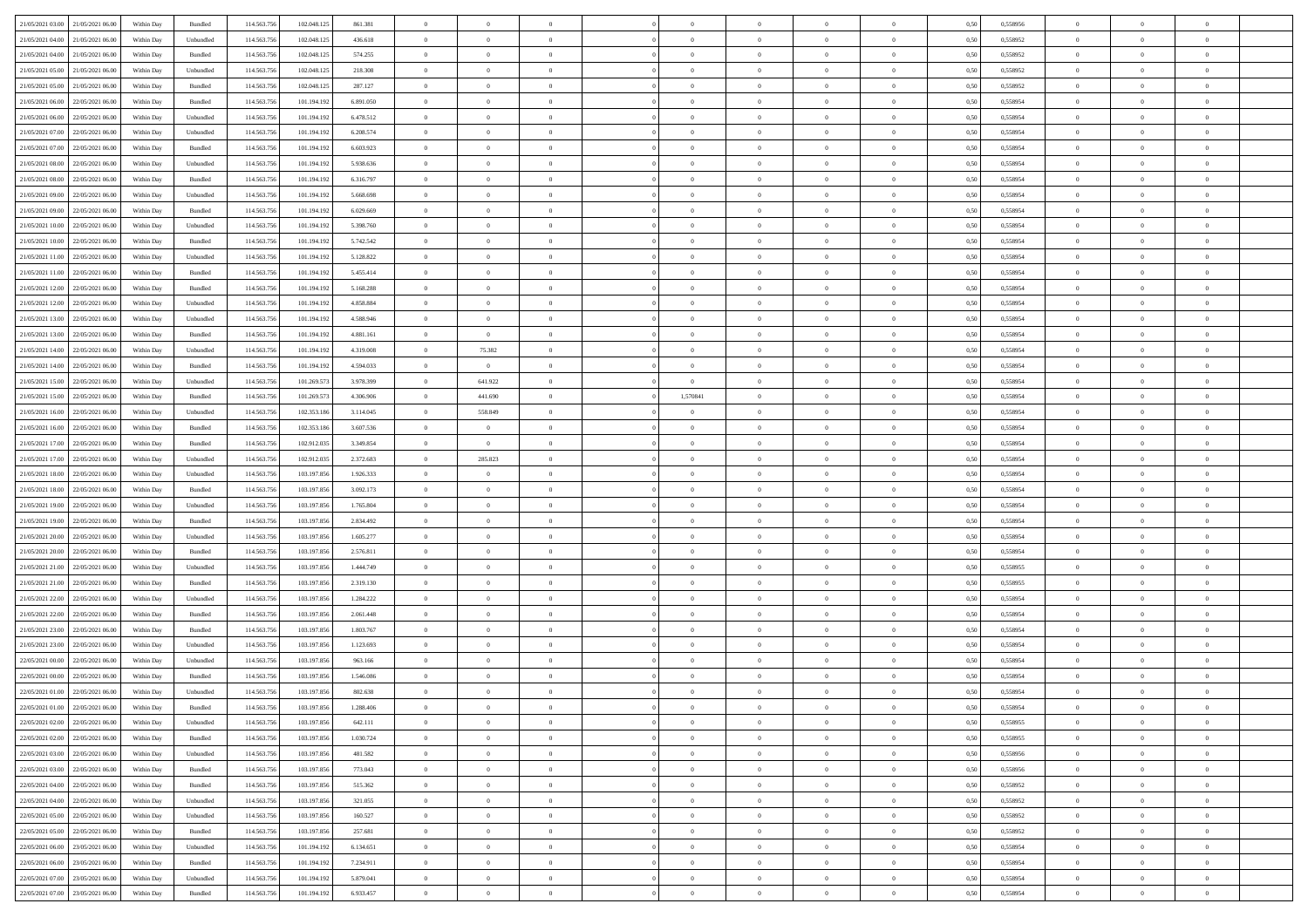|                                              |            |                    |             |             |           | $\overline{0}$ | $\overline{0}$ |                | $\overline{0}$ | $\theta$       |                | $\theta$       |      |          | $\theta$       | $\theta$       | $\overline{0}$ |  |
|----------------------------------------------|------------|--------------------|-------------|-------------|-----------|----------------|----------------|----------------|----------------|----------------|----------------|----------------|------|----------|----------------|----------------|----------------|--|
| 21/05/2021 03:00 21/05/2021 06:00            | Within Day | Bundled            | 114.563.756 | 102.048.125 | 861.381   |                |                |                |                |                |                |                | 0,50 | 0,558956 |                |                |                |  |
| 21/05/2021 04:00<br>21/05/2021 06:00         | Within Day | Unbundled          | 114.563.75  | 102.048.12: | 436.618   | $\bf{0}$       | $\bf{0}$       | $\bf{0}$       | $\bf{0}$       | $\overline{0}$ | $\overline{0}$ | $\bf{0}$       | 0,50 | 0,558952 | $\,$ 0 $\,$    | $\bf{0}$       | $\overline{0}$ |  |
| 21/05/2021 04:00<br>21/05/2021 06:00         | Within Day | Bundled            | 114,563,75  | 102.048.125 | 574.255   | $\overline{0}$ | $\bf{0}$       | $\overline{0}$ | $\bf{0}$       | $\bf{0}$       | $\overline{0}$ | $\bf{0}$       | 0.50 | 0.558952 | $\bf{0}$       | $\overline{0}$ | $\overline{0}$ |  |
| 21/05/2021 05:00<br>21/05/2021 06:00         | Within Day | Unbundled          | 114.563.75  | 102.048.125 | 218.308   | $\overline{0}$ | $\overline{0}$ | $\overline{0}$ | $\theta$       | $\theta$       | $\overline{0}$ | $\bf{0}$       | 0,50 | 0,558952 | $\,$ 0 $\,$    | $\theta$       | $\overline{0}$ |  |
| 21/05/2021 05:00<br>21/05/2021 06.00         | Within Day | Bundled            | 114.563.75  | 102.048.125 | 287.127   | $\bf{0}$       | $\overline{0}$ | $\bf{0}$       | $\overline{0}$ | $\bf{0}$       | $\overline{0}$ | $\bf{0}$       | 0,50 | 0,558952 | $\,$ 0 $\,$    | $\bf{0}$       | $\overline{0}$ |  |
|                                              |            |                    |             |             |           |                |                |                |                |                |                |                |      |          |                |                |                |  |
| 21/05/2021 06:00<br>22/05/2021 06:00         | Within Day | Bundled            | 114,563,75  | 101.194.192 | 6.891.050 | $\overline{0}$ | $\bf{0}$       | $\overline{0}$ | $\bf{0}$       | $\overline{0}$ | $\overline{0}$ | $\bf{0}$       | 0.50 | 0.558954 | $\,$ 0 $\,$    | $\theta$       | $\overline{0}$ |  |
| 21/05/2021 06:00<br>22/05/2021 06:00         | Within Day | Unbundled          | 114.563.75  | 101.194.192 | 6.478.512 | $\overline{0}$ | $\overline{0}$ | $\overline{0}$ | $\overline{0}$ | $\overline{0}$ | $\overline{0}$ | $\bf{0}$       | 0,50 | 0,558954 | $\theta$       | $\theta$       | $\overline{0}$ |  |
| 21/05/2021 07:00<br>22/05/2021 06:00         | Within Day | Unbundled          | 114.563.75  | 101.194.19  | 6.208.574 | $\bf{0}$       | $\bf{0}$       | $\bf{0}$       | $\overline{0}$ | $\overline{0}$ | $\overline{0}$ | $\bf{0}$       | 0,50 | 0,558954 | $\,$ 0 $\,$    | $\bf{0}$       | $\overline{0}$ |  |
| 21/05/2021 07:00<br>22/05/2021 06:00         | Within Day | Bundled            | 114,563,75  | 101.194.192 | 6.603.923 | $\overline{0}$ | $\bf{0}$       | $\overline{0}$ | $\bf{0}$       | $\overline{0}$ | $\overline{0}$ | $\bf{0}$       | 0.50 | 0.558954 | $\bf{0}$       | $\overline{0}$ | $\overline{0}$ |  |
| 21/05/2021 08:00<br>22/05/2021 06:00         | Within Day | Unbundled          | 114.563.75  | 101.194.192 | 5.938.636 | $\overline{0}$ | $\bf{0}$       | $\overline{0}$ | $\overline{0}$ | $\overline{0}$ | $\overline{0}$ | $\bf{0}$       | 0,50 | 0,558954 | $\,$ 0 $\,$    | $\,$ 0 $\,$    | $\overline{0}$ |  |
|                                              |            |                    |             |             |           |                |                |                |                |                |                |                |      |          |                |                |                |  |
| 21/05/2021 08:00<br>22/05/2021 06:00         | Within Day | Bundled            | 114.563.75  | 101.194.192 | 6.316.797 | $\bf{0}$       | $\bf{0}$       | $\bf{0}$       | $\bf{0}$       | $\overline{0}$ | $\overline{0}$ | $\bf{0}$       | 0,50 | 0,558954 | $\,$ 0 $\,$    | $\bf{0}$       | $\overline{0}$ |  |
| 21/05/2021 09:00<br>22/05/2021 06:00         | Within Day | Unbundled          | 114,563,75  | 101.194.192 | 5.668.698 | $\overline{0}$ | $\bf{0}$       | $\overline{0}$ | $\overline{0}$ | $\bf{0}$       | $\overline{0}$ | $\bf{0}$       | 0.50 | 0.558954 | $\bf{0}$       | $\,$ 0 $\,$    | $\,$ 0         |  |
| 21/05/2021 09:00<br>22/05/2021 06:00         | Within Day | Bundled            | 114.563.75  | 101.194.192 | 6.029.669 | $\overline{0}$ | $\overline{0}$ | $\overline{0}$ | $\theta$       | $\theta$       | $\overline{0}$ | $\bf{0}$       | 0,50 | 0,558954 | $\,$ 0 $\,$    | $\theta$       | $\overline{0}$ |  |
| 21/05/2021 10:00<br>22/05/2021 06:00         | Within Day | Unbundled          | 114.563.75  | 101.194.192 | 5.398.760 | $\bf{0}$       | $\overline{0}$ | $\bf{0}$       | $\bf{0}$       | $\bf{0}$       | $\overline{0}$ | $\bf{0}$       | 0,50 | 0,558954 | $\,$ 0 $\,$    | $\bf{0}$       | $\overline{0}$ |  |
| 21/05/2021 10:00<br>22/05/2021 06:00         | Within Day | Bundled            | 114,563,75  | 101.194.192 | 5.742.542 | $\overline{0}$ | $\bf{0}$       | $\overline{0}$ | $\bf{0}$       | $\overline{0}$ | $\overline{0}$ | $\bf{0}$       | 0.50 | 0.558954 | $\,$ 0 $\,$    | $\bf{0}$       | $\overline{0}$ |  |
|                                              |            |                    |             |             |           |                |                |                |                |                |                |                |      |          |                |                |                |  |
| 21/05/2021 11:00<br>22/05/2021 06:00         | Within Day | Unbundled          | 114.563.75  | 101.194.192 | 5.128.822 | $\overline{0}$ | $\overline{0}$ | $\overline{0}$ | $\overline{0}$ | $\overline{0}$ | $\overline{0}$ | $\bf{0}$       | 0,50 | 0,558954 | $\theta$       | $\theta$       | $\overline{0}$ |  |
| 21/05/2021 11:00<br>22/05/2021 06:00         | Within Day | Bundled            | 114.563.75  | 101.194.192 | 5.455.414 | $\bf{0}$       | $\bf{0}$       | $\bf{0}$       | $\overline{0}$ | $\bf{0}$       | $\overline{0}$ | $\bf{0}$       | 0,50 | 0,558954 | $\,$ 0 $\,$    | $\bf{0}$       | $\overline{0}$ |  |
| 21/05/2021 12:00<br>22/05/2021 06:00         | Within Day | Bundled            | 114,563,75  | 101.194.192 | 5.168.288 | $\overline{0}$ | $\bf{0}$       | $\overline{0}$ | $\bf{0}$       | $\overline{0}$ | $\overline{0}$ | $\bf{0}$       | 0.50 | 0.558954 | $\bf{0}$       | $\overline{0}$ | $\overline{0}$ |  |
| 21/05/2021 12:00<br>22/05/2021 06:00         | Within Day | Unbundled          | 114.563.75  | 101.194.192 | 4.858.884 | $\overline{0}$ | $\bf{0}$       | $\overline{0}$ | $\overline{0}$ | $\overline{0}$ | $\overline{0}$ | $\bf{0}$       | 0,50 | 0,558954 | $\,$ 0 $\,$    | $\bf{0}$       | $\overline{0}$ |  |
| 21/05/2021 13:00<br>22/05/2021 06:00         | Within Day | Unbundled          | 114.563.75  | 101.194.19  | 4.588.946 | $\bf{0}$       | $\bf{0}$       | $\bf{0}$       | $\bf{0}$       | $\overline{0}$ | $\overline{0}$ | $\bf{0}$       | 0,50 | 0,558954 | $\,$ 0 $\,$    | $\bf{0}$       | $\overline{0}$ |  |
| 21/05/2021 13:00<br>22/05/2021 06:00         | Within Day | Bundled            | 114,563,75  | 101.194.192 | 4.881.161 | $\overline{0}$ | $\bf{0}$       | $\overline{0}$ | $\overline{0}$ | $\bf{0}$       | $\overline{0}$ | $\bf{0}$       | 0.50 | 0.558954 | $\bf{0}$       | $\,$ 0 $\,$    | $\,$ 0         |  |
|                                              |            |                    |             |             |           | $\overline{0}$ |                | $\overline{0}$ | $\overline{0}$ | $\theta$       | $\overline{0}$ |                |      |          | $\theta$       | $\theta$       | $\overline{0}$ |  |
| 21/05/2021 14:00<br>22/05/2021 06:00         | Within Day | Unbundled          | 114.563.75  | 101.194.192 | 4.319.008 |                | 75.382         |                |                |                |                | $\bf{0}$       | 0,50 | 0,558954 |                |                |                |  |
| 21/05/2021 14:00<br>22/05/2021 06:00         | Within Day | Bundled            | 114.563.75  | 101.194.192 | 4.594.033 | $\bf{0}$       | $\overline{0}$ | $\bf{0}$       | $\bf{0}$       | $\overline{0}$ | $\overline{0}$ | $\bf{0}$       | 0,50 | 0,558954 | $\,$ 0 $\,$    | $\bf{0}$       | $\overline{0}$ |  |
| 21/05/2021 15:00<br>22/05/2021 06:00         | Within Day | Unbundled          | 114,563,75  | 101.269.57  | 3.978.399 | $\overline{0}$ | 641.922        | $\overline{0}$ | $\overline{0}$ | $\overline{0}$ | $\theta$       | $\bf{0}$       | 0.50 | 0.558954 | $\,$ 0 $\,$    | $\bf{0}$       | $\overline{0}$ |  |
| 21/05/2021 15:00<br>22/05/2021 06:00         | Within Day | Bundled            | 114.563.75  | 101.269.573 | 4.306.906 | $\overline{0}$ | 441.690        | $\overline{0}$ | 1,570841       | $\overline{0}$ | $\overline{0}$ | $\bf{0}$       | 0,50 | 0,558954 | $\,$ 0 $\,$    | $\theta$       | $\overline{0}$ |  |
| 21/05/2021 16:00<br>22/05/2021 06:00         | Within Day | Unbundled          | 114.563.75  | 102.353.18  | 3.114.045 | $\bf{0}$       | 558.849        | $\bf{0}$       |                | $\overline{0}$ | $\overline{0}$ | $\bf{0}$       | 0,50 | 0,558954 | $\,$ 0 $\,$    | $\bf{0}$       | $\overline{0}$ |  |
| 21/05/2021 16:00<br>22/05/2021 06:00         | Within Day | Bundled            | 114,563,75  | 102.353.18  | 3.607.536 | $\overline{0}$ | $\overline{0}$ | $\overline{0}$ | $\bf{0}$       | $\overline{0}$ | $\overline{0}$ | $\bf{0}$       | 0.50 | 0.558954 | $\bf{0}$       | $\overline{0}$ | $\overline{0}$ |  |
| 21/05/2021 17:00<br>22/05/2021 06:00         |            |                    | 114.563.75  | 102.912.035 |           | $\overline{0}$ |                | $\overline{0}$ | $\overline{0}$ | $\overline{0}$ | $\overline{0}$ |                |      |          | $\theta$       | $\theta$       | $\overline{0}$ |  |
|                                              | Within Day | Bundled            |             |             | 3.349.854 |                | $\overline{0}$ |                |                |                |                | $\bf{0}$       | 0,50 | 0,558954 |                |                |                |  |
| 21/05/2021 17:00<br>22/05/2021 06:00         | Within Day | Unbundled          | 114.563.75  | 102.912.035 | 2.372.683 | $\bf{0}$       | 285.823        | $\bf{0}$       | $\bf{0}$       | $\overline{0}$ | $\overline{0}$ | $\bf{0}$       | 0,50 | 0,558954 | $\,$ 0 $\,$    | $\bf{0}$       | $\overline{0}$ |  |
| 21/05/2021 18:00<br>22/05/2021 06:00         | Within Day | Unbundled          | 114,563,75  | 103.197.856 | 1.926.333 | $\overline{0}$ | $\bf{0}$       | $\overline{0}$ | $\overline{0}$ | $\bf{0}$       | $\overline{0}$ | $\bf{0}$       | 0.50 | 0.558954 | $\bf{0}$       | $\,$ 0 $\,$    | $\,$ 0         |  |
| 21/05/2021 18:00<br>22/05/2021 06:00         | Within Day | Bundled            | 114.563.75  | 103.197.856 | 3.092.173 | $\overline{0}$ | $\overline{0}$ | $\overline{0}$ | $\overline{0}$ | $\overline{0}$ | $\overline{0}$ | $\bf{0}$       | 0.50 | 0.558954 | $\theta$       | $\theta$       | $\overline{0}$ |  |
| 21/05/2021 19:00<br>22/05/2021 06.00         | Within Day | Unbundled          | 114.563.75  | 103.197.856 | 1.765.804 | $\bf{0}$       | $\bf{0}$       | $\bf{0}$       | $\bf{0}$       | $\overline{0}$ | $\overline{0}$ | $\bf{0}$       | 0,50 | 0,558954 | $\,$ 0 $\,$    | $\bf{0}$       | $\overline{0}$ |  |
| 21/05/2021 19:00<br>22/05/2021 06:00         | Within Day | Bundled            | 114.563.756 | 103.197.856 | 2.834.492 | $\overline{0}$ | $\bf{0}$       | $\overline{0}$ | $\bf{0}$       | $\overline{0}$ | $\overline{0}$ | $\bf{0}$       | 0.50 | 0.558954 | $\,$ 0 $\,$    | $\bf{0}$       | $\overline{0}$ |  |
| 21/05/2021 20:00<br>22/05/2021 06:00         | Within Dav | Unbundled          | 114.563.75  | 103.197.856 | 1.605.277 | $\overline{0}$ | $\overline{0}$ | $\overline{0}$ | $\overline{0}$ | $\overline{0}$ | $\overline{0}$ | $\bf{0}$       | 0.50 | 0,558954 | $\theta$       | $\theta$       | $\overline{0}$ |  |
|                                              |            |                    |             |             |           |                |                |                |                |                |                |                |      |          |                |                |                |  |
| 21/05/2021 20:00<br>22/05/2021 06:00         | Within Day | Bundled            | 114.563.75  | 103.197.856 | 2.576.811 | $\bf{0}$       | $\bf{0}$       | $\bf{0}$       | $\bf{0}$       | $\overline{0}$ | $\overline{0}$ | $\bf{0}$       | 0,50 | 0,558954 | $\,$ 0 $\,$    | $\bf{0}$       | $\overline{0}$ |  |
| 21/05/2021 21:00<br>22/05/2021 06:00         | Within Day | Unbundled          | 114,563,75  | 103.197.85  | 1.444.749 | $\overline{0}$ | $\bf{0}$       | $\overline{0}$ | $\bf{0}$       | $\overline{0}$ | $\overline{0}$ | $\bf{0}$       | 0.50 | 0.558955 | $\bf{0}$       | $\overline{0}$ | $\overline{0}$ |  |
| 21/05/2021 21:00<br>22/05/2021 06:00         | Within Dav | Bundled            | 114.563.75  | 103.197.856 | 2.319.130 | $\overline{0}$ | $\overline{0}$ | $\overline{0}$ | $\overline{0}$ | $\overline{0}$ | $\overline{0}$ | $\bf{0}$       | 0.50 | 0,558955 | $\theta$       | $\theta$       | $\overline{0}$ |  |
| 21/05/2021 22:00<br>22/05/2021 06.00         | Within Day | Unbundled          | 114.563.75  | 103.197.856 | 1.284.222 | $\bf{0}$       | $\bf{0}$       | $\bf{0}$       | $\bf{0}$       | $\overline{0}$ | $\overline{0}$ | $\bf{0}$       | 0,50 | 0,558954 | $\,$ 0 $\,$    | $\bf{0}$       | $\overline{0}$ |  |
| 21/05/2021 22:00<br>22/05/2021 06:00         | Within Day | Bundled            | 114.563.75  | 103.197.856 | 2.061.448 | $\overline{0}$ | $\bf{0}$       | $\overline{0}$ | $\overline{0}$ | $\bf{0}$       | $\overline{0}$ | $\bf{0}$       | 0.50 | 0.558954 | $\,$ 0 $\,$    | $\,$ 0 $\,$    | $\overline{0}$ |  |
| 21/05/2021 23:00<br>22/05/2021 06:00         | Within Dav | Bundled            | 114.563.75  | 103.197.856 | 1.803.767 | $\overline{0}$ | $\overline{0}$ | $\overline{0}$ | $\overline{0}$ | $\overline{0}$ | $\overline{0}$ | $\bf{0}$       | 0.50 | 0.558954 | $\theta$       | $\theta$       | $\overline{0}$ |  |
| 22/05/2021 06:00                             | Within Day | Unbundled          | 114.563.75  | 103.197.856 | 1.123.693 | $\bf{0}$       | $\bf{0}$       | $\bf{0}$       | $\bf{0}$       | $\overline{0}$ | $\overline{0}$ | $\bf{0}$       | 0,50 | 0,558954 | $\,$ 0 $\,$    | $\bf{0}$       | $\overline{0}$ |  |
| 21/05/2021 23:00                             |            |                    |             |             |           |                |                |                |                |                |                |                |      |          |                |                |                |  |
| 22/05/2021 00:00<br>22/05/2021 06:00         | Within Day | Unbundled          | 114,563,75  | 103.197.85  | 963.166   | $\overline{0}$ | $\bf{0}$       | $\overline{0}$ | $\bf{0}$       | $\overline{0}$ | $\overline{0}$ | $\bf{0}$       | 0.50 | 0.558954 | $\bf{0}$       | $\bf{0}$       | $\overline{0}$ |  |
| 22/05/2021 00:00<br>22/05/2021 06:00         | Within Day | Bundled            | 114.563.75  | 103.197.856 | 1.546.086 | $\overline{0}$ | $\overline{0}$ | $\Omega$       | $\overline{0}$ | $\theta$       | $\overline{0}$ | $\overline{0}$ | 0.5( | 0,558954 | $\theta$       | $\theta$       | $\overline{0}$ |  |
| 22/05/2021 01:00<br>22/05/2021 06:00         | Within Day | Unbundled          | 114.563.75  | 103.197.856 | 802.638   | $\bf{0}$       | $\bf{0}$       | $\bf{0}$       | $\bf{0}$       | $\bf{0}$       | $\overline{0}$ | $\bf{0}$       | 0,50 | 0,558954 | $\overline{0}$ | $\overline{0}$ | $\overline{0}$ |  |
| $22/05/2021\ 01.00 \qquad 22/05/2021\ 06.00$ | Within Day | $\mathbf B$ undled | 114.563.756 | 103.197.856 | 1.288,406 | $\bf{0}$       | $\theta$       |                | $\overline{0}$ |                |                |                | 0,50 | 0.558954 | $\bf{0}$       | $\overline{0}$ |                |  |
| 22/05/2021 02:00 22/05/2021 06:00            | Within Day | Unbundled          | 114.563.756 | 103.197.856 | 642.111   | $\overline{0}$ | $\overline{0}$ | $\Omega$       | $\theta$       | $\overline{0}$ | $\overline{0}$ | $\bf{0}$       | 0,50 | 0,558955 | $\theta$       | $\theta$       | $\overline{0}$ |  |
| 22/05/2021 02:00<br>22/05/2021 06:00         | Within Day | Bundled            | 114.563.75  | 103.197.856 | 1.030.724 | $\overline{0}$ | $\bf{0}$       | $\overline{0}$ | $\overline{0}$ | $\bf{0}$       | $\overline{0}$ | $\bf{0}$       | 0,50 | 0,558955 | $\bf{0}$       | $\overline{0}$ | $\bf{0}$       |  |
|                                              |            |                    |             |             |           |                |                |                |                |                |                |                |      |          |                |                |                |  |
| 22/05/2021 03:00 22/05/2021 06:00            | Within Day | Unbundled          | 114,563,756 | 103.197.856 | 481.582   | $\overline{0}$ | $\overline{0}$ | $\overline{0}$ | $\overline{0}$ | $\mathbf{0}$   | $\overline{0}$ | $\,$ 0 $\,$    | 0.50 | 0.558956 | $\overline{0}$ | $\bf{0}$       | $\bf{0}$       |  |
| 22/05/2021 03:00 22/05/2021 06:00            | Within Dav | Bundled            | 114.563.756 | 103.197.856 | 773.043   | $\overline{0}$ | $\overline{0}$ | $\overline{0}$ | $\overline{0}$ | $\overline{0}$ | $\overline{0}$ | $\bf{0}$       | 0,50 | 0,558956 | $\overline{0}$ | $\theta$       | $\overline{0}$ |  |
| 22/05/2021 04:00<br>22/05/2021 06:00         | Within Day | Bundled            | 114.563.75  | 103.197.856 | 515.362   | $\overline{0}$ | $\bf{0}$       | $\overline{0}$ | $\overline{0}$ | $\bf{0}$       | $\overline{0}$ | $\bf{0}$       | 0,50 | 0,558952 | $\bf{0}$       | $\overline{0}$ | $\overline{0}$ |  |
| 22/05/2021 04:00<br>22/05/2021 06:00         | Within Day | Unbundled          | 114.563.756 | 103.197.856 | 321.055   | $\overline{0}$ | $\bf{0}$       | $\overline{0}$ | $\overline{0}$ | $\bf{0}$       | $\overline{0}$ | $\bf{0}$       | 0.50 | 0.558952 | $\,$ 0 $\,$    | $\overline{0}$ | $\,$ 0         |  |
| 22/05/2021 05:00 22/05/2021 06:00            | Within Dav | Unbundled          | 114.563.756 | 103.197.856 | 160,527   | $\overline{0}$ | $\overline{0}$ | $\overline{0}$ | $\overline{0}$ | $\overline{0}$ | $\overline{0}$ | $\bf{0}$       | 0.50 | 0,558952 | $\overline{0}$ | $\theta$       | $\overline{0}$ |  |
| 22/05/2021 05:00<br>22/05/2021 06:00         | Within Day | Bundled            | 114.563.75  | 103.197.856 | 257.681   | $\overline{0}$ | $\overline{0}$ | $\overline{0}$ | $\overline{0}$ | $\overline{0}$ | $\overline{0}$ | $\bf{0}$       | 0,50 | 0,558952 | $\bf{0}$       | $\overline{0}$ | $\,$ 0         |  |
|                                              |            |                    |             |             |           |                |                |                |                |                |                |                |      |          |                |                |                |  |
| 22/05/2021 06:00 23/05/2021 06:00            | Within Day | Unbundled          | 114.563.75  | 101.194.192 | 6.134.651 | $\overline{0}$ | $\overline{0}$ | $\overline{0}$ | $\overline{0}$ | $\overline{0}$ | $\overline{0}$ | $\bf{0}$       | 0.50 | 0.558954 | $\mathbf{0}$   | $\bf{0}$       | $\,$ 0         |  |
| 22/05/2021 06:00 23/05/2021 06:00            | Within Dav | Bundled            | 114.563.756 | 101.194.192 | 7.234.911 | $\overline{0}$ | $\overline{0}$ | $\overline{0}$ | $\overline{0}$ | $\overline{0}$ | $\overline{0}$ | $\bf{0}$       | 0,50 | 0,558954 | $\overline{0}$ | $\theta$       | $\overline{0}$ |  |
| 22/05/2021 07:00<br>23/05/2021 06:00         | Within Day | Unbundled          | 114.563.75  | 101.194.192 | 5.879.041 | $\overline{0}$ | $\bf{0}$       | $\overline{0}$ | $\overline{0}$ | $\overline{0}$ | $\overline{0}$ | $\bf{0}$       | 0,50 | 0,558954 | $\bf{0}$       | $\overline{0}$ | $\bf{0}$       |  |
| 22/05/2021 07:00 23/05/2021 06:00            | Within Day | Bundled            | 114.563.756 | 101.194.192 | 6.933.457 | $\overline{0}$ | $\bf{0}$       | $\overline{0}$ | $\overline{0}$ | $\,$ 0 $\,$    | $\overline{0}$ | $\bf{0}$       | 0,50 | 0,558954 | $\overline{0}$ | $\,$ 0 $\,$    | $\,$ 0 $\,$    |  |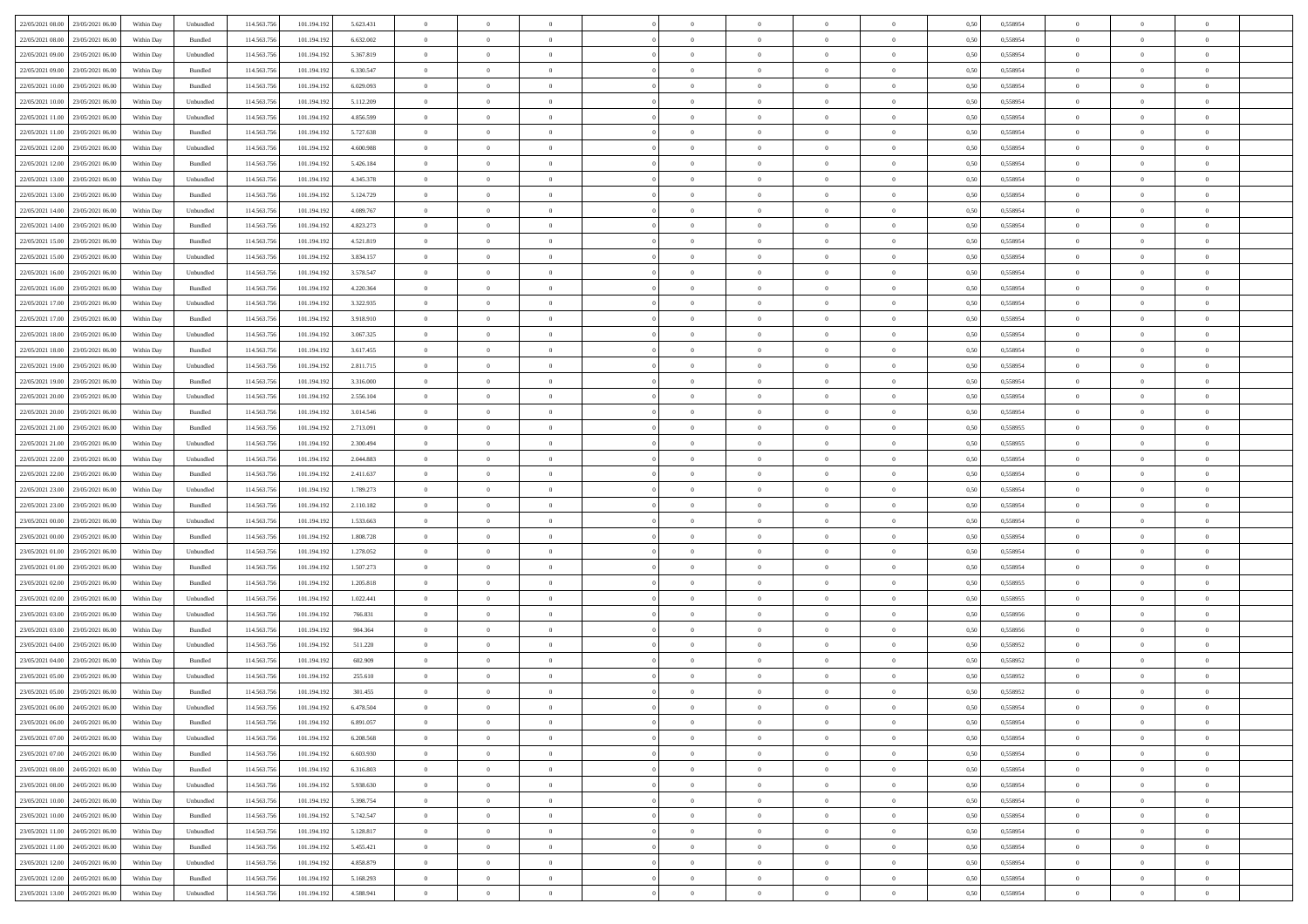| 22/05/2021 08:00 23/05/2021 06:00            | Within Day | Unbundled                   | 114.563.756 | 101.194.192 | 5.623.431 | $\overline{0}$ | $\overline{0}$ |                | $\overline{0}$ | $\theta$       |                | $\theta$       | 0,50 | 0,558954 | $\theta$       | $\theta$       | $\overline{0}$ |  |
|----------------------------------------------|------------|-----------------------------|-------------|-------------|-----------|----------------|----------------|----------------|----------------|----------------|----------------|----------------|------|----------|----------------|----------------|----------------|--|
| 22/05/2021 08:00<br>23/05/2021 06:00         | Within Day | Bundled                     | 114.563.75  | 101.194.19  | 6.632.002 | $\bf{0}$       | $\bf{0}$       | $\bf{0}$       | $\bf{0}$       | $\overline{0}$ | $\overline{0}$ | $\bf{0}$       | 0,50 | 0,558954 | $\,$ 0 $\,$    | $\bf{0}$       | $\overline{0}$ |  |
| 22/05/2021 09:00<br>23/05/2021 06:00         | Within Day | Unbundled                   | 114,563,75  | 101.194.192 | 5.367.819 | $\overline{0}$ | $\bf{0}$       | $\overline{0}$ | $\bf{0}$       | $\bf{0}$       | $\overline{0}$ | $\bf{0}$       | 0.50 | 0.558954 | $\bf{0}$       | $\overline{0}$ | $\overline{0}$ |  |
|                                              |            |                             |             |             |           | $\overline{0}$ | $\overline{0}$ | $\overline{0}$ | $\overline{0}$ | $\theta$       | $\overline{0}$ |                |      |          | $\,$ 0 $\,$    | $\,$ 0 $\,$    | $\overline{0}$ |  |
| 22/05/2021 09:00<br>23/05/2021 06:00         | Within Day | Bundled                     | 114.563.75  | 101.194.192 | 6.330.547 |                |                |                |                |                |                | $\bf{0}$       | 0,50 | 0,558954 |                |                |                |  |
| 22/05/2021 10:00<br>23/05/2021 06.00         | Within Day | Bundled                     | 114.563.75  | 101.194.192 | 6.029.093 | $\bf{0}$       | $\overline{0}$ | $\bf{0}$       | $\overline{0}$ | $\bf{0}$       | $\overline{0}$ | $\bf{0}$       | 0,50 | 0,558954 | $\,$ 0 $\,$    | $\bf{0}$       | $\overline{0}$ |  |
| 22/05/2021 10:00<br>23/05/2021 06:00         | Within Day | Unbundled                   | 114,563,75  | 101.194.192 | 5.112.209 | $\overline{0}$ | $\bf{0}$       | $\overline{0}$ | $\bf{0}$       | $\overline{0}$ | $\overline{0}$ | $\bf{0}$       | 0.50 | 0.558954 | $\,$ 0 $\,$    | $\theta$       | $\overline{0}$ |  |
| 22/05/2021 11:00<br>23/05/2021 06:00         | Within Day | Unbundled                   | 114.563.75  | 101.194.192 | 4.856.599 | $\overline{0}$ | $\overline{0}$ | $\overline{0}$ | $\overline{0}$ | $\overline{0}$ | $\overline{0}$ | $\bf{0}$       | 0,50 | 0,558954 | $\,$ 0 $\,$    | $\theta$       | $\overline{0}$ |  |
|                                              |            |                             |             |             |           |                | $\bf{0}$       | $\bf{0}$       | $\overline{0}$ | $\overline{0}$ | $\overline{0}$ |                |      |          | $\,$ 0 $\,$    | $\bf{0}$       | $\overline{0}$ |  |
| 22/05/2021 11:00<br>23/05/2021 06:00         | Within Day | Bundled                     | 114.563.75  | 101.194.19  | 5.727.638 | $\bf{0}$       |                |                |                |                |                | $\bf{0}$       | 0,50 | 0,558954 |                |                |                |  |
| 22/05/2021 12:00<br>23/05/2021 06:00         | Within Day | Unbundled                   | 114,563,75  | 101.194.192 | 4.600.988 | $\overline{0}$ | $\bf{0}$       | $\overline{0}$ | $\bf{0}$       | $\overline{0}$ | $\overline{0}$ | $\bf{0}$       | 0.50 | 0.558954 | $\bf{0}$       | $\overline{0}$ | $\overline{0}$ |  |
| 22/05/2021 12:00<br>23/05/2021 06:00         | Within Day | Bundled                     | 114.563.75  | 101.194.192 | 5.426.184 | $\overline{0}$ | $\bf{0}$       | $\overline{0}$ | $\overline{0}$ | $\overline{0}$ | $\overline{0}$ | $\bf{0}$       | 0,50 | 0,558954 | $\,$ 0 $\,$    | $\,$ 0 $\,$    | $\overline{0}$ |  |
| 22/05/2021 13:00<br>23/05/2021 06:00         | Within Day | Unbundled                   | 114.563.75  | 101.194.192 | 4.345.378 | $\bf{0}$       | $\bf{0}$       | $\bf{0}$       | $\bf{0}$       | $\overline{0}$ | $\overline{0}$ | $\bf{0}$       | 0,50 | 0,558954 | $\,$ 0 $\,$    | $\bf{0}$       | $\overline{0}$ |  |
| 22/05/2021 13:00<br>23/05/2021 06:00         | Within Day | Bundled                     | 114,563,75  | 101.194.192 | 5.124.729 | $\overline{0}$ | $\bf{0}$       | $\overline{0}$ | $\overline{0}$ | $\overline{0}$ | $\overline{0}$ | $\bf{0}$       | 0.50 | 0.558954 | $\bf{0}$       | $\,$ 0 $\,$    | $\,$ 0         |  |
|                                              |            |                             |             |             |           |                |                |                |                |                |                |                |      |          |                |                |                |  |
| 22/05/2021 14:00<br>23/05/2021 06:00         | Within Day | Unbundled                   | 114.563.75  | 101.194.192 | 4.089.767 | $\overline{0}$ | $\bf{0}$       | $\overline{0}$ | $\theta$       | $\theta$       | $\overline{0}$ | $\bf{0}$       | 0,50 | 0,558954 | $\,$ 0 $\,$    | $\,$ 0 $\,$    | $\overline{0}$ |  |
| 22/05/2021 14:00<br>23/05/2021 06:00         | Within Day | Bundled                     | 114.563.75  | 101.194.19  | 4.823.273 | $\bf{0}$       | $\overline{0}$ | $\bf{0}$       | $\bf{0}$       | $\bf{0}$       | $\overline{0}$ | $\bf{0}$       | 0,50 | 0,558954 | $\,$ 0 $\,$    | $\bf{0}$       | $\overline{0}$ |  |
| 22/05/2021 15:00<br>23/05/2021 06:00         | Within Day | Bundled                     | 114,563,75  | 101.194.192 | 4.521.819 | $\overline{0}$ | $\bf{0}$       | $\overline{0}$ | $\bf{0}$       | $\overline{0}$ | $\theta$       | $\bf{0}$       | 0.50 | 0.558954 | $\,$ 0 $\,$    | $\bf{0}$       | $\overline{0}$ |  |
| 22/05/2021 15:00<br>23/05/2021 06:00         | Within Day | Unbundled                   | 114.563.75  | 101.194.192 | 3.834.157 | $\overline{0}$ | $\overline{0}$ | $\overline{0}$ | $\overline{0}$ | $\overline{0}$ | $\overline{0}$ | $\bf{0}$       | 0,50 | 0,558954 | $\theta$       | $\theta$       | $\overline{0}$ |  |
| 22/05/2021 16:00<br>23/05/2021 06.00         | Within Day | Unbundled                   | 114.563.75  | 101.194.192 | 3.578.547 | $\bf{0}$       | $\bf{0}$       | $\bf{0}$       | $\overline{0}$ | $\overline{0}$ | $\overline{0}$ | $\bf{0}$       | 0,50 | 0,558954 | $\,$ 0 $\,$    | $\bf{0}$       | $\overline{0}$ |  |
|                                              |            |                             |             |             |           |                |                |                |                |                |                |                |      |          |                |                |                |  |
| 22/05/2021 16:00<br>23/05/2021 06:00         | Within Day | Bundled                     | 114,563,75  | 101.194.192 | 4.220.364 | $\overline{0}$ | $\bf{0}$       | $\overline{0}$ | $\bf{0}$       | $\overline{0}$ | $\overline{0}$ | $\bf{0}$       | 0.50 | 0.558954 | $\bf{0}$       | $\overline{0}$ | $\overline{0}$ |  |
| 22/05/2021 17:00<br>23/05/2021 06:00         | Within Day | Unbundled                   | 114.563.75  | 101.194.192 | 3.322.935 | $\overline{0}$ | $\bf{0}$       | $\overline{0}$ | $\overline{0}$ | $\overline{0}$ | $\overline{0}$ | $\bf{0}$       | 0,50 | 0,558954 | $\,$ 0 $\,$    | $\bf{0}$       | $\overline{0}$ |  |
| 22/05/2021 17:00<br>23/05/2021 06.00         | Within Day | Bundled                     | 114.563.75  | 101.194.192 | 3.918.910 | $\bf{0}$       | $\bf{0}$       | $\bf{0}$       | $\bf{0}$       | $\overline{0}$ | $\overline{0}$ | $\bf{0}$       | 0,50 | 0,558954 | $\,$ 0 $\,$    | $\bf{0}$       | $\overline{0}$ |  |
| 22/05/2021 18:00<br>23/05/2021 06:00         | Within Day | Unbundled                   | 114,563,75  | 101.194.192 | 3.067.325 | $\overline{0}$ | $\bf{0}$       | $\overline{0}$ | $\overline{0}$ | $\bf{0}$       | $\overline{0}$ | $\bf{0}$       | 0.50 | 0.558954 | $\bf{0}$       | $\,$ 0 $\,$    | $\,$ 0         |  |
| 22/05/2021 18:00<br>23/05/2021 06:00         | Within Day | Bundled                     | 114.563.75  | 101.194.192 | 3.617.455 | $\overline{0}$ | $\overline{0}$ | $\overline{0}$ | $\overline{0}$ | $\theta$       | $\overline{0}$ | $\bf{0}$       | 0,50 | 0,558954 | $\theta$       | $\theta$       | $\overline{0}$ |  |
|                                              |            |                             |             |             |           |                |                |                |                |                |                |                |      |          |                |                |                |  |
| 22/05/2021 19:00<br>23/05/2021 06.00         | Within Day | Unbundled                   | 114.563.75  | 101.194.192 | 2.811.715 | $\bf{0}$       | $\bf{0}$       | $\bf{0}$       | $\bf{0}$       | $\overline{0}$ | $\overline{0}$ | $\bf{0}$       | 0,50 | 0,558954 | $\,$ 0 $\,$    | $\bf{0}$       | $\overline{0}$ |  |
| 22/05/2021 19:00<br>23/05/2021 06:00         | Within Day | Bundled                     | 114,563,75  | 101.194.192 | 3.316.000 | $\overline{0}$ | $\bf{0}$       | $\overline{0}$ | $\bf{0}$       | $\overline{0}$ | $\theta$       | $\bf{0}$       | 0.50 | 0.558954 | $\bf{0}$       | $\overline{0}$ | $\overline{0}$ |  |
| 22/05/2021 20:00<br>23/05/2021 06:00         | Within Day | Unbundled                   | 114.563.75  | 101.194.192 | 2.556.104 | $\overline{0}$ | $\overline{0}$ | $\overline{0}$ | $\overline{0}$ | $\overline{0}$ | $\overline{0}$ | $\bf{0}$       | 0,50 | 0,558954 | $\,$ 0 $\,$    | $\theta$       | $\overline{0}$ |  |
| 22/05/2021 20:00<br>23/05/2021 06:00         | Within Day | Bundled                     | 114.563.75  | 101.194.19  | 3.014.546 | $\bf{0}$       | $\overline{0}$ | $\bf{0}$       | $\overline{0}$ | $\overline{0}$ | $\overline{0}$ | $\bf{0}$       | 0,50 | 0,558954 | $\,$ 0 $\,$    | $\bf{0}$       | $\overline{0}$ |  |
| 22/05/2021 21:00<br>23/05/2021 06:00         |            | Bundled                     | 114,563,75  |             |           |                | $\bf{0}$       | $\overline{0}$ |                | $\overline{0}$ | $\overline{0}$ |                | 0.50 | 0.558955 | $\bf{0}$       | $\overline{0}$ | $\overline{0}$ |  |
|                                              | Within Day |                             |             | 101.194.192 | 2.713.091 | $\overline{0}$ |                |                | $\bf{0}$       |                |                | $\bf{0}$       |      |          |                |                |                |  |
| 22/05/2021 21:00<br>23/05/2021 06:00         | Within Day | Unbundled                   | 114.563.75  | 101.194.192 | 2.300.494 | $\overline{0}$ | $\bf{0}$       | $\overline{0}$ | $\overline{0}$ | $\overline{0}$ | $\overline{0}$ | $\bf{0}$       | 0,50 | 0,558955 | $\theta$       | $\theta$       | $\overline{0}$ |  |
| 22/05/2021 22:00<br>23/05/2021 06.00         | Within Day | Unbundled                   | 114.563.75  | 101.194.19  | 2.044.883 | $\bf{0}$       | $\bf{0}$       | $\bf{0}$       | $\bf{0}$       | $\overline{0}$ | $\overline{0}$ | $\bf{0}$       | 0,50 | 0,558954 | $\,$ 0 $\,$    | $\bf{0}$       | $\overline{0}$ |  |
| 22/05/2021 22:00<br>23/05/2021 06:00         | Within Day | Bundled                     | 114,563,75  | 101.194.192 | 2.411.637 | $\overline{0}$ | $\bf{0}$       | $\overline{0}$ | $\overline{0}$ | $\bf{0}$       | $\overline{0}$ | $\bf{0}$       | 0.50 | 0.558954 | $\bf{0}$       | $\,$ 0 $\,$    | $\,$ 0         |  |
| 22/05/2021 23:00<br>23/05/2021 06:00         | Within Day | Unbundled                   | 114.563.75  | 101.194.192 | 1.789.273 | $\overline{0}$ | $\overline{0}$ | $\overline{0}$ | $\overline{0}$ | $\overline{0}$ | $\overline{0}$ | $\bf{0}$       | 0.50 | 0.558954 | $\theta$       | $\theta$       | $\overline{0}$ |  |
|                                              |            |                             |             |             |           | $\bf{0}$       | $\bf{0}$       | $\bf{0}$       |                | $\overline{0}$ | $\overline{0}$ |                |      |          | $\,$ 0 $\,$    | $\bf{0}$       | $\overline{0}$ |  |
| 22/05/2021 23:00<br>23/05/2021 06.00         | Within Day | Bundled                     | 114.563.75  | 101.194.192 | 2.110.182 |                |                |                | $\bf{0}$       |                |                | $\bf{0}$       | 0,50 | 0,558954 |                |                |                |  |
| 23/05/2021 00:00<br>23/05/2021 06:00         | Within Day | Unbundled                   | 114,563,75  | 101.194.192 | 1.533.663 | $\overline{0}$ | $\bf{0}$       | $\overline{0}$ | $\bf{0}$       | $\overline{0}$ | $\overline{0}$ | $\bf{0}$       | 0.50 | 0.558954 | $\bf{0}$       | $\bf{0}$       | $\overline{0}$ |  |
| 23/05/2021 00:00<br>23/05/2021 06:00         | Within Dav | Bundled                     | 114.563.75  | 101.194.192 | 1.808.728 | $\overline{0}$ | $\overline{0}$ | $\overline{0}$ | $\overline{0}$ | $\overline{0}$ | $\overline{0}$ | $\bf{0}$       | 0.50 | 0,558954 | $\theta$       | $\theta$       | $\overline{0}$ |  |
| 23/05/2021 01:00<br>23/05/2021 06:00         | Within Day | Unbundled                   | 114.563.75  | 101.194.192 | 1.278.052 | $\bf{0}$       | $\bf{0}$       | $\bf{0}$       | $\bf{0}$       | $\overline{0}$ | $\overline{0}$ | $\bf{0}$       | 0,50 | 0,558954 | $\,$ 0 $\,$    | $\bf{0}$       | $\overline{0}$ |  |
| 23/05/2021 01:00<br>23/05/2021 06:00         | Within Day | Bundled                     | 114,563,75  | 101.194.192 | 1.507.273 | $\overline{0}$ | $\bf{0}$       | $\overline{0}$ | $\bf{0}$       | $\overline{0}$ | $\overline{0}$ | $\bf{0}$       | 0.50 | 0.558954 | $\bf{0}$       | $\overline{0}$ | $\overline{0}$ |  |
| 23/05/2021 02:00<br>23/05/2021 06:00         | Within Dav | Bundled                     | 114.563.75  | 101.194.192 | 1.205.818 | $\overline{0}$ | $\overline{0}$ | $\overline{0}$ | $\overline{0}$ | $\overline{0}$ | $\overline{0}$ | $\bf{0}$       | 0.50 | 0,558955 | $\theta$       | $\theta$       | $\overline{0}$ |  |
|                                              |            |                             |             |             |           |                |                |                |                |                |                |                |      |          |                |                |                |  |
| 23/05/2021 02:00<br>23/05/2021 06.00         | Within Day | Unbundled                   | 114.563.75  | 101.194.192 | 1.022.441 | $\bf{0}$       | $\bf{0}$       | $\bf{0}$       | $\bf{0}$       | $\overline{0}$ | $\overline{0}$ | $\bf{0}$       | 0,50 | 0,558955 | $\,$ 0 $\,$    | $\bf{0}$       | $\overline{0}$ |  |
| 23/05/2021 03:00<br>23/05/2021 06:00         | Within Day | Unbundled                   | 114,563,75  | 101.194.192 | 766.831   | $\overline{0}$ | $\bf{0}$       | $\overline{0}$ | $\overline{0}$ | $\bf{0}$       | $\overline{0}$ | $\bf{0}$       | 0.50 | 0.558956 | $\,$ 0 $\,$    | $\,$ 0 $\,$    | $\overline{0}$ |  |
| 23/05/2021 03:00<br>23/05/2021 06:00         | Within Day | Bundled                     | 114.563.75  | 101.194.192 | 904.364   | $\overline{0}$ | $\overline{0}$ | $\overline{0}$ | $\overline{0}$ | $\overline{0}$ | $\overline{0}$ | $\bf{0}$       | 0.50 | 0.558956 | $\theta$       | $\theta$       | $\overline{0}$ |  |
| 23/05/2021 04:00<br>23/05/2021 06:00         | Within Day | Unbundled                   | 114.563.75  | 101.194.192 | 511.220   | $\bf{0}$       | $\bf{0}$       | $\bf{0}$       | $\bf{0}$       | $\overline{0}$ | $\overline{0}$ | $\bf{0}$       | 0,50 | 0,558952 | $\,$ 0 $\,$    | $\bf{0}$       | $\overline{0}$ |  |
| 23/05/2021 04:00<br>23/05/2021 06:00         | Within Day | Bundled                     | 114,563,75  | 101.194.192 | 602.909   | $\overline{0}$ | $\bf{0}$       | $\overline{0}$ | $\bf{0}$       | $\overline{0}$ | $\overline{0}$ | $\bf{0}$       | 0.50 | 0.558952 | $\bf{0}$       | $\bf{0}$       | $\overline{0}$ |  |
|                                              |            |                             |             |             |           |                |                |                |                |                |                |                |      |          |                |                |                |  |
| 23/05/2021 05:00<br>23/05/2021 06:00         | Within Dav | Unbundled                   | 114.563.75  | 101.194.192 | 255.610   | $\overline{0}$ | $\overline{0}$ | $\overline{0}$ | $\theta$       | $\theta$       | $\overline{0}$ | $\overline{0}$ | 0.5( | 0,558952 | $\theta$       | $\theta$       | $\overline{0}$ |  |
| 23/05/2021 05:00<br>23/05/2021 06:00         | Within Day | Bundled                     | 114.563.75  | 101.194.192 | 301.455   | $\bf{0}$       | $\bf{0}$       | $\bf{0}$       | $\bf{0}$       | $\bf{0}$       | $\overline{0}$ | $\bf{0}$       | 0,50 | 0,558952 | $\overline{0}$ | $\overline{0}$ | $\overline{0}$ |  |
| $23/05/2021\ 06.00 \qquad 24/05/2021\ 06.00$ | Within Day | $\ensuremath{\mathsf{Unb}}$ | 114.563.756 | 101.194.192 | 6.478.504 | $\bf{0}$       | $\theta$       |                | $\overline{0}$ |                |                |                | 0,50 | 0.558954 | $\,$ 0         | $\bf{0}$       |                |  |
| 23/05/2021 06:00 24/05/2021 06:00            | Within Day | Bundled                     | 114.563.756 | 101.194.192 | 6.891.057 | $\overline{0}$ | $\overline{0}$ | $\Omega$       | $\theta$       | $\overline{0}$ | $\overline{0}$ | $\bf{0}$       | 0,50 | 0,558954 | $\theta$       | $\theta$       | $\overline{0}$ |  |
| 23/05/2021 07:00<br>24/05/2021 06:00         | Within Day | Unbundled                   | 114.563.75  | 101.194.192 | 6.208.568 | $\overline{0}$ | $\bf{0}$       | $\overline{0}$ | $\overline{0}$ | $\bf{0}$       | $\overline{0}$ | $\bf{0}$       | 0,50 | 0,558954 | $\bf{0}$       | $\overline{0}$ | $\bf{0}$       |  |
|                                              |            |                             |             |             |           |                |                |                |                |                |                |                |      |          |                |                |                |  |
| 23/05/2021 07:00 24/05/2021 06:00            | Within Day | Bundled                     | 114,563,756 | 101.194.192 | 6.603.930 | $\overline{0}$ | $\bf{0}$       | $\overline{0}$ | $\overline{0}$ | $\mathbf{0}$   | $\overline{0}$ | $\,$ 0 $\,$    | 0.50 | 0.558954 | $\overline{0}$ | $\bf{0}$       | $\,$ 0 $\,$    |  |
| 23/05/2021 08:00 24/05/2021 06:00            | Within Dav | Bundled                     | 114.563.756 | 101.194.192 | 6.316.803 | $\overline{0}$ | $\overline{0}$ | $\overline{0}$ | $\overline{0}$ | $\overline{0}$ | $\overline{0}$ | $\bf{0}$       | 0,50 | 0,558954 | $\overline{0}$ | $\theta$       | $\overline{0}$ |  |
| 23/05/2021 08:00<br>24/05/2021 06:00         | Within Day | Unbundled                   | 114.563.75  | 101.194.192 | 5.938.630 | $\overline{0}$ | $\bf{0}$       | $\overline{0}$ | $\overline{0}$ | $\bf{0}$       | $\overline{0}$ | $\bf{0}$       | 0,50 | 0,558954 | $\bf{0}$       | $\overline{0}$ | $\overline{0}$ |  |
| 23/05/2021 10:00<br>24/05/2021 06:00         | Within Day | Unbundled                   | 114.563.756 | 101.194.192 | 5.398.754 | $\overline{0}$ | $\bf{0}$       | $\overline{0}$ | $\overline{0}$ | $\bf{0}$       | $\overline{0}$ | $\bf{0}$       | 0.50 | 0.558954 | $\,$ 0 $\,$    | $\overline{0}$ | $\,$ 0         |  |
| 23/05/2021 10:00 24/05/2021 06:00            | Within Dav | Bundled                     | 114.563.756 | 101.194.192 | 5.742.547 | $\overline{0}$ | $\overline{0}$ | $\overline{0}$ | $\overline{0}$ | $\overline{0}$ | $\overline{0}$ | $\bf{0}$       | 0.50 | 0,558954 | $\overline{0}$ | $\theta$       | $\overline{0}$ |  |
|                                              |            |                             |             |             |           |                |                |                |                |                |                |                |      |          |                |                |                |  |
| 23/05/2021 11:00<br>24/05/2021 06:00         | Within Day | Unbundled                   | 114.563.75  | 101.194.192 | 5.128.817 | $\overline{0}$ | $\overline{0}$ | $\overline{0}$ | $\overline{0}$ | $\overline{0}$ | $\overline{0}$ | $\bf{0}$       | 0,50 | 0,558954 | $\bf{0}$       | $\overline{0}$ | $\overline{0}$ |  |
| 23/05/2021 11:00 24/05/2021 06:00            | Within Day | Bundled                     | 114.563.75  | 101.194.192 | 5.455.421 | $\overline{0}$ | $\overline{0}$ | $\overline{0}$ | $\overline{0}$ | $\overline{0}$ | $\overline{0}$ | $\bf{0}$       | 0.50 | 0.558954 | $\mathbf{0}$   | $\bf{0}$       | $\,$ 0         |  |
| 23/05/2021 12:00 24/05/2021 06:00            | Within Dav | Unbundled                   | 114.563.756 | 101.194.192 | 4.858.879 | $\overline{0}$ | $\overline{0}$ | $\overline{0}$ | $\overline{0}$ | $\overline{0}$ | $\overline{0}$ | $\bf{0}$       | 0,50 | 0,558954 | $\overline{0}$ | $\theta$       | $\overline{0}$ |  |
| 23/05/2021 12:00<br>24/05/2021 06:00         | Within Day | Bundled                     | 114.563.75  | 101.194.192 | 5.168.293 | $\overline{0}$ | $\bf{0}$       | $\overline{0}$ | $\bf{0}$       | $\overline{0}$ | $\bf{0}$       | $\bf{0}$       | 0,50 | 0,558954 | $\bf{0}$       | $\,$ 0 $\,$    | $\bf{0}$       |  |
|                                              |            |                             |             |             |           |                |                |                |                |                |                |                |      |          |                |                |                |  |
| 23/05/2021 13:00 24/05/2021 06:00            | Within Day | ${\sf Unbundred}$           | 114.563.756 | 101.194.192 | 4.588.941 | $\overline{0}$ | $\bf{0}$       | $\overline{0}$ | $\overline{0}$ | $\,$ 0 $\,$    | $\overline{0}$ | $\bf{0}$       | 0,50 | 0,558954 | $\overline{0}$ | $\,$ 0 $\,$    | $\,$ 0 $\,$    |  |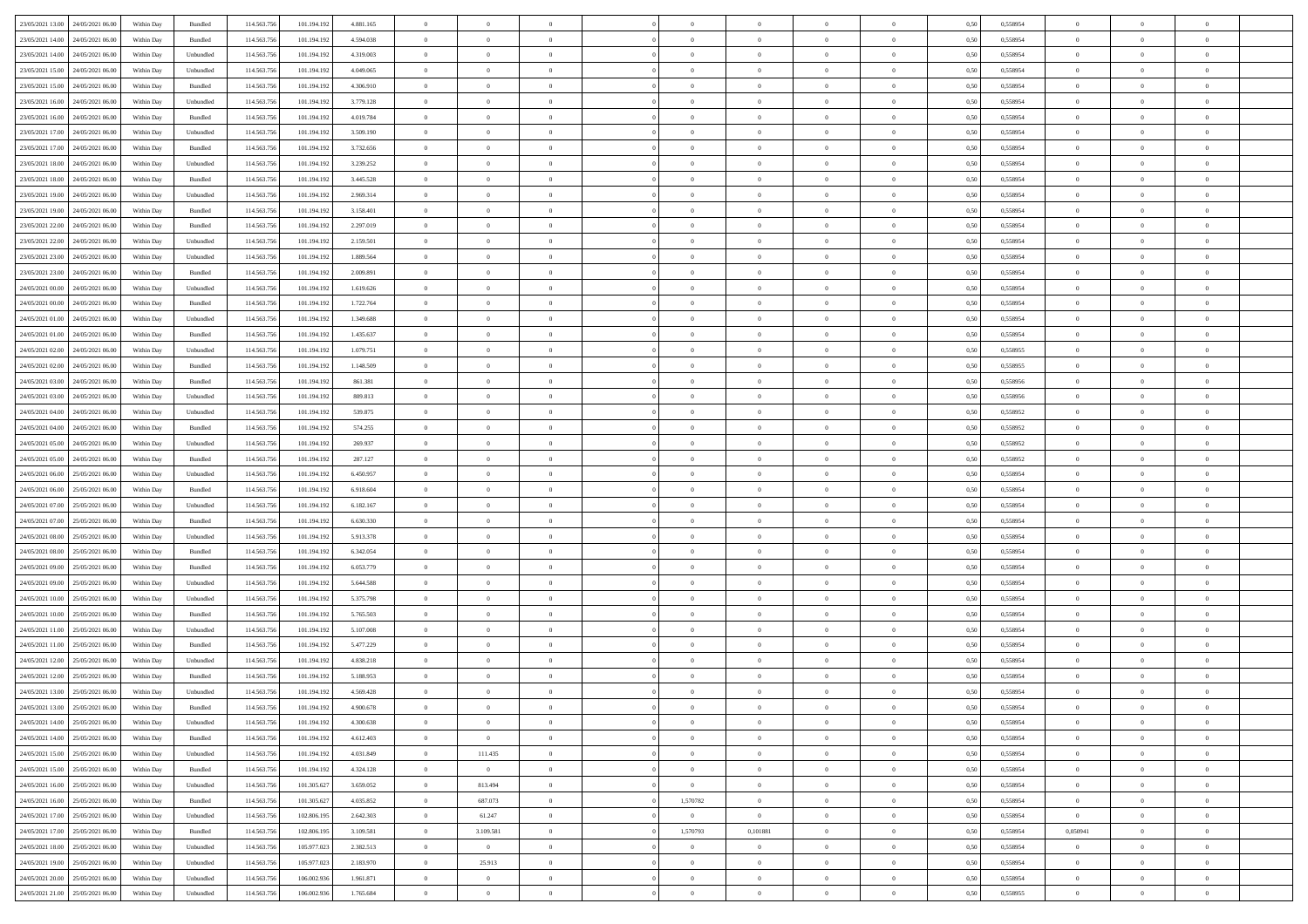| 23/05/2021 13:00 24/05/2021 06:00    | Within Day | Bundled            | 114.563.75  | 101.194.192 | 4.881.165 | $\overline{0}$ | $\overline{0}$ |                | $\overline{0}$ | $\theta$       |                | $\theta$       | 0,50 | 0,558954 | $\theta$       | $\theta$       | $\overline{0}$ |  |
|--------------------------------------|------------|--------------------|-------------|-------------|-----------|----------------|----------------|----------------|----------------|----------------|----------------|----------------|------|----------|----------------|----------------|----------------|--|
|                                      |            |                    |             |             |           |                |                |                |                |                |                |                |      |          |                |                |                |  |
| 23/05/2021 14:00<br>24/05/2021 06.00 | Within Day | Bundled            | 114.563.75  | 101.194.19  | 4.594.038 | $\bf{0}$       | $\bf{0}$       | $\bf{0}$       | $\bf{0}$       | $\overline{0}$ | $\overline{0}$ | $\bf{0}$       | 0,50 | 0,558954 | $\,$ 0 $\,$    | $\bf{0}$       | $\overline{0}$ |  |
| 23/05/2021 14:00<br>24/05/2021 06:00 | Within Day | Unbundled          | 114,563,75  | 101.194.192 | 4.319.003 | $\overline{0}$ | $\bf{0}$       | $\overline{0}$ | $\bf{0}$       | $\bf{0}$       | $\overline{0}$ | $\bf{0}$       | 0.50 | 0.558954 | $\bf{0}$       | $\overline{0}$ | $\overline{0}$ |  |
| 23/05/2021 15:00<br>24/05/2021 06:00 | Within Day | Unbundled          | 114.563.75  | 101.194.192 | 4.049.065 | $\overline{0}$ | $\overline{0}$ | $\overline{0}$ | $\theta$       | $\theta$       | $\overline{0}$ | $\bf{0}$       | 0,50 | 0,558954 | $\theta$       | $\theta$       | $\overline{0}$ |  |
| 23/05/2021 15:00<br>24/05/2021 06.00 | Within Day | Bundled            | 114.563.75  | 101.194.192 | 4.306.910 | $\bf{0}$       | $\overline{0}$ | $\bf{0}$       | $\overline{0}$ | $\bf{0}$       | $\overline{0}$ | $\bf{0}$       | 0,50 | 0,558954 | $\,$ 0 $\,$    | $\bf{0}$       | $\overline{0}$ |  |
| 23/05/2021 16:00<br>24/05/2021 06:00 | Within Day | Unbundled          | 114,563,75  | 101.194.192 | 3.779.128 | $\overline{0}$ | $\bf{0}$       | $\overline{0}$ | $\bf{0}$       | $\overline{0}$ | $\overline{0}$ | $\bf{0}$       | 0.50 | 0.558954 | $\,$ 0 $\,$    | $\theta$       | $\overline{0}$ |  |
| 23/05/2021 16:00<br>24/05/2021 06:00 | Within Day | Bundled            | 114.563.75  | 101.194.192 | 4.019.784 | $\overline{0}$ | $\overline{0}$ | $\overline{0}$ | $\overline{0}$ | $\overline{0}$ | $\overline{0}$ | $\bf{0}$       | 0,50 | 0,558954 | $\,$ 0 $\,$    | $\theta$       | $\overline{0}$ |  |
|                                      |            |                    |             |             |           |                |                |                |                |                |                |                |      |          |                |                |                |  |
| 23/05/2021 17:00<br>24/05/2021 06.00 | Within Day | Unbundled          | 114.563.75  | 101.194.19  | 3.509.190 | $\bf{0}$       | $\bf{0}$       | $\bf{0}$       | $\overline{0}$ | $\overline{0}$ | $\overline{0}$ | $\bf{0}$       | 0,50 | 0,558954 | $\,$ 0 $\,$    | $\bf{0}$       | $\overline{0}$ |  |
| 23/05/2021 17:00<br>24/05/2021 06:00 | Within Day | Bundled            | 114,563,75  | 101.194.192 | 3.732.656 | $\overline{0}$ | $\bf{0}$       | $\overline{0}$ | $\bf{0}$       | $\overline{0}$ | $\overline{0}$ | $\bf{0}$       | 0.50 | 0.558954 | $\bf{0}$       | $\overline{0}$ | $\overline{0}$ |  |
| 23/05/2021 18:00<br>24/05/2021 06:00 | Within Day | Unbundled          | 114.563.75  | 101.194.192 | 3.239.252 | $\bf{0}$       | $\bf{0}$       | $\overline{0}$ | $\overline{0}$ | $\overline{0}$ | $\overline{0}$ | $\bf{0}$       | 0,50 | 0,558954 | $\,$ 0 $\,$    | $\,$ 0 $\,$    | $\overline{0}$ |  |
| 23/05/2021 18:00<br>24/05/2021 06.00 | Within Day | Bundled            | 114.563.75  | 101.194.192 | 3.445.528 | $\bf{0}$       | $\bf{0}$       | $\bf{0}$       | $\bf{0}$       | $\overline{0}$ | $\overline{0}$ | $\bf{0}$       | 0,50 | 0,558954 | $\,$ 0 $\,$    | $\bf{0}$       | $\overline{0}$ |  |
| 23/05/2021 19:00<br>24/05/2021 06:00 | Within Day | Unbundled          | 114,563,75  | 101.194.192 | 2.969.314 | $\overline{0}$ | $\bf{0}$       | $\overline{0}$ | $\overline{0}$ | $\overline{0}$ | $\overline{0}$ | $\bf{0}$       | 0.50 | 0.558954 | $\bf{0}$       | $\,$ 0 $\,$    | $\,$ 0         |  |
| 23/05/2021 19:00<br>24/05/2021 06:00 | Within Day | Bundled            | 114.563.75  | 101.194.192 | 3.158.401 | $\overline{0}$ | $\overline{0}$ | $\overline{0}$ | $\theta$       | $\theta$       | $\overline{0}$ | $\bf{0}$       | 0,50 | 0,558954 | $\,$ 0 $\,$    | $\theta$       | $\overline{0}$ |  |
| 23/05/2021 22.00<br>24/05/2021 06.00 | Within Day | Bundled            | 114.563.75  | 101.194.19  | 2.297.019 | $\bf{0}$       | $\overline{0}$ | $\bf{0}$       | $\bf{0}$       | $\bf{0}$       | $\overline{0}$ | $\bf{0}$       | 0,50 | 0,558954 | $\,$ 0 $\,$    | $\bf{0}$       | $\overline{0}$ |  |
| 24/05/2021 06:00                     |            |                    | 114,563,75  |             |           |                |                |                |                |                | $\theta$       |                |      |          |                |                |                |  |
| 23/05/2021 22:00                     | Within Day | Unbundled          |             | 101.194.192 | 2.159.501 | $\overline{0}$ | $\bf{0}$       | $\overline{0}$ | $\bf{0}$       | $\overline{0}$ |                | $\bf{0}$       | 0.50 | 0.558954 | $\,$ 0 $\,$    | $\bf{0}$       | $\overline{0}$ |  |
| 23/05/2021 23:00<br>24/05/2021 06:00 | Within Day | Unbundled          | 114.563.75  | 101.194.192 | 1.889.564 | $\overline{0}$ | $\overline{0}$ | $\overline{0}$ | $\overline{0}$ | $\overline{0}$ | $\overline{0}$ | $\bf{0}$       | 0,50 | 0,558954 | $\theta$       | $\theta$       | $\overline{0}$ |  |
| 23/05/2021 23:00<br>24/05/2021 06.00 | Within Day | Bundled            | 114.563.75  | 101.194.19  | 2.009.891 | $\bf{0}$       | $\bf{0}$       | $\bf{0}$       | $\overline{0}$ | $\overline{0}$ | $\overline{0}$ | $\bf{0}$       | 0,50 | 0,558954 | $\,$ 0 $\,$    | $\bf{0}$       | $\overline{0}$ |  |
| 24/05/2021 00:00<br>24/05/2021 06:00 | Within Day | Unbundled          | 114,563,75  | 101.194.192 | 1.619.626 | $\overline{0}$ | $\bf{0}$       | $\overline{0}$ | $\bf{0}$       | $\overline{0}$ | $\overline{0}$ | $\bf{0}$       | 0.50 | 0.558954 | $\bf{0}$       | $\overline{0}$ | $\bf{0}$       |  |
| 24/05/2021 00:00<br>24/05/2021 06:00 | Within Day | Bundled            | 114.563.75  | 101.194.192 | 1.722.764 | $\overline{0}$ | $\bf{0}$       | $\overline{0}$ | $\overline{0}$ | $\overline{0}$ | $\overline{0}$ | $\bf{0}$       | 0,50 | 0,558954 | $\,$ 0 $\,$    | $\bf{0}$       | $\overline{0}$ |  |
| 24/05/2021 01:00<br>24/05/2021 06.00 | Within Day | Unbundled          | 114.563.75  | 101.194.19  | 1.349.688 | $\bf{0}$       | $\bf{0}$       | $\bf{0}$       | $\bf{0}$       | $\overline{0}$ | $\overline{0}$ | $\bf{0}$       | 0,50 | 0,558954 | $\,$ 0 $\,$    | $\bf{0}$       | $\overline{0}$ |  |
| 24/05/2021 01:00<br>24/05/2021 06:00 | Within Day | Bundled            | 114,563,75  | 101.194.192 | 1.435.637 | $\overline{0}$ | $\bf{0}$       | $\overline{0}$ | $\overline{0}$ | $\bf{0}$       | $\overline{0}$ | $\bf{0}$       | 0.50 | 0.558954 | $\bf{0}$       | $\,$ 0 $\,$    | $\,$ 0         |  |
| 24/05/2021 02:00<br>24/05/2021 06:00 | Within Day | Unbundled          | 114.563.75  | 101.194.192 | 1.079.751 | $\overline{0}$ | $\overline{0}$ | $\overline{0}$ | $\overline{0}$ | $\theta$       | $\overline{0}$ | $\bf{0}$       | 0,50 | 0,558955 | $\theta$       | $\theta$       | $\overline{0}$ |  |
| 24/05/2021 02:00<br>24/05/2021 06.00 | Within Day | Bundled            | 114.563.75  | 101.194.192 | 1.148.509 | $\bf{0}$       | $\bf{0}$       | $\bf{0}$       | $\bf{0}$       | $\overline{0}$ | $\overline{0}$ | $\bf{0}$       | 0,50 | 0,558955 | $\,$ 0 $\,$    | $\bf{0}$       | $\overline{0}$ |  |
| 24/05/2021 03:00<br>24/05/2021 06:00 | Within Day | Bundled            | 114,563,75  | 101.194.192 | 861.381   | $\overline{0}$ | $\bf{0}$       | $\overline{0}$ | $\bf{0}$       | $\overline{0}$ | $\theta$       | $\bf{0}$       | 0.50 | 0.558956 | $\,$ 0 $\,$    | $\overline{0}$ | $\overline{0}$ |  |
|                                      |            |                    |             |             |           | $\overline{0}$ | $\overline{0}$ | $\overline{0}$ | $\overline{0}$ | $\overline{0}$ | $\overline{0}$ |                |      |          |                | $\theta$       | $\overline{0}$ |  |
| 24/05/2021 03:00<br>24/05/2021 06:00 | Within Day | Unbundled          | 114.563.75  | 101.194.192 | 809.813   |                |                |                |                |                |                | $\bf{0}$       | 0,50 | 0,558956 | $\,$ 0 $\,$    |                |                |  |
| 24/05/2021 04:00<br>24/05/2021 06.00 | Within Day | Unbundled          | 114.563.75  | 101.194.192 | 539.875   | $\bf{0}$       | $\overline{0}$ | $\bf{0}$       | $\overline{0}$ | $\overline{0}$ | $\overline{0}$ | $\bf{0}$       | 0,50 | 0,558952 | $\,$ 0 $\,$    | $\bf{0}$       | $\overline{0}$ |  |
| 24/05/2021 04:00<br>24/05/2021 06:00 | Within Day | Bundled            | 114,563,75  | 101.194.192 | 574.255   | $\overline{0}$ | $\bf{0}$       | $\overline{0}$ | $\bf{0}$       | $\overline{0}$ | $\overline{0}$ | $\bf{0}$       | 0.50 | 0.558952 | $\bf{0}$       | $\overline{0}$ | $\overline{0}$ |  |
| 24/05/2021 05:00<br>24/05/2021 06:00 | Within Day | Unbundled          | 114.563.75  | 101.194.192 | 269.937   | $\overline{0}$ | $\bf{0}$       | $\overline{0}$ | $\overline{0}$ | $\overline{0}$ | $\overline{0}$ | $\bf{0}$       | 0,50 | 0,558952 | $\theta$       | $\bf{0}$       | $\overline{0}$ |  |
| 24/05/2021 05:00<br>24/05/2021 06.00 | Within Day | Bundled            | 114.563.75  | 101.194.192 | 287.127   | $\bf{0}$       | $\bf{0}$       | $\bf{0}$       | $\bf{0}$       | $\overline{0}$ | $\overline{0}$ | $\bf{0}$       | 0,50 | 0,558952 | $\,$ 0 $\,$    | $\bf{0}$       | $\overline{0}$ |  |
| 24/05/2021 06:00<br>25/05/2021 06:00 | Within Day | Unbundled          | 114,563,75  | 101.194.192 | 6.450.957 | $\overline{0}$ | $\bf{0}$       | $\overline{0}$ | $\overline{0}$ | $\bf{0}$       | $\overline{0}$ | $\bf{0}$       | 0.50 | 0.558954 | $\bf{0}$       | $\,$ 0 $\,$    | $\,$ 0         |  |
| 24/05/2021 06:00<br>25/05/2021 06:00 | Within Day | Bundled            | 114.563.75  | 101.194.192 | 6.918.604 | $\overline{0}$ | $\overline{0}$ | $\overline{0}$ | $\overline{0}$ | $\overline{0}$ | $\overline{0}$ | $\bf{0}$       | 0.50 | 0.558954 | $\theta$       | $\theta$       | $\overline{0}$ |  |
| 24/05/2021 07:00<br>25/05/2021 06.00 | Within Day | Unbundled          | 114.563.75  | 101.194.192 | 6.182.167 | $\bf{0}$       | $\bf{0}$       | $\bf{0}$       | $\bf{0}$       | $\overline{0}$ | $\overline{0}$ | $\bf{0}$       | 0,50 | 0,558954 | $\,$ 0 $\,$    | $\bf{0}$       | $\overline{0}$ |  |
| 24/05/2021 07:00<br>25/05/2021 06.00 | Within Day | Bundled            | 114,563,75  | 101.194.192 | 6.630.330 | $\overline{0}$ | $\bf{0}$       | $\overline{0}$ | $\bf{0}$       | $\overline{0}$ | $\overline{0}$ | $\bf{0}$       | 0.50 | 0.558954 | $\,$ 0 $\,$    | $\bf{0}$       | $\overline{0}$ |  |
| 24/05/2021 08:00<br>25/05/2021 06:00 | Within Dav | Unbundled          | 114.563.75  | 101.194.192 | 5.913.378 | $\overline{0}$ | $\overline{0}$ | $\overline{0}$ | $\overline{0}$ | $\overline{0}$ | $\overline{0}$ | $\bf{0}$       | 0.50 | 0,558954 | $\theta$       | $\theta$       | $\overline{0}$ |  |
| 24/05/2021 08:00<br>25/05/2021 06.00 | Within Day | Bundled            | 114.563.75  | 101.194.192 | 6.342.054 | $\bf{0}$       | $\bf{0}$       | $\bf{0}$       | $\bf{0}$       | $\overline{0}$ | $\overline{0}$ | $\bf{0}$       | 0,50 | 0,558954 | $\,$ 0 $\,$    | $\bf{0}$       | $\overline{0}$ |  |
|                                      |            |                    |             |             |           |                |                |                |                |                |                |                |      |          |                |                |                |  |
| 24/05/2021 09:00<br>25/05/2021 06:00 | Within Day | Bundled            | 114,563,75  | 101.194.192 | 6.053.779 | $\overline{0}$ | $\bf{0}$       | $\overline{0}$ | $\bf{0}$       | $\overline{0}$ | $\overline{0}$ | $\bf{0}$       | 0.50 | 0.558954 | $\bf{0}$       | $\overline{0}$ | $\overline{0}$ |  |
| 24/05/2021 09:00<br>25/05/2021 06:00 | Within Dav | Unbundled          | 114.563.75  | 101.194.192 | 5.644.588 | $\overline{0}$ | $\overline{0}$ | $\overline{0}$ | $\overline{0}$ | $\overline{0}$ | $\overline{0}$ | $\bf{0}$       | 0.50 | 0,558954 | $\theta$       | $\theta$       | $\overline{0}$ |  |
| 24/05/2021 10:00<br>25/05/2021 06.00 | Within Day | Unbundled          | 114.563.75  | 101.194.192 | 5.375.798 | $\bf{0}$       | $\bf{0}$       | $\bf{0}$       | $\bf{0}$       | $\overline{0}$ | $\overline{0}$ | $\bf{0}$       | 0,50 | 0,558954 | $\,$ 0 $\,$    | $\bf{0}$       | $\overline{0}$ |  |
| 24/05/2021 10:00<br>25/05/2021 06:00 | Within Day | Bundled            | 114,563,75  | 101.194.192 | 5.765.503 | $\overline{0}$ | $\bf{0}$       | $\overline{0}$ | $\overline{0}$ | $\bf{0}$       | $\overline{0}$ | $\bf{0}$       | 0.50 | 0.558954 | $\,$ 0 $\,$    | $\,$ 0 $\,$    | $\,$ 0         |  |
| 24/05/2021 11:00<br>25/05/2021 06:00 | Within Day | Unbundled          | 114.563.75  | 101.194.192 | 5.107.008 | $\overline{0}$ | $\overline{0}$ | $\overline{0}$ | $\overline{0}$ | $\overline{0}$ | $\overline{0}$ | $\bf{0}$       | 0.50 | 0.558954 | $\theta$       | $\theta$       | $\overline{0}$ |  |
| 24/05/2021 11:00<br>25/05/2021 06.00 | Within Day | Bundled            | 114.563.75  | 101.194.192 | 5.477.229 | $\bf{0}$       | $\bf{0}$       | $\bf{0}$       | $\bf{0}$       | $\overline{0}$ | $\overline{0}$ | $\bf{0}$       | 0,50 | 0,558954 | $\,$ 0 $\,$    | $\bf{0}$       | $\overline{0}$ |  |
| 24/05/2021 12:00<br>25/05/2021 06.00 | Within Day | Unbundled          | 114,563,75  | 101.194.192 | 4.838.218 | $\overline{0}$ | $\bf{0}$       | $\overline{0}$ | $\bf{0}$       | $\overline{0}$ | $\overline{0}$ | $\bf{0}$       | 0.50 | 0.558954 | $\bf{0}$       | $\theta$       | $\overline{0}$ |  |
| 24/05/2021 12:00<br>25/05/2021 06:00 | Within Day | Bundled            | 114.563.75  | 101.194.19  | 5.188.953 | $\overline{0}$ | $\overline{0}$ | $\Omega$       | $\theta$       | $\theta$       | $\overline{0}$ | $\overline{0}$ | 0.5( | 0,558954 | $\theta$       | $\theta$       | $\overline{0}$ |  |
| 24/05/2021 13:00<br>25/05/2021 06:00 | Within Day | Unbundled          | 114.563.75  | 101.194.192 | 4.569.428 | $\bf{0}$       | $\bf{0}$       | $\bf{0}$       | $\bf{0}$       | $\bf{0}$       | $\overline{0}$ | $\bf{0}$       | 0,50 | 0,558954 | $\overline{0}$ | $\overline{0}$ | $\overline{0}$ |  |
| 24/05/2021 13:00 25/05/2021 06:00    | Within Day | $\mathbf B$ undled | 114.563.756 | 101.194.192 | 4.900.678 | $\bf{0}$       | $\theta$       |                | $\overline{0}$ |                |                |                | 0,50 | 0.558954 | $\bf{0}$       | $\overline{0}$ |                |  |
| 24/05/2021 14:00 25/05/2021 06:00    |            |                    |             |             |           |                |                |                |                |                |                |                |      |          |                |                |                |  |
|                                      | Within Day | Unbundled          | 114.563.756 | 101.194.192 | 4.300.638 | $\overline{0}$ | $\overline{0}$ | $\Omega$       | $\theta$       | $\overline{0}$ | $\overline{0}$ | $\bf{0}$       | 0,50 | 0,558954 | $\theta$       | $\theta$       | $\overline{0}$ |  |
| 24/05/2021 14:00<br>25/05/2021 06:00 | Within Day | Bundled            | 114.563.75  | 101.194.192 | 4.612.403 | $\overline{0}$ | $\overline{0}$ | $\overline{0}$ | $\overline{0}$ | $\bf{0}$       | $\overline{0}$ | $\bf{0}$       | 0,50 | 0,558954 | $\bf{0}$       | $\overline{0}$ | $\bf{0}$       |  |
| 24/05/2021 15:00 25/05/2021 06:00    | Within Day | Unbundled          | 114,563,756 | 101.194.192 | 4.031.849 | $\overline{0}$ | 111.435        | $\overline{0}$ | $\overline{0}$ | $\mathbf{0}$   | $\overline{0}$ | $\,$ 0 $\,$    | 0.50 | 0.558954 | $\overline{0}$ | $\bf{0}$       | $\,$ 0 $\,$    |  |
| 24/05/2021 15:00 25/05/2021 06:00    | Within Dav | Bundled            | 114.563.756 | 101.194.192 | 4.324.128 | $\overline{0}$ | $\overline{0}$ | $\overline{0}$ | $\overline{0}$ | $\overline{0}$ | $\overline{0}$ | $\bf{0}$       | 0,50 | 0,558954 | $\overline{0}$ | $\theta$       | $\overline{0}$ |  |
| 24/05/2021 16:00<br>25/05/2021 06:00 | Within Day | Unbundled          | 114.563.75  | 101.305.627 | 3.659.052 | $\overline{0}$ | 813.494        | $\overline{0}$ | $\overline{0}$ | $\bf{0}$       | $\overline{0}$ | $\bf{0}$       | 0,50 | 0,558954 | $\bf{0}$       | $\overline{0}$ | $\overline{0}$ |  |
| 24/05/2021 16:00 25/05/2021 06:00    | Within Day | Bundled            | 114.563.756 | 101.305.627 | 4.035.852 | $\overline{0}$ | 687.073        | $\overline{0}$ | 1,570782       | $\overline{0}$ | $\overline{0}$ | $\bf{0}$       | 0.50 | 0.558954 | $\,$ 0 $\,$    | $\theta$       | $\,$ 0         |  |
| 24/05/2021 17:00 25/05/2021 06:00    | Within Dav | Unbundled          | 114.563.756 | 102.806.195 | 2.642.303 | $\overline{0}$ | 61.247         | $\overline{0}$ | $\overline{0}$ | $\overline{0}$ | $\overline{0}$ | $\bf{0}$       | 0.50 | 0,558954 | $\overline{0}$ | $\theta$       | $\overline{0}$ |  |
| 24/05/2021 17:00<br>25/05/2021 06:00 | Within Day | Bundled            | 114.563.75  | 102.806.19  | 3.109.581 | $\overline{0}$ | 3.109.581      | $\overline{0}$ | 1,570793       | 0,101881       | $\overline{0}$ | $\bf{0}$       | 0,50 | 0,558954 | 0,050941       | $\bf{0}$       | $\overline{0}$ |  |
| 24/05/2021 18:00 25/05/2021 06:00    | Within Day | Unbundled          | 114.563.75  | 105.977.023 | 2.382.513 | $\overline{0}$ | $\overline{0}$ | $\overline{0}$ | $\overline{0}$ | $\overline{0}$ | $\overline{0}$ | $\bf{0}$       | 0.50 | 0.558954 | $\bf{0}$       | $\bf{0}$       | $\,$ 0         |  |
|                                      |            |                    |             |             |           |                |                |                |                | $\overline{0}$ |                |                |      |          |                | $\theta$       | $\overline{0}$ |  |
| 24/05/2021 19:00 25/05/2021 06:00    | Within Dav | Unbundled          | 114.563.756 | 105.977.023 | 2.183.970 | $\overline{0}$ | 25.913         | $\overline{0}$ | $\overline{0}$ |                | $\overline{0}$ | $\bf{0}$       | 0,50 | 0,558954 | $\overline{0}$ |                |                |  |
| 24/05/2021 20:00<br>25/05/2021 06:00 | Within Day | Unbundled          | 114.563.75  | 106.002.93  | 1.961.871 | $\overline{0}$ | $\bf{0}$       | $\overline{0}$ | $\overline{0}$ | $\overline{0}$ | $\bf{0}$       | $\bf{0}$       | 0,50 | 0,558954 | $\bf{0}$       | $\,0\,$        | $\bf{0}$       |  |
| 24/05/2021 21:00 25/05/2021 06:00    | Within Day | Unbundled          | 114.563.756 | 106.002.936 | 1.765.684 | $\overline{0}$ | $\bf{0}$       | $\overline{0}$ | $\overline{0}$ | $\,$ 0 $\,$    | $\overline{0}$ | $\bf{0}$       | 0,50 | 0,558955 | $\overline{0}$ | $\,$ 0 $\,$    | $\,$ 0 $\,$    |  |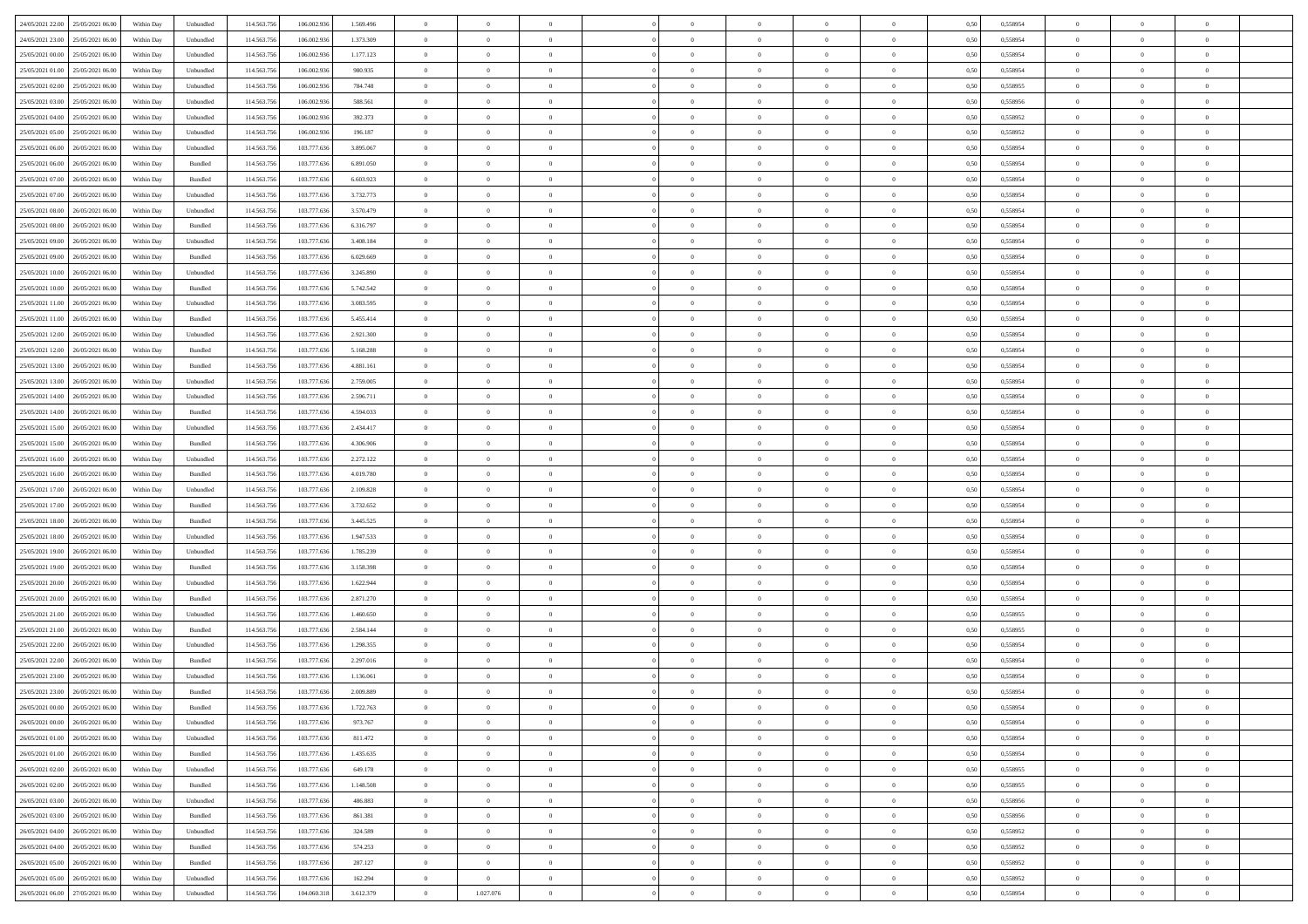| 24/05/2021 22:00 25/05/2021 06:00            | Within Day | Unbundled | 114.563.756 | 106.002.936 | 1.569.496 | $\overline{0}$ | $\overline{0}$ |                | $\overline{0}$ | $\theta$       |                | $\theta$       | 0,50 | 0,558954 | $\theta$       | $\theta$       | $\overline{0}$ |  |
|----------------------------------------------|------------|-----------|-------------|-------------|-----------|----------------|----------------|----------------|----------------|----------------|----------------|----------------|------|----------|----------------|----------------|----------------|--|
| 24/05/2021 23:00<br>25/05/2021 06.00         | Within Day | Unbundled | 114.563.75  | 106.002.93  | 1.373.309 | $\bf{0}$       | $\bf{0}$       | $\bf{0}$       | $\bf{0}$       | $\overline{0}$ | $\overline{0}$ | $\bf{0}$       | 0,50 | 0,558954 | $\,$ 0 $\,$    | $\bf{0}$       | $\overline{0}$ |  |
| 25/05/2021 00:00<br>25/05/2021 06:00         | Within Day | Unbundled | 114,563,75  | 106,002.93  | 1.177.123 | $\overline{0}$ | $\bf{0}$       | $\overline{0}$ | $\bf{0}$       | $\bf{0}$       | $\overline{0}$ | $\bf{0}$       | 0.50 | 0.558954 | $\bf{0}$       | $\overline{0}$ | $\overline{0}$ |  |
|                                              |            |           |             |             |           | $\overline{0}$ | $\overline{0}$ | $\overline{0}$ | $\theta$       | $\theta$       | $\overline{0}$ |                |      |          | $\theta$       | $\theta$       | $\overline{0}$ |  |
| 25/05/2021 01:00<br>25/05/2021 06:00         | Within Day | Unbundled | 114.563.75  | 106.002.936 | 980.935   |                |                |                |                |                |                | $\bf{0}$       | 0,50 | 0,558954 |                |                |                |  |
| 25/05/2021 02:00<br>25/05/2021 06.00         | Within Day | Unbundled | 114.563.75  | 106.002.93  | 784.748   | $\bf{0}$       | $\overline{0}$ | $\bf{0}$       | $\overline{0}$ | $\theta$       | $\overline{0}$ | $\bf{0}$       | 0,50 | 0,558955 | $\,$ 0 $\,$    | $\bf{0}$       | $\overline{0}$ |  |
| 25/05/2021 03:00<br>25/05/2021 06:00         | Within Day | Unbundled | 114,563,75  | 106.002.93  | 588,561   | $\overline{0}$ | $\bf{0}$       | $\overline{0}$ | $\bf{0}$       | $\overline{0}$ | $\theta$       | $\bf{0}$       | 0.50 | 0.558956 | $\,$ 0 $\,$    | $\theta$       | $\overline{0}$ |  |
| 25/05/2021 04:00<br>25/05/2021 06:00         | Within Day | Unbundled | 114.563.75  | 106.002.936 | 392.373   | $\overline{0}$ | $\overline{0}$ | $\overline{0}$ | $\overline{0}$ | $\overline{0}$ | $\overline{0}$ | $\bf{0}$       | 0,50 | 0,558952 | $\theta$       | $\theta$       | $\overline{0}$ |  |
|                                              |            |           |             |             |           |                |                |                |                |                |                |                |      |          |                |                |                |  |
| 25/05/2021 05:00<br>25/05/2021 06.00         | Within Day | Unbundled | 114.563.75  | 106.002.93  | 196.187   | $\bf{0}$       | $\bf{0}$       | $\bf{0}$       | $\overline{0}$ | $\overline{0}$ | $\overline{0}$ | $\bf{0}$       | 0,50 | 0,558952 | $\,$ 0 $\,$    | $\bf{0}$       | $\overline{0}$ |  |
| 25/05/2021 06:00<br>26/05/2021 06:00         | Within Day | Unbundled | 114,563,75  | 103,777,636 | 3.895.067 | $\overline{0}$ | $\bf{0}$       | $\overline{0}$ | $\bf{0}$       | $\overline{0}$ | $\overline{0}$ | $\bf{0}$       | 0.50 | 0.558954 | $\bf{0}$       | $\overline{0}$ | $\overline{0}$ |  |
| 25/05/2021 06:00<br>26/05/2021 06:00         | Within Day | Bundled   | 114.563.75  | 103.777.636 | 6.891.050 | $\overline{0}$ | $\bf{0}$       | $\overline{0}$ | $\overline{0}$ | $\overline{0}$ | $\overline{0}$ | $\bf{0}$       | 0,50 | 0,558954 | $\,$ 0 $\,$    | $\bf{0}$       | $\overline{0}$ |  |
| 25/05/2021 07:00<br>26/05/2021 06.00         | Within Day | Bundled   | 114.563.75  | 103.777.63  | 6.603.923 | $\bf{0}$       | $\bf{0}$       | $\bf{0}$       | $\bf{0}$       | $\overline{0}$ | $\overline{0}$ | $\bf{0}$       | 0,50 | 0,558954 | $\,$ 0 $\,$    | $\bf{0}$       | $\overline{0}$ |  |
|                                              |            |           |             |             |           |                |                |                |                |                |                |                |      |          |                |                |                |  |
| 25/05/2021 07:00<br>26/05/2021 06:00         | Within Day | Unbundled | 114,563,75  | 103,777,636 | 3.732.773 | $\overline{0}$ | $\bf{0}$       | $\overline{0}$ | $\overline{0}$ | $\bf{0}$       | $\overline{0}$ | $\bf{0}$       | 0.50 | 0.558954 | $\bf{0}$       | $\overline{0}$ | $\,$ 0         |  |
| 25/05/2021 08:00<br>26/05/2021 06:00         | Within Day | Unbundled | 114.563.75  | 103.777.636 | 3.570.479 | $\overline{0}$ | $\overline{0}$ | $\overline{0}$ | $\theta$       | $\theta$       | $\overline{0}$ | $\bf{0}$       | 0,50 | 0,558954 | $\,$ 0 $\,$    | $\theta$       | $\overline{0}$ |  |
| 25/05/2021 08:00<br>26/05/2021 06.00         | Within Day | Bundled   | 114.563.75  | 103.777.63  | 6.316.797 | $\bf{0}$       | $\overline{0}$ | $\bf{0}$       | $\overline{0}$ | $\bf{0}$       | $\overline{0}$ | $\bf{0}$       | 0,50 | 0,558954 | $\,$ 0 $\,$    | $\bf{0}$       | $\overline{0}$ |  |
|                                              |            |           |             |             |           |                |                |                |                |                | $\theta$       |                |      |          |                |                |                |  |
| 25/05/2021 09:00<br>26/05/2021 06:00         | Within Day | Unbundled | 114.563.756 | 103,777,636 | 3.408.184 | $\overline{0}$ | $\bf{0}$       | $\overline{0}$ | $\bf{0}$       | $\overline{0}$ |                | $\bf{0}$       | 0.50 | 0.558954 | $\,$ 0 $\,$    | $\theta$       | $\overline{0}$ |  |
| 25/05/2021 09:00<br>26/05/2021 06:00         | Within Day | Bundled   | 114.563.75  | 103.777.636 | 6.029.669 | $\overline{0}$ | $\overline{0}$ | $\overline{0}$ | $\overline{0}$ | $\overline{0}$ | $\overline{0}$ | $\bf{0}$       | 0,50 | 0,558954 | $\theta$       | $\theta$       | $\overline{0}$ |  |
| 25/05/2021 10:00<br>26/05/2021 06.00         | Within Day | Unbundled | 114.563.75  | 103.777.63  | 3.245.890 | $\bf{0}$       | $\bf{0}$       | $\bf{0}$       | $\overline{0}$ | $\bf{0}$       | $\overline{0}$ | $\bf{0}$       | 0,50 | 0,558954 | $\,$ 0 $\,$    | $\bf{0}$       | $\overline{0}$ |  |
| 25/05/2021 10:00<br>26/05/2021 06:00         | Within Day | Bundled   | 114,563,75  | 103,777,636 | 5.742.542 | $\overline{0}$ | $\bf{0}$       | $\overline{0}$ | $\bf{0}$       | $\overline{0}$ | $\overline{0}$ | $\bf{0}$       | 0.50 | 0.558954 | $\bf{0}$       | $\overline{0}$ | $\overline{0}$ |  |
| 25/05/2021 11:00<br>26/05/2021 06:00         | Within Day | Unbundled | 114.563.75  | 103.777.636 | 3.083.595 | $\overline{0}$ | $\bf{0}$       | $\overline{0}$ | $\overline{0}$ | $\overline{0}$ | $\overline{0}$ | $\bf{0}$       | 0,50 | 0,558954 | $\,$ 0 $\,$    | $\bf{0}$       | $\overline{0}$ |  |
|                                              |            |           |             |             |           |                |                |                |                |                |                |                |      |          |                |                |                |  |
| 25/05/2021 11:00<br>26/05/2021 06.00         | Within Day | Bundled   | 114.563.75  | 103.777.63  | 5.455.414 | $\bf{0}$       | $\bf{0}$       | $\bf{0}$       | $\bf{0}$       | $\overline{0}$ | $\overline{0}$ | $\bf{0}$       | 0,50 | 0,558954 | $\,$ 0 $\,$    | $\bf{0}$       | $\overline{0}$ |  |
| 25/05/2021 12:00<br>26/05/2021 06:00         | Within Day | Unbundled | 114.563.756 | 103,777,636 | 2.921.300 | $\overline{0}$ | $\bf{0}$       | $\overline{0}$ | $\overline{0}$ | $\bf{0}$       | $\overline{0}$ | $\bf{0}$       | 0.50 | 0.558954 | $\bf{0}$       | $\overline{0}$ | $\,$ 0         |  |
| 25/05/2021 12:00<br>26/05/2021 06:00         | Within Day | Bundled   | 114.563.75  | 103.777.636 | 5.168.288 | $\overline{0}$ | $\overline{0}$ | $\overline{0}$ | $\theta$       | $\theta$       | $\overline{0}$ | $\bf{0}$       | 0,50 | 0,558954 | $\theta$       | $\theta$       | $\overline{0}$ |  |
| 25/05/2021 13:00<br>26/05/2021 06.00         | Within Day | Bundled   | 114.563.75  | 103.777.63  | 4.881.161 | $\bf{0}$       | $\bf{0}$       | $\bf{0}$       | $\bf{0}$       | $\overline{0}$ | $\overline{0}$ | $\bf{0}$       | 0,50 | 0,558954 | $\,$ 0 $\,$    | $\bf{0}$       | $\overline{0}$ |  |
|                                              |            |           |             |             |           |                |                |                |                |                |                |                |      |          |                |                |                |  |
| 25/05/2021 13:00<br>26/05/2021 06:00         | Within Day | Unbundled | 114,563,75  | 103,777,636 | 2.759,005 | $\overline{0}$ | $\bf{0}$       | $\overline{0}$ | $\bf{0}$       | $\overline{0}$ | $\theta$       | $\bf{0}$       | 0.50 | 0.558954 | $\,$ 0 $\,$    | $\theta$       | $\overline{0}$ |  |
| 25/05/2021 14:00<br>26/05/2021 06:00         | Within Day | Unbundled | 114.563.75  | 103.777.636 | 2.596.711 | $\overline{0}$ | $\overline{0}$ | $\overline{0}$ | $\overline{0}$ | $\overline{0}$ | $\overline{0}$ | $\bf{0}$       | 0,50 | 0,558954 | $\,$ 0 $\,$    | $\theta$       | $\overline{0}$ |  |
| 25/05/2021 14:00<br>26/05/2021 06.00         | Within Day | Bundled   | 114.563.75  | 103.777.63  | 4.594.033 | $\bf{0}$       | $\overline{0}$ | $\bf{0}$       | $\overline{0}$ | $\bf{0}$       | $\overline{0}$ | $\bf{0}$       | 0,50 | 0,558954 | $\,$ 0 $\,$    | $\bf{0}$       | $\overline{0}$ |  |
| 25/05/2021 15:00<br>26/05/2021 06:00         | Within Day | Unbundled | 114,563,75  | 103,777,636 | 2.434.417 | $\overline{0}$ | $\bf{0}$       | $\overline{0}$ | $\bf{0}$       | $\overline{0}$ | $\overline{0}$ | $\bf{0}$       | 0.50 | 0.558954 | $\bf{0}$       | $\overline{0}$ | $\overline{0}$ |  |
|                                              |            |           |             |             |           |                |                |                |                |                |                |                |      |          |                |                |                |  |
| 25/05/2021 15:00<br>26/05/2021 06:00         | Within Day | Bundled   | 114.563.75  | 103.777.636 | 4.306.906 | $\overline{0}$ | $\bf{0}$       | $\overline{0}$ | $\overline{0}$ | $\overline{0}$ | $\overline{0}$ | $\bf{0}$       | 0,50 | 0,558954 | $\theta$       | $\theta$       | $\overline{0}$ |  |
| 25/05/2021 16:00<br>26/05/2021 06.00         | Within Day | Unbundled | 114.563.75  | 103.777.636 | 2.272.122 | $\bf{0}$       | $\bf{0}$       | $\bf{0}$       | $\bf{0}$       | $\overline{0}$ | $\overline{0}$ | $\bf{0}$       | 0,50 | 0,558954 | $\,$ 0 $\,$    | $\bf{0}$       | $\overline{0}$ |  |
| 25/05/2021 16:00<br>26/05/2021 06:00         | Within Day | Bundled   | 114,563,75  | 103,777,636 | 4.019.780 | $\overline{0}$ | $\bf{0}$       | $\overline{0}$ | $\overline{0}$ | $\bf{0}$       | $\overline{0}$ | $\bf{0}$       | 0.50 | 0.558954 | $\bf{0}$       | $\overline{0}$ | $\,$ 0         |  |
| 25/05/2021 17:00<br>26/05/2021 06:00         | Within Day | Unbundled | 114.563.75  | 103.777.636 | 2.109.828 | $\overline{0}$ | $\overline{0}$ | $\overline{0}$ | $\overline{0}$ | $\overline{0}$ | $\overline{0}$ | $\bf{0}$       | 0.50 | 0.558954 | $\theta$       | $\theta$       | $\overline{0}$ |  |
|                                              |            |           |             |             |           |                |                |                |                |                | $\overline{0}$ |                |      |          |                |                |                |  |
| 25/05/2021 17:00<br>26/05/2021 06.00         | Within Day | Bundled   | 114.563.75  | 103.777.63  | 3.732.652 | $\bf{0}$       | $\overline{0}$ | $\bf{0}$       | $\bf{0}$       | $\overline{0}$ |                | $\bf{0}$       | 0,50 | 0,558954 | $\,$ 0 $\,$    | $\bf{0}$       | $\overline{0}$ |  |
| 25/05/2021 18:00<br>26/05/2021 06.00         | Within Day | Bundled   | 114,563,75  | 103,777,636 | 3.445.525 | $\overline{0}$ | $\bf{0}$       | $\overline{0}$ | $\bf{0}$       | $\overline{0}$ | $\overline{0}$ | $\bf{0}$       | 0.50 | 0.558954 | $\,$ 0 $\,$    | $\bf{0}$       | $\overline{0}$ |  |
| 25/05/2021 18:00<br>26/05/2021 06:00         | Within Dav | Unbundled | 114.563.75  | 103.777.636 | 1.947.533 | $\overline{0}$ | $\overline{0}$ | $\overline{0}$ | $\overline{0}$ | $\overline{0}$ | $\overline{0}$ | $\bf{0}$       | 0.5( | 0,558954 | $\theta$       | $\theta$       | $\overline{0}$ |  |
| 25/05/2021 19:00<br>26/05/2021 06.00         | Within Day | Unbundled | 114.563.75  | 103.777.63  | 1.785.239 | $\bf{0}$       | $\bf{0}$       | $\bf{0}$       | $\bf{0}$       | $\overline{0}$ | $\overline{0}$ | $\bf{0}$       | 0,50 | 0,558954 | $\,$ 0 $\,$    | $\bf{0}$       | $\overline{0}$ |  |
| 25/05/2021 19:00<br>26/05/2021 06:00         | Within Day | Bundled   | 114,563,75  | 103,777,636 | 3.158.398 | $\overline{0}$ | $\bf{0}$       | $\overline{0}$ | $\bf{0}$       | $\overline{0}$ | $\overline{0}$ | $\bf{0}$       | 0.50 | 0.558954 | $\bf{0}$       | $\overline{0}$ | $\overline{0}$ |  |
|                                              |            |           |             |             |           |                |                |                |                |                |                |                |      |          |                |                |                |  |
| 25/05/2021 20:00<br>26/05/2021 06:00         | Within Dav | Unbundled | 114.563.75  | 103.777.636 | 1.622.944 | $\overline{0}$ | $\overline{0}$ | $\overline{0}$ | $\overline{0}$ | $\overline{0}$ | $\overline{0}$ | $\bf{0}$       | 0.50 | 0,558954 | $\theta$       | $\theta$       | $\overline{0}$ |  |
| 25/05/2021 20:00<br>26/05/2021 06.00         | Within Day | Bundled   | 114.563.75  | 103.777.63  | 2.871.270 | $\bf{0}$       | $\bf{0}$       | $\bf{0}$       | $\bf{0}$       | $\overline{0}$ | $\overline{0}$ | $\bf{0}$       | 0,50 | 0,558954 | $\,$ 0 $\,$    | $\bf{0}$       | $\overline{0}$ |  |
| 25/05/2021 21:00<br>26/05/2021 06:00         | Within Day | Unbundled | 114.563.75  | 103,777,636 | 1.460.650 | $\overline{0}$ | $\bf{0}$       | $\overline{0}$ | $\overline{0}$ | $\bf{0}$       | $\overline{0}$ | $\bf{0}$       | 0.50 | 0.558955 | $\bf{0}$       | $\overline{0}$ | $\overline{0}$ |  |
| 25/05/2021 21:00<br>26/05/2021 06:00         | Within Dav | Bundled   | 114.563.75  | 103.777.636 | 2.584.144 | $\overline{0}$ | $\overline{0}$ | $\overline{0}$ | $\overline{0}$ | $\overline{0}$ | $\overline{0}$ | $\bf{0}$       | 0.50 | 0,558955 | $\theta$       | $\theta$       | $\overline{0}$ |  |
|                                              |            |           |             |             |           |                |                |                |                |                |                |                |      |          |                |                |                |  |
| 25/05/2021 22:00<br>26/05/2021 06.00         | Within Day | Unbundled | 114.563.75  | 103.777.63  | 1.298.355 | $\bf{0}$       | $\bf{0}$       | $\bf{0}$       | $\bf{0}$       | $\overline{0}$ | $\overline{0}$ | $\bf{0}$       | 0,50 | 0,558954 | $\,$ 0 $\,$    | $\bf{0}$       | $\overline{0}$ |  |
| 25/05/2021 22.00<br>26/05/2021 06.00         | Within Day | Bundled   | 114,563,75  | 103,777,636 | 2.297.016 | $\overline{0}$ | $\overline{0}$ | $\overline{0}$ | $\bf{0}$       | $\overline{0}$ | $\overline{0}$ | $\bf{0}$       | 0.50 | 0.558954 | $\bf{0}$       | $\theta$       | $\overline{0}$ |  |
| 25/05/2021 23:00<br>26/05/2021 06:00         | Within Dav | Unbundled | 114.563.75  | 103.777.636 | 1.136.061 | $\overline{0}$ | $\overline{0}$ | $\Omega$       | $\overline{0}$ | $\theta$       | $\overline{0}$ | $\overline{0}$ | 0.5( | 0,558954 | $\theta$       | $\theta$       | $\overline{0}$ |  |
| 25/05/2021 23:00<br>26/05/2021 06:00         | Within Day | Bundled   | 114.563.75  | 103.777.636 | 2.009.889 | $\bf{0}$       | $\bf{0}$       | $\bf{0}$       | $\bf{0}$       | $\bf{0}$       | $\overline{0}$ | $\bf{0}$       | 0,50 | 0,558954 | $\,$ 0 $\,$    | $\overline{0}$ | $\overline{0}$ |  |
| $26/05/2021\ 00.00 \qquad 26/05/2021\ 06.00$ |            | Bundled   |             |             |           |                |                |                |                |                |                |                | 0,50 | 0.558954 |                |                |                |  |
|                                              | Within Day |           | 114.563.756 | 103.777.636 | 1.722.763 | $\bf{0}$       | $\theta$       |                | $\overline{0}$ |                |                |                |      |          | $\theta$       | $\overline{0}$ |                |  |
| 26/05/2021 00:00 26/05/2021 06:00            | Within Day | Unbundled | 114.563.756 | 103.777.636 | 973.767   | $\overline{0}$ | $\overline{0}$ | $\Omega$       | $\theta$       | $\overline{0}$ | $\overline{0}$ | $\bf{0}$       | 0,50 | 0,558954 | $\theta$       | $\theta$       | $\overline{0}$ |  |
| 26/05/2021 01:00<br>26/05/2021 06:00         | Within Day | Unbundled | 114.563.75  | 103.777.636 | 811.472   | $\overline{0}$ | $\bf{0}$       | $\overline{0}$ | $\overline{0}$ | $\bf{0}$       | $\overline{0}$ | $\bf{0}$       | 0,50 | 0,558954 | $\bf{0}$       | $\overline{0}$ | $\bf{0}$       |  |
| 26/05/2021 01:00 26/05/2021 06:00            | Within Day | Bundled   | 114.563.756 | 103.777.636 | 1.435.635 | $\overline{0}$ | $\bf{0}$       | $\overline{0}$ | $\overline{0}$ | $\mathbf{0}$   | $\overline{0}$ | $\,$ 0 $\,$    | 0.50 | 0.558954 | $\overline{0}$ | $\bf{0}$       | $\,$ 0 $\,$    |  |
| 26/05/2021 02:00 26/05/2021 06:00            | Within Dav | Unbundled | 114.563.756 | 103.777.636 | 649.178   | $\overline{0}$ | $\overline{0}$ | $\overline{0}$ | $\overline{0}$ | $\overline{0}$ | $\overline{0}$ | $\bf{0}$       | 0,50 | 0,558955 | $\overline{0}$ | $\theta$       | $\overline{0}$ |  |
|                                              |            |           |             |             |           |                |                |                |                |                |                |                |      |          |                |                |                |  |
| 26/05/2021 02:00<br>26/05/2021 06:00         | Within Day | Bundled   | 114.563.75  | 103.777.636 | 1.148.508 | $\overline{0}$ | $\bf{0}$       | $\overline{0}$ | $\overline{0}$ | $\bf{0}$       | $\overline{0}$ | $\bf{0}$       | 0,50 | 0,558955 | $\bf{0}$       | $\overline{0}$ | $\overline{0}$ |  |
| 26/05/2021 03:00<br>26/05/2021 06:00         | Within Day | Unbundled | 114.563.756 | 103,777,636 | 486.883   | $\overline{0}$ | $\bf{0}$       | $\overline{0}$ | $\overline{0}$ | $\bf{0}$       | $\overline{0}$ | $\bf{0}$       | 0.50 | 0.558956 | $\,$ 0 $\,$    | $\overline{0}$ | $\overline{0}$ |  |
| 26/05/2021 03:00<br>26/05/2021 06:00         | Within Dav | Bundled   | 114.563.756 | 103.777.636 | 861.381   | $\overline{0}$ | $\overline{0}$ | $\overline{0}$ | $\overline{0}$ | $\overline{0}$ | $\overline{0}$ | $\bf{0}$       | 0.50 | 0,558956 | $\overline{0}$ | $\theta$       | $\overline{0}$ |  |
|                                              |            |           |             |             |           |                | $\overline{0}$ |                |                | $\overline{0}$ |                |                |      |          | $\bf{0}$       | $\overline{0}$ | $\,$ 0         |  |
| 26/05/2021 04:00<br>26/05/2021 06.00         | Within Day | Unbundled | 114.563.75  | 103.777.636 | 324.589   | $\overline{0}$ |                | $\overline{0}$ | $\overline{0}$ |                | $\overline{0}$ | $\bf{0}$       | 0,50 | 0,558952 |                |                |                |  |
| 26/05/2021 06:00<br>26/05/2021 04:00         | Within Day | Bundled   | 114.563.75  | 103,777,636 | 574.253   | $\overline{0}$ | $\bf{0}$       | $\overline{0}$ | $\overline{0}$ | $\overline{0}$ | $\overline{0}$ | $\bf{0}$       | 0.50 | 0.558952 | $\mathbf{0}$   | $\bf{0}$       | $\,$ 0         |  |
| 26/05/2021 05:00 26/05/2021 06:00            | Within Dav | Bundled   | 114.563.756 | 103.777.636 | 287.127   | $\overline{0}$ | $\overline{0}$ | $\overline{0}$ | $\overline{0}$ | $\overline{0}$ | $\overline{0}$ | $\bf{0}$       | 0.50 | 0,558952 | $\overline{0}$ | $\theta$       | $\overline{0}$ |  |
| 26/05/2021 05:00<br>26/05/2021 06.00         | Within Day | Unbundled | 114.563.75  | 103.777.636 | 162.294   | $\overline{0}$ | $\overline{0}$ | $\overline{0}$ | $\overline{0}$ | $\overline{0}$ | $\overline{0}$ | $\bf{0}$       | 0,50 | 0,558952 | $\bf{0}$       | $\overline{0}$ | $\bf{0}$       |  |
|                                              |            |           |             |             |           |                |                |                |                |                |                |                |      |          |                |                |                |  |
| 26/05/2021 06:00 27/05/2021 06:00            | Within Day | Unbundled | 114.563.756 | 104.060.318 | 3.612.379 | $\,$ 0 $\,$    | 1.027.076      | $\overline{0}$ | $\overline{0}$ | $\,$ 0 $\,$    | $\overline{0}$ | $\bf{0}$       | 0,50 | 0,558954 | $\overline{0}$ | $\,$ 0 $\,$    | $\,$ 0 $\,$    |  |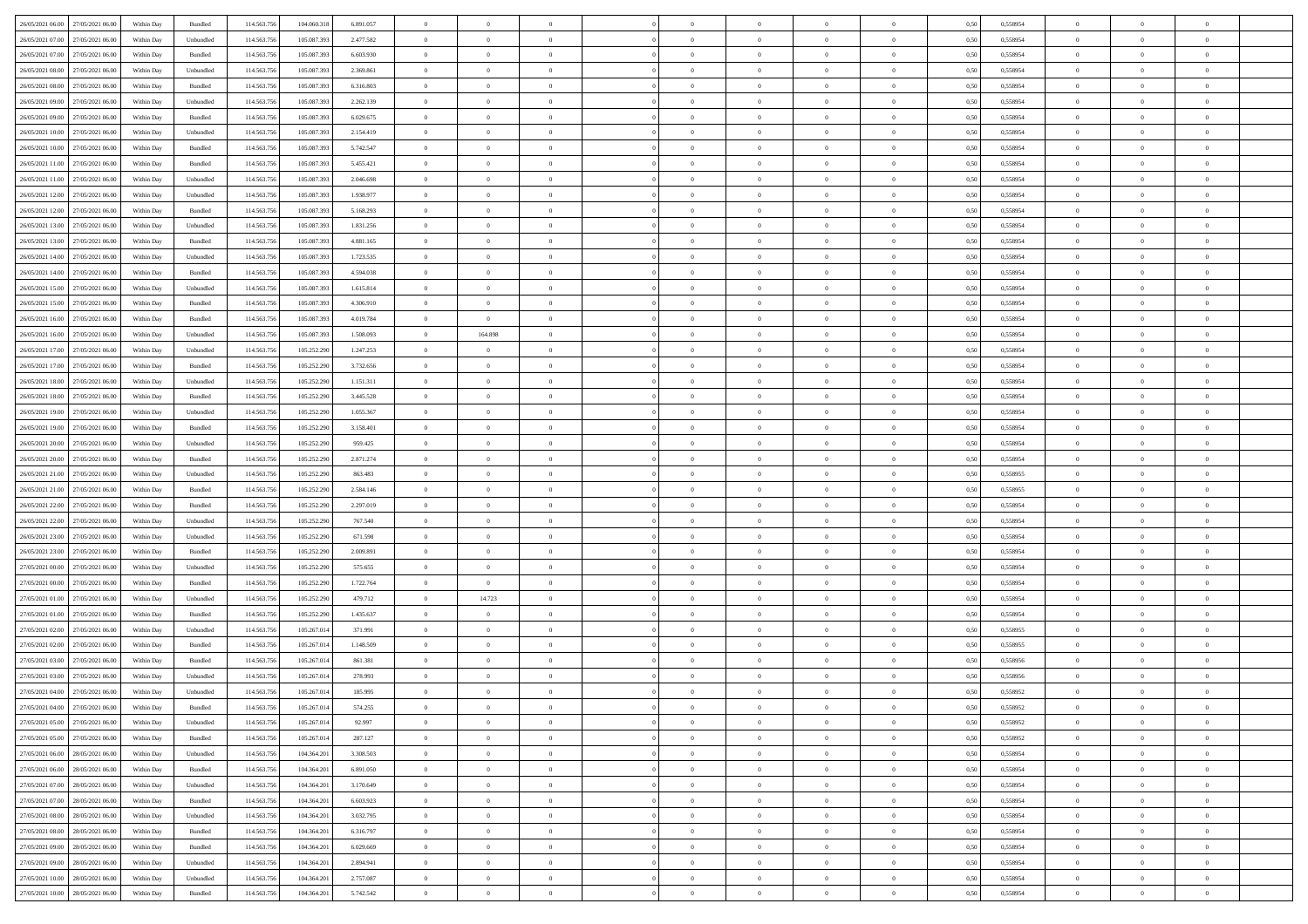| 26/05/2021 06:00 27/05/2021 06:00            | Within Day | Bundled            | 114.563.75  | 104.060.318 | 6.891.057 | $\overline{0}$ | $\theta$       |                | $\overline{0}$ | $\theta$       |                | $\theta$       | 0,50 | 0,558954 | $\theta$       | $\theta$       | $\theta$       |  |
|----------------------------------------------|------------|--------------------|-------------|-------------|-----------|----------------|----------------|----------------|----------------|----------------|----------------|----------------|------|----------|----------------|----------------|----------------|--|
| 26/05/2021 07:00<br>27/05/2021 06.00         | Within Day | Unbundled          | 114.563.75  | 105.087.39  | 2.477.582 | $\bf{0}$       | $\bf{0}$       | $\bf{0}$       | $\bf{0}$       | $\overline{0}$ | $\overline{0}$ | $\bf{0}$       | 0,50 | 0,558954 | $\,$ 0 $\,$    | $\bf{0}$       | $\overline{0}$ |  |
| 26/05/2021 07:00<br>27/05/2021 06:00         | Within Day | Bundled            | 114,563,75  | 105,087,393 | 6.603.930 | $\overline{0}$ | $\bf{0}$       | $\overline{0}$ | $\bf{0}$       | $\bf{0}$       | $\overline{0}$ | $\bf{0}$       | 0.50 | 0.558954 | $\bf{0}$       | $\overline{0}$ | $\overline{0}$ |  |
| 26/05/2021 08:00<br>27/05/2021 06:00         |            |                    | 114.563.75  |             |           | $\overline{0}$ | $\overline{0}$ | $\overline{0}$ | $\theta$       | $\theta$       | $\overline{0}$ |                |      |          | $\theta$       | $\theta$       | $\overline{0}$ |  |
|                                              | Within Day | Unbundled          |             | 105.087.393 | 2.369.861 |                |                |                |                |                |                | $\bf{0}$       | 0,50 | 0,558954 |                |                |                |  |
| 26/05/2021 08:00<br>27/05/2021 06.00         | Within Day | Bundled            | 114.563.75  | 105.087.39  | 6.316.803 | $\overline{0}$ | $\overline{0}$ | $\bf{0}$       | $\overline{0}$ | $\theta$       | $\overline{0}$ | $\bf{0}$       | 0,50 | 0,558954 | $\,$ 0 $\,$    | $\bf{0}$       | $\overline{0}$ |  |
| 26/05/2021 09:00<br>27/05/2021 06:00         | Within Day | Unbundled          | 114,563,75  | 105,087,393 | 2.262.139 | $\overline{0}$ | $\overline{0}$ | $\overline{0}$ | $\bf{0}$       | $\overline{0}$ | $\theta$       | $\bf{0}$       | 0.50 | 0.558954 | $\,$ 0 $\,$    | $\theta$       | $\overline{0}$ |  |
| 26/05/2021 09:00<br>27/05/2021 06:00         | Within Day | Bundled            | 114.563.75  | 105.087.39  | 6.029.675 | $\overline{0}$ | $\overline{0}$ | $\overline{0}$ | $\overline{0}$ | $\overline{0}$ | $\overline{0}$ | $\bf{0}$       | 0,50 | 0,558954 | $\theta$       | $\theta$       | $\overline{0}$ |  |
|                                              |            |                    |             |             |           |                |                |                |                |                |                |                |      |          |                |                |                |  |
| 26/05/2021 10:00<br>27/05/2021 06.00         | Within Day | Unbundled          | 114.563.75  | 105.087.39  | 2.154.419 | $\overline{0}$ | $\overline{0}$ | $\bf{0}$       | $\overline{0}$ | $\overline{0}$ | $\overline{0}$ | $\bf{0}$       | 0,50 | 0,558954 | $\,$ 0 $\,$    | $\bf{0}$       | $\overline{0}$ |  |
| 26/05/2021 10:00<br>27/05/2021 06:00         | Within Day | Bundled            | 114,563,75  | 105,087,393 | 5.742.547 | $\overline{0}$ | $\bf{0}$       | $\overline{0}$ | $\bf{0}$       | $\overline{0}$ | $\overline{0}$ | $\bf{0}$       | 0.50 | 0.558954 | $\bf{0}$       | $\overline{0}$ | $\overline{0}$ |  |
| 26/05/2021 11:00<br>27/05/2021 06:00         | Within Day | Bundled            | 114.563.75  | 105.087.393 | 5.455.421 | $\overline{0}$ | $\bf{0}$       | $\overline{0}$ | $\overline{0}$ | $\overline{0}$ | $\overline{0}$ | $\bf{0}$       | 0,50 | 0,558954 | $\,$ 0 $\,$    | $\bf{0}$       | $\overline{0}$ |  |
| 26/05/2021 11:00<br>27/05/2021 06.00         | Within Day | Unbundled          | 114.563.75  | 105.087.39  | 2.046.698 | $\bf{0}$       | $\overline{0}$ | $\bf{0}$       | $\bf{0}$       | $\bf{0}$       | $\overline{0}$ | $\bf{0}$       | 0,50 | 0,558954 | $\,$ 0 $\,$    | $\bf{0}$       | $\overline{0}$ |  |
|                                              |            |                    |             |             |           |                |                |                |                |                |                |                |      |          |                |                |                |  |
| 26/05/2021 12:00<br>27/05/2021 06:00         | Within Day | Unbundled          | 114,563,75  | 105,087,393 | 1.938.977 | $\overline{0}$ | $\bf{0}$       | $\overline{0}$ | $\overline{0}$ | $\bf{0}$       | $\overline{0}$ | $\bf{0}$       | 0.50 | 0.558954 | $\bf{0}$       | $\overline{0}$ | $\,$ 0         |  |
| 26/05/2021 12:00<br>27/05/2021 06:00         | Within Day | Bundled            | 114.563.75  | 105.087.39  | 5.168.293 | $\overline{0}$ | $\overline{0}$ | $\overline{0}$ | $\theta$       | $\theta$       | $\overline{0}$ | $\bf{0}$       | 0,50 | 0,558954 | $\,$ 0 $\,$    | $\theta$       | $\overline{0}$ |  |
| 26/05/2021 13:00<br>27/05/2021 06.00         | Within Day | Unbundled          | 114.563.75  | 105.087.39  | 1.831.256 | $\bf{0}$       | $\overline{0}$ | $\bf{0}$       | $\overline{0}$ | $\bf{0}$       | $\overline{0}$ | $\bf{0}$       | 0,50 | 0,558954 | $\,$ 0 $\,$    | $\bf{0}$       | $\overline{0}$ |  |
|                                              |            |                    |             |             |           |                |                |                |                |                | $\theta$       |                |      |          |                |                |                |  |
| 26/05/2021 13:00<br>27/05/2021 06.00         | Within Day | Bundled            | 114,563,75  | 105,087,393 | 4.881.165 | $\overline{0}$ | $\bf{0}$       | $\overline{0}$ | $\bf{0}$       | $\overline{0}$ |                | $\bf{0}$       | 0.50 | 0.558954 | $\,$ 0 $\,$    | $\theta$       | $\overline{0}$ |  |
| 26/05/2021 14:00<br>27/05/2021 06:00         | Within Day | Unbundled          | 114.563.75  | 105.087.393 | 1.723.535 | $\overline{0}$ | $\overline{0}$ | $\overline{0}$ | $\overline{0}$ | $\overline{0}$ | $\overline{0}$ | $\bf{0}$       | 0,50 | 0,558954 | $\theta$       | $\theta$       | $\overline{0}$ |  |
| 26/05/2021 14:00<br>27/05/2021 06.00         | Within Day | Bundled            | 114.563.75  | 105.087.39  | 4.594.038 | $\bf{0}$       | $\overline{0}$ | $\bf{0}$       | $\overline{0}$ | $\bf{0}$       | $\overline{0}$ | $\bf{0}$       | 0,50 | 0,558954 | $\,$ 0 $\,$    | $\bf{0}$       | $\overline{0}$ |  |
| 26/05/2021 15:00<br>27/05/2021 06:00         | Within Day | Unbundled          | 114,563,75  | 105,087,393 | 1.615.814 | $\overline{0}$ | $\bf{0}$       | $\overline{0}$ | $\bf{0}$       | $\overline{0}$ | $\overline{0}$ | $\bf{0}$       | 0.50 | 0.558954 | $\bf{0}$       | $\overline{0}$ | $\overline{0}$ |  |
| 26/05/2021 15:00<br>27/05/2021 06:00         |            |                    | 114.563.75  |             |           | $\overline{0}$ | $\bf{0}$       | $\overline{0}$ | $\overline{0}$ | $\overline{0}$ | $\overline{0}$ |                |      |          | $\,$ 0 $\,$    | $\bf{0}$       | $\overline{0}$ |  |
|                                              | Within Day | Bundled            |             | 105.087.393 | 4.306.910 |                |                |                |                |                |                | $\bf{0}$       | 0,50 | 0,558954 |                |                |                |  |
| 26/05/2021 16:00<br>27/05/2021 06.00         | Within Day | Bundled            | 114.563.75  | 105.087.39  | 4.019.784 | $\bf{0}$       | $\bf{0}$       | $\bf{0}$       | $\bf{0}$       | $\overline{0}$ | $\overline{0}$ | $\bf{0}$       | 0,50 | 0,558954 | $\,$ 0 $\,$    | $\bf{0}$       | $\overline{0}$ |  |
| 26/05/2021 16:00<br>27/05/2021 06:00         | Within Day | Unbundled          | 114,563,75  | 105,087,393 | 1.508.093 | $\overline{0}$ | 164.898        | $\overline{0}$ | $\overline{0}$ | $\bf{0}$       | $\overline{0}$ | $\bf{0}$       | 0.50 | 0.558954 | $\bf{0}$       | $\overline{0}$ | $\overline{0}$ |  |
| 26/05/2021 17:00<br>27/05/2021 06:00         | Within Day | Unbundled          | 114.563.75  | 105.252.290 | 1.247.253 | $\overline{0}$ | $\overline{0}$ | $\overline{0}$ | $\theta$       | $\theta$       | $\overline{0}$ | $\bf{0}$       | 0,50 | 0,558954 | $\theta$       | $\theta$       | $\overline{0}$ |  |
|                                              |            |                    |             |             |           |                | $\overline{0}$ |                |                | $\,$ 0 $\,$    | $\overline{0}$ |                |      |          |                |                |                |  |
| 26/05/2021 17:00<br>27/05/2021 06.00         | Within Day | Bundled            | 114.563.75  | 105.252.290 | 3.732.656 | $\bf{0}$       |                | $\bf{0}$       | $\bf{0}$       |                |                | $\bf{0}$       | 0,50 | 0,558954 | $\,$ 0 $\,$    | $\bf{0}$       | $\overline{0}$ |  |
| 26/05/2021 18:00<br>27/05/2021 06:00         | Within Day | Unbundled          | 114,563,75  | 105.252.29  | 1.151.311 | $\overline{0}$ | $\bf{0}$       | $\overline{0}$ | $\bf{0}$       | $\overline{0}$ | $\theta$       | $\bf{0}$       | 0.50 | 0.558954 | $\,$ 0 $\,$    | $\theta$       | $\overline{0}$ |  |
| 26/05/2021 18:00<br>27/05/2021 06:00         | Within Day | Bundled            | 114.563.75  | 105.252.290 | 3.445.528 | $\overline{0}$ | $\overline{0}$ | $\overline{0}$ | $\overline{0}$ | $\overline{0}$ | $\overline{0}$ | $\bf{0}$       | 0,50 | 0,558954 | $\theta$       | $\theta$       | $\overline{0}$ |  |
| 26/05/2021 19:00<br>27/05/2021 06.00         | Within Day | Unbundled          | 114.563.75  | 105.252.29  | 1.055.367 | $\bf{0}$       | $\overline{0}$ | $\bf{0}$       | $\overline{0}$ | $\bf{0}$       | $\overline{0}$ | $\bf{0}$       | 0,50 | 0,558954 | $\,$ 0 $\,$    | $\bf{0}$       | $\overline{0}$ |  |
| 26/05/2021 19:00<br>27/05/2021 06:00         | Within Day | Bundled            | 114,563,75  | 105.252.29  | 3.158.401 | $\overline{0}$ | $\bf{0}$       | $\overline{0}$ | $\bf{0}$       | $\overline{0}$ | $\overline{0}$ | $\bf{0}$       | 0.50 | 0.558954 | $\bf{0}$       | $\overline{0}$ | $\overline{0}$ |  |
|                                              |            |                    |             |             |           |                |                |                |                |                |                |                |      |          |                |                |                |  |
| 26/05/2021 20:00<br>27/05/2021 06:00         | Within Day | Unbundled          | 114.563.75  | 105.252.290 | 959.425   | $\overline{0}$ | $\overline{0}$ | $\overline{0}$ | $\overline{0}$ | $\overline{0}$ | $\overline{0}$ | $\bf{0}$       | 0,50 | 0,558954 | $\theta$       | $\theta$       | $\overline{0}$ |  |
| 26/05/2021 20:00<br>27/05/2021 06.00         | Within Day | Bundled            | 114.563.75  | 105.252.29  | 2.871.274 | $\bf{0}$       | $\bf{0}$       | $\bf{0}$       | $\bf{0}$       | $\overline{0}$ | $\overline{0}$ | $\bf{0}$       | 0,50 | 0,558954 | $\,$ 0 $\,$    | $\bf{0}$       | $\overline{0}$ |  |
| 26/05/2021 21:00<br>27/05/2021 06:00         | Within Day | Unbundled          | 114,563,75  | 105.252.290 | 863.483   | $\overline{0}$ | $\bf{0}$       | $\overline{0}$ | $\bf{0}$       | $\bf{0}$       | $\overline{0}$ | $\bf{0}$       | 0.50 | 0.558955 | $\bf{0}$       | $\overline{0}$ | $\,$ 0         |  |
| 26/05/2021 21:00<br>27/05/2021 06:00         | Within Day | Bundled            | 114.563.75  | 105.252.29  | 2.584.146 | $\overline{0}$ | $\overline{0}$ | $\overline{0}$ | $\overline{0}$ | $\overline{0}$ | $\overline{0}$ | $\bf{0}$       | 0.50 | 0.558955 | $\theta$       | $\theta$       | $\overline{0}$ |  |
|                                              |            |                    |             |             |           |                |                |                |                |                |                |                |      |          |                |                |                |  |
| 26/05/2021 22.00<br>27/05/2021 06.00         | Within Day | Bundled            | 114.563.75  | 105.252.29  | 2.297.019 | $\bf{0}$       | $\overline{0}$ | $\bf{0}$       | $\bf{0}$       | $\,$ 0 $\,$    | $\overline{0}$ | $\bf{0}$       | 0,50 | 0,558954 | $\,$ 0 $\,$    | $\bf{0}$       | $\overline{0}$ |  |
| 26/05/2021 22:00<br>27/05/2021 06.00         | Within Day | Unbundled          | 114,563,75  | 105.252.290 | 767.540   | $\overline{0}$ | $\bf{0}$       | $\overline{0}$ | $\bf{0}$       | $\overline{0}$ | $\Omega$       | $\bf{0}$       | 0.50 | 0.558954 | $\,$ 0 $\,$    | $\bf{0}$       | $\overline{0}$ |  |
| 26/05/2021 23:00<br>27/05/2021 06:00         | Within Dav | Unbundled          | 114.563.75  | 105.252.290 | 671.598   | $\overline{0}$ | $\overline{0}$ | $\overline{0}$ | $\overline{0}$ | $\theta$       | $\overline{0}$ | $\bf{0}$       | 0.50 | 0,558954 | $\theta$       | $\theta$       | $\overline{0}$ |  |
| 26/05/2021 23:00<br>27/05/2021 06.00         | Within Day | Bundled            | 114.563.75  | 105.252.29  | 2.009.891 | $\bf{0}$       | $\bf{0}$       | $\bf{0}$       | $\bf{0}$       | $\overline{0}$ | $\overline{0}$ | $\bf{0}$       | 0,50 | 0,558954 | $\,$ 0 $\,$    | $\bf{0}$       | $\overline{0}$ |  |
|                                              |            |                    |             |             |           |                |                |                |                |                |                |                |      |          |                |                |                |  |
| 27/05/2021 00:00<br>27/05/2021 06:00         | Within Day | Unbundled          | 114,563,75  | 105.252.29  | 575.655   | $\overline{0}$ | $\bf{0}$       | $\overline{0}$ | $\bf{0}$       | $\overline{0}$ | $\overline{0}$ | $\bf{0}$       | 0.50 | 0.558954 | $\bf{0}$       | $\overline{0}$ | $\overline{0}$ |  |
| 27/05/2021 00:00<br>27/05/2021 06:00         | Within Dav | Bundled            | 114.563.75  | 105.252.290 | 1.722.764 | $\overline{0}$ | $\overline{0}$ | $\overline{0}$ | $\overline{0}$ | $\overline{0}$ | $\overline{0}$ | $\bf{0}$       | 0.50 | 0,558954 | $\theta$       | $\theta$       | $\overline{0}$ |  |
| 27/05/2021 01:00<br>27/05/2021 06.00         | Within Day | Unbundled          | 114.563.75  | 105.252.290 | 479.712   | $\bf{0}$       | 14.723         | $\bf{0}$       | $\bf{0}$       | $\overline{0}$ | $\overline{0}$ | $\bf{0}$       | 0,50 | 0,558954 | $\,$ 0 $\,$    | $\bf{0}$       | $\overline{0}$ |  |
| 27/05/2021 01:00<br>27/05/2021 06:00         | Within Day | Bundled            | 114,563,75  | 105.252.290 | 1.435.637 | $\overline{0}$ | $\bf{0}$       | $\overline{0}$ | $\overline{0}$ | $\bf{0}$       | $\overline{0}$ | $\bf{0}$       | 0.50 | 0.558954 | $\bf{0}$       | $\overline{0}$ | $\overline{0}$ |  |
| 27/05/2021 02:00<br>27/05/2021 06:00         | Within Dav | Unbundled          | 114.563.75  | 105.267.014 | 371.991   | $\overline{0}$ | $\overline{0}$ | $\overline{0}$ | $\overline{0}$ | $\overline{0}$ | $\overline{0}$ | $\bf{0}$       | 0.50 | 0.558955 | $\theta$       | $\theta$       | $\overline{0}$ |  |
|                                              |            |                    |             |             |           |                |                |                |                |                |                |                |      |          |                |                |                |  |
| 27/05/2021 02:00<br>27/05/2021 06.00         | Within Day | Bundled            | 114.563.75  | 105.267.014 | 1.148.509 | $\bf{0}$       | $\bf{0}$       | $\bf{0}$       | $\bf{0}$       | $\overline{0}$ | $\overline{0}$ | $\bf{0}$       | 0,50 | 0,558955 | $\,$ 0 $\,$    | $\bf{0}$       | $\overline{0}$ |  |
| 27/05/2021 03:00<br>27/05/2021 06.00         | Within Day | Bundled            | 114,563,75  | 105.267.01  | 861.381   | $\overline{0}$ | $\overline{0}$ | $\overline{0}$ | $\bf{0}$       | $\overline{0}$ | $\Omega$       | $\bf{0}$       | 0.50 | 0.558956 | $\bf{0}$       | $\theta$       | $\overline{0}$ |  |
| 27/05/2021 03:00<br>27/05/2021 06:00         | Within Dav | Unbundled          | 114.563.75  | 105.267.014 | 278,993   | $\overline{0}$ | $\overline{0}$ | $\Omega$       | $\overline{0}$ | $\theta$       | $\Omega$       | $\overline{0}$ | 0.5( | 0,558956 | $\theta$       | $\theta$       | $\overline{0}$ |  |
| 27/05/2021 04:00<br>27/05/2021 06:00         | Within Day | Unbundled          | 114.563.75  | 105.267.014 | 185.995   | $\bf{0}$       | $\bf{0}$       | $\bf{0}$       | $\bf{0}$       | $\bf{0}$       | $\overline{0}$ | $\bf{0}$       | 0,50 | 0,558952 | $\overline{0}$ | $\overline{0}$ | $\overline{0}$ |  |
|                                              |            |                    |             |             |           |                |                |                |                |                |                |                |      |          |                |                |                |  |
| $27/05/2021\ 04.00 \qquad 27/05/2021\ 06.00$ | Within Day | $\mathbf B$ undled | 114.563.756 | 105.267.014 | 574.255   | $\overline{0}$ | $\Omega$       |                | $\Omega$       |                |                |                | 0,50 | 0,558952 | $\theta$       | $\overline{0}$ |                |  |
| 27/05/2021 05:00 27/05/2021 06:00            | Within Day | Unbundled          | 114.563.756 | 105.267.014 | 92.997    | $\overline{0}$ | $\overline{0}$ | $\Omega$       | $\theta$       | $\overline{0}$ | $\overline{0}$ | $\bf{0}$       | 0,50 | 0,558952 | $\theta$       | $\overline{0}$ | $\overline{0}$ |  |
| 27/05/2021 05:00<br>27/05/2021 06:00         | Within Day | Bundled            | 114.563.75  | 105.267.014 | 287.127   | $\overline{0}$ | $\bf{0}$       | $\overline{0}$ | $\overline{0}$ | $\bf{0}$       | $\overline{0}$ | $\bf{0}$       | 0,50 | 0,558952 | $\bf{0}$       | $\overline{0}$ | $\bf{0}$       |  |
| 27/05/2021 06:00 28/05/2021 06:00            | Within Day | Unbundled          | 114,563,756 | 104.364.201 | 3.308.503 | $\overline{0}$ | $\bf{0}$       | $\overline{0}$ | $\overline{0}$ | $\mathbf{0}$   | $\overline{0}$ | $\,$ 0 $\,$    | 0.50 | 0.558954 | $\overline{0}$ | $\bf{0}$       | $\bf{0}$       |  |
|                                              |            |                    |             |             |           |                |                |                |                |                |                |                |      |          |                |                |                |  |
| 27/05/2021 06:00 28/05/2021 06:00            | Within Dav | Bundled            | 114.563.756 | 104.364.201 | 6.891.050 | $\overline{0}$ | $\overline{0}$ | $\overline{0}$ | $\overline{0}$ | $\overline{0}$ | $\overline{0}$ | $\bf{0}$       | 0,50 | 0,558954 | $\overline{0}$ | $\theta$       | $\overline{0}$ |  |
| 27/05/2021 07:00<br>28/05/2021 06:00         | Within Day | Unbundled          | 114.563.75  | 104.364.201 | 3.170.649 | $\overline{0}$ | $\bf{0}$       | $\overline{0}$ | $\overline{0}$ | $\bf{0}$       | $\overline{0}$ | $\bf{0}$       | 0,50 | 0,558954 | $\bf{0}$       | $\overline{0}$ | $\overline{0}$ |  |
| 27/05/2021 07:00<br>28/05/2021 06:00         | Within Day | Bundled            | 114.563.756 | 104.364.201 | 6.603.923 | $\overline{0}$ | $\bf{0}$       | $\overline{0}$ | $\overline{0}$ | $\bf{0}$       | $\overline{0}$ | $\bf{0}$       | 0.50 | 0.558954 | $\,$ 0 $\,$    | $\overline{0}$ | $\,$ 0         |  |
| 27/05/2021 08:00<br>28/05/2021 06:00         | Within Dav | Unbundled          | 114.563.756 | 104.364.201 | 3.032.795 | $\overline{0}$ | $\overline{0}$ | $\overline{0}$ | $\overline{0}$ | $\overline{0}$ | $\overline{0}$ | $\bf{0}$       | 0.50 | 0,558954 | $\overline{0}$ | $\theta$       | $\overline{0}$ |  |
|                                              |            |                    |             |             |           |                |                |                |                |                |                |                |      |          |                |                |                |  |
| 27/05/2021 08:00<br>28/05/2021 06:00         | Within Day | Bundled            | 114.563.75  | 104.364.201 | 6.316.797 | $\overline{0}$ | $\overline{0}$ | $\overline{0}$ | $\overline{0}$ | $\overline{0}$ | $\overline{0}$ | $\bf{0}$       | 0,50 | 0,558954 | $\bf{0}$       | $\overline{0}$ | $\,$ 0         |  |
| 27/05/2021 09:00 28/05/2021 06:00            | Within Day | Bundled            | 114.563.75  | 104.364.201 | 6.029.669 | $\overline{0}$ | $\overline{0}$ | $\overline{0}$ | $\overline{0}$ | $\overline{0}$ | $\overline{0}$ | $\bf{0}$       | 0.50 | 0.558954 | $\mathbf{0}$   | $\bf{0}$       | $\,$ 0         |  |
| 27/05/2021 09:00 28/05/2021 06:00            | Within Dav | Unbundled          | 114.563.756 | 104.364.201 | 2.894.941 | $\overline{0}$ | $\overline{0}$ | $\overline{0}$ | $\overline{0}$ | $\overline{0}$ | $\overline{0}$ | $\bf{0}$       | 0,50 | 0,558954 | $\overline{0}$ | $\theta$       | $\overline{0}$ |  |
| 27/05/2021 10:00<br>28/05/2021 06:00         | Within Day | Unbundled          | 114.563.75  | 104.364.20  | 2.757.087 | $\overline{0}$ | $\bf{0}$       | $\overline{0}$ | $\overline{0}$ | $\overline{0}$ | $\overline{0}$ | $\bf{0}$       | 0,50 | 0,558954 | $\bf{0}$       | $\overline{0}$ | $\bf{0}$       |  |
|                                              |            |                    |             |             |           |                |                |                |                |                |                |                |      |          |                |                |                |  |
| 27/05/2021 10:00 28/05/2021 06:00            | Within Day | Bundled            | 114.563.756 | 104.364.201 | 5.742.542 | $\overline{0}$ | $\bf{0}$       | $\overline{0}$ | $\overline{0}$ | $\,$ 0 $\,$    | $\overline{0}$ | $\,$ 0 $\,$    | 0,50 | 0,558954 | $\overline{0}$ | $\,$ 0 $\,$    | $\,$ 0 $\,$    |  |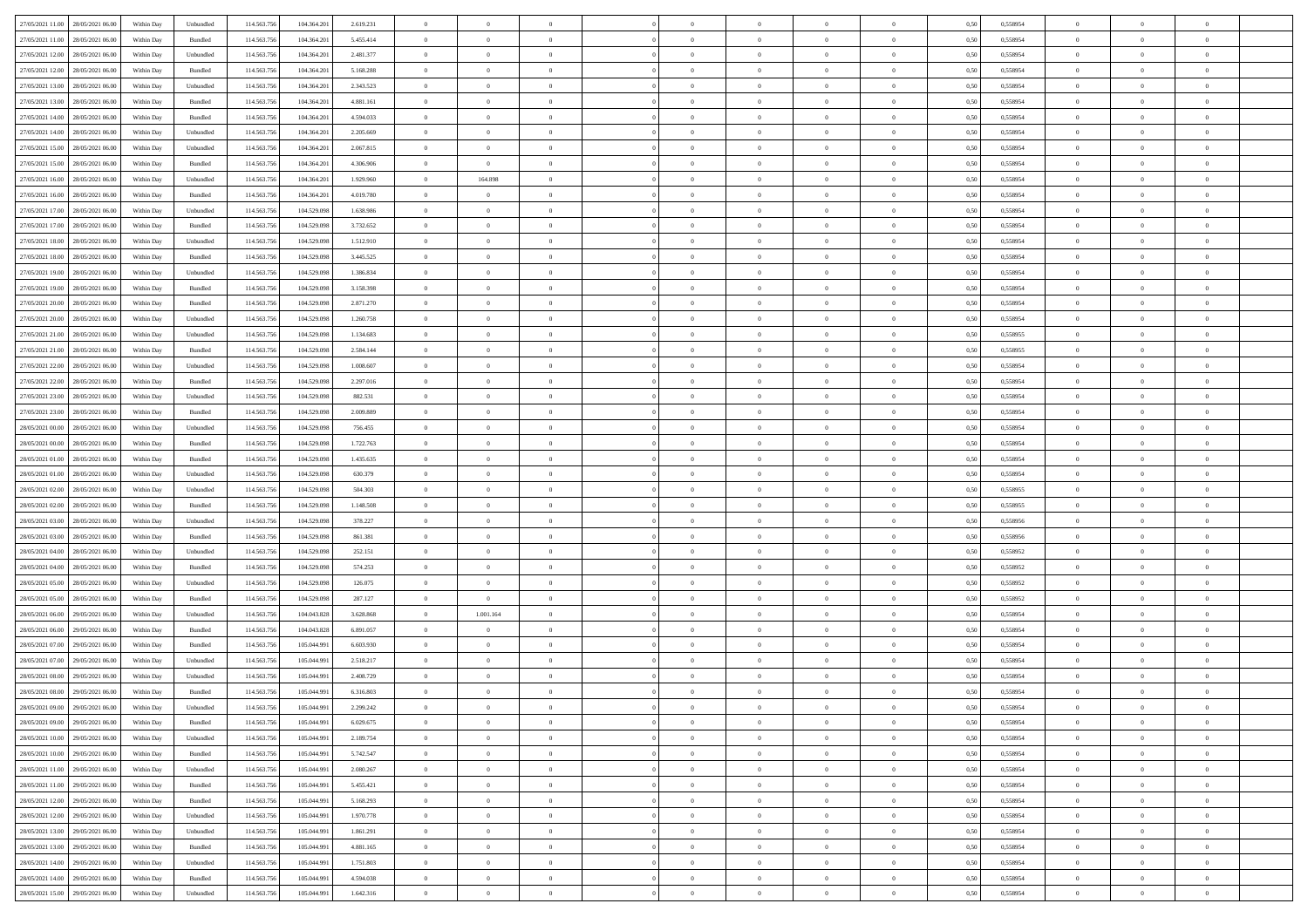| 27/05/2021 11:00 28/05/2021 06:00    | Within Day | Unbundled                   | 114.563.756 | 104.364.201 | 2.619.231 | $\overline{0}$ | $\overline{0}$ |                | $\overline{0}$ | $\theta$       |                | $\theta$       | 0,50 | 0,558954 | $\theta$       | $\theta$       | $\overline{0}$ |  |
|--------------------------------------|------------|-----------------------------|-------------|-------------|-----------|----------------|----------------|----------------|----------------|----------------|----------------|----------------|------|----------|----------------|----------------|----------------|--|
| 27/05/2021 11:00<br>28/05/2021 06:00 | Within Day | Bundled                     | 114.563.75  | 104.364.20  | 5.455.414 | $\bf{0}$       | $\bf{0}$       | $\bf{0}$       | $\bf{0}$       | $\overline{0}$ | $\overline{0}$ | $\bf{0}$       | 0,50 | 0,558954 | $\,$ 0 $\,$    | $\bf{0}$       | $\overline{0}$ |  |
| 27/05/2021 12:00<br>28/05/2021 06:00 | Within Day | Unbundled                   | 114,563,75  | 104.364.201 | 2.481.377 | $\overline{0}$ | $\bf{0}$       | $\overline{0}$ | $\bf{0}$       | $\bf{0}$       | $\overline{0}$ | $\bf{0}$       | 0.50 | 0.558954 | $\bf{0}$       | $\overline{0}$ | $\overline{0}$ |  |
| 27/05/2021 12:00<br>28/05/2021 06:00 |            |                             | 114.563.75  |             |           | $\overline{0}$ | $\overline{0}$ | $\overline{0}$ | $\theta$       | $\theta$       | $\overline{0}$ |                |      |          | $\theta$       | $\theta$       | $\overline{0}$ |  |
|                                      | Within Day | Bundled                     |             | 104.364.201 | 5.168.288 |                |                |                |                |                |                | $\bf{0}$       | 0,50 | 0,558954 |                |                |                |  |
| 27/05/2021 13:00<br>28/05/2021 06:00 | Within Day | Unbundled                   | 114.563.75  | 104.364.20  | 2.343.523 | $\bf{0}$       | $\overline{0}$ | $\bf{0}$       | $\overline{0}$ | $\bf{0}$       | $\overline{0}$ | $\bf{0}$       | 0,50 | 0,558954 | $\,$ 0 $\,$    | $\bf{0}$       | $\overline{0}$ |  |
| 27/05/2021 13:00<br>28/05/2021 06:00 | Within Day | Bundled                     | 114,563,75  | 104.364.20  | 4.881.161 | $\overline{0}$ | $\bf{0}$       | $\overline{0}$ | $\bf{0}$       | $\overline{0}$ | $\theta$       | $\bf{0}$       | 0.50 | 0.558954 | $\,$ 0 $\,$    | $\theta$       | $\overline{0}$ |  |
| 27/05/2021 14:00<br>28/05/2021 06:00 | Within Day | Bundled                     | 114.563.75  | 104.364.201 | 4.594.033 | $\overline{0}$ | $\overline{0}$ | $\overline{0}$ | $\overline{0}$ | $\overline{0}$ | $\overline{0}$ | $\bf{0}$       | 0,50 | 0,558954 | $\,$ 0 $\,$    | $\theta$       | $\overline{0}$ |  |
|                                      |            |                             |             |             |           |                |                |                |                |                |                |                |      |          |                |                |                |  |
| 27/05/2021 14:00<br>28/05/2021 06:00 | Within Day | Unbundled                   | 114.563.75  | 104.364.20  | 2.205.669 | $\bf{0}$       | $\bf{0}$       | $\bf{0}$       | $\overline{0}$ | $\overline{0}$ | $\overline{0}$ | $\bf{0}$       | 0,50 | 0,558954 | $\,$ 0 $\,$    | $\bf{0}$       | $\overline{0}$ |  |
| 27/05/2021 15:00<br>28/05/2021 06:00 | Within Day | Unbundled                   | 114,563,75  | 104.364.20  | 2.067.815 | $\overline{0}$ | $\bf{0}$       | $\overline{0}$ | $\bf{0}$       | $\overline{0}$ | $\overline{0}$ | $\bf{0}$       | 0.50 | 0.558954 | $\bf{0}$       | $\overline{0}$ | $\overline{0}$ |  |
| 27/05/2021 15:00<br>28/05/2021 06:00 | Within Day | Bundled                     | 114.563.75  | 104.364.201 | 4.306.906 | $\overline{0}$ | $\bf{0}$       | $\overline{0}$ | $\overline{0}$ | $\overline{0}$ | $\overline{0}$ | $\bf{0}$       | 0,50 | 0,558954 | $\,$ 0 $\,$    | $\,$ 0 $\,$    | $\overline{0}$ |  |
| 27/05/2021 16:00<br>28/05/2021 06:00 | Within Day | Unbundled                   | 114.563.75  | 104.364.20  | 1.929.960 | $\bf{0}$       | 164.898        | $\bf{0}$       | $\bf{0}$       | $\overline{0}$ | $\overline{0}$ | $\bf{0}$       | 0,50 | 0,558954 | $\,$ 0 $\,$    | $\bf{0}$       | $\overline{0}$ |  |
|                                      |            |                             |             |             |           |                |                |                |                |                |                |                |      |          |                |                |                |  |
| 27/05/2021 16:00<br>28/05/2021 06:00 | Within Day | Bundled                     | 114,563,75  | 104.364.20  | 4.019.780 | $\overline{0}$ | $\overline{0}$ | $\overline{0}$ | $\overline{0}$ | $\bf{0}$       | $\overline{0}$ | $\bf{0}$       | 0.50 | 0.558954 | $\bf{0}$       | $\,$ 0 $\,$    | $\,$ 0         |  |
| 27/05/2021 17:00<br>28/05/2021 06:00 | Within Day | Unbundled                   | 114.563.75  | 104.529.098 | 1.638.986 | $\overline{0}$ | $\overline{0}$ | $\overline{0}$ | $\theta$       | $\theta$       | $\overline{0}$ | $\bf{0}$       | 0,50 | 0,558954 | $\,$ 0 $\,$    | $\theta$       | $\overline{0}$ |  |
| 27/05/2021 17:00<br>28/05/2021 06:00 | Within Day | Bundled                     | 114.563.75  | 104.529.09  | 3.732.652 | $\bf{0}$       | $\overline{0}$ | $\bf{0}$       | $\overline{0}$ | $\bf{0}$       | $\overline{0}$ | $\bf{0}$       | 0,50 | 0,558954 | $\,$ 0 $\,$    | $\bf{0}$       | $\overline{0}$ |  |
|                                      |            |                             |             |             |           |                |                |                |                |                |                |                |      |          |                |                |                |  |
| 27/05/2021 18:00<br>28/05/2021 06:00 | Within Day | Unbundled                   | 114,563,75  | 104.529.098 | 1.512.910 | $\overline{0}$ | $\bf{0}$       | $\overline{0}$ | $\bf{0}$       | $\overline{0}$ | $\theta$       | $\bf{0}$       | 0.50 | 0.558954 | $\,$ 0 $\,$    | $\bf{0}$       | $\overline{0}$ |  |
| 27/05/2021 18:00<br>28/05/2021 06:00 | Within Day | Bundled                     | 114.563.75  | 104.529.098 | 3.445.525 | $\overline{0}$ | $\overline{0}$ | $\overline{0}$ | $\overline{0}$ | $\overline{0}$ | $\overline{0}$ | $\bf{0}$       | 0,50 | 0,558954 | $\theta$       | $\theta$       | $\overline{0}$ |  |
| 27/05/2021 19:00<br>28/05/2021 06:00 | Within Day | Unbundled                   | 114.563.75  | 104.529.098 | 1.386.834 | $\bf{0}$       | $\bf{0}$       | $\bf{0}$       | $\overline{0}$ | $\bf{0}$       | $\overline{0}$ | $\bf{0}$       | 0,50 | 0,558954 | $\,$ 0 $\,$    | $\bf{0}$       | $\overline{0}$ |  |
| 27/05/2021 19:00<br>28/05/2021 06:00 | Within Day | Bundled                     | 114,563,75  | 104.529.098 | 3.158.398 | $\overline{0}$ | $\bf{0}$       | $\overline{0}$ | $\bf{0}$       | $\overline{0}$ | $\overline{0}$ | $\bf{0}$       | 0.50 | 0.558954 | $\bf{0}$       | $\overline{0}$ | $\overline{0}$ |  |
|                                      |            |                             |             |             |           |                |                |                |                |                |                |                |      |          |                |                |                |  |
| 27/05/2021 20:00<br>28/05/2021 06:00 | Within Day | Bundled                     | 114.563.75  | 104.529.098 | 2.871.270 | $\overline{0}$ | $\bf{0}$       | $\overline{0}$ | $\overline{0}$ | $\overline{0}$ | $\overline{0}$ | $\bf{0}$       | 0,50 | 0,558954 | $\,$ 0 $\,$    | $\bf{0}$       | $\overline{0}$ |  |
| 27/05/2021 20:00<br>28/05/2021 06:00 | Within Day | Unbundled                   | 114.563.75  | 104.529.098 | 1.260.758 | $\bf{0}$       | $\bf{0}$       | $\bf{0}$       | $\bf{0}$       | $\overline{0}$ | $\overline{0}$ | $\bf{0}$       | 0,50 | 0,558954 | $\,$ 0 $\,$    | $\bf{0}$       | $\overline{0}$ |  |
| 27/05/2021 21:00<br>28/05/2021 06:00 | Within Day | Unbundled                   | 114,563,75  | 104.529.098 | 1.134.683 | $\overline{0}$ | $\bf{0}$       | $\overline{0}$ | $\overline{0}$ | $\bf{0}$       | $\overline{0}$ | $\bf{0}$       | 0.50 | 0.558955 | $\bf{0}$       | $\overline{0}$ | $\overline{0}$ |  |
| 27/05/2021 21:00<br>28/05/2021 06:00 | Within Day | Bundled                     | 114.563.75  | 104.529.098 | 2.584.144 | $\overline{0}$ | $\overline{0}$ | $\overline{0}$ | $\overline{0}$ | $\theta$       | $\overline{0}$ | $\bf{0}$       | 0,50 | 0,558955 | $\theta$       | $\theta$       | $\overline{0}$ |  |
|                                      |            |                             |             |             |           |                | $\bf{0}$       |                |                | $\overline{0}$ | $\overline{0}$ |                |      |          | $\,$ 0 $\,$    | $\bf{0}$       | $\overline{0}$ |  |
| 27/05/2021 22:00<br>28/05/2021 06:00 | Within Day | Unbundled                   | 114.563.75  | 104.529.09  | 1.008.607 | $\bf{0}$       |                | $\bf{0}$       | $\bf{0}$       |                |                | $\bf{0}$       | 0,50 | 0,558954 |                |                |                |  |
| 27/05/2021 22:00<br>28/05/2021 06:00 | Within Day | Bundled                     | 114,563,75  | 104.529.098 | 2.297.016 | $\overline{0}$ | $\bf{0}$       | $\overline{0}$ | $\bf{0}$       | $\overline{0}$ | $\theta$       | $\bf{0}$       | 0.50 | 0.558954 | $\,$ 0 $\,$    | $\theta$       | $\overline{0}$ |  |
| 27/05/2021 23:00<br>28/05/2021 06:00 | Within Day | Unbundled                   | 114.563.75  | 104.529.098 | 882.531   | $\overline{0}$ | $\overline{0}$ | $\overline{0}$ | $\overline{0}$ | $\overline{0}$ | $\overline{0}$ | $\bf{0}$       | 0,50 | 0,558954 | $\,$ 0 $\,$    | $\theta$       | $\overline{0}$ |  |
| 27/05/2021 23:00<br>28/05/2021 06:00 | Within Day | Bundled                     | 114.563.75  | 104.529.098 | 2.009.889 | $\bf{0}$       | $\overline{0}$ | $\bf{0}$       | $\overline{0}$ | $\bf{0}$       | $\overline{0}$ | $\bf{0}$       | 0,50 | 0,558954 | $\,$ 0 $\,$    | $\bf{0}$       | $\overline{0}$ |  |
| 28/05/2021 00:00<br>28/05/2021 06:00 |            | Unbundled                   | 114,563,75  | 104.529.098 | 756.455   |                | $\bf{0}$       | $\overline{0}$ |                | $\overline{0}$ | $\overline{0}$ |                | 0.50 | 0.558954 | $\bf{0}$       | $\overline{0}$ | $\overline{0}$ |  |
|                                      | Within Day |                             |             |             |           | $\overline{0}$ |                |                | $\bf{0}$       |                |                | $\bf{0}$       |      |          |                |                |                |  |
| 28/05/2021 00:00<br>28/05/2021 06:00 | Within Day | Bundled                     | 114.563.75  | 104.529.098 | 1.722.763 | $\overline{0}$ | $\bf{0}$       | $\overline{0}$ | $\overline{0}$ | $\overline{0}$ | $\overline{0}$ | $\bf{0}$       | 0,50 | 0,558954 | $\theta$       | $\theta$       | $\overline{0}$ |  |
| 28/05/2021 01:00<br>28/05/2021 06:00 | Within Day | Bundled                     | 114.563.75  | 104.529.098 | 1.435.635 | $\bf{0}$       | $\bf{0}$       | $\bf{0}$       | $\bf{0}$       | $\overline{0}$ | $\overline{0}$ | $\bf{0}$       | 0,50 | 0,558954 | $\,$ 0 $\,$    | $\bf{0}$       | $\overline{0}$ |  |
| 28/05/2021 01:00<br>28/05/2021 06:00 | Within Day | Unbundled                   | 114,563,75  | 104.529.098 | 630,379   | $\overline{0}$ | $\bf{0}$       | $\overline{0}$ | $\overline{0}$ | $\bf{0}$       | $\overline{0}$ | $\bf{0}$       | 0.50 | 0.558954 | $\bf{0}$       | $\,$ 0 $\,$    | $\,$ 0         |  |
| 28/05/2021 02:00<br>28/05/2021 06:00 | Within Day | Unbundled                   | 114.563.75  | 104.529.098 | 504,303   | $\overline{0}$ | $\overline{0}$ | $\overline{0}$ | $\overline{0}$ | $\overline{0}$ | $\overline{0}$ | $\bf{0}$       | 0.50 | 0.558955 | $\theta$       | $\theta$       | $\overline{0}$ |  |
|                                      |            |                             |             |             |           |                |                |                |                |                |                |                |      |          |                |                |                |  |
| 28/05/2021 02:00<br>28/05/2021 06:00 | Within Day | Bundled                     | 114.563.75  | 104.529.09  | 1.148.508 | $\bf{0}$       | $\bf{0}$       | $\bf{0}$       | $\bf{0}$       | $\overline{0}$ | $\overline{0}$ | $\bf{0}$       | 0,50 | 0,558955 | $\,$ 0 $\,$    | $\bf{0}$       | $\overline{0}$ |  |
| 28/05/2021 03:00<br>28/05/2021 06:00 | Within Day | Unbundled                   | 114,563,75  | 104.529.098 | 378.227   | $\overline{0}$ | $\bf{0}$       | $\overline{0}$ | $\bf{0}$       | $\overline{0}$ | $\overline{0}$ | $\bf{0}$       | 0.50 | 0.558956 | $\,$ 0 $\,$    | $\bf{0}$       | $\overline{0}$ |  |
| 28/05/2021 03:00<br>28/05/2021 06:00 | Within Dav | Bundled                     | 114.563.75  | 104.529.098 | 861.381   | $\overline{0}$ | $\overline{0}$ | $\overline{0}$ | $\overline{0}$ | $\overline{0}$ | $\overline{0}$ | $\bf{0}$       | 0.50 | 0,558956 | $\theta$       | $\theta$       | $\overline{0}$ |  |
| 28/05/2021 06:00                     | Within Day | Unbundled                   | 114.563.75  | 104.529.098 |           | $\bf{0}$       | $\bf{0}$       | $\bf{0}$       | $\bf{0}$       | $\overline{0}$ | $\overline{0}$ | $\bf{0}$       | 0,50 | 0,558952 | $\,$ 0 $\,$    | $\bf{0}$       | $\overline{0}$ |  |
| 28/05/2021 04:00                     |            |                             |             |             | 252.151   |                |                |                |                |                |                |                |      |          |                |                |                |  |
| 28/05/2021 04:00<br>28/05/2021 06:00 | Within Day | Bundled                     | 114,563,75  | 104.529.098 | 574.253   | $\overline{0}$ | $\bf{0}$       | $\overline{0}$ | $\bf{0}$       | $\overline{0}$ | $\overline{0}$ | $\bf{0}$       | 0.50 | 0.558952 | $\bf{0}$       | $\overline{0}$ | $\overline{0}$ |  |
| 28/05/2021 05:00<br>28/05/2021 06:00 | Within Dav | Unbundled                   | 114.563.75  | 104.529.098 | 126,075   | $\overline{0}$ | $\overline{0}$ | $\overline{0}$ | $\overline{0}$ | $\overline{0}$ | $\overline{0}$ | $\bf{0}$       | 0.50 | 0,558952 | $\theta$       | $\theta$       | $\overline{0}$ |  |
| 28/05/2021 05:00<br>28/05/2021 06:00 | Within Day | Bundled                     | 114.563.75  | 104.529.098 | 287.127   | $\bf{0}$       | $\bf{0}$       | $\bf{0}$       | $\bf{0}$       | $\overline{0}$ | $\overline{0}$ | $\bf{0}$       | 0,50 | 0,558952 | $\,$ 0 $\,$    | $\bf{0}$       | $\overline{0}$ |  |
| 28/05/2021 06:00<br>29/05/2021 06.00 | Within Day | Unbundled                   | 114.563.75  | 104.043.828 | 3.628.868 | $\overline{0}$ | 1.001.164      | $\overline{0}$ | $\overline{0}$ | $\bf{0}$       | $\overline{0}$ | $\bf{0}$       | 0.50 | 0.558954 | $\bf{0}$       | $\,$ 0 $\,$    | $\overline{0}$ |  |
|                                      |            |                             |             |             |           |                |                |                |                |                |                |                |      |          |                |                |                |  |
| 28/05/2021 06:00<br>29/05/2021 06:00 | Within Day | Bundled                     | 114.563.75  | 104.043.828 | 6.891.057 | $\overline{0}$ | $\overline{0}$ | $\overline{0}$ | $\overline{0}$ | $\overline{0}$ | $\overline{0}$ | $\bf{0}$       | 0.50 | 0,558954 | $\theta$       | $\theta$       | $\overline{0}$ |  |
| 28/05/2021 07:00<br>29/05/2021 06.00 | Within Day | Bundled                     | 114.563.75  | 105.044.99  | 6.603.930 | $\bf{0}$       | $\bf{0}$       | $\bf{0}$       | $\bf{0}$       | $\overline{0}$ | $\overline{0}$ | $\bf{0}$       | 0,50 | 0,558954 | $\,$ 0 $\,$    | $\bf{0}$       | $\overline{0}$ |  |
| 28/05/2021 07:00<br>29/05/2021 06.00 | Within Day | Unbundled                   | 114,563,75  | 105,044.99  | 2.518.217 | $\overline{0}$ | $\overline{0}$ | $\overline{0}$ | $\bf{0}$       | $\overline{0}$ | $\overline{0}$ | $\bf{0}$       | 0.50 | 0.558954 | $\bf{0}$       | $\theta$       | $\overline{0}$ |  |
| 28/05/2021 08:00<br>29/05/2021 06:00 | Within Dav | Unbundled                   | 114.563.75  | 105,044.99  | 2.408.729 | $\overline{0}$ | $\overline{0}$ | $\Omega$       | $\theta$       | $\theta$       | $\overline{0}$ | $\overline{0}$ | 0.5( | 0,558954 | $\theta$       | $\theta$       | $\overline{0}$ |  |
|                                      |            |                             |             |             |           |                |                |                |                |                |                |                |      |          |                |                |                |  |
| 28/05/2021 08:00<br>29/05/2021 06.00 | Within Day | Bundled                     | 114.563.75  | 105.044.99  | 6.316.803 | $\bf{0}$       | $\bf{0}$       | $\bf{0}$       | $\bf{0}$       | $\bf{0}$       | $\overline{0}$ | $\bf{0}$       | 0,50 | 0,558954 | $\overline{0}$ | $\overline{0}$ | $\overline{0}$ |  |
| 28/05/2021 09:00 29/05/2021 06:00    | Within Day | $\ensuremath{\mathsf{Unb}}$ | 114.563.756 | 105.044.991 | 2.299.242 | $\bf{0}$       | $\theta$       |                | $\overline{0}$ |                |                |                | 0,50 | 0.558954 | $\theta$       | $\overline{0}$ |                |  |
| 28/05/2021 09:00 29/05/2021 06:00    | Within Day | Bundled                     | 114.563.756 | 105.044.991 | 6.029.675 | $\overline{0}$ | $\overline{0}$ | $\Omega$       | $\theta$       | $\overline{0}$ | $\overline{0}$ | $\bf{0}$       | 0,50 | 0,558954 | $\theta$       | $\theta$       | $\overline{0}$ |  |
| 28/05/2021 10:00<br>29/05/2021 06.00 | Within Day | Unbundled                   | 114.563.75  | 105.044.99  | 2.189.754 | $\overline{0}$ | $\bf{0}$       | $\overline{0}$ | $\overline{0}$ | $\bf{0}$       | $\overline{0}$ | $\bf{0}$       | 0,50 | 0,558954 | $\bf{0}$       | $\overline{0}$ | $\bf{0}$       |  |
|                                      |            |                             |             |             |           |                |                |                |                |                |                |                |      |          |                |                |                |  |
| 28/05/2021 10:00 29/05/2021 06:00    | Within Day | Bundled                     | 114,563,756 | 105.044.991 | 5.742.547 | $\overline{0}$ | $\bf{0}$       | $\overline{0}$ | $\overline{0}$ | $\mathbf{0}$   | $\overline{0}$ | $\,$ 0 $\,$    | 0.50 | 0.558954 | $\overline{0}$ | $\bf{0}$       | $\,$ 0 $\,$    |  |
| 28/05/2021 11:00 29/05/2021 06:00    | Within Dav | Unbundled                   | 114.563.756 | 105.044.991 | 2.080.267 | $\overline{0}$ | $\overline{0}$ | $\overline{0}$ | $\overline{0}$ | $\overline{0}$ | $\overline{0}$ | $\bf{0}$       | 0,50 | 0,558954 | $\overline{0}$ | $\theta$       | $\overline{0}$ |  |
| 28/05/2021 11:00<br>29/05/2021 06:00 | Within Day | Bundled                     | 114.563.75  | 105.044.991 | 5.455.421 | $\overline{0}$ | $\bf{0}$       | $\overline{0}$ | $\overline{0}$ | $\bf{0}$       | $\overline{0}$ | $\bf{0}$       | 0,50 | 0,558954 | $\bf{0}$       | $\overline{0}$ | $\overline{0}$ |  |
| 28/05/2021 12:00<br>29/05/2021 06:00 | Within Day | Bundled                     | 114.563.756 | 105.044.991 | 5.168.293 | $\overline{0}$ | $\bf{0}$       | $\overline{0}$ | $\overline{0}$ | $\bf{0}$       | $\overline{0}$ | $\bf{0}$       | 0.50 | 0.558954 | $\,$ 0 $\,$    | $\overline{0}$ | $\,$ 0         |  |
|                                      |            |                             |             |             |           |                |                |                |                |                |                |                |      |          |                |                |                |  |
| 28/05/2021 12:00<br>29/05/2021 06:00 | Within Dav | Unbundled                   | 114.563.756 | 105.044.991 | 1.970.778 | $\overline{0}$ | $\overline{0}$ | $\overline{0}$ | $\overline{0}$ | $\overline{0}$ | $\overline{0}$ | $\bf{0}$       | 0.50 | 0,558954 | $\overline{0}$ | $\theta$       | $\overline{0}$ |  |
| 28/05/2021 13:00<br>29/05/2021 06.00 | Within Day | Unbundled                   | 114.563.75  | 105.044.99  | 1.861.291 | $\overline{0}$ | $\overline{0}$ | $\overline{0}$ | $\overline{0}$ | $\overline{0}$ | $\overline{0}$ | $\bf{0}$       | 0,50 | 0,558954 | $\bf{0}$       | $\overline{0}$ | $\,$ 0         |  |
| 28/05/2021 13:00<br>29/05/2021 06:00 | Within Day | Bundled                     | 114.563.75  | 105.044.991 | 4.881.165 | $\overline{0}$ | $\overline{0}$ | $\overline{0}$ | $\overline{0}$ | $\overline{0}$ | $\overline{0}$ | $\bf{0}$       | 0.50 | 0.558954 | $\mathbf{0}$   | $\bf{0}$       | $\,$ 0         |  |
| 28/05/2021 14:00<br>29/05/2021 06:00 | Within Dav | Unbundled                   | 114.563.756 | 105.044.991 | 1.751.803 | $\overline{0}$ | $\overline{0}$ | $\overline{0}$ | $\overline{0}$ | $\overline{0}$ | $\overline{0}$ | $\bf{0}$       | 0,50 | 0,558954 | $\overline{0}$ | $\theta$       | $\overline{0}$ |  |
|                                      |            |                             |             |             |           |                |                |                |                |                |                |                |      |          |                |                |                |  |
| 28/05/2021 14:00<br>29/05/2021 06.00 | Within Day | Bundled                     | 114.563.75  | 105.044.99  | 4.594.038 | $\overline{0}$ | $\bf{0}$       | $\overline{0}$ | $\bf{0}$       | $\overline{0}$ | $\overline{0}$ | $\bf{0}$       | 0,50 | 0,558954 | $\bf{0}$       | $\,$ 0 $\,$    | $\bf{0}$       |  |
| 28/05/2021 15:00 29/05/2021 06:00    | Within Day | ${\sf Unbundred}$           | 114.563.756 | 105.044.991 | 1.642.316 | $\,$ 0 $\,$    | $\bf{0}$       | $\overline{0}$ | $\overline{0}$ | $\,$ 0 $\,$    | $\overline{0}$ | $\bf{0}$       | 0,50 | 0,558954 | $\overline{0}$ | $\,$ 0 $\,$    | $\,$ 0 $\,$    |  |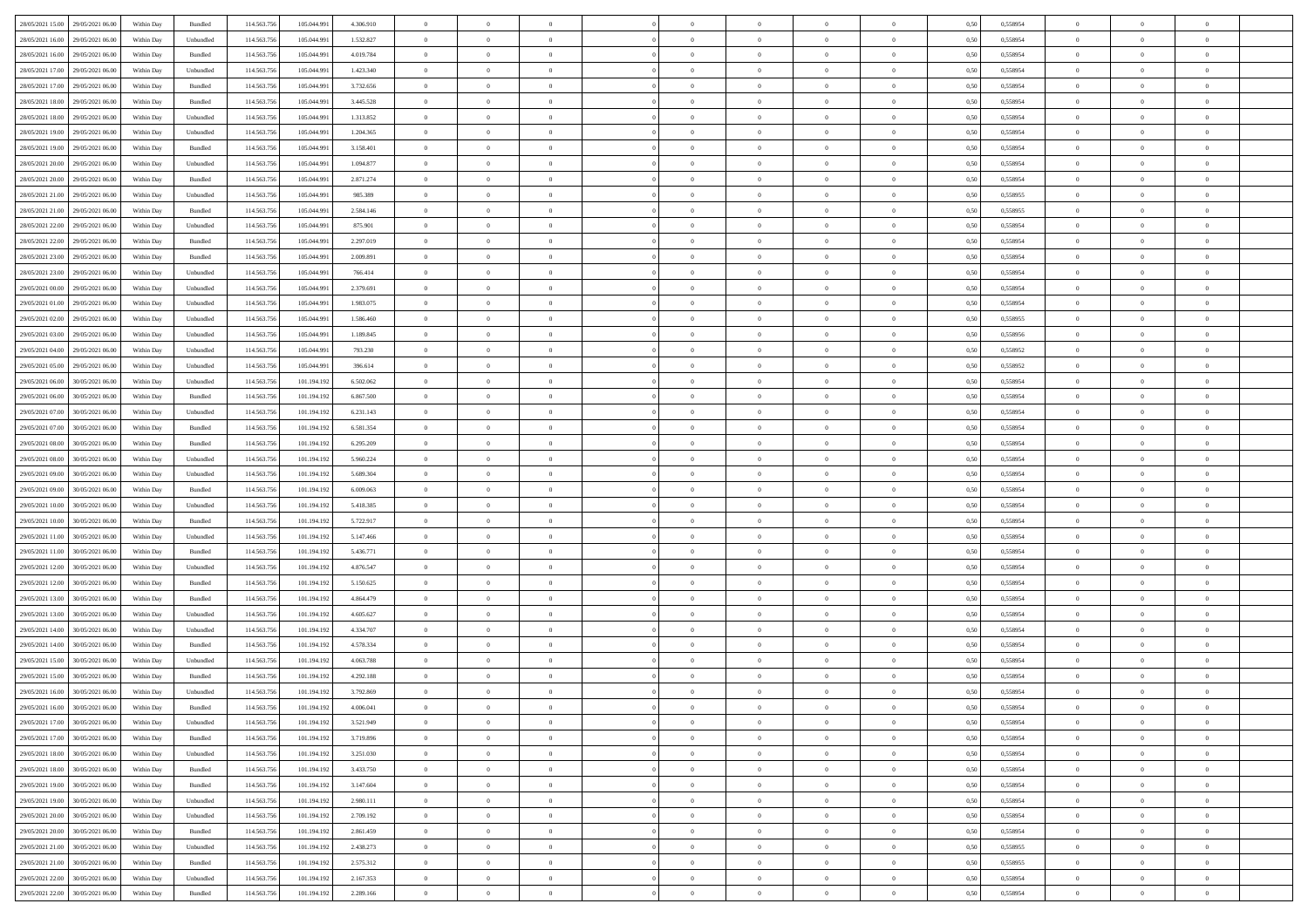| 28/05/2021 15:00 29/05/2021 06:00<br>114.563.75<br>0,558954<br>Within Day<br>Bundled<br>105.044.991<br>4.306.910<br>$\overline{0}$<br>$\overline{0}$<br>$\overline{0}$<br>$\theta$<br>$\theta$<br>0,50<br>$\theta$<br>28/05/2021 16:00<br>29/05/2021 06.00<br>Within Day<br>Unbundled<br>114.563.75<br>105.044.99<br>1.532.827<br>$\bf{0}$<br>$\overline{0}$<br>$\overline{0}$<br>$\bf{0}$<br>0,50<br>0,558954<br>$\,$ 0 $\,$<br>$\bf{0}$<br>$\bf{0}$<br>$\overline{0}$<br>28/05/2021 16:00<br>29/05/2021 06:00<br>Bundled<br>114,563,75<br>105,044.99<br>4.019.784<br>$\overline{0}$<br>$\bf{0}$<br>$\bf{0}$<br>$\overline{0}$<br>$\bf{0}$<br>0.50<br>0.558954<br>$\bf{0}$<br>Within Day<br>$\overline{0}$<br>$\bf{0}$<br>28/05/2021 17:00<br>29/05/2021 06:00<br>114.563.75<br>$\overline{0}$<br>$\overline{0}$<br>$\theta$<br>Within Day<br>Unbundled<br>105.044.991<br>1.423.340<br>$\overline{0}$<br>$\theta$<br>$\theta$<br>$\overline{0}$<br>$\bf{0}$<br>0,50<br>0,558954<br>28/05/2021 17:00<br>29/05/2021 06.00<br>Within Day<br>Bundled<br>114.563.75<br>105.044.99<br>3.732.656<br>$\overline{0}$<br>$\bf{0}$<br>0,50<br>0,558954<br>$\,$ 0 $\,$<br>$\bf{0}$<br>$\bf{0}$<br>$\overline{0}$<br>$\theta$<br>$\overline{0}$<br>28/05/2021 18:00<br>29/05/2021 06.00<br>114,563,75<br>3.445.528<br>$\overline{0}$<br>$\overline{0}$<br>$\overline{0}$<br>$\theta$<br>$\bf{0}$<br>$\,$ 0 $\,$<br>Within Day<br>Bundled<br>105,044.99<br>$\overline{0}$<br>$\bf{0}$<br>0.50<br>0.558954<br>28/05/2021 18:00<br>29/05/2021 06:00<br>114.563.75<br>Within Day<br>Unbundled<br>105.044.991<br>1.313.852<br>$\overline{0}$<br>$\overline{0}$<br>$\overline{0}$<br>$\overline{0}$<br>$\overline{0}$<br>$\overline{0}$<br>$\bf{0}$<br>0,50<br>0,558954<br>$\theta$<br>28/05/2021 19:00<br>29/05/2021 06.00<br>Within Day<br>Unbundled<br>114.563.75<br>105.044.99<br>1.204.365<br>$\overline{0}$<br>$\overline{0}$<br>$\overline{0}$<br>$\bf{0}$<br>0,50<br>0,558954<br>$\,$ 0 $\,$<br>$\overline{0}$<br>$\bf{0}$<br>$\overline{0}$<br>28/05/2021 19:00<br>29/05/2021 06:00<br>Bundled<br>114,563,75<br>105,044.99<br>$\overline{0}$<br>$\bf{0}$<br>$\overline{0}$<br>$\overline{0}$<br>$\bf{0}$<br>$\bf{0}$<br>Within Day<br>3.158.401<br>$\overline{0}$<br>$\bf{0}$<br>0.50<br>0.558954<br>28/05/2021 20:00<br>29/05/2021 06:00<br>114.563.75<br>$\,$ 0 $\,$<br>Within Day<br>Unbundled<br>105.044.991<br>1.094.877<br>$\overline{0}$<br>$\bf{0}$<br>$\overline{0}$<br>$\overline{0}$<br>$\overline{0}$<br>$\overline{0}$<br>$\bf{0}$<br>0,50<br>0,558954<br>28/05/2021 20:00<br>29/05/2021 06.00<br>Within Day<br>Bundled<br>114.563.75<br>105.044.99<br>2.871.274<br>$\overline{0}$<br>$\bf{0}$<br>$\overline{0}$<br>$\bf{0}$<br>0,50<br>0,558954<br>$\,$ 0 $\,$<br>$\bf{0}$<br>$\bf{0}$<br>$\bf{0}$ | $\theta$<br>$\bf{0}$<br>$\overline{0}$<br>$\theta$<br>$\bf{0}$<br>$\theta$<br>$\theta$<br>$\bf{0}$ | $\overline{0}$<br>$\overline{0}$<br>$\overline{0}$<br>$\overline{0}$ |  |
|---------------------------------------------------------------------------------------------------------------------------------------------------------------------------------------------------------------------------------------------------------------------------------------------------------------------------------------------------------------------------------------------------------------------------------------------------------------------------------------------------------------------------------------------------------------------------------------------------------------------------------------------------------------------------------------------------------------------------------------------------------------------------------------------------------------------------------------------------------------------------------------------------------------------------------------------------------------------------------------------------------------------------------------------------------------------------------------------------------------------------------------------------------------------------------------------------------------------------------------------------------------------------------------------------------------------------------------------------------------------------------------------------------------------------------------------------------------------------------------------------------------------------------------------------------------------------------------------------------------------------------------------------------------------------------------------------------------------------------------------------------------------------------------------------------------------------------------------------------------------------------------------------------------------------------------------------------------------------------------------------------------------------------------------------------------------------------------------------------------------------------------------------------------------------------------------------------------------------------------------------------------------------------------------------------------------------------------------------------------------------------------------------------------------------------------------------------------------------------------------------------------------------------------------------------------------------------------------------------------------------------------------------------------------------------------------------------------------------------------------------------------------------------------------------------|----------------------------------------------------------------------------------------------------|----------------------------------------------------------------------|--|
|                                                                                                                                                                                                                                                                                                                                                                                                                                                                                                                                                                                                                                                                                                                                                                                                                                                                                                                                                                                                                                                                                                                                                                                                                                                                                                                                                                                                                                                                                                                                                                                                                                                                                                                                                                                                                                                                                                                                                                                                                                                                                                                                                                                                                                                                                                                                                                                                                                                                                                                                                                                                                                                                                                                                                                                                         |                                                                                                    |                                                                      |  |
|                                                                                                                                                                                                                                                                                                                                                                                                                                                                                                                                                                                                                                                                                                                                                                                                                                                                                                                                                                                                                                                                                                                                                                                                                                                                                                                                                                                                                                                                                                                                                                                                                                                                                                                                                                                                                                                                                                                                                                                                                                                                                                                                                                                                                                                                                                                                                                                                                                                                                                                                                                                                                                                                                                                                                                                                         |                                                                                                    |                                                                      |  |
|                                                                                                                                                                                                                                                                                                                                                                                                                                                                                                                                                                                                                                                                                                                                                                                                                                                                                                                                                                                                                                                                                                                                                                                                                                                                                                                                                                                                                                                                                                                                                                                                                                                                                                                                                                                                                                                                                                                                                                                                                                                                                                                                                                                                                                                                                                                                                                                                                                                                                                                                                                                                                                                                                                                                                                                                         |                                                                                                    |                                                                      |  |
|                                                                                                                                                                                                                                                                                                                                                                                                                                                                                                                                                                                                                                                                                                                                                                                                                                                                                                                                                                                                                                                                                                                                                                                                                                                                                                                                                                                                                                                                                                                                                                                                                                                                                                                                                                                                                                                                                                                                                                                                                                                                                                                                                                                                                                                                                                                                                                                                                                                                                                                                                                                                                                                                                                                                                                                                         |                                                                                                    |                                                                      |  |
|                                                                                                                                                                                                                                                                                                                                                                                                                                                                                                                                                                                                                                                                                                                                                                                                                                                                                                                                                                                                                                                                                                                                                                                                                                                                                                                                                                                                                                                                                                                                                                                                                                                                                                                                                                                                                                                                                                                                                                                                                                                                                                                                                                                                                                                                                                                                                                                                                                                                                                                                                                                                                                                                                                                                                                                                         |                                                                                                    |                                                                      |  |
|                                                                                                                                                                                                                                                                                                                                                                                                                                                                                                                                                                                                                                                                                                                                                                                                                                                                                                                                                                                                                                                                                                                                                                                                                                                                                                                                                                                                                                                                                                                                                                                                                                                                                                                                                                                                                                                                                                                                                                                                                                                                                                                                                                                                                                                                                                                                                                                                                                                                                                                                                                                                                                                                                                                                                                                                         |                                                                                                    | $\overline{0}$                                                       |  |
|                                                                                                                                                                                                                                                                                                                                                                                                                                                                                                                                                                                                                                                                                                                                                                                                                                                                                                                                                                                                                                                                                                                                                                                                                                                                                                                                                                                                                                                                                                                                                                                                                                                                                                                                                                                                                                                                                                                                                                                                                                                                                                                                                                                                                                                                                                                                                                                                                                                                                                                                                                                                                                                                                                                                                                                                         |                                                                                                    | $\overline{0}$                                                       |  |
|                                                                                                                                                                                                                                                                                                                                                                                                                                                                                                                                                                                                                                                                                                                                                                                                                                                                                                                                                                                                                                                                                                                                                                                                                                                                                                                                                                                                                                                                                                                                                                                                                                                                                                                                                                                                                                                                                                                                                                                                                                                                                                                                                                                                                                                                                                                                                                                                                                                                                                                                                                                                                                                                                                                                                                                                         |                                                                                                    | $\overline{0}$                                                       |  |
|                                                                                                                                                                                                                                                                                                                                                                                                                                                                                                                                                                                                                                                                                                                                                                                                                                                                                                                                                                                                                                                                                                                                                                                                                                                                                                                                                                                                                                                                                                                                                                                                                                                                                                                                                                                                                                                                                                                                                                                                                                                                                                                                                                                                                                                                                                                                                                                                                                                                                                                                                                                                                                                                                                                                                                                                         |                                                                                                    |                                                                      |  |
|                                                                                                                                                                                                                                                                                                                                                                                                                                                                                                                                                                                                                                                                                                                                                                                                                                                                                                                                                                                                                                                                                                                                                                                                                                                                                                                                                                                                                                                                                                                                                                                                                                                                                                                                                                                                                                                                                                                                                                                                                                                                                                                                                                                                                                                                                                                                                                                                                                                                                                                                                                                                                                                                                                                                                                                                         |                                                                                                    | $\overline{0}$                                                       |  |
|                                                                                                                                                                                                                                                                                                                                                                                                                                                                                                                                                                                                                                                                                                                                                                                                                                                                                                                                                                                                                                                                                                                                                                                                                                                                                                                                                                                                                                                                                                                                                                                                                                                                                                                                                                                                                                                                                                                                                                                                                                                                                                                                                                                                                                                                                                                                                                                                                                                                                                                                                                                                                                                                                                                                                                                                         | $\overline{0}$                                                                                     | $\overline{0}$                                                       |  |
|                                                                                                                                                                                                                                                                                                                                                                                                                                                                                                                                                                                                                                                                                                                                                                                                                                                                                                                                                                                                                                                                                                                                                                                                                                                                                                                                                                                                                                                                                                                                                                                                                                                                                                                                                                                                                                                                                                                                                                                                                                                                                                                                                                                                                                                                                                                                                                                                                                                                                                                                                                                                                                                                                                                                                                                                         | $\bf{0}$                                                                                           | $\overline{0}$                                                       |  |
|                                                                                                                                                                                                                                                                                                                                                                                                                                                                                                                                                                                                                                                                                                                                                                                                                                                                                                                                                                                                                                                                                                                                                                                                                                                                                                                                                                                                                                                                                                                                                                                                                                                                                                                                                                                                                                                                                                                                                                                                                                                                                                                                                                                                                                                                                                                                                                                                                                                                                                                                                                                                                                                                                                                                                                                                         | $\bf{0}$                                                                                           | $\overline{0}$                                                       |  |
|                                                                                                                                                                                                                                                                                                                                                                                                                                                                                                                                                                                                                                                                                                                                                                                                                                                                                                                                                                                                                                                                                                                                                                                                                                                                                                                                                                                                                                                                                                                                                                                                                                                                                                                                                                                                                                                                                                                                                                                                                                                                                                                                                                                                                                                                                                                                                                                                                                                                                                                                                                                                                                                                                                                                                                                                         |                                                                                                    |                                                                      |  |
| 28/05/2021 21:00<br>29/05/2021 06:00<br>Within Day<br>Unbundled<br>114,563,75<br>105,044.99<br>985.389<br>$\overline{0}$<br>$\bf{0}$<br>$\overline{0}$<br>$\overline{0}$<br>$\bf{0}$<br>$\overline{0}$<br>$\bf{0}$<br>0.558955<br>$\bf{0}$<br>0.50                                                                                                                                                                                                                                                                                                                                                                                                                                                                                                                                                                                                                                                                                                                                                                                                                                                                                                                                                                                                                                                                                                                                                                                                                                                                                                                                                                                                                                                                                                                                                                                                                                                                                                                                                                                                                                                                                                                                                                                                                                                                                                                                                                                                                                                                                                                                                                                                                                                                                                                                                      | $\overline{0}$                                                                                     | $\,$ 0                                                               |  |
| 28/05/2021 21:00<br>29/05/2021 06:00<br>114.563.75<br>$\overline{0}$<br>$\,$ 0 $\,$<br>Within Day<br>Bundled<br>105.044.991<br>2.584.146<br>$\overline{0}$<br>$\overline{0}$<br>$\theta$<br>$\theta$<br>$\overline{0}$<br>$\bf{0}$<br>0,50<br>0,558955                                                                                                                                                                                                                                                                                                                                                                                                                                                                                                                                                                                                                                                                                                                                                                                                                                                                                                                                                                                                                                                                                                                                                                                                                                                                                                                                                                                                                                                                                                                                                                                                                                                                                                                                                                                                                                                                                                                                                                                                                                                                                                                                                                                                                                                                                                                                                                                                                                                                                                                                                  | $\theta$                                                                                           | $\overline{0}$                                                       |  |
| 28/05/2021 22:00<br>29/05/2021 06.00<br>Within Day<br>Unbundled<br>114.563.75<br>105.044.99<br>875.901<br>$\bf{0}$<br>0,50<br>0,558954<br>$\,$ 0 $\,$<br>$\bf{0}$<br>$\overline{0}$<br>$\bf{0}$<br>$\overline{0}$<br>$\bf{0}$<br>$\overline{0}$                                                                                                                                                                                                                                                                                                                                                                                                                                                                                                                                                                                                                                                                                                                                                                                                                                                                                                                                                                                                                                                                                                                                                                                                                                                                                                                                                                                                                                                                                                                                                                                                                                                                                                                                                                                                                                                                                                                                                                                                                                                                                                                                                                                                                                                                                                                                                                                                                                                                                                                                                         | $\bf{0}$                                                                                           | $\overline{0}$                                                       |  |
| 28/05/2021 22:00<br>29/05/2021 06:00<br>Bundled<br>114,563,75<br>$\overline{0}$<br>$\overline{0}$<br>$\theta$<br>$\bf{0}$<br>$\,$ 0 $\,$<br>Within Day<br>105,044.99<br>2.297.019<br>$\overline{0}$<br>$\overline{0}$<br>$\bf{0}$<br>0.50<br>0.558954                                                                                                                                                                                                                                                                                                                                                                                                                                                                                                                                                                                                                                                                                                                                                                                                                                                                                                                                                                                                                                                                                                                                                                                                                                                                                                                                                                                                                                                                                                                                                                                                                                                                                                                                                                                                                                                                                                                                                                                                                                                                                                                                                                                                                                                                                                                                                                                                                                                                                                                                                   | $\theta$                                                                                           | $\overline{0}$                                                       |  |
| $\overline{0}$<br>$\overline{0}$<br>$\overline{0}$<br>$\overline{0}$<br>$\overline{0}$<br>$\overline{0}$<br>$\theta$                                                                                                                                                                                                                                                                                                                                                                                                                                                                                                                                                                                                                                                                                                                                                                                                                                                                                                                                                                                                                                                                                                                                                                                                                                                                                                                                                                                                                                                                                                                                                                                                                                                                                                                                                                                                                                                                                                                                                                                                                                                                                                                                                                                                                                                                                                                                                                                                                                                                                                                                                                                                                                                                                    | $\theta$                                                                                           | $\overline{0}$                                                       |  |
| 28/05/2021 23:00<br>29/05/2021 06:00<br>114.563.75<br>Within Day<br>Bundled<br>105.044.991<br>2.009.891<br>$\bf{0}$<br>0,50<br>0,558954                                                                                                                                                                                                                                                                                                                                                                                                                                                                                                                                                                                                                                                                                                                                                                                                                                                                                                                                                                                                                                                                                                                                                                                                                                                                                                                                                                                                                                                                                                                                                                                                                                                                                                                                                                                                                                                                                                                                                                                                                                                                                                                                                                                                                                                                                                                                                                                                                                                                                                                                                                                                                                                                 |                                                                                                    |                                                                      |  |
| 28/05/2021 23:00<br>29/05/2021 06.00<br>Within Day<br>Unbundled<br>114.563.75<br>105.044.99<br>766.414<br>$\bf{0}$<br>$\overline{0}$<br>$\bf{0}$<br>$\bf{0}$<br>$\overline{0}$<br>$\bf{0}$<br>0,50<br>0,558954<br>$\,$ 0 $\,$<br>$\overline{0}$                                                                                                                                                                                                                                                                                                                                                                                                                                                                                                                                                                                                                                                                                                                                                                                                                                                                                                                                                                                                                                                                                                                                                                                                                                                                                                                                                                                                                                                                                                                                                                                                                                                                                                                                                                                                                                                                                                                                                                                                                                                                                                                                                                                                                                                                                                                                                                                                                                                                                                                                                         | $\bf{0}$                                                                                           | $\overline{0}$                                                       |  |
| 29/05/2021 00:00<br>29/05/2021 06:00<br>Unbundled<br>114,563,75<br>2.379.691<br>$\overline{0}$<br>$\bf{0}$<br>$\overline{0}$<br>$\overline{0}$<br>$\bf{0}$<br>$\bf{0}$<br>Within Day<br>105,044.99<br>$\overline{0}$<br>$\bf{0}$<br>0.50<br>0.558954                                                                                                                                                                                                                                                                                                                                                                                                                                                                                                                                                                                                                                                                                                                                                                                                                                                                                                                                                                                                                                                                                                                                                                                                                                                                                                                                                                                                                                                                                                                                                                                                                                                                                                                                                                                                                                                                                                                                                                                                                                                                                                                                                                                                                                                                                                                                                                                                                                                                                                                                                    | $\overline{0}$                                                                                     | $\overline{0}$                                                       |  |
| 29/05/2021 01:00<br>29/05/2021 06:00<br>114.563.75<br>$\,$ 0 $\,$<br>Within Day<br>Unbundled<br>105.044.991<br>1.983.075<br>$\overline{0}$<br>$\bf{0}$<br>$\overline{0}$<br>$\overline{0}$<br>$\overline{0}$<br>$\overline{0}$<br>$\bf{0}$<br>0,50<br>0,558954                                                                                                                                                                                                                                                                                                                                                                                                                                                                                                                                                                                                                                                                                                                                                                                                                                                                                                                                                                                                                                                                                                                                                                                                                                                                                                                                                                                                                                                                                                                                                                                                                                                                                                                                                                                                                                                                                                                                                                                                                                                                                                                                                                                                                                                                                                                                                                                                                                                                                                                                          | $\bf{0}$                                                                                           | $\overline{0}$                                                       |  |
| 29/05/2021 06.00<br>Within Day<br>Unbundled<br>114.563.75<br>105.044.99<br>1.586.460<br>$\bf{0}$<br>$\bf{0}$<br>$\overline{0}$<br>$\overline{0}$<br>$\bf{0}$<br>0,50<br>0,558955<br>$\,$ 0 $\,$<br>$\bf{0}$<br>$\bf{0}$                                                                                                                                                                                                                                                                                                                                                                                                                                                                                                                                                                                                                                                                                                                                                                                                                                                                                                                                                                                                                                                                                                                                                                                                                                                                                                                                                                                                                                                                                                                                                                                                                                                                                                                                                                                                                                                                                                                                                                                                                                                                                                                                                                                                                                                                                                                                                                                                                                                                                                                                                                                 | $\bf{0}$                                                                                           | $\overline{0}$                                                       |  |
| 29/05/2021 02:00                                                                                                                                                                                                                                                                                                                                                                                                                                                                                                                                                                                                                                                                                                                                                                                                                                                                                                                                                                                                                                                                                                                                                                                                                                                                                                                                                                                                                                                                                                                                                                                                                                                                                                                                                                                                                                                                                                                                                                                                                                                                                                                                                                                                                                                                                                                                                                                                                                                                                                                                                                                                                                                                                                                                                                                        |                                                                                                    |                                                                      |  |
| 29/05/2021 03:00<br>29/05/2021 06:00<br>Unbundled<br>114,563,75<br>105,044.99<br>1.189.845<br>$\overline{0}$<br>$\bf{0}$<br>$\overline{0}$<br>$\overline{0}$<br>$\bf{0}$<br>$\overline{0}$<br>$\bf{0}$<br>0.558956<br>$\bf{0}$<br>Within Day<br>0.50                                                                                                                                                                                                                                                                                                                                                                                                                                                                                                                                                                                                                                                                                                                                                                                                                                                                                                                                                                                                                                                                                                                                                                                                                                                                                                                                                                                                                                                                                                                                                                                                                                                                                                                                                                                                                                                                                                                                                                                                                                                                                                                                                                                                                                                                                                                                                                                                                                                                                                                                                    | $\overline{0}$                                                                                     | $\overline{0}$                                                       |  |
| 29/05/2021 04:00<br>29/05/2021 06:00<br>Unbundled<br>114.563.75<br>$\overline{0}$<br>$\overline{0}$<br>$\theta$<br>Within Day<br>105.044.991<br>793.230<br>$\overline{0}$<br>$\theta$<br>$\theta$<br>$\overline{0}$<br>$\bf{0}$<br>0,50<br>0,558952                                                                                                                                                                                                                                                                                                                                                                                                                                                                                                                                                                                                                                                                                                                                                                                                                                                                                                                                                                                                                                                                                                                                                                                                                                                                                                                                                                                                                                                                                                                                                                                                                                                                                                                                                                                                                                                                                                                                                                                                                                                                                                                                                                                                                                                                                                                                                                                                                                                                                                                                                     | $\theta$                                                                                           | $\overline{0}$                                                       |  |
| 29/05/2021 05:00<br>29/05/2021 06.00<br>Within Day<br>Unbundled<br>114.563.75<br>105.044.99<br>396.614<br>$\overline{0}$<br>$\,$ 0 $\,$<br>$\overline{0}$<br>$\bf{0}$<br>0,50<br>0,558952<br>$\,$ 0 $\,$<br>$\bf{0}$<br>$\bf{0}$<br>$\bf{0}$                                                                                                                                                                                                                                                                                                                                                                                                                                                                                                                                                                                                                                                                                                                                                                                                                                                                                                                                                                                                                                                                                                                                                                                                                                                                                                                                                                                                                                                                                                                                                                                                                                                                                                                                                                                                                                                                                                                                                                                                                                                                                                                                                                                                                                                                                                                                                                                                                                                                                                                                                            | $\bf{0}$                                                                                           | $\overline{0}$                                                       |  |
| 29/05/2021 06:00<br>30/05/2021 06:00<br>Unbundled<br>114,563,75<br>6.502.062<br>$\overline{0}$<br>$\overline{0}$<br>$\overline{0}$<br>$\theta$<br>$\bf{0}$<br>$\,$ 0 $\,$<br>101.194.192<br>$\overline{0}$<br>$\bf{0}$<br>0.50<br>0.558954                                                                                                                                                                                                                                                                                                                                                                                                                                                                                                                                                                                                                                                                                                                                                                                                                                                                                                                                                                                                                                                                                                                                                                                                                                                                                                                                                                                                                                                                                                                                                                                                                                                                                                                                                                                                                                                                                                                                                                                                                                                                                                                                                                                                                                                                                                                                                                                                                                                                                                                                                              | $\theta$                                                                                           | $\overline{0}$                                                       |  |
| Within Day                                                                                                                                                                                                                                                                                                                                                                                                                                                                                                                                                                                                                                                                                                                                                                                                                                                                                                                                                                                                                                                                                                                                                                                                                                                                                                                                                                                                                                                                                                                                                                                                                                                                                                                                                                                                                                                                                                                                                                                                                                                                                                                                                                                                                                                                                                                                                                                                                                                                                                                                                                                                                                                                                                                                                                                              |                                                                                                    |                                                                      |  |
| 29/05/2021 06:00<br>114.563.75<br>30/05/2021 06:00<br>Within Day<br>Bundled<br>101.194.192<br>6.867.500<br>$\overline{0}$<br>$\overline{0}$<br>$\overline{0}$<br>$\overline{0}$<br>$\overline{0}$<br>$\overline{0}$<br>$\bf{0}$<br>0,50<br>0,558954<br>$\theta$                                                                                                                                                                                                                                                                                                                                                                                                                                                                                                                                                                                                                                                                                                                                                                                                                                                                                                                                                                                                                                                                                                                                                                                                                                                                                                                                                                                                                                                                                                                                                                                                                                                                                                                                                                                                                                                                                                                                                                                                                                                                                                                                                                                                                                                                                                                                                                                                                                                                                                                                         | $\theta$                                                                                           | $\overline{0}$                                                       |  |
| 29/05/2021 07:00<br>30/05/2021 06.00<br>Within Day<br>Unbundled<br>114.563.75<br>101.194.19<br>6.231.143<br>$\overline{0}$<br>$\bf{0}$<br>$\bf{0}$<br>$\overline{0}$<br>$\bf{0}$<br>0,50<br>0,558954<br>$\,$ 0 $\,$<br>$\bf{0}$<br>$\overline{0}$                                                                                                                                                                                                                                                                                                                                                                                                                                                                                                                                                                                                                                                                                                                                                                                                                                                                                                                                                                                                                                                                                                                                                                                                                                                                                                                                                                                                                                                                                                                                                                                                                                                                                                                                                                                                                                                                                                                                                                                                                                                                                                                                                                                                                                                                                                                                                                                                                                                                                                                                                       | $\bf{0}$                                                                                           | $\overline{0}$                                                       |  |
| 29/05/2021 07:00<br>30/05/2021 06:00<br>Bundled<br>114,563,75<br>$\overline{0}$<br>$\bf{0}$<br>$\overline{0}$<br>$\overline{0}$<br>$\bf{0}$<br>$\bf{0}$<br>Within Day<br>101.194.192<br>6.581.354<br>$\overline{0}$<br>$\bf{0}$<br>0.50<br>0.558954                                                                                                                                                                                                                                                                                                                                                                                                                                                                                                                                                                                                                                                                                                                                                                                                                                                                                                                                                                                                                                                                                                                                                                                                                                                                                                                                                                                                                                                                                                                                                                                                                                                                                                                                                                                                                                                                                                                                                                                                                                                                                                                                                                                                                                                                                                                                                                                                                                                                                                                                                     | $\overline{0}$                                                                                     | $\overline{0}$                                                       |  |
| 29/05/2021 08:00<br>30/05/2021 06:00<br>114.563.75<br>$\theta$<br>Within Day<br>Bundled<br>101.194.192<br>6.295.209<br>$\overline{0}$<br>$\overline{0}$<br>$\overline{0}$<br>$\overline{0}$<br>$\overline{0}$<br>$\overline{0}$<br>$\bf{0}$<br>0,50<br>0,558954                                                                                                                                                                                                                                                                                                                                                                                                                                                                                                                                                                                                                                                                                                                                                                                                                                                                                                                                                                                                                                                                                                                                                                                                                                                                                                                                                                                                                                                                                                                                                                                                                                                                                                                                                                                                                                                                                                                                                                                                                                                                                                                                                                                                                                                                                                                                                                                                                                                                                                                                         | $\theta$                                                                                           | $\overline{0}$                                                       |  |
|                                                                                                                                                                                                                                                                                                                                                                                                                                                                                                                                                                                                                                                                                                                                                                                                                                                                                                                                                                                                                                                                                                                                                                                                                                                                                                                                                                                                                                                                                                                                                                                                                                                                                                                                                                                                                                                                                                                                                                                                                                                                                                                                                                                                                                                                                                                                                                                                                                                                                                                                                                                                                                                                                                                                                                                                         |                                                                                                    |                                                                      |  |
| 29/05/2021 08:00<br>30/05/2021 06.00<br>Within Day<br>Unbundled<br>114.563.75<br>101.194.192<br>5.960.224<br>$\bf{0}$<br>$\bf{0}$<br>$\bf{0}$<br>$\overline{0}$<br>$\overline{0}$<br>$\bf{0}$<br>0,50<br>0,558954<br>$\,$ 0 $\,$<br>$\bf{0}$                                                                                                                                                                                                                                                                                                                                                                                                                                                                                                                                                                                                                                                                                                                                                                                                                                                                                                                                                                                                                                                                                                                                                                                                                                                                                                                                                                                                                                                                                                                                                                                                                                                                                                                                                                                                                                                                                                                                                                                                                                                                                                                                                                                                                                                                                                                                                                                                                                                                                                                                                            | $\bf{0}$                                                                                           | $\overline{0}$                                                       |  |
| 29/05/2021 09:00<br>30/05/2021 06:00<br>Unbundled<br>114,563,75<br>5.689.304<br>$\overline{0}$<br>$\bf{0}$<br>$\bf{0}$<br>$\overline{0}$<br>$\bf{0}$<br>0.558954<br>$\bf{0}$<br>Within Day<br>101.194.192<br>$\overline{0}$<br>$\bf{0}$<br>0.50                                                                                                                                                                                                                                                                                                                                                                                                                                                                                                                                                                                                                                                                                                                                                                                                                                                                                                                                                                                                                                                                                                                                                                                                                                                                                                                                                                                                                                                                                                                                                                                                                                                                                                                                                                                                                                                                                                                                                                                                                                                                                                                                                                                                                                                                                                                                                                                                                                                                                                                                                         | $\overline{0}$                                                                                     | $\bf{0}$                                                             |  |
| 29/05/2021 09:00<br>30/05/2021 06:00<br>114.563.75<br>$\overline{0}$<br>$\overline{0}$<br>$\overline{0}$<br>$\bf{0}$<br>$\theta$<br>Within Day<br>Bundled<br>101.194.192<br>6.009.063<br>$\overline{0}$<br>$\overline{0}$<br>$\overline{0}$<br>0.50<br>0.558954                                                                                                                                                                                                                                                                                                                                                                                                                                                                                                                                                                                                                                                                                                                                                                                                                                                                                                                                                                                                                                                                                                                                                                                                                                                                                                                                                                                                                                                                                                                                                                                                                                                                                                                                                                                                                                                                                                                                                                                                                                                                                                                                                                                                                                                                                                                                                                                                                                                                                                                                         | $\theta$                                                                                           | $\overline{0}$                                                       |  |
| 29/05/2021 10:00<br>30/05/2021 06.00<br>Within Day<br>Unbundled<br>114.563.75<br>101.194.19<br>5.418.385<br>$\overline{0}$<br>$\,$ 0 $\,$<br>$\overline{0}$<br>$\bf{0}$<br>0,50<br>0,558954<br>$\,$ 0 $\,$<br>$\bf{0}$<br>$\bf{0}$<br>$\bf{0}$                                                                                                                                                                                                                                                                                                                                                                                                                                                                                                                                                                                                                                                                                                                                                                                                                                                                                                                                                                                                                                                                                                                                                                                                                                                                                                                                                                                                                                                                                                                                                                                                                                                                                                                                                                                                                                                                                                                                                                                                                                                                                                                                                                                                                                                                                                                                                                                                                                                                                                                                                          | $\bf{0}$                                                                                           | $\overline{0}$                                                       |  |
| 30/05/2021 06:00<br>Bundled<br>114,563,75<br>$\bf{0}$<br>$\overline{0}$<br>0.50<br>$\,$ 0 $\,$<br>$\overline{0}$<br>$\Omega$<br>0.558954                                                                                                                                                                                                                                                                                                                                                                                                                                                                                                                                                                                                                                                                                                                                                                                                                                                                                                                                                                                                                                                                                                                                                                                                                                                                                                                                                                                                                                                                                                                                                                                                                                                                                                                                                                                                                                                                                                                                                                                                                                                                                                                                                                                                                                                                                                                                                                                                                                                                                                                                                                                                                                                                | $\bf{0}$                                                                                           | $\overline{0}$                                                       |  |
| 29/05/2021 10:00<br>5.722.917<br>$\bf{0}$<br>Within Day<br>101.194.192<br>$\overline{0}$<br>$\bf{0}$                                                                                                                                                                                                                                                                                                                                                                                                                                                                                                                                                                                                                                                                                                                                                                                                                                                                                                                                                                                                                                                                                                                                                                                                                                                                                                                                                                                                                                                                                                                                                                                                                                                                                                                                                                                                                                                                                                                                                                                                                                                                                                                                                                                                                                                                                                                                                                                                                                                                                                                                                                                                                                                                                                    |                                                                                                    |                                                                      |  |
| 29/05/2021 11:00<br>30/05/2021 06:00<br>114.563.75<br>101.194.192<br>$\overline{0}$<br>$\overline{0}$<br>$\theta$<br>$\bf{0}$<br>0,558954<br>$\theta$<br>Within Dav<br>Unbundled<br>5.147.466<br>$\overline{0}$<br>$\overline{0}$<br>$\overline{0}$<br>0.5(                                                                                                                                                                                                                                                                                                                                                                                                                                                                                                                                                                                                                                                                                                                                                                                                                                                                                                                                                                                                                                                                                                                                                                                                                                                                                                                                                                                                                                                                                                                                                                                                                                                                                                                                                                                                                                                                                                                                                                                                                                                                                                                                                                                                                                                                                                                                                                                                                                                                                                                                             | $\theta$                                                                                           |                                                                      |  |
| 29/05/2021 11:00<br>30/05/2021 06:00<br>Within Day<br>Bundled<br>114.563.75<br>101.194.192<br>5.436.771<br>$\bf{0}$<br>$\bf{0}$<br>$\bf{0}$<br>$\bf{0}$<br>$\overline{0}$<br>$\bf{0}$<br>0,50<br>0,558954<br>$\,$ 0 $\,$<br>$\bf{0}$                                                                                                                                                                                                                                                                                                                                                                                                                                                                                                                                                                                                                                                                                                                                                                                                                                                                                                                                                                                                                                                                                                                                                                                                                                                                                                                                                                                                                                                                                                                                                                                                                                                                                                                                                                                                                                                                                                                                                                                                                                                                                                                                                                                                                                                                                                                                                                                                                                                                                                                                                                    |                                                                                                    | $\overline{0}$                                                       |  |
|                                                                                                                                                                                                                                                                                                                                                                                                                                                                                                                                                                                                                                                                                                                                                                                                                                                                                                                                                                                                                                                                                                                                                                                                                                                                                                                                                                                                                                                                                                                                                                                                                                                                                                                                                                                                                                                                                                                                                                                                                                                                                                                                                                                                                                                                                                                                                                                                                                                                                                                                                                                                                                                                                                                                                                                                         | $\bf{0}$                                                                                           | $\overline{0}$                                                       |  |
| 29/05/2021 12:00<br>30/05/2021 06:00<br>Unbundled<br>114,563,75<br>4.876.547<br>$\overline{0}$<br>$\bf{0}$<br>$\overline{0}$<br>$\overline{0}$<br>$\bf{0}$<br>$\bf{0}$<br>Within Day<br>101.194.192<br>$\overline{0}$<br>$\bf{0}$<br>0.50<br>0.558954                                                                                                                                                                                                                                                                                                                                                                                                                                                                                                                                                                                                                                                                                                                                                                                                                                                                                                                                                                                                                                                                                                                                                                                                                                                                                                                                                                                                                                                                                                                                                                                                                                                                                                                                                                                                                                                                                                                                                                                                                                                                                                                                                                                                                                                                                                                                                                                                                                                                                                                                                   | $\overline{0}$                                                                                     | $\overline{0}$                                                       |  |
|                                                                                                                                                                                                                                                                                                                                                                                                                                                                                                                                                                                                                                                                                                                                                                                                                                                                                                                                                                                                                                                                                                                                                                                                                                                                                                                                                                                                                                                                                                                                                                                                                                                                                                                                                                                                                                                                                                                                                                                                                                                                                                                                                                                                                                                                                                                                                                                                                                                                                                                                                                                                                                                                                                                                                                                                         |                                                                                                    |                                                                      |  |
| 29/05/2021 12:00<br>30/05/2021 06:00<br>114.563.75<br>$\overline{0}$<br>$\overline{0}$<br>$\overline{0}$<br>$\bf{0}$<br>0,558954<br>$\theta$<br>Within Dav<br>Bundled<br>101.194.19<br>5.150.625<br>$\overline{0}$<br>$\overline{0}$<br>$\overline{0}$<br>0.50                                                                                                                                                                                                                                                                                                                                                                                                                                                                                                                                                                                                                                                                                                                                                                                                                                                                                                                                                                                                                                                                                                                                                                                                                                                                                                                                                                                                                                                                                                                                                                                                                                                                                                                                                                                                                                                                                                                                                                                                                                                                                                                                                                                                                                                                                                                                                                                                                                                                                                                                          | $\theta$                                                                                           | $\overline{0}$                                                       |  |
| 29/05/2021 13:00<br>30/05/2021 06.00<br>Within Day<br>Bundled<br>114.563.75<br>101.194.192<br>4.864.479<br>$\bf{0}$<br>$\bf{0}$<br>$\bf{0}$<br>$\overline{0}$<br>$\overline{0}$<br>$\bf{0}$<br>0,50<br>0,558954<br>$\,$ 0 $\,$<br>$\bf{0}$                                                                                                                                                                                                                                                                                                                                                                                                                                                                                                                                                                                                                                                                                                                                                                                                                                                                                                                                                                                                                                                                                                                                                                                                                                                                                                                                                                                                                                                                                                                                                                                                                                                                                                                                                                                                                                                                                                                                                                                                                                                                                                                                                                                                                                                                                                                                                                                                                                                                                                                                                              | $\bf{0}$                                                                                           | $\overline{0}$                                                       |  |
| 29/05/2021 13:00<br>30/05/2021 06:00<br>Within Day<br>Unbundled<br>114,563,75<br>4.605.627<br>$\overline{0}$<br>$\bf{0}$<br>$\overline{0}$<br>$\overline{0}$<br>$\bf{0}$<br>$\overline{0}$<br>$\bf{0}$<br>0.50<br>0.558954<br>$\bf{0}$<br>101.194.192                                                                                                                                                                                                                                                                                                                                                                                                                                                                                                                                                                                                                                                                                                                                                                                                                                                                                                                                                                                                                                                                                                                                                                                                                                                                                                                                                                                                                                                                                                                                                                                                                                                                                                                                                                                                                                                                                                                                                                                                                                                                                                                                                                                                                                                                                                                                                                                                                                                                                                                                                   | $\overline{0}$                                                                                     | $\overline{0}$                                                       |  |
| 29/05/2021 14:00<br>30/05/2021 06:00<br>114.563.75<br>101.194.192<br>$\overline{0}$<br>$\overline{0}$<br>$\overline{0}$<br>$\overline{0}$<br>$\bf{0}$<br>0,558954<br>$\theta$<br>Within Dav<br>Unbundled<br>4.334.707<br>$\overline{0}$<br>$\overline{0}$<br>0.50                                                                                                                                                                                                                                                                                                                                                                                                                                                                                                                                                                                                                                                                                                                                                                                                                                                                                                                                                                                                                                                                                                                                                                                                                                                                                                                                                                                                                                                                                                                                                                                                                                                                                                                                                                                                                                                                                                                                                                                                                                                                                                                                                                                                                                                                                                                                                                                                                                                                                                                                       | $\theta$                                                                                           | $\overline{0}$                                                       |  |
| 29/05/2021 14:00<br>30/05/2021 06.00<br>Within Day<br>Bundled<br>114.563.75<br>101.194.192<br>4.578.334<br>$\bf{0}$<br>$\bf{0}$<br>$\bf{0}$<br>$\overline{0}$<br>$\overline{0}$<br>$\bf{0}$<br>0,50<br>0,558954<br>$\,$ 0 $\,$<br>$\bf{0}$                                                                                                                                                                                                                                                                                                                                                                                                                                                                                                                                                                                                                                                                                                                                                                                                                                                                                                                                                                                                                                                                                                                                                                                                                                                                                                                                                                                                                                                                                                                                                                                                                                                                                                                                                                                                                                                                                                                                                                                                                                                                                                                                                                                                                                                                                                                                                                                                                                                                                                                                                              | $\bf{0}$                                                                                           | $\overline{0}$                                                       |  |
|                                                                                                                                                                                                                                                                                                                                                                                                                                                                                                                                                                                                                                                                                                                                                                                                                                                                                                                                                                                                                                                                                                                                                                                                                                                                                                                                                                                                                                                                                                                                                                                                                                                                                                                                                                                                                                                                                                                                                                                                                                                                                                                                                                                                                                                                                                                                                                                                                                                                                                                                                                                                                                                                                                                                                                                                         |                                                                                                    |                                                                      |  |
| 29/05/2021 15:00<br>30/05/2021 06:00<br>114,563,75<br>4.063.788<br>$\overline{0}$<br>$\,$ 0 $\,$<br>Within Day<br>Unbundled<br>101.194.192<br>$\overline{0}$<br>$\overline{0}$<br>$\overline{0}$<br>$\bf{0}$<br>$\Omega$<br>$\bf{0}$<br>0.50<br>0.558954                                                                                                                                                                                                                                                                                                                                                                                                                                                                                                                                                                                                                                                                                                                                                                                                                                                                                                                                                                                                                                                                                                                                                                                                                                                                                                                                                                                                                                                                                                                                                                                                                                                                                                                                                                                                                                                                                                                                                                                                                                                                                                                                                                                                                                                                                                                                                                                                                                                                                                                                                | $\theta$                                                                                           | $\overline{0}$                                                       |  |
| 29/05/2021 15:00<br>30/05/2021 06:00<br>114.563.75<br>$\overline{0}$<br>0,558954<br>$\theta$<br>Within Dav<br>Bundled<br>101.194.19<br>4.292.188<br>$\overline{0}$<br>$\Omega$<br>$\theta$<br>$\Omega$<br>$\overline{0}$<br>0.5(<br>$\overline{0}$                                                                                                                                                                                                                                                                                                                                                                                                                                                                                                                                                                                                                                                                                                                                                                                                                                                                                                                                                                                                                                                                                                                                                                                                                                                                                                                                                                                                                                                                                                                                                                                                                                                                                                                                                                                                                                                                                                                                                                                                                                                                                                                                                                                                                                                                                                                                                                                                                                                                                                                                                      | $\theta$                                                                                           | $\overline{0}$                                                       |  |
| 29/05/2021 16:00<br>30/05/2021 06:00<br>Within Day<br>Unbundled<br>114.563.75<br>101.194.192<br>3.792.869<br>$\bf{0}$<br>$\bf{0}$<br>$\bf{0}$<br>$\bf{0}$<br>$\overline{0}$<br>$\bf{0}$<br>0,50<br>0,558954<br>$\,$ 0 $\,$<br>$\bf{0}$                                                                                                                                                                                                                                                                                                                                                                                                                                                                                                                                                                                                                                                                                                                                                                                                                                                                                                                                                                                                                                                                                                                                                                                                                                                                                                                                                                                                                                                                                                                                                                                                                                                                                                                                                                                                                                                                                                                                                                                                                                                                                                                                                                                                                                                                                                                                                                                                                                                                                                                                                                  | $\bf{0}$                                                                                           | $\overline{0}$                                                       |  |
| 29/05/2021 16:00 30/05/2021 06:00<br>Within Day<br>Bundled<br>114.563.756<br>101.194.192<br>4.006.041<br>0,50<br>0.558954<br>$\overline{0}$<br>$\Omega$<br>$\theta$<br>$\Omega$                                                                                                                                                                                                                                                                                                                                                                                                                                                                                                                                                                                                                                                                                                                                                                                                                                                                                                                                                                                                                                                                                                                                                                                                                                                                                                                                                                                                                                                                                                                                                                                                                                                                                                                                                                                                                                                                                                                                                                                                                                                                                                                                                                                                                                                                                                                                                                                                                                                                                                                                                                                                                         | $\overline{0}$                                                                                     |                                                                      |  |
|                                                                                                                                                                                                                                                                                                                                                                                                                                                                                                                                                                                                                                                                                                                                                                                                                                                                                                                                                                                                                                                                                                                                                                                                                                                                                                                                                                                                                                                                                                                                                                                                                                                                                                                                                                                                                                                                                                                                                                                                                                                                                                                                                                                                                                                                                                                                                                                                                                                                                                                                                                                                                                                                                                                                                                                                         |                                                                                                    |                                                                      |  |
| 29/05/2021 17:00 30/05/2021 06:00<br>Within Day<br>Unbundled<br>114.563.756<br>101.194.192<br>3.521.949<br>$\overline{0}$<br>$\overline{0}$<br>$\overline{0}$<br>$\overline{0}$<br>$\bf{0}$<br>0,50<br>0,558954<br>$\theta$<br>$\Omega$<br>$\theta$                                                                                                                                                                                                                                                                                                                                                                                                                                                                                                                                                                                                                                                                                                                                                                                                                                                                                                                                                                                                                                                                                                                                                                                                                                                                                                                                                                                                                                                                                                                                                                                                                                                                                                                                                                                                                                                                                                                                                                                                                                                                                                                                                                                                                                                                                                                                                                                                                                                                                                                                                     | $\overline{0}$                                                                                     | $\overline{0}$                                                       |  |
| 29/05/2021 17:00<br>30/05/2021 06:00<br>Within Day<br>Bundled<br>114.563.75<br>101.194.192<br>3.719.896<br>$\overline{0}$<br>$\bf{0}$<br>$\overline{0}$<br>$\overline{0}$<br>$\bf{0}$<br>$\overline{0}$<br>$\bf{0}$<br>0,50<br>0,558954<br>$\bf{0}$                                                                                                                                                                                                                                                                                                                                                                                                                                                                                                                                                                                                                                                                                                                                                                                                                                                                                                                                                                                                                                                                                                                                                                                                                                                                                                                                                                                                                                                                                                                                                                                                                                                                                                                                                                                                                                                                                                                                                                                                                                                                                                                                                                                                                                                                                                                                                                                                                                                                                                                                                     | $\overline{0}$                                                                                     | $\bf{0}$                                                             |  |
| $\overline{0}$<br>29/05/2021 18:00<br>30/05/2021 06:00<br>$\overline{0}$<br>$\bf{0}$<br>$\mathbf{0}$<br>$\overline{0}$<br>$\,$ 0 $\,$<br>Within Day<br>Unbundled<br>114,563,756<br>101.194.192<br>3.251.030<br>$\overline{0}$<br>$\overline{0}$<br>0.50<br>0.558954                                                                                                                                                                                                                                                                                                                                                                                                                                                                                                                                                                                                                                                                                                                                                                                                                                                                                                                                                                                                                                                                                                                                                                                                                                                                                                                                                                                                                                                                                                                                                                                                                                                                                                                                                                                                                                                                                                                                                                                                                                                                                                                                                                                                                                                                                                                                                                                                                                                                                                                                     | $\bf{0}$                                                                                           | $\,$ 0 $\,$                                                          |  |
| 29/05/2021 18:00<br>30/05/2021 06:00<br>114.563.756<br>101.194.192<br>3.433.750<br>$\overline{0}$<br>$\overline{0}$<br>$\overline{0}$<br>$\overline{0}$<br>$\overline{0}$<br>$\overline{0}$<br>$\bf{0}$<br>0,50<br>0,558954<br>$\overline{0}$<br>Within Dav<br>Bundled                                                                                                                                                                                                                                                                                                                                                                                                                                                                                                                                                                                                                                                                                                                                                                                                                                                                                                                                                                                                                                                                                                                                                                                                                                                                                                                                                                                                                                                                                                                                                                                                                                                                                                                                                                                                                                                                                                                                                                                                                                                                                                                                                                                                                                                                                                                                                                                                                                                                                                                                  | $\theta$                                                                                           | $\overline{0}$                                                       |  |
|                                                                                                                                                                                                                                                                                                                                                                                                                                                                                                                                                                                                                                                                                                                                                                                                                                                                                                                                                                                                                                                                                                                                                                                                                                                                                                                                                                                                                                                                                                                                                                                                                                                                                                                                                                                                                                                                                                                                                                                                                                                                                                                                                                                                                                                                                                                                                                                                                                                                                                                                                                                                                                                                                                                                                                                                         |                                                                                                    |                                                                      |  |
| 29/05/2021 19:00<br>30/05/2021 06:00<br>Within Day<br>Bundled<br>114.563.75<br>101.194.192<br>3.147.604<br>$\overline{0}$<br>$\bf{0}$<br>$\overline{0}$<br>$\overline{0}$<br>$\bf{0}$<br>$\overline{0}$<br>$\bf{0}$<br>0,50<br>0,558954<br>$\bf{0}$                                                                                                                                                                                                                                                                                                                                                                                                                                                                                                                                                                                                                                                                                                                                                                                                                                                                                                                                                                                                                                                                                                                                                                                                                                                                                                                                                                                                                                                                                                                                                                                                                                                                                                                                                                                                                                                                                                                                                                                                                                                                                                                                                                                                                                                                                                                                                                                                                                                                                                                                                     | $\overline{0}$                                                                                     | $\overline{0}$                                                       |  |
| 30/05/2021 06:00<br>$\,$ 0 $\,$<br>29/05/2021 19:00<br>Within Day<br>Unbundled<br>114.563.756<br>2.980.111<br>$\overline{0}$<br>$\bf{0}$<br>$\overline{0}$<br>$\overline{0}$<br>$\bf{0}$<br>$\overline{0}$<br>$\bf{0}$<br>0.50<br>0.558954<br>101.194.192                                                                                                                                                                                                                                                                                                                                                                                                                                                                                                                                                                                                                                                                                                                                                                                                                                                                                                                                                                                                                                                                                                                                                                                                                                                                                                                                                                                                                                                                                                                                                                                                                                                                                                                                                                                                                                                                                                                                                                                                                                                                                                                                                                                                                                                                                                                                                                                                                                                                                                                                               | $\overline{0}$                                                                                     | $\,$ 0                                                               |  |
| 29/05/2021 20:00<br>30/05/2021 06:00<br>Unbundled<br>114.563.756<br>101.194.192<br>2.709.192<br>$\overline{0}$<br>$\overline{0}$<br>$\overline{0}$<br>$\overline{0}$<br>$\overline{0}$<br>$\bf{0}$<br>0,558954<br>$\overline{0}$<br>Within Dav<br>$\overline{0}$<br>0.50                                                                                                                                                                                                                                                                                                                                                                                                                                                                                                                                                                                                                                                                                                                                                                                                                                                                                                                                                                                                                                                                                                                                                                                                                                                                                                                                                                                                                                                                                                                                                                                                                                                                                                                                                                                                                                                                                                                                                                                                                                                                                                                                                                                                                                                                                                                                                                                                                                                                                                                                | $\theta$                                                                                           | $\overline{0}$                                                       |  |
| $\overline{0}$<br>$\overline{0}$<br>$\bf{0}$<br>29/05/2021 20:00<br>30/05/2021 06:00<br>Within Day<br>Bundled<br>114.563.75<br>101.194.192<br>2.861.459<br>$\overline{0}$<br>$\overline{0}$<br>$\overline{0}$<br>$\overline{0}$<br>$\bf{0}$<br>0,50<br>0,558954                                                                                                                                                                                                                                                                                                                                                                                                                                                                                                                                                                                                                                                                                                                                                                                                                                                                                                                                                                                                                                                                                                                                                                                                                                                                                                                                                                                                                                                                                                                                                                                                                                                                                                                                                                                                                                                                                                                                                                                                                                                                                                                                                                                                                                                                                                                                                                                                                                                                                                                                         | $\overline{0}$                                                                                     | $\,$ 0                                                               |  |
| 30/05/2021 06:00<br>$\overline{0}$<br>$\overline{0}$<br>Unbundled<br>114.563.75<br>2.438.273<br>$\overline{0}$<br>0.50<br>0.558955                                                                                                                                                                                                                                                                                                                                                                                                                                                                                                                                                                                                                                                                                                                                                                                                                                                                                                                                                                                                                                                                                                                                                                                                                                                                                                                                                                                                                                                                                                                                                                                                                                                                                                                                                                                                                                                                                                                                                                                                                                                                                                                                                                                                                                                                                                                                                                                                                                                                                                                                                                                                                                                                      |                                                                                                    | $\,$ 0                                                               |  |
| $\overline{0}$<br>$\mathbf{0}$<br>29/05/2021 21:00<br>Within Day<br>101.194.192<br>$\overline{0}$<br>$\overline{0}$<br>$\bf{0}$                                                                                                                                                                                                                                                                                                                                                                                                                                                                                                                                                                                                                                                                                                                                                                                                                                                                                                                                                                                                                                                                                                                                                                                                                                                                                                                                                                                                                                                                                                                                                                                                                                                                                                                                                                                                                                                                                                                                                                                                                                                                                                                                                                                                                                                                                                                                                                                                                                                                                                                                                                                                                                                                         | $\bf{0}$                                                                                           |                                                                      |  |
| 29/05/2021 21:00<br>30/05/2021 06:00<br>Bundled<br>114.563.756<br>101.194.192<br>2.575.312<br>$\overline{0}$<br>$\overline{0}$<br>$\overline{0}$<br>$\overline{0}$<br>$\overline{0}$<br>$\bf{0}$<br>0,50<br>0,558955<br>$\overline{0}$<br>Within Dav<br>$\overline{0}$                                                                                                                                                                                                                                                                                                                                                                                                                                                                                                                                                                                                                                                                                                                                                                                                                                                                                                                                                                                                                                                                                                                                                                                                                                                                                                                                                                                                                                                                                                                                                                                                                                                                                                                                                                                                                                                                                                                                                                                                                                                                                                                                                                                                                                                                                                                                                                                                                                                                                                                                  | $\theta$                                                                                           | $\overline{0}$                                                       |  |
| 29/05/2021 22:00<br>30/05/2021 06:00<br>Within Day<br>Unbundled<br>114.563.75<br>101.194.192<br>2.167.353<br>$\overline{0}$<br>$\bf{0}$<br>$\overline{0}$<br>$\bf{0}$<br>$\overline{0}$<br>$\overline{0}$<br>$\bf{0}$<br>0,50<br>0,558954<br>$\bf{0}$                                                                                                                                                                                                                                                                                                                                                                                                                                                                                                                                                                                                                                                                                                                                                                                                                                                                                                                                                                                                                                                                                                                                                                                                                                                                                                                                                                                                                                                                                                                                                                                                                                                                                                                                                                                                                                                                                                                                                                                                                                                                                                                                                                                                                                                                                                                                                                                                                                                                                                                                                   | $\overline{0}$                                                                                     | $\bf{0}$                                                             |  |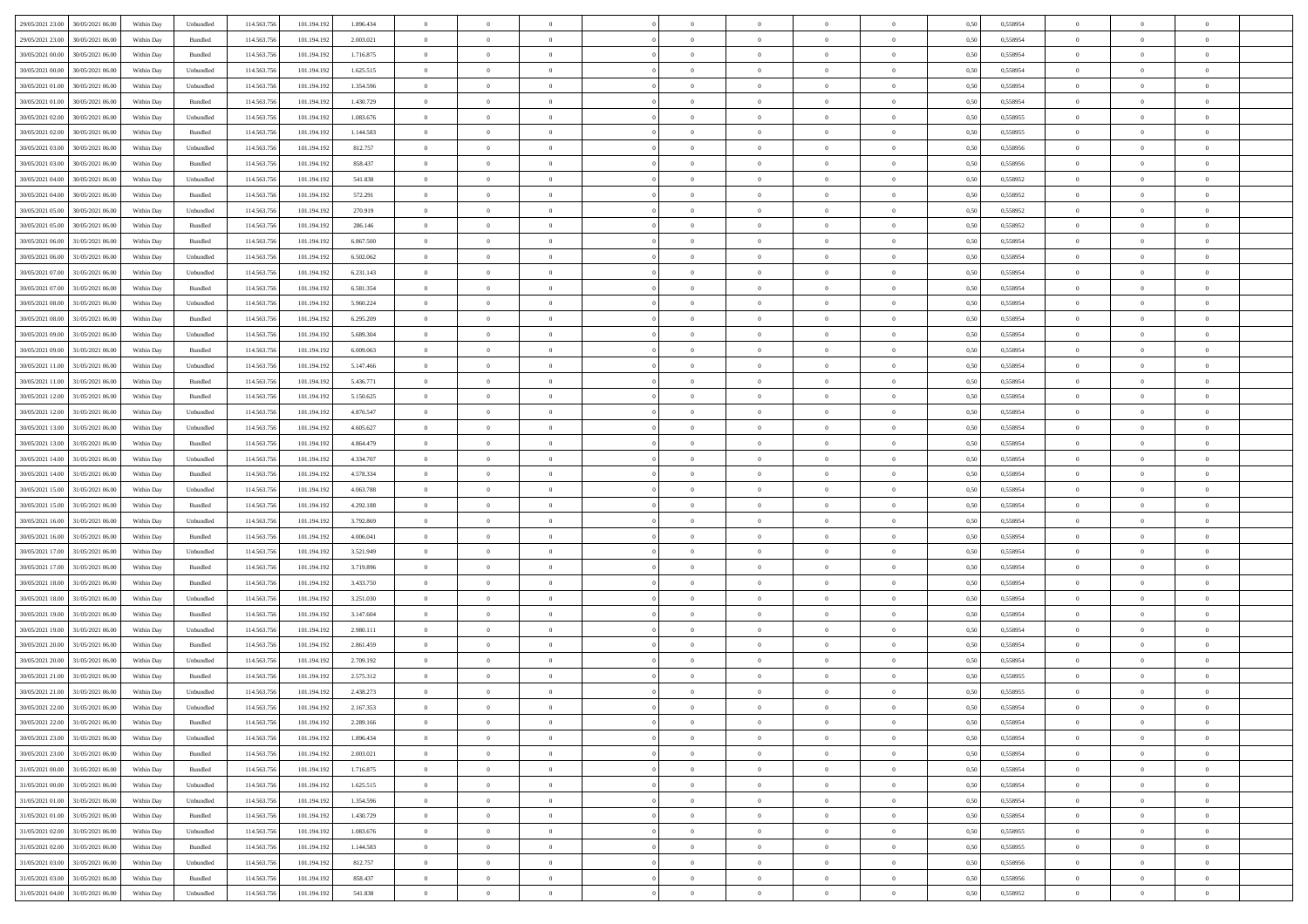| 29/05/2021 23:00<br>30/05/2021 06:00             | Within Day | Unbundled                   | 114.563.75  | 101.194.192 | 1.896.434 | $\overline{0}$ | $\overline{0}$ |                | $\overline{0}$ | $\theta$       |                | $\theta$       | 0,50 | 0,558954 | $\theta$       | $\theta$       | $\overline{0}$ |  |
|--------------------------------------------------|------------|-----------------------------|-------------|-------------|-----------|----------------|----------------|----------------|----------------|----------------|----------------|----------------|------|----------|----------------|----------------|----------------|--|
| 29/05/2021 23:00<br>30/05/2021 06:00             | Within Day | Bundled                     | 114.563.75  | 101.194.19  | 2.003.021 | $\bf{0}$       | $\bf{0}$       | $\bf{0}$       | $\bf{0}$       | $\overline{0}$ | $\overline{0}$ | $\bf{0}$       | 0,50 | 0,558954 | $\,$ 0 $\,$    | $\bf{0}$       | $\overline{0}$ |  |
| 30/05/2021 00:00<br>30/05/2021 06:00             | Within Day | Bundled                     | 114,563,75  | 101.194.192 | 1.716.875 | $\overline{0}$ | $\bf{0}$       | $\overline{0}$ | $\bf{0}$       | $\bf{0}$       | $\overline{0}$ | $\bf{0}$       | 0.50 | 0.558954 | $\bf{0}$       | $\overline{0}$ | $\overline{0}$ |  |
| 30/05/2021 00:00<br>30/05/2021 06:00             | Within Day | Unbundled                   | 114.563.75  | 101.194.192 | 1.625.515 | $\overline{0}$ | $\overline{0}$ | $\overline{0}$ | $\overline{0}$ | $\theta$       | $\overline{0}$ | $\bf{0}$       | 0,50 | 0,558954 | $\theta$       | $\theta$       | $\overline{0}$ |  |
| 30/05/2021 01:00<br>30/05/2021 06.00             | Within Day | Unbundled                   | 114.563.75  | 101.194.192 | 1.354.596 | $\bf{0}$       | $\overline{0}$ | $\bf{0}$       | $\overline{0}$ | $\bf{0}$       | $\overline{0}$ | $\bf{0}$       | 0,50 | 0,558954 | $\,$ 0 $\,$    | $\bf{0}$       | $\overline{0}$ |  |
|                                                  |            |                             |             |             |           |                |                |                |                |                |                |                |      |          |                |                |                |  |
| 30/05/2021 01:00<br>30/05/2021 06:00             | Within Day | Bundled                     | 114,563,75  | 101.194.192 | 1.430.729 | $\overline{0}$ | $\bf{0}$       | $\overline{0}$ | $\bf{0}$       | $\overline{0}$ | $\theta$       | $\bf{0}$       | 0.50 | 0.558954 | $\,$ 0 $\,$    | $\theta$       | $\overline{0}$ |  |
| 30/05/2021 02:00<br>30/05/2021 06:00             | Within Day | Unbundled                   | 114.563.75  | 101.194.192 | 1.083.676 | $\overline{0}$ | $\overline{0}$ | $\overline{0}$ | $\overline{0}$ | $\overline{0}$ | $\overline{0}$ | $\bf{0}$       | 0,50 | 0,558955 | $\,$ 0 $\,$    | $\theta$       | $\overline{0}$ |  |
| 30/05/2021 02:00<br>30/05/2021 06.00             | Within Day | Bundled                     | 114.563.75  | 101.194.19  | 1.144.583 | $\bf{0}$       | $\bf{0}$       | $\bf{0}$       | $\overline{0}$ | $\overline{0}$ | $\overline{0}$ | $\bf{0}$       | 0,50 | 0,558955 | $\,$ 0 $\,$    | $\bf{0}$       | $\overline{0}$ |  |
| 30/05/2021 03:00<br>30/05/2021 06:00             | Within Day | Unbundled                   | 114,563,75  | 101.194.192 | 812.757   | $\overline{0}$ | $\bf{0}$       | $\overline{0}$ | $\bf{0}$       | $\overline{0}$ | $\overline{0}$ | $\bf{0}$       | 0.50 | 0.558956 | $\bf{0}$       | $\overline{0}$ | $\overline{0}$ |  |
| 30/05/2021 03:00<br>30/05/2021 06:00             | Within Day | Bundled                     | 114.563.75  | 101.194.192 | 858.437   | $\bf{0}$       | $\bf{0}$       | $\overline{0}$ | $\overline{0}$ | $\overline{0}$ | $\overline{0}$ | $\bf{0}$       | 0,50 | 0,558956 | $\,$ 0 $\,$    | $\,$ 0 $\,$    | $\overline{0}$ |  |
| 30/05/2021 04:00<br>30/05/2021 06.00             | Within Day | Unbundled                   | 114.563.75  | 101.194.192 | 541.838   | $\bf{0}$       | $\bf{0}$       | $\bf{0}$       | $\bf{0}$       | $\overline{0}$ | $\overline{0}$ | $\bf{0}$       | 0,50 | 0,558952 | $\,$ 0 $\,$    | $\bf{0}$       | $\overline{0}$ |  |
| 30/05/2021 04:00<br>30/05/2021 06:00             | Within Day | Bundled                     | 114,563,75  | 101.194.192 | 572.291   | $\overline{0}$ | $\bf{0}$       | $\overline{0}$ | $\overline{0}$ | $\bf{0}$       | $\overline{0}$ | $\bf{0}$       | 0.50 | 0.558952 | $\bf{0}$       | $\,$ 0 $\,$    | $\,$ 0         |  |
|                                                  |            |                             |             |             |           | $\overline{0}$ | $\overline{0}$ | $\overline{0}$ | $\theta$       | $\theta$       | $\overline{0}$ |                |      |          | $\,$ 0 $\,$    | $\theta$       |                |  |
| 30/05/2021 05:00<br>30/05/2021 06:00             | Within Day | Unbundled                   | 114.563.75  | 101.194.192 | 270.919   |                |                |                |                |                |                | $\bf{0}$       | 0,50 | 0,558952 |                |                | $\overline{0}$ |  |
| 30/05/2021 05:00<br>30/05/2021 06.00             | Within Day | Bundled                     | 114.563.75  | 101.194.192 | 286.146   | $\bf{0}$       | $\overline{0}$ | $\bf{0}$       | $\bf{0}$       | $\bf{0}$       | $\overline{0}$ | $\bf{0}$       | 0,50 | 0,558952 | $\,$ 0 $\,$    | $\bf{0}$       | $\overline{0}$ |  |
| 30/05/2021 06:00<br>31/05/2021 06.00             | Within Day | Bundled                     | 114,563,75  | 101.194.192 | 6,867,500 | $\overline{0}$ | $\bf{0}$       | $\overline{0}$ | $\bf{0}$       | $\overline{0}$ | $\theta$       | $\bf{0}$       | 0.50 | 0.558954 | $\,$ 0 $\,$    | $\bf{0}$       | $\overline{0}$ |  |
| 30/05/2021 06:00<br>31/05/2021 06:00             | Within Day | Unbundled                   | 114.563.75  | 101.194.192 | 6.502.062 | $\overline{0}$ | $\overline{0}$ | $\overline{0}$ | $\overline{0}$ | $\overline{0}$ | $\overline{0}$ | $\bf{0}$       | 0,50 | 0,558954 | $\theta$       | $\theta$       | $\overline{0}$ |  |
| 30/05/2021 07:00<br>31/05/2021 06.00             | Within Day | Unbundled                   | 114.563.75  | 101.194.192 | 6.231.143 | $\bf{0}$       | $\bf{0}$       | $\bf{0}$       | $\overline{0}$ | $\overline{0}$ | $\overline{0}$ | $\bf{0}$       | 0,50 | 0,558954 | $\,$ 0 $\,$    | $\bf{0}$       | $\overline{0}$ |  |
| 30/05/2021 07:00<br>31/05/2021 06:00             | Within Day | Bundled                     | 114,563,75  | 101.194.192 | 6.581.354 | $\overline{0}$ | $\bf{0}$       | $\overline{0}$ | $\bf{0}$       | $\overline{0}$ | $\overline{0}$ | $\bf{0}$       | 0.50 | 0.558954 | $\bf{0}$       | $\overline{0}$ | $\overline{0}$ |  |
| 30/05/2021 08:00<br>31/05/2021 06:00             | Within Day | Unbundled                   | 114.563.75  | 101.194.192 | 5.960.224 | $\bf{0}$       | $\bf{0}$       | $\overline{0}$ | $\overline{0}$ | $\overline{0}$ | $\overline{0}$ | $\bf{0}$       | 0,50 | 0,558954 | $\,$ 0 $\,$    | $\bf{0}$       | $\overline{0}$ |  |
| 30/05/2021 08:00<br>31/05/2021 06.00             | Within Day | Bundled                     | 114.563.75  | 101.194.192 | 6.295.209 | $\bf{0}$       | $\bf{0}$       | $\bf{0}$       | $\bf{0}$       | $\overline{0}$ | $\overline{0}$ | $\bf{0}$       | 0,50 | 0,558954 | $\,$ 0 $\,$    | $\bf{0}$       | $\overline{0}$ |  |
|                                                  |            |                             |             |             |           |                |                |                |                |                |                |                |      |          |                |                |                |  |
| 30/05/2021 09:00<br>31/05/2021 06.00             | Within Day | Unbundled                   | 114,563,75  | 101.194.192 | 5.689.304 | $\overline{0}$ | $\bf{0}$       | $\overline{0}$ | $\overline{0}$ | $\bf{0}$       | $\overline{0}$ | $\bf{0}$       | 0.50 | 0.558954 | $\bf{0}$       | $\overline{0}$ | $\,$ 0         |  |
| 30/05/2021 09:00<br>31/05/2021 06:00             | Within Day | Bundled                     | 114.563.75  | 101.194.192 | 6.009.063 | $\overline{0}$ | $\overline{0}$ | $\overline{0}$ | $\overline{0}$ | $\theta$       | $\overline{0}$ | $\bf{0}$       | 0,50 | 0,558954 | $\theta$       | $\theta$       | $\overline{0}$ |  |
| 30/05/2021 11:00<br>31/05/2021 06.00             | Within Day | Unbundled                   | 114.563.75  | 101.194.192 | 5.147.466 | $\bf{0}$       | $\bf{0}$       | $\bf{0}$       | $\bf{0}$       | $\overline{0}$ | $\overline{0}$ | $\bf{0}$       | 0,50 | 0,558954 | $\,$ 0 $\,$    | $\bf{0}$       | $\overline{0}$ |  |
| 30/05/2021 11:00<br>31/05/2021 06.00             | Within Day | Bundled                     | 114,563,75  | 101.194.192 | 5.436.771 | $\overline{0}$ | $\bf{0}$       | $\overline{0}$ | $\bf{0}$       | $\overline{0}$ | $\theta$       | $\bf{0}$       | 0.50 | 0.558954 | $\,$ 0 $\,$    | $\theta$       | $\overline{0}$ |  |
| 30/05/2021 12:00<br>31/05/2021 06.00             | Within Day | Bundled                     | 114.563.75  | 101.194.192 | 5.150.625 | $\overline{0}$ | $\overline{0}$ | $\overline{0}$ | $\overline{0}$ | $\overline{0}$ | $\overline{0}$ | $\bf{0}$       | 0,50 | 0,558954 | $\,$ 0 $\,$    | $\theta$       | $\overline{0}$ |  |
| 30/05/2021 12:00<br>31/05/2021 06.00             | Within Day | Unbundled                   | 114.563.75  | 101.194.19  | 4.876.547 | $\bf{0}$       | $\overline{0}$ | $\bf{0}$       | $\overline{0}$ | $\bf{0}$       | $\overline{0}$ | $\bf{0}$       | 0,50 | 0,558954 | $\,$ 0 $\,$    | $\bf{0}$       | $\overline{0}$ |  |
| 30/05/2021 13:00<br>31/05/2021 06:00             | Within Day | Unbundled                   | 114,563,75  | 101.194.192 | 4.605.627 | $\overline{0}$ | $\bf{0}$       | $\overline{0}$ | $\bf{0}$       | $\overline{0}$ | $\overline{0}$ | $\bf{0}$       | 0.50 | 0.558954 | $\bf{0}$       | $\overline{0}$ | $\overline{0}$ |  |
| 30/05/2021 13:00<br>31/05/2021 06:00             | Within Day | Bundled                     | 114.563.75  | 101.194.192 | 4.864.479 | $\overline{0}$ | $\bf{0}$       | $\overline{0}$ | $\overline{0}$ | $\overline{0}$ | $\overline{0}$ | $\bf{0}$       | 0,50 | 0,558954 | $\,$ 0 $\,$    | $\theta$       | $\overline{0}$ |  |
| 31/05/2021 06.00                                 | Within Day | Unbundled                   | 114.563.75  | 101.194.192 | 4.334.707 | $\bf{0}$       | $\bf{0}$       | $\bf{0}$       | $\bf{0}$       | $\overline{0}$ | $\overline{0}$ | $\bf{0}$       | 0,50 | 0,558954 | $\,$ 0 $\,$    | $\bf{0}$       | $\overline{0}$ |  |
| 30/05/2021 14:00                                 |            |                             |             |             |           |                |                |                |                |                |                |                |      |          |                |                |                |  |
| 30/05/2021 14:00<br>31/05/2021 06:00             | Within Day | Bundled                     | 114,563,75  | 101.194.192 | 4.578.334 | $\overline{0}$ | $\bf{0}$       | $\overline{0}$ | $\overline{0}$ | $\bf{0}$       | $\overline{0}$ | $\bf{0}$       | 0.50 | 0.558954 | $\bf{0}$       | $\,$ 0 $\,$    | $\bf{0}$       |  |
| 30/05/2021 15:00<br>31/05/2021 06:00             | Within Day | Unbundled                   | 114.563.75  | 101.194.192 | 4.063.788 | $\overline{0}$ | $\overline{0}$ | $\overline{0}$ | $\overline{0}$ | $\overline{0}$ | $\overline{0}$ | $\bf{0}$       | 0.50 | 0.558954 | $\theta$       | $\theta$       | $\overline{0}$ |  |
| 30/05/2021 15:00<br>31/05/2021 06.00             | Within Day | Bundled                     | 114.563.75  | 101.194.192 | 4.292.188 | $\bf{0}$       | $\bf{0}$       | $\bf{0}$       | $\bf{0}$       | $\overline{0}$ | $\overline{0}$ | $\bf{0}$       | 0,50 | 0,558954 | $\,$ 0 $\,$    | $\bf{0}$       | $\overline{0}$ |  |
| 30/05/2021 16:00<br>31/05/2021 06.00             | Within Day | Unbundled                   | 114,563,75  | 101.194.192 | 3.792.869 | $\overline{0}$ | $\bf{0}$       | $\overline{0}$ | $\bf{0}$       | $\overline{0}$ | $\overline{0}$ | $\bf{0}$       | 0.50 | 0.558954 | $\,$ 0 $\,$    | $\bf{0}$       | $\overline{0}$ |  |
| 30/05/2021 16:00<br>31/05/2021 06:00             | Within Dav | Bundled                     | 114.563.75  | 101.194.192 | 4.006.041 | $\overline{0}$ | $\overline{0}$ | $\overline{0}$ | $\overline{0}$ | $\overline{0}$ | $\overline{0}$ | $\bf{0}$       | 0.5( | 0,558954 | $\theta$       | $\theta$       | $\overline{0}$ |  |
| 30/05/2021 17:00<br>31/05/2021 06.00             | Within Day | Unbundled                   | 114.563.75  | 101.194.192 | 3.521.949 | $\bf{0}$       | $\bf{0}$       | $\bf{0}$       | $\bf{0}$       | $\overline{0}$ | $\overline{0}$ | $\bf{0}$       | 0,50 | 0,558954 | $\,$ 0 $\,$    | $\bf{0}$       | $\overline{0}$ |  |
| 30/05/2021 17:00<br>31/05/2021 06:00             | Within Day | Bundled                     | 114,563,75  | 101.194.192 | 3.719.896 | $\overline{0}$ | $\bf{0}$       | $\overline{0}$ | $\bf{0}$       | $\overline{0}$ | $\overline{0}$ | $\bf{0}$       | 0.50 | 0.558954 | $\bf{0}$       | $\overline{0}$ | $\overline{0}$ |  |
| 30/05/2021 18:00<br>31/05/2021 06:00             | Within Dav | Bundled                     | 114.563.75  | 101.194.192 | 3.433.750 | $\overline{0}$ | $\overline{0}$ | $\overline{0}$ | $\overline{0}$ | $\overline{0}$ | $\overline{0}$ | $\bf{0}$       | 0.50 | 0,558954 | $\theta$       | $\theta$       | $\overline{0}$ |  |
|                                                  |            |                             |             |             |           |                |                |                |                |                |                |                |      |          |                |                |                |  |
| 30/05/2021 18:00<br>31/05/2021 06.00             | Within Day | Unbundled                   | 114.563.75  | 101.194.19  | 3.251.030 | $\bf{0}$       | $\bf{0}$       | $\bf{0}$       | $\bf{0}$       | $\overline{0}$ | $\overline{0}$ | $\bf{0}$       | 0,50 | 0,558954 | $\,$ 0 $\,$    | $\bf{0}$       | $\overline{0}$ |  |
| 30/05/2021 19:00<br>31/05/2021 06.00             | Within Day | Bundled                     | 114,563,75  | 101.194.192 | 3.147.604 | $\overline{0}$ | $\bf{0}$       | $\overline{0}$ | $\overline{0}$ | $\bf{0}$       | $\overline{0}$ | $\bf{0}$       | 0.50 | 0.558954 | $\bf{0}$       | $\overline{0}$ | $\overline{0}$ |  |
| 30/05/2021 19:00<br>31/05/2021 06:00             | Within Day | Unbundled                   | 114.563.75  | 101.194.192 | 2.980.111 | $\overline{0}$ | $\overline{0}$ | $\overline{0}$ | $\overline{0}$ | $\overline{0}$ | $\overline{0}$ | $\bf{0}$       | 0.50 | 0,558954 | $\theta$       | $\theta$       | $\overline{0}$ |  |
| 30/05/2021 20:00<br>31/05/2021 06.00             | Within Day | Bundled                     | 114.563.75  | 101.194.192 | 2.861.459 | $\bf{0}$       | $\bf{0}$       | $\bf{0}$       | $\bf{0}$       | $\overline{0}$ | $\overline{0}$ | $\bf{0}$       | 0,50 | 0,558954 | $\,$ 0 $\,$    | $\bf{0}$       | $\overline{0}$ |  |
| 30/05/2021 20:00<br>31/05/2021 06.00             | Within Day | Unbundled                   | 114,563,75  | 101.194.192 | 2.709.192 | $\overline{0}$ | $\overline{0}$ | $\overline{0}$ | $\bf{0}$       | $\overline{0}$ | $\Omega$       | $\bf{0}$       | 0.50 | 0.558954 | $\bf{0}$       | $\theta$       | $\overline{0}$ |  |
| 30/05/2021 21:00<br>31/05/2021 06:00             | Within Dav | Bundled                     | 114.563.75  | 101.194.19  | 2.575.312 | $\overline{0}$ | $\overline{0}$ | $\overline{0}$ | $\theta$       | $\theta$       | $\overline{0}$ | $\overline{0}$ | 0.5( | 0,558955 | $\theta$       | $\theta$       | $\overline{0}$ |  |
| 30/05/2021 21:00<br>31/05/2021 06:00             | Within Day | Unbundled                   | 114.563.75  | 101.194.192 | 2.438.273 | $\bf{0}$       | $\bf{0}$       | $\bf{0}$       | $\bf{0}$       | $\bf{0}$       | $\overline{0}$ | $\bf{0}$       | 0,50 | 0,558955 | $\overline{0}$ | $\overline{0}$ | $\overline{0}$ |  |
| $30/05/2021\ 22.00\quad \  \  31/05/2021\ 06.00$ | Within Day | $\ensuremath{\mathsf{Unb}}$ | 114.563.756 | 101.194.192 | 2.167.353 | $\bf{0}$       | $\theta$       |                | $\overline{0}$ |                |                |                | 0,50 | 0.558954 | $\theta$       | $\overline{0}$ |                |  |
| 30/05/2021 22:00 31/05/2021 06:00                |            |                             |             |             |           | $\overline{0}$ | $\overline{0}$ | $\Omega$       |                | $\overline{0}$ |                |                |      |          | $\theta$       | $\theta$       | $\overline{0}$ |  |
|                                                  | Within Day | Bundled                     | 114.563.756 | 101.194.192 | 2.289.166 |                |                |                | $\theta$       |                | $\overline{0}$ | $\bf{0}$       | 0,50 | 0,558954 |                |                |                |  |
| 30/05/2021 23:00<br>31/05/2021 06:00             | Within Day | Unbundled                   | 114.563.75  | 101.194.192 | 1.896.434 | $\overline{0}$ | $\bf{0}$       | $\overline{0}$ | $\overline{0}$ | $\bf{0}$       | $\overline{0}$ | $\bf{0}$       | 0,50 | 0,558954 | $\bf{0}$       | $\overline{0}$ | $\bf{0}$       |  |
| 30/05/2021 23:00 31/05/2021 06:00                | Within Day | Bundled                     | 114,563,756 | 101.194.192 | 2.003.021 | $\overline{0}$ | $\bf{0}$       | $\overline{0}$ | $\overline{0}$ | $\mathbf{0}$   | $\overline{0}$ | $\,$ 0 $\,$    | 0.50 | 0.558954 | $\overline{0}$ | $\bf{0}$       | $\bf{0}$       |  |
| 31/05/2021 00:00 31/05/2021 06:00                | Within Dav | Bundled                     | 114.563.756 | 101.194.192 | 1.716.875 | $\overline{0}$ | $\overline{0}$ | $\overline{0}$ | $\overline{0}$ | $\overline{0}$ | $\overline{0}$ | $\bf{0}$       | 0,50 | 0,558954 | $\overline{0}$ | $\theta$       | $\overline{0}$ |  |
| 31/05/2021 00:00<br>31/05/2021 06:00             | Within Day | Unbundled                   | 114.563.75  | 101.194.192 | 1.625.515 | $\overline{0}$ | $\bf{0}$       | $\overline{0}$ | $\overline{0}$ | $\bf{0}$       | $\overline{0}$ | $\bf{0}$       | 0,50 | 0,558954 | $\bf{0}$       | $\overline{0}$ | $\overline{0}$ |  |
| 31/05/2021 01:00<br>31/05/2021 06:00             | Within Day | Unbundled                   | 114.563.756 | 101.194.192 | 1.354.596 | $\overline{0}$ | $\bf{0}$       | $\overline{0}$ | $\overline{0}$ | $\bf{0}$       | $\overline{0}$ | $\bf{0}$       | 0.50 | 0.558954 | $\,$ 0 $\,$    | $\overline{0}$ | $\,$ 0         |  |
| 31/05/2021 01:00<br>31/05/2021 06:00             | Within Dav | Bundled                     | 114.563.756 | 101.194.192 | 1.430.729 | $\overline{0}$ | $\overline{0}$ | $\overline{0}$ | $\overline{0}$ | $\overline{0}$ | $\overline{0}$ | $\bf{0}$       | 0.50 | 0,558954 | $\overline{0}$ | $\theta$       | $\overline{0}$ |  |
| 31/05/2021 02:00<br>31/05/2021 06:00             | Within Day | Unbundled                   | 114.563.75  | 101.194.192 | 1.083.676 | $\overline{0}$ | $\overline{0}$ | $\overline{0}$ | $\overline{0}$ | $\overline{0}$ | $\overline{0}$ | $\bf{0}$       | 0,50 | 0,558955 | $\bf{0}$       | $\overline{0}$ | $\overline{0}$ |  |
|                                                  |            |                             |             |             |           |                |                |                |                |                |                |                |      |          |                |                |                |  |
| 31/05/2021 02:00<br>31/05/2021 06:00             | Within Day | Bundled                     | 114.563.75  | 101.194.192 | 1.144.583 | $\overline{0}$ | $\overline{0}$ | $\overline{0}$ | $\overline{0}$ | $\overline{0}$ | $\overline{0}$ | $\bf{0}$       | 0.50 | 0.558955 | $\mathbf{0}$   | $\bf{0}$       | $\,$ 0         |  |
| 31/05/2021 03:00 31/05/2021 06:00                | Within Dav | Unbundled                   | 114.563.756 | 101.194.192 | 812.757   | $\overline{0}$ | $\overline{0}$ | $\overline{0}$ | $\overline{0}$ | $\overline{0}$ | $\overline{0}$ | $\bf{0}$       | 0,50 | 0,558956 | $\overline{0}$ | $\theta$       | $\overline{0}$ |  |
| 31/05/2021 03:00<br>31/05/2021 06:00             | Within Day | Bundled                     | 114.563.75  | 101.194.192 | 858.437   | $\overline{0}$ | $\bf{0}$       | $\overline{0}$ | $\overline{0}$ | $\overline{0}$ | $\overline{0}$ | $\bf{0}$       | 0,50 | 0,558956 | $\bf{0}$       | $\overline{0}$ | $\bf{0}$       |  |
| 31/05/2021 04:00 31/05/2021 06:00                | Within Day | Unbundled                   | 114.563.756 | 101.194.192 | 541.838   | $\,$ 0 $\,$    | $\bf{0}$       | $\overline{0}$ | $\overline{0}$ | $\,$ 0 $\,$    | $\overline{0}$ | $\bf{0}$       | 0,50 | 0,558952 | $\overline{0}$ | $\,$ 0 $\,$    | $\,$ 0 $\,$    |  |